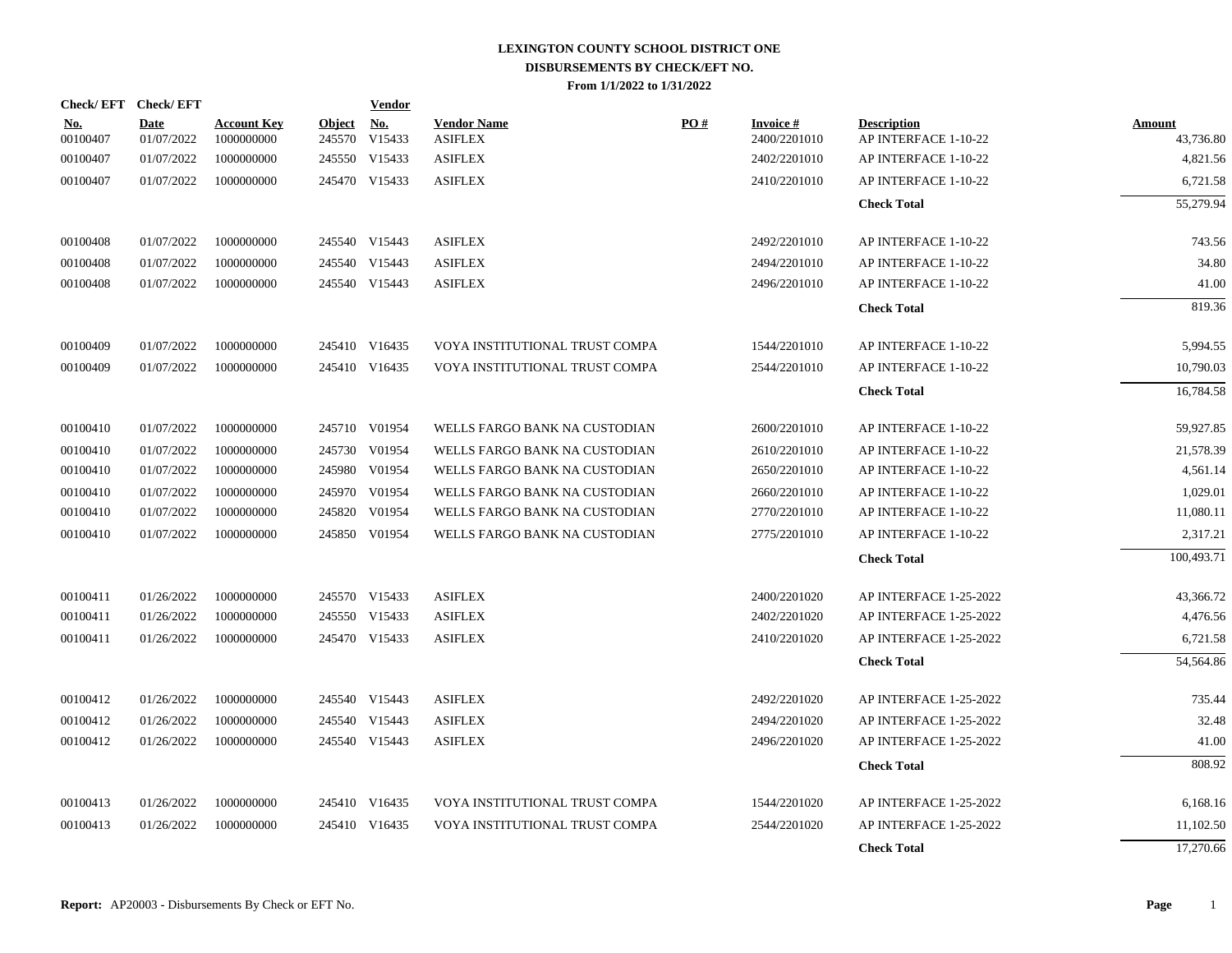|                        | Check/EFT Check/EFT |                                  |                         | <b>Vendor</b>        |                                      |     |                           |                                            |                     |
|------------------------|---------------------|----------------------------------|-------------------------|----------------------|--------------------------------------|-----|---------------------------|--------------------------------------------|---------------------|
| <u>No.</u><br>00100407 | Date<br>01/07/2022  | <b>Account Key</b><br>1000000000 | <b>Object</b><br>245570 | <u>No.</u><br>V15433 | <b>Vendor Name</b><br><b>ASIFLEX</b> | PO# | Invoice #<br>2400/2201010 | <b>Description</b><br>AP INTERFACE 1-10-22 | Amount<br>43,736.80 |
| 00100407               | 01/07/2022          | 1000000000                       |                         | 245550 V15433        | <b>ASIFLEX</b>                       |     | 2402/2201010              | AP INTERFACE 1-10-22                       | 4,821.56            |
| 00100407               | 01/07/2022          | 1000000000                       |                         | 245470 V15433        | <b>ASIFLEX</b>                       |     | 2410/2201010              | AP INTERFACE 1-10-22                       | 6,721.58            |
|                        |                     |                                  |                         |                      |                                      |     |                           | <b>Check Total</b>                         | 55,279.94           |
| 00100408               | 01/07/2022          | 1000000000                       |                         | 245540 V15443        | <b>ASIFLEX</b>                       |     | 2492/2201010              | AP INTERFACE 1-10-22                       | 743.56              |
| 00100408               | 01/07/2022          | 1000000000                       |                         | 245540 V15443        | <b>ASIFLEX</b>                       |     | 2494/2201010              | AP INTERFACE 1-10-22                       | 34.80               |
| 00100408               | 01/07/2022          | 1000000000                       |                         | 245540 V15443        | <b>ASIFLEX</b>                       |     | 2496/2201010              | AP INTERFACE 1-10-22                       | 41.00               |
|                        |                     |                                  |                         |                      |                                      |     |                           | <b>Check Total</b>                         | 819.36              |
| 00100409               | 01/07/2022          | 1000000000                       |                         | 245410 V16435        | VOYA INSTITUTIONAL TRUST COMPA       |     | 1544/2201010              | AP INTERFACE 1-10-22                       | 5,994.55            |
| 00100409               | 01/07/2022          | 1000000000                       |                         | 245410 V16435        | VOYA INSTITUTIONAL TRUST COMPA       |     | 2544/2201010              | AP INTERFACE 1-10-22                       | 10,790.03           |
|                        |                     |                                  |                         |                      |                                      |     |                           | <b>Check Total</b>                         | 16,784.58           |
| 00100410               | 01/07/2022          | 1000000000                       |                         | 245710 V01954        | WELLS FARGO BANK NA CUSTODIAN        |     | 2600/2201010              | AP INTERFACE 1-10-22                       | 59,927.85           |
| 00100410               | 01/07/2022          | 1000000000                       |                         | 245730 V01954        | WELLS FARGO BANK NA CUSTODIAN        |     | 2610/2201010              | AP INTERFACE 1-10-22                       | 21,578.39           |
| 00100410               | 01/07/2022          | 1000000000                       |                         | 245980 V01954        | WELLS FARGO BANK NA CUSTODIAN        |     | 2650/2201010              | AP INTERFACE 1-10-22                       | 4,561.14            |
| 00100410               | 01/07/2022          | 1000000000                       |                         | 245970 V01954        | WELLS FARGO BANK NA CUSTODIAN        |     | 2660/2201010              | AP INTERFACE 1-10-22                       | 1,029.01            |
| 00100410               | 01/07/2022          | 1000000000                       |                         | 245820 V01954        | WELLS FARGO BANK NA CUSTODIAN        |     | 2770/2201010              | AP INTERFACE 1-10-22                       | 11,080.11           |
| 00100410               | 01/07/2022          | 1000000000                       |                         | 245850 V01954        | WELLS FARGO BANK NA CUSTODIAN        |     | 2775/2201010              | AP INTERFACE 1-10-22                       | 2,317.21            |
|                        |                     |                                  |                         |                      |                                      |     |                           | <b>Check Total</b>                         | 100,493.71          |
| 00100411               | 01/26/2022          | 1000000000                       |                         | 245570 V15433        | <b>ASIFLEX</b>                       |     | 2400/2201020              | AP INTERFACE 1-25-2022                     | 43,366.72           |
| 00100411               | 01/26/2022          | 1000000000                       |                         | 245550 V15433        | <b>ASIFLEX</b>                       |     | 2402/2201020              | AP INTERFACE 1-25-2022                     | 4,476.56            |
| 00100411               | 01/26/2022          | 1000000000                       |                         | 245470 V15433        | <b>ASIFLEX</b>                       |     | 2410/2201020              | AP INTERFACE 1-25-2022                     | 6,721.58            |
|                        |                     |                                  |                         |                      |                                      |     |                           | <b>Check Total</b>                         | 54,564.86           |
| 00100412               | 01/26/2022          | 1000000000                       |                         | 245540 V15443        | <b>ASIFLEX</b>                       |     | 2492/2201020              | AP INTERFACE 1-25-2022                     | 735.44              |
| 00100412               | 01/26/2022          | 1000000000                       |                         | 245540 V15443        | <b>ASIFLEX</b>                       |     | 2494/2201020              | AP INTERFACE 1-25-2022                     | 32.48               |
| 00100412               | 01/26/2022          | 1000000000                       |                         | 245540 V15443        | <b>ASIFLEX</b>                       |     | 2496/2201020              | AP INTERFACE 1-25-2022                     | 41.00               |
|                        |                     |                                  |                         |                      |                                      |     |                           | <b>Check Total</b>                         | 808.92              |
| 00100413               | 01/26/2022          | 1000000000                       |                         | 245410 V16435        | VOYA INSTITUTIONAL TRUST COMPA       |     | 1544/2201020              | AP INTERFACE 1-25-2022                     | 6,168.16            |
| 00100413               | 01/26/2022          | 1000000000                       |                         | 245410 V16435        | VOYA INSTITUTIONAL TRUST COMPA       |     | 2544/2201020              | AP INTERFACE 1-25-2022                     | 11,102.50           |
|                        |                     |                                  |                         |                      |                                      |     |                           | <b>Check Total</b>                         | 17,270.66           |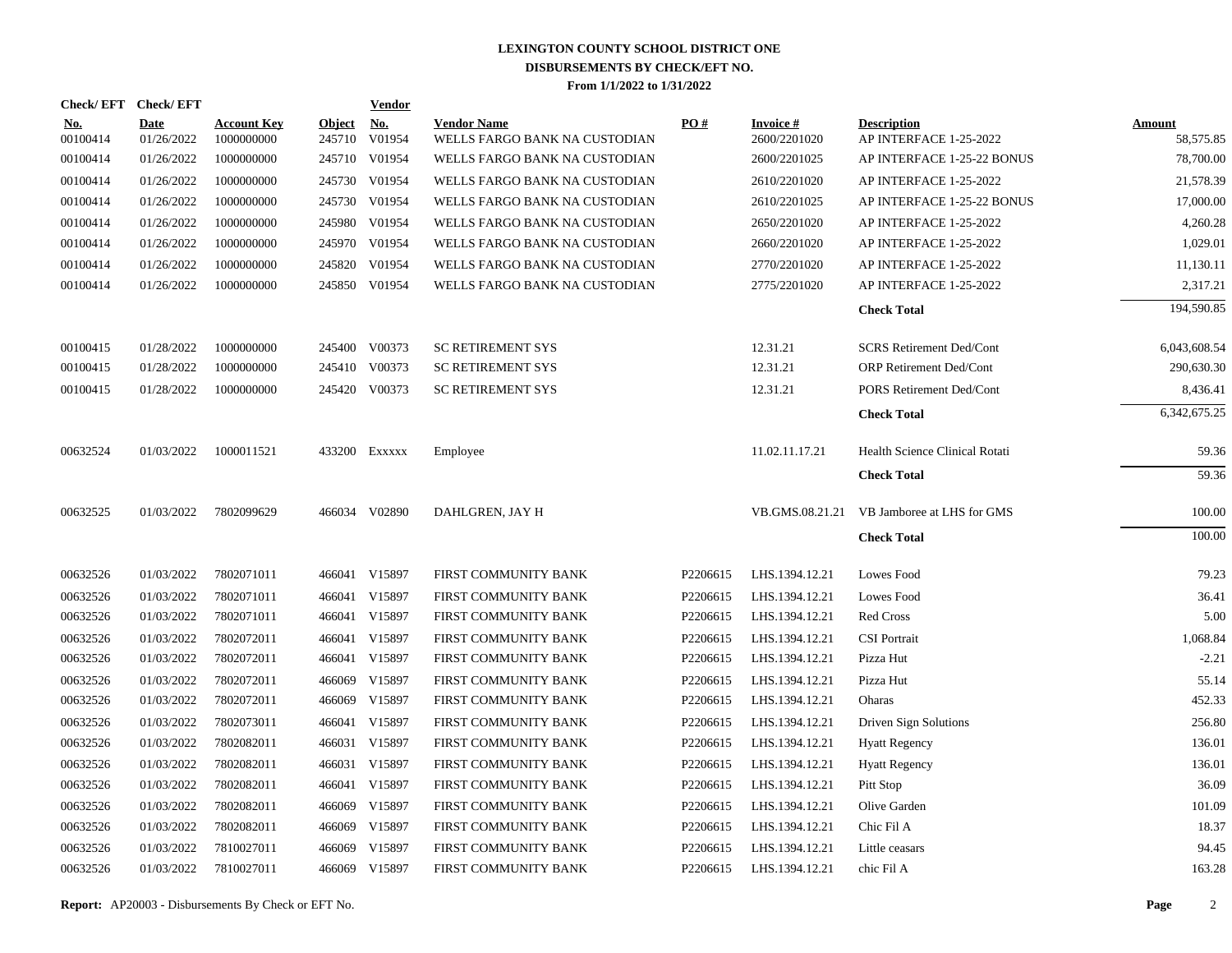|                        | Check/EFT Check/EFT       |                                  |                      | <b>Vendor</b> |                                                     |          |                                 |                                              |                     |
|------------------------|---------------------------|----------------------------------|----------------------|---------------|-----------------------------------------------------|----------|---------------------------------|----------------------------------------------|---------------------|
| <u>No.</u><br>00100414 | <b>Date</b><br>01/26/2022 | <b>Account Key</b><br>1000000000 | Object No.<br>245710 | V01954        | <b>Vendor Name</b><br>WELLS FARGO BANK NA CUSTODIAN | PO#      | <b>Invoice#</b><br>2600/2201020 | <b>Description</b><br>AP INTERFACE 1-25-2022 | Amount<br>58,575.85 |
| 00100414               | 01/26/2022                | 1000000000                       |                      | 245710 V01954 | WELLS FARGO BANK NA CUSTODIAN                       |          | 2600/2201025                    | AP INTERFACE 1-25-22 BONUS                   | 78,700.00           |
| 00100414               | 01/26/2022                | 1000000000                       |                      | 245730 V01954 | WELLS FARGO BANK NA CUSTODIAN                       |          | 2610/2201020                    | AP INTERFACE 1-25-2022                       | 21,578.39           |
| 00100414               | 01/26/2022                | 1000000000                       |                      | 245730 V01954 | WELLS FARGO BANK NA CUSTODIAN                       |          | 2610/2201025                    | AP INTERFACE 1-25-22 BONUS                   | 17,000.00           |
| 00100414               | 01/26/2022                | 1000000000                       |                      | 245980 V01954 | WELLS FARGO BANK NA CUSTODIAN                       |          | 2650/2201020                    | AP INTERFACE 1-25-2022                       | 4,260.28            |
| 00100414               | 01/26/2022                | 1000000000                       |                      | 245970 V01954 | WELLS FARGO BANK NA CUSTODIAN                       |          | 2660/2201020                    | AP INTERFACE 1-25-2022                       | 1,029.01            |
| 00100414               | 01/26/2022                | 1000000000                       |                      | 245820 V01954 | WELLS FARGO BANK NA CUSTODIAN                       |          | 2770/2201020                    | AP INTERFACE 1-25-2022                       | 11,130.11           |
| 00100414               | 01/26/2022                | 1000000000                       |                      | 245850 V01954 | WELLS FARGO BANK NA CUSTODIAN                       |          | 2775/2201020                    | AP INTERFACE 1-25-2022                       | 2,317.21            |
|                        |                           |                                  |                      |               |                                                     |          |                                 | <b>Check Total</b>                           | 194,590.85          |
| 00100415               | 01/28/2022                | 1000000000                       |                      | 245400 V00373 | <b>SC RETIREMENT SYS</b>                            |          | 12.31.21                        | <b>SCRS</b> Retirement Ded/Cont              | 6,043,608.54        |
| 00100415               | 01/28/2022                | 1000000000                       |                      | 245410 V00373 | <b>SC RETIREMENT SYS</b>                            |          | 12.31.21                        | ORP Retirement Ded/Cont                      | 290,630.30          |
| 00100415               | 01/28/2022                | 1000000000                       |                      | 245420 V00373 | <b>SC RETIREMENT SYS</b>                            |          | 12.31.21                        | <b>PORS Retirement Ded/Cont</b>              | 8,436.41            |
|                        |                           |                                  |                      |               |                                                     |          |                                 | <b>Check Total</b>                           | 6,342,675.25        |
| 00632524               | 01/03/2022                | 1000011521                       |                      | 433200 EXXXXX | Employee                                            |          | 11.02.11.17.21                  | Health Science Clinical Rotati               | 59.36               |
|                        |                           |                                  |                      |               |                                                     |          |                                 | <b>Check Total</b>                           | 59.36               |
| 00632525               | 01/03/2022                | 7802099629                       |                      | 466034 V02890 | DAHLGREN, JAY H                                     |          | VB.GMS.08.21.21                 | VB Jamboree at LHS for GMS                   | 100.00              |
|                        |                           |                                  |                      |               |                                                     |          |                                 | <b>Check Total</b>                           | 100.00              |
| 00632526               | 01/03/2022                | 7802071011                       |                      | 466041 V15897 | FIRST COMMUNITY BANK                                | P2206615 | LHS.1394.12.21                  | Lowes Food                                   | 79.23               |
| 00632526               | 01/03/2022                | 7802071011                       |                      | 466041 V15897 | FIRST COMMUNITY BANK                                | P2206615 | LHS.1394.12.21                  | Lowes Food                                   | 36.41               |
| 00632526               | 01/03/2022                | 7802071011                       |                      | 466041 V15897 | FIRST COMMUNITY BANK                                | P2206615 | LHS.1394.12.21                  | Red Cross                                    | 5.00                |
| 00632526               | 01/03/2022                | 7802072011                       |                      | 466041 V15897 | FIRST COMMUNITY BANK                                | P2206615 | LHS.1394.12.21                  | <b>CSI</b> Portrait                          | 1,068.84            |
| 00632526               | 01/03/2022                | 7802072011                       |                      | 466041 V15897 | FIRST COMMUNITY BANK                                | P2206615 | LHS.1394.12.21                  | Pizza Hut                                    | $-2.21$             |
| 00632526               | 01/03/2022                | 7802072011                       |                      | 466069 V15897 | FIRST COMMUNITY BANK                                | P2206615 | LHS.1394.12.21                  | Pizza Hut                                    | 55.14               |
| 00632526               | 01/03/2022                | 7802072011                       |                      | 466069 V15897 | FIRST COMMUNITY BANK                                | P2206615 | LHS.1394.12.21                  | Oharas                                       | 452.33              |
| 00632526               | 01/03/2022                | 7802073011                       |                      | 466041 V15897 | FIRST COMMUNITY BANK                                | P2206615 | LHS.1394.12.21                  | Driven Sign Solutions                        | 256.80              |
| 00632526               | 01/03/2022                | 7802082011                       |                      | 466031 V15897 | FIRST COMMUNITY BANK                                | P2206615 | LHS.1394.12.21                  | <b>Hyatt Regency</b>                         | 136.01              |
| 00632526               | 01/03/2022                | 7802082011                       |                      | 466031 V15897 | FIRST COMMUNITY BANK                                | P2206615 | LHS.1394.12.21                  | <b>Hyatt Regency</b>                         | 136.01              |
| 00632526               | 01/03/2022                | 7802082011                       |                      | 466041 V15897 | FIRST COMMUNITY BANK                                | P2206615 | LHS.1394.12.21                  | Pitt Stop                                    | 36.09               |
| 00632526               | 01/03/2022                | 7802082011                       |                      | 466069 V15897 | FIRST COMMUNITY BANK                                | P2206615 | LHS.1394.12.21                  | Olive Garden                                 | 101.09              |
| 00632526               | 01/03/2022                | 7802082011                       |                      | 466069 V15897 | FIRST COMMUNITY BANK                                | P2206615 | LHS.1394.12.21                  | Chic Fil A                                   | 18.37               |
| 00632526               | 01/03/2022                | 7810027011                       |                      | 466069 V15897 | FIRST COMMUNITY BANK                                | P2206615 | LHS.1394.12.21                  | Little ceasars                               | 94.45               |
| 00632526               | 01/03/2022                | 7810027011                       |                      | 466069 V15897 | FIRST COMMUNITY BANK                                | P2206615 | LHS.1394.12.21                  | chic Fil A                                   | 163.28              |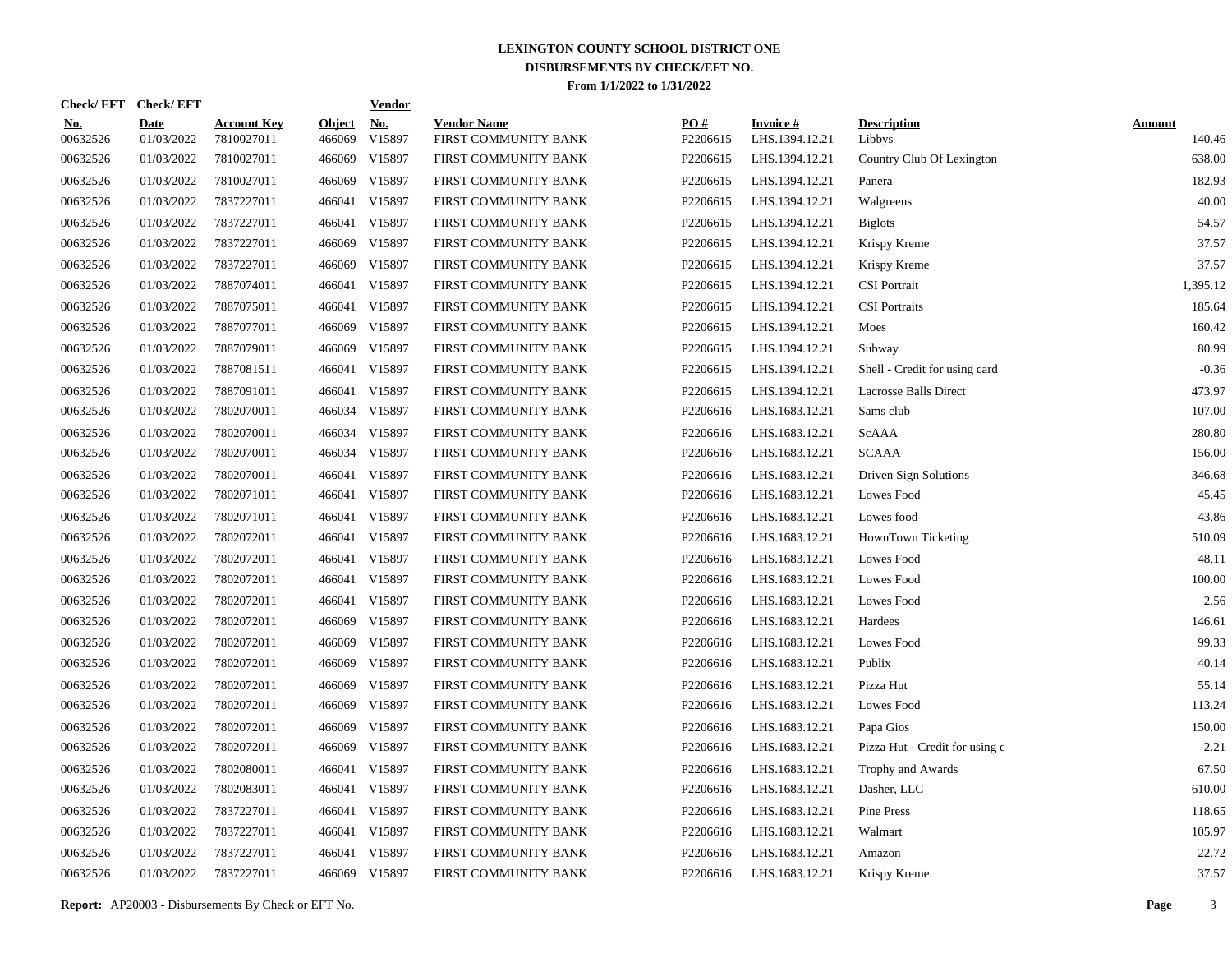| Check/EFT Check/EFT    |                           |                                  |                         | <b>Vendor</b>                         |                                            |                 |                                   |                                |                         |
|------------------------|---------------------------|----------------------------------|-------------------------|---------------------------------------|--------------------------------------------|-----------------|-----------------------------------|--------------------------------|-------------------------|
| <u>No.</u><br>00632526 | <b>Date</b><br>01/03/2022 | <b>Account Key</b><br>7810027011 | <b>Object</b><br>466069 | $\underline{\mathrm{No}}$ .<br>V15897 | <b>Vendor Name</b><br>FIRST COMMUNITY BANK | PO#<br>P2206615 | <b>Invoice#</b><br>LHS.1394.12.21 | <b>Description</b><br>Libbys   | <b>Amount</b><br>140.46 |
| 00632526               | 01/03/2022                | 7810027011                       | 466069                  | V15897                                | FIRST COMMUNITY BANK                       | P2206615        | LHS.1394.12.21                    | Country Club Of Lexington      | 638.00                  |
| 00632526               | 01/03/2022                | 7810027011                       | 466069                  | V15897                                | FIRST COMMUNITY BANK                       | P2206615        | LHS.1394.12.21                    | Panera                         | 182.93                  |
| 00632526               | 01/03/2022                | 7837227011                       | 466041                  | V15897                                | FIRST COMMUNITY BANK                       | P2206615        | LHS.1394.12.21                    | Walgreens                      | 40.00                   |
| 00632526               | 01/03/2022                | 7837227011                       | 466041                  | V15897                                | FIRST COMMUNITY BANK                       | P2206615        | LHS.1394.12.21                    | <b>Biglots</b>                 | 54.57                   |
| 00632526               | 01/03/2022                | 7837227011                       | 466069                  | V15897                                | FIRST COMMUNITY BANK                       | P2206615        | LHS.1394.12.21                    | Krispy Kreme                   | 37.57                   |
| 00632526               | 01/03/2022                | 7837227011                       | 466069                  | V15897                                | FIRST COMMUNITY BANK                       | P2206615        | LHS.1394.12.21                    | Krispy Kreme                   | 37.57                   |
| 00632526               | 01/03/2022                | 7887074011                       | 466041                  | V15897                                | FIRST COMMUNITY BANK                       | P2206615        | LHS.1394.12.21                    | <b>CSI</b> Portrait            | 1,395.12                |
| 00632526               | 01/03/2022                | 7887075011                       |                         | 466041 V15897                         | FIRST COMMUNITY BANK                       | P2206615        | LHS.1394.12.21                    | <b>CSI</b> Portraits           | 185.64                  |
| 00632526               | 01/03/2022                | 7887077011                       | 466069                  | V15897                                | FIRST COMMUNITY BANK                       | P2206615        | LHS.1394.12.21                    | Moes                           | 160.42                  |
| 00632526               | 01/03/2022                | 7887079011                       | 466069                  | V15897                                | FIRST COMMUNITY BANK                       | P2206615        | LHS.1394.12.21                    | Subway                         | 80.99                   |
| 00632526               | 01/03/2022                | 7887081511                       | 466041                  | V15897                                | FIRST COMMUNITY BANK                       | P2206615        | LHS.1394.12.21                    | Shell - Credit for using card  | $-0.36$                 |
| 00632526               | 01/03/2022                | 7887091011                       |                         | 466041 V15897                         | FIRST COMMUNITY BANK                       | P2206615        | LHS.1394.12.21                    | <b>Lacrosse Balls Direct</b>   | 473.97                  |
| 00632526               | 01/03/2022                | 7802070011                       |                         | 466034 V15897                         | FIRST COMMUNITY BANK                       | P2206616        | LHS.1683.12.21                    | Sams club                      | 107.00                  |
| 00632526               | 01/03/2022                | 7802070011                       |                         | 466034 V15897                         | FIRST COMMUNITY BANK                       | P2206616        | LHS.1683.12.21                    | ScAAA                          | 280.80                  |
| 00632526               | 01/03/2022                | 7802070011                       |                         | 466034 V15897                         | FIRST COMMUNITY BANK                       | P2206616        | LHS.1683.12.21                    | <b>SCAAA</b>                   | 156.00                  |
| 00632526               | 01/03/2022                | 7802070011                       | 466041                  | V15897                                | FIRST COMMUNITY BANK                       | P2206616        | LHS.1683.12.21                    | Driven Sign Solutions          | 346.68                  |
| 00632526               | 01/03/2022                | 7802071011                       |                         | 466041 V15897                         | FIRST COMMUNITY BANK                       | P2206616        | LHS.1683.12.21                    | Lowes Food                     | 45.45                   |
| 00632526               | 01/03/2022                | 7802071011                       | 466041                  | V15897                                | FIRST COMMUNITY BANK                       | P2206616        | LHS.1683.12.21                    | Lowes food                     | 43.86                   |
| 00632526               | 01/03/2022                | 7802072011                       |                         | 466041 V15897                         | FIRST COMMUNITY BANK                       | P2206616        | LHS.1683.12.21                    | HownTown Ticketing             | 510.09                  |
| 00632526               | 01/03/2022                | 7802072011                       | 466041                  | V15897                                | FIRST COMMUNITY BANK                       | P2206616        | LHS.1683.12.21                    | Lowes Food                     | 48.11                   |
| 00632526               | 01/03/2022                | 7802072011                       |                         | 466041 V15897                         | FIRST COMMUNITY BANK                       | P2206616        | LHS.1683.12.21                    | Lowes Food                     | 100.00                  |
| 00632526               | 01/03/2022                | 7802072011                       | 466041                  | V15897                                | FIRST COMMUNITY BANK                       | P2206616        | LHS.1683.12.21                    | Lowes Food                     | 2.56                    |
| 00632526               | 01/03/2022                | 7802072011                       | 466069                  | V15897                                | FIRST COMMUNITY BANK                       | P2206616        | LHS.1683.12.21                    | Hardees                        | 146.61                  |
| 00632526               | 01/03/2022                | 7802072011                       | 466069                  | V15897                                | FIRST COMMUNITY BANK                       | P2206616        | LHS.1683.12.21                    | Lowes Food                     | 99.33                   |
| 00632526               | 01/03/2022                | 7802072011                       | 466069                  | V15897                                | FIRST COMMUNITY BANK                       | P2206616        | LHS.1683.12.21                    | Publix                         | 40.14                   |
| 00632526               | 01/03/2022                | 7802072011                       | 466069                  | V15897                                | FIRST COMMUNITY BANK                       | P2206616        | LHS.1683.12.21                    | Pizza Hut                      | 55.14                   |
| 00632526               | 01/03/2022                | 7802072011                       | 466069                  | V15897                                | FIRST COMMUNITY BANK                       | P2206616        | LHS.1683.12.21                    | Lowes Food                     | 113.24                  |
| 00632526               | 01/03/2022                | 7802072011                       | 466069                  | V15897                                | FIRST COMMUNITY BANK                       | P2206616        | LHS.1683.12.21                    | Papa Gios                      | 150.00                  |
| 00632526               | 01/03/2022                | 7802072011                       | 466069                  | V15897                                | FIRST COMMUNITY BANK                       | P2206616        | LHS.1683.12.21                    | Pizza Hut - Credit for using c | $-2.21$                 |
| 00632526               | 01/03/2022                | 7802080011                       | 466041                  | V15897                                | FIRST COMMUNITY BANK                       | P2206616        | LHS.1683.12.21                    | Trophy and Awards              | 67.50                   |
| 00632526               | 01/03/2022                | 7802083011                       |                         | 466041 V15897                         | FIRST COMMUNITY BANK                       | P2206616        | LHS.1683.12.21                    | Dasher, LLC                    | 610.00                  |
| 00632526               | 01/03/2022                | 7837227011                       |                         | 466041 V15897                         | FIRST COMMUNITY BANK                       | P2206616        | LHS.1683.12.21                    | Pine Press                     | 118.65                  |
| 00632526               | 01/03/2022                | 7837227011                       |                         | 466041 V15897                         | FIRST COMMUNITY BANK                       | P2206616        | LHS.1683.12.21                    | Walmart                        | 105.97                  |
| 00632526               | 01/03/2022                | 7837227011                       |                         | 466041 V15897                         | FIRST COMMUNITY BANK                       | P2206616        | LHS.1683.12.21                    | Amazon                         | 22.72                   |
| 00632526               | 01/03/2022                | 7837227011                       |                         | 466069 V15897                         | FIRST COMMUNITY BANK                       | P2206616        | LHS.1683.12.21                    | Krispy Kreme                   | 37.57                   |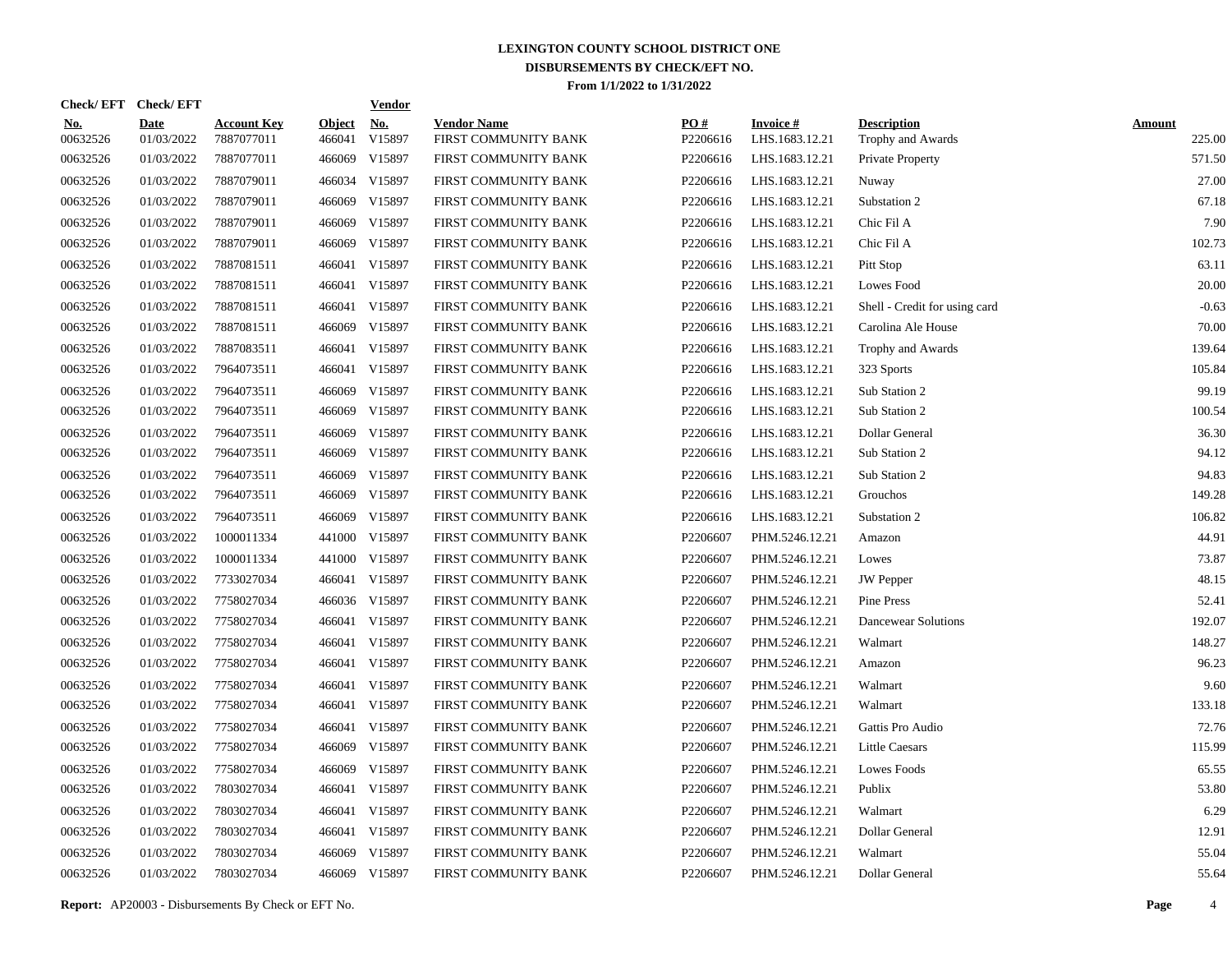| Check/EFT Check/EFT    |                           |                                  |                         | <u>Vendor</u>        |                                            |                 |                                   |                                         |                         |
|------------------------|---------------------------|----------------------------------|-------------------------|----------------------|--------------------------------------------|-----------------|-----------------------------------|-----------------------------------------|-------------------------|
| <u>No.</u><br>00632526 | <b>Date</b><br>01/03/2022 | <b>Account Key</b><br>7887077011 | <b>Object</b><br>466041 | <u>No.</u><br>V15897 | <b>Vendor Name</b><br>FIRST COMMUNITY BANK | PQ#<br>P2206616 | <b>Invoice#</b><br>LHS.1683.12.21 | <b>Description</b><br>Trophy and Awards | <b>Amount</b><br>225.00 |
| 00632526               | 01/03/2022                | 7887077011                       | 466069                  | V15897               | FIRST COMMUNITY BANK                       | P2206616        | LHS.1683.12.21                    | Private Property                        | 571.50                  |
| 00632526               | 01/03/2022                | 7887079011                       | 466034                  | V15897               | FIRST COMMUNITY BANK                       | P2206616        | LHS.1683.12.21                    | Nuway                                   | 27.00                   |
| 00632526               | 01/03/2022                | 7887079011                       | 466069                  | V15897               | FIRST COMMUNITY BANK                       | P2206616        | LHS.1683.12.21                    | Substation 2                            | 67.18                   |
| 00632526               | 01/03/2022                | 7887079011                       | 466069                  | V15897               | FIRST COMMUNITY BANK                       | P2206616        | LHS.1683.12.21                    | Chic Fil A                              | 7.90                    |
| 00632526               | 01/03/2022                | 7887079011                       | 466069                  | V15897               | FIRST COMMUNITY BANK                       | P2206616        | LHS.1683.12.21                    | Chic Fil A                              | 102.73                  |
| 00632526               | 01/03/2022                | 7887081511                       |                         | 466041 V15897        | FIRST COMMUNITY BANK                       | P2206616        | LHS.1683.12.21                    | Pitt Stop                               | 63.11                   |
| 00632526               | 01/03/2022                | 7887081511                       |                         | 466041 V15897        | FIRST COMMUNITY BANK                       | P2206616        | LHS.1683.12.21                    | Lowes Food                              | 20.00                   |
| 00632526               | 01/03/2022                | 7887081511                       |                         | 466041 V15897        | FIRST COMMUNITY BANK                       | P2206616        | LHS.1683.12.21                    | Shell - Credit for using card           | $-0.63$                 |
| 00632526               | 01/03/2022                | 7887081511                       |                         | 466069 V15897        | FIRST COMMUNITY BANK                       | P2206616        | LHS.1683.12.21                    | Carolina Ale House                      | 70.00                   |
| 00632526               | 01/03/2022                | 7887083511                       |                         | 466041 V15897        | FIRST COMMUNITY BANK                       | P2206616        | LHS.1683.12.21                    | Trophy and Awards                       | 139.64                  |
| 00632526               | 01/03/2022                | 7964073511                       |                         | 466041 V15897        | FIRST COMMUNITY BANK                       | P2206616        | LHS.1683.12.21                    | 323 Sports                              | 105.84                  |
| 00632526               | 01/03/2022                | 7964073511                       | 466069                  | V15897               | FIRST COMMUNITY BANK                       | P2206616        | LHS.1683.12.21                    | Sub Station 2                           | 99.19                   |
| 00632526               | 01/03/2022                | 7964073511                       | 466069                  | V15897               | FIRST COMMUNITY BANK                       | P2206616        | LHS.1683.12.21                    | Sub Station 2                           | 100.54                  |
| 00632526               | 01/03/2022                | 7964073511                       | 466069                  | V15897               | FIRST COMMUNITY BANK                       | P2206616        | LHS.1683.12.21                    | Dollar General                          | 36.30                   |
| 00632526               | 01/03/2022                | 7964073511                       | 466069                  | V15897               | FIRST COMMUNITY BANK                       | P2206616        | LHS.1683.12.21                    | Sub Station 2                           | 94.12                   |
| 00632526               | 01/03/2022                | 7964073511                       | 466069                  | V15897               | FIRST COMMUNITY BANK                       | P2206616        | LHS.1683.12.21                    | Sub Station 2                           | 94.83                   |
| 00632526               | 01/03/2022                | 7964073511                       | 466069                  | V15897               | FIRST COMMUNITY BANK                       | P2206616        | LHS.1683.12.21                    | Grouchos                                | 149.28                  |
| 00632526               | 01/03/2022                | 7964073511                       | 466069                  | V15897               | FIRST COMMUNITY BANK                       | P2206616        | LHS.1683.12.21                    | Substation 2                            | 106.82                  |
| 00632526               | 01/03/2022                | 1000011334                       |                         | 441000 V15897        | FIRST COMMUNITY BANK                       | P2206607        | PHM.5246.12.21                    | Amazon                                  | 44.91                   |
| 00632526               | 01/03/2022                | 1000011334                       |                         | 441000 V15897        | FIRST COMMUNITY BANK                       | P2206607        | PHM.5246.12.21                    | Lowes                                   | 73.87                   |
| 00632526               | 01/03/2022                | 7733027034                       |                         | 466041 V15897        | FIRST COMMUNITY BANK                       | P2206607        | PHM.5246.12.21                    | <b>JW</b> Pepper                        | 48.15                   |
| 00632526               | 01/03/2022                | 7758027034                       |                         | 466036 V15897        | FIRST COMMUNITY BANK                       | P2206607        | PHM.5246.12.21                    | Pine Press                              | 52.41                   |
| 00632526               | 01/03/2022                | 7758027034                       |                         | 466041 V15897        | FIRST COMMUNITY BANK                       | P2206607        | PHM.5246.12.21                    | Dancewear Solutions                     | 192.07                  |
| 00632526               | 01/03/2022                | 7758027034                       |                         | 466041 V15897        | FIRST COMMUNITY BANK                       | P2206607        | PHM.5246.12.21                    | Walmart                                 | 148.27                  |
| 00632526               | 01/03/2022                | 7758027034                       |                         | 466041 V15897        | FIRST COMMUNITY BANK                       | P2206607        | PHM.5246.12.21                    | Amazon                                  | 96.23                   |
| 00632526               | 01/03/2022                | 7758027034                       |                         | 466041 V15897        | FIRST COMMUNITY BANK                       | P2206607        | PHM.5246.12.21                    | Walmart                                 | 9.60                    |
| 00632526               | 01/03/2022                | 7758027034                       |                         | 466041 V15897        | FIRST COMMUNITY BANK                       | P2206607        | PHM.5246.12.21                    | Walmart                                 | 133.18                  |
| 00632526               | 01/03/2022                | 7758027034                       |                         | 466041 V15897        | FIRST COMMUNITY BANK                       | P2206607        | PHM.5246.12.21                    | Gattis Pro Audio                        | 72.76                   |
| 00632526               | 01/03/2022                | 7758027034                       | 466069                  | V15897               | FIRST COMMUNITY BANK                       | P2206607        | PHM.5246.12.21                    | <b>Little Caesars</b>                   | 115.99                  |
| 00632526               | 01/03/2022                | 7758027034                       | 466069                  | V15897               | FIRST COMMUNITY BANK                       | P2206607        | PHM.5246.12.21                    | <b>Lowes Foods</b>                      | 65.55                   |
| 00632526               | 01/03/2022                | 7803027034                       | 466041                  | V15897               | FIRST COMMUNITY BANK                       | P2206607        | PHM.5246.12.21                    | Publix                                  | 53.80                   |
| 00632526               | 01/03/2022                | 7803027034                       |                         | 466041 V15897        | FIRST COMMUNITY BANK                       | P2206607        | PHM.5246.12.21                    | Walmart                                 | 6.29                    |
| 00632526               | 01/03/2022                | 7803027034                       | 466041                  | V15897               | FIRST COMMUNITY BANK                       | P2206607        | PHM.5246.12.21                    | Dollar General                          | 12.91                   |
| 00632526               | 01/03/2022                | 7803027034                       | 466069                  | V15897               | FIRST COMMUNITY BANK                       | P2206607        | PHM.5246.12.21                    | Walmart                                 | 55.04                   |
| 00632526               | 01/03/2022                | 7803027034                       |                         | 466069 V15897        | FIRST COMMUNITY BANK                       | P2206607        | PHM.5246.12.21                    | Dollar General                          | 55.64                   |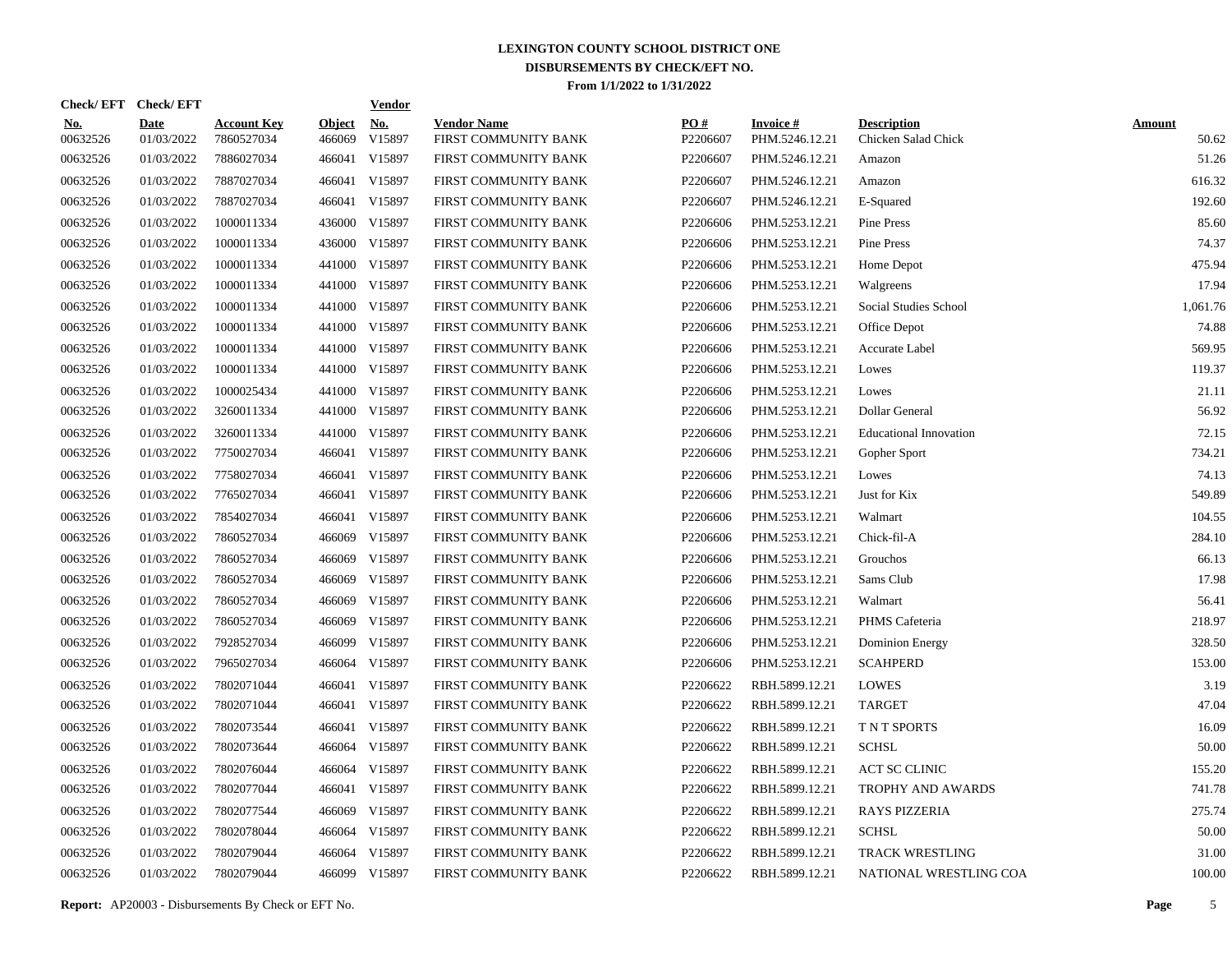| Check/EFT Check/EFT    |                           |                                  |                         | <b>Vendor</b>        |                                            |                 |                                   |                                           |                        |
|------------------------|---------------------------|----------------------------------|-------------------------|----------------------|--------------------------------------------|-----------------|-----------------------------------|-------------------------------------------|------------------------|
| <u>No.</u><br>00632526 | <b>Date</b><br>01/03/2022 | <b>Account Key</b><br>7860527034 | <b>Object</b><br>466069 | <u>No.</u><br>V15897 | <b>Vendor Name</b><br>FIRST COMMUNITY BANK | PQ#<br>P2206607 | <b>Invoice#</b><br>PHM.5246.12.21 | <b>Description</b><br>Chicken Salad Chick | <b>Amount</b><br>50.62 |
| 00632526               | 01/03/2022                | 7886027034                       | 466041                  | V15897               | FIRST COMMUNITY BANK                       | P2206607        | PHM.5246.12.21                    | Amazon                                    | 51.26                  |
| 00632526               | 01/03/2022                | 7887027034                       |                         | 466041 V15897        | FIRST COMMUNITY BANK                       | P2206607        | PHM.5246.12.21                    | Amazon                                    | 616.32                 |
| 00632526               | 01/03/2022                | 7887027034                       |                         | 466041 V15897        | FIRST COMMUNITY BANK                       | P2206607        | PHM.5246.12.21                    | E-Squared                                 | 192.60                 |
| 00632526               | 01/03/2022                | 1000011334                       |                         | 436000 V15897        | FIRST COMMUNITY BANK                       | P2206606        | PHM.5253.12.21                    | Pine Press                                | 85.60                  |
| 00632526               | 01/03/2022                | 1000011334                       |                         | 436000 V15897        | FIRST COMMUNITY BANK                       | P2206606        | PHM.5253.12.21                    | Pine Press                                | 74.37                  |
| 00632526               | 01/03/2022                | 1000011334                       |                         | 441000 V15897        | FIRST COMMUNITY BANK                       | P2206606        | PHM.5253.12.21                    | Home Depot                                | 475.94                 |
| 00632526               | 01/03/2022                | 1000011334                       |                         | 441000 V15897        | FIRST COMMUNITY BANK                       | P2206606        | PHM.5253.12.21                    | Walgreens                                 | 17.94                  |
| 00632526               | 01/03/2022                | 1000011334                       |                         | 441000 V15897        | FIRST COMMUNITY BANK                       | P2206606        | PHM.5253.12.21                    | Social Studies School                     | 1,061.76               |
| 00632526               | 01/03/2022                | 1000011334                       |                         | 441000 V15897        | FIRST COMMUNITY BANK                       | P2206606        | PHM.5253.12.21                    | Office Depot                              | 74.88                  |
| 00632526               | 01/03/2022                | 1000011334                       |                         | 441000 V15897        | FIRST COMMUNITY BANK                       | P2206606        | PHM.5253.12.21                    | Accurate Label                            | 569.95                 |
| 00632526               | 01/03/2022                | 1000011334                       |                         | 441000 V15897        | FIRST COMMUNITY BANK                       | P2206606        | PHM.5253.12.21                    | Lowes                                     | 119.37                 |
| 00632526               | 01/03/2022                | 1000025434                       |                         | 441000 V15897        | FIRST COMMUNITY BANK                       | P2206606        | PHM.5253.12.21                    | Lowes                                     | 21.11                  |
| 00632526               | 01/03/2022                | 3260011334                       |                         | 441000 V15897        | FIRST COMMUNITY BANK                       | P2206606        | PHM.5253.12.21                    | Dollar General                            | 56.92                  |
| 00632526               | 01/03/2022                | 3260011334                       |                         | 441000 V15897        | FIRST COMMUNITY BANK                       | P2206606        | PHM.5253.12.21                    | <b>Educational Innovation</b>             | 72.15                  |
| 00632526               | 01/03/2022                | 7750027034                       |                         | 466041 V15897        | FIRST COMMUNITY BANK                       | P2206606        | PHM.5253.12.21                    | Gopher Sport                              | 734.21                 |
| 00632526               | 01/03/2022                | 7758027034                       |                         | 466041 V15897        | FIRST COMMUNITY BANK                       | P2206606        | PHM.5253.12.21                    | Lowes                                     | 74.13                  |
| 00632526               | 01/03/2022                | 7765027034                       |                         | 466041 V15897        | FIRST COMMUNITY BANK                       | P2206606        | PHM.5253.12.21                    | Just for Kix                              | 549.89                 |
| 00632526               | 01/03/2022                | 7854027034                       |                         | 466041 V15897        | FIRST COMMUNITY BANK                       | P2206606        | PHM.5253.12.21                    | Walmart                                   | 104.55                 |
| 00632526               | 01/03/2022                | 7860527034                       | 466069                  | V15897               | FIRST COMMUNITY BANK                       | P2206606        | PHM.5253.12.21                    | Chick-fil-A                               | 284.10                 |
| 00632526               | 01/03/2022                | 7860527034                       | 466069                  | V15897               | FIRST COMMUNITY BANK                       | P2206606        | PHM.5253.12.21                    | Grouchos                                  | 66.13                  |
| 00632526               | 01/03/2022                | 7860527034                       | 466069                  | V15897               | FIRST COMMUNITY BANK                       | P2206606        | PHM.5253.12.21                    | Sams Club                                 | 17.98                  |
| 00632526               | 01/03/2022                | 7860527034                       | 466069                  | V15897               | FIRST COMMUNITY BANK                       | P2206606        | PHM.5253.12.21                    | Walmart                                   | 56.41                  |
| 00632526               | 01/03/2022                | 7860527034                       | 466069                  | V15897               | FIRST COMMUNITY BANK                       | P2206606        | PHM.5253.12.21                    | PHMS Cafeteria                            | 218.97                 |
| 00632526               | 01/03/2022                | 7928527034                       | 466099                  | V15897               | FIRST COMMUNITY BANK                       | P2206606        | PHM.5253.12.21                    | Dominion Energy                           | 328.50                 |
| 00632526               | 01/03/2022                | 7965027034                       | 466064                  | V15897               | FIRST COMMUNITY BANK                       | P2206606        | PHM.5253.12.21                    | <b>SCAHPERD</b>                           | 153.00                 |
| 00632526               | 01/03/2022                | 7802071044                       |                         | 466041 V15897        | FIRST COMMUNITY BANK                       | P2206622        | RBH.5899.12.21                    | LOWES                                     | 3.19                   |
| 00632526               | 01/03/2022                | 7802071044                       |                         | 466041 V15897        | FIRST COMMUNITY BANK                       | P2206622        | RBH.5899.12.21                    | <b>TARGET</b>                             | 47.04                  |
| 00632526               | 01/03/2022                | 7802073544                       |                         | 466041 V15897        | FIRST COMMUNITY BANK                       | P2206622        | RBH.5899.12.21                    | T N T SPORTS                              | 16.09                  |
| 00632526               | 01/03/2022                | 7802073644                       |                         | 466064 V15897        | FIRST COMMUNITY BANK                       | P2206622        | RBH.5899.12.21                    | <b>SCHSL</b>                              | 50.00                  |
| 00632526               | 01/03/2022                | 7802076044                       |                         | 466064 V15897        | FIRST COMMUNITY BANK                       | P2206622        | RBH.5899.12.21                    | ACT SC CLINIC                             | 155.20                 |
| 00632526               | 01/03/2022                | 7802077044                       |                         | 466041 V15897        | FIRST COMMUNITY BANK                       | P2206622        | RBH.5899.12.21                    | TROPHY AND AWARDS                         | 741.78                 |
| 00632526               | 01/03/2022                | 7802077544                       | 466069                  | V15897               | FIRST COMMUNITY BANK                       | P2206622        | RBH.5899.12.21                    | <b>RAYS PIZZERIA</b>                      | 275.74                 |
| 00632526               | 01/03/2022                | 7802078044                       |                         | 466064 V15897        | FIRST COMMUNITY BANK                       | P2206622        | RBH.5899.12.21                    | <b>SCHSL</b>                              | 50.00                  |
| 00632526               | 01/03/2022                | 7802079044                       |                         | 466064 V15897        | FIRST COMMUNITY BANK                       | P2206622        | RBH.5899.12.21                    | <b>TRACK WRESTLING</b>                    | 31.00                  |
| 00632526               | 01/03/2022                | 7802079044                       |                         | 466099 V15897        | FIRST COMMUNITY BANK                       | P2206622        | RBH.5899.12.21                    | NATIONAL WRESTLING COA                    | 100.00                 |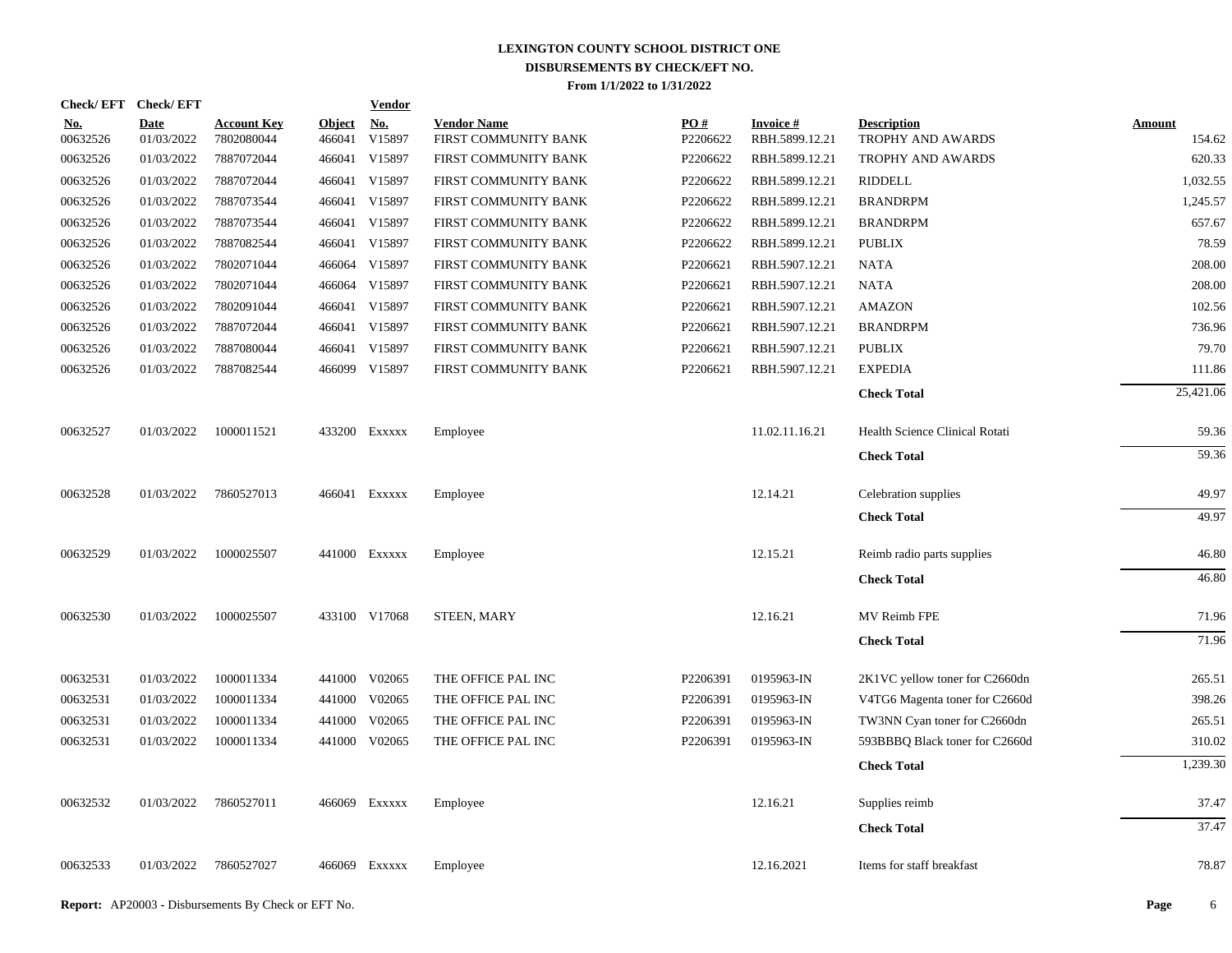| Check/EFT Check/EFT    |                           |                                  |                         | <b>Vendor</b>        |                                            |                 |                                   |                                         |                         |
|------------------------|---------------------------|----------------------------------|-------------------------|----------------------|--------------------------------------------|-----------------|-----------------------------------|-----------------------------------------|-------------------------|
| <u>No.</u><br>00632526 | <b>Date</b><br>01/03/2022 | <b>Account Key</b><br>7802080044 | <b>Object</b><br>466041 | <u>No.</u><br>V15897 | <b>Vendor Name</b><br>FIRST COMMUNITY BANK | PQ#<br>P2206622 | <b>Invoice#</b><br>RBH.5899.12.21 | <b>Description</b><br>TROPHY AND AWARDS | <b>Amount</b><br>154.62 |
| 00632526               | 01/03/2022                | 7887072044                       |                         | 466041 V15897        | FIRST COMMUNITY BANK                       | P2206622        | RBH.5899.12.21                    | TROPHY AND AWARDS                       | 620.33                  |
| 00632526               | 01/03/2022                | 7887072044                       | 466041                  | V15897               | FIRST COMMUNITY BANK                       | P2206622        | RBH.5899.12.21                    | RIDDELL                                 | 1,032.55                |
| 00632526               | 01/03/2022                | 7887073544                       |                         | 466041 V15897        | FIRST COMMUNITY BANK                       | P2206622        | RBH.5899.12.21                    | <b>BRANDRPM</b>                         | 1,245.57                |
| 00632526               | 01/03/2022                | 7887073544                       |                         | 466041 V15897        | FIRST COMMUNITY BANK                       | P2206622        | RBH.5899.12.21                    | <b>BRANDRPM</b>                         | 657.67                  |
| 00632526               | 01/03/2022                | 7887082544                       |                         | 466041 V15897        | FIRST COMMUNITY BANK                       | P2206622        | RBH.5899.12.21                    | <b>PUBLIX</b>                           | 78.59                   |
| 00632526               | 01/03/2022                | 7802071044                       |                         | 466064 V15897        | FIRST COMMUNITY BANK                       | P2206621        | RBH.5907.12.21                    | <b>NATA</b>                             | 208.00                  |
| 00632526               | 01/03/2022                | 7802071044                       |                         | 466064 V15897        | FIRST COMMUNITY BANK                       | P2206621        | RBH.5907.12.21                    | NATA                                    | 208.00                  |
| 00632526               | 01/03/2022                | 7802091044                       |                         | 466041 V15897        | FIRST COMMUNITY BANK                       | P2206621        | RBH.5907.12.21                    | <b>AMAZON</b>                           | 102.56                  |
| 00632526               | 01/03/2022                | 7887072044                       |                         | 466041 V15897        | FIRST COMMUNITY BANK                       | P2206621        | RBH.5907.12.21                    | <b>BRANDRPM</b>                         | 736.96                  |
| 00632526               | 01/03/2022                | 7887080044                       |                         | 466041 V15897        | FIRST COMMUNITY BANK                       | P2206621        | RBH.5907.12.21                    | <b>PUBLIX</b>                           | 79.70                   |
| 00632526               | 01/03/2022                | 7887082544                       |                         | 466099 V15897        | FIRST COMMUNITY BANK                       | P2206621        | RBH.5907.12.21                    | <b>EXPEDIA</b>                          | 111.86                  |
|                        |                           |                                  |                         |                      |                                            |                 |                                   | <b>Check Total</b>                      | 25,421.06               |
| 00632527               | 01/03/2022                | 1000011521                       |                         | 433200 Exxxxx        | Employee                                   |                 | 11.02.11.16.21                    | Health Science Clinical Rotati          | 59.36                   |
|                        |                           |                                  |                         |                      |                                            |                 |                                   | <b>Check Total</b>                      | 59.36                   |
| 00632528               | 01/03/2022                | 7860527013                       |                         | 466041 Exxxxx        | Employee                                   |                 | 12.14.21                          | Celebration supplies                    | 49.97                   |
|                        |                           |                                  |                         |                      |                                            |                 |                                   | <b>Check Total</b>                      | 49.97                   |
| 00632529               | 01/03/2022                | 1000025507                       |                         | 441000 EXXXXX        | Employee                                   |                 | 12.15.21                          | Reimb radio parts supplies              | 46.80                   |
|                        |                           |                                  |                         |                      |                                            |                 |                                   | <b>Check Total</b>                      | 46.80                   |
| 00632530               | 01/03/2022                | 1000025507                       |                         | 433100 V17068        | <b>STEEN, MARY</b>                         |                 | 12.16.21                          | MV Reimb FPE                            | 71.96                   |
|                        |                           |                                  |                         |                      |                                            |                 |                                   | <b>Check Total</b>                      | 71.96                   |
| 00632531               | 01/03/2022                | 1000011334                       |                         | 441000 V02065        | THE OFFICE PAL INC                         | P2206391        | 0195963-IN                        | 2K1VC yellow toner for C2660dn          | 265.51                  |
| 00632531               | 01/03/2022                | 1000011334                       |                         | 441000 V02065        | THE OFFICE PAL INC                         | P2206391        | 0195963-IN                        | V4TG6 Magenta toner for C2660d          | 398.26                  |
| 00632531               | 01/03/2022                | 1000011334                       | 441000                  | V02065               | THE OFFICE PAL INC                         | P2206391        | 0195963-IN                        | TW3NN Cyan toner for C2660dn            | 265.51                  |
| 00632531               | 01/03/2022                | 1000011334                       |                         | 441000 V02065        | THE OFFICE PAL INC                         | P2206391        | 0195963-IN                        | 593BBBQ Black toner for C2660d          | 310.02                  |
|                        |                           |                                  |                         |                      |                                            |                 |                                   | <b>Check Total</b>                      | 1,239.30                |
| 00632532               | 01/03/2022                | 7860527011                       |                         | 466069 Exxxxx        | Employee                                   |                 | 12.16.21                          | Supplies reimb                          | 37.47                   |
|                        |                           |                                  |                         |                      |                                            |                 |                                   | <b>Check Total</b>                      | 37.47                   |
| 00632533               | 01/03/2022                | 7860527027                       |                         | 466069 Exxxxx        | Employee                                   |                 | 12.16.2021                        | Items for staff breakfast               | 78.87                   |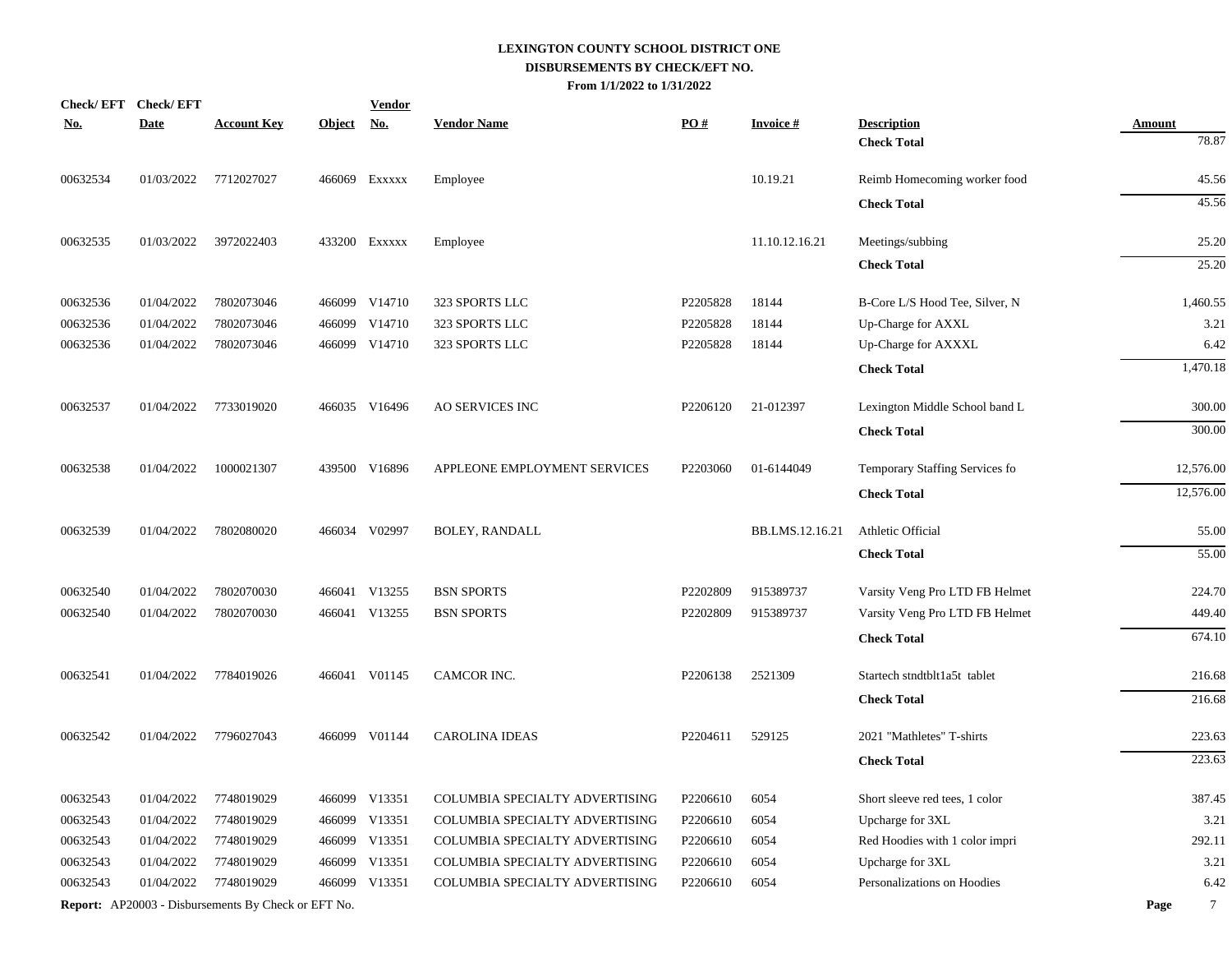|            | Check/EFT Check/EFT |                                                            |            | <b>Vendor</b> |                                |                   |                 |                                |                |
|------------|---------------------|------------------------------------------------------------|------------|---------------|--------------------------------|-------------------|-----------------|--------------------------------|----------------|
| <u>No.</u> | <b>Date</b>         | <b>Account Key</b>                                         | Object No. |               | <b>Vendor Name</b>             | $\underline{PO#}$ | <b>Invoice#</b> | <b>Description</b>             | <b>Amount</b>  |
|            |                     |                                                            |            |               |                                |                   |                 | <b>Check Total</b>             | 78.87          |
| 00632534   | 01/03/2022          | 7712027027                                                 |            | 466069 Exxxxx | Employee                       |                   | 10.19.21        | Reimb Homecoming worker food   | 45.56          |
|            |                     |                                                            |            |               |                                |                   |                 | <b>Check Total</b>             | 45.56          |
| 00632535   | 01/03/2022          | 3972022403                                                 |            | 433200 Exxxxx | Employee                       |                   | 11.10.12.16.21  | Meetings/subbing               | 25.20          |
|            |                     |                                                            |            |               |                                |                   |                 | <b>Check Total</b>             | 25.20          |
| 00632536   | 01/04/2022          | 7802073046                                                 |            | 466099 V14710 | 323 SPORTS LLC                 | P2205828          | 18144           | B-Core L/S Hood Tee, Silver, N | 1,460.55       |
| 00632536   | 01/04/2022          | 7802073046                                                 | 466099     | V14710        | 323 SPORTS LLC                 | P2205828          | 18144           | Up-Charge for AXXL             | 3.21           |
| 00632536   | 01/04/2022          | 7802073046                                                 |            | 466099 V14710 | 323 SPORTS LLC                 | P2205828          | 18144           | Up-Charge for AXXXL            | 6.42           |
|            |                     |                                                            |            |               |                                |                   |                 | <b>Check Total</b>             | 1,470.18       |
| 00632537   | 01/04/2022          | 7733019020                                                 |            | 466035 V16496 | <b>AO SERVICES INC</b>         | P2206120          | 21-012397       | Lexington Middle School band L | 300.00         |
|            |                     |                                                            |            |               |                                |                   |                 | <b>Check Total</b>             | 300.00         |
| 00632538   | 01/04/2022          | 1000021307                                                 |            | 439500 V16896 | APPLEONE EMPLOYMENT SERVICES   | P2203060          | 01-6144049      | Temporary Staffing Services fo | 12,576.00      |
|            |                     |                                                            |            |               |                                |                   |                 | <b>Check Total</b>             | 12,576.00      |
| 00632539   | 01/04/2022          | 7802080020                                                 |            | 466034 V02997 | BOLEY, RANDALL                 |                   | BB.LMS.12.16.21 | Athletic Official              | 55.00          |
|            |                     |                                                            |            |               |                                |                   |                 | <b>Check Total</b>             | 55.00          |
| 00632540   | 01/04/2022          | 7802070030                                                 |            | 466041 V13255 | <b>BSN SPORTS</b>              | P2202809          | 915389737       | Varsity Veng Pro LTD FB Helmet | 224.70         |
| 00632540   | 01/04/2022          | 7802070030                                                 |            | 466041 V13255 | <b>BSN SPORTS</b>              | P2202809          | 915389737       | Varsity Veng Pro LTD FB Helmet | 449.40         |
|            |                     |                                                            |            |               |                                |                   |                 | <b>Check Total</b>             | 674.10         |
| 00632541   | 01/04/2022          | 7784019026                                                 |            | 466041 V01145 | CAMCOR INC.                    | P2206138          | 2521309         | Startech stndtblt1a5t tablet   | 216.68         |
|            |                     |                                                            |            |               |                                |                   |                 | <b>Check Total</b>             | 216.68         |
| 00632542   | 01/04/2022          | 7796027043                                                 |            | 466099 V01144 | <b>CAROLINA IDEAS</b>          | P2204611          | 529125          | 2021 "Mathletes" T-shirts      | 223.63         |
|            |                     |                                                            |            |               |                                |                   |                 | <b>Check Total</b>             | 223.63         |
| 00632543   | 01/04/2022          | 7748019029                                                 |            | 466099 V13351 | COLUMBIA SPECIALTY ADVERTISING | P2206610          | 6054            | Short sleeve red tees, 1 color | 387.45         |
| 00632543   | 01/04/2022          | 7748019029                                                 |            | 466099 V13351 | COLUMBIA SPECIALTY ADVERTISING | P2206610          | 6054            | Upcharge for 3XL               | 3.21           |
| 00632543   | 01/04/2022          | 7748019029                                                 |            | 466099 V13351 | COLUMBIA SPECIALTY ADVERTISING | P2206610          | 6054            | Red Hoodies with 1 color impri | 292.11         |
| 00632543   | 01/04/2022          | 7748019029                                                 |            | 466099 V13351 | COLUMBIA SPECIALTY ADVERTISING | P2206610          | 6054            | Upcharge for 3XL               | 3.21           |
| 00632543   | 01/04/2022          | 7748019029                                                 |            | 466099 V13351 | COLUMBIA SPECIALTY ADVERTISING | P2206610          | 6054            | Personalizations on Hoodies    | 6.42           |
|            |                     | <b>Report:</b> AP20003 - Disbursements By Check or EFT No. |            |               |                                |                   |                 |                                | $\tau$<br>Page |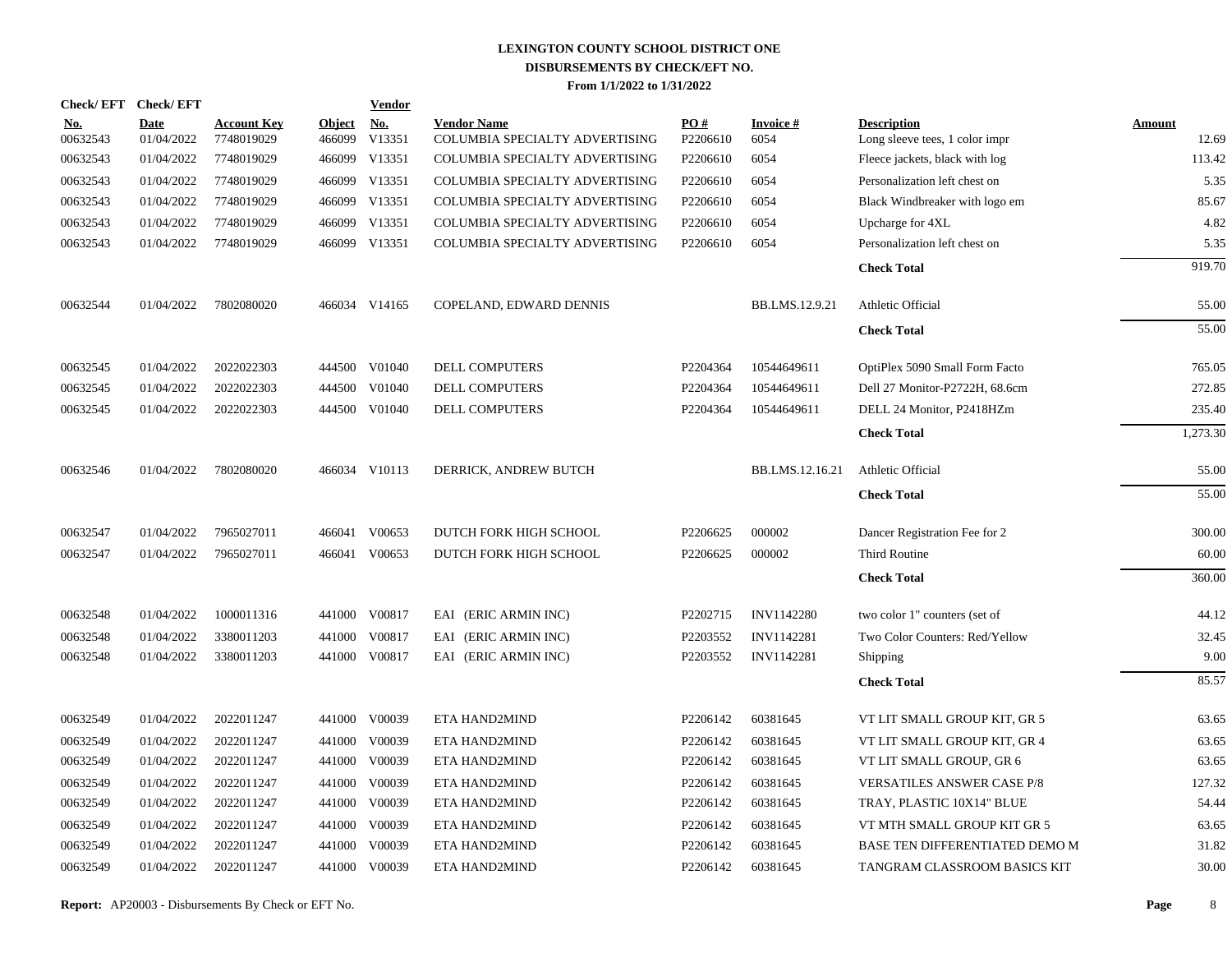|                        | Check/EFT Check/EFT |                                  |                         | <b>Vendor</b>                         |                                                      |                               |                         |                                                      |                        |
|------------------------|---------------------|----------------------------------|-------------------------|---------------------------------------|------------------------------------------------------|-------------------------------|-------------------------|------------------------------------------------------|------------------------|
| <u>No.</u><br>00632543 | Date<br>01/04/2022  | <b>Account Key</b><br>7748019029 | <b>Object</b><br>466099 | $\underline{\mathrm{No}}$ .<br>V13351 | <b>Vendor Name</b><br>COLUMBIA SPECIALTY ADVERTISING | $\underline{PO#}$<br>P2206610 | <b>Invoice#</b><br>6054 | <b>Description</b><br>Long sleeve tees, 1 color impr | <b>Amount</b><br>12.69 |
| 00632543               | 01/04/2022          | 7748019029                       |                         | 466099 V13351                         | COLUMBIA SPECIALTY ADVERTISING                       | P2206610                      | 6054                    | Fleece jackets, black with log                       | 113.42                 |
| 00632543               | 01/04/2022          | 7748019029                       |                         | 466099 V13351                         | COLUMBIA SPECIALTY ADVERTISING                       | P2206610                      | 6054                    | Personalization left chest on                        | 5.35                   |
| 00632543               | 01/04/2022          | 7748019029                       |                         | 466099 V13351                         | COLUMBIA SPECIALTY ADVERTISING                       | P2206610                      | 6054                    | Black Windbreaker with logo em                       | 85.67                  |
| 00632543               | 01/04/2022          | 7748019029                       |                         | 466099 V13351                         | COLUMBIA SPECIALTY ADVERTISING                       | P2206610                      | 6054                    | Upcharge for 4XL                                     | 4.82                   |
| 00632543               | 01/04/2022          | 7748019029                       |                         | 466099 V13351                         | COLUMBIA SPECIALTY ADVERTISING                       | P2206610                      | 6054                    | Personalization left chest on                        | 5.35                   |
|                        |                     |                                  |                         |                                       |                                                      |                               |                         | <b>Check Total</b>                                   | 919.70                 |
| 00632544               | 01/04/2022          | 7802080020                       |                         | 466034 V14165                         | COPELAND, EDWARD DENNIS                              |                               | BB.LMS.12.9.21          | Athletic Official                                    | 55.00                  |
|                        |                     |                                  |                         |                                       |                                                      |                               |                         | <b>Check Total</b>                                   | 55.00                  |
| 00632545               | 01/04/2022          | 2022022303                       |                         | 444500 V01040                         | DELL COMPUTERS                                       | P2204364                      | 10544649611             | OptiPlex 5090 Small Form Facto                       | 765.05                 |
| 00632545               | 01/04/2022          | 2022022303                       |                         | 444500 V01040                         | DELL COMPUTERS                                       | P2204364                      | 10544649611             | Dell 27 Monitor-P2722H, 68.6cm                       | 272.85                 |
| 00632545               | 01/04/2022          | 2022022303                       |                         | 444500 V01040                         | DELL COMPUTERS                                       | P2204364                      | 10544649611             | DELL 24 Monitor, P2418HZm                            | 235.40                 |
|                        |                     |                                  |                         |                                       |                                                      |                               |                         | <b>Check Total</b>                                   | 1,273.30               |
| 00632546               | 01/04/2022          | 7802080020                       |                         | 466034 V10113                         | DERRICK, ANDREW BUTCH                                |                               | BB.LMS.12.16.21         | Athletic Official                                    | 55.00                  |
|                        |                     |                                  |                         |                                       |                                                      |                               |                         | <b>Check Total</b>                                   | 55.00                  |
| 00632547               | 01/04/2022          | 7965027011                       |                         | 466041 V00653                         | DUTCH FORK HIGH SCHOOL                               | P2206625                      | 000002                  | Dancer Registration Fee for 2                        | 300.00                 |
| 00632547               | 01/04/2022          | 7965027011                       |                         | 466041 V00653                         | DUTCH FORK HIGH SCHOOL                               | P2206625                      | 000002                  | Third Routine                                        | 60.00                  |
|                        |                     |                                  |                         |                                       |                                                      |                               |                         | <b>Check Total</b>                                   | 360.00                 |
| 00632548               | 01/04/2022          | 1000011316                       |                         | 441000 V00817                         | EAI (ERIC ARMIN INC)                                 | P2202715                      | INV1142280              | two color 1" counters (set of                        | 44.12                  |
| 00632548               | 01/04/2022          | 3380011203                       | 441000                  | V00817                                | EAI (ERIC ARMIN INC)                                 | P2203552                      | INV1142281              | Two Color Counters: Red/Yellow                       | 32.45                  |
| 00632548               | 01/04/2022          | 3380011203                       |                         | 441000 V00817                         | EAI (ERIC ARMIN INC)                                 | P2203552                      | INV1142281              | Shipping                                             | 9.00                   |
|                        |                     |                                  |                         |                                       |                                                      |                               |                         | <b>Check Total</b>                                   | 85.57                  |
| 00632549               | 01/04/2022          | 2022011247                       |                         | 441000 V00039                         | ETA HAND2MIND                                        | P2206142                      | 60381645                | VT LIT SMALL GROUP KIT, GR 5                         | 63.65                  |
| 00632549               | 01/04/2022          | 2022011247                       |                         | 441000 V00039                         | ETA HAND2MIND                                        | P2206142                      | 60381645                | VT LIT SMALL GROUP KIT, GR 4                         | 63.65                  |
| 00632549               | 01/04/2022          | 2022011247                       |                         | 441000 V00039                         | ETA HAND2MIND                                        | P2206142                      | 60381645                | VT LIT SMALL GROUP, GR 6                             | 63.65                  |
| 00632549               | 01/04/2022          | 2022011247                       |                         | 441000 V00039                         | ETA HAND2MIND                                        | P2206142                      | 60381645                | <b>VERSATILES ANSWER CASE P/8</b>                    | 127.32                 |
| 00632549               | 01/04/2022          | 2022011247                       | 441000                  | V00039                                | ETA HAND2MIND                                        | P2206142                      | 60381645                | TRAY, PLASTIC 10X14" BLUE                            | 54.44                  |
| 00632549               | 01/04/2022          | 2022011247                       | 441000                  | V00039                                | ETA HAND2MIND                                        | P2206142                      | 60381645                | VT MTH SMALL GROUP KIT GR 5                          | 63.65                  |
| 00632549               | 01/04/2022          | 2022011247                       | 441000                  | V00039                                | ETA HAND2MIND                                        | P2206142                      | 60381645                | BASE TEN DIFFERENTIATED DEMO M                       | 31.82                  |
| 00632549               | 01/04/2022          | 2022011247                       |                         | 441000 V00039                         | ETA HAND2MIND                                        | P2206142                      | 60381645                | TANGRAM CLASSROOM BASICS KIT                         | 30.00                  |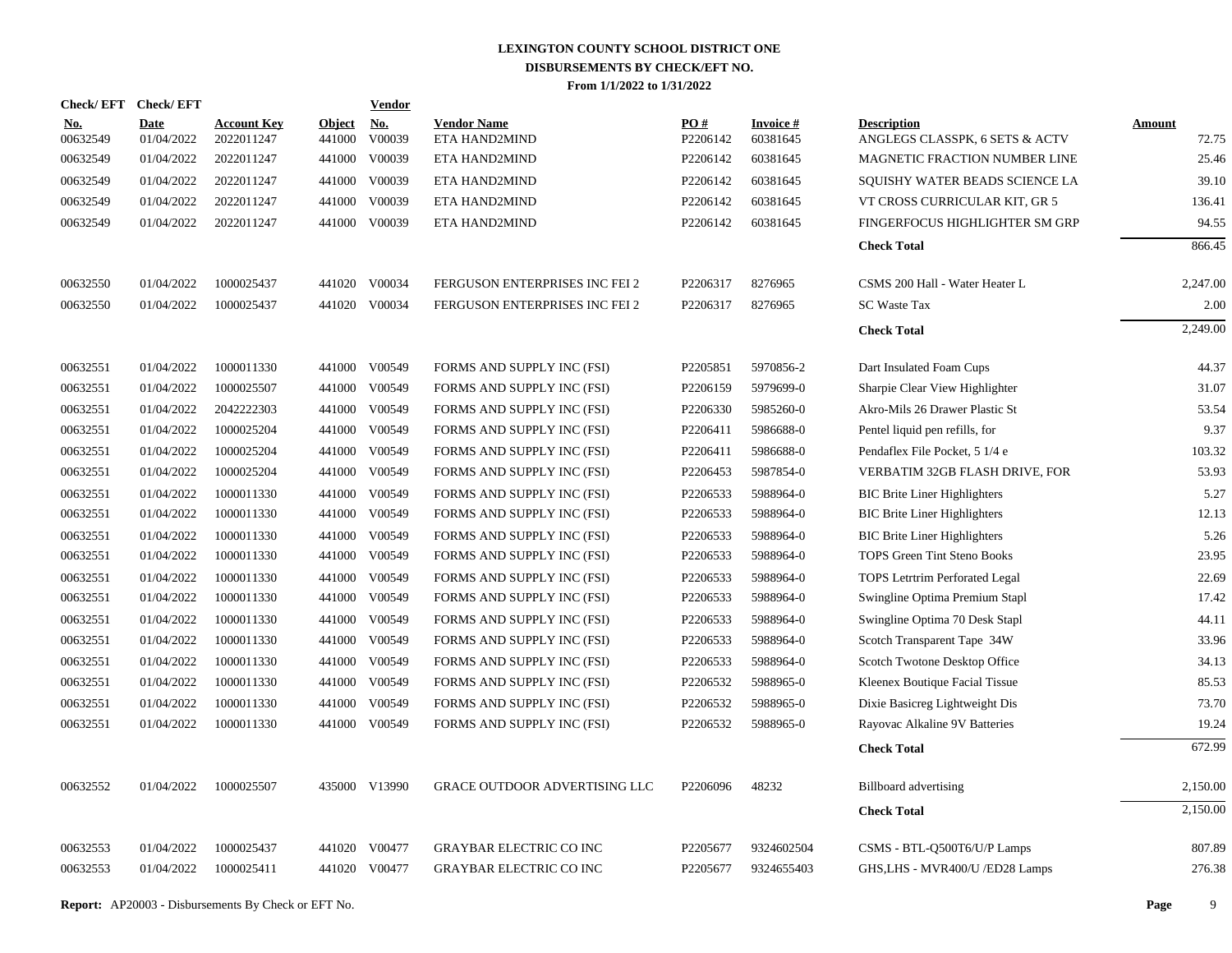|                 | Check/EFT Check/EFT |                                  |                         | Vendor        |                                      |                 |                             |                                                      |                        |
|-----------------|---------------------|----------------------------------|-------------------------|---------------|--------------------------------------|-----------------|-----------------------------|------------------------------------------------------|------------------------|
| No.<br>00632549 | Date<br>01/04/2022  | <b>Account Key</b><br>2022011247 | <b>Object</b><br>441000 | No.<br>V00039 | <b>Vendor Name</b><br>ETA HAND2MIND  | PO#<br>P2206142 | <b>Invoice#</b><br>60381645 | <b>Description</b><br>ANGLEGS CLASSPK, 6 SETS & ACTV | <b>Amount</b><br>72.75 |
| 00632549        | 01/04/2022          | 2022011247                       | 441000                  | V00039        | ETA HAND2MIND                        | P2206142        | 60381645                    | MAGNETIC FRACTION NUMBER LINE                        | 25.46                  |
| 00632549        | 01/04/2022          | 2022011247                       | 441000                  | V00039        | ETA HAND2MIND                        | P2206142        | 60381645                    | SQUISHY WATER BEADS SCIENCE LA                       | 39.10                  |
| 00632549        | 01/04/2022          | 2022011247                       | 441000                  | V00039        | ETA HAND2MIND                        | P2206142        | 60381645                    | VT CROSS CURRICULAR KIT, GR 5                        | 136.41                 |
| 00632549        | 01/04/2022          | 2022011247                       |                         | 441000 V00039 | ETA HAND2MIND                        | P2206142        | 60381645                    | FINGERFOCUS HIGHLIGHTER SM GRP                       | 94.55                  |
|                 |                     |                                  |                         |               |                                      |                 |                             | <b>Check Total</b>                                   | 866.45                 |
| 00632550        | 01/04/2022          | 1000025437                       |                         | 441020 V00034 | FERGUSON ENTERPRISES INC FEI 2       | P2206317        | 8276965                     | CSMS 200 Hall - Water Heater L                       | 2,247.00               |
| 00632550        | 01/04/2022          | 1000025437                       |                         | 441020 V00034 | FERGUSON ENTERPRISES INC FEI 2       | P2206317        | 8276965                     | <b>SC Waste Tax</b>                                  | 2.00                   |
|                 |                     |                                  |                         |               |                                      |                 |                             | <b>Check Total</b>                                   | 2,249.00               |
| 00632551        | 01/04/2022          | 1000011330                       | 441000                  | V00549        | FORMS AND SUPPLY INC (FSI)           | P2205851        | 5970856-2                   | Dart Insulated Foam Cups                             | 44.37                  |
| 00632551        | 01/04/2022          | 1000025507                       | 441000                  | V00549        | FORMS AND SUPPLY INC (FSI)           | P2206159        | 5979699-0                   | Sharpie Clear View Highlighter                       | 31.07                  |
| 00632551        | 01/04/2022          | 2042222303                       | 441000                  | V00549        | FORMS AND SUPPLY INC (FSI)           | P2206330        | 5985260-0                   | Akro-Mils 26 Drawer Plastic St                       | 53.54                  |
| 00632551        | 01/04/2022          | 1000025204                       | 441000                  | V00549        | FORMS AND SUPPLY INC (FSI)           | P2206411        | 5986688-0                   | Pentel liquid pen refills, for                       | 9.37                   |
| 00632551        | 01/04/2022          | 1000025204                       | 441000                  | V00549        | FORMS AND SUPPLY INC (FSI)           | P2206411        | 5986688-0                   | Pendaflex File Pocket, 5 1/4 e                       | 103.32                 |
| 00632551        | 01/04/2022          | 1000025204                       | 441000                  | V00549        | FORMS AND SUPPLY INC (FSI)           | P2206453        | 5987854-0                   | VERBATIM 32GB FLASH DRIVE, FOR                       | 53.93                  |
| 00632551        | 01/04/2022          | 1000011330                       | 441000                  | V00549        | FORMS AND SUPPLY INC (FSI)           | P2206533        | 5988964-0                   | <b>BIC Brite Liner Highlighters</b>                  | 5.27                   |
| 00632551        | 01/04/2022          | 1000011330                       | 441000                  | V00549        | FORMS AND SUPPLY INC (FSI)           | P2206533        | 5988964-0                   | <b>BIC Brite Liner Highlighters</b>                  | 12.13                  |
| 00632551        | 01/04/2022          | 1000011330                       | 441000                  | V00549        | FORMS AND SUPPLY INC (FSI)           | P2206533        | 5988964-0                   | <b>BIC Brite Liner Highlighters</b>                  | 5.26                   |
| 00632551        | 01/04/2022          | 1000011330                       | 441000                  | V00549        | FORMS AND SUPPLY INC (FSI)           | P2206533        | 5988964-0                   | <b>TOPS Green Tint Steno Books</b>                   | 23.95                  |
| 00632551        | 01/04/2022          | 1000011330                       | 441000                  | V00549        | FORMS AND SUPPLY INC (FSI)           | P2206533        | 5988964-0                   | TOPS Letrtrim Perforated Legal                       | 22.69                  |
| 00632551        | 01/04/2022          | 1000011330                       |                         | 441000 V00549 | FORMS AND SUPPLY INC (FSI)           | P2206533        | 5988964-0                   | Swingline Optima Premium Stapl                       | 17.42                  |
| 00632551        | 01/04/2022          | 1000011330                       | 441000                  | V00549        | FORMS AND SUPPLY INC (FSI)           | P2206533        | 5988964-0                   | Swingline Optima 70 Desk Stapl                       | 44.11                  |
| 00632551        | 01/04/2022          | 1000011330                       |                         | 441000 V00549 | FORMS AND SUPPLY INC (FSI)           | P2206533        | 5988964-0                   | Scotch Transparent Tape 34W                          | 33.96                  |
| 00632551        | 01/04/2022          | 1000011330                       |                         | 441000 V00549 | FORMS AND SUPPLY INC (FSI)           | P2206533        | 5988964-0                   | Scotch Twotone Desktop Office                        | 34.13                  |
| 00632551        | 01/04/2022          | 1000011330                       |                         | 441000 V00549 | FORMS AND SUPPLY INC (FSI)           | P2206532        | 5988965-0                   | Kleenex Boutique Facial Tissue                       | 85.53                  |
| 00632551        | 01/04/2022          | 1000011330                       | 441000                  | V00549        | FORMS AND SUPPLY INC (FSI)           | P2206532        | 5988965-0                   | Dixie Basicreg Lightweight Dis                       | 73.70                  |
| 00632551        | 01/04/2022          | 1000011330                       |                         | 441000 V00549 | FORMS AND SUPPLY INC (FSI)           | P2206532        | 5988965-0                   | Rayovac Alkaline 9V Batteries                        | 19.24                  |
|                 |                     |                                  |                         |               |                                      |                 |                             | <b>Check Total</b>                                   | 672.99                 |
| 00632552        | 01/04/2022          | 1000025507                       |                         | 435000 V13990 | <b>GRACE OUTDOOR ADVERTISING LLC</b> | P2206096        | 48232                       | <b>Billboard advertising</b>                         | 2,150.00               |
|                 |                     |                                  |                         |               |                                      |                 |                             | <b>Check Total</b>                                   | 2,150.00               |
| 00632553        | 01/04/2022          | 1000025437                       |                         | 441020 V00477 | <b>GRAYBAR ELECTRIC CO INC</b>       | P2205677        | 9324602504                  | CSMS - BTL-Q500T6/U/P Lamps                          | 807.89                 |
| 00632553        | 01/04/2022          | 1000025411                       |                         | 441020 V00477 | <b>GRAYBAR ELECTRIC CO INC</b>       | P2205677        | 9324655403                  | GHS,LHS - MVR400/U /ED28 Lamps                       | 276.38                 |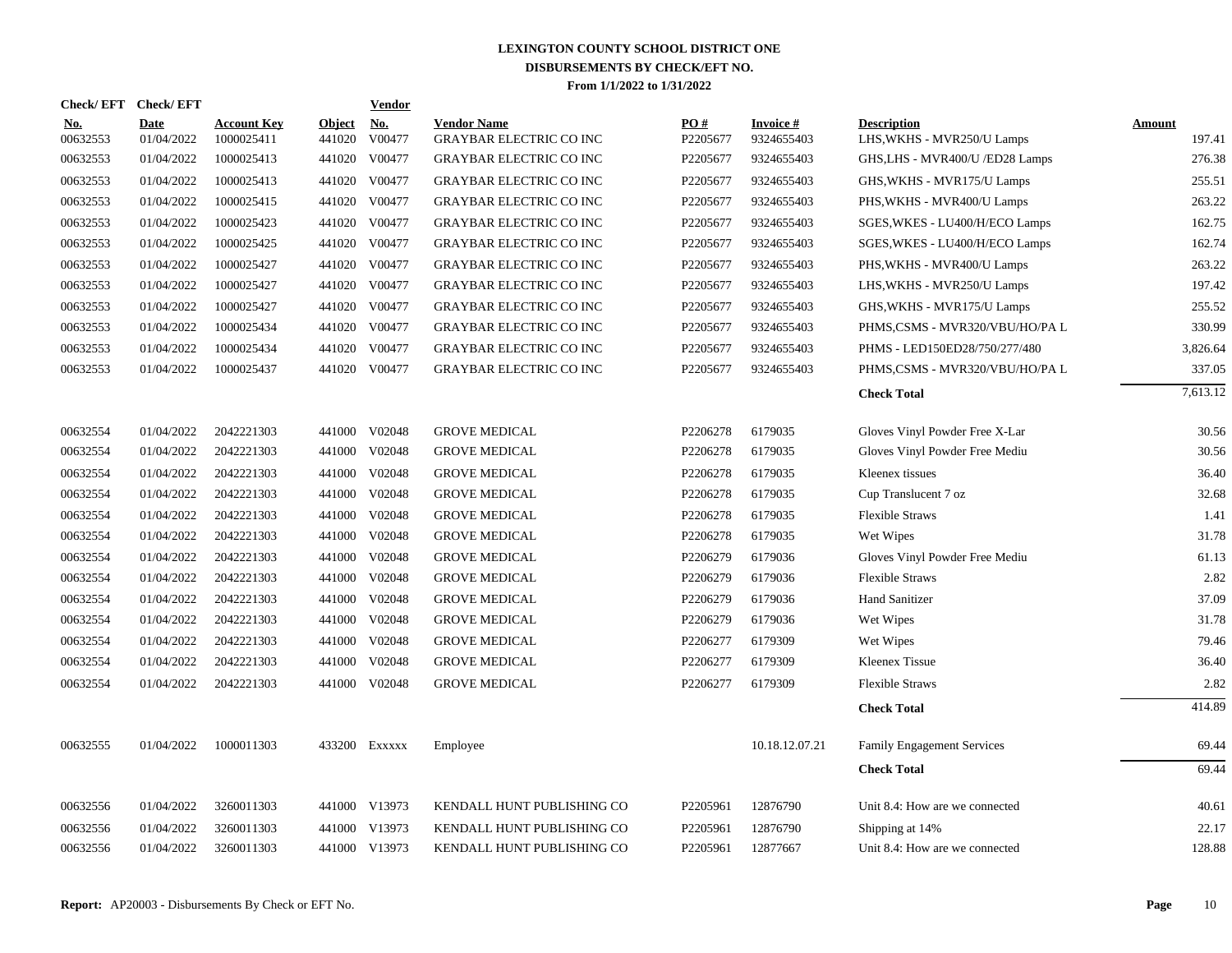| Check/EFT Check/EFT    |                           |                                  |                         | Vendor               |                                                      |                 |                               |                                                  |                  |
|------------------------|---------------------------|----------------------------------|-------------------------|----------------------|------------------------------------------------------|-----------------|-------------------------------|--------------------------------------------------|------------------|
| <b>No.</b><br>00632553 | <b>Date</b><br>01/04/2022 | <b>Account Key</b><br>1000025411 | <b>Object</b><br>441020 | <u>No.</u><br>V00477 | <b>Vendor Name</b><br><b>GRAYBAR ELECTRIC CO INC</b> | PO#<br>P2205677 | <b>Invoice#</b><br>9324655403 | <b>Description</b><br>LHS, WKHS - MVR250/U Lamps | Amount<br>197.41 |
| 00632553               | 01/04/2022                | 1000025413                       |                         | 441020 V00477        | <b>GRAYBAR ELECTRIC CO INC</b>                       | P2205677        | 9324655403                    | GHS, LHS - MVR400/U / ED28 Lamps                 | 276.38           |
| 00632553               | 01/04/2022                | 1000025413                       | 441020                  | V00477               | <b>GRAYBAR ELECTRIC CO INC</b>                       | P2205677        | 9324655403                    | GHS, WKHS - MVR175/U Lamps                       | 255.51           |
| 00632553               | 01/04/2022                | 1000025415                       |                         | 441020 V00477        | <b>GRAYBAR ELECTRIC CO INC</b>                       | P2205677        | 9324655403                    | PHS, WKHS - MVR400/U Lamps                       | 263.22           |
| 00632553               | 01/04/2022                | 1000025423                       | 441020                  | V00477               | <b>GRAYBAR ELECTRIC CO INC</b>                       | P2205677        | 9324655403                    | SGES, WKES - LU400/H/ECO Lamps                   | 162.75           |
| 00632553               | 01/04/2022                | 1000025425                       | 441020                  | V00477               | <b>GRAYBAR ELECTRIC CO INC</b>                       | P2205677        | 9324655403                    | SGES, WKES - LU400/H/ECO Lamps                   | 162.74           |
| 00632553               | 01/04/2022                | 1000025427                       | 441020                  | V00477               | <b>GRAYBAR ELECTRIC CO INC</b>                       | P2205677        | 9324655403                    | PHS, WKHS - MVR400/U Lamps                       | 263.22           |
| 00632553               | 01/04/2022                | 1000025427                       | 441020                  | V00477               | <b>GRAYBAR ELECTRIC CO INC</b>                       | P2205677        | 9324655403                    | LHS, WKHS - MVR250/U Lamps                       | 197.42           |
| 00632553               | 01/04/2022                | 1000025427                       |                         | 441020 V00477        | <b>GRAYBAR ELECTRIC CO INC</b>                       | P2205677        | 9324655403                    | GHS, WKHS - MVR175/U Lamps                       | 255.52           |
| 00632553               | 01/04/2022                | 1000025434                       | 441020                  | V00477               | <b>GRAYBAR ELECTRIC CO INC</b>                       | P2205677        | 9324655403                    | PHMS,CSMS - MVR320/VBU/HO/PA L                   | 330.99           |
| 00632553               | 01/04/2022                | 1000025434                       | 441020                  | V00477               | <b>GRAYBAR ELECTRIC CO INC</b>                       | P2205677        | 9324655403                    | PHMS - LED150ED28/750/277/480                    | 3,826.64         |
| 00632553               | 01/04/2022                | 1000025437                       |                         | 441020 V00477        | <b>GRAYBAR ELECTRIC CO INC</b>                       | P2205677        | 9324655403                    | PHMS,CSMS - MVR320/VBU/HO/PA L                   | 337.05           |
|                        |                           |                                  |                         |                      |                                                      |                 |                               | <b>Check Total</b>                               | 7,613.12         |
| 00632554               | 01/04/2022                | 2042221303                       |                         | 441000 V02048        | <b>GROVE MEDICAL</b>                                 | P2206278        | 6179035                       | Gloves Vinyl Powder Free X-Lar                   | 30.56            |
| 00632554               | 01/04/2022                | 2042221303                       |                         | 441000 V02048        | <b>GROVE MEDICAL</b>                                 | P2206278        | 6179035                       | Gloves Vinyl Powder Free Mediu                   | 30.56            |
| 00632554               | 01/04/2022                | 2042221303                       |                         | 441000 V02048        | <b>GROVE MEDICAL</b>                                 | P2206278        | 6179035                       | Kleenex tissues                                  | 36.40            |
| 00632554               | 01/04/2022                | 2042221303                       |                         | 441000 V02048        | <b>GROVE MEDICAL</b>                                 | P2206278        | 6179035                       | Cup Translucent 7 oz                             | 32.68            |
| 00632554               | 01/04/2022                | 2042221303                       | 441000                  | V02048               | <b>GROVE MEDICAL</b>                                 | P2206278        | 6179035                       | <b>Flexible Straws</b>                           | 1.41             |
| 00632554               | 01/04/2022                | 2042221303                       |                         | 441000 V02048        | <b>GROVE MEDICAL</b>                                 | P2206278        | 6179035                       | Wet Wipes                                        | 31.78            |
| 00632554               | 01/04/2022                | 2042221303                       |                         | 441000 V02048        | <b>GROVE MEDICAL</b>                                 | P2206279        | 6179036                       | Gloves Vinyl Powder Free Mediu                   | 61.13            |
| 00632554               | 01/04/2022                | 2042221303                       |                         | 441000 V02048        | <b>GROVE MEDICAL</b>                                 | P2206279        | 6179036                       | <b>Flexible Straws</b>                           | 2.82             |
| 00632554               | 01/04/2022                | 2042221303                       |                         | 441000 V02048        | <b>GROVE MEDICAL</b>                                 | P2206279        | 6179036                       | <b>Hand Sanitizer</b>                            | 37.09            |
| 00632554               | 01/04/2022                | 2042221303                       |                         | 441000 V02048        | <b>GROVE MEDICAL</b>                                 | P2206279        | 6179036                       | Wet Wipes                                        | 31.78            |
| 00632554               | 01/04/2022                | 2042221303                       |                         | 441000 V02048        | <b>GROVE MEDICAL</b>                                 | P2206277        | 6179309                       | Wet Wipes                                        | 79.46            |
| 00632554               | 01/04/2022                | 2042221303                       |                         | 441000 V02048        | <b>GROVE MEDICAL</b>                                 | P2206277        | 6179309                       | Kleenex Tissue                                   | 36.40            |
| 00632554               | 01/04/2022                | 2042221303                       |                         | 441000 V02048        | <b>GROVE MEDICAL</b>                                 | P2206277        | 6179309                       | <b>Flexible Straws</b>                           | 2.82             |
|                        |                           |                                  |                         |                      |                                                      |                 |                               | <b>Check Total</b>                               | 414.89           |
| 00632555               | 01/04/2022                | 1000011303                       |                         | 433200 Exxxxx        | Employee                                             |                 | 10.18.12.07.21                | <b>Family Engagement Services</b>                | 69.44            |
|                        |                           |                                  |                         |                      |                                                      |                 |                               | <b>Check Total</b>                               | 69.44            |
| 00632556               | 01/04/2022                | 3260011303                       |                         | 441000 V13973        | KENDALL HUNT PUBLISHING CO                           | P2205961        | 12876790                      | Unit 8.4: How are we connected                   | 40.61            |
| 00632556               | 01/04/2022                | 3260011303                       | 441000                  | V13973               | KENDALL HUNT PUBLISHING CO                           | P2205961        | 12876790                      | Shipping at 14%                                  | 22.17            |
| 00632556               | 01/04/2022                | 3260011303                       |                         | 441000 V13973        | KENDALL HUNT PUBLISHING CO                           | P2205961        | 12877667                      | Unit 8.4: How are we connected                   | 128.88           |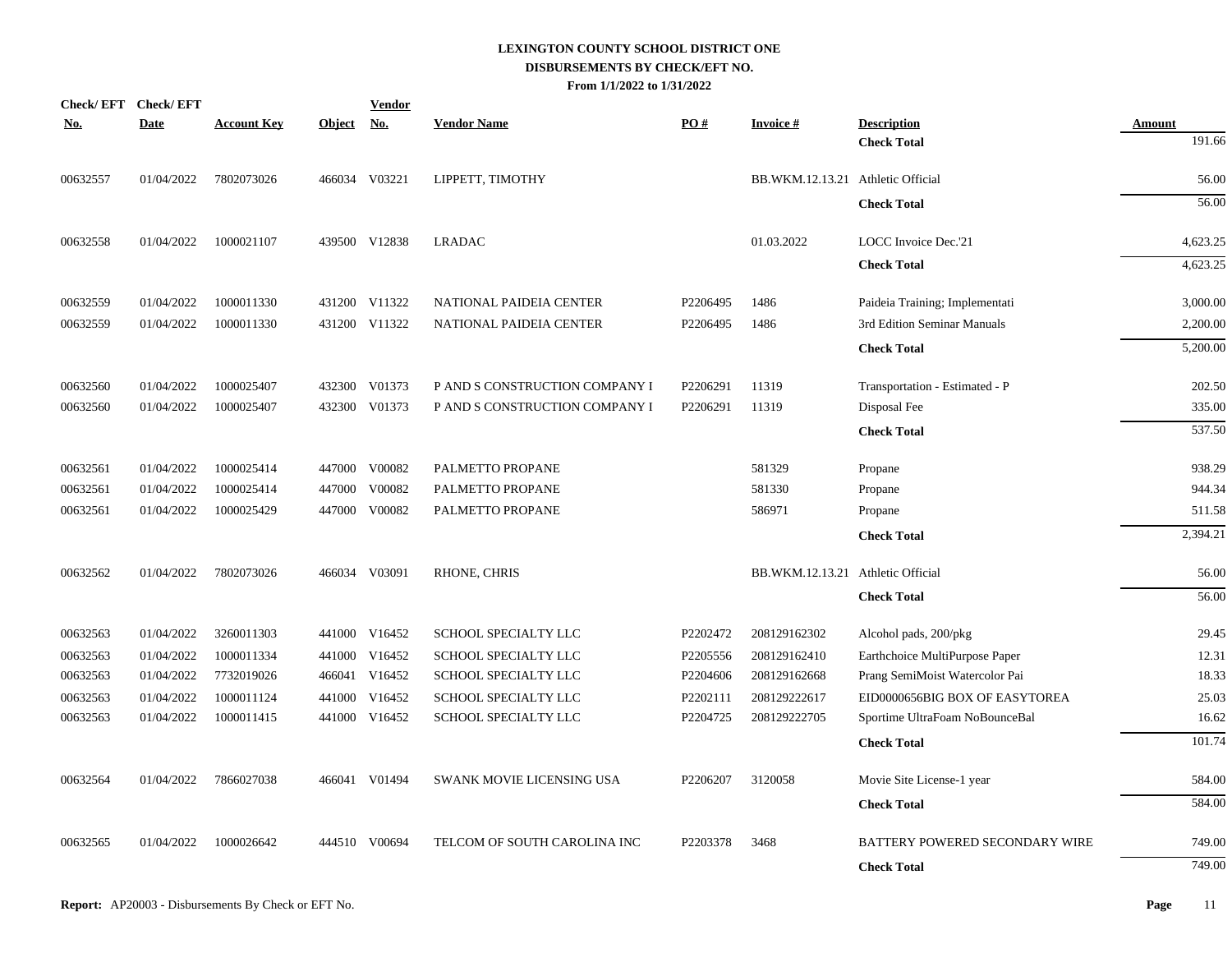|            | Check/EFT Check/EFT |                    |               | <b>Vendor</b> |                                |          |                                   |                                |          |
|------------|---------------------|--------------------|---------------|---------------|--------------------------------|----------|-----------------------------------|--------------------------------|----------|
| <u>No.</u> | <b>Date</b>         | <b>Account Key</b> | <u>Object</u> | <u>No.</u>    | <b>Vendor Name</b>             | PO#      | <b>Invoice#</b>                   | <b>Description</b>             | Amount   |
|            |                     |                    |               |               |                                |          |                                   | <b>Check Total</b>             | 191.66   |
| 00632557   | 01/04/2022          | 7802073026         |               | 466034 V03221 | LIPPETT, TIMOTHY               |          | BB.WKM.12.13.21 Athletic Official |                                | 56.00    |
|            |                     |                    |               |               |                                |          |                                   | <b>Check Total</b>             | 56.00    |
| 00632558   | 01/04/2022          | 1000021107         |               | 439500 V12838 | <b>LRADAC</b>                  |          | 01.03.2022                        | LOCC Invoice Dec.'21           | 4,623.25 |
|            |                     |                    |               |               |                                |          |                                   | <b>Check Total</b>             | 4,623.25 |
| 00632559   | 01/04/2022          | 1000011330         |               | 431200 V11322 | NATIONAL PAIDEIA CENTER        | P2206495 | 1486                              | Paideia Training; Implementati | 3,000.00 |
| 00632559   | 01/04/2022          | 1000011330         |               | 431200 V11322 | NATIONAL PAIDEIA CENTER        | P2206495 | 1486                              | 3rd Edition Seminar Manuals    | 2,200.00 |
|            |                     |                    |               |               |                                |          |                                   | <b>Check Total</b>             | 5,200.00 |
| 00632560   | 01/04/2022          | 1000025407         |               | 432300 V01373 | P AND S CONSTRUCTION COMPANY I | P2206291 | 11319                             | Transportation - Estimated - P | 202.50   |
| 00632560   | 01/04/2022          | 1000025407         | 432300        | V01373        | P AND S CONSTRUCTION COMPANY I | P2206291 | 11319                             | Disposal Fee                   | 335.00   |
|            |                     |                    |               |               |                                |          |                                   | <b>Check Total</b>             | 537.50   |
| 00632561   | 01/04/2022          | 1000025414         | 447000        | V00082        | PALMETTO PROPANE               |          | 581329                            | Propane                        | 938.29   |
| 00632561   | 01/04/2022          | 1000025414         | 447000        | V00082        | PALMETTO PROPANE               |          | 581330                            | Propane                        | 944.34   |
| 00632561   | 01/04/2022          | 1000025429         | 447000        | V00082        | PALMETTO PROPANE               |          | 586971                            | Propane                        | 511.58   |
|            |                     |                    |               |               |                                |          |                                   | <b>Check Total</b>             | 2,394.21 |
| 00632562   | 01/04/2022          | 7802073026         |               | 466034 V03091 | RHONE, CHRIS                   |          | BB.WKM.12.13.21 Athletic Official |                                | 56.00    |
|            |                     |                    |               |               |                                |          |                                   | <b>Check Total</b>             | 56.00    |
| 00632563   | 01/04/2022          | 3260011303         |               | 441000 V16452 | SCHOOL SPECIALTY LLC           | P2202472 | 208129162302                      | Alcohol pads, 200/pkg          | 29.45    |
| 00632563   | 01/04/2022          | 1000011334         | 441000        | V16452        | SCHOOL SPECIALTY LLC           | P2205556 | 208129162410                      | Earthchoice MultiPurpose Paper | 12.31    |
| 00632563   | 01/04/2022          | 7732019026         |               | 466041 V16452 | SCHOOL SPECIALTY LLC           | P2204606 | 208129162668                      | Prang SemiMoist Watercolor Pai | 18.33    |
| 00632563   | 01/04/2022          | 1000011124         | 441000        | V16452        | SCHOOL SPECIALTY LLC           | P2202111 | 208129222617                      | EID0000656BIG BOX OF EASYTOREA | 25.03    |
| 00632563   | 01/04/2022          | 1000011415         |               | 441000 V16452 | SCHOOL SPECIALTY LLC           | P2204725 | 208129222705                      | Sportime UltraFoam NoBounceBal | 16.62    |
|            |                     |                    |               |               |                                |          |                                   | <b>Check Total</b>             | 101.74   |
| 00632564   | 01/04/2022          | 7866027038         |               | 466041 V01494 | SWANK MOVIE LICENSING USA      | P2206207 | 3120058                           | Movie Site License-1 year      | 584.00   |
|            |                     |                    |               |               |                                |          |                                   | <b>Check Total</b>             | 584.00   |
| 00632565   | 01/04/2022          | 1000026642         |               | 444510 V00694 | TELCOM OF SOUTH CAROLINA INC   | P2203378 | 3468                              | BATTERY POWERED SECONDARY WIRE | 749.00   |
|            |                     |                    |               |               |                                |          |                                   | <b>Check Total</b>             | 749.00   |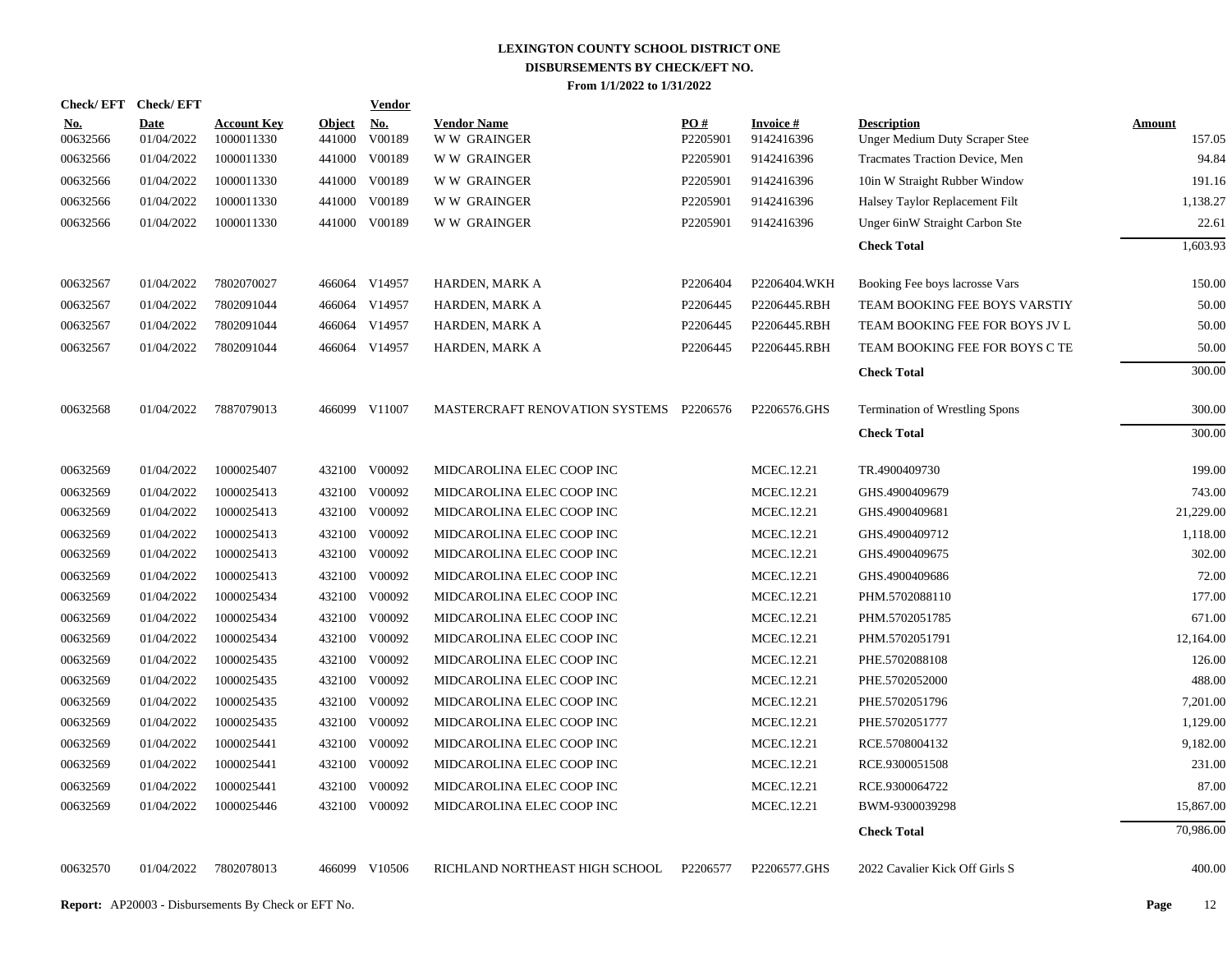|                        | Check/EFT Check/EFT       |                                  |                         | <b>Vendor</b>        |                                          |                 |                               |                                                             |                  |
|------------------------|---------------------------|----------------------------------|-------------------------|----------------------|------------------------------------------|-----------------|-------------------------------|-------------------------------------------------------------|------------------|
| <u>No.</u><br>00632566 | <b>Date</b><br>01/04/2022 | <b>Account Key</b><br>1000011330 | <b>Object</b><br>441000 | <u>No.</u><br>V00189 | <b>Vendor Name</b><br><b>WW GRAINGER</b> | PO#<br>P2205901 | <b>Invoice#</b><br>9142416396 | <b>Description</b><br><b>Unger Medium Duty Scraper Stee</b> | Amount<br>157.05 |
| 00632566               | 01/04/2022                | 1000011330                       |                         | 441000 V00189        | <b>WW GRAINGER</b>                       | P2205901        | 9142416396                    | Tracmates Traction Device, Men                              | 94.84            |
| 00632566               | 01/04/2022                | 1000011330                       |                         | 441000 V00189        | <b>WW GRAINGER</b>                       | P2205901        | 9142416396                    | 10in W Straight Rubber Window                               | 191.16           |
| 00632566               | 01/04/2022                | 1000011330                       | 441000                  | V00189               | <b>WW GRAINGER</b>                       | P2205901        | 9142416396                    | Halsey Taylor Replacement Filt                              | 1,138.27         |
| 00632566               | 01/04/2022                | 1000011330                       |                         | 441000 V00189        | W W GRAINGER                             | P2205901        | 9142416396                    | Unger 6inW Straight Carbon Ste                              | 22.61            |
|                        |                           |                                  |                         |                      |                                          |                 |                               | <b>Check Total</b>                                          | 1,603.93         |
| 00632567               | 01/04/2022                | 7802070027                       |                         | 466064 V14957        | HARDEN, MARK A                           | P2206404        | P2206404.WKH                  | Booking Fee boys lacrosse Vars                              | 150.00           |
| 00632567               | 01/04/2022                | 7802091044                       | 466064                  | V14957               | HARDEN, MARK A                           | P2206445        | P2206445.RBH                  | TEAM BOOKING FEE BOYS VARSTIY                               | 50.00            |
| 00632567               | 01/04/2022                | 7802091044                       |                         | 466064 V14957        | HARDEN, MARK A                           | P2206445        | P2206445.RBH                  | TEAM BOOKING FEE FOR BOYS JV L                              | 50.00            |
| 00632567               | 01/04/2022                | 7802091044                       |                         | 466064 V14957        | HARDEN, MARK A                           | P2206445        | P2206445.RBH                  | TEAM BOOKING FEE FOR BOYS C TE                              | 50.00            |
|                        |                           |                                  |                         |                      |                                          |                 |                               | <b>Check Total</b>                                          | 300.00           |
| 00632568               | 01/04/2022                | 7887079013                       |                         | 466099 V11007        | MASTERCRAFT RENOVATION SYSTEMS P2206576  |                 | P2206576.GHS                  | <b>Termination of Wrestling Spons</b>                       | 300.00           |
|                        |                           |                                  |                         |                      |                                          |                 |                               | <b>Check Total</b>                                          | 300.00           |
| 00632569               | 01/04/2022                | 1000025407                       |                         | 432100 V00092        | MIDCAROLINA ELEC COOP INC                |                 | MCEC.12.21                    | TR.4900409730                                               | 199.00           |
| 00632569               | 01/04/2022                | 1000025413                       |                         | 432100 V00092        | MIDCAROLINA ELEC COOP INC                |                 | MCEC.12.21                    | GHS.4900409679                                              | 743.00           |
| 00632569               | 01/04/2022                | 1000025413                       |                         | 432100 V00092        | MIDCAROLINA ELEC COOP INC                |                 | MCEC.12.21                    | GHS.4900409681                                              | 21,229.00        |
| 00632569               | 01/04/2022                | 1000025413                       |                         | 432100 V00092        | MIDCAROLINA ELEC COOP INC                |                 | MCEC.12.21                    | GHS.4900409712                                              | 1,118.00         |
| 00632569               | 01/04/2022                | 1000025413                       |                         | 432100 V00092        | MIDCAROLINA ELEC COOP INC                |                 | MCEC.12.21                    | GHS.4900409675                                              | 302.00           |
| 00632569               | 01/04/2022                | 1000025413                       | 432100                  | V00092               | MIDCAROLINA ELEC COOP INC                |                 | MCEC.12.21                    | GHS.4900409686                                              | 72.00            |
| 00632569               | 01/04/2022                | 1000025434                       |                         | 432100 V00092        | MIDCAROLINA ELEC COOP INC                |                 | MCEC.12.21                    | PHM.5702088110                                              | 177.00           |
| 00632569               | 01/04/2022                | 1000025434                       | 432100                  | V00092               | MIDCAROLINA ELEC COOP INC                |                 | MCEC.12.21                    | PHM.5702051785                                              | 671.00           |
| 00632569               | 01/04/2022                | 1000025434                       |                         | 432100 V00092        | MIDCAROLINA ELEC COOP INC                |                 | MCEC.12.21                    | PHM.5702051791                                              | 12,164.00        |
| 00632569               | 01/04/2022                | 1000025435                       | 432100                  | V00092               | MIDCAROLINA ELEC COOP INC                |                 | MCEC.12.21                    | PHE.5702088108                                              | 126.00           |
| 00632569               | 01/04/2022                | 1000025435                       |                         | 432100 V00092        | MIDCAROLINA ELEC COOP INC                |                 | MCEC.12.21                    | PHE.5702052000                                              | 488.00           |
| 00632569               | 01/04/2022                | 1000025435                       | 432100                  | V00092               | MIDCAROLINA ELEC COOP INC                |                 | MCEC.12.21                    | PHE.5702051796                                              | 7,201.00         |
| 00632569               | 01/04/2022                | 1000025435                       |                         | 432100 V00092        | MIDCAROLINA ELEC COOP INC                |                 | MCEC.12.21                    | PHE.5702051777                                              | 1,129.00         |
| 00632569               | 01/04/2022                | 1000025441                       | 432100                  | V00092               | MIDCAROLINA ELEC COOP INC                |                 | MCEC.12.21                    | RCE.5708004132                                              | 9,182.00         |
| 00632569               | 01/04/2022                | 1000025441                       |                         | 432100 V00092        | MIDCAROLINA ELEC COOP INC                |                 | MCEC.12.21                    | RCE.9300051508                                              | 231.00           |
| 00632569               | 01/04/2022                | 1000025441                       | 432100                  | V00092               | MIDCAROLINA ELEC COOP INC                |                 | MCEC.12.21                    | RCE.9300064722                                              | 87.00            |
| 00632569               | 01/04/2022                | 1000025446                       |                         | 432100 V00092        | MIDCAROLINA ELEC COOP INC                |                 | MCEC.12.21                    | BWM-9300039298                                              | 15,867.00        |
|                        |                           |                                  |                         |                      |                                          |                 |                               | <b>Check Total</b>                                          | 70,986.00        |
| 00632570               | 01/04/2022                | 7802078013                       |                         | 466099 V10506        | RICHLAND NORTHEAST HIGH SCHOOL           | P2206577        | P2206577.GHS                  | 2022 Cavalier Kick Off Girls S                              | 400.00           |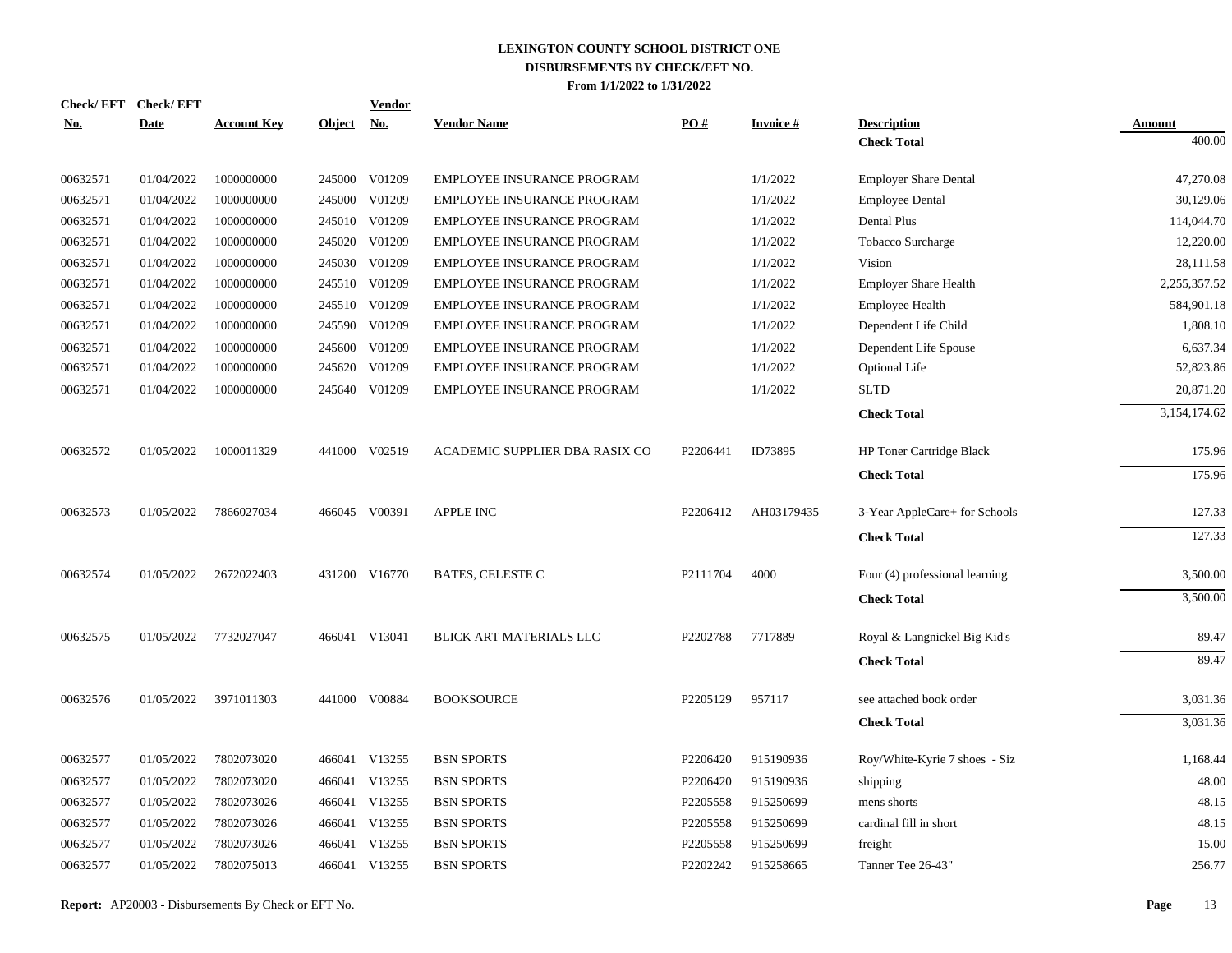| <b>No.</b> | Check/EFT Check/EFT<br><b>Date</b> | <b>Account Key</b> | Object No. | <b>Vendor</b> | <b>Vendor Name</b>             | PO#      | <b>Invoice#</b> | <b>Description</b>              | Amount       |
|------------|------------------------------------|--------------------|------------|---------------|--------------------------------|----------|-----------------|---------------------------------|--------------|
|            |                                    |                    |            |               |                                |          |                 | <b>Check Total</b>              | 400.00       |
| 00632571   | 01/04/2022                         | 1000000000         |            | 245000 V01209 | EMPLOYEE INSURANCE PROGRAM     |          | 1/1/2022        | <b>Employer Share Dental</b>    | 47,270.08    |
| 00632571   | 01/04/2022                         | 1000000000         |            | 245000 V01209 | EMPLOYEE INSURANCE PROGRAM     |          | 1/1/2022        | <b>Employee Dental</b>          | 30,129.06    |
| 00632571   | 01/04/2022                         | 1000000000         |            | 245010 V01209 | EMPLOYEE INSURANCE PROGRAM     |          | 1/1/2022        | Dental Plus                     | 114,044.70   |
| 00632571   | 01/04/2022                         | 1000000000         |            | 245020 V01209 | EMPLOYEE INSURANCE PROGRAM     |          | 1/1/2022        | Tobacco Surcharge               | 12,220.00    |
| 00632571   | 01/04/2022                         | 1000000000         |            | 245030 V01209 | EMPLOYEE INSURANCE PROGRAM     |          | 1/1/2022        | Vision                          | 28,111.58    |
| 00632571   | 01/04/2022                         | 1000000000         |            | 245510 V01209 | EMPLOYEE INSURANCE PROGRAM     |          | 1/1/2022        | <b>Employer Share Health</b>    | 2,255,357.52 |
| 00632571   | 01/04/2022                         | 1000000000         |            | 245510 V01209 | EMPLOYEE INSURANCE PROGRAM     |          | 1/1/2022        | <b>Employee Health</b>          | 584,901.18   |
| 00632571   | 01/04/2022                         | 1000000000         |            | 245590 V01209 | EMPLOYEE INSURANCE PROGRAM     |          | 1/1/2022        | Dependent Life Child            | 1,808.10     |
| 00632571   | 01/04/2022                         | 1000000000         |            | 245600 V01209 | EMPLOYEE INSURANCE PROGRAM     |          | 1/1/2022        | Dependent Life Spouse           | 6,637.34     |
| 00632571   | 01/04/2022                         | 1000000000         | 245620     | V01209        | EMPLOYEE INSURANCE PROGRAM     |          | 1/1/2022        | <b>Optional Life</b>            | 52,823.86    |
| 00632571   | 01/04/2022                         | 1000000000         |            | 245640 V01209 | EMPLOYEE INSURANCE PROGRAM     |          | 1/1/2022        | <b>SLTD</b>                     | 20,871.20    |
|            |                                    |                    |            |               |                                |          |                 | <b>Check Total</b>              | 3,154,174.62 |
| 00632572   | 01/05/2022                         | 1000011329         |            | 441000 V02519 | ACADEMIC SUPPLIER DBA RASIX CO | P2206441 | ID73895         | <b>HP Toner Cartridge Black</b> | 175.96       |
|            |                                    |                    |            |               |                                |          |                 | <b>Check Total</b>              | 175.96       |
| 00632573   | 01/05/2022                         | 7866027034         |            | 466045 V00391 | APPLE INC                      | P2206412 | AH03179435      | 3-Year AppleCare+ for Schools   | 127.33       |
|            |                                    |                    |            |               |                                |          |                 | <b>Check Total</b>              | 127.33       |
| 00632574   | 01/05/2022                         | 2672022403         |            | 431200 V16770 | <b>BATES, CELESTE C</b>        | P2111704 | 4000            | Four (4) professional learning  | 3,500.00     |
|            |                                    |                    |            |               |                                |          |                 | <b>Check Total</b>              | 3,500.00     |
| 00632575   | 01/05/2022                         | 7732027047         |            | 466041 V13041 | BLICK ART MATERIALS LLC        | P2202788 | 7717889         | Royal & Langnickel Big Kid's    | 89.47        |
|            |                                    |                    |            |               |                                |          |                 | <b>Check Total</b>              | 89.47        |
| 00632576   | 01/05/2022                         | 3971011303         |            | 441000 V00884 | <b>BOOKSOURCE</b>              | P2205129 | 957117          | see attached book order         | 3,031.36     |
|            |                                    |                    |            |               |                                |          |                 | <b>Check Total</b>              | 3,031.36     |
| 00632577   | 01/05/2022                         | 7802073020         |            | 466041 V13255 | <b>BSN SPORTS</b>              | P2206420 | 915190936       | Roy/White-Kyrie 7 shoes - Siz   | 1.168.44     |
| 00632577   | 01/05/2022                         | 7802073020         | 466041     | V13255        | <b>BSN SPORTS</b>              | P2206420 | 915190936       | shipping                        | 48.00        |
| 00632577   | 01/05/2022                         | 7802073026         |            | 466041 V13255 | <b>BSN SPORTS</b>              | P2205558 | 915250699       | mens shorts                     | 48.15        |
| 00632577   | 01/05/2022                         | 7802073026         |            | 466041 V13255 | <b>BSN SPORTS</b>              | P2205558 | 915250699       | cardinal fill in short          | 48.15        |
| 00632577   | 01/05/2022                         | 7802073026         |            | 466041 V13255 | <b>BSN SPORTS</b>              | P2205558 | 915250699       | freight                         | 15.00        |
| 00632577   | 01/05/2022                         | 7802075013         |            | 466041 V13255 | <b>BSN SPORTS</b>              | P2202242 | 915258665       | Tanner Tee 26-43"               | 256.77       |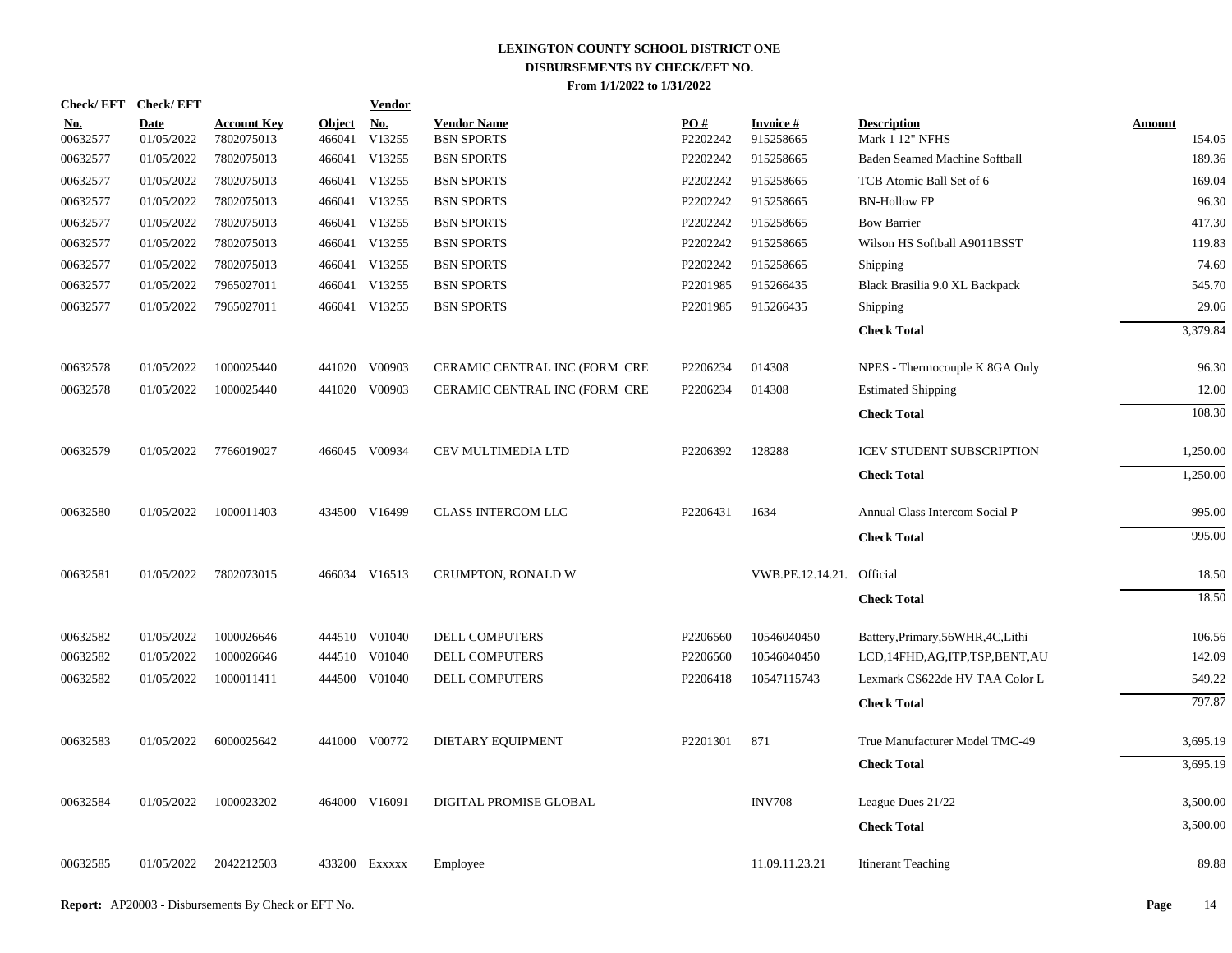|                 | Check/EFT Check/EFT       |                                  |                         | <b>Vendor</b>        |                                         |                 |                              |                                       |                  |
|-----------------|---------------------------|----------------------------------|-------------------------|----------------------|-----------------------------------------|-----------------|------------------------------|---------------------------------------|------------------|
| No.<br>00632577 | <b>Date</b><br>01/05/2022 | <b>Account Key</b><br>7802075013 | <b>Object</b><br>466041 | <b>No.</b><br>V13255 | <b>Vendor Name</b><br><b>BSN SPORTS</b> | PO#<br>P2202242 | <b>Invoice#</b><br>915258665 | <b>Description</b><br>Mark 1 12" NFHS | Amount<br>154.05 |
| 00632577        | 01/05/2022                | 7802075013                       | 466041                  | V13255               | <b>BSN SPORTS</b>                       | P2202242        | 915258665                    | Baden Seamed Machine Softball         | 189.36           |
| 00632577        | 01/05/2022                | 7802075013                       |                         | 466041 V13255        | <b>BSN SPORTS</b>                       | P2202242        | 915258665                    | TCB Atomic Ball Set of 6              | 169.04           |
| 00632577        | 01/05/2022                | 7802075013                       |                         | 466041 V13255        | <b>BSN SPORTS</b>                       | P2202242        | 915258665                    | <b>BN-Hollow FP</b>                   | 96.30            |
| 00632577        | 01/05/2022                | 7802075013                       |                         | 466041 V13255        | <b>BSN SPORTS</b>                       | P2202242        | 915258665                    | <b>Bow Barrier</b>                    | 417.30           |
| 00632577        | 01/05/2022                | 7802075013                       |                         | 466041 V13255        | <b>BSN SPORTS</b>                       | P2202242        | 915258665                    | Wilson HS Softball A9011BSST          | 119.83           |
| 00632577        | 01/05/2022                | 7802075013                       |                         | 466041 V13255        | <b>BSN SPORTS</b>                       | P2202242        | 915258665                    | Shipping                              | 74.69            |
| 00632577        | 01/05/2022                | 7965027011                       |                         | 466041 V13255        | <b>BSN SPORTS</b>                       | P2201985        | 915266435                    | Black Brasilia 9.0 XL Backpack        | 545.70           |
| 00632577        | 01/05/2022                | 7965027011                       |                         | 466041 V13255        | <b>BSN SPORTS</b>                       | P2201985        | 915266435                    | Shipping                              | 29.06            |
|                 |                           |                                  |                         |                      |                                         |                 |                              | <b>Check Total</b>                    | 3.379.84         |
| 00632578        | 01/05/2022                | 1000025440                       |                         | 441020 V00903        | CERAMIC CENTRAL INC (FORM CRE           | P2206234        | 014308                       | NPES - Thermocouple K 8GA Only        | 96.30            |
| 00632578        | 01/05/2022                | 1000025440                       |                         | 441020 V00903        | CERAMIC CENTRAL INC (FORM CRE           | P2206234        | 014308                       | <b>Estimated Shipping</b>             | 12.00            |
|                 |                           |                                  |                         |                      |                                         |                 |                              | <b>Check Total</b>                    | 108.30           |
| 00632579        | 01/05/2022                | 7766019027                       |                         | 466045 V00934        | CEV MULTIMEDIA LTD                      | P2206392        | 128288                       | <b>ICEV STUDENT SUBSCRIPTION</b>      | 1,250.00         |
|                 |                           |                                  |                         |                      |                                         |                 |                              | <b>Check Total</b>                    | 1,250.00         |
| 00632580        | 01/05/2022                | 1000011403                       |                         | 434500 V16499        | <b>CLASS INTERCOM LLC</b>               | P2206431        | 1634                         | Annual Class Intercom Social P        | 995.00           |
|                 |                           |                                  |                         |                      |                                         |                 |                              | <b>Check Total</b>                    | 995.00           |
| 00632581        | 01/05/2022                | 7802073015                       |                         | 466034 V16513        | CRUMPTON, RONALD W                      |                 | VWB.PE.12.14.21. Official    |                                       | 18.50            |
|                 |                           |                                  |                         |                      |                                         |                 |                              | <b>Check Total</b>                    | 18.50            |
| 00632582        | 01/05/2022                | 1000026646                       |                         | 444510 V01040        | <b>DELL COMPUTERS</b>                   | P2206560        | 10546040450                  | Battery, Primary, 56WHR, 4C, Lithi    | 106.56           |
| 00632582        | 01/05/2022                | 1000026646                       | 444510                  | V01040               | <b>DELL COMPUTERS</b>                   | P2206560        | 10546040450                  | LCD,14FHD,AG,ITP,TSP,BENT,AU          | 142.09           |
| 00632582        | 01/05/2022                | 1000011411                       |                         | 444500 V01040        | DELL COMPUTERS                          | P2206418        | 10547115743                  | Lexmark CS622de HV TAA Color L        | 549.22           |
|                 |                           |                                  |                         |                      |                                         |                 |                              | <b>Check Total</b>                    | 797.87           |
| 00632583        | 01/05/2022                | 6000025642                       |                         | 441000 V00772        | DIETARY EQUIPMENT                       | P2201301        | 871                          | True Manufacturer Model TMC-49        | 3,695.19         |
|                 |                           |                                  |                         |                      |                                         |                 |                              | <b>Check Total</b>                    | 3,695.19         |
| 00632584        | 01/05/2022                | 1000023202                       |                         | 464000 V16091        | DIGITAL PROMISE GLOBAL                  |                 | <b>INV708</b>                | League Dues 21/22                     | 3,500.00         |
|                 |                           |                                  |                         |                      |                                         |                 |                              | <b>Check Total</b>                    | 3,500.00         |
| 00632585        | 01/05/2022                | 2042212503                       |                         | 433200 Exxxxx        | Employee                                |                 | 11.09.11.23.21               | <b>Itinerant Teaching</b>             | 89.88            |
|                 |                           |                                  |                         |                      |                                         |                 |                              |                                       |                  |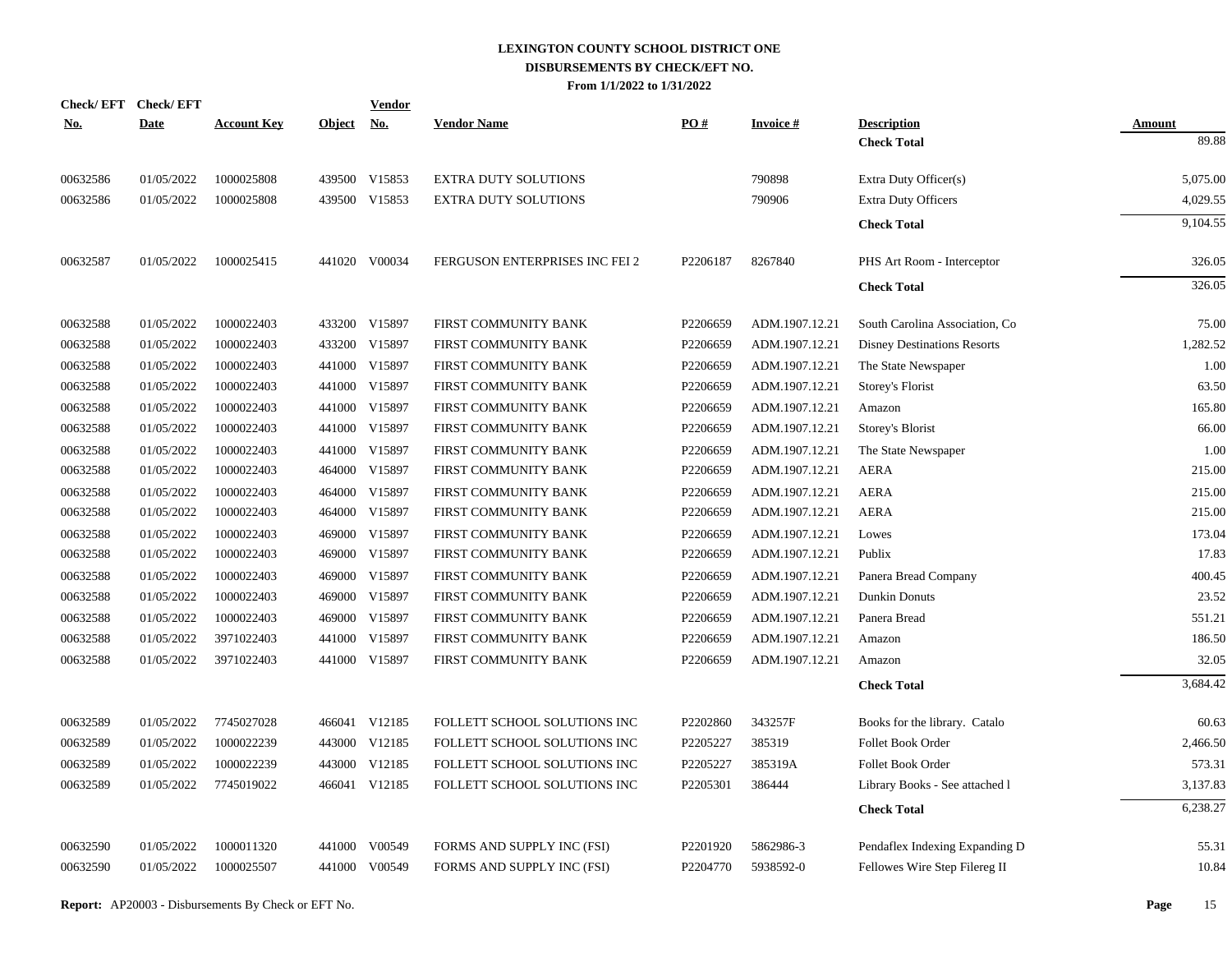| <b>Check/EFT</b> | <b>Check/EFT</b> |                    |               | <b>Vendor</b> |                                |          |                 |                                    |               |
|------------------|------------------|--------------------|---------------|---------------|--------------------------------|----------|-----------------|------------------------------------|---------------|
| <u>No.</u>       | <b>Date</b>      | <b>Account Key</b> | <b>Object</b> | <u>No.</u>    | <b>Vendor Name</b>             | PO#      | <b>Invoice#</b> | <b>Description</b>                 | <b>Amount</b> |
|                  |                  |                    |               |               |                                |          |                 | <b>Check Total</b>                 | 89.88         |
| 00632586         | 01/05/2022       | 1000025808         |               | 439500 V15853 | <b>EXTRA DUTY SOLUTIONS</b>    |          | 790898          | Extra Duty Officer(s)              | 5,075.00      |
| 00632586         | 01/05/2022       | 1000025808         |               | 439500 V15853 | <b>EXTRA DUTY SOLUTIONS</b>    |          | 790906          | <b>Extra Duty Officers</b>         | 4,029.55      |
|                  |                  |                    |               |               |                                |          |                 | <b>Check Total</b>                 | 9,104.55      |
| 00632587         | 01/05/2022       | 1000025415         |               | 441020 V00034 | FERGUSON ENTERPRISES INC FEI 2 | P2206187 | 8267840         | PHS Art Room - Interceptor         | 326.05        |
|                  |                  |                    |               |               |                                |          |                 | <b>Check Total</b>                 | 326.05        |
| 00632588         | 01/05/2022       | 1000022403         |               | 433200 V15897 | FIRST COMMUNITY BANK           | P2206659 | ADM.1907.12.21  | South Carolina Association, Co.    | 75.00         |
| 00632588         | 01/05/2022       | 1000022403         |               | 433200 V15897 | FIRST COMMUNITY BANK           | P2206659 | ADM.1907.12.21  | <b>Disney Destinations Resorts</b> | 1,282.52      |
| 00632588         | 01/05/2022       | 1000022403         |               | 441000 V15897 | FIRST COMMUNITY BANK           | P2206659 | ADM.1907.12.21  | The State Newspaper                | 1.00          |
| 00632588         | 01/05/2022       | 1000022403         |               | 441000 V15897 | FIRST COMMUNITY BANK           | P2206659 | ADM.1907.12.21  | Storey's Florist                   | 63.50         |
| 00632588         | 01/05/2022       | 1000022403         |               | 441000 V15897 | FIRST COMMUNITY BANK           | P2206659 | ADM.1907.12.21  | Amazon                             | 165.80        |
| 00632588         | 01/05/2022       | 1000022403         |               | 441000 V15897 | FIRST COMMUNITY BANK           | P2206659 | ADM.1907.12.21  | Storey's Blorist                   | 66.00         |
| 00632588         | 01/05/2022       | 1000022403         |               | 441000 V15897 | FIRST COMMUNITY BANK           | P2206659 | ADM.1907.12.21  | The State Newspaper                | 1.00          |
| 00632588         | 01/05/2022       | 1000022403         |               | 464000 V15897 | FIRST COMMUNITY BANK           | P2206659 | ADM.1907.12.21  | <b>AERA</b>                        | 215.00        |
| 00632588         | 01/05/2022       | 1000022403         |               | 464000 V15897 | FIRST COMMUNITY BANK           | P2206659 | ADM.1907.12.21  | <b>AERA</b>                        | 215.00        |
| 00632588         | 01/05/2022       | 1000022403         |               | 464000 V15897 | FIRST COMMUNITY BANK           | P2206659 | ADM.1907.12.21  | <b>AERA</b>                        | 215.00        |
| 00632588         | 01/05/2022       | 1000022403         |               | 469000 V15897 | FIRST COMMUNITY BANK           | P2206659 | ADM.1907.12.21  | Lowes                              | 173.04        |
| 00632588         | 01/05/2022       | 1000022403         |               | 469000 V15897 | FIRST COMMUNITY BANK           | P2206659 | ADM.1907.12.21  | Publix                             | 17.83         |
| 00632588         | 01/05/2022       | 1000022403         |               | 469000 V15897 | FIRST COMMUNITY BANK           | P2206659 | ADM.1907.12.21  | Panera Bread Company               | 400.45        |
| 00632588         | 01/05/2022       | 1000022403         |               | 469000 V15897 | FIRST COMMUNITY BANK           | P2206659 | ADM.1907.12.21  | Dunkin Donuts                      | 23.52         |
| 00632588         | 01/05/2022       | 1000022403         |               | 469000 V15897 | FIRST COMMUNITY BANK           | P2206659 | ADM.1907.12.21  | Panera Bread                       | 551.21        |
| 00632588         | 01/05/2022       | 3971022403         |               | 441000 V15897 | FIRST COMMUNITY BANK           | P2206659 | ADM.1907.12.21  | Amazon                             | 186.50        |
| 00632588         | 01/05/2022       | 3971022403         |               | 441000 V15897 | FIRST COMMUNITY BANK           | P2206659 | ADM.1907.12.21  | Amazon                             | 32.05         |
|                  |                  |                    |               |               |                                |          |                 | <b>Check Total</b>                 | 3,684.42      |
| 00632589         | 01/05/2022       | 7745027028         |               | 466041 V12185 | FOLLETT SCHOOL SOLUTIONS INC   | P2202860 | 343257F         | Books for the library. Catalo      | 60.63         |
| 00632589         | 01/05/2022       | 1000022239         |               | 443000 V12185 | FOLLETT SCHOOL SOLUTIONS INC   | P2205227 | 385319          | Follet Book Order                  | 2,466.50      |
| 00632589         | 01/05/2022       | 1000022239         |               | 443000 V12185 | FOLLETT SCHOOL SOLUTIONS INC   | P2205227 | 385319A         | Follet Book Order                  | 573.31        |
| 00632589         | 01/05/2022       | 7745019022         |               | 466041 V12185 | FOLLETT SCHOOL SOLUTIONS INC   | P2205301 | 386444          | Library Books - See attached l     | 3,137.83      |
|                  |                  |                    |               |               |                                |          |                 | <b>Check Total</b>                 | 6,238.27      |
| 00632590         | 01/05/2022       | 1000011320         |               | 441000 V00549 | FORMS AND SUPPLY INC (FSI)     | P2201920 | 5862986-3       | Pendaflex Indexing Expanding D     | 55.31         |
| 00632590         | 01/05/2022       | 1000025507         |               | 441000 V00549 | FORMS AND SUPPLY INC (FSI)     | P2204770 | 5938592-0       | Fellowes Wire Step Filereg II      | 10.84         |
|                  |                  |                    |               |               |                                |          |                 |                                    |               |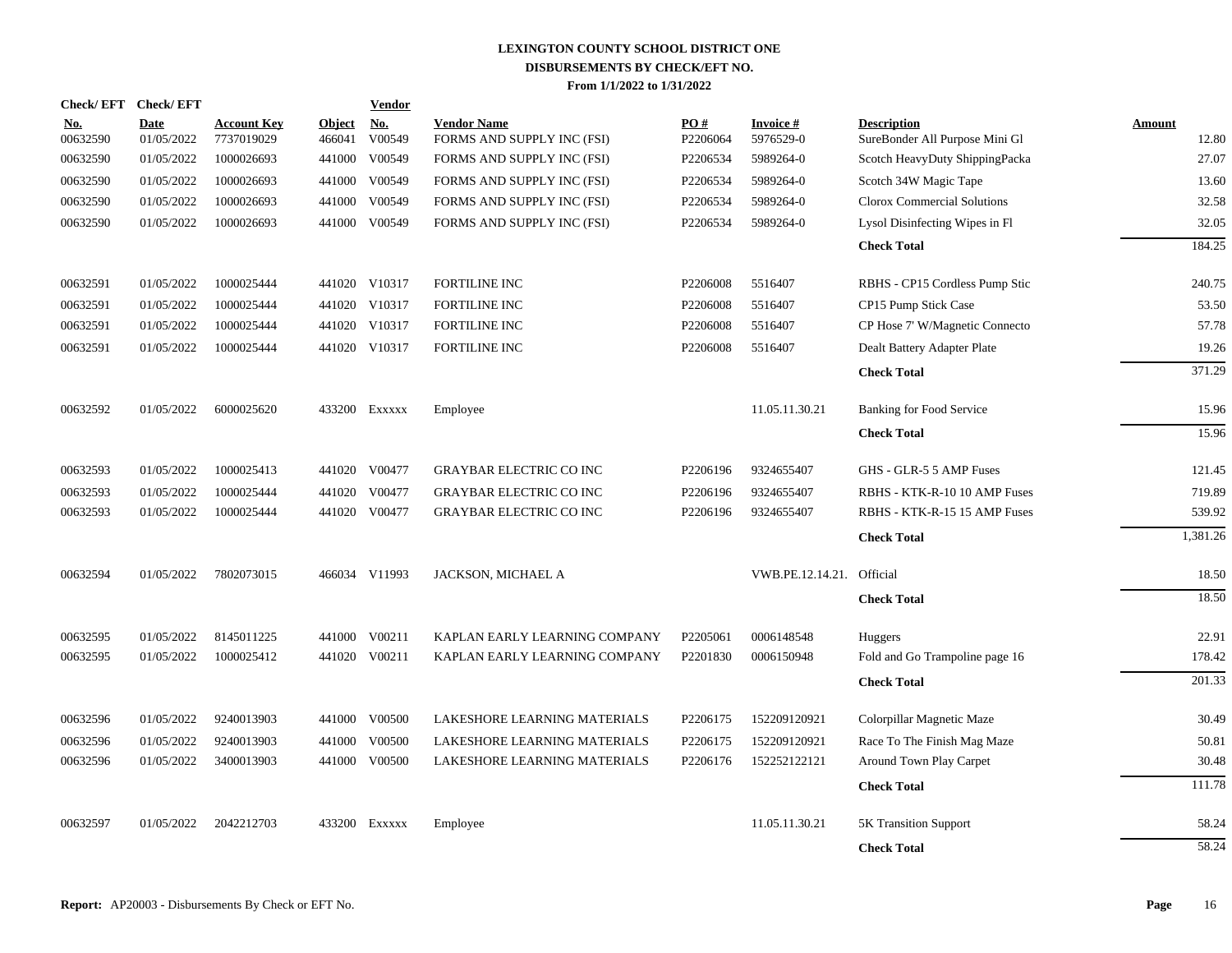| Check/EFT Check/EFT    |                           |                                  |                         | <b>Vendor</b>                  |                                                  |                 |                           |                                                      |                 |
|------------------------|---------------------------|----------------------------------|-------------------------|--------------------------------|--------------------------------------------------|-----------------|---------------------------|------------------------------------------------------|-----------------|
| <u>No.</u><br>00632590 | <b>Date</b><br>01/05/2022 | <b>Account Key</b><br>7737019029 | <b>Object</b><br>466041 | No.<br>V00549                  | <b>Vendor Name</b><br>FORMS AND SUPPLY INC (FSI) | PO#<br>P2206064 | Invoice #<br>5976529-0    | <b>Description</b><br>SureBonder All Purpose Mini Gl | Amount<br>12.80 |
| 00632590               | 01/05/2022                | 1000026693                       | 441000                  | V00549                         | FORMS AND SUPPLY INC (FSI)                       | P2206534        | 5989264-0                 | Scotch HeavyDuty ShippingPacka                       | 27.07           |
| 00632590               | 01/05/2022                | 1000026693                       | 441000                  | V00549                         | FORMS AND SUPPLY INC (FSI)                       | P2206534        | 5989264-0                 | Scotch 34W Magic Tape                                | 13.60           |
| 00632590               | 01/05/2022                | 1000026693                       | 441000                  | V00549                         | FORMS AND SUPPLY INC (FSI)                       | P2206534        | 5989264-0                 | Clorox Commercial Solutions                          | 32.58           |
| 00632590               | 01/05/2022                | 1000026693                       |                         | 441000 V00549                  | FORMS AND SUPPLY INC (FSI)                       | P2206534        | 5989264-0                 | Lysol Disinfecting Wipes in Fl                       | 32.05           |
|                        |                           |                                  |                         |                                |                                                  |                 |                           | <b>Check Total</b>                                   | 184.25          |
| 00632591               | 01/05/2022                | 1000025444                       |                         | 441020 V10317                  | <b>FORTILINE INC</b>                             | P2206008        | 5516407                   |                                                      | 240.75          |
|                        |                           |                                  |                         |                                |                                                  |                 |                           | RBHS - CP15 Cordless Pump Stic                       |                 |
| 00632591               | 01/05/2022                | 1000025444<br>1000025444         |                         | 441020 V10317<br>441020 V10317 | <b>FORTILINE INC</b>                             | P2206008        | 5516407                   | CP15 Pump Stick Case                                 | 53.50<br>57.78  |
| 00632591               | 01/05/2022                |                                  |                         |                                | <b>FORTILINE INC</b>                             | P2206008        | 5516407                   | CP Hose 7' W/Magnetic Connecto                       |                 |
| 00632591               | 01/05/2022                | 1000025444                       |                         | 441020 V10317                  | <b>FORTILINE INC</b>                             | P2206008        | 5516407                   | Dealt Battery Adapter Plate                          | 19.26           |
|                        |                           |                                  |                         |                                |                                                  |                 |                           | <b>Check Total</b>                                   | 371.29          |
| 00632592               | 01/05/2022                | 6000025620                       |                         | 433200 Exxxxx                  | Employee                                         |                 | 11.05.11.30.21            | Banking for Food Service                             | 15.96           |
|                        |                           |                                  |                         |                                |                                                  |                 |                           | <b>Check Total</b>                                   | 15.96           |
| 00632593               | 01/05/2022                | 1000025413                       |                         | 441020 V00477                  | <b>GRAYBAR ELECTRIC CO INC</b>                   | P2206196        | 9324655407                | GHS - GLR-5 5 AMP Fuses                              | 121.45          |
| 00632593               | 01/05/2022                | 1000025444                       |                         | 441020 V00477                  | <b>GRAYBAR ELECTRIC CO INC</b>                   | P2206196        | 9324655407                | RBHS - KTK-R-10 10 AMP Fuses                         | 719.89          |
| 00632593               | 01/05/2022                | 1000025444                       |                         | 441020 V00477                  | <b>GRAYBAR ELECTRIC CO INC</b>                   | P2206196        | 9324655407                | RBHS - KTK-R-15 15 AMP Fuses                         | 539.92          |
|                        |                           |                                  |                         |                                |                                                  |                 |                           | <b>Check Total</b>                                   | 1,381.26        |
|                        |                           |                                  |                         |                                |                                                  |                 |                           |                                                      |                 |
| 00632594               | 01/05/2022                | 7802073015                       |                         | 466034 V11993                  | JACKSON, MICHAEL A                               |                 | VWB.PE.12.14.21. Official |                                                      | 18.50           |
|                        |                           |                                  |                         |                                |                                                  |                 |                           | <b>Check Total</b>                                   | 18.50           |
| 00632595               | 01/05/2022                | 8145011225                       | 441000                  | V00211                         | KAPLAN EARLY LEARNING COMPANY                    | P2205061        | 0006148548                | <b>Huggers</b>                                       | 22.91           |
| 00632595               | 01/05/2022                | 1000025412                       |                         | 441020 V00211                  | KAPLAN EARLY LEARNING COMPANY                    | P2201830        | 0006150948                | Fold and Go Trampoline page 16                       | 178.42          |
|                        |                           |                                  |                         |                                |                                                  |                 |                           | <b>Check Total</b>                                   | 201.33          |
|                        |                           |                                  |                         |                                |                                                  |                 |                           |                                                      |                 |
| 00632596               | 01/05/2022                | 9240013903                       |                         | 441000 V00500                  | LAKESHORE LEARNING MATERIALS                     | P2206175        | 152209120921              | Colorpillar Magnetic Maze                            | 30.49           |
| 00632596               | 01/05/2022                | 9240013903                       | 441000                  | V00500                         | LAKESHORE LEARNING MATERIALS                     | P2206175        | 152209120921              | Race To The Finish Mag Maze                          | 50.81           |
| 00632596               | 01/05/2022                | 3400013903                       | 441000                  | V00500                         | LAKESHORE LEARNING MATERIALS                     | P2206176        | 152252122121              | Around Town Play Carpet                              | 30.48           |
|                        |                           |                                  |                         |                                |                                                  |                 |                           | <b>Check Total</b>                                   | 111.78          |
| 00632597               | 01/05/2022                | 2042212703                       | 433200                  | EXXXXX                         | Employee                                         |                 | 11.05.11.30.21            | <b>5K Transition Support</b>                         | 58.24           |
|                        |                           |                                  |                         |                                |                                                  |                 |                           | <b>Check Total</b>                                   | 58.24           |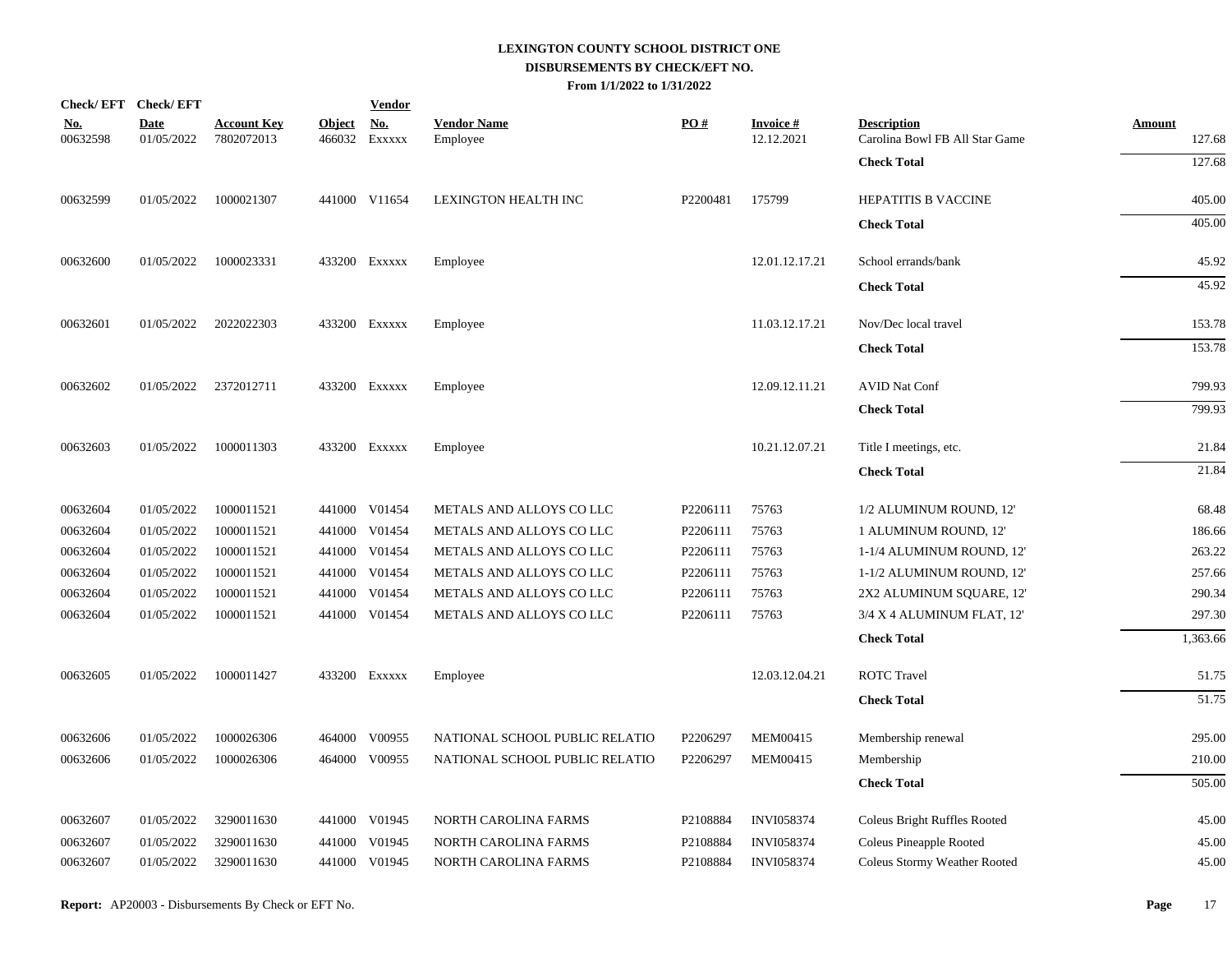|                        | Check/EFT Check/EFT       |                                  |               | <b>Vendor</b>               |                                |          |                                |                                                      |                         |
|------------------------|---------------------------|----------------------------------|---------------|-----------------------------|--------------------------------|----------|--------------------------------|------------------------------------------------------|-------------------------|
| <u>No.</u><br>00632598 | <b>Date</b><br>01/05/2022 | <b>Account Key</b><br>7802072013 | <b>Object</b> | <u>No.</u><br>466032 Exxxxx | <b>Vendor Name</b><br>Employee | PO#      | <b>Invoice</b> #<br>12.12.2021 | <b>Description</b><br>Carolina Bowl FB All Star Game | <b>Amount</b><br>127.68 |
|                        |                           |                                  |               |                             |                                |          |                                | <b>Check Total</b>                                   | 127.68                  |
| 00632599               | 01/05/2022                | 1000021307                       |               | 441000 V11654               | <b>LEXINGTON HEALTH INC</b>    | P2200481 | 175799                         | HEPATITIS B VACCINE                                  | 405.00                  |
|                        |                           |                                  |               |                             |                                |          |                                | <b>Check Total</b>                                   | 405.00                  |
| 00632600               | 01/05/2022                | 1000023331                       |               | 433200 EXXXXX               | Employee                       |          | 12.01.12.17.21                 | School errands/bank                                  | 45.92                   |
|                        |                           |                                  |               |                             |                                |          |                                | <b>Check Total</b>                                   | 45.92                   |
| 00632601               | 01/05/2022                | 2022022303                       |               | 433200 EXXXXX               | Employee                       |          | 11.03.12.17.21                 | Nov/Dec local travel                                 | 153.78                  |
|                        |                           |                                  |               |                             |                                |          |                                | <b>Check Total</b>                                   | 153.78                  |
| 00632602               | 01/05/2022                | 2372012711                       |               | 433200 Exxxxx               | Employee                       |          | 12.09.12.11.21                 | <b>AVID Nat Conf</b>                                 | 799.93                  |
|                        |                           |                                  |               |                             |                                |          |                                | <b>Check Total</b>                                   | 799.93                  |
| 00632603               | 01/05/2022                | 1000011303                       |               | 433200 Exxxxx               | Employee                       |          | 10.21.12.07.21                 | Title I meetings, etc.                               | 21.84                   |
|                        |                           |                                  |               |                             |                                |          |                                | <b>Check Total</b>                                   | 21.84                   |
| 00632604               | 01/05/2022                | 1000011521                       |               | 441000 V01454               | METALS AND ALLOYS CO LLC       | P2206111 | 75763                          | 1/2 ALUMINUM ROUND, 12'                              | 68.48                   |
| 00632604               | 01/05/2022                | 1000011521                       |               | 441000 V01454               | METALS AND ALLOYS CO LLC       | P2206111 | 75763                          | 1 ALUMINUM ROUND, 12'                                | 186.66                  |
| 00632604               | 01/05/2022                | 1000011521                       |               | 441000 V01454               | METALS AND ALLOYS CO LLC       | P2206111 | 75763                          | 1-1/4 ALUMINUM ROUND, 12'                            | 263.22                  |
| 00632604               | 01/05/2022                | 1000011521                       |               | 441000 V01454               | METALS AND ALLOYS CO LLC       | P2206111 | 75763                          | 1-1/2 ALUMINUM ROUND, 12'                            | 257.66                  |
| 00632604               | 01/05/2022                | 1000011521                       |               | 441000 V01454               | METALS AND ALLOYS CO LLC       | P2206111 | 75763                          | 2X2 ALUMINUM SQUARE, 12'                             | 290.34                  |
| 00632604               | 01/05/2022                | 1000011521                       |               | 441000 V01454               | METALS AND ALLOYS CO LLC       | P2206111 | 75763                          | 3/4 X 4 ALUMINUM FLAT, 12'                           | 297.30                  |
|                        |                           |                                  |               |                             |                                |          |                                | <b>Check Total</b>                                   | 1,363.66                |
| 00632605               | 01/05/2022                | 1000011427                       |               | 433200 Exxxxx               | Employee                       |          | 12.03.12.04.21                 | <b>ROTC Travel</b>                                   | 51.75                   |
|                        |                           |                                  |               |                             |                                |          |                                | <b>Check Total</b>                                   | 51.75                   |
| 00632606               | 01/05/2022                | 1000026306                       |               | 464000 V00955               | NATIONAL SCHOOL PUBLIC RELATIO | P2206297 | MEM00415                       | Membership renewal                                   | 295.00                  |
| 00632606               | 01/05/2022                | 1000026306                       |               | 464000 V00955               | NATIONAL SCHOOL PUBLIC RELATIO | P2206297 | MEM00415                       | Membership                                           | 210.00                  |
|                        |                           |                                  |               |                             |                                |          |                                | <b>Check Total</b>                                   | 505.00                  |
| 00632607               | 01/05/2022                | 3290011630                       |               | 441000 V01945               | NORTH CAROLINA FARMS           | P2108884 | <b>INVI058374</b>              | <b>Coleus Bright Ruffles Rooted</b>                  | 45.00                   |
| 00632607               | 01/05/2022                | 3290011630                       | 441000        | V01945                      | NORTH CAROLINA FARMS           | P2108884 | <b>INVI058374</b>              | Coleus Pineapple Rooted                              | 45.00                   |
| 00632607               | 01/05/2022                | 3290011630                       |               | 441000 V01945               | NORTH CAROLINA FARMS           | P2108884 | <b>INVI058374</b>              | Coleus Stormy Weather Rooted                         | 45.00                   |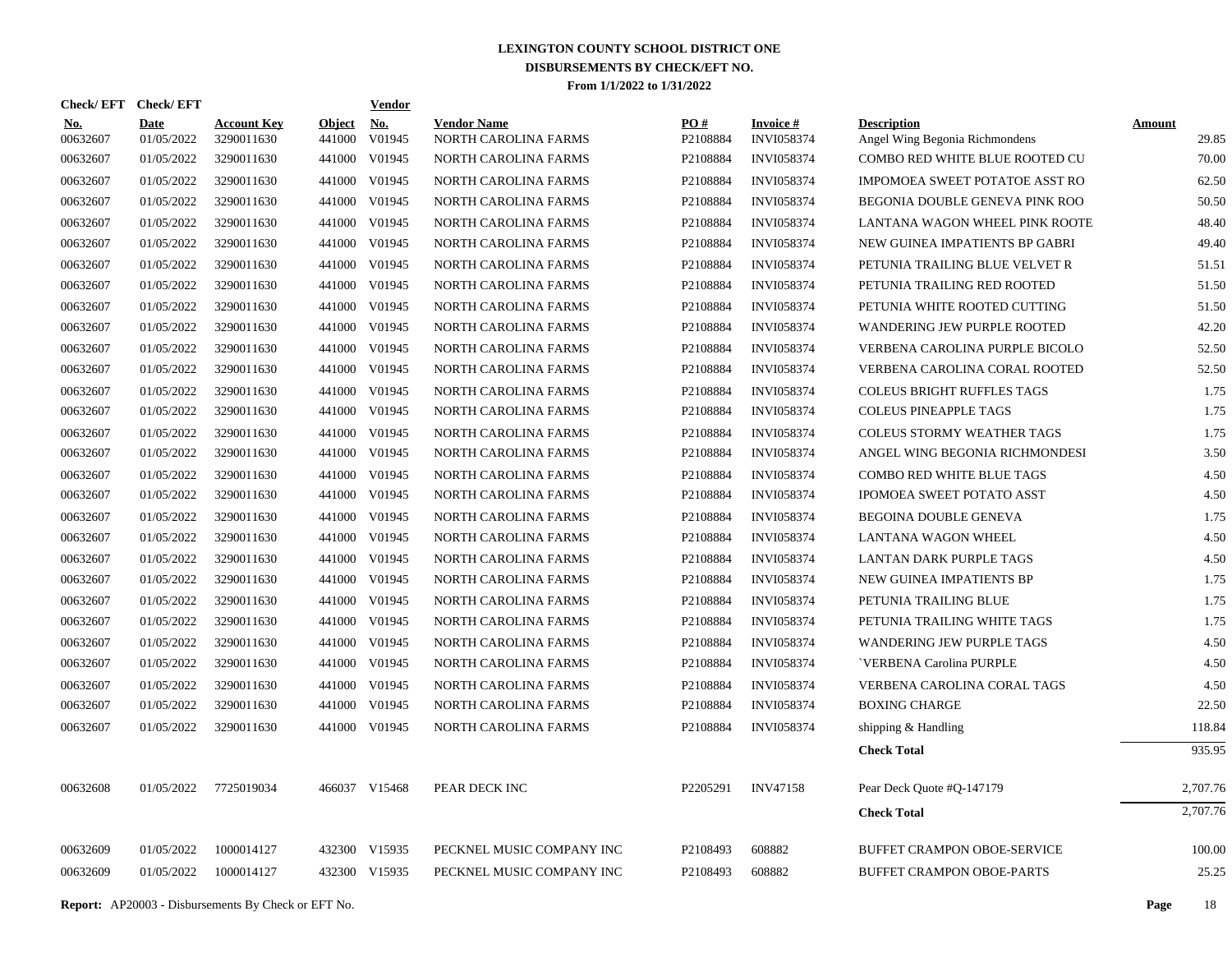| Check/ EFT             | <b>Check/EFT</b>          |                                  |                         | <u>Vendor</u>        |                                            |                               |                                      |                                                      |                        |
|------------------------|---------------------------|----------------------------------|-------------------------|----------------------|--------------------------------------------|-------------------------------|--------------------------------------|------------------------------------------------------|------------------------|
| <u>No.</u><br>00632607 | <b>Date</b><br>01/05/2022 | <b>Account Key</b><br>3290011630 | <b>Object</b><br>441000 | <u>No.</u><br>V01945 | <b>Vendor Name</b><br>NORTH CAROLINA FARMS | $\underline{PO#}$<br>P2108884 | <b>Invoice#</b><br><b>INVI058374</b> | <b>Description</b><br>Angel Wing Begonia Richmondens | <b>Amount</b><br>29.85 |
| 00632607               | 01/05/2022                | 3290011630                       | 441000                  | V01945               | NORTH CAROLINA FARMS                       | P2108884                      | <b>INVI058374</b>                    | COMBO RED WHITE BLUE ROOTED CU                       | 70.00                  |
| 00632607               | 01/05/2022                | 3290011630                       | 441000                  | V01945               | NORTH CAROLINA FARMS                       | P2108884                      | <b>INVI058374</b>                    | <b>IMPOMOEA SWEET POTATOE ASST RO</b>                | 62.50                  |
| 00632607               | 01/05/2022                | 3290011630                       | 441000                  | V01945               | NORTH CAROLINA FARMS                       | P2108884                      | <b>INVI058374</b>                    | BEGONIA DOUBLE GENEVA PINK ROO                       | 50.50                  |
| 00632607               | 01/05/2022                | 3290011630                       | 441000                  | V01945               | NORTH CAROLINA FARMS                       | P2108884                      | <b>INVI058374</b>                    | LANTANA WAGON WHEEL PINK ROOTE                       | 48.40                  |
| 00632607               | 01/05/2022                | 3290011630                       | 441000                  | V01945               | NORTH CAROLINA FARMS                       | P2108884                      | <b>INVI058374</b>                    | NEW GUINEA IMPATIENTS BP GABRI                       | 49.40                  |
| 00632607               | 01/05/2022                | 3290011630                       | 441000                  | V01945               | NORTH CAROLINA FARMS                       | P2108884                      | <b>INVI058374</b>                    | PETUNIA TRAILING BLUE VELVET R                       | 51.51                  |
| 00632607               | 01/05/2022                | 3290011630                       | 441000                  | V01945               | NORTH CAROLINA FARMS                       | P2108884                      | <b>INVI058374</b>                    | PETUNIA TRAILING RED ROOTED                          | 51.50                  |
| 00632607               | 01/05/2022                | 3290011630                       | 441000                  | V01945               | NORTH CAROLINA FARMS                       | P2108884                      | <b>INVI058374</b>                    | PETUNIA WHITE ROOTED CUTTING                         | 51.50                  |
| 00632607               | 01/05/2022                | 3290011630                       | 441000                  | V01945               | NORTH CAROLINA FARMS                       | P2108884                      | <b>INVI058374</b>                    | <b>WANDERING JEW PURPLE ROOTED</b>                   | 42.20                  |
| 00632607               | 01/05/2022                | 3290011630                       | 441000                  | V01945               | NORTH CAROLINA FARMS                       | P2108884                      | <b>INVI058374</b>                    | VERBENA CAROLINA PURPLE BICOLO                       | 52.50                  |
| 00632607               | 01/05/2022                | 3290011630                       | 441000                  | V01945               | NORTH CAROLINA FARMS                       | P2108884                      | INVI058374                           | VERBENA CAROLINA CORAL ROOTED                        | 52.50                  |
| 00632607               | 01/05/2022                | 3290011630                       | 441000                  | V01945               | NORTH CAROLINA FARMS                       | P2108884                      | INVI058374                           | COLEUS BRIGHT RUFFLES TAGS                           | 1.75                   |
| 00632607               | 01/05/2022                | 3290011630                       |                         | 441000 V01945        | NORTH CAROLINA FARMS                       | P2108884                      | <b>INVI058374</b>                    | <b>COLEUS PINEAPPLE TAGS</b>                         | 1.75                   |
| 00632607               | 01/05/2022                | 3290011630                       |                         | 441000 V01945        | NORTH CAROLINA FARMS                       | P2108884                      | INVI058374                           | <b>COLEUS STORMY WEATHER TAGS</b>                    | 1.75                   |
| 00632607               | 01/05/2022                | 3290011630                       |                         | 441000 V01945        | NORTH CAROLINA FARMS                       | P2108884                      | <b>INVI058374</b>                    | ANGEL WING BEGONIA RICHMONDESI                       | 3.50                   |
| 00632607               | 01/05/2022                | 3290011630                       |                         | 441000 V01945        | NORTH CAROLINA FARMS                       | P2108884                      | <b>INVI058374</b>                    | COMBO RED WHITE BLUE TAGS                            | 4.50                   |
| 00632607               | 01/05/2022                | 3290011630                       |                         | 441000 V01945        | NORTH CAROLINA FARMS                       | P2108884                      | <b>INVI058374</b>                    | IPOMOEA SWEET POTATO ASST                            | 4.50                   |
| 00632607               | 01/05/2022                | 3290011630                       |                         | 441000 V01945        | NORTH CAROLINA FARMS                       | P2108884                      | <b>INVI058374</b>                    | BEGOINA DOUBLE GENEVA                                | 1.75                   |
| 00632607               | 01/05/2022                | 3290011630                       |                         | 441000 V01945        | NORTH CAROLINA FARMS                       | P2108884                      | <b>INVI058374</b>                    | LANTANA WAGON WHEEL                                  | 4.50                   |
| 00632607               | 01/05/2022                | 3290011630                       |                         | 441000 V01945        | NORTH CAROLINA FARMS                       | P2108884                      | <b>INVI058374</b>                    | LANTAN DARK PURPLE TAGS                              | 4.50                   |
| 00632607               | 01/05/2022                | 3290011630                       |                         | 441000 V01945        | NORTH CAROLINA FARMS                       | P2108884                      | <b>INVI058374</b>                    | NEW GUINEA IMPATIENTS BP                             | 1.75                   |
| 00632607               | 01/05/2022                | 3290011630                       |                         | 441000 V01945        | NORTH CAROLINA FARMS                       | P2108884                      | <b>INVI058374</b>                    | PETUNIA TRAILING BLUE                                | 1.75                   |
| 00632607               | 01/05/2022                | 3290011630                       | 441000                  | V01945               | NORTH CAROLINA FARMS                       | P2108884                      | <b>INVI058374</b>                    | PETUNIA TRAILING WHITE TAGS                          | 1.75                   |
| 00632607               | 01/05/2022                | 3290011630                       |                         | 441000 V01945        | NORTH CAROLINA FARMS                       | P2108884                      | <b>INVI058374</b>                    | <b>WANDERING JEW PURPLE TAGS</b>                     | 4.50                   |
| 00632607               | 01/05/2022                | 3290011630                       | 441000                  | V01945               | NORTH CAROLINA FARMS                       | P2108884                      | <b>INVI058374</b>                    | 'VERBENA Carolina PURPLE                             | 4.50                   |
| 00632607               | 01/05/2022                | 3290011630                       | 441000                  | V01945               | NORTH CAROLINA FARMS                       | P2108884                      | <b>INVI058374</b>                    | VERBENA CAROLINA CORAL TAGS                          | 4.50                   |
| 00632607               | 01/05/2022                | 3290011630                       | 441000                  | V01945               | NORTH CAROLINA FARMS                       | P2108884                      | <b>INVI058374</b>                    | <b>BOXING CHARGE</b>                                 | 22.50                  |
| 00632607               | 01/05/2022                | 3290011630                       |                         | 441000 V01945        | NORTH CAROLINA FARMS                       | P2108884                      | <b>INVI058374</b>                    | shipping & Handling                                  | 118.84                 |
|                        |                           |                                  |                         |                      |                                            |                               |                                      | <b>Check Total</b>                                   | 935.95                 |
| 00632608               | 01/05/2022                | 7725019034                       |                         | 466037 V15468        | PEAR DECK INC                              | P2205291                      | <b>INV47158</b>                      | Pear Deck Quote #Q-147179                            | 2,707.76               |
|                        |                           |                                  |                         |                      |                                            |                               |                                      | <b>Check Total</b>                                   | 2,707.76               |
| 00632609               | 01/05/2022                | 1000014127                       |                         | 432300 V15935        | PECKNEL MUSIC COMPANY INC                  | P2108493                      | 608882                               | BUFFET CRAMPON OBOE-SERVICE                          | 100.00                 |
| 00632609               | 01/05/2022                | 1000014127                       |                         | 432300 V15935        | PECKNEL MUSIC COMPANY INC                  | P2108493                      | 608882                               | BUFFET CRAMPON OBOE-PARTS                            | 25.25                  |
|                        |                           |                                  |                         |                      |                                            |                               |                                      |                                                      |                        |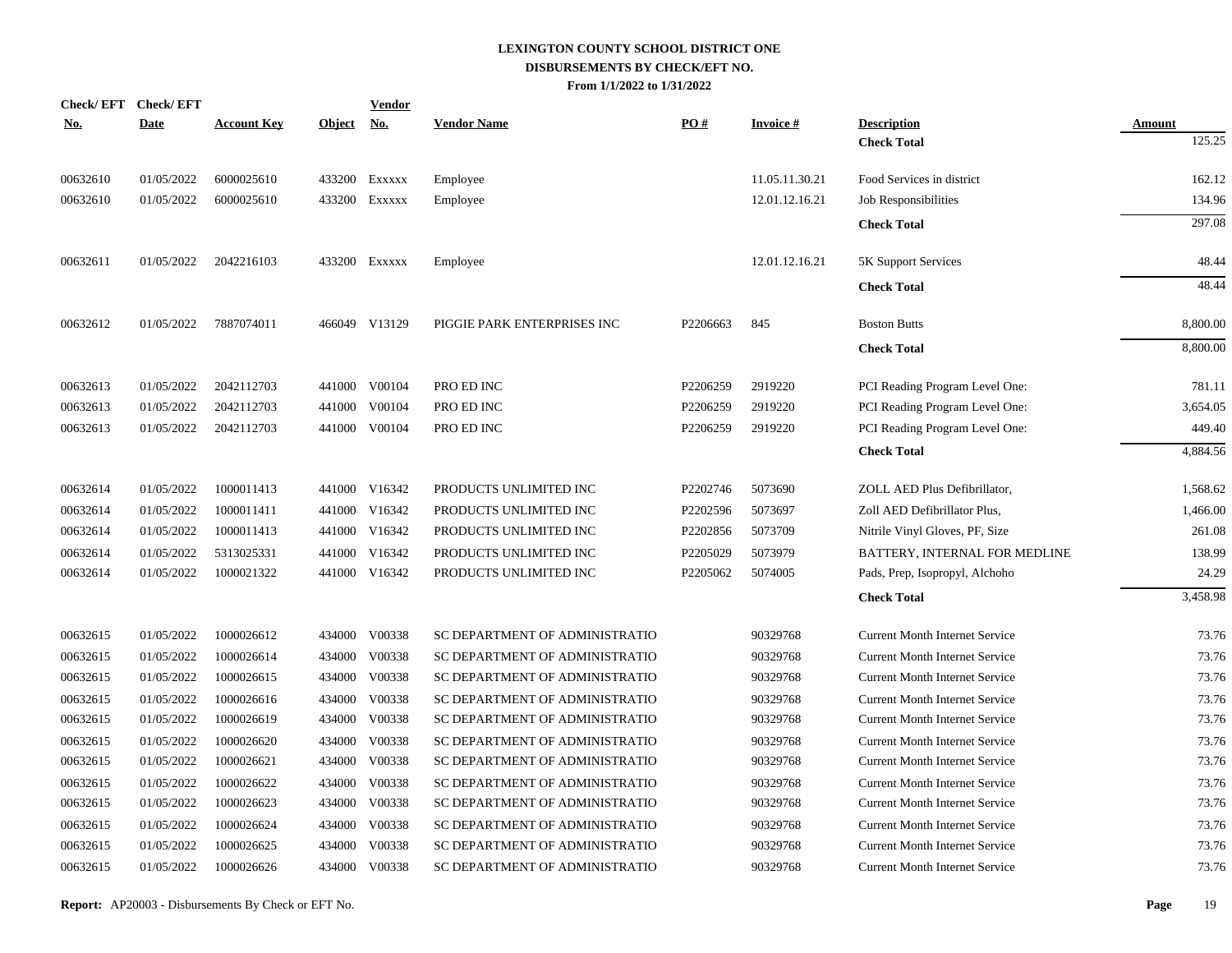| <b>Check/EFT</b> | <b>Check/EFT</b> |                    |               | <b>Vendor</b> |                                |          |                 |                                       |               |
|------------------|------------------|--------------------|---------------|---------------|--------------------------------|----------|-----------------|---------------------------------------|---------------|
| <u>No.</u>       | <b>Date</b>      | <b>Account Key</b> | <b>Object</b> | <u>No.</u>    | <b>Vendor Name</b>             | PO#      | <b>Invoice#</b> | <b>Description</b>                    | <b>Amount</b> |
|                  |                  |                    |               |               |                                |          |                 | <b>Check Total</b>                    | 125.25        |
| 00632610         | 01/05/2022       | 6000025610         | 433200        | EXXXXX        | Employee                       |          | 11.05.11.30.21  | Food Services in district             | 162.12        |
| 00632610         | 01/05/2022       | 6000025610         | 433200        | EXXXXX        | Employee                       |          | 12.01.12.16.21  | Job Responsibilities                  | 134.96        |
|                  |                  |                    |               |               |                                |          |                 | <b>Check Total</b>                    | 297.08        |
| 00632611         | 01/05/2022       | 2042216103         |               | 433200 Exxxxx | Employee                       |          | 12.01.12.16.21  | 5K Support Services                   | 48.44         |
|                  |                  |                    |               |               |                                |          |                 | <b>Check Total</b>                    | 48.44         |
| 00632612         | 01/05/2022       | 7887074011         |               | 466049 V13129 | PIGGIE PARK ENTERPRISES INC    | P2206663 | 845             | <b>Boston Butts</b>                   | 8,800.00      |
|                  |                  |                    |               |               |                                |          |                 | <b>Check Total</b>                    | 8,800.00      |
| 00632613         | 01/05/2022       | 2042112703         |               | 441000 V00104 | PRO ED INC                     | P2206259 | 2919220         | PCI Reading Program Level One:        | 781.11        |
| 00632613         | 01/05/2022       | 2042112703         | 441000        | V00104        | PRO ED INC                     | P2206259 | 2919220         | PCI Reading Program Level One:        | 3,654.05      |
| 00632613         | 01/05/2022       | 2042112703         | 441000        | V00104        | PRO ED INC                     | P2206259 | 2919220         | PCI Reading Program Level One:        | 449.40        |
|                  |                  |                    |               |               |                                |          |                 | <b>Check Total</b>                    | 4,884.56      |
| 00632614         | 01/05/2022       | 1000011413         |               | 441000 V16342 | PRODUCTS UNLIMITED INC         | P2202746 | 5073690         | ZOLL AED Plus Defibrillator,          | 1,568.62      |
| 00632614         | 01/05/2022       | 1000011411         | 441000        | V16342        | PRODUCTS UNLIMITED INC         | P2202596 | 5073697         | Zoll AED Defibrillator Plus,          | 1,466.00      |
| 00632614         | 01/05/2022       | 1000011413         |               | 441000 V16342 | PRODUCTS UNLIMITED INC         | P2202856 | 5073709         | Nitrile Vinyl Gloves, PF, Size        | 261.08        |
| 00632614         | 01/05/2022       | 5313025331         | 441000        | V16342        | PRODUCTS UNLIMITED INC         | P2205029 | 5073979         | BATTERY, INTERNAL FOR MEDLINE         | 138.99        |
| 00632614         | 01/05/2022       | 1000021322         |               | 441000 V16342 | PRODUCTS UNLIMITED INC         | P2205062 | 5074005         | Pads, Prep, Isopropyl, Alchoho        | 24.29         |
|                  |                  |                    |               |               |                                |          |                 | <b>Check Total</b>                    | 3,458.98      |
| 00632615         | 01/05/2022       | 1000026612         |               | 434000 V00338 | SC DEPARTMENT OF ADMINISTRATIO |          | 90329768        | <b>Current Month Internet Service</b> | 73.76         |
| 00632615         | 01/05/2022       | 1000026614         | 434000        | V00338        | SC DEPARTMENT OF ADMINISTRATIO |          | 90329768        | <b>Current Month Internet Service</b> | 73.76         |
| 00632615         | 01/05/2022       | 1000026615         | 434000        | V00338        | SC DEPARTMENT OF ADMINISTRATIO |          | 90329768        | <b>Current Month Internet Service</b> | 73.76         |
| 00632615         | 01/05/2022       | 1000026616         | 434000        | V00338        | SC DEPARTMENT OF ADMINISTRATIO |          | 90329768        | <b>Current Month Internet Service</b> | 73.76         |
| 00632615         | 01/05/2022       | 1000026619         | 434000        | V00338        | SC DEPARTMENT OF ADMINISTRATIO |          | 90329768        | <b>Current Month Internet Service</b> | 73.76         |
| 00632615         | 01/05/2022       | 1000026620         | 434000        | V00338        | SC DEPARTMENT OF ADMINISTRATIO |          | 90329768        | <b>Current Month Internet Service</b> | 73.76         |
| 00632615         | 01/05/2022       | 1000026621         | 434000        | V00338        | SC DEPARTMENT OF ADMINISTRATIO |          | 90329768        | Current Month Internet Service        | 73.76         |
| 00632615         | 01/05/2022       | 1000026622         | 434000        | V00338        | SC DEPARTMENT OF ADMINISTRATIO |          | 90329768        | <b>Current Month Internet Service</b> | 73.76         |
| 00632615         | 01/05/2022       | 1000026623         | 434000        | V00338        | SC DEPARTMENT OF ADMINISTRATIO |          | 90329768        | <b>Current Month Internet Service</b> | 73.76         |
| 00632615         | 01/05/2022       | 1000026624         | 434000        | V00338        | SC DEPARTMENT OF ADMINISTRATIO |          | 90329768        | <b>Current Month Internet Service</b> | 73.76         |
| 00632615         | 01/05/2022       | 1000026625         | 434000        | V00338        | SC DEPARTMENT OF ADMINISTRATIO |          | 90329768        | <b>Current Month Internet Service</b> | 73.76         |
| 00632615         | 01/05/2022       | 1000026626         | 434000        | V00338        | SC DEPARTMENT OF ADMINISTRATIO |          | 90329768        | <b>Current Month Internet Service</b> | 73.76         |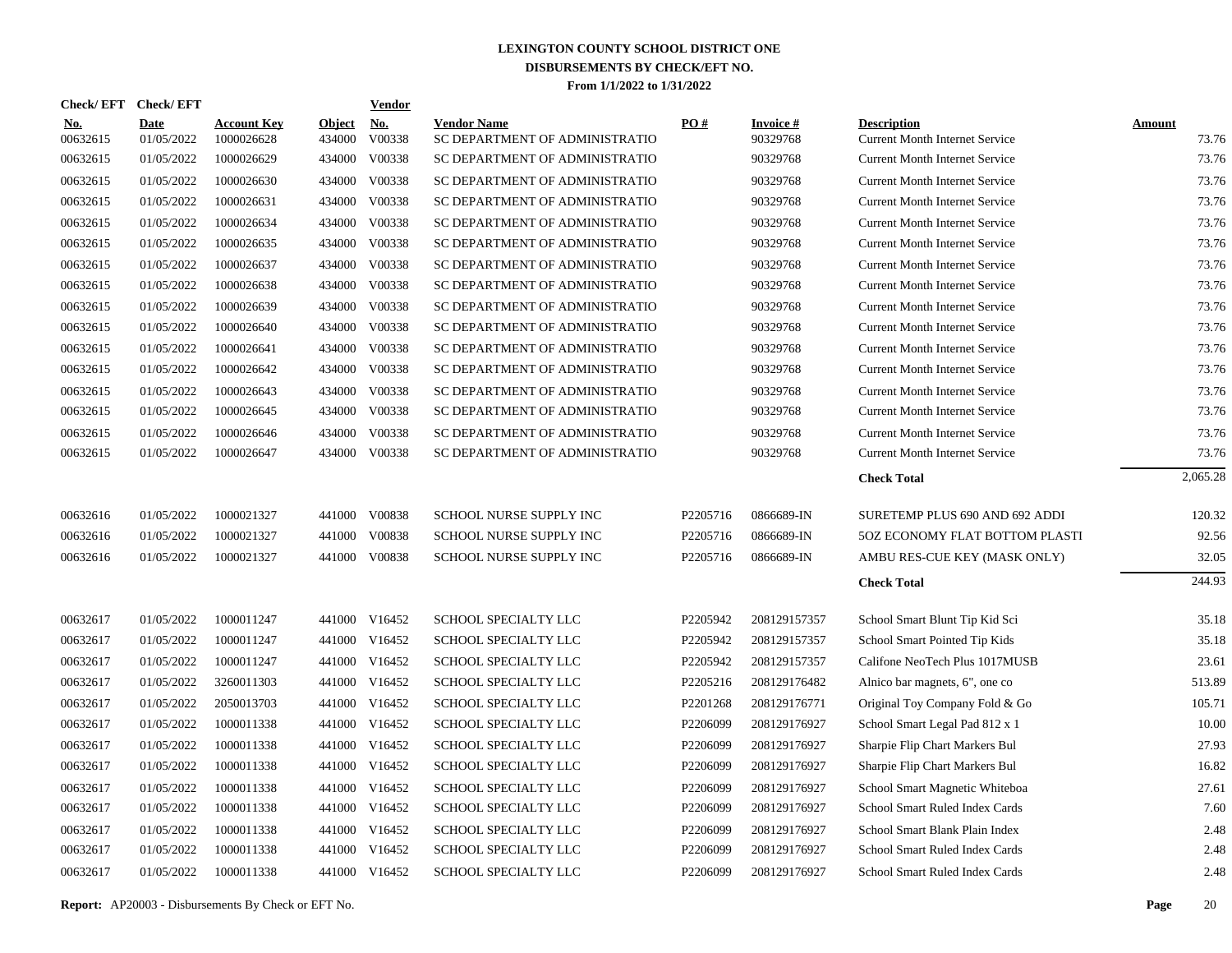|                        | Check/EFT Check/EFT       |                                  |                         | <b>Vendor</b> |                                                      |          |                             |                                                             |                        |
|------------------------|---------------------------|----------------------------------|-------------------------|---------------|------------------------------------------------------|----------|-----------------------------|-------------------------------------------------------------|------------------------|
| <b>No.</b><br>00632615 | <b>Date</b><br>01/05/2022 | <b>Account Key</b><br>1000026628 | <b>Object</b><br>434000 | No.<br>V00338 | <b>Vendor Name</b><br>SC DEPARTMENT OF ADMINISTRATIO | PO#      | <b>Invoice#</b><br>90329768 | <b>Description</b><br><b>Current Month Internet Service</b> | <b>Amount</b><br>73.76 |
| 00632615               | 01/05/2022                | 1000026629                       | 434000                  | V00338        | SC DEPARTMENT OF ADMINISTRATIO                       |          | 90329768                    | <b>Current Month Internet Service</b>                       | 73.76                  |
| 00632615               | 01/05/2022                | 1000026630                       | 434000                  | V00338        | SC DEPARTMENT OF ADMINISTRATIO                       |          | 90329768                    | <b>Current Month Internet Service</b>                       | 73.76                  |
| 00632615               | 01/05/2022                | 1000026631                       | 434000                  | V00338        | SC DEPARTMENT OF ADMINISTRATIO                       |          | 90329768                    | <b>Current Month Internet Service</b>                       | 73.76                  |
| 00632615               | 01/05/2022                | 1000026634                       | 434000                  | V00338        | SC DEPARTMENT OF ADMINISTRATIO                       |          | 90329768                    | <b>Current Month Internet Service</b>                       | 73.76                  |
| 00632615               | 01/05/2022                | 1000026635                       | 434000                  | V00338        | SC DEPARTMENT OF ADMINISTRATIO                       |          | 90329768                    | <b>Current Month Internet Service</b>                       | 73.76                  |
| 00632615               | 01/05/2022                | 1000026637                       | 434000                  | V00338        | SC DEPARTMENT OF ADMINISTRATIO                       |          | 90329768                    | <b>Current Month Internet Service</b>                       | 73.76                  |
| 00632615               | 01/05/2022                | 1000026638                       | 434000                  | V00338        | SC DEPARTMENT OF ADMINISTRATIO                       |          | 90329768                    | <b>Current Month Internet Service</b>                       | 73.76                  |
| 00632615               | 01/05/2022                | 1000026639                       | 434000                  | V00338        | SC DEPARTMENT OF ADMINISTRATIO                       |          | 90329768                    | <b>Current Month Internet Service</b>                       | 73.76                  |
| 00632615               | 01/05/2022                | 1000026640                       | 434000                  | V00338        | SC DEPARTMENT OF ADMINISTRATIO                       |          | 90329768                    | <b>Current Month Internet Service</b>                       | 73.76                  |
| 00632615               | 01/05/2022                | 1000026641                       | 434000                  | V00338        | SC DEPARTMENT OF ADMINISTRATIO                       |          | 90329768                    | <b>Current Month Internet Service</b>                       | 73.76                  |
| 00632615               | 01/05/2022                | 1000026642                       | 434000                  | V00338        | SC DEPARTMENT OF ADMINISTRATIO                       |          | 90329768                    | <b>Current Month Internet Service</b>                       | 73.76                  |
| 00632615               | 01/05/2022                | 1000026643                       | 434000                  | V00338        | SC DEPARTMENT OF ADMINISTRATIO                       |          | 90329768                    | <b>Current Month Internet Service</b>                       | 73.76                  |
| 00632615               | 01/05/2022                | 1000026645                       | 434000                  | V00338        | SC DEPARTMENT OF ADMINISTRATIO                       |          | 90329768                    | <b>Current Month Internet Service</b>                       | 73.76                  |
| 00632615               | 01/05/2022                | 1000026646                       | 434000                  | V00338        | SC DEPARTMENT OF ADMINISTRATIO                       |          | 90329768                    | <b>Current Month Internet Service</b>                       | 73.76                  |
| 00632615               | 01/05/2022                | 1000026647                       | 434000                  | V00338        | SC DEPARTMENT OF ADMINISTRATIO                       |          | 90329768                    | <b>Current Month Internet Service</b>                       | 73.76                  |
|                        |                           |                                  |                         |               |                                                      |          |                             | <b>Check Total</b>                                          | 2,065.28               |
| 00632616               | 01/05/2022                | 1000021327                       |                         | 441000 V00838 | SCHOOL NURSE SUPPLY INC                              | P2205716 | 0866689-IN                  | SURETEMP PLUS 690 AND 692 ADDI                              | 120.32                 |
| 00632616               | 01/05/2022                | 1000021327                       | 441000                  | V00838        | SCHOOL NURSE SUPPLY INC                              | P2205716 | 0866689-IN                  | 5OZ ECONOMY FLAT BOTTOM PLASTI                              | 92.56                  |
| 00632616               | 01/05/2022                | 1000021327                       |                         | 441000 V00838 | SCHOOL NURSE SUPPLY INC                              | P2205716 | 0866689-IN                  | AMBU RES-CUE KEY (MASK ONLY)                                | 32.05                  |
|                        |                           |                                  |                         |               |                                                      |          |                             | <b>Check Total</b>                                          | 244.93                 |
| 00632617               | 01/05/2022                | 1000011247                       |                         | 441000 V16452 | SCHOOL SPECIALTY LLC                                 | P2205942 | 208129157357                | School Smart Blunt Tip Kid Sci                              | 35.18                  |
| 00632617               | 01/05/2022                | 1000011247                       |                         | 441000 V16452 | SCHOOL SPECIALTY LLC                                 | P2205942 | 208129157357                | School Smart Pointed Tip Kids                               | 35.18                  |
| 00632617               | 01/05/2022                | 1000011247                       |                         | 441000 V16452 | SCHOOL SPECIALTY LLC                                 | P2205942 | 208129157357                | Califone NeoTech Plus 1017MUSB                              | 23.61                  |
| 00632617               | 01/05/2022                | 3260011303                       |                         | 441000 V16452 | SCHOOL SPECIALTY LLC                                 | P2205216 | 208129176482                | Alnico bar magnets, 6", one co                              | 513.89                 |
| 00632617               | 01/05/2022                | 2050013703                       |                         | 441000 V16452 | SCHOOL SPECIALTY LLC                                 | P2201268 | 208129176771                | Original Toy Company Fold & Go                              | 105.71                 |
| 00632617               | 01/05/2022                | 1000011338                       |                         | 441000 V16452 | SCHOOL SPECIALTY LLC                                 | P2206099 | 208129176927                | School Smart Legal Pad 812 x 1                              | 10.00                  |
| 00632617               | 01/05/2022                | 1000011338                       |                         | 441000 V16452 | SCHOOL SPECIALTY LLC                                 | P2206099 | 208129176927                | Sharpie Flip Chart Markers Bul                              | 27.93                  |
| 00632617               | 01/05/2022                | 1000011338                       |                         | 441000 V16452 | SCHOOL SPECIALTY LLC                                 | P2206099 | 208129176927                | Sharpie Flip Chart Markers Bul                              | 16.82                  |
| 00632617               | 01/05/2022                | 1000011338                       |                         | 441000 V16452 | SCHOOL SPECIALTY LLC                                 | P2206099 | 208129176927                | School Smart Magnetic Whiteboa                              | 27.61                  |
| 00632617               | 01/05/2022                | 1000011338                       |                         | 441000 V16452 | SCHOOL SPECIALTY LLC                                 | P2206099 | 208129176927                | School Smart Ruled Index Cards                              | 7.60                   |
| 00632617               | 01/05/2022                | 1000011338                       |                         | 441000 V16452 | SCHOOL SPECIALTY LLC                                 | P2206099 | 208129176927                | School Smart Blank Plain Index                              | 2.48                   |
| 00632617               | 01/05/2022                | 1000011338                       |                         | 441000 V16452 | SCHOOL SPECIALTY LLC                                 | P2206099 | 208129176927                | School Smart Ruled Index Cards                              | 2.48                   |
| 00632617               | 01/05/2022                | 1000011338                       |                         | 441000 V16452 | SCHOOL SPECIALTY LLC                                 | P2206099 | 208129176927                | School Smart Ruled Index Cards                              | 2.48                   |

**Report:** AP20003 - Disbursements By Check or EFT No. **Page** 20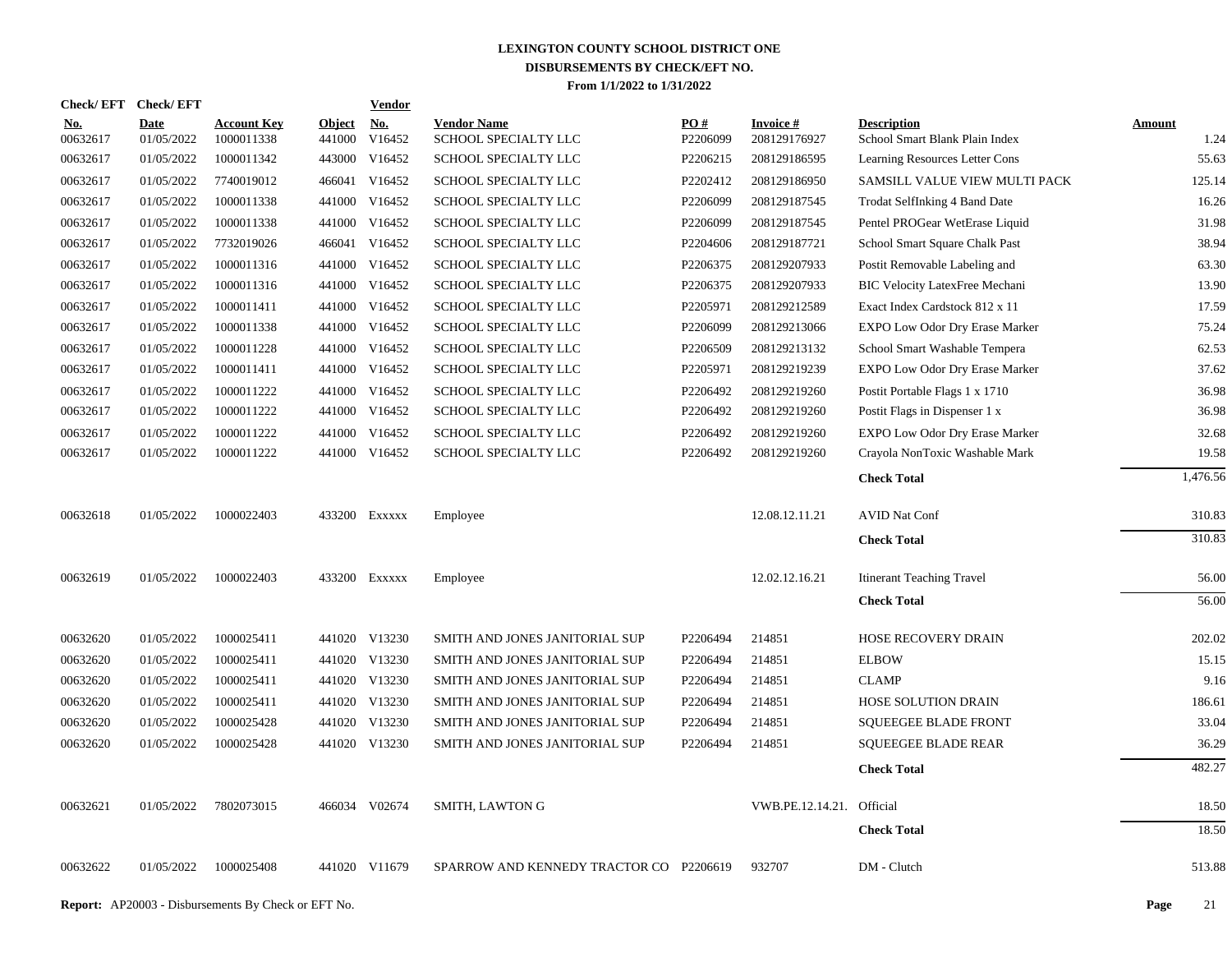| <b>Check/EFT</b>       | <b>Check/EFT</b>          |                                  |                      | <b>Vendor</b> |                                            |                               |                                 |                                                      |                       |
|------------------------|---------------------------|----------------------------------|----------------------|---------------|--------------------------------------------|-------------------------------|---------------------------------|------------------------------------------------------|-----------------------|
| <u>No.</u><br>00632617 | <b>Date</b><br>01/05/2022 | <b>Account Key</b><br>1000011338 | Object No.<br>441000 | V16452        | <b>Vendor Name</b><br>SCHOOL SPECIALTY LLC | $\underline{PO#}$<br>P2206099 | <b>Invoice#</b><br>208129176927 | <b>Description</b><br>School Smart Blank Plain Index | <b>Amount</b><br>1.24 |
| 00632617               | 01/05/2022                | 1000011342                       | 443000               | V16452        | SCHOOL SPECIALTY LLC                       | P2206215                      | 208129186595                    | Learning Resources Letter Cons                       | 55.63                 |
| 00632617               | 01/05/2022                | 7740019012                       | 466041               | V16452        | SCHOOL SPECIALTY LLC                       | P2202412                      | 208129186950                    | SAMSILL VALUE VIEW MULTI PACK                        | 125.14                |
| 00632617               | 01/05/2022                | 1000011338                       | 441000               | V16452        | SCHOOL SPECIALTY LLC                       | P2206099                      | 208129187545                    | Trodat SelfInking 4 Band Date                        | 16.26                 |
| 00632617               | 01/05/2022                | 1000011338                       | 441000               | V16452        | <b>SCHOOL SPECIALTY LLC</b>                | P2206099                      | 208129187545                    | Pentel PROGear WetErase Liquid                       | 31.98                 |
| 00632617               | 01/05/2022                | 7732019026                       |                      | 466041 V16452 | SCHOOL SPECIALTY LLC                       | P2204606                      | 208129187721                    | School Smart Square Chalk Past                       | 38.94                 |
| 00632617               | 01/05/2022                | 1000011316                       | 441000               | V16452        | SCHOOL SPECIALTY LLC                       | P2206375                      | 208129207933                    | Postit Removable Labeling and                        | 63.30                 |
| 00632617               | 01/05/2022                | 1000011316                       |                      | 441000 V16452 | SCHOOL SPECIALTY LLC                       | P2206375                      | 208129207933                    | <b>BIC Velocity LatexFree Mechani</b>                | 13.90                 |
| 00632617               | 01/05/2022                | 1000011411                       | 441000               | V16452        | SCHOOL SPECIALTY LLC                       | P2205971                      | 208129212589                    | Exact Index Cardstock 812 x 11                       | 17.59                 |
| 00632617               | 01/05/2022                | 1000011338                       |                      | 441000 V16452 | SCHOOL SPECIALTY LLC                       | P2206099                      | 208129213066                    | EXPO Low Odor Dry Erase Marker                       | 75.24                 |
| 00632617               | 01/05/2022                | 1000011228                       |                      | 441000 V16452 | <b>SCHOOL SPECIALTY LLC</b>                | P2206509                      | 208129213132                    | School Smart Washable Tempera                        | 62.53                 |
| 00632617               | 01/05/2022                | 1000011411                       |                      | 441000 V16452 | SCHOOL SPECIALTY LLC                       | P2205971                      | 208129219239                    | EXPO Low Odor Dry Erase Marker                       | 37.62                 |
| 00632617               | 01/05/2022                | 1000011222                       |                      | 441000 V16452 | SCHOOL SPECIALTY LLC                       | P2206492                      | 208129219260                    | Postit Portable Flags 1 x 1710                       | 36.98                 |
| 00632617               | 01/05/2022                | 1000011222                       |                      | 441000 V16452 | SCHOOL SPECIALTY LLC                       | P2206492                      | 208129219260                    | Postit Flags in Dispenser 1 x                        | 36.98                 |
| 00632617               | 01/05/2022                | 1000011222                       |                      | 441000 V16452 | SCHOOL SPECIALTY LLC                       | P2206492                      | 208129219260                    | EXPO Low Odor Dry Erase Marker                       | 32.68                 |
| 00632617               | 01/05/2022                | 1000011222                       |                      | 441000 V16452 | SCHOOL SPECIALTY LLC                       | P2206492                      | 208129219260                    | Crayola NonToxic Washable Mark                       | 19.58                 |
|                        |                           |                                  |                      |               |                                            |                               |                                 | <b>Check Total</b>                                   | 1,476.56              |
| 00632618               | 01/05/2022                | 1000022403                       |                      | 433200 Exxxxx | Employee                                   |                               | 12.08.12.11.21                  | <b>AVID Nat Conf</b>                                 | 310.83                |
|                        |                           |                                  |                      |               |                                            |                               |                                 | <b>Check Total</b>                                   | 310.83                |
| 00632619               | 01/05/2022                | 1000022403                       |                      | 433200 EXXXXX | Employee                                   |                               | 12.02.12.16.21                  | <b>Itinerant Teaching Travel</b>                     | 56.00                 |
|                        |                           |                                  |                      |               |                                            |                               |                                 | <b>Check Total</b>                                   | 56.00                 |
| 00632620               | 01/05/2022                | 1000025411                       |                      | 441020 V13230 | SMITH AND JONES JANITORIAL SUP             | P2206494                      | 214851                          | HOSE RECOVERY DRAIN                                  | 202.02                |
| 00632620               | 01/05/2022                | 1000025411                       |                      | 441020 V13230 | SMITH AND JONES JANITORIAL SUP             | P2206494                      | 214851                          | <b>ELBOW</b>                                         | 15.15                 |
| 00632620               | 01/05/2022                | 1000025411                       |                      | 441020 V13230 | SMITH AND JONES JANITORIAL SUP             | P2206494                      | 214851                          | <b>CLAMP</b>                                         | 9.16                  |
| 00632620               | 01/05/2022                | 1000025411                       |                      | 441020 V13230 | SMITH AND JONES JANITORIAL SUP             | P2206494                      | 214851                          | HOSE SOLUTION DRAIN                                  | 186.61                |
| 00632620               | 01/05/2022                | 1000025428                       |                      | 441020 V13230 | SMITH AND JONES JANITORIAL SUP             | P2206494                      | 214851                          | <b>SQUEEGEE BLADE FRONT</b>                          | 33.04                 |
| 00632620               | 01/05/2022                | 1000025428                       |                      | 441020 V13230 | SMITH AND JONES JANITORIAL SUP             | P2206494                      | 214851                          | <b>SQUEEGEE BLADE REAR</b>                           | 36.29                 |
|                        |                           |                                  |                      |               |                                            |                               |                                 | <b>Check Total</b>                                   | 482.27                |
| 00632621               | 01/05/2022                | 7802073015                       |                      | 466034 V02674 | SMITH, LAWTON G                            |                               | VWB.PE.12.14.21. Official       |                                                      | 18.50                 |
|                        |                           |                                  |                      |               |                                            |                               |                                 | <b>Check Total</b>                                   | 18.50                 |
| 00632622               | 01/05/2022                | 1000025408                       |                      | 441020 V11679 | SPARROW AND KENNEDY TRACTOR CO P2206619    |                               | 932707                          | DM - Clutch                                          | 513.88                |
|                        |                           |                                  |                      |               |                                            |                               |                                 |                                                      |                       |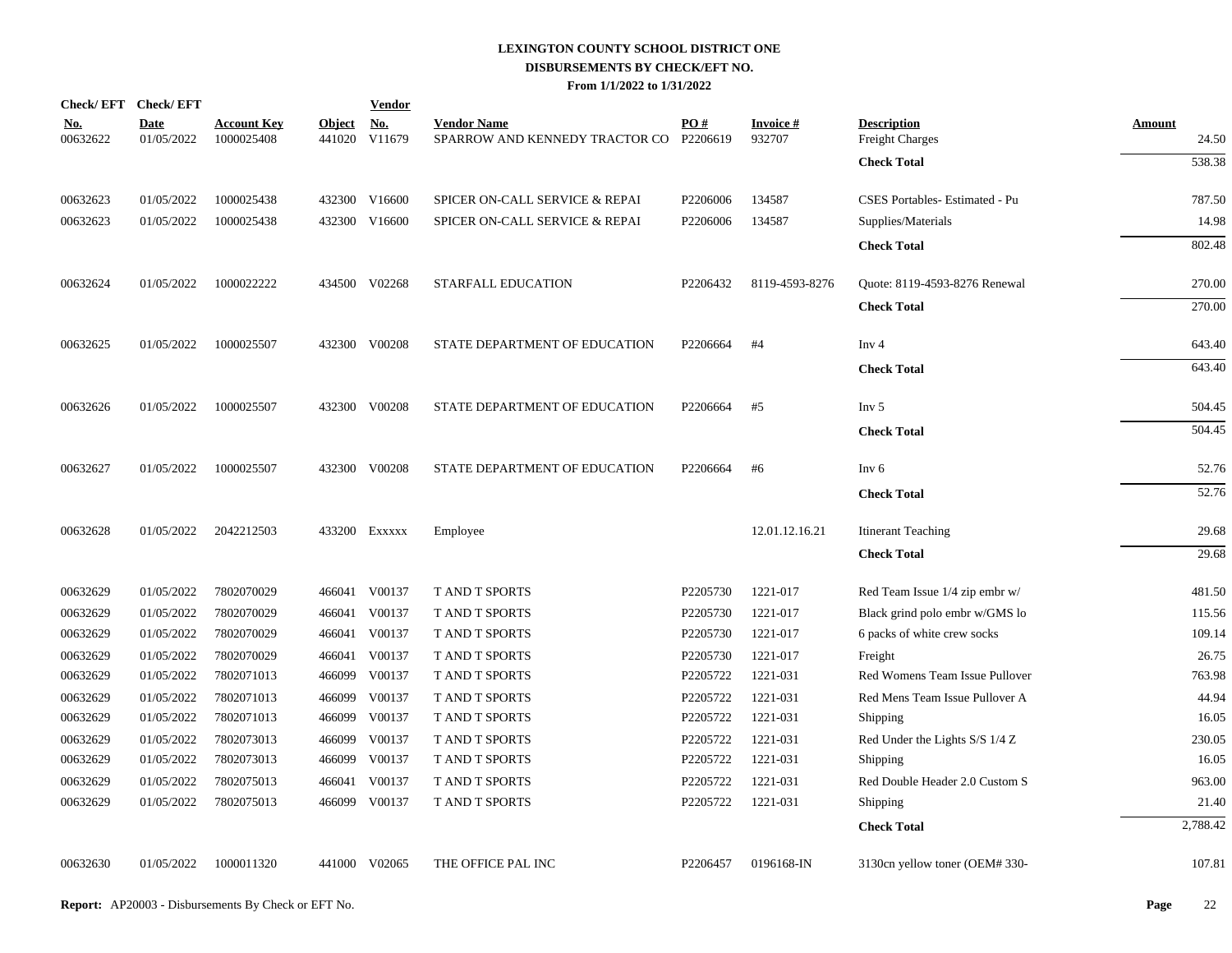|                        | Check/EFT Check/EFT       |                                  |                         | <u>Vendor</u>        |                                                      |                 |                           |                                              |                        |
|------------------------|---------------------------|----------------------------------|-------------------------|----------------------|------------------------------------------------------|-----------------|---------------------------|----------------------------------------------|------------------------|
| <u>No.</u><br>00632622 | <b>Date</b><br>01/05/2022 | <b>Account Key</b><br>1000025408 | <u>Object</u><br>441020 | <u>No.</u><br>V11679 | <b>Vendor Name</b><br>SPARROW AND KENNEDY TRACTOR CO | PO#<br>P2206619 | <b>Invoice#</b><br>932707 | <b>Description</b><br><b>Freight Charges</b> | <b>Amount</b><br>24.50 |
|                        |                           |                                  |                         |                      |                                                      |                 |                           | <b>Check Total</b>                           | 538.38                 |
| 00632623               | 01/05/2022                | 1000025438                       |                         | 432300 V16600        | SPICER ON-CALL SERVICE & REPAI                       | P2206006        | 134587                    | CSES Portables- Estimated - Pu               | 787.50                 |
| 00632623               | 01/05/2022                | 1000025438                       | 432300                  | V16600               | SPICER ON-CALL SERVICE & REPAI                       | P2206006        | 134587                    | Supplies/Materials                           | 14.98                  |
|                        |                           |                                  |                         |                      |                                                      |                 |                           | <b>Check Total</b>                           | 802.48                 |
| 00632624               | 01/05/2022                | 1000022222                       |                         | 434500 V02268        | STARFALL EDUCATION                                   | P2206432        | 8119-4593-8276            | Quote: 8119-4593-8276 Renewal                | 270.00                 |
|                        |                           |                                  |                         |                      |                                                      |                 |                           | <b>Check Total</b>                           | 270.00                 |
| 00632625               | 01/05/2022                | 1000025507                       |                         | 432300 V00208        | STATE DEPARTMENT OF EDUCATION                        | P2206664        | #4                        | Inv <sub>4</sub>                             | 643.40                 |
|                        |                           |                                  |                         |                      |                                                      |                 |                           | <b>Check Total</b>                           | 643.40                 |
| 00632626               | 01/05/2022                | 1000025507                       |                         | 432300 V00208        | STATE DEPARTMENT OF EDUCATION                        | P2206664        | #5                        | Inv <sub>5</sub>                             | 504.45                 |
|                        |                           |                                  |                         |                      |                                                      |                 |                           | <b>Check Total</b>                           | 504.45                 |
| 00632627               | 01/05/2022                | 1000025507                       |                         | 432300 V00208        | STATE DEPARTMENT OF EDUCATION                        | P2206664        | #6                        | Inv <sub>6</sub>                             | 52.76                  |
|                        |                           |                                  |                         |                      |                                                      |                 |                           | <b>Check Total</b>                           | 52.76                  |
| 00632628               | 01/05/2022                | 2042212503                       |                         | 433200 Exxxxx        | Employee                                             |                 | 12.01.12.16.21            | <b>Itinerant Teaching</b>                    | 29.68                  |
|                        |                           |                                  |                         |                      |                                                      |                 |                           | <b>Check Total</b>                           | 29.68                  |
| 00632629               | 01/05/2022                | 7802070029                       |                         | 466041 V00137        | T AND T SPORTS                                       | P2205730        | 1221-017                  | Red Team Issue 1/4 zip embr w/               | 481.50                 |
| 00632629               | 01/05/2022                | 7802070029                       | 466041                  | V00137               | <b>T AND T SPORTS</b>                                | P2205730        | 1221-017                  | Black grind polo embr w/GMS lo               | 115.56                 |
| 00632629               | 01/05/2022                | 7802070029                       | 466041                  | V00137               | T AND T SPORTS                                       | P2205730        | 1221-017                  | 6 packs of white crew socks                  | 109.14                 |
| 00632629               | 01/05/2022                | 7802070029                       | 466041                  | V00137               | <b>T AND T SPORTS</b>                                | P2205730        | 1221-017                  | Freight                                      | 26.75                  |
| 00632629               | 01/05/2022                | 7802071013                       | 466099                  | V00137               | <b>T AND T SPORTS</b>                                | P2205722        | 1221-031                  | Red Womens Team Issue Pullover               | 763.98                 |
| 00632629               | 01/05/2022                | 7802071013                       | 466099                  | V00137               | <b>T AND T SPORTS</b>                                | P2205722        | 1221-031                  | Red Mens Team Issue Pullover A               | 44.94                  |
| 00632629               | 01/05/2022                | 7802071013                       | 466099                  | V00137               | T AND T SPORTS                                       | P2205722        | 1221-031                  | Shipping                                     | 16.05                  |
| 00632629               | 01/05/2022                | 7802073013                       | 466099                  | V00137               | T AND T SPORTS                                       | P2205722        | 1221-031                  | Red Under the Lights S/S 1/4 Z               | 230.05                 |
| 00632629               | 01/05/2022                | 7802073013                       | 466099                  | V00137               | T AND T SPORTS                                       | P2205722        | 1221-031                  | Shipping                                     | 16.05                  |
| 00632629               | 01/05/2022                | 7802075013                       | 466041                  | V00137               | T AND T SPORTS                                       | P2205722        | 1221-031                  | Red Double Header 2.0 Custom S               | 963.00                 |
| 00632629               | 01/05/2022                | 7802075013                       | 466099                  | V00137               | <b>T AND T SPORTS</b>                                | P2205722        | 1221-031                  | Shipping                                     | 21.40                  |
|                        |                           |                                  |                         |                      |                                                      |                 |                           | <b>Check Total</b>                           | 2,788.42               |
| 00632630               | 01/05/2022                | 1000011320                       |                         | 441000 V02065        | THE OFFICE PAL INC                                   | P2206457        | 0196168-IN                | 3130cn yellow toner (OEM#330-                | 107.81                 |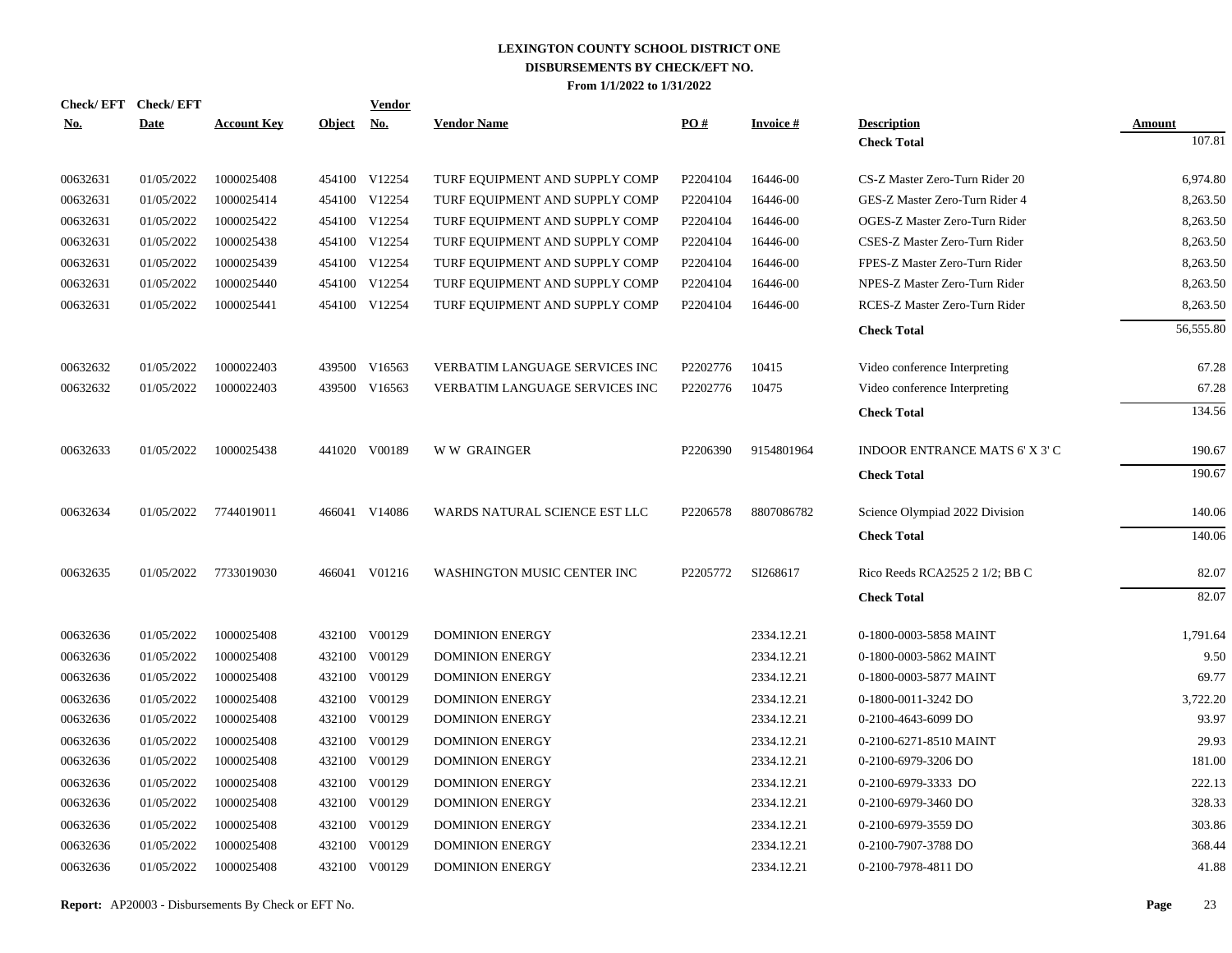|            | Check/EFT Check/EFT |                    |               | <b>Vendor</b> |                                |          |                 |                                |           |
|------------|---------------------|--------------------|---------------|---------------|--------------------------------|----------|-----------------|--------------------------------|-----------|
| <u>No.</u> | <b>Date</b>         | <b>Account Key</b> | <u>Object</u> | <u>No.</u>    | <b>Vendor Name</b>             | PO#      | <b>Invoice#</b> | <b>Description</b>             | Amount    |
|            |                     |                    |               |               |                                |          |                 | <b>Check Total</b>             | 107.81    |
| 00632631   | 01/05/2022          | 1000025408         |               | 454100 V12254 | TURF EQUIPMENT AND SUPPLY COMP | P2204104 | 16446-00        | CS-Z Master Zero-Turn Rider 20 | 6,974.80  |
| 00632631   | 01/05/2022          | 1000025414         |               | 454100 V12254 | TURF EQUIPMENT AND SUPPLY COMP | P2204104 | 16446-00        | GES-Z Master Zero-Turn Rider 4 | 8,263.50  |
| 00632631   | 01/05/2022          | 1000025422         |               | 454100 V12254 | TURF EQUIPMENT AND SUPPLY COMP | P2204104 | 16446-00        | OGES-Z Master Zero-Turn Rider  | 8,263.50  |
| 00632631   | 01/05/2022          | 1000025438         |               | 454100 V12254 | TURF EQUIPMENT AND SUPPLY COMP | P2204104 | 16446-00        | CSES-Z Master Zero-Turn Rider  | 8,263.50  |
| 00632631   | 01/05/2022          | 1000025439         |               | 454100 V12254 | TURF EQUIPMENT AND SUPPLY COMP | P2204104 | 16446-00        | FPES-Z Master Zero-Turn Rider  | 8,263.50  |
| 00632631   | 01/05/2022          | 1000025440         |               | 454100 V12254 | TURF EQUIPMENT AND SUPPLY COMP | P2204104 | 16446-00        | NPES-Z Master Zero-Turn Rider  | 8,263.50  |
| 00632631   | 01/05/2022          | 1000025441         |               | 454100 V12254 | TURF EQUIPMENT AND SUPPLY COMP | P2204104 | 16446-00        | RCES-Z Master Zero-Turn Rider  | 8,263.50  |
|            |                     |                    |               |               |                                |          |                 | <b>Check Total</b>             | 56,555.80 |
| 00632632   | 01/05/2022          | 1000022403         |               | 439500 V16563 | VERBATIM LANGUAGE SERVICES INC | P2202776 | 10415           | Video conference Interpreting  | 67.28     |
| 00632632   | 01/05/2022          | 1000022403         | 439500        | V16563        | VERBATIM LANGUAGE SERVICES INC | P2202776 | 10475           | Video conference Interpreting  | 67.28     |
|            |                     |                    |               |               |                                |          |                 | <b>Check Total</b>             | 134.56    |
| 00632633   | 01/05/2022          | 1000025438         |               | 441020 V00189 | <b>WW GRAINGER</b>             | P2206390 | 9154801964      | INDOOR ENTRANCE MATS 6' X 3' C | 190.67    |
|            |                     |                    |               |               |                                |          |                 | <b>Check Total</b>             | 190.67    |
| 00632634   | 01/05/2022          | 7744019011         |               | 466041 V14086 | WARDS NATURAL SCIENCE EST LLC  | P2206578 | 8807086782      | Science Olympiad 2022 Division | 140.06    |
|            |                     |                    |               |               |                                |          |                 | <b>Check Total</b>             | 140.06    |
| 00632635   | 01/05/2022          | 7733019030         |               | 466041 V01216 | WASHINGTON MUSIC CENTER INC    | P2205772 | SI268617        | Rico Reeds RCA2525 2 1/2; BB C | 82.07     |
|            |                     |                    |               |               |                                |          |                 | <b>Check Total</b>             | 82.07     |
| 00632636   | 01/05/2022          | 1000025408         |               | 432100 V00129 | <b>DOMINION ENERGY</b>         |          | 2334.12.21      | 0-1800-0003-5858 MAINT         | 1,791.64  |
| 00632636   | 01/05/2022          | 1000025408         | 432100        | V00129        | <b>DOMINION ENERGY</b>         |          | 2334.12.21      | 0-1800-0003-5862 MAINT         | 9.50      |
| 00632636   | 01/05/2022          | 1000025408         | 432100        | V00129        | <b>DOMINION ENERGY</b>         |          | 2334.12.21      | 0-1800-0003-5877 MAINT         | 69.77     |
| 00632636   | 01/05/2022          | 1000025408         | 432100        | V00129        | <b>DOMINION ENERGY</b>         |          | 2334.12.21      | 0-1800-0011-3242 DO            | 3,722.20  |
| 00632636   | 01/05/2022          | 1000025408         | 432100        | V00129        | <b>DOMINION ENERGY</b>         |          | 2334.12.21      | 0-2100-4643-6099 DO            | 93.97     |
| 00632636   | 01/05/2022          | 1000025408         | 432100        | V00129        | <b>DOMINION ENERGY</b>         |          | 2334.12.21      | 0-2100-6271-8510 MAINT         | 29.93     |
| 00632636   | 01/05/2022          | 1000025408         | 432100        | V00129        | <b>DOMINION ENERGY</b>         |          | 2334.12.21      | 0-2100-6979-3206 DO            | 181.00    |
| 00632636   | 01/05/2022          | 1000025408         | 432100        | V00129        | <b>DOMINION ENERGY</b>         |          | 2334.12.21      | 0-2100-6979-3333 DO            | 222.13    |
| 00632636   | 01/05/2022          | 1000025408         | 432100        | V00129        | <b>DOMINION ENERGY</b>         |          | 2334.12.21      | 0-2100-6979-3460 DO            | 328.33    |
| 00632636   | 01/05/2022          | 1000025408         | 432100        | V00129        | <b>DOMINION ENERGY</b>         |          | 2334.12.21      | 0-2100-6979-3559 DO            | 303.86    |
| 00632636   | 01/05/2022          | 1000025408         | 432100        | V00129        | <b>DOMINION ENERGY</b>         |          | 2334.12.21      | 0-2100-7907-3788 DO            | 368.44    |
| 00632636   | 01/05/2022          | 1000025408         |               | 432100 V00129 | <b>DOMINION ENERGY</b>         |          | 2334.12.21      | 0-2100-7978-4811 DO            | 41.88     |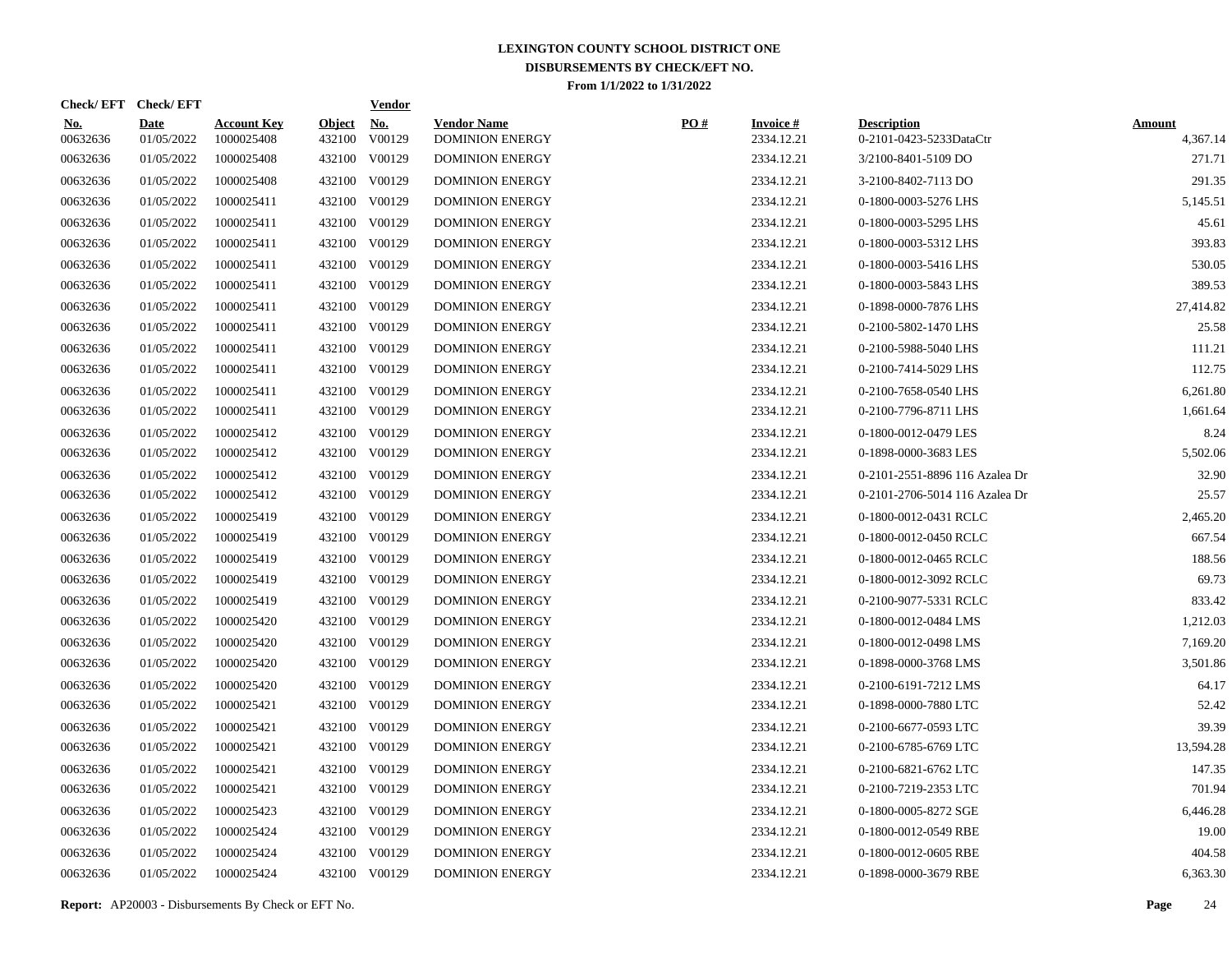| Check/EFT Check/EFT    |                           |                                  |                         | <b>Vendor</b>        |                                              |     |                               |                                               |                           |
|------------------------|---------------------------|----------------------------------|-------------------------|----------------------|----------------------------------------------|-----|-------------------------------|-----------------------------------------------|---------------------------|
| <u>No.</u><br>00632636 | <b>Date</b><br>01/05/2022 | <b>Account Key</b><br>1000025408 | <b>Object</b><br>432100 | <u>No.</u><br>V00129 | <b>Vendor Name</b><br><b>DOMINION ENERGY</b> | PO# | <b>Invoice#</b><br>2334.12.21 | <b>Description</b><br>0-2101-0423-5233DataCtr | <b>Amount</b><br>4,367.14 |
| 00632636               | 01/05/2022                | 1000025408                       |                         | 432100 V00129        | <b>DOMINION ENERGY</b>                       |     | 2334.12.21                    | 3/2100-8401-5109 DO                           | 271.71                    |
| 00632636               | 01/05/2022                | 1000025408                       |                         | 432100 V00129        | <b>DOMINION ENERGY</b>                       |     | 2334.12.21                    | 3-2100-8402-7113 DO                           | 291.35                    |
| 00632636               | 01/05/2022                | 1000025411                       |                         | 432100 V00129        | <b>DOMINION ENERGY</b>                       |     | 2334.12.21                    | 0-1800-0003-5276 LHS                          | 5,145.51                  |
| 00632636               | 01/05/2022                | 1000025411                       |                         | 432100 V00129        | <b>DOMINION ENERGY</b>                       |     | 2334.12.21                    | 0-1800-0003-5295 LHS                          | 45.61                     |
| 00632636               | 01/05/2022                | 1000025411                       |                         | 432100 V00129        | <b>DOMINION ENERGY</b>                       |     | 2334.12.21                    | 0-1800-0003-5312 LHS                          | 393.83                    |
| 00632636               | 01/05/2022                | 1000025411                       |                         | 432100 V00129        | <b>DOMINION ENERGY</b>                       |     | 2334.12.21                    | 0-1800-0003-5416 LHS                          | 530.05                    |
| 00632636               | 01/05/2022                | 1000025411                       |                         | 432100 V00129        | <b>DOMINION ENERGY</b>                       |     | 2334.12.21                    | 0-1800-0003-5843 LHS                          | 389.53                    |
| 00632636               | 01/05/2022                | 1000025411                       |                         | 432100 V00129        | <b>DOMINION ENERGY</b>                       |     | 2334.12.21                    | 0-1898-0000-7876 LHS                          | 27,414.82                 |
| 00632636               | 01/05/2022                | 1000025411                       |                         | 432100 V00129        | <b>DOMINION ENERGY</b>                       |     | 2334.12.21                    | 0-2100-5802-1470 LHS                          | 25.58                     |
| 00632636               | 01/05/2022                | 1000025411                       |                         | 432100 V00129        | <b>DOMINION ENERGY</b>                       |     | 2334.12.21                    | 0-2100-5988-5040 LHS                          | 111.21                    |
| 00632636               | 01/05/2022                | 1000025411                       |                         | 432100 V00129        | <b>DOMINION ENERGY</b>                       |     | 2334.12.21                    | 0-2100-7414-5029 LHS                          | 112.75                    |
| 00632636               | 01/05/2022                | 1000025411                       |                         | 432100 V00129        | <b>DOMINION ENERGY</b>                       |     | 2334.12.21                    | 0-2100-7658-0540 LHS                          | 6,261.80                  |
| 00632636               | 01/05/2022                | 1000025411                       |                         | 432100 V00129        | <b>DOMINION ENERGY</b>                       |     | 2334.12.21                    | 0-2100-7796-8711 LHS                          | 1,661.64                  |
| 00632636               | 01/05/2022                | 1000025412                       |                         | 432100 V00129        | <b>DOMINION ENERGY</b>                       |     | 2334.12.21                    | 0-1800-0012-0479 LES                          | 8.24                      |
| 00632636               | 01/05/2022                | 1000025412                       |                         | 432100 V00129        | <b>DOMINION ENERGY</b>                       |     | 2334.12.21                    | 0-1898-0000-3683 LES                          | 5,502.06                  |
| 00632636               | 01/05/2022                | 1000025412                       |                         | 432100 V00129        | <b>DOMINION ENERGY</b>                       |     | 2334.12.21                    | 0-2101-2551-8896 116 Azalea Dr                | 32.90                     |
| 00632636               | 01/05/2022                | 1000025412                       |                         | 432100 V00129        | <b>DOMINION ENERGY</b>                       |     | 2334.12.21                    | 0-2101-2706-5014 116 Azalea Dr                | 25.57                     |
| 00632636               | 01/05/2022                | 1000025419                       |                         | 432100 V00129        | <b>DOMINION ENERGY</b>                       |     | 2334.12.21                    | 0-1800-0012-0431 RCLC                         | 2,465.20                  |
| 00632636               | 01/05/2022                | 1000025419                       |                         | 432100 V00129        | <b>DOMINION ENERGY</b>                       |     | 2334.12.21                    | 0-1800-0012-0450 RCLC                         | 667.54                    |
| 00632636               | 01/05/2022                | 1000025419                       |                         | 432100 V00129        | <b>DOMINION ENERGY</b>                       |     | 2334.12.21                    | 0-1800-0012-0465 RCLC                         | 188.56                    |
| 00632636               | 01/05/2022                | 1000025419                       |                         | 432100 V00129        | <b>DOMINION ENERGY</b>                       |     | 2334.12.21                    | 0-1800-0012-3092 RCLC                         | 69.73                     |
| 00632636               | 01/05/2022                | 1000025419                       |                         | 432100 V00129        | <b>DOMINION ENERGY</b>                       |     | 2334.12.21                    | 0-2100-9077-5331 RCLC                         | 833.42                    |
| 00632636               | 01/05/2022                | 1000025420                       |                         | 432100 V00129        | <b>DOMINION ENERGY</b>                       |     | 2334.12.21                    | 0-1800-0012-0484 LMS                          | 1,212.03                  |
| 00632636               | 01/05/2022                | 1000025420                       |                         | 432100 V00129        | <b>DOMINION ENERGY</b>                       |     | 2334.12.21                    | 0-1800-0012-0498 LMS                          | 7,169.20                  |
| 00632636               | 01/05/2022                | 1000025420                       |                         | 432100 V00129        | <b>DOMINION ENERGY</b>                       |     | 2334.12.21                    | 0-1898-0000-3768 LMS                          | 3,501.86                  |
| 00632636               | 01/05/2022                | 1000025420                       |                         | 432100 V00129        | <b>DOMINION ENERGY</b>                       |     | 2334.12.21                    | 0-2100-6191-7212 LMS                          | 64.17                     |
| 00632636               | 01/05/2022                | 1000025421                       |                         | 432100 V00129        | <b>DOMINION ENERGY</b>                       |     | 2334.12.21                    | 0-1898-0000-7880 LTC                          | 52.42                     |
| 00632636               | 01/05/2022                | 1000025421                       |                         | 432100 V00129        | <b>DOMINION ENERGY</b>                       |     | 2334.12.21                    | 0-2100-6677-0593 LTC                          | 39.39                     |
| 00632636               | 01/05/2022                | 1000025421                       |                         | 432100 V00129        | <b>DOMINION ENERGY</b>                       |     | 2334.12.21                    | 0-2100-6785-6769 LTC                          | 13,594.28                 |
| 00632636               | 01/05/2022                | 1000025421                       |                         | 432100 V00129        | <b>DOMINION ENERGY</b>                       |     | 2334.12.21                    | 0-2100-6821-6762 LTC                          | 147.35                    |
| 00632636               | 01/05/2022                | 1000025421                       |                         | 432100 V00129        | <b>DOMINION ENERGY</b>                       |     | 2334.12.21                    | 0-2100-7219-2353 LTC                          | 701.94                    |
| 00632636               | 01/05/2022                | 1000025423                       |                         | 432100 V00129        | <b>DOMINION ENERGY</b>                       |     | 2334.12.21                    | 0-1800-0005-8272 SGE                          | 6,446.28                  |
| 00632636               | 01/05/2022                | 1000025424                       |                         | 432100 V00129        | <b>DOMINION ENERGY</b>                       |     | 2334.12.21                    | 0-1800-0012-0549 RBE                          | 19.00                     |
| 00632636               | 01/05/2022                | 1000025424                       |                         | 432100 V00129        | <b>DOMINION ENERGY</b>                       |     | 2334.12.21                    | 0-1800-0012-0605 RBE                          | 404.58                    |
| 00632636               | 01/05/2022                | 1000025424                       |                         | 432100 V00129        | <b>DOMINION ENERGY</b>                       |     | 2334.12.21                    | 0-1898-0000-3679 RBE                          | 6,363.30                  |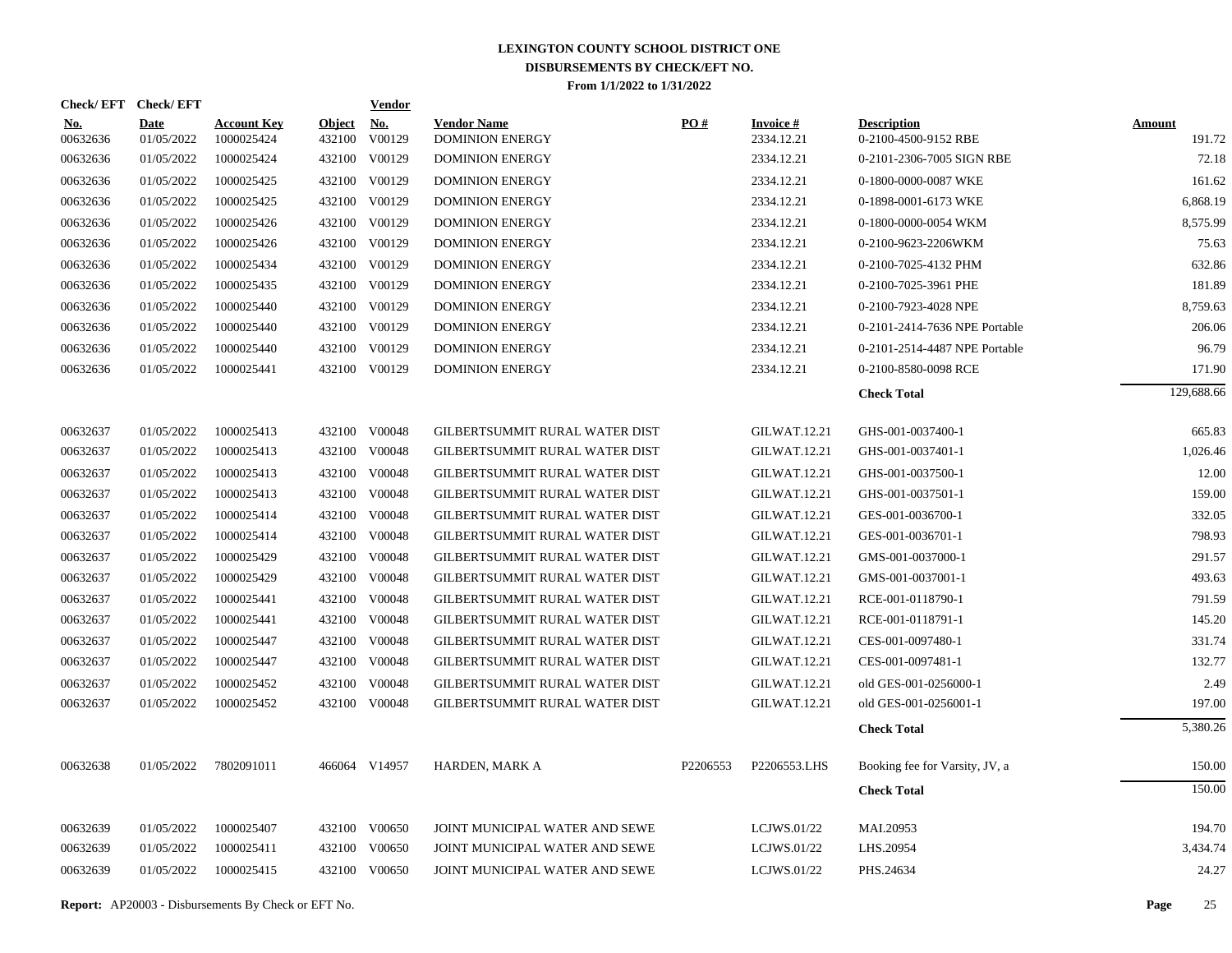| Check/EFT Check/EFT    |                           |                                  |                         | <b>Vendor</b> |                                              |          |                               |                                            |                         |
|------------------------|---------------------------|----------------------------------|-------------------------|---------------|----------------------------------------------|----------|-------------------------------|--------------------------------------------|-------------------------|
| <b>No.</b><br>00632636 | <b>Date</b><br>01/05/2022 | <b>Account Key</b><br>1000025424 | <b>Object</b><br>432100 | No.<br>V00129 | <b>Vendor Name</b><br><b>DOMINION ENERGY</b> | PO#      | <b>Invoice#</b><br>2334.12.21 | <b>Description</b><br>0-2100-4500-9152 RBE | <b>Amount</b><br>191.72 |
| 00632636               | 01/05/2022                | 1000025424                       |                         | 432100 V00129 | <b>DOMINION ENERGY</b>                       |          | 2334.12.21                    | 0-2101-2306-7005 SIGN RBE                  | 72.18                   |
| 00632636               | 01/05/2022                | 1000025425                       |                         | 432100 V00129 | <b>DOMINION ENERGY</b>                       |          | 2334.12.21                    | 0-1800-0000-0087 WKE                       | 161.62                  |
| 00632636               | 01/05/2022                | 1000025425                       |                         | 432100 V00129 | <b>DOMINION ENERGY</b>                       |          | 2334.12.21                    | 0-1898-0001-6173 WKE                       | 6,868.19                |
| 00632636               | 01/05/2022                | 1000025426                       |                         | 432100 V00129 | <b>DOMINION ENERGY</b>                       |          | 2334.12.21                    | 0-1800-0000-0054 WKM                       | 8,575.99                |
| 00632636               | 01/05/2022                | 1000025426                       |                         | 432100 V00129 | <b>DOMINION ENERGY</b>                       |          | 2334.12.21                    | 0-2100-9623-2206WKM                        | 75.63                   |
| 00632636               | 01/05/2022                | 1000025434                       |                         | 432100 V00129 | <b>DOMINION ENERGY</b>                       |          | 2334.12.21                    | 0-2100-7025-4132 PHM                       | 632.86                  |
| 00632636               | 01/05/2022                | 1000025435                       |                         | 432100 V00129 | <b>DOMINION ENERGY</b>                       |          | 2334.12.21                    | 0-2100-7025-3961 PHE                       | 181.89                  |
| 00632636               | 01/05/2022                | 1000025440                       |                         | 432100 V00129 | <b>DOMINION ENERGY</b>                       |          | 2334.12.21                    | 0-2100-7923-4028 NPE                       | 8,759.63                |
| 00632636               | 01/05/2022                | 1000025440                       |                         | 432100 V00129 | <b>DOMINION ENERGY</b>                       |          | 2334.12.21                    | 0-2101-2414-7636 NPE Portable              | 206.06                  |
| 00632636               | 01/05/2022                | 1000025440                       |                         | 432100 V00129 | <b>DOMINION ENERGY</b>                       |          | 2334.12.21                    | 0-2101-2514-4487 NPE Portable              | 96.79                   |
| 00632636               | 01/05/2022                | 1000025441                       |                         | 432100 V00129 | <b>DOMINION ENERGY</b>                       |          | 2334.12.21                    | 0-2100-8580-0098 RCE                       | 171.90                  |
|                        |                           |                                  |                         |               |                                              |          |                               | <b>Check Total</b>                         | 129,688.66              |
| 00632637               | 01/05/2022                | 1000025413                       |                         | 432100 V00048 | GILBERTSUMMIT RURAL WATER DIST               |          | GILWAT.12.21                  | GHS-001-0037400-1                          | 665.83                  |
| 00632637               | 01/05/2022                | 1000025413                       |                         | 432100 V00048 | GILBERTSUMMIT RURAL WATER DIST               |          | GILWAT.12.21                  | GHS-001-0037401-1                          | 1,026.46                |
| 00632637               | 01/05/2022                | 1000025413                       |                         | 432100 V00048 | GILBERTSUMMIT RURAL WATER DIST               |          | GILWAT.12.21                  | GHS-001-0037500-1                          | 12.00                   |
| 00632637               | 01/05/2022                | 1000025413                       |                         | 432100 V00048 | GILBERTSUMMIT RURAL WATER DIST               |          | <b>GILWAT.12.21</b>           | GHS-001-0037501-1                          | 159.00                  |
| 00632637               | 01/05/2022                | 1000025414                       |                         | 432100 V00048 | GILBERTSUMMIT RURAL WATER DIST               |          | GILWAT.12.21                  | GES-001-0036700-1                          | 332.05                  |
| 00632637               | 01/05/2022                | 1000025414                       |                         | 432100 V00048 | GILBERTSUMMIT RURAL WATER DIST               |          | <b>GILWAT.12.21</b>           | GES-001-0036701-1                          | 798.93                  |
| 00632637               | 01/05/2022                | 1000025429                       |                         | 432100 V00048 | GILBERTSUMMIT RURAL WATER DIST               |          | <b>GILWAT.12.21</b>           | GMS-001-0037000-1                          | 291.57                  |
| 00632637               | 01/05/2022                | 1000025429                       |                         | 432100 V00048 | GILBERTSUMMIT RURAL WATER DIST               |          | <b>GILWAT.12.21</b>           | GMS-001-0037001-1                          | 493.63                  |
| 00632637               | 01/05/2022                | 1000025441                       |                         | 432100 V00048 | GILBERTSUMMIT RURAL WATER DIST               |          | <b>GILWAT.12.21</b>           | RCE-001-0118790-1                          | 791.59                  |
| 00632637               | 01/05/2022                | 1000025441                       |                         | 432100 V00048 | GILBERTSUMMIT RURAL WATER DIST               |          | <b>GILWAT.12.21</b>           | RCE-001-0118791-1                          | 145.20                  |
| 00632637               | 01/05/2022                | 1000025447                       |                         | 432100 V00048 | GILBERTSUMMIT RURAL WATER DIST               |          | <b>GILWAT.12.21</b>           | CES-001-0097480-1                          | 331.74                  |
| 00632637               | 01/05/2022                | 1000025447                       |                         | 432100 V00048 | GILBERTSUMMIT RURAL WATER DIST               |          | GILWAT.12.21                  | CES-001-0097481-1                          | 132.77                  |
| 00632637               | 01/05/2022                | 1000025452                       |                         | 432100 V00048 | GILBERTSUMMIT RURAL WATER DIST               |          | <b>GILWAT.12.21</b>           | old GES-001-0256000-1                      | 2.49                    |
| 00632637               | 01/05/2022                | 1000025452                       |                         | 432100 V00048 | GILBERTSUMMIT RURAL WATER DIST               |          | <b>GILWAT.12.21</b>           | old GES-001-0256001-1                      | 197.00                  |
|                        |                           |                                  |                         |               |                                              |          |                               | <b>Check Total</b>                         | 5,380.26                |
| 00632638               | 01/05/2022                | 7802091011                       |                         | 466064 V14957 | HARDEN, MARK A                               | P2206553 | P2206553.LHS                  | Booking fee for Varsity, JV, a             | 150.00                  |
|                        |                           |                                  |                         |               |                                              |          |                               | <b>Check Total</b>                         | 150.00                  |
| 00632639               | 01/05/2022                | 1000025407                       |                         | 432100 V00650 | JOINT MUNICIPAL WATER AND SEWE               |          | LCJWS.01/22                   | MAI.20953                                  | 194.70                  |
| 00632639               | 01/05/2022                | 1000025411                       |                         | 432100 V00650 | JOINT MUNICIPAL WATER AND SEWE               |          | LCJWS.01/22                   | LHS.20954                                  | 3,434.74                |
| 00632639               | 01/05/2022                | 1000025415                       |                         | 432100 V00650 | JOINT MUNICIPAL WATER AND SEWE               |          | LCJWS.01/22                   | PHS.24634                                  | 24.27                   |
|                        |                           |                                  |                         |               |                                              |          |                               |                                            |                         |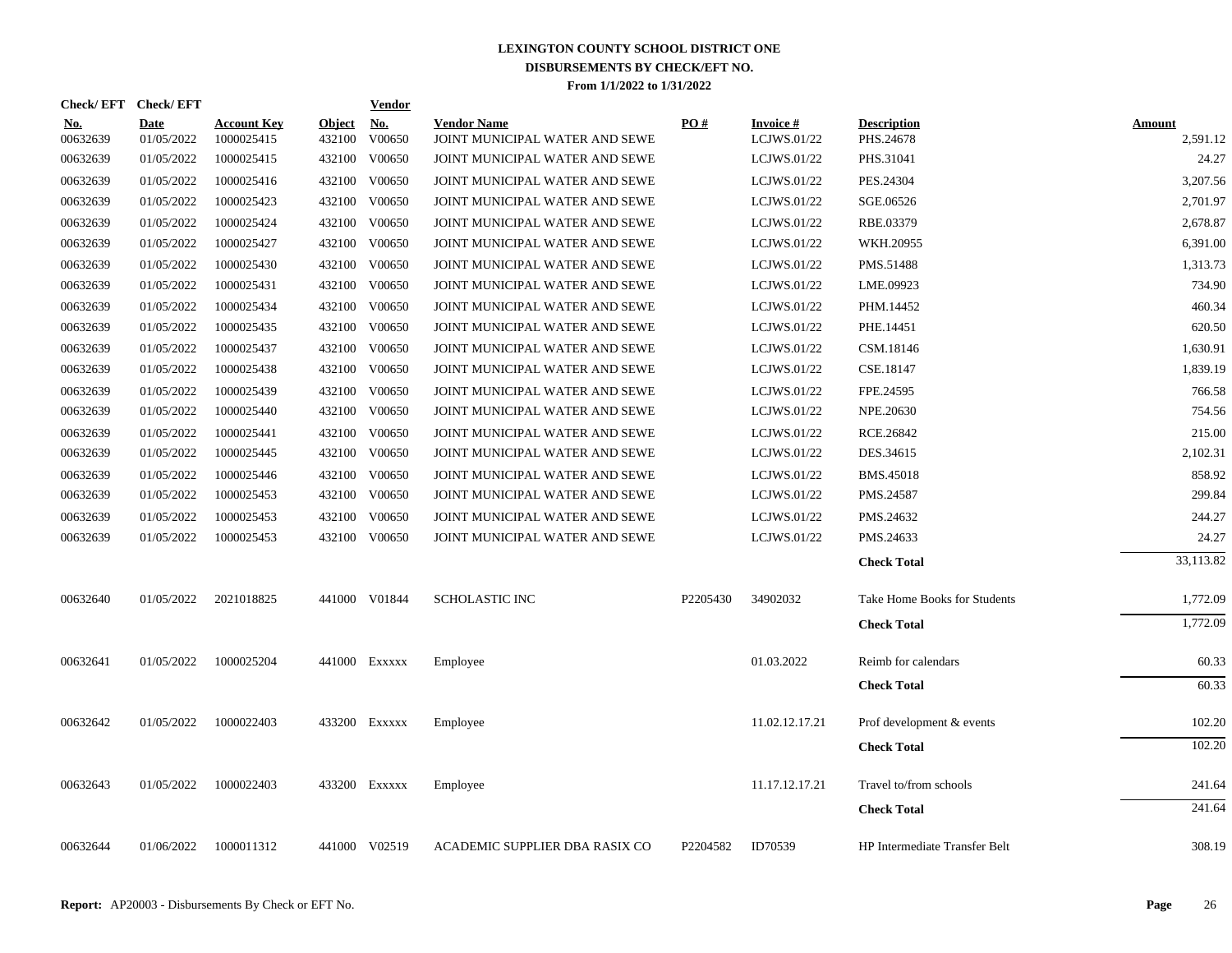| <b>Check/EFT</b>       | <b>Check/EFT</b>          |                                  |                         | <b>Vendor</b>        |                                                      |          |                                |                                 |                           |
|------------------------|---------------------------|----------------------------------|-------------------------|----------------------|------------------------------------------------------|----------|--------------------------------|---------------------------------|---------------------------|
| <u>No.</u><br>00632639 | <b>Date</b><br>01/05/2022 | <b>Account Key</b><br>1000025415 | <b>Object</b><br>432100 | <u>No.</u><br>V00650 | <b>Vendor Name</b><br>JOINT MUNICIPAL WATER AND SEWE | PO#      | <b>Invoice#</b><br>LCJWS.01/22 | <b>Description</b><br>PHS.24678 | <b>Amount</b><br>2,591.12 |
| 00632639               | 01/05/2022                | 1000025415                       |                         | 432100 V00650        | JOINT MUNICIPAL WATER AND SEWE                       |          | LCJWS.01/22                    | PHS.31041                       | 24.27                     |
| 00632639               | 01/05/2022                | 1000025416                       | 432100                  | V00650               | JOINT MUNICIPAL WATER AND SEWE                       |          | LCJWS.01/22                    | PES.24304                       | 3,207.56                  |
| 00632639               | 01/05/2022                | 1000025423                       | 432100                  | V00650               | JOINT MUNICIPAL WATER AND SEWE                       |          | LCJWS.01/22                    | SGE.06526                       | 2,701.97                  |
| 00632639               | 01/05/2022                | 1000025424                       | 432100                  | V00650               | JOINT MUNICIPAL WATER AND SEWE                       |          | LCJWS.01/22                    | RBE.03379                       | 2,678.87                  |
| 00632639               | 01/05/2022                | 1000025427                       |                         | 432100 V00650        | JOINT MUNICIPAL WATER AND SEWE                       |          | LCJWS.01/22                    | WKH.20955                       | 6,391.00                  |
| 00632639               | 01/05/2022                | 1000025430                       |                         | 432100 V00650        | JOINT MUNICIPAL WATER AND SEWE                       |          | LCJWS.01/22                    | PMS.51488                       | 1,313.73                  |
| 00632639               | 01/05/2022                | 1000025431                       |                         | 432100 V00650        | JOINT MUNICIPAL WATER AND SEWE                       |          | LCJWS.01/22                    | LME.09923                       | 734.90                    |
| 00632639               | 01/05/2022                | 1000025434                       |                         | 432100 V00650        | JOINT MUNICIPAL WATER AND SEWE                       |          | LCJWS.01/22                    | PHM.14452                       | 460.34                    |
| 00632639               | 01/05/2022                | 1000025435                       |                         | 432100 V00650        | JOINT MUNICIPAL WATER AND SEWE                       |          | LCJWS.01/22                    | PHE.14451                       | 620.50                    |
| 00632639               | 01/05/2022                | 1000025437                       |                         | 432100 V00650        | JOINT MUNICIPAL WATER AND SEWE                       |          | LCJWS.01/22                    | CSM.18146                       | 1,630.91                  |
| 00632639               | 01/05/2022                | 1000025438                       |                         | 432100 V00650        | JOINT MUNICIPAL WATER AND SEWE                       |          | LCJWS.01/22                    | CSE.18147                       | 1,839.19                  |
| 00632639               | 01/05/2022                | 1000025439                       |                         | 432100 V00650        | JOINT MUNICIPAL WATER AND SEWE                       |          | LCJWS.01/22                    | FPE.24595                       | 766.58                    |
| 00632639               | 01/05/2022                | 1000025440                       |                         | 432100 V00650        | JOINT MUNICIPAL WATER AND SEWE                       |          | LCJWS.01/22                    | NPE.20630                       | 754.56                    |
| 00632639               | 01/05/2022                | 1000025441                       |                         | 432100 V00650        | JOINT MUNICIPAL WATER AND SEWE                       |          | LCJWS.01/22                    | RCE.26842                       | 215.00                    |
| 00632639               | 01/05/2022                | 1000025445                       |                         | 432100 V00650        | JOINT MUNICIPAL WATER AND SEWE                       |          | LCJWS.01/22                    | DES.34615                       | 2,102.31                  |
| 00632639               | 01/05/2022                | 1000025446                       |                         | 432100 V00650        | JOINT MUNICIPAL WATER AND SEWE                       |          | LCJWS.01/22                    | <b>BMS.45018</b>                | 858.92                    |
| 00632639               | 01/05/2022                | 1000025453                       |                         | 432100 V00650        | JOINT MUNICIPAL WATER AND SEWE                       |          | LCJWS.01/22                    | PMS.24587                       | 299.84                    |
| 00632639               | 01/05/2022                | 1000025453                       |                         | 432100 V00650        | JOINT MUNICIPAL WATER AND SEWE                       |          | LCJWS.01/22                    | PMS.24632                       | 244.27                    |
| 00632639               | 01/05/2022                | 1000025453                       |                         | 432100 V00650        | JOINT MUNICIPAL WATER AND SEWE                       |          | LCJWS.01/22                    | PMS.24633                       | 24.27                     |
|                        |                           |                                  |                         |                      |                                                      |          |                                | <b>Check Total</b>              | 33,113.82                 |
| 00632640               | 01/05/2022                | 2021018825                       |                         | 441000 V01844        | <b>SCHOLASTIC INC</b>                                | P2205430 | 34902032                       | Take Home Books for Students    | 1,772.09                  |
|                        |                           |                                  |                         |                      |                                                      |          |                                | <b>Check Total</b>              | 1,772.09                  |
| 00632641               | 01/05/2022                | 1000025204                       |                         | 441000 Exxxxx        | Employee                                             |          | 01.03.2022                     | Reimb for calendars             | 60.33                     |
|                        |                           |                                  |                         |                      |                                                      |          |                                | <b>Check Total</b>              | 60.33                     |
| 00632642               | 01/05/2022                | 1000022403                       |                         | 433200 Exxxxx        | Employee                                             |          | 11.02.12.17.21                 | Prof development & events       | 102.20                    |
|                        |                           |                                  |                         |                      |                                                      |          |                                | <b>Check Total</b>              | 102.20                    |
| 00632643               | 01/05/2022                | 1000022403                       |                         | 433200 EXXXXX        | Employee                                             |          | 11.17.12.17.21                 | Travel to/from schools          | 241.64                    |
|                        |                           |                                  |                         |                      |                                                      |          |                                | <b>Check Total</b>              | 241.64                    |
| 00632644               | 01/06/2022                | 1000011312                       |                         | 441000 V02519        | ACADEMIC SUPPLIER DBA RASIX CO                       | P2204582 | ID70539                        | HP Intermediate Transfer Belt   | 308.19                    |
|                        |                           |                                  |                         |                      |                                                      |          |                                |                                 |                           |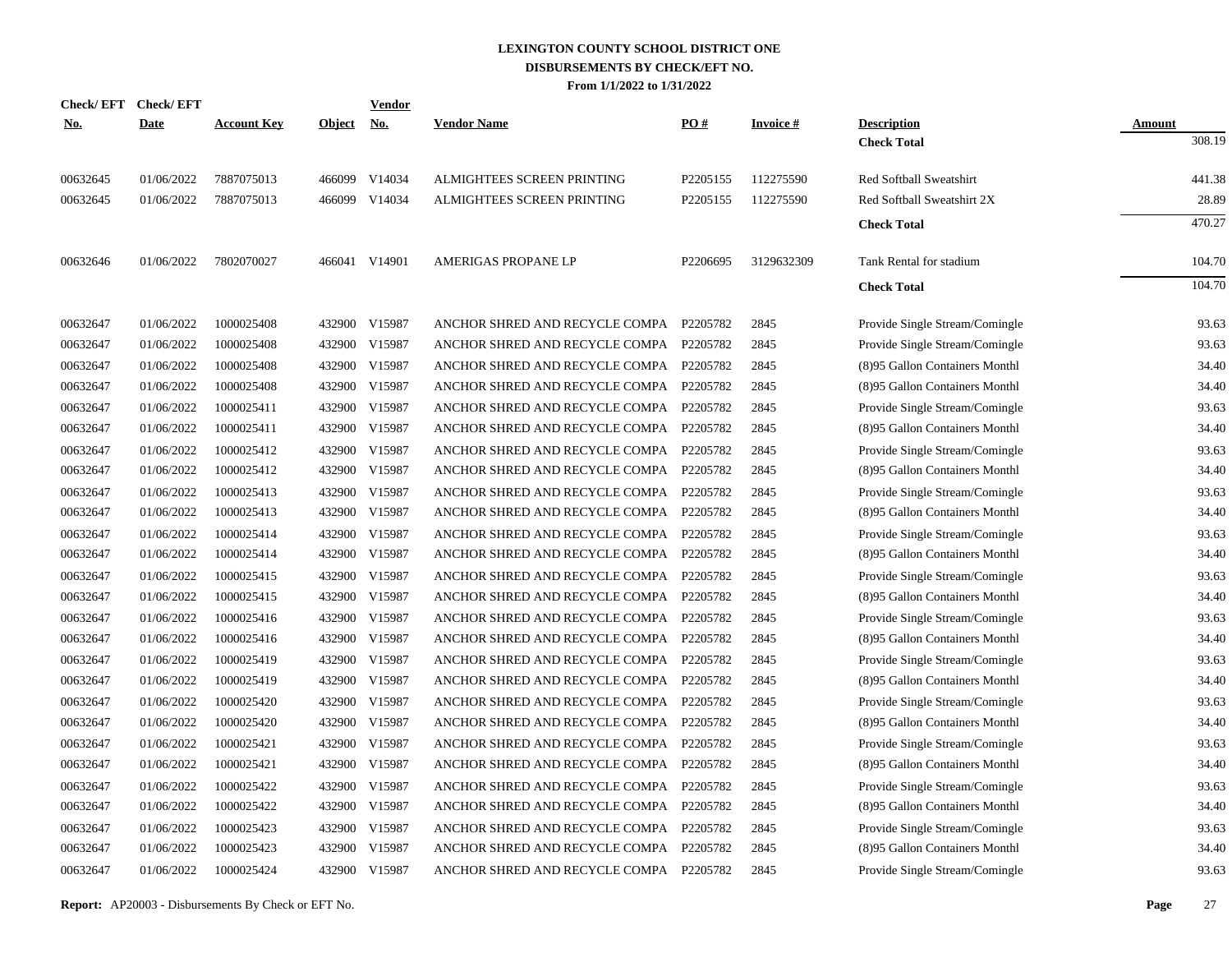| Check/ EFT | <b>Check/EFT</b> |                    |               | Vendor        |                                         |          |                 |                                |               |
|------------|------------------|--------------------|---------------|---------------|-----------------------------------------|----------|-----------------|--------------------------------|---------------|
| <u>No.</u> | <b>Date</b>      | <b>Account Key</b> | <b>Object</b> | <u>No.</u>    | <b>Vendor Name</b>                      | PO#      | <b>Invoice#</b> | <b>Description</b>             | <b>Amount</b> |
|            |                  |                    |               |               |                                         |          |                 | <b>Check Total</b>             | 308.19        |
| 00632645   | 01/06/2022       | 7887075013         |               | 466099 V14034 | ALMIGHTEES SCREEN PRINTING              | P2205155 | 112275590       | Red Softball Sweatshirt        | 441.38        |
| 00632645   | 01/06/2022       | 7887075013         | 466099        | V14034        | ALMIGHTEES SCREEN PRINTING              | P2205155 | 112275590       | Red Softball Sweatshirt 2X     | 28.89         |
|            |                  |                    |               |               |                                         |          |                 | <b>Check Total</b>             | 470.27        |
| 00632646   | 01/06/2022       | 7802070027         |               | 466041 V14901 | AMERIGAS PROPANE LP                     | P2206695 | 3129632309      | Tank Rental for stadium        | 104.70        |
|            |                  |                    |               |               |                                         |          |                 | <b>Check Total</b>             | 104.70        |
| 00632647   | 01/06/2022       | 1000025408         |               | 432900 V15987 | ANCHOR SHRED AND RECYCLE COMPA P2205782 |          | 2845            | Provide Single Stream/Comingle | 93.63         |
| 00632647   | 01/06/2022       | 1000025408         |               | 432900 V15987 | ANCHOR SHRED AND RECYCLE COMPA P2205782 |          | 2845            | Provide Single Stream/Comingle | 93.63         |
| 00632647   | 01/06/2022       | 1000025408         | 432900        | V15987        | ANCHOR SHRED AND RECYCLE COMPA P2205782 |          | 2845            | (8)95 Gallon Containers Monthl | 34.40         |
| 00632647   | 01/06/2022       | 1000025408         |               | 432900 V15987 | ANCHOR SHRED AND RECYCLE COMPA P2205782 |          | 2845            | (8)95 Gallon Containers Monthl | 34.40         |
| 00632647   | 01/06/2022       | 1000025411         | 432900        | V15987        | ANCHOR SHRED AND RECYCLE COMPA P2205782 |          | 2845            | Provide Single Stream/Comingle | 93.63         |
| 00632647   | 01/06/2022       | 1000025411         |               | 432900 V15987 | ANCHOR SHRED AND RECYCLE COMPA P2205782 |          | 2845            | (8)95 Gallon Containers Monthl | 34.40         |
| 00632647   | 01/06/2022       | 1000025412         | 432900        | V15987        | ANCHOR SHRED AND RECYCLE COMPA P2205782 |          | 2845            | Provide Single Stream/Comingle | 93.63         |
| 00632647   | 01/06/2022       | 1000025412         |               | 432900 V15987 | ANCHOR SHRED AND RECYCLE COMPA P2205782 |          | 2845            | (8)95 Gallon Containers Monthl | 34.40         |
| 00632647   | 01/06/2022       | 1000025413         | 432900        | V15987        | ANCHOR SHRED AND RECYCLE COMPA P2205782 |          | 2845            | Provide Single Stream/Comingle | 93.63         |
| 00632647   | 01/06/2022       | 1000025413         |               | 432900 V15987 | ANCHOR SHRED AND RECYCLE COMPA P2205782 |          | 2845            | (8)95 Gallon Containers Monthl | 34.40         |
| 00632647   | 01/06/2022       | 1000025414         | 432900        | V15987        | ANCHOR SHRED AND RECYCLE COMPA          | P2205782 | 2845            | Provide Single Stream/Comingle | 93.63         |
| 00632647   | 01/06/2022       | 1000025414         |               | 432900 V15987 | ANCHOR SHRED AND RECYCLE COMPA          | P2205782 | 2845            | (8)95 Gallon Containers Monthl | 34.40         |
| 00632647   | 01/06/2022       | 1000025415         | 432900        | V15987        | ANCHOR SHRED AND RECYCLE COMPA          | P2205782 | 2845            | Provide Single Stream/Comingle | 93.63         |
| 00632647   | 01/06/2022       | 1000025415         |               | 432900 V15987 | ANCHOR SHRED AND RECYCLE COMPA P2205782 |          | 2845            | (8)95 Gallon Containers Monthl | 34.40         |
| 00632647   | 01/06/2022       | 1000025416         | 432900        | V15987        | ANCHOR SHRED AND RECYCLE COMPA          | P2205782 | 2845            | Provide Single Stream/Comingle | 93.63         |
| 00632647   | 01/06/2022       | 1000025416         |               | 432900 V15987 | ANCHOR SHRED AND RECYCLE COMPA P2205782 |          | 2845            | (8)95 Gallon Containers Monthl | 34.40         |
| 00632647   | 01/06/2022       | 1000025419         | 432900        | V15987        | ANCHOR SHRED AND RECYCLE COMPA P2205782 |          | 2845            | Provide Single Stream/Comingle | 93.63         |
| 00632647   | 01/06/2022       | 1000025419         |               | 432900 V15987 | ANCHOR SHRED AND RECYCLE COMPA P2205782 |          | 2845            | (8)95 Gallon Containers Monthl | 34.40         |
| 00632647   | 01/06/2022       | 1000025420         | 432900        | V15987        | ANCHOR SHRED AND RECYCLE COMPA          | P2205782 | 2845            | Provide Single Stream/Comingle | 93.63         |
| 00632647   | 01/06/2022       | 1000025420         | 432900        | V15987        | ANCHOR SHRED AND RECYCLE COMPA P2205782 |          | 2845            | (8)95 Gallon Containers Monthl | 34.40         |
| 00632647   | 01/06/2022       | 1000025421         | 432900        | V15987        | ANCHOR SHRED AND RECYCLE COMPA P2205782 |          | 2845            | Provide Single Stream/Comingle | 93.63         |
| 00632647   | 01/06/2022       | 1000025421         | 432900        | V15987        | ANCHOR SHRED AND RECYCLE COMPA P2205782 |          | 2845            | (8)95 Gallon Containers Monthl | 34.40         |
| 00632647   | 01/06/2022       | 1000025422         | 432900        | V15987        | ANCHOR SHRED AND RECYCLE COMPA P2205782 |          | 2845            | Provide Single Stream/Comingle | 93.63         |
| 00632647   | 01/06/2022       | 1000025422         | 432900        | V15987        | ANCHOR SHRED AND RECYCLE COMPA P2205782 |          | 2845            | (8)95 Gallon Containers Monthl | 34.40         |
| 00632647   | 01/06/2022       | 1000025423         | 432900        | V15987        | ANCHOR SHRED AND RECYCLE COMPA          | P2205782 | 2845            | Provide Single Stream/Comingle | 93.63         |
| 00632647   | 01/06/2022       | 1000025423         | 432900        | V15987        | ANCHOR SHRED AND RECYCLE COMPA          | P2205782 | 2845            | (8)95 Gallon Containers Monthl | 34.40         |
| 00632647   | 01/06/2022       | 1000025424         |               | 432900 V15987 | ANCHOR SHRED AND RECYCLE COMPA P2205782 |          | 2845            | Provide Single Stream/Comingle | 93.63         |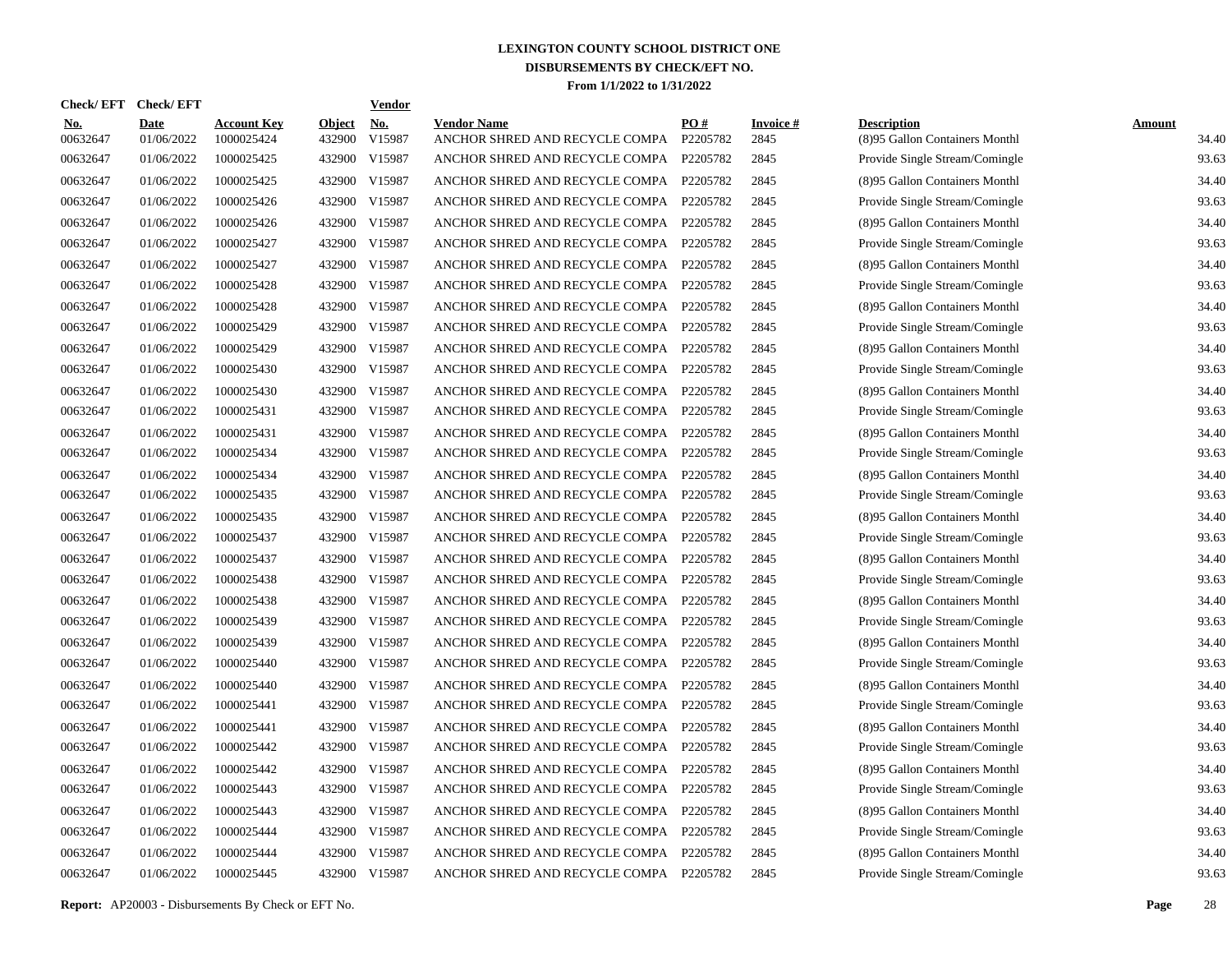| Check/EFT Check/EFT    |                           |                                  |                         | <b>Vendor</b>                       |                                                               |          |                         |                                                      |                        |
|------------------------|---------------------------|----------------------------------|-------------------------|-------------------------------------|---------------------------------------------------------------|----------|-------------------------|------------------------------------------------------|------------------------|
| <u>No.</u><br>00632647 | <b>Date</b><br>01/06/2022 | <b>Account Key</b><br>1000025424 | <b>Object</b><br>432900 | $\underline{\mathrm{No}}$<br>V15987 | <b>Vendor Name</b><br>ANCHOR SHRED AND RECYCLE COMPA P2205782 | PO#      | <b>Invoice#</b><br>2845 | <b>Description</b><br>(8)95 Gallon Containers Monthl | <b>Amount</b><br>34.40 |
| 00632647               | 01/06/2022                | 1000025425                       |                         | 432900 V15987                       | ANCHOR SHRED AND RECYCLE COMPA P2205782                       |          | 2845                    | Provide Single Stream/Comingle                       | 93.63                  |
| 00632647               | 01/06/2022                | 1000025425                       | 432900                  | V15987                              | ANCHOR SHRED AND RECYCLE COMPA P2205782                       |          | 2845                    | (8)95 Gallon Containers Monthl                       | 34.40                  |
| 00632647               | 01/06/2022                | 1000025426                       |                         | 432900 V15987                       | ANCHOR SHRED AND RECYCLE COMPA P2205782                       |          | 2845                    | Provide Single Stream/Comingle                       | 93.63                  |
| 00632647               | 01/06/2022                | 1000025426                       |                         | 432900 V15987                       | ANCHOR SHRED AND RECYCLE COMPA P2205782                       |          | 2845                    | (8)95 Gallon Containers Monthl                       | 34.40                  |
| 00632647               | 01/06/2022                | 1000025427                       |                         | 432900 V15987                       | ANCHOR SHRED AND RECYCLE COMPA                                | P2205782 | 2845                    | Provide Single Stream/Comingle                       | 93.63                  |
| 00632647               | 01/06/2022                | 1000025427                       |                         | 432900 V15987                       | ANCHOR SHRED AND RECYCLE COMPA                                | P2205782 | 2845                    | (8)95 Gallon Containers Monthl                       | 34.40                  |
| 00632647               | 01/06/2022                | 1000025428                       |                         | 432900 V15987                       | ANCHOR SHRED AND RECYCLE COMPA                                | P2205782 | 2845                    | Provide Single Stream/Comingle                       | 93.63                  |
| 00632647               | 01/06/2022                | 1000025428                       |                         | 432900 V15987                       | ANCHOR SHRED AND RECYCLE COMPA                                | P2205782 | 2845                    | (8)95 Gallon Containers Monthl                       | 34.40                  |
| 00632647               | 01/06/2022                | 1000025429                       |                         | 432900 V15987                       | ANCHOR SHRED AND RECYCLE COMPA                                | P2205782 | 2845                    | Provide Single Stream/Comingle                       | 93.63                  |
| 00632647               | 01/06/2022                | 1000025429                       |                         | 432900 V15987                       | ANCHOR SHRED AND RECYCLE COMPA                                | P2205782 | 2845                    | (8)95 Gallon Containers Monthl                       | 34.40                  |
| 00632647               | 01/06/2022                | 1000025430                       |                         | 432900 V15987                       | ANCHOR SHRED AND RECYCLE COMPA                                | P2205782 | 2845                    | Provide Single Stream/Comingle                       | 93.63                  |
| 00632647               | 01/06/2022                | 1000025430                       |                         | 432900 V15987                       | ANCHOR SHRED AND RECYCLE COMPA                                | P2205782 | 2845                    | (8)95 Gallon Containers Monthl                       | 34.40                  |
| 00632647               | 01/06/2022                | 1000025431                       |                         | 432900 V15987                       | ANCHOR SHRED AND RECYCLE COMPA                                | P2205782 | 2845                    | Provide Single Stream/Comingle                       | 93.63                  |
| 00632647               | 01/06/2022                | 1000025431                       |                         | 432900 V15987                       | ANCHOR SHRED AND RECYCLE COMPA                                | P2205782 | 2845                    | (8)95 Gallon Containers Monthl                       | 34.40                  |
| 00632647               | 01/06/2022                | 1000025434                       |                         | 432900 V15987                       | ANCHOR SHRED AND RECYCLE COMPA                                | P2205782 | 2845                    | Provide Single Stream/Comingle                       | 93.63                  |
| 00632647               | 01/06/2022                | 1000025434                       |                         | 432900 V15987                       | ANCHOR SHRED AND RECYCLE COMPA                                | P2205782 | 2845                    | (8)95 Gallon Containers Monthl                       | 34.40                  |
| 00632647               | 01/06/2022                | 1000025435                       |                         | 432900 V15987                       | ANCHOR SHRED AND RECYCLE COMPA                                | P2205782 | 2845                    | Provide Single Stream/Comingle                       | 93.63                  |
| 00632647               | 01/06/2022                | 1000025435                       |                         | 432900 V15987                       | ANCHOR SHRED AND RECYCLE COMPA                                | P2205782 | 2845                    | (8)95 Gallon Containers Monthl                       | 34.40                  |
| 00632647               | 01/06/2022                | 1000025437                       |                         | 432900 V15987                       | ANCHOR SHRED AND RECYCLE COMPA                                | P2205782 | 2845                    | Provide Single Stream/Comingle                       | 93.63                  |
| 00632647               | 01/06/2022                | 1000025437                       |                         | 432900 V15987                       | ANCHOR SHRED AND RECYCLE COMPA                                | P2205782 | 2845                    | (8)95 Gallon Containers Monthl                       | 34.40                  |
| 00632647               | 01/06/2022                | 1000025438                       |                         | 432900 V15987                       | ANCHOR SHRED AND RECYCLE COMPA                                | P2205782 | 2845                    | Provide Single Stream/Comingle                       | 93.63                  |
| 00632647               | 01/06/2022                | 1000025438                       | 432900                  | V15987                              | ANCHOR SHRED AND RECYCLE COMPA                                | P2205782 | 2845                    | (8)95 Gallon Containers Monthl                       | 34.40                  |
| 00632647               | 01/06/2022                | 1000025439                       |                         | 432900 V15987                       | ANCHOR SHRED AND RECYCLE COMPA                                | P2205782 | 2845                    | Provide Single Stream/Comingle                       | 93.63                  |
| 00632647               | 01/06/2022                | 1000025439                       | 432900                  | V15987                              | ANCHOR SHRED AND RECYCLE COMPA P2205782                       |          | 2845                    | (8)95 Gallon Containers Monthl                       | 34.40                  |
| 00632647               | 01/06/2022                | 1000025440                       |                         | 432900 V15987                       | ANCHOR SHRED AND RECYCLE COMPA P2205782                       |          | 2845                    | Provide Single Stream/Comingle                       | 93.63                  |
| 00632647               | 01/06/2022                | 1000025440                       | 432900                  | V15987                              | ANCHOR SHRED AND RECYCLE COMPA P2205782                       |          | 2845                    | (8)95 Gallon Containers Monthl                       | 34.40                  |
| 00632647               | 01/06/2022                | 1000025441                       |                         | 432900 V15987                       | ANCHOR SHRED AND RECYCLE COMPA P2205782                       |          | 2845                    | Provide Single Stream/Comingle                       | 93.63                  |
| 00632647               | 01/06/2022                | 1000025441                       | 432900                  | V15987                              | ANCHOR SHRED AND RECYCLE COMPA P2205782                       |          | 2845                    | (8)95 Gallon Containers Monthl                       | 34.40                  |
| 00632647               | 01/06/2022                | 1000025442                       |                         | 432900 V15987                       | ANCHOR SHRED AND RECYCLE COMPA P2205782                       |          | 2845                    | Provide Single Stream/Comingle                       | 93.63                  |
| 00632647               | 01/06/2022                | 1000025442                       | 432900                  | V15987                              | ANCHOR SHRED AND RECYCLE COMPA P2205782                       |          | 2845                    | (8)95 Gallon Containers Monthl                       | 34.40                  |
| 00632647               | 01/06/2022                | 1000025443                       |                         | 432900 V15987                       | ANCHOR SHRED AND RECYCLE COMPA P2205782                       |          | 2845                    | Provide Single Stream/Comingle                       | 93.63                  |
| 00632647               | 01/06/2022                | 1000025443                       | 432900                  | V15987                              | ANCHOR SHRED AND RECYCLE COMPA P2205782                       |          | 2845                    | (8)95 Gallon Containers Monthl                       | 34.40                  |
| 00632647               | 01/06/2022                | 1000025444                       |                         | 432900 V15987                       | ANCHOR SHRED AND RECYCLE COMPA P2205782                       |          | 2845                    | Provide Single Stream/Comingle                       | 93.63                  |
| 00632647               | 01/06/2022                | 1000025444                       | 432900                  | V15987                              | ANCHOR SHRED AND RECYCLE COMPA P2205782                       |          | 2845                    | (8)95 Gallon Containers Monthl                       | 34.40                  |
| 00632647               | 01/06/2022                | 1000025445                       |                         | 432900 V15987                       | ANCHOR SHRED AND RECYCLE COMPA P2205782                       |          | 2845                    | Provide Single Stream/Comingle                       | 93.63                  |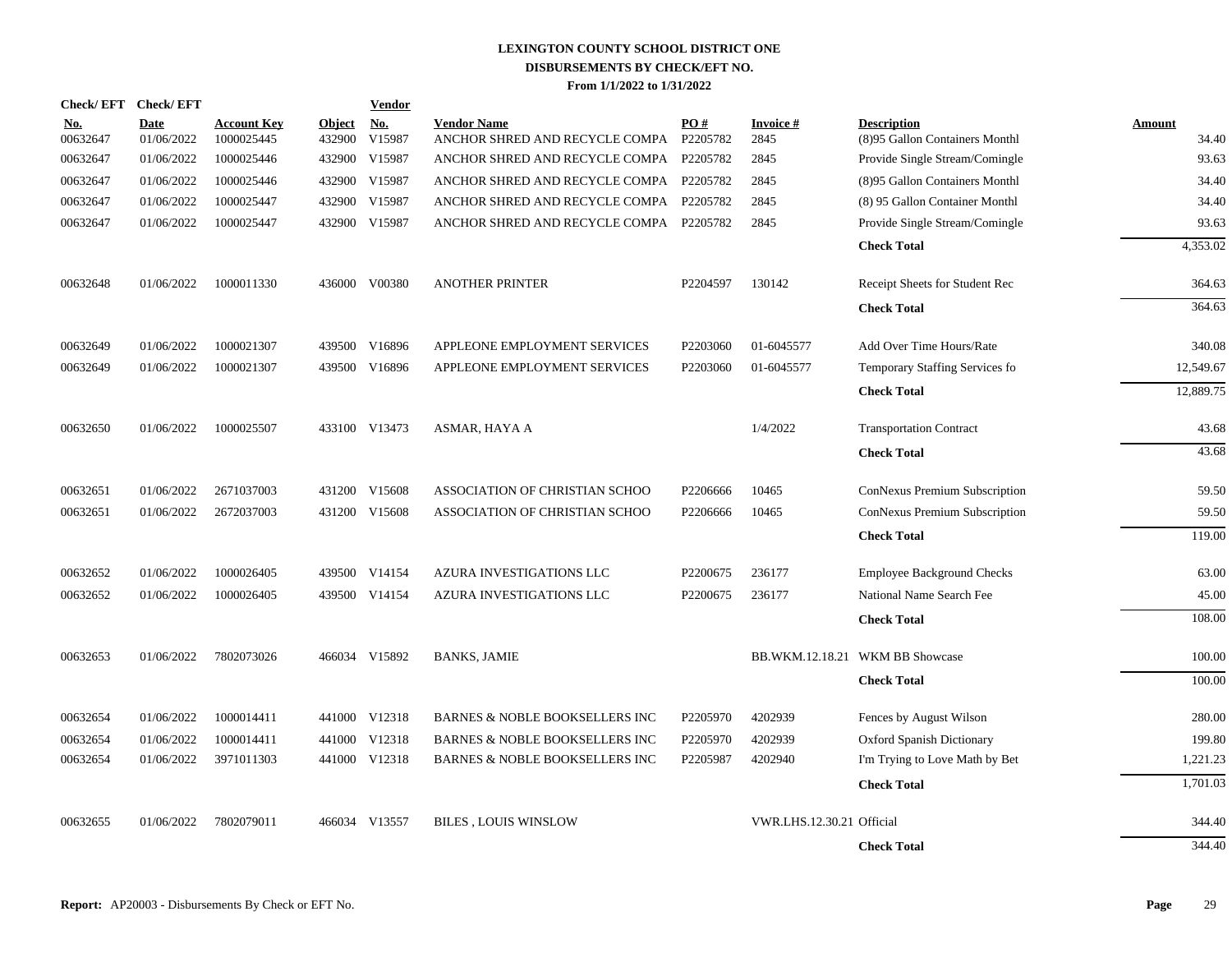|                        | Check/EFT Check/EFT       |                                  |                         | <b>Vendor</b>        |                                                               |                      |                           |                                                      |                        |
|------------------------|---------------------------|----------------------------------|-------------------------|----------------------|---------------------------------------------------------------|----------------------|---------------------------|------------------------------------------------------|------------------------|
| <u>No.</u><br>00632647 | <b>Date</b><br>01/06/2022 | <b>Account Key</b><br>1000025445 | <b>Object</b><br>432900 | <u>No.</u><br>V15987 | <b>Vendor Name</b><br>ANCHOR SHRED AND RECYCLE COMPA P2205782 | PO#                  | <b>Invoice#</b><br>2845   | <b>Description</b><br>(8)95 Gallon Containers Monthl | <b>Amount</b><br>34.40 |
| 00632647               | 01/06/2022                | 1000025446                       |                         | 432900 V15987        | ANCHOR SHRED AND RECYCLE COMPA P2205782                       |                      | 2845                      | Provide Single Stream/Comingle                       | 93.63                  |
| 00632647               | 01/06/2022                | 1000025446                       |                         | 432900 V15987        | ANCHOR SHRED AND RECYCLE COMPA P2205782                       |                      | 2845                      | (8)95 Gallon Containers Monthl                       | 34.40                  |
| 00632647               | 01/06/2022                | 1000025447                       | 432900                  | V15987               | ANCHOR SHRED AND RECYCLE COMPA P2205782                       |                      | 2845                      | (8) 95 Gallon Container Monthl                       | 34.40                  |
| 00632647               | 01/06/2022                | 1000025447                       |                         | 432900 V15987        | ANCHOR SHRED AND RECYCLE COMPA P2205782                       |                      | 2845                      | Provide Single Stream/Comingle                       | 93.63                  |
|                        |                           |                                  |                         |                      |                                                               |                      |                           | <b>Check Total</b>                                   | 4.353.02               |
| 00632648               | 01/06/2022                | 1000011330                       |                         | 436000 V00380        | <b>ANOTHER PRINTER</b>                                        | P2204597             | 130142                    | Receipt Sheets for Student Rec                       | 364.63                 |
|                        |                           |                                  |                         |                      |                                                               |                      |                           | <b>Check Total</b>                                   | 364.63                 |
| 00632649               | 01/06/2022                | 1000021307                       | 439500                  | V16896               | APPLEONE EMPLOYMENT SERVICES                                  | P2203060             | 01-6045577                | Add Over Time Hours/Rate                             | 340.08                 |
| 00632649               | 01/06/2022                | 1000021307                       |                         | 439500 V16896        | APPLEONE EMPLOYMENT SERVICES                                  | P <sub>2203060</sub> | 01-6045577                | Temporary Staffing Services fo                       | 12,549.67              |
|                        |                           |                                  |                         |                      |                                                               |                      |                           | <b>Check Total</b>                                   | 12,889.75              |
| 00632650               | 01/06/2022                | 1000025507                       |                         | 433100 V13473        | ASMAR, HAYA A                                                 |                      | 1/4/2022                  | <b>Transportation Contract</b>                       | 43.68                  |
|                        |                           |                                  |                         |                      |                                                               |                      |                           | <b>Check Total</b>                                   | 43.68                  |
| 00632651               | 01/06/2022                | 2671037003                       |                         | 431200 V15608        | ASSOCIATION OF CHRISTIAN SCHOO                                | P2206666             | 10465                     | ConNexus Premium Subscription                        | 59.50                  |
| 00632651               | 01/06/2022                | 2672037003                       |                         | 431200 V15608        | ASSOCIATION OF CHRISTIAN SCHOO                                | P2206666             | 10465                     | ConNexus Premium Subscription                        | 59.50                  |
|                        |                           |                                  |                         |                      |                                                               |                      |                           | <b>Check Total</b>                                   | 119.00                 |
| 00632652               | 01/06/2022                | 1000026405                       |                         | 439500 V14154        | AZURA INVESTIGATIONS LLC                                      | P2200675             | 236177                    | <b>Employee Background Checks</b>                    | 63.00                  |
| 00632652               | 01/06/2022                | 1000026405                       |                         | 439500 V14154        | AZURA INVESTIGATIONS LLC                                      | P2200675             | 236177                    | National Name Search Fee                             | 45.00                  |
|                        |                           |                                  |                         |                      |                                                               |                      |                           | <b>Check Total</b>                                   | 108.00                 |
| 00632653               | 01/06/2022                | 7802073026                       |                         | 466034 V15892        | <b>BANKS, JAMIE</b>                                           |                      |                           | BB.WKM.12.18.21 WKM BB Showcase                      | 100.00                 |
|                        |                           |                                  |                         |                      |                                                               |                      |                           | <b>Check Total</b>                                   | 100.00                 |
| 00632654               | 01/06/2022                | 1000014411                       |                         | 441000 V12318        | <b>BARNES &amp; NOBLE BOOKSELLERS INC</b>                     | P2205970             | 4202939                   | Fences by August Wilson                              | 280.00                 |
| 00632654               | 01/06/2022                | 1000014411                       |                         | 441000 V12318        | BARNES & NOBLE BOOKSELLERS INC                                | P2205970             | 4202939                   | <b>Oxford Spanish Dictionary</b>                     | 199.80                 |
| 00632654               | 01/06/2022                | 3971011303                       |                         | 441000 V12318        | <b>BARNES &amp; NOBLE BOOKSELLERS INC</b>                     | P2205987             | 4202940                   | I'm Trying to Love Math by Bet                       | 1,221.23               |
|                        |                           |                                  |                         |                      |                                                               |                      |                           | <b>Check Total</b>                                   | 1,701.03               |
| 00632655               | 01/06/2022                | 7802079011                       | 466034                  | V13557               | <b>BILES, LOUIS WINSLOW</b>                                   |                      | VWR.LHS.12.30.21 Official |                                                      | 344.40                 |
|                        |                           |                                  |                         |                      |                                                               |                      |                           | <b>Check Total</b>                                   | 344.40                 |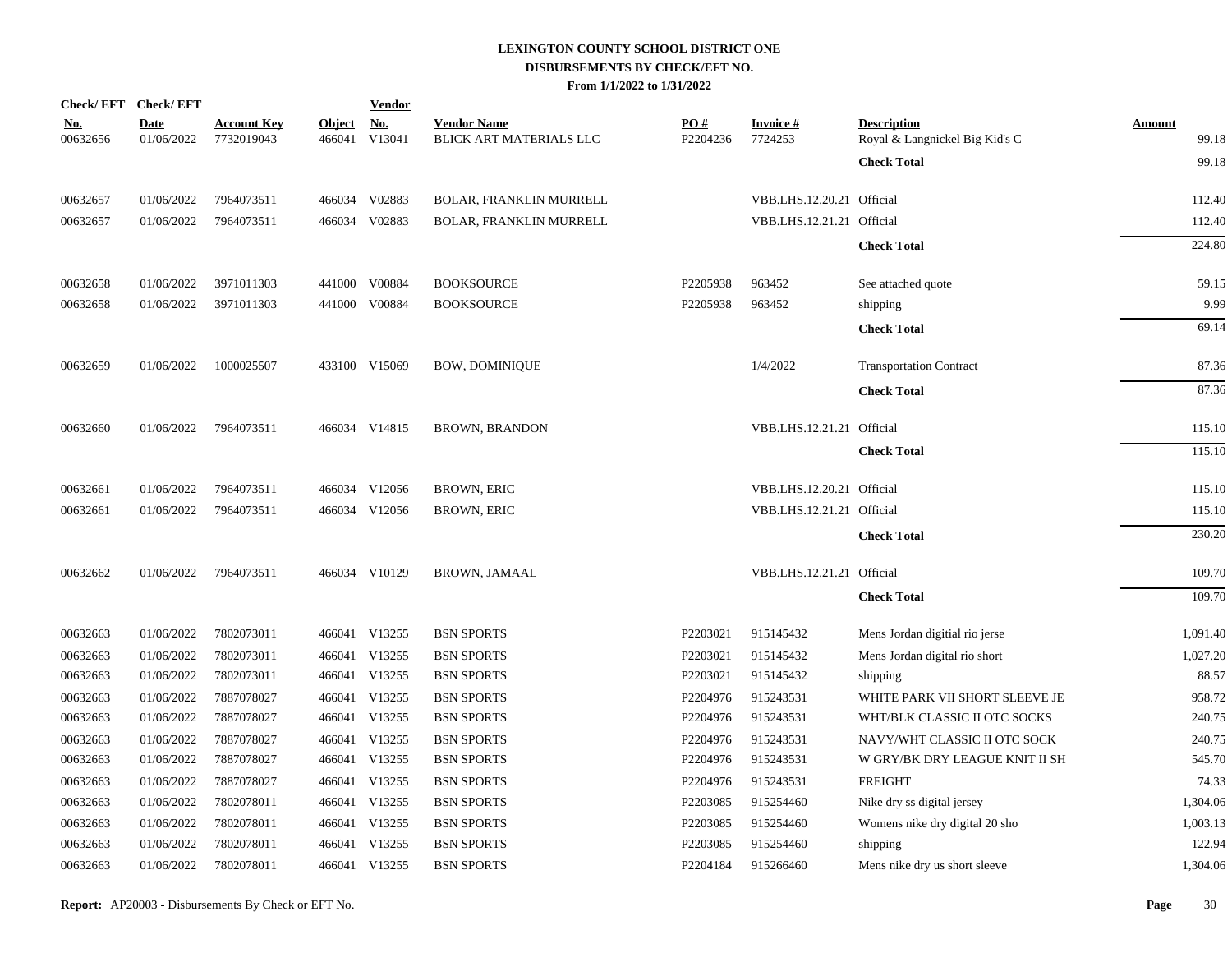|                        | Check/EFT Check/EFT       |                                  |                         | <b>Vendor</b>        |                                               |                               |                            |                                                      |                        |
|------------------------|---------------------------|----------------------------------|-------------------------|----------------------|-----------------------------------------------|-------------------------------|----------------------------|------------------------------------------------------|------------------------|
| <u>No.</u><br>00632656 | <b>Date</b><br>01/06/2022 | <b>Account Key</b><br>7732019043 | <b>Object</b><br>466041 | <u>No.</u><br>V13041 | <b>Vendor Name</b><br>BLICK ART MATERIALS LLC | $\underline{PO#}$<br>P2204236 | <b>Invoice#</b><br>7724253 | <b>Description</b><br>Royal & Langnickel Big Kid's C | <b>Amount</b><br>99.18 |
|                        |                           |                                  |                         |                      |                                               |                               |                            | <b>Check Total</b>                                   | 99.18                  |
| 00632657               | 01/06/2022                | 7964073511                       |                         | 466034 V02883        | BOLAR, FRANKLIN MURRELL                       |                               | VBB.LHS.12.20.21 Official  |                                                      | 112.40                 |
| 00632657               | 01/06/2022                | 7964073511                       |                         | 466034 V02883        | BOLAR, FRANKLIN MURRELL                       |                               | VBB.LHS.12.21.21 Official  |                                                      | 112.40                 |
|                        |                           |                                  |                         |                      |                                               |                               |                            | <b>Check Total</b>                                   | 224.80                 |
| 00632658               | 01/06/2022                | 3971011303                       |                         | 441000 V00884        | <b>BOOKSOURCE</b>                             | P2205938                      | 963452                     | See attached quote                                   | 59.15                  |
| 00632658               | 01/06/2022                | 3971011303                       |                         | 441000 V00884        | <b>BOOKSOURCE</b>                             | P2205938                      | 963452                     | shipping                                             | 9.99                   |
|                        |                           |                                  |                         |                      |                                               |                               |                            | <b>Check Total</b>                                   | 69.14                  |
| 00632659               | 01/06/2022                | 1000025507                       |                         | 433100 V15069        | <b>BOW, DOMINIQUE</b>                         |                               | 1/4/2022                   | <b>Transportation Contract</b>                       | 87.36                  |
|                        |                           |                                  |                         |                      |                                               |                               |                            | <b>Check Total</b>                                   | 87.36                  |
| 00632660               | 01/06/2022                | 7964073511                       |                         | 466034 V14815        | <b>BROWN, BRANDON</b>                         |                               | VBB.LHS.12.21.21 Official  |                                                      | 115.10                 |
|                        |                           |                                  |                         |                      |                                               |                               |                            | <b>Check Total</b>                                   | 115.10                 |
| 00632661               | 01/06/2022                | 7964073511                       |                         | 466034 V12056        | <b>BROWN, ERIC</b>                            |                               | VBB.LHS.12.20.21 Official  |                                                      | 115.10                 |
| 00632661               | 01/06/2022                | 7964073511                       |                         | 466034 V12056        | <b>BROWN, ERIC</b>                            |                               | VBB.LHS.12.21.21 Official  |                                                      | 115.10                 |
|                        |                           |                                  |                         |                      |                                               |                               |                            | <b>Check Total</b>                                   | 230.20                 |
| 00632662               | 01/06/2022                | 7964073511                       |                         | 466034 V10129        | <b>BROWN, JAMAAL</b>                          |                               | VBB.LHS.12.21.21 Official  |                                                      | 109.70                 |
|                        |                           |                                  |                         |                      |                                               |                               |                            | <b>Check Total</b>                                   | 109.70                 |
| 00632663               | 01/06/2022                | 7802073011                       |                         | 466041 V13255        | <b>BSN SPORTS</b>                             | P2203021                      | 915145432                  | Mens Jordan digitial rio jerse                       | 1,091.40               |
| 00632663               | 01/06/2022                | 7802073011                       |                         | 466041 V13255        | <b>BSN SPORTS</b>                             | P2203021                      | 915145432                  | Mens Jordan digital rio short                        | 1,027.20               |
| 00632663               | 01/06/2022                | 7802073011                       |                         | 466041 V13255        | <b>BSN SPORTS</b>                             | P2203021                      | 915145432                  | shipping                                             | 88.57                  |
| 00632663               | 01/06/2022                | 7887078027                       |                         | 466041 V13255        | <b>BSN SPORTS</b>                             | P2204976                      | 915243531                  | WHITE PARK VII SHORT SLEEVE JE                       | 958.72                 |
| 00632663               | 01/06/2022                | 7887078027                       |                         | 466041 V13255        | <b>BSN SPORTS</b>                             | P2204976                      | 915243531                  | WHT/BLK CLASSIC II OTC SOCKS                         | 240.75                 |
| 00632663               | 01/06/2022                | 7887078027                       |                         | 466041 V13255        | <b>BSN SPORTS</b>                             | P2204976                      | 915243531                  | NAVY/WHT CLASSIC II OTC SOCK                         | 240.75                 |
| 00632663               | 01/06/2022                | 7887078027                       |                         | 466041 V13255        | <b>BSN SPORTS</b>                             | P2204976                      | 915243531                  | W GRY/BK DRY LEAGUE KNIT II SH                       | 545.70                 |
| 00632663               | 01/06/2022                | 7887078027                       |                         | 466041 V13255        | <b>BSN SPORTS</b>                             | P2204976                      | 915243531                  | <b>FREIGHT</b>                                       | 74.33                  |
| 00632663               | 01/06/2022                | 7802078011                       |                         | 466041 V13255        | <b>BSN SPORTS</b>                             | P2203085                      | 915254460                  | Nike dry ss digital jersey                           | 1,304.06               |
| 00632663               | 01/06/2022                | 7802078011                       |                         | 466041 V13255        | <b>BSN SPORTS</b>                             | P2203085                      | 915254460                  | Womens nike dry digital 20 sho                       | 1,003.13               |
| 00632663               | 01/06/2022                | 7802078011                       |                         | 466041 V13255        | <b>BSN SPORTS</b>                             | P2203085                      | 915254460                  | shipping                                             | 122.94                 |
| 00632663               | 01/06/2022                | 7802078011                       |                         | 466041 V13255        | <b>BSN SPORTS</b>                             | P2204184                      | 915266460                  | Mens nike dry us short sleeve                        | 1,304.06               |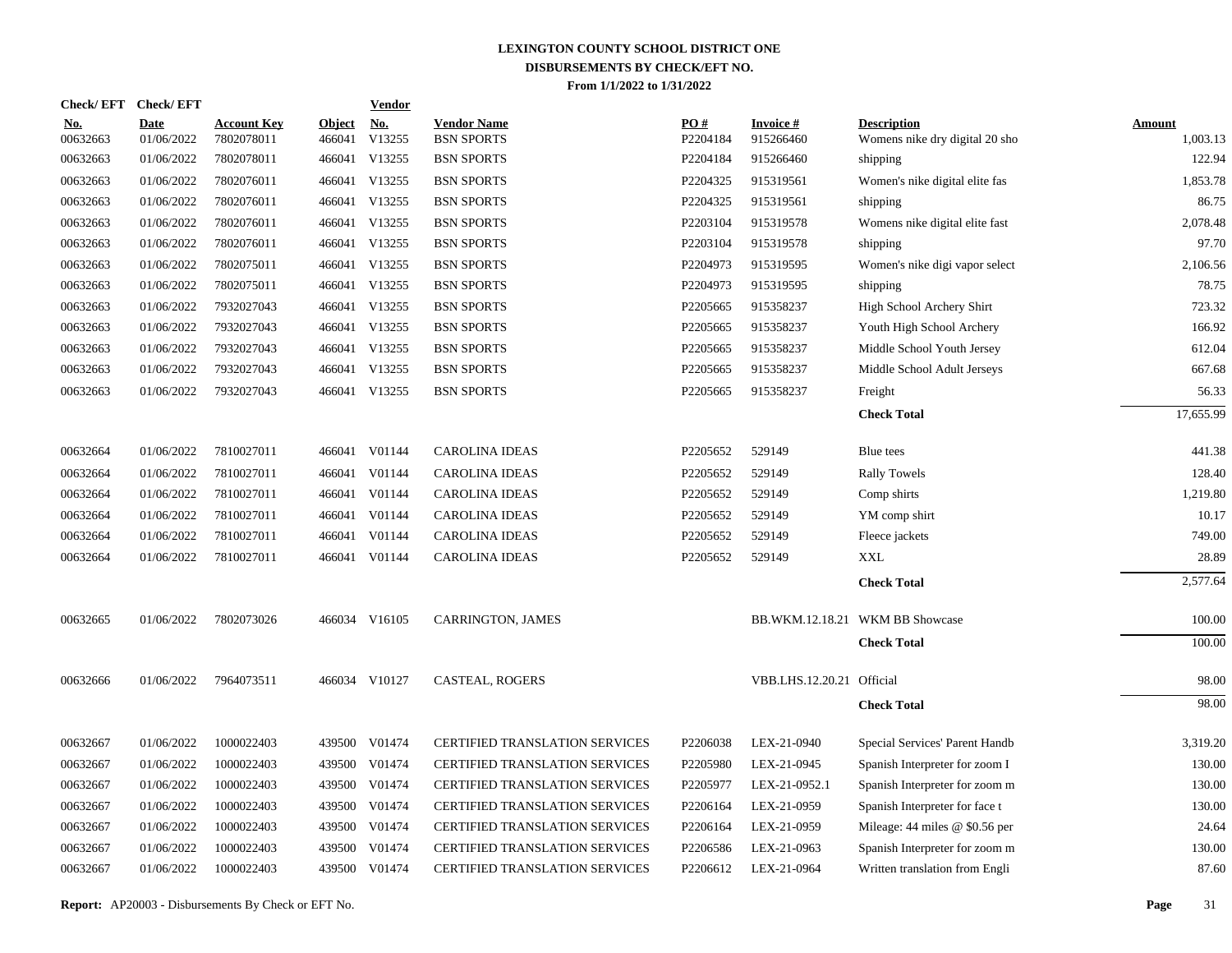|                        | Check/EFT Check/EFT       |                                  |                         | <b>Vendor</b>        |                                         |                 |                               |                                                      |                           |
|------------------------|---------------------------|----------------------------------|-------------------------|----------------------|-----------------------------------------|-----------------|-------------------------------|------------------------------------------------------|---------------------------|
| <u>No.</u><br>00632663 | <b>Date</b><br>01/06/2022 | <b>Account Key</b><br>7802078011 | <b>Object</b><br>466041 | <u>No.</u><br>V13255 | <b>Vendor Name</b><br><b>BSN SPORTS</b> | PO#<br>P2204184 | <b>Invoice #</b><br>915266460 | <b>Description</b><br>Womens nike dry digital 20 sho | <b>Amount</b><br>1,003.13 |
| 00632663               | 01/06/2022                | 7802078011                       |                         | 466041 V13255        | <b>BSN SPORTS</b>                       | P2204184        | 915266460                     | shipping                                             | 122.94                    |
| 00632663               | 01/06/2022                | 7802076011                       |                         | 466041 V13255        | <b>BSN SPORTS</b>                       | P2204325        | 915319561                     | Women's nike digital elite fas                       | 1,853.78                  |
| 00632663               | 01/06/2022                | 7802076011                       |                         | 466041 V13255        | <b>BSN SPORTS</b>                       | P2204325        | 915319561                     | shipping                                             | 86.75                     |
| 00632663               | 01/06/2022                | 7802076011                       |                         | 466041 V13255        | <b>BSN SPORTS</b>                       | P2203104        | 915319578                     | Womens nike digital elite fast                       | 2,078.48                  |
| 00632663               | 01/06/2022                | 7802076011                       |                         | 466041 V13255        | <b>BSN SPORTS</b>                       | P2203104        | 915319578                     | shipping                                             | 97.70                     |
| 00632663               | 01/06/2022                | 7802075011                       |                         | 466041 V13255        | <b>BSN SPORTS</b>                       | P2204973        | 915319595                     | Women's nike digi vapor select                       | 2,106.56                  |
| 00632663               | 01/06/2022                | 7802075011                       |                         | 466041 V13255        | <b>BSN SPORTS</b>                       | P2204973        | 915319595                     | shipping                                             | 78.75                     |
| 00632663               | 01/06/2022                | 7932027043                       |                         | 466041 V13255        | <b>BSN SPORTS</b>                       | P2205665        | 915358237                     | High School Archery Shirt                            | 723.32                    |
| 00632663               | 01/06/2022                | 7932027043                       |                         | 466041 V13255        | <b>BSN SPORTS</b>                       | P2205665        | 915358237                     | Youth High School Archery                            | 166.92                    |
| 00632663               | 01/06/2022                | 7932027043                       |                         | 466041 V13255        | <b>BSN SPORTS</b>                       | P2205665        | 915358237                     | Middle School Youth Jersey                           | 612.04                    |
| 00632663               | 01/06/2022                | 7932027043                       |                         | 466041 V13255        | <b>BSN SPORTS</b>                       | P2205665        | 915358237                     | Middle School Adult Jerseys                          | 667.68                    |
| 00632663               | 01/06/2022                | 7932027043                       |                         | 466041 V13255        | <b>BSN SPORTS</b>                       | P2205665        | 915358237                     | Freight                                              | 56.33                     |
|                        |                           |                                  |                         |                      |                                         |                 |                               | <b>Check Total</b>                                   | 17,655.99                 |
| 00632664               | 01/06/2022                | 7810027011                       |                         | 466041 V01144        | <b>CAROLINA IDEAS</b>                   | P2205652        | 529149                        | Blue tees                                            | 441.38                    |
| 00632664               | 01/06/2022                | 7810027011                       |                         | 466041 V01144        | <b>CAROLINA IDEAS</b>                   | P2205652        | 529149                        | <b>Rally Towels</b>                                  | 128.40                    |
| 00632664               | 01/06/2022                | 7810027011                       |                         | 466041 V01144        | <b>CAROLINA IDEAS</b>                   | P2205652        | 529149                        | Comp shirts                                          | 1,219.80                  |
| 00632664               | 01/06/2022                | 7810027011                       |                         | 466041 V01144        | <b>CAROLINA IDEAS</b>                   | P2205652        | 529149                        | YM comp shirt                                        | 10.17                     |
| 00632664               | 01/06/2022                | 7810027011                       |                         | 466041 V01144        | <b>CAROLINA IDEAS</b>                   | P2205652        | 529149                        | Fleece jackets                                       | 749.00                    |
| 00632664               | 01/06/2022                | 7810027011                       |                         | 466041 V01144        | <b>CAROLINA IDEAS</b>                   | P2205652        | 529149                        | XXL                                                  | 28.89                     |
|                        |                           |                                  |                         |                      |                                         |                 |                               | <b>Check Total</b>                                   | 2,577.64                  |
| 00632665               | 01/06/2022                | 7802073026                       |                         | 466034 V16105        | CARRINGTON, JAMES                       |                 |                               | BB.WKM.12.18.21 WKM BB Showcase                      | 100.00                    |
|                        |                           |                                  |                         |                      |                                         |                 |                               | <b>Check Total</b>                                   | 100.00                    |
| 00632666               | 01/06/2022                | 7964073511                       |                         | 466034 V10127        | <b>CASTEAL, ROGERS</b>                  |                 | VBB.LHS.12.20.21 Official     |                                                      | 98.00                     |
|                        |                           |                                  |                         |                      |                                         |                 |                               | <b>Check Total</b>                                   | 98.00                     |
| 00632667               | 01/06/2022                | 1000022403                       |                         | 439500 V01474        | <b>CERTIFIED TRANSLATION SERVICES</b>   | P2206038        | LEX-21-0940                   | Special Services' Parent Handb                       | 3,319.20                  |
| 00632667               | 01/06/2022                | 1000022403                       | 439500                  | V01474               | <b>CERTIFIED TRANSLATION SERVICES</b>   | P2205980        | LEX-21-0945                   | Spanish Interpreter for zoom I                       | 130.00                    |
| 00632667               | 01/06/2022                | 1000022403                       |                         | 439500 V01474        | <b>CERTIFIED TRANSLATION SERVICES</b>   | P2205977        | LEX-21-0952.1                 | Spanish Interpreter for zoom m                       | 130.00                    |
| 00632667               | 01/06/2022                | 1000022403                       | 439500                  | V01474               | <b>CERTIFIED TRANSLATION SERVICES</b>   | P2206164        | LEX-21-0959                   | Spanish Interpreter for face t                       | 130.00                    |
| 00632667               | 01/06/2022                | 1000022403                       |                         | 439500 V01474        | CERTIFIED TRANSLATION SERVICES          | P2206164        | LEX-21-0959                   | Mileage: $44$ miles @ \$0.56 per                     | 24.64                     |
| 00632667               | 01/06/2022                | 1000022403                       | 439500                  | V01474               | <b>CERTIFIED TRANSLATION SERVICES</b>   | P2206586        | LEX-21-0963                   | Spanish Interpreter for zoom m                       | 130.00                    |
| 00632667               | 01/06/2022                | 1000022403                       |                         | 439500 V01474        | <b>CERTIFIED TRANSLATION SERVICES</b>   | P2206612        | LEX-21-0964                   | Written translation from Engli                       | 87.60                     |
|                        |                           |                                  |                         |                      |                                         |                 |                               |                                                      |                           |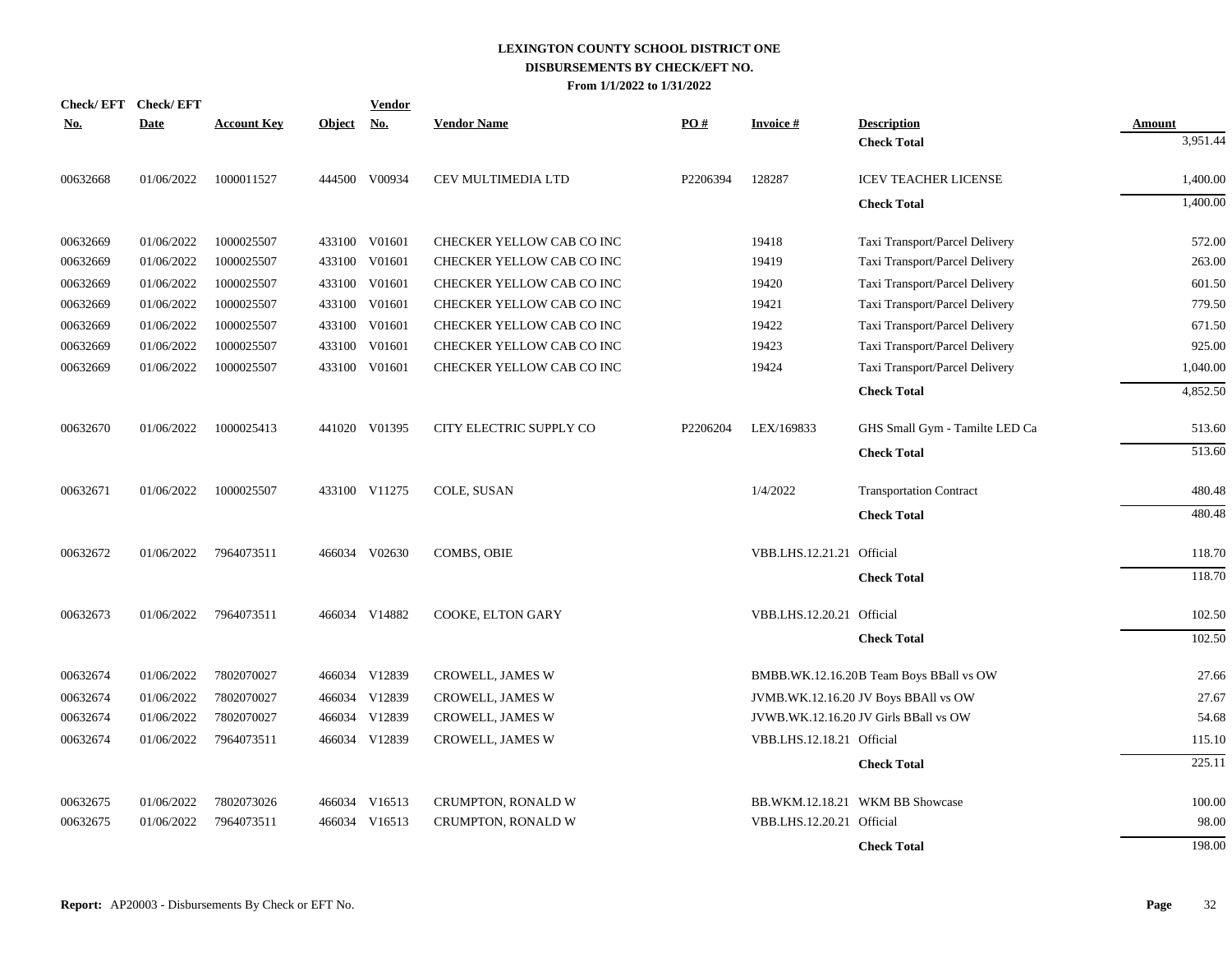|            | Check/EFT Check/EFT               |                             | <b>Vendor</b>                       |          |                           |                                         |          |
|------------|-----------------------------------|-----------------------------|-------------------------------------|----------|---------------------------|-----------------------------------------|----------|
| <u>No.</u> | <b>Date</b><br><b>Account Key</b> | <b>No.</b><br><b>Object</b> | <b>Vendor Name</b>                  | PO#      | <b>Invoice#</b>           | <b>Description</b>                      | Amount   |
|            |                                   |                             |                                     |          |                           | <b>Check Total</b>                      | 3,951.44 |
| 00632668   | 01/06/2022<br>1000011527          | 444500 V00934               | CEV MULTIMEDIA LTD                  | P2206394 | 128287                    | <b>ICEV TEACHER LICENSE</b>             | 1,400.00 |
|            |                                   |                             |                                     |          |                           | <b>Check Total</b>                      | 1,400.00 |
| 00632669   | 01/06/2022<br>1000025507          | 433100 V01601               | CHECKER YELLOW CAB CO INC           |          | 19418                     | Taxi Transport/Parcel Delivery          | 572.00   |
| 00632669   | 01/06/2022<br>1000025507          | 433100                      | V01601<br>CHECKER YELLOW CAB CO INC |          | 19419                     | Taxi Transport/Parcel Delivery          | 263.00   |
| 00632669   | 01/06/2022<br>1000025507          | 433100 V01601               | CHECKER YELLOW CAB CO INC           |          | 19420                     | Taxi Transport/Parcel Delivery          | 601.50   |
| 00632669   | 01/06/2022<br>1000025507          | 433100 V01601               | CHECKER YELLOW CAB CO INC           |          | 19421                     | Taxi Transport/Parcel Delivery          | 779.50   |
| 00632669   | 01/06/2022<br>1000025507          | 433100                      | V01601<br>CHECKER YELLOW CAB CO INC |          | 19422                     | Taxi Transport/Parcel Delivery          | 671.50   |
| 00632669   | 01/06/2022<br>1000025507          | 433100                      | V01601<br>CHECKER YELLOW CAB CO INC |          | 19423                     | Taxi Transport/Parcel Delivery          | 925.00   |
| 00632669   | 01/06/2022<br>1000025507          | 433100 V01601               | CHECKER YELLOW CAB CO INC           |          | 19424                     | Taxi Transport/Parcel Delivery          | 1,040.00 |
|            |                                   |                             |                                     |          |                           | <b>Check Total</b>                      | 4,852.50 |
| 00632670   | 01/06/2022<br>1000025413          | 441020 V01395               | CITY ELECTRIC SUPPLY CO             | P2206204 | LEX/169833                | GHS Small Gym - Tamilte LED Ca          | 513.60   |
|            |                                   |                             |                                     |          |                           | <b>Check Total</b>                      | 513.60   |
| 00632671   | 01/06/2022<br>1000025507          | 433100 V11275               | COLE, SUSAN                         |          | 1/4/2022                  | <b>Transportation Contract</b>          | 480.48   |
|            |                                   |                             |                                     |          |                           | <b>Check Total</b>                      | 480.48   |
| 00632672   | 01/06/2022<br>7964073511          | 466034 V02630               | COMBS, OBIE                         |          | VBB.LHS.12.21.21 Official |                                         | 118.70   |
|            |                                   |                             |                                     |          |                           | <b>Check Total</b>                      | 118.70   |
| 00632673   | 01/06/2022<br>7964073511          | 466034 V14882               | COOKE, ELTON GARY                   |          | VBB.LHS.12.20.21 Official |                                         | 102.50   |
|            |                                   |                             |                                     |          |                           | <b>Check Total</b>                      | 102.50   |
| 00632674   | 01/06/2022<br>7802070027          | 466034 V12839               | <b>CROWELL, JAMES W</b>             |          |                           | BMBB.WK.12.16.20B Team Boys BBall vs OW | 27.66    |
| 00632674   | 01/06/2022<br>7802070027          | 466034 V12839               | <b>CROWELL, JAMES W</b>             |          |                           | JVMB.WK.12.16.20 JV Boys BBAll vs OW    | 27.67    |
| 00632674   | 01/06/2022<br>7802070027          | 466034 V12839               | CROWELL, JAMES W                    |          |                           | JVWB.WK.12.16.20 JV Girls BBall vs OW   | 54.68    |
| 00632674   | 01/06/2022<br>7964073511          | 466034 V12839               | <b>CROWELL, JAMES W</b>             |          | VBB.LHS.12.18.21 Official |                                         | 115.10   |
|            |                                   |                             |                                     |          |                           | <b>Check Total</b>                      | 225.11   |
| 00632675   | 01/06/2022<br>7802073026          | 466034 V16513               | CRUMPTON, RONALD W                  |          |                           | BB.WKM.12.18.21 WKM BB Showcase         | 100.00   |
| 00632675   | 01/06/2022<br>7964073511          | 466034                      | V16513<br>CRUMPTON, RONALD W        |          | VBB.LHS.12.20.21 Official |                                         | 98.00    |
|            |                                   |                             |                                     |          |                           | <b>Check Total</b>                      | 198.00   |
|            |                                   |                             |                                     |          |                           |                                         |          |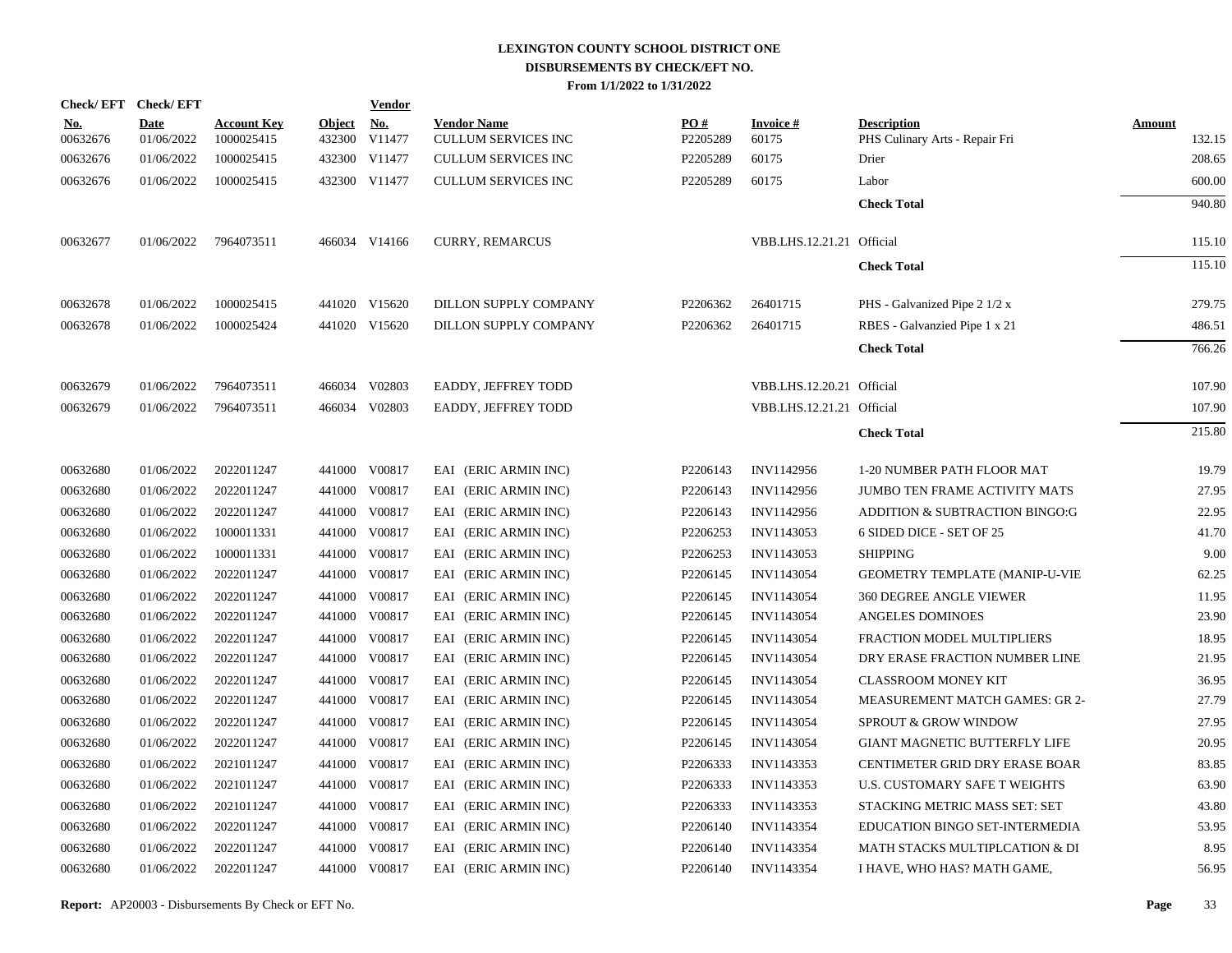| <b>Check/EFT</b>       | <b>Check/EFT</b>          |                                  |                         | Vendor               |                                                  |                 |                           |                                                      |                         |
|------------------------|---------------------------|----------------------------------|-------------------------|----------------------|--------------------------------------------------|-----------------|---------------------------|------------------------------------------------------|-------------------------|
| <u>No.</u><br>00632676 | <b>Date</b><br>01/06/2022 | <b>Account Key</b><br>1000025415 | <b>Object</b><br>432300 | <u>No.</u><br>V11477 | <b>Vendor Name</b><br><b>CULLUM SERVICES INC</b> | PO#<br>P2205289 | <b>Invoice#</b><br>60175  | <b>Description</b><br>PHS Culinary Arts - Repair Fri | <b>Amount</b><br>132.15 |
| 00632676               | 01/06/2022                | 1000025415                       |                         | 432300 V11477        | <b>CULLUM SERVICES INC</b>                       | P2205289        | 60175                     | Drier                                                | 208.65                  |
| 00632676               | 01/06/2022                | 1000025415                       |                         | 432300 V11477        | <b>CULLUM SERVICES INC</b>                       | P2205289        | 60175                     | Labor                                                | 600.00                  |
|                        |                           |                                  |                         |                      |                                                  |                 |                           | <b>Check Total</b>                                   | 940.80                  |
| 00632677               | 01/06/2022                | 7964073511                       |                         | 466034 V14166        | <b>CURRY, REMARCUS</b>                           |                 | VBB.LHS.12.21.21 Official |                                                      | 115.10                  |
|                        |                           |                                  |                         |                      |                                                  |                 |                           | <b>Check Total</b>                                   | 115.10                  |
| 00632678               | 01/06/2022                | 1000025415                       |                         | 441020 V15620        | DILLON SUPPLY COMPANY                            | P2206362        | 26401715                  | PHS - Galvanized Pipe 2 1/2 x                        | 279.75                  |
| 00632678               | 01/06/2022                | 1000025424                       |                         | 441020 V15620        | DILLON SUPPLY COMPANY                            | P2206362        | 26401715                  | RBES - Galvanzied Pipe 1 x 21                        | 486.51                  |
|                        |                           |                                  |                         |                      |                                                  |                 |                           | <b>Check Total</b>                                   | 766.26                  |
| 00632679               | 01/06/2022                | 7964073511                       |                         | 466034 V02803        | EADDY, JEFFREY TODD                              |                 | VBB.LHS.12.20.21 Official |                                                      | 107.90                  |
| 00632679               | 01/06/2022                | 7964073511                       |                         | 466034 V02803        | EADDY, JEFFREY TODD                              |                 | VBB.LHS.12.21.21 Official |                                                      | 107.90                  |
|                        |                           |                                  |                         |                      |                                                  |                 |                           | <b>Check Total</b>                                   | 215.80                  |
| 00632680               | 01/06/2022                | 2022011247                       |                         | 441000 V00817        | EAI (ERIC ARMIN INC)                             | P2206143        | INV1142956                | 1-20 NUMBER PATH FLOOR MAT                           | 19.79                   |
| 00632680               | 01/06/2022                | 2022011247                       | 441000                  | V00817               | EAI (ERIC ARMIN INC)                             | P2206143        | INV1142956                | <b>JUMBO TEN FRAME ACTIVITY MATS</b>                 | 27.95                   |
| 00632680               | 01/06/2022                | 2022011247                       | 441000                  | V00817               | EAI (ERIC ARMIN INC)                             | P2206143        | INV1142956                | ADDITION & SUBTRACTION BINGO:G                       | 22.95                   |
| 00632680               | 01/06/2022                | 1000011331                       | 441000                  | V00817               | EAI (ERIC ARMIN INC)                             | P2206253        | INV1143053                | 6 SIDED DICE - SET OF 25                             | 41.70                   |
| 00632680               | 01/06/2022                | 1000011331                       | 441000                  | V00817               | EAI (ERIC ARMIN INC)                             | P2206253        | INV1143053                | <b>SHIPPING</b>                                      | 9.00                    |
| 00632680               | 01/06/2022                | 2022011247                       | 441000                  | V00817               | EAI (ERIC ARMIN INC)                             | P2206145        | <b>INV1143054</b>         | GEOMETRY TEMPLATE (MANIP-U-VIE                       | 62.25                   |
| 00632680               | 01/06/2022                | 2022011247                       | 441000                  | V00817               | EAI (ERIC ARMIN INC)                             | P2206145        | INV1143054                | <b>360 DEGREE ANGLE VIEWER</b>                       | 11.95                   |
| 00632680               | 01/06/2022                | 2022011247                       | 441000                  | V00817               | EAI (ERIC ARMIN INC)                             | P2206145        | <b>INV1143054</b>         | <b>ANGELES DOMINOES</b>                              | 23.90                   |
| 00632680               | 01/06/2022                | 2022011247                       | 441000                  | V00817               | EAI (ERIC ARMIN INC)                             | P2206145        | INV1143054                | FRACTION MODEL MULTIPLIERS                           | 18.95                   |
| 00632680               | 01/06/2022                | 2022011247                       | 441000                  | V00817               | EAI (ERIC ARMIN INC)                             | P2206145        | INV1143054                | DRY ERASE FRACTION NUMBER LINE                       | 21.95                   |
| 00632680               | 01/06/2022                | 2022011247                       | 441000                  | V00817               | EAI (ERIC ARMIN INC)                             | P2206145        | <b>INV1143054</b>         | <b>CLASSROOM MONEY KIT</b>                           | 36.95                   |
| 00632680               | 01/06/2022                | 2022011247                       | 441000                  | V00817               | EAI (ERIC ARMIN INC)                             | P2206145        | <b>INV1143054</b>         | <b>MEASUREMENT MATCH GAMES: GR 2-</b>                | 27.79                   |
| 00632680               | 01/06/2022                | 2022011247                       | 441000                  | V00817               | EAI (ERIC ARMIN INC)                             | P2206145        | <b>INV1143054</b>         | SPROUT & GROW WINDOW                                 | 27.95                   |
| 00632680               | 01/06/2022                | 2022011247                       | 441000                  | V00817               | EAI (ERIC ARMIN INC)                             | P2206145        | <b>INV1143054</b>         | GIANT MAGNETIC BUTTERFLY LIFE                        | 20.95                   |
| 00632680               | 01/06/2022                | 2021011247                       | 441000                  | V00817               | EAI (ERIC ARMIN INC)                             | P2206333        | INV1143353                | CENTIMETER GRID DRY ERASE BOAR                       | 83.85                   |
| 00632680               | 01/06/2022                | 2021011247                       | 441000                  | V00817               | EAI (ERIC ARMIN INC)                             | P2206333        | INV1143353                | U.S. CUSTOMARY SAFE T WEIGHTS                        | 63.90                   |
| 00632680               | 01/06/2022                | 2021011247                       | 441000                  | V00817               | EAI (ERIC ARMIN INC)                             | P2206333        | INV1143353                | STACKING METRIC MASS SET: SET                        | 43.80                   |
| 00632680               | 01/06/2022                | 2022011247                       | 441000                  | V00817               | EAI (ERIC ARMIN INC)                             | P2206140        | INV1143354                | EDUCATION BINGO SET-INTERMEDIA                       | 53.95                   |
| 00632680               | 01/06/2022                | 2022011247                       | 441000                  | V00817               | EAI (ERIC ARMIN INC)                             | P2206140        | INV1143354                | MATH STACKS MULTIPLCATION & DI                       | 8.95                    |
| 00632680               | 01/06/2022                | 2022011247                       |                         | 441000 V00817        | EAI (ERIC ARMIN INC)                             | P2206140        | INV1143354                | I HAVE, WHO HAS? MATH GAME,                          | 56.95                   |
|                        |                           |                                  |                         |                      |                                                  |                 |                           |                                                      |                         |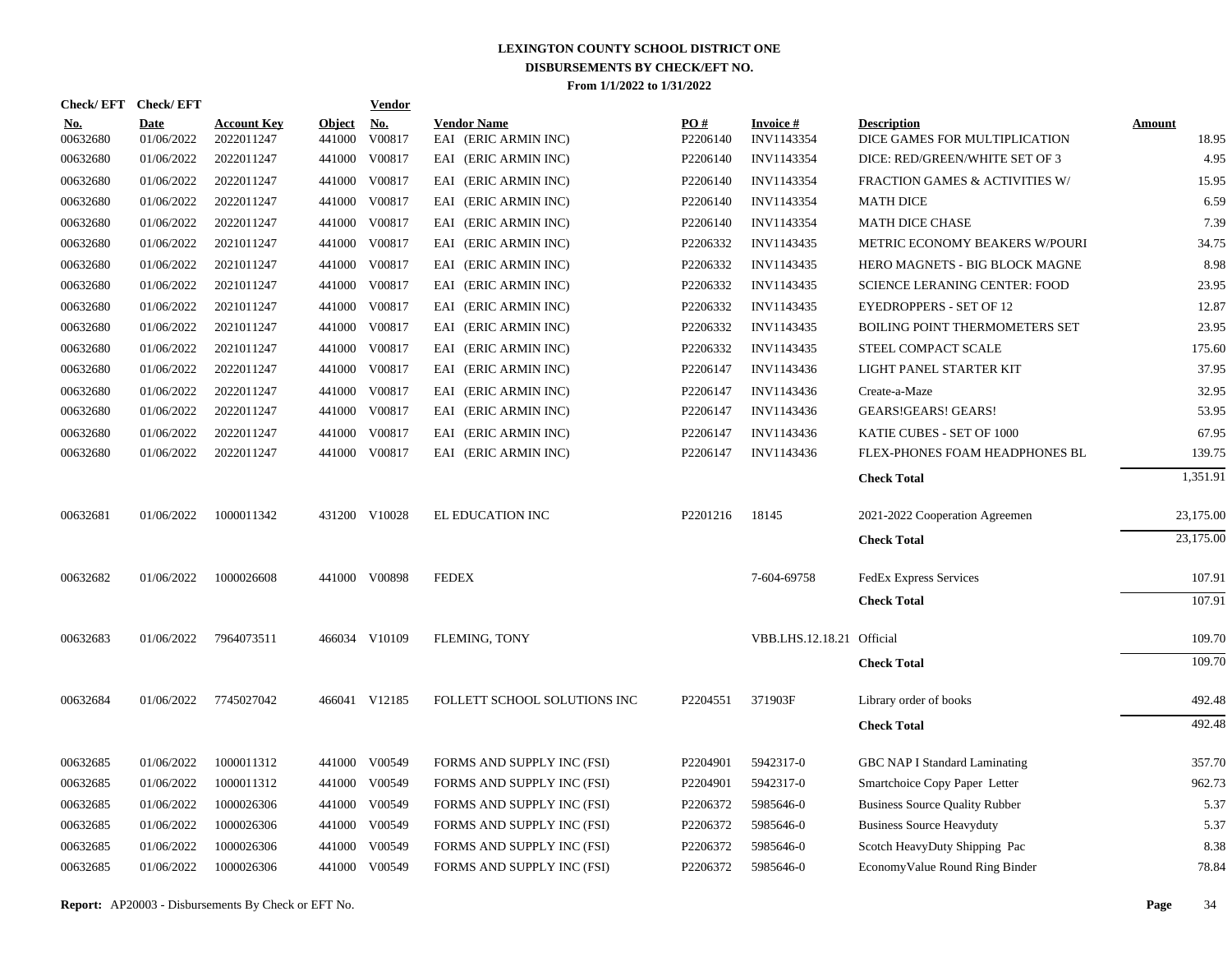| Check/EFT Check/EFT    |                           |                                  |                         | <b>Vendor</b>        |                                            |                 |                               |                                                     |                        |
|------------------------|---------------------------|----------------------------------|-------------------------|----------------------|--------------------------------------------|-----------------|-------------------------------|-----------------------------------------------------|------------------------|
| <u>No.</u><br>00632680 | <b>Date</b><br>01/06/2022 | <b>Account Key</b><br>2022011247 | <b>Object</b><br>441000 | <u>No.</u><br>V00817 | <b>Vendor Name</b><br>EAI (ERIC ARMIN INC) | PQ#<br>P2206140 | <b>Invoice#</b><br>INV1143354 | <b>Description</b><br>DICE GAMES FOR MULTIPLICATION | <b>Amount</b><br>18.95 |
| 00632680               | 01/06/2022                | 2022011247                       | 441000                  | V00817               | EAI (ERIC ARMIN INC)                       | P2206140        | <b>INV1143354</b>             | DICE: RED/GREEN/WHITE SET OF 3                      | 4.95                   |
| 00632680               | 01/06/2022                | 2022011247                       | 441000                  | V00817               | EAI (ERIC ARMIN INC)                       | P2206140        | INV1143354                    | FRACTION GAMES & ACTIVITIES W/                      | 15.95                  |
| 00632680               | 01/06/2022                | 2022011247                       |                         | 441000 V00817        | EAI (ERIC ARMIN INC)                       | P2206140        | INV1143354                    | <b>MATH DICE</b>                                    | 6.59                   |
| 00632680               | 01/06/2022                | 2022011247                       | 441000                  | V00817               | EAI (ERIC ARMIN INC)                       | P2206140        | INV1143354                    | <b>MATH DICE CHASE</b>                              | 7.39                   |
| 00632680               | 01/06/2022                | 2021011247                       |                         | 441000 V00817        | EAI (ERIC ARMIN INC)                       | P2206332        | INV1143435                    | METRIC ECONOMY BEAKERS W/POURI                      | 34.75                  |
| 00632680               | 01/06/2022                | 2021011247                       |                         | 441000 V00817        | EAI (ERIC ARMIN INC)                       | P2206332        | INV1143435                    | HERO MAGNETS - BIG BLOCK MAGNE                      | 8.98                   |
| 00632680               | 01/06/2022                | 2021011247                       |                         | 441000 V00817        | EAI (ERIC ARMIN INC)                       | P2206332        | INV1143435                    | <b>SCIENCE LERANING CENTER: FOOD</b>                | 23.95                  |
| 00632680               | 01/06/2022                | 2021011247                       |                         | 441000 V00817        | EAI (ERIC ARMIN INC)                       | P2206332        | INV1143435                    | <b>EYEDROPPERS - SET OF 12</b>                      | 12.87                  |
| 00632680               | 01/06/2022                | 2021011247                       |                         | 441000 V00817        | EAI (ERIC ARMIN INC)                       | P2206332        | INV1143435                    | <b>BOILING POINT THERMOMETERS SET</b>               | 23.95                  |
| 00632680               | 01/06/2022                | 2021011247                       |                         | 441000 V00817        | EAI (ERIC ARMIN INC)                       | P2206332        | INV1143435                    | STEEL COMPACT SCALE                                 | 175.60                 |
| 00632680               | 01/06/2022                | 2022011247                       |                         | 441000 V00817        | EAI (ERIC ARMIN INC)                       | P2206147        | INV1143436                    | LIGHT PANEL STARTER KIT                             | 37.95                  |
| 00632680               | 01/06/2022                | 2022011247                       |                         | 441000 V00817        | EAI (ERIC ARMIN INC)                       | P2206147        | INV1143436                    | Create-a-Maze                                       | 32.95                  |
| 00632680               | 01/06/2022                | 2022011247                       |                         | 441000 V00817        | EAI (ERIC ARMIN INC)                       | P2206147        | INV1143436                    | GEARS!GEARS! GEARS!                                 | 53.95                  |
| 00632680               | 01/06/2022                | 2022011247                       |                         | 441000 V00817        | EAI (ERIC ARMIN INC)                       | P2206147        | INV1143436                    | KATIE CUBES - SET OF 1000                           | 67.95                  |
| 00632680               | 01/06/2022                | 2022011247                       |                         | 441000 V00817        | EAI (ERIC ARMIN INC)                       | P2206147        | INV1143436                    | FLEX-PHONES FOAM HEADPHONES BL                      | 139.75                 |
|                        |                           |                                  |                         |                      |                                            |                 |                               | <b>Check Total</b>                                  | 1,351.91               |
| 00632681               | 01/06/2022                | 1000011342                       |                         | 431200 V10028        | EL EDUCATION INC                           | P2201216        | 18145                         | 2021-2022 Cooperation Agreemen                      | 23,175.00              |
|                        |                           |                                  |                         |                      |                                            |                 |                               | <b>Check Total</b>                                  | 23,175.00              |
| 00632682               | 01/06/2022                | 1000026608                       |                         | 441000 V00898        | <b>FEDEX</b>                               |                 | 7-604-69758                   | <b>FedEx Express Services</b>                       | 107.91                 |
|                        |                           |                                  |                         |                      |                                            |                 |                               | <b>Check Total</b>                                  | 107.91                 |
| 00632683               | 01/06/2022                | 7964073511                       |                         | 466034 V10109        | FLEMING, TONY                              |                 | VBB.LHS.12.18.21 Official     |                                                     | 109.70                 |
|                        |                           |                                  |                         |                      |                                            |                 |                               | <b>Check Total</b>                                  | 109.70                 |
| 00632684               | 01/06/2022                | 7745027042                       |                         | 466041 V12185        | FOLLETT SCHOOL SOLUTIONS INC               | P2204551        | 371903F                       | Library order of books                              | 492.48                 |
|                        |                           |                                  |                         |                      |                                            |                 |                               | <b>Check Total</b>                                  | 492.48                 |
| 00632685               | 01/06/2022                | 1000011312                       |                         | 441000 V00549        | FORMS AND SUPPLY INC (FSI)                 | P2204901        | 5942317-0                     | <b>GBC NAP I Standard Laminating</b>                | 357.70                 |
| 00632685               | 01/06/2022                | 1000011312                       |                         | 441000 V00549        | FORMS AND SUPPLY INC (FSI)                 | P2204901        | 5942317-0                     | Smartchoice Copy Paper Letter                       | 962.73                 |
| 00632685               | 01/06/2022                | 1000026306                       | 441000                  | V00549               | FORMS AND SUPPLY INC (FSI)                 | P2206372        | 5985646-0                     | <b>Business Source Quality Rubber</b>               | 5.37                   |
| 00632685               | 01/06/2022                | 1000026306                       |                         | 441000 V00549        | FORMS AND SUPPLY INC (FSI)                 | P2206372        | 5985646-0                     | <b>Business Source Heavyduty</b>                    | 5.37                   |
| 00632685               | 01/06/2022                | 1000026306                       | 441000                  | V00549               | FORMS AND SUPPLY INC (FSI)                 | P2206372        | 5985646-0                     | Scotch HeavyDuty Shipping Pac                       | 8.38                   |
| 00632685               | 01/06/2022                | 1000026306                       |                         | 441000 V00549        | FORMS AND SUPPLY INC (FSI)                 | P2206372        | 5985646-0                     | Economy Value Round Ring Binder                     | 78.84                  |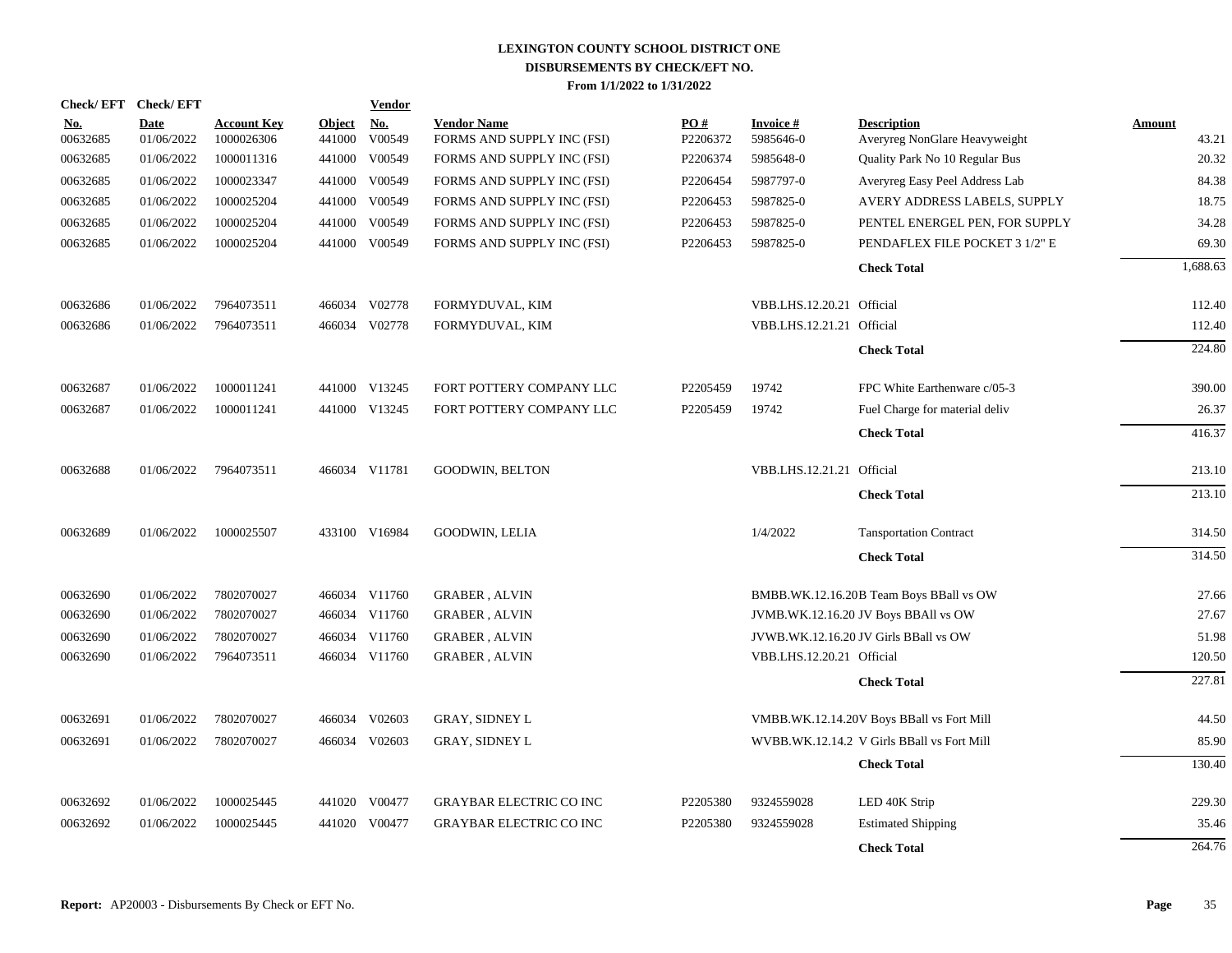|                        | Check/EFT Check/EFT       |                                  |                         | <b>Vendor</b> |                                                  |                 |                              |                                                     |                        |
|------------------------|---------------------------|----------------------------------|-------------------------|---------------|--------------------------------------------------|-----------------|------------------------------|-----------------------------------------------------|------------------------|
| <u>No.</u><br>00632685 | <b>Date</b><br>01/06/2022 | <b>Account Key</b><br>1000026306 | <b>Object</b><br>441000 | No.<br>V00549 | <b>Vendor Name</b><br>FORMS AND SUPPLY INC (FSI) | PO#<br>P2206372 | <b>Invoice#</b><br>5985646-0 | <b>Description</b><br>Averyreg NonGlare Heavyweight | <b>Amount</b><br>43.21 |
| 00632685               | 01/06/2022                | 1000011316                       | 441000                  | V00549        | FORMS AND SUPPLY INC (FSI)                       | P2206374        | 5985648-0                    | Quality Park No 10 Regular Bus                      | 20.32                  |
| 00632685               | 01/06/2022                | 1000023347                       | 441000                  | V00549        | FORMS AND SUPPLY INC (FSI)                       | P2206454        | 5987797-0                    | Averyreg Easy Peel Address Lab                      | 84.38                  |
| 00632685               | 01/06/2022                | 1000025204                       | 441000                  | V00549        | FORMS AND SUPPLY INC (FSI)                       | P2206453        | 5987825-0                    | AVERY ADDRESS LABELS, SUPPLY                        | 18.75                  |
| 00632685               | 01/06/2022                | 1000025204                       | 441000                  | V00549        | FORMS AND SUPPLY INC (FSI)                       | P2206453        | 5987825-0                    | PENTEL ENERGEL PEN, FOR SUPPLY                      | 34.28                  |
| 00632685               | 01/06/2022                | 1000025204                       |                         | 441000 V00549 | FORMS AND SUPPLY INC (FSI)                       | P2206453        | 5987825-0                    | PENDAFLEX FILE POCKET 3 1/2" E                      | 69.30                  |
|                        |                           |                                  |                         |               |                                                  |                 |                              | <b>Check Total</b>                                  | 1,688.63               |
| 00632686               | 01/06/2022                | 7964073511                       |                         | 466034 V02778 | FORMYDUVAL, KIM                                  |                 | VBB.LHS.12.20.21 Official    |                                                     | 112.40                 |
| 00632686               | 01/06/2022                | 7964073511                       |                         | 466034 V02778 | FORMYDUVAL, KIM                                  |                 | VBB.LHS.12.21.21 Official    |                                                     | 112.40                 |
|                        |                           |                                  |                         |               |                                                  |                 |                              | <b>Check Total</b>                                  | 224.80                 |
| 00632687               | 01/06/2022                | 1000011241                       |                         | 441000 V13245 | FORT POTTERY COMPANY LLC                         | P2205459        | 19742                        | FPC White Earthenware c/05-3                        | 390.00                 |
| 00632687               | 01/06/2022                | 1000011241                       |                         | 441000 V13245 | FORT POTTERY COMPANY LLC                         | P2205459        | 19742                        | Fuel Charge for material deliv                      | 26.37                  |
|                        |                           |                                  |                         |               |                                                  |                 |                              | <b>Check Total</b>                                  | 416.37                 |
| 00632688               | 01/06/2022                | 7964073511                       |                         | 466034 V11781 | <b>GOODWIN, BELTON</b>                           |                 | VBB.LHS.12.21.21 Official    |                                                     | 213.10                 |
|                        |                           |                                  |                         |               |                                                  |                 |                              | <b>Check Total</b>                                  | 213.10                 |
| 00632689               | 01/06/2022                | 1000025507                       |                         | 433100 V16984 | GOODWIN, LELIA                                   |                 | 1/4/2022                     | <b>Tansportation Contract</b>                       | 314.50                 |
|                        |                           |                                  |                         |               |                                                  |                 |                              | <b>Check Total</b>                                  | 314.50                 |
| 00632690               | 01/06/2022                | 7802070027                       |                         | 466034 V11760 | <b>GRABER, ALVIN</b>                             |                 |                              | BMBB.WK.12.16.20B Team Boys BBall vs OW             | 27.66                  |
| 00632690               | 01/06/2022                | 7802070027                       |                         | 466034 V11760 | <b>GRABER, ALVIN</b>                             |                 |                              | JVMB.WK.12.16.20 JV Boys BBAll vs OW                | 27.67                  |
| 00632690               | 01/06/2022                | 7802070027                       |                         | 466034 V11760 | <b>GRABER, ALVIN</b>                             |                 |                              | JVWB.WK.12.16.20 JV Girls BBall vs OW               | 51.98                  |
| 00632690               | 01/06/2022                | 7964073511                       |                         | 466034 V11760 | <b>GRABER, ALVIN</b>                             |                 | VBB.LHS.12.20.21 Official    |                                                     | 120.50                 |
|                        |                           |                                  |                         |               |                                                  |                 |                              | <b>Check Total</b>                                  | 227.81                 |
| 00632691               | 01/06/2022                | 7802070027                       |                         | 466034 V02603 | <b>GRAY, SIDNEY L</b>                            |                 |                              | VMBB.WK.12.14.20V Boys BBall vs Fort Mill           | 44.50                  |
| 00632691               | 01/06/2022                | 7802070027                       | 466034                  | V02603        | <b>GRAY, SIDNEY L</b>                            |                 |                              | WVBB.WK.12.14.2 V Girls BBall vs Fort Mill          | 85.90                  |
|                        |                           |                                  |                         |               |                                                  |                 |                              | <b>Check Total</b>                                  | 130.40                 |
| 00632692               | 01/06/2022                | 1000025445                       |                         | 441020 V00477 | <b>GRAYBAR ELECTRIC CO INC</b>                   | P2205380        | 9324559028                   | LED 40K Strip                                       | 229.30                 |
| 00632692               | 01/06/2022                | 1000025445                       | 441020                  | V00477        | <b>GRAYBAR ELECTRIC CO INC</b>                   | P2205380        | 9324559028                   | <b>Estimated Shipping</b>                           | 35.46                  |
|                        |                           |                                  |                         |               |                                                  |                 |                              | <b>Check Total</b>                                  | 264.76                 |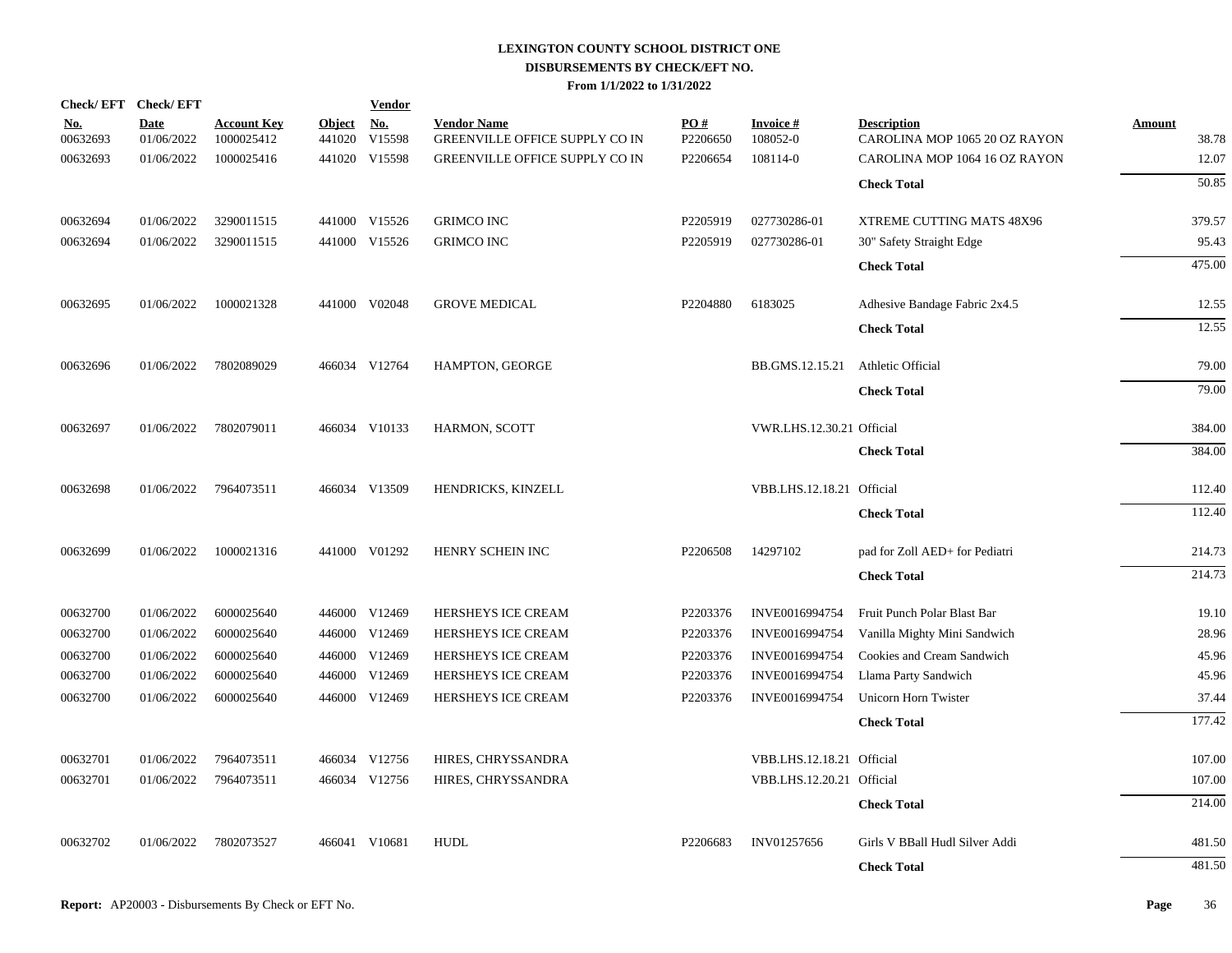| Check/EFT Check/EFT    |                           |                                  |                         | <b>Vendor</b>        |                                                      |                 |                             |                                                     |                        |
|------------------------|---------------------------|----------------------------------|-------------------------|----------------------|------------------------------------------------------|-----------------|-----------------------------|-----------------------------------------------------|------------------------|
| <u>No.</u><br>00632693 | <b>Date</b><br>01/06/2022 | <b>Account Key</b><br>1000025412 | <b>Object</b><br>441020 | <u>No.</u><br>V15598 | <b>Vendor Name</b><br>GREENVILLE OFFICE SUPPLY CO IN | PO#<br>P2206650 | <b>Invoice#</b><br>108052-0 | <b>Description</b><br>CAROLINA MOP 1065 20 OZ RAYON | <b>Amount</b><br>38.78 |
| 00632693               | 01/06/2022                | 1000025416                       |                         | 441020 V15598        | <b>GREENVILLE OFFICE SUPPLY CO IN</b>                | P2206654        | 108114-0                    | CAROLINA MOP 1064 16 OZ RAYON                       | 12.07                  |
|                        |                           |                                  |                         |                      |                                                      |                 |                             | <b>Check Total</b>                                  | 50.85                  |
| 00632694               | 01/06/2022                | 3290011515                       |                         | 441000 V15526        | <b>GRIMCO INC</b>                                    | P2205919        | 027730286-01                | XTREME CUTTING MATS 48X96                           | 379.57                 |
| 00632694               | 01/06/2022                | 3290011515                       |                         | 441000 V15526        | <b>GRIMCO INC</b>                                    | P2205919        | 027730286-01                | 30" Safety Straight Edge                            | 95.43                  |
|                        |                           |                                  |                         |                      |                                                      |                 |                             | <b>Check Total</b>                                  | 475.00                 |
| 00632695               | 01/06/2022                | 1000021328                       |                         | 441000 V02048        | <b>GROVE MEDICAL</b>                                 | P2204880        | 6183025                     | Adhesive Bandage Fabric 2x4.5                       | 12.55                  |
|                        |                           |                                  |                         |                      |                                                      |                 |                             | <b>Check Total</b>                                  | 12.55                  |
| 00632696               | 01/06/2022                | 7802089029                       |                         | 466034 V12764        | HAMPTON, GEORGE                                      |                 | BB.GMS.12.15.21             | <b>Athletic Official</b>                            | 79.00                  |
|                        |                           |                                  |                         |                      |                                                      |                 |                             | <b>Check Total</b>                                  | 79.00                  |
| 00632697               | 01/06/2022                | 7802079011                       |                         | 466034 V10133        | HARMON, SCOTT                                        |                 | VWR.LHS.12.30.21 Official   |                                                     | 384.00                 |
|                        |                           |                                  |                         |                      |                                                      |                 |                             | <b>Check Total</b>                                  | 384.00                 |
| 00632698               | 01/06/2022                | 7964073511                       |                         | 466034 V13509        | HENDRICKS, KINZELL                                   |                 | VBB.LHS.12.18.21 Official   |                                                     | 112.40                 |
|                        |                           |                                  |                         |                      |                                                      |                 |                             | <b>Check Total</b>                                  | 112.40                 |
| 00632699               | 01/06/2022                | 1000021316                       |                         | 441000 V01292        | HENRY SCHEIN INC                                     | P2206508        | 14297102                    | pad for Zoll AED+ for Pediatri                      | 214.73                 |
|                        |                           |                                  |                         |                      |                                                      |                 |                             | <b>Check Total</b>                                  | 214.73                 |
| 00632700               | 01/06/2022                | 6000025640                       |                         | 446000 V12469        | HERSHEYS ICE CREAM                                   | P2203376        | INVE0016994754              | Fruit Punch Polar Blast Bar                         | 19.10                  |
| 00632700               | 01/06/2022                | 6000025640                       |                         | 446000 V12469        | HERSHEYS ICE CREAM                                   | P2203376        | INVE0016994754              | Vanilla Mighty Mini Sandwich                        | 28.96                  |
| 00632700               | 01/06/2022                | 6000025640                       |                         | 446000 V12469        | HERSHEYS ICE CREAM                                   | P2203376        | INVE0016994754              | Cookies and Cream Sandwich                          | 45.96                  |
| 00632700               | 01/06/2022                | 6000025640                       |                         | 446000 V12469        | HERSHEYS ICE CREAM                                   | P2203376        | INVE0016994754              | Llama Party Sandwich                                | 45.96                  |
| 00632700               | 01/06/2022                | 6000025640                       |                         | 446000 V12469        | HERSHEYS ICE CREAM                                   | P2203376        | INVE0016994754              | Unicorn Horn Twister                                | 37.44                  |
|                        |                           |                                  |                         |                      |                                                      |                 |                             | <b>Check Total</b>                                  | 177.42                 |
| 00632701               | 01/06/2022                | 7964073511                       |                         | 466034 V12756        | HIRES, CHRYSSANDRA                                   |                 | VBB.LHS.12.18.21 Official   |                                                     | 107.00                 |
| 00632701               | 01/06/2022                | 7964073511                       |                         | 466034 V12756        | HIRES, CHRYSSANDRA                                   |                 | VBB.LHS.12.20.21 Official   |                                                     | 107.00                 |
|                        |                           |                                  |                         |                      |                                                      |                 |                             | <b>Check Total</b>                                  | 214.00                 |
| 00632702               | 01/06/2022                | 7802073527                       |                         | 466041 V10681        | <b>HUDL</b>                                          | P2206683        | INV01257656                 | Girls V BBall Hudl Silver Addi                      | 481.50                 |
|                        |                           |                                  |                         |                      |                                                      |                 |                             | <b>Check Total</b>                                  | 481.50                 |
|                        |                           |                                  |                         |                      |                                                      |                 |                             |                                                     |                        |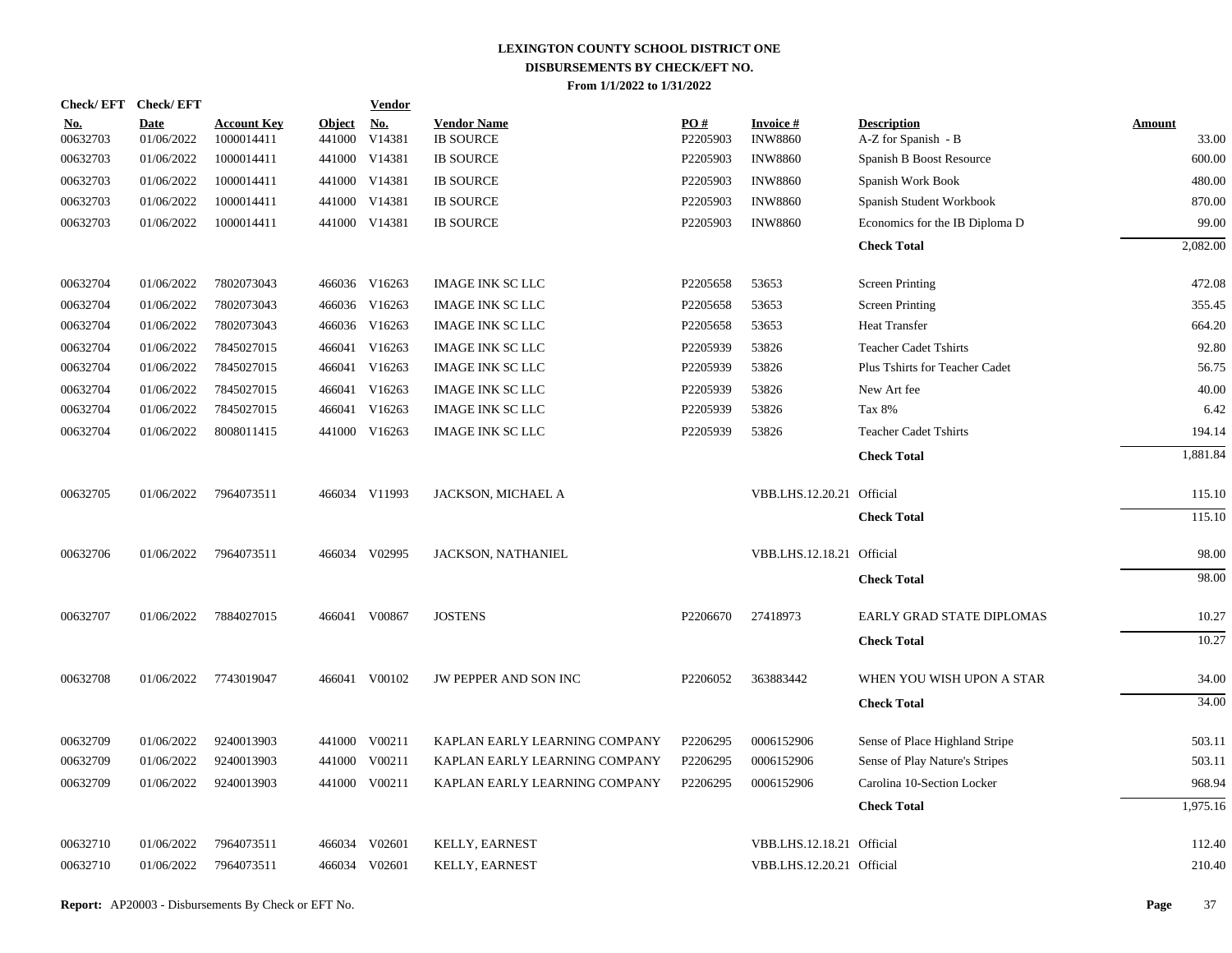| <b>Check/EFT</b>       | <b>Check/EFT</b>          |                                  |                         | <b>Vendor</b>        |                                        |                 |                                   |                                           |                        |
|------------------------|---------------------------|----------------------------------|-------------------------|----------------------|----------------------------------------|-----------------|-----------------------------------|-------------------------------------------|------------------------|
| <u>No.</u><br>00632703 | <b>Date</b><br>01/06/2022 | <b>Account Key</b><br>1000014411 | <b>Object</b><br>441000 | <u>No.</u><br>V14381 | <b>Vendor Name</b><br><b>IB SOURCE</b> | PQ#<br>P2205903 | <b>Invoice#</b><br><b>INW8860</b> | <b>Description</b><br>A-Z for Spanish - B | <b>Amount</b><br>33.00 |
| 00632703               | 01/06/2022                | 1000014411                       |                         | 441000 V14381        | <b>IB SOURCE</b>                       | P2205903        | <b>INW8860</b>                    | Spanish B Boost Resource                  | 600.00                 |
| 00632703               | 01/06/2022                | 1000014411                       |                         | 441000 V14381        | <b>IB SOURCE</b>                       | P2205903        | <b>INW8860</b>                    | Spanish Work Book                         | 480.00                 |
| 00632703               | 01/06/2022                | 1000014411                       |                         | 441000 V14381        | <b>IB SOURCE</b>                       | P2205903        | <b>INW8860</b>                    | Spanish Student Workbook                  | 870.00                 |
| 00632703               | 01/06/2022                | 1000014411                       |                         | 441000 V14381        | <b>IB SOURCE</b>                       | P2205903        | <b>INW8860</b>                    | Economics for the IB Diploma D            | 99.00                  |
|                        |                           |                                  |                         |                      |                                        |                 |                                   | <b>Check Total</b>                        | 2,082.00               |
| 00632704               | 01/06/2022                | 7802073043                       |                         | 466036 V16263        | <b>IMAGE INK SC LLC</b>                | P2205658        | 53653                             | <b>Screen Printing</b>                    | 472.08                 |
| 00632704               | 01/06/2022                | 7802073043                       |                         | 466036 V16263        | <b>IMAGE INK SC LLC</b>                | P2205658        | 53653                             | <b>Screen Printing</b>                    | 355.45                 |
| 00632704               | 01/06/2022                | 7802073043                       |                         | 466036 V16263        | IMAGE INK SC LLC                       | P2205658        | 53653                             | <b>Heat Transfer</b>                      | 664.20                 |
| 00632704               | 01/06/2022                | 7845027015                       | 466041                  | V16263               | <b>IMAGE INK SC LLC</b>                | P2205939        | 53826                             | <b>Teacher Cadet Tshirts</b>              | 92.80                  |
| 00632704               | 01/06/2022                | 7845027015                       |                         | 466041 V16263        | <b>IMAGE INK SC LLC</b>                | P2205939        | 53826                             | Plus Tshirts for Teacher Cadet            | 56.75                  |
| 00632704               | 01/06/2022                | 7845027015                       | 466041                  | V16263               | <b>IMAGE INK SC LLC</b>                | P2205939        | 53826                             | New Art fee                               | 40.00                  |
| 00632704               | 01/06/2022                | 7845027015                       |                         | 466041 V16263        | <b>IMAGE INK SC LLC</b>                | P2205939        | 53826                             | Tax 8%                                    | 6.42                   |
| 00632704               | 01/06/2022                | 8008011415                       |                         | 441000 V16263        | <b>IMAGE INK SC LLC</b>                | P2205939        | 53826                             | <b>Teacher Cadet Tshirts</b>              | 194.14                 |
|                        |                           |                                  |                         |                      |                                        |                 |                                   | <b>Check Total</b>                        | 1,881.84               |
| 00632705               | 01/06/2022                | 7964073511                       |                         | 466034 V11993        | JACKSON, MICHAEL A                     |                 | VBB.LHS.12.20.21 Official         |                                           | 115.10                 |
|                        |                           |                                  |                         |                      |                                        |                 |                                   | <b>Check Total</b>                        | 115.10                 |
| 00632706               | 01/06/2022                | 7964073511                       |                         | 466034 V02995        | JACKSON, NATHANIEL                     |                 | VBB.LHS.12.18.21 Official         |                                           | 98.00                  |
|                        |                           |                                  |                         |                      |                                        |                 |                                   | <b>Check Total</b>                        | 98.00                  |
| 00632707               | 01/06/2022                | 7884027015                       |                         | 466041 V00867        | <b>JOSTENS</b>                         | P2206670        | 27418973                          | <b>EARLY GRAD STATE DIPLOMAS</b>          | 10.27                  |
|                        |                           |                                  |                         |                      |                                        |                 |                                   | <b>Check Total</b>                        | 10.27                  |
| 00632708               | 01/06/2022                | 7743019047                       |                         | 466041 V00102        | JW PEPPER AND SON INC                  | P2206052        | 363883442                         | WHEN YOU WISH UPON A STAR                 | 34.00                  |
|                        |                           |                                  |                         |                      |                                        |                 |                                   | <b>Check Total</b>                        | 34.00                  |
| 00632709               | 01/06/2022                | 9240013903                       |                         | 441000 V00211        | KAPLAN EARLY LEARNING COMPANY          | P2206295        | 0006152906                        | Sense of Place Highland Stripe            | 503.11                 |
| 00632709               | 01/06/2022                | 9240013903                       |                         | 441000 V00211        | KAPLAN EARLY LEARNING COMPANY          | P2206295        | 0006152906                        | Sense of Play Nature's Stripes            | 503.11                 |
| 00632709               | 01/06/2022                | 9240013903                       |                         | 441000 V00211        | KAPLAN EARLY LEARNING COMPANY          | P2206295        | 0006152906                        | Carolina 10-Section Locker                | 968.94                 |
|                        |                           |                                  |                         |                      |                                        |                 |                                   | <b>Check Total</b>                        | 1,975.16               |
| 00632710               | 01/06/2022                | 7964073511                       | 466034                  | V02601               | KELLY, EARNEST                         |                 | VBB.LHS.12.18.21 Official         |                                           | 112.40                 |
| 00632710               | 01/06/2022                | 7964073511                       |                         | 466034 V02601        | KELLY, EARNEST                         |                 | VBB.LHS.12.20.21 Official         |                                           | 210.40                 |
|                        |                           |                                  |                         |                      |                                        |                 |                                   |                                           |                        |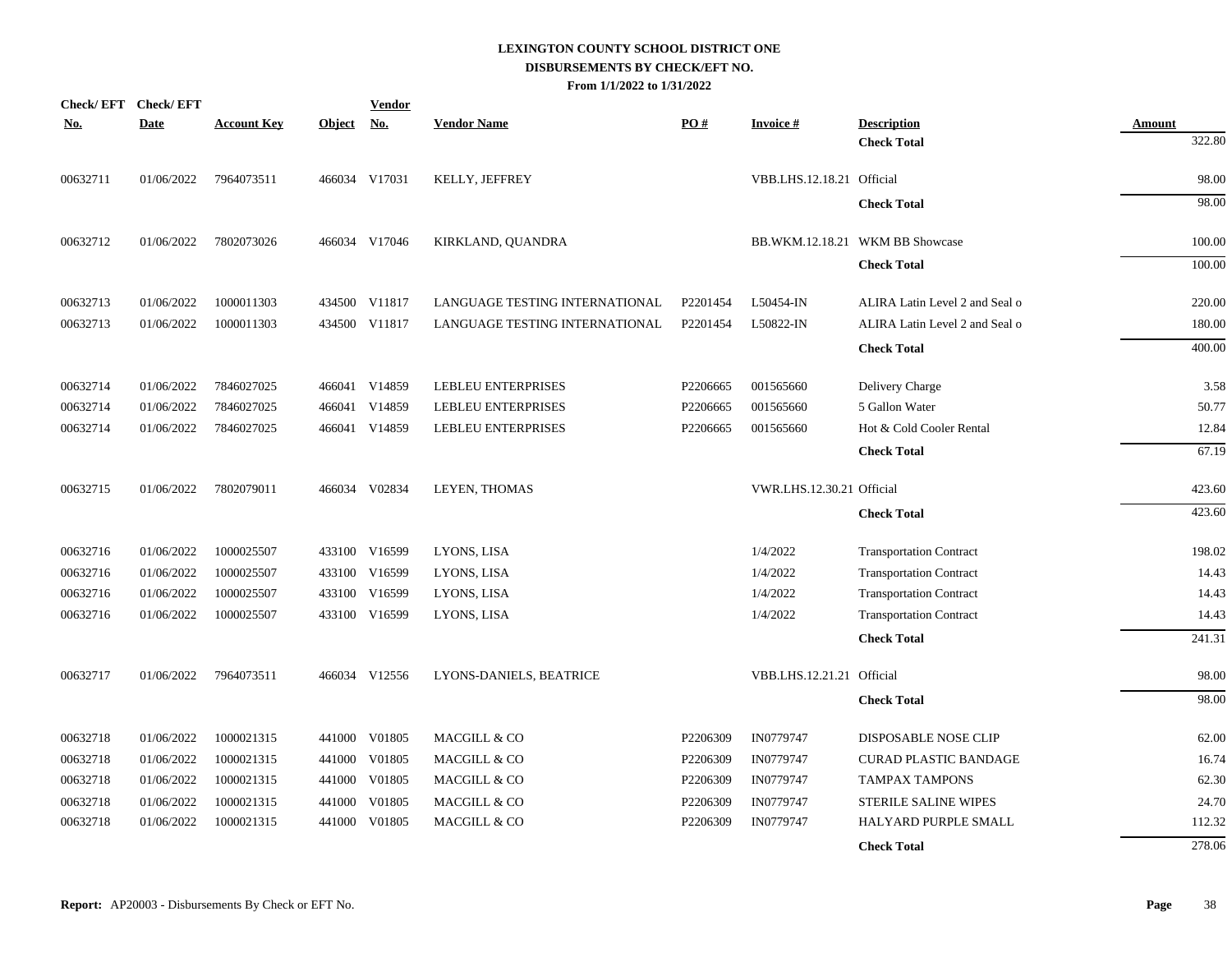| <b>Check/EFT</b> | <b>Check/EFT</b> |                    |               | <b>Vendor</b> |                                |          |                           |                                 |        |
|------------------|------------------|--------------------|---------------|---------------|--------------------------------|----------|---------------------------|---------------------------------|--------|
| <u>No.</u>       | <b>Date</b>      | <b>Account Key</b> | <b>Object</b> | <b>No.</b>    | <b>Vendor Name</b>             | PO#      | <b>Invoice#</b>           | <b>Description</b>              | Amount |
|                  |                  |                    |               |               |                                |          |                           | <b>Check Total</b>              | 322.80 |
| 00632711         | 01/06/2022       | 7964073511         |               | 466034 V17031 | KELLY, JEFFREY                 |          | VBB.LHS.12.18.21 Official |                                 | 98.00  |
|                  |                  |                    |               |               |                                |          |                           | <b>Check Total</b>              | 98.00  |
| 00632712         | 01/06/2022       | 7802073026         |               | 466034 V17046 | KIRKLAND, QUANDRA              |          |                           | BB.WKM.12.18.21 WKM BB Showcase | 100.00 |
|                  |                  |                    |               |               |                                |          |                           | <b>Check Total</b>              | 100.00 |
| 00632713         | 01/06/2022       | 1000011303         |               | 434500 V11817 | LANGUAGE TESTING INTERNATIONAL | P2201454 | L50454-IN                 | ALIRA Latin Level 2 and Seal o  | 220.00 |
| 00632713         | 01/06/2022       | 1000011303         |               | 434500 V11817 | LANGUAGE TESTING INTERNATIONAL | P2201454 | L50822-IN                 | ALIRA Latin Level 2 and Seal o  | 180.00 |
|                  |                  |                    |               |               |                                |          |                           | <b>Check Total</b>              | 400.00 |
| 00632714         | 01/06/2022       | 7846027025         |               | 466041 V14859 | <b>LEBLEU ENTERPRISES</b>      | P2206665 | 001565660                 | Delivery Charge                 | 3.58   |
| 00632714         | 01/06/2022       | 7846027025         | 466041        | V14859        | LEBLEU ENTERPRISES             | P2206665 | 001565660                 | 5 Gallon Water                  | 50.77  |
| 00632714         | 01/06/2022       | 7846027025         | 466041        | V14859        | <b>LEBLEU ENTERPRISES</b>      | P2206665 | 001565660                 | Hot & Cold Cooler Rental        | 12.84  |
|                  |                  |                    |               |               |                                |          |                           | <b>Check Total</b>              | 67.19  |
| 00632715         | 01/06/2022       | 7802079011         |               | 466034 V02834 | LEYEN, THOMAS                  |          | VWR.LHS.12.30.21 Official |                                 | 423.60 |
|                  |                  |                    |               |               |                                |          |                           | <b>Check Total</b>              | 423.60 |
| 00632716         | 01/06/2022       | 1000025507         |               | 433100 V16599 | LYONS, LISA                    |          | 1/4/2022                  | <b>Transportation Contract</b>  | 198.02 |
| 00632716         | 01/06/2022       | 1000025507         | 433100        | V16599        | LYONS, LISA                    |          | 1/4/2022                  | <b>Transportation Contract</b>  | 14.43  |
| 00632716         | 01/06/2022       | 1000025507         | 433100        | V16599        | LYONS, LISA                    |          | 1/4/2022                  | <b>Transportation Contract</b>  | 14.43  |
| 00632716         | 01/06/2022       | 1000025507         |               | 433100 V16599 | LYONS, LISA                    |          | 1/4/2022                  | <b>Transportation Contract</b>  | 14.43  |
|                  |                  |                    |               |               |                                |          |                           | <b>Check Total</b>              | 241.31 |
| 00632717         | 01/06/2022       | 7964073511         |               | 466034 V12556 | LYONS-DANIELS, BEATRICE        |          | VBB.LHS.12.21.21 Official |                                 | 98.00  |
|                  |                  |                    |               |               |                                |          |                           | <b>Check Total</b>              | 98.00  |
| 00632718         | 01/06/2022       | 1000021315         |               | 441000 V01805 | MACGILL & CO                   | P2206309 | IN0779747                 | DISPOSABLE NOSE CLIP            | 62.00  |
| 00632718         | 01/06/2022       | 1000021315         | 441000        | V01805        | MACGILL & CO                   | P2206309 | IN0779747                 | <b>CURAD PLASTIC BANDAGE</b>    | 16.74  |
| 00632718         | 01/06/2022       | 1000021315         | 441000        | V01805        | MACGILL & CO                   | P2206309 | IN0779747                 | <b>TAMPAX TAMPONS</b>           | 62.30  |
| 00632718         | 01/06/2022       | 1000021315         | 441000        | V01805        | MACGILL & CO                   | P2206309 | IN0779747                 | <b>STERILE SALINE WIPES</b>     | 24.70  |
| 00632718         | 01/06/2022       | 1000021315         | 441000        | V01805        | MACGILL & CO                   | P2206309 | IN0779747                 | HALYARD PURPLE SMALL            | 112.32 |
|                  |                  |                    |               |               |                                |          |                           | <b>Check Total</b>              | 278.06 |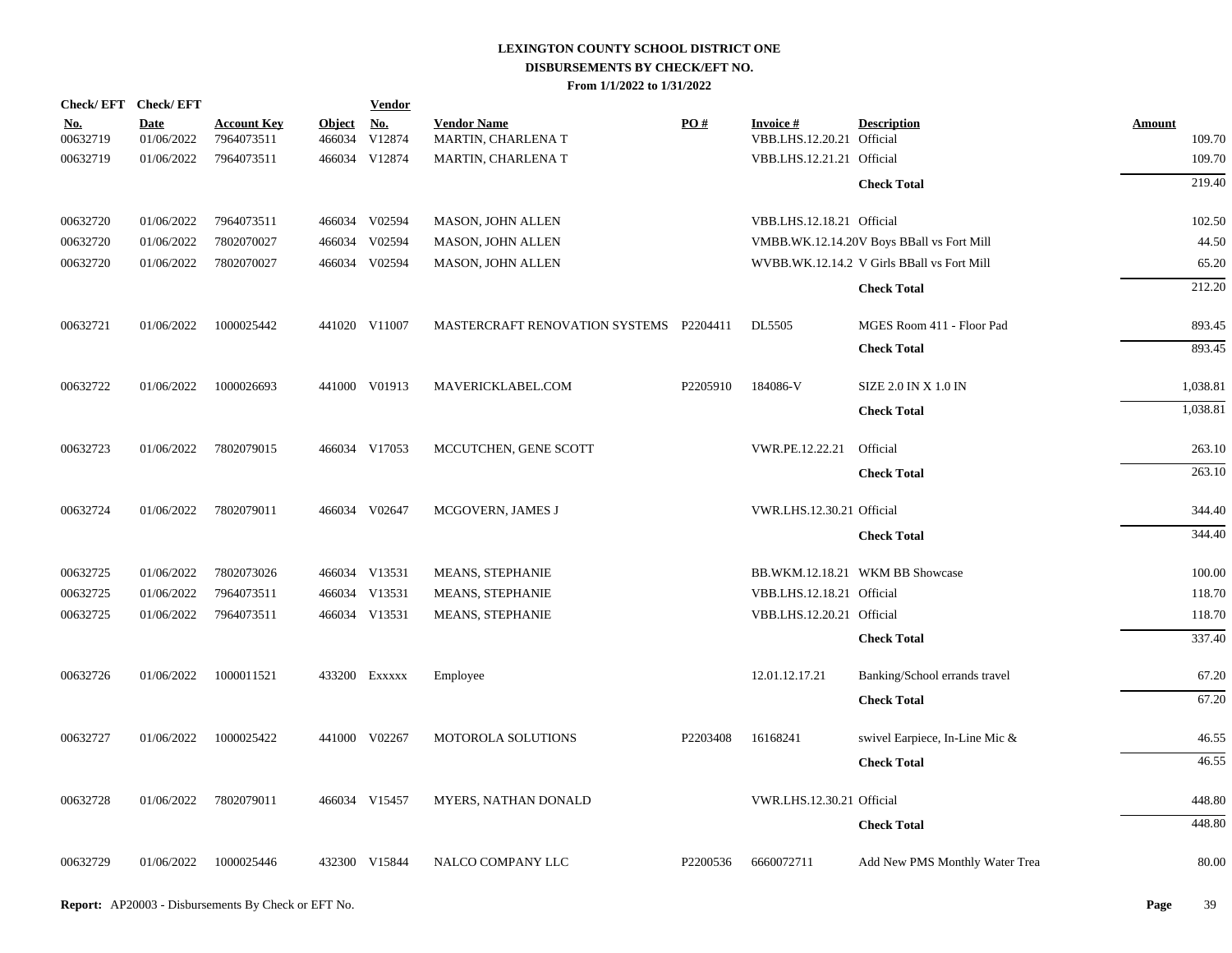|                        | Check/EFT Check/EFT       |                                  |                         | <b>Vendor</b>                         |                                          |          |                                              |                                            |                         |
|------------------------|---------------------------|----------------------------------|-------------------------|---------------------------------------|------------------------------------------|----------|----------------------------------------------|--------------------------------------------|-------------------------|
| <u>No.</u><br>00632719 | <b>Date</b><br>01/06/2022 | <b>Account Key</b><br>7964073511 | <b>Object</b><br>466034 | $\underline{\mathrm{No}}$ .<br>V12874 | <b>Vendor Name</b><br>MARTIN, CHARLENA T | PO#      | <b>Invoice#</b><br>VBB.LHS.12.20.21 Official | <b>Description</b>                         | <b>Amount</b><br>109.70 |
| 00632719               | 01/06/2022                | 7964073511                       |                         | 466034 V12874                         | MARTIN, CHARLENA T                       |          | VBB.LHS.12.21.21 Official                    |                                            | 109.70                  |
|                        |                           |                                  |                         |                                       |                                          |          |                                              | <b>Check Total</b>                         | 219.40                  |
| 00632720               | 01/06/2022                | 7964073511                       |                         | 466034 V02594                         | MASON, JOHN ALLEN                        |          | VBB.LHS.12.18.21 Official                    |                                            | 102.50                  |
| 00632720               | 01/06/2022                | 7802070027                       |                         | 466034 V02594                         | MASON, JOHN ALLEN                        |          |                                              | VMBB.WK.12.14.20V Boys BBall vs Fort Mill  | 44.50                   |
| 00632720               | 01/06/2022                | 7802070027                       |                         | 466034 V02594                         | <b>MASON, JOHN ALLEN</b>                 |          |                                              | WVBB.WK.12.14.2 V Girls BBall vs Fort Mill | 65.20                   |
|                        |                           |                                  |                         |                                       |                                          |          |                                              | <b>Check Total</b>                         | 212.20                  |
| 00632721               | 01/06/2022                | 1000025442                       |                         | 441020 V11007                         | MASTERCRAFT RENOVATION SYSTEMS P2204411  |          | DL5505                                       | MGES Room 411 - Floor Pad                  | 893.45                  |
|                        |                           |                                  |                         |                                       |                                          |          |                                              | <b>Check Total</b>                         | 893.45                  |
| 00632722               | 01/06/2022                | 1000026693                       |                         | 441000 V01913                         | MAVERICKLABEL.COM                        | P2205910 | 184086-V                                     | SIZE 2.0 IN X 1.0 IN                       | 1,038.81                |
|                        |                           |                                  |                         |                                       |                                          |          |                                              | <b>Check Total</b>                         | 1,038.81                |
| 00632723               | 01/06/2022                | 7802079015                       |                         | 466034 V17053                         | MCCUTCHEN, GENE SCOTT                    |          | VWR.PE.12.22.21                              | Official                                   | 263.10                  |
|                        |                           |                                  |                         |                                       |                                          |          |                                              | <b>Check Total</b>                         | 263.10                  |
| 00632724               | 01/06/2022                | 7802079011                       |                         | 466034 V02647                         | MCGOVERN, JAMES J                        |          | VWR.LHS.12.30.21 Official                    |                                            | 344.40                  |
|                        |                           |                                  |                         |                                       |                                          |          |                                              | <b>Check Total</b>                         | 344.40                  |
| 00632725               | 01/06/2022                | 7802073026                       |                         | 466034 V13531                         | MEANS, STEPHANIE                         |          |                                              | BB.WKM.12.18.21 WKM BB Showcase            | 100.00                  |
| 00632725               | 01/06/2022                | 7964073511                       |                         | 466034 V13531                         | MEANS, STEPHANIE                         |          | VBB.LHS.12.18.21 Official                    |                                            | 118.70                  |
| 00632725               | 01/06/2022                | 7964073511                       |                         | 466034 V13531                         | MEANS, STEPHANIE                         |          | VBB.LHS.12.20.21 Official                    |                                            | 118.70                  |
|                        |                           |                                  |                         |                                       |                                          |          |                                              | <b>Check Total</b>                         | 337.40                  |
| 00632726               | 01/06/2022                | 1000011521                       |                         | 433200 EXXXXX                         | Employee                                 |          | 12.01.12.17.21                               | Banking/School errands travel              | 67.20                   |
|                        |                           |                                  |                         |                                       |                                          |          |                                              | <b>Check Total</b>                         | 67.20                   |
| 00632727               | 01/06/2022                | 1000025422                       |                         | 441000 V02267                         | MOTOROLA SOLUTIONS                       | P2203408 | 16168241                                     | swivel Earpiece, In-Line Mic &             | 46.55                   |
|                        |                           |                                  |                         |                                       |                                          |          |                                              | <b>Check Total</b>                         | 46.55                   |
| 00632728               | 01/06/2022                | 7802079011                       |                         | 466034 V15457                         | MYERS, NATHAN DONALD                     |          | VWR.LHS.12.30.21 Official                    |                                            | 448.80                  |
|                        |                           |                                  |                         |                                       |                                          |          |                                              | <b>Check Total</b>                         | 448.80                  |
| 00632729               | 01/06/2022                | 1000025446                       |                         | 432300 V15844                         | NALCO COMPANY LLC                        | P2200536 | 6660072711                                   | Add New PMS Monthly Water Trea             | 80.00                   |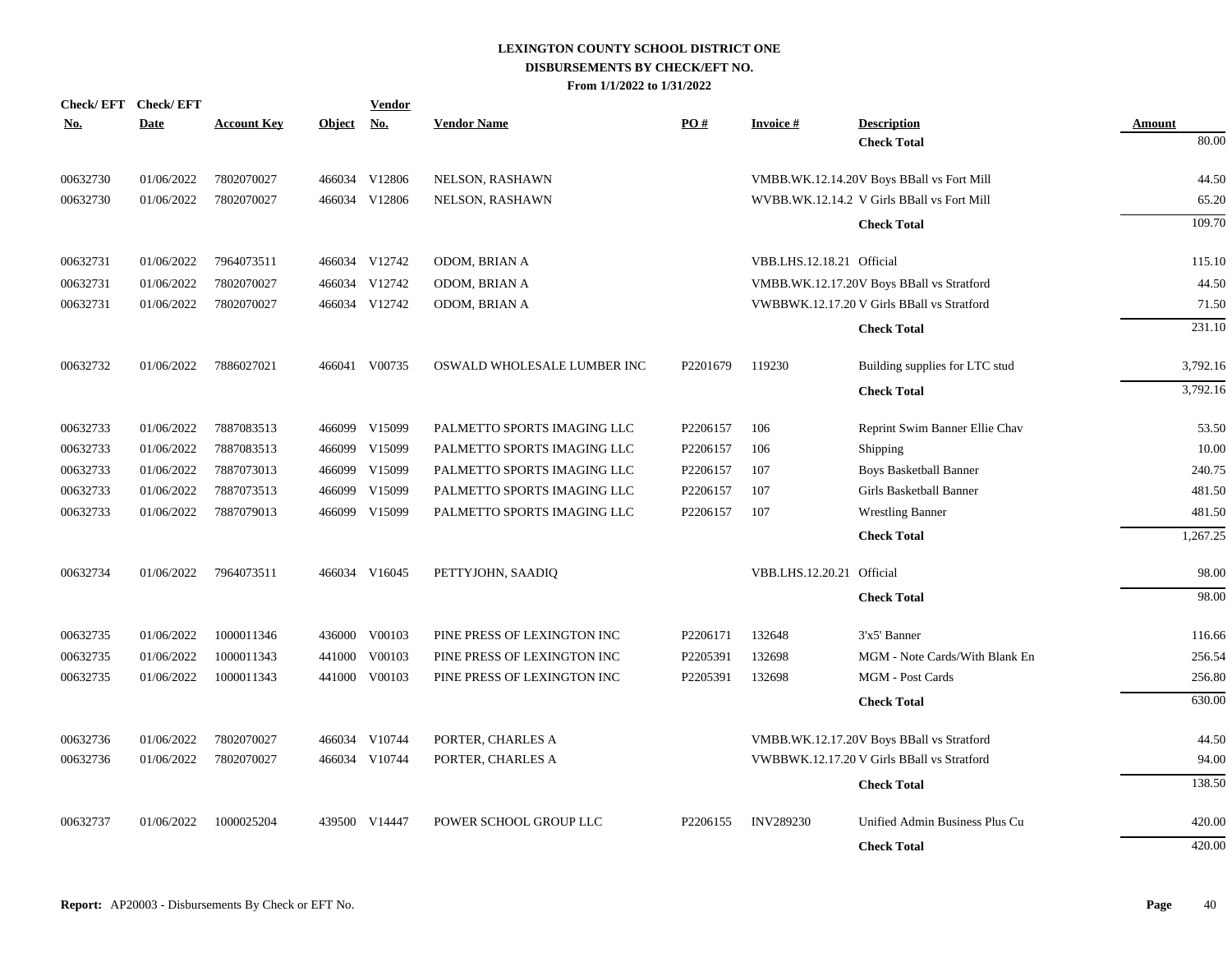| <b>No.</b> | Check/EFT Check/EFT<br><b>Date</b> | <b>Account Key</b> | <b>Object</b> | <b>Vendor</b><br><u>No.</u> | <b>Vendor Name</b>          | PQ#      | <b>Invoice#</b>           | <b>Description</b>                         | <b>Amount</b> |
|------------|------------------------------------|--------------------|---------------|-----------------------------|-----------------------------|----------|---------------------------|--------------------------------------------|---------------|
|            |                                    |                    |               |                             |                             |          |                           | <b>Check Total</b>                         | 80.00         |
| 00632730   | 01/06/2022                         | 7802070027         |               | 466034 V12806               | NELSON, RASHAWN             |          |                           | VMBB.WK.12.14.20V Boys BBall vs Fort Mill  | 44.50         |
| 00632730   | 01/06/2022                         | 7802070027         |               | 466034 V12806               | NELSON, RASHAWN             |          |                           | WVBB.WK.12.14.2 V Girls BBall vs Fort Mill | 65.20         |
|            |                                    |                    |               |                             |                             |          |                           | <b>Check Total</b>                         | 109.70        |
| 00632731   | 01/06/2022                         | 7964073511         |               | 466034 V12742               | ODOM, BRIAN A               |          | VBB.LHS.12.18.21 Official |                                            | 115.10        |
| 00632731   | 01/06/2022                         | 7802070027         |               | 466034 V12742               | ODOM, BRIAN A               |          |                           | VMBB.WK.12.17.20V Boys BBall vs Stratford  | 44.50         |
| 00632731   | 01/06/2022                         | 7802070027         |               | 466034 V12742               | ODOM, BRIAN A               |          |                           | VWBBWK.12.17.20 V Girls BBall vs Stratford | 71.50         |
|            |                                    |                    |               |                             |                             |          |                           | <b>Check Total</b>                         | 231.10        |
| 00632732   | 01/06/2022                         | 7886027021         |               | 466041 V00735               | OSWALD WHOLESALE LUMBER INC | P2201679 | 119230                    | Building supplies for LTC stud             | 3,792.16      |
|            |                                    |                    |               |                             |                             |          |                           | <b>Check Total</b>                         | 3,792.16      |
| 00632733   | 01/06/2022                         | 7887083513         |               | 466099 V15099               | PALMETTO SPORTS IMAGING LLC | P2206157 | 106                       | Reprint Swim Banner Ellie Chav             | 53.50         |
| 00632733   | 01/06/2022                         | 7887083513         |               | 466099 V15099               | PALMETTO SPORTS IMAGING LLC | P2206157 | 106                       | <b>Shipping</b>                            | 10.00         |
| 00632733   | 01/06/2022                         | 7887073013         |               | 466099 V15099               | PALMETTO SPORTS IMAGING LLC | P2206157 | 107                       | <b>Boys Basketball Banner</b>              | 240.75        |
| 00632733   | 01/06/2022                         | 7887073513         |               | 466099 V15099               | PALMETTO SPORTS IMAGING LLC | P2206157 | 107                       | Girls Basketball Banner                    | 481.50        |
| 00632733   | 01/06/2022                         | 7887079013         |               | 466099 V15099               | PALMETTO SPORTS IMAGING LLC | P2206157 | 107                       | <b>Wrestling Banner</b>                    | 481.50        |
|            |                                    |                    |               |                             |                             |          |                           | <b>Check Total</b>                         | 1,267.25      |
| 00632734   | 01/06/2022                         | 7964073511         |               | 466034 V16045               | PETTYJOHN, SAADIQ           |          | VBB.LHS.12.20.21 Official |                                            | 98.00         |
|            |                                    |                    |               |                             |                             |          |                           | <b>Check Total</b>                         | 98.00         |
| 00632735   | 01/06/2022                         | 1000011346         |               | 436000 V00103               | PINE PRESS OF LEXINGTON INC | P2206171 | 132648                    | 3'x5' Banner                               | 116.66        |
| 00632735   | 01/06/2022                         | 1000011343         | 441000        | V00103                      | PINE PRESS OF LEXINGTON INC | P2205391 | 132698                    | MGM - Note Cards/With Blank En             | 256.54        |
| 00632735   | 01/06/2022                         | 1000011343         |               | 441000 V00103               | PINE PRESS OF LEXINGTON INC | P2205391 | 132698                    | MGM - Post Cards                           | 256.80        |
|            |                                    |                    |               |                             |                             |          |                           | <b>Check Total</b>                         | 630.00        |
| 00632736   | 01/06/2022                         | 7802070027         |               | 466034 V10744               | PORTER, CHARLES A           |          |                           | VMBB.WK.12.17.20V Boys BBall vs Stratford  | 44.50         |
| 00632736   | 01/06/2022                         | 7802070027         |               | 466034 V10744               | PORTER, CHARLES A           |          |                           | VWBBWK.12.17.20 V Girls BBall vs Stratford | 94.00         |
|            |                                    |                    |               |                             |                             |          |                           | <b>Check Total</b>                         | 138.50        |
| 00632737   | 01/06/2022                         | 1000025204         |               | 439500 V14447               | POWER SCHOOL GROUP LLC      | P2206155 | <b>INV289230</b>          | Unified Admin Business Plus Cu             | 420.00        |
|            |                                    |                    |               |                             |                             |          |                           | <b>Check Total</b>                         | 420.00        |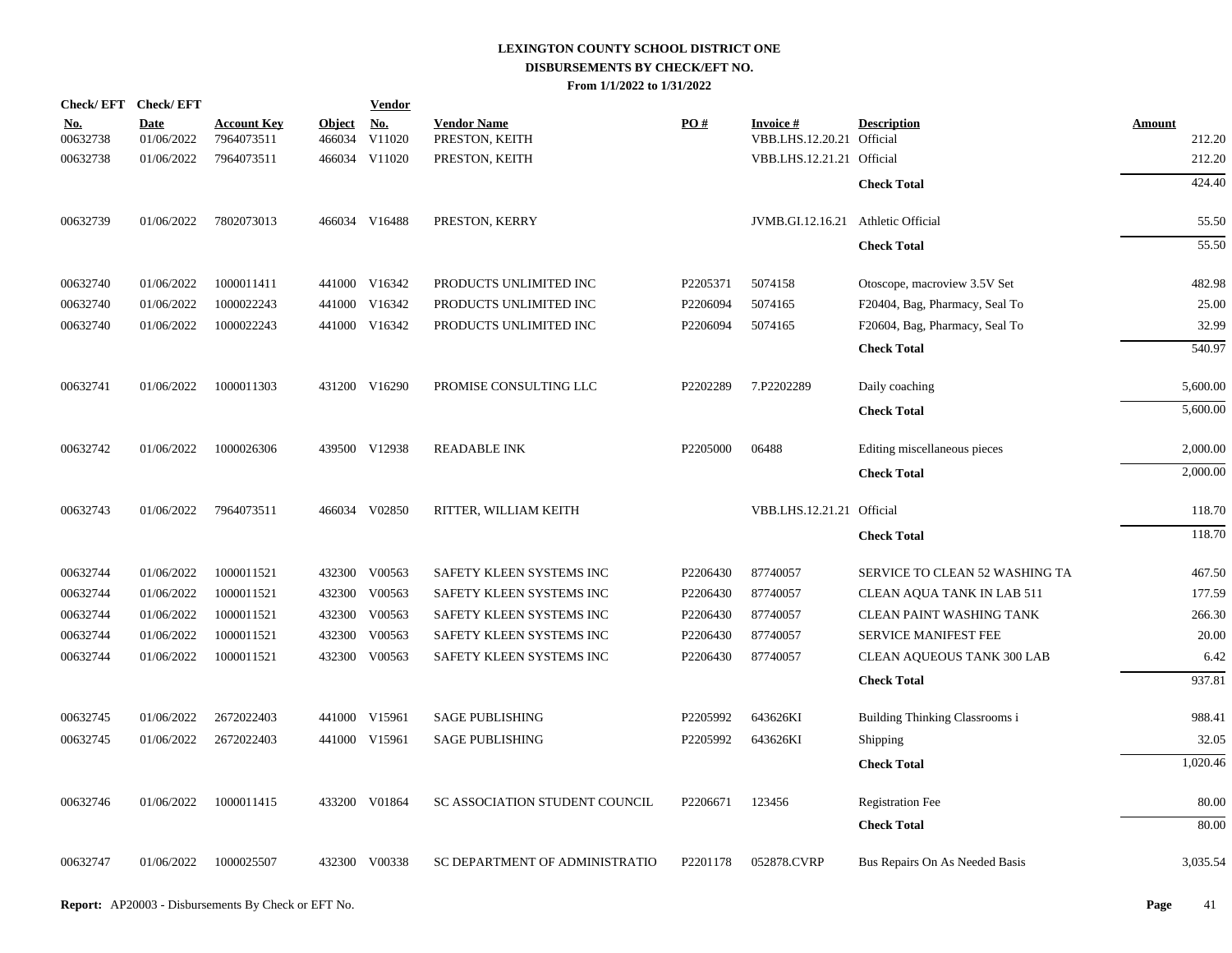| <b>Check/EFT</b>       | <b>Check/EFT</b>          |                                  |                         | <b>Vendor</b> |                                      |          |                                              |                                |                         |
|------------------------|---------------------------|----------------------------------|-------------------------|---------------|--------------------------------------|----------|----------------------------------------------|--------------------------------|-------------------------|
| <u>No.</u><br>00632738 | <b>Date</b><br>01/06/2022 | <b>Account Key</b><br>7964073511 | <b>Object</b><br>466034 | No.<br>V11020 | <b>Vendor Name</b><br>PRESTON, KEITH | PO#      | <b>Invoice#</b><br>VBB.LHS.12.20.21 Official | <b>Description</b>             | <b>Amount</b><br>212.20 |
| 00632738               | 01/06/2022                | 7964073511                       |                         | 466034 V11020 | PRESTON, KEITH                       |          | VBB.LHS.12.21.21 Official                    |                                | 212.20                  |
|                        |                           |                                  |                         |               |                                      |          |                                              |                                | 424.40                  |
|                        |                           |                                  |                         |               |                                      |          |                                              | <b>Check Total</b>             |                         |
| 00632739               | 01/06/2022                | 7802073013                       |                         | 466034 V16488 | PRESTON, KERRY                       |          | JVMB.GI.12.16.21                             | <b>Athletic Official</b>       | 55.50                   |
|                        |                           |                                  |                         |               |                                      |          |                                              | <b>Check Total</b>             | 55.50                   |
| 00632740               | 01/06/2022                | 1000011411                       |                         | 441000 V16342 | PRODUCTS UNLIMITED INC               | P2205371 | 5074158                                      | Otoscope, macroview 3.5V Set   | 482.98                  |
| 00632740               | 01/06/2022                | 1000022243                       |                         | 441000 V16342 | PRODUCTS UNLIMITED INC               | P2206094 | 5074165                                      | F20404, Bag, Pharmacy, Seal To | 25.00                   |
| 00632740               | 01/06/2022                | 1000022243                       |                         | 441000 V16342 | PRODUCTS UNLIMITED INC               | P2206094 | 5074165                                      | F20604, Bag, Pharmacy, Seal To | 32.99                   |
|                        |                           |                                  |                         |               |                                      |          |                                              | <b>Check Total</b>             | 540.97                  |
| 00632741               | 01/06/2022                | 1000011303                       |                         | 431200 V16290 | PROMISE CONSULTING LLC               | P2202289 | 7.P2202289                                   | Daily coaching                 | 5,600.00                |
|                        |                           |                                  |                         |               |                                      |          |                                              | <b>Check Total</b>             | 5,600.00                |
|                        |                           |                                  |                         |               |                                      |          |                                              |                                |                         |
| 00632742               | 01/06/2022                | 1000026306                       |                         | 439500 V12938 | <b>READABLE INK</b>                  | P2205000 | 06488                                        | Editing miscellaneous pieces   | 2,000.00                |
|                        |                           |                                  |                         |               |                                      |          |                                              | <b>Check Total</b>             | 2,000.00                |
| 00632743               | 01/06/2022                | 7964073511                       |                         | 466034 V02850 | RITTER, WILLIAM KEITH                |          | VBB.LHS.12.21.21 Official                    |                                | 118.70                  |
|                        |                           |                                  |                         |               |                                      |          |                                              | <b>Check Total</b>             | 118.70                  |
| 00632744               | 01/06/2022                | 1000011521                       |                         | 432300 V00563 | SAFETY KLEEN SYSTEMS INC             | P2206430 | 87740057                                     | SERVICE TO CLEAN 52 WASHING TA | 467.50                  |
| 00632744               | 01/06/2022                | 1000011521                       |                         | 432300 V00563 | SAFETY KLEEN SYSTEMS INC             | P2206430 | 87740057                                     | CLEAN AQUA TANK IN LAB 511     | 177.59                  |
| 00632744               | 01/06/2022                | 1000011521                       |                         | 432300 V00563 | SAFETY KLEEN SYSTEMS INC             | P2206430 | 87740057                                     | CLEAN PAINT WASHING TANK       | 266.30                  |
| 00632744               | 01/06/2022                | 1000011521                       |                         | 432300 V00563 | SAFETY KLEEN SYSTEMS INC             | P2206430 | 87740057                                     | SERVICE MANIFEST FEE           | 20.00                   |
| 00632744               | 01/06/2022                | 1000011521                       |                         | 432300 V00563 | SAFETY KLEEN SYSTEMS INC             | P2206430 | 87740057                                     | CLEAN AQUEOUS TANK 300 LAB     | 6.42                    |
|                        |                           |                                  |                         |               |                                      |          |                                              | <b>Check Total</b>             | 937.81                  |
| 00632745               | 01/06/2022                | 2672022403                       |                         | 441000 V15961 | <b>SAGE PUBLISHING</b>               | P2205992 | 643626KI                                     | Building Thinking Classrooms i | 988.41                  |
| 00632745               | 01/06/2022                | 2672022403                       |                         | 441000 V15961 | <b>SAGE PUBLISHING</b>               | P2205992 | 643626KI                                     | Shipping                       | 32.05                   |
|                        |                           |                                  |                         |               |                                      |          |                                              | <b>Check Total</b>             | 1,020.46                |
| 00632746               | 01/06/2022                | 1000011415                       |                         | 433200 V01864 | SC ASSOCIATION STUDENT COUNCIL       | P2206671 | 123456                                       | <b>Registration Fee</b>        | 80.00                   |
|                        |                           |                                  |                         |               |                                      |          |                                              | <b>Check Total</b>             | 80.00                   |
|                        |                           |                                  |                         |               |                                      |          |                                              |                                |                         |
| 00632747               | 01/06/2022                | 1000025507                       |                         | 432300 V00338 | SC DEPARTMENT OF ADMINISTRATIO       | P2201178 | 052878.CVRP                                  | Bus Repairs On As Needed Basis | 3,035.54                |
|                        |                           |                                  |                         |               |                                      |          |                                              |                                |                         |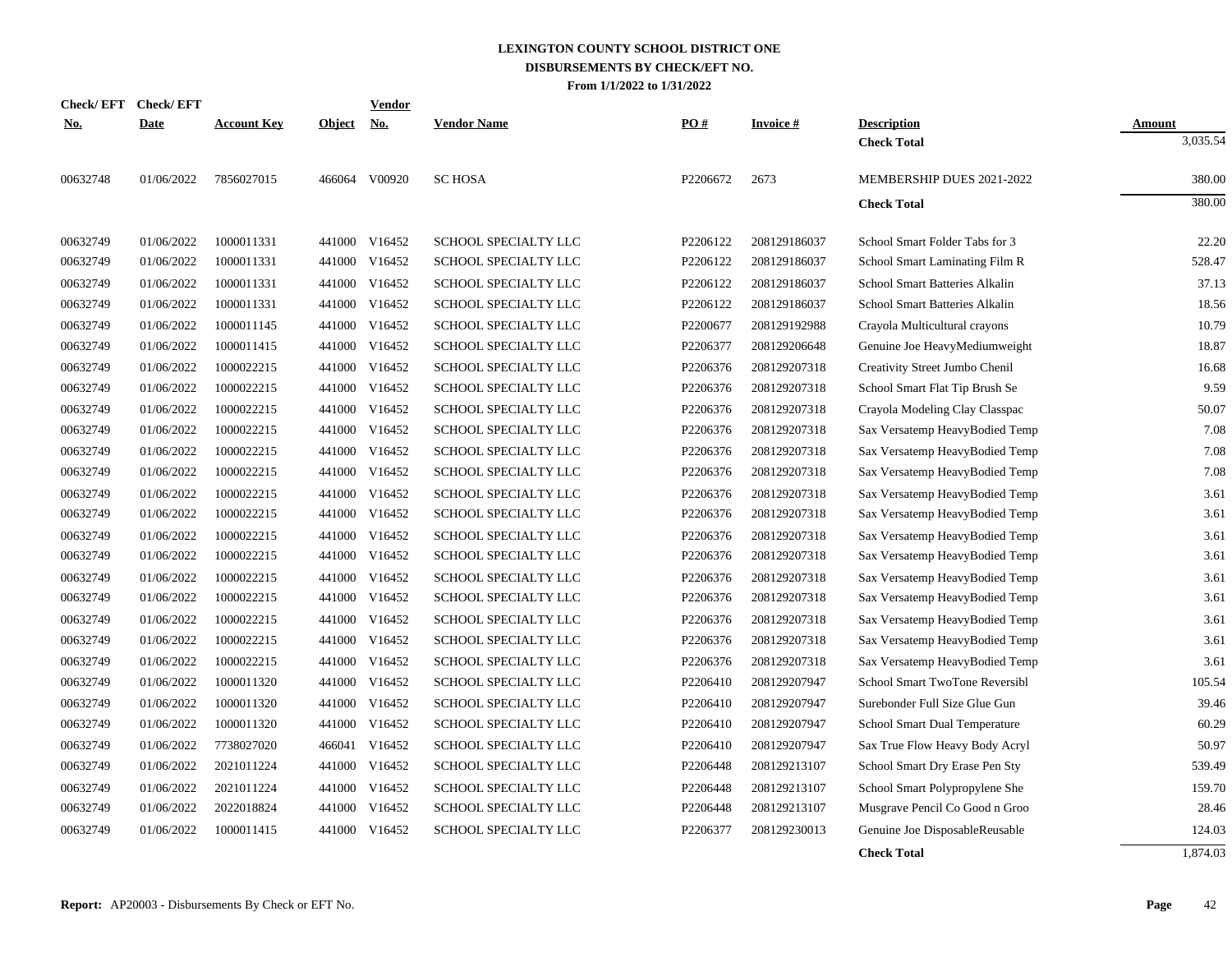|            | Check/EFT Check/EFT |                    |               | <u>Vendor</u>             |                             |          |                 |                                          |                    |
|------------|---------------------|--------------------|---------------|---------------------------|-----------------------------|----------|-----------------|------------------------------------------|--------------------|
| <u>No.</u> | <b>Date</b>         | <b>Account Key</b> | <b>Object</b> | $\underline{\mathrm{No}}$ | <b>Vendor Name</b>          | PO#      | <b>Invoice#</b> | <b>Description</b><br><b>Check Total</b> | Amount<br>3,035.54 |
| 00632748   | 01/06/2022          | 7856027015         |               | 466064 V00920             | <b>SC HOSA</b>              | P2206672 | 2673            | MEMBERSHIP DUES 2021-2022                | 380.00             |
|            |                     |                    |               |                           |                             |          |                 | <b>Check Total</b>                       | 380.00             |
| 00632749   | 01/06/2022          | 1000011331         |               | 441000 V16452             | <b>SCHOOL SPECIALTY LLC</b> | P2206122 | 208129186037    | School Smart Folder Tabs for 3           | 22.20              |
| 00632749   | 01/06/2022          | 1000011331         | 441000        | V16452                    | SCHOOL SPECIALTY LLC        | P2206122 | 208129186037    | School Smart Laminating Film R           | 528.47             |
| 00632749   | 01/06/2022          | 1000011331         |               | 441000 V16452             | SCHOOL SPECIALTY LLC        | P2206122 | 208129186037    | School Smart Batteries Alkalin           | 37.13              |
| 00632749   | 01/06/2022          | 1000011331         |               | 441000 V16452             | SCHOOL SPECIALTY LLC        | P2206122 | 208129186037    | School Smart Batteries Alkalin           | 18.56              |
| 00632749   | 01/06/2022          | 1000011145         |               | 441000 V16452             | SCHOOL SPECIALTY LLC        | P2200677 | 208129192988    | Crayola Multicultural crayons            | 10.79              |
| 00632749   | 01/06/2022          | 1000011415         |               | 441000 V16452             | SCHOOL SPECIALTY LLC        | P2206377 | 208129206648    | Genuine Joe HeavyMediumweight            | 18.87              |
| 00632749   | 01/06/2022          | 1000022215         |               | 441000 V16452             | SCHOOL SPECIALTY LLC        | P2206376 | 208129207318    | Creativity Street Jumbo Chenil           | 16.68              |
| 00632749   | 01/06/2022          | 1000022215         |               | 441000 V16452             | SCHOOL SPECIALTY LLC        | P2206376 | 208129207318    | School Smart Flat Tip Brush Se           | 9.59               |
| 00632749   | 01/06/2022          | 1000022215         |               | 441000 V16452             | SCHOOL SPECIALTY LLC        | P2206376 | 208129207318    | Crayola Modeling Clay Classpac           | 50.07              |
| 00632749   | 01/06/2022          | 1000022215         |               | 441000 V16452             | SCHOOL SPECIALTY LLC        | P2206376 | 208129207318    | Sax Versatemp HeavyBodied Temp           | 7.08               |
| 00632749   | 01/06/2022          | 1000022215         | 441000        | V16452                    | SCHOOL SPECIALTY LLC        | P2206376 | 208129207318    | Sax Versatemp HeavyBodied Temp           | 7.08               |
| 00632749   | 01/06/2022          | 1000022215         |               | 441000 V16452             | SCHOOL SPECIALTY LLC        | P2206376 | 208129207318    | Sax Versatemp HeavyBodied Temp           | 7.08               |
| 00632749   | 01/06/2022          | 1000022215         |               | 441000 V16452             | SCHOOL SPECIALTY LLC        | P2206376 | 208129207318    | Sax Versatemp HeavyBodied Temp           | 3.61               |
| 00632749   | 01/06/2022          | 1000022215         |               | 441000 V16452             | <b>SCHOOL SPECIALTY LLC</b> | P2206376 | 208129207318    | Sax Versatemp HeavyBodied Temp           | 3.61               |
| 00632749   | 01/06/2022          | 1000022215         |               | 441000 V16452             | SCHOOL SPECIALTY LLC        | P2206376 | 208129207318    | Sax Versatemp HeavyBodied Temp           | 3.61               |
| 00632749   | 01/06/2022          | 1000022215         |               | 441000 V16452             | SCHOOL SPECIALTY LLC        | P2206376 | 208129207318    | Sax Versatemp HeavyBodied Temp           | 3.61               |
| 00632749   | 01/06/2022          | 1000022215         |               | 441000 V16452             | SCHOOL SPECIALTY LLC        | P2206376 | 208129207318    | Sax Versatemp HeavyBodied Temp           | 3.61               |
| 00632749   | 01/06/2022          | 1000022215         |               | 441000 V16452             | SCHOOL SPECIALTY LLC        | P2206376 | 208129207318    | Sax Versatemp HeavyBodied Temp           | 3.61               |
| 00632749   | 01/06/2022          | 1000022215         |               | 441000 V16452             | SCHOOL SPECIALTY LLC        | P2206376 | 208129207318    | Sax Versatemp HeavyBodied Temp           | 3.61               |
| 00632749   | 01/06/2022          | 1000022215         |               | 441000 V16452             | SCHOOL SPECIALTY LLC        | P2206376 | 208129207318    | Sax Versatemp HeavyBodied Temp           | 3.61               |
| 00632749   | 01/06/2022          | 1000022215         |               | 441000 V16452             | SCHOOL SPECIALTY LLC        | P2206376 | 208129207318    | Sax Versatemp HeavyBodied Temp           | 3.61               |
| 00632749   | 01/06/2022          | 1000011320         |               | 441000 V16452             | SCHOOL SPECIALTY LLC        | P2206410 | 208129207947    | School Smart TwoTone Reversibl           | 105.54             |
| 00632749   | 01/06/2022          | 1000011320         |               | 441000 V16452             | SCHOOL SPECIALTY LLC        | P2206410 | 208129207947    | Surebonder Full Size Glue Gun            | 39.46              |
| 00632749   | 01/06/2022          | 1000011320         |               | 441000 V16452             | SCHOOL SPECIALTY LLC        | P2206410 | 208129207947    | School Smart Dual Temperature            | 60.29              |
| 00632749   | 01/06/2022          | 7738027020         | 466041        | V16452                    | SCHOOL SPECIALTY LLC        | P2206410 | 208129207947    | Sax True Flow Heavy Body Acryl           | 50.97              |
| 00632749   | 01/06/2022          | 2021011224         |               | 441000 V16452             | SCHOOL SPECIALTY LLC        | P2206448 | 208129213107    | School Smart Dry Erase Pen Sty           | 539.49             |
| 00632749   | 01/06/2022          | 2021011224         |               | 441000 V16452             | SCHOOL SPECIALTY LLC        | P2206448 | 208129213107    | School Smart Polypropylene She           | 159.70             |
| 00632749   | 01/06/2022          | 2022018824         |               | 441000 V16452             | SCHOOL SPECIALTY LLC        | P2206448 | 208129213107    | Musgrave Pencil Co Good n Groo           | 28.46              |
| 00632749   | 01/06/2022          | 1000011415         |               | 441000 V16452             | SCHOOL SPECIALTY LLC        | P2206377 | 208129230013    | Genuine Joe DisposableReusable           | 124.03             |
|            |                     |                    |               |                           |                             |          |                 | <b>Check Total</b>                       | 1.874.03           |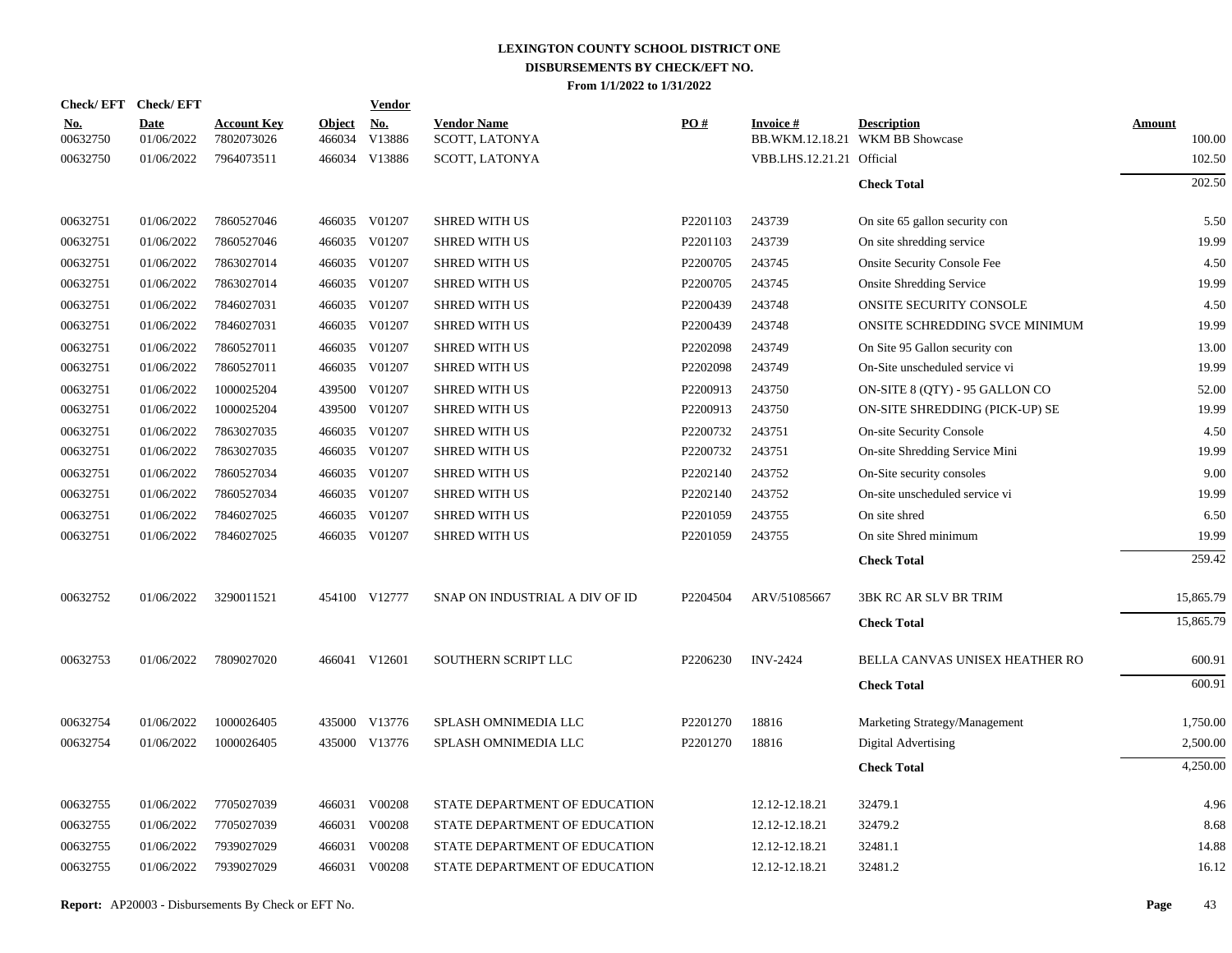| Check/EFT Check/EFT    |                           |                                  |                         | Vendor               |                                      |          |                           |                                                       |                  |
|------------------------|---------------------------|----------------------------------|-------------------------|----------------------|--------------------------------------|----------|---------------------------|-------------------------------------------------------|------------------|
| <u>No.</u><br>00632750 | <b>Date</b><br>01/06/2022 | <b>Account Key</b><br>7802073026 | <b>Object</b><br>466034 | <b>No.</b><br>V13886 | <b>Vendor Name</b><br>SCOTT, LATONYA | PO#      | Invoice #                 | <b>Description</b><br>BB.WKM.12.18.21 WKM BB Showcase | Amount<br>100.00 |
| 00632750               | 01/06/2022                | 7964073511                       |                         | 466034 V13886        | SCOTT, LATONYA                       |          | VBB.LHS.12.21.21 Official |                                                       | 102.50           |
|                        |                           |                                  |                         |                      |                                      |          |                           | <b>Check Total</b>                                    | 202.50           |
| 00632751               | 01/06/2022                | 7860527046                       |                         | 466035 V01207        | <b>SHRED WITH US</b>                 | P2201103 | 243739                    | On site 65 gallon security con                        | 5.50             |
| 00632751               | 01/06/2022                | 7860527046                       |                         | 466035 V01207        | <b>SHRED WITH US</b>                 | P2201103 | 243739                    | On site shredding service                             | 19.99            |
| 00632751               | 01/06/2022                | 7863027014                       | 466035                  | V01207               | <b>SHRED WITH US</b>                 | P2200705 | 243745                    | <b>Onsite Security Console Fee</b>                    | 4.50             |
| 00632751               | 01/06/2022                | 7863027014                       |                         | 466035 V01207        | <b>SHRED WITH US</b>                 | P2200705 | 243745                    | <b>Onsite Shredding Service</b>                       | 19.99            |
| 00632751               | 01/06/2022                | 7846027031                       |                         | 466035 V01207        | <b>SHRED WITH US</b>                 | P2200439 | 243748                    | ONSITE SECURITY CONSOLE                               | 4.50             |
| 00632751               | 01/06/2022                | 7846027031                       | 466035                  | V01207               | <b>SHRED WITH US</b>                 | P2200439 | 243748                    | ONSITE SCHREDDING SVCE MINIMUM                        | 19.99            |
| 00632751               | 01/06/2022                | 7860527011                       | 466035                  | V01207               | <b>SHRED WITH US</b>                 | P2202098 | 243749                    | On Site 95 Gallon security con                        | 13.00            |
| 00632751               | 01/06/2022                | 7860527011                       | 466035                  | V01207               | <b>SHRED WITH US</b>                 | P2202098 | 243749                    | On-Site unscheduled service vi                        | 19.99            |
| 00632751               | 01/06/2022                | 1000025204                       | 439500                  | V01207               | <b>SHRED WITH US</b>                 | P2200913 | 243750                    | ON-SITE 8 (QTY) - 95 GALLON CO                        | 52.00            |
| 00632751               | 01/06/2022                | 1000025204                       | 439500                  | V01207               | <b>SHRED WITH US</b>                 | P2200913 | 243750                    | ON-SITE SHREDDING (PICK-UP) SE                        | 19.99            |
| 00632751               | 01/06/2022                | 7863027035                       | 466035                  | V01207               | <b>SHRED WITH US</b>                 | P2200732 | 243751                    | <b>On-site Security Console</b>                       | 4.50             |
| 00632751               | 01/06/2022                | 7863027035                       | 466035                  | V01207               | <b>SHRED WITH US</b>                 | P2200732 | 243751                    | On-site Shredding Service Mini                        | 19.99            |
| 00632751               | 01/06/2022                | 7860527034                       | 466035                  | V01207               | <b>SHRED WITH US</b>                 | P2202140 | 243752                    | On-Site security consoles                             | 9.00             |
| 00632751               | 01/06/2022                | 7860527034                       |                         | 466035 V01207        | <b>SHRED WITH US</b>                 | P2202140 | 243752                    | On-site unscheduled service vi                        | 19.99            |
| 00632751               | 01/06/2022                | 7846027025                       | 466035                  | V01207               | <b>SHRED WITH US</b>                 | P2201059 | 243755                    | On site shred                                         | 6.50             |
| 00632751               | 01/06/2022                | 7846027025                       |                         | 466035 V01207        | <b>SHRED WITH US</b>                 | P2201059 | 243755                    | On site Shred minimum                                 | 19.99            |
|                        |                           |                                  |                         |                      |                                      |          |                           | <b>Check Total</b>                                    | 259.42           |
| 00632752               | 01/06/2022                | 3290011521                       |                         | 454100 V12777        | SNAP ON INDUSTRIAL A DIV OF ID       | P2204504 | ARV/51085667              | <b>3BK RC AR SLV BR TRIM</b>                          | 15,865.79        |
|                        |                           |                                  |                         |                      |                                      |          |                           | <b>Check Total</b>                                    | 15,865.79        |
| 00632753               | 01/06/2022                | 7809027020                       |                         | 466041 V12601        | SOUTHERN SCRIPT LLC                  | P2206230 | <b>INV-2424</b>           | BELLA CANVAS UNISEX HEATHER RO                        | 600.91           |
|                        |                           |                                  |                         |                      |                                      |          |                           | <b>Check Total</b>                                    | 600.91           |
| 00632754               | 01/06/2022                | 1000026405                       |                         | 435000 V13776        | SPLASH OMNIMEDIA LLC                 | P2201270 | 18816                     | Marketing Strategy/Management                         | 1,750.00         |
| 00632754               | 01/06/2022                | 1000026405                       |                         | 435000 V13776        | SPLASH OMNIMEDIA LLC                 | P2201270 | 18816                     | Digital Advertising                                   | 2,500.00         |
|                        |                           |                                  |                         |                      |                                      |          |                           | <b>Check Total</b>                                    | 4,250.00         |
| 00632755               | 01/06/2022                | 7705027039                       | 466031                  | V00208               | STATE DEPARTMENT OF EDUCATION        |          | 12.12-12.18.21            | 32479.1                                               | 4.96             |
| 00632755               | 01/06/2022                | 7705027039                       |                         | 466031 V00208        | STATE DEPARTMENT OF EDUCATION        |          | 12.12-12.18.21            | 32479.2                                               | 8.68             |
| 00632755               | 01/06/2022                | 7939027029                       | 466031                  | V00208               | STATE DEPARTMENT OF EDUCATION        |          | 12.12-12.18.21            | 32481.1                                               | 14.88            |
| 00632755               | 01/06/2022                | 7939027029                       |                         | 466031 V00208        | STATE DEPARTMENT OF EDUCATION        |          | 12.12-12.18.21            | 32481.2                                               | 16.12            |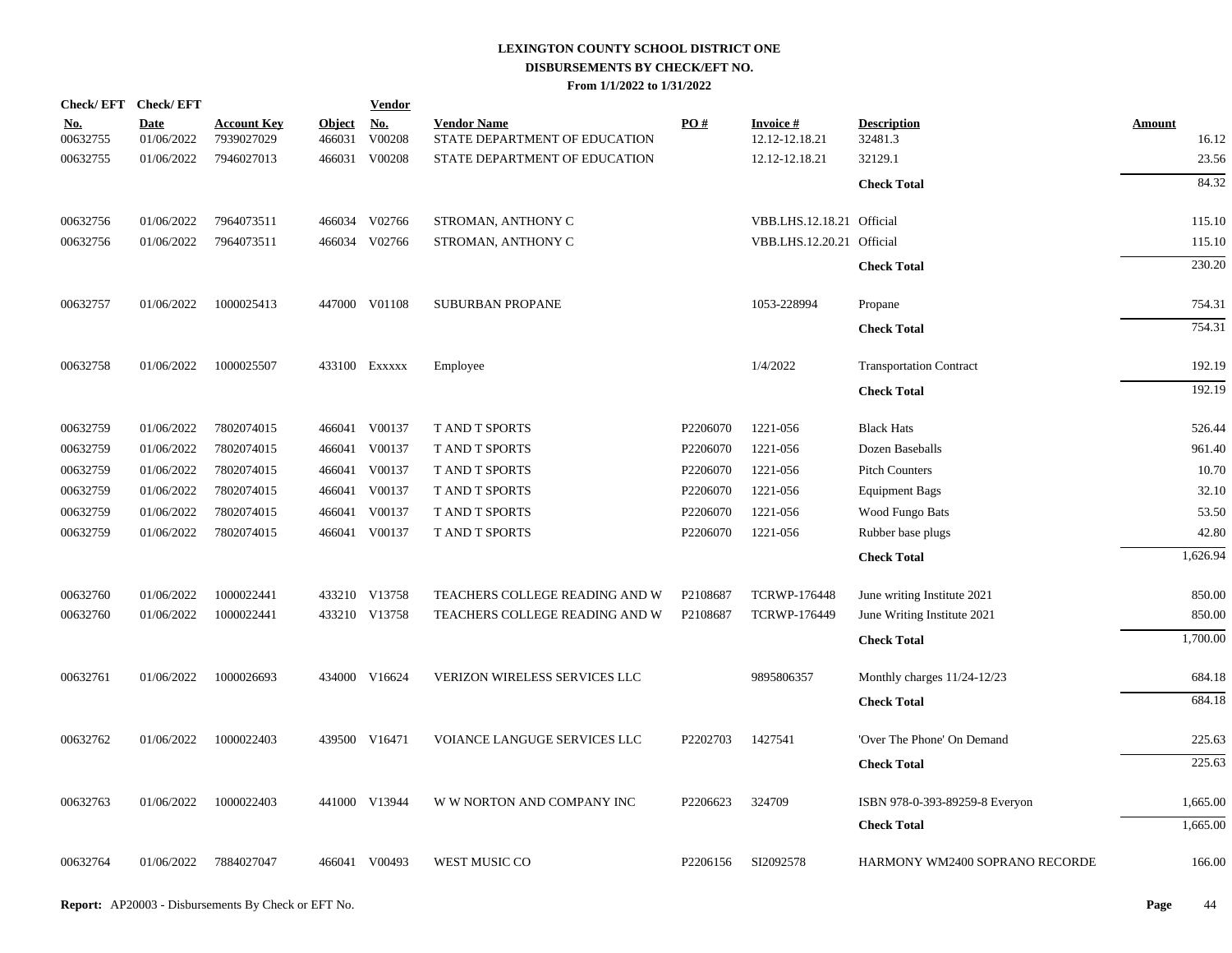| Check/EFT Check/EFT    |                           |                                  |                         | <b>Vendor</b>        |                                                     |          |                                   |                                |                        |
|------------------------|---------------------------|----------------------------------|-------------------------|----------------------|-----------------------------------------------------|----------|-----------------------------------|--------------------------------|------------------------|
| <u>No.</u><br>00632755 | <b>Date</b><br>01/06/2022 | <b>Account Key</b><br>7939027029 | <b>Object</b><br>466031 | <u>No.</u><br>V00208 | <b>Vendor Name</b><br>STATE DEPARTMENT OF EDUCATION | PO#      | <b>Invoice#</b><br>12.12-12.18.21 | <b>Description</b><br>32481.3  | <b>Amount</b><br>16.12 |
| 00632755               | 01/06/2022                | 7946027013                       | 466031                  | V00208               | STATE DEPARTMENT OF EDUCATION                       |          | 12.12-12.18.21                    | 32129.1                        | 23.56                  |
|                        |                           |                                  |                         |                      |                                                     |          |                                   | <b>Check Total</b>             | 84.32                  |
| 00632756               | 01/06/2022                | 7964073511                       |                         | 466034 V02766        | STROMAN, ANTHONY C                                  |          | VBB.LHS.12.18.21 Official         |                                | 115.10                 |
| 00632756               | 01/06/2022                | 7964073511                       | 466034                  | V02766               | STROMAN, ANTHONY C                                  |          | VBB.LHS.12.20.21 Official         |                                | 115.10                 |
|                        |                           |                                  |                         |                      |                                                     |          |                                   | <b>Check Total</b>             | 230.20                 |
| 00632757               | 01/06/2022                | 1000025413                       |                         | 447000 V01108        | <b>SUBURBAN PROPANE</b>                             |          | 1053-228994                       | Propane                        | 754.31                 |
|                        |                           |                                  |                         |                      |                                                     |          |                                   | <b>Check Total</b>             | 754.31                 |
| 00632758               | 01/06/2022                | 1000025507                       |                         | 433100 EXXXXX        | Employee                                            |          | 1/4/2022                          | <b>Transportation Contract</b> | 192.19                 |
|                        |                           |                                  |                         |                      |                                                     |          |                                   | <b>Check Total</b>             | 192.19                 |
| 00632759               | 01/06/2022                | 7802074015                       |                         | 466041 V00137        | T AND T SPORTS                                      | P2206070 | 1221-056                          | <b>Black Hats</b>              | 526.44                 |
| 00632759               | 01/06/2022                | 7802074015                       |                         | 466041 V00137        | <b>T AND T SPORTS</b>                               | P2206070 | 1221-056                          | Dozen Baseballs                | 961.40                 |
| 00632759               | 01/06/2022                | 7802074015                       |                         | 466041 V00137        | T AND T SPORTS                                      | P2206070 | 1221-056                          | <b>Pitch Counters</b>          | 10.70                  |
| 00632759               | 01/06/2022                | 7802074015                       |                         | 466041 V00137        | T AND T SPORTS                                      | P2206070 | 1221-056                          | <b>Equipment Bags</b>          | 32.10                  |
| 00632759               | 01/06/2022                | 7802074015                       | 466041                  | V00137               | T AND T SPORTS                                      | P2206070 | 1221-056                          | Wood Fungo Bats                | 53.50                  |
| 00632759               | 01/06/2022                | 7802074015                       |                         | 466041 V00137        | T AND T SPORTS                                      | P2206070 | 1221-056                          | Rubber base plugs              | 42.80                  |
|                        |                           |                                  |                         |                      |                                                     |          |                                   | <b>Check Total</b>             | 1,626.94               |
| 00632760               | 01/06/2022                | 1000022441                       |                         | 433210 V13758        | TEACHERS COLLEGE READING AND W                      | P2108687 | <b>TCRWP-176448</b>               | June writing Institute 2021    | 850.00                 |
| 00632760               | 01/06/2022                | 1000022441                       |                         | 433210 V13758        | TEACHERS COLLEGE READING AND W                      | P2108687 | <b>TCRWP-176449</b>               | June Writing Institute 2021    | 850.00                 |
|                        |                           |                                  |                         |                      |                                                     |          |                                   | <b>Check Total</b>             | 1,700.00               |
| 00632761               | 01/06/2022                | 1000026693                       |                         | 434000 V16624        | VERIZON WIRELESS SERVICES LLC                       |          | 9895806357                        | Monthly charges 11/24-12/23    | 684.18                 |
|                        |                           |                                  |                         |                      |                                                     |          |                                   | <b>Check Total</b>             | 684.18                 |
| 00632762               | 01/06/2022                | 1000022403                       |                         | 439500 V16471        | VOIANCE LANGUGE SERVICES LLC                        | P2202703 | 1427541                           | 'Over The Phone' On Demand     | 225.63                 |
|                        |                           |                                  |                         |                      |                                                     |          |                                   | <b>Check Total</b>             | 225.63                 |
| 00632763               | 01/06/2022                | 1000022403                       |                         | 441000 V13944        | W W NORTON AND COMPANY INC                          | P2206623 | 324709                            | ISBN 978-0-393-89259-8 Everyon | 1,665.00               |
|                        |                           |                                  |                         |                      |                                                     |          |                                   | <b>Check Total</b>             | 1,665.00               |
| 00632764               | 01/06/2022                | 7884027047                       |                         | 466041 V00493        | WEST MUSIC CO                                       | P2206156 | SI2092578                         | HARMONY WM2400 SOPRANO RECORDE | 166.00                 |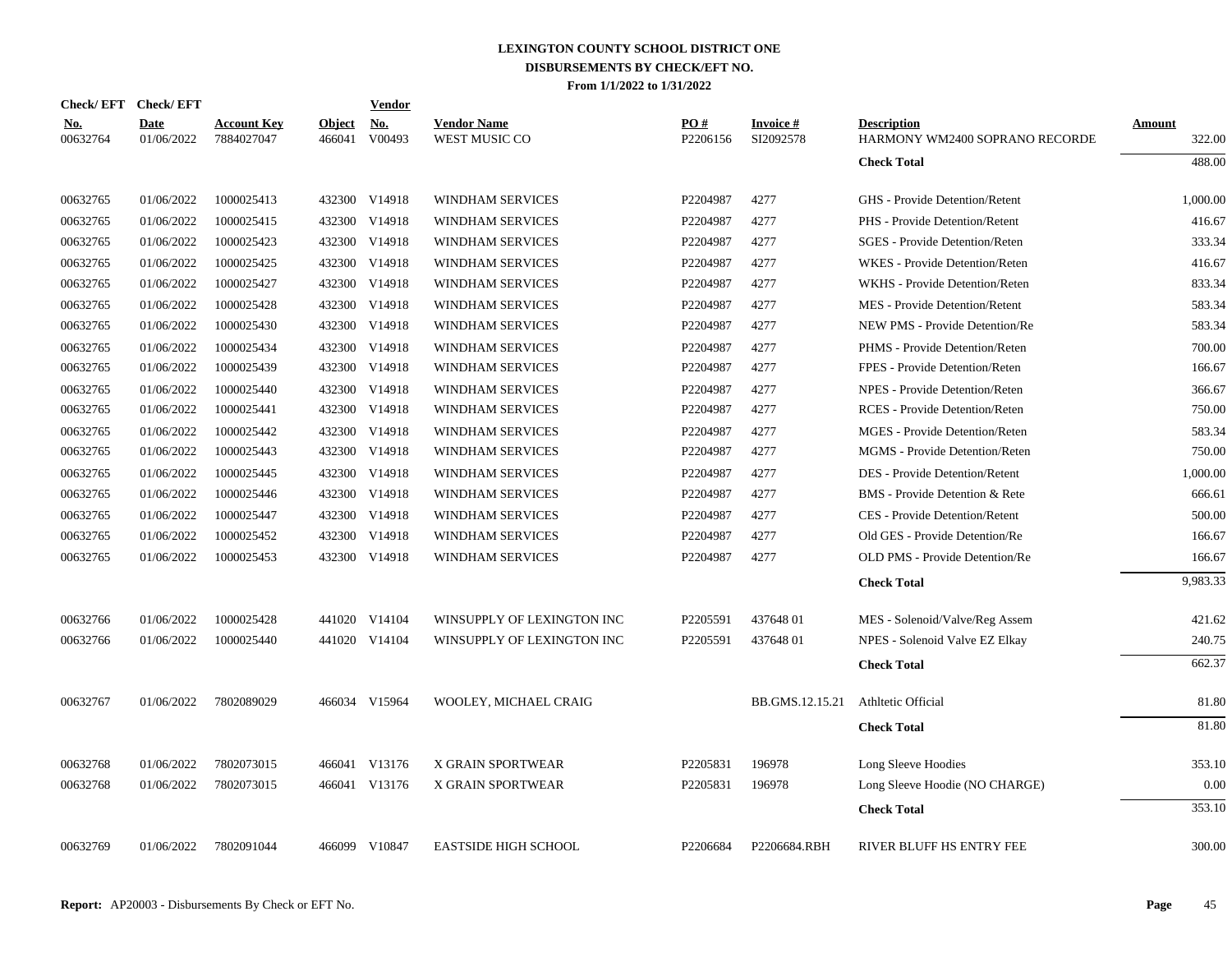|                        | Check/EFT Check/EFT       |                                  |                         | Vendor               |                                            |                 |                              |                                                      |                  |
|------------------------|---------------------------|----------------------------------|-------------------------|----------------------|--------------------------------------------|-----------------|------------------------------|------------------------------------------------------|------------------|
| <b>No.</b><br>00632764 | <b>Date</b><br>01/06/2022 | <b>Account Key</b><br>7884027047 | <b>Object</b><br>466041 | <u>No.</u><br>V00493 | <b>Vendor Name</b><br><b>WEST MUSIC CO</b> | PO#<br>P2206156 | <b>Invoice#</b><br>SI2092578 | <b>Description</b><br>HARMONY WM2400 SOPRANO RECORDE | Amount<br>322.00 |
|                        |                           |                                  |                         |                      |                                            |                 |                              | <b>Check Total</b>                                   | 488.00           |
| 00632765               | 01/06/2022                | 1000025413                       |                         | 432300 V14918        | WINDHAM SERVICES                           | P2204987        | 4277                         | GHS - Provide Detention/Retent                       | 1,000.00         |
| 00632765               | 01/06/2022                | 1000025415                       |                         | 432300 V14918        | <b>WINDHAM SERVICES</b>                    | P2204987        | 4277                         | PHS - Provide Detention/Retent                       | 416.67           |
| 00632765               | 01/06/2022                | 1000025423                       |                         | 432300 V14918        | WINDHAM SERVICES                           | P2204987        | 4277                         | <b>SGES</b> - Provide Detention/Reten                | 333.34           |
| 00632765               | 01/06/2022                | 1000025425                       | 432300                  | V14918               | <b>WINDHAM SERVICES</b>                    | P2204987        | 4277                         | WKES - Provide Detention/Reten                       | 416.67           |
| 00632765               | 01/06/2022                | 1000025427                       | 432300                  | V14918               | WINDHAM SERVICES                           | P2204987        | 4277                         | WKHS - Provide Detention/Reten                       | 833.34           |
| 00632765               | 01/06/2022                | 1000025428                       | 432300                  | V14918               | <b>WINDHAM SERVICES</b>                    | P2204987        | 4277                         | MES - Provide Detention/Retent                       | 583.34           |
| 00632765               | 01/06/2022                | 1000025430                       | 432300                  | V14918               | <b>WINDHAM SERVICES</b>                    | P2204987        | 4277                         | <b>NEW PMS - Provide Detention/Re</b>                | 583.34           |
| 00632765               | 01/06/2022                | 1000025434                       | 432300                  | V14918               | WINDHAM SERVICES                           | P2204987        | 4277                         | PHMS - Provide Detention/Reten                       | 700.00           |
| 00632765               | 01/06/2022                | 1000025439                       | 432300                  | V14918               | WINDHAM SERVICES                           | P2204987        | 4277                         | FPES - Provide Detention/Reten                       | 166.67           |
| 00632765               | 01/06/2022                | 1000025440                       | 432300                  | V14918               | WINDHAM SERVICES                           | P2204987        | 4277                         | NPES - Provide Detention/Reten                       | 366.67           |
| 00632765               | 01/06/2022                | 1000025441                       | 432300                  | V14918               | <b>WINDHAM SERVICES</b>                    | P2204987        | 4277                         | <b>RCES</b> - Provide Detention/Reten                | 750.00           |
| 00632765               | 01/06/2022                | 1000025442                       | 432300                  | V14918               | WINDHAM SERVICES                           | P2204987        | 4277                         | MGES - Provide Detention/Reten                       | 583.34           |
| 00632765               | 01/06/2022                | 1000025443                       | 432300                  | V14918               | WINDHAM SERVICES                           | P2204987        | 4277                         | MGMS - Provide Detention/Reten                       | 750.00           |
| 00632765               | 01/06/2022                | 1000025445                       | 432300                  | V14918               | WINDHAM SERVICES                           | P2204987        | 4277                         | DES - Provide Detention/Retent                       | 1,000.00         |
| 00632765               | 01/06/2022                | 1000025446                       | 432300                  | V14918               | <b>WINDHAM SERVICES</b>                    | P2204987        | 4277                         | BMS - Provide Detention & Rete                       | 666.61           |
| 00632765               | 01/06/2022                | 1000025447                       |                         | 432300 V14918        | WINDHAM SERVICES                           | P2204987        | 4277                         | CES - Provide Detention/Retent                       | 500.00           |
| 00632765               | 01/06/2022                | 1000025452                       | 432300                  | V14918               | WINDHAM SERVICES                           | P2204987        | 4277                         | Old GES - Provide Detention/Re                       | 166.67           |
| 00632765               | 01/06/2022                | 1000025453                       |                         | 432300 V14918        | <b>WINDHAM SERVICES</b>                    | P2204987        | 4277                         | OLD PMS - Provide Detention/Re                       | 166.67           |
|                        |                           |                                  |                         |                      |                                            |                 |                              | <b>Check Total</b>                                   | 9,983.33         |
| 00632766               | 01/06/2022                | 1000025428                       |                         | 441020 V14104        | WINSUPPLY OF LEXINGTON INC                 | P2205591        | 43764801                     | MES - Solenoid/Valve/Reg Assem                       | 421.62           |
| 00632766               | 01/06/2022                | 1000025440                       |                         | 441020 V14104        | WINSUPPLY OF LEXINGTON INC                 | P2205591        | 43764801                     | NPES - Solenoid Valve EZ Elkay                       | 240.75           |
|                        |                           |                                  |                         |                      |                                            |                 |                              | <b>Check Total</b>                                   | 662.37           |
|                        |                           |                                  |                         |                      |                                            |                 |                              |                                                      | 81.80            |
|                        |                           |                                  |                         |                      |                                            |                 |                              |                                                      | 81.80            |
|                        |                           |                                  |                         |                      |                                            |                 |                              |                                                      |                  |
| 00632768               | 01/06/2022                | 7802073015                       |                         | 466041 V13176        | X GRAIN SPORTWEAR                          | P2205831        | 196978                       | Long Sleeve Hoodies                                  | 353.10           |
| 00632768               | 01/06/2022                | 7802073015                       |                         | 466041 V13176        | X GRAIN SPORTWEAR                          | P2205831        | 196978                       | Long Sleeve Hoodie (NO CHARGE)                       | 0.00             |
|                        |                           |                                  |                         |                      |                                            |                 |                              | <b>Check Total</b>                                   | 353.10           |
| 00632769               | 01/06/2022                | 7802091044                       |                         | 466099 V10847        | <b>EASTSIDE HIGH SCHOOL</b>                | P2206684        | P2206684.RBH                 | RIVER BLUFF HS ENTRY FEE                             | 300.00           |
| 00632767               | 01/06/2022                | 7802089029                       |                         | 466034 V15964        | WOOLEY, MICHAEL CRAIG                      |                 | BB.GMS.12.15.21              | Athltetic Official<br><b>Check Total</b>             |                  |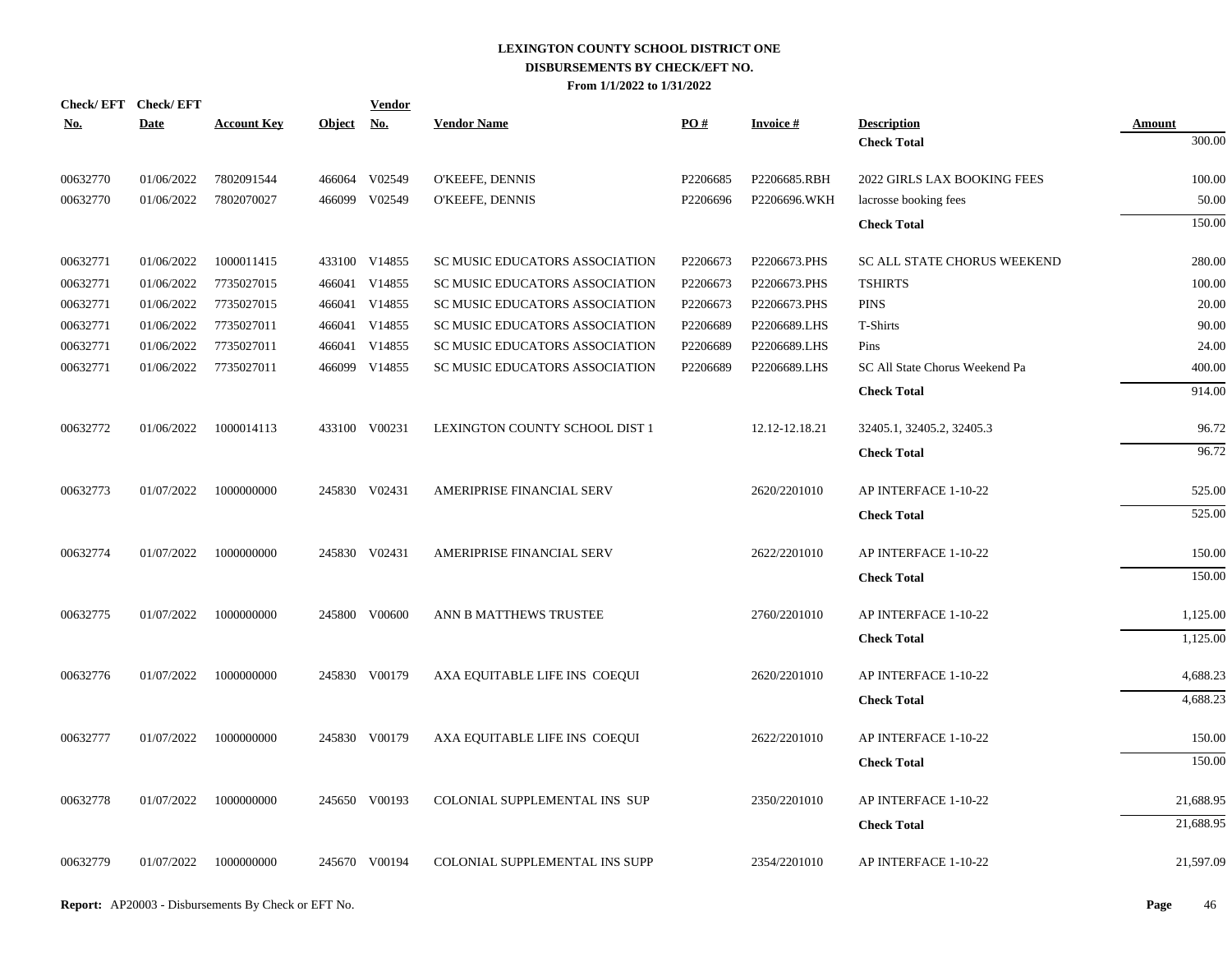| Check/EFT Check/EFT |             |                    |               | <u>Vendor</u> |                                |          |                 |                                |               |
|---------------------|-------------|--------------------|---------------|---------------|--------------------------------|----------|-----------------|--------------------------------|---------------|
| <u>No.</u>          | <b>Date</b> | <b>Account Key</b> | <b>Object</b> | <u>No.</u>    | <b>Vendor Name</b>             | PO#      | <b>Invoice#</b> | <b>Description</b>             | <b>Amount</b> |
|                     |             |                    |               |               |                                |          |                 | <b>Check Total</b>             | 300.00        |
| 00632770            | 01/06/2022  | 7802091544         |               | 466064 V02549 | O'KEEFE, DENNIS                | P2206685 | P2206685.RBH    | 2022 GIRLS LAX BOOKING FEES    | 100.00        |
| 00632770            | 01/06/2022  | 7802070027         |               | 466099 V02549 | O'KEEFE, DENNIS                | P2206696 | P2206696.WKH    | lacrosse booking fees          | 50.00         |
|                     |             |                    |               |               |                                |          |                 | <b>Check Total</b>             | 150.00        |
| 00632771            | 01/06/2022  | 1000011415         |               | 433100 V14855 | SC MUSIC EDUCATORS ASSOCIATION | P2206673 | P2206673.PHS    | SC ALL STATE CHORUS WEEKEND    | 280.00        |
| 00632771            | 01/06/2022  | 7735027015         |               | 466041 V14855 | SC MUSIC EDUCATORS ASSOCIATION | P2206673 | P2206673.PHS    | <b>TSHIRTS</b>                 | 100.00        |
| 00632771            | 01/06/2022  | 7735027015         |               | 466041 V14855 | SC MUSIC EDUCATORS ASSOCIATION | P2206673 | P2206673.PHS    | <b>PINS</b>                    | 20.00         |
| 00632771            | 01/06/2022  | 7735027011         |               | 466041 V14855 | SC MUSIC EDUCATORS ASSOCIATION | P2206689 | P2206689.LHS    | T-Shirts                       | 90.00         |
| 00632771            | 01/06/2022  | 7735027011         |               | 466041 V14855 | SC MUSIC EDUCATORS ASSOCIATION | P2206689 | P2206689.LHS    | Pins                           | 24.00         |
| 00632771            | 01/06/2022  | 7735027011         |               | 466099 V14855 | SC MUSIC EDUCATORS ASSOCIATION | P2206689 | P2206689.LHS    | SC All State Chorus Weekend Pa | 400.00        |
|                     |             |                    |               |               |                                |          |                 | <b>Check Total</b>             | 914.00        |
| 00632772            | 01/06/2022  | 1000014113         |               | 433100 V00231 | LEXINGTON COUNTY SCHOOL DIST 1 |          | 12.12-12.18.21  | 32405.1, 32405.2, 32405.3      | 96.72         |
|                     |             |                    |               |               |                                |          |                 | <b>Check Total</b>             | 96.72         |
| 00632773            | 01/07/2022  | 1000000000         |               | 245830 V02431 | AMERIPRISE FINANCIAL SERV      |          | 2620/2201010    | AP INTERFACE 1-10-22           | 525.00        |
|                     |             |                    |               |               |                                |          |                 | <b>Check Total</b>             | 525.00        |
| 00632774            | 01/07/2022  | 1000000000         |               | 245830 V02431 | AMERIPRISE FINANCIAL SERV      |          | 2622/2201010    | AP INTERFACE 1-10-22           | 150.00        |
|                     |             |                    |               |               |                                |          |                 | <b>Check Total</b>             | 150.00        |
| 00632775            | 01/07/2022  | 1000000000         |               | 245800 V00600 | ANN B MATTHEWS TRUSTEE         |          | 2760/2201010    | AP INTERFACE 1-10-22           | 1,125.00      |
|                     |             |                    |               |               |                                |          |                 | <b>Check Total</b>             | 1,125.00      |
| 00632776            | 01/07/2022  | 1000000000         |               | 245830 V00179 | AXA EQUITABLE LIFE INS COEQUI  |          | 2620/2201010    | AP INTERFACE 1-10-22           | 4,688.23      |
|                     |             |                    |               |               |                                |          |                 | <b>Check Total</b>             | 4,688.23      |
| 00632777            | 01/07/2022  | 1000000000         |               | 245830 V00179 | AXA EQUITABLE LIFE INS COEQUI  |          | 2622/2201010    | AP INTERFACE 1-10-22           | 150.00        |
|                     |             |                    |               |               |                                |          |                 | <b>Check Total</b>             | 150.00        |
| 00632778            | 01/07/2022  | 1000000000         |               | 245650 V00193 | COLONIAL SUPPLEMENTAL INS SUP  |          | 2350/2201010    | AP INTERFACE 1-10-22           | 21,688.95     |
|                     |             |                    |               |               |                                |          |                 | <b>Check Total</b>             | 21,688.95     |
| 00632779            | 01/07/2022  | 1000000000         |               | 245670 V00194 | COLONIAL SUPPLEMENTAL INS SUPP |          | 2354/2201010    | AP INTERFACE 1-10-22           | 21,597.09     |
|                     |             |                    |               |               |                                |          |                 |                                |               |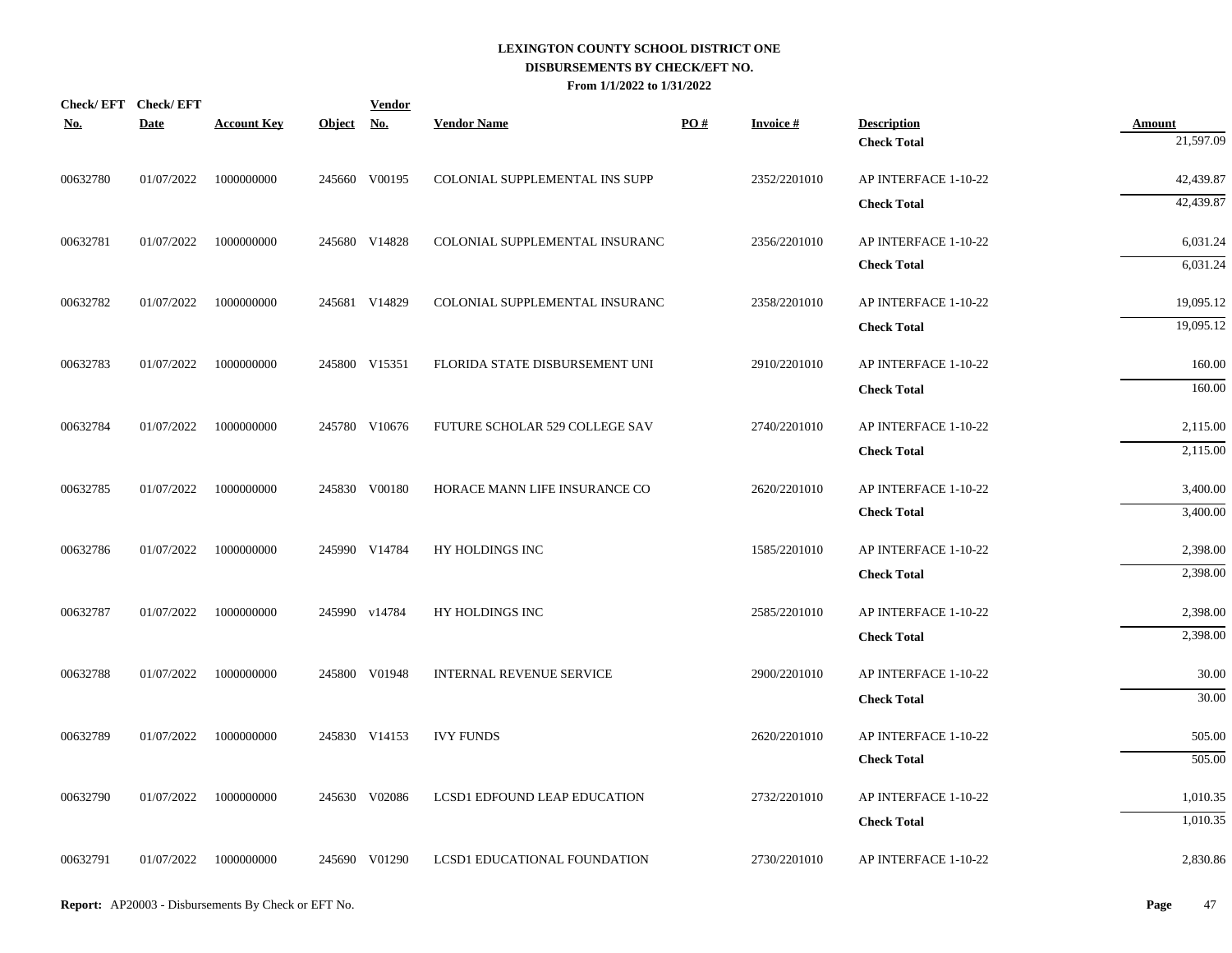| No.      | Check/EFT Check/EFT<br><b>Date</b> | <b>Account Key</b> | Object No. | <b>Vendor</b> | <b>Vendor Name</b>              | PO# | <b>Invoice#</b> | <b>Description</b>   | <b>Amount</b> |
|----------|------------------------------------|--------------------|------------|---------------|---------------------------------|-----|-----------------|----------------------|---------------|
|          |                                    |                    |            |               |                                 |     |                 | <b>Check Total</b>   | 21,597.09     |
| 00632780 | 01/07/2022                         | 1000000000         |            | 245660 V00195 | COLONIAL SUPPLEMENTAL INS SUPP  |     | 2352/2201010    | AP INTERFACE 1-10-22 | 42,439.87     |
|          |                                    |                    |            |               |                                 |     |                 | <b>Check Total</b>   | 42,439.87     |
| 00632781 | 01/07/2022                         | 1000000000         |            | 245680 V14828 | COLONIAL SUPPLEMENTAL INSURANC  |     | 2356/2201010    | AP INTERFACE 1-10-22 | 6,031.24      |
|          |                                    |                    |            |               |                                 |     |                 | <b>Check Total</b>   | 6,031.24      |
| 00632782 | 01/07/2022                         | 1000000000         |            | 245681 V14829 | COLONIAL SUPPLEMENTAL INSURANC  |     | 2358/2201010    | AP INTERFACE 1-10-22 | 19,095.12     |
|          |                                    |                    |            |               |                                 |     |                 | <b>Check Total</b>   | 19,095.12     |
| 00632783 | 01/07/2022                         | 1000000000         |            | 245800 V15351 | FLORIDA STATE DISBURSEMENT UNI  |     | 2910/2201010    | AP INTERFACE 1-10-22 | 160.00        |
|          |                                    |                    |            |               |                                 |     |                 | <b>Check Total</b>   | 160.00        |
| 00632784 | 01/07/2022                         | 1000000000         |            | 245780 V10676 | FUTURE SCHOLAR 529 COLLEGE SAV  |     | 2740/2201010    | AP INTERFACE 1-10-22 | 2,115.00      |
|          |                                    |                    |            |               |                                 |     |                 | <b>Check Total</b>   | 2,115.00      |
| 00632785 | 01/07/2022                         | 1000000000         |            | 245830 V00180 | HORACE MANN LIFE INSURANCE CO   |     | 2620/2201010    | AP INTERFACE 1-10-22 | 3,400.00      |
|          |                                    |                    |            |               |                                 |     |                 | <b>Check Total</b>   | 3,400.00      |
| 00632786 | 01/07/2022                         | 1000000000         |            | 245990 V14784 | HY HOLDINGS INC                 |     | 1585/2201010    | AP INTERFACE 1-10-22 | 2,398.00      |
|          |                                    |                    |            |               |                                 |     |                 | <b>Check Total</b>   | 2,398.00      |
| 00632787 | 01/07/2022                         | 1000000000         |            | 245990 v14784 | HY HOLDINGS INC                 |     | 2585/2201010    | AP INTERFACE 1-10-22 | 2,398.00      |
|          |                                    |                    |            |               |                                 |     |                 | <b>Check Total</b>   | 2,398.00      |
| 00632788 | 01/07/2022                         | 1000000000         |            | 245800 V01948 | <b>INTERNAL REVENUE SERVICE</b> |     | 2900/2201010    | AP INTERFACE 1-10-22 | 30.00         |
|          |                                    |                    |            |               |                                 |     |                 | <b>Check Total</b>   | 30.00         |
| 00632789 | 01/07/2022                         | 1000000000         |            | 245830 V14153 | <b>IVY FUNDS</b>                |     | 2620/2201010    | AP INTERFACE 1-10-22 | 505.00        |
|          |                                    |                    |            |               |                                 |     |                 | <b>Check Total</b>   | 505.00        |
| 00632790 | 01/07/2022                         | 1000000000         |            | 245630 V02086 | LCSD1 EDFOUND LEAP EDUCATION    |     | 2732/2201010    | AP INTERFACE 1-10-22 | 1,010.35      |
|          |                                    |                    |            |               |                                 |     |                 | <b>Check Total</b>   | 1,010.35      |
| 00632791 | 01/07/2022                         | 1000000000         |            | 245690 V01290 | LCSD1 EDUCATIONAL FOUNDATION    |     | 2730/2201010    | AP INTERFACE 1-10-22 | 2,830.86      |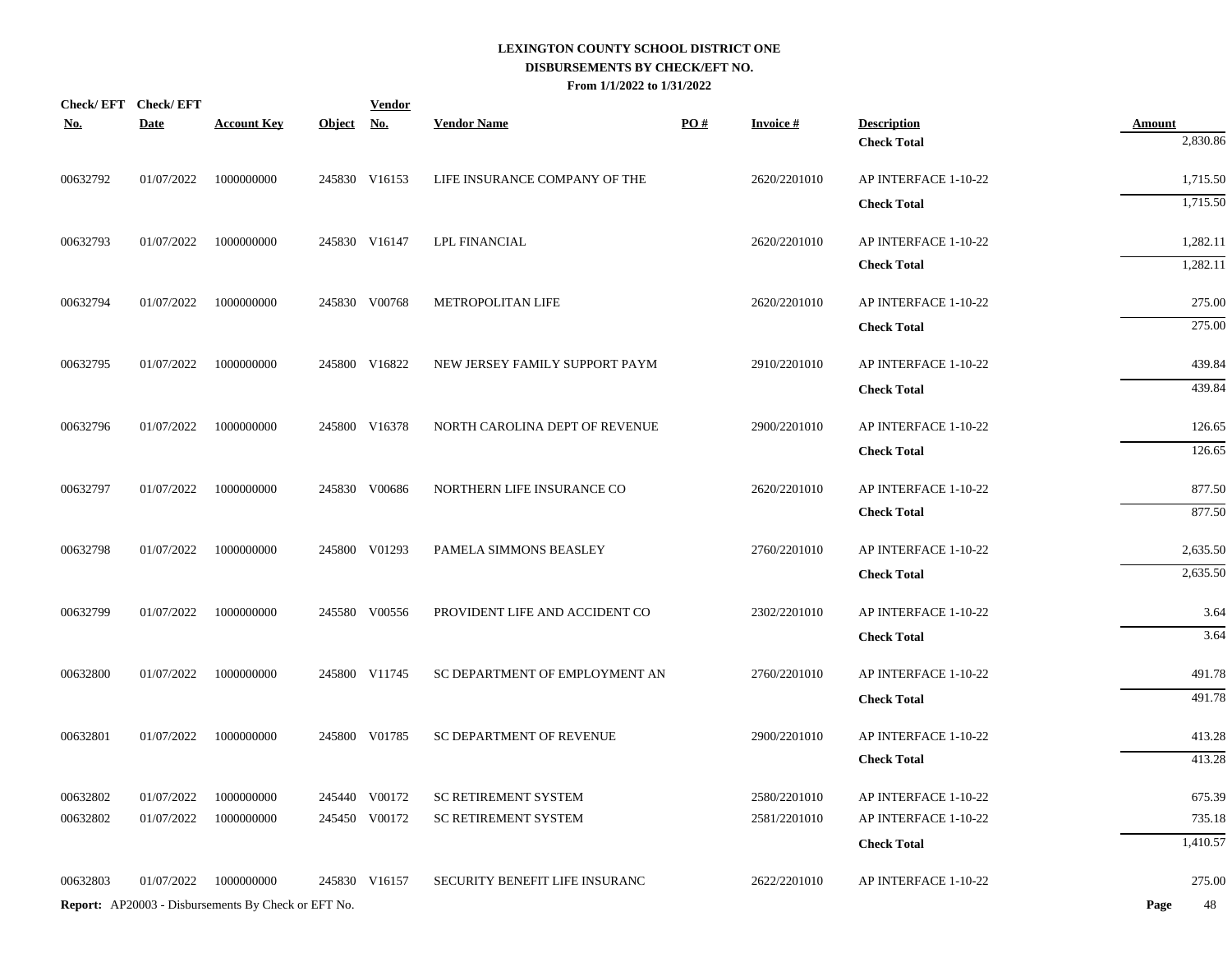| <u>No.</u> | Check/EFT Check/EFT<br><b>Date</b> | <b>Account Key</b>                                         | Object No. | <b>Vendor</b> | <b>Vendor Name</b>             | PO# | <b>Invoice#</b> | <b>Description</b>   | <b>Amount</b> |
|------------|------------------------------------|------------------------------------------------------------|------------|---------------|--------------------------------|-----|-----------------|----------------------|---------------|
|            |                                    |                                                            |            |               |                                |     |                 | <b>Check Total</b>   | 2,830.86      |
| 00632792   | 01/07/2022                         | 1000000000                                                 |            | 245830 V16153 | LIFE INSURANCE COMPANY OF THE  |     | 2620/2201010    | AP INTERFACE 1-10-22 | 1,715.50      |
|            |                                    |                                                            |            |               |                                |     |                 | <b>Check Total</b>   | 1,715.50      |
| 00632793   | 01/07/2022                         | 1000000000                                                 |            | 245830 V16147 | <b>LPL FINANCIAL</b>           |     | 2620/2201010    | AP INTERFACE 1-10-22 | 1,282.11      |
|            |                                    |                                                            |            |               |                                |     |                 | <b>Check Total</b>   | 1,282.11      |
| 00632794   | 01/07/2022                         | 1000000000                                                 |            | 245830 V00768 | METROPOLITAN LIFE              |     | 2620/2201010    | AP INTERFACE 1-10-22 | 275.00        |
|            |                                    |                                                            |            |               |                                |     |                 | <b>Check Total</b>   | 275.00        |
| 00632795   | 01/07/2022                         | 1000000000                                                 |            | 245800 V16822 | NEW JERSEY FAMILY SUPPORT PAYM |     | 2910/2201010    | AP INTERFACE 1-10-22 | 439.84        |
|            |                                    |                                                            |            |               |                                |     |                 | <b>Check Total</b>   | 439.84        |
| 00632796   | 01/07/2022                         | 1000000000                                                 |            | 245800 V16378 | NORTH CAROLINA DEPT OF REVENUE |     | 2900/2201010    | AP INTERFACE 1-10-22 | 126.65        |
|            |                                    |                                                            |            |               |                                |     |                 | <b>Check Total</b>   | 126.65        |
| 00632797   | 01/07/2022                         | 1000000000                                                 |            | 245830 V00686 | NORTHERN LIFE INSURANCE CO     |     | 2620/2201010    | AP INTERFACE 1-10-22 | 877.50        |
|            |                                    |                                                            |            |               |                                |     |                 | <b>Check Total</b>   | 877.50        |
| 00632798   | 01/07/2022                         | 1000000000                                                 |            | 245800 V01293 | PAMELA SIMMONS BEASLEY         |     | 2760/2201010    | AP INTERFACE 1-10-22 | 2,635.50      |
|            |                                    |                                                            |            |               |                                |     |                 | <b>Check Total</b>   | 2,635.50      |
| 00632799   | 01/07/2022                         | 1000000000                                                 |            | 245580 V00556 | PROVIDENT LIFE AND ACCIDENT CO |     | 2302/2201010    | AP INTERFACE 1-10-22 | 3.64          |
|            |                                    |                                                            |            |               |                                |     |                 | <b>Check Total</b>   | 3.64          |
|            |                                    |                                                            |            |               |                                |     |                 |                      |               |
| 00632800   | 01/07/2022                         | 1000000000                                                 |            | 245800 V11745 | SC DEPARTMENT OF EMPLOYMENT AN |     | 2760/2201010    | AP INTERFACE 1-10-22 | 491.78        |
|            |                                    |                                                            |            |               |                                |     |                 | <b>Check Total</b>   | 491.78        |
| 00632801   | 01/07/2022                         | 1000000000                                                 |            | 245800 V01785 | SC DEPARTMENT OF REVENUE       |     | 2900/2201010    | AP INTERFACE 1-10-22 | 413.28        |
|            |                                    |                                                            |            |               |                                |     |                 | <b>Check Total</b>   | 413.28        |
| 00632802   | 01/07/2022                         | 1000000000                                                 |            | 245440 V00172 | <b>SC RETIREMENT SYSTEM</b>    |     | 2580/2201010    | AP INTERFACE 1-10-22 | 675.39        |
| 00632802   | 01/07/2022                         | 1000000000                                                 |            | 245450 V00172 | <b>SC RETIREMENT SYSTEM</b>    |     | 2581/2201010    | AP INTERFACE 1-10-22 | 735.18        |
|            |                                    |                                                            |            |               |                                |     |                 | <b>Check Total</b>   | 1,410.57      |
| 00632803   | 01/07/2022                         | 1000000000                                                 |            | 245830 V16157 | SECURITY BENEFIT LIFE INSURANC |     | 2622/2201010    | AP INTERFACE 1-10-22 | 275.00        |
|            |                                    | <b>Report:</b> AP20003 - Disbursements By Check or EFT No. |            |               |                                |     |                 |                      | Page<br>48    |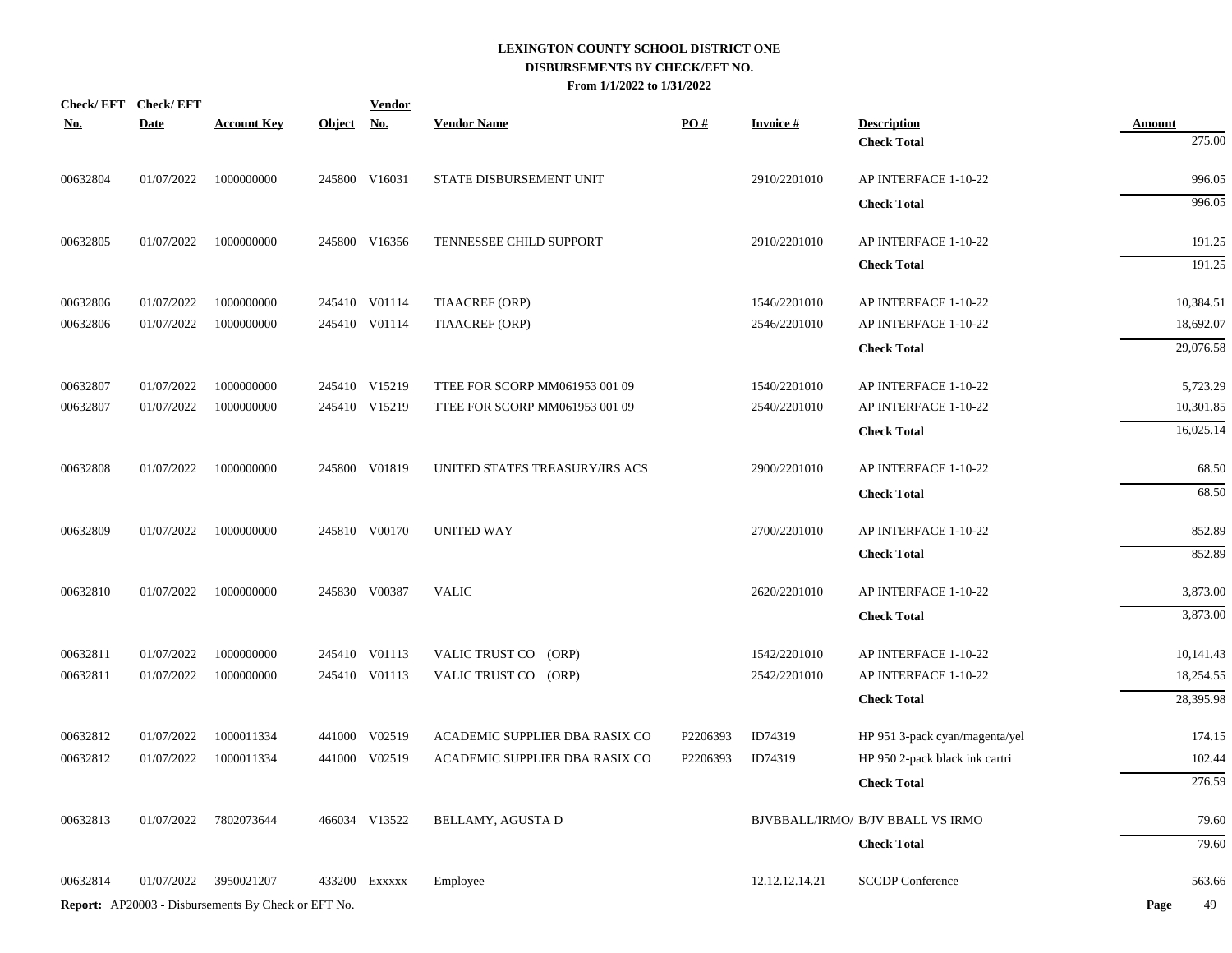|            | Check/EFT Check/EFT |                                                            |            | <b>Vendor</b> |                                |          |                 |                                          |                         |
|------------|---------------------|------------------------------------------------------------|------------|---------------|--------------------------------|----------|-----------------|------------------------------------------|-------------------------|
| <b>No.</b> | <b>Date</b>         | <b>Account Key</b>                                         | Object No. |               | <b>Vendor Name</b>             | PO#      | <b>Invoice#</b> | <b>Description</b><br><b>Check Total</b> | <b>Amount</b><br>275.00 |
| 00632804   | 01/07/2022          | 1000000000                                                 |            | 245800 V16031 | STATE DISBURSEMENT UNIT        |          | 2910/2201010    | AP INTERFACE 1-10-22                     | 996.05                  |
|            |                     |                                                            |            |               |                                |          |                 | <b>Check Total</b>                       | 996.05                  |
| 00632805   | 01/07/2022          | 1000000000                                                 |            | 245800 V16356 | TENNESSEE CHILD SUPPORT        |          | 2910/2201010    | AP INTERFACE 1-10-22                     | 191.25                  |
|            |                     |                                                            |            |               |                                |          |                 | <b>Check Total</b>                       | 191.25                  |
| 00632806   | 01/07/2022          | 1000000000                                                 |            | 245410 V01114 | TIAACREF (ORP)                 |          | 1546/2201010    | AP INTERFACE 1-10-22                     | 10,384.51               |
| 00632806   | 01/07/2022          | 1000000000                                                 |            | 245410 V01114 | TIAACREF (ORP)                 |          | 2546/2201010    | AP INTERFACE 1-10-22                     | 18,692.07               |
|            |                     |                                                            |            |               |                                |          |                 | <b>Check Total</b>                       | 29,076.58               |
| 00632807   | 01/07/2022          | 1000000000                                                 |            | 245410 V15219 | TTEE FOR SCORP MM061953 001 09 |          | 1540/2201010    | AP INTERFACE 1-10-22                     | 5,723.29                |
| 00632807   | 01/07/2022          | 1000000000                                                 |            | 245410 V15219 | TTEE FOR SCORP MM061953 001 09 |          | 2540/2201010    | AP INTERFACE 1-10-22                     | 10,301.85               |
|            |                     |                                                            |            |               |                                |          |                 | <b>Check Total</b>                       | 16,025.14               |
| 00632808   | 01/07/2022          | 1000000000                                                 |            | 245800 V01819 | UNITED STATES TREASURY/IRS ACS |          | 2900/2201010    | AP INTERFACE 1-10-22                     | 68.50                   |
|            |                     |                                                            |            |               |                                |          |                 | <b>Check Total</b>                       | 68.50                   |
| 00632809   | 01/07/2022          | 1000000000                                                 |            | 245810 V00170 | <b>UNITED WAY</b>              |          | 2700/2201010    | AP INTERFACE 1-10-22                     | 852.89                  |
|            |                     |                                                            |            |               |                                |          |                 | <b>Check Total</b>                       | 852.89                  |
| 00632810   | 01/07/2022          | 1000000000                                                 |            | 245830 V00387 | <b>VALIC</b>                   |          | 2620/2201010    | AP INTERFACE 1-10-22                     | 3,873.00                |
|            |                     |                                                            |            |               |                                |          |                 | <b>Check Total</b>                       | 3,873.00                |
| 00632811   | 01/07/2022          | 1000000000                                                 |            | 245410 V01113 | VALIC TRUST CO (ORP)           |          | 1542/2201010    | AP INTERFACE 1-10-22                     | 10,141.43               |
| 00632811   | 01/07/2022          | 1000000000                                                 |            | 245410 V01113 | VALIC TRUST CO (ORP)           |          | 2542/2201010    | AP INTERFACE 1-10-22                     | 18,254.55               |
|            |                     |                                                            |            |               |                                |          |                 | <b>Check Total</b>                       | 28,395.98               |
| 00632812   | 01/07/2022          | 1000011334                                                 |            | 441000 V02519 | ACADEMIC SUPPLIER DBA RASIX CO | P2206393 | ID74319         | HP 951 3-pack cyan/magenta/yel           | 174.15                  |
| 00632812   | 01/07/2022          | 1000011334                                                 |            | 441000 V02519 | ACADEMIC SUPPLIER DBA RASIX CO | P2206393 | ID74319         | HP 950 2-pack black ink cartri           | 102.44                  |
|            |                     |                                                            |            |               |                                |          |                 | <b>Check Total</b>                       | 276.59                  |
| 00632813   | 01/07/2022          | 7802073644                                                 |            | 466034 V13522 | BELLAMY, AGUSTA D              |          |                 | BJVBBALL/IRMO/ B/JV BBALL VS IRMO        | 79.60                   |
|            |                     |                                                            |            |               |                                |          |                 | <b>Check Total</b>                       | 79.60                   |
| 00632814   | 01/07/2022          | 3950021207                                                 |            | 433200 Exxxxx | Employee                       |          | 12.12.12.14.21  | <b>SCCDP</b> Conference                  | 563.66                  |
|            |                     | <b>Report:</b> AP20003 - Disbursements By Check or EFT No. |            |               |                                |          |                 |                                          | Page<br>49              |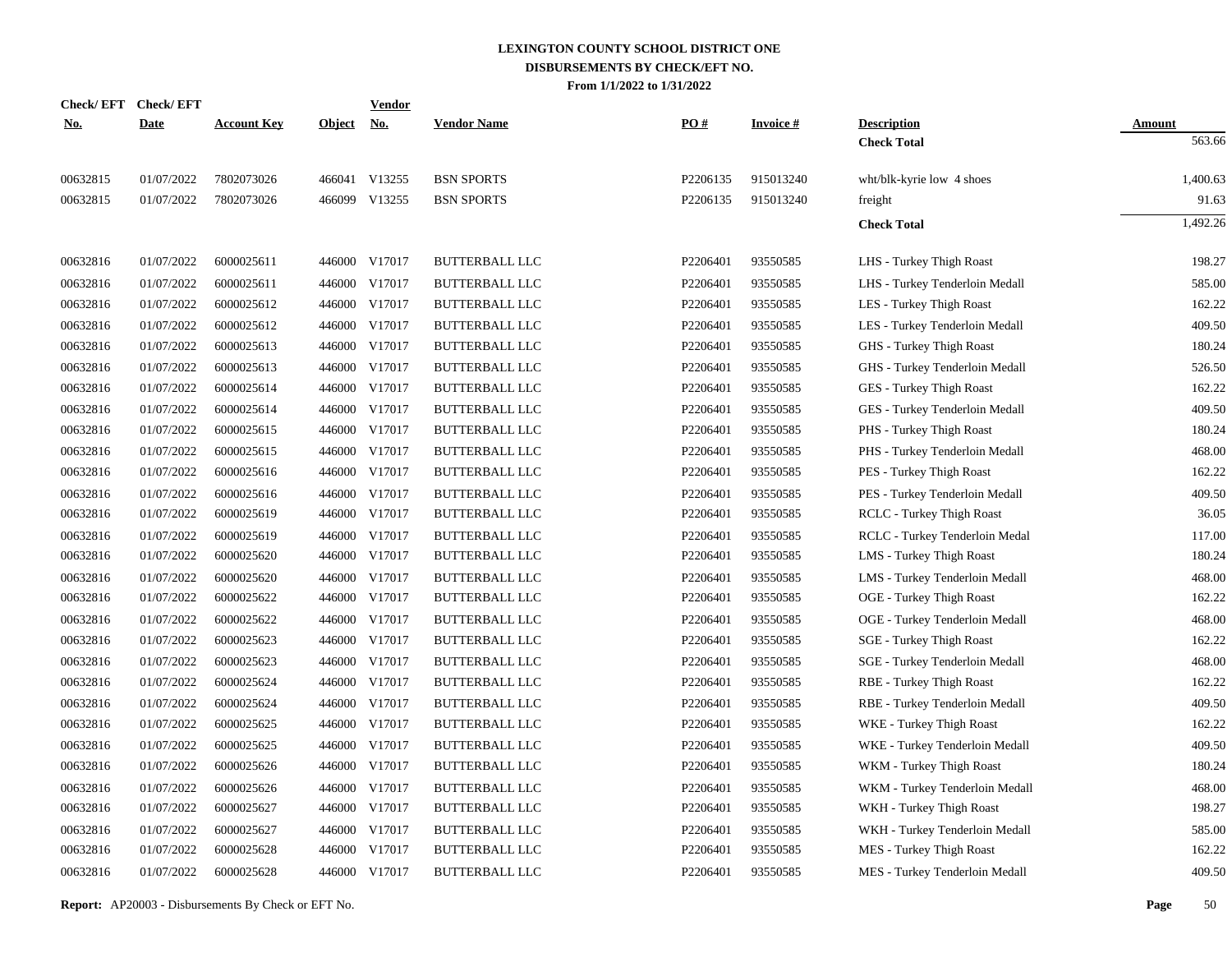|            | Check/EFT Check/EFT |                    |            | <b>Vendor</b> |                       |          |                 |                                 |               |
|------------|---------------------|--------------------|------------|---------------|-----------------------|----------|-----------------|---------------------------------|---------------|
| <u>No.</u> | <b>Date</b>         | <b>Account Key</b> | Object No. |               | <b>Vendor Name</b>    | PQ#      | <b>Invoice#</b> | <b>Description</b>              | <b>Amount</b> |
|            |                     |                    |            |               |                       |          |                 | <b>Check Total</b>              | 563.66        |
| 00632815   | 01/07/2022          | 7802073026         |            | 466041 V13255 | <b>BSN SPORTS</b>     | P2206135 | 915013240       | wht/blk-kyrie low 4 shoes       | 1,400.63      |
| 00632815   | 01/07/2022          | 7802073026         |            | 466099 V13255 | <b>BSN SPORTS</b>     | P2206135 | 915013240       | freight                         | 91.63         |
|            |                     |                    |            |               |                       |          |                 | <b>Check Total</b>              | 1,492.26      |
| 00632816   | 01/07/2022          | 6000025611         |            | 446000 V17017 | <b>BUTTERBALL LLC</b> | P2206401 | 93550585        | LHS - Turkey Thigh Roast        | 198.27        |
| 00632816   | 01/07/2022          | 6000025611         |            | 446000 V17017 | <b>BUTTERBALL LLC</b> | P2206401 | 93550585        | LHS - Turkey Tenderloin Medall  | 585.00        |
| 00632816   | 01/07/2022          | 6000025612         |            | 446000 V17017 | <b>BUTTERBALL LLC</b> | P2206401 | 93550585        | LES - Turkey Thigh Roast        | 162.22        |
| 00632816   | 01/07/2022          | 6000025612         |            | 446000 V17017 | <b>BUTTERBALL LLC</b> | P2206401 | 93550585        | LES - Turkey Tenderloin Medall  | 409.50        |
| 00632816   | 01/07/2022          | 6000025613         |            | 446000 V17017 | <b>BUTTERBALL LLC</b> | P2206401 | 93550585        | GHS - Turkey Thigh Roast        | 180.24        |
| 00632816   | 01/07/2022          | 6000025613         |            | 446000 V17017 | <b>BUTTERBALL LLC</b> | P2206401 | 93550585        | GHS - Turkey Tenderloin Medall  | 526.50        |
| 00632816   | 01/07/2022          | 6000025614         |            | 446000 V17017 | <b>BUTTERBALL LLC</b> | P2206401 | 93550585        | GES - Turkey Thigh Roast        | 162.22        |
| 00632816   | 01/07/2022          | 6000025614         |            | 446000 V17017 | <b>BUTTERBALL LLC</b> | P2206401 | 93550585        | GES - Turkey Tenderloin Medall  | 409.50        |
| 00632816   | 01/07/2022          | 6000025615         |            | 446000 V17017 | <b>BUTTERBALL LLC</b> | P2206401 | 93550585        | PHS - Turkey Thigh Roast        | 180.24        |
| 00632816   | 01/07/2022          | 6000025615         | 446000     | V17017        | <b>BUTTERBALL LLC</b> | P2206401 | 93550585        | PHS - Turkey Tenderloin Medall  | 468.00        |
| 00632816   | 01/07/2022          | 6000025616         |            | 446000 V17017 | <b>BUTTERBALL LLC</b> | P2206401 | 93550585        | PES - Turkey Thigh Roast        | 162.22        |
| 00632816   | 01/07/2022          | 6000025616         | 446000     | V17017        | <b>BUTTERBALL LLC</b> | P2206401 | 93550585        | PES - Turkey Tenderloin Medall  | 409.50        |
| 00632816   | 01/07/2022          | 6000025619         |            | 446000 V17017 | <b>BUTTERBALL LLC</b> | P2206401 | 93550585        | RCLC - Turkey Thigh Roast       | 36.05         |
| 00632816   | 01/07/2022          | 6000025619         | 446000     | V17017        | <b>BUTTERBALL LLC</b> | P2206401 | 93550585        | RCLC - Turkey Tenderloin Medal  | 117.00        |
| 00632816   | 01/07/2022          | 6000025620         |            | 446000 V17017 | <b>BUTTERBALL LLC</b> | P2206401 | 93550585        | LMS - Turkey Thigh Roast        | 180.24        |
| 00632816   | 01/07/2022          | 6000025620         | 446000     | V17017        | <b>BUTTERBALL LLC</b> | P2206401 | 93550585        | LMS - Turkey Tenderloin Medall  | 468.00        |
| 00632816   | 01/07/2022          | 6000025622         |            | 446000 V17017 | <b>BUTTERBALL LLC</b> | P2206401 | 93550585        | OGE - Turkey Thigh Roast        | 162.22        |
| 00632816   | 01/07/2022          | 6000025622         | 446000     | V17017        | <b>BUTTERBALL LLC</b> | P2206401 | 93550585        | OGE - Turkey Tenderloin Medall  | 468.00        |
| 00632816   | 01/07/2022          | 6000025623         |            | 446000 V17017 | <b>BUTTERBALL LLC</b> | P2206401 | 93550585        | <b>SGE</b> - Turkey Thigh Roast | 162.22        |
| 00632816   | 01/07/2022          | 6000025623         | 446000     | V17017        | <b>BUTTERBALL LLC</b> | P2206401 | 93550585        | SGE - Turkey Tenderloin Medall  | 468.00        |
| 00632816   | 01/07/2022          | 6000025624         | 446000     | V17017        | <b>BUTTERBALL LLC</b> | P2206401 | 93550585        | RBE - Turkey Thigh Roast        | 162.22        |
| 00632816   | 01/07/2022          | 6000025624         | 446000     | V17017        | BUTTERBALL LLC        | P2206401 | 93550585        | RBE - Turkey Tenderloin Medall  | 409.50        |
| 00632816   | 01/07/2022          | 6000025625         | 446000     | V17017        | <b>BUTTERBALL LLC</b> | P2206401 | 93550585        | WKE - Turkey Thigh Roast        | 162.22        |
| 00632816   | 01/07/2022          | 6000025625         | 446000     | V17017        | <b>BUTTERBALL LLC</b> | P2206401 | 93550585        | WKE - Turkey Tenderloin Medall  | 409.50        |
| 00632816   | 01/07/2022          | 6000025626         | 446000     | V17017        | <b>BUTTERBALL LLC</b> | P2206401 | 93550585        | WKM - Turkey Thigh Roast        | 180.24        |
| 00632816   | 01/07/2022          | 6000025626         | 446000     | V17017        | <b>BUTTERBALL LLC</b> | P2206401 | 93550585        | WKM - Turkey Tenderloin Medall  | 468.00        |
| 00632816   | 01/07/2022          | 6000025627         | 446000     | V17017        | <b>BUTTERBALL LLC</b> | P2206401 | 93550585        | WKH - Turkey Thigh Roast        | 198.27        |
| 00632816   | 01/07/2022          | 6000025627         | 446000     | V17017        | <b>BUTTERBALL LLC</b> | P2206401 | 93550585        | WKH - Turkey Tenderloin Medall  | 585.00        |
| 00632816   | 01/07/2022          | 6000025628         | 446000     | V17017        | <b>BUTTERBALL LLC</b> | P2206401 | 93550585        | MES - Turkey Thigh Roast        | 162.22        |
| 00632816   | 01/07/2022          | 6000025628         |            | 446000 V17017 | <b>BUTTERBALL LLC</b> | P2206401 | 93550585        | MES - Turkey Tenderloin Medall  | 409.50        |
|            |                     |                    |            |               |                       |          |                 |                                 |               |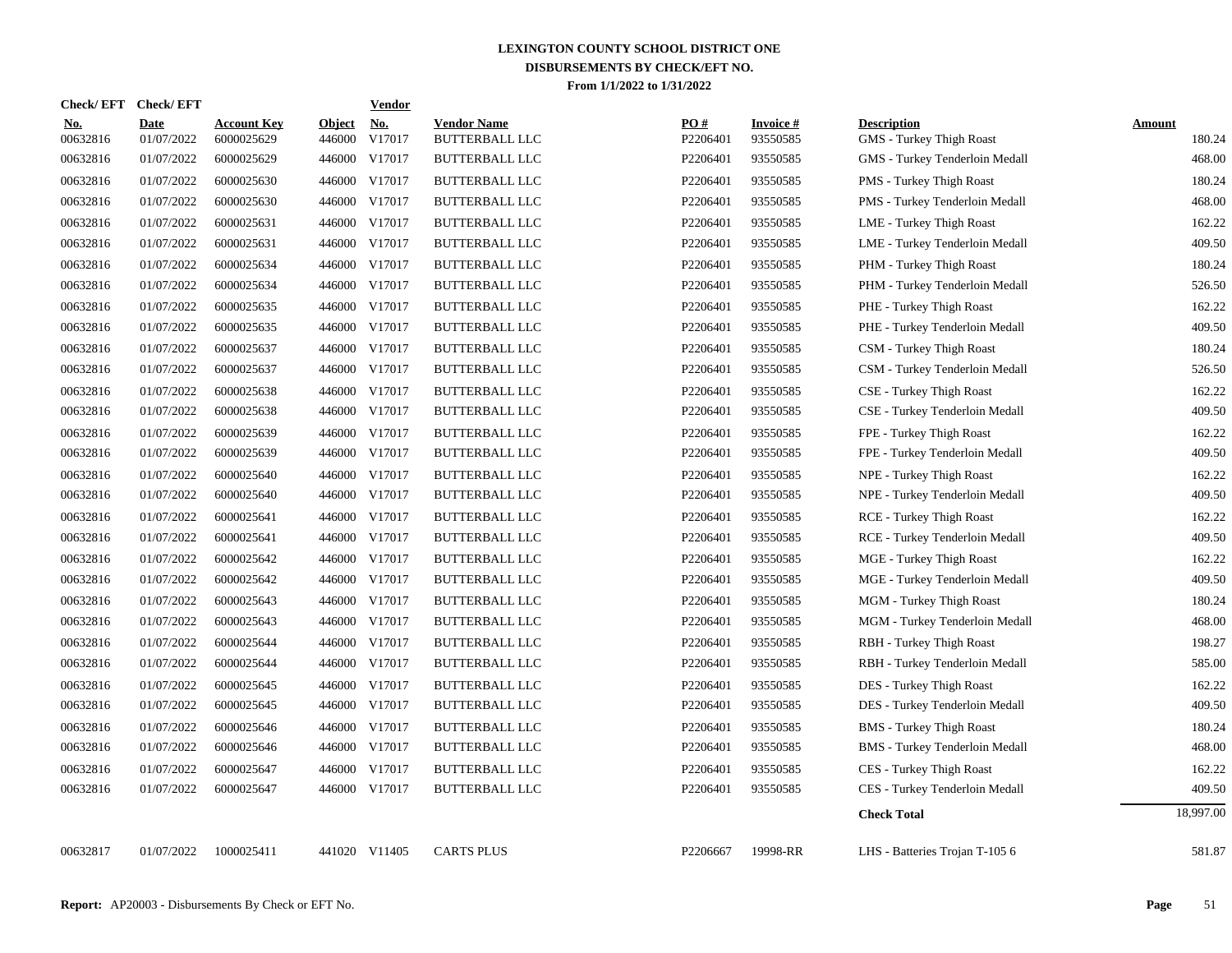| <b>Check/EFT</b>       | <b>Check/EFT</b>          |                                  |                         | <b>Vendor</b>        |                                             |                               |                             |                                                |                         |
|------------------------|---------------------------|----------------------------------|-------------------------|----------------------|---------------------------------------------|-------------------------------|-----------------------------|------------------------------------------------|-------------------------|
| <u>No.</u><br>00632816 | <b>Date</b><br>01/07/2022 | <b>Account Key</b><br>6000025629 | <b>Object</b><br>446000 | <u>No.</u><br>V17017 | <b>Vendor Name</b><br><b>BUTTERBALL LLC</b> | $\underline{PO#}$<br>P2206401 | <b>Invoice#</b><br>93550585 | <b>Description</b><br>GMS - Turkey Thigh Roast | <b>Amount</b><br>180.24 |
| 00632816               | 01/07/2022                | 6000025629                       | 446000                  | V17017               | <b>BUTTERBALL LLC</b>                       | P2206401                      | 93550585                    | GMS - Turkey Tenderloin Medall                 | 468.00                  |
| 00632816               | 01/07/2022                | 6000025630                       | 446000                  | V17017               | <b>BUTTERBALL LLC</b>                       | P2206401                      | 93550585                    | PMS - Turkey Thigh Roast                       | 180.24                  |
| 00632816               | 01/07/2022                | 6000025630                       | 446000                  | V17017               | BUTTERBALL LLC                              | P2206401                      | 93550585                    | PMS - Turkey Tenderloin Medall                 | 468.00                  |
| 00632816               | 01/07/2022                | 6000025631                       | 446000                  | V17017               | <b>BUTTERBALL LLC</b>                       | P2206401                      | 93550585                    | LME - Turkey Thigh Roast                       | 162.22                  |
| 00632816               | 01/07/2022                | 6000025631                       | 446000                  | V17017               | <b>BUTTERBALL LLC</b>                       | P2206401                      | 93550585                    | LME - Turkey Tenderloin Medall                 | 409.50                  |
| 00632816               | 01/07/2022                | 6000025634                       | 446000                  | V17017               | <b>BUTTERBALL LLC</b>                       | P2206401                      | 93550585                    | PHM - Turkey Thigh Roast                       | 180.24                  |
| 00632816               | 01/07/2022                | 6000025634                       | 446000                  | V17017               | <b>BUTTERBALL LLC</b>                       | P2206401                      | 93550585                    | PHM - Turkey Tenderloin Medall                 | 526.50                  |
| 00632816               | 01/07/2022                | 6000025635                       |                         | 446000 V17017        | <b>BUTTERBALL LLC</b>                       | P2206401                      | 93550585                    | PHE - Turkey Thigh Roast                       | 162.22                  |
| 00632816               | 01/07/2022                | 6000025635                       |                         | 446000 V17017        | <b>BUTTERBALL LLC</b>                       | P2206401                      | 93550585                    | PHE - Turkey Tenderloin Medall                 | 409.50                  |
| 00632816               | 01/07/2022                | 6000025637                       |                         | 446000 V17017        | <b>BUTTERBALL LLC</b>                       | P2206401                      | 93550585                    | CSM - Turkey Thigh Roast                       | 180.24                  |
| 00632816               | 01/07/2022                | 6000025637                       |                         | 446000 V17017        | <b>BUTTERBALL LLC</b>                       | P2206401                      | 93550585                    | CSM - Turkey Tenderloin Medall                 | 526.50                  |
| 00632816               | 01/07/2022                | 6000025638                       |                         | 446000 V17017        | <b>BUTTERBALL LLC</b>                       | P2206401                      | 93550585                    | CSE - Turkey Thigh Roast                       | 162.22                  |
| 00632816               | 01/07/2022                | 6000025638                       |                         | 446000 V17017        | <b>BUTTERBALL LLC</b>                       | P2206401                      | 93550585                    | CSE - Turkey Tenderloin Medall                 | 409.50                  |
| 00632816               | 01/07/2022                | 6000025639                       |                         | 446000 V17017        | <b>BUTTERBALL LLC</b>                       | P2206401                      | 93550585                    | FPE - Turkey Thigh Roast                       | 162.22                  |
| 00632816               | 01/07/2022                | 6000025639                       |                         | 446000 V17017        | <b>BUTTERBALL LLC</b>                       | P2206401                      | 93550585                    | FPE - Turkey Tenderloin Medall                 | 409.50                  |
| 00632816               | 01/07/2022                | 6000025640                       | 446000                  | V17017               | <b>BUTTERBALL LLC</b>                       | P2206401                      | 93550585                    | NPE - Turkey Thigh Roast                       | 162.22                  |
| 00632816               | 01/07/2022                | 6000025640                       | 446000                  | V17017               | <b>BUTTERBALL LLC</b>                       | P2206401                      | 93550585                    | NPE - Turkey Tenderloin Medall                 | 409.50                  |
| 00632816               | 01/07/2022                | 6000025641                       | 446000                  | V17017               | <b>BUTTERBALL LLC</b>                       | P2206401                      | 93550585                    | <b>RCE</b> - Turkey Thigh Roast                | 162.22                  |
| 00632816               | 01/07/2022                | 6000025641                       | 446000                  | V17017               | BUTTERBALL LLC                              | P2206401                      | 93550585                    | RCE - Turkey Tenderloin Medall                 | 409.50                  |
| 00632816               | 01/07/2022                | 6000025642                       | 446000                  | V17017               | <b>BUTTERBALL LLC</b>                       | P2206401                      | 93550585                    | MGE - Turkey Thigh Roast                       | 162.22                  |
| 00632816               | 01/07/2022                | 6000025642                       | 446000                  | V17017               | <b>BUTTERBALL LLC</b>                       | P2206401                      | 93550585                    | MGE - Turkey Tenderloin Medall                 | 409.50                  |
| 00632816               | 01/07/2022                | 6000025643                       | 446000                  | V17017               | BUTTERBALL LLC                              | P2206401                      | 93550585                    | MGM - Turkey Thigh Roast                       | 180.24                  |
| 00632816               | 01/07/2022                | 6000025643                       | 446000                  | V17017               | BUTTERBALL LLC                              | P2206401                      | 93550585                    | MGM - Turkey Tenderloin Medall                 | 468.00                  |
| 00632816               | 01/07/2022                | 6000025644                       | 446000                  | V17017               | <b>BUTTERBALL LLC</b>                       | P2206401                      | 93550585                    | RBH - Turkey Thigh Roast                       | 198.27                  |
| 00632816               | 01/07/2022                | 6000025644                       | 446000                  | V17017               | <b>BUTTERBALL LLC</b>                       | P2206401                      | 93550585                    | RBH - Turkey Tenderloin Medall                 | 585.00                  |
| 00632816               | 01/07/2022                | 6000025645                       | 446000                  | V17017               | <b>BUTTERBALL LLC</b>                       | P2206401                      | 93550585                    | DES - Turkey Thigh Roast                       | 162.22                  |
| 00632816               | 01/07/2022                | 6000025645                       | 446000                  | V17017               | <b>BUTTERBALL LLC</b>                       | P2206401                      | 93550585                    | DES - Turkey Tenderloin Medall                 | 409.50                  |
| 00632816               | 01/07/2022                | 6000025646                       |                         | 446000 V17017        | <b>BUTTERBALL LLC</b>                       | P2206401                      | 93550585                    | <b>BMS</b> - Turkey Thigh Roast                | 180.24                  |
| 00632816               | 01/07/2022                | 6000025646                       |                         | 446000 V17017        | <b>BUTTERBALL LLC</b>                       | P2206401                      | 93550585                    | <b>BMS</b> - Turkey Tenderloin Medall          | 468.00                  |
| 00632816               | 01/07/2022                | 6000025647                       |                         | 446000 V17017        | <b>BUTTERBALL LLC</b>                       | P2206401                      | 93550585                    | CES - Turkey Thigh Roast                       | 162.22                  |
| 00632816               | 01/07/2022                | 6000025647                       |                         | 446000 V17017        | <b>BUTTERBALL LLC</b>                       | P2206401                      | 93550585                    | CES - Turkey Tenderloin Medall                 | 409.50                  |
|                        |                           |                                  |                         |                      |                                             |                               |                             | <b>Check Total</b>                             | 18,997.00               |
| 00632817               | 01/07/2022                | 1000025411                       |                         | 441020 V11405        | <b>CARTS PLUS</b>                           | P2206667                      | 19998-RR                    | LHS - Batteries Trojan T-105 6                 | 581.87                  |
|                        |                           |                                  |                         |                      |                                             |                               |                             |                                                |                         |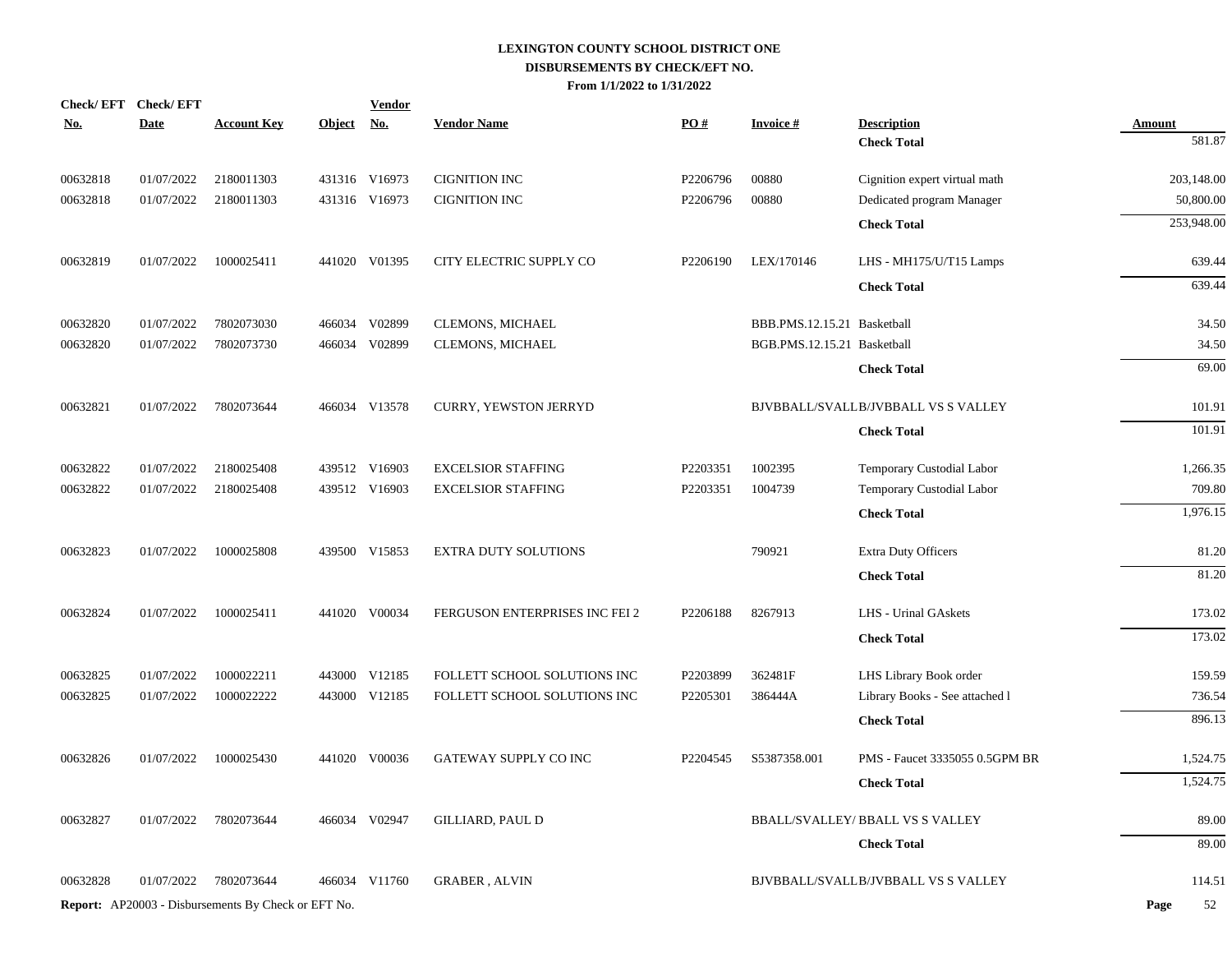|                      | Check/EFT Check/EFT<br><b>Date</b> | <b>Account Key</b>                                         | Object No. | <b>Vendor</b> | <b>Vendor Name</b>                           | PO#      | <b>Invoice#</b>             | <b>Description</b>                                         |                         |
|----------------------|------------------------------------|------------------------------------------------------------|------------|---------------|----------------------------------------------|----------|-----------------------------|------------------------------------------------------------|-------------------------|
| <u>No.</u>           |                                    |                                                            |            |               |                                              |          |                             | <b>Check Total</b>                                         | <b>Amount</b><br>581.87 |
|                      | 01/07/2022                         | 2180011303                                                 |            | 431316 V16973 |                                              | P2206796 | 00880                       |                                                            | 203,148.00              |
| 00632818<br>00632818 | 01/07/2022                         | 2180011303                                                 |            | 431316 V16973 | <b>CIGNITION INC</b><br><b>CIGNITION INC</b> | P2206796 | 00880                       | Cignition expert virtual math<br>Dedicated program Manager | 50,800.00               |
|                      |                                    |                                                            |            |               |                                              |          |                             |                                                            |                         |
|                      |                                    |                                                            |            |               |                                              |          |                             | <b>Check Total</b>                                         | 253,948.00              |
| 00632819             | 01/07/2022                         | 1000025411                                                 |            | 441020 V01395 | CITY ELECTRIC SUPPLY CO                      | P2206190 | LEX/170146                  | LHS - MH175/U/T15 Lamps                                    | 639.44                  |
|                      |                                    |                                                            |            |               |                                              |          |                             | <b>Check Total</b>                                         | 639.44                  |
| 00632820             | 01/07/2022                         | 7802073030                                                 | 466034     | V02899        | CLEMONS, MICHAEL                             |          | BBB.PMS.12.15.21 Basketball |                                                            | 34.50                   |
| 00632820             | 01/07/2022                         | 7802073730                                                 |            | 466034 V02899 | CLEMONS, MICHAEL                             |          | BGB.PMS.12.15.21 Basketball |                                                            | 34.50                   |
|                      |                                    |                                                            |            |               |                                              |          |                             | <b>Check Total</b>                                         | 69.00                   |
|                      |                                    |                                                            |            |               |                                              |          |                             |                                                            |                         |
| 00632821             | 01/07/2022                         | 7802073644                                                 |            | 466034 V13578 | <b>CURRY, YEWSTON JERRYD</b>                 |          |                             | BJVBBALL/SVALLB/JVBBALL VS S VALLEY                        | 101.91                  |
|                      |                                    |                                                            |            |               |                                              |          |                             | <b>Check Total</b>                                         | 101.91                  |
| 00632822             | 01/07/2022                         | 2180025408                                                 |            | 439512 V16903 | <b>EXCELSIOR STAFFING</b>                    | P2203351 | 1002395                     | Temporary Custodial Labor                                  | 1,266.35                |
| 00632822             | 01/07/2022                         | 2180025408                                                 |            | 439512 V16903 | <b>EXCELSIOR STAFFING</b>                    | P2203351 | 1004739                     | Temporary Custodial Labor                                  | 709.80                  |
|                      |                                    |                                                            |            |               |                                              |          |                             | <b>Check Total</b>                                         | 1,976.15                |
| 00632823             | 01/07/2022                         | 1000025808                                                 |            | 439500 V15853 | <b>EXTRA DUTY SOLUTIONS</b>                  |          | 790921                      | <b>Extra Duty Officers</b>                                 | 81.20                   |
|                      |                                    |                                                            |            |               |                                              |          |                             | <b>Check Total</b>                                         | 81.20                   |
| 00632824             | 01/07/2022                         | 1000025411                                                 |            | 441020 V00034 | FERGUSON ENTERPRISES INC FEI 2               | P2206188 | 8267913                     | LHS - Urinal GAskets                                       | 173.02                  |
|                      |                                    |                                                            |            |               |                                              |          |                             | <b>Check Total</b>                                         | 173.02                  |
|                      |                                    |                                                            |            |               |                                              |          |                             |                                                            |                         |
| 00632825             | 01/07/2022                         | 1000022211                                                 |            | 443000 V12185 | FOLLETT SCHOOL SOLUTIONS INC                 | P2203899 | 362481F                     | LHS Library Book order                                     | 159.59                  |
| 00632825             | 01/07/2022                         | 1000022222                                                 |            | 443000 V12185 | FOLLETT SCHOOL SOLUTIONS INC                 | P2205301 | 386444A                     | Library Books - See attached l                             | 736.54                  |
|                      |                                    |                                                            |            |               |                                              |          |                             | <b>Check Total</b>                                         | 896.13                  |
| 00632826             | 01/07/2022                         | 1000025430                                                 |            | 441020 V00036 | GATEWAY SUPPLY CO INC                        | P2204545 | S5387358.001                | PMS - Faucet 3335055 0.5GPM BR                             | 1,524.75                |
|                      |                                    |                                                            |            |               |                                              |          |                             | <b>Check Total</b>                                         | 1,524.75                |
|                      |                                    |                                                            |            |               |                                              |          |                             |                                                            |                         |
| 00632827             | 01/07/2022                         | 7802073644                                                 |            | 466034 V02947 | GILLIARD, PAUL D                             |          |                             | BBALL/SVALLEY/ BBALL VS S VALLEY                           | 89.00                   |
|                      |                                    |                                                            |            |               |                                              |          |                             | <b>Check Total</b>                                         | 89.00                   |
| 00632828             | 01/07/2022                         | 7802073644                                                 |            | 466034 V11760 | <b>GRABER, ALVIN</b>                         |          |                             | BJVBBALL/SVALLB/JVBBALL VS S VALLEY                        | 114.51                  |
|                      |                                    | <b>Report:</b> AP20003 - Disbursements By Check or EFT No. |            |               |                                              |          |                             |                                                            | 52<br>Page              |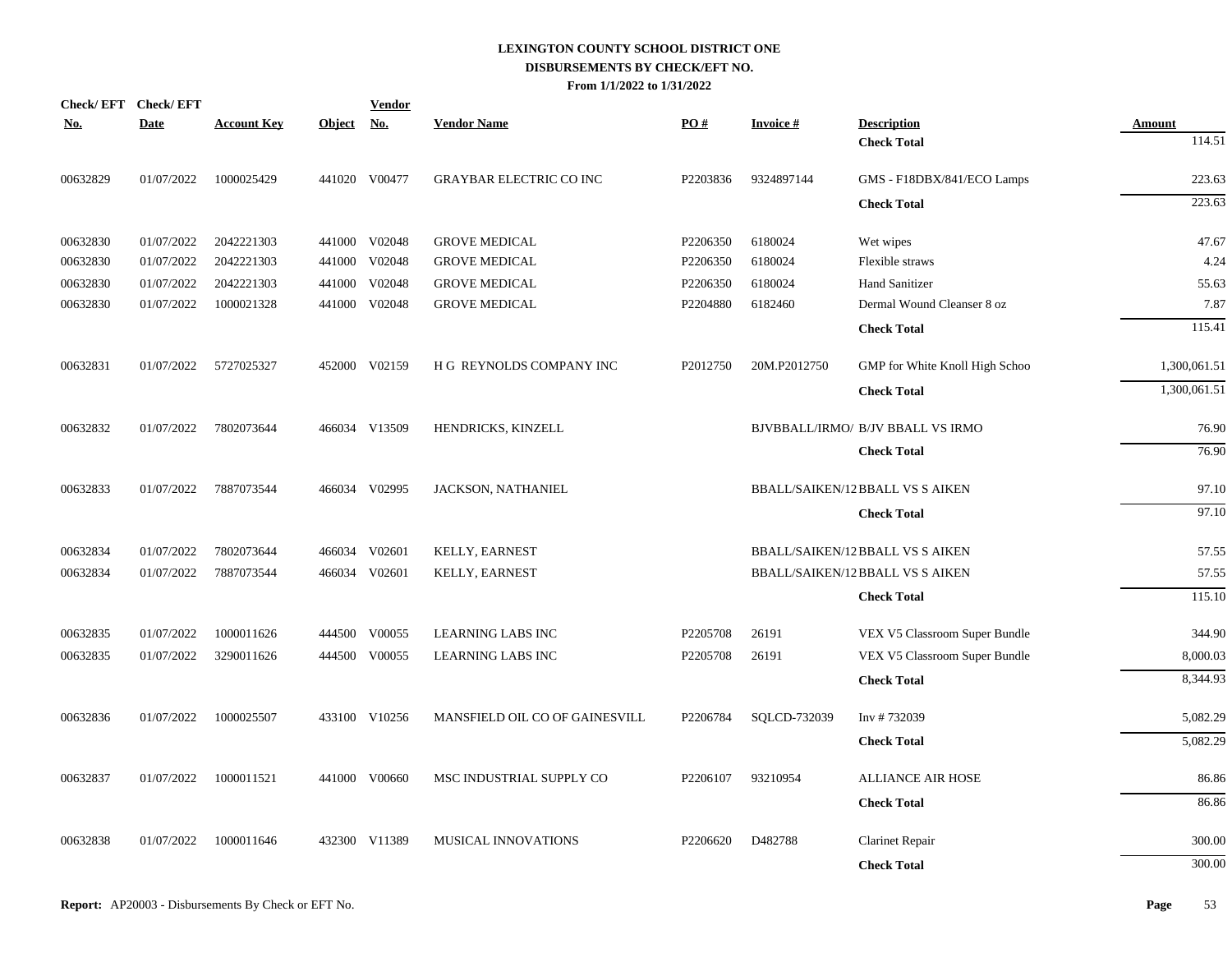|          | Check/EFT Check/EFT |                    |            | <b>Vendor</b> |                                |                      |                 |                                          |                         |
|----------|---------------------|--------------------|------------|---------------|--------------------------------|----------------------|-----------------|------------------------------------------|-------------------------|
| No.      | <b>Date</b>         | <b>Account Key</b> | Object No. |               | <b>Vendor Name</b>             | PO#                  | <b>Invoice#</b> | <b>Description</b><br><b>Check Total</b> | <b>Amount</b><br>114.51 |
|          |                     |                    |            |               |                                |                      |                 |                                          |                         |
| 00632829 | 01/07/2022          | 1000025429         |            | 441020 V00477 | <b>GRAYBAR ELECTRIC CO INC</b> | P2203836             | 9324897144      | GMS - F18DBX/841/ECO Lamps               | 223.63                  |
|          |                     |                    |            |               |                                |                      |                 | <b>Check Total</b>                       | 223.63                  |
| 00632830 | 01/07/2022          | 2042221303         |            | 441000 V02048 | <b>GROVE MEDICAL</b>           | P2206350             | 6180024         | Wet wipes                                | 47.67                   |
| 00632830 | 01/07/2022          | 2042221303         |            | 441000 V02048 | <b>GROVE MEDICAL</b>           | P2206350             | 6180024         | Flexible straws                          | 4.24                    |
| 00632830 | 01/07/2022          | 2042221303         |            | 441000 V02048 | <b>GROVE MEDICAL</b>           | P2206350             | 6180024         | Hand Sanitizer                           | 55.63                   |
| 00632830 | 01/07/2022          | 1000021328         |            | 441000 V02048 | <b>GROVE MEDICAL</b>           | P2204880             | 6182460         | Dermal Wound Cleanser 8 oz               | 7.87                    |
|          |                     |                    |            |               |                                |                      |                 | <b>Check Total</b>                       | 115.41                  |
| 00632831 | 01/07/2022          | 5727025327         |            | 452000 V02159 | H G REYNOLDS COMPANY INC       | P2012750             | 20M.P2012750    | GMP for White Knoll High Schoo           | 1,300,061.51            |
|          |                     |                    |            |               |                                |                      |                 | <b>Check Total</b>                       | 1,300,061.51            |
| 00632832 | 01/07/2022          | 7802073644         |            | 466034 V13509 | HENDRICKS, KINZELL             |                      |                 | BJVBBALL/IRMO/ B/JV BBALL VS IRMO        | 76.90                   |
|          |                     |                    |            |               |                                |                      |                 | <b>Check Total</b>                       | 76.90                   |
| 00632833 | 01/07/2022          | 7887073544         |            | 466034 V02995 | JACKSON, NATHANIEL             |                      |                 | <b>BBALL/SAIKEN/12 BBALL VS S AIKEN</b>  | 97.10                   |
|          |                     |                    |            |               |                                |                      |                 | <b>Check Total</b>                       | 97.10                   |
| 00632834 | 01/07/2022          | 7802073644         |            | 466034 V02601 | KELLY, EARNEST                 |                      |                 | <b>BBALL/SAIKEN/12 BBALL VS S AIKEN</b>  | 57.55                   |
| 00632834 | 01/07/2022          | 7887073544         |            | 466034 V02601 | KELLY, EARNEST                 |                      |                 | <b>BBALL/SAIKEN/12 BBALL VS S AIKEN</b>  | 57.55                   |
|          |                     |                    |            |               |                                |                      |                 | <b>Check Total</b>                       | 115.10                  |
| 00632835 | 01/07/2022          | 1000011626         |            | 444500 V00055 | <b>LEARNING LABS INC</b>       | P2205708             | 26191           | VEX V5 Classroom Super Bundle            | 344.90                  |
| 00632835 | 01/07/2022          | 3290011626         |            | 444500 V00055 | <b>LEARNING LABS INC</b>       | P <sub>2205708</sub> | 26191           | VEX V5 Classroom Super Bundle            | 8,000.03                |
|          |                     |                    |            |               |                                |                      |                 | <b>Check Total</b>                       | 8,344.93                |
| 00632836 | 01/07/2022          | 1000025507         |            | 433100 V10256 | MANSFIELD OIL CO OF GAINESVILL | P2206784             | SQLCD-732039    | Inv #732039                              | 5,082.29                |
|          |                     |                    |            |               |                                |                      |                 | <b>Check Total</b>                       | 5,082.29                |
| 00632837 | 01/07/2022          | 1000011521         |            | 441000 V00660 | MSC INDUSTRIAL SUPPLY CO       | P2206107             | 93210954        | <b>ALLIANCE AIR HOSE</b>                 | 86.86                   |
|          |                     |                    |            |               |                                |                      |                 | <b>Check Total</b>                       | 86.86                   |
| 00632838 | 01/07/2022          | 1000011646         |            | 432300 V11389 | MUSICAL INNOVATIONS            | P2206620             | D482788         | <b>Clarinet Repair</b>                   | 300.00                  |
|          |                     |                    |            |               |                                |                      |                 | <b>Check Total</b>                       | 300.00                  |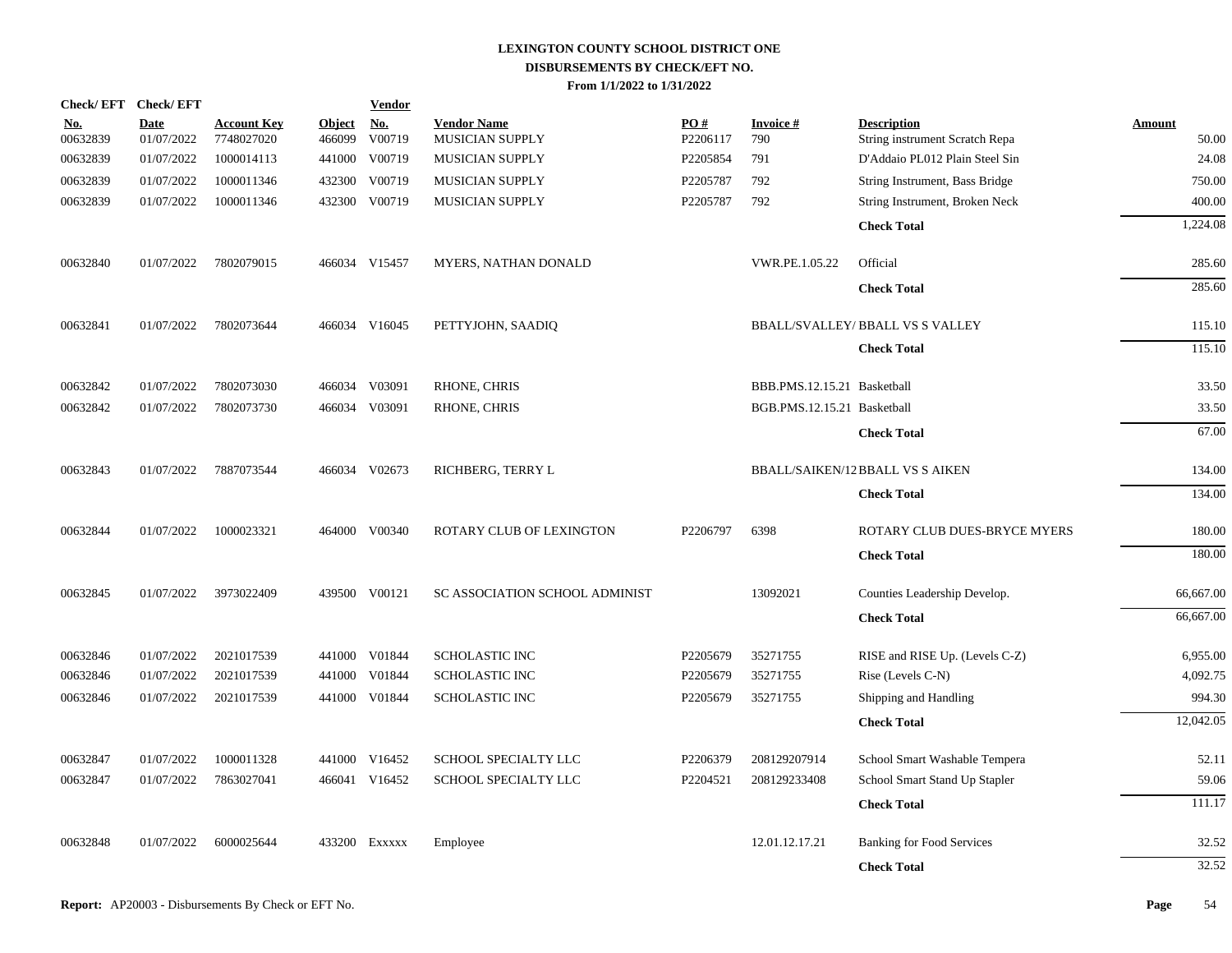| Check/EFT Check/EFT    |                           |                                  |                         | <u>Vendor</u>        |                                       |                 |                             |                                                      |                        |
|------------------------|---------------------------|----------------------------------|-------------------------|----------------------|---------------------------------------|-----------------|-----------------------------|------------------------------------------------------|------------------------|
| <u>No.</u><br>00632839 | <b>Date</b><br>01/07/2022 | <b>Account Key</b><br>7748027020 | <b>Object</b><br>466099 | <u>No.</u><br>V00719 | <b>Vendor Name</b><br>MUSICIAN SUPPLY | PO#<br>P2206117 | <b>Invoice#</b><br>790      | <b>Description</b><br>String instrument Scratch Repa | <b>Amount</b><br>50.00 |
| 00632839               | 01/07/2022                | 1000014113                       | 441000                  | V00719               | MUSICIAN SUPPLY                       | P2205854        | 791                         | D'Addaio PL012 Plain Steel Sin                       | 24.08                  |
| 00632839               | 01/07/2022                | 1000011346                       | 432300                  | V00719               | MUSICIAN SUPPLY                       | P2205787        | 792                         | String Instrument, Bass Bridge                       | 750.00                 |
| 00632839               | 01/07/2022                | 1000011346                       | 432300                  | V00719               | <b>MUSICIAN SUPPLY</b>                | P2205787        | 792                         | String Instrument, Broken Neck                       | 400.00                 |
|                        |                           |                                  |                         |                      |                                       |                 |                             | <b>Check Total</b>                                   | 1,224.08               |
| 00632840               | 01/07/2022                | 7802079015                       |                         | 466034 V15457        | MYERS, NATHAN DONALD                  |                 | VWR.PE.1.05.22              | Official                                             | 285.60                 |
|                        |                           |                                  |                         |                      |                                       |                 |                             | <b>Check Total</b>                                   | 285.60                 |
| 00632841               | 01/07/2022                | 7802073644                       |                         | 466034 V16045        | PETTYJOHN, SAADIQ                     |                 |                             | <b>BBALL/SVALLEY/ BBALL VS S VALLEY</b>              | 115.10                 |
|                        |                           |                                  |                         |                      |                                       |                 |                             | <b>Check Total</b>                                   | 115.10                 |
| 00632842               | 01/07/2022                | 7802073030                       |                         | 466034 V03091        | RHONE, CHRIS                          |                 | BBB.PMS.12.15.21 Basketball |                                                      | 33.50                  |
| 00632842               | 01/07/2022                | 7802073730                       | 466034                  | V03091               | RHONE, CHRIS                          |                 | BGB.PMS.12.15.21 Basketball |                                                      | 33.50                  |
|                        |                           |                                  |                         |                      |                                       |                 |                             | <b>Check Total</b>                                   | 67.00                  |
| 00632843               | 01/07/2022                | 7887073544                       |                         | 466034 V02673        | RICHBERG, TERRY L                     |                 |                             | <b>BBALL/SAIKEN/12 BBALL VS S AIKEN</b>              | 134.00                 |
|                        |                           |                                  |                         |                      |                                       |                 |                             | <b>Check Total</b>                                   | 134.00                 |
| 00632844               | 01/07/2022                | 1000023321                       |                         | 464000 V00340        | ROTARY CLUB OF LEXINGTON              | P2206797        | 6398                        | ROTARY CLUB DUES-BRYCE MYERS                         | 180.00                 |
|                        |                           |                                  |                         |                      |                                       |                 |                             | <b>Check Total</b>                                   | 180.00                 |
| 00632845               | 01/07/2022                | 3973022409                       |                         | 439500 V00121        | SC ASSOCIATION SCHOOL ADMINIST        |                 | 13092021                    | Counties Leadership Develop.                         | 66,667.00              |
|                        |                           |                                  |                         |                      |                                       |                 |                             | <b>Check Total</b>                                   | 66,667.00              |
| 00632846               | 01/07/2022                | 2021017539                       |                         | 441000 V01844        | <b>SCHOLASTIC INC</b>                 | P2205679        | 35271755                    | RISE and RISE Up. (Levels C-Z)                       | 6,955.00               |
| 00632846               | 01/07/2022                | 2021017539                       | 441000                  | V01844               | <b>SCHOLASTIC INC</b>                 | P2205679        | 35271755                    | Rise (Levels C-N)                                    | 4,092.75               |
| 00632846               | 01/07/2022                | 2021017539                       |                         | 441000 V01844        | <b>SCHOLASTIC INC</b>                 | P2205679        | 35271755                    | Shipping and Handling                                | 994.30                 |
|                        |                           |                                  |                         |                      |                                       |                 |                             | <b>Check Total</b>                                   | 12,042.05              |
| 00632847               | 01/07/2022                | 1000011328                       |                         | 441000 V16452        | SCHOOL SPECIALTY LLC                  | P2206379        | 208129207914                | School Smart Washable Tempera                        | 52.11                  |
| 00632847               | 01/07/2022                | 7863027041                       |                         | 466041 V16452        | SCHOOL SPECIALTY LLC                  | P2204521        | 208129233408                | School Smart Stand Up Stapler                        | 59.06                  |
|                        |                           |                                  |                         |                      |                                       |                 |                             | <b>Check Total</b>                                   | 111.17                 |
| 00632848               | 01/07/2022                | 6000025644                       |                         | 433200 Exxxxx        | Employee                              |                 | 12.01.12.17.21              | <b>Banking for Food Services</b>                     | 32.52                  |
|                        |                           |                                  |                         |                      |                                       |                 |                             | <b>Check Total</b>                                   | 32.52                  |
|                        |                           |                                  |                         |                      |                                       |                 |                             |                                                      |                        |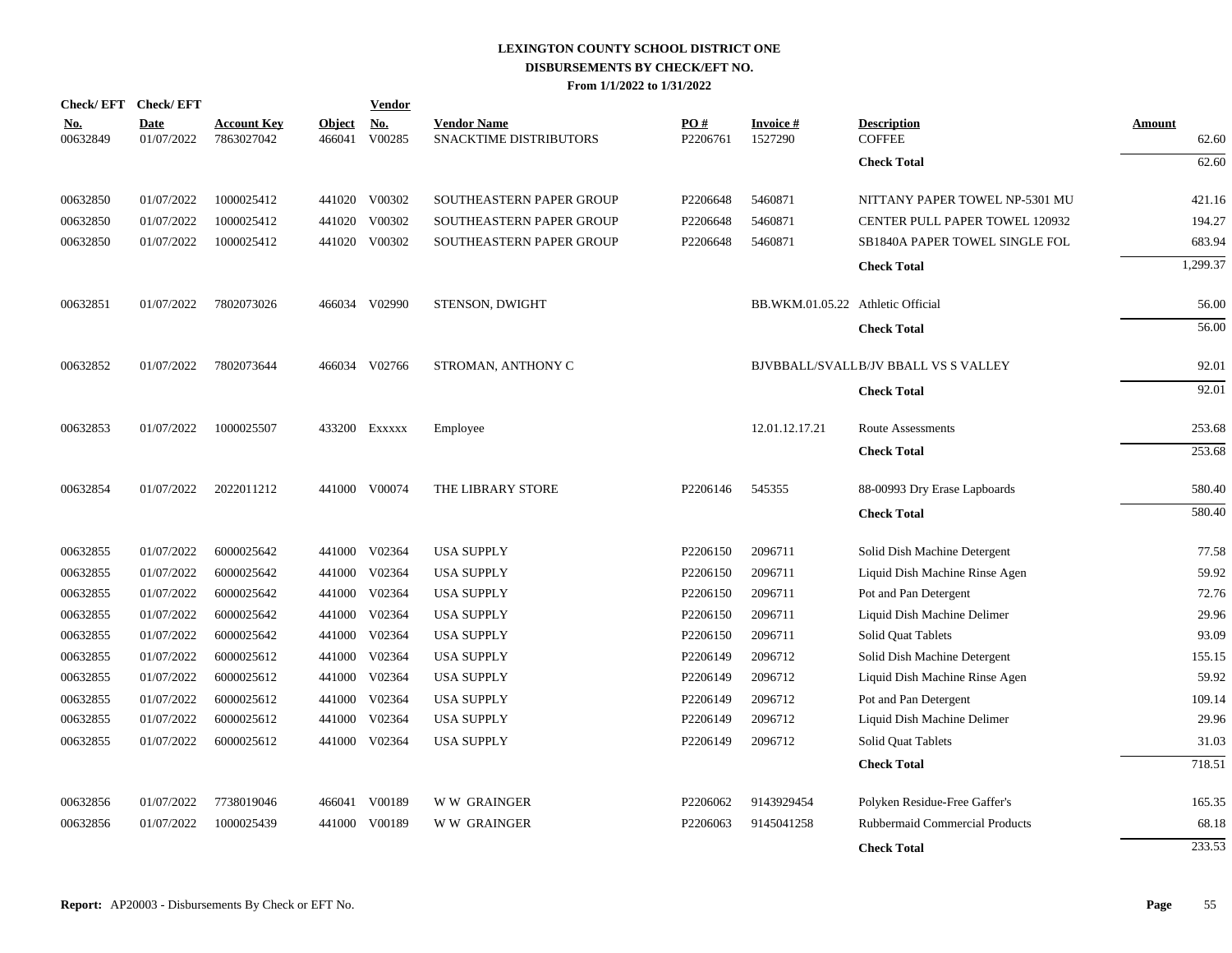| Check/EFT Check/EFT    |                           |                                  |                         | <b>Vendor</b> |                                              |                 |                                   |                                      |                 |
|------------------------|---------------------------|----------------------------------|-------------------------|---------------|----------------------------------------------|-----------------|-----------------------------------|--------------------------------------|-----------------|
| <u>No.</u><br>00632849 | <b>Date</b><br>01/07/2022 | <b>Account Key</b><br>7863027042 | <b>Object</b><br>466041 | No.<br>V00285 | <b>Vendor Name</b><br>SNACKTIME DISTRIBUTORS | PO#<br>P2206761 | <b>Invoice#</b><br>1527290        | <b>Description</b><br><b>COFFEE</b>  | Amount<br>62.60 |
|                        |                           |                                  |                         |               |                                              |                 |                                   | <b>Check Total</b>                   | 62.60           |
| 00632850               | 01/07/2022                | 1000025412                       |                         | 441020 V00302 | SOUTHEASTERN PAPER GROUP                     | P2206648        | 5460871                           | NITTANY PAPER TOWEL NP-5301 MU       | 421.16          |
| 00632850               | 01/07/2022                | 1000025412                       | 441020                  | V00302        | SOUTHEASTERN PAPER GROUP                     | P2206648        | 5460871                           | CENTER PULL PAPER TOWEL 120932       | 194.27          |
| 00632850               | 01/07/2022                | 1000025412                       |                         | 441020 V00302 | SOUTHEASTERN PAPER GROUP                     | P2206648        | 5460871                           | SB1840A PAPER TOWEL SINGLE FOL       | 683.94          |
|                        |                           |                                  |                         |               |                                              |                 |                                   | <b>Check Total</b>                   | 1,299.37        |
| 00632851               | 01/07/2022                | 7802073026                       |                         | 466034 V02990 | STENSON, DWIGHT                              |                 | BB.WKM.01.05.22 Athletic Official |                                      | 56.00           |
|                        |                           |                                  |                         |               |                                              |                 |                                   | <b>Check Total</b>                   | 56.00           |
| 00632852               | 01/07/2022                | 7802073644                       |                         | 466034 V02766 | STROMAN, ANTHONY C                           |                 |                                   | BJVBBALL/SVALLB/JV BBALL VS S VALLEY | 92.01           |
|                        |                           |                                  |                         |               |                                              |                 |                                   | <b>Check Total</b>                   | 92.01           |
| 00632853               | 01/07/2022                | 1000025507                       |                         | 433200 Exxxxx | Employee                                     |                 | 12.01.12.17.21                    | <b>Route Assessments</b>             | 253.68          |
|                        |                           |                                  |                         |               |                                              |                 |                                   | <b>Check Total</b>                   | 253.68          |
| 00632854               | 01/07/2022                | 2022011212                       |                         | 441000 V00074 | THE LIBRARY STORE                            | P2206146        | 545355                            | 88-00993 Dry Erase Lapboards         | 580.40          |
|                        |                           |                                  |                         |               |                                              |                 |                                   | <b>Check Total</b>                   | 580.40          |
| 00632855               | 01/07/2022                | 6000025642                       |                         | 441000 V02364 | <b>USA SUPPLY</b>                            | P2206150        | 2096711                           | Solid Dish Machine Detergent         | 77.58           |
| 00632855               | 01/07/2022                | 6000025642                       | 441000                  | V02364        | <b>USA SUPPLY</b>                            | P2206150        | 2096711                           | Liquid Dish Machine Rinse Agen       | 59.92           |
| 00632855               | 01/07/2022                | 6000025642                       | 441000                  | V02364        | <b>USA SUPPLY</b>                            | P2206150        | 2096711                           | Pot and Pan Detergent                | 72.76           |
| 00632855               | 01/07/2022                | 6000025642                       | 441000                  | V02364        | <b>USA SUPPLY</b>                            | P2206150        | 2096711                           | Liquid Dish Machine Delimer          | 29.96           |
| 00632855               | 01/07/2022                | 6000025642                       | 441000                  | V02364        | <b>USA SUPPLY</b>                            | P2206150        | 2096711                           | Solid Quat Tablets                   | 93.09           |
| 00632855               | 01/07/2022                | 6000025612                       | 441000                  | V02364        | <b>USA SUPPLY</b>                            | P2206149        | 2096712                           | Solid Dish Machine Detergent         | 155.15          |
| 00632855               | 01/07/2022                | 6000025612                       |                         | 441000 V02364 | <b>USA SUPPLY</b>                            | P2206149        | 2096712                           | Liquid Dish Machine Rinse Agen       | 59.92           |
| 00632855               | 01/07/2022                | 6000025612                       | 441000                  | V02364        | <b>USA SUPPLY</b>                            | P2206149        | 2096712                           | Pot and Pan Detergent                | 109.14          |
| 00632855               | 01/07/2022                | 6000025612                       | 441000                  | V02364        | <b>USA SUPPLY</b>                            | P2206149        | 2096712                           | Liquid Dish Machine Delimer          | 29.96           |
| 00632855               | 01/07/2022                | 6000025612                       | 441000                  | V02364        | <b>USA SUPPLY</b>                            | P2206149        | 2096712                           | Solid Quat Tablets                   | 31.03           |
|                        |                           |                                  |                         |               |                                              |                 |                                   | <b>Check Total</b>                   | 718.51          |
| 00632856               | 01/07/2022                | 7738019046                       |                         | 466041 V00189 | <b>WW GRAINGER</b>                           | P2206062        | 9143929454                        | Polyken Residue-Free Gaffer's        | 165.35          |
| 00632856               | 01/07/2022                | 1000025439                       | 441000                  | V00189        | <b>WW GRAINGER</b>                           | P2206063        | 9145041258                        | Rubbermaid Commercial Products       | 68.18           |
|                        |                           |                                  |                         |               |                                              |                 |                                   | <b>Check Total</b>                   | 233.53          |
|                        |                           |                                  |                         |               |                                              |                 |                                   |                                      |                 |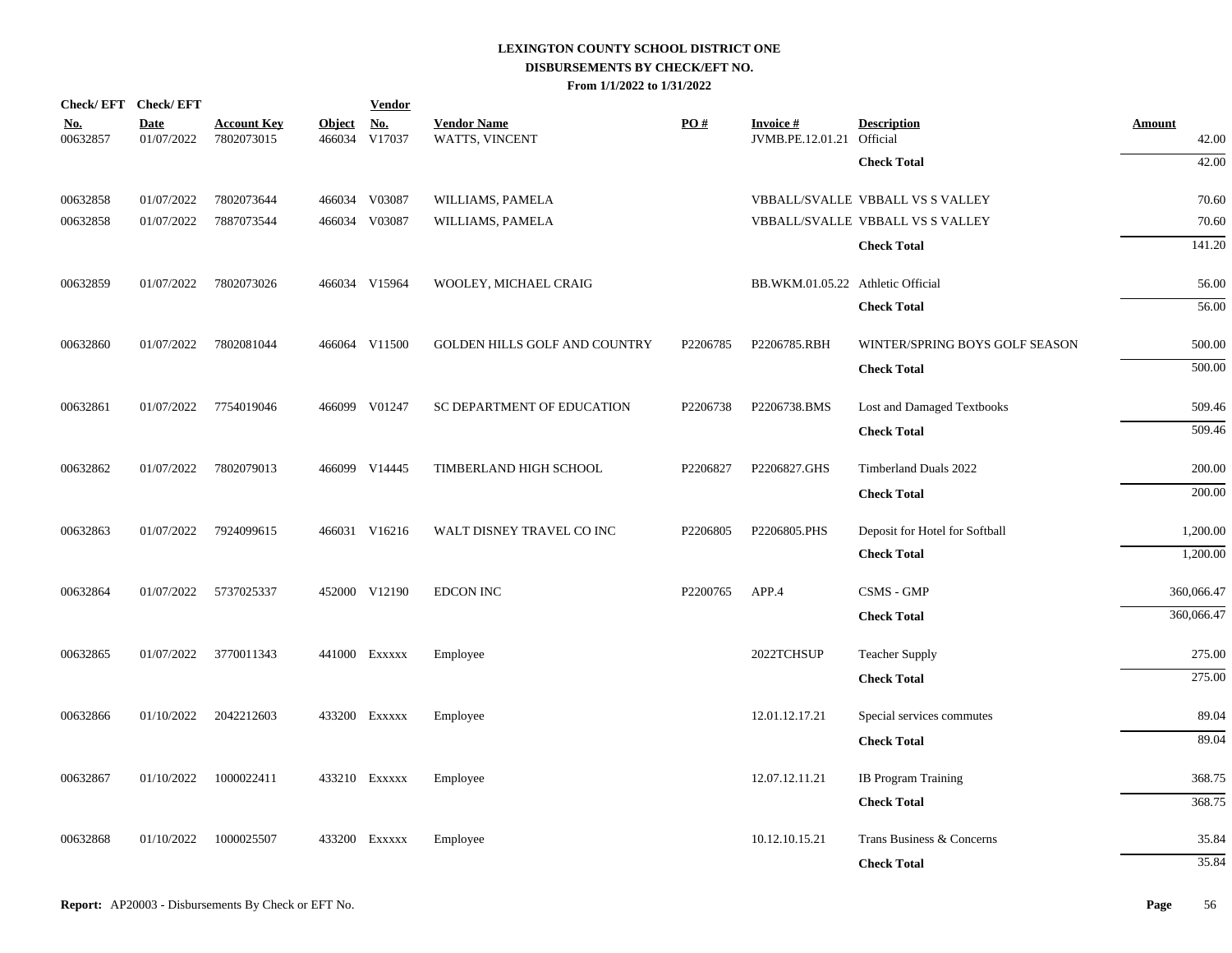| Check/EFT Check/EFT    |                           |                                  |                         | <b>Vendor</b>        |                                      |                   |                                     |                                  |                        |
|------------------------|---------------------------|----------------------------------|-------------------------|----------------------|--------------------------------------|-------------------|-------------------------------------|----------------------------------|------------------------|
| <u>No.</u><br>00632857 | <b>Date</b><br>01/07/2022 | <b>Account Key</b><br>7802073015 | <b>Object</b><br>466034 | <u>No.</u><br>V17037 | <b>Vendor Name</b><br>WATTS, VINCENT | $\underline{PO#}$ | <b>Invoice#</b><br>JVMB.PE.12.01.21 | <b>Description</b><br>Official   | <b>Amount</b><br>42.00 |
|                        |                           |                                  |                         |                      |                                      |                   |                                     | <b>Check Total</b>               | 42.00                  |
| 00632858               | 01/07/2022                | 7802073644                       |                         | 466034 V03087        | WILLIAMS, PAMELA                     |                   |                                     | VBBALL/SVALLE VBBALL VS S VALLEY | 70.60                  |
| 00632858               | 01/07/2022                | 7887073544                       |                         | 466034 V03087        | WILLIAMS, PAMELA                     |                   |                                     | VBBALL/SVALLE VBBALL VS S VALLEY | 70.60                  |
|                        |                           |                                  |                         |                      |                                      |                   |                                     | <b>Check Total</b>               | 141.20                 |
| 00632859               | 01/07/2022                | 7802073026                       |                         | 466034 V15964        | WOOLEY, MICHAEL CRAIG                |                   | BB.WKM.01.05.22 Athletic Official   |                                  | 56.00                  |
|                        |                           |                                  |                         |                      |                                      |                   |                                     | <b>Check Total</b>               | 56.00                  |
| 00632860               | 01/07/2022                | 7802081044                       |                         | 466064 V11500        | <b>GOLDEN HILLS GOLF AND COUNTRY</b> | P2206785          | P2206785.RBH                        | WINTER/SPRING BOYS GOLF SEASON   | 500.00                 |
|                        |                           |                                  |                         |                      |                                      |                   |                                     | <b>Check Total</b>               | 500.00                 |
| 00632861               |                           | 01/07/2022 7754019046            |                         | 466099 V01247        | SC DEPARTMENT OF EDUCATION           | P2206738          | P2206738.BMS                        | Lost and Damaged Textbooks       | 509.46                 |
|                        |                           |                                  |                         |                      |                                      |                   |                                     | <b>Check Total</b>               | 509.46                 |
| 00632862               | 01/07/2022                | 7802079013                       |                         | 466099 V14445        | TIMBERLAND HIGH SCHOOL               | P2206827          | P2206827.GHS                        | Timberland Duals 2022            | 200.00                 |
|                        |                           |                                  |                         |                      |                                      |                   |                                     | <b>Check Total</b>               | 200.00                 |
| 00632863               | 01/07/2022                | 7924099615                       |                         | 466031 V16216        | WALT DISNEY TRAVEL CO INC            | P2206805          | P2206805.PHS                        | Deposit for Hotel for Softball   | 1,200.00               |
|                        |                           |                                  |                         |                      |                                      |                   |                                     | <b>Check Total</b>               | 1,200.00               |
| 00632864               | 01/07/2022 5737025337     |                                  |                         | 452000 V12190        | <b>EDCON INC</b>                     | P2200765          | APP.4                               | CSMS - GMP                       | 360,066.47             |
|                        |                           |                                  |                         |                      |                                      |                   |                                     | <b>Check Total</b>               | 360,066.47             |
| 00632865               |                           | 01/07/2022 3770011343            |                         | 441000 Exxxxx        | Employee                             |                   | 2022TCHSUP                          | <b>Teacher Supply</b>            | 275.00                 |
|                        |                           |                                  |                         |                      |                                      |                   |                                     | <b>Check Total</b>               | 275.00                 |
| 00632866               | 01/10/2022                | 2042212603                       |                         | 433200 Exxxxx        | Employee                             |                   | 12.01.12.17.21                      | Special services commutes        | 89.04                  |
|                        |                           |                                  |                         |                      |                                      |                   |                                     | <b>Check Total</b>               | 89.04                  |
| 00632867               | 01/10/2022                | 1000022411                       |                         | 433210 Exxxxx        | Employee                             |                   | 12.07.12.11.21                      | <b>IB Program Training</b>       | 368.75                 |
|                        |                           |                                  |                         |                      |                                      |                   |                                     | <b>Check Total</b>               | 368.75                 |
| 00632868               | 01/10/2022                | 1000025507                       |                         | 433200 Exxxxx        | Employee                             |                   | 10.12.10.15.21                      | Trans Business & Concerns        | 35.84                  |
|                        |                           |                                  |                         |                      |                                      |                   |                                     | <b>Check Total</b>               | 35.84                  |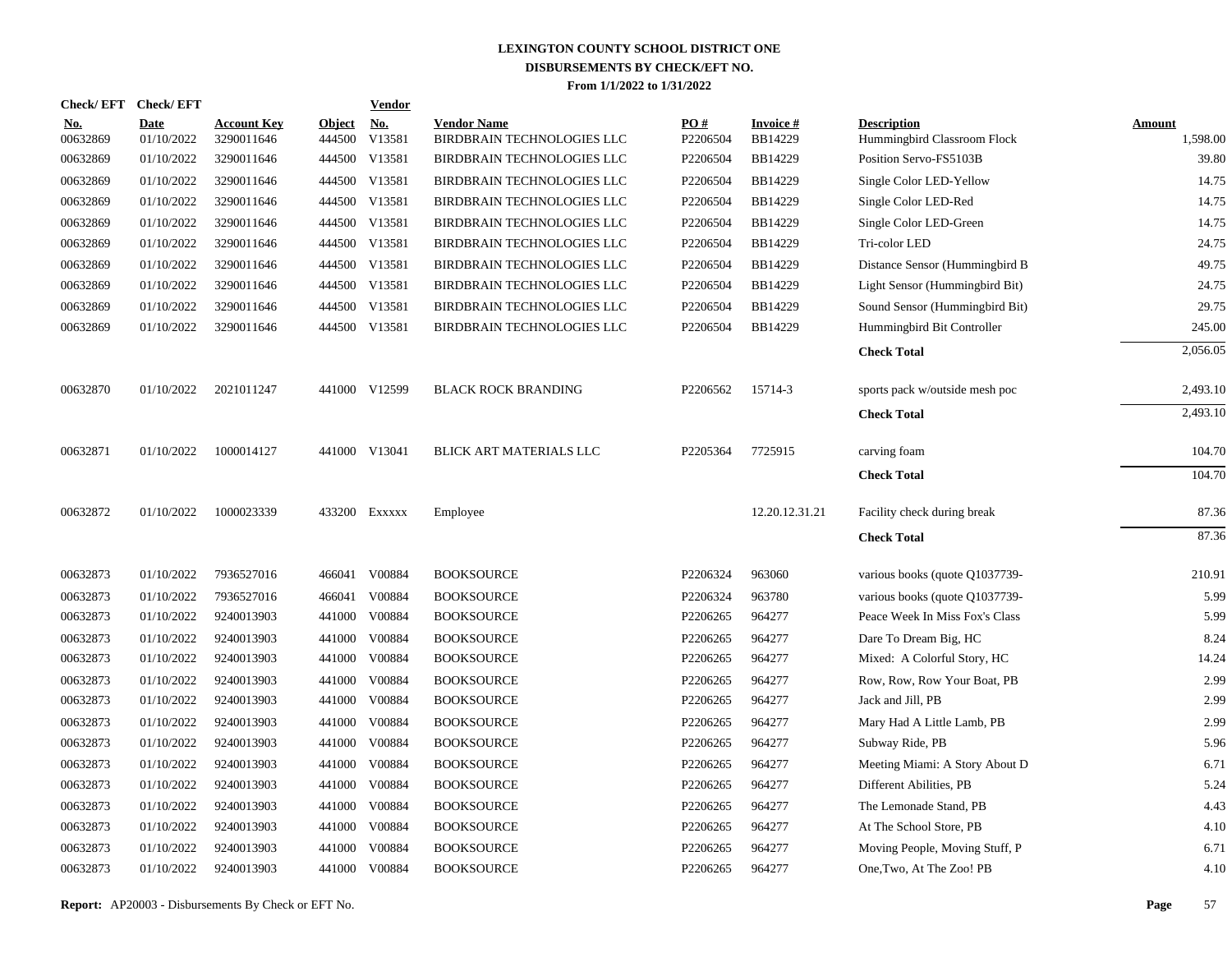| <b>Check/EFT</b>       | <b>Check/EFT</b>          |                                  |                         | <u>Vendor</u>        |                                                  |                 |                            |                                                   |                           |
|------------------------|---------------------------|----------------------------------|-------------------------|----------------------|--------------------------------------------------|-----------------|----------------------------|---------------------------------------------------|---------------------------|
| <u>No.</u><br>00632869 | <b>Date</b><br>01/10/2022 | <b>Account Key</b><br>3290011646 | <b>Object</b><br>444500 | <u>No.</u><br>V13581 | <b>Vendor Name</b><br>BIRDBRAIN TECHNOLOGIES LLC | PO#<br>P2206504 | <b>Invoice#</b><br>BB14229 | <b>Description</b><br>Hummingbird Classroom Flock | <b>Amount</b><br>1,598.00 |
| 00632869               | 01/10/2022                | 3290011646                       |                         | 444500 V13581        | BIRDBRAIN TECHNOLOGIES LLC                       | P2206504        | BB14229                    | Position Servo-FS5103B                            | 39.80                     |
| 00632869               | 01/10/2022                | 3290011646                       |                         | 444500 V13581        | BIRDBRAIN TECHNOLOGIES LLC                       | P2206504        | BB14229                    | Single Color LED-Yellow                           | 14.75                     |
| 00632869               | 01/10/2022                | 3290011646                       |                         | 444500 V13581        | BIRDBRAIN TECHNOLOGIES LLC                       | P2206504        | BB14229                    | Single Color LED-Red                              | 14.75                     |
| 00632869               | 01/10/2022                | 3290011646                       |                         | 444500 V13581        | BIRDBRAIN TECHNOLOGIES LLC                       | P2206504        | BB14229                    | Single Color LED-Green                            | 14.75                     |
| 00632869               | 01/10/2022                | 3290011646                       |                         | 444500 V13581        | BIRDBRAIN TECHNOLOGIES LLC                       | P2206504        | BB14229                    | Tri-color LED                                     | 24.75                     |
| 00632869               | 01/10/2022                | 3290011646                       |                         | 444500 V13581        | BIRDBRAIN TECHNOLOGIES LLC                       | P2206504        | BB14229                    | Distance Sensor (Hummingbird B                    | 49.75                     |
| 00632869               | 01/10/2022                | 3290011646                       |                         | 444500 V13581        | BIRDBRAIN TECHNOLOGIES LLC                       | P2206504        | BB14229                    | Light Sensor (Hummingbird Bit)                    | 24.75                     |
| 00632869               | 01/10/2022                | 3290011646                       |                         | 444500 V13581        | BIRDBRAIN TECHNOLOGIES LLC                       | P2206504        | BB14229                    | Sound Sensor (Hummingbird Bit)                    | 29.75                     |
| 00632869               | 01/10/2022                | 3290011646                       |                         | 444500 V13581        | BIRDBRAIN TECHNOLOGIES LLC                       | P2206504        | BB14229                    | Hummingbird Bit Controller                        | 245.00                    |
|                        |                           |                                  |                         |                      |                                                  |                 |                            | <b>Check Total</b>                                | 2,056.05                  |
| 00632870               | 01/10/2022                | 2021011247                       |                         | 441000 V12599        | <b>BLACK ROCK BRANDING</b>                       | P2206562        | 15714-3                    | sports pack w/outside mesh poc                    | 2,493.10                  |
|                        |                           |                                  |                         |                      |                                                  |                 |                            | <b>Check Total</b>                                | 2,493.10                  |
| 00632871               | 01/10/2022                | 1000014127                       |                         | 441000 V13041        | BLICK ART MATERIALS LLC                          | P2205364        | 7725915                    | carving foam                                      | 104.70                    |
|                        |                           |                                  |                         |                      |                                                  |                 |                            | <b>Check Total</b>                                | 104.70                    |
| 00632872               | 01/10/2022                | 1000023339                       |                         | 433200 EXXXXX        | Employee                                         |                 | 12.20.12.31.21             | Facility check during break                       | 87.36                     |
|                        |                           |                                  |                         |                      |                                                  |                 |                            | <b>Check Total</b>                                | 87.36                     |
| 00632873               | 01/10/2022                | 7936527016                       |                         | 466041 V00884        | <b>BOOKSOURCE</b>                                | P2206324        | 963060                     | various books (quote Q1037739-                    | 210.91                    |
| 00632873               | 01/10/2022                | 7936527016                       | 466041                  | V00884               | <b>BOOKSOURCE</b>                                | P2206324        | 963780                     | various books (quote Q1037739-                    | 5.99                      |
| 00632873               | 01/10/2022                | 9240013903                       |                         | 441000 V00884        | <b>BOOKSOURCE</b>                                | P2206265        | 964277                     | Peace Week In Miss Fox's Class                    | 5.99                      |
| 00632873               | 01/10/2022                | 9240013903                       |                         | 441000 V00884        | <b>BOOKSOURCE</b>                                | P2206265        | 964277                     | Dare To Dream Big, HC                             | 8.24                      |
| 00632873               | 01/10/2022                | 9240013903                       |                         | 441000 V00884        | <b>BOOKSOURCE</b>                                | P2206265        | 964277                     | Mixed: A Colorful Story, HC                       | 14.24                     |
| 00632873               | 01/10/2022                | 9240013903                       |                         | 441000 V00884        | <b>BOOKSOURCE</b>                                | P2206265        | 964277                     | Row, Row, Row Your Boat, PB                       | 2.99                      |
| 00632873               | 01/10/2022                | 9240013903                       |                         | 441000 V00884        | <b>BOOKSOURCE</b>                                | P2206265        | 964277                     | Jack and Jill, PB                                 | 2.99                      |
| 00632873               | 01/10/2022                | 9240013903                       |                         | 441000 V00884        | <b>BOOKSOURCE</b>                                | P2206265        | 964277                     | Mary Had A Little Lamb, PB                        | 2.99                      |
| 00632873               | 01/10/2022                | 9240013903                       |                         | 441000 V00884        | <b>BOOKSOURCE</b>                                | P2206265        | 964277                     | Subway Ride, PB                                   | 5.96                      |
| 00632873               | 01/10/2022                | 9240013903                       |                         | 441000 V00884        | <b>BOOKSOURCE</b>                                | P2206265        | 964277                     | Meeting Miami: A Story About D                    | 6.71                      |
| 00632873               | 01/10/2022                | 9240013903                       |                         | 441000 V00884        | <b>BOOKSOURCE</b>                                | P2206265        | 964277                     | Different Abilities, PB                           | 5.24                      |
| 00632873               | 01/10/2022                | 9240013903                       |                         | 441000 V00884        | <b>BOOKSOURCE</b>                                | P2206265        | 964277                     | The Lemonade Stand, PB                            | 4.43                      |
| 00632873               | 01/10/2022                | 9240013903                       |                         | 441000 V00884        | <b>BOOKSOURCE</b>                                | P2206265        | 964277                     | At The School Store, PB                           | 4.10                      |
| 00632873               | 01/10/2022                | 9240013903                       | 441000                  | V00884               | <b>BOOKSOURCE</b>                                | P2206265        | 964277                     | Moving People, Moving Stuff, P                    | 6.71                      |
| 00632873               | 01/10/2022                | 9240013903                       |                         | 441000 V00884        | <b>BOOKSOURCE</b>                                | P2206265        | 964277                     | One, Two, At The Zoo! PB                          | 4.10                      |
|                        |                           |                                  |                         |                      |                                                  |                 |                            |                                                   |                           |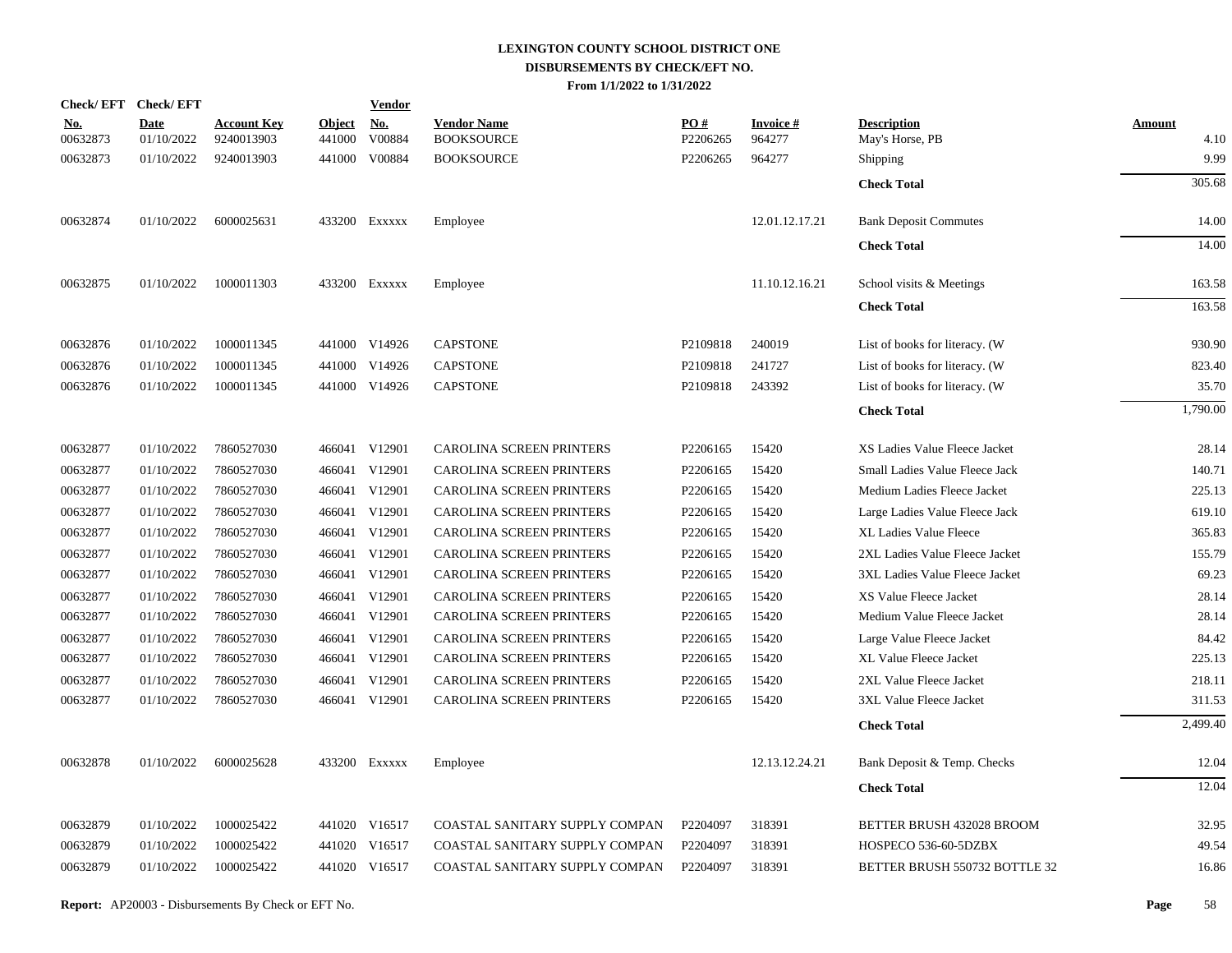| Check/EFT Check/EFT    |                           |                                  |                         | <b>Vendor</b>        |                                         |                 |                            |                                       |                       |
|------------------------|---------------------------|----------------------------------|-------------------------|----------------------|-----------------------------------------|-----------------|----------------------------|---------------------------------------|-----------------------|
| <u>No.</u><br>00632873 | <b>Date</b><br>01/10/2022 | <b>Account Key</b><br>9240013903 | <b>Object</b><br>441000 | <u>No.</u><br>V00884 | <b>Vendor Name</b><br><b>BOOKSOURCE</b> | PO#<br>P2206265 | <u>Invoice #</u><br>964277 | <b>Description</b><br>May's Horse, PB | <b>Amount</b><br>4.10 |
| 00632873               | 01/10/2022                | 9240013903                       |                         | 441000 V00884        | <b>BOOKSOURCE</b>                       | P2206265        | 964277                     | Shipping                              | 9.99                  |
|                        |                           |                                  |                         |                      |                                         |                 |                            | <b>Check Total</b>                    | 305.68                |
| 00632874               | 01/10/2022                | 6000025631                       |                         | 433200 EXXXXX        | Employee                                |                 | 12.01.12.17.21             | <b>Bank Deposit Commutes</b>          | 14.00                 |
|                        |                           |                                  |                         |                      |                                         |                 |                            | <b>Check Total</b>                    | 14.00                 |
| 00632875               | 01/10/2022                | 1000011303                       |                         | 433200 EXXXXX        | Employee                                |                 | 11.10.12.16.21             | School visits & Meetings              | 163.58                |
|                        |                           |                                  |                         |                      |                                         |                 |                            | <b>Check Total</b>                    | 163.58                |
| 00632876               | 01/10/2022                | 1000011345                       |                         | 441000 V14926        | <b>CAPSTONE</b>                         | P2109818        | 240019                     | List of books for literacy. (W        | 930.90                |
| 00632876               | 01/10/2022                | 1000011345                       |                         | 441000 V14926        | <b>CAPSTONE</b>                         | P2109818        | 241727                     | List of books for literacy. (W        | 823.40                |
| 00632876               | 01/10/2022                | 1000011345                       |                         | 441000 V14926        | <b>CAPSTONE</b>                         | P2109818        | 243392                     | List of books for literacy. (W        | 35.70                 |
|                        |                           |                                  |                         |                      |                                         |                 |                            | <b>Check Total</b>                    | 1,790.00              |
| 00632877               | 01/10/2022                | 7860527030                       |                         | 466041 V12901        | <b>CAROLINA SCREEN PRINTERS</b>         | P2206165        | 15420                      | XS Ladies Value Fleece Jacket         | 28.14                 |
| 00632877               | 01/10/2022                | 7860527030                       |                         | 466041 V12901        | CAROLINA SCREEN PRINTERS                | P2206165        | 15420                      | Small Ladies Value Fleece Jack        | 140.71                |
| 00632877               | 01/10/2022                | 7860527030                       |                         | 466041 V12901        | CAROLINA SCREEN PRINTERS                | P2206165        | 15420                      | Medium Ladies Fleece Jacket           | 225.13                |
| 00632877               | 01/10/2022                | 7860527030                       |                         | 466041 V12901        | <b>CAROLINA SCREEN PRINTERS</b>         | P2206165        | 15420                      | Large Ladies Value Fleece Jack        | 619.10                |
| 00632877               | 01/10/2022                | 7860527030                       |                         | 466041 V12901        | CAROLINA SCREEN PRINTERS                | P2206165        | 15420                      | XL Ladies Value Fleece                | 365.83                |
| 00632877               | 01/10/2022                | 7860527030                       |                         | 466041 V12901        | CAROLINA SCREEN PRINTERS                | P2206165        | 15420                      | 2XL Ladies Value Fleece Jacket        | 155.79                |
| 00632877               | 01/10/2022                | 7860527030                       |                         | 466041 V12901        | CAROLINA SCREEN PRINTERS                | P2206165        | 15420                      | 3XL Ladies Value Fleece Jacket        | 69.23                 |
| 00632877               | 01/10/2022                | 7860527030                       |                         | 466041 V12901        | CAROLINA SCREEN PRINTERS                | P2206165        | 15420                      | XS Value Fleece Jacket                | 28.14                 |
| 00632877               | 01/10/2022                | 7860527030                       |                         | 466041 V12901        | CAROLINA SCREEN PRINTERS                | P2206165        | 15420                      | Medium Value Fleece Jacket            | 28.14                 |
| 00632877               | 01/10/2022                | 7860527030                       |                         | 466041 V12901        | CAROLINA SCREEN PRINTERS                | P2206165        | 15420                      | Large Value Fleece Jacket             | 84.42                 |
| 00632877               | 01/10/2022                | 7860527030                       |                         | 466041 V12901        | <b>CAROLINA SCREEN PRINTERS</b>         | P2206165        | 15420                      | XL Value Fleece Jacket                | 225.13                |
| 00632877               | 01/10/2022                | 7860527030                       |                         | 466041 V12901        | <b>CAROLINA SCREEN PRINTERS</b>         | P2206165        | 15420                      | 2XL Value Fleece Jacket               | 218.11                |
| 00632877               | 01/10/2022                | 7860527030                       |                         | 466041 V12901        | <b>CAROLINA SCREEN PRINTERS</b>         | P2206165        | 15420                      | 3XL Value Fleece Jacket               | 311.53                |
|                        |                           |                                  |                         |                      |                                         |                 |                            | <b>Check Total</b>                    | 2,499.40              |
| 00632878               | 01/10/2022                | 6000025628                       |                         | 433200 EXXXXX        | Employee                                |                 | 12.13.12.24.21             | Bank Deposit & Temp. Checks           | 12.04                 |
|                        |                           |                                  |                         |                      |                                         |                 |                            | <b>Check Total</b>                    | 12.04                 |
| 00632879               | 01/10/2022                | 1000025422                       |                         | 441020 V16517        | COASTAL SANITARY SUPPLY COMPAN          | P2204097        | 318391                     | BETTER BRUSH 432028 BROOM             | 32.95                 |
| 00632879               | 01/10/2022                | 1000025422                       |                         | 441020 V16517        | COASTAL SANITARY SUPPLY COMPAN          | P2204097        | 318391                     | HOSPECO 536-60-5DZBX                  | 49.54                 |
| 00632879               | 01/10/2022                | 1000025422                       |                         | 441020 V16517        | COASTAL SANITARY SUPPLY COMPAN          | P2204097        | 318391                     | BETTER BRUSH 550732 BOTTLE 32         | 16.86                 |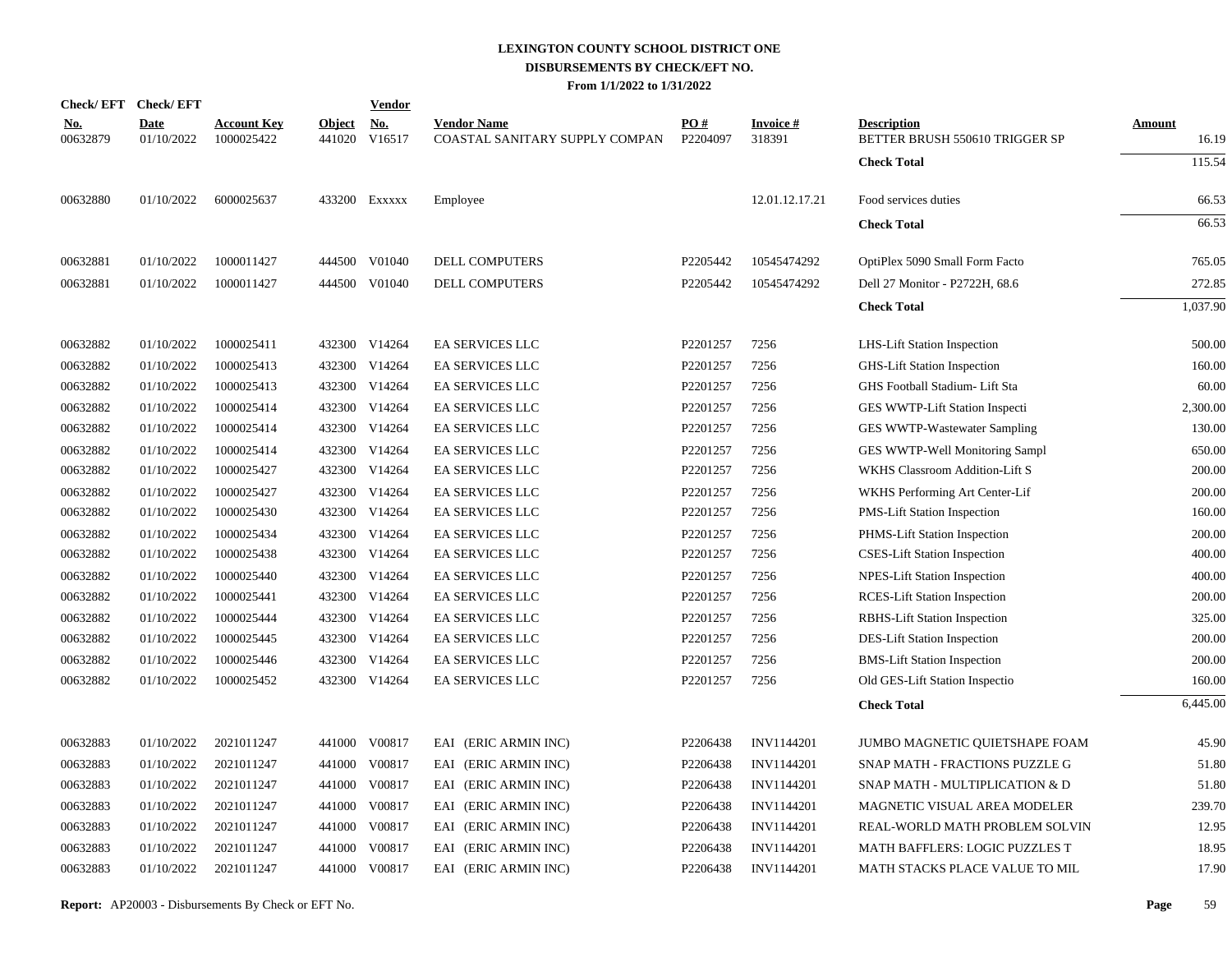|                        | Check/EFT Check/EFT       |                                  |               | <b>Vendor</b>               |                                                      |                        |                           |                                                      |                        |
|------------------------|---------------------------|----------------------------------|---------------|-----------------------------|------------------------------------------------------|------------------------|---------------------------|------------------------------------------------------|------------------------|
| <u>No.</u><br>00632879 | <b>Date</b><br>01/10/2022 | <b>Account Key</b><br>1000025422 | <b>Object</b> | <u>No.</u><br>441020 V16517 | <b>Vendor Name</b><br>COASTAL SANITARY SUPPLY COMPAN | <b>PO#</b><br>P2204097 | <b>Invoice#</b><br>318391 | <b>Description</b><br>BETTER BRUSH 550610 TRIGGER SP | <b>Amount</b><br>16.19 |
|                        |                           |                                  |               |                             |                                                      |                        |                           | <b>Check Total</b>                                   | 115.54                 |
| 00632880               | 01/10/2022                | 6000025637                       |               | 433200 EXXXXX               | Employee                                             |                        | 12.01.12.17.21            | Food services duties                                 | 66.53                  |
|                        |                           |                                  |               |                             |                                                      |                        |                           | <b>Check Total</b>                                   | 66.53                  |
| 00632881               | 01/10/2022                | 1000011427                       |               | 444500 V01040               | <b>DELL COMPUTERS</b>                                | P2205442               | 10545474292               | OptiPlex 5090 Small Form Facto                       | 765.05                 |
| 00632881               | 01/10/2022                | 1000011427                       |               | 444500 V01040               | DELL COMPUTERS                                       | P2205442               | 10545474292               | Dell 27 Monitor - P2722H, 68.6                       | 272.85                 |
|                        |                           |                                  |               |                             |                                                      |                        |                           | <b>Check Total</b>                                   | 1,037.90               |
| 00632882               | 01/10/2022                | 1000025411                       |               | 432300 V14264               | EA SERVICES LLC                                      | P2201257               | 7256                      | LHS-Lift Station Inspection                          | 500.00                 |
| 00632882               | 01/10/2022                | 1000025413                       |               | 432300 V14264               | <b>EA SERVICES LLC</b>                               | P2201257               | 7256                      | <b>GHS-Lift Station Inspection</b>                   | 160.00                 |
| 00632882               | 01/10/2022                | 1000025413                       |               | 432300 V14264               | <b>EA SERVICES LLC</b>                               | P2201257               | 7256                      | GHS Football Stadium- Lift Sta                       | 60.00                  |
| 00632882               | 01/10/2022                | 1000025414                       |               | 432300 V14264               | EA SERVICES LLC                                      | P2201257               | 7256                      | GES WWTP-Lift Station Inspecti                       | 2,300.00               |
| 00632882               | 01/10/2022                | 1000025414                       |               | 432300 V14264               | EA SERVICES LLC                                      | P2201257               | 7256                      | GES WWTP-Wastewater Sampling                         | 130.00                 |
| 00632882               | 01/10/2022                | 1000025414                       |               | 432300 V14264               | EA SERVICES LLC                                      | P2201257               | 7256                      | GES WWTP-Well Monitoring Sampl                       | 650.00                 |
| 00632882               | 01/10/2022                | 1000025427                       |               | 432300 V14264               | <b>EA SERVICES LLC</b>                               | P2201257               | 7256                      | <b>WKHS Classroom Addition-Lift S</b>                | 200.00                 |
| 00632882               | 01/10/2022                | 1000025427                       |               | 432300 V14264               | EA SERVICES LLC                                      | P2201257               | 7256                      | WKHS Performing Art Center-Lif                       | 200.00                 |
| 00632882               | 01/10/2022                | 1000025430                       |               | 432300 V14264               | EA SERVICES LLC                                      | P2201257               | 7256                      | PMS-Lift Station Inspection                          | 160.00                 |
| 00632882               | 01/10/2022                | 1000025434                       | 432300        | V14264                      | EA SERVICES LLC                                      | P2201257               | 7256                      | PHMS-Lift Station Inspection                         | 200.00                 |
| 00632882               | 01/10/2022                | 1000025438                       |               | 432300 V14264               | <b>EA SERVICES LLC</b>                               | P2201257               | 7256                      | <b>CSES-Lift Station Inspection</b>                  | 400.00                 |
| 00632882               | 01/10/2022                | 1000025440                       | 432300        | V14264                      | EA SERVICES LLC                                      | P2201257               | 7256                      | <b>NPES-Lift Station Inspection</b>                  | 400.00                 |
| 00632882               | 01/10/2022                | 1000025441                       |               | 432300 V14264               | EA SERVICES LLC                                      | P2201257               | 7256                      | <b>RCES-Lift Station Inspection</b>                  | 200.00                 |
| 00632882               | 01/10/2022                | 1000025444                       |               | 432300 V14264               | <b>EA SERVICES LLC</b>                               | P2201257               | 7256                      | <b>RBHS-Lift Station Inspection</b>                  | 325.00                 |
| 00632882               | 01/10/2022                | 1000025445                       |               | 432300 V14264               | EA SERVICES LLC                                      | P2201257               | 7256                      | DES-Lift Station Inspection                          | 200.00                 |
| 00632882               | 01/10/2022                | 1000025446                       | 432300        | V14264                      | EA SERVICES LLC                                      | P2201257               | 7256                      | <b>BMS-Lift Station Inspection</b>                   | 200.00                 |
| 00632882               | 01/10/2022                | 1000025452                       |               | 432300 V14264               | EA SERVICES LLC                                      | P2201257               | 7256                      | Old GES-Lift Station Inspectio                       | 160.00                 |
|                        |                           |                                  |               |                             |                                                      |                        |                           | <b>Check Total</b>                                   | 6.445.00               |
| 00632883               | 01/10/2022                | 2021011247                       |               | 441000 V00817               | EAI (ERIC ARMIN INC)                                 | P2206438               | <b>INV1144201</b>         | JUMBO MAGNETIC QUIETSHAPE FOAM                       | 45.90                  |
| 00632883               | 01/10/2022                | 2021011247                       |               | 441000 V00817               | EAI (ERIC ARMIN INC)                                 | P2206438               | INV1144201                | SNAP MATH - FRACTIONS PUZZLE G                       | 51.80                  |
| 00632883               | 01/10/2022                | 2021011247                       |               | 441000 V00817               | EAI (ERIC ARMIN INC)                                 | P2206438               | INV1144201                | SNAP MATH - MULTIPLICATION & D                       | 51.80                  |
| 00632883               | 01/10/2022                | 2021011247                       |               | 441000 V00817               | EAI (ERIC ARMIN INC)                                 | P2206438               | INV1144201                | MAGNETIC VISUAL AREA MODELER                         | 239.70                 |
| 00632883               | 01/10/2022                | 2021011247                       |               | 441000 V00817               | EAI (ERIC ARMIN INC)                                 | P2206438               | INV1144201                | REAL-WORLD MATH PROBLEM SOLVIN                       | 12.95                  |
| 00632883               | 01/10/2022                | 2021011247                       | 441000        | V00817                      | EAI (ERIC ARMIN INC)                                 | P2206438               | INV1144201                | <b>MATH BAFFLERS: LOGIC PUZZLES T</b>                | 18.95                  |
| 00632883               | 01/10/2022                | 2021011247                       |               | 441000 V00817               | EAI (ERIC ARMIN INC)                                 | P2206438               | INV1144201                | MATH STACKS PLACE VALUE TO MIL                       | 17.90                  |
|                        |                           |                                  |               |                             |                                                      |                        |                           |                                                      |                        |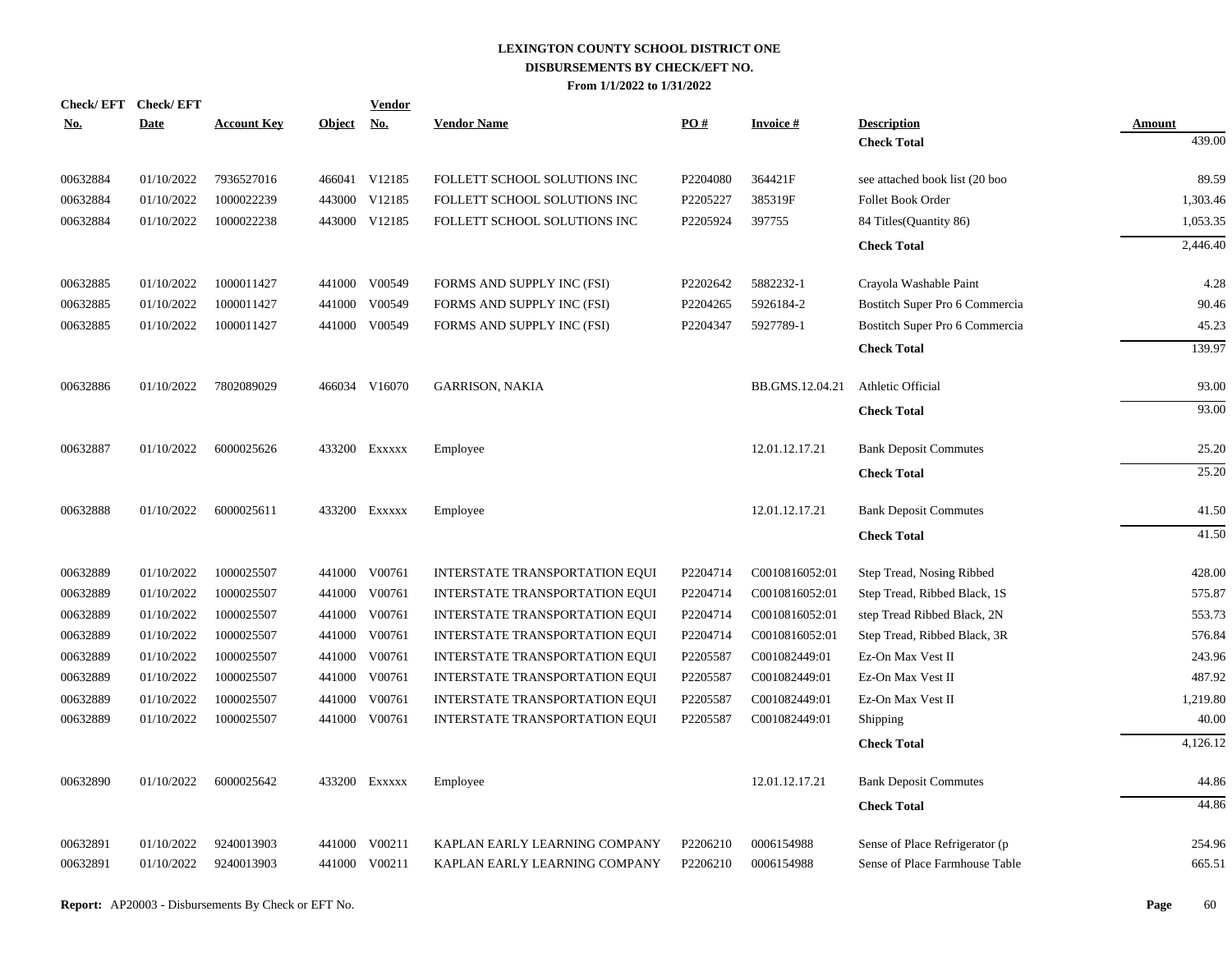|            |          | Check/EFT Check/EFT |                    |               | <b>Vendor</b> |                                |          |                 |                                |               |
|------------|----------|---------------------|--------------------|---------------|---------------|--------------------------------|----------|-----------------|--------------------------------|---------------|
| <u>No.</u> |          | <b>Date</b>         | <b>Account Key</b> | <b>Object</b> | <u>No.</u>    | <b>Vendor Name</b>             | PO#      | <b>Invoice#</b> | <b>Description</b>             | <b>Amount</b> |
|            |          |                     |                    |               |               |                                |          |                 | <b>Check Total</b>             | 439.00        |
|            | 00632884 | 01/10/2022          | 7936527016         |               | 466041 V12185 | FOLLETT SCHOOL SOLUTIONS INC   | P2204080 | 364421F         | see attached book list (20 boo | 89.59         |
|            | 00632884 | 01/10/2022          | 1000022239         |               | 443000 V12185 | FOLLETT SCHOOL SOLUTIONS INC   | P2205227 | 385319F         | Follet Book Order              | 1,303.46      |
|            | 00632884 | 01/10/2022          | 1000022238         |               | 443000 V12185 | FOLLETT SCHOOL SOLUTIONS INC   | P2205924 | 397755          | 84 Titles (Quantity 86)        | 1,053.35      |
|            |          |                     |                    |               |               |                                |          |                 | <b>Check Total</b>             | 2,446.40      |
|            | 00632885 | 01/10/2022          | 1000011427         |               | 441000 V00549 | FORMS AND SUPPLY INC (FSI)     | P2202642 | 5882232-1       | Crayola Washable Paint         | 4.28          |
|            | 00632885 | 01/10/2022          | 1000011427         |               | 441000 V00549 | FORMS AND SUPPLY INC (FSI)     | P2204265 | 5926184-2       | Bostitch Super Pro 6 Commercia | 90.46         |
|            | 00632885 | 01/10/2022          | 1000011427         |               | 441000 V00549 | FORMS AND SUPPLY INC (FSI)     | P2204347 | 5927789-1       | Bostitch Super Pro 6 Commercia | 45.23         |
|            |          |                     |                    |               |               |                                |          |                 | <b>Check Total</b>             | 139.97        |
|            | 00632886 | 01/10/2022          | 7802089029         |               | 466034 V16070 | <b>GARRISON, NAKIA</b>         |          | BB.GMS.12.04.21 | Athletic Official              | 93.00         |
|            |          |                     |                    |               |               |                                |          |                 | <b>Check Total</b>             | 93.00         |
|            | 00632887 | 01/10/2022          | 6000025626         |               | 433200 Exxxxx | Employee                       |          | 12.01.12.17.21  | <b>Bank Deposit Commutes</b>   | 25.20         |
|            |          |                     |                    |               |               |                                |          |                 | <b>Check Total</b>             | 25.20         |
|            | 00632888 | 01/10/2022          | 6000025611         |               | 433200 Exxxxx | Employee                       |          | 12.01.12.17.21  | <b>Bank Deposit Commutes</b>   | 41.50         |
|            |          |                     |                    |               |               |                                |          |                 | <b>Check Total</b>             | 41.50         |
|            | 00632889 | 01/10/2022          | 1000025507         |               | 441000 V00761 | INTERSTATE TRANSPORTATION EQUI | P2204714 | C0010816052:01  | Step Tread, Nosing Ribbed      | 428.00        |
|            | 00632889 | 01/10/2022          | 1000025507         |               | 441000 V00761 | INTERSTATE TRANSPORTATION EQUI | P2204714 | C0010816052:01  | Step Tread, Ribbed Black, 1S   | 575.87        |
|            | 00632889 | 01/10/2022          | 1000025507         |               | 441000 V00761 | INTERSTATE TRANSPORTATION EQUI | P2204714 | C0010816052:01  | step Tread Ribbed Black, 2N    | 553.73        |
|            | 00632889 | 01/10/2022          | 1000025507         |               | 441000 V00761 | INTERSTATE TRANSPORTATION EQUI | P2204714 | C0010816052:01  | Step Tread, Ribbed Black, 3R   | 576.84        |
|            | 00632889 | 01/10/2022          | 1000025507         |               | 441000 V00761 | INTERSTATE TRANSPORTATION EQUI | P2205587 | C001082449:01   | Ez-On Max Vest II              | 243.96        |
|            | 00632889 | 01/10/2022          | 1000025507         |               | 441000 V00761 | INTERSTATE TRANSPORTATION EQUI | P2205587 | C001082449:01   | Ez-On Max Vest II              | 487.92        |
|            | 00632889 | 01/10/2022          | 1000025507         |               | 441000 V00761 | INTERSTATE TRANSPORTATION EQUI | P2205587 | C001082449:01   | Ez-On Max Vest II              | 1,219.80      |
|            | 00632889 | 01/10/2022          | 1000025507         |               | 441000 V00761 | INTERSTATE TRANSPORTATION EQUI | P2205587 | C001082449:01   | Shipping                       | 40.00         |
|            |          |                     |                    |               |               |                                |          |                 | <b>Check Total</b>             | 4,126.12      |
|            | 00632890 | 01/10/2022          | 6000025642         |               | 433200 Exxxxx | Employee                       |          | 12.01.12.17.21  | <b>Bank Deposit Commutes</b>   | 44.86         |
|            |          |                     |                    |               |               |                                |          |                 | <b>Check Total</b>             | 44.86         |
|            | 00632891 | 01/10/2022          | 9240013903         | 441000        | V00211        | KAPLAN EARLY LEARNING COMPANY  | P2206210 | 0006154988      | Sense of Place Refrigerator (p | 254.96        |
|            | 00632891 | 01/10/2022          | 9240013903         |               | 441000 V00211 | KAPLAN EARLY LEARNING COMPANY  | P2206210 | 0006154988      | Sense of Place Farmhouse Table | 665.51        |
|            |          |                     |                    |               |               |                                |          |                 |                                |               |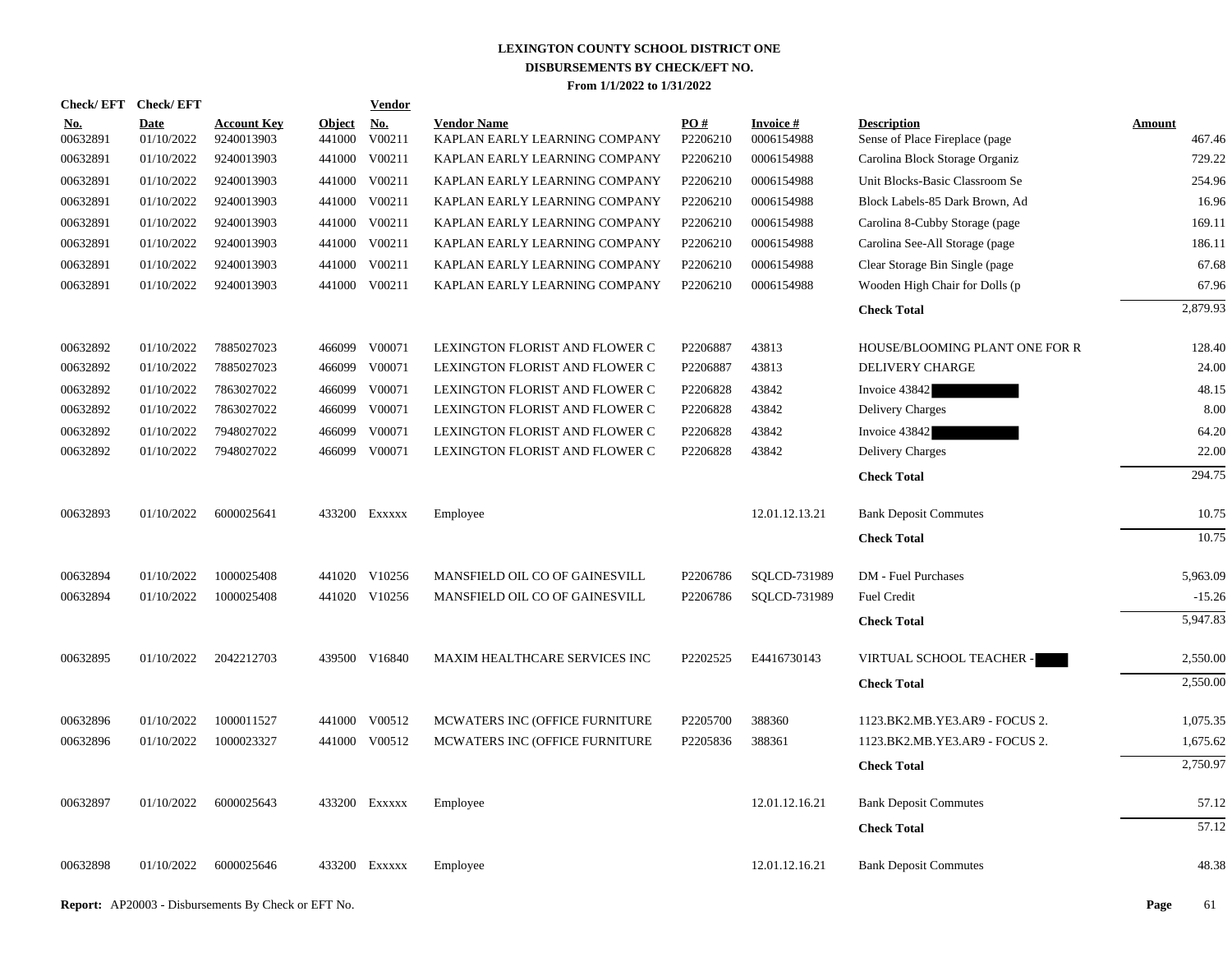| Check/ EFT      | <b>Check/EFT</b>          |                                  |                         | <b>Vendor</b> |                                                     |                 |                               |                                                      |                  |
|-----------------|---------------------------|----------------------------------|-------------------------|---------------|-----------------------------------------------------|-----------------|-------------------------------|------------------------------------------------------|------------------|
| No.<br>00632891 | <b>Date</b><br>01/10/2022 | <b>Account Key</b><br>9240013903 | <b>Object</b><br>441000 | No.<br>V00211 | <b>Vendor Name</b><br>KAPLAN EARLY LEARNING COMPANY | PO#<br>P2206210 | <b>Invoice#</b><br>0006154988 | <b>Description</b><br>Sense of Place Fireplace (page | Amount<br>467.46 |
| 00632891        | 01/10/2022                | 9240013903                       | 441000                  | V00211        | KAPLAN EARLY LEARNING COMPANY                       | P2206210        | 0006154988                    | Carolina Block Storage Organiz                       | 729.22           |
| 00632891        | 01/10/2022                | 9240013903                       | 441000                  | V00211        | KAPLAN EARLY LEARNING COMPANY                       | P2206210        | 0006154988                    | Unit Blocks-Basic Classroom Se                       | 254.96           |
| 00632891        | 01/10/2022                | 9240013903                       | 441000                  | V00211        | KAPLAN EARLY LEARNING COMPANY                       | P2206210        | 0006154988                    | Block Labels-85 Dark Brown, Ad                       | 16.96            |
| 00632891        | 01/10/2022                | 9240013903                       | 441000                  | V00211        | KAPLAN EARLY LEARNING COMPANY                       | P2206210        | 0006154988                    | Carolina 8-Cubby Storage (page)                      | 169.11           |
| 00632891        | 01/10/2022                | 9240013903                       | 441000                  | V00211        | KAPLAN EARLY LEARNING COMPANY                       | P2206210        | 0006154988                    | Carolina See-All Storage (page                       | 186.11           |
| 00632891        | 01/10/2022                | 9240013903                       | 441000                  | V00211        | KAPLAN EARLY LEARNING COMPANY                       | P2206210        | 0006154988                    | Clear Storage Bin Single (page                       | 67.68            |
| 00632891        | 01/10/2022                | 9240013903                       |                         | 441000 V00211 | KAPLAN EARLY LEARNING COMPANY                       | P2206210        | 0006154988                    | Wooden High Chair for Dolls (p                       | 67.96            |
|                 |                           |                                  |                         |               |                                                     |                 |                               | <b>Check Total</b>                                   | 2,879.93         |
| 00632892        | 01/10/2022                | 7885027023                       |                         | 466099 V00071 | LEXINGTON FLORIST AND FLOWER C                      | P2206887        | 43813                         | HOUSE/BLOOMING PLANT ONE FOR R                       | 128.40           |
| 00632892        | 01/10/2022                | 7885027023                       | 466099                  | V00071        | LEXINGTON FLORIST AND FLOWER C                      | P2206887        | 43813                         | DELIVERY CHARGE                                      | 24.00            |
| 00632892        | 01/10/2022                | 7863027022                       | 466099                  | V00071        | LEXINGTON FLORIST AND FLOWER C                      | P2206828        | 43842                         | Invoice 43842                                        | 48.15            |
| 00632892        | 01/10/2022                | 7863027022                       | 466099                  | V00071        | LEXINGTON FLORIST AND FLOWER C                      | P2206828        | 43842                         | <b>Delivery Charges</b>                              | 8.00             |
| 00632892        | 01/10/2022                | 7948027022                       | 466099                  | V00071        | LEXINGTON FLORIST AND FLOWER C                      | P2206828        | 43842                         | Invoice 43842                                        | 64.20            |
| 00632892        | 01/10/2022                | 7948027022                       |                         | 466099 V00071 | LEXINGTON FLORIST AND FLOWER C                      | P2206828        | 43842                         | Delivery Charges                                     | 22.00            |
|                 |                           |                                  |                         |               |                                                     |                 |                               | <b>Check Total</b>                                   | 294.75           |
| 00632893        | 01/10/2022                | 6000025641                       |                         | 433200 Exxxxx | Employee                                            |                 | 12.01.12.13.21                | <b>Bank Deposit Commutes</b>                         | 10.75            |
|                 |                           |                                  |                         |               |                                                     |                 |                               | <b>Check Total</b>                                   | 10.75            |
| 00632894        | 01/10/2022                | 1000025408                       |                         | 441020 V10256 | MANSFIELD OIL CO OF GAINESVILL                      | P2206786        | SOLCD-731989                  | DM - Fuel Purchases                                  | 5,963.09         |
| 00632894        | 01/10/2022                | 1000025408                       |                         | 441020 V10256 | MANSFIELD OIL CO OF GAINESVILL                      | P2206786        | SQLCD-731989                  | Fuel Credit                                          | $-15.26$         |
|                 |                           |                                  |                         |               |                                                     |                 |                               | <b>Check Total</b>                                   | 5,947.83         |
| 00632895        | 01/10/2022                | 2042212703                       |                         | 439500 V16840 | MAXIM HEALTHCARE SERVICES INC                       | P2202525        | E4416730143                   | VIRTUAL SCHOOL TEACHER -                             | 2,550.00         |
|                 |                           |                                  |                         |               |                                                     |                 |                               | <b>Check Total</b>                                   | 2,550.00         |
| 00632896        | 01/10/2022                | 1000011527                       |                         | 441000 V00512 | MCWATERS INC (OFFICE FURNITURE                      | P2205700        | 388360                        | 1123.BK2.MB.YE3.AR9 - FOCUS 2.                       | 1,075.35         |
| 00632896        | 01/10/2022                | 1000023327                       |                         | 441000 V00512 | MCWATERS INC (OFFICE FURNITURE                      | P2205836        | 388361                        | 1123.BK2.MB.YE3.AR9 - FOCUS 2.                       | 1,675.62         |
|                 |                           |                                  |                         |               |                                                     |                 |                               | <b>Check Total</b>                                   | 2,750.97         |
| 00632897        | 01/10/2022                | 6000025643                       |                         | 433200 Exxxxx | Employee                                            |                 | 12.01.12.16.21                | <b>Bank Deposit Commutes</b>                         | 57.12            |
|                 |                           |                                  |                         |               |                                                     |                 |                               | <b>Check Total</b>                                   | 57.12            |
| 00632898        | 01/10/2022                | 6000025646                       |                         | 433200 Exxxxx | Employee                                            |                 | 12.01.12.16.21                | <b>Bank Deposit Commutes</b>                         | 48.38            |
|                 |                           |                                  |                         |               |                                                     |                 |                               |                                                      |                  |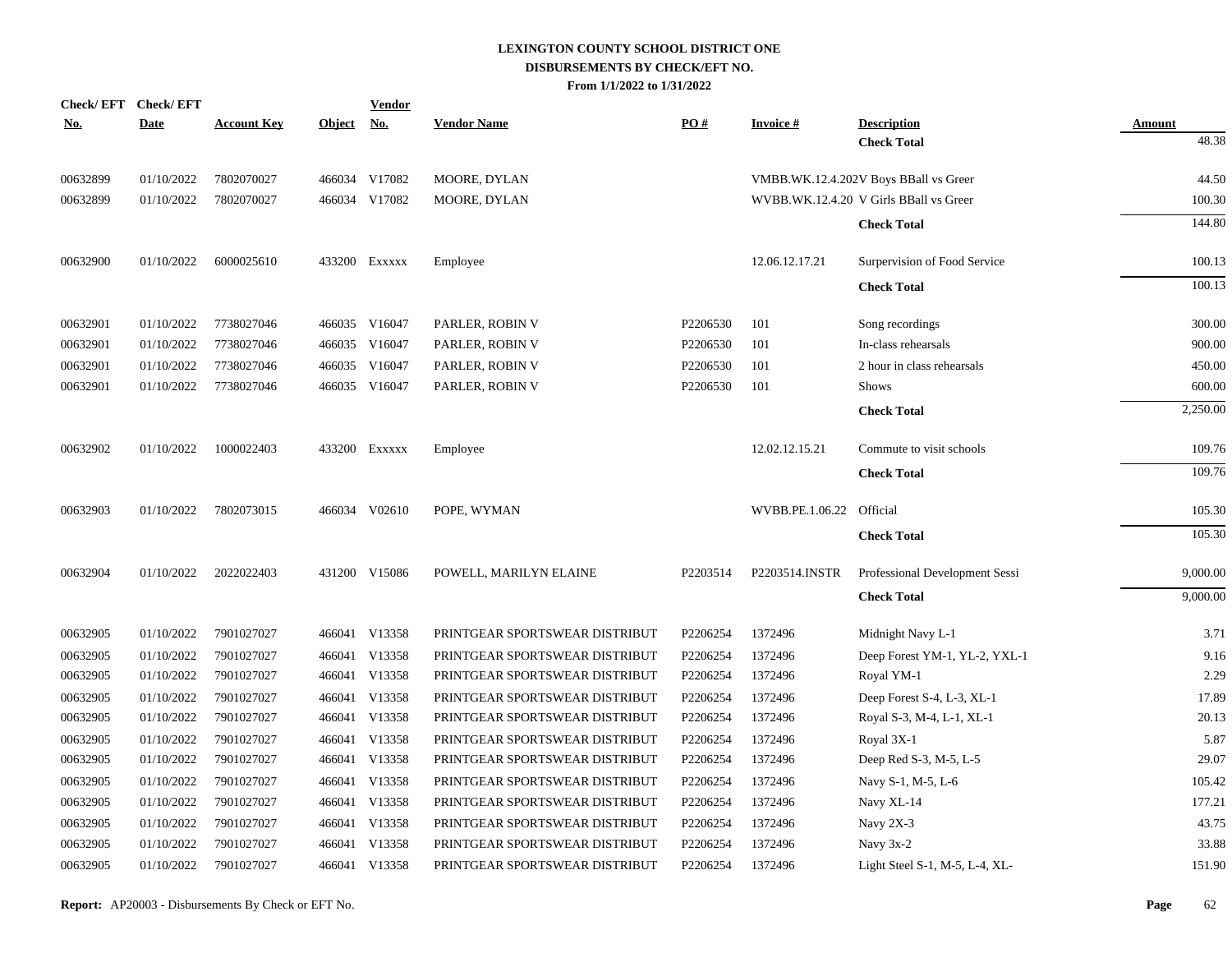| <b>Check/EFT</b> | <b>Check/EFT</b> |                    |               | <b>Vendor</b> |                                |          |                 |                                        |               |
|------------------|------------------|--------------------|---------------|---------------|--------------------------------|----------|-----------------|----------------------------------------|---------------|
| <u>No.</u>       | <b>Date</b>      | <b>Account Key</b> | <b>Object</b> | <u>No.</u>    | <b>Vendor Name</b>             | PO#      | <b>Invoice#</b> | <b>Description</b>                     | <b>Amount</b> |
|                  |                  |                    |               |               |                                |          |                 | <b>Check Total</b>                     | 48.38         |
| 00632899         | 01/10/2022       | 7802070027         |               | 466034 V17082 | MOORE, DYLAN                   |          |                 | VMBB.WK.12.4.202V Boys BBall vs Greer  | 44.50         |
| 00632899         | 01/10/2022       | 7802070027         |               | 466034 V17082 | MOORE, DYLAN                   |          |                 | WVBB.WK.12.4.20 V Girls BBall vs Greer | 100.30        |
|                  |                  |                    |               |               |                                |          |                 | <b>Check Total</b>                     | 144.80        |
| 00632900         | 01/10/2022       | 6000025610         |               | 433200 Exxxxx | Employee                       |          | 12.06.12.17.21  | Surpervision of Food Service           | 100.13        |
|                  |                  |                    |               |               |                                |          |                 | <b>Check Total</b>                     | 100.13        |
| 00632901         | 01/10/2022       | 7738027046         |               | 466035 V16047 | PARLER, ROBIN V                | P2206530 | 101             | Song recordings                        | 300.00        |
| 00632901         | 01/10/2022       | 7738027046         | 466035        | V16047        | PARLER, ROBIN V                | P2206530 | 101             | In-class rehearsals                    | 900.00        |
| 00632901         | 01/10/2022       | 7738027046         | 466035        | V16047        | PARLER, ROBIN V                | P2206530 | 101             | 2 hour in class rehearsals             | 450.00        |
| 00632901         | 01/10/2022       | 7738027046         |               | 466035 V16047 | PARLER, ROBIN V                | P2206530 | 101             | <b>Shows</b>                           | 600.00        |
|                  |                  |                    |               |               |                                |          |                 | <b>Check Total</b>                     | 2,250.00      |
| 00632902         | 01/10/2022       | 1000022403         |               | 433200 Exxxxx | Employee                       |          | 12.02.12.15.21  | Commute to visit schools               | 109.76        |
|                  |                  |                    |               |               |                                |          |                 | <b>Check Total</b>                     | 109.76        |
| 00632903         | 01/10/2022       | 7802073015         |               | 466034 V02610 | POPE, WYMAN                    |          | WVBB.PE.1.06.22 | Official                               | 105.30        |
|                  |                  |                    |               |               |                                |          |                 | <b>Check Total</b>                     | 105.30        |
| 00632904         | 01/10/2022       | 2022022403         |               | 431200 V15086 | POWELL, MARILYN ELAINE         | P2203514 | P2203514.INSTR  | Professional Development Sessi         | 9,000.00      |
|                  |                  |                    |               |               |                                |          |                 | <b>Check Total</b>                     | 9,000.00      |
| 00632905         | 01/10/2022       | 7901027027         |               | 466041 V13358 | PRINTGEAR SPORTSWEAR DISTRIBUT | P2206254 | 1372496         | Midnight Navy L-1                      | 3.71          |
| 00632905         | 01/10/2022       | 7901027027         | 466041        | V13358        | PRINTGEAR SPORTSWEAR DISTRIBUT | P2206254 | 1372496         | Deep Forest YM-1, YL-2, YXL-1          | 9.16          |
| 00632905         | 01/10/2022       | 7901027027         |               | 466041 V13358 | PRINTGEAR SPORTSWEAR DISTRIBUT | P2206254 | 1372496         | Royal YM-1                             | 2.29          |
| 00632905         | 01/10/2022       | 7901027027         | 466041        | V13358        | PRINTGEAR SPORTSWEAR DISTRIBUT | P2206254 | 1372496         | Deep Forest S-4, L-3, XL-1             | 17.89         |
| 00632905         | 01/10/2022       | 7901027027         |               | 466041 V13358 | PRINTGEAR SPORTSWEAR DISTRIBUT | P2206254 | 1372496         | Royal S-3, M-4, L-1, XL-1              | 20.13         |
| 00632905         | 01/10/2022       | 7901027027         | 466041        | V13358        | PRINTGEAR SPORTSWEAR DISTRIBUT | P2206254 | 1372496         | Royal 3X-1                             | 5.87          |
| 00632905         | 01/10/2022       | 7901027027         |               | 466041 V13358 | PRINTGEAR SPORTSWEAR DISTRIBUT | P2206254 | 1372496         | Deep Red S-3, M-5, L-5                 | 29.07         |
| 00632905         | 01/10/2022       | 7901027027         |               | 466041 V13358 | PRINTGEAR SPORTSWEAR DISTRIBUT | P2206254 | 1372496         | Navy S-1, M-5, L-6                     | 105.42        |
| 00632905         | 01/10/2022       | 7901027027         |               | 466041 V13358 | PRINTGEAR SPORTSWEAR DISTRIBUT | P2206254 | 1372496         | Navy XL-14                             | 177.21        |
| 00632905         | 01/10/2022       | 7901027027         |               | 466041 V13358 | PRINTGEAR SPORTSWEAR DISTRIBUT | P2206254 | 1372496         | Navy 2X-3                              | 43.75         |
| 00632905         | 01/10/2022       | 7901027027         | 466041        | V13358        | PRINTGEAR SPORTSWEAR DISTRIBUT | P2206254 | 1372496         | Navy 3x-2                              | 33.88         |
| 00632905         | 01/10/2022       | 7901027027         |               | 466041 V13358 | PRINTGEAR SPORTSWEAR DISTRIBUT | P2206254 | 1372496         | Light Steel S-1, M-5, L-4, XL-         | 151.90        |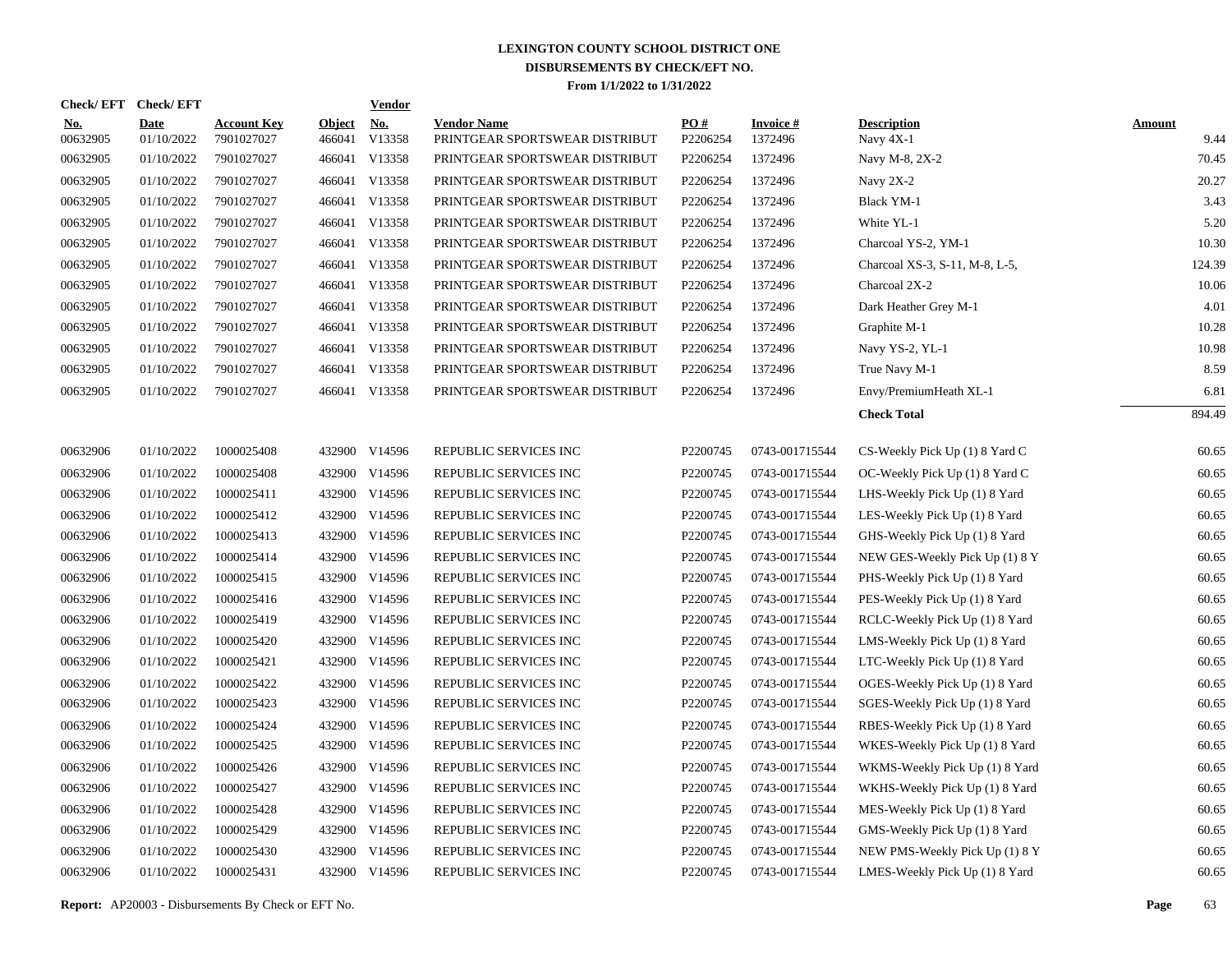|                        | Check/EFT Check/EFT       |                                  |                         | <u>Vendor</u>                  |                                                      |                      |                                  |                                                                  |                       |
|------------------------|---------------------------|----------------------------------|-------------------------|--------------------------------|------------------------------------------------------|----------------------|----------------------------------|------------------------------------------------------------------|-----------------------|
| <u>No.</u><br>00632905 | <b>Date</b><br>01/10/2022 | <b>Account Key</b><br>7901027027 | <b>Object</b><br>466041 | <u>No.</u><br>V13358           | <b>Vendor Name</b><br>PRINTGEAR SPORTSWEAR DISTRIBUT | PQ#<br>P2206254      | <b>Invoice#</b><br>1372496       | <b>Description</b><br>Navy 4X-1                                  | <b>Amount</b><br>9.44 |
| 00632905               | 01/10/2022                | 7901027027                       | 466041                  | V13358                         | PRINTGEAR SPORTSWEAR DISTRIBUT                       | P2206254             | 1372496                          | Navy M-8, 2X-2                                                   | 70.45                 |
| 00632905               | 01/10/2022                | 7901027027                       |                         | 466041 V13358                  | PRINTGEAR SPORTSWEAR DISTRIBUT                       | P2206254             | 1372496                          | Navy 2X-2                                                        | 20.27                 |
| 00632905               | 01/10/2022                | 7901027027                       |                         | 466041 V13358                  | PRINTGEAR SPORTSWEAR DISTRIBUT                       | P2206254             | 1372496                          | <b>Black YM-1</b>                                                | 3.43                  |
| 00632905               | 01/10/2022                | 7901027027                       |                         | 466041 V13358                  | PRINTGEAR SPORTSWEAR DISTRIBUT                       | P2206254             | 1372496                          | White YL-1                                                       | 5.20                  |
| 00632905               | 01/10/2022                | 7901027027                       |                         | 466041 V13358                  | PRINTGEAR SPORTSWEAR DISTRIBUT                       | P2206254             | 1372496                          | Charcoal YS-2, YM-1                                              | 10.30                 |
| 00632905               | 01/10/2022                | 7901027027                       |                         | 466041 V13358                  | PRINTGEAR SPORTSWEAR DISTRIBUT                       | P2206254             | 1372496                          | Charcoal XS-3, S-11, M-8, L-5,                                   | 124.39                |
| 00632905               | 01/10/2022                | 7901027027                       |                         | 466041 V13358                  | PRINTGEAR SPORTSWEAR DISTRIBUT                       | P2206254             | 1372496                          | Charcoal 2X-2                                                    | 10.06                 |
| 00632905               | 01/10/2022                | 7901027027                       |                         | 466041 V13358                  | PRINTGEAR SPORTSWEAR DISTRIBUT                       | P2206254             | 1372496                          | Dark Heather Grey M-1                                            | 4.01                  |
| 00632905               | 01/10/2022                | 7901027027                       |                         | 466041 V13358                  | PRINTGEAR SPORTSWEAR DISTRIBUT                       | P2206254             | 1372496                          | Graphite M-1                                                     | 10.28                 |
| 00632905               | 01/10/2022                | 7901027027                       |                         | 466041 V13358                  | PRINTGEAR SPORTSWEAR DISTRIBUT                       | P2206254             | 1372496                          | Navy YS-2, YL-1                                                  | 10.98                 |
| 00632905               | 01/10/2022                | 7901027027                       |                         | 466041 V13358                  | PRINTGEAR SPORTSWEAR DISTRIBUT                       | P2206254             | 1372496                          | True Navy M-1                                                    | 8.59                  |
| 00632905               | 01/10/2022                | 7901027027                       |                         | 466041 V13358                  | PRINTGEAR SPORTSWEAR DISTRIBUT                       | P2206254             | 1372496                          | Envy/PremiumHeath XL-1                                           | 6.81                  |
|                        |                           |                                  |                         |                                |                                                      |                      |                                  | <b>Check Total</b>                                               | 894.49                |
|                        |                           |                                  |                         |                                |                                                      |                      |                                  |                                                                  |                       |
| 00632906               | 01/10/2022                | 1000025408                       |                         | 432900 V14596                  | REPUBLIC SERVICES INC                                | P2200745             | 0743-001715544                   | CS-Weekly Pick Up (1) 8 Yard C                                   | 60.65                 |
| 00632906               | 01/10/2022                | 1000025408                       |                         | 432900 V14596                  | REPUBLIC SERVICES INC                                | P2200745             | 0743-001715544                   | OC-Weekly Pick Up (1) 8 Yard C                                   | 60.65                 |
| 00632906               | 01/10/2022                | 1000025411                       |                         | 432900 V14596                  | REPUBLIC SERVICES INC                                | P2200745             | 0743-001715544                   | LHS-Weekly Pick Up (1) 8 Yard                                    | 60.65                 |
| 00632906               | 01/10/2022                | 1000025412                       |                         | 432900 V14596                  | REPUBLIC SERVICES INC                                | P2200745             | 0743-001715544                   | LES-Weekly Pick Up (1) 8 Yard                                    | 60.65                 |
| 00632906               | 01/10/2022                | 1000025413                       |                         | 432900 V14596                  | REPUBLIC SERVICES INC                                | P2200745             | 0743-001715544                   | GHS-Weekly Pick Up (1) 8 Yard                                    | 60.65                 |
| 00632906<br>00632906   | 01/10/2022<br>01/10/2022  | 1000025414                       |                         | 432900 V14596<br>432900 V14596 | REPUBLIC SERVICES INC                                | P2200745<br>P2200745 | 0743-001715544                   | NEW GES-Weekly Pick Up (1) 8 Y                                   | 60.65<br>60.65        |
|                        |                           | 1000025415                       |                         |                                | REPUBLIC SERVICES INC                                |                      | 0743-001715544                   | PHS-Weekly Pick Up (1) 8 Yard                                    |                       |
| 00632906<br>00632906   | 01/10/2022<br>01/10/2022  | 1000025416<br>1000025419         |                         | 432900 V14596<br>432900 V14596 | REPUBLIC SERVICES INC<br>REPUBLIC SERVICES INC       | P2200745<br>P2200745 | 0743-001715544<br>0743-001715544 | PES-Weekly Pick Up (1) 8 Yard                                    | 60.65<br>60.65        |
|                        |                           |                                  |                         |                                |                                                      |                      |                                  | RCLC-Weekly Pick Up (1) 8 Yard                                   |                       |
| 00632906<br>00632906   | 01/10/2022<br>01/10/2022  | 1000025420<br>1000025421         |                         | 432900 V14596<br>432900 V14596 | REPUBLIC SERVICES INC<br>REPUBLIC SERVICES INC       | P2200745<br>P2200745 | 0743-001715544<br>0743-001715544 | LMS-Weekly Pick Up (1) 8 Yard<br>LTC-Weekly Pick Up (1) 8 Yard   | 60.65<br>60.65        |
|                        | 01/10/2022                | 1000025422                       |                         |                                |                                                      | P2200745             | 0743-001715544                   |                                                                  | 60.65                 |
| 00632906<br>00632906   | 01/10/2022                | 1000025423                       |                         | 432900 V14596<br>432900 V14596 | REPUBLIC SERVICES INC<br>REPUBLIC SERVICES INC       | P2200745             | 0743-001715544                   | OGES-Weekly Pick Up (1) 8 Yard<br>SGES-Weekly Pick Up (1) 8 Yard | 60.65                 |
| 00632906               | 01/10/2022                | 1000025424                       |                         | 432900 V14596                  | REPUBLIC SERVICES INC                                | P2200745             | 0743-001715544                   | RBES-Weekly Pick Up (1) 8 Yard                                   | 60.65                 |
| 00632906               | 01/10/2022                | 1000025425                       |                         | 432900 V14596                  | REPUBLIC SERVICES INC                                | P2200745             | 0743-001715544                   | WKES-Weekly Pick Up (1) 8 Yard                                   | 60.65                 |
| 00632906               | 01/10/2022                | 1000025426                       | 432900                  | V14596                         | REPUBLIC SERVICES INC                                | P2200745             | 0743-001715544                   | WKMS-Weekly Pick Up (1) 8 Yard                                   | 60.65                 |
| 00632906               | 01/10/2022                | 1000025427                       |                         | 432900 V14596                  | REPUBLIC SERVICES INC                                | P2200745             | 0743-001715544                   | WKHS-Weekly Pick Up (1) 8 Yard                                   | 60.65                 |
| 00632906               | 01/10/2022                | 1000025428                       | 432900                  | V14596                         | REPUBLIC SERVICES INC                                | P2200745             | 0743-001715544                   | MES-Weekly Pick Up (1) 8 Yard                                    | 60.65                 |
| 00632906               | 01/10/2022                | 1000025429                       |                         | 432900 V14596                  | REPUBLIC SERVICES INC                                | P2200745             | 0743-001715544                   | GMS-Weekly Pick Up (1) 8 Yard                                    | 60.65                 |
| 00632906               | 01/10/2022                | 1000025430                       | 432900                  | V14596                         | REPUBLIC SERVICES INC                                | P2200745             | 0743-001715544                   | NEW PMS-Weekly Pick Up (1) 8 Y                                   | 60.65                 |
| 00632906               | 01/10/2022                | 1000025431                       |                         | 432900 V14596                  | REPUBLIC SERVICES INC                                | P2200745             | 0743-001715544                   | LMES-Weekly Pick Up (1) 8 Yard                                   | 60.65                 |
|                        |                           |                                  |                         |                                |                                                      |                      |                                  |                                                                  |                       |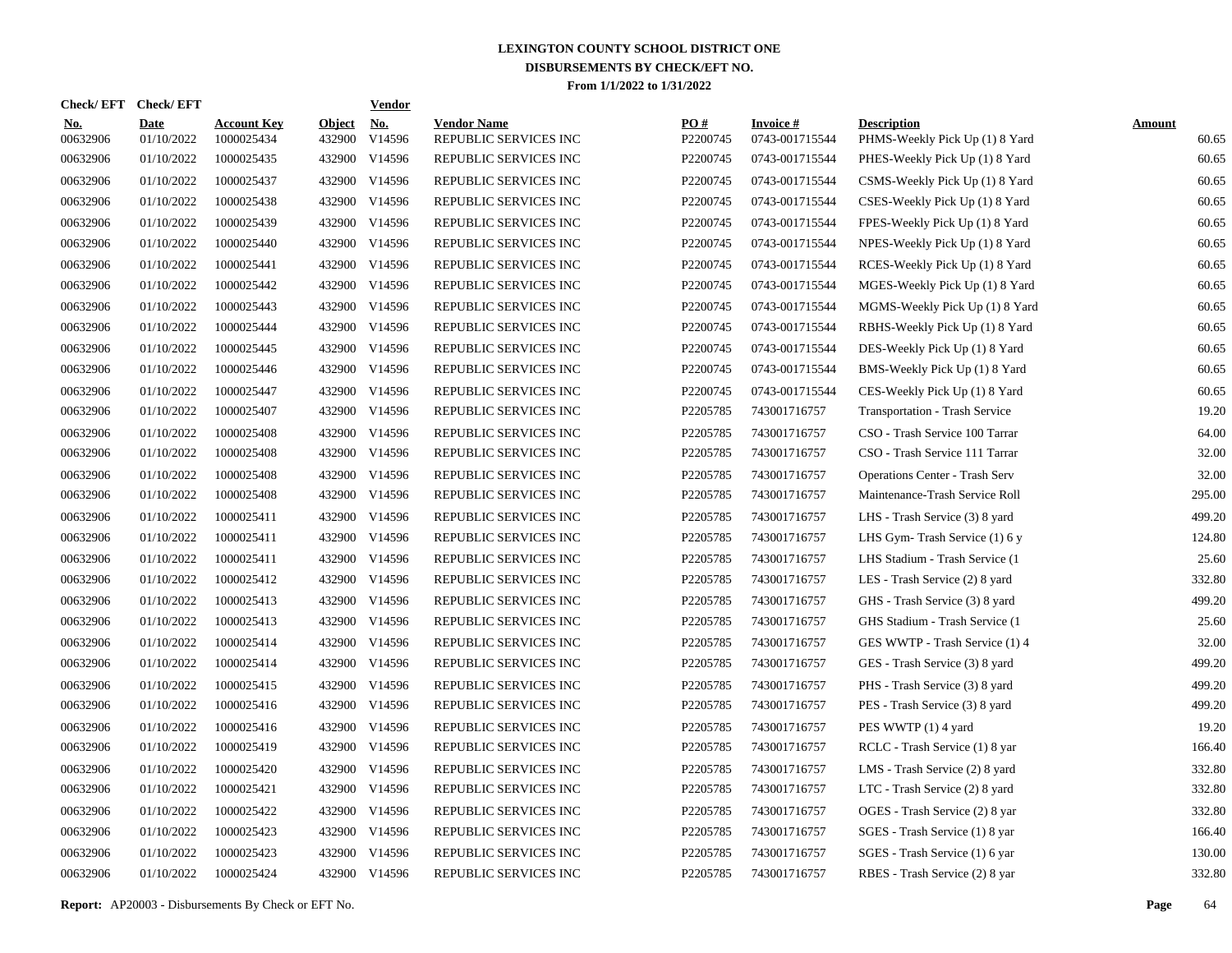| <b>Check/EFT</b>       | <b>Check/EFT</b>          |                                  |                         | <b>Vendor</b> |                                             |                 |                                   |                                                      |                        |
|------------------------|---------------------------|----------------------------------|-------------------------|---------------|---------------------------------------------|-----------------|-----------------------------------|------------------------------------------------------|------------------------|
| <u>No.</u><br>00632906 | <b>Date</b><br>01/10/2022 | <b>Account Key</b><br>1000025434 | <b>Object</b><br>432900 | No.<br>V14596 | <b>Vendor Name</b><br>REPUBLIC SERVICES INC | PO#<br>P2200745 | <b>Invoice#</b><br>0743-001715544 | <b>Description</b><br>PHMS-Weekly Pick Up (1) 8 Yard | <b>Amount</b><br>60.65 |
| 00632906               | 01/10/2022                | 1000025435                       |                         | 432900 V14596 | REPUBLIC SERVICES INC                       | P2200745        | 0743-001715544                    | PHES-Weekly Pick Up (1) 8 Yard                       | 60.65                  |
| 00632906               | 01/10/2022                | 1000025437                       |                         | 432900 V14596 | REPUBLIC SERVICES INC                       | P2200745        | 0743-001715544                    | CSMS-Weekly Pick Up (1) 8 Yard                       | 60.65                  |
| 00632906               | 01/10/2022                | 1000025438                       |                         | 432900 V14596 | REPUBLIC SERVICES INC                       | P2200745        | 0743-001715544                    | CSES-Weekly Pick Up (1) 8 Yard                       | 60.65                  |
| 00632906               | 01/10/2022                | 1000025439                       |                         | 432900 V14596 | REPUBLIC SERVICES INC                       | P2200745        | 0743-001715544                    | FPES-Weekly Pick Up (1) 8 Yard                       | 60.65                  |
| 00632906               | 01/10/2022                | 1000025440                       |                         | 432900 V14596 | REPUBLIC SERVICES INC                       | P2200745        | 0743-001715544                    | NPES-Weekly Pick Up (1) 8 Yard                       | 60.65                  |
| 00632906               | 01/10/2022                | 1000025441                       |                         | 432900 V14596 | REPUBLIC SERVICES INC                       | P2200745        | 0743-001715544                    | RCES-Weekly Pick Up (1) 8 Yard                       | 60.65                  |
| 00632906               | 01/10/2022                | 1000025442                       |                         | 432900 V14596 | REPUBLIC SERVICES INC                       | P2200745        | 0743-001715544                    | MGES-Weekly Pick Up (1) 8 Yard                       | 60.65                  |
| 00632906               | 01/10/2022                | 1000025443                       |                         | 432900 V14596 | REPUBLIC SERVICES INC                       | P2200745        | 0743-001715544                    | MGMS-Weekly Pick Up (1) 8 Yard                       | 60.65                  |
| 00632906               | 01/10/2022                | 1000025444                       |                         | 432900 V14596 | REPUBLIC SERVICES INC                       | P2200745        | 0743-001715544                    | RBHS-Weekly Pick Up (1) 8 Yard                       | 60.65                  |
| 00632906               | 01/10/2022                | 1000025445                       |                         | 432900 V14596 | REPUBLIC SERVICES INC                       | P2200745        | 0743-001715544                    | DES-Weekly Pick Up (1) 8 Yard                        | 60.65                  |
| 00632906               | 01/10/2022                | 1000025446                       |                         | 432900 V14596 | REPUBLIC SERVICES INC                       | P2200745        | 0743-001715544                    | BMS-Weekly Pick Up (1) 8 Yard                        | 60.65                  |
| 00632906               | 01/10/2022                | 1000025447                       |                         | 432900 V14596 | REPUBLIC SERVICES INC                       | P2200745        | 0743-001715544                    | CES-Weekly Pick Up (1) 8 Yard                        | 60.65                  |
| 00632906               | 01/10/2022                | 1000025407                       |                         | 432900 V14596 | REPUBLIC SERVICES INC                       | P2205785        | 743001716757                      | <b>Transportation - Trash Service</b>                | 19.20                  |
| 00632906               | 01/10/2022                | 1000025408                       |                         | 432900 V14596 | REPUBLIC SERVICES INC                       | P2205785        | 743001716757                      | CSO - Trash Service 100 Tarrar                       | 64.00                  |
| 00632906               | 01/10/2022                | 1000025408                       |                         | 432900 V14596 | REPUBLIC SERVICES INC                       | P2205785        | 743001716757                      | CSO - Trash Service 111 Tarrar                       | 32.00                  |
| 00632906               | 01/10/2022                | 1000025408                       |                         | 432900 V14596 | REPUBLIC SERVICES INC                       | P2205785        | 743001716757                      | <b>Operations Center - Trash Serv</b>                | 32.00                  |
| 00632906               | 01/10/2022                | 1000025408                       |                         | 432900 V14596 | REPUBLIC SERVICES INC                       | P2205785        | 743001716757                      | Maintenance-Trash Service Roll                       | 295.00                 |
| 00632906               | 01/10/2022                | 1000025411                       |                         | 432900 V14596 | REPUBLIC SERVICES INC                       | P2205785        | 743001716757                      | LHS - Trash Service (3) 8 yard                       | 499.20                 |
| 00632906               | 01/10/2022                | 1000025411                       |                         | 432900 V14596 | REPUBLIC SERVICES INC                       | P2205785        | 743001716757                      | LHS Gym-Trash Service (1) 6 y                        | 124.80                 |
| 00632906               | 01/10/2022                | 1000025411                       |                         | 432900 V14596 | REPUBLIC SERVICES INC                       | P2205785        | 743001716757                      | LHS Stadium - Trash Service (1)                      | 25.60                  |
| 00632906               | 01/10/2022                | 1000025412                       |                         | 432900 V14596 | REPUBLIC SERVICES INC                       | P2205785        | 743001716757                      | LES - Trash Service (2) 8 yard                       | 332.80                 |
| 00632906               | 01/10/2022                | 1000025413                       |                         | 432900 V14596 | REPUBLIC SERVICES INC                       | P2205785        | 743001716757                      | GHS - Trash Service (3) 8 yard                       | 499.20                 |
| 00632906               | 01/10/2022                | 1000025413                       |                         | 432900 V14596 | REPUBLIC SERVICES INC                       | P2205785        | 743001716757                      | GHS Stadium - Trash Service (1)                      | 25.60                  |
| 00632906               | 01/10/2022                | 1000025414                       |                         | 432900 V14596 | REPUBLIC SERVICES INC                       | P2205785        | 743001716757                      | GES WWTP - Trash Service (1) 4                       | 32.00                  |
| 00632906               | 01/10/2022                | 1000025414                       |                         | 432900 V14596 | REPUBLIC SERVICES INC                       | P2205785        | 743001716757                      | GES - Trash Service (3) 8 yard                       | 499.20                 |
| 00632906               | 01/10/2022                | 1000025415                       |                         | 432900 V14596 | REPUBLIC SERVICES INC                       | P2205785        | 743001716757                      | PHS - Trash Service (3) 8 yard                       | 499.20                 |
| 00632906               | 01/10/2022                | 1000025416                       |                         | 432900 V14596 | REPUBLIC SERVICES INC                       | P2205785        | 743001716757                      | PES - Trash Service (3) 8 yard                       | 499.20                 |
| 00632906               | 01/10/2022                | 1000025416                       |                         | 432900 V14596 | REPUBLIC SERVICES INC                       | P2205785        | 743001716757                      | PES WWTP (1) 4 yard                                  | 19.20                  |
| 00632906               | 01/10/2022                | 1000025419                       |                         | 432900 V14596 | REPUBLIC SERVICES INC                       | P2205785        | 743001716757                      | RCLC - Trash Service (1) 8 yar                       | 166.40                 |
| 00632906               | 01/10/2022                | 1000025420                       |                         | 432900 V14596 | REPUBLIC SERVICES INC                       | P2205785        | 743001716757                      | LMS - Trash Service (2) 8 yard                       | 332.80                 |
| 00632906               | 01/10/2022                | 1000025421                       |                         | 432900 V14596 | REPUBLIC SERVICES INC                       | P2205785        | 743001716757                      | LTC - Trash Service (2) 8 yard                       | 332.80                 |
| 00632906               | 01/10/2022                | 1000025422                       |                         | 432900 V14596 | REPUBLIC SERVICES INC                       | P2205785        | 743001716757                      | OGES - Trash Service (2) 8 yar                       | 332.80                 |
| 00632906               | 01/10/2022                | 1000025423                       |                         | 432900 V14596 | REPUBLIC SERVICES INC                       | P2205785        | 743001716757                      | SGES - Trash Service (1) 8 yar                       | 166.40                 |
| 00632906               | 01/10/2022                | 1000025423                       |                         | 432900 V14596 | REPUBLIC SERVICES INC                       | P2205785        | 743001716757                      | SGES - Trash Service (1) 6 yar                       | 130.00                 |
| 00632906               | 01/10/2022                | 1000025424                       |                         | 432900 V14596 | REPUBLIC SERVICES INC                       | P2205785        | 743001716757                      | RBES - Trash Service (2) 8 yar                       | 332.80                 |

**Report:** AP20003 - Disbursements By Check or EFT No. **Page** 64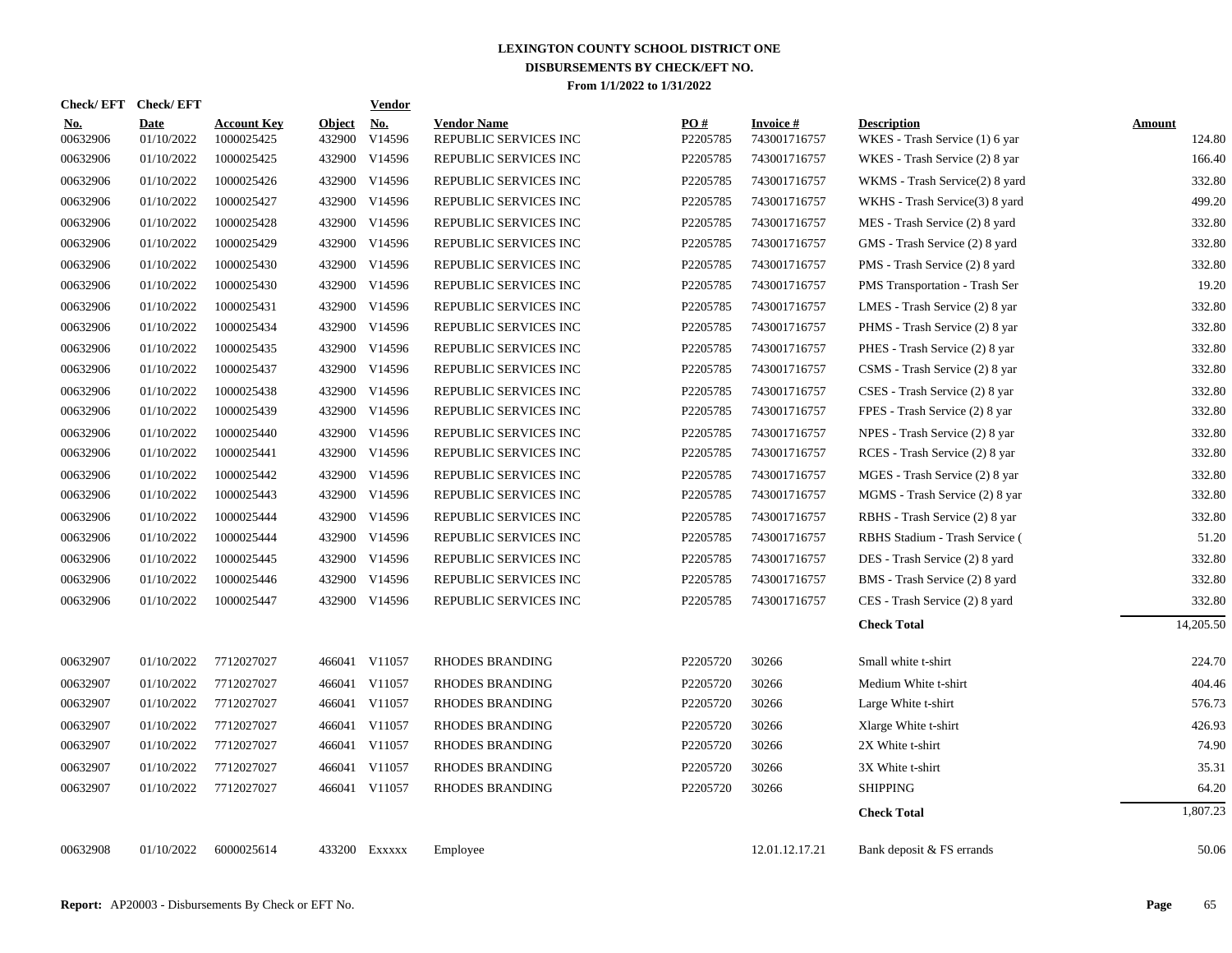| Check/ EFT             | <b>Check/EFT</b>          |                                  |                         | <b>Vendor</b>        |                                             |                 |                                 |                                                      |                         |
|------------------------|---------------------------|----------------------------------|-------------------------|----------------------|---------------------------------------------|-----------------|---------------------------------|------------------------------------------------------|-------------------------|
| <u>No.</u><br>00632906 | <b>Date</b><br>01/10/2022 | <b>Account Key</b><br>1000025425 | <b>Object</b><br>432900 | <u>No.</u><br>V14596 | <b>Vendor Name</b><br>REPUBLIC SERVICES INC | PQ#<br>P2205785 | <b>Invoice#</b><br>743001716757 | <b>Description</b><br>WKES - Trash Service (1) 6 yar | <b>Amount</b><br>124.80 |
| 00632906               | 01/10/2022                | 1000025425                       |                         | 432900 V14596        | REPUBLIC SERVICES INC                       | P2205785        | 743001716757                    | WKES - Trash Service (2) 8 yar                       | 166.40                  |
| 00632906               | 01/10/2022                | 1000025426                       |                         | 432900 V14596        | REPUBLIC SERVICES INC                       | P2205785        | 743001716757                    | WKMS - Trash Service(2) 8 yard                       | 332.80                  |
| 00632906               | 01/10/2022                | 1000025427                       |                         | 432900 V14596        | REPUBLIC SERVICES INC                       | P2205785        | 743001716757                    | WKHS - Trash Service(3) 8 yard                       | 499.20                  |
| 00632906               | 01/10/2022                | 1000025428                       |                         | 432900 V14596        | REPUBLIC SERVICES INC                       | P2205785        | 743001716757                    | MES - Trash Service (2) 8 yard                       | 332.80                  |
| 00632906               | 01/10/2022                | 1000025429                       |                         | 432900 V14596        | REPUBLIC SERVICES INC                       | P2205785        | 743001716757                    | GMS - Trash Service (2) 8 yard                       | 332.80                  |
| 00632906               | 01/10/2022                | 1000025430                       |                         | 432900 V14596        | REPUBLIC SERVICES INC                       | P2205785        | 743001716757                    | PMS - Trash Service (2) 8 yard                       | 332.80                  |
| 00632906               | 01/10/2022                | 1000025430                       |                         | 432900 V14596        | REPUBLIC SERVICES INC                       | P2205785        | 743001716757                    | PMS Transportation - Trash Ser                       | 19.20                   |
| 00632906               | 01/10/2022                | 1000025431                       |                         | 432900 V14596        | REPUBLIC SERVICES INC                       | P2205785        | 743001716757                    | LMES - Trash Service (2) 8 yar                       | 332.80                  |
| 00632906               | 01/10/2022                | 1000025434                       |                         | 432900 V14596        | REPUBLIC SERVICES INC                       | P2205785        | 743001716757                    | PHMS - Trash Service (2) 8 yar                       | 332.80                  |
| 00632906               | 01/10/2022                | 1000025435                       |                         | 432900 V14596        | REPUBLIC SERVICES INC                       | P2205785        | 743001716757                    | PHES - Trash Service (2) 8 yar                       | 332.80                  |
| 00632906               | 01/10/2022                | 1000025437                       |                         | 432900 V14596        | REPUBLIC SERVICES INC                       | P2205785        | 743001716757                    | CSMS - Trash Service (2) 8 yar                       | 332.80                  |
| 00632906               | 01/10/2022                | 1000025438                       |                         | 432900 V14596        | REPUBLIC SERVICES INC                       | P2205785        | 743001716757                    | CSES - Trash Service (2) 8 yar                       | 332.80                  |
| 00632906               | 01/10/2022                | 1000025439                       |                         | 432900 V14596        | REPUBLIC SERVICES INC                       | P2205785        | 743001716757                    | FPES - Trash Service (2) 8 yar                       | 332.80                  |
| 00632906               | 01/10/2022                | 1000025440                       |                         | 432900 V14596        | REPUBLIC SERVICES INC                       | P2205785        | 743001716757                    | NPES - Trash Service (2) 8 yar                       | 332.80                  |
| 00632906               | 01/10/2022                | 1000025441                       |                         | 432900 V14596        | REPUBLIC SERVICES INC                       | P2205785        | 743001716757                    | RCES - Trash Service (2) 8 yar                       | 332.80                  |
| 00632906               | 01/10/2022                | 1000025442                       |                         | 432900 V14596        | REPUBLIC SERVICES INC                       | P2205785        | 743001716757                    | MGES - Trash Service (2) 8 yar                       | 332.80                  |
| 00632906               | 01/10/2022                | 1000025443                       |                         | 432900 V14596        | REPUBLIC SERVICES INC                       | P2205785        | 743001716757                    | MGMS - Trash Service (2) 8 yar                       | 332.80                  |
| 00632906               | 01/10/2022                | 1000025444                       |                         | 432900 V14596        | REPUBLIC SERVICES INC                       | P2205785        | 743001716757                    | RBHS - Trash Service (2) 8 yar                       | 332.80                  |
| 00632906               | 01/10/2022                | 1000025444                       |                         | 432900 V14596        | REPUBLIC SERVICES INC                       | P2205785        | 743001716757                    | RBHS Stadium - Trash Service (                       | 51.20                   |
| 00632906               | 01/10/2022                | 1000025445                       |                         | 432900 V14596        | REPUBLIC SERVICES INC                       | P2205785        | 743001716757                    | DES - Trash Service (2) 8 yard                       | 332.80                  |
| 00632906               | 01/10/2022                | 1000025446                       |                         | 432900 V14596        | REPUBLIC SERVICES INC                       | P2205785        | 743001716757                    | BMS - Trash Service (2) 8 yard                       | 332.80                  |
| 00632906               | 01/10/2022                | 1000025447                       |                         | 432900 V14596        | REPUBLIC SERVICES INC                       | P2205785        | 743001716757                    | CES - Trash Service (2) 8 yard                       | 332.80                  |
|                        |                           |                                  |                         |                      |                                             |                 |                                 | <b>Check Total</b>                                   | 14,205.50               |
| 00632907               | 01/10/2022                | 7712027027                       |                         | 466041 V11057        | RHODES BRANDING                             | P2205720        | 30266                           | Small white t-shirt                                  | 224.70                  |
| 00632907               | 01/10/2022                | 7712027027                       |                         | 466041 V11057        | RHODES BRANDING                             | P2205720        | 30266                           | Medium White t-shirt                                 | 404.46                  |
| 00632907               | 01/10/2022                | 7712027027                       |                         | 466041 V11057        | RHODES BRANDING                             | P2205720        | 30266                           | Large White t-shirt                                  | 576.73                  |
| 00632907               | 01/10/2022                | 7712027027                       |                         | 466041 V11057        | RHODES BRANDING                             | P2205720        | 30266                           | Xlarge White t-shirt                                 | 426.93                  |
| 00632907               | 01/10/2022                | 7712027027                       |                         | 466041 V11057        | RHODES BRANDING                             | P2205720        | 30266                           | 2X White t-shirt                                     | 74.90                   |
| 00632907               | 01/10/2022                | 7712027027                       |                         | 466041 V11057        | <b>RHODES BRANDING</b>                      | P2205720        | 30266                           | 3X White t-shirt                                     | 35.31                   |
| 00632907               | 01/10/2022                | 7712027027                       |                         | 466041 V11057        | <b>RHODES BRANDING</b>                      | P2205720        | 30266                           | <b>SHIPPING</b>                                      | 64.20                   |
|                        |                           |                                  |                         |                      |                                             |                 |                                 | <b>Check Total</b>                                   | 1,807.23                |
| 00632908               | 01/10/2022                | 6000025614                       |                         | 433200 Exxxxx        | Employee                                    |                 | 12.01.12.17.21                  | Bank deposit & FS errands                            | 50.06                   |
|                        |                           |                                  |                         |                      |                                             |                 |                                 |                                                      |                         |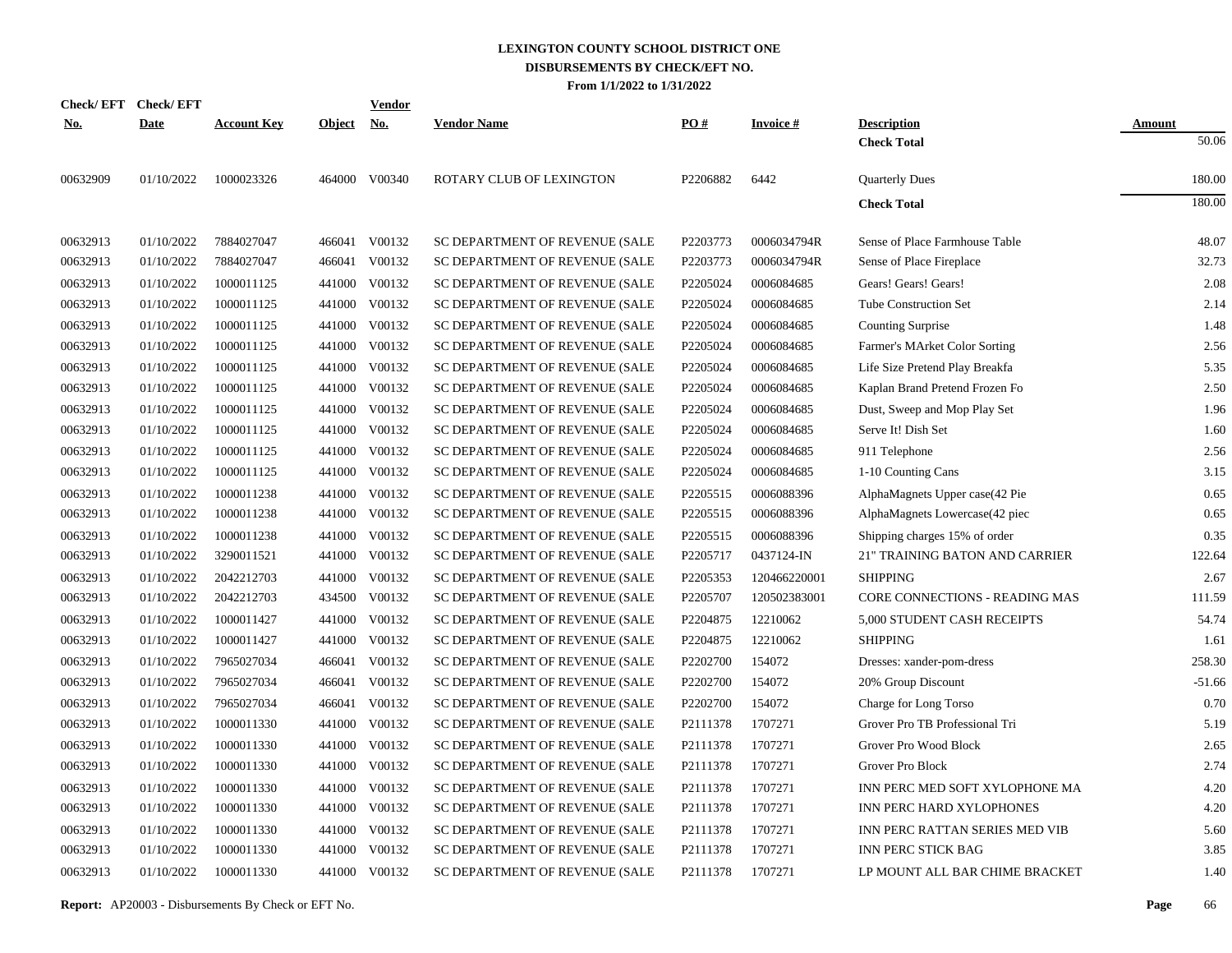|            | Check/EFT Check/EFT |                    |               | <b>Vendor</b> |                                |          |                 |                                |               |
|------------|---------------------|--------------------|---------------|---------------|--------------------------------|----------|-----------------|--------------------------------|---------------|
| <u>No.</u> | <b>Date</b>         | <b>Account Key</b> | <b>Object</b> | <u>No.</u>    | <b>Vendor Name</b>             | PO#      | <b>Invoice#</b> | <b>Description</b>             | <b>Amount</b> |
|            |                     |                    |               |               |                                |          |                 | <b>Check Total</b>             | 50.06         |
| 00632909   | 01/10/2022          | 1000023326         |               | 464000 V00340 | ROTARY CLUB OF LEXINGTON       | P2206882 | 6442            | <b>Quarterly Dues</b>          | 180.00        |
|            |                     |                    |               |               |                                |          |                 | <b>Check Total</b>             | 180.00        |
| 00632913   | 01/10/2022          | 7884027047         |               | 466041 V00132 | SC DEPARTMENT OF REVENUE (SALE | P2203773 | 0006034794R     | Sense of Place Farmhouse Table | 48.07         |
| 00632913   | 01/10/2022          | 7884027047         | 466041        | V00132        | SC DEPARTMENT OF REVENUE (SALE | P2203773 | 0006034794R     | Sense of Place Fireplace       | 32.73         |
| 00632913   | 01/10/2022          | 1000011125         | 441000        | V00132        | SC DEPARTMENT OF REVENUE (SALE | P2205024 | 0006084685      | Gears! Gears! Gears!           | 2.08          |
| 00632913   | 01/10/2022          | 1000011125         | 441000        | V00132        | SC DEPARTMENT OF REVENUE (SALE | P2205024 | 0006084685      | <b>Tube Construction Set</b>   | 2.14          |
| 00632913   | 01/10/2022          | 1000011125         | 441000        | V00132        | SC DEPARTMENT OF REVENUE (SALE | P2205024 | 0006084685      | <b>Counting Surprise</b>       | 1.48          |
| 00632913   | 01/10/2022          | 1000011125         | 441000        | V00132        | SC DEPARTMENT OF REVENUE (SALE | P2205024 | 0006084685      | Farmer's MArket Color Sorting  | 2.56          |
| 00632913   | 01/10/2022          | 1000011125         | 441000        | V00132        | SC DEPARTMENT OF REVENUE (SALE | P2205024 | 0006084685      | Life Size Pretend Play Breakfa | 5.35          |
| 00632913   | 01/10/2022          | 1000011125         | 441000        | V00132        | SC DEPARTMENT OF REVENUE (SALE | P2205024 | 0006084685      | Kaplan Brand Pretend Frozen Fo | 2.50          |
| 00632913   | 01/10/2022          | 1000011125         | 441000        | V00132        | SC DEPARTMENT OF REVENUE (SALE | P2205024 | 0006084685      | Dust, Sweep and Mop Play Set   | 1.96          |
| 00632913   | 01/10/2022          | 1000011125         |               | 441000 V00132 | SC DEPARTMENT OF REVENUE (SALE | P2205024 | 0006084685      | Serve It! Dish Set             | 1.60          |
| 00632913   | 01/10/2022          | 1000011125         | 441000        | V00132        | SC DEPARTMENT OF REVENUE (SALE | P2205024 | 0006084685      | 911 Telephone                  | 2.56          |
| 00632913   | 01/10/2022          | 1000011125         | 441000        | V00132        | SC DEPARTMENT OF REVENUE (SALE | P2205024 | 0006084685      | 1-10 Counting Cans             | 3.15          |
| 00632913   | 01/10/2022          | 1000011238         | 441000        | V00132        | SC DEPARTMENT OF REVENUE (SALE | P2205515 | 0006088396      | AlphaMagnets Upper case(42 Pie | 0.65          |
| 00632913   | 01/10/2022          | 1000011238         | 441000        | V00132        | SC DEPARTMENT OF REVENUE (SALE | P2205515 | 0006088396      | AlphaMagnets Lowercase(42 piec | 0.65          |
| 00632913   | 01/10/2022          | 1000011238         | 441000        | V00132        | SC DEPARTMENT OF REVENUE (SALE | P2205515 | 0006088396      | Shipping charges 15% of order  | 0.35          |
| 00632913   | 01/10/2022          | 3290011521         | 441000        | V00132        | SC DEPARTMENT OF REVENUE (SALE | P2205717 | 0437124-IN      | 21" TRAINING BATON AND CARRIER | 122.64        |
| 00632913   | 01/10/2022          | 2042212703         | 441000        | V00132        | SC DEPARTMENT OF REVENUE (SALE | P2205353 | 120466220001    | <b>SHIPPING</b>                | 2.67          |
| 00632913   | 01/10/2022          | 2042212703         | 434500        | V00132        | SC DEPARTMENT OF REVENUE (SALE | P2205707 | 120502383001    | CORE CONNECTIONS - READING MAS | 111.59        |
| 00632913   | 01/10/2022          | 1000011427         | 441000        | V00132        | SC DEPARTMENT OF REVENUE (SALE | P2204875 | 12210062        | 5,000 STUDENT CASH RECEIPTS    | 54.74         |
| 00632913   | 01/10/2022          | 1000011427         | 441000        | V00132        | SC DEPARTMENT OF REVENUE (SALE | P2204875 | 12210062        | <b>SHIPPING</b>                | 1.61          |
| 00632913   | 01/10/2022          | 7965027034         | 466041        | V00132        | SC DEPARTMENT OF REVENUE (SALE | P2202700 | 154072          | Dresses: xander-pom-dress      | 258.30        |
| 00632913   | 01/10/2022          | 7965027034         | 466041        | V00132        | SC DEPARTMENT OF REVENUE (SALE | P2202700 | 154072          | 20% Group Discount             | $-51.66$      |
| 00632913   | 01/10/2022          | 7965027034         | 466041        | V00132        | SC DEPARTMENT OF REVENUE (SALE | P2202700 | 154072          | Charge for Long Torso          | 0.70          |
| 00632913   | 01/10/2022          | 1000011330         | 441000        | V00132        | SC DEPARTMENT OF REVENUE (SALE | P2111378 | 1707271         | Grover Pro TB Professional Tri | 5.19          |
| 00632913   | 01/10/2022          | 1000011330         | 441000        | V00132        | SC DEPARTMENT OF REVENUE (SALE | P2111378 | 1707271         | Grover Pro Wood Block          | 2.65          |
| 00632913   | 01/10/2022          | 1000011330         | 441000        | V00132        | SC DEPARTMENT OF REVENUE (SALE | P2111378 | 1707271         | Grover Pro Block               | 2.74          |
| 00632913   | 01/10/2022          | 1000011330         | 441000        | V00132        | SC DEPARTMENT OF REVENUE (SALE | P2111378 | 1707271         | INN PERC MED SOFT XYLOPHONE MA | 4.20          |
| 00632913   | 01/10/2022          | 1000011330         | 441000        | V00132        | SC DEPARTMENT OF REVENUE (SALE | P2111378 | 1707271         | INN PERC HARD XYLOPHONES       | 4.20          |
| 00632913   | 01/10/2022          | 1000011330         | 441000        | V00132        | SC DEPARTMENT OF REVENUE (SALE | P2111378 | 1707271         | INN PERC RATTAN SERIES MED VIB | 5.60          |
| 00632913   | 01/10/2022          | 1000011330         | 441000        | V00132        | SC DEPARTMENT OF REVENUE (SALE | P2111378 | 1707271         | <b>INN PERC STICK BAG</b>      | 3.85          |
| 00632913   | 01/10/2022          | 1000011330         |               | 441000 V00132 | SC DEPARTMENT OF REVENUE (SALE | P2111378 | 1707271         | LP MOUNT ALL BAR CHIME BRACKET | 1.40          |
|            |                     |                    |               |               |                                |          |                 |                                |               |

**Report:** AP20003 - Disbursements By Check or EFT No. **Page** 66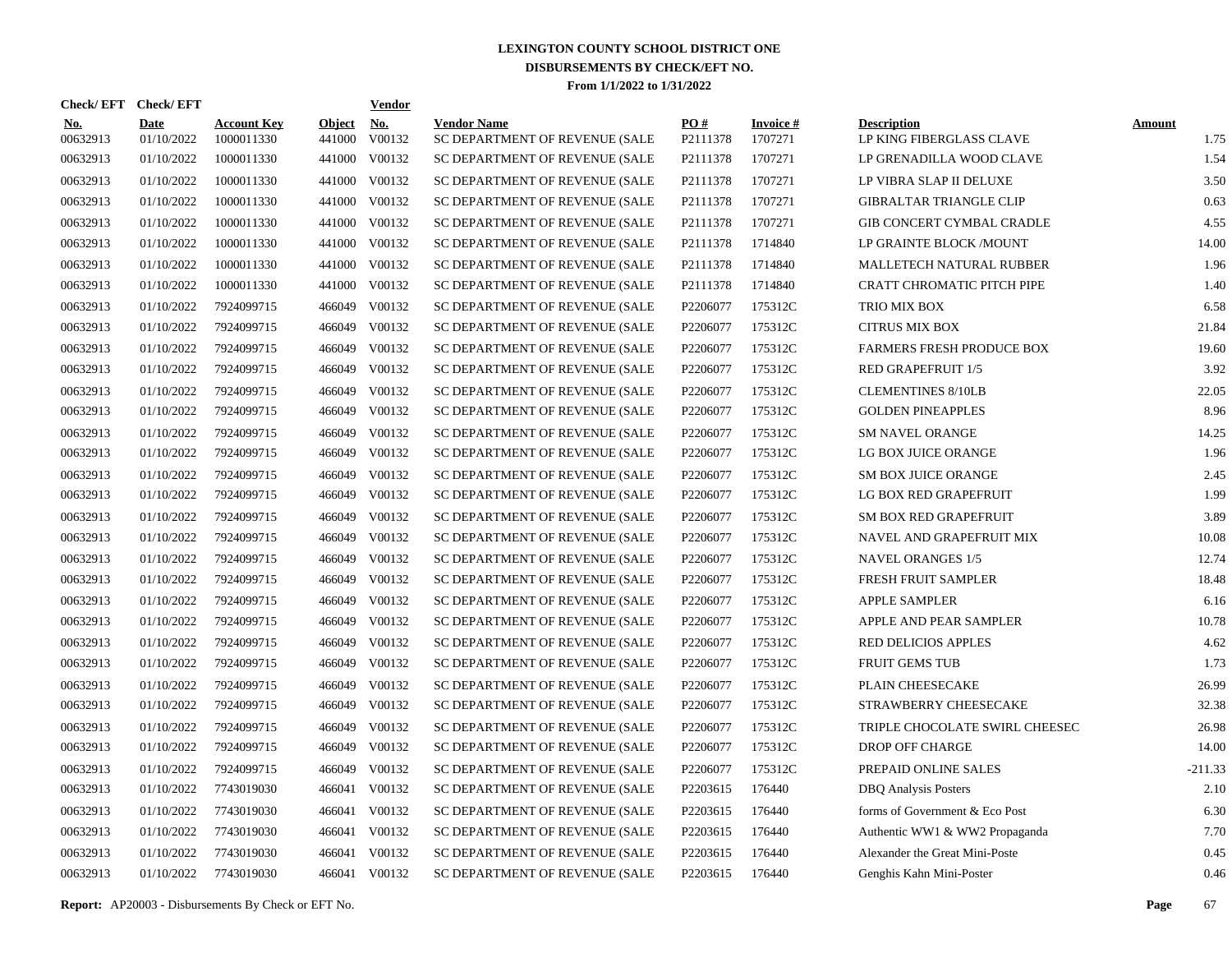| Check/EFT Check/EFT    |                           |                                  |                         | <b>Vendor</b> |                                                      |                 |                            |                                                |                       |
|------------------------|---------------------------|----------------------------------|-------------------------|---------------|------------------------------------------------------|-----------------|----------------------------|------------------------------------------------|-----------------------|
| <u>No.</u><br>00632913 | <b>Date</b><br>01/10/2022 | <b>Account Key</b><br>1000011330 | <b>Object</b><br>441000 | No.<br>V00132 | <b>Vendor Name</b><br>SC DEPARTMENT OF REVENUE (SALE | PO#<br>P2111378 | <b>Invoice#</b><br>1707271 | <b>Description</b><br>LP KING FIBERGLASS CLAVE | <b>Amount</b><br>1.75 |
| 00632913               | 01/10/2022                | 1000011330                       | 441000                  | V00132        | SC DEPARTMENT OF REVENUE (SALE                       | P2111378        | 1707271                    | LP GRENADILLA WOOD CLAVE                       | 1.54                  |
| 00632913               | 01/10/2022                | 1000011330                       | 441000                  | V00132        | SC DEPARTMENT OF REVENUE (SALE                       | P2111378        | 1707271                    | LP VIBRA SLAP II DELUXE                        | 3.50                  |
| 00632913               | 01/10/2022                | 1000011330                       | 441000                  | V00132        | SC DEPARTMENT OF REVENUE (SALE                       | P2111378        | 1707271                    | <b>GIBRALTAR TRIANGLE CLIP</b>                 | 0.63                  |
| 00632913               | 01/10/2022                | 1000011330                       |                         | 441000 V00132 | SC DEPARTMENT OF REVENUE (SALE                       | P2111378        | 1707271                    | GIB CONCERT CYMBAL CRADLE                      | 4.55                  |
| 00632913               | 01/10/2022                | 1000011330                       | 441000                  | V00132        | SC DEPARTMENT OF REVENUE (SALE                       | P2111378        | 1714840                    | LP GRAINTE BLOCK /MOUNT                        | 14.00                 |
| 00632913               | 01/10/2022                | 1000011330                       |                         | 441000 V00132 | SC DEPARTMENT OF REVENUE (SALE                       | P2111378        | 1714840                    | MALLETECH NATURAL RUBBER                       | 1.96                  |
| 00632913               | 01/10/2022                | 1000011330                       | 441000                  | V00132        | SC DEPARTMENT OF REVENUE (SALE                       | P2111378        | 1714840                    | <b>CRATT CHROMATIC PITCH PIPE</b>              | 1.40                  |
| 00632913               | 01/10/2022                | 7924099715                       |                         | 466049 V00132 | SC DEPARTMENT OF REVENUE (SALE                       | P2206077        | 175312C                    | TRIO MIX BOX                                   | 6.58                  |
| 00632913               | 01/10/2022                | 7924099715                       | 466049                  | V00132        | SC DEPARTMENT OF REVENUE (SALE                       | P2206077        | 175312C                    | <b>CITRUS MIX BOX</b>                          | 21.84                 |
| 00632913               | 01/10/2022                | 7924099715                       | 466049                  | V00132        | SC DEPARTMENT OF REVENUE (SALE                       | P2206077        | 175312C                    | <b>FARMERS FRESH PRODUCE BOX</b>               | 19.60                 |
| 00632913               | 01/10/2022                | 7924099715                       | 466049                  | V00132        | SC DEPARTMENT OF REVENUE (SALE                       | P2206077        | 175312C                    | <b>RED GRAPEFRUIT 1/5</b>                      | 3.92                  |
| 00632913               | 01/10/2022                | 7924099715                       | 466049                  | V00132        | SC DEPARTMENT OF REVENUE (SALE                       | P2206077        | 175312C                    | <b>CLEMENTINES 8/10LB</b>                      | 22.05                 |
| 00632913               | 01/10/2022                | 7924099715                       | 466049                  | V00132        | SC DEPARTMENT OF REVENUE (SALE                       | P2206077        | 175312C                    | <b>GOLDEN PINEAPPLES</b>                       | 8.96                  |
| 00632913               | 01/10/2022                | 7924099715                       | 466049                  | V00132        | SC DEPARTMENT OF REVENUE (SALE                       | P2206077        | 175312C                    | <b>SM NAVEL ORANGE</b>                         | 14.25                 |
| 00632913               | 01/10/2022                | 7924099715                       | 466049                  | V00132        | SC DEPARTMENT OF REVENUE (SALE                       | P2206077        | 175312C                    | LG BOX JUICE ORANGE                            | 1.96                  |
| 00632913               | 01/10/2022                | 7924099715                       | 466049                  | V00132        | SC DEPARTMENT OF REVENUE (SALE                       | P2206077        | 175312C                    | <b>SM BOX JUICE ORANGE</b>                     | 2.45                  |
| 00632913               | 01/10/2022                | 7924099715                       | 466049                  | V00132        | SC DEPARTMENT OF REVENUE (SALE                       | P2206077        | 175312C                    | LG BOX RED GRAPEFRUIT                          | 1.99                  |
| 00632913               | 01/10/2022                | 7924099715                       | 466049                  | V00132        | SC DEPARTMENT OF REVENUE (SALE                       | P2206077        | 175312C                    | <b>SM BOX RED GRAPEFRUIT</b>                   | 3.89                  |
| 00632913               | 01/10/2022                | 7924099715                       | 466049                  | V00132        | SC DEPARTMENT OF REVENUE (SALE                       | P2206077        | 175312C                    | NAVEL AND GRAPEFRUIT MIX                       | 10.08                 |
| 00632913               | 01/10/2022                | 7924099715                       | 466049                  | V00132        | SC DEPARTMENT OF REVENUE (SALE                       | P2206077        | 175312C                    | <b>NAVEL ORANGES 1/5</b>                       | 12.74                 |
| 00632913               | 01/10/2022                | 7924099715                       | 466049                  | V00132        | SC DEPARTMENT OF REVENUE (SALE                       | P2206077        | 175312C                    | FRESH FRUIT SAMPLER                            | 18.48                 |
| 00632913               | 01/10/2022                | 7924099715                       | 466049                  | V00132        | SC DEPARTMENT OF REVENUE (SALE                       | P2206077        | 175312C                    | <b>APPLE SAMPLER</b>                           | 6.16                  |
| 00632913               | 01/10/2022                | 7924099715                       | 466049                  | V00132        | SC DEPARTMENT OF REVENUE (SALE                       | P2206077        | 175312C                    | APPLE AND PEAR SAMPLER                         | 10.78                 |
| 00632913               | 01/10/2022                | 7924099715                       | 466049                  | V00132        | SC DEPARTMENT OF REVENUE (SALE                       | P2206077        | 175312C                    | <b>RED DELICIOS APPLES</b>                     | 4.62                  |
| 00632913               | 01/10/2022                | 7924099715                       | 466049                  | V00132        | SC DEPARTMENT OF REVENUE (SALE                       | P2206077        | 175312C                    | <b>FRUIT GEMS TUB</b>                          | 1.73                  |
| 00632913               | 01/10/2022                | 7924099715                       | 466049                  | V00132        | SC DEPARTMENT OF REVENUE (SALE                       | P2206077        | 175312C                    | PLAIN CHEESECAKE                               | 26.99                 |
| 00632913               | 01/10/2022                | 7924099715                       | 466049                  | V00132        | SC DEPARTMENT OF REVENUE (SALE                       | P2206077        | 175312C                    | STRAWBERRY CHEESECAKE                          | 32.38                 |
| 00632913               | 01/10/2022                | 7924099715                       | 466049                  | V00132        | SC DEPARTMENT OF REVENUE (SALE                       | P2206077        | 175312C                    | TRIPLE CHOCOLATE SWIRL CHEESEC                 | 26.98                 |
| 00632913               | 01/10/2022                | 7924099715                       | 466049                  | V00132        | SC DEPARTMENT OF REVENUE (SALE                       | P2206077        | 175312C                    | <b>DROP OFF CHARGE</b>                         | 14.00                 |
| 00632913               | 01/10/2022                | 7924099715                       | 466049                  | V00132        | SC DEPARTMENT OF REVENUE (SALE                       | P2206077        | 175312C                    | PREPAID ONLINE SALES                           | $-211.33$             |
| 00632913               | 01/10/2022                | 7743019030                       | 466041                  | V00132        | SC DEPARTMENT OF REVENUE (SALE                       | P2203615        | 176440                     | <b>DBQ</b> Analysis Posters                    | 2.10                  |
| 00632913               | 01/10/2022                | 7743019030                       | 466041                  | V00132        | SC DEPARTMENT OF REVENUE (SALE                       | P2203615        | 176440                     | forms of Government & Eco Post                 | 6.30                  |
| 00632913               | 01/10/2022                | 7743019030                       | 466041                  | V00132        | SC DEPARTMENT OF REVENUE (SALE                       | P2203615        | 176440                     | Authentic WW1 & WW2 Propaganda                 | 7.70                  |
| 00632913               | 01/10/2022                | 7743019030                       | 466041                  | V00132        | SC DEPARTMENT OF REVENUE (SALE                       | P2203615        | 176440                     | Alexander the Great Mini-Poste                 | 0.45                  |
| 00632913               | 01/10/2022                | 7743019030                       |                         | 466041 V00132 | SC DEPARTMENT OF REVENUE (SALE                       | P2203615        | 176440                     | Genghis Kahn Mini-Poster                       | 0.46                  |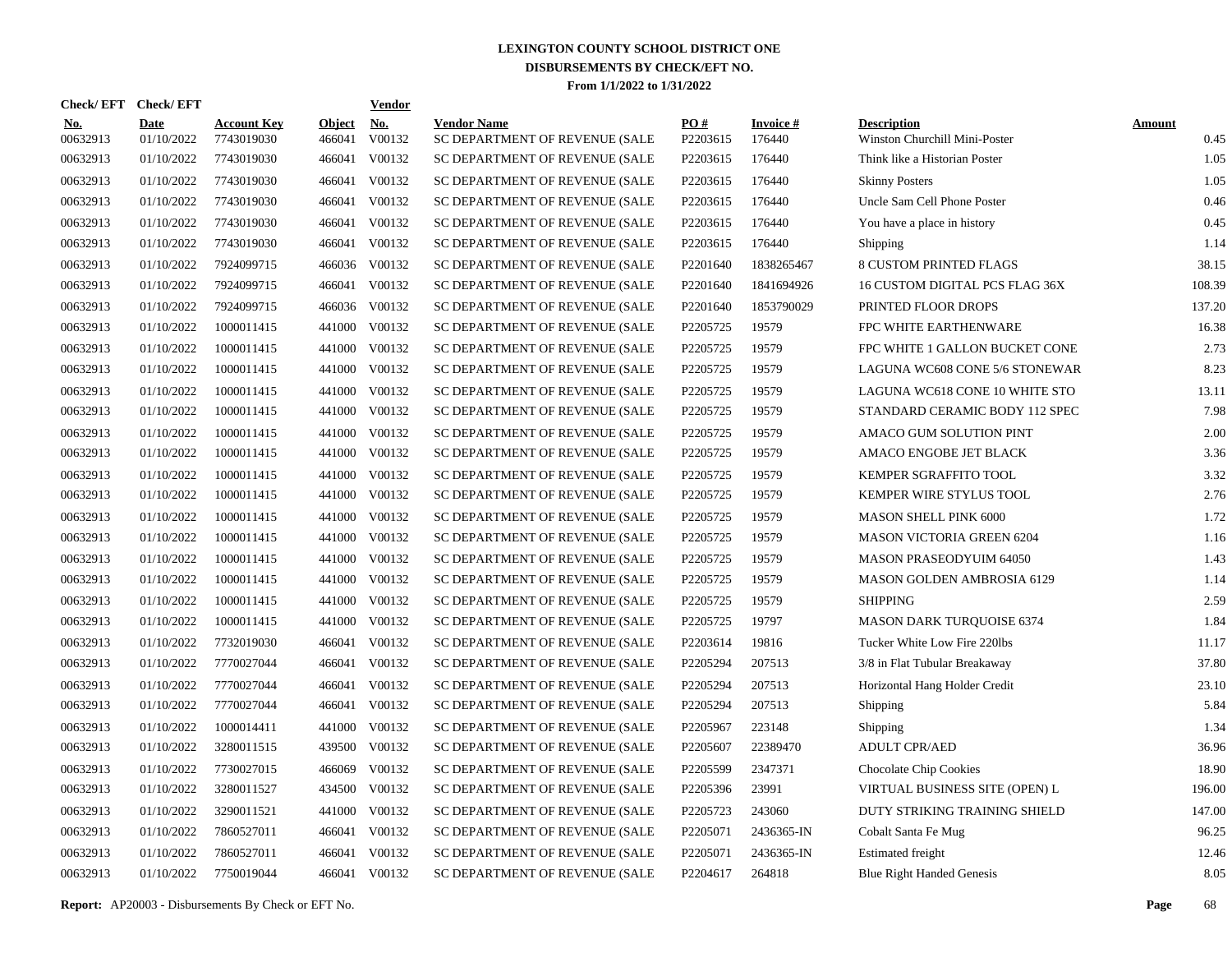| <b>Check/EFT</b>       |                           |                                  |                         | <b>Vendor</b>                                                                                                                                                          |                                                       |                 |                           |                                                     |                       |
|------------------------|---------------------------|----------------------------------|-------------------------|------------------------------------------------------------------------------------------------------------------------------------------------------------------------|-------------------------------------------------------|-----------------|---------------------------|-----------------------------------------------------|-----------------------|
| <u>No.</u><br>00632913 | <b>Date</b><br>01/10/2022 | <b>Account Key</b><br>7743019030 | <b>Object</b><br>466041 | No.<br>V00132                                                                                                                                                          | <b>Vendor Name</b><br>SC DEPARTMENT OF REVENUE (SALE  | PO#<br>P2203615 | <b>Invoice#</b><br>176440 | <b>Description</b><br>Winston Churchill Mini-Poster | <b>Amount</b><br>0.45 |
| 00632913               | 01/10/2022                | 7743019030                       | 466041                  | V00132                                                                                                                                                                 | SC DEPARTMENT OF REVENUE (SALE                        | P2203615        | 176440                    | Think like a Historian Poster                       | 1.05                  |
| 00632913               | 01/10/2022                | 7743019030                       | 466041                  | V00132                                                                                                                                                                 | SC DEPARTMENT OF REVENUE (SALE                        | P2203615        | 176440                    | <b>Skinny Posters</b>                               | 1.05                  |
| 00632913               | 01/10/2022                | 7743019030                       | 466041                  | V00132                                                                                                                                                                 | SC DEPARTMENT OF REVENUE (SALE                        | P2203615        | 176440                    | Uncle Sam Cell Phone Poster                         | 0.46                  |
| 00632913               | 01/10/2022                | 7743019030                       | 466041                  | V00132                                                                                                                                                                 | SC DEPARTMENT OF REVENUE (SALE                        | P2203615        | 176440                    | You have a place in history                         | 0.45                  |
| 00632913               | 01/10/2022                | 7743019030                       | 466041                  | V00132                                                                                                                                                                 | SC DEPARTMENT OF REVENUE (SALE                        | P2203615        | 176440                    | Shipping                                            | 1.14                  |
| 00632913               | 01/10/2022                | 7924099715                       |                         | V00132                                                                                                                                                                 | SC DEPARTMENT OF REVENUE (SALE                        | P2201640        | 1838265467                | <b>8 CUSTOM PRINTED FLAGS</b>                       | 38.15                 |
| 00632913               | 01/10/2022                | 7924099715                       | 466041                  | V00132                                                                                                                                                                 | SC DEPARTMENT OF REVENUE (SALE                        | P2201640        | 1841694926                | 16 CUSTOM DIGITAL PCS FLAG 36X                      | 108.39                |
| 00632913               | 01/10/2022                | 7924099715                       |                         | V00132                                                                                                                                                                 | SC DEPARTMENT OF REVENUE (SALE                        | P2201640        | 1853790029                | PRINTED FLOOR DROPS                                 | 137.20                |
| 00632913               | 01/10/2022                | 1000011415                       | 441000                  | V00132                                                                                                                                                                 | SC DEPARTMENT OF REVENUE (SALE                        | P2205725        | 19579                     | FPC WHITE EARTHENWARE                               | 16.38                 |
| 00632913               | 01/10/2022                | 1000011415                       |                         | V00132                                                                                                                                                                 | SC DEPARTMENT OF REVENUE (SALE                        | P2205725        | 19579                     | FPC WHITE 1 GALLON BUCKET CONE                      | 2.73                  |
| 00632913               | 01/10/2022                | 1000011415                       |                         | V00132                                                                                                                                                                 | SC DEPARTMENT OF REVENUE (SALE                        | P2205725        | 19579                     | LAGUNA WC608 CONE 5/6 STONEWAR                      | 8.23                  |
| 00632913               | 01/10/2022                | 1000011415                       |                         | V00132                                                                                                                                                                 | SC DEPARTMENT OF REVENUE (SALE                        | P2205725        | 19579                     | LAGUNA WC618 CONE 10 WHITE STO                      | 13.11                 |
| 00632913               | 01/10/2022                | 1000011415                       |                         | V00132                                                                                                                                                                 | SC DEPARTMENT OF REVENUE (SALE                        | P2205725        | 19579                     | STANDARD CERAMIC BODY 112 SPEC                      | 7.98                  |
| 00632913               | 01/10/2022                | 1000011415                       |                         | V00132                                                                                                                                                                 | SC DEPARTMENT OF REVENUE (SALE                        | P2205725        | 19579                     | AMACO GUM SOLUTION PINT                             | 2.00                  |
| 00632913               | 01/10/2022                | 1000011415                       |                         | V00132                                                                                                                                                                 | SC DEPARTMENT OF REVENUE (SALE                        | P2205725        | 19579                     | AMACO ENGOBE JET BLACK                              | 3.36                  |
| 00632913               | 01/10/2022                | 1000011415                       |                         | V00132                                                                                                                                                                 | SC DEPARTMENT OF REVENUE (SALE                        | P2205725        | 19579                     | KEMPER SGRAFFITO TOOL                               | 3.32                  |
| 00632913               | 01/10/2022                | 1000011415                       |                         | V00132                                                                                                                                                                 | SC DEPARTMENT OF REVENUE (SALE                        | P2205725        | 19579                     | KEMPER WIRE STYLUS TOOL                             | 2.76                  |
| 00632913               | 01/10/2022                | 1000011415                       |                         | V00132                                                                                                                                                                 | SC DEPARTMENT OF REVENUE (SALE                        | P2205725        | 19579                     | <b>MASON SHELL PINK 6000</b>                        | 1.72                  |
| 00632913               | 01/10/2022                | 1000011415                       |                         | V00132                                                                                                                                                                 | SC DEPARTMENT OF REVENUE (SALE                        | P2205725        | 19579                     | <b>MASON VICTORIA GREEN 6204</b>                    | 1.16                  |
| 00632913               | 01/10/2022                | 1000011415                       |                         | V00132                                                                                                                                                                 | SC DEPARTMENT OF REVENUE (SALE                        | P2205725        | 19579                     | <b>MASON PRASEODYUIM 64050</b>                      | 1.43                  |
| 00632913               | 01/10/2022                | 1000011415                       |                         | V00132                                                                                                                                                                 | SC DEPARTMENT OF REVENUE (SALE                        | P2205725        | 19579                     | <b>MASON GOLDEN AMBROSIA 6129</b>                   | 1.14                  |
| 00632913               | 01/10/2022                | 1000011415                       |                         | V00132                                                                                                                                                                 | SC DEPARTMENT OF REVENUE (SALE                        | P2205725        | 19579                     | <b>SHIPPING</b>                                     | 2.59                  |
| 00632913               | 01/10/2022                | 1000011415                       |                         | V00132                                                                                                                                                                 | SC DEPARTMENT OF REVENUE (SALE                        | P2205725        | 19797                     | <b>MASON DARK TURQUOISE 6374</b>                    | 1.84                  |
| 00632913               | 01/10/2022                | 7732019030                       |                         | V00132                                                                                                                                                                 | SC DEPARTMENT OF REVENUE (SALE                        | P2203614        | 19816                     | Tucker White Low Fire 220lbs                        | 11.17                 |
| 00632913               | 01/10/2022                | 7770027044                       | 466041                  | V00132                                                                                                                                                                 | SC DEPARTMENT OF REVENUE (SALE                        | P2205294        | 207513                    | 3/8 in Flat Tubular Breakaway                       | 37.80                 |
| 00632913               | 01/10/2022                | 7770027044                       | 466041                  | V00132                                                                                                                                                                 | SC DEPARTMENT OF REVENUE (SALE                        | P2205294        | 207513                    | Horizontal Hang Holder Credit                       | 23.10                 |
| 00632913               | 01/10/2022                | 7770027044                       |                         | V00132                                                                                                                                                                 | SC DEPARTMENT OF REVENUE (SALE                        | P2205294        | 207513                    | Shipping                                            | 5.84                  |
| 00632913               | 01/10/2022                | 1000014411                       | 441000                  | V00132                                                                                                                                                                 | SC DEPARTMENT OF REVENUE (SALE                        | P2205967        | 223148                    | Shipping                                            | 1.34                  |
| 00632913               | 01/10/2022                | 3280011515                       |                         | V00132                                                                                                                                                                 | SC DEPARTMENT OF REVENUE (SALE                        | P2205607        | 22389470                  | <b>ADULT CPR/AED</b>                                | 36.96                 |
| 00632913               | 01/10/2022                | 7730027015                       | 466069                  | V00132                                                                                                                                                                 | SC DEPARTMENT OF REVENUE (SALE                        | P2205599        | 2347371                   | Chocolate Chip Cookies                              | 18.90                 |
| 00632913               | 01/10/2022                | 3280011527                       |                         | V00132                                                                                                                                                                 | SC DEPARTMENT OF REVENUE (SALE                        | P2205396        | 23991                     | VIRTUAL BUSINESS SITE (OPEN) L                      | 196.00                |
| 00632913               | 01/10/2022                | 3290011521                       | 441000                  | V00132                                                                                                                                                                 | SC DEPARTMENT OF REVENUE (SALE                        | P2205723        | 243060                    | DUTY STRIKING TRAINING SHIELD                       | 147.00                |
|                        | 01/10/2022                | 7860527011                       |                         | V00132                                                                                                                                                                 | SC DEPARTMENT OF REVENUE (SALE                        | P2205071        | 2436365-IN                | Cobalt Santa Fe Mug                                 | 96.25                 |
| 00632913               | 01/10/2022                | 7860527011                       | 466041                  | V00132                                                                                                                                                                 | SC DEPARTMENT OF REVENUE (SALE                        | P2205071        | 2436365-IN                | <b>Estimated freight</b>                            | 12.46                 |
| 00632913               | 01/10/2022                | 7750019044                       |                         |                                                                                                                                                                        | SC DEPARTMENT OF REVENUE (SALE                        | P2204617        | 264818                    | <b>Blue Right Handed Genesis</b>                    | 8.05                  |
|                        | 00632913                  | <b>Check/EFT</b>                 |                         | 441000<br>441000<br>441000<br>441000<br>441000<br>441000<br>441000<br>441000<br>441000<br>441000<br>441000<br>441000<br>441000<br>441000<br>466041<br>466041<br>434500 | 466036<br>466036<br>439500<br>466041<br>466041 V00132 |                 |                           |                                                     |                       |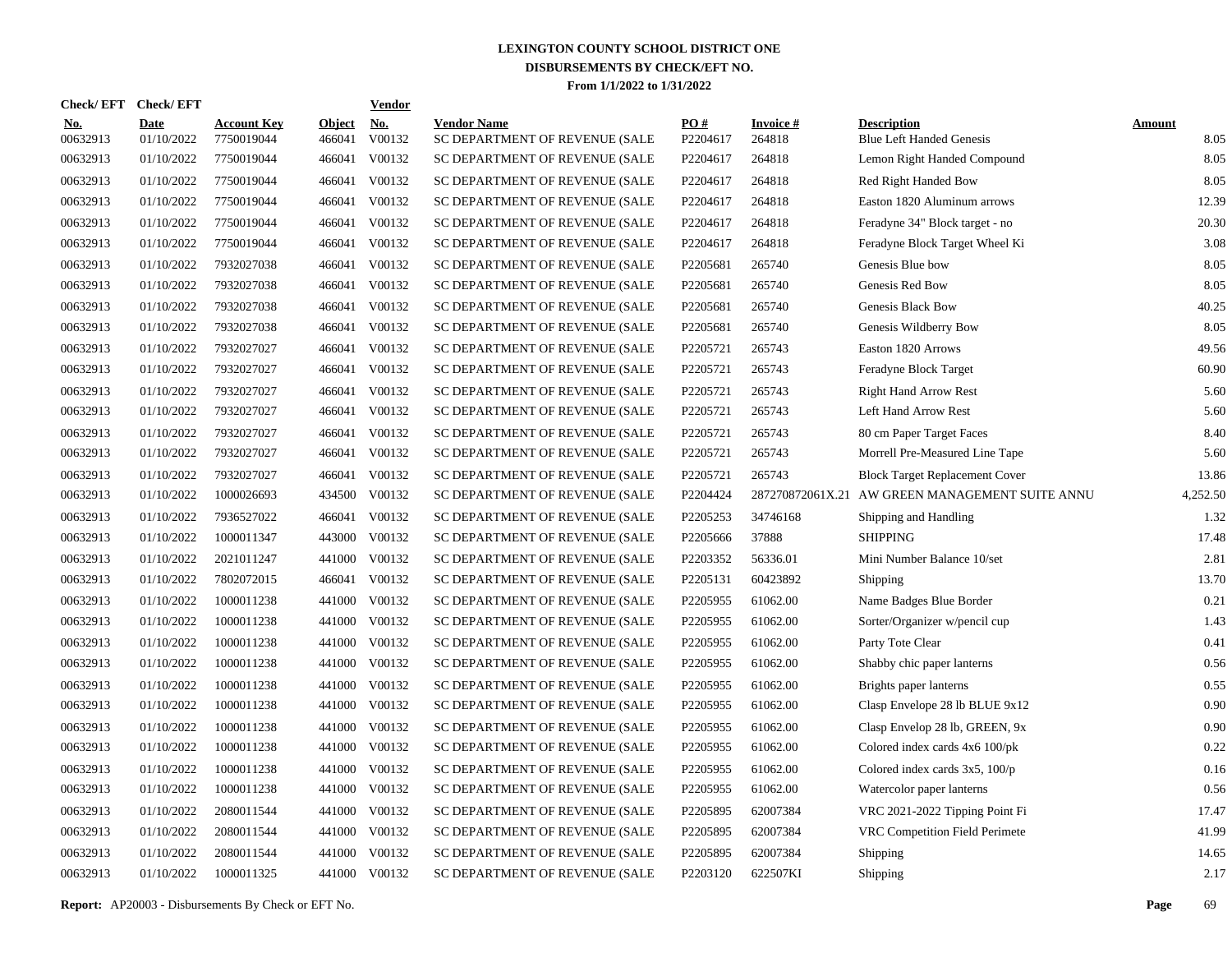| Check/EFT Check/EFT    |                           |                                  |                         | <b>Vendor</b>                             |                                                      |                 |                           |                                                       |                       |
|------------------------|---------------------------|----------------------------------|-------------------------|-------------------------------------------|------------------------------------------------------|-----------------|---------------------------|-------------------------------------------------------|-----------------------|
| <u>No.</u><br>00632913 | <b>Date</b><br>01/10/2022 | <b>Account Key</b><br>7750019044 | <b>Object</b><br>466041 | $\underline{\mathrm{No}}$<br>$\rm V00132$ | <b>Vendor Name</b><br>SC DEPARTMENT OF REVENUE (SALE | PO#<br>P2204617 | <b>Invoice#</b><br>264818 | <b>Description</b><br><b>Blue Left Handed Genesis</b> | <b>Amount</b><br>8.05 |
| 00632913               | 01/10/2022                | 7750019044                       | 466041                  | V00132                                    | SC DEPARTMENT OF REVENUE (SALE                       | P2204617        | 264818                    | Lemon Right Handed Compound                           | 8.05                  |
| 00632913               | 01/10/2022                | 7750019044                       | 466041                  | V00132                                    | SC DEPARTMENT OF REVENUE (SALE                       | P2204617        | 264818                    | Red Right Handed Bow                                  | 8.05                  |
| 00632913               | 01/10/2022                | 7750019044                       | 466041                  | V00132                                    | SC DEPARTMENT OF REVENUE (SALE                       | P2204617        | 264818                    | Easton 1820 Aluminum arrows                           | 12.39                 |
| 00632913               | 01/10/2022                | 7750019044                       | 466041                  | V00132                                    | SC DEPARTMENT OF REVENUE (SALE                       | P2204617        | 264818                    | Feradyne 34" Block target - no                        | 20.30                 |
| 00632913               | 01/10/2022                | 7750019044                       | 466041                  | V00132                                    | SC DEPARTMENT OF REVENUE (SALE                       | P2204617        | 264818                    | Feradyne Block Target Wheel Ki                        | 3.08                  |
| 00632913               | 01/10/2022                | 7932027038                       | 466041                  | V00132                                    | SC DEPARTMENT OF REVENUE (SALE                       | P2205681        | 265740                    | Genesis Blue bow                                      | 8.05                  |
| 00632913               | 01/10/2022                | 7932027038                       | 466041                  | V00132                                    | SC DEPARTMENT OF REVENUE (SALE                       | P2205681        | 265740                    | Genesis Red Bow                                       | 8.05                  |
| 00632913               | 01/10/2022                | 7932027038                       | 466041                  | V00132                                    | SC DEPARTMENT OF REVENUE (SALE                       | P2205681        | 265740                    | Genesis Black Bow                                     | 40.25                 |
| 00632913               | 01/10/2022                | 7932027038                       | 466041                  | V00132                                    | SC DEPARTMENT OF REVENUE (SALE                       | P2205681        | 265740                    | Genesis Wildberry Bow                                 | 8.05                  |
| 00632913               | 01/10/2022                | 7932027027                       | 466041                  | V00132                                    | SC DEPARTMENT OF REVENUE (SALE                       | P2205721        | 265743                    | Easton 1820 Arrows                                    | 49.56                 |
| 00632913               | 01/10/2022                | 7932027027                       | 466041                  | V00132                                    | SC DEPARTMENT OF REVENUE (SALE                       | P2205721        | 265743                    | Feradyne Block Target                                 | 60.90                 |
| 00632913               | 01/10/2022                | 7932027027                       | 466041                  | V00132                                    | SC DEPARTMENT OF REVENUE (SALE                       | P2205721        | 265743                    | <b>Right Hand Arrow Rest</b>                          | 5.60                  |
| 00632913               | 01/10/2022                | 7932027027                       | 466041                  | V00132                                    | SC DEPARTMENT OF REVENUE (SALE                       | P2205721        | 265743                    | Left Hand Arrow Rest                                  | 5.60                  |
| 00632913               | 01/10/2022                | 7932027027                       | 466041                  | V00132                                    | SC DEPARTMENT OF REVENUE (SALE                       | P2205721        | 265743                    | 80 cm Paper Target Faces                              | 8.40                  |
| 00632913               | 01/10/2022                | 7932027027                       | 466041                  | V00132                                    | SC DEPARTMENT OF REVENUE (SALE                       | P2205721        | 265743                    | Morrell Pre-Measured Line Tape                        | 5.60                  |
| 00632913               | 01/10/2022                | 7932027027                       |                         | 466041 V00132                             | SC DEPARTMENT OF REVENUE (SALE                       | P2205721        | 265743                    | <b>Block Target Replacement Cover</b>                 | 13.86                 |
| 00632913               | 01/10/2022                | 1000026693                       |                         | 434500 V00132                             | SC DEPARTMENT OF REVENUE (SALE                       | P2204424        |                           | 287270872061X.21 AW GREEN MANAGEMENT SUITE ANNU       | 4,252.50              |
| 00632913               | 01/10/2022                | 7936527022                       |                         | 466041 V00132                             | SC DEPARTMENT OF REVENUE (SALE                       | P2205253        | 34746168                  | Shipping and Handling                                 | 1.32                  |
| 00632913               | 01/10/2022                | 1000011347                       |                         | 443000 V00132                             | SC DEPARTMENT OF REVENUE (SALE                       | P2205666        | 37888                     | <b>SHIPPING</b>                                       | 17.48                 |
| 00632913               | 01/10/2022                | 2021011247                       |                         | 441000 V00132                             | SC DEPARTMENT OF REVENUE (SALE                       | P2203352        | 56336.01                  | Mini Number Balance 10/set                            | 2.81                  |
| 00632913               | 01/10/2022                | 7802072015                       | 466041                  | V00132                                    | SC DEPARTMENT OF REVENUE (SALE                       | P2205131        | 60423892                  | Shipping                                              | 13.70                 |
| 00632913               | 01/10/2022                | 1000011238                       |                         | 441000 V00132                             | SC DEPARTMENT OF REVENUE (SALE                       | P2205955        | 61062.00                  | Name Badges Blue Border                               | 0.21                  |
| 00632913               | 01/10/2022                | 1000011238                       |                         | 441000 V00132                             | SC DEPARTMENT OF REVENUE (SALE                       | P2205955        | 61062.00                  | Sorter/Organizer w/pencil cup                         | 1.43                  |
| 00632913               | 01/10/2022                | 1000011238                       |                         | 441000 V00132                             | SC DEPARTMENT OF REVENUE (SALE                       | P2205955        | 61062.00                  | Party Tote Clear                                      | 0.41                  |
| 00632913               | 01/10/2022                | 1000011238                       |                         | 441000 V00132                             | SC DEPARTMENT OF REVENUE (SALE                       | P2205955        | 61062.00                  | Shabby chic paper lanterns                            | 0.56                  |
| 00632913               | 01/10/2022                | 1000011238                       |                         | 441000 V00132                             | SC DEPARTMENT OF REVENUE (SALE                       | P2205955        | 61062.00                  | Brights paper lanterns                                | 0.55                  |
| 00632913               | 01/10/2022                | 1000011238                       |                         | 441000 V00132                             | SC DEPARTMENT OF REVENUE (SALE                       | P2205955        | 61062.00                  | Clasp Envelope 28 lb BLUE 9x12                        | 0.90                  |
| 00632913               | 01/10/2022                | 1000011238                       |                         | 441000 V00132                             | SC DEPARTMENT OF REVENUE (SALE                       | P2205955        | 61062.00                  | Clasp Envelop 28 lb, GREEN, 9x                        | 0.90                  |
| 00632913               | 01/10/2022                | 1000011238                       |                         | 441000 V00132                             | SC DEPARTMENT OF REVENUE (SALE                       | P2205955        | 61062.00                  | Colored index cards 4x6 100/pk                        | 0.22                  |
| 00632913               | 01/10/2022                | 1000011238                       |                         | 441000 V00132                             | SC DEPARTMENT OF REVENUE (SALE                       | P2205955        | 61062.00                  | Colored index cards $3x5$ , $100/p$                   | 0.16                  |
| 00632913               | 01/10/2022                | 1000011238                       |                         | 441000 V00132                             | SC DEPARTMENT OF REVENUE (SALE                       | P2205955        | 61062.00                  | Watercolor paper lanterns                             | 0.56                  |
| 00632913               | 01/10/2022                | 2080011544                       |                         | 441000 V00132                             | SC DEPARTMENT OF REVENUE (SALE                       | P2205895        | 62007384                  | VRC 2021-2022 Tipping Point Fi                        | 17.47                 |
| 00632913               | 01/10/2022                | 2080011544                       |                         | 441000 V00132                             | SC DEPARTMENT OF REVENUE (SALE                       | P2205895        | 62007384                  | VRC Competition Field Perimete                        | 41.99                 |
| 00632913               | 01/10/2022                | 2080011544                       |                         | 441000 V00132                             | SC DEPARTMENT OF REVENUE (SALE                       | P2205895        | 62007384                  | Shipping                                              | 14.65                 |
| 00632913               | 01/10/2022                | 1000011325                       |                         | 441000 V00132                             | SC DEPARTMENT OF REVENUE (SALE                       | P2203120        | 622507KI                  | Shipping                                              | 2.17                  |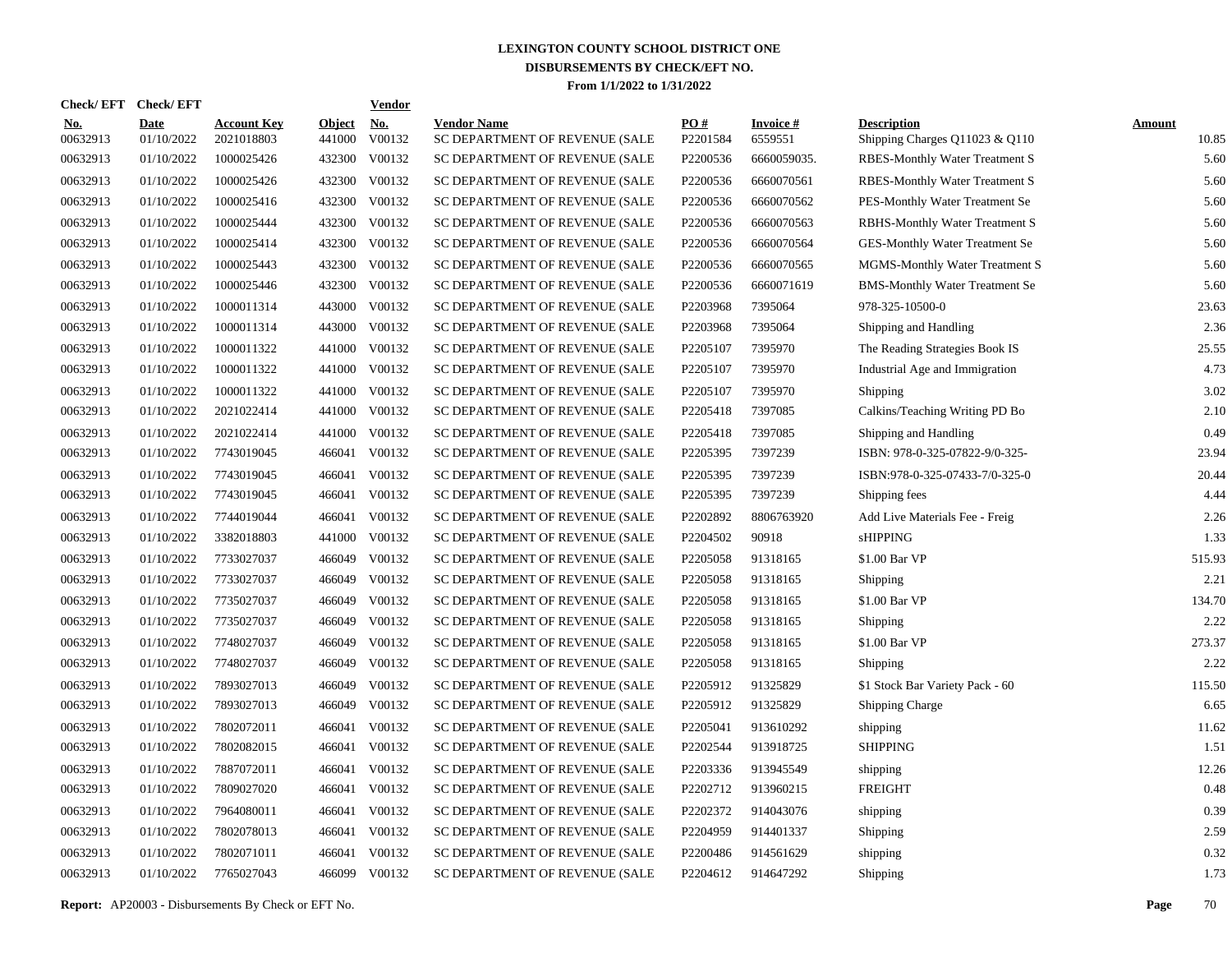| <b>Check/EFT</b>       | <b>Check/EFT</b>          |                                  |                         | <b>Vendor</b> |                                                      |                      |                            |                                                      |                        |
|------------------------|---------------------------|----------------------------------|-------------------------|---------------|------------------------------------------------------|----------------------|----------------------------|------------------------------------------------------|------------------------|
| <b>No.</b><br>00632913 | <b>Date</b><br>01/10/2022 | <b>Account Key</b><br>2021018803 | <b>Object</b><br>441000 | No.<br>V00132 | <b>Vendor Name</b><br>SC DEPARTMENT OF REVENUE (SALE | PO#<br>P2201584      | <b>Invoice#</b><br>6559551 | <b>Description</b><br>Shipping Charges Q11023 & Q110 | <b>Amount</b><br>10.85 |
| 00632913               | 01/10/2022                | 1000025426                       | 432300                  | V00132        | SC DEPARTMENT OF REVENUE (SALE                       | P2200536             | 6660059035.                | RBES-Monthly Water Treatment S                       | 5.60                   |
| 00632913               | 01/10/2022                | 1000025426                       | 432300                  | V00132        | SC DEPARTMENT OF REVENUE (SALE                       | P2200536             | 6660070561                 | RBES-Monthly Water Treatment S                       | 5.60                   |
| 00632913               | 01/10/2022                | 1000025416                       | 432300                  | V00132        | SC DEPARTMENT OF REVENUE (SALE                       | P2200536             | 6660070562                 | PES-Monthly Water Treatment Se                       | 5.60                   |
| 00632913               | 01/10/2022                | 1000025444                       | 432300                  | V00132        | SC DEPARTMENT OF REVENUE (SALE                       | P2200536             | 6660070563                 | RBHS-Monthly Water Treatment S                       | 5.60                   |
| 00632913               | 01/10/2022                | 1000025414                       | 432300                  | V00132        | SC DEPARTMENT OF REVENUE (SALE                       | P2200536             | 6660070564                 | GES-Monthly Water Treatment Se                       | 5.60                   |
| 00632913               | 01/10/2022                | 1000025443                       | 432300                  | V00132        | SC DEPARTMENT OF REVENUE (SALE                       | P2200536             | 6660070565                 | MGMS-Monthly Water Treatment S                       | 5.60                   |
| 00632913               | 01/10/2022                | 1000025446                       | 432300                  | V00132        | SC DEPARTMENT OF REVENUE (SALE                       | P2200536             | 6660071619                 | <b>BMS-Monthly Water Treatment Se</b>                | 5.60                   |
| 00632913               | 01/10/2022                | 1000011314                       | 443000                  | V00132        | SC DEPARTMENT OF REVENUE (SALE                       | P2203968             | 7395064                    | 978-325-10500-0                                      | 23.63                  |
| 00632913               | 01/10/2022                | 1000011314                       | 443000                  | V00132        | SC DEPARTMENT OF REVENUE (SALE                       | P2203968             | 7395064                    | Shipping and Handling                                | 2.36                   |
| 00632913               | 01/10/2022                | 1000011322                       | 441000                  | V00132        | SC DEPARTMENT OF REVENUE (SALE                       | P2205107             | 7395970                    | The Reading Strategies Book IS                       | 25.55                  |
| 00632913               | 01/10/2022                | 1000011322                       | 441000                  | V00132        | SC DEPARTMENT OF REVENUE (SALE                       | P2205107             | 7395970                    | Industrial Age and Immigration                       | 4.73                   |
| 00632913               | 01/10/2022                | 1000011322                       | 441000                  | V00132        | SC DEPARTMENT OF REVENUE (SALE                       | P <sub>2205107</sub> | 7395970                    | Shipping                                             | 3.02                   |
| 00632913               | 01/10/2022                | 2021022414                       | 441000                  | V00132        | SC DEPARTMENT OF REVENUE (SALE                       | P2205418             | 7397085                    | Calkins/Teaching Writing PD Bo                       | 2.10                   |
| 00632913               | 01/10/2022                | 2021022414                       | 441000                  | V00132        | SC DEPARTMENT OF REVENUE (SALE                       | P2205418             | 7397085                    | Shipping and Handling                                | 0.49                   |
| 00632913               | 01/10/2022                | 7743019045                       | 466041                  | V00132        | SC DEPARTMENT OF REVENUE (SALE                       | P2205395             | 7397239                    | ISBN: 978-0-325-07822-9/0-325-                       | 23.94                  |
| 00632913               | 01/10/2022                | 7743019045                       | 466041                  | V00132        | SC DEPARTMENT OF REVENUE (SALE                       | P2205395             | 7397239                    | ISBN:978-0-325-07433-7/0-325-0                       | 20.44                  |
| 00632913               | 01/10/2022                | 7743019045                       | 466041                  | V00132        | SC DEPARTMENT OF REVENUE (SALE                       | P2205395             | 7397239                    | Shipping fees                                        | 4.44                   |
| 00632913               | 01/10/2022                | 7744019044                       | 466041                  | V00132        | SC DEPARTMENT OF REVENUE (SALE                       | P2202892             | 8806763920                 | Add Live Materials Fee - Freig                       | 2.26                   |
| 00632913               | 01/10/2022                | 3382018803                       | 441000                  | V00132        | SC DEPARTMENT OF REVENUE (SALE                       | P2204502             | 90918                      | <b>sHIPPING</b>                                      | 1.33                   |
| 00632913               | 01/10/2022                | 7733027037                       | 466049                  | V00132        | SC DEPARTMENT OF REVENUE (SALE                       | P2205058             | 91318165                   | \$1.00 Bar VP                                        | 515.93                 |
| 00632913               | 01/10/2022                | 7733027037                       | 466049                  | V00132        | SC DEPARTMENT OF REVENUE (SALE                       | P2205058             | 91318165                   | Shipping                                             | 2.21                   |
| 00632913               | 01/10/2022                | 7735027037                       | 466049                  | V00132        | SC DEPARTMENT OF REVENUE (SALE                       | P2205058             | 91318165                   | \$1.00 Bar VP                                        | 134.70                 |
| 00632913               | 01/10/2022                | 7735027037                       | 466049                  | V00132        | SC DEPARTMENT OF REVENUE (SALE                       | P2205058             | 91318165                   | Shipping                                             | 2.22                   |
| 00632913               | 01/10/2022                | 7748027037                       | 466049                  | V00132        | SC DEPARTMENT OF REVENUE (SALE                       | P2205058             | 91318165                   | \$1.00 Bar VP                                        | 273.37                 |
| 00632913               | 01/10/2022                | 7748027037                       | 466049                  | V00132        | SC DEPARTMENT OF REVENUE (SALE                       | P2205058             | 91318165                   | Shipping                                             | 2.22                   |
| 00632913               | 01/10/2022                | 7893027013                       | 466049                  | V00132        | SC DEPARTMENT OF REVENUE (SALE                       | P2205912             | 91325829                   | \$1 Stock Bar Variety Pack - 60                      | 115.50                 |
| 00632913               | 01/10/2022                | 7893027013                       | 466049                  | V00132        | SC DEPARTMENT OF REVENUE (SALE                       | P2205912             | 91325829                   | <b>Shipping Charge</b>                               | 6.65                   |
| 00632913               | 01/10/2022                | 7802072011                       | 466041                  | V00132        | SC DEPARTMENT OF REVENUE (SALE                       | P2205041             | 913610292                  | shipping                                             | 11.62                  |
| 00632913               | 01/10/2022                | 7802082015                       | 466041                  | V00132        | SC DEPARTMENT OF REVENUE (SALE                       | P2202544             | 913918725                  | <b>SHIPPING</b>                                      | 1.51                   |
| 00632913               | 01/10/2022                | 7887072011                       | 466041                  | V00132        | SC DEPARTMENT OF REVENUE (SALE                       | P2203336             | 913945549                  | shipping                                             | 12.26                  |
| 00632913               | 01/10/2022                | 7809027020                       | 466041                  | V00132        | SC DEPARTMENT OF REVENUE (SALE                       | P2202712             | 913960215                  | <b>FREIGHT</b>                                       | 0.48                   |
| 00632913               | 01/10/2022                | 7964080011                       | 466041                  | V00132        | SC DEPARTMENT OF REVENUE (SALE                       | P2202372             | 914043076                  | shipping                                             | 0.39                   |
| 00632913               | 01/10/2022                | 7802078013                       | 466041                  | V00132        | SC DEPARTMENT OF REVENUE (SALE                       | P2204959             | 914401337                  | Shipping                                             | 2.59                   |
| 00632913               | 01/10/2022                | 7802071011                       | 466041                  | V00132        | SC DEPARTMENT OF REVENUE (SALE                       | P2200486             | 914561629                  | shipping                                             | 0.32                   |
| 00632913               | 01/10/2022                | 7765027043                       |                         | 466099 V00132 | SC DEPARTMENT OF REVENUE (SALE                       | P2204612             | 914647292                  | Shipping                                             | 1.73                   |
|                        |                           |                                  |                         |               |                                                      |                      |                            |                                                      |                        |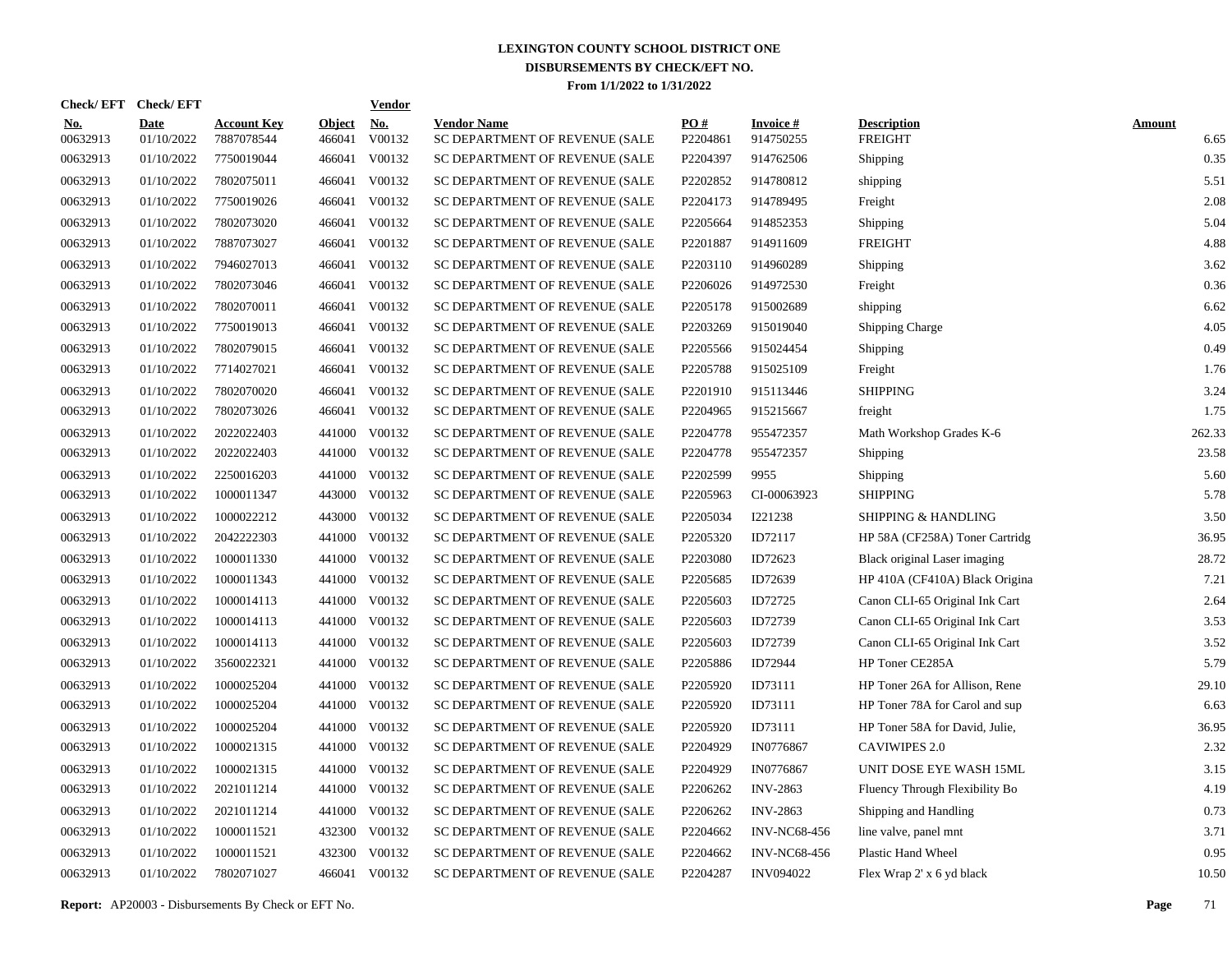| Check/EFT Check/EFT    |                           |                                  |                         | <b>Vendor</b>        |                                                      |                 |                              |                                      |                       |
|------------------------|---------------------------|----------------------------------|-------------------------|----------------------|------------------------------------------------------|-----------------|------------------------------|--------------------------------------|-----------------------|
| <u>No.</u><br>00632913 | <b>Date</b><br>01/10/2022 | <b>Account Key</b><br>7887078544 | <b>Object</b><br>466041 | <u>No.</u><br>V00132 | <b>Vendor Name</b><br>SC DEPARTMENT OF REVENUE (SALE | PO#<br>P2204861 | <b>Invoice#</b><br>914750255 | <b>Description</b><br><b>FREIGHT</b> | <b>Amount</b><br>6.65 |
| 00632913               | 01/10/2022                | 7750019044                       | 466041                  | V00132               | SC DEPARTMENT OF REVENUE (SALE                       | P2204397        | 914762506                    | Shipping                             | 0.35                  |
| 00632913               | 01/10/2022                | 7802075011                       | 466041                  | V00132               | SC DEPARTMENT OF REVENUE (SALE                       | P2202852        | 914780812                    | shipping                             | 5.51                  |
| 00632913               | 01/10/2022                | 7750019026                       | 466041                  | V00132               | SC DEPARTMENT OF REVENUE (SALE                       | P2204173        | 914789495                    | Freight                              | 2.08                  |
| 00632913               | 01/10/2022                | 7802073020                       | 466041                  | V00132               | SC DEPARTMENT OF REVENUE (SALE                       | P2205664        | 914852353                    | Shipping                             | 5.04                  |
| 00632913               | 01/10/2022                | 7887073027                       | 466041                  | V00132               | SC DEPARTMENT OF REVENUE (SALE                       | P2201887        | 914911609                    | <b>FREIGHT</b>                       | 4.88                  |
| 00632913               | 01/10/2022                | 7946027013                       | 466041                  | V00132               | SC DEPARTMENT OF REVENUE (SALE                       | P2203110        | 914960289                    | Shipping                             | 3.62                  |
| 00632913               | 01/10/2022                | 7802073046                       | 466041                  | V00132               | SC DEPARTMENT OF REVENUE (SALE                       | P2206026        | 914972530                    | Freight                              | 0.36                  |
| 00632913               | 01/10/2022                | 7802070011                       | 466041                  | V00132               | SC DEPARTMENT OF REVENUE (SALE                       | P2205178        | 915002689                    | shipping                             | 6.62                  |
| 00632913               | 01/10/2022                | 7750019013                       | 466041                  | V00132               | SC DEPARTMENT OF REVENUE (SALE                       | P2203269        | 915019040                    | <b>Shipping Charge</b>               | 4.05                  |
| 00632913               | 01/10/2022                | 7802079015                       | 466041                  | V00132               | SC DEPARTMENT OF REVENUE (SALE                       | P2205566        | 915024454                    | Shipping                             | 0.49                  |
| 00632913               | 01/10/2022                | 7714027021                       | 466041                  | V00132               | SC DEPARTMENT OF REVENUE (SALE                       | P2205788        | 915025109                    | Freight                              | 1.76                  |
| 00632913               | 01/10/2022                | 7802070020                       | 466041                  | V00132               | SC DEPARTMENT OF REVENUE (SALE                       | P2201910        | 915113446                    | <b>SHIPPING</b>                      | 3.24                  |
| 00632913               | 01/10/2022                | 7802073026                       | 466041                  | V00132               | SC DEPARTMENT OF REVENUE (SALE                       | P2204965        | 915215667                    | freight                              | 1.75                  |
| 00632913               | 01/10/2022                | 2022022403                       | 441000                  | V00132               | SC DEPARTMENT OF REVENUE (SALE                       | P2204778        | 955472357                    | Math Workshop Grades K-6             | 262.33                |
| 00632913               | 01/10/2022                | 2022022403                       |                         | 441000 V00132        | SC DEPARTMENT OF REVENUE (SALE                       | P2204778        | 955472357                    | Shipping                             | 23.58                 |
| 00632913               | 01/10/2022                | 2250016203                       | 441000                  | V00132               | SC DEPARTMENT OF REVENUE (SALE                       | P2202599        | 9955                         | Shipping                             | 5.60                  |
| 00632913               | 01/10/2022                | 1000011347                       | 443000                  | V00132               | SC DEPARTMENT OF REVENUE (SALE                       | P2205963        | CI-00063923                  | <b>SHIPPING</b>                      | 5.78                  |
| 00632913               | 01/10/2022                | 1000022212                       | 443000                  | V00132               | SC DEPARTMENT OF REVENUE (SALE                       | P2205034        | I221238                      | <b>SHIPPING &amp; HANDLING</b>       | 3.50                  |
| 00632913               | 01/10/2022                | 2042222303                       | 441000                  | V00132               | SC DEPARTMENT OF REVENUE (SALE                       | P2205320        | ID72117                      | HP 58A (CF258A) Toner Cartridg       | 36.95                 |
| 00632913               | 01/10/2022                | 1000011330                       | 441000                  | V00132               | SC DEPARTMENT OF REVENUE (SALE                       | P2203080        | ID72623                      | Black original Laser imaging         | 28.72                 |
| 00632913               | 01/10/2022                | 1000011343                       | 441000                  | V00132               | SC DEPARTMENT OF REVENUE (SALE                       | P2205685        | ID72639                      | HP 410A (CF410A) Black Origina       | 7.21                  |
| 00632913               | 01/10/2022                | 1000014113                       | 441000                  | V00132               | SC DEPARTMENT OF REVENUE (SALE                       | P2205603        | ID72725                      | Canon CLI-65 Original Ink Cart       | 2.64                  |
| 00632913               | 01/10/2022                | 1000014113                       | 441000                  | V00132               | SC DEPARTMENT OF REVENUE (SALE                       | P2205603        | ID72739                      | Canon CLI-65 Original Ink Cart       | 3.53                  |
| 00632913               | 01/10/2022                | 1000014113                       | 441000                  | V00132               | SC DEPARTMENT OF REVENUE (SALE                       | P2205603        | ID72739                      | Canon CLI-65 Original Ink Cart       | 3.52                  |
| 00632913               | 01/10/2022                | 3560022321                       | 441000                  | V00132               | SC DEPARTMENT OF REVENUE (SALE                       | P2205886        | ID72944                      | HP Toner CE285A                      | 5.79                  |
| 00632913               | 01/10/2022                | 1000025204                       | 441000                  | V00132               | SC DEPARTMENT OF REVENUE (SALE                       | P2205920        | ID73111                      | HP Toner 26A for Allison, Rene       | 29.10                 |
| 00632913               | 01/10/2022                | 1000025204                       | 441000                  | V00132               | SC DEPARTMENT OF REVENUE (SALE                       | P2205920        | ID73111                      | HP Toner 78A for Carol and sup       | 6.63                  |
| 00632913               | 01/10/2022                | 1000025204                       | 441000                  | V00132               | SC DEPARTMENT OF REVENUE (SALE                       | P2205920        | ID73111                      | HP Toner 58A for David, Julie,       | 36.95                 |
| 00632913               | 01/10/2022                | 1000021315                       | 441000                  | V00132               | SC DEPARTMENT OF REVENUE (SALE                       | P2204929        | IN0776867                    | <b>CAVIWIPES 2.0</b>                 | 2.32                  |
| 00632913               | 01/10/2022                | 1000021315                       | 441000                  | V00132               | SC DEPARTMENT OF REVENUE (SALE                       | P2204929        | IN0776867                    | UNIT DOSE EYE WASH 15ML              | 3.15                  |
| 00632913               | 01/10/2022                | 2021011214                       | 441000                  | V00132               | SC DEPARTMENT OF REVENUE (SALE                       | P2206262        | <b>INV-2863</b>              | Fluency Through Flexibility Bo       | 4.19                  |
| 00632913               | 01/10/2022                | 2021011214                       | 441000                  | V00132               | SC DEPARTMENT OF REVENUE (SALE                       | P2206262        | <b>INV-2863</b>              | Shipping and Handling                | 0.73                  |
| 00632913               | 01/10/2022                | 1000011521                       | 432300                  | V00132               | SC DEPARTMENT OF REVENUE (SALE                       | P2204662        | <b>INV-NC68-456</b>          | line valve, panel mnt                | 3.71                  |
| 00632913               | 01/10/2022                | 1000011521                       | 432300                  | V00132               | SC DEPARTMENT OF REVENUE (SALE                       | P2204662        | <b>INV-NC68-456</b>          | Plastic Hand Wheel                   | 0.95                  |
| 00632913               | 01/10/2022                | 7802071027                       |                         | 466041 V00132        | SC DEPARTMENT OF REVENUE (SALE                       | P2204287        | <b>INV094022</b>             | Flex Wrap 2' x 6 yd black            | 10.50                 |

**Report:** AP20003 - Disbursements By Check or EFT No. **Page** 71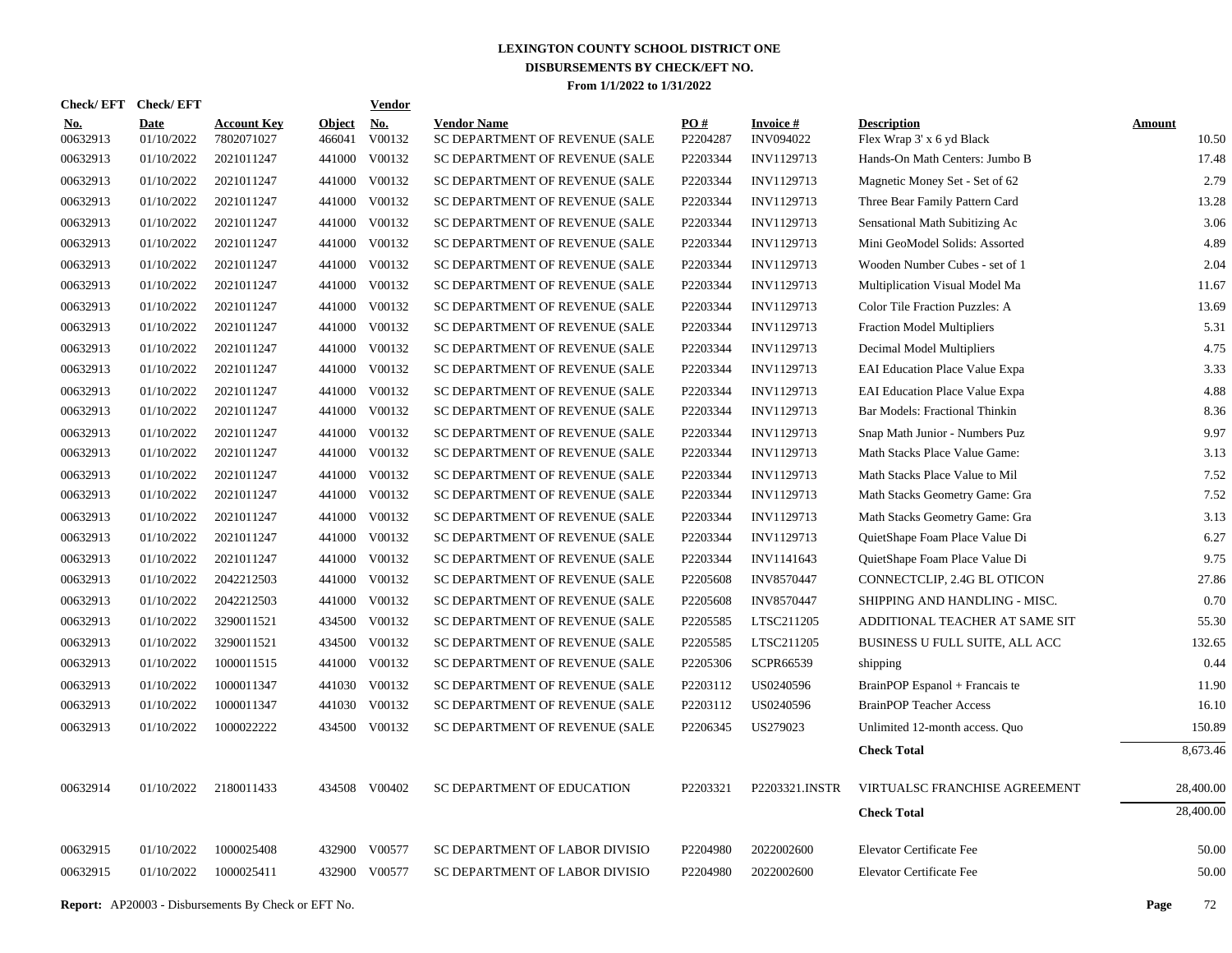| Check/EFT Check/EFT    |                           |                                  |                         | <b>Vendor</b>        |                                                      |                        |                                     |                                                 |                        |
|------------------------|---------------------------|----------------------------------|-------------------------|----------------------|------------------------------------------------------|------------------------|-------------------------------------|-------------------------------------------------|------------------------|
| <u>No.</u><br>00632913 | <b>Date</b><br>01/10/2022 | <b>Account Key</b><br>7802071027 | <b>Object</b><br>466041 | <u>No.</u><br>V00132 | <b>Vendor Name</b><br>SC DEPARTMENT OF REVENUE (SALE | <b>PO#</b><br>P2204287 | <b>Invoice#</b><br><b>INV094022</b> | <b>Description</b><br>Flex Wrap 3' x 6 yd Black | <b>Amount</b><br>10.50 |
| 00632913               | 01/10/2022                | 2021011247                       |                         | 441000 V00132        | SC DEPARTMENT OF REVENUE (SALE                       | P2203344               | INV1129713                          | Hands-On Math Centers: Jumbo B                  | 17.48                  |
| 00632913               | 01/10/2022                | 2021011247                       |                         | 441000 V00132        | SC DEPARTMENT OF REVENUE (SALE                       | P2203344               | INV1129713                          | Magnetic Money Set - Set of 62                  | 2.79                   |
| 00632913               | 01/10/2022                | 2021011247                       |                         | 441000 V00132        | SC DEPARTMENT OF REVENUE (SALE                       | P2203344               | INV1129713                          | Three Bear Family Pattern Card                  | 13.28                  |
| 00632913               | 01/10/2022                | 2021011247                       |                         | 441000 V00132        | SC DEPARTMENT OF REVENUE (SALE                       | P2203344               | INV1129713                          | Sensational Math Subitizing Ac                  | 3.06                   |
| 00632913               | 01/10/2022                | 2021011247                       |                         | 441000 V00132        | SC DEPARTMENT OF REVENUE (SALE                       | P2203344               | INV1129713                          | Mini GeoModel Solids: Assorted                  | 4.89                   |
| 00632913               | 01/10/2022                | 2021011247                       |                         | 441000 V00132        | SC DEPARTMENT OF REVENUE (SALE                       | P2203344               | INV1129713                          | Wooden Number Cubes - set of 1                  | 2.04                   |
| 00632913               | 01/10/2022                | 2021011247                       |                         | 441000 V00132        | SC DEPARTMENT OF REVENUE (SALE                       | P2203344               | INV1129713                          | Multiplication Visual Model Ma                  | 11.67                  |
| 00632913               | 01/10/2022                | 2021011247                       |                         | 441000 V00132        | SC DEPARTMENT OF REVENUE (SALE                       | P2203344               | INV1129713                          | Color Tile Fraction Puzzles: A                  | 13.69                  |
| 00632913               | 01/10/2022                | 2021011247                       |                         | 441000 V00132        | SC DEPARTMENT OF REVENUE (SALE                       | P2203344               | INV1129713                          | <b>Fraction Model Multipliers</b>               | 5.31                   |
| 00632913               | 01/10/2022                | 2021011247                       |                         | 441000 V00132        | SC DEPARTMENT OF REVENUE (SALE                       | P2203344               | INV1129713                          | Decimal Model Multipliers                       | 4.75                   |
| 00632913               | 01/10/2022                | 2021011247                       |                         | 441000 V00132        | SC DEPARTMENT OF REVENUE (SALE                       | P2203344               | INV1129713                          | <b>EAI Education Place Value Expa</b>           | 3.33                   |
| 00632913               | 01/10/2022                | 2021011247                       |                         | 441000 V00132        | SC DEPARTMENT OF REVENUE (SALE                       | P2203344               | INV1129713                          | <b>EAI Education Place Value Expa</b>           | 4.88                   |
| 00632913               | 01/10/2022                | 2021011247                       |                         | 441000 V00132        | SC DEPARTMENT OF REVENUE (SALE                       | P2203344               | INV1129713                          | Bar Models: Fractional Thinkin                  | 8.36                   |
| 00632913               | 01/10/2022                | 2021011247                       |                         | 441000 V00132        | SC DEPARTMENT OF REVENUE (SALE                       | P2203344               | INV1129713                          | Snap Math Junior - Numbers Puz                  | 9.97                   |
| 00632913               | 01/10/2022                | 2021011247                       |                         | 441000 V00132        | SC DEPARTMENT OF REVENUE (SALE                       | P2203344               | INV1129713                          | Math Stacks Place Value Game:                   | 3.13                   |
| 00632913               | 01/10/2022                | 2021011247                       |                         | 441000 V00132        | SC DEPARTMENT OF REVENUE (SALE                       | P2203344               | INV1129713                          | Math Stacks Place Value to Mil                  | 7.52                   |
| 00632913               | 01/10/2022                | 2021011247                       |                         | 441000 V00132        | SC DEPARTMENT OF REVENUE (SALE                       | P2203344               | INV1129713                          | Math Stacks Geometry Game: Gra                  | 7.52                   |
| 00632913               | 01/10/2022                | 2021011247                       |                         | 441000 V00132        | SC DEPARTMENT OF REVENUE (SALE                       | P2203344               | INV1129713                          | Math Stacks Geometry Game: Gra                  | 3.13                   |
| 00632913               | 01/10/2022                | 2021011247                       |                         | 441000 V00132        | SC DEPARTMENT OF REVENUE (SALE                       | P2203344               | INV1129713                          | QuietShape Foam Place Value Di                  | 6.27                   |
| 00632913               | 01/10/2022                | 2021011247                       |                         | 441000 V00132        | SC DEPARTMENT OF REVENUE (SALE                       | P2203344               | INV1141643                          | QuietShape Foam Place Value Di                  | 9.75                   |
| 00632913               | 01/10/2022                | 2042212503                       |                         | 441000 V00132        | SC DEPARTMENT OF REVENUE (SALE                       | P2205608               | INV8570447                          | CONNECTCLIP, 2.4G BL OTICON                     | 27.86                  |
| 00632913               | 01/10/2022                | 2042212503                       |                         | 441000 V00132        | SC DEPARTMENT OF REVENUE (SALE                       | P2205608               | <b>INV8570447</b>                   | SHIPPING AND HANDLING - MISC.                   | 0.70                   |
| 00632913               | 01/10/2022                | 3290011521                       |                         | 434500 V00132        | SC DEPARTMENT OF REVENUE (SALE                       | P2205585               | LTSC211205                          | ADDITIONAL TEACHER AT SAME SIT                  | 55.30                  |
| 00632913               | 01/10/2022                | 3290011521                       |                         | 434500 V00132        | SC DEPARTMENT OF REVENUE (SALE                       | P2205585               | LTSC211205                          | BUSINESS U FULL SUITE, ALL ACC                  | 132.65                 |
| 00632913               | 01/10/2022                | 1000011515                       |                         | 441000 V00132        | SC DEPARTMENT OF REVENUE (SALE                       | P2205306               | SCPR66539                           | shipping                                        | 0.44                   |
| 00632913               | 01/10/2022                | 1000011347                       |                         | 441030 V00132        | SC DEPARTMENT OF REVENUE (SALE                       | P2203112               | US0240596                           | BrainPOP Espanol + Francais te                  | 11.90                  |
| 00632913               | 01/10/2022                | 1000011347                       |                         | 441030 V00132        | SC DEPARTMENT OF REVENUE (SALE                       | P2203112               | US0240596                           | <b>BrainPOP Teacher Access</b>                  | 16.10                  |
| 00632913               | 01/10/2022                | 1000022222                       |                         | 434500 V00132        | SC DEPARTMENT OF REVENUE (SALE                       | P2206345               | US279023                            | Unlimited 12-month access. Quo                  | 150.89                 |
|                        |                           |                                  |                         |                      |                                                      |                        |                                     | <b>Check Total</b>                              | 8,673.46               |
| 00632914               | 01/10/2022                | 2180011433                       |                         | 434508 V00402        | SC DEPARTMENT OF EDUCATION                           | P2203321               | P2203321.INSTR                      | VIRTUALSC FRANCHISE AGREEMENT                   | 28,400.00              |
|                        |                           |                                  |                         |                      |                                                      |                        |                                     | <b>Check Total</b>                              | 28,400.00              |
| 00632915               | 01/10/2022                | 1000025408                       |                         | 432900 V00577        | SC DEPARTMENT OF LABOR DIVISIO                       | P2204980               | 2022002600                          | Elevator Certificate Fee                        | 50.00                  |
| 00632915               | 01/10/2022                | 1000025411                       |                         | 432900 V00577        | SC DEPARTMENT OF LABOR DIVISIO                       | P2204980               | 2022002600                          | <b>Elevator Certificate Fee</b>                 | 50.00                  |
|                        |                           |                                  |                         |                      |                                                      |                        |                                     |                                                 |                        |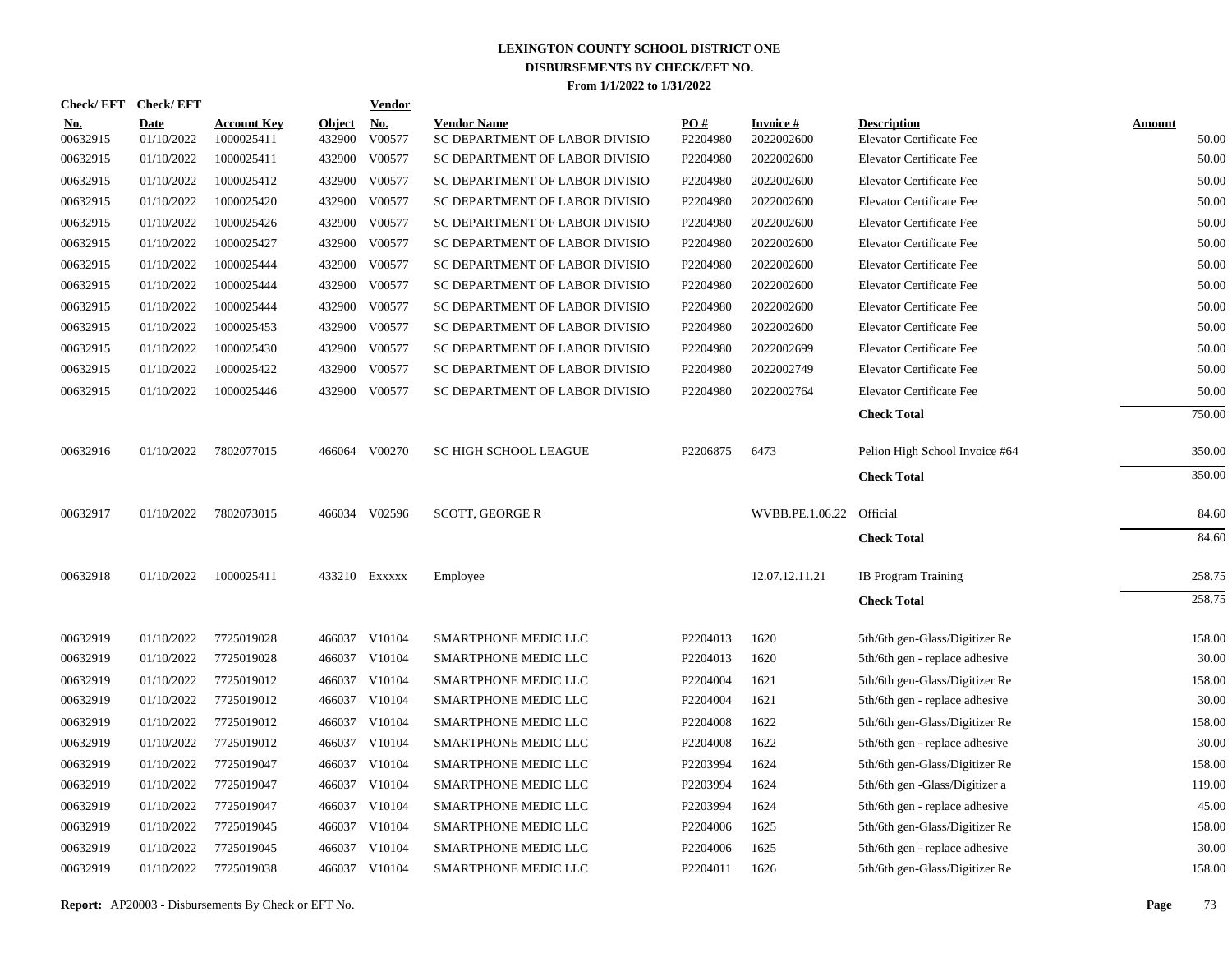| <b>Check/EFT</b>       | <b>Check/EFT</b>          |                                  |                         | Vendor               |                                                      |                 |                               |                                                       |                        |
|------------------------|---------------------------|----------------------------------|-------------------------|----------------------|------------------------------------------------------|-----------------|-------------------------------|-------------------------------------------------------|------------------------|
| <u>No.</u><br>00632915 | <b>Date</b><br>01/10/2022 | <b>Account Key</b><br>1000025411 | <b>Object</b><br>432900 | <u>No.</u><br>V00577 | <b>Vendor Name</b><br>SC DEPARTMENT OF LABOR DIVISIO | PO#<br>P2204980 | <b>Invoice#</b><br>2022002600 | <b>Description</b><br><b>Elevator Certificate Fee</b> | <b>Amount</b><br>50.00 |
| 00632915               | 01/10/2022                | 1000025411                       | 432900                  | V00577               | SC DEPARTMENT OF LABOR DIVISIO                       | P2204980        | 2022002600                    | <b>Elevator Certificate Fee</b>                       | 50.00                  |
| 00632915               | 01/10/2022                | 1000025412                       | 432900                  | V00577               | SC DEPARTMENT OF LABOR DIVISIO                       | P2204980        | 2022002600                    | <b>Elevator Certificate Fee</b>                       | 50.00                  |
| 00632915               | 01/10/2022                | 1000025420                       | 432900                  | V00577               | SC DEPARTMENT OF LABOR DIVISIO                       | P2204980        | 2022002600                    | <b>Elevator Certificate Fee</b>                       | 50.00                  |
| 00632915               | 01/10/2022                | 1000025426                       | 432900                  | V00577               | SC DEPARTMENT OF LABOR DIVISIO                       | P2204980        | 2022002600                    | <b>Elevator Certificate Fee</b>                       | 50.00                  |
| 00632915               | 01/10/2022                | 1000025427                       | 432900                  | V00577               | SC DEPARTMENT OF LABOR DIVISIO                       | P2204980        | 2022002600                    | <b>Elevator Certificate Fee</b>                       | 50.00                  |
| 00632915               | 01/10/2022                | 1000025444                       | 432900                  | V00577               | SC DEPARTMENT OF LABOR DIVISIO                       | P2204980        | 2022002600                    | <b>Elevator Certificate Fee</b>                       | 50.00                  |
| 00632915               | 01/10/2022                | 1000025444                       | 432900                  | V00577               | SC DEPARTMENT OF LABOR DIVISIO                       | P2204980        | 2022002600                    | <b>Elevator Certificate Fee</b>                       | 50.00                  |
| 00632915               | 01/10/2022                | 1000025444                       | 432900                  | V00577               | SC DEPARTMENT OF LABOR DIVISIO                       | P2204980        | 2022002600                    | Elevator Certificate Fee                              | 50.00                  |
| 00632915               | 01/10/2022                | 1000025453                       | 432900                  | V00577               | SC DEPARTMENT OF LABOR DIVISIO                       | P2204980        | 2022002600                    | <b>Elevator Certificate Fee</b>                       | 50.00                  |
| 00632915               | 01/10/2022                | 1000025430                       | 432900                  | V00577               | SC DEPARTMENT OF LABOR DIVISIO                       | P2204980        | 2022002699                    | <b>Elevator Certificate Fee</b>                       | 50.00                  |
| 00632915               | 01/10/2022                | 1000025422                       | 432900                  | V00577               | SC DEPARTMENT OF LABOR DIVISIO                       | P2204980        | 2022002749                    | <b>Elevator Certificate Fee</b>                       | 50.00                  |
| 00632915               | 01/10/2022                | 1000025446                       | 432900                  | V00577               | SC DEPARTMENT OF LABOR DIVISIO                       | P2204980        | 2022002764                    | <b>Elevator Certificate Fee</b>                       | 50.00                  |
|                        |                           |                                  |                         |                      |                                                      |                 |                               | <b>Check Total</b>                                    | 750.00                 |
| 00632916               | 01/10/2022                | 7802077015                       |                         | 466064 V00270        | SC HIGH SCHOOL LEAGUE                                | P2206875        | 6473                          | Pelion High School Invoice #64                        | 350.00                 |
|                        |                           |                                  |                         |                      |                                                      |                 |                               | <b>Check Total</b>                                    | 350.00                 |
| 00632917               | 01/10/2022                | 7802073015                       |                         | 466034 V02596        | <b>SCOTT, GEORGE R</b>                               |                 | WVBB.PE.1.06.22               | Official                                              | 84.60                  |
|                        |                           |                                  |                         |                      |                                                      |                 |                               | <b>Check Total</b>                                    | 84.60                  |
| 00632918               | 01/10/2022                | 1000025411                       |                         | 433210 Exxxxx        | Employee                                             |                 | 12.07.12.11.21                | <b>IB</b> Program Training                            | 258.75                 |
|                        |                           |                                  |                         |                      |                                                      |                 |                               | <b>Check Total</b>                                    | 258.75                 |
| 00632919               | 01/10/2022                | 7725019028                       | 466037                  | V10104               | SMARTPHONE MEDIC LLC                                 | P2204013        | 1620                          | 5th/6th gen-Glass/Digitizer Re                        | 158.00                 |
| 00632919               | 01/10/2022                | 7725019028                       | 466037                  | V10104               | SMARTPHONE MEDIC LLC                                 | P2204013        | 1620                          | 5th/6th gen - replace adhesive                        | 30.00                  |
| 00632919               | 01/10/2022                | 7725019012                       | 466037                  | V10104               | SMARTPHONE MEDIC LLC                                 | P2204004        | 1621                          | 5th/6th gen-Glass/Digitizer Re                        | 158.00                 |
| 00632919               | 01/10/2022                | 7725019012                       | 466037                  | V10104               | SMARTPHONE MEDIC LLC                                 | P2204004        | 1621                          | 5th/6th gen - replace adhesive                        | 30.00                  |
| 00632919               | 01/10/2022                | 7725019012                       | 466037                  | V10104               | SMARTPHONE MEDIC LLC                                 | P2204008        | 1622                          | 5th/6th gen-Glass/Digitizer Re                        | 158.00                 |
| 00632919               | 01/10/2022                | 7725019012                       | 466037                  | V10104               | SMARTPHONE MEDIC LLC                                 | P2204008        | 1622                          | 5th/6th gen - replace adhesive                        | 30.00                  |
| 00632919               | 01/10/2022                | 7725019047                       | 466037                  | V10104               | SMARTPHONE MEDIC LLC                                 | P2203994        | 1624                          | 5th/6th gen-Glass/Digitizer Re                        | 158.00                 |
| 00632919               | 01/10/2022                | 7725019047                       | 466037                  | V10104               | SMARTPHONE MEDIC LLC                                 | P2203994        | 1624                          | 5th/6th gen -Glass/Digitizer a                        | 119.00                 |
| 00632919               | 01/10/2022                | 7725019047                       | 466037                  | V10104               | <b>SMARTPHONE MEDIC LLC</b>                          | P2203994        | 1624                          | 5th/6th gen - replace adhesive                        | 45.00                  |
| 00632919               | 01/10/2022                | 7725019045                       | 466037                  | V10104               | SMARTPHONE MEDIC LLC                                 | P2204006        | 1625                          | 5th/6th gen-Glass/Digitizer Re                        | 158.00                 |
| 00632919               | 01/10/2022                | 7725019045                       | 466037                  | V10104               | SMARTPHONE MEDIC LLC                                 | P2204006        | 1625                          | 5th/6th gen - replace adhesive                        | 30.00                  |
| 00632919               | 01/10/2022                | 7725019038                       |                         | 466037 V10104        | SMARTPHONE MEDIC LLC                                 | P2204011        | 1626                          | 5th/6th gen-Glass/Digitizer Re                        | 158.00                 |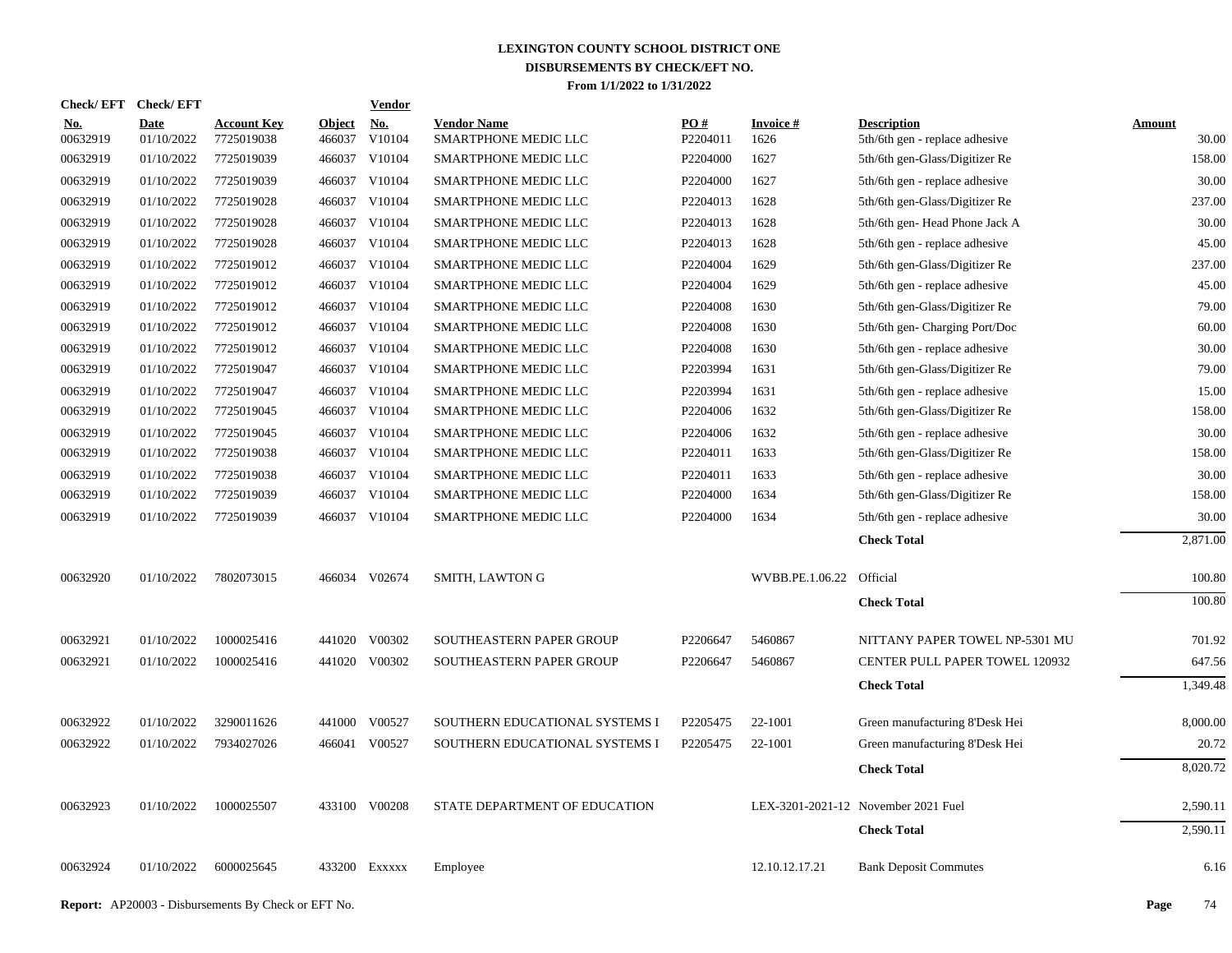| <b>Check/EFT</b>       | <b>Check/EFT</b>          |                                  |                         | <b>Vendor</b>        |                                            |                               |                         |                                                      |                        |
|------------------------|---------------------------|----------------------------------|-------------------------|----------------------|--------------------------------------------|-------------------------------|-------------------------|------------------------------------------------------|------------------------|
| <u>No.</u><br>00632919 | <b>Date</b><br>01/10/2022 | <b>Account Key</b><br>7725019038 | <b>Object</b><br>466037 | <u>No.</u><br>V10104 | <b>Vendor Name</b><br>SMARTPHONE MEDIC LLC | $\underline{PO#}$<br>P2204011 | <b>Invoice#</b><br>1626 | <b>Description</b><br>5th/6th gen - replace adhesive | <b>Amount</b><br>30.00 |
| 00632919               | 01/10/2022                | 7725019039                       | 466037                  | V10104               | SMARTPHONE MEDIC LLC                       | P2204000                      | 1627                    | 5th/6th gen-Glass/Digitizer Re                       | 158.00                 |
| 00632919               | 01/10/2022                | 7725019039                       | 466037                  | V10104               | SMARTPHONE MEDIC LLC                       | P2204000                      | 1627                    | 5th/6th gen - replace adhesive                       | 30.00                  |
| 00632919               | 01/10/2022                | 7725019028                       | 466037                  | V10104               | SMARTPHONE MEDIC LLC                       | P2204013                      | 1628                    | 5th/6th gen-Glass/Digitizer Re                       | 237.00                 |
| 00632919               | 01/10/2022                | 7725019028                       | 466037                  | V10104               | SMARTPHONE MEDIC LLC                       | P2204013                      | 1628                    | 5th/6th gen-Head Phone Jack A                        | 30.00                  |
| 00632919               | 01/10/2022                | 7725019028                       | 466037                  | V10104               | SMARTPHONE MEDIC LLC                       | P2204013                      | 1628                    | 5th/6th gen - replace adhesive                       | 45.00                  |
| 00632919               | 01/10/2022                | 7725019012                       |                         | 466037 V10104        | SMARTPHONE MEDIC LLC                       | P2204004                      | 1629                    | 5th/6th gen-Glass/Digitizer Re                       | 237.00                 |
| 00632919               | 01/10/2022                | 7725019012                       |                         | 466037 V10104        | SMARTPHONE MEDIC LLC                       | P2204004                      | 1629                    | 5th/6th gen - replace adhesive                       | 45.00                  |
| 00632919               | 01/10/2022                | 7725019012                       |                         | 466037 V10104        | SMARTPHONE MEDIC LLC                       | P <sub>2204008</sub>          | 1630                    | 5th/6th gen-Glass/Digitizer Re                       | 79.00                  |
| 00632919               | 01/10/2022                | 7725019012                       |                         | 466037 V10104        | SMARTPHONE MEDIC LLC                       | P2204008                      | 1630                    | 5th/6th gen- Charging Port/Doc                       | 60.00                  |
| 00632919               | 01/10/2022                | 7725019012                       |                         | 466037 V10104        | SMARTPHONE MEDIC LLC                       | P2204008                      | 1630                    | 5th/6th gen - replace adhesive                       | 30.00                  |
| 00632919               | 01/10/2022                | 7725019047                       |                         | 466037 V10104        | SMARTPHONE MEDIC LLC                       | P2203994                      | 1631                    | 5th/6th gen-Glass/Digitizer Re                       | 79.00                  |
| 00632919               | 01/10/2022                | 7725019047                       |                         | 466037 V10104        | SMARTPHONE MEDIC LLC                       | P2203994                      | 1631                    | 5th/6th gen - replace adhesive                       | 15.00                  |
| 00632919               | 01/10/2022                | 7725019045                       |                         | 466037 V10104        | SMARTPHONE MEDIC LLC                       | P2204006                      | 1632                    | 5th/6th gen-Glass/Digitizer Re                       | 158.00                 |
| 00632919               | 01/10/2022                | 7725019045                       |                         | 466037 V10104        | SMARTPHONE MEDIC LLC                       | P2204006                      | 1632                    | 5th/6th gen - replace adhesive                       | 30.00                  |
| 00632919               | 01/10/2022                | 7725019038                       |                         | 466037 V10104        | SMARTPHONE MEDIC LLC                       | P2204011                      | 1633                    | 5th/6th gen-Glass/Digitizer Re                       | 158.00                 |
| 00632919               | 01/10/2022                | 7725019038                       |                         | 466037 V10104        | SMARTPHONE MEDIC LLC                       | P2204011                      | 1633                    | 5th/6th gen - replace adhesive                       | 30.00                  |
| 00632919               | 01/10/2022                | 7725019039                       |                         | 466037 V10104        | SMARTPHONE MEDIC LLC                       | P2204000                      | 1634                    | 5th/6th gen-Glass/Digitizer Re                       | 158.00                 |
| 00632919               | 01/10/2022                | 7725019039                       |                         | 466037 V10104        | SMARTPHONE MEDIC LLC                       | P2204000                      | 1634                    | 5th/6th gen - replace adhesive                       | 30.00                  |
|                        |                           |                                  |                         |                      |                                            |                               |                         | <b>Check Total</b>                                   | 2,871.00               |
| 00632920               | 01/10/2022                | 7802073015                       |                         | 466034 V02674        | SMITH, LAWTON G                            |                               | WVBB.PE.1.06.22         | Official                                             | 100.80                 |
|                        |                           |                                  |                         |                      |                                            |                               |                         | <b>Check Total</b>                                   | 100.80                 |
| 00632921               | 01/10/2022                | 1000025416                       | 441020                  | V00302               | SOUTHEASTERN PAPER GROUP                   | P2206647                      | 5460867                 | NITTANY PAPER TOWEL NP-5301 MU                       | 701.92                 |
| 00632921               | 01/10/2022                | 1000025416                       |                         | 441020 V00302        | SOUTHEASTERN PAPER GROUP                   | P2206647                      | 5460867                 | <b>CENTER PULL PAPER TOWEL 120932</b>                | 647.56                 |
|                        |                           |                                  |                         |                      |                                            |                               |                         | <b>Check Total</b>                                   | 1,349.48               |
| 00632922               | 01/10/2022                | 3290011626                       | 441000                  | V00527               | SOUTHERN EDUCATIONAL SYSTEMS I             | P2205475                      | 22-1001                 | Green manufacturing 8'Desk Hei                       | 8,000.00               |
| 00632922               | 01/10/2022                | 7934027026                       |                         | 466041 V00527        | SOUTHERN EDUCATIONAL SYSTEMS I             | P2205475                      | 22-1001                 | Green manufacturing 8'Desk Hei                       | 20.72                  |
|                        |                           |                                  |                         |                      |                                            |                               |                         | <b>Check Total</b>                                   | 8,020.72               |
| 00632923               | 01/10/2022                | 1000025507                       |                         | 433100 V00208        | STATE DEPARTMENT OF EDUCATION              |                               |                         | LEX-3201-2021-12 November 2021 Fuel                  | 2,590.11               |
|                        |                           |                                  |                         |                      |                                            |                               |                         | <b>Check Total</b>                                   | 2,590.11               |
| 00632924               | 01/10/2022                | 6000025645                       |                         | 433200 Exxxxx        | Employee                                   |                               | 12.10.12.17.21          | <b>Bank Deposit Commutes</b>                         | 6.16                   |
|                        |                           |                                  |                         |                      |                                            |                               |                         |                                                      |                        |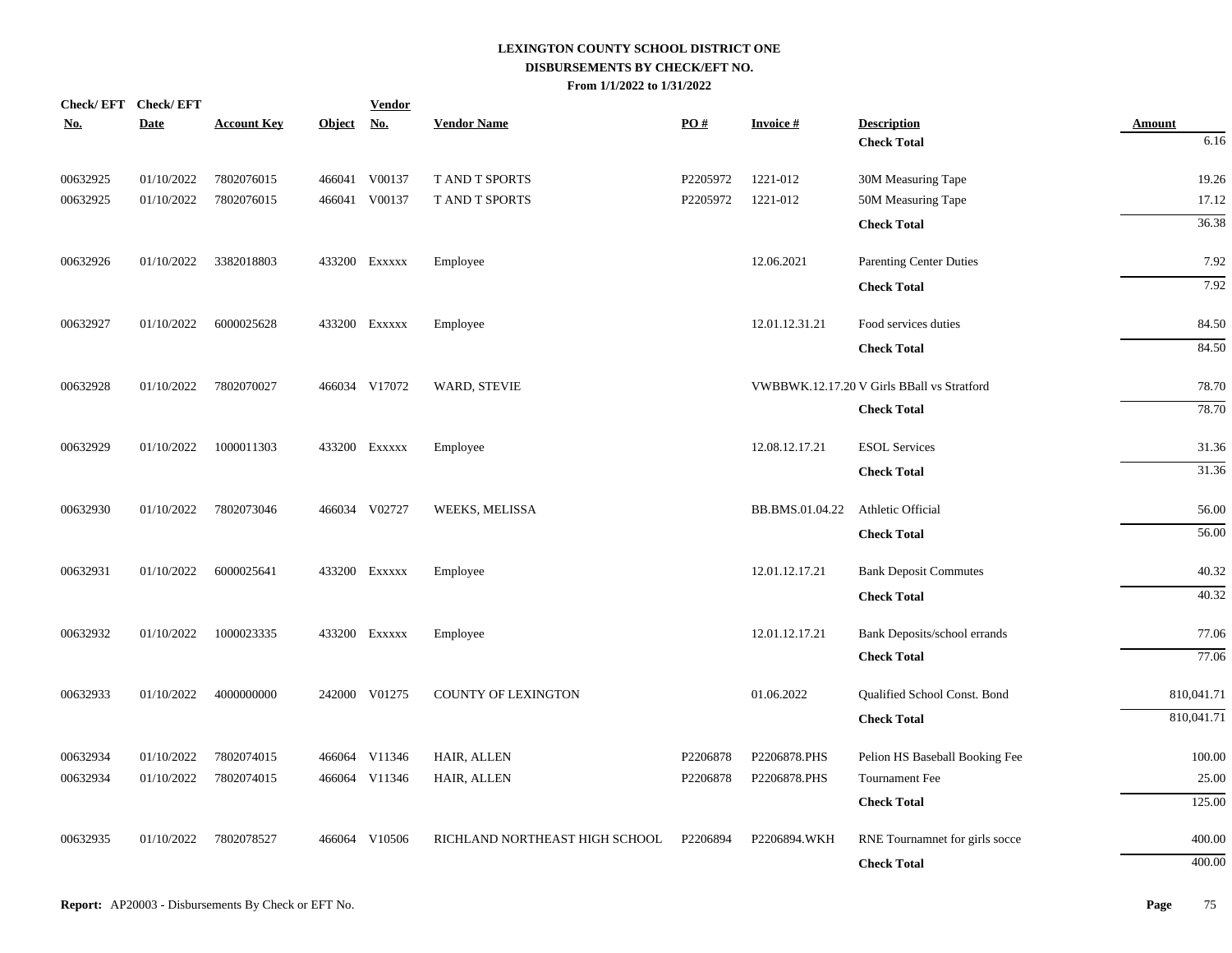|          | Check/EFT Check/EFT |                    |               | <b>Vendor</b> |                                |          |                 |                                            |               |
|----------|---------------------|--------------------|---------------|---------------|--------------------------------|----------|-----------------|--------------------------------------------|---------------|
| No.      | Date                | <b>Account Key</b> | <b>Object</b> | <u>No.</u>    | <b>Vendor Name</b>             | PO#      | <b>Invoice#</b> | <b>Description</b>                         | <b>Amount</b> |
|          |                     |                    |               |               |                                |          |                 | <b>Check Total</b>                         | 6.16          |
| 00632925 | 01/10/2022          | 7802076015         |               | 466041 V00137 | T AND T SPORTS                 | P2205972 | 1221-012        | 30M Measuring Tape                         | 19.26         |
| 00632925 | 01/10/2022          | 7802076015         |               | 466041 V00137 | T AND T SPORTS                 | P2205972 | 1221-012        | 50M Measuring Tape                         | 17.12         |
|          |                     |                    |               |               |                                |          |                 | <b>Check Total</b>                         | 36.38         |
| 00632926 | 01/10/2022          | 3382018803         |               | 433200 EXXXXX | Employee                       |          | 12.06.2021      | Parenting Center Duties                    | 7.92          |
|          |                     |                    |               |               |                                |          |                 | <b>Check Total</b>                         | 7.92          |
| 00632927 | 01/10/2022          | 6000025628         |               | 433200 Exxxxx | Employee                       |          | 12.01.12.31.21  | Food services duties                       | 84.50         |
|          |                     |                    |               |               |                                |          |                 | <b>Check Total</b>                         | 84.50         |
| 00632928 | 01/10/2022          | 7802070027         |               | 466034 V17072 | WARD, STEVIE                   |          |                 | VWBBWK.12.17.20 V Girls BBall vs Stratford | 78.70         |
|          |                     |                    |               |               |                                |          |                 | <b>Check Total</b>                         | 78.70         |
| 00632929 | 01/10/2022          | 1000011303         |               | 433200 EXXXXX | Employee                       |          | 12.08.12.17.21  | <b>ESOL Services</b>                       | 31.36         |
|          |                     |                    |               |               |                                |          |                 | <b>Check Total</b>                         | 31.36         |
| 00632930 | 01/10/2022          | 7802073046         |               | 466034 V02727 | WEEKS, MELISSA                 |          | BB.BMS.01.04.22 | Athletic Official                          | 56.00         |
|          |                     |                    |               |               |                                |          |                 | <b>Check Total</b>                         | 56.00         |
| 00632931 | 01/10/2022          | 6000025641         |               | 433200 EXXXXX | Employee                       |          | 12.01.12.17.21  | <b>Bank Deposit Commutes</b>               | 40.32         |
|          |                     |                    |               |               |                                |          |                 | <b>Check Total</b>                         | 40.32         |
| 00632932 | 01/10/2022          | 1000023335         |               | 433200 Exxxxx | Employee                       |          | 12.01.12.17.21  | Bank Deposits/school errands               | 77.06         |
|          |                     |                    |               |               |                                |          |                 | <b>Check Total</b>                         | 77.06         |
| 00632933 | 01/10/2022          | 4000000000         |               | 242000 V01275 | <b>COUNTY OF LEXINGTON</b>     |          | 01.06.2022      | Qualified School Const. Bond               | 810,041.71    |
|          |                     |                    |               |               |                                |          |                 | <b>Check Total</b>                         | 810,041.71    |
| 00632934 | 01/10/2022          | 7802074015         |               | 466064 V11346 | HAIR, ALLEN                    | P2206878 | P2206878.PHS    | Pelion HS Baseball Booking Fee             | 100.00        |
| 00632934 | 01/10/2022          | 7802074015         |               | 466064 V11346 | HAIR, ALLEN                    | P2206878 | P2206878.PHS    | <b>Tournament Fee</b>                      | 25.00         |
|          |                     |                    |               |               |                                |          |                 | <b>Check Total</b>                         | 125.00        |
| 00632935 | 01/10/2022          | 7802078527         |               | 466064 V10506 | RICHLAND NORTHEAST HIGH SCHOOL | P2206894 | P2206894.WKH    | RNE Tournamnet for girls socce             | 400.00        |
|          |                     |                    |               |               |                                |          |                 | <b>Check Total</b>                         | 400.00        |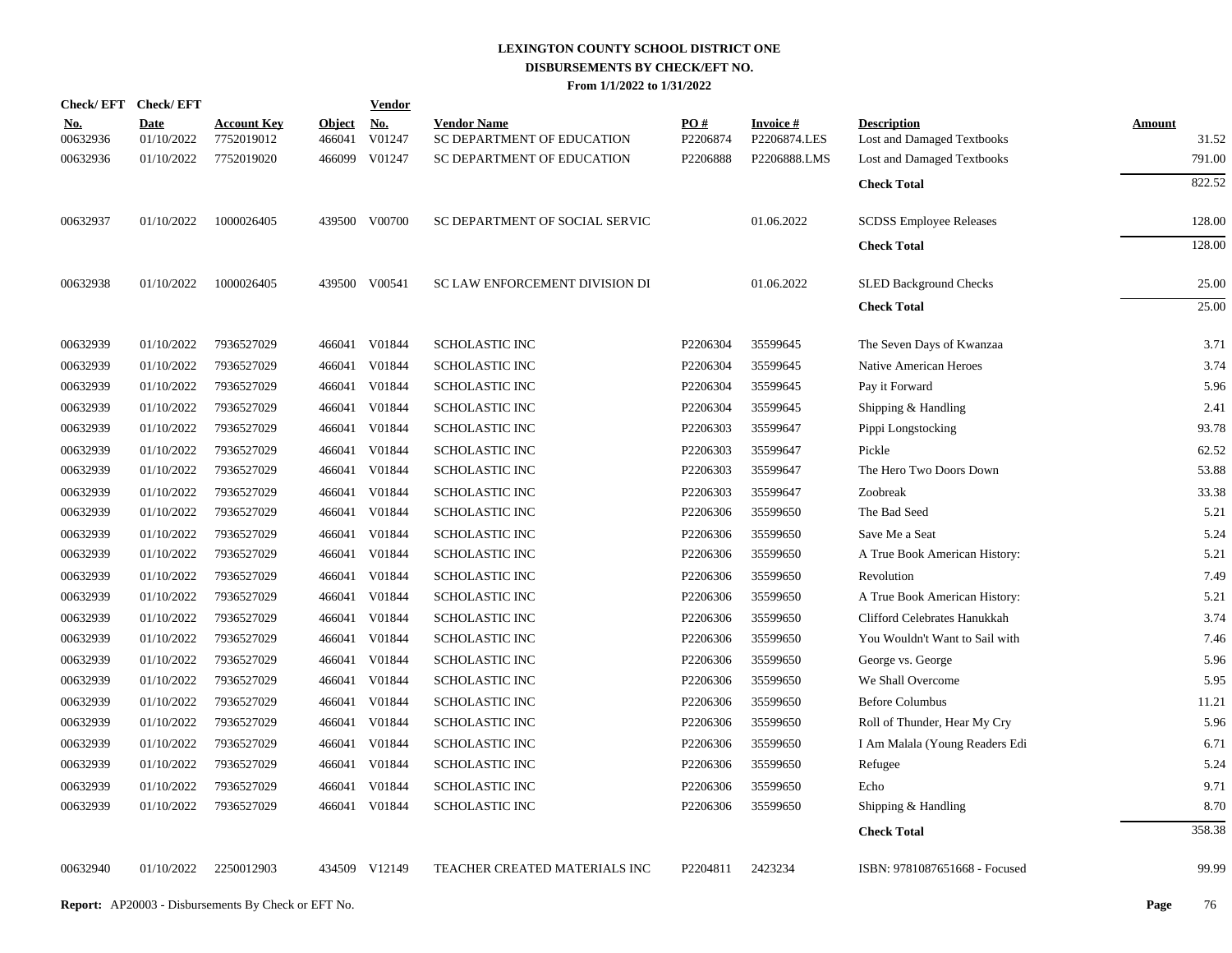| <b>Check/EFT</b>       | <b>Check/EFT</b>          |                                  |                         | <b>Vendor</b>        |                                                  |                 |                                 |                                                  |                        |
|------------------------|---------------------------|----------------------------------|-------------------------|----------------------|--------------------------------------------------|-----------------|---------------------------------|--------------------------------------------------|------------------------|
| <u>No.</u><br>00632936 | <b>Date</b><br>01/10/2022 | <b>Account Key</b><br>7752019012 | <b>Object</b><br>466041 | <b>No.</b><br>V01247 | <b>Vendor Name</b><br>SC DEPARTMENT OF EDUCATION | PO#<br>P2206874 | <b>Invoice#</b><br>P2206874.LES | <b>Description</b><br>Lost and Damaged Textbooks | <b>Amount</b><br>31.52 |
| 00632936               | 01/10/2022                | 7752019020                       | 466099                  | V01247               | SC DEPARTMENT OF EDUCATION                       | P2206888        | P2206888.LMS                    | Lost and Damaged Textbooks                       | 791.00                 |
|                        |                           |                                  |                         |                      |                                                  |                 |                                 | <b>Check Total</b>                               | 822.52                 |
| 00632937               | 01/10/2022                | 1000026405                       |                         | 439500 V00700        | SC DEPARTMENT OF SOCIAL SERVIC                   |                 | 01.06.2022                      | <b>SCDSS Employee Releases</b>                   | 128.00                 |
|                        |                           |                                  |                         |                      |                                                  |                 |                                 | <b>Check Total</b>                               | 128.00                 |
| 00632938               | 01/10/2022                | 1000026405                       |                         | 439500 V00541        | SC LAW ENFORCEMENT DIVISION DI                   |                 | 01.06.2022                      | <b>SLED Background Checks</b>                    | 25.00                  |
|                        |                           |                                  |                         |                      |                                                  |                 |                                 | <b>Check Total</b>                               | 25.00                  |
| 00632939               | 01/10/2022                | 7936527029                       |                         | 466041 V01844        | <b>SCHOLASTIC INC</b>                            | P2206304        | 35599645                        | The Seven Days of Kwanzaa                        | 3.71                   |
| 00632939               | 01/10/2022                | 7936527029                       | 466041                  | V01844               | <b>SCHOLASTIC INC</b>                            | P2206304        | 35599645                        | Native American Heroes                           | 3.74                   |
| 00632939               | 01/10/2022                | 7936527029                       |                         | 466041 V01844        | SCHOLASTIC INC                                   | P2206304        | 35599645                        | Pay it Forward                                   | 5.96                   |
| 00632939               | 01/10/2022                | 7936527029                       | 466041                  | V01844               | <b>SCHOLASTIC INC</b>                            | P2206304        | 35599645                        | Shipping & Handling                              | 2.41                   |
| 00632939               | 01/10/2022                | 7936527029                       |                         | 466041 V01844        | SCHOLASTIC INC                                   | P2206303        | 35599647                        | Pippi Longstocking                               | 93.78                  |
| 00632939               | 01/10/2022                | 7936527029                       | 466041                  | V01844               | SCHOLASTIC INC                                   | P2206303        | 35599647                        | Pickle                                           | 62.52                  |
| 00632939               | 01/10/2022                | 7936527029                       |                         | 466041 V01844        | SCHOLASTIC INC                                   | P2206303        | 35599647                        | The Hero Two Doors Down                          | 53.88                  |
| 00632939               | 01/10/2022                | 7936527029                       | 466041                  | V01844               | SCHOLASTIC INC                                   | P2206303        | 35599647                        | Zoobreak                                         | 33.38                  |
| 00632939               | 01/10/2022                | 7936527029                       |                         | 466041 V01844        | SCHOLASTIC INC                                   | P2206306        | 35599650                        | The Bad Seed                                     | 5.21                   |
| 00632939               | 01/10/2022                | 7936527029                       | 466041                  | V01844               | SCHOLASTIC INC                                   | P2206306        | 35599650                        | Save Me a Seat                                   | 5.24                   |
| 00632939               | 01/10/2022                | 7936527029                       | 466041                  | V01844               | SCHOLASTIC INC                                   | P2206306        | 35599650                        | A True Book American History:                    | 5.21                   |
| 00632939               | 01/10/2022                | 7936527029                       | 466041                  | V01844               | SCHOLASTIC INC                                   | P2206306        | 35599650                        | Revolution                                       | 7.49                   |
| 00632939               | 01/10/2022                | 7936527029                       | 466041                  | V01844               | <b>SCHOLASTIC INC</b>                            | P2206306        | 35599650                        | A True Book American History:                    | 5.21                   |
| 00632939               | 01/10/2022                | 7936527029                       | 466041                  | V01844               | SCHOLASTIC INC                                   | P2206306        | 35599650                        | Clifford Celebrates Hanukkah                     | 3.74                   |
| 00632939               | 01/10/2022                | 7936527029                       | 466041                  | V01844               | <b>SCHOLASTIC INC</b>                            | P2206306        | 35599650                        | You Wouldn't Want to Sail with                   | 7.46                   |
| 00632939               | 01/10/2022                | 7936527029                       | 466041                  | V01844               | <b>SCHOLASTIC INC</b>                            | P2206306        | 35599650                        | George vs. George                                | 5.96                   |
| 00632939               | 01/10/2022                | 7936527029                       | 466041                  | V01844               | <b>SCHOLASTIC INC</b>                            | P2206306        | 35599650                        | We Shall Overcome                                | 5.95                   |
| 00632939               | 01/10/2022                | 7936527029                       | 466041                  | V01844               | <b>SCHOLASTIC INC</b>                            | P2206306        | 35599650                        | <b>Before Columbus</b>                           | 11.21                  |
| 00632939               | 01/10/2022                | 7936527029                       | 466041                  | V01844               | SCHOLASTIC INC                                   | P2206306        | 35599650                        | Roll of Thunder, Hear My Cry                     | 5.96                   |
| 00632939               | 01/10/2022                | 7936527029                       | 466041                  | V01844               | SCHOLASTIC INC                                   | P2206306        | 35599650                        | I Am Malala (Young Readers Edi                   | 6.71                   |
| 00632939               | 01/10/2022                | 7936527029                       | 466041                  | V01844               | <b>SCHOLASTIC INC</b>                            | P2206306        | 35599650                        | Refugee                                          | 5.24                   |
| 00632939               | 01/10/2022                | 7936527029                       | 466041                  | V01844               | <b>SCHOLASTIC INC</b>                            | P2206306        | 35599650                        | Echo                                             | 9.71                   |
| 00632939               | 01/10/2022                | 7936527029                       |                         | 466041 V01844        | <b>SCHOLASTIC INC</b>                            | P2206306        | 35599650                        | Shipping & Handling                              | 8.70                   |
|                        |                           |                                  |                         |                      |                                                  |                 |                                 | <b>Check Total</b>                               | 358.38                 |
| 00632940               | 01/10/2022                | 2250012903                       |                         | 434509 V12149        | TEACHER CREATED MATERIALS INC                    | P2204811        | 2423234                         | ISBN: 9781087651668 - Focused                    | 99.99                  |
|                        |                           |                                  |                         |                      |                                                  |                 |                                 |                                                  |                        |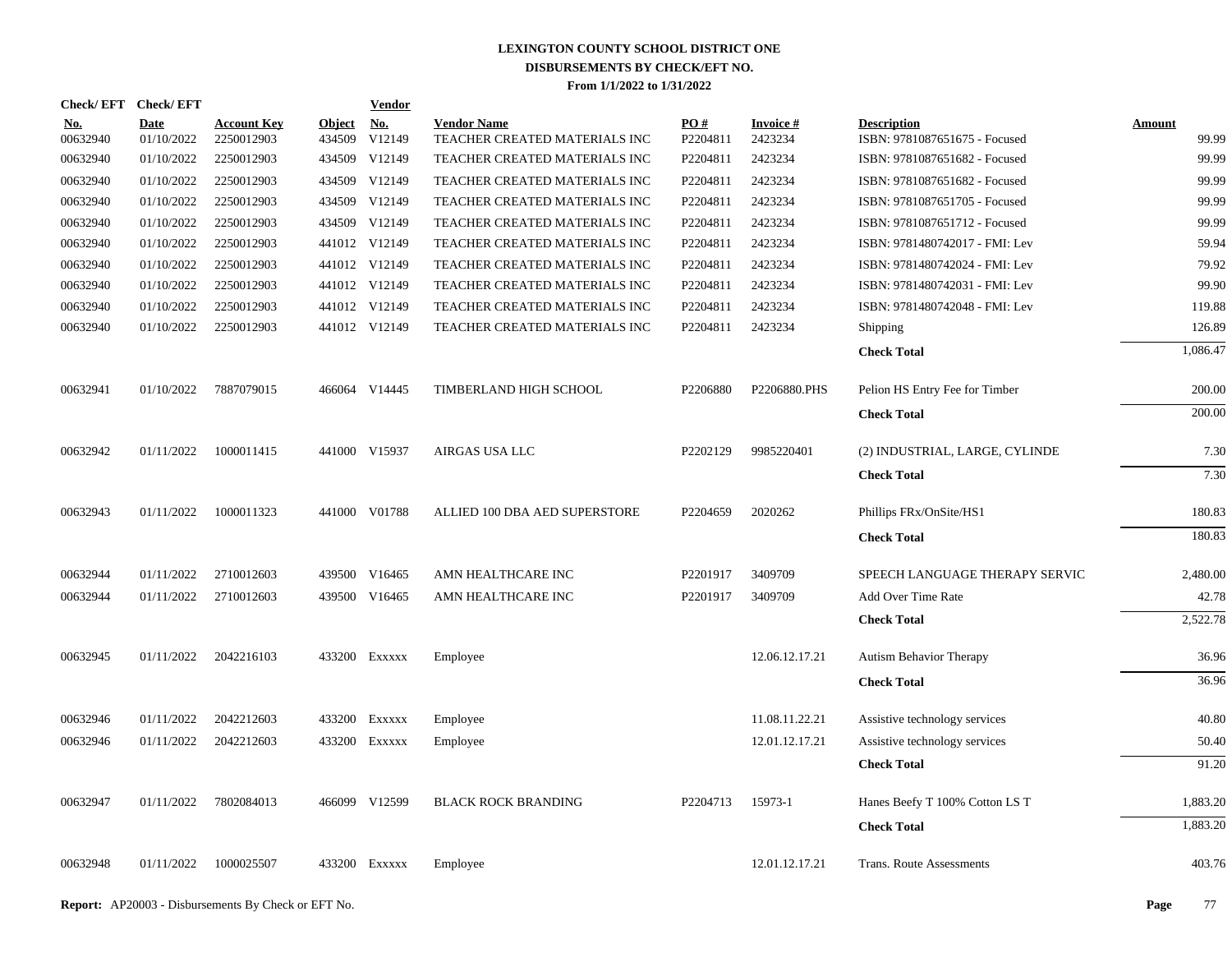| Check/EFT Check/EFT    |                           |                                  |                         | <b>Vendor</b>                         |                                                     |                 |                      |                                                     |                 |
|------------------------|---------------------------|----------------------------------|-------------------------|---------------------------------------|-----------------------------------------------------|-----------------|----------------------|-----------------------------------------------------|-----------------|
| <u>No.</u><br>00632940 | <b>Date</b><br>01/10/2022 | <b>Account Key</b><br>2250012903 | <b>Object</b><br>434509 | $\underline{\mathrm{No}}$ .<br>V12149 | <b>Vendor Name</b><br>TEACHER CREATED MATERIALS INC | PO#<br>P2204811 | Invoice #<br>2423234 | <b>Description</b><br>ISBN: 9781087651675 - Focused | Amount<br>99.99 |
| 00632940               | 01/10/2022                | 2250012903                       |                         | 434509 V12149                         | TEACHER CREATED MATERIALS INC                       | P2204811        | 2423234              | ISBN: 9781087651682 - Focused                       | 99.99           |
| 00632940               | 01/10/2022                | 2250012903                       |                         | 434509 V12149                         | TEACHER CREATED MATERIALS INC                       | P2204811        | 2423234              | ISBN: 9781087651682 - Focused                       | 99.99           |
| 00632940               | 01/10/2022                | 2250012903                       |                         | 434509 V12149                         | TEACHER CREATED MATERIALS INC                       | P2204811        | 2423234              | ISBN: 9781087651705 - Focused                       | 99.99           |
| 00632940               | 01/10/2022                | 2250012903                       |                         | 434509 V12149                         | TEACHER CREATED MATERIALS INC                       | P2204811        | 2423234              | ISBN: 9781087651712 - Focused                       | 99.99           |
| 00632940               | 01/10/2022                | 2250012903                       |                         | 441012 V12149                         | TEACHER CREATED MATERIALS INC                       | P2204811        | 2423234              | ISBN: 9781480742017 - FMI: Lev                      | 59.94           |
| 00632940               | 01/10/2022                | 2250012903                       |                         | 441012 V12149                         | TEACHER CREATED MATERIALS INC                       | P2204811        | 2423234              | ISBN: 9781480742024 - FMI: Lev                      | 79.92           |
| 00632940               | 01/10/2022                | 2250012903                       |                         | 441012 V12149                         | TEACHER CREATED MATERIALS INC                       | P2204811        | 2423234              | ISBN: 9781480742031 - FMI: Lev                      | 99.90           |
| 00632940               | 01/10/2022                | 2250012903                       |                         | 441012 V12149                         | TEACHER CREATED MATERIALS INC                       | P2204811        | 2423234              | ISBN: 9781480742048 - FMI: Lev                      | 119.88          |
| 00632940               | 01/10/2022                | 2250012903                       |                         | 441012 V12149                         | TEACHER CREATED MATERIALS INC                       | P2204811        | 2423234              | Shipping                                            | 126.89          |
|                        |                           |                                  |                         |                                       |                                                     |                 |                      | <b>Check Total</b>                                  | 1,086.47        |
| 00632941               | 01/10/2022                | 7887079015                       |                         | 466064 V14445                         | TIMBERLAND HIGH SCHOOL                              | P2206880        | P2206880.PHS         | Pelion HS Entry Fee for Timber                      | 200.00          |
|                        |                           |                                  |                         |                                       |                                                     |                 |                      | <b>Check Total</b>                                  | 200.00          |
| 00632942               | 01/11/2022                | 1000011415                       |                         | 441000 V15937                         | AIRGAS USA LLC                                      | P2202129        | 9985220401           | (2) INDUSTRIAL, LARGE, CYLINDE                      | 7.30            |
|                        |                           |                                  |                         |                                       |                                                     |                 |                      | <b>Check Total</b>                                  | 7.30            |
| 00632943               | 01/11/2022                | 1000011323                       |                         | 441000 V01788                         | ALLIED 100 DBA AED SUPERSTORE                       | P2204659        | 2020262              | Phillips FRx/OnSite/HS1                             | 180.83          |
|                        |                           |                                  |                         |                                       |                                                     |                 |                      | <b>Check Total</b>                                  | 180.83          |
| 00632944               | 01/11/2022                | 2710012603                       |                         | 439500 V16465                         | AMN HEALTHCARE INC                                  | P2201917        | 3409709              | SPEECH LANGUAGE THERAPY SERVIC                      | 2,480.00        |
| 00632944               | 01/11/2022                | 2710012603                       |                         | 439500 V16465                         | AMN HEALTHCARE INC                                  | P2201917        | 3409709              | Add Over Time Rate                                  | 42.78           |
|                        |                           |                                  |                         |                                       |                                                     |                 |                      | <b>Check Total</b>                                  | 2,522.78        |
| 00632945               | 01/11/2022                | 2042216103                       |                         | 433200 Exxxxx                         | Employee                                            |                 | 12.06.12.17.21       | <b>Autism Behavior Therapy</b>                      | 36.96           |
|                        |                           |                                  |                         |                                       |                                                     |                 |                      | <b>Check Total</b>                                  | 36.96           |
| 00632946               | 01/11/2022                | 2042212603                       | 433200                  | EXXXXX                                | Employee                                            |                 | 11.08.11.22.21       | Assistive technology services                       | 40.80           |
| 00632946               | 01/11/2022                | 2042212603                       |                         | 433200 EXXXXX                         | Employee                                            |                 | 12.01.12.17.21       | Assistive technology services                       | 50.40           |
|                        |                           |                                  |                         |                                       |                                                     |                 |                      | <b>Check Total</b>                                  | 91.20           |
| 00632947               | 01/11/2022                | 7802084013                       |                         | 466099 V12599                         | <b>BLACK ROCK BRANDING</b>                          | P2204713        | 15973-1              | Hanes Beefy T 100% Cotton LS T                      | 1,883.20        |
|                        |                           |                                  |                         |                                       |                                                     |                 |                      | <b>Check Total</b>                                  | 1,883.20        |
| 00632948               | 01/11/2022                | 1000025507                       |                         | 433200 EXXXXX                         | Employee                                            |                 | 12.01.12.17.21       | <b>Trans. Route Assessments</b>                     | 403.76          |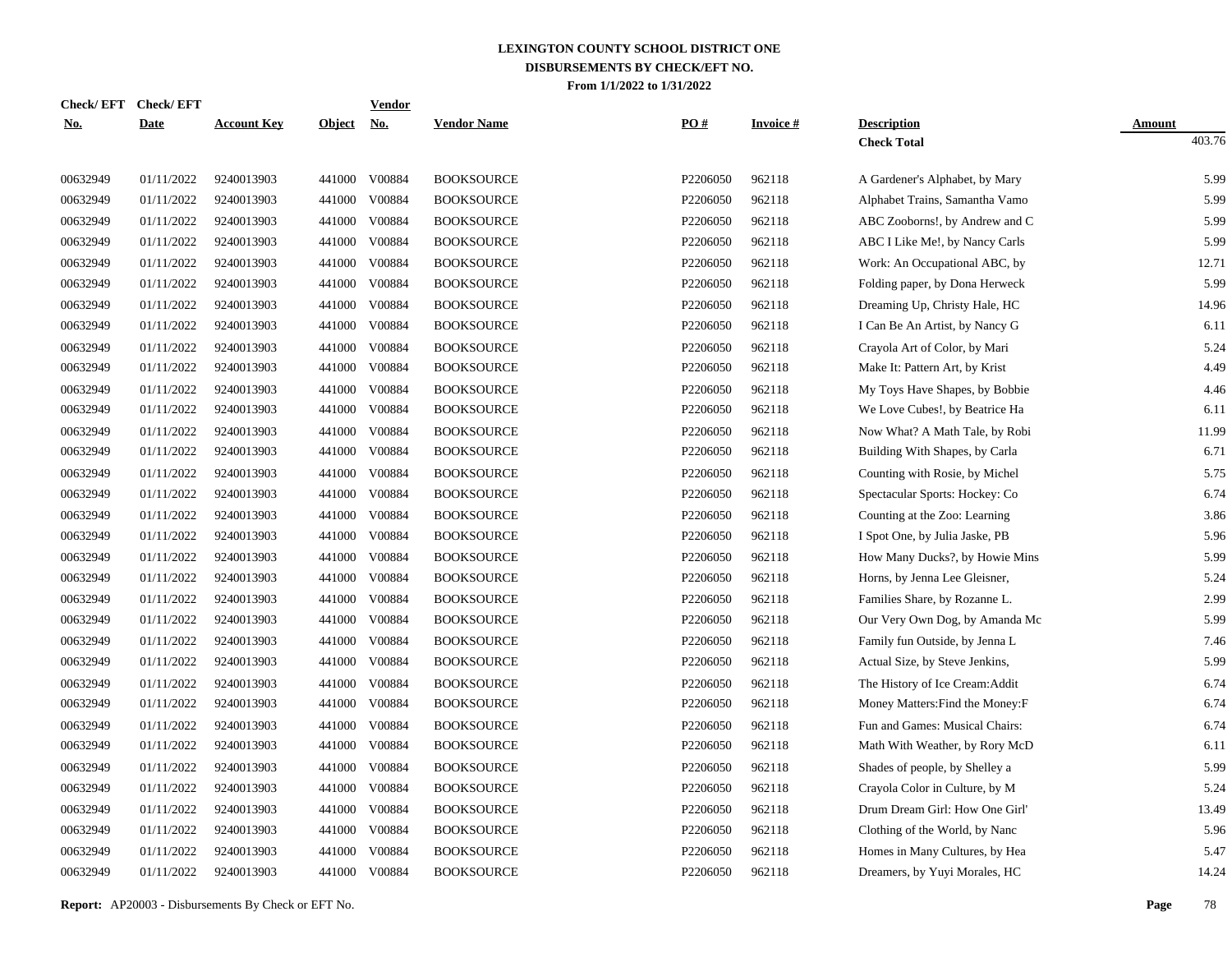| Check/ EFT | <b>Check/EFT</b> |                    |               | <b>Vendor</b> |                    |                      |                 |                                  |               |
|------------|------------------|--------------------|---------------|---------------|--------------------|----------------------|-----------------|----------------------------------|---------------|
| <u>No.</u> | <b>Date</b>      | <b>Account Key</b> | <u>Object</u> | <u>No.</u>    | <b>Vendor Name</b> | PO#                  | <b>Invoice#</b> | <b>Description</b>               | <b>Amount</b> |
|            |                  |                    |               |               |                    |                      |                 | <b>Check Total</b>               | 403.76        |
| 00632949   | 01/11/2022       | 9240013903         |               | 441000 V00884 | <b>BOOKSOURCE</b>  | P2206050             | 962118          | A Gardener's Alphabet, by Mary   | 5.99          |
| 00632949   | 01/11/2022       | 9240013903         | 441000        | V00884        | <b>BOOKSOURCE</b>  | P2206050             | 962118          | Alphabet Trains, Samantha Vamo   | 5.99          |
| 00632949   | 01/11/2022       | 9240013903         | 441000        | V00884        | <b>BOOKSOURCE</b>  | P2206050             | 962118          | ABC Zooborns!, by Andrew and C   | 5.99          |
| 00632949   | 01/11/2022       | 9240013903         | 441000        | V00884        | <b>BOOKSOURCE</b>  | P2206050             | 962118          | ABC I Like Me!, by Nancy Carls   | 5.99          |
| 00632949   | 01/11/2022       | 9240013903         | 441000        | V00884        | <b>BOOKSOURCE</b>  | P2206050             | 962118          | Work: An Occupational ABC, by    | 12.71         |
| 00632949   | 01/11/2022       | 9240013903         | 441000        | V00884        | <b>BOOKSOURCE</b>  | P2206050             | 962118          | Folding paper, by Dona Herweck   | 5.99          |
| 00632949   | 01/11/2022       | 9240013903         | 441000        | V00884        | <b>BOOKSOURCE</b>  | P2206050             | 962118          | Dreaming Up, Christy Hale, HC    | 14.96         |
| 00632949   | 01/11/2022       | 9240013903         | 441000        | V00884        | <b>BOOKSOURCE</b>  | P2206050             | 962118          | I Can Be An Artist, by Nancy G   | 6.11          |
| 00632949   | 01/11/2022       | 9240013903         | 441000        | V00884        | <b>BOOKSOURCE</b>  | P2206050             | 962118          | Crayola Art of Color, by Mari    | 5.24          |
| 00632949   | 01/11/2022       | 9240013903         | 441000        | V00884        | <b>BOOKSOURCE</b>  | P2206050             | 962118          | Make It: Pattern Art, by Krist   | 4.49          |
| 00632949   | 01/11/2022       | 9240013903         | 441000        | V00884        | <b>BOOKSOURCE</b>  | P2206050             | 962118          | My Toys Have Shapes, by Bobbie   | 4.46          |
| 00632949   | 01/11/2022       | 9240013903         | 441000        | V00884        | <b>BOOKSOURCE</b>  | P2206050             | 962118          | We Love Cubes!, by Beatrice Ha   | 6.11          |
| 00632949   | 01/11/2022       | 9240013903         | 441000        | V00884        | <b>BOOKSOURCE</b>  | P2206050             | 962118          | Now What? A Math Tale, by Robi   | 11.99         |
| 00632949   | 01/11/2022       | 9240013903         | 441000        | V00884        | <b>BOOKSOURCE</b>  | P2206050             | 962118          | Building With Shapes, by Carla   | 6.71          |
| 00632949   | 01/11/2022       | 9240013903         | 441000        | V00884        | <b>BOOKSOURCE</b>  | P2206050             | 962118          | Counting with Rosie, by Michel   | 5.75          |
| 00632949   | 01/11/2022       | 9240013903         | 441000        | V00884        | <b>BOOKSOURCE</b>  | P2206050             | 962118          | Spectacular Sports: Hockey: Co   | 6.74          |
| 00632949   | 01/11/2022       | 9240013903         | 441000        | V00884        | <b>BOOKSOURCE</b>  | P2206050             | 962118          | Counting at the Zoo: Learning    | 3.86          |
| 00632949   | 01/11/2022       | 9240013903         | 441000        | V00884        | <b>BOOKSOURCE</b>  | P2206050             | 962118          | I Spot One, by Julia Jaske, PB   | 5.96          |
| 00632949   | 01/11/2022       | 9240013903         | 441000        | V00884        | <b>BOOKSOURCE</b>  | P2206050             | 962118          | How Many Ducks?, by Howie Mins   | 5.99          |
| 00632949   | 01/11/2022       | 9240013903         | 441000        | V00884        | <b>BOOKSOURCE</b>  | P2206050             | 962118          | Horns, by Jenna Lee Gleisner,    | 5.24          |
| 00632949   | 01/11/2022       | 9240013903         | 441000        | V00884        | <b>BOOKSOURCE</b>  | P2206050             | 962118          | Families Share, by Rozanne L.    | 2.99          |
| 00632949   | 01/11/2022       | 9240013903         | 441000        | V00884        | <b>BOOKSOURCE</b>  | P <sub>2206050</sub> | 962118          | Our Very Own Dog, by Amanda Mc   | 5.99          |
| 00632949   | 01/11/2022       | 9240013903         | 441000        | V00884        | <b>BOOKSOURCE</b>  | P2206050             | 962118          | Family fun Outside, by Jenna L   | 7.46          |
| 00632949   | 01/11/2022       | 9240013903         | 441000        | V00884        | <b>BOOKSOURCE</b>  | P2206050             | 962118          | Actual Size, by Steve Jenkins,   | 5.99          |
| 00632949   | 01/11/2022       | 9240013903         | 441000        | V00884        | <b>BOOKSOURCE</b>  | P2206050             | 962118          | The History of Ice Cream: Addit  | 6.74          |
| 00632949   | 01/11/2022       | 9240013903         | 441000        | V00884        | <b>BOOKSOURCE</b>  | P2206050             | 962118          | Money Matters: Find the Money: F | 6.74          |
| 00632949   | 01/11/2022       | 9240013903         | 441000        | V00884        | <b>BOOKSOURCE</b>  | P2206050             | 962118          | Fun and Games: Musical Chairs:   | 6.74          |
| 00632949   | 01/11/2022       | 9240013903         | 441000        | V00884        | <b>BOOKSOURCE</b>  | P2206050             | 962118          | Math With Weather, by Rory McD   | 6.11          |
| 00632949   | 01/11/2022       | 9240013903         | 441000        | V00884        | <b>BOOKSOURCE</b>  | P2206050             | 962118          | Shades of people, by Shelley a   | 5.99          |
| 00632949   | 01/11/2022       | 9240013903         | 441000        | V00884        | <b>BOOKSOURCE</b>  | P2206050             | 962118          | Crayola Color in Culture, by M   | 5.24          |
| 00632949   | 01/11/2022       | 9240013903         | 441000        | V00884        | <b>BOOKSOURCE</b>  | P2206050             | 962118          | Drum Dream Girl: How One Girl'   | 13.49         |
| 00632949   | 01/11/2022       | 9240013903         | 441000        | V00884        | <b>BOOKSOURCE</b>  | P2206050             | 962118          | Clothing of the World, by Nanc   | 5.96          |
| 00632949   | 01/11/2022       | 9240013903         | 441000        | V00884        | <b>BOOKSOURCE</b>  | P2206050             | 962118          | Homes in Many Cultures, by Hea   | 5.47          |
| 00632949   | 01/11/2022       | 9240013903         | 441000        | V00884        | <b>BOOKSOURCE</b>  | P2206050             | 962118          | Dreamers, by Yuyi Morales, HC    | 14.24         |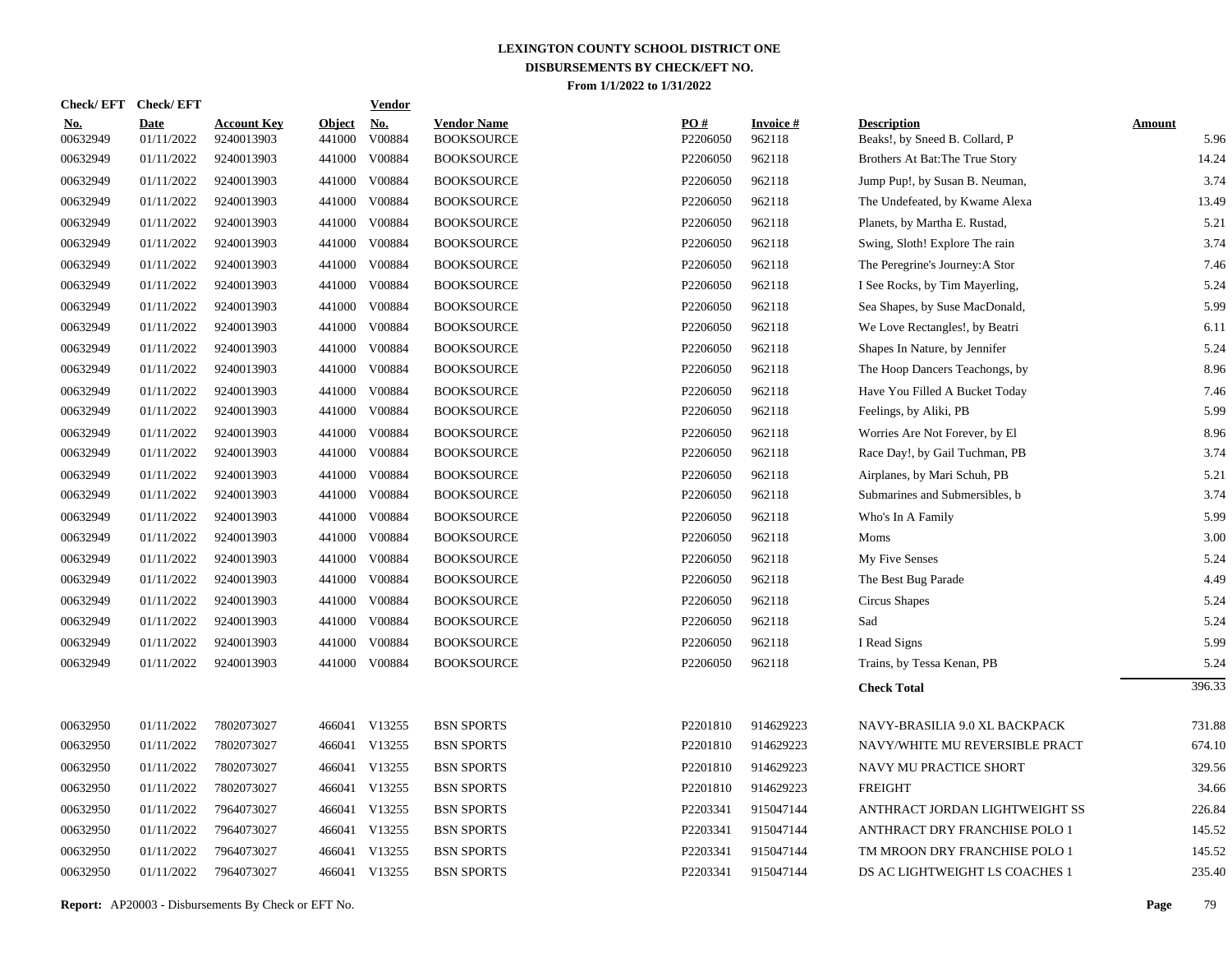| <b>Check/EFT</b>       | <b>Check/EFT</b>          |                                  |                         | <b>Vendor</b>        |                                         |                 |                           |                                                      |                       |
|------------------------|---------------------------|----------------------------------|-------------------------|----------------------|-----------------------------------------|-----------------|---------------------------|------------------------------------------------------|-----------------------|
| <u>No.</u><br>00632949 | <b>Date</b><br>01/11/2022 | <b>Account Key</b><br>9240013903 | <b>Object</b><br>441000 | <b>No.</b><br>V00884 | <b>Vendor Name</b><br><b>BOOKSOURCE</b> | PO#<br>P2206050 | <b>Invoice#</b><br>962118 | <b>Description</b><br>Beaks!, by Sneed B. Collard, P | <b>Amount</b><br>5.96 |
| 00632949               | 01/11/2022                | 9240013903                       | 441000                  | V00884               | <b>BOOKSOURCE</b>                       | P2206050        | 962118                    | Brothers At Bat: The True Story                      | 14.24                 |
| 00632949               | 01/11/2022                | 9240013903                       | 441000                  | V00884               | <b>BOOKSOURCE</b>                       | P2206050        | 962118                    | Jump Pup!, by Susan B. Neuman,                       | 3.74                  |
| 00632949               | 01/11/2022                | 9240013903                       | 441000                  | V00884               | <b>BOOKSOURCE</b>                       | P2206050        | 962118                    | The Undefeated, by Kwame Alexa                       | 13.49                 |
| 00632949               | 01/11/2022                | 9240013903                       | 441000                  | V00884               | <b>BOOKSOURCE</b>                       | P2206050        | 962118                    | Planets, by Martha E. Rustad,                        | 5.21                  |
| 00632949               | 01/11/2022                | 9240013903                       | 441000                  | V00884               | <b>BOOKSOURCE</b>                       | P2206050        | 962118                    | Swing, Sloth! Explore The rain                       | 3.74                  |
| 00632949               | 01/11/2022                | 9240013903                       | 441000                  | V00884               | <b>BOOKSOURCE</b>                       | P2206050        | 962118                    | The Peregrine's Journey: A Stor                      | 7.46                  |
| 00632949               | 01/11/2022                | 9240013903                       | 441000                  | V00884               | <b>BOOKSOURCE</b>                       | P2206050        | 962118                    | I See Rocks, by Tim Mayerling,                       | 5.24                  |
| 00632949               | 01/11/2022                | 9240013903                       | 441000                  | V00884               | <b>BOOKSOURCE</b>                       | P2206050        | 962118                    | Sea Shapes, by Suse MacDonald,                       | 5.99                  |
| 00632949               | 01/11/2022                | 9240013903                       | 441000                  | V00884               | <b>BOOKSOURCE</b>                       | P2206050        | 962118                    | We Love Rectangles!, by Beatri                       | 6.11                  |
| 00632949               | 01/11/2022                | 9240013903                       | 441000                  | V00884               | <b>BOOKSOURCE</b>                       | P2206050        | 962118                    | Shapes In Nature, by Jennifer                        | 5.24                  |
| 00632949               | 01/11/2022                | 9240013903                       | 441000                  | V00884               | <b>BOOKSOURCE</b>                       | P2206050        | 962118                    | The Hoop Dancers Teachongs, by                       | 8.96                  |
| 00632949               | 01/11/2022                | 9240013903                       | 441000                  | V00884               | <b>BOOKSOURCE</b>                       | P2206050        | 962118                    | Have You Filled A Bucket Today                       | 7.46                  |
| 00632949               | 01/11/2022                | 9240013903                       | 441000                  | V00884               | <b>BOOKSOURCE</b>                       | P2206050        | 962118                    | Feelings, by Aliki, PB                               | 5.99                  |
| 00632949               | 01/11/2022                | 9240013903                       | 441000                  | V00884               | <b>BOOKSOURCE</b>                       | P2206050        | 962118                    | Worries Are Not Forever, by El                       | 8.96                  |
| 00632949               | 01/11/2022                | 9240013903                       | 441000                  | V00884               | <b>BOOKSOURCE</b>                       | P2206050        | 962118                    | Race Day!, by Gail Tuchman, PB                       | 3.74                  |
| 00632949               | 01/11/2022                | 9240013903                       |                         | 441000 V00884        | <b>BOOKSOURCE</b>                       | P2206050        | 962118                    | Airplanes, by Mari Schuh, PB                         | 5.21                  |
| 00632949               | 01/11/2022                | 9240013903                       |                         | 441000 V00884        | <b>BOOKSOURCE</b>                       | P2206050        | 962118                    | Submarines and Submersibles, b                       | 3.74                  |
| 00632949               | 01/11/2022                | 9240013903                       | 441000                  | V00884               | <b>BOOKSOURCE</b>                       | P2206050        | 962118                    | Who's In A Family                                    | 5.99                  |
| 00632949               | 01/11/2022                | 9240013903                       |                         | 441000 V00884        | <b>BOOKSOURCE</b>                       | P2206050        | 962118                    | Moms                                                 | 3.00                  |
| 00632949               | 01/11/2022                | 9240013903                       |                         | 441000 V00884        | <b>BOOKSOURCE</b>                       | P2206050        | 962118                    | My Five Senses                                       | 5.24                  |
| 00632949               | 01/11/2022                | 9240013903                       |                         | 441000 V00884        | <b>BOOKSOURCE</b>                       | P2206050        | 962118                    | The Best Bug Parade                                  | 4.49                  |
| 00632949               | 01/11/2022                | 9240013903                       |                         | 441000 V00884        | <b>BOOKSOURCE</b>                       | P2206050        | 962118                    | Circus Shapes                                        | 5.24                  |
| 00632949               | 01/11/2022                | 9240013903                       |                         | 441000 V00884        | <b>BOOKSOURCE</b>                       | P2206050        | 962118                    | Sad                                                  | 5.24                  |
| 00632949               | 01/11/2022                | 9240013903                       |                         | 441000 V00884        | <b>BOOKSOURCE</b>                       | P2206050        | 962118                    | I Read Signs                                         | 5.99                  |
| 00632949               | 01/11/2022                | 9240013903                       |                         | 441000 V00884        | <b>BOOKSOURCE</b>                       | P2206050        | 962118                    | Trains, by Tessa Kenan, PB                           | 5.24                  |
|                        |                           |                                  |                         |                      |                                         |                 |                           | <b>Check Total</b>                                   | 396.33                |
| 00632950               | 01/11/2022                | 7802073027                       |                         | 466041 V13255        | <b>BSN SPORTS</b>                       | P2201810        | 914629223                 | NAVY-BRASILIA 9.0 XL BACKPACK                        | 731.88                |
| 00632950               | 01/11/2022                | 7802073027                       |                         | 466041 V13255        | <b>BSN SPORTS</b>                       | P2201810        | 914629223                 | NAVY/WHITE MU REVERSIBLE PRACT                       | 674.10                |
| 00632950               | 01/11/2022                | 7802073027                       |                         | 466041 V13255        | <b>BSN SPORTS</b>                       | P2201810        | 914629223                 | NAVY MU PRACTICE SHORT                               | 329.56                |
| 00632950               | 01/11/2022                | 7802073027                       |                         | 466041 V13255        | <b>BSN SPORTS</b>                       | P2201810        | 914629223                 | <b>FREIGHT</b>                                       | 34.66                 |
| 00632950               | 01/11/2022                | 7964073027                       |                         | 466041 V13255        | <b>BSN SPORTS</b>                       | P2203341        | 915047144                 | ANTHRACT JORDAN LIGHTWEIGHT SS                       | 226.84                |
| 00632950               | 01/11/2022                | 7964073027                       |                         | 466041 V13255        | <b>BSN SPORTS</b>                       | P2203341        | 915047144                 | ANTHRACT DRY FRANCHISE POLO 1                        | 145.52                |
| 00632950               | 01/11/2022                | 7964073027                       |                         | 466041 V13255        | <b>BSN SPORTS</b>                       | P2203341        | 915047144                 | TM MROON DRY FRANCHISE POLO 1                        | 145.52                |
| 00632950               | 01/11/2022                | 7964073027                       |                         | 466041 V13255        | <b>BSN SPORTS</b>                       | P2203341        | 915047144                 | DS AC LIGHTWEIGHT LS COACHES 1                       | 235.40                |
|                        |                           |                                  |                         |                      |                                         |                 |                           |                                                      |                       |

**Report:** AP20003 - Disbursements By Check or EFT No. **Page** 79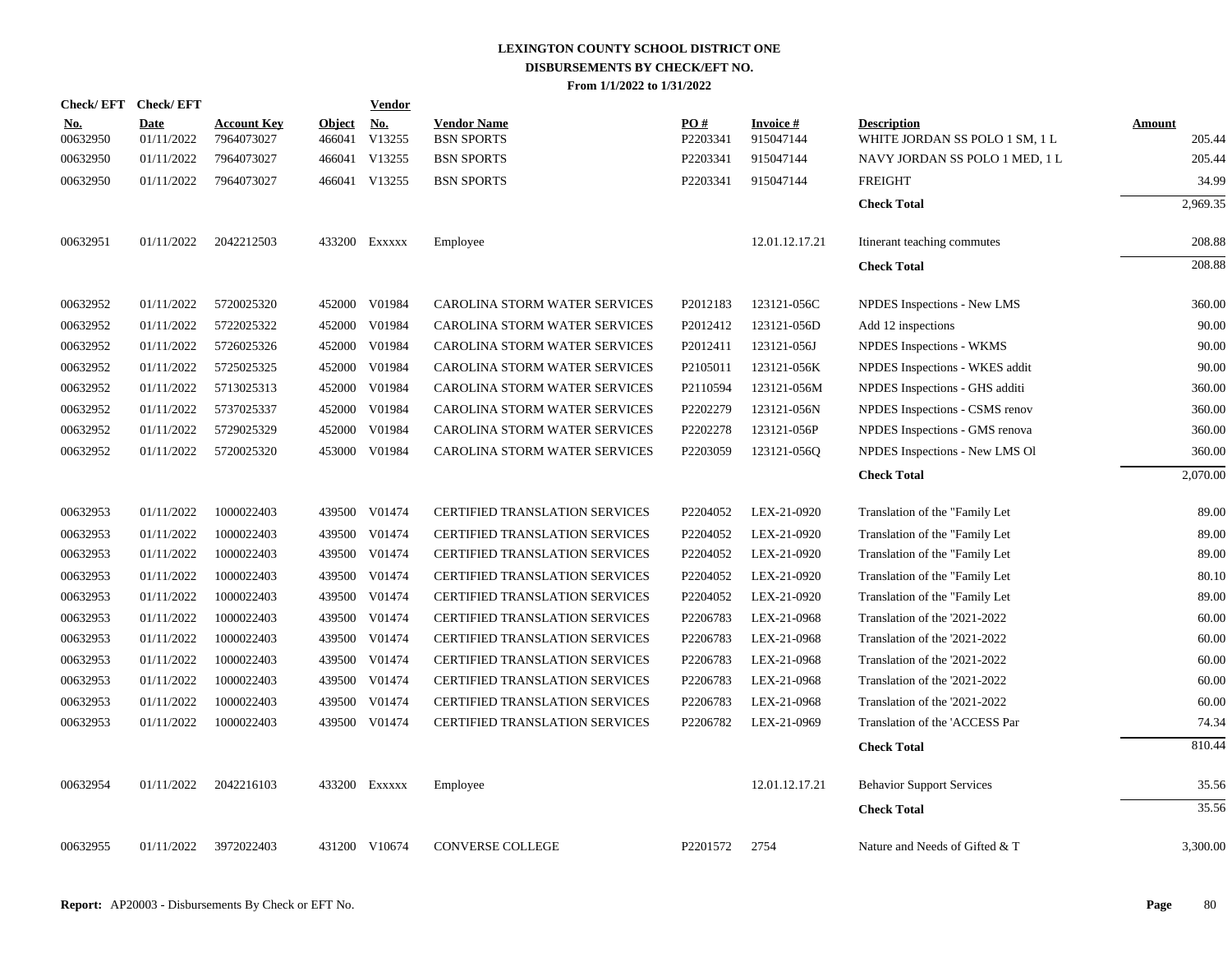| <b>Check/EFT</b>       | <b>Check/EFT</b>          |                                  |               | <b>Vendor</b>               |                                         |                 |                              |                                                      |                         |
|------------------------|---------------------------|----------------------------------|---------------|-----------------------------|-----------------------------------------|-----------------|------------------------------|------------------------------------------------------|-------------------------|
| <u>No.</u><br>00632950 | <b>Date</b><br>01/11/2022 | <b>Account Key</b><br>7964073027 | <b>Object</b> | <u>No.</u><br>466041 V13255 | <b>Vendor Name</b><br><b>BSN SPORTS</b> | PO#<br>P2203341 | <b>Invoice#</b><br>915047144 | <b>Description</b><br>WHITE JORDAN SS POLO 1 SM, 1 L | <b>Amount</b><br>205.44 |
| 00632950               | 01/11/2022                | 7964073027                       |               | 466041 V13255               | <b>BSN SPORTS</b>                       | P2203341        | 915047144                    | NAVY JORDAN SS POLO 1 MED, 1 L                       | 205.44                  |
| 00632950               | 01/11/2022                | 7964073027                       |               | 466041 V13255               | <b>BSN SPORTS</b>                       | P2203341        | 915047144                    | <b>FREIGHT</b>                                       | 34.99                   |
|                        |                           |                                  |               |                             |                                         |                 |                              | <b>Check Total</b>                                   | 2,969.35                |
| 00632951               | 01/11/2022                | 2042212503                       |               | 433200 Exxxxx               | Employee                                |                 | 12.01.12.17.21               | Itinerant teaching commutes                          | 208.88                  |
|                        |                           |                                  |               |                             |                                         |                 |                              | <b>Check Total</b>                                   | 208.88                  |
| 00632952               | 01/11/2022                | 5720025320                       |               | 452000 V01984               | CAROLINA STORM WATER SERVICES           | P2012183        | 123121-056C                  | NPDES Inspections - New LMS                          | 360.00                  |
| 00632952               | 01/11/2022                | 5722025322                       |               | 452000 V01984               | CAROLINA STORM WATER SERVICES           | P2012412        | 123121-056D                  | Add 12 inspections                                   | 90.00                   |
| 00632952               | 01/11/2022                | 5726025326                       |               | 452000 V01984               | CAROLINA STORM WATER SERVICES           | P2012411        | 123121-056J                  | NPDES Inspections - WKMS                             | 90.00                   |
| 00632952               | 01/11/2022                | 5725025325                       |               | 452000 V01984               | CAROLINA STORM WATER SERVICES           | P2105011        | 123121-056K                  | NPDES Inspections - WKES addit                       | 90.00                   |
| 00632952               | 01/11/2022                | 5713025313                       |               | 452000 V01984               | CAROLINA STORM WATER SERVICES           | P2110594        | 123121-056M                  | NPDES Inspections - GHS additi                       | 360.00                  |
| 00632952               | 01/11/2022                | 5737025337                       | 452000        | V01984                      | CAROLINA STORM WATER SERVICES           | P2202279        | 123121-056N                  | NPDES Inspections - CSMS renov                       | 360.00                  |
| 00632952               | 01/11/2022                | 5729025329                       | 452000        | V01984                      | CAROLINA STORM WATER SERVICES           | P2202278        | 123121-056P                  | NPDES Inspections - GMS renova                       | 360.00                  |
| 00632952               | 01/11/2022                | 5720025320                       |               | 453000 V01984               | CAROLINA STORM WATER SERVICES           | P2203059        | 123121-0560                  | NPDES Inspections - New LMS OI                       | 360.00                  |
|                        |                           |                                  |               |                             |                                         |                 |                              | <b>Check Total</b>                                   | 2,070.00                |
| 00632953               | 01/11/2022                | 1000022403                       |               | 439500 V01474               | <b>CERTIFIED TRANSLATION SERVICES</b>   | P2204052        | LEX-21-0920                  | Translation of the "Family Let                       | 89.00                   |
| 00632953               | 01/11/2022                | 1000022403                       |               | 439500 V01474               | CERTIFIED TRANSLATION SERVICES          | P2204052        | LEX-21-0920                  | Translation of the "Family Let                       | 89.00                   |
| 00632953               | 01/11/2022                | 1000022403                       |               | 439500 V01474               | <b>CERTIFIED TRANSLATION SERVICES</b>   | P2204052        | LEX-21-0920                  | Translation of the "Family Let                       | 89.00                   |
| 00632953               | 01/11/2022                | 1000022403                       |               | 439500 V01474               | <b>CERTIFIED TRANSLATION SERVICES</b>   | P2204052        | LEX-21-0920                  | Translation of the "Family Let                       | 80.10                   |
| 00632953               | 01/11/2022                | 1000022403                       |               | 439500 V01474               | <b>CERTIFIED TRANSLATION SERVICES</b>   | P2204052        | LEX-21-0920                  | Translation of the "Family Let                       | 89.00                   |
| 00632953               | 01/11/2022                | 1000022403                       |               | 439500 V01474               | CERTIFIED TRANSLATION SERVICES          | P2206783        | LEX-21-0968                  | Translation of the '2021-2022                        | 60.00                   |
| 00632953               | 01/11/2022                | 1000022403                       |               | 439500 V01474               | <b>CERTIFIED TRANSLATION SERVICES</b>   | P2206783        | LEX-21-0968                  | Translation of the '2021-2022                        | 60.00                   |
| 00632953               | 01/11/2022                | 1000022403                       |               | 439500 V01474               | <b>CERTIFIED TRANSLATION SERVICES</b>   | P2206783        | LEX-21-0968                  | Translation of the '2021-2022                        | 60.00                   |
| 00632953               | 01/11/2022                | 1000022403                       |               | 439500 V01474               | CERTIFIED TRANSLATION SERVICES          | P2206783        | LEX-21-0968                  | Translation of the '2021-2022                        | 60.00                   |
| 00632953               | 01/11/2022                | 1000022403                       |               | 439500 V01474               | <b>CERTIFIED TRANSLATION SERVICES</b>   | P2206783        | LEX-21-0968                  | Translation of the '2021-2022                        | 60.00                   |
| 00632953               | 01/11/2022                | 1000022403                       |               | 439500 V01474               | <b>CERTIFIED TRANSLATION SERVICES</b>   | P2206782        | LEX-21-0969                  | Translation of the 'ACCESS Par                       | 74.34                   |
|                        |                           |                                  |               |                             |                                         |                 |                              | <b>Check Total</b>                                   | 810.44                  |
| 00632954               | 01/11/2022                | 2042216103                       |               | 433200 Exxxxx               | Employee                                |                 | 12.01.12.17.21               | <b>Behavior Support Services</b>                     | 35.56                   |
|                        |                           |                                  |               |                             |                                         |                 |                              | <b>Check Total</b>                                   | 35.56                   |
| 00632955               | 01/11/2022                | 3972022403                       |               | 431200 V10674               | <b>CONVERSE COLLEGE</b>                 | P2201572        | 2754                         | Nature and Needs of Gifted & T                       | 3,300.00                |
|                        |                           |                                  |               |                             |                                         |                 |                              |                                                      |                         |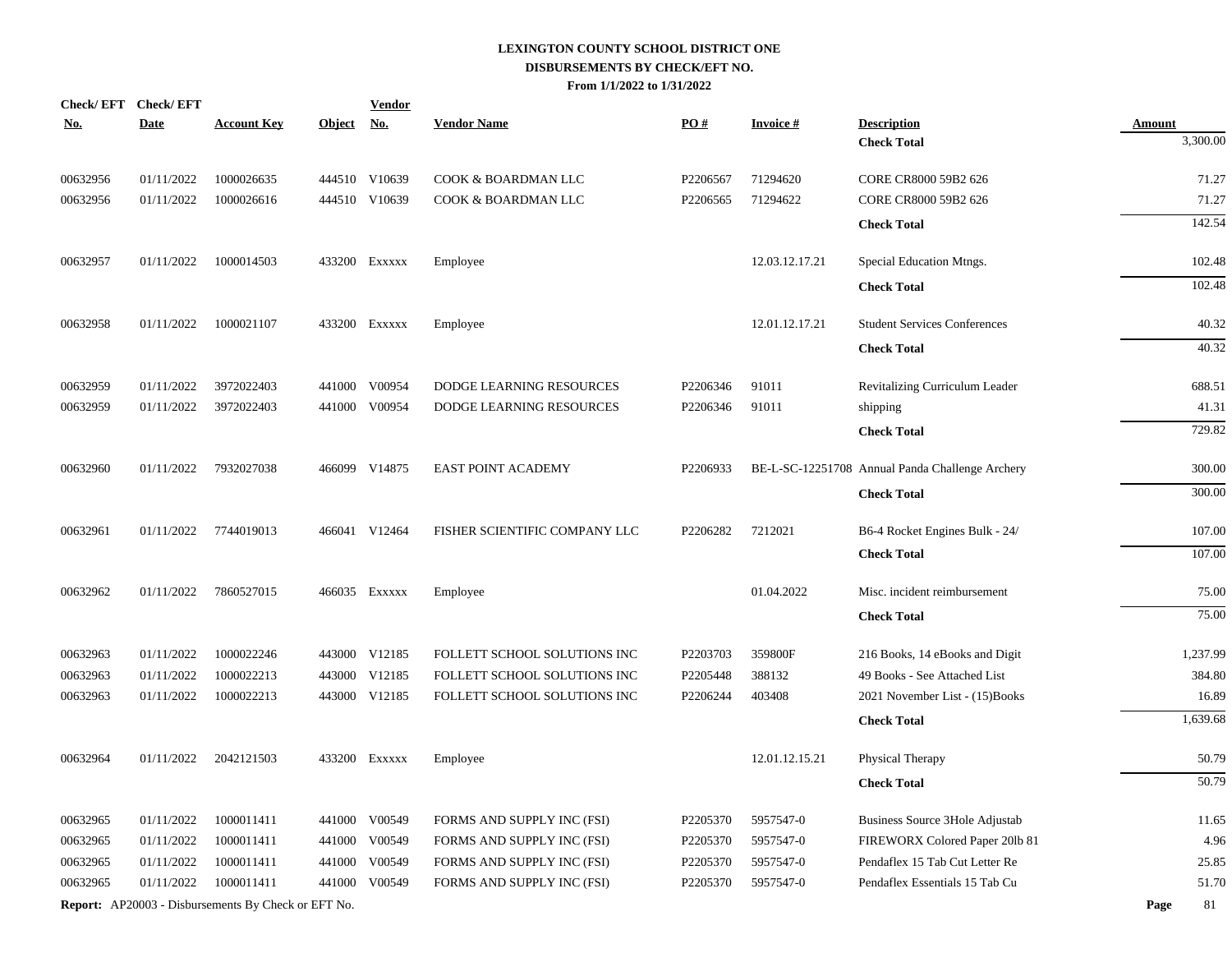| Check/EFT Check/EFT<br><u>No.</u> | <b>Date</b> | <b>Account Key</b>                                  | <u>Object</u> | <b>Vendor</b><br><u>No.</u> | <b>Vendor Name</b>            | $\underline{PO#}$ | <b>Invoice#</b> | <b>Description</b>                              | <b>Amount</b> |
|-----------------------------------|-------------|-----------------------------------------------------|---------------|-----------------------------|-------------------------------|-------------------|-----------------|-------------------------------------------------|---------------|
|                                   |             |                                                     |               |                             |                               |                   |                 | <b>Check Total</b>                              | 3,300.00      |
|                                   |             |                                                     |               |                             |                               |                   |                 |                                                 |               |
| 00632956                          | 01/11/2022  | 1000026635                                          |               | 444510 V10639               | COOK & BOARDMAN LLC           | P2206567          | 71294620        | CORE CR8000 59B2 626                            | 71.27         |
| 00632956                          | 01/11/2022  | 1000026616                                          |               | 444510 V10639               | COOK & BOARDMAN LLC           | P2206565          | 71294622        | CORE CR8000 59B2 626                            | 71.27         |
|                                   |             |                                                     |               |                             |                               |                   |                 | <b>Check Total</b>                              | 142.54        |
| 00632957                          | 01/11/2022  | 1000014503                                          |               | 433200 Exxxxx               | Employee                      |                   | 12.03.12.17.21  | Special Education Mtngs.                        | 102.48        |
|                                   |             |                                                     |               |                             |                               |                   |                 | <b>Check Total</b>                              | 102.48        |
| 00632958                          | 01/11/2022  | 1000021107                                          |               | 433200 Exxxxx               | Employee                      |                   | 12.01.12.17.21  | <b>Student Services Conferences</b>             | 40.32         |
|                                   |             |                                                     |               |                             |                               |                   |                 | <b>Check Total</b>                              | 40.32         |
|                                   |             |                                                     |               |                             |                               |                   |                 |                                                 |               |
| 00632959                          | 01/11/2022  | 3972022403                                          |               | 441000 V00954               | DODGE LEARNING RESOURCES      | P2206346          | 91011           | Revitalizing Curriculum Leader                  | 688.51        |
| 00632959                          | 01/11/2022  | 3972022403                                          | 441000        | V00954                      | DODGE LEARNING RESOURCES      | P2206346          | 91011           | shipping                                        | 41.31         |
|                                   |             |                                                     |               |                             |                               |                   |                 | <b>Check Total</b>                              | 729.82        |
| 00632960                          | 01/11/2022  | 7932027038                                          |               | 466099 V14875               | EAST POINT ACADEMY            | P2206933          |                 | BE-L-SC-12251708 Annual Panda Challenge Archery | 300.00        |
|                                   |             |                                                     |               |                             |                               |                   |                 | <b>Check Total</b>                              | 300.00        |
| 00632961                          | 01/11/2022  | 7744019013                                          |               | 466041 V12464               | FISHER SCIENTIFIC COMPANY LLC | P2206282          | 7212021         | B6-4 Rocket Engines Bulk - 24/                  | 107.00        |
|                                   |             |                                                     |               |                             |                               |                   |                 | <b>Check Total</b>                              | 107.00        |
| 00632962                          | 01/11/2022  | 7860527015                                          |               | 466035 Exxxxx               | Employee                      |                   | 01.04.2022      | Misc. incident reimbursement                    | 75.00         |
|                                   |             |                                                     |               |                             |                               |                   |                 | <b>Check Total</b>                              | 75.00         |
| 00632963                          | 01/11/2022  | 1000022246                                          |               | 443000 V12185               | FOLLETT SCHOOL SOLUTIONS INC  | P2203703          | 359800F         | 216 Books, 14 eBooks and Digit                  | 1,237.99      |
| 00632963                          | 01/11/2022  | 1000022213                                          |               | 443000 V12185               | FOLLETT SCHOOL SOLUTIONS INC  | P2205448          | 388132          | 49 Books - See Attached List                    | 384.80        |
| 00632963                          | 01/11/2022  | 1000022213                                          | 443000        | V12185                      | FOLLETT SCHOOL SOLUTIONS INC  | P2206244          | 403408          | 2021 November List - (15)Books                  | 16.89         |
|                                   |             |                                                     |               |                             |                               |                   |                 | <b>Check Total</b>                              | 1,639.68      |
| 00632964                          | 01/11/2022  | 2042121503                                          |               | 433200 Exxxxx               | Employee                      |                   | 12.01.12.15.21  | Physical Therapy                                | 50.79         |
|                                   |             |                                                     |               |                             |                               |                   |                 |                                                 |               |
|                                   |             |                                                     |               |                             |                               |                   |                 | <b>Check Total</b>                              | 50.79         |
| 00632965                          | 01/11/2022  | 1000011411                                          | 441000        | V00549                      | FORMS AND SUPPLY INC (FSI)    | P2205370          | 5957547-0       | <b>Business Source 3Hole Adjustab</b>           | 11.65         |
| 00632965                          | 01/11/2022  | 1000011411                                          | 441000        | V00549                      | FORMS AND SUPPLY INC (FSI)    | P2205370          | 5957547-0       | FIREWORX Colored Paper 201b 81                  | 4.96          |
| 00632965                          | 01/11/2022  | 1000011411                                          | 441000        | V00549                      | FORMS AND SUPPLY INC (FSI)    | P2205370          | 5957547-0       | Pendaflex 15 Tab Cut Letter Re                  | 25.85         |
| 00632965                          | 01/11/2022  | 1000011411                                          | 441000        | V00549                      | FORMS AND SUPPLY INC (FSI)    | P2205370          | 5957547-0       | Pendaflex Essentials 15 Tab Cu                  | 51.70         |
|                                   |             | Report: AP20003 - Disbursements By Check or EFT No. |               |                             |                               |                   |                 |                                                 | 81<br>Page    |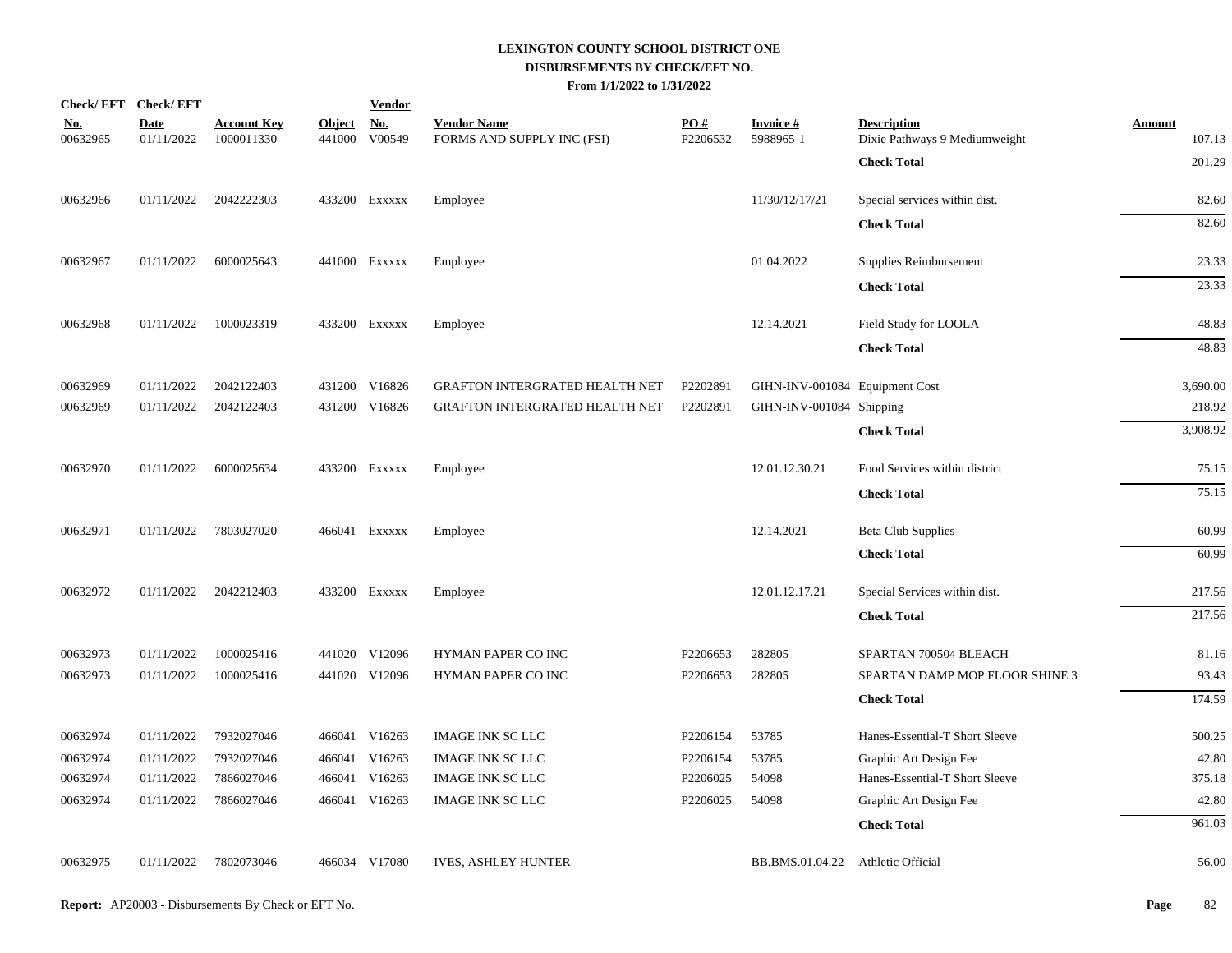|                        | Check/EFT Check/EFT       |                                  |                         | <b>Vendor</b> |                                                  |                 |                                |                                                     |                         |
|------------------------|---------------------------|----------------------------------|-------------------------|---------------|--------------------------------------------------|-----------------|--------------------------------|-----------------------------------------------------|-------------------------|
| <u>No.</u><br>00632965 | <b>Date</b><br>01/11/2022 | <b>Account Key</b><br>1000011330 | <b>Object</b><br>441000 | No.<br>V00549 | <b>Vendor Name</b><br>FORMS AND SUPPLY INC (FSI) | PO#<br>P2206532 | <b>Invoice#</b><br>5988965-1   | <b>Description</b><br>Dixie Pathways 9 Mediumweight | <b>Amount</b><br>107.13 |
|                        |                           |                                  |                         |               |                                                  |                 |                                | <b>Check Total</b>                                  | 201.29                  |
| 00632966               | 01/11/2022                | 2042222303                       |                         | 433200 Exxxxx | Employee                                         |                 | 11/30/12/17/21                 | Special services within dist.                       | 82.60                   |
|                        |                           |                                  |                         |               |                                                  |                 |                                | <b>Check Total</b>                                  | 82.60                   |
| 00632967               | 01/11/2022                | 6000025643                       |                         | 441000 Exxxxx | Employee                                         |                 | 01.04.2022                     | Supplies Reimbursement                              | 23.33                   |
|                        |                           |                                  |                         |               |                                                  |                 |                                | <b>Check Total</b>                                  | 23.33                   |
| 00632968               | 01/11/2022                | 1000023319                       |                         | 433200 Exxxxx | Employee                                         |                 | 12.14.2021                     | Field Study for LOOLA                               | 48.83                   |
|                        |                           |                                  |                         |               |                                                  |                 |                                | <b>Check Total</b>                                  | 48.83                   |
| 00632969               | 01/11/2022                | 2042122403                       |                         | 431200 V16826 | GRAFTON INTERGRATED HEALTH NET                   | P2202891        | GIHN-INV-001084 Equipment Cost |                                                     | 3,690.00                |
| 00632969               | 01/11/2022                | 2042122403                       |                         | 431200 V16826 | GRAFTON INTERGRATED HEALTH NET                   | P2202891        | GIHN-INV-001084 Shipping       |                                                     | 218.92                  |
|                        |                           |                                  |                         |               |                                                  |                 |                                | <b>Check Total</b>                                  | 3,908.92                |
| 00632970               | 01/11/2022                | 6000025634                       |                         | 433200 EXXXXX | Employee                                         |                 | 12.01.12.30.21                 | Food Services within district                       | 75.15                   |
|                        |                           |                                  |                         |               |                                                  |                 |                                | <b>Check Total</b>                                  | 75.15                   |
| 00632971               | 01/11/2022                | 7803027020                       |                         | 466041 EXXXXX | Employee                                         |                 | 12.14.2021                     | <b>Beta Club Supplies</b>                           | 60.99                   |
|                        |                           |                                  |                         |               |                                                  |                 |                                | <b>Check Total</b>                                  | 60.99                   |
| 00632972               | 01/11/2022                | 2042212403                       |                         | 433200 EXXXXX | Employee                                         |                 | 12.01.12.17.21                 | Special Services within dist.                       | 217.56                  |
|                        |                           |                                  |                         |               |                                                  |                 |                                | <b>Check Total</b>                                  | 217.56                  |
| 00632973               | 01/11/2022                | 1000025416                       |                         | 441020 V12096 | HYMAN PAPER CO INC                               | P2206653        | 282805                         | SPARTAN 700504 BLEACH                               | 81.16                   |
| 00632973               | 01/11/2022                | 1000025416                       |                         | 441020 V12096 | HYMAN PAPER CO INC                               | P2206653        | 282805                         | SPARTAN DAMP MOP FLOOR SHINE 3                      | 93.43                   |
|                        |                           |                                  |                         |               |                                                  |                 |                                | <b>Check Total</b>                                  | 174.59                  |
| 00632974               | 01/11/2022                | 7932027046                       |                         | 466041 V16263 | <b>IMAGE INK SC LLC</b>                          | P2206154        | 53785                          | Hanes-Essential-T Short Sleeve                      | 500.25                  |
| 00632974               | 01/11/2022                | 7932027046                       |                         | 466041 V16263 | <b>IMAGE INK SC LLC</b>                          | P2206154        | 53785                          | Graphic Art Design Fee                              | 42.80                   |
| 00632974               | 01/11/2022                | 7866027046                       |                         | 466041 V16263 | <b>IMAGE INK SC LLC</b>                          | P2206025        | 54098                          | Hanes-Essential-T Short Sleeve                      | 375.18                  |
| 00632974               | 01/11/2022                | 7866027046                       |                         | 466041 V16263 | <b>IMAGE INK SC LLC</b>                          | P2206025        | 54098                          | Graphic Art Design Fee                              | 42.80                   |
|                        |                           |                                  |                         |               |                                                  |                 |                                | <b>Check Total</b>                                  | 961.03                  |
| 00632975               | 01/11/2022                | 7802073046                       |                         | 466034 V17080 | <b>IVES, ASHLEY HUNTER</b>                       |                 | BB.BMS.01.04.22                | Athletic Official                                   | 56.00                   |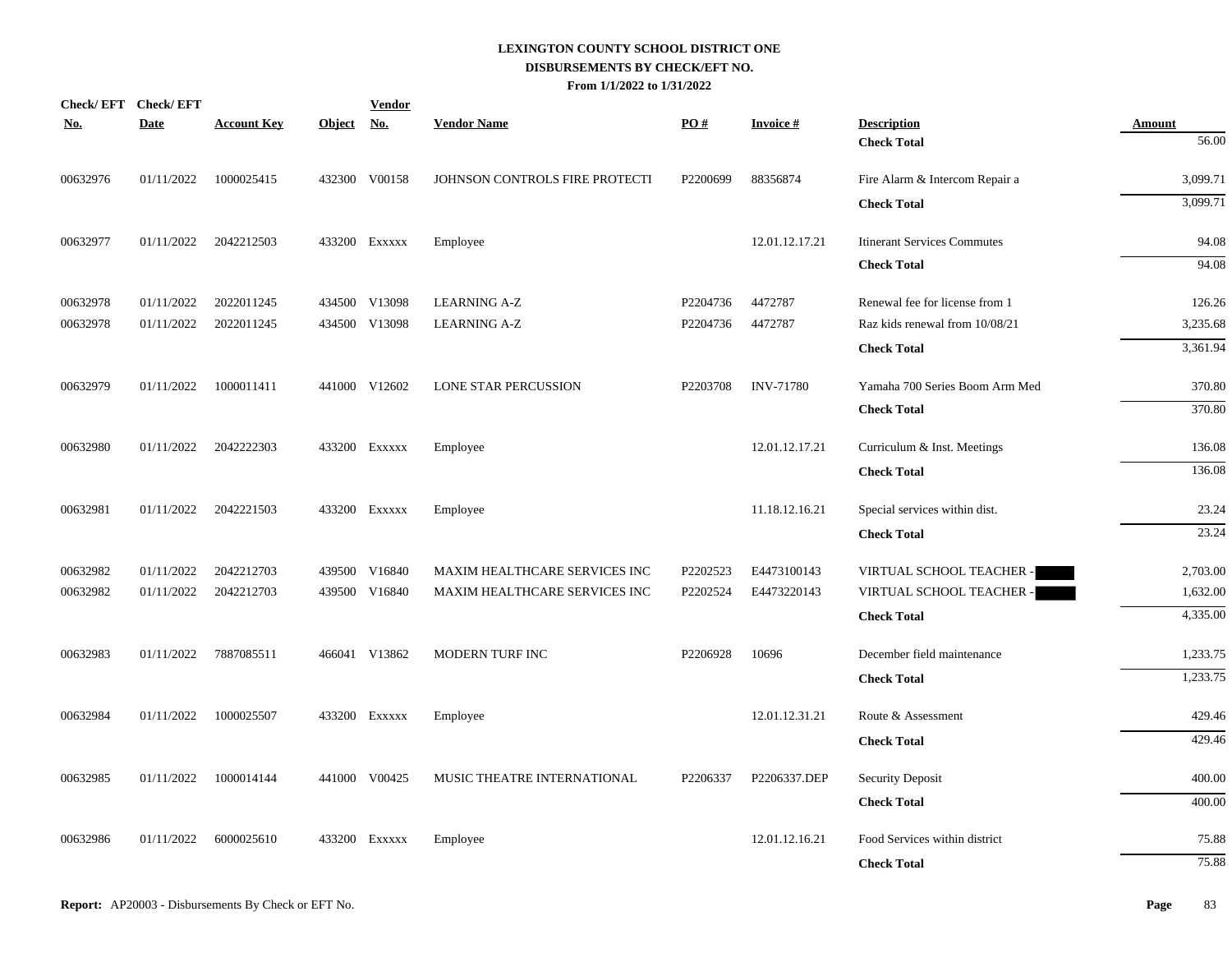| <b>No.</b> | Check/EFT Check/EFT<br>Date | <b>Account Key</b> | <b>Object</b> | <b>Vendor</b><br><u>No.</u> | <b>Vendor Name</b>             | PO#      | <b>Invoice#</b>  | <b>Description</b>                 | <b>Amount</b> |
|------------|-----------------------------|--------------------|---------------|-----------------------------|--------------------------------|----------|------------------|------------------------------------|---------------|
|            |                             |                    |               |                             |                                |          |                  | <b>Check Total</b>                 | 56.00         |
| 00632976   | 01/11/2022                  | 1000025415         |               | 432300 V00158               | JOHNSON CONTROLS FIRE PROTECTI | P2200699 | 88356874         | Fire Alarm & Intercom Repair a     | 3,099.71      |
|            |                             |                    |               |                             |                                |          |                  | <b>Check Total</b>                 | 3,099.71      |
| 00632977   | 01/11/2022                  | 2042212503         |               | 433200 Exxxxx               | Employee                       |          | 12.01.12.17.21   | <b>Itinerant Services Commutes</b> | 94.08         |
|            |                             |                    |               |                             |                                |          |                  | <b>Check Total</b>                 | 94.08         |
| 00632978   | 01/11/2022                  | 2022011245         |               | 434500 V13098               | <b>LEARNING A-Z</b>            | P2204736 | 4472787          | Renewal fee for license from 1     | 126.26        |
| 00632978   | 01/11/2022                  | 2022011245         |               | 434500 V13098               | <b>LEARNING A-Z</b>            | P2204736 | 4472787          | Raz kids renewal from 10/08/21     | 3,235.68      |
|            |                             |                    |               |                             |                                |          |                  | <b>Check Total</b>                 | 3,361.94      |
| 00632979   | 01/11/2022                  | 1000011411         |               | 441000 V12602               | <b>LONE STAR PERCUSSION</b>    | P2203708 | <b>INV-71780</b> | Yamaha 700 Series Boom Arm Med     | 370.80        |
|            |                             |                    |               |                             |                                |          |                  | <b>Check Total</b>                 | 370.80        |
| 00632980   | 01/11/2022                  | 2042222303         |               | 433200 EXXXXX               | Employee                       |          | 12.01.12.17.21   | Curriculum & Inst. Meetings        | 136.08        |
|            |                             |                    |               |                             |                                |          |                  | <b>Check Total</b>                 | 136.08        |
| 00632981   | 01/11/2022                  | 2042221503         |               | 433200 Exxxxx               | Employee                       |          | 11.18.12.16.21   | Special services within dist.      | 23.24         |
|            |                             |                    |               |                             |                                |          |                  | <b>Check Total</b>                 | 23.24         |
| 00632982   | 01/11/2022                  | 2042212703         |               | 439500 V16840               | MAXIM HEALTHCARE SERVICES INC  | P2202523 | E4473100143      | VIRTUAL SCHOOL TEACHER -           | 2,703.00      |
| 00632982   | 01/11/2022                  | 2042212703         |               | 439500 V16840               | MAXIM HEALTHCARE SERVICES INC  | P2202524 | E4473220143      | VIRTUAL SCHOOL TEACHER -           | 1,632.00      |
|            |                             |                    |               |                             |                                |          |                  | <b>Check Total</b>                 | 4,335.00      |
| 00632983   | 01/11/2022                  | 7887085511         |               | 466041 V13862               | MODERN TURF INC                | P2206928 | 10696            | December field maintenance         | 1,233.75      |
|            |                             |                    |               |                             |                                |          |                  | <b>Check Total</b>                 | 1,233.75      |
| 00632984   | 01/11/2022                  | 1000025507         |               | 433200 Exxxxx               | Employee                       |          | 12.01.12.31.21   | Route & Assessment                 | 429.46        |
|            |                             |                    |               |                             |                                |          |                  | <b>Check Total</b>                 | 429.46        |
| 00632985   | 01/11/2022                  | 1000014144         |               | 441000 V00425               | MUSIC THEATRE INTERNATIONAL    | P2206337 | P2206337.DEP     | Security Deposit                   | 400.00        |
|            |                             |                    |               |                             |                                |          |                  | <b>Check Total</b>                 | 400.00        |
| 00632986   | 01/11/2022                  | 6000025610         |               | 433200 Exxxxx               | Employee                       |          | 12.01.12.16.21   | Food Services within district      | 75.88         |
|            |                             |                    |               |                             |                                |          |                  | <b>Check Total</b>                 | 75.88         |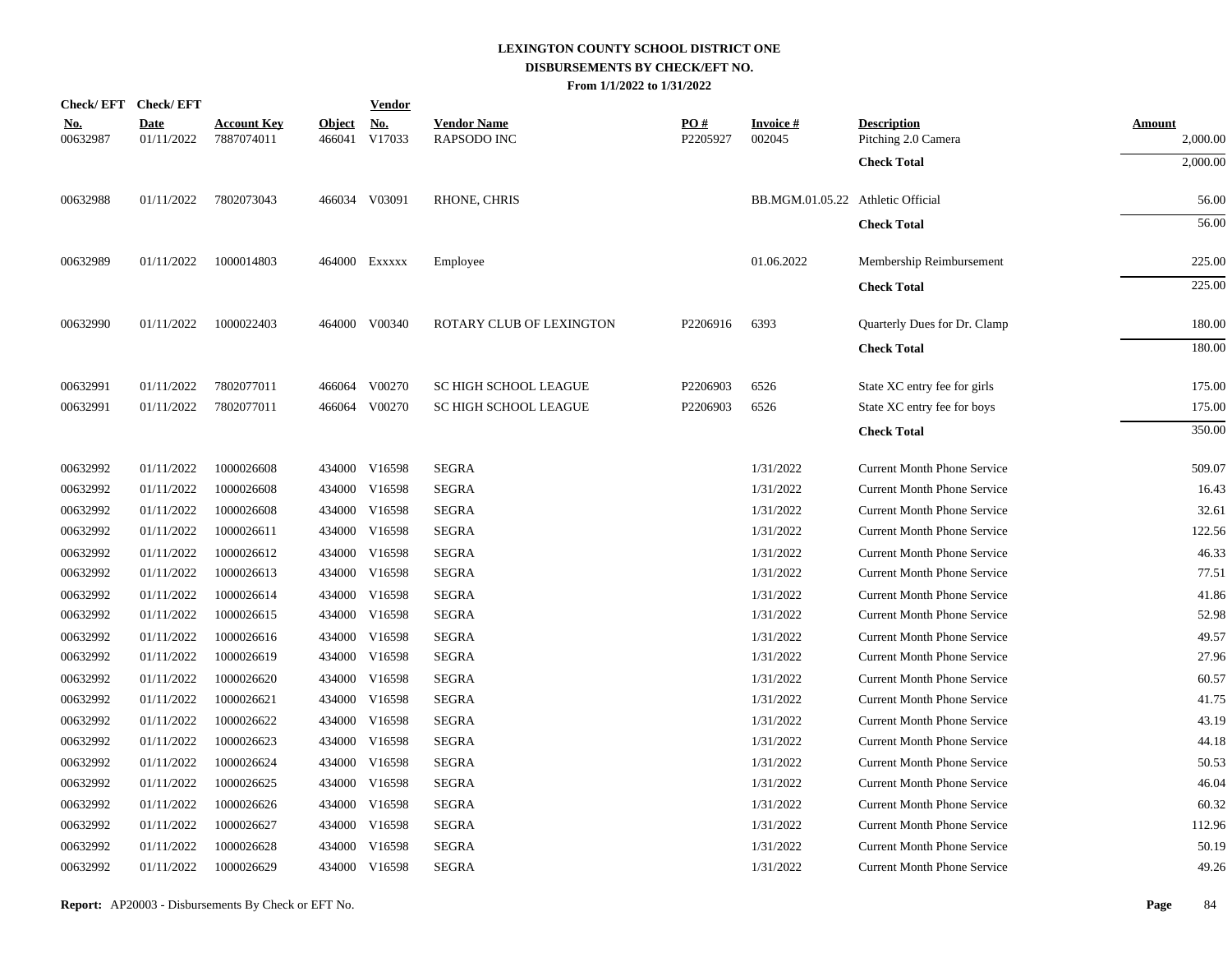|                        | Check/EFT Check/EFT       |                                  |               | <b>Vendor</b>        |                                          |                 |                                   |                                           |                    |
|------------------------|---------------------------|----------------------------------|---------------|----------------------|------------------------------------------|-----------------|-----------------------------------|-------------------------------------------|--------------------|
| <u>No.</u><br>00632987 | <b>Date</b><br>01/11/2022 | <b>Account Key</b><br>7887074011 | <b>Object</b> | No.<br>466041 V17033 | <b>Vendor Name</b><br><b>RAPSODO INC</b> | PO#<br>P2205927 | Invoice #<br>002045               | <b>Description</b><br>Pitching 2.0 Camera | Amount<br>2,000.00 |
|                        |                           |                                  |               |                      |                                          |                 |                                   | <b>Check Total</b>                        | 2,000.00           |
| 00632988               | 01/11/2022                | 7802073043                       |               | 466034 V03091        | RHONE, CHRIS                             |                 | BB.MGM.01.05.22 Athletic Official |                                           | 56.00              |
|                        |                           |                                  |               |                      |                                          |                 |                                   | <b>Check Total</b>                        | 56.00              |
| 00632989               | 01/11/2022                | 1000014803                       |               | 464000 Exxxxx        | Employee                                 |                 | 01.06.2022                        | Membership Reimbursement                  | 225.00             |
|                        |                           |                                  |               |                      |                                          |                 |                                   | <b>Check Total</b>                        | 225.00             |
| 00632990               | 01/11/2022                | 1000022403                       |               | 464000 V00340        | ROTARY CLUB OF LEXINGTON                 | P2206916        | 6393                              | Quarterly Dues for Dr. Clamp              | 180.00             |
|                        |                           |                                  |               |                      |                                          |                 |                                   | <b>Check Total</b>                        | 180.00             |
| 00632991               | 01/11/2022                | 7802077011                       |               | 466064 V00270        | SC HIGH SCHOOL LEAGUE                    | P2206903        | 6526                              | State XC entry fee for girls              | 175.00             |
| 00632991               | 01/11/2022                | 7802077011                       |               | 466064 V00270        | <b>SC HIGH SCHOOL LEAGUE</b>             | P2206903        | 6526                              | State XC entry fee for boys               | 175.00             |
|                        |                           |                                  |               |                      |                                          |                 |                                   | <b>Check Total</b>                        | 350.00             |
| 00632992               | 01/11/2022                | 1000026608                       |               | 434000 V16598        | <b>SEGRA</b>                             |                 | 1/31/2022                         | <b>Current Month Phone Service</b>        | 509.07             |
| 00632992               | 01/11/2022                | 1000026608                       |               | 434000 V16598        | <b>SEGRA</b>                             |                 | 1/31/2022                         | <b>Current Month Phone Service</b>        | 16.43              |
| 00632992               | 01/11/2022                | 1000026608                       | 434000        | V16598               | <b>SEGRA</b>                             |                 | 1/31/2022                         | <b>Current Month Phone Service</b>        | 32.61              |
| 00632992               | 01/11/2022                | 1000026611                       |               | 434000 V16598        | <b>SEGRA</b>                             |                 | 1/31/2022                         | <b>Current Month Phone Service</b>        | 122.56             |
| 00632992               | 01/11/2022                | 1000026612                       |               | 434000 V16598        | <b>SEGRA</b>                             |                 | 1/31/2022                         | <b>Current Month Phone Service</b>        | 46.33              |
| 00632992               | 01/11/2022                | 1000026613                       |               | 434000 V16598        | <b>SEGRA</b>                             |                 | 1/31/2022                         | <b>Current Month Phone Service</b>        | 77.51              |
| 00632992               | 01/11/2022                | 1000026614                       |               | 434000 V16598        | <b>SEGRA</b>                             |                 | 1/31/2022                         | <b>Current Month Phone Service</b>        | 41.86              |
| 00632992               | 01/11/2022                | 1000026615                       |               | 434000 V16598        | <b>SEGRA</b>                             |                 | 1/31/2022                         | <b>Current Month Phone Service</b>        | 52.98              |
| 00632992               | 01/11/2022                | 1000026616                       |               | 434000 V16598        | <b>SEGRA</b>                             |                 | 1/31/2022                         | <b>Current Month Phone Service</b>        | 49.57              |
| 00632992               | 01/11/2022                | 1000026619                       |               | 434000 V16598        | <b>SEGRA</b>                             |                 | 1/31/2022                         | <b>Current Month Phone Service</b>        | 27.96              |
| 00632992               | 01/11/2022                | 1000026620                       |               | 434000 V16598        | <b>SEGRA</b>                             |                 | 1/31/2022                         | <b>Current Month Phone Service</b>        | 60.57              |
| 00632992               | 01/11/2022                | 1000026621                       |               | 434000 V16598        | <b>SEGRA</b>                             |                 | 1/31/2022                         | <b>Current Month Phone Service</b>        | 41.75              |
| 00632992               | 01/11/2022                | 1000026622                       |               | 434000 V16598        | <b>SEGRA</b>                             |                 | 1/31/2022                         | <b>Current Month Phone Service</b>        | 43.19              |
| 00632992               | 01/11/2022                | 1000026623                       |               | 434000 V16598        | <b>SEGRA</b>                             |                 | 1/31/2022                         | <b>Current Month Phone Service</b>        | 44.18              |
| 00632992               | 01/11/2022                | 1000026624                       |               | 434000 V16598        | <b>SEGRA</b>                             |                 | 1/31/2022                         | <b>Current Month Phone Service</b>        | 50.53              |
| 00632992               | 01/11/2022                | 1000026625                       |               | 434000 V16598        | <b>SEGRA</b>                             |                 | 1/31/2022                         | <b>Current Month Phone Service</b>        | 46.04              |
| 00632992               | 01/11/2022                | 1000026626                       |               | 434000 V16598        | <b>SEGRA</b>                             |                 | 1/31/2022                         | <b>Current Month Phone Service</b>        | 60.32              |
| 00632992               | 01/11/2022                | 1000026627                       |               | 434000 V16598        | <b>SEGRA</b>                             |                 | 1/31/2022                         | <b>Current Month Phone Service</b>        | 112.96             |
| 00632992               | 01/11/2022                | 1000026628                       | 434000        | V16598               | <b>SEGRA</b>                             |                 | 1/31/2022                         | <b>Current Month Phone Service</b>        | 50.19              |
| 00632992               | 01/11/2022                | 1000026629                       |               | 434000 V16598        | <b>SEGRA</b>                             |                 | 1/31/2022                         | <b>Current Month Phone Service</b>        | 49.26              |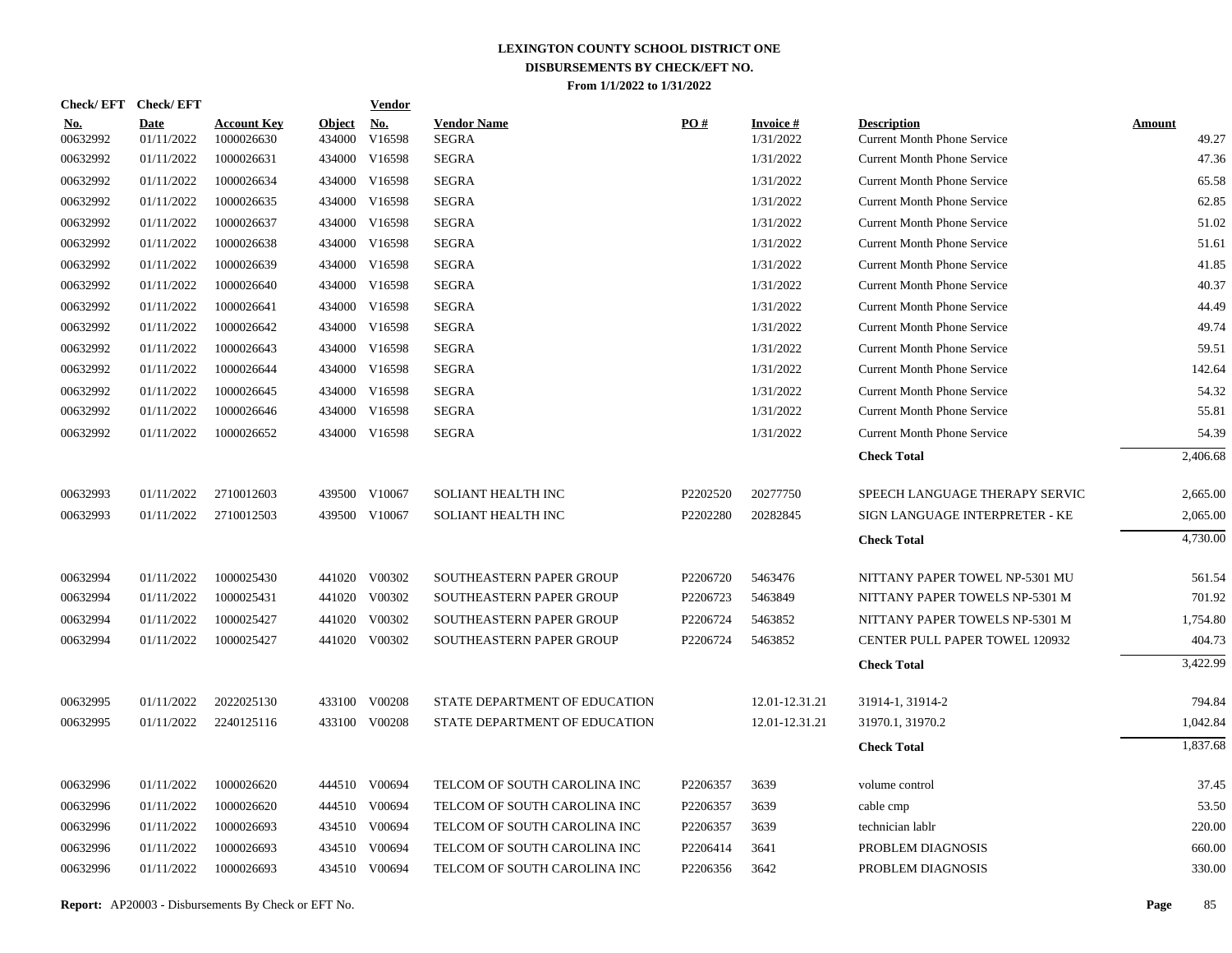| Check/EFT Check/EFT    |                           |                                  |                         | <b>Vendor</b> |                                    |          |                              |                                                          |                        |
|------------------------|---------------------------|----------------------------------|-------------------------|---------------|------------------------------------|----------|------------------------------|----------------------------------------------------------|------------------------|
| <u>No.</u><br>00632992 | <b>Date</b><br>01/11/2022 | <b>Account Key</b><br>1000026630 | <b>Object</b><br>434000 | No.<br>V16598 | <b>Vendor Name</b><br><b>SEGRA</b> | PO#      | <b>Invoice#</b><br>1/31/2022 | <b>Description</b><br><b>Current Month Phone Service</b> | <b>Amount</b><br>49.27 |
| 00632992               | 01/11/2022                | 1000026631                       |                         | 434000 V16598 | <b>SEGRA</b>                       |          | 1/31/2022                    | <b>Current Month Phone Service</b>                       | 47.36                  |
| 00632992               | 01/11/2022                | 1000026634                       |                         | 434000 V16598 | <b>SEGRA</b>                       |          | 1/31/2022                    | <b>Current Month Phone Service</b>                       | 65.58                  |
| 00632992               | 01/11/2022                | 1000026635                       |                         | 434000 V16598 | <b>SEGRA</b>                       |          | 1/31/2022                    | <b>Current Month Phone Service</b>                       | 62.85                  |
| 00632992               | 01/11/2022                | 1000026637                       |                         | 434000 V16598 | <b>SEGRA</b>                       |          | 1/31/2022                    | <b>Current Month Phone Service</b>                       | 51.02                  |
| 00632992               | 01/11/2022                | 1000026638                       |                         | 434000 V16598 | <b>SEGRA</b>                       |          | 1/31/2022                    | <b>Current Month Phone Service</b>                       | 51.61                  |
| 00632992               | 01/11/2022                | 1000026639                       |                         | 434000 V16598 | <b>SEGRA</b>                       |          | 1/31/2022                    | <b>Current Month Phone Service</b>                       | 41.85                  |
| 00632992               | 01/11/2022                | 1000026640                       |                         | 434000 V16598 | <b>SEGRA</b>                       |          | 1/31/2022                    | <b>Current Month Phone Service</b>                       | 40.37                  |
| 00632992               | 01/11/2022                | 1000026641                       |                         | 434000 V16598 | <b>SEGRA</b>                       |          | 1/31/2022                    | <b>Current Month Phone Service</b>                       | 44.49                  |
| 00632992               | 01/11/2022                | 1000026642                       |                         | 434000 V16598 | <b>SEGRA</b>                       |          | 1/31/2022                    | <b>Current Month Phone Service</b>                       | 49.74                  |
| 00632992               | 01/11/2022                | 1000026643                       |                         | 434000 V16598 | <b>SEGRA</b>                       |          | 1/31/2022                    | <b>Current Month Phone Service</b>                       | 59.51                  |
| 00632992               | 01/11/2022                | 1000026644                       |                         | 434000 V16598 | <b>SEGRA</b>                       |          | 1/31/2022                    | <b>Current Month Phone Service</b>                       | 142.64                 |
| 00632992               | 01/11/2022                | 1000026645                       |                         | 434000 V16598 | <b>SEGRA</b>                       |          | 1/31/2022                    | <b>Current Month Phone Service</b>                       | 54.32                  |
| 00632992               | 01/11/2022                | 1000026646                       |                         | 434000 V16598 | <b>SEGRA</b>                       |          | 1/31/2022                    | <b>Current Month Phone Service</b>                       | 55.81                  |
| 00632992               | 01/11/2022                | 1000026652                       |                         | 434000 V16598 | <b>SEGRA</b>                       |          | 1/31/2022                    | <b>Current Month Phone Service</b>                       | 54.39                  |
|                        |                           |                                  |                         |               |                                    |          |                              | <b>Check Total</b>                                       | 2,406.68               |
| 00632993               | 01/11/2022                | 2710012603                       |                         | 439500 V10067 | SOLIANT HEALTH INC                 | P2202520 | 20277750                     | SPEECH LANGUAGE THERAPY SERVIC                           | 2,665.00               |
| 00632993               | 01/11/2022                | 2710012503                       |                         | 439500 V10067 | SOLIANT HEALTH INC                 | P2202280 | 20282845                     | SIGN LANGUAGE INTERPRETER - KE                           | 2,065.00               |
|                        |                           |                                  |                         |               |                                    |          |                              | <b>Check Total</b>                                       | 4,730.00               |
| 00632994               | 01/11/2022                | 1000025430                       |                         | 441020 V00302 | SOUTHEASTERN PAPER GROUP           | P2206720 | 5463476                      | NITTANY PAPER TOWEL NP-5301 MU                           | 561.54                 |
| 00632994               | 01/11/2022                | 1000025431                       |                         | 441020 V00302 | SOUTHEASTERN PAPER GROUP           | P2206723 | 5463849                      | NITTANY PAPER TOWELS NP-5301 M                           | 701.92                 |
| 00632994               | 01/11/2022                | 1000025427                       |                         | 441020 V00302 | SOUTHEASTERN PAPER GROUP           | P2206724 | 5463852                      | NITTANY PAPER TOWELS NP-5301 M                           | 1,754.80               |
| 00632994               | 01/11/2022                | 1000025427                       |                         | 441020 V00302 | SOUTHEASTERN PAPER GROUP           | P2206724 | 5463852                      | <b>CENTER PULL PAPER TOWEL 120932</b>                    | 404.73                 |
|                        |                           |                                  |                         |               |                                    |          |                              | <b>Check Total</b>                                       | 3,422.99               |
| 00632995               | 01/11/2022                | 2022025130                       |                         | 433100 V00208 | STATE DEPARTMENT OF EDUCATION      |          | 12.01-12.31.21               | 31914-1, 31914-2                                         | 794.84                 |
| 00632995               | 01/11/2022                | 2240125116                       |                         | 433100 V00208 | STATE DEPARTMENT OF EDUCATION      |          | 12.01-12.31.21               | 31970.1, 31970.2                                         | 1,042.84               |
|                        |                           |                                  |                         |               |                                    |          |                              | <b>Check Total</b>                                       | 1,837.68               |
| 00632996               | 01/11/2022                | 1000026620                       |                         | 444510 V00694 | TELCOM OF SOUTH CAROLINA INC       | P2206357 | 3639                         | volume control                                           | 37.45                  |
| 00632996               | 01/11/2022                | 1000026620                       |                         | 444510 V00694 | TELCOM OF SOUTH CAROLINA INC       | P2206357 | 3639                         | cable cmp                                                | 53.50                  |
| 00632996               | 01/11/2022                | 1000026693                       |                         | 434510 V00694 | TELCOM OF SOUTH CAROLINA INC       | P2206357 | 3639                         | technician lablr                                         | 220.00                 |
| 00632996               | 01/11/2022                | 1000026693                       |                         | 434510 V00694 | TELCOM OF SOUTH CAROLINA INC       | P2206414 | 3641                         | PROBLEM DIAGNOSIS                                        | 660.00                 |
| 00632996               | 01/11/2022                | 1000026693                       |                         | 434510 V00694 | TELCOM OF SOUTH CAROLINA INC       | P2206356 | 3642                         | PROBLEM DIAGNOSIS                                        | 330.00                 |
|                        |                           |                                  |                         |               |                                    |          |                              |                                                          |                        |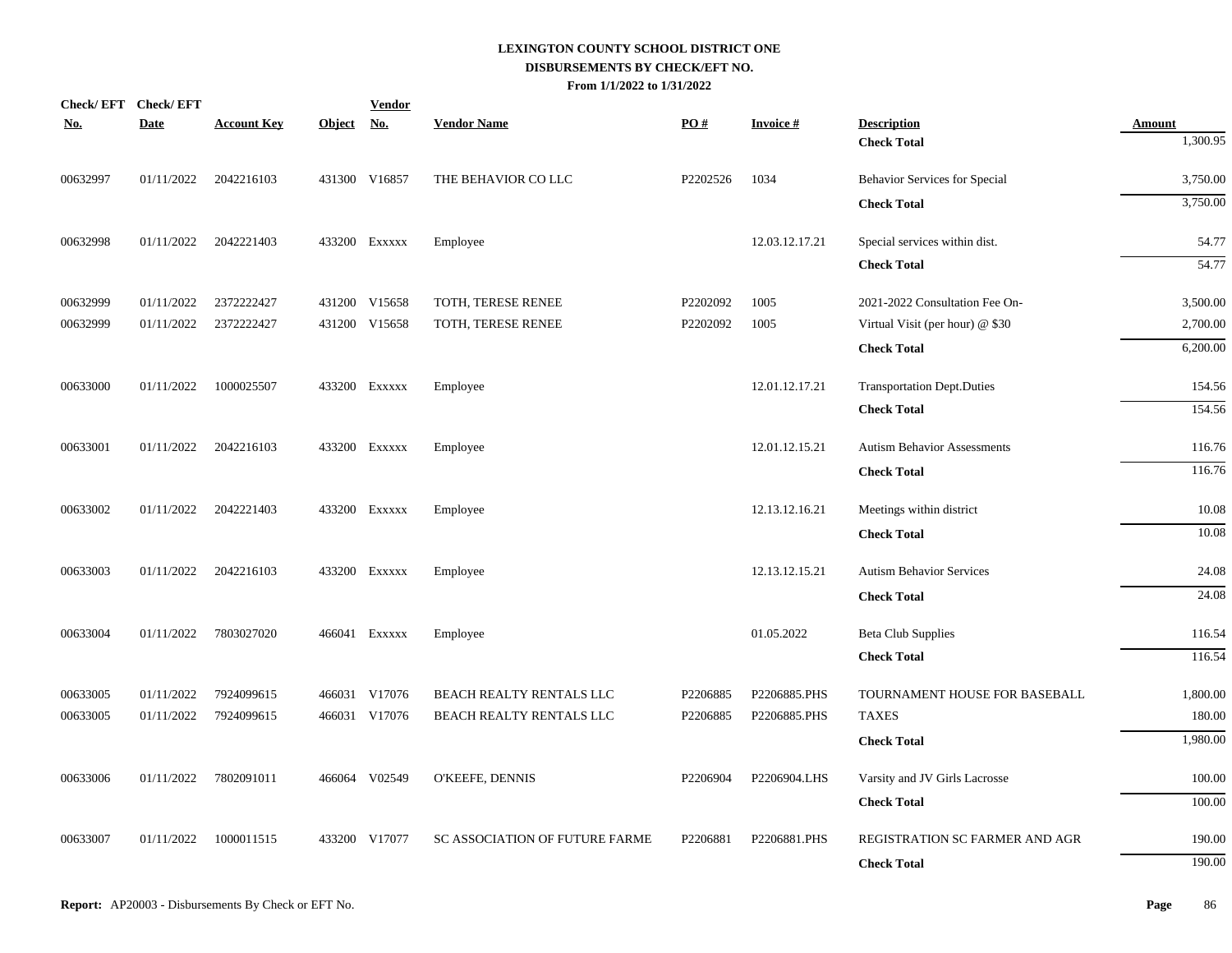|          | Check/EFT Check/EFT |                       |            | <b>Vendor</b> |                                |          |                 |                                    |               |
|----------|---------------------|-----------------------|------------|---------------|--------------------------------|----------|-----------------|------------------------------------|---------------|
| No.      | <b>Date</b>         | <b>Account Key</b>    | Object No. |               | <b>Vendor Name</b>             | PO#      | <b>Invoice#</b> | <b>Description</b>                 | <b>Amount</b> |
|          |                     |                       |            |               |                                |          |                 | <b>Check Total</b>                 | 1,300.95      |
| 00632997 | 01/11/2022          | 2042216103            |            | 431300 V16857 | THE BEHAVIOR CO LLC            | P2202526 | 1034            | Behavior Services for Special      | 3,750.00      |
|          |                     |                       |            |               |                                |          |                 | <b>Check Total</b>                 | 3,750.00      |
| 00632998 | 01/11/2022          | 2042221403            |            | 433200 Exxxxx | Employee                       |          | 12.03.12.17.21  | Special services within dist.      | 54.77         |
|          |                     |                       |            |               |                                |          |                 | <b>Check Total</b>                 | 54.77         |
| 00632999 | 01/11/2022          | 2372222427            |            | 431200 V15658 | TOTH, TERESE RENEE             | P2202092 | 1005            | 2021-2022 Consultation Fee On-     | 3,500.00      |
| 00632999 | 01/11/2022          | 2372222427            |            | 431200 V15658 | TOTH, TERESE RENEE             | P2202092 | 1005            | Virtual Visit (per hour) @ \$30    | 2,700.00      |
|          |                     |                       |            |               |                                |          |                 | <b>Check Total</b>                 | 6,200.00      |
| 00633000 | 01/11/2022          | 1000025507            |            | 433200 EXXXXX | Employee                       |          | 12.01.12.17.21  | <b>Transportation Dept.Duties</b>  | 154.56        |
|          |                     |                       |            |               |                                |          |                 | <b>Check Total</b>                 | 154.56        |
| 00633001 | 01/11/2022          | 2042216103            |            | 433200 Exxxxx | Employee                       |          | 12.01.12.15.21  | <b>Autism Behavior Assessments</b> | 116.76        |
|          |                     |                       |            |               |                                |          |                 | <b>Check Total</b>                 | 116.76        |
| 00633002 |                     | 01/11/2022 2042221403 |            | 433200 Exxxxx | Employee                       |          | 12.13.12.16.21  | Meetings within district           | 10.08         |
|          |                     |                       |            |               |                                |          |                 | <b>Check Total</b>                 | 10.08         |
| 00633003 | 01/11/2022          | 2042216103            |            | 433200 Exxxxx | Employee                       |          | 12.13.12.15.21  | <b>Autism Behavior Services</b>    | 24.08         |
|          |                     |                       |            |               |                                |          |                 | <b>Check Total</b>                 | 24.08         |
| 00633004 | 01/11/2022          | 7803027020            |            | 466041 Exxxxx | Employee                       |          | 01.05.2022      | <b>Beta Club Supplies</b>          | 116.54        |
|          |                     |                       |            |               |                                |          |                 | <b>Check Total</b>                 | 116.54        |
| 00633005 | 01/11/2022          | 7924099615            |            | 466031 V17076 | BEACH REALTY RENTALS LLC       | P2206885 | P2206885.PHS    | TOURNAMENT HOUSE FOR BASEBALL      | 1,800.00      |
| 00633005 | 01/11/2022          | 7924099615            |            | 466031 V17076 | BEACH REALTY RENTALS LLC       | P2206885 | P2206885.PHS    | <b>TAXES</b>                       | 180.00        |
|          |                     |                       |            |               |                                |          |                 | <b>Check Total</b>                 | 1,980.00      |
| 00633006 | 01/11/2022          | 7802091011            |            | 466064 V02549 | O'KEEFE, DENNIS                | P2206904 | P2206904.LHS    | Varsity and JV Girls Lacrosse      | 100.00        |
|          |                     |                       |            |               |                                |          |                 | <b>Check Total</b>                 | 100.00        |
| 00633007 | 01/11/2022          | 1000011515            |            | 433200 V17077 | SC ASSOCIATION OF FUTURE FARME | P2206881 | P2206881.PHS    | REGISTRATION SC FARMER AND AGR     | 190.00        |
|          |                     |                       |            |               |                                |          |                 | <b>Check Total</b>                 | 190.00        |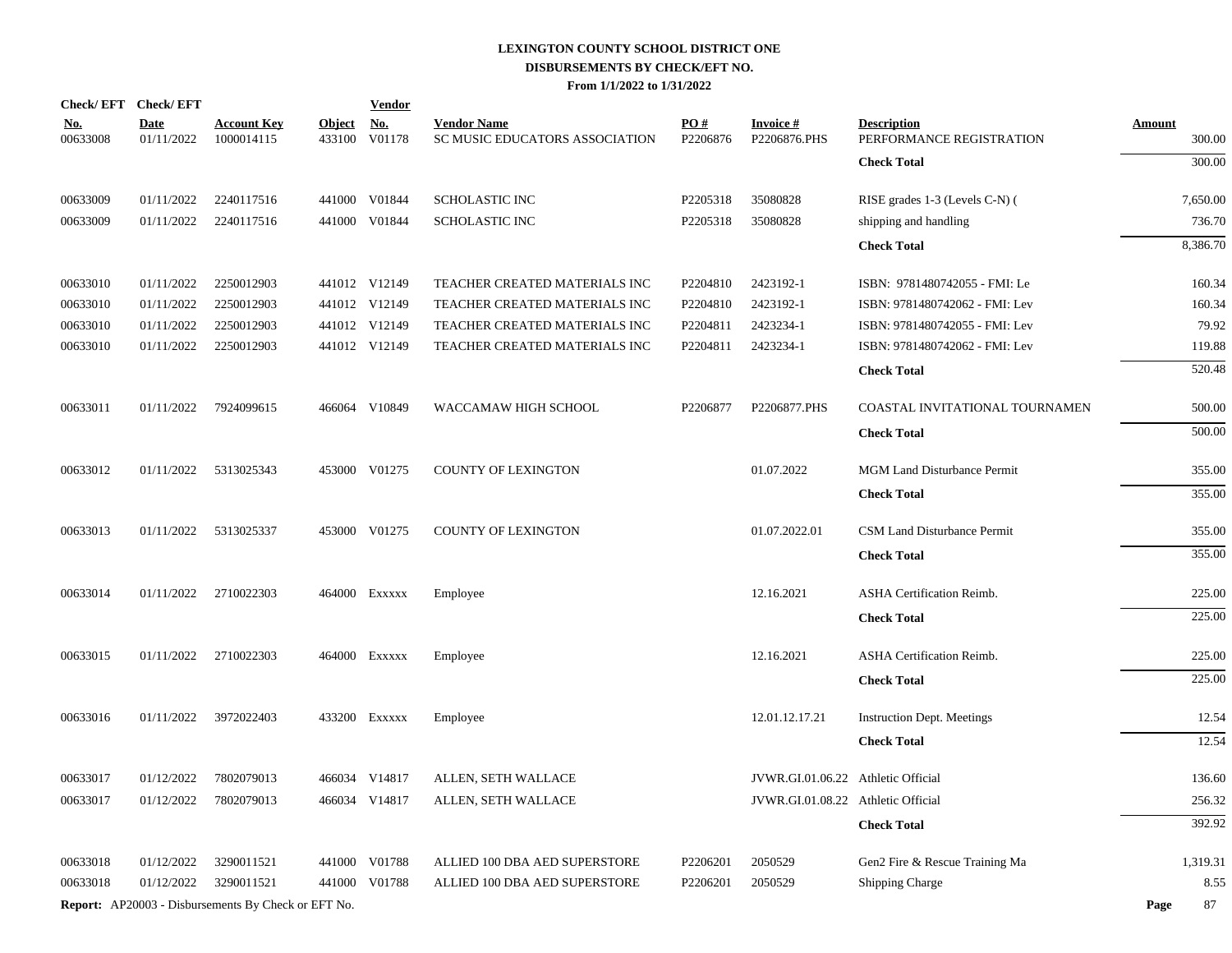| Check/EFT Check/EFT    |                           |                                                            |                         | <b>Vendor</b>                         |                                                      |                 |                                    |                                                |                         |
|------------------------|---------------------------|------------------------------------------------------------|-------------------------|---------------------------------------|------------------------------------------------------|-----------------|------------------------------------|------------------------------------------------|-------------------------|
| <u>No.</u><br>00633008 | <b>Date</b><br>01/11/2022 | <b>Account Key</b><br>1000014115                           | <b>Object</b><br>433100 | $\underline{\mathrm{No}}$ .<br>V01178 | <b>Vendor Name</b><br>SC MUSIC EDUCATORS ASSOCIATION | PO#<br>P2206876 | <b>Invoice#</b><br>P2206876.PHS    | <b>Description</b><br>PERFORMANCE REGISTRATION | <b>Amount</b><br>300.00 |
|                        |                           |                                                            |                         |                                       |                                                      |                 |                                    | <b>Check Total</b>                             | 300.00                  |
| 00633009               | 01/11/2022                | 2240117516                                                 |                         | 441000 V01844                         | <b>SCHOLASTIC INC</b>                                | P2205318        | 35080828                           | RISE grades 1-3 (Levels C-N) (                 | 7,650.00                |
| 00633009               | 01/11/2022                | 2240117516                                                 |                         | 441000 V01844                         | <b>SCHOLASTIC INC</b>                                | P2205318        | 35080828                           | shipping and handling                          | 736.70                  |
|                        |                           |                                                            |                         |                                       |                                                      |                 |                                    | <b>Check Total</b>                             | 8,386.70                |
| 00633010               | 01/11/2022                | 2250012903                                                 |                         | 441012 V12149                         | TEACHER CREATED MATERIALS INC                        | P2204810        | 2423192-1                          | ISBN: 9781480742055 - FMI: Le                  | 160.34                  |
| 00633010               | 01/11/2022                | 2250012903                                                 |                         | 441012 V12149                         | TEACHER CREATED MATERIALS INC                        | P2204810        | 2423192-1                          | ISBN: 9781480742062 - FMI: Lev                 | 160.34                  |
| 00633010               | 01/11/2022                | 2250012903                                                 |                         | 441012 V12149                         | TEACHER CREATED MATERIALS INC                        | P2204811        | 2423234-1                          | ISBN: 9781480742055 - FMI: Lev                 | 79.92                   |
| 00633010               | 01/11/2022                | 2250012903                                                 |                         | 441012 V12149                         | TEACHER CREATED MATERIALS INC                        | P2204811        | 2423234-1                          | ISBN: 9781480742062 - FMI: Lev                 | 119.88                  |
|                        |                           |                                                            |                         |                                       |                                                      |                 |                                    | <b>Check Total</b>                             | 520.48                  |
| 00633011               | 01/11/2022                | 7924099615                                                 |                         | 466064 V10849                         | WACCAMAW HIGH SCHOOL                                 | P2206877        | P2206877.PHS                       | COASTAL INVITATIONAL TOURNAMEN                 | 500.00                  |
|                        |                           |                                                            |                         |                                       |                                                      |                 |                                    | <b>Check Total</b>                             | 500.00                  |
| 00633012               | 01/11/2022                | 5313025343                                                 |                         | 453000 V01275                         | <b>COUNTY OF LEXINGTON</b>                           |                 | 01.07.2022                         | MGM Land Disturbance Permit                    | 355.00                  |
|                        |                           |                                                            |                         |                                       |                                                      |                 |                                    | <b>Check Total</b>                             | 355.00                  |
| 00633013               | 01/11/2022                | 5313025337                                                 |                         | 453000 V01275                         | <b>COUNTY OF LEXINGTON</b>                           |                 | 01.07.2022.01                      | <b>CSM Land Disturbance Permit</b>             | 355.00                  |
|                        |                           |                                                            |                         |                                       |                                                      |                 |                                    | <b>Check Total</b>                             | 355.00                  |
| 00633014               | 01/11/2022                | 2710022303                                                 |                         | 464000 Exxxxx                         | Employee                                             |                 | 12.16.2021                         | ASHA Certification Reimb.                      | 225.00                  |
|                        |                           |                                                            |                         |                                       |                                                      |                 |                                    | <b>Check Total</b>                             | 225.00                  |
| 00633015               | 01/11/2022                | 2710022303                                                 |                         | 464000 Exxxxx                         | Employee                                             |                 | 12.16.2021                         | ASHA Certification Reimb.                      | 225.00                  |
|                        |                           |                                                            |                         |                                       |                                                      |                 |                                    | <b>Check Total</b>                             | 225.00                  |
| 00633016               | 01/11/2022                | 3972022403                                                 |                         | 433200 EXXXXX                         | Employee                                             |                 | 12.01.12.17.21                     | <b>Instruction Dept. Meetings</b>              | 12.54                   |
|                        |                           |                                                            |                         |                                       |                                                      |                 |                                    | <b>Check Total</b>                             | 12.54                   |
| 00633017               | 01/12/2022                | 7802079013                                                 |                         | 466034 V14817                         | ALLEN, SETH WALLACE                                  |                 | JVWR.GI.01.06.22 Athletic Official |                                                | 136.60                  |
| 00633017               | 01/12/2022                | 7802079013                                                 |                         | 466034 V14817                         | ALLEN, SETH WALLACE                                  |                 | JVWR.GI.01.08.22 Athletic Official |                                                | 256.32                  |
|                        |                           |                                                            |                         |                                       |                                                      |                 |                                    | <b>Check Total</b>                             | 392.92                  |
| 00633018               | 01/12/2022                | 3290011521                                                 |                         | 441000 V01788                         | ALLIED 100 DBA AED SUPERSTORE                        | P2206201        | 2050529                            | Gen2 Fire & Rescue Training Ma                 | 1,319.31                |
| 00633018               | 01/12/2022                | 3290011521                                                 |                         | 441000 V01788                         | ALLIED 100 DBA AED SUPERSTORE                        | P2206201        | 2050529                            | <b>Shipping Charge</b>                         | 8.55                    |
|                        |                           | <b>Report:</b> AP20003 - Disbursements By Check or EFT No. |                         |                                       |                                                      |                 |                                    |                                                | 87<br>Page              |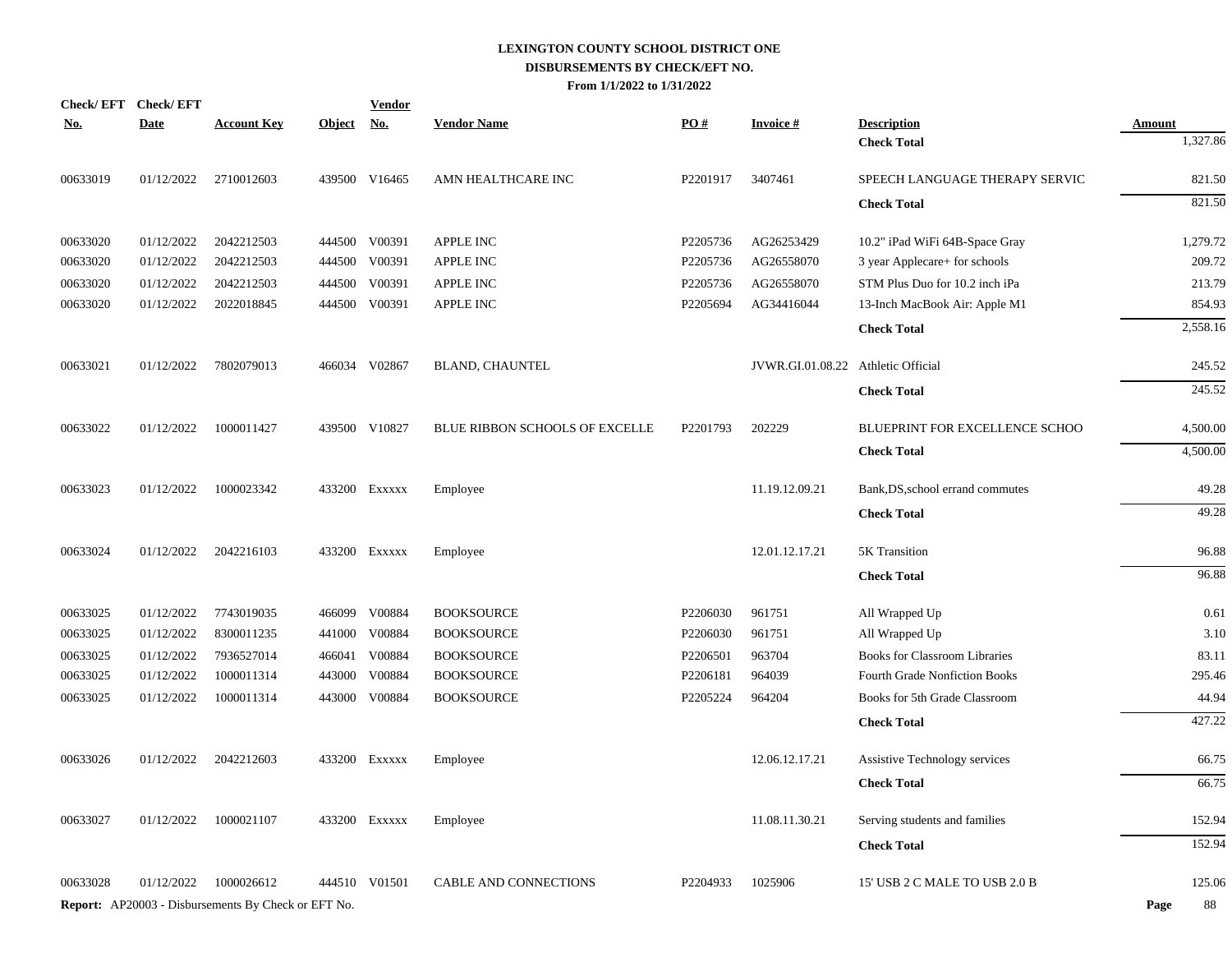|            | Check/EFT Check/EFT |                                                     |               | <b>Vendor</b> |                                |                   |                  |                                      |            |
|------------|---------------------|-----------------------------------------------------|---------------|---------------|--------------------------------|-------------------|------------------|--------------------------------------|------------|
| <u>No.</u> | <b>Date</b>         | <b>Account Key</b>                                  | <u>Object</u> | <u>No.</u>    | <b>Vendor Name</b>             | $\underline{PO#}$ | <b>Invoice#</b>  | <b>Description</b>                   | Amount     |
|            |                     |                                                     |               |               |                                |                   |                  | <b>Check Total</b>                   | 1,327.86   |
| 00633019   | 01/12/2022          | 2710012603                                          |               | 439500 V16465 | AMN HEALTHCARE INC             | P2201917          | 3407461          | SPEECH LANGUAGE THERAPY SERVIC       | 821.50     |
|            |                     |                                                     |               |               |                                |                   |                  | <b>Check Total</b>                   | 821.50     |
| 00633020   | 01/12/2022          | 2042212503                                          |               | 444500 V00391 | <b>APPLE INC</b>               | P2205736          | AG26253429       | 10.2" iPad WiFi 64B-Space Gray       | 1,279.72   |
| 00633020   | 01/12/2022          | 2042212503                                          | 444500        | V00391        | APPLE INC                      | P2205736          | AG26558070       | 3 year Applecare+ for schools        | 209.72     |
| 00633020   | 01/12/2022          | 2042212503                                          | 444500        | V00391        | APPLE INC                      | P2205736          | AG26558070       | STM Plus Duo for 10.2 inch iPa       | 213.79     |
| 00633020   | 01/12/2022          | 2022018845                                          | 444500        | V00391        | APPLE INC                      | P2205694          | AG34416044       | 13-Inch MacBook Air: Apple M1        | 854.93     |
|            |                     |                                                     |               |               |                                |                   |                  | <b>Check Total</b>                   | 2,558.16   |
| 00633021   | 01/12/2022          | 7802079013                                          |               | 466034 V02867 | <b>BLAND, CHAUNTEL</b>         |                   | JVWR.GI.01.08.22 | Athletic Official                    | 245.52     |
|            |                     |                                                     |               |               |                                |                   |                  | <b>Check Total</b>                   | 245.52     |
| 00633022   | 01/12/2022          | 1000011427                                          |               | 439500 V10827 | BLUE RIBBON SCHOOLS OF EXCELLE | P2201793          | 202229           | BLUEPRINT FOR EXCELLENCE SCHOO       | 4,500.00   |
|            |                     |                                                     |               |               |                                |                   |                  | <b>Check Total</b>                   | 4,500.00   |
| 00633023   | 01/12/2022          | 1000023342                                          |               | 433200 Exxxxx | Employee                       |                   | 11.19.12.09.21   | Bank, DS, school errand commutes     | 49.28      |
|            |                     |                                                     |               |               |                                |                   |                  | <b>Check Total</b>                   | 49.28      |
| 00633024   | 01/12/2022          | 2042216103                                          |               | 433200 Exxxxx | Employee                       |                   | 12.01.12.17.21   | 5K Transition                        | 96.88      |
|            |                     |                                                     |               |               |                                |                   |                  | <b>Check Total</b>                   | 96.88      |
| 00633025   | 01/12/2022          | 7743019035                                          | 466099        | V00884        | <b>BOOKSOURCE</b>              | P2206030          | 961751           | All Wrapped Up                       | 0.61       |
| 00633025   | 01/12/2022          | 8300011235                                          | 441000        | V00884        | <b>BOOKSOURCE</b>              | P2206030          | 961751           | All Wrapped Up                       | 3.10       |
| 00633025   | 01/12/2022          | 7936527014                                          | 466041        | V00884        | <b>BOOKSOURCE</b>              | P2206501          | 963704           | <b>Books for Classroom Libraries</b> | 83.11      |
| 00633025   | 01/12/2022          | 1000011314                                          | 443000        | V00884        | <b>BOOKSOURCE</b>              | P2206181          | 964039           | Fourth Grade Nonfiction Books        | 295.46     |
| 00633025   | 01/12/2022          | 1000011314                                          |               | 443000 V00884 | <b>BOOKSOURCE</b>              | P2205224          | 964204           | Books for 5th Grade Classroom        | 44.94      |
|            |                     |                                                     |               |               |                                |                   |                  | <b>Check Total</b>                   | 427.22     |
| 00633026   | 01/12/2022          | 2042212603                                          |               | 433200 Exxxxx | Employee                       |                   | 12.06.12.17.21   | Assistive Technology services        | 66.75      |
|            |                     |                                                     |               |               |                                |                   |                  | <b>Check Total</b>                   | 66.75      |
| 00633027   | 01/12/2022          | 1000021107                                          |               | 433200 Exxxxx | Employee                       |                   | 11.08.11.30.21   | Serving students and families        | 152.94     |
|            |                     |                                                     |               |               |                                |                   |                  | <b>Check Total</b>                   | 152.94     |
| 00633028   | 01/12/2022          | 1000026612                                          |               | 444510 V01501 | CABLE AND CONNECTIONS          | P2204933          | 1025906          | 15' USB 2 C MALE TO USB 2.0 B        | 125.06     |
|            |                     | Report: AP20003 - Disbursements By Check or EFT No. |               |               |                                |                   |                  |                                      | 88<br>Page |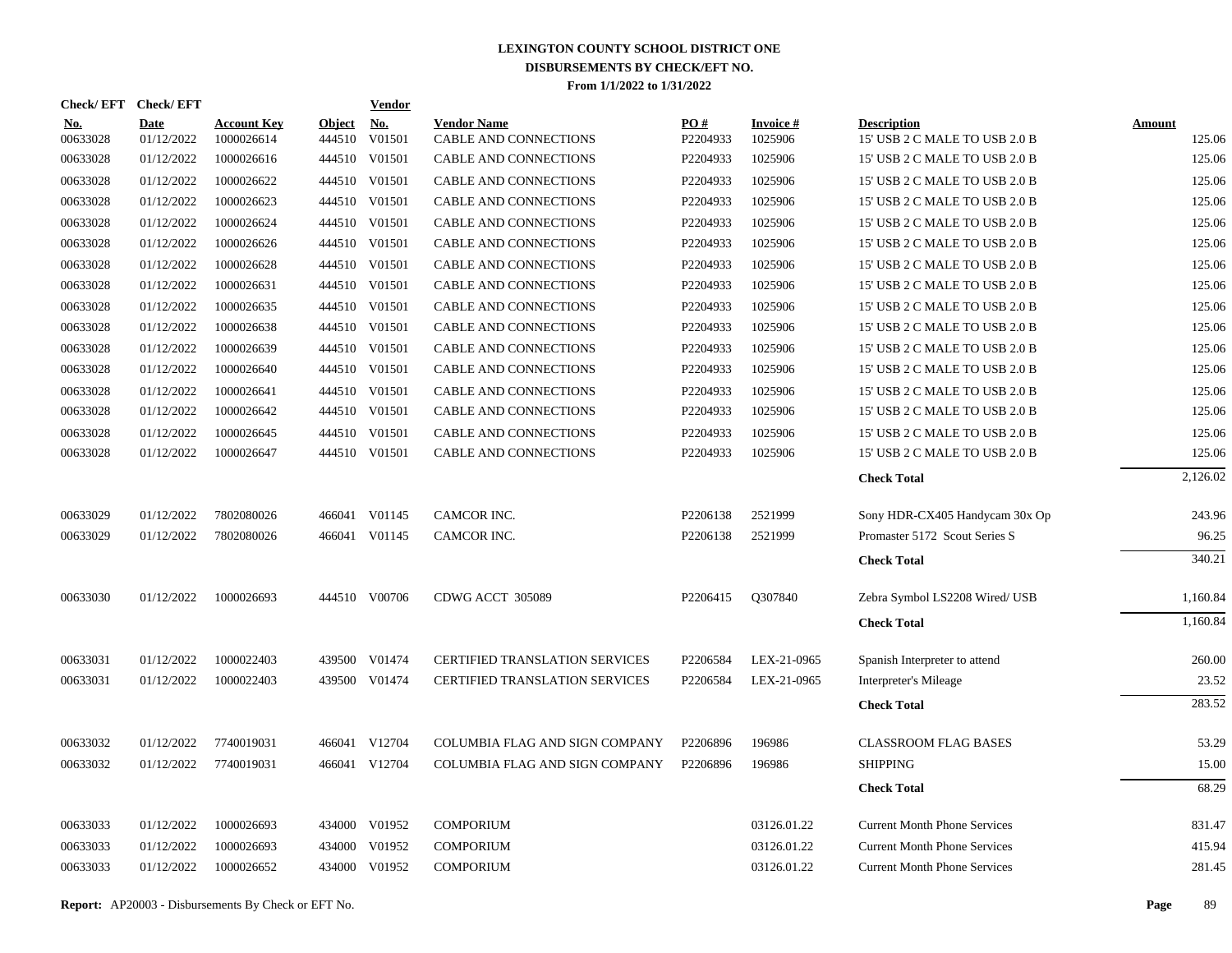| Check/EFT Check/EFT    |                           |                                  |                         | Vendor               |                                             |                 |                            |                                                     |                  |
|------------------------|---------------------------|----------------------------------|-------------------------|----------------------|---------------------------------------------|-----------------|----------------------------|-----------------------------------------------------|------------------|
| <u>No.</u><br>00633028 | <b>Date</b><br>01/12/2022 | <b>Account Key</b><br>1000026614 | <b>Object</b><br>444510 | <u>No.</u><br>V01501 | <b>Vendor Name</b><br>CABLE AND CONNECTIONS | PO#<br>P2204933 | <b>Invoice#</b><br>1025906 | <b>Description</b><br>15' USB 2 C MALE TO USB 2.0 B | Amount<br>125.06 |
| 00633028               | 01/12/2022                | 1000026616                       |                         | 444510 V01501        | CABLE AND CONNECTIONS                       | P2204933        | 1025906                    | 15' USB 2 C MALE TO USB 2.0 B                       | 125.06           |
| 00633028               | 01/12/2022                | 1000026622                       |                         | 444510 V01501        | CABLE AND CONNECTIONS                       | P2204933        | 1025906                    | 15' USB 2 C MALE TO USB 2.0 B                       | 125.06           |
| 00633028               | 01/12/2022                | 1000026623                       |                         | 444510 V01501        | CABLE AND CONNECTIONS                       | P2204933        | 1025906                    | 15' USB 2 C MALE TO USB 2.0 B                       | 125.06           |
| 00633028               | 01/12/2022                | 1000026624                       |                         | 444510 V01501        | CABLE AND CONNECTIONS                       | P2204933        | 1025906                    | 15' USB 2 C MALE TO USB 2.0 B                       | 125.06           |
| 00633028               | 01/12/2022                | 1000026626                       |                         | 444510 V01501        | CABLE AND CONNECTIONS                       | P2204933        | 1025906                    | 15' USB 2 C MALE TO USB 2.0 B                       | 125.06           |
| 00633028               | 01/12/2022                | 1000026628                       | 444510                  | V01501               | CABLE AND CONNECTIONS                       | P2204933        | 1025906                    | 15' USB 2 C MALE TO USB 2.0 B                       | 125.06           |
| 00633028               | 01/12/2022                | 1000026631                       |                         | 444510 V01501        | CABLE AND CONNECTIONS                       | P2204933        | 1025906                    | 15' USB 2 C MALE TO USB 2.0 B                       | 125.06           |
| 00633028               | 01/12/2022                | 1000026635                       | 444510                  | V01501               | CABLE AND CONNECTIONS                       | P2204933        | 1025906                    | 15' USB 2 C MALE TO USB 2.0 B                       | 125.06           |
| 00633028               | 01/12/2022                | 1000026638                       |                         | 444510 V01501        | CABLE AND CONNECTIONS                       | P2204933        | 1025906                    | 15' USB 2 C MALE TO USB 2.0 B                       | 125.06           |
| 00633028               | 01/12/2022                | 1000026639                       | 444510                  | V01501               | CABLE AND CONNECTIONS                       | P2204933        | 1025906                    | 15' USB 2 C MALE TO USB 2.0 B                       | 125.06           |
| 00633028               | 01/12/2022                | 1000026640                       |                         | 444510 V01501        | CABLE AND CONNECTIONS                       | P2204933        | 1025906                    | 15' USB 2 C MALE TO USB 2.0 B                       | 125.06           |
| 00633028               | 01/12/2022                | 1000026641                       |                         | 444510 V01501        | CABLE AND CONNECTIONS                       | P2204933        | 1025906                    | 15' USB 2 C MALE TO USB 2.0 B                       | 125.06           |
| 00633028               | 01/12/2022                | 1000026642                       |                         | 444510 V01501        | CABLE AND CONNECTIONS                       | P2204933        | 1025906                    | 15' USB 2 C MALE TO USB 2.0 B                       | 125.06           |
| 00633028               | 01/12/2022                | 1000026645                       |                         | 444510 V01501        | CABLE AND CONNECTIONS                       | P2204933        | 1025906                    | 15' USB 2 C MALE TO USB 2.0 B                       | 125.06           |
| 00633028               | 01/12/2022                | 1000026647                       |                         | 444510 V01501        | <b>CABLE AND CONNECTIONS</b>                | P2204933        | 1025906                    | 15' USB 2 C MALE TO USB 2.0 B                       | 125.06           |
|                        |                           |                                  |                         |                      |                                             |                 |                            | <b>Check Total</b>                                  | 2,126.02         |
| 00633029               | 01/12/2022                | 7802080026                       | 466041                  | V01145               | CAMCOR INC.                                 | P2206138        | 2521999                    | Sony HDR-CX405 Handycam 30x Op                      | 243.96           |
| 00633029               | 01/12/2022                | 7802080026                       |                         | 466041 V01145        | CAMCOR INC.                                 | P2206138        | 2521999                    | Promaster 5172 Scout Series S                       | 96.25            |
|                        |                           |                                  |                         |                      |                                             |                 |                            | <b>Check Total</b>                                  | 340.21           |
| 00633030               | 01/12/2022                | 1000026693                       |                         | 444510 V00706        | CDWG ACCT 305089                            | P2206415        | Q307840                    | Zebra Symbol LS2208 Wired/ USB                      | 1,160.84         |
|                        |                           |                                  |                         |                      |                                             |                 |                            | <b>Check Total</b>                                  | 1,160.84         |
| 00633031               | 01/12/2022                | 1000022403                       |                         | 439500 V01474        | <b>CERTIFIED TRANSLATION SERVICES</b>       | P2206584        | LEX-21-0965                | Spanish Interpreter to attend                       | 260.00           |
| 00633031               | 01/12/2022                | 1000022403                       |                         | 439500 V01474        | <b>CERTIFIED TRANSLATION SERVICES</b>       | P2206584        | LEX-21-0965                | Interpreter's Mileage                               | 23.52            |
|                        |                           |                                  |                         |                      |                                             |                 |                            | <b>Check Total</b>                                  | 283.52           |
| 00633032               | 01/12/2022                | 7740019031                       |                         | 466041 V12704        | COLUMBIA FLAG AND SIGN COMPANY              | P2206896        | 196986                     | <b>CLASSROOM FLAG BASES</b>                         | 53.29            |
| 00633032               | 01/12/2022                | 7740019031                       |                         | 466041 V12704        | COLUMBIA FLAG AND SIGN COMPANY              | P2206896        | 196986                     | <b>SHIPPING</b>                                     | 15.00            |
|                        |                           |                                  |                         |                      |                                             |                 |                            | <b>Check Total</b>                                  | 68.29            |
| 00633033               | 01/12/2022                | 1000026693                       |                         | 434000 V01952        | <b>COMPORIUM</b>                            |                 | 03126.01.22                | <b>Current Month Phone Services</b>                 | 831.47           |
| 00633033               | 01/12/2022                | 1000026693                       | 434000                  | V01952               | <b>COMPORIUM</b>                            |                 | 03126.01.22                | <b>Current Month Phone Services</b>                 | 415.94           |
| 00633033               | 01/12/2022                | 1000026652                       |                         | 434000 V01952        | <b>COMPORIUM</b>                            |                 | 03126.01.22                | <b>Current Month Phone Services</b>                 | 281.45           |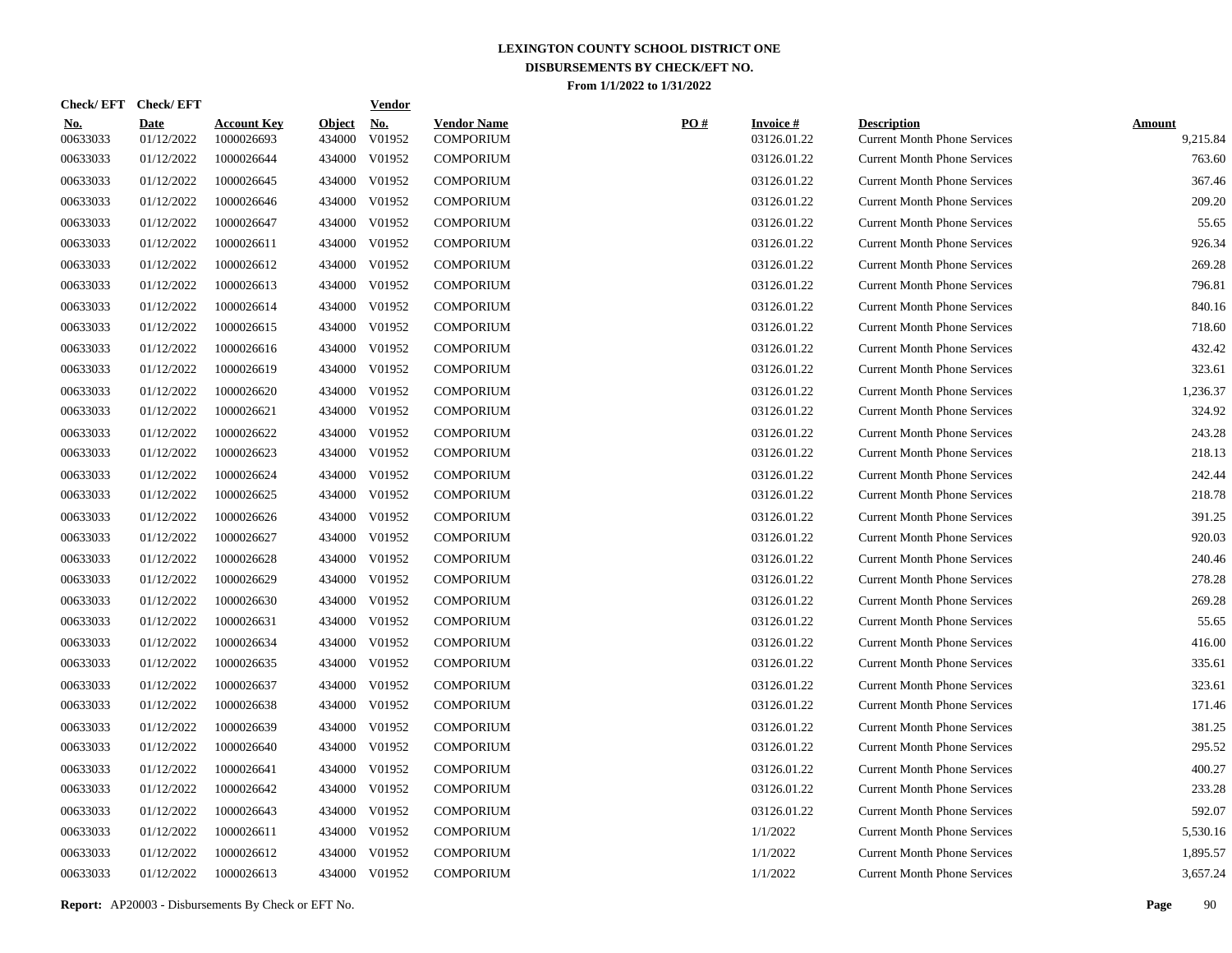| Check/EFT Check/EFT    |                           |                                  |                         | <u>Vendor</u>        |                                        |     |                                |                                                           |                           |
|------------------------|---------------------------|----------------------------------|-------------------------|----------------------|----------------------------------------|-----|--------------------------------|-----------------------------------------------------------|---------------------------|
| <u>No.</u><br>00633033 | <b>Date</b><br>01/12/2022 | <b>Account Key</b><br>1000026693 | <b>Object</b><br>434000 | <u>No.</u><br>V01952 | <b>Vendor Name</b><br><b>COMPORIUM</b> | PO# | <b>Invoice#</b><br>03126.01.22 | <b>Description</b><br><b>Current Month Phone Services</b> | <b>Amount</b><br>9,215.84 |
| 00633033               | 01/12/2022                | 1000026644                       |                         | 434000 V01952        | <b>COMPORIUM</b>                       |     | 03126.01.22                    | <b>Current Month Phone Services</b>                       | 763.60                    |
| 00633033               | 01/12/2022                | 1000026645                       |                         | 434000 V01952        | <b>COMPORIUM</b>                       |     | 03126.01.22                    | <b>Current Month Phone Services</b>                       | 367.46                    |
| 00633033               | 01/12/2022                | 1000026646                       |                         | 434000 V01952        | <b>COMPORIUM</b>                       |     | 03126.01.22                    | <b>Current Month Phone Services</b>                       | 209.20                    |
| 00633033               | 01/12/2022                | 1000026647                       |                         | 434000 V01952        | <b>COMPORIUM</b>                       |     | 03126.01.22                    | <b>Current Month Phone Services</b>                       | 55.65                     |
| 00633033               | 01/12/2022                | 1000026611                       |                         | 434000 V01952        | <b>COMPORIUM</b>                       |     | 03126.01.22                    | <b>Current Month Phone Services</b>                       | 926.34                    |
| 00633033               | 01/12/2022                | 1000026612                       |                         | 434000 V01952        | <b>COMPORIUM</b>                       |     | 03126.01.22                    | <b>Current Month Phone Services</b>                       | 269.28                    |
| 00633033               | 01/12/2022                | 1000026613                       |                         | 434000 V01952        | <b>COMPORIUM</b>                       |     | 03126.01.22                    | <b>Current Month Phone Services</b>                       | 796.81                    |
| 00633033               | 01/12/2022                | 1000026614                       |                         | 434000 V01952        | <b>COMPORIUM</b>                       |     | 03126.01.22                    | <b>Current Month Phone Services</b>                       | 840.16                    |
| 00633033               | 01/12/2022                | 1000026615                       |                         | 434000 V01952        | <b>COMPORIUM</b>                       |     | 03126.01.22                    | <b>Current Month Phone Services</b>                       | 718.60                    |
| 00633033               | 01/12/2022                | 1000026616                       |                         | 434000 V01952        | <b>COMPORIUM</b>                       |     | 03126.01.22                    | <b>Current Month Phone Services</b>                       | 432.42                    |
| 00633033               | 01/12/2022                | 1000026619                       |                         | 434000 V01952        | <b>COMPORIUM</b>                       |     | 03126.01.22                    | <b>Current Month Phone Services</b>                       | 323.61                    |
| 00633033               | 01/12/2022                | 1000026620                       |                         | 434000 V01952        | <b>COMPORIUM</b>                       |     | 03126.01.22                    | <b>Current Month Phone Services</b>                       | 1,236.37                  |
| 00633033               | 01/12/2022                | 1000026621                       |                         | 434000 V01952        | <b>COMPORIUM</b>                       |     | 03126.01.22                    | <b>Current Month Phone Services</b>                       | 324.92                    |
| 00633033               | 01/12/2022                | 1000026622                       |                         | 434000 V01952        | <b>COMPORIUM</b>                       |     | 03126.01.22                    | <b>Current Month Phone Services</b>                       | 243.28                    |
| 00633033               | 01/12/2022                | 1000026623                       |                         | 434000 V01952        | <b>COMPORIUM</b>                       |     | 03126.01.22                    | <b>Current Month Phone Services</b>                       | 218.13                    |
| 00633033               | 01/12/2022                | 1000026624                       | 434000                  | V01952               | <b>COMPORIUM</b>                       |     | 03126.01.22                    | <b>Current Month Phone Services</b>                       | 242.44                    |
| 00633033               | 01/12/2022                | 1000026625                       |                         | 434000 V01952        | <b>COMPORIUM</b>                       |     | 03126.01.22                    | <b>Current Month Phone Services</b>                       | 218.78                    |
| 00633033               | 01/12/2022                | 1000026626                       |                         | 434000 V01952        | <b>COMPORIUM</b>                       |     | 03126.01.22                    | <b>Current Month Phone Services</b>                       | 391.25                    |
| 00633033               | 01/12/2022                | 1000026627                       |                         | 434000 V01952        | <b>COMPORIUM</b>                       |     | 03126.01.22                    | <b>Current Month Phone Services</b>                       | 920.03                    |
| 00633033               | 01/12/2022                | 1000026628                       |                         | 434000 V01952        | <b>COMPORIUM</b>                       |     | 03126.01.22                    | <b>Current Month Phone Services</b>                       | 240.46                    |
| 00633033               | 01/12/2022                | 1000026629                       |                         | 434000 V01952        | <b>COMPORIUM</b>                       |     | 03126.01.22                    | <b>Current Month Phone Services</b>                       | 278.28                    |
| 00633033               | 01/12/2022                | 1000026630                       |                         | 434000 V01952        | <b>COMPORIUM</b>                       |     | 03126.01.22                    | <b>Current Month Phone Services</b>                       | 269.28                    |
| 00633033               | 01/12/2022                | 1000026631                       |                         | 434000 V01952        | <b>COMPORIUM</b>                       |     | 03126.01.22                    | <b>Current Month Phone Services</b>                       | 55.65                     |
| 00633033               | 01/12/2022                | 1000026634                       |                         | 434000 V01952        | <b>COMPORIUM</b>                       |     | 03126.01.22                    | <b>Current Month Phone Services</b>                       | 416.00                    |
| 00633033               | 01/12/2022                | 1000026635                       |                         | 434000 V01952        | <b>COMPORIUM</b>                       |     | 03126.01.22                    | <b>Current Month Phone Services</b>                       | 335.61                    |
| 00633033               | 01/12/2022                | 1000026637                       |                         | 434000 V01952        | <b>COMPORIUM</b>                       |     | 03126.01.22                    | <b>Current Month Phone Services</b>                       | 323.61                    |
| 00633033               | 01/12/2022                | 1000026638                       |                         | 434000 V01952        | <b>COMPORIUM</b>                       |     | 03126.01.22                    | <b>Current Month Phone Services</b>                       | 171.46                    |
| 00633033               | 01/12/2022                | 1000026639                       |                         | 434000 V01952        | <b>COMPORIUM</b>                       |     | 03126.01.22                    | <b>Current Month Phone Services</b>                       | 381.25                    |
| 00633033               | 01/12/2022                | 1000026640                       |                         | 434000 V01952        | <b>COMPORIUM</b>                       |     | 03126.01.22                    | <b>Current Month Phone Services</b>                       | 295.52                    |
| 00633033               | 01/12/2022                | 1000026641                       |                         | 434000 V01952        | <b>COMPORIUM</b>                       |     | 03126.01.22                    | <b>Current Month Phone Services</b>                       | 400.27                    |
| 00633033               | 01/12/2022                | 1000026642                       |                         | 434000 V01952        | <b>COMPORIUM</b>                       |     | 03126.01.22                    | <b>Current Month Phone Services</b>                       | 233.28                    |
| 00633033               | 01/12/2022                | 1000026643                       |                         | 434000 V01952        | <b>COMPORIUM</b>                       |     | 03126.01.22                    | <b>Current Month Phone Services</b>                       | 592.07                    |
| 00633033               | 01/12/2022                | 1000026611                       |                         | 434000 V01952        | <b>COMPORIUM</b>                       |     | 1/1/2022                       | <b>Current Month Phone Services</b>                       | 5,530.16                  |
| 00633033               | 01/12/2022                | 1000026612                       |                         | 434000 V01952        | <b>COMPORIUM</b>                       |     | 1/1/2022                       | <b>Current Month Phone Services</b>                       | 1,895.57                  |
| 00633033               | 01/12/2022                | 1000026613                       |                         | 434000 V01952        | <b>COMPORIUM</b>                       |     | 1/1/2022                       | <b>Current Month Phone Services</b>                       | 3,657.24                  |

| <b>Invoice#</b> | <b>Description</b>                  | <u>Amount</u> |
|-----------------|-------------------------------------|---------------|
| 03126.01.22     | <b>Current Month Phone Services</b> | 9,215.84      |
| 03126.01.22     | <b>Current Month Phone Services</b> | 763.60        |
| 03126.01.22     | <b>Current Month Phone Services</b> | 367.46        |
| 03126.01.22     | <b>Current Month Phone Services</b> | 209.20        |
| 03126.01.22     | <b>Current Month Phone Services</b> | 55.65         |
| 03126.01.22     | <b>Current Month Phone Services</b> | 926.34        |
| 03126.01.22     | <b>Current Month Phone Services</b> | 269.28        |
| 03126.01.22     | <b>Current Month Phone Services</b> | 796.81        |
| 03126.01.22     | <b>Current Month Phone Services</b> | 840.16        |
| 03126.01.22     | <b>Current Month Phone Services</b> | 718.60        |
| 03126.01.22     | <b>Current Month Phone Services</b> | 432.42        |
| 03126.01.22     | <b>Current Month Phone Services</b> | 323.61        |
| 03126.01.22     | <b>Current Month Phone Services</b> | 1,236.37      |
| 03126.01.22     | <b>Current Month Phone Services</b> | 324.92        |
| 03126.01.22     | <b>Current Month Phone Services</b> | 243.28        |
| 03126.01.22     | <b>Current Month Phone Services</b> | 218.13        |
| 03126.01.22     | <b>Current Month Phone Services</b> | 242.44        |
| 03126.01.22     | <b>Current Month Phone Services</b> | 218.78        |
| 03126.01.22     | <b>Current Month Phone Services</b> | 391.25        |
| 03126.01.22     | <b>Current Month Phone Services</b> | 920.03        |
| 03126.01.22     | <b>Current Month Phone Services</b> | 240.46        |
| 03126.01.22     | <b>Current Month Phone Services</b> | 278.28        |
| 03126.01.22     | <b>Current Month Phone Services</b> | 269.28        |
| 03126.01.22     | <b>Current Month Phone Services</b> | 55.65         |
| 03126.01.22     | <b>Current Month Phone Services</b> | 416.00        |
| 03126.01.22     | <b>Current Month Phone Services</b> | 335.61        |
| 03126.01.22     | <b>Current Month Phone Services</b> | 323.61        |
| 03126.01.22     | <b>Current Month Phone Services</b> | 171.46        |
| 03126.01.22     | <b>Current Month Phone Services</b> | 381.25        |
| 03126.01.22     | <b>Current Month Phone Services</b> | 295.52        |
| 03126.01.22     | <b>Current Month Phone Services</b> | 400.27        |
| 03126.01.22     | <b>Current Month Phone Services</b> | 233.28        |
| 03126.01.22     | <b>Current Month Phone Services</b> | 592.07        |
| 1/1/2022        | <b>Current Month Phone Services</b> | 5,530.16      |
| 1/1/2022        | <b>Current Month Phone Services</b> | 1,895.57      |
| 1/1/2022        | <b>Current Month Phone Services</b> | 3,657.24      |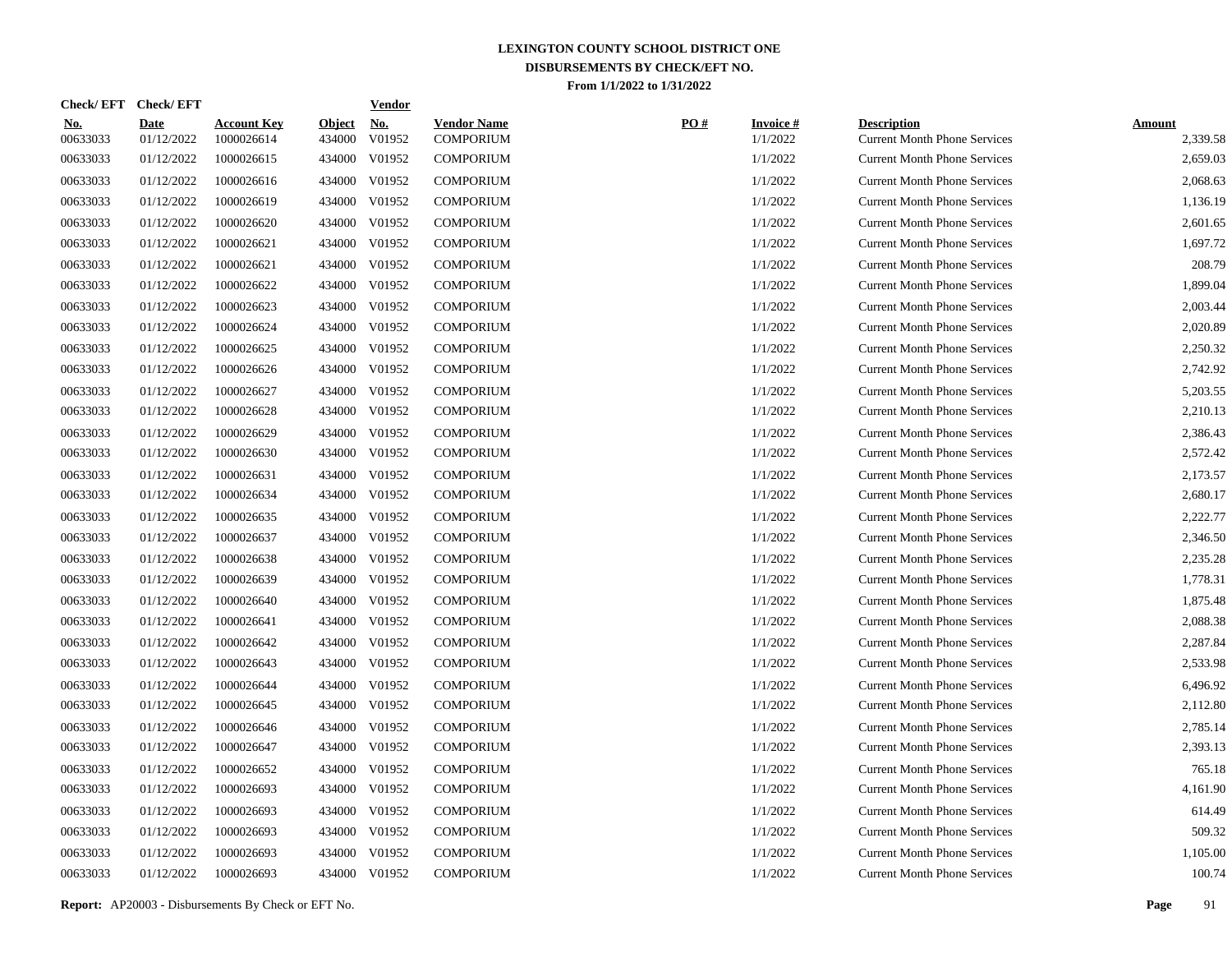| <b>Check/EFT</b>       | <b>Check/EFT</b>          |                                  |                         | <b>Vendor</b> |                                        |     |                             |                                                           |                           |
|------------------------|---------------------------|----------------------------------|-------------------------|---------------|----------------------------------------|-----|-----------------------------|-----------------------------------------------------------|---------------------------|
| <u>No.</u><br>00633033 | <b>Date</b><br>01/12/2022 | <b>Account Key</b><br>1000026614 | <b>Object</b><br>434000 | No.<br>V01952 | <b>Vendor Name</b><br><b>COMPORIUM</b> | PO# | <b>Invoice#</b><br>1/1/2022 | <b>Description</b><br><b>Current Month Phone Services</b> | <b>Amount</b><br>2,339.58 |
| 00633033               | 01/12/2022                | 1000026615                       | 434000                  | V01952        | <b>COMPORIUM</b>                       |     | 1/1/2022                    | <b>Current Month Phone Services</b>                       | 2,659.03                  |
| 00633033               | 01/12/2022                | 1000026616                       | 434000                  | V01952        | <b>COMPORIUM</b>                       |     | 1/1/2022                    | <b>Current Month Phone Services</b>                       | 2,068.63                  |
| 00633033               | 01/12/2022                | 1000026619                       | 434000                  | V01952        | <b>COMPORIUM</b>                       |     | 1/1/2022                    | <b>Current Month Phone Services</b>                       | 1,136.19                  |
| 00633033               | 01/12/2022                | 1000026620                       | 434000                  | V01952        | <b>COMPORIUM</b>                       |     | 1/1/2022                    | <b>Current Month Phone Services</b>                       | 2,601.65                  |
| 00633033               | 01/12/2022                | 1000026621                       | 434000                  | V01952        | <b>COMPORIUM</b>                       |     | 1/1/2022                    | <b>Current Month Phone Services</b>                       | 1,697.72                  |
| 00633033               | 01/12/2022                | 1000026621                       | 434000                  | V01952        | <b>COMPORIUM</b>                       |     | 1/1/2022                    | <b>Current Month Phone Services</b>                       | 208.79                    |
| 00633033               | 01/12/2022                | 1000026622                       | 434000                  | V01952        | <b>COMPORIUM</b>                       |     | 1/1/2022                    | <b>Current Month Phone Services</b>                       | 1,899.04                  |
| 00633033               | 01/12/2022                | 1000026623                       |                         | 434000 V01952 | <b>COMPORIUM</b>                       |     | 1/1/2022                    | <b>Current Month Phone Services</b>                       | 2,003.44                  |
| 00633033               | 01/12/2022                | 1000026624                       | 434000                  | V01952        | <b>COMPORIUM</b>                       |     | 1/1/2022                    | <b>Current Month Phone Services</b>                       | 2,020.89                  |
| 00633033               | 01/12/2022                | 1000026625                       |                         | 434000 V01952 | <b>COMPORIUM</b>                       |     | 1/1/2022                    | <b>Current Month Phone Services</b>                       | 2,250.32                  |
| 00633033               | 01/12/2022                | 1000026626                       | 434000                  | V01952        | <b>COMPORIUM</b>                       |     | 1/1/2022                    | <b>Current Month Phone Services</b>                       | 2,742.92                  |
| 00633033               | 01/12/2022                | 1000026627                       |                         | 434000 V01952 | <b>COMPORIUM</b>                       |     | 1/1/2022                    | <b>Current Month Phone Services</b>                       | 5,203.55                  |
| 00633033               | 01/12/2022                | 1000026628                       |                         | 434000 V01952 | <b>COMPORIUM</b>                       |     | 1/1/2022                    | <b>Current Month Phone Services</b>                       | 2,210.13                  |
| 00633033               | 01/12/2022                | 1000026629                       |                         | 434000 V01952 | <b>COMPORIUM</b>                       |     | 1/1/2022                    | <b>Current Month Phone Services</b>                       | 2,386.43                  |
| 00633033               | 01/12/2022                | 1000026630                       |                         | 434000 V01952 | <b>COMPORIUM</b>                       |     | 1/1/2022                    | <b>Current Month Phone Services</b>                       | 2,572.42                  |
| 00633033               | 01/12/2022                | 1000026631                       | 434000                  | V01952        | <b>COMPORIUM</b>                       |     | 1/1/2022                    | <b>Current Month Phone Services</b>                       | 2,173.57                  |
| 00633033               | 01/12/2022                | 1000026634                       |                         | 434000 V01952 | <b>COMPORIUM</b>                       |     | 1/1/2022                    | <b>Current Month Phone Services</b>                       | 2,680.17                  |
| 00633033               | 01/12/2022                | 1000026635                       |                         | 434000 V01952 | <b>COMPORIUM</b>                       |     | 1/1/2022                    | <b>Current Month Phone Services</b>                       | 2,222.77                  |
| 00633033               | 01/12/2022                | 1000026637                       |                         | 434000 V01952 | <b>COMPORIUM</b>                       |     | 1/1/2022                    | <b>Current Month Phone Services</b>                       | 2,346.50                  |
| 00633033               | 01/12/2022                | 1000026638                       | 434000                  | V01952        | <b>COMPORIUM</b>                       |     | 1/1/2022                    | <b>Current Month Phone Services</b>                       | 2,235.28                  |
| 00633033               | 01/12/2022                | 1000026639                       |                         | 434000 V01952 | <b>COMPORIUM</b>                       |     | 1/1/2022                    | <b>Current Month Phone Services</b>                       | 1,778.31                  |
| 00633033               | 01/12/2022                | 1000026640                       | 434000                  | V01952        | <b>COMPORIUM</b>                       |     | 1/1/2022                    | <b>Current Month Phone Services</b>                       | 1,875.48                  |
| 00633033               | 01/12/2022                | 1000026641                       |                         | 434000 V01952 | <b>COMPORIUM</b>                       |     | 1/1/2022                    | <b>Current Month Phone Services</b>                       | 2,088.38                  |
| 00633033               | 01/12/2022                | 1000026642                       | 434000                  | V01952        | <b>COMPORIUM</b>                       |     | 1/1/2022                    | <b>Current Month Phone Services</b>                       | 2,287.84                  |
| 00633033               | 01/12/2022                | 1000026643                       | 434000                  | V01952        | <b>COMPORIUM</b>                       |     | 1/1/2022                    | <b>Current Month Phone Services</b>                       | 2,533.98                  |
| 00633033               | 01/12/2022                | 1000026644                       | 434000                  | V01952        | <b>COMPORIUM</b>                       |     | 1/1/2022                    | <b>Current Month Phone Services</b>                       | 6,496.92                  |
| 00633033               | 01/12/2022                | 1000026645                       | 434000                  | V01952        | <b>COMPORIUM</b>                       |     | 1/1/2022                    | <b>Current Month Phone Services</b>                       | 2,112.80                  |
| 00633033               | 01/12/2022                | 1000026646                       | 434000                  | V01952        | <b>COMPORIUM</b>                       |     | 1/1/2022                    | <b>Current Month Phone Services</b>                       | 2,785.14                  |
| 00633033               | 01/12/2022                | 1000026647                       | 434000                  | V01952        | <b>COMPORIUM</b>                       |     | 1/1/2022                    | <b>Current Month Phone Services</b>                       | 2,393.13                  |
| 00633033               | 01/12/2022                | 1000026652                       | 434000                  | V01952        | <b>COMPORIUM</b>                       |     | 1/1/2022                    | <b>Current Month Phone Services</b>                       | 765.18                    |
| 00633033               | 01/12/2022                | 1000026693                       | 434000                  | V01952        | <b>COMPORIUM</b>                       |     | 1/1/2022                    | <b>Current Month Phone Services</b>                       | 4,161.90                  |
| 00633033               | 01/12/2022                | 1000026693                       | 434000                  | V01952        | <b>COMPORIUM</b>                       |     | 1/1/2022                    | <b>Current Month Phone Services</b>                       | 614.49                    |
| 00633033               | 01/12/2022                | 1000026693                       | 434000                  | V01952        | <b>COMPORIUM</b>                       |     | 1/1/2022                    | <b>Current Month Phone Services</b>                       | 509.32                    |
| 00633033               | 01/12/2022                | 1000026693                       | 434000                  | V01952        | <b>COMPORIUM</b>                       |     | 1/1/2022                    | <b>Current Month Phone Services</b>                       | 1,105.00                  |
| 00633033               | 01/12/2022                | 1000026693                       |                         | 434000 V01952 | <b>COMPORIUM</b>                       |     | 1/1/2022                    | <b>Current Month Phone Services</b>                       | 100.74                    |
|                        |                           |                                  |                         |               |                                        |     |                             |                                                           |                           |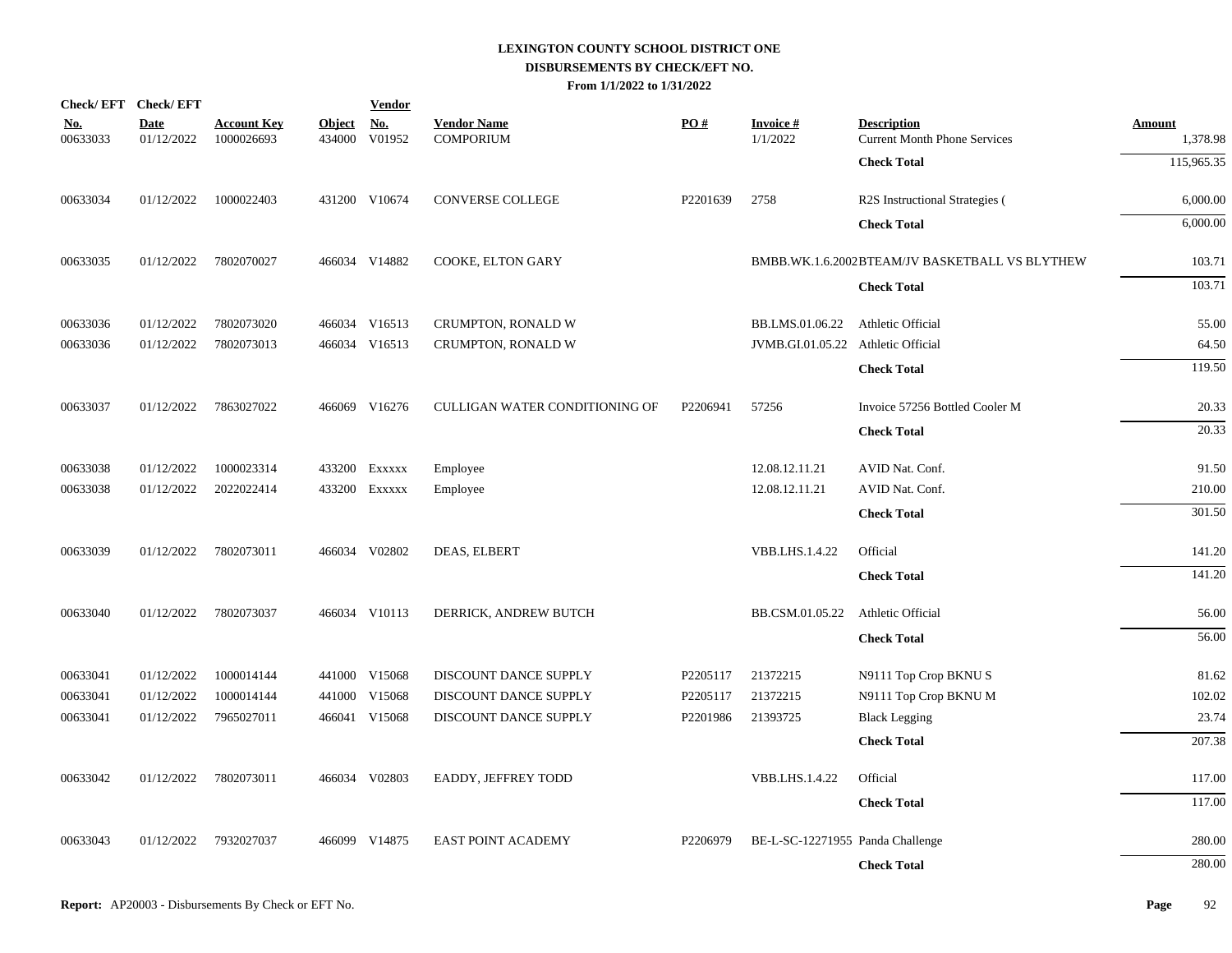|                        | Check/EFT Check/EFT       |                                  |                         | <b>Vendor</b>        |                                        |          |                                    |                                                           |                           |
|------------------------|---------------------------|----------------------------------|-------------------------|----------------------|----------------------------------------|----------|------------------------------------|-----------------------------------------------------------|---------------------------|
| <u>No.</u><br>00633033 | <b>Date</b><br>01/12/2022 | <b>Account Key</b><br>1000026693 | <b>Object</b><br>434000 | <u>No.</u><br>V01952 | <b>Vendor Name</b><br><b>COMPORIUM</b> | PO#      | <b>Invoice#</b><br>1/1/2022        | <b>Description</b><br><b>Current Month Phone Services</b> | <b>Amount</b><br>1,378.98 |
|                        |                           |                                  |                         |                      |                                        |          |                                    | <b>Check Total</b>                                        | 115,965.35                |
| 00633034               | 01/12/2022                | 1000022403                       |                         | 431200 V10674        | CONVERSE COLLEGE                       | P2201639 | 2758                               | R2S Instructional Strategies (                            | 6,000.00                  |
|                        |                           |                                  |                         |                      |                                        |          |                                    | <b>Check Total</b>                                        | 6,000.00                  |
| 00633035               | 01/12/2022                | 7802070027                       |                         | 466034 V14882        | COOKE, ELTON GARY                      |          |                                    | BMBB.WK.1.6.2002BTEAM/JV BASKETBALL VS BLYTHEW            | 103.71                    |
|                        |                           |                                  |                         |                      |                                        |          |                                    | <b>Check Total</b>                                        | 103.71                    |
| 00633036               | 01/12/2022                | 7802073020                       |                         | 466034 V16513        | CRUMPTON, RONALD W                     |          | BB.LMS.01.06.22                    | Athletic Official                                         | 55.00                     |
| 00633036               | 01/12/2022                | 7802073013                       |                         | 466034 V16513        | CRUMPTON, RONALD W                     |          | JVMB.GI.01.05.22 Athletic Official |                                                           | 64.50                     |
|                        |                           |                                  |                         |                      |                                        |          |                                    | <b>Check Total</b>                                        | 119.50                    |
| 00633037               | 01/12/2022                | 7863027022                       |                         | 466069 V16276        | CULLIGAN WATER CONDITIONING OF         | P2206941 | 57256                              | Invoice 57256 Bottled Cooler M                            | 20.33                     |
|                        |                           |                                  |                         |                      |                                        |          |                                    | <b>Check Total</b>                                        | $\overline{20.33}$        |
| 00633038               | 01/12/2022                | 1000023314                       |                         | 433200 EXXXXX        | Employee                               |          | 12.08.12.11.21                     | AVID Nat. Conf.                                           | 91.50                     |
| 00633038               | 01/12/2022                | 2022022414                       |                         | 433200 EXXXXX        | Employee                               |          | 12.08.12.11.21                     | AVID Nat. Conf.                                           | 210.00                    |
|                        |                           |                                  |                         |                      |                                        |          |                                    | <b>Check Total</b>                                        | 301.50                    |
| 00633039               | 01/12/2022                | 7802073011                       |                         | 466034 V02802        | DEAS, ELBERT                           |          | <b>VBB.LHS.1.4.22</b>              | Official                                                  | 141.20                    |
|                        |                           |                                  |                         |                      |                                        |          |                                    | <b>Check Total</b>                                        | 141.20                    |
| 00633040               | 01/12/2022                | 7802073037                       |                         | 466034 V10113        | DERRICK, ANDREW BUTCH                  |          | BB.CSM.01.05.22                    | Athletic Official                                         | 56.00                     |
|                        |                           |                                  |                         |                      |                                        |          |                                    | <b>Check Total</b>                                        | 56.00                     |
| 00633041               | 01/12/2022                | 1000014144                       |                         | 441000 V15068        | DISCOUNT DANCE SUPPLY                  | P2205117 | 21372215                           | N9111 Top Crop BKNUS                                      | 81.62                     |
| 00633041               | 01/12/2022                | 1000014144                       |                         | 441000 V15068        | DISCOUNT DANCE SUPPLY                  | P2205117 | 21372215                           | N9111 Top Crop BKNU M                                     | 102.02                    |
| 00633041               | 01/12/2022                | 7965027011                       |                         | 466041 V15068        | DISCOUNT DANCE SUPPLY                  | P2201986 | 21393725                           | <b>Black Legging</b>                                      | 23.74                     |
|                        |                           |                                  |                         |                      |                                        |          |                                    | <b>Check Total</b>                                        | 207.38                    |
| 00633042               | 01/12/2022                | 7802073011                       |                         | 466034 V02803        | EADDY, JEFFREY TODD                    |          | VBB.LHS.1.4.22                     | Official                                                  | 117.00                    |
|                        |                           |                                  |                         |                      |                                        |          |                                    | <b>Check Total</b>                                        | 117.00                    |
| 00633043               | 01/12/2022                | 7932027037                       |                         | 466099 V14875        | EAST POINT ACADEMY                     | P2206979 | BE-L-SC-12271955 Panda Challenge   |                                                           | 280.00                    |
|                        |                           |                                  |                         |                      |                                        |          |                                    | <b>Check Total</b>                                        | 280.00                    |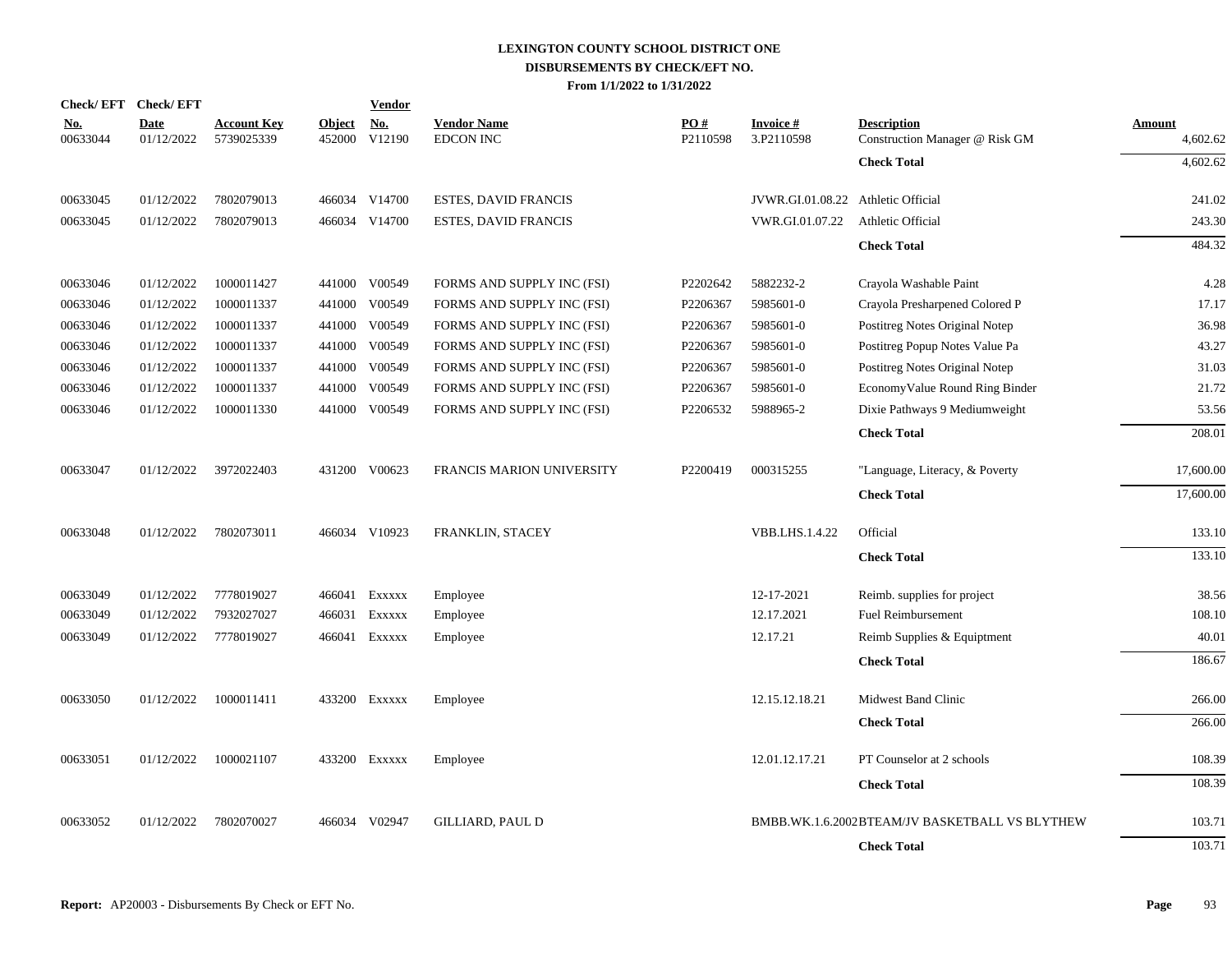|                        | Check/EFT Check/EFT       |                                  |                         | <b>Vendor</b>        |                                        |                 |                                    |                                                      |                    |
|------------------------|---------------------------|----------------------------------|-------------------------|----------------------|----------------------------------------|-----------------|------------------------------------|------------------------------------------------------|--------------------|
| <u>No.</u><br>00633044 | <b>Date</b><br>01/12/2022 | <b>Account Key</b><br>5739025339 | <b>Object</b><br>452000 | <b>No.</b><br>V12190 | <b>Vendor Name</b><br><b>EDCON INC</b> | PQ#<br>P2110598 | <b>Invoice#</b><br>3.P2110598      | <b>Description</b><br>Construction Manager @ Risk GM | Amount<br>4,602.62 |
|                        |                           |                                  |                         |                      |                                        |                 |                                    | <b>Check Total</b>                                   | 4,602.62           |
| 00633045               | 01/12/2022                | 7802079013                       |                         | 466034 V14700        | <b>ESTES, DAVID FRANCIS</b>            |                 | JVWR.GI.01.08.22 Athletic Official |                                                      | 241.02             |
| 00633045               | 01/12/2022                | 7802079013                       |                         | 466034 V14700        | <b>ESTES, DAVID FRANCIS</b>            |                 | VWR.GI.01.07.22                    | Athletic Official                                    | 243.30             |
|                        |                           |                                  |                         |                      |                                        |                 |                                    | <b>Check Total</b>                                   | 484.32             |
| 00633046               | 01/12/2022                | 1000011427                       |                         | 441000 V00549        | FORMS AND SUPPLY INC (FSI)             | P2202642        | 5882232-2                          | Crayola Washable Paint                               | 4.28               |
| 00633046               | 01/12/2022                | 1000011337                       |                         | 441000 V00549        | FORMS AND SUPPLY INC (FSI)             | P2206367        | 5985601-0                          | Crayola Presharpened Colored P                       | 17.17              |
| 00633046               | 01/12/2022                | 1000011337                       | 441000                  | V00549               | FORMS AND SUPPLY INC (FSI)             | P2206367        | 5985601-0                          | Postitreg Notes Original Notep                       | 36.98              |
| 00633046               | 01/12/2022                | 1000011337                       | 441000                  | V00549               | FORMS AND SUPPLY INC (FSI)             | P2206367        | 5985601-0                          | Postitreg Popup Notes Value Pa                       | 43.27              |
| 00633046               | 01/12/2022                | 1000011337                       | 441000                  | V00549               | FORMS AND SUPPLY INC (FSI)             | P2206367        | 5985601-0                          | Postitreg Notes Original Notep                       | 31.03              |
| 00633046               | 01/12/2022                | 1000011337                       | 441000                  | V00549               | FORMS AND SUPPLY INC (FSI)             | P2206367        | 5985601-0                          | EconomyValue Round Ring Binder                       | 21.72              |
| 00633046               | 01/12/2022                | 1000011330                       |                         | 441000 V00549        | FORMS AND SUPPLY INC (FSI)             | P2206532        | 5988965-2                          | Dixie Pathways 9 Mediumweight                        | 53.56              |
|                        |                           |                                  |                         |                      |                                        |                 |                                    | <b>Check Total</b>                                   | 208.01             |
| 00633047               | 01/12/2022                | 3972022403                       |                         | 431200 V00623        | FRANCIS MARION UNIVERSITY              | P2200419        | 000315255                          | "Language, Literacy, & Poverty                       | 17,600.00          |
|                        |                           |                                  |                         |                      |                                        |                 |                                    | <b>Check Total</b>                                   | 17,600.00          |
| 00633048               | 01/12/2022                | 7802073011                       |                         | 466034 V10923        | FRANKLIN, STACEY                       |                 | <b>VBB.LHS.1.4.22</b>              | Official                                             | 133.10             |
|                        |                           |                                  |                         |                      |                                        |                 |                                    | <b>Check Total</b>                                   | 133.10             |
| 00633049               | 01/12/2022                | 7778019027                       |                         | 466041 EXXXXX        | Employee                               |                 | 12-17-2021                         | Reimb. supplies for project                          | 38.56              |
| 00633049               | 01/12/2022                | 7932027027                       |                         | 466031 Exxxxx        | Employee                               |                 | 12.17.2021                         | <b>Fuel Reimbursement</b>                            | 108.10             |
| 00633049               | 01/12/2022                | 7778019027                       |                         | 466041 EXXXXX        | Employee                               |                 | 12.17.21                           | Reimb Supplies & Equiptment                          | 40.01              |
|                        |                           |                                  |                         |                      |                                        |                 |                                    | <b>Check Total</b>                                   | 186.67             |
| 00633050               | 01/12/2022                | 1000011411                       |                         | 433200 Exxxxx        | Employee                               |                 | 12.15.12.18.21                     | <b>Midwest Band Clinic</b>                           | 266.00             |
|                        |                           |                                  |                         |                      |                                        |                 |                                    | <b>Check Total</b>                                   | 266.00             |
| 00633051               | 01/12/2022                | 1000021107                       |                         | 433200 Exxxxx        | Employee                               |                 | 12.01.12.17.21                     | PT Counselor at 2 schools                            | 108.39             |
|                        |                           |                                  |                         |                      |                                        |                 |                                    | <b>Check Total</b>                                   | 108.39             |
| 00633052               | 01/12/2022                | 7802070027                       |                         | 466034 V02947        | <b>GILLIARD, PAUL D</b>                |                 |                                    | BMBB.WK.1.6.2002BTEAM/JV BASKETBALL VS BLYTHEW       | 103.71             |
|                        |                           |                                  |                         |                      |                                        |                 |                                    | <b>Check Total</b>                                   | 103.71             |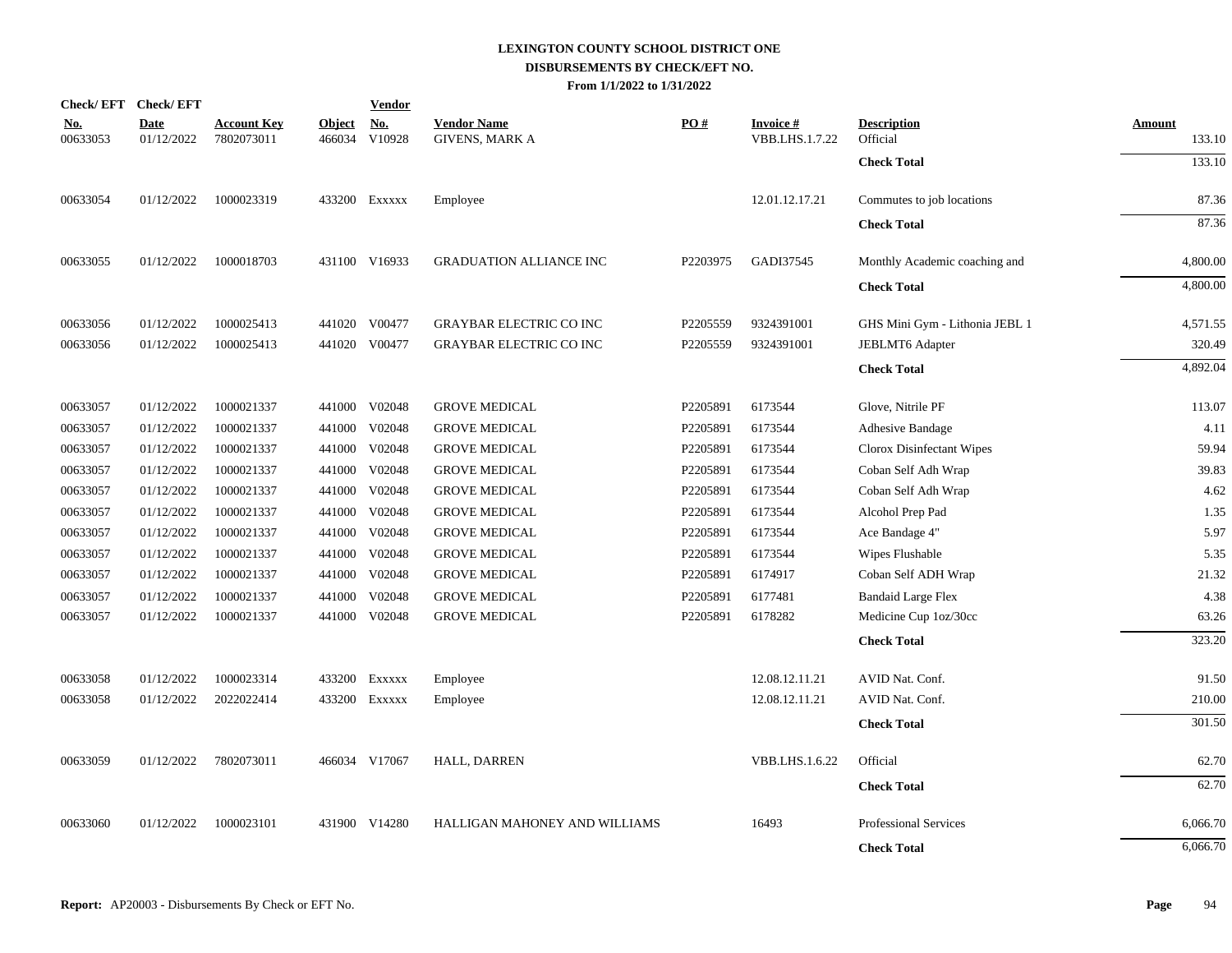|                        | Check/EFT Check/EFT       |                                  |                         | <b>Vendor</b>        |                                             |          |                                   |                                |                         |
|------------------------|---------------------------|----------------------------------|-------------------------|----------------------|---------------------------------------------|----------|-----------------------------------|--------------------------------|-------------------------|
| <u>No.</u><br>00633053 | <b>Date</b><br>01/12/2022 | <b>Account Key</b><br>7802073011 | <b>Object</b><br>466034 | <u>No.</u><br>V10928 | <b>Vendor Name</b><br><b>GIVENS, MARK A</b> | PO#      | <b>Invoice#</b><br>VBB.LHS.1.7.22 | <b>Description</b><br>Official | <b>Amount</b><br>133.10 |
|                        |                           |                                  |                         |                      |                                             |          |                                   | <b>Check Total</b>             | 133.10                  |
| 00633054               | 01/12/2022                | 1000023319                       |                         | 433200 EXXXXX        | Employee                                    |          | 12.01.12.17.21                    | Commutes to job locations      | 87.36                   |
|                        |                           |                                  |                         |                      |                                             |          |                                   | <b>Check Total</b>             | 87.36                   |
| 00633055               | 01/12/2022                | 1000018703                       |                         | 431100 V16933        | <b>GRADUATION ALLIANCE INC</b>              | P2203975 | GADI37545                         | Monthly Academic coaching and  | 4,800.00                |
|                        |                           |                                  |                         |                      |                                             |          |                                   | <b>Check Total</b>             | 4,800.00                |
| 00633056               | 01/12/2022                | 1000025413                       | 441020                  | V00477               | <b>GRAYBAR ELECTRIC CO INC</b>              | P2205559 | 9324391001                        | GHS Mini Gym - Lithonia JEBL 1 | 4,571.55                |
| 00633056               | 01/12/2022                | 1000025413                       |                         | 441020 V00477        | <b>GRAYBAR ELECTRIC CO INC</b>              | P2205559 | 9324391001                        | JEBLMT6 Adapter                | 320.49                  |
|                        |                           |                                  |                         |                      |                                             |          |                                   | <b>Check Total</b>             | 4,892.04                |
| 00633057               | 01/12/2022                | 1000021337                       |                         | 441000 V02048        | <b>GROVE MEDICAL</b>                        | P2205891 | 6173544                           | Glove, Nitrile PF              | 113.07                  |
| 00633057               | 01/12/2022                | 1000021337                       | 441000                  | V02048               | <b>GROVE MEDICAL</b>                        | P2205891 | 6173544                           | Adhesive Bandage               | 4.11                    |
| 00633057               | 01/12/2022                | 1000021337                       | 441000                  | V02048               | <b>GROVE MEDICAL</b>                        | P2205891 | 6173544                           | Clorox Disinfectant Wipes      | 59.94                   |
| 00633057               | 01/12/2022                | 1000021337                       | 441000                  | V02048               | <b>GROVE MEDICAL</b>                        | P2205891 | 6173544                           | Coban Self Adh Wrap            | 39.83                   |
| 00633057               | 01/12/2022                | 1000021337                       | 441000                  | V02048               | <b>GROVE MEDICAL</b>                        | P2205891 | 6173544                           | Coban Self Adh Wrap            | 4.62                    |
| 00633057               | 01/12/2022                | 1000021337                       | 441000                  | V02048               | <b>GROVE MEDICAL</b>                        | P2205891 | 6173544                           | Alcohol Prep Pad               | 1.35                    |
| 00633057               | 01/12/2022                | 1000021337                       | 441000                  | V02048               | <b>GROVE MEDICAL</b>                        | P2205891 | 6173544                           | Ace Bandage 4"                 | 5.97                    |
| 00633057               | 01/12/2022                | 1000021337                       |                         | 441000 V02048        | <b>GROVE MEDICAL</b>                        | P2205891 | 6173544                           | Wipes Flushable                | 5.35                    |
| 00633057               | 01/12/2022                | 1000021337                       | 441000                  | V02048               | <b>GROVE MEDICAL</b>                        | P2205891 | 6174917                           | Coban Self ADH Wrap            | 21.32                   |
| 00633057               | 01/12/2022                | 1000021337                       | 441000                  | V02048               | <b>GROVE MEDICAL</b>                        | P2205891 | 6177481                           | <b>Bandaid Large Flex</b>      | 4.38                    |
| 00633057               | 01/12/2022                | 1000021337                       |                         | 441000 V02048        | <b>GROVE MEDICAL</b>                        | P2205891 | 6178282                           | Medicine Cup 1oz/30cc          | 63.26                   |
|                        |                           |                                  |                         |                      |                                             |          |                                   | <b>Check Total</b>             | 323.20                  |
| 00633058               | 01/12/2022                | 1000023314                       |                         | 433200 Exxxxx        | Employee                                    |          | 12.08.12.11.21                    | AVID Nat. Conf.                | 91.50                   |
| 00633058               | 01/12/2022                | 2022022414                       |                         | 433200 Exxxxx        | Employee                                    |          | 12.08.12.11.21                    | AVID Nat. Conf.                | 210.00                  |
|                        |                           |                                  |                         |                      |                                             |          |                                   | <b>Check Total</b>             | 301.50                  |
| 00633059               | 01/12/2022                | 7802073011                       |                         | 466034 V17067        | <b>HALL, DARREN</b>                         |          | <b>VBB.LHS.1.6.22</b>             | Official                       | 62.70                   |
|                        |                           |                                  |                         |                      |                                             |          |                                   | <b>Check Total</b>             | 62.70                   |
| 00633060               | 01/12/2022                | 1000023101                       |                         | 431900 V14280        | HALLIGAN MAHONEY AND WILLIAMS               |          | 16493                             | <b>Professional Services</b>   | 6,066.70                |
|                        |                           |                                  |                         |                      |                                             |          |                                   | <b>Check Total</b>             | 6,066.70                |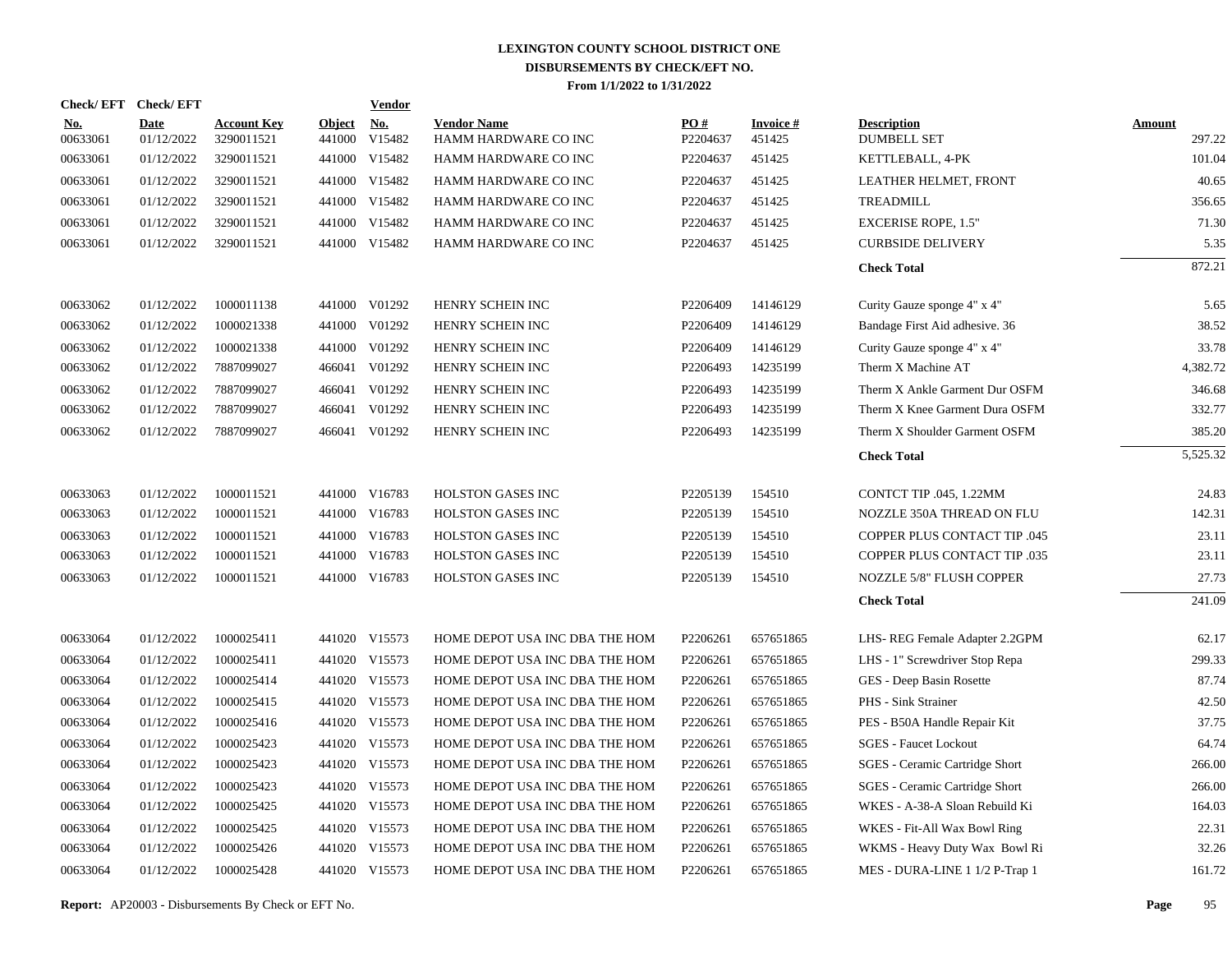|                        | Check/EFT Check/EFT       |                                  |                      | <b>Vendor</b> |                                            |                               |                           |                                          |                         |
|------------------------|---------------------------|----------------------------------|----------------------|---------------|--------------------------------------------|-------------------------------|---------------------------|------------------------------------------|-------------------------|
| <u>No.</u><br>00633061 | <b>Date</b><br>01/12/2022 | <b>Account Key</b><br>3290011521 | Object No.<br>441000 | V15482        | <b>Vendor Name</b><br>HAMM HARDWARE CO INC | $\underline{PO#}$<br>P2204637 | <b>Invoice#</b><br>451425 | <b>Description</b><br><b>DUMBELL SET</b> | <b>Amount</b><br>297.22 |
| 00633061               | 01/12/2022                | 3290011521                       |                      | 441000 V15482 | HAMM HARDWARE CO INC                       | P2204637                      | 451425                    | KETTLEBALL, 4-PK                         | 101.04                  |
| 00633061               | 01/12/2022                | 3290011521                       |                      | 441000 V15482 | HAMM HARDWARE CO INC                       | P2204637                      | 451425                    | LEATHER HELMET, FRONT                    | 40.65                   |
| 00633061               | 01/12/2022                | 3290011521                       |                      | 441000 V15482 | HAMM HARDWARE CO INC                       | P2204637                      | 451425                    | TREADMILL                                | 356.65                  |
| 00633061               | 01/12/2022                | 3290011521                       |                      | 441000 V15482 | HAMM HARDWARE CO INC                       | P2204637                      | 451425                    | <b>EXCERISE ROPE, 1.5"</b>               | 71.30                   |
| 00633061               | 01/12/2022                | 3290011521                       |                      | 441000 V15482 | HAMM HARDWARE CO INC                       | P2204637                      | 451425                    | <b>CURBSIDE DELIVERY</b>                 | 5.35                    |
|                        |                           |                                  |                      |               |                                            |                               |                           | <b>Check Total</b>                       | 872.21                  |
| 00633062               | 01/12/2022                | 1000011138                       |                      | 441000 V01292 | HENRY SCHEIN INC                           | P2206409                      | 14146129                  | Curity Gauze sponge 4" x 4"              | 5.65                    |
| 00633062               | 01/12/2022                | 1000021338                       |                      | 441000 V01292 | HENRY SCHEIN INC                           | P2206409                      | 14146129                  | Bandage First Aid adhesive. 36           | 38.52                   |
| 00633062               | 01/12/2022                | 1000021338                       |                      | 441000 V01292 | HENRY SCHEIN INC                           | P2206409                      | 14146129                  | Curity Gauze sponge 4" x 4"              | 33.78                   |
| 00633062               | 01/12/2022                | 7887099027                       |                      | 466041 V01292 | HENRY SCHEIN INC                           | P2206493                      | 14235199                  | Therm X Machine AT                       | 4,382.72                |
| 00633062               | 01/12/2022                | 7887099027                       |                      | 466041 V01292 | HENRY SCHEIN INC                           | P2206493                      | 14235199                  | Therm X Ankle Garment Dur OSFM           | 346.68                  |
| 00633062               | 01/12/2022                | 7887099027                       |                      | 466041 V01292 | HENRY SCHEIN INC                           | P2206493                      | 14235199                  | Therm X Knee Garment Dura OSFM           | 332.77                  |
| 00633062               | 01/12/2022                | 7887099027                       |                      | 466041 V01292 | HENRY SCHEIN INC                           | P2206493                      | 14235199                  | Therm X Shoulder Garment OSFM            | 385.20                  |
|                        |                           |                                  |                      |               |                                            |                               |                           | <b>Check Total</b>                       | 5,525.32                |
| 00633063               | 01/12/2022                | 1000011521                       |                      | 441000 V16783 | <b>HOLSTON GASES INC</b>                   | P2205139                      | 154510                    | CONTCT TIP .045, 1.22MM                  | 24.83                   |
| 00633063               | 01/12/2022                | 1000011521                       |                      | 441000 V16783 | <b>HOLSTON GASES INC</b>                   | P2205139                      | 154510                    | NOZZLE 350A THREAD ON FLU                | 142.31                  |
| 00633063               | 01/12/2022                | 1000011521                       |                      | 441000 V16783 | <b>HOLSTON GASES INC</b>                   | P2205139                      | 154510                    | <b>COPPER PLUS CONTACT TIP .045</b>      | 23.11                   |
| 00633063               | 01/12/2022                | 1000011521                       |                      | 441000 V16783 | <b>HOLSTON GASES INC</b>                   | P2205139                      | 154510                    | COPPER PLUS CONTACT TIP .035             | 23.11                   |
| 00633063               | 01/12/2022                | 1000011521                       |                      | 441000 V16783 | HOLSTON GASES INC                          | P2205139                      | 154510                    | NOZZLE 5/8" FLUSH COPPER                 | 27.73                   |
|                        |                           |                                  |                      |               |                                            |                               |                           | <b>Check Total</b>                       | 241.09                  |
| 00633064               | 01/12/2022                | 1000025411                       |                      | 441020 V15573 | HOME DEPOT USA INC DBA THE HOM             | P2206261                      | 657651865                 | LHS-REG Female Adapter 2.2GPM            | 62.17                   |
| 00633064               | 01/12/2022                | 1000025411                       |                      | 441020 V15573 | HOME DEPOT USA INC DBA THE HOM             | P2206261                      | 657651865                 | LHS - 1" Screwdriver Stop Repa           | 299.33                  |
| 00633064               | 01/12/2022                | 1000025414                       |                      | 441020 V15573 | HOME DEPOT USA INC DBA THE HOM             | P2206261                      | 657651865                 | GES - Deep Basin Rosette                 | 87.74                   |
| 00633064               | 01/12/2022                | 1000025415                       |                      | 441020 V15573 | HOME DEPOT USA INC DBA THE HOM             | P2206261                      | 657651865                 | PHS - Sink Strainer                      | 42.50                   |
| 00633064               | 01/12/2022                | 1000025416                       |                      | 441020 V15573 | HOME DEPOT USA INC DBA THE HOM             | P2206261                      | 657651865                 | PES - B50A Handle Repair Kit             | 37.75                   |
| 00633064               | 01/12/2022                | 1000025423                       |                      | 441020 V15573 | HOME DEPOT USA INC DBA THE HOM             | P2206261                      | 657651865                 | <b>SGES</b> - Faucet Lockout             | 64.74                   |
| 00633064               | 01/12/2022                | 1000025423                       |                      | 441020 V15573 | HOME DEPOT USA INC DBA THE HOM             | P2206261                      | 657651865                 | SGES - Ceramic Cartridge Short           | 266.00                  |
| 00633064               | 01/12/2022                | 1000025423                       |                      | 441020 V15573 | HOME DEPOT USA INC DBA THE HOM             | P2206261                      | 657651865                 | SGES - Ceramic Cartridge Short           | 266.00                  |
| 00633064               | 01/12/2022                | 1000025425                       |                      | 441020 V15573 | HOME DEPOT USA INC DBA THE HOM             | P2206261                      | 657651865                 | WKES - A-38-A Sloan Rebuild Ki           | 164.03                  |
| 00633064               | 01/12/2022                | 1000025425                       |                      | 441020 V15573 | HOME DEPOT USA INC DBA THE HOM             | P2206261                      | 657651865                 | WKES - Fit-All Wax Bowl Ring             | 22.31                   |
| 00633064               | 01/12/2022                | 1000025426                       |                      | 441020 V15573 | HOME DEPOT USA INC DBA THE HOM             | P2206261                      | 657651865                 | WKMS - Heavy Duty Wax Bowl Ri            | 32.26                   |
| 00633064               | 01/12/2022                | 1000025428                       |                      | 441020 V15573 | HOME DEPOT USA INC DBA THE HOM             | P2206261                      | 657651865                 | MES - DURA-LINE 1 1/2 P-Trap 1           | 161.72                  |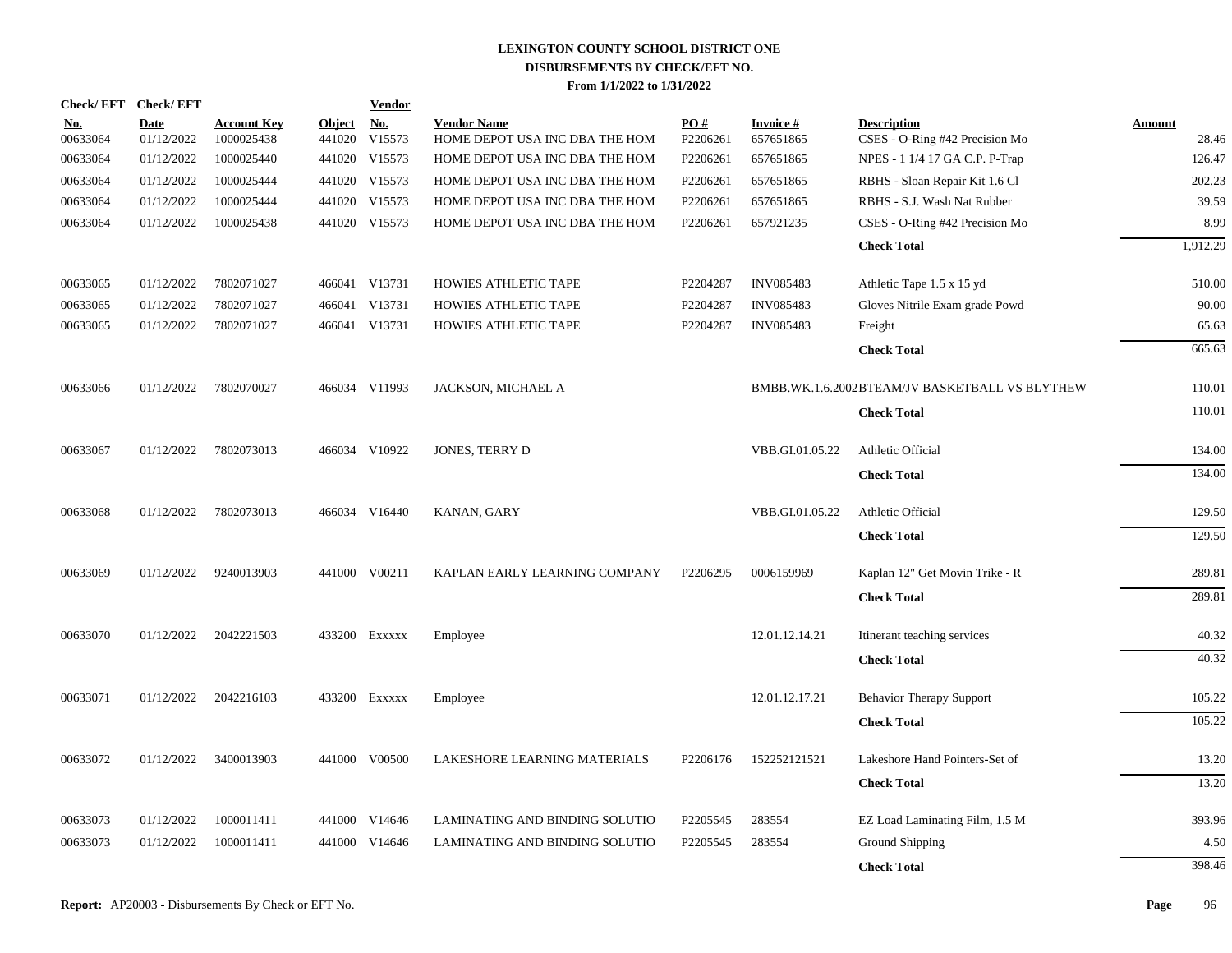|                        | Check/EFT Check/EFT       |                                  |                         | <b>Vendor</b>        |                                                      |                      |                              |                                                      |                        |
|------------------------|---------------------------|----------------------------------|-------------------------|----------------------|------------------------------------------------------|----------------------|------------------------------|------------------------------------------------------|------------------------|
| <u>No.</u><br>00633064 | <b>Date</b><br>01/12/2022 | <b>Account Key</b><br>1000025438 | <b>Object</b><br>441020 | <u>No.</u><br>V15573 | <b>Vendor Name</b><br>HOME DEPOT USA INC DBA THE HOM | PO#<br>P2206261      | <b>Invoice#</b><br>657651865 | <b>Description</b><br>CSES - O-Ring #42 Precision Mo | <b>Amount</b><br>28.46 |
| 00633064               | 01/12/2022                | 1000025440                       |                         | 441020 V15573        | HOME DEPOT USA INC DBA THE HOM                       | P2206261             | 657651865                    | NPES - 1 1/4 17 GA C.P. P-Trap                       | 126.47                 |
| 00633064               | 01/12/2022                | 1000025444                       |                         | 441020 V15573        | HOME DEPOT USA INC DBA THE HOM                       | P2206261             | 657651865                    | RBHS - Sloan Repair Kit 1.6 Cl                       | 202.23                 |
| 00633064               | 01/12/2022                | 1000025444                       |                         | 441020 V15573        | HOME DEPOT USA INC DBA THE HOM                       | P2206261             | 657651865                    | RBHS - S.J. Wash Nat Rubber                          | 39.59                  |
| 00633064               | 01/12/2022                | 1000025438                       |                         | 441020 V15573        | HOME DEPOT USA INC DBA THE HOM                       | P2206261             | 657921235                    | CSES - O-Ring #42 Precision Mo                       | 8.99                   |
|                        |                           |                                  |                         |                      |                                                      |                      |                              | <b>Check Total</b>                                   | 1,912.29               |
|                        |                           |                                  |                         |                      |                                                      |                      |                              |                                                      |                        |
| 00633065               | 01/12/2022                | 7802071027                       |                         | 466041 V13731        | HOWIES ATHLETIC TAPE                                 | P2204287             | <b>INV085483</b>             | Athletic Tape 1.5 x 15 yd                            | 510.00                 |
| 00633065               | 01/12/2022                | 7802071027                       |                         | 466041 V13731        | HOWIES ATHLETIC TAPE                                 | P2204287             | <b>INV085483</b>             | Gloves Nitrile Exam grade Powd                       | 90.00                  |
| 00633065               | 01/12/2022                | 7802071027                       |                         | 466041 V13731        | HOWIES ATHLETIC TAPE                                 | P2204287             | <b>INV085483</b>             | Freight                                              | 65.63                  |
|                        |                           |                                  |                         |                      |                                                      |                      |                              | <b>Check Total</b>                                   | 665.63                 |
|                        |                           |                                  |                         |                      |                                                      |                      |                              |                                                      |                        |
| 00633066               | 01/12/2022                | 7802070027                       |                         | 466034 V11993        | JACKSON, MICHAEL A                                   |                      |                              | BMBB.WK.1.6.2002BTEAM/JV BASKETBALL VS BLYTHEW       | 110.01                 |
|                        |                           |                                  |                         |                      |                                                      |                      |                              | <b>Check Total</b>                                   | 110.01                 |
| 00633067               | 01/12/2022                | 7802073013                       |                         | 466034 V10922        | JONES, TERRY D                                       |                      | VBB.GI.01.05.22              | Athletic Official                                    | 134.00                 |
|                        |                           |                                  |                         |                      |                                                      |                      |                              | <b>Check Total</b>                                   | 134.00                 |
|                        |                           |                                  |                         |                      |                                                      |                      |                              |                                                      |                        |
| 00633068               | 01/12/2022                | 7802073013                       |                         | 466034 V16440        | KANAN, GARY                                          |                      | VBB.GI.01.05.22              | Athletic Official                                    | 129.50                 |
|                        |                           |                                  |                         |                      |                                                      |                      |                              | <b>Check Total</b>                                   | 129.50                 |
| 00633069               | 01/12/2022                | 9240013903                       |                         | 441000 V00211        | KAPLAN EARLY LEARNING COMPANY                        | P2206295             | 0006159969                   | Kaplan 12" Get Movin Trike - R                       | 289.81                 |
|                        |                           |                                  |                         |                      |                                                      |                      |                              | <b>Check Total</b>                                   | 289.81                 |
|                        |                           |                                  |                         |                      |                                                      |                      |                              |                                                      |                        |
| 00633070               | 01/12/2022                | 2042221503                       |                         | 433200 Exxxxx        | Employee                                             |                      | 12.01.12.14.21               | Itinerant teaching services                          | 40.32                  |
|                        |                           |                                  |                         |                      |                                                      |                      |                              | <b>Check Total</b>                                   | 40.32                  |
| 00633071               | 01/12/2022                | 2042216103                       |                         | 433200 EXXXXX        | Employee                                             |                      | 12.01.12.17.21               | <b>Behavior Therapy Support</b>                      | 105.22                 |
|                        |                           |                                  |                         |                      |                                                      |                      |                              | <b>Check Total</b>                                   | 105.22                 |
|                        |                           |                                  |                         |                      |                                                      |                      |                              |                                                      |                        |
| 00633072               | 01/12/2022                | 3400013903                       |                         | 441000 V00500        | <b>LAKESHORE LEARNING MATERIALS</b>                  | P <sub>2206176</sub> | 152252121521                 | Lakeshore Hand Pointers-Set of                       | 13.20                  |
|                        |                           |                                  |                         |                      |                                                      |                      |                              | <b>Check Total</b>                                   | 13.20                  |
| 00633073               | 01/12/2022                | 1000011411                       |                         | 441000 V14646        | LAMINATING AND BINDING SOLUTIO                       | P2205545             | 283554                       | EZ Load Laminating Film, 1.5 M                       | 393.96                 |
| 00633073               | 01/12/2022                | 1000011411                       | 441000                  | V14646               | LAMINATING AND BINDING SOLUTIO                       | P2205545             | 283554                       | <b>Ground Shipping</b>                               | 4.50                   |
|                        |                           |                                  |                         |                      |                                                      |                      |                              |                                                      | 398.46                 |
|                        |                           |                                  |                         |                      |                                                      |                      |                              | <b>Check Total</b>                                   |                        |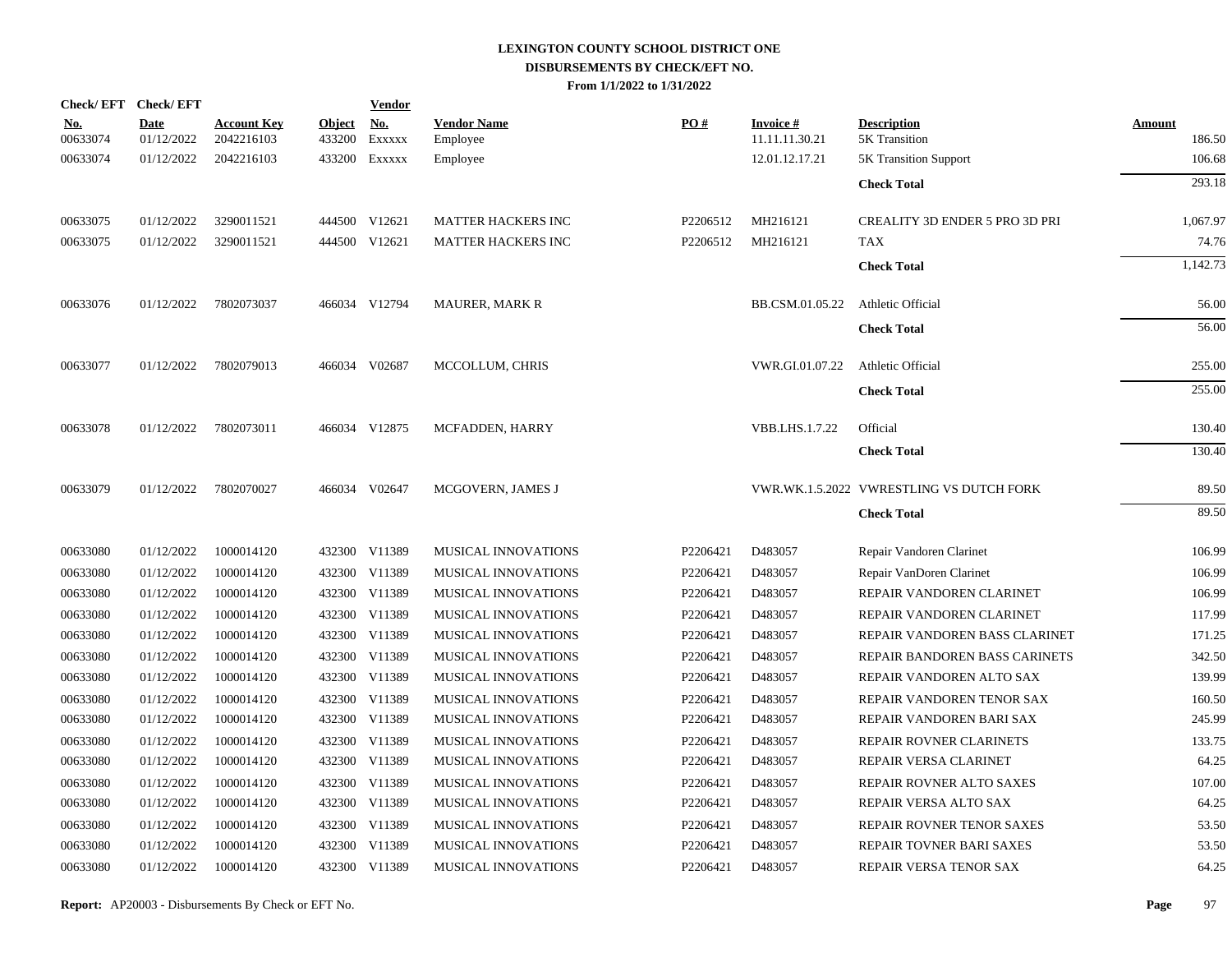| Check/EFT Check/EFT    |                           |                                  |                         | <b>Vendor</b>        |                                |                      |                                   |                                          |                         |
|------------------------|---------------------------|----------------------------------|-------------------------|----------------------|--------------------------------|----------------------|-----------------------------------|------------------------------------------|-------------------------|
| <u>No.</u><br>00633074 | <b>Date</b><br>01/12/2022 | <b>Account Key</b><br>2042216103 | <b>Object</b><br>433200 | <u>No.</u><br>EXXXXX | <b>Vendor Name</b><br>Employee | PO#                  | <b>Invoice#</b><br>11.11.11.30.21 | <b>Description</b><br>5K Transition      | <b>Amount</b><br>186.50 |
| 00633074               | 01/12/2022                | 2042216103                       | 433200                  | Exxxxx               | Employee                       |                      | 12.01.12.17.21                    | <b>5K Transition Support</b>             | 106.68                  |
|                        |                           |                                  |                         |                      |                                |                      |                                   |                                          |                         |
|                        |                           |                                  |                         |                      |                                |                      |                                   | <b>Check Total</b>                       | 293.18                  |
| 00633075               | 01/12/2022                | 3290011521                       |                         | 444500 V12621        | <b>MATTER HACKERS INC</b>      | P <sub>2206512</sub> | MH216121                          | <b>CREALITY 3D ENDER 5 PRO 3D PRI</b>    | 1,067.97                |
| 00633075               | 01/12/2022                | 3290011521                       |                         | 444500 V12621        | <b>MATTER HACKERS INC</b>      | P2206512             | MH216121                          | <b>TAX</b>                               | 74.76                   |
|                        |                           |                                  |                         |                      |                                |                      |                                   | <b>Check Total</b>                       | 1.142.73                |
| 00633076               | 01/12/2022                | 7802073037                       |                         | 466034 V12794        | <b>MAURER, MARK R</b>          |                      | BB.CSM.01.05.22                   | Athletic Official                        | 56.00                   |
|                        |                           |                                  |                         |                      |                                |                      |                                   | <b>Check Total</b>                       | 56.00                   |
| 00633077               | 01/12/2022                | 7802079013                       |                         | 466034 V02687        | MCCOLLUM, CHRIS                |                      | VWR.GI.01.07.22                   | Athletic Official                        | 255.00                  |
|                        |                           |                                  |                         |                      |                                |                      |                                   | <b>Check Total</b>                       | 255.00                  |
| 00633078               | 01/12/2022                | 7802073011                       |                         | 466034 V12875        | MCFADDEN, HARRY                |                      | VBB.LHS.1.7.22                    | Official                                 | 130.40                  |
|                        |                           |                                  |                         |                      |                                |                      |                                   | <b>Check Total</b>                       | 130.40                  |
| 00633079               | 01/12/2022                | 7802070027                       |                         | 466034 V02647        | MCGOVERN, JAMES J              |                      |                                   | VWR.WK.1.5.2022 VWRESTLING VS DUTCH FORK | 89.50                   |
|                        |                           |                                  |                         |                      |                                |                      |                                   | <b>Check Total</b>                       | 89.50                   |
| 00633080               | 01/12/2022                | 1000014120                       |                         | 432300 V11389        | <b>MUSICAL INNOVATIONS</b>     | P2206421             | D483057                           | Repair Vandoren Clarinet                 | 106.99                  |
| 00633080               | 01/12/2022                | 1000014120                       |                         | 432300 V11389        | MUSICAL INNOVATIONS            | P2206421             | D483057                           | Repair VanDoren Clarinet                 | 106.99                  |
| 00633080               | 01/12/2022                | 1000014120                       |                         | 432300 V11389        | <b>MUSICAL INNOVATIONS</b>     | P2206421             | D483057                           | REPAIR VANDOREN CLARINET                 | 106.99                  |
| 00633080               | 01/12/2022                | 1000014120                       |                         | 432300 V11389        | MUSICAL INNOVATIONS            | P2206421             | D483057                           | REPAIR VANDOREN CLARINET                 | 117.99                  |
| 00633080               | 01/12/2022                | 1000014120                       |                         | 432300 V11389        | <b>MUSICAL INNOVATIONS</b>     | P2206421             | D483057                           | REPAIR VANDOREN BASS CLARINET            | 171.25                  |
| 00633080               | 01/12/2022                | 1000014120                       |                         | 432300 V11389        | MUSICAL INNOVATIONS            | P2206421             | D483057                           | REPAIR BANDOREN BASS CARINETS            | 342.50                  |
| 00633080               | 01/12/2022                | 1000014120                       |                         | 432300 V11389        | MUSICAL INNOVATIONS            | P2206421             | D483057                           | REPAIR VANDOREN ALTO SAX                 | 139.99                  |
| 00633080               | 01/12/2022                | 1000014120                       |                         | 432300 V11389        | <b>MUSICAL INNOVATIONS</b>     | P2206421             | D483057                           | REPAIR VANDOREN TENOR SAX                | 160.50                  |
| 00633080               | 01/12/2022                | 1000014120                       |                         | 432300 V11389        | MUSICAL INNOVATIONS            | P2206421             | D483057                           | REPAIR VANDOREN BARI SAX                 | 245.99                  |
| 00633080               | 01/12/2022                | 1000014120                       |                         | 432300 V11389        | <b>MUSICAL INNOVATIONS</b>     | P2206421             | D483057                           | REPAIR ROVNER CLARINETS                  | 133.75                  |
| 00633080               | 01/12/2022                | 1000014120                       |                         | 432300 V11389        | MUSICAL INNOVATIONS            | P2206421             | D483057                           | REPAIR VERSA CLARINET                    | 64.25                   |
| 00633080               | 01/12/2022                | 1000014120                       |                         | 432300 V11389        | MUSICAL INNOVATIONS            | P2206421             | D483057                           | REPAIR ROVNER ALTO SAXES                 | 107.00                  |
| 00633080               | 01/12/2022                | 1000014120                       |                         | 432300 V11389        | MUSICAL INNOVATIONS            | P2206421             | D483057                           | REPAIR VERSA ALTO SAX                    | 64.25                   |
| 00633080               | 01/12/2022                | 1000014120                       |                         | 432300 V11389        | MUSICAL INNOVATIONS            | P2206421             | D483057                           | REPAIR ROVNER TENOR SAXES                | 53.50                   |
| 00633080               | 01/12/2022                | 1000014120                       |                         | 432300 V11389        | MUSICAL INNOVATIONS            | P2206421             | D483057                           | REPAIR TOVNER BARI SAXES                 | 53.50                   |
| 00633080               | 01/12/2022                | 1000014120                       |                         | 432300 V11389        | MUSICAL INNOVATIONS            | P2206421             | D483057                           | REPAIR VERSA TENOR SAX                   | 64.25                   |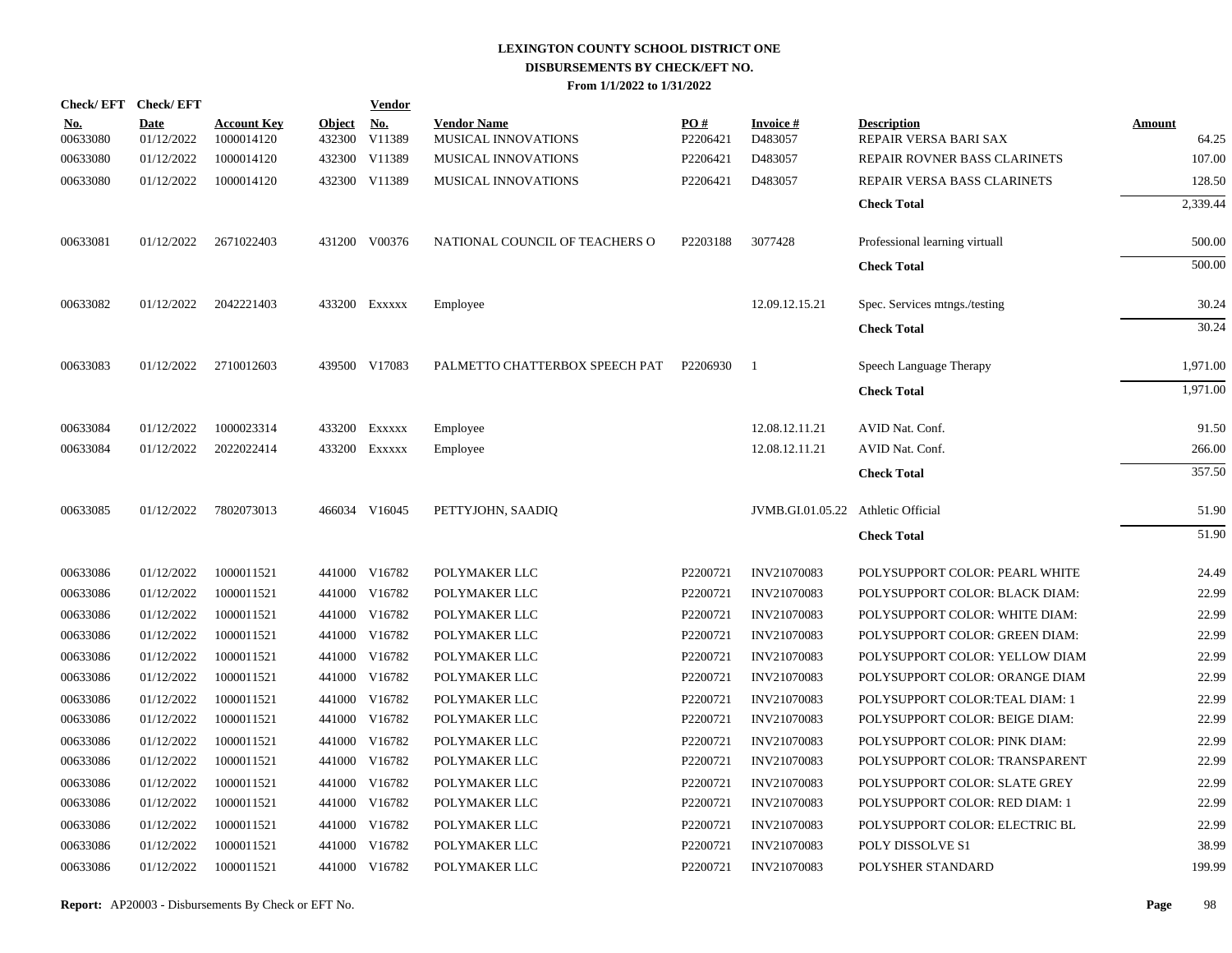|                        | Check/EFT Check/EFT       |                                  |                      | <b>Vendor</b> |                                           |                 |                                    |                                             |                 |
|------------------------|---------------------------|----------------------------------|----------------------|---------------|-------------------------------------------|-----------------|------------------------------------|---------------------------------------------|-----------------|
| <b>No.</b><br>00633080 | <b>Date</b><br>01/12/2022 | <b>Account Key</b><br>1000014120 | Object No.<br>432300 | V11389        | <b>Vendor Name</b><br>MUSICAL INNOVATIONS | PO#<br>P2206421 | <b>Invoice#</b><br>D483057         | <b>Description</b><br>REPAIR VERSA BARI SAX | Amount<br>64.25 |
| 00633080               | 01/12/2022                | 1000014120                       |                      | 432300 V11389 | MUSICAL INNOVATIONS                       | P2206421        | D483057                            | REPAIR ROVNER BASS CLARINETS                | 107.00          |
| 00633080               | 01/12/2022                | 1000014120                       |                      | 432300 V11389 | MUSICAL INNOVATIONS                       | P2206421        | D483057                            | REPAIR VERSA BASS CLARINETS                 | 128.50          |
|                        |                           |                                  |                      |               |                                           |                 |                                    | <b>Check Total</b>                          | 2,339.44        |
| 00633081               | 01/12/2022                | 2671022403                       |                      | 431200 V00376 | NATIONAL COUNCIL OF TEACHERS O            | P2203188        | 3077428                            | Professional learning virtuall              | 500.00          |
|                        |                           |                                  |                      |               |                                           |                 |                                    | <b>Check Total</b>                          | 500.00          |
| 00633082               | 01/12/2022                | 2042221403                       |                      | 433200 EXXXXX | Employee                                  |                 | 12.09.12.15.21                     | Spec. Services mtngs./testing               | 30.24           |
|                        |                           |                                  |                      |               |                                           |                 |                                    | <b>Check Total</b>                          | 30.24           |
| 00633083               | 01/12/2022                | 2710012603                       |                      | 439500 V17083 | PALMETTO CHATTERBOX SPEECH PAT            | P2206930        | -1                                 | Speech Language Therapy                     | 1.971.00        |
|                        |                           |                                  |                      |               |                                           |                 |                                    | <b>Check Total</b>                          | 1,971.00        |
| 00633084               | 01/12/2022                | 1000023314                       |                      | 433200 Exxxxx | Employee                                  |                 | 12.08.12.11.21                     | AVID Nat. Conf.                             | 91.50           |
| 00633084               | 01/12/2022                | 2022022414                       |                      | 433200 Exxxxx | Employee                                  |                 | 12.08.12.11.21                     | AVID Nat. Conf.                             | 266.00          |
|                        |                           |                                  |                      |               |                                           |                 |                                    | <b>Check Total</b>                          | 357.50          |
| 00633085               | 01/12/2022                | 7802073013                       |                      | 466034 V16045 | PETTYJOHN, SAADIO                         |                 | JVMB.GI.01.05.22 Athletic Official |                                             | 51.90           |
|                        |                           |                                  |                      |               |                                           |                 |                                    | <b>Check Total</b>                          | 51.90           |
| 00633086               | 01/12/2022                | 1000011521                       |                      | 441000 V16782 | POLYMAKER LLC                             | P2200721        | INV21070083                        | POLYSUPPORT COLOR: PEARL WHITE              | 24.49           |
| 00633086               | 01/12/2022                | 1000011521                       |                      | 441000 V16782 | POLYMAKER LLC                             | P2200721        | INV21070083                        | POLYSUPPORT COLOR: BLACK DIAM:              | 22.99           |
| 00633086               | 01/12/2022                | 1000011521                       |                      | 441000 V16782 | POLYMAKER LLC                             | P2200721        | INV21070083                        | POLYSUPPORT COLOR: WHITE DIAM:              | 22.99           |
| 00633086               | 01/12/2022                | 1000011521                       |                      | 441000 V16782 | POLYMAKER LLC                             | P2200721        | <b>INV21070083</b>                 | POLYSUPPORT COLOR: GREEN DIAM:              | 22.99           |
| 00633086               | 01/12/2022                | 1000011521                       |                      | 441000 V16782 | POLYMAKER LLC                             | P2200721        | INV21070083                        | POLYSUPPORT COLOR: YELLOW DIAM              | 22.99           |
| 00633086               | 01/12/2022                | 1000011521                       |                      | 441000 V16782 | POLYMAKER LLC                             | P2200721        | INV21070083                        | POLYSUPPORT COLOR: ORANGE DIAM              | 22.99           |
| 00633086               | 01/12/2022                | 1000011521                       |                      | 441000 V16782 | POLYMAKER LLC                             | P2200721        | INV21070083                        | POLYSUPPORT COLOR:TEAL DIAM: 1              | 22.99           |
| 00633086               | 01/12/2022                | 1000011521                       |                      | 441000 V16782 | POLYMAKER LLC                             | P2200721        | INV21070083                        | POLYSUPPORT COLOR: BEIGE DIAM:              | 22.99           |
| 00633086               | 01/12/2022                | 1000011521                       |                      | 441000 V16782 | POLYMAKER LLC                             | P2200721        | INV21070083                        | POLYSUPPORT COLOR: PINK DIAM:               | 22.99           |
| 00633086               | 01/12/2022                | 1000011521                       |                      | 441000 V16782 | POLYMAKER LLC                             | P2200721        | INV21070083                        | POLYSUPPORT COLOR: TRANSPARENT              | 22.99           |
| 00633086               | 01/12/2022                | 1000011521                       | 441000               | V16782        | POLYMAKER LLC                             | P2200721        | INV21070083                        | POLYSUPPORT COLOR: SLATE GREY               | 22.99           |
| 00633086               | 01/12/2022                | 1000011521                       |                      | 441000 V16782 | POLYMAKER LLC                             | P2200721        | <b>INV21070083</b>                 | POLYSUPPORT COLOR: RED DIAM: 1              | 22.99           |
| 00633086               | 01/12/2022                | 1000011521                       | 441000               | V16782        | POLYMAKER LLC                             | P2200721        | INV21070083                        | POLYSUPPORT COLOR: ELECTRIC BL              | 22.99           |
| 00633086               | 01/12/2022                | 1000011521                       | 441000               | V16782        | POLYMAKER LLC                             | P2200721        | <b>INV21070083</b>                 | POLY DISSOLVE S1                            | 38.99           |
| 00633086               | 01/12/2022                | 1000011521                       |                      | 441000 V16782 | POLYMAKER LLC                             | P2200721        | <b>INV21070083</b>                 | POLYSHER STANDARD                           | 199.99          |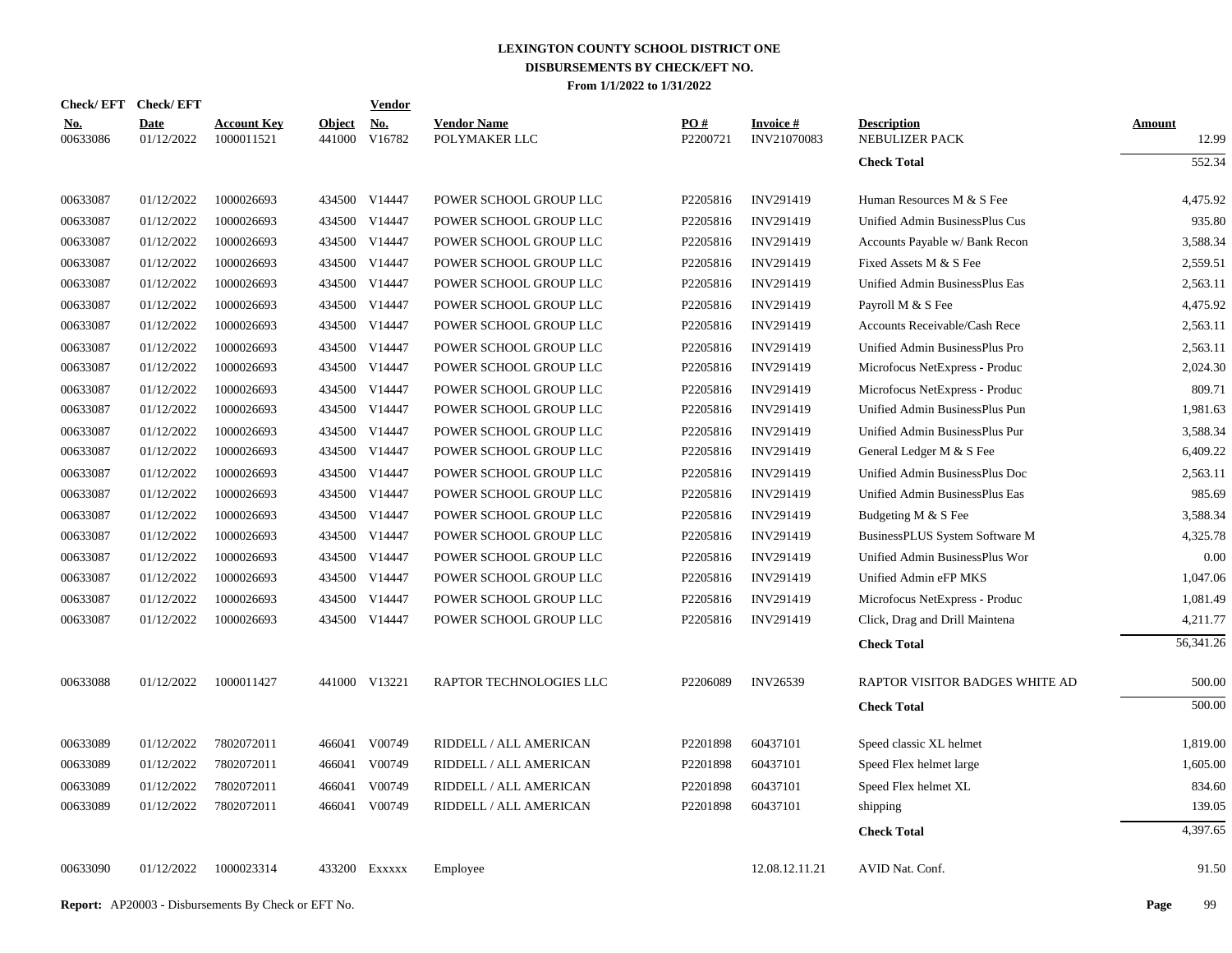|                        | Check/EFT Check/EFT       |                                  |                      | <b>Vendor</b> |                                     |                      |                                |                                      |                        |
|------------------------|---------------------------|----------------------------------|----------------------|---------------|-------------------------------------|----------------------|--------------------------------|--------------------------------------|------------------------|
| <u>No.</u><br>00633086 | <b>Date</b><br>01/12/2022 | <b>Account Key</b><br>1000011521 | Object No.<br>441000 | V16782        | <b>Vendor Name</b><br>POLYMAKER LLC | PQ#<br>P2200721      | <b>Invoice#</b><br>INV21070083 | <b>Description</b><br>NEBULIZER PACK | <b>Amount</b><br>12.99 |
|                        |                           |                                  |                      |               |                                     |                      |                                | <b>Check Total</b>                   | 552.34                 |
| 00633087               | 01/12/2022                | 1000026693                       |                      | 434500 V14447 | POWER SCHOOL GROUP LLC              | P2205816             | INV291419                      | Human Resources M & S Fee            | 4.475.92               |
| 00633087               | 01/12/2022                | 1000026693                       |                      | 434500 V14447 | POWER SCHOOL GROUP LLC              | P2205816             | INV291419                      | Unified Admin BusinessPlus Cus       | 935.80                 |
| 00633087               | 01/12/2022                | 1000026693                       |                      | 434500 V14447 | POWER SCHOOL GROUP LLC              | P2205816             | INV291419                      | Accounts Payable w/ Bank Recon       | 3,588.34               |
| 00633087               | 01/12/2022                | 1000026693                       |                      | 434500 V14447 | POWER SCHOOL GROUP LLC              | P2205816             | INV291419                      | Fixed Assets M & S Fee               | 2,559.51               |
| 00633087               | 01/12/2022                | 1000026693                       |                      | 434500 V14447 | POWER SCHOOL GROUP LLC              | P2205816             | INV291419                      | Unified Admin BusinessPlus Eas       | 2,563.11               |
| 00633087               | 01/12/2022                | 1000026693                       |                      | 434500 V14447 | POWER SCHOOL GROUP LLC              | P2205816             | INV291419                      | Payroll M & S Fee                    | 4,475.92               |
| 00633087               | 01/12/2022                | 1000026693                       |                      | 434500 V14447 | POWER SCHOOL GROUP LLC              | P2205816             | INV291419                      | Accounts Receivable/Cash Rece        | 2,563.11               |
| 00633087               | 01/12/2022                | 1000026693                       |                      | 434500 V14447 | POWER SCHOOL GROUP LLC              | P2205816             | INV291419                      | Unified Admin BusinessPlus Pro       | 2,563.11               |
| 00633087               | 01/12/2022                | 1000026693                       |                      | 434500 V14447 | POWER SCHOOL GROUP LLC              | P2205816             | INV291419                      | Microfocus NetExpress - Produc       | 2,024.30               |
| 00633087               | 01/12/2022                | 1000026693                       |                      | 434500 V14447 | POWER SCHOOL GROUP LLC              | P2205816             | INV291419                      | Microfocus NetExpress - Produc       | 809.71                 |
| 00633087               | 01/12/2022                | 1000026693                       |                      | 434500 V14447 | POWER SCHOOL GROUP LLC              | P2205816             | INV291419                      | Unified Admin BusinessPlus Pun       | 1,981.63               |
| 00633087               | 01/12/2022                | 1000026693                       |                      | 434500 V14447 | POWER SCHOOL GROUP LLC              | P2205816             | INV291419                      | Unified Admin BusinessPlus Pur       | 3,588.34               |
| 00633087               | 01/12/2022                | 1000026693                       |                      | 434500 V14447 | POWER SCHOOL GROUP LLC              | P2205816             | INV291419                      | General Ledger M & S Fee             | 6,409.22               |
| 00633087               | 01/12/2022                | 1000026693                       | 434500               | V14447        | POWER SCHOOL GROUP LLC              | P2205816             | INV291419                      | Unified Admin BusinessPlus Doc       | 2,563.11               |
| 00633087               | 01/12/2022                | 1000026693                       |                      | 434500 V14447 | POWER SCHOOL GROUP LLC              | P2205816             | INV291419                      | Unified Admin BusinessPlus Eas       | 985.69                 |
| 00633087               | 01/12/2022                | 1000026693                       |                      | 434500 V14447 | POWER SCHOOL GROUP LLC              | P2205816             | INV291419                      | Budgeting M & S Fee                  | 3,588.34               |
| 00633087               | 01/12/2022                | 1000026693                       |                      | 434500 V14447 | POWER SCHOOL GROUP LLC              | P2205816             | INV291419                      | BusinessPLUS System Software M       | 4,325.78               |
| 00633087               | 01/12/2022                | 1000026693                       |                      | 434500 V14447 | POWER SCHOOL GROUP LLC              | P2205816             | INV291419                      | Unified Admin BusinessPlus Wor       | 0.00                   |
| 00633087               | 01/12/2022                | 1000026693                       |                      | 434500 V14447 | POWER SCHOOL GROUP LLC              | P2205816             | INV291419                      | Unified Admin eFP MKS                | 1,047.06               |
| 00633087               | 01/12/2022                | 1000026693                       |                      | 434500 V14447 | POWER SCHOOL GROUP LLC              | P2205816             | INV291419                      | Microfocus NetExpress - Produc       | 1,081.49               |
| 00633087               | 01/12/2022                | 1000026693                       |                      | 434500 V14447 | POWER SCHOOL GROUP LLC              | P2205816             | INV291419                      | Click, Drag and Drill Maintena       | 4,211.77               |
|                        |                           |                                  |                      |               |                                     |                      |                                | <b>Check Total</b>                   | 56,341.26              |
| 00633088               | 01/12/2022                | 1000011427                       |                      | 441000 V13221 | RAPTOR TECHNOLOGIES LLC             | P <sub>2206089</sub> | <b>INV26539</b>                | RAPTOR VISITOR BADGES WHITE AD       | 500.00                 |
|                        |                           |                                  |                      |               |                                     |                      |                                | <b>Check Total</b>                   | 500.00                 |
|                        |                           |                                  |                      |               |                                     |                      |                                |                                      |                        |
| 00633089               | 01/12/2022                | 7802072011                       | 466041               | V00749        | RIDDELL / ALL AMERICAN              | P2201898             | 60437101                       | Speed classic XL helmet              | 1,819.00               |
| 00633089               | 01/12/2022                | 7802072011                       | 466041               | V00749        | RIDDELL / ALL AMERICAN              | P2201898             | 60437101                       | Speed Flex helmet large              | 1,605.00               |
| 00633089               | 01/12/2022                | 7802072011                       | 466041               | V00749        | RIDDELL / ALL AMERICAN              | P2201898             | 60437101                       | Speed Flex helmet XL                 | 834.60                 |
| 00633089               | 01/12/2022                | 7802072011                       | 466041               | V00749        | RIDDELL / ALL AMERICAN              | P2201898             | 60437101                       | shipping                             | 139.05                 |
|                        |                           |                                  |                      |               |                                     |                      |                                | <b>Check Total</b>                   | 4,397.65               |
| 00633090               | 01/12/2022                | 1000023314                       |                      | 433200 Exxxxx | Employee                            |                      | 12.08.12.11.21                 | AVID Nat. Conf.                      | 91.50                  |
|                        |                           |                                  |                      |               |                                     |                      |                                |                                      |                        |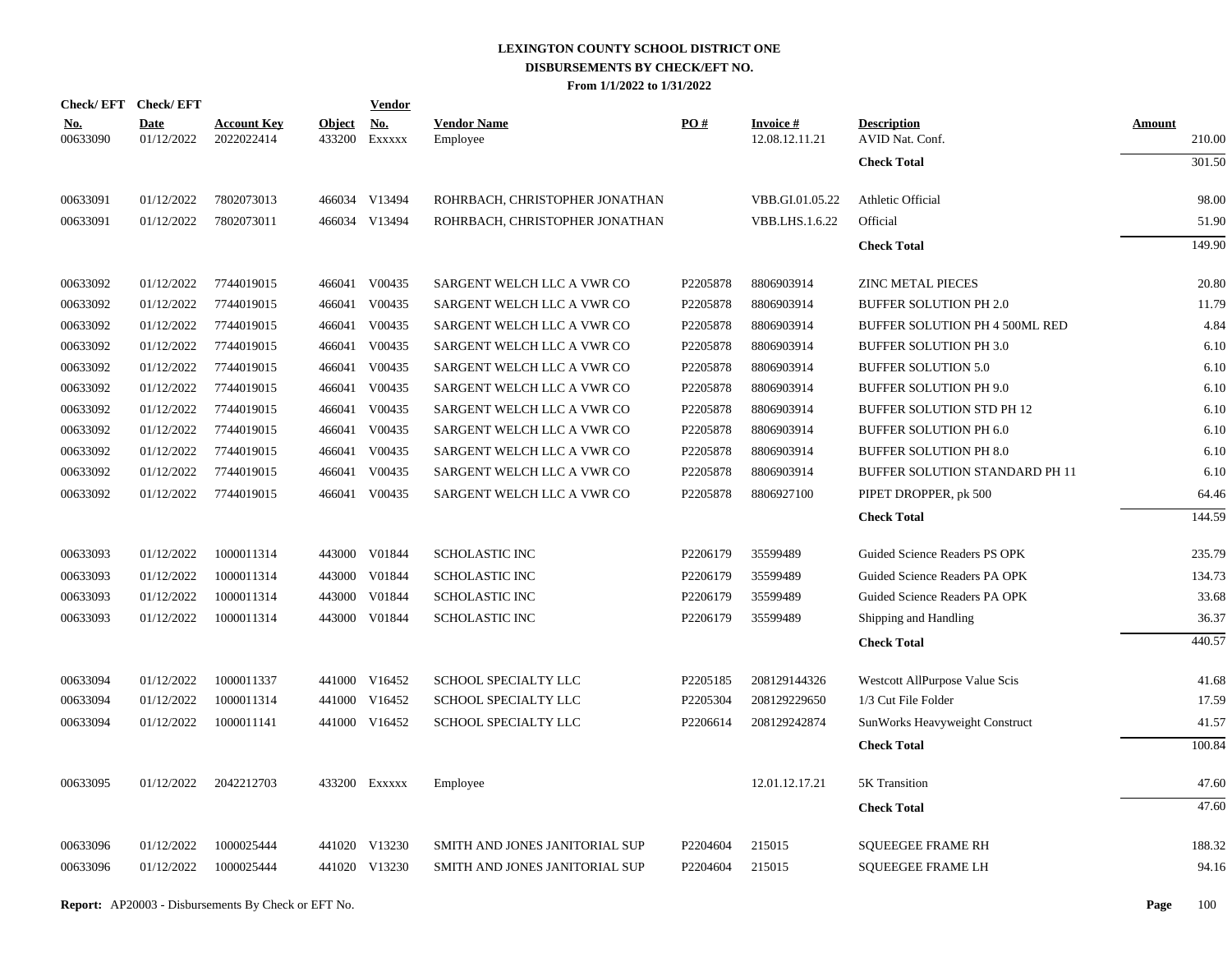| Check/EFT Check/EFT    |                    |                                  |                         | <b>Vendor</b>                         |                                |          |                                   |                                       |                         |
|------------------------|--------------------|----------------------------------|-------------------------|---------------------------------------|--------------------------------|----------|-----------------------------------|---------------------------------------|-------------------------|
| <u>No.</u><br>00633090 | Date<br>01/12/2022 | <b>Account Key</b><br>2022022414 | <b>Object</b><br>433200 | $\underline{\mathrm{No}}$ .<br>Exxxxx | <b>Vendor Name</b><br>Employee | PO#      | <b>Invoice#</b><br>12.08.12.11.21 | <b>Description</b><br>AVID Nat. Conf. | <b>Amount</b><br>210.00 |
|                        |                    |                                  |                         |                                       |                                |          |                                   | <b>Check Total</b>                    | 301.50                  |
| 00633091               | 01/12/2022         | 7802073013                       |                         | 466034 V13494                         | ROHRBACH, CHRISTOPHER JONATHAN |          | VBB.GI.01.05.22                   | Athletic Official                     | 98.00                   |
| 00633091               | 01/12/2022         | 7802073011                       |                         | 466034 V13494                         | ROHRBACH, CHRISTOPHER JONATHAN |          | <b>VBB.LHS.1.6.22</b>             | Official                              | 51.90                   |
|                        |                    |                                  |                         |                                       |                                |          |                                   | <b>Check Total</b>                    | 149.90                  |
| 00633092               | 01/12/2022         | 7744019015                       |                         | 466041 V00435                         | SARGENT WELCH LLC A VWR CO     | P2205878 | 8806903914                        | <b>ZINC METAL PIECES</b>              | 20.80                   |
| 00633092               | 01/12/2022         | 7744019015                       |                         | 466041 V00435                         | SARGENT WELCH LLC A VWR CO     | P2205878 | 8806903914                        | <b>BUFFER SOLUTION PH 2.0</b>         | 11.79                   |
| 00633092               | 01/12/2022         | 7744019015                       | 466041                  | V00435                                | SARGENT WELCH LLC A VWR CO     | P2205878 | 8806903914                        | BUFFER SOLUTION PH 4 500ML RED        | 4.84                    |
| 00633092               | 01/12/2022         | 7744019015                       |                         | 466041 V00435                         | SARGENT WELCH LLC A VWR CO     | P2205878 | 8806903914                        | <b>BUFFER SOLUTION PH 3.0</b>         | 6.10                    |
| 00633092               | 01/12/2022         | 7744019015                       | 466041                  | V00435                                | SARGENT WELCH LLC A VWR CO     | P2205878 | 8806903914                        | <b>BUFFER SOLUTION 5.0</b>            | 6.10                    |
| 00633092               | 01/12/2022         | 7744019015                       |                         | 466041 V00435                         | SARGENT WELCH LLC A VWR CO     | P2205878 | 8806903914                        | <b>BUFFER SOLUTION PH 9.0</b>         | 6.10                    |
| 00633092               | 01/12/2022         | 7744019015                       | 466041                  | V00435                                | SARGENT WELCH LLC A VWR CO     | P2205878 | 8806903914                        | BUFFER SOLUTION STD PH 12             | 6.10                    |
| 00633092               | 01/12/2022         | 7744019015                       |                         | 466041 V00435                         | SARGENT WELCH LLC A VWR CO     | P2205878 | 8806903914                        | <b>BUFFER SOLUTION PH 6.0</b>         | 6.10                    |
| 00633092               | 01/12/2022         | 7744019015                       | 466041                  | V00435                                | SARGENT WELCH LLC A VWR CO     | P2205878 | 8806903914                        | <b>BUFFER SOLUTION PH 8.0</b>         | 6.10                    |
| 00633092               | 01/12/2022         | 7744019015                       | 466041                  | V00435                                | SARGENT WELCH LLC A VWR CO     | P2205878 | 8806903914                        | BUFFER SOLUTION STANDARD PH 11        | 6.10                    |
| 00633092               | 01/12/2022         | 7744019015                       |                         | 466041 V00435                         | SARGENT WELCH LLC A VWR CO     | P2205878 | 8806927100                        | PIPET DROPPER, pk 500                 | 64.46                   |
|                        |                    |                                  |                         |                                       |                                |          |                                   | <b>Check Total</b>                    | 144.59                  |
| 00633093               | 01/12/2022         | 1000011314                       |                         | 443000 V01844                         | <b>SCHOLASTIC INC</b>          | P2206179 | 35599489                          | Guided Science Readers PS OPK         | 235.79                  |
| 00633093               | 01/12/2022         | 1000011314                       |                         | 443000 V01844                         | <b>SCHOLASTIC INC</b>          | P2206179 | 35599489                          | Guided Science Readers PA OPK         | 134.73                  |
| 00633093               | 01/12/2022         | 1000011314                       |                         | 443000 V01844                         | <b>SCHOLASTIC INC</b>          | P2206179 | 35599489                          | Guided Science Readers PA OPK         | 33.68                   |
| 00633093               | 01/12/2022         | 1000011314                       |                         | 443000 V01844                         | <b>SCHOLASTIC INC</b>          | P2206179 | 35599489                          | Shipping and Handling                 | 36.37                   |
|                        |                    |                                  |                         |                                       |                                |          |                                   | <b>Check Total</b>                    | 440.57                  |
| 00633094               | 01/12/2022         | 1000011337                       |                         | 441000 V16452                         | SCHOOL SPECIALTY LLC           | P2205185 | 208129144326                      | Westcott AllPurpose Value Scis        | 41.68                   |
| 00633094               | 01/12/2022         | 1000011314                       |                         | 441000 V16452                         | SCHOOL SPECIALTY LLC           | P2205304 | 208129229650                      | 1/3 Cut File Folder                   | 17.59                   |
| 00633094               | 01/12/2022         | 1000011141                       |                         | 441000 V16452                         | SCHOOL SPECIALTY LLC           | P2206614 | 208129242874                      | SunWorks Heavyweight Construct        | 41.57                   |
|                        |                    |                                  |                         |                                       |                                |          |                                   | <b>Check Total</b>                    | 100.84                  |
| 00633095               | 01/12/2022         | 2042212703                       |                         | 433200 Exxxxx                         | Employee                       |          | 12.01.12.17.21                    | 5K Transition                         | 47.60                   |
|                        |                    |                                  |                         |                                       |                                |          |                                   | <b>Check Total</b>                    | 47.60                   |
| 00633096               | 01/12/2022         | 1000025444                       |                         | 441020 V13230                         | SMITH AND JONES JANITORIAL SUP | P2204604 | 215015                            | <b>SQUEEGEE FRAME RH</b>              | 188.32                  |
| 00633096               | 01/12/2022         | 1000025444                       |                         | 441020 V13230                         | SMITH AND JONES JANITORIAL SUP | P2204604 | 215015                            | <b>SQUEEGEE FRAME LH</b>              | 94.16                   |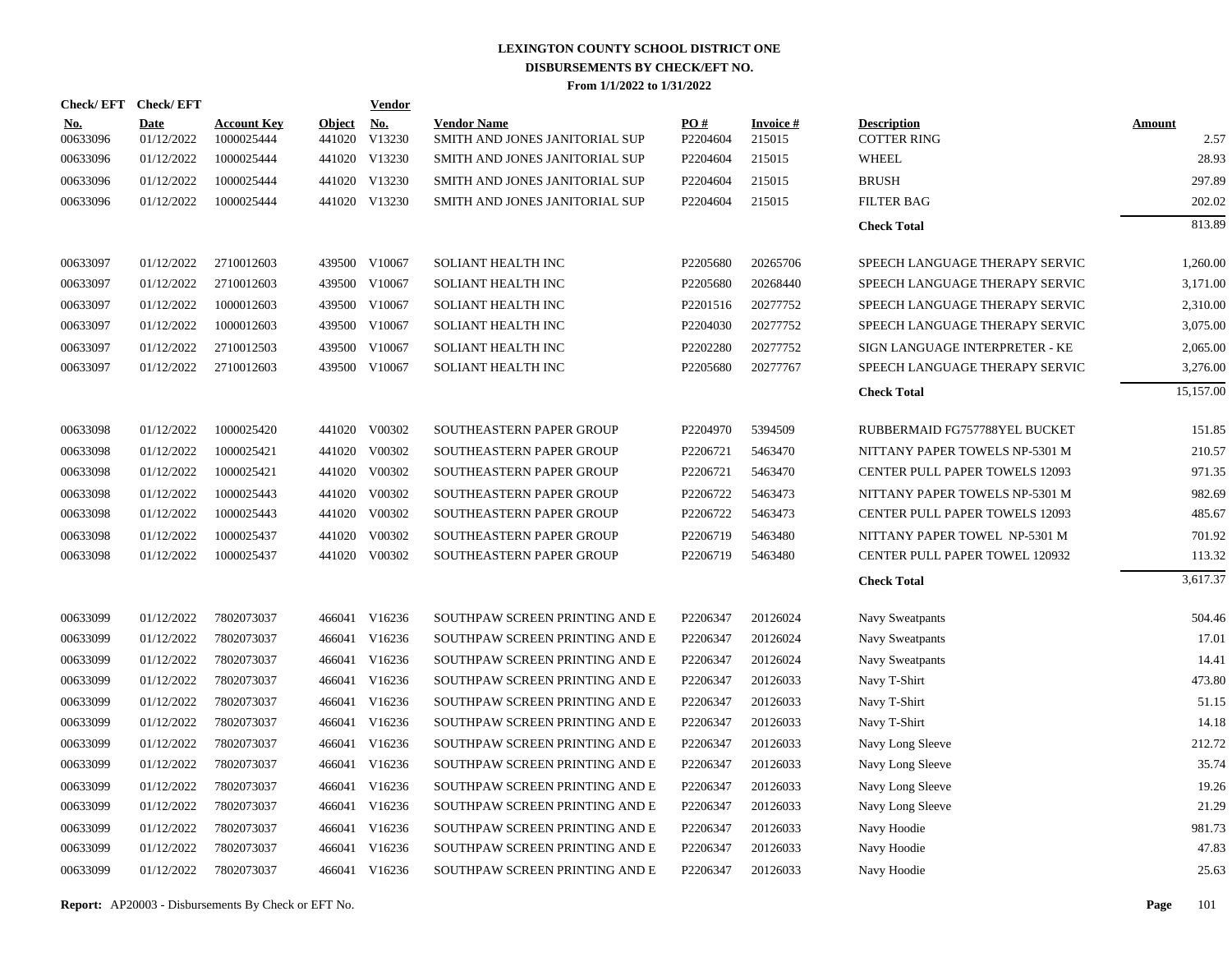|                        | Check/EFT Check/EFT       |                                  |                      | <b>Vendor</b> |                                                      |                      |                           |                                          |                       |
|------------------------|---------------------------|----------------------------------|----------------------|---------------|------------------------------------------------------|----------------------|---------------------------|------------------------------------------|-----------------------|
| <u>No.</u><br>00633096 | <b>Date</b><br>01/12/2022 | <b>Account Key</b><br>1000025444 | Object No.<br>441020 | V13230        | <b>Vendor Name</b><br>SMITH AND JONES JANITORIAL SUP | PO#<br>P2204604      | <b>Invoice#</b><br>215015 | <b>Description</b><br><b>COTTER RING</b> | <b>Amount</b><br>2.57 |
| 00633096               | 01/12/2022                | 1000025444                       |                      | 441020 V13230 | SMITH AND JONES JANITORIAL SUP                       | P2204604             | 215015                    | <b>WHEEL</b>                             | 28.93                 |
| 00633096               | 01/12/2022                | 1000025444                       |                      | 441020 V13230 | SMITH AND JONES JANITORIAL SUP                       | P2204604             | 215015                    | <b>BRUSH</b>                             | 297.89                |
| 00633096               | 01/12/2022                | 1000025444                       |                      | 441020 V13230 | SMITH AND JONES JANITORIAL SUP                       | P2204604             | 215015                    | <b>FILTER BAG</b>                        | 202.02                |
|                        |                           |                                  |                      |               |                                                      |                      |                           | <b>Check Total</b>                       | 813.89                |
| 00633097               | 01/12/2022                | 2710012603                       |                      | 439500 V10067 | SOLIANT HEALTH INC                                   | P2205680             | 20265706                  | SPEECH LANGUAGE THERAPY SERVIC           | 1,260.00              |
| 00633097               | 01/12/2022                | 2710012603                       |                      | 439500 V10067 | SOLIANT HEALTH INC                                   | P2205680             | 20268440                  | SPEECH LANGUAGE THERAPY SERVIC           | 3,171.00              |
| 00633097               | 01/12/2022                | 1000012603                       |                      | 439500 V10067 | SOLIANT HEALTH INC                                   | P2201516             | 20277752                  | SPEECH LANGUAGE THERAPY SERVIC           | 2,310.00              |
| 00633097               | 01/12/2022                | 1000012603                       |                      | 439500 V10067 | <b>SOLIANT HEALTH INC</b>                            | P <sub>2204030</sub> | 20277752                  | SPEECH LANGUAGE THERAPY SERVIC           | 3,075.00              |
| 00633097               | 01/12/2022                | 2710012503                       | 439500               | V10067        | SOLIANT HEALTH INC                                   | P2202280             | 20277752                  | SIGN LANGUAGE INTERPRETER - KE           | 2,065.00              |
| 00633097               | 01/12/2022                | 2710012603                       |                      | 439500 V10067 | SOLIANT HEALTH INC                                   | P2205680             | 20277767                  | SPEECH LANGUAGE THERAPY SERVIC           | 3,276.00              |
|                        |                           |                                  |                      |               |                                                      |                      |                           | <b>Check Total</b>                       | 15,157.00             |
| 00633098               | 01/12/2022                | 1000025420                       |                      | 441020 V00302 | SOUTHEASTERN PAPER GROUP                             | P2204970             | 5394509                   | RUBBERMAID FG757788YEL BUCKET            | 151.85                |
| 00633098               | 01/12/2022                | 1000025421                       |                      | 441020 V00302 | SOUTHEASTERN PAPER GROUP                             | P2206721             | 5463470                   | NITTANY PAPER TOWELS NP-5301 M           | 210.57                |
| 00633098               | 01/12/2022                | 1000025421                       |                      | 441020 V00302 | SOUTHEASTERN PAPER GROUP                             | P2206721             | 5463470                   | <b>CENTER PULL PAPER TOWELS 12093</b>    | 971.35                |
| 00633098               | 01/12/2022                | 1000025443                       |                      | 441020 V00302 | SOUTHEASTERN PAPER GROUP                             | P2206722             | 5463473                   | NITTANY PAPER TOWELS NP-5301 M           | 982.69                |
| 00633098               | 01/12/2022                | 1000025443                       |                      | 441020 V00302 | SOUTHEASTERN PAPER GROUP                             | P2206722             | 5463473                   | <b>CENTER PULL PAPER TOWELS 12093</b>    | 485.67                |
| 00633098               | 01/12/2022                | 1000025437                       |                      | 441020 V00302 | SOUTHEASTERN PAPER GROUP                             | P2206719             | 5463480                   | NITTANY PAPER TOWEL NP-5301 M            | 701.92                |
| 00633098               | 01/12/2022                | 1000025437                       |                      | 441020 V00302 | SOUTHEASTERN PAPER GROUP                             | P2206719             | 5463480                   | CENTER PULL PAPER TOWEL 120932           | 113.32                |
|                        |                           |                                  |                      |               |                                                      |                      |                           | <b>Check Total</b>                       | 3,617.37              |
| 00633099               | 01/12/2022                | 7802073037                       |                      | 466041 V16236 | SOUTHPAW SCREEN PRINTING AND E                       | P2206347             | 20126024                  | Navy Sweatpants                          | 504.46                |
| 00633099               | 01/12/2022                | 7802073037                       |                      | 466041 V16236 | SOUTHPAW SCREEN PRINTING AND E                       | P2206347             | 20126024                  | Navy Sweatpants                          | 17.01                 |
| 00633099               | 01/12/2022                | 7802073037                       | 466041               | V16236        | SOUTHPAW SCREEN PRINTING AND E                       | P2206347             | 20126024                  | Navy Sweatpants                          | 14.41                 |
| 00633099               | 01/12/2022                | 7802073037                       |                      | 466041 V16236 | SOUTHPAW SCREEN PRINTING AND E                       | P2206347             | 20126033                  | Navy T-Shirt                             | 473.80                |
| 00633099               | 01/12/2022                | 7802073037                       | 466041               | V16236        | SOUTHPAW SCREEN PRINTING AND E                       | P2206347             | 20126033                  | Navy T-Shirt                             | 51.15                 |
| 00633099               | 01/12/2022                | 7802073037                       |                      | 466041 V16236 | SOUTHPAW SCREEN PRINTING AND E                       | P2206347             | 20126033                  | Navy T-Shirt                             | 14.18                 |
| 00633099               | 01/12/2022                | 7802073037                       | 466041               | V16236        | SOUTHPAW SCREEN PRINTING AND E                       | P2206347             | 20126033                  | Navy Long Sleeve                         | 212.72                |
| 00633099               | 01/12/2022                | 7802073037                       |                      | 466041 V16236 | SOUTHPAW SCREEN PRINTING AND E                       | P2206347             | 20126033                  | Navy Long Sleeve                         | 35.74                 |
| 00633099               | 01/12/2022                | 7802073037                       | 466041               | V16236        | SOUTHPAW SCREEN PRINTING AND E                       | P2206347             | 20126033                  | Navy Long Sleeve                         | 19.26                 |
| 00633099               | 01/12/2022                | 7802073037                       |                      | 466041 V16236 | SOUTHPAW SCREEN PRINTING AND E                       | P2206347             | 20126033                  | Navy Long Sleeve                         | 21.29                 |
| 00633099               | 01/12/2022                | 7802073037                       | 466041               | V16236        | SOUTHPAW SCREEN PRINTING AND E                       | P2206347             | 20126033                  | Navy Hoodie                              | 981.73                |
| 00633099               | 01/12/2022                | 7802073037                       |                      | 466041 V16236 | SOUTHPAW SCREEN PRINTING AND E                       | P2206347             | 20126033                  | Navy Hoodie                              | 47.83                 |
| 00633099               | 01/12/2022                | 7802073037                       |                      | 466041 V16236 | SOUTHPAW SCREEN PRINTING AND E                       | P2206347             | 20126033                  | Navy Hoodie                              | 25.63                 |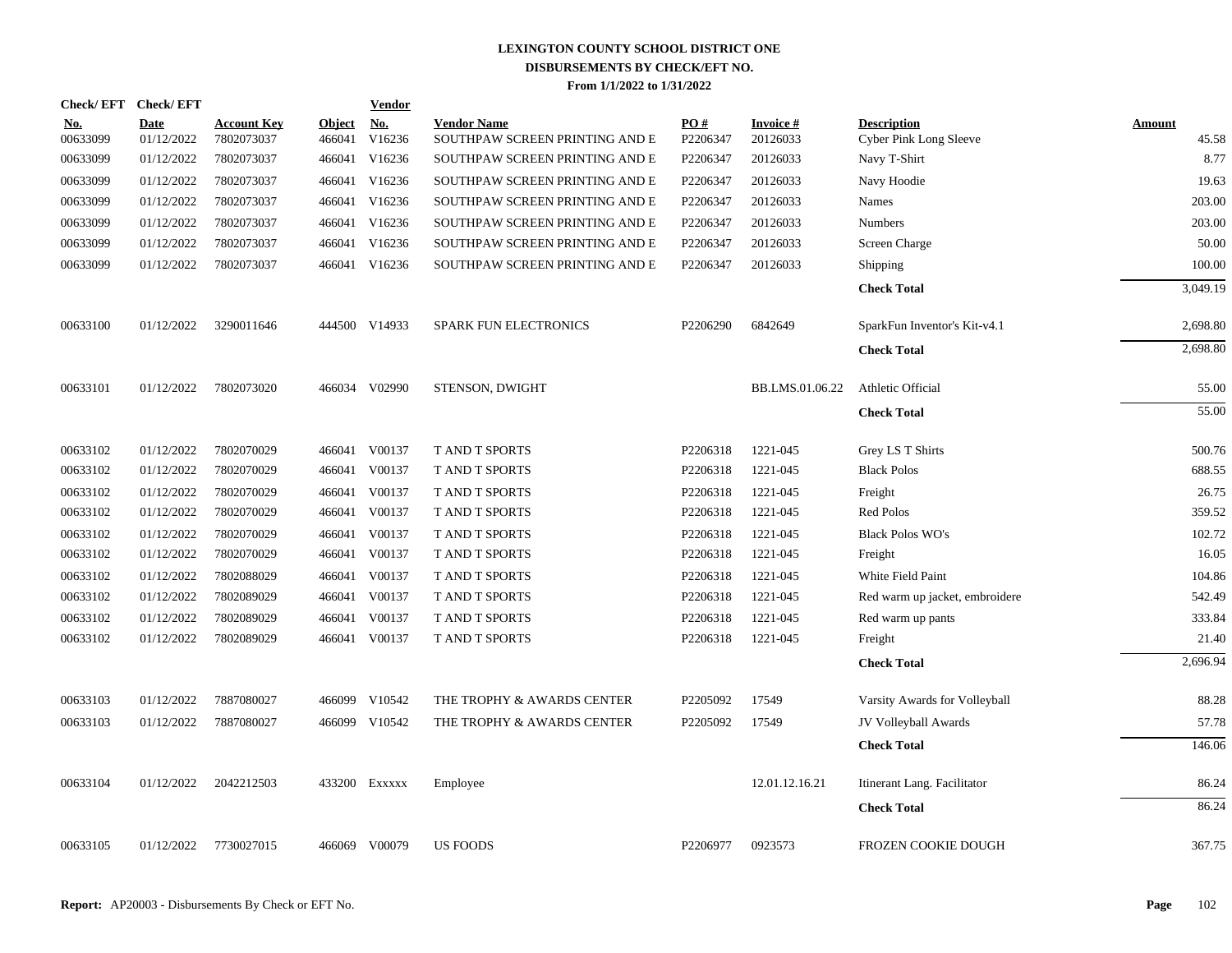| Check/EFT Check/EFT    |                           |                                  |                         | <b>Vendor</b> |                                                      |                 |                             |                                                     |                 |
|------------------------|---------------------------|----------------------------------|-------------------------|---------------|------------------------------------------------------|-----------------|-----------------------------|-----------------------------------------------------|-----------------|
| <u>No.</u><br>00633099 | <b>Date</b><br>01/12/2022 | <b>Account Key</b><br>7802073037 | <b>Object</b><br>466041 | No.<br>V16236 | <b>Vendor Name</b><br>SOUTHPAW SCREEN PRINTING AND E | PO#<br>P2206347 | <b>Invoice#</b><br>20126033 | <b>Description</b><br><b>Cyber Pink Long Sleeve</b> | Amount<br>45.58 |
| 00633099               | 01/12/2022                | 7802073037                       |                         | 466041 V16236 | SOUTHPAW SCREEN PRINTING AND E                       | P2206347        | 20126033                    | Navy T-Shirt                                        | 8.77            |
| 00633099               | 01/12/2022                | 7802073037                       | 466041                  | V16236        | SOUTHPAW SCREEN PRINTING AND E                       | P2206347        | 20126033                    | Navy Hoodie                                         | 19.63           |
| 00633099               | 01/12/2022                | 7802073037                       |                         | 466041 V16236 | SOUTHPAW SCREEN PRINTING AND E                       | P2206347        | 20126033                    | Names                                               | 203.00          |
| 00633099               | 01/12/2022                | 7802073037                       | 466041                  | V16236        | SOUTHPAW SCREEN PRINTING AND E                       | P2206347        | 20126033                    | <b>Numbers</b>                                      | 203.00          |
| 00633099               | 01/12/2022                | 7802073037                       | 466041                  | V16236        | SOUTHPAW SCREEN PRINTING AND E                       | P2206347        | 20126033                    | Screen Charge                                       | 50.00           |
| 00633099               | 01/12/2022                | 7802073037                       |                         | 466041 V16236 | SOUTHPAW SCREEN PRINTING AND E                       | P2206347        | 20126033                    | Shipping                                            | 100.00          |
|                        |                           |                                  |                         |               |                                                      |                 |                             | <b>Check Total</b>                                  | 3,049.19        |
| 00633100               | 01/12/2022                | 3290011646                       |                         | 444500 V14933 | <b>SPARK FUN ELECTRONICS</b>                         | P2206290        | 6842649                     | SparkFun Inventor's Kit-v4.1                        | 2,698.80        |
|                        |                           |                                  |                         |               |                                                      |                 |                             | <b>Check Total</b>                                  | 2,698.80        |
| 00633101               | 01/12/2022                | 7802073020                       |                         | 466034 V02990 | STENSON, DWIGHT                                      |                 | BB.LMS.01.06.22             | Athletic Official                                   | 55.00           |
|                        |                           |                                  |                         |               |                                                      |                 |                             | <b>Check Total</b>                                  | 55.00           |
| 00633102               | 01/12/2022                | 7802070029                       |                         | 466041 V00137 | <b>TAND T SPORTS</b>                                 | P2206318        | 1221-045                    | Grey LS T Shirts                                    | 500.76          |
| 00633102               | 01/12/2022                | 7802070029                       |                         | 466041 V00137 | <b>T AND T SPORTS</b>                                | P2206318        | 1221-045                    | <b>Black Polos</b>                                  | 688.55          |
| 00633102               | 01/12/2022                | 7802070029                       |                         | 466041 V00137 | T AND T SPORTS                                       | P2206318        | 1221-045                    | Freight                                             | 26.75           |
| 00633102               | 01/12/2022                | 7802070029                       | 466041                  | V00137        | T AND T SPORTS                                       | P2206318        | 1221-045                    | Red Polos                                           | 359.52          |
| 00633102               | 01/12/2022                | 7802070029                       |                         | 466041 V00137 | T AND T SPORTS                                       | P2206318        | 1221-045                    | <b>Black Polos WO's</b>                             | 102.72          |
| 00633102               | 01/12/2022                | 7802070029                       |                         | 466041 V00137 | T AND T SPORTS                                       | P2206318        | 1221-045                    | Freight                                             | 16.05           |
| 00633102               | 01/12/2022                | 7802088029                       |                         | 466041 V00137 | T AND T SPORTS                                       | P2206318        | 1221-045                    | White Field Paint                                   | 104.86          |
| 00633102               | 01/12/2022                | 7802089029                       |                         | 466041 V00137 | T AND T SPORTS                                       | P2206318        | 1221-045                    | Red warm up jacket, embroidere                      | 542.49          |
| 00633102               | 01/12/2022                | 7802089029                       |                         | 466041 V00137 | T AND T SPORTS                                       | P2206318        | 1221-045                    | Red warm up pants                                   | 333.84          |
| 00633102               | 01/12/2022                | 7802089029                       |                         | 466041 V00137 | T AND T SPORTS                                       | P2206318        | 1221-045                    | Freight                                             | 21.40           |
|                        |                           |                                  |                         |               |                                                      |                 |                             | <b>Check Total</b>                                  | 2,696.94        |
| 00633103               | 01/12/2022                | 7887080027                       |                         | 466099 V10542 | THE TROPHY & AWARDS CENTER                           | P2205092        | 17549                       | Varsity Awards for Volleyball                       | 88.28           |
| 00633103               | 01/12/2022                | 7887080027                       |                         | 466099 V10542 | THE TROPHY & AWARDS CENTER                           | P2205092        | 17549                       | JV Volleyball Awards                                | 57.78           |
|                        |                           |                                  |                         |               |                                                      |                 |                             | <b>Check Total</b>                                  | 146.06          |
| 00633104               | 01/12/2022                | 2042212503                       |                         | 433200 Exxxxx | Employee                                             |                 | 12.01.12.16.21              | Itinerant Lang. Facilitator                         | 86.24           |
|                        |                           |                                  |                         |               |                                                      |                 |                             | <b>Check Total</b>                                  | 86.24           |
| 00633105               | 01/12/2022                | 7730027015                       |                         | 466069 V00079 | <b>US FOODS</b>                                      | P2206977        | 0923573                     | <b>FROZEN COOKIE DOUGH</b>                          | 367.75          |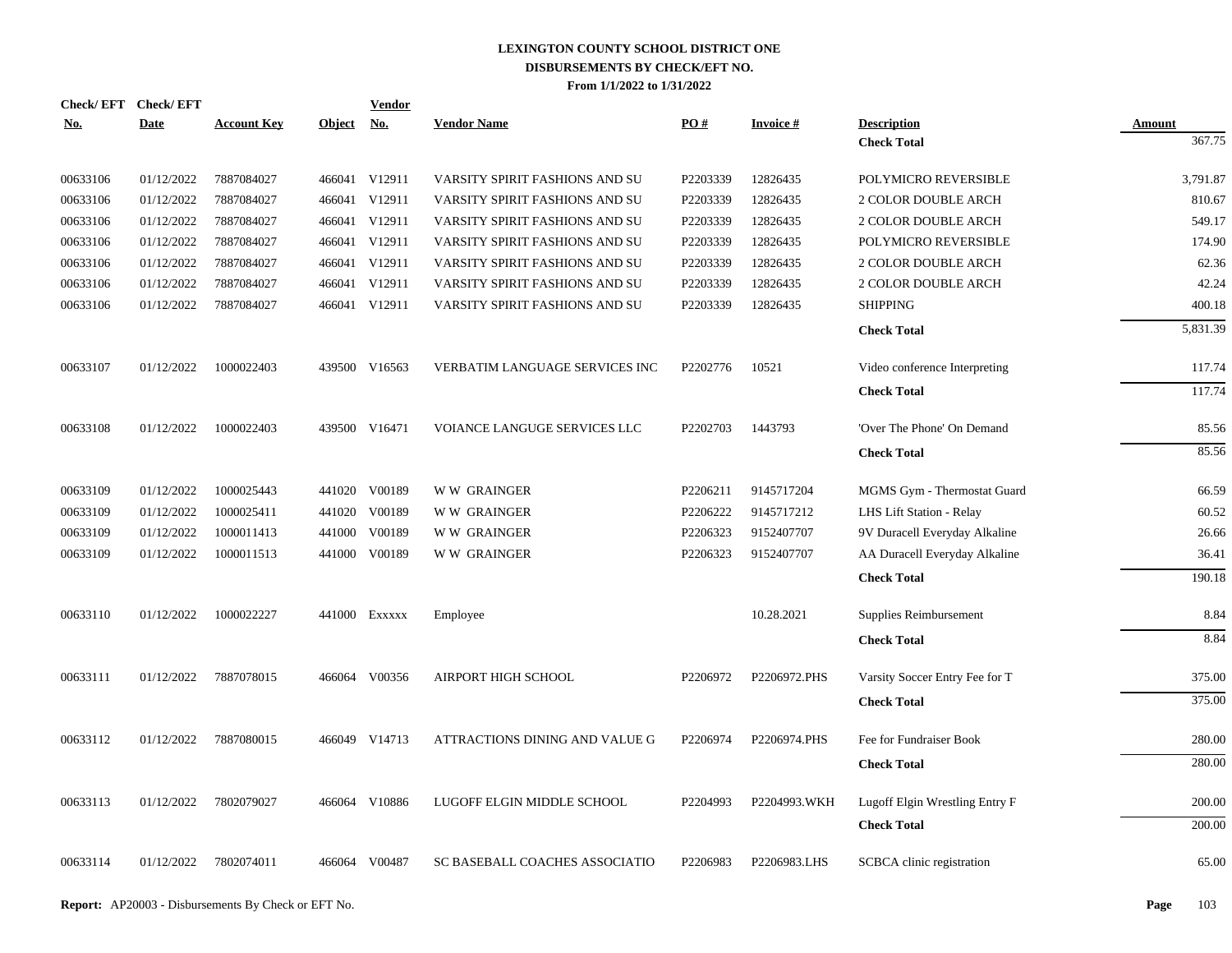| Check/EFT Check/EFT |             |                    |               | <u>Vendor</u>             |                                |          |                 |                                |               |
|---------------------|-------------|--------------------|---------------|---------------------------|--------------------------------|----------|-----------------|--------------------------------|---------------|
| <u>No.</u>          | <b>Date</b> | <b>Account Key</b> | <b>Object</b> | $\underline{\mathrm{No}}$ | <b>Vendor Name</b>             | PO#      | <b>Invoice#</b> | <b>Description</b>             | <b>Amount</b> |
|                     |             |                    |               |                           |                                |          |                 | <b>Check Total</b>             | 367.75        |
| 00633106            | 01/12/2022  | 7887084027         |               | 466041 V12911             | VARSITY SPIRIT FASHIONS AND SU | P2203339 | 12826435        | POLYMICRO REVERSIBLE           | 3,791.87      |
| 00633106            | 01/12/2022  | 7887084027         |               | 466041 V12911             | VARSITY SPIRIT FASHIONS AND SU | P2203339 | 12826435        | <b>2 COLOR DOUBLE ARCH</b>     | 810.67        |
| 00633106            | 01/12/2022  | 7887084027         |               | 466041 V12911             | VARSITY SPIRIT FASHIONS AND SU | P2203339 | 12826435        | 2 COLOR DOUBLE ARCH            | 549.17        |
| 00633106            | 01/12/2022  | 7887084027         |               | 466041 V12911             | VARSITY SPIRIT FASHIONS AND SU | P2203339 | 12826435        | POLYMICRO REVERSIBLE           | 174.90        |
| 00633106            | 01/12/2022  | 7887084027         |               | 466041 V12911             | VARSITY SPIRIT FASHIONS AND SU | P2203339 | 12826435        | 2 COLOR DOUBLE ARCH            | 62.36         |
| 00633106            | 01/12/2022  | 7887084027         |               | 466041 V12911             | VARSITY SPIRIT FASHIONS AND SU | P2203339 | 12826435        | 2 COLOR DOUBLE ARCH            | 42.24         |
| 00633106            | 01/12/2022  | 7887084027         |               | 466041 V12911             | VARSITY SPIRIT FASHIONS AND SU | P2203339 | 12826435        | <b>SHIPPING</b>                | 400.18        |
|                     |             |                    |               |                           |                                |          |                 | <b>Check Total</b>             | 5,831.39      |
| 00633107            | 01/12/2022  | 1000022403         |               | 439500 V16563             | VERBATIM LANGUAGE SERVICES INC | P2202776 | 10521           | Video conference Interpreting  | 117.74        |
|                     |             |                    |               |                           |                                |          |                 | <b>Check Total</b>             | 117.74        |
| 00633108            | 01/12/2022  | 1000022403         |               | 439500 V16471             | VOIANCE LANGUGE SERVICES LLC   | P2202703 | 1443793         | 'Over The Phone' On Demand     | 85.56         |
|                     |             |                    |               |                           |                                |          |                 | <b>Check Total</b>             | 85.56         |
| 00633109            | 01/12/2022  | 1000025443         |               | 441020 V00189             | <b>WW GRAINGER</b>             | P2206211 | 9145717204      | MGMS Gym - Thermostat Guard    | 66.59         |
| 00633109            | 01/12/2022  | 1000025411         |               | 441020 V00189             | <b>WW GRAINGER</b>             | P2206222 | 9145717212      | LHS Lift Station - Relay       | 60.52         |
| 00633109            | 01/12/2022  | 1000011413         |               | 441000 V00189             | <b>WW GRAINGER</b>             | P2206323 | 9152407707      | 9V Duracell Everyday Alkaline  | 26.66         |
| 00633109            | 01/12/2022  | 1000011513         |               | 441000 V00189             | <b>WW GRAINGER</b>             | P2206323 | 9152407707      | AA Duracell Everyday Alkaline  | 36.41         |
|                     |             |                    |               |                           |                                |          |                 | <b>Check Total</b>             | 190.18        |
| 00633110            | 01/12/2022  | 1000022227         |               | 441000 Exxxxx             | Employee                       |          | 10.28.2021      | Supplies Reimbursement         | 8.84          |
|                     |             |                    |               |                           |                                |          |                 | <b>Check Total</b>             | 8.84          |
| 00633111            | 01/12/2022  | 7887078015         |               | 466064 V00356             | AIRPORT HIGH SCHOOL            | P2206972 | P2206972.PHS    | Varsity Soccer Entry Fee for T | 375.00        |
|                     |             |                    |               |                           |                                |          |                 | <b>Check Total</b>             | 375.00        |
| 00633112            | 01/12/2022  | 7887080015         |               | 466049 V14713             | ATTRACTIONS DINING AND VALUE G | P2206974 | P2206974.PHS    | Fee for Fundraiser Book        | 280.00        |
|                     |             |                    |               |                           |                                |          |                 | <b>Check Total</b>             | 280.00        |
| 00633113            | 01/12/2022  | 7802079027         |               | 466064 V10886             | LUGOFF ELGIN MIDDLE SCHOOL     | P2204993 | P2204993.WKH    | Lugoff Elgin Wrestling Entry F | 200.00        |
|                     |             |                    |               |                           |                                |          |                 | <b>Check Total</b>             | 200.00        |
| 00633114            | 01/12/2022  | 7802074011         |               | 466064 V00487             | SC BASEBALL COACHES ASSOCIATIO | P2206983 | P2206983.LHS    | SCBCA clinic registration      | 65.00         |
|                     |             |                    |               |                           |                                |          |                 |                                |               |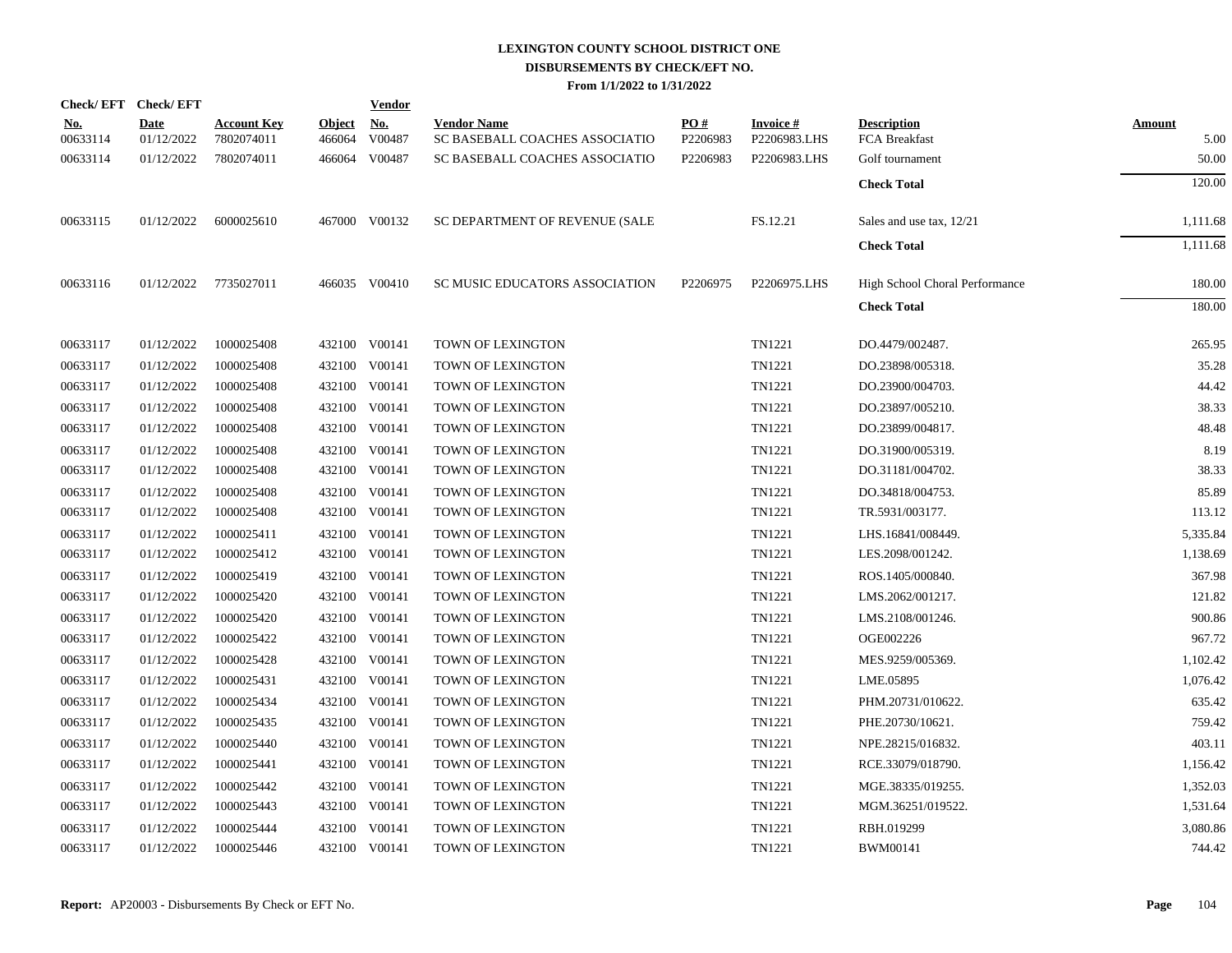|                        | Check/EFT Check/EFT       |                                  |                         | <b>Vendor</b>        |                                                      |                 |                           |                                     |                       |
|------------------------|---------------------------|----------------------------------|-------------------------|----------------------|------------------------------------------------------|-----------------|---------------------------|-------------------------------------|-----------------------|
| <u>No.</u><br>00633114 | <b>Date</b><br>01/12/2022 | <b>Account Key</b><br>7802074011 | <b>Object</b><br>466064 | <b>No.</b><br>V00487 | <b>Vendor Name</b><br>SC BASEBALL COACHES ASSOCIATIO | PO#<br>P2206983 | Invoice #<br>P2206983.LHS | <b>Description</b><br>FCA Breakfast | <b>Amount</b><br>5.00 |
| 00633114               | 01/12/2022                | 7802074011                       |                         | 466064 V00487        | SC BASEBALL COACHES ASSOCIATIO                       | P2206983        | P2206983.LHS              | Golf tournament                     | 50.00                 |
|                        |                           |                                  |                         |                      |                                                      |                 |                           | <b>Check Total</b>                  | 120.00                |
| 00633115               | 01/12/2022                | 6000025610                       |                         | 467000 V00132        | SC DEPARTMENT OF REVENUE (SALE                       |                 | FS.12.21                  | Sales and use tax, 12/21            | 1,111.68              |
|                        |                           |                                  |                         |                      |                                                      |                 |                           | <b>Check Total</b>                  | 1,111.68              |
| 00633116               |                           | 01/12/2022 7735027011            |                         | 466035 V00410        | SC MUSIC EDUCATORS ASSOCIATION                       | P2206975        | P2206975.LHS              | High School Choral Performance      | 180.00                |
|                        |                           |                                  |                         |                      |                                                      |                 |                           | <b>Check Total</b>                  | 180.00                |
| 00633117               | 01/12/2022                | 1000025408                       |                         | 432100 V00141        | TOWN OF LEXINGTON                                    |                 | TN1221                    | DO.4479/002487.                     | 265.95                |
| 00633117               | 01/12/2022                | 1000025408                       |                         | 432100 V00141        | TOWN OF LEXINGTON                                    |                 | TN1221                    | DO.23898/005318.                    | 35.28                 |
| 00633117               | 01/12/2022                | 1000025408                       |                         | 432100 V00141        | <b>TOWN OF LEXINGTON</b>                             |                 | TN1221                    | DO.23900/004703.                    | 44.42                 |
| 00633117               | 01/12/2022                | 1000025408                       |                         | 432100 V00141        | TOWN OF LEXINGTON                                    |                 | TN1221                    | DO.23897/005210.                    | 38.33                 |
| 00633117               | 01/12/2022                | 1000025408                       |                         | 432100 V00141        | TOWN OF LEXINGTON                                    |                 | TN1221                    | DO.23899/004817.                    | 48.48                 |
| 00633117               | 01/12/2022                | 1000025408                       |                         | 432100 V00141        | TOWN OF LEXINGTON                                    |                 | TN1221                    | DO.31900/005319.                    | 8.19                  |
| 00633117               | 01/12/2022                | 1000025408                       |                         | 432100 V00141        | TOWN OF LEXINGTON                                    |                 | TN1221                    | DO.31181/004702.                    | 38.33                 |
| 00633117               | 01/12/2022                | 1000025408                       |                         | 432100 V00141        | TOWN OF LEXINGTON                                    |                 | TN1221                    | DO.34818/004753.                    | 85.89                 |
| 00633117               | 01/12/2022                | 1000025408                       |                         | 432100 V00141        | TOWN OF LEXINGTON                                    |                 | TN1221                    | TR.5931/003177.                     | 113.12                |
| 00633117               | 01/12/2022                | 1000025411                       |                         | 432100 V00141        | TOWN OF LEXINGTON                                    |                 | TN1221                    | LHS.16841/008449.                   | 5,335.84              |
| 00633117               | 01/12/2022                | 1000025412                       |                         | 432100 V00141        | TOWN OF LEXINGTON                                    |                 | TN1221                    | LES.2098/001242.                    | 1,138.69              |
| 00633117               | 01/12/2022                | 1000025419                       |                         | 432100 V00141        | TOWN OF LEXINGTON                                    |                 | TN1221                    | ROS.1405/000840.                    | 367.98                |
| 00633117               | 01/12/2022                | 1000025420                       |                         | 432100 V00141        | TOWN OF LEXINGTON                                    |                 | TN1221                    | LMS.2062/001217.                    | 121.82                |
| 00633117               | 01/12/2022                | 1000025420                       |                         | 432100 V00141        | TOWN OF LEXINGTON                                    |                 | TN1221                    | LMS.2108/001246.                    | 900.86                |
| 00633117               | 01/12/2022                | 1000025422                       |                         | 432100 V00141        | TOWN OF LEXINGTON                                    |                 | TN1221                    | OGE002226                           | 967.72                |
| 00633117               | 01/12/2022                | 1000025428                       |                         | 432100 V00141        | TOWN OF LEXINGTON                                    |                 | TN1221                    | MES.9259/005369.                    | 1,102.42              |
| 00633117               | 01/12/2022                | 1000025431                       |                         | 432100 V00141        | TOWN OF LEXINGTON                                    |                 | TN1221                    | LME.05895                           | 1,076.42              |
| 00633117               | 01/12/2022                | 1000025434                       |                         | 432100 V00141        | TOWN OF LEXINGTON                                    |                 | TN1221                    | PHM.20731/010622.                   | 635.42                |
| 00633117               | 01/12/2022                | 1000025435                       |                         | 432100 V00141        | TOWN OF LEXINGTON                                    |                 | TN1221                    | PHE.20730/10621.                    | 759.42                |
| 00633117               | 01/12/2022                | 1000025440                       |                         | 432100 V00141        | TOWN OF LEXINGTON                                    |                 | TN1221                    | NPE.28215/016832.                   | 403.11                |
| 00633117               | 01/12/2022                | 1000025441                       |                         | 432100 V00141        | TOWN OF LEXINGTON                                    |                 | TN1221                    | RCE.33079/018790.                   | 1,156.42              |
| 00633117               | 01/12/2022                | 1000025442                       |                         | 432100 V00141        | TOWN OF LEXINGTON                                    |                 | TN1221                    | MGE.38335/019255.                   | 1,352.03              |
| 00633117               | 01/12/2022                | 1000025443                       |                         | 432100 V00141        | TOWN OF LEXINGTON                                    |                 | TN1221                    | MGM.36251/019522.                   | 1,531.64              |
| 00633117               | 01/12/2022                | 1000025444                       |                         | 432100 V00141        | TOWN OF LEXINGTON                                    |                 | TN1221                    | RBH.019299                          | 3,080.86              |
| 00633117               | 01/12/2022                | 1000025446                       |                         | 432100 V00141        | TOWN OF LEXINGTON                                    |                 | TN1221                    | BWM00141                            | 744.42                |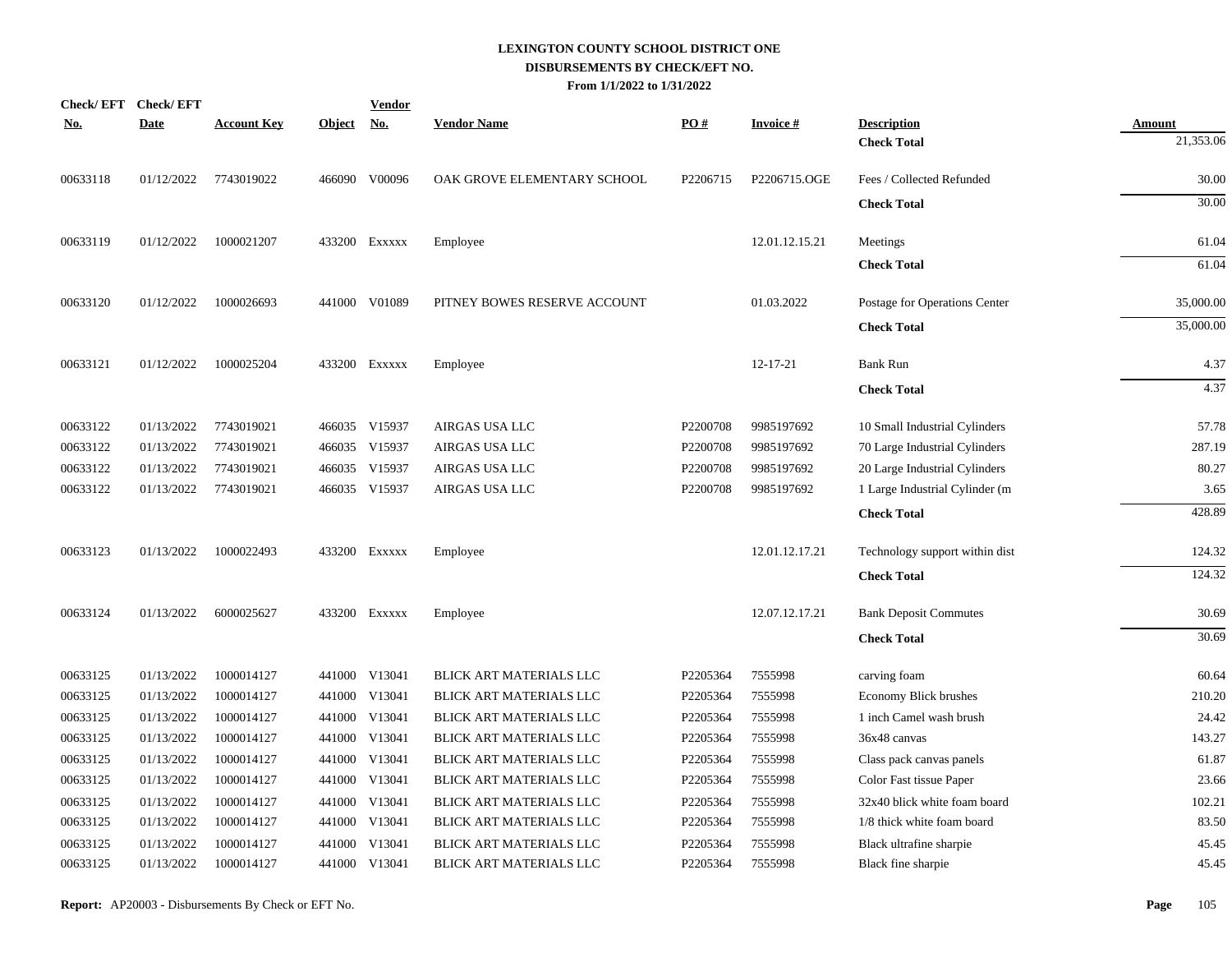| <b>Check/EFT</b> | <b>Check/EFT</b> |                    |               | <b>Vendor</b> |                                |          |                 |                                |               |
|------------------|------------------|--------------------|---------------|---------------|--------------------------------|----------|-----------------|--------------------------------|---------------|
| <u>No.</u>       | <b>Date</b>      | <b>Account Key</b> | <u>Object</u> | <u>No.</u>    | <b>Vendor Name</b>             | PO#      | <b>Invoice#</b> | <b>Description</b>             | <b>Amount</b> |
|                  |                  |                    |               |               |                                |          |                 | <b>Check Total</b>             | 21,353.06     |
| 00633118         | 01/12/2022       | 7743019022         |               | 466090 V00096 | OAK GROVE ELEMENTARY SCHOOL    | P2206715 | P2206715.OGE    | Fees / Collected Refunded      | 30.00         |
|                  |                  |                    |               |               |                                |          |                 | <b>Check Total</b>             | 30.00         |
| 00633119         | 01/12/2022       | 1000021207         |               | 433200 Exxxxx | Employee                       |          | 12.01.12.15.21  | Meetings                       | 61.04         |
|                  |                  |                    |               |               |                                |          |                 | <b>Check Total</b>             | 61.04         |
| 00633120         | 01/12/2022       | 1000026693         |               | 441000 V01089 | PITNEY BOWES RESERVE ACCOUNT   |          | 01.03.2022      | Postage for Operations Center  | 35,000.00     |
|                  |                  |                    |               |               |                                |          |                 | <b>Check Total</b>             | 35,000.00     |
| 00633121         | 01/12/2022       | 1000025204         |               | 433200 Exxxxx | Employee                       |          | $12 - 17 - 21$  | <b>Bank Run</b>                | 4.37          |
|                  |                  |                    |               |               |                                |          |                 | <b>Check Total</b>             | 4.37          |
| 00633122         | 01/13/2022       | 7743019021         |               | 466035 V15937 | AIRGAS USA LLC                 | P2200708 | 9985197692      | 10 Small Industrial Cylinders  | 57.78         |
| 00633122         | 01/13/2022       | 7743019021         |               | 466035 V15937 | AIRGAS USA LLC                 | P2200708 | 9985197692      | 70 Large Industrial Cylinders  | 287.19        |
| 00633122         | 01/13/2022       | 7743019021         | 466035        | V15937        | AIRGAS USA LLC                 | P2200708 | 9985197692      | 20 Large Industrial Cylinders  | 80.27         |
| 00633122         | 01/13/2022       | 7743019021         |               | 466035 V15937 | AIRGAS USA LLC                 | P2200708 | 9985197692      | 1 Large Industrial Cylinder (m | 3.65          |
|                  |                  |                    |               |               |                                |          |                 | <b>Check Total</b>             | 428.89        |
| 00633123         | 01/13/2022       | 1000022493         |               | 433200 Exxxxx | Employee                       |          | 12.01.12.17.21  | Technology support within dist | 124.32        |
|                  |                  |                    |               |               |                                |          |                 | <b>Check Total</b>             | 124.32        |
| 00633124         | 01/13/2022       | 6000025627         |               | 433200 Exxxxx | Employee                       |          | 12.07.12.17.21  | <b>Bank Deposit Commutes</b>   | 30.69         |
|                  |                  |                    |               |               |                                |          |                 | <b>Check Total</b>             | 30.69         |
| 00633125         | 01/13/2022       | 1000014127         |               | 441000 V13041 | BLICK ART MATERIALS LLC        | P2205364 | 7555998         | carving foam                   | 60.64         |
| 00633125         | 01/13/2022       | 1000014127         | 441000        | V13041        | BLICK ART MATERIALS LLC        | P2205364 | 7555998         | Economy Blick brushes          | 210.20        |
| 00633125         | 01/13/2022       | 1000014127         | 441000        | V13041        | BLICK ART MATERIALS LLC        | P2205364 | 7555998         | 1 inch Camel wash brush        | 24.42         |
| 00633125         | 01/13/2022       | 1000014127         | 441000        | V13041        | BLICK ART MATERIALS LLC        | P2205364 | 7555998         | 36x48 canvas                   | 143.27        |
| 00633125         | 01/13/2022       | 1000014127         | 441000        | V13041        | BLICK ART MATERIALS LLC        | P2205364 | 7555998         | Class pack canvas panels       | 61.87         |
| 00633125         | 01/13/2022       | 1000014127         |               | 441000 V13041 | BLICK ART MATERIALS LLC        | P2205364 | 7555998         | Color Fast tissue Paper        | 23.66         |
| 00633125         | 01/13/2022       | 1000014127         | 441000        | V13041        | BLICK ART MATERIALS LLC        | P2205364 | 7555998         | 32x40 blick white foam board   | 102.21        |
| 00633125         | 01/13/2022       | 1000014127         |               | 441000 V13041 | BLICK ART MATERIALS LLC        | P2205364 | 7555998         | 1/8 thick white foam board     | 83.50         |
| 00633125         | 01/13/2022       | 1000014127         | 441000        | V13041        | BLICK ART MATERIALS LLC        | P2205364 | 7555998         | Black ultrafine sharpie        | 45.45         |
| 00633125         | 01/13/2022       | 1000014127         |               | 441000 V13041 | <b>BLICK ART MATERIALS LLC</b> | P2205364 | 7555998         | Black fine sharpie             | 45.45         |
|                  |                  |                    |               |               |                                |          |                 |                                |               |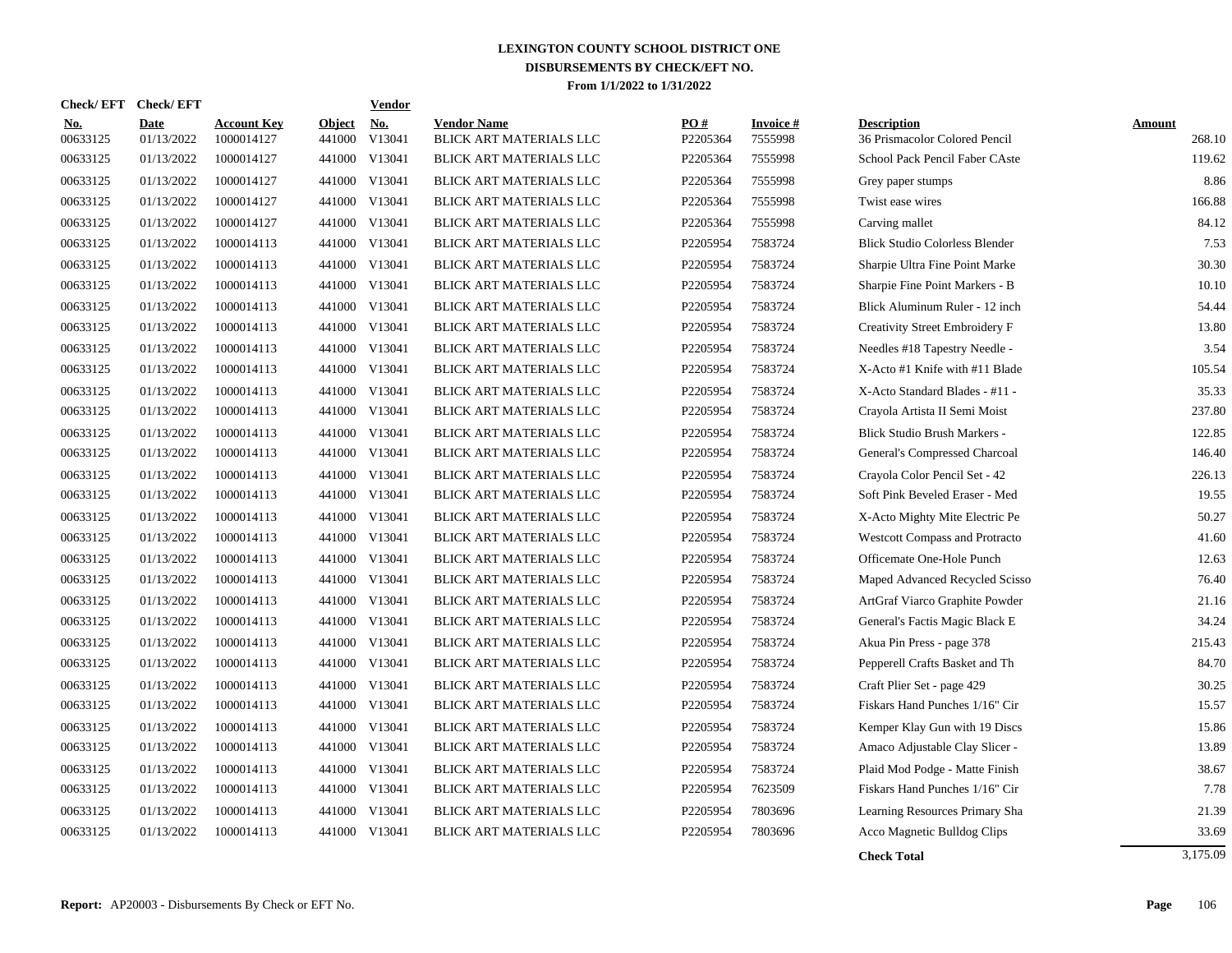| <b>Check/EFT</b>       | <b>Check/EFT</b>          |                                  |                         | <b>Vendor</b>        |                                                      |                 |                            |                                                     |                  |
|------------------------|---------------------------|----------------------------------|-------------------------|----------------------|------------------------------------------------------|-----------------|----------------------------|-----------------------------------------------------|------------------|
| <u>No.</u><br>00633125 | <b>Date</b><br>01/13/2022 | <b>Account Key</b><br>1000014127 | <b>Object</b><br>441000 | <u>No.</u><br>V13041 | <b>Vendor Name</b><br><b>BLICK ART MATERIALS LLC</b> | PO#<br>P2205364 | <b>Invoice#</b><br>7555998 | <b>Description</b><br>36 Prismacolor Colored Pencil | Amount<br>268.10 |
| 00633125               | 01/13/2022                | 1000014127                       | 441000                  | V13041               | BLICK ART MATERIALS LLC                              | P2205364        | 7555998                    | School Pack Pencil Faber CAste                      | 119.62           |
| 00633125               | 01/13/2022                | 1000014127                       | 441000                  | V13041               | BLICK ART MATERIALS LLC                              | P2205364        | 7555998                    | Grey paper stumps                                   | 8.86             |
| 00633125               | 01/13/2022                | 1000014127                       | 441000                  | V13041               | BLICK ART MATERIALS LLC                              | P2205364        | 7555998                    | Twist ease wires                                    | 166.88           |
| 00633125               | 01/13/2022                | 1000014127                       |                         | 441000 V13041        | BLICK ART MATERIALS LLC                              | P2205364        | 7555998                    | Carving mallet                                      | 84.12            |
| 00633125               | 01/13/2022                | 1000014113                       |                         | 441000 V13041        | BLICK ART MATERIALS LLC                              | P2205954        | 7583724                    | <b>Blick Studio Colorless Blender</b>               | 7.53             |
| 00633125               | 01/13/2022                | 1000014113                       | 441000                  | V13041               | BLICK ART MATERIALS LLC                              | P2205954        | 7583724                    | Sharpie Ultra Fine Point Marke                      | 30.30            |
| 00633125               | 01/13/2022                | 1000014113                       | 441000                  | V13041               | <b>BLICK ART MATERIALS LLC</b>                       | P2205954        | 7583724                    | Sharpie Fine Point Markers - B                      | 10.10            |
| 00633125               | 01/13/2022                | 1000014113                       | 441000                  | V13041               | BLICK ART MATERIALS LLC                              | P2205954        | 7583724                    | Blick Aluminum Ruler - 12 inch                      | 54.44            |
| 00633125               | 01/13/2022                | 1000014113                       | 441000                  | V13041               | BLICK ART MATERIALS LLC                              | P2205954        | 7583724                    | Creativity Street Embroidery F                      | 13.80            |
| 00633125               | 01/13/2022                | 1000014113                       | 441000                  | V13041               | BLICK ART MATERIALS LLC                              | P2205954        | 7583724                    | Needles #18 Tapestry Needle -                       | 3.54             |
| 00633125               | 01/13/2022                | 1000014113                       | 441000                  | V13041               | BLICK ART MATERIALS LLC                              | P2205954        | 7583724                    | X-Acto #1 Knife with #11 Blade                      | 105.54           |
| 00633125               | 01/13/2022                | 1000014113                       | 441000                  | V13041               | BLICK ART MATERIALS LLC                              | P2205954        | 7583724                    | X-Acto Standard Blades - #11 -                      | 35.33            |
| 00633125               | 01/13/2022                | 1000014113                       |                         | 441000 V13041        | BLICK ART MATERIALS LLC                              | P2205954        | 7583724                    | Crayola Artista II Semi Moist                       | 237.80           |
| 00633125               | 01/13/2022                | 1000014113                       |                         | 441000 V13041        | BLICK ART MATERIALS LLC                              | P2205954        | 7583724                    | Blick Studio Brush Markers -                        | 122.85           |
| 00633125               | 01/13/2022                | 1000014113                       |                         | 441000 V13041        | BLICK ART MATERIALS LLC                              | P2205954        | 7583724                    | General's Compressed Charcoal                       | 146.40           |
| 00633125               | 01/13/2022                | 1000014113                       | 441000                  | V13041               | <b>BLICK ART MATERIALS LLC</b>                       | P2205954        | 7583724                    | Crayola Color Pencil Set - 42                       | 226.13           |
| 00633125               | 01/13/2022                | 1000014113                       | 441000                  | V13041               | BLICK ART MATERIALS LLC                              | P2205954        | 7583724                    | Soft Pink Beveled Eraser - Med                      | 19.55            |
| 00633125               | 01/13/2022                | 1000014113                       | 441000                  | V13041               | BLICK ART MATERIALS LLC                              | P2205954        | 7583724                    | X-Acto Mighty Mite Electric Pe                      | 50.27            |
| 00633125               | 01/13/2022                | 1000014113                       | 441000                  | V13041               | <b>BLICK ART MATERIALS LLC</b>                       | P2205954        | 7583724                    | <b>Westcott Compass and Protracto</b>               | 41.60            |
| 00633125               | 01/13/2022                | 1000014113                       | 441000                  | V13041               | BLICK ART MATERIALS LLC                              | P2205954        | 7583724                    | Officemate One-Hole Punch                           | 12.63            |
| 00633125               | 01/13/2022                | 1000014113                       | 441000                  | V13041               | BLICK ART MATERIALS LLC                              | P2205954        | 7583724                    | Maped Advanced Recycled Scisso                      | 76.40            |
| 00633125               | 01/13/2022                | 1000014113                       | 441000                  | V13041               | BLICK ART MATERIALS LLC                              | P2205954        | 7583724                    | ArtGraf Viarco Graphite Powder                      | 21.16            |
| 00633125               | 01/13/2022                | 1000014113                       |                         | 441000 V13041        | BLICK ART MATERIALS LLC                              | P2205954        | 7583724                    | General's Factis Magic Black E                      | 34.24            |
| 00633125               | 01/13/2022                | 1000014113                       | 441000                  | V13041               | BLICK ART MATERIALS LLC                              | P2205954        | 7583724                    | Akua Pin Press - page 378                           | 215.43           |
| 00633125               | 01/13/2022                | 1000014113                       | 441000                  | V13041               | BLICK ART MATERIALS LLC                              | P2205954        | 7583724                    | Pepperell Crafts Basket and Th                      | 84.70            |
| 00633125               | 01/13/2022                | 1000014113                       | 441000                  | V13041               | BLICK ART MATERIALS LLC                              | P2205954        | 7583724                    | Craft Plier Set - page 429                          | 30.25            |
| 00633125               | 01/13/2022                | 1000014113                       | 441000                  | V13041               | BLICK ART MATERIALS LLC                              | P2205954        | 7583724                    | Fiskars Hand Punches 1/16" Cir                      | 15.57            |
| 00633125               | 01/13/2022                | 1000014113                       | 441000                  | V13041               | <b>BLICK ART MATERIALS LLC</b>                       | P2205954        | 7583724                    | Kemper Klay Gun with 19 Discs                       | 15.86            |
| 00633125               | 01/13/2022                | 1000014113                       | 441000                  | V13041               | <b>BLICK ART MATERIALS LLC</b>                       | P2205954        | 7583724                    | Amaco Adjustable Clay Slicer -                      | 13.89            |
| 00633125               | 01/13/2022                | 1000014113                       | 441000                  | V13041               | BLICK ART MATERIALS LLC                              | P2205954        | 7583724                    | Plaid Mod Podge - Matte Finish                      | 38.67            |
| 00633125               | 01/13/2022                | 1000014113                       | 441000                  | V13041               | BLICK ART MATERIALS LLC                              | P2205954        | 7623509                    | Fiskars Hand Punches 1/16" Cir                      | 7.78             |
| 00633125               | 01/13/2022                | 1000014113                       | 441000                  | V13041               | <b>BLICK ART MATERIALS LLC</b>                       | P2205954        | 7803696                    | Learning Resources Primary Sha                      | 21.39            |
| 00633125               | 01/13/2022                | 1000014113                       |                         | 441000 V13041        | <b>BLICK ART MATERIALS LLC</b>                       | P2205954        | 7803696                    | Acco Magnetic Bulldog Clips                         | 33.69            |
|                        |                           |                                  |                         |                      |                                                      |                 |                            |                                                     |                  |

**Check Total** 3,175.09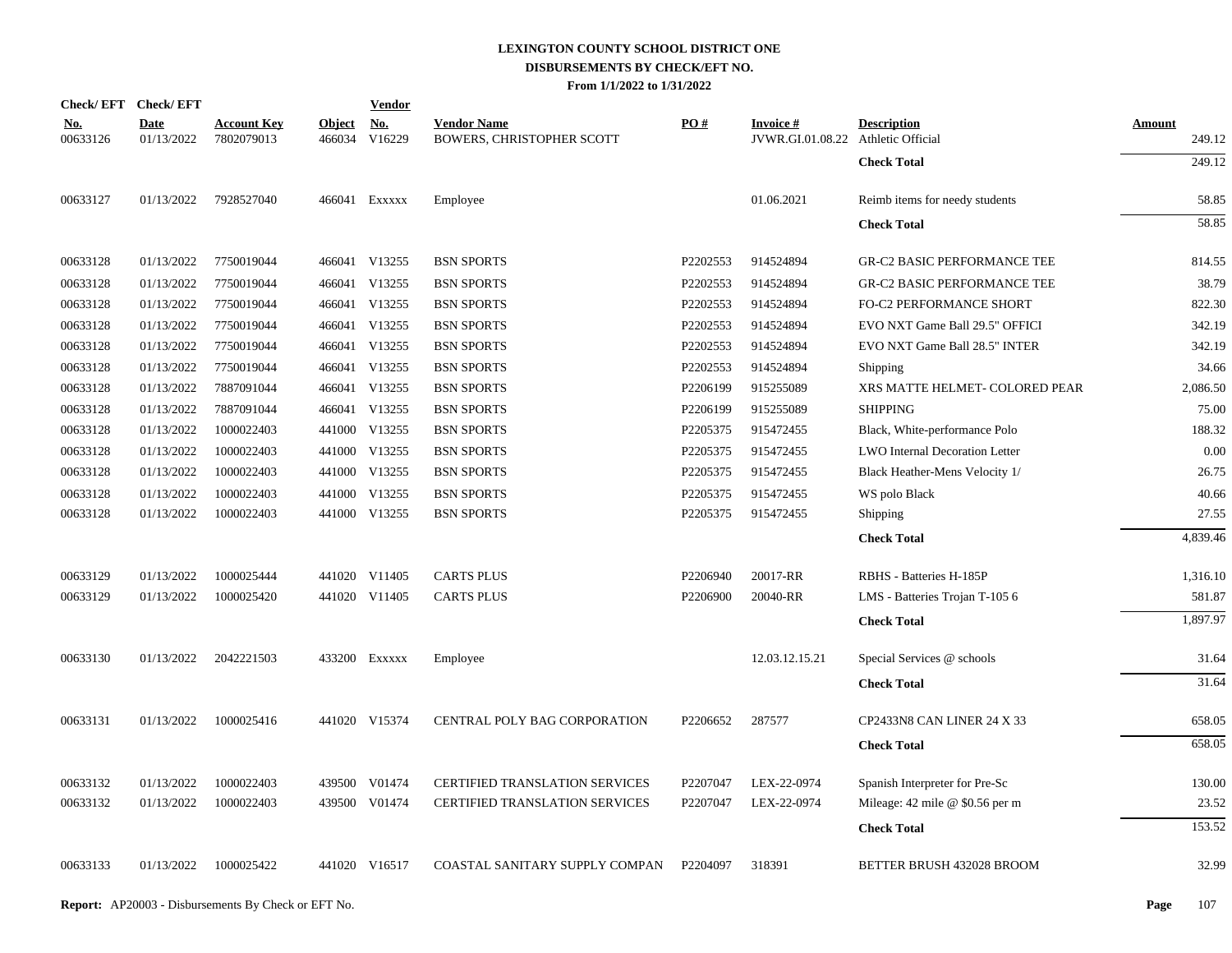| Check/EFT Check/EFT    |                           |                                  |                         | <b>Vendor</b>        |                                                 |          |                                                       |                                    |                  |
|------------------------|---------------------------|----------------------------------|-------------------------|----------------------|-------------------------------------------------|----------|-------------------------------------------------------|------------------------------------|------------------|
| <u>No.</u><br>00633126 | <b>Date</b><br>01/13/2022 | <b>Account Key</b><br>7802079013 | <b>Object</b><br>466034 | <b>No.</b><br>V16229 | <b>Vendor Name</b><br>BOWERS, CHRISTOPHER SCOTT | PO#      | <b>Invoice#</b><br>JVWR.GI.01.08.22 Athletic Official | <b>Description</b>                 | Amount<br>249.12 |
|                        |                           |                                  |                         |                      |                                                 |          |                                                       | <b>Check Total</b>                 | 249.12           |
| 00633127               | 01/13/2022                | 7928527040                       |                         | 466041 EXXXXX        | Employee                                        |          | 01.06.2021                                            | Reimb items for needy students     | 58.85            |
|                        |                           |                                  |                         |                      |                                                 |          |                                                       | <b>Check Total</b>                 | 58.85            |
| 00633128               | 01/13/2022                | 7750019044                       |                         | 466041 V13255        | <b>BSN SPORTS</b>                               | P2202553 | 914524894                                             | <b>GR-C2 BASIC PERFORMANCE TEE</b> | 814.55           |
| 00633128               | 01/13/2022                | 7750019044                       |                         | 466041 V13255        | <b>BSN SPORTS</b>                               | P2202553 | 914524894                                             | <b>GR-C2 BASIC PERFORMANCE TEE</b> | 38.79            |
| 00633128               | 01/13/2022                | 7750019044                       |                         | 466041 V13255        | <b>BSN SPORTS</b>                               | P2202553 | 914524894                                             | FO-C2 PERFORMANCE SHORT            | 822.30           |
| 00633128               | 01/13/2022                | 7750019044                       |                         | 466041 V13255        | <b>BSN SPORTS</b>                               | P2202553 | 914524894                                             | EVO NXT Game Ball 29.5" OFFICI     | 342.19           |
| 00633128               | 01/13/2022                | 7750019044                       |                         | 466041 V13255        | <b>BSN SPORTS</b>                               | P2202553 | 914524894                                             | EVO NXT Game Ball 28.5" INTER      | 342.19           |
| 00633128               | 01/13/2022                | 7750019044                       |                         | 466041 V13255        | <b>BSN SPORTS</b>                               | P2202553 | 914524894                                             | Shipping                           | 34.66            |
| 00633128               | 01/13/2022                | 7887091044                       |                         | 466041 V13255        | <b>BSN SPORTS</b>                               | P2206199 | 915255089                                             | XRS MATTE HELMET- COLORED PEAR     | 2,086.50         |
| 00633128               | 01/13/2022                | 7887091044                       |                         | 466041 V13255        | <b>BSN SPORTS</b>                               | P2206199 | 915255089                                             | <b>SHIPPING</b>                    | 75.00            |
| 00633128               | 01/13/2022                | 1000022403                       |                         | 441000 V13255        | <b>BSN SPORTS</b>                               | P2205375 | 915472455                                             | Black, White-performance Polo      | 188.32           |
| 00633128               | 01/13/2022                | 1000022403                       |                         | 441000 V13255        | <b>BSN SPORTS</b>                               | P2205375 | 915472455                                             | LWO Internal Decoration Letter     | 0.00             |
| 00633128               | 01/13/2022                | 1000022403                       |                         | 441000 V13255        | <b>BSN SPORTS</b>                               | P2205375 | 915472455                                             | Black Heather-Mens Velocity 1/     | 26.75            |
| 00633128               | 01/13/2022                | 1000022403                       |                         | 441000 V13255        | <b>BSN SPORTS</b>                               | P2205375 | 915472455                                             | WS polo Black                      | 40.66            |
| 00633128               | 01/13/2022                | 1000022403                       |                         | 441000 V13255        | <b>BSN SPORTS</b>                               | P2205375 | 915472455                                             | Shipping                           | 27.55            |
|                        |                           |                                  |                         |                      |                                                 |          |                                                       | <b>Check Total</b>                 | 4,839.46         |
| 00633129               | 01/13/2022                | 1000025444                       |                         | 441020 V11405        | <b>CARTS PLUS</b>                               | P2206940 | 20017-RR                                              | RBHS - Batteries H-185P            | 1,316.10         |
| 00633129               | 01/13/2022                | 1000025420                       |                         | 441020 V11405        | <b>CARTS PLUS</b>                               | P2206900 | 20040-RR                                              | LMS - Batteries Trojan T-105 6     | 581.87           |
|                        |                           |                                  |                         |                      |                                                 |          |                                                       | <b>Check Total</b>                 | 1,897.97         |
| 00633130               | 01/13/2022                | 2042221503                       |                         | 433200 EXXXXX        | Employee                                        |          | 12.03.12.15.21                                        | Special Services @ schools         | 31.64            |
|                        |                           |                                  |                         |                      |                                                 |          |                                                       | <b>Check Total</b>                 | 31.64            |
| 00633131               | 01/13/2022                | 1000025416                       |                         | 441020 V15374        | <b>CENTRAL POLY BAG CORPORATION</b>             | P2206652 | 287577                                                | CP2433N8 CAN LINER 24 X 33         | 658.05           |
|                        |                           |                                  |                         |                      |                                                 |          |                                                       | <b>Check Total</b>                 | 658.05           |
| 00633132               | 01/13/2022                | 1000022403                       | 439500                  | V01474               | CERTIFIED TRANSLATION SERVICES                  | P2207047 | LEX-22-0974                                           | Spanish Interpreter for Pre-Sc     | 130.00           |
| 00633132               | 01/13/2022                | 1000022403                       |                         | 439500 V01474        | <b>CERTIFIED TRANSLATION SERVICES</b>           | P2207047 | LEX-22-0974                                           | Mileage: $42$ mile @ \$0.56 per m  | 23.52            |
|                        |                           |                                  |                         |                      |                                                 |          |                                                       | <b>Check Total</b>                 | 153.52           |
| 00633133               | 01/13/2022                | 1000025422                       |                         | 441020 V16517        | COASTAL SANITARY SUPPLY COMPAN                  | P2204097 | 318391                                                | BETTER BRUSH 432028 BROOM          | 32.99            |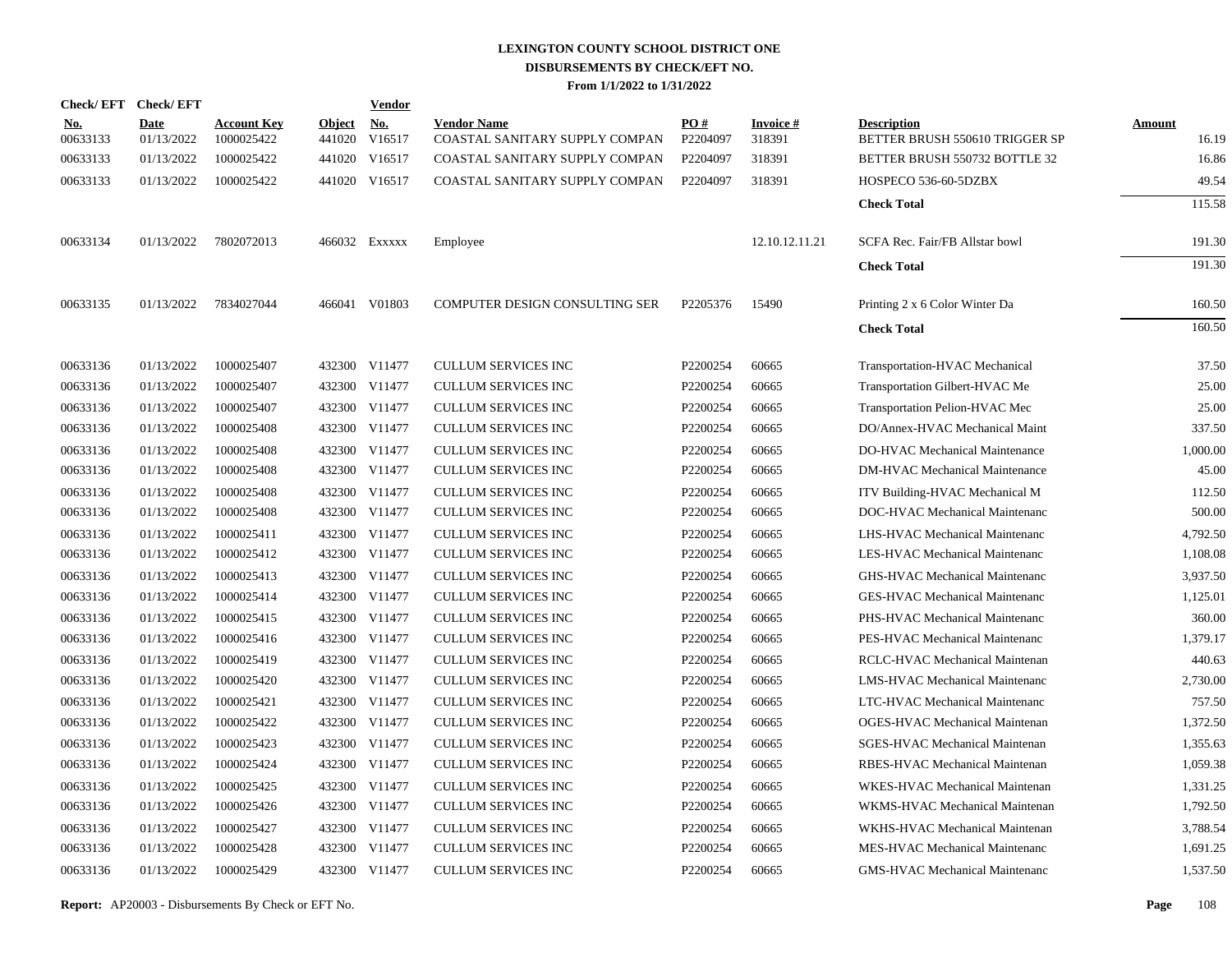| <b>Check/EFT</b>       | <b>Check/EFT</b>   |                                  |                         | Vendor        |                                                      |                 |                           |                                                      |                        |
|------------------------|--------------------|----------------------------------|-------------------------|---------------|------------------------------------------------------|-----------------|---------------------------|------------------------------------------------------|------------------------|
| <u>No.</u><br>00633133 | Date<br>01/13/2022 | <b>Account Key</b><br>1000025422 | <b>Object</b><br>441020 | No.<br>V16517 | <b>Vendor Name</b><br>COASTAL SANITARY SUPPLY COMPAN | PO#<br>P2204097 | <b>Invoice#</b><br>318391 | <b>Description</b><br>BETTER BRUSH 550610 TRIGGER SP | <b>Amount</b><br>16.19 |
| 00633133               | 01/13/2022         | 1000025422                       | 441020                  | V16517        | COASTAL SANITARY SUPPLY COMPAN                       | P2204097        | 318391                    | BETTER BRUSH 550732 BOTTLE 32                        | 16.86                  |
| 00633133               | 01/13/2022         | 1000025422                       |                         | 441020 V16517 | COASTAL SANITARY SUPPLY COMPAN                       | P2204097        | 318391                    | HOSPECO 536-60-5DZBX                                 | 49.54                  |
|                        |                    |                                  |                         |               |                                                      |                 |                           | <b>Check Total</b>                                   | 115.58                 |
| 00633134               | 01/13/2022         | 7802072013                       |                         | 466032 Exxxxx | Employee                                             |                 | 12.10.12.11.21            | SCFA Rec. Fair/FB Allstar bowl                       | 191.30                 |
|                        |                    |                                  |                         |               |                                                      |                 |                           | <b>Check Total</b>                                   | 191.30                 |
| 00633135               | 01/13/2022         | 7834027044                       |                         | 466041 V01803 | COMPUTER DESIGN CONSULTING SER                       | P2205376        | 15490                     | Printing 2 x 6 Color Winter Da                       | 160.50                 |
|                        |                    |                                  |                         |               |                                                      |                 |                           | <b>Check Total</b>                                   | 160.50                 |
| 00633136               | 01/13/2022         | 1000025407                       |                         | 432300 V11477 | <b>CULLUM SERVICES INC</b>                           | P2200254        | 60665                     | Transportation-HVAC Mechanical                       | 37.50                  |
| 00633136               | 01/13/2022         | 1000025407                       |                         | 432300 V11477 | <b>CULLUM SERVICES INC</b>                           | P2200254        | 60665                     | Transportation Gilbert-HVAC Me                       | 25.00                  |
| 00633136               | 01/13/2022         | 1000025407                       |                         | 432300 V11477 | <b>CULLUM SERVICES INC</b>                           | P2200254        | 60665                     | Transportation Pelion-HVAC Mec                       | 25.00                  |
| 00633136               | 01/13/2022         | 1000025408                       |                         | 432300 V11477 | <b>CULLUM SERVICES INC</b>                           | P2200254        | 60665                     | DO/Annex-HVAC Mechanical Maint                       | 337.50                 |
| 00633136               | 01/13/2022         | 1000025408                       |                         | 432300 V11477 | <b>CULLUM SERVICES INC</b>                           | P2200254        | 60665                     | DO-HVAC Mechanical Maintenance                       | 1,000.00               |
| 00633136               | 01/13/2022         | 1000025408                       |                         | 432300 V11477 | <b>CULLUM SERVICES INC</b>                           | P2200254        | 60665                     | <b>DM-HVAC Mechanical Maintenance</b>                | 45.00                  |
| 00633136               | 01/13/2022         | 1000025408                       |                         | 432300 V11477 | <b>CULLUM SERVICES INC</b>                           | P2200254        | 60665                     | ITV Building-HVAC Mechanical M                       | 112.50                 |
| 00633136               | 01/13/2022         | 1000025408                       |                         | 432300 V11477 | <b>CULLUM SERVICES INC</b>                           | P2200254        | 60665                     | DOC-HVAC Mechanical Maintenanc                       | 500.00                 |
| 00633136               | 01/13/2022         | 1000025411                       |                         | 432300 V11477 | <b>CULLUM SERVICES INC</b>                           | P2200254        | 60665                     | LHS-HVAC Mechanical Maintenanc                       | 4,792.50               |
| 00633136               | 01/13/2022         | 1000025412                       |                         | 432300 V11477 | <b>CULLUM SERVICES INC</b>                           | P2200254        | 60665                     | LES-HVAC Mechanical Maintenanc                       | 1,108.08               |
| 00633136               | 01/13/2022         | 1000025413                       |                         | 432300 V11477 | <b>CULLUM SERVICES INC</b>                           | P2200254        | 60665                     | GHS-HVAC Mechanical Maintenanc                       | 3,937.50               |
| 00633136               | 01/13/2022         | 1000025414                       |                         | 432300 V11477 | <b>CULLUM SERVICES INC</b>                           | P2200254        | 60665                     | <b>GES-HVAC Mechanical Maintenanc</b>                | 1,125.01               |
| 00633136               | 01/13/2022         | 1000025415                       |                         | 432300 V11477 | <b>CULLUM SERVICES INC</b>                           | P2200254        | 60665                     | PHS-HVAC Mechanical Maintenanc                       | 360.00                 |
| 00633136               | 01/13/2022         | 1000025416                       |                         | 432300 V11477 | <b>CULLUM SERVICES INC</b>                           | P2200254        | 60665                     | PES-HVAC Mechanical Maintenanc                       | 1.379.17               |
| 00633136               | 01/13/2022         | 1000025419                       |                         | 432300 V11477 | <b>CULLUM SERVICES INC</b>                           | P2200254        | 60665                     | RCLC-HVAC Mechanical Maintenan                       | 440.63                 |
| 00633136               | 01/13/2022         | 1000025420                       |                         | 432300 V11477 | <b>CULLUM SERVICES INC</b>                           | P2200254        | 60665                     | <b>LMS-HVAC Mechanical Maintenanc</b>                | 2,730.00               |
| 00633136               | 01/13/2022         | 1000025421                       |                         | 432300 V11477 | <b>CULLUM SERVICES INC</b>                           | P2200254        | 60665                     | LTC-HVAC Mechanical Maintenanc                       | 757.50                 |
| 00633136               | 01/13/2022         | 1000025422                       |                         | 432300 V11477 | <b>CULLUM SERVICES INC</b>                           | P2200254        | 60665                     | <b>OGES-HVAC Mechanical Maintenan</b>                | 1,372.50               |
| 00633136               | 01/13/2022         | 1000025423                       |                         | 432300 V11477 | <b>CULLUM SERVICES INC</b>                           | P2200254        | 60665                     | SGES-HVAC Mechanical Maintenan                       | 1,355.63               |
| 00633136               | 01/13/2022         | 1000025424                       |                         | 432300 V11477 | <b>CULLUM SERVICES INC</b>                           | P2200254        | 60665                     | RBES-HVAC Mechanical Maintenan                       | 1,059.38               |
| 00633136               | 01/13/2022         | 1000025425                       |                         | 432300 V11477 | <b>CULLUM SERVICES INC</b>                           | P2200254        | 60665                     | WKES-HVAC Mechanical Maintenan                       | 1,331.25               |
| 00633136               | 01/13/2022         | 1000025426                       |                         | 432300 V11477 | <b>CULLUM SERVICES INC</b>                           | P2200254        | 60665                     | WKMS-HVAC Mechanical Maintenan                       | 1,792.50               |
| 00633136               | 01/13/2022         | 1000025427                       |                         | 432300 V11477 | <b>CULLUM SERVICES INC</b>                           | P2200254        | 60665                     | WKHS-HVAC Mechanical Maintenan                       | 3,788.54               |
| 00633136               | 01/13/2022         | 1000025428                       |                         | 432300 V11477 | <b>CULLUM SERVICES INC</b>                           | P2200254        | 60665                     | MES-HVAC Mechanical Maintenanc                       | 1,691.25               |
| 00633136               | 01/13/2022         | 1000025429                       |                         | 432300 V11477 | <b>CULLUM SERVICES INC</b>                           | P2200254        | 60665                     | <b>GMS-HVAC Mechanical Maintenanc</b>                | 1,537.50               |
|                        |                    |                                  |                         |               |                                                      |                 |                           |                                                      |                        |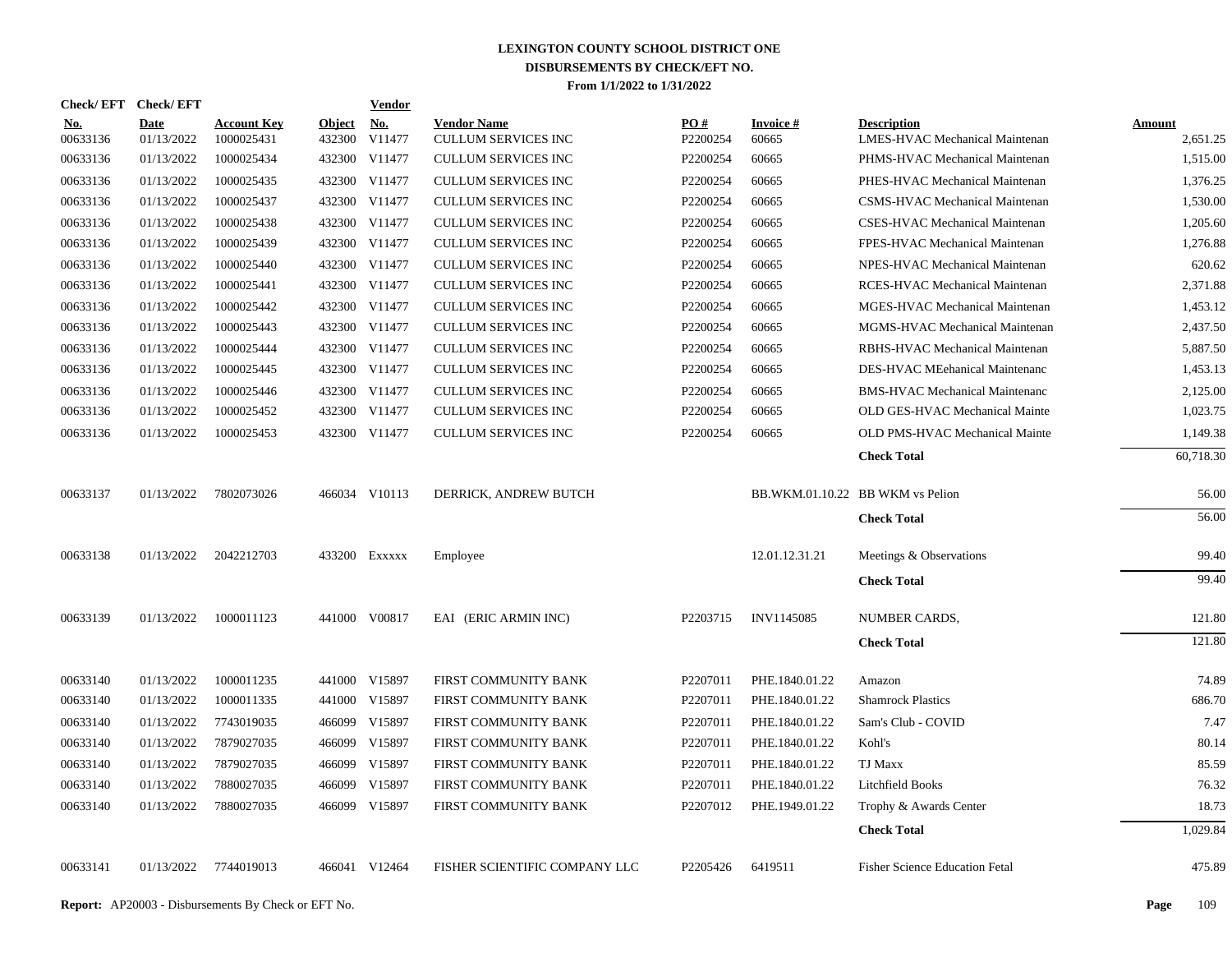|                        | Check/EFT Check/EFT       |                                  |                         | <b>Vendor</b>        |                                           |                 |                           |                                                      |                           |
|------------------------|---------------------------|----------------------------------|-------------------------|----------------------|-------------------------------------------|-----------------|---------------------------|------------------------------------------------------|---------------------------|
| <u>No.</u><br>00633136 | <b>Date</b><br>01/13/2022 | <b>Account Key</b><br>1000025431 | <b>Object</b><br>432300 | <b>No.</b><br>V11477 | <b>Vendor Name</b><br>CULLUM SERVICES INC | PQ#<br>P2200254 | <b>Invoice #</b><br>60665 | <b>Description</b><br>LMES-HVAC Mechanical Maintenan | <b>Amount</b><br>2,651.25 |
| 00633136               | 01/13/2022                | 1000025434                       |                         | 432300 V11477        | <b>CULLUM SERVICES INC</b>                | P2200254        | 60665                     | PHMS-HVAC Mechanical Maintenan                       | 1,515.00                  |
| 00633136               | 01/13/2022                | 1000025435                       |                         | 432300 V11477        | <b>CULLUM SERVICES INC</b>                | P2200254        | 60665                     | PHES-HVAC Mechanical Maintenan                       | 1,376.25                  |
| 00633136               | 01/13/2022                | 1000025437                       |                         | 432300 V11477        | <b>CULLUM SERVICES INC</b>                | P2200254        | 60665                     | CSMS-HVAC Mechanical Maintenan                       | 1.530.00                  |
| 00633136               | 01/13/2022                | 1000025438                       |                         | 432300 V11477        | <b>CULLUM SERVICES INC</b>                | P2200254        | 60665                     | CSES-HVAC Mechanical Maintenan                       | 1,205.60                  |
| 00633136               | 01/13/2022                | 1000025439                       |                         | 432300 V11477        | CULLUM SERVICES INC                       | P2200254        | 60665                     | FPES-HVAC Mechanical Maintenan                       | 1,276.88                  |
| 00633136               | 01/13/2022                | 1000025440                       |                         | 432300 V11477        | CULLUM SERVICES INC                       | P2200254        | 60665                     | NPES-HVAC Mechanical Maintenan                       | 620.62                    |
| 00633136               | 01/13/2022                | 1000025441                       |                         | 432300 V11477        | CULLUM SERVICES INC                       | P2200254        | 60665                     | RCES-HVAC Mechanical Maintenan                       | 2,371.88                  |
| 00633136               | 01/13/2022                | 1000025442                       |                         | 432300 V11477        | CULLUM SERVICES INC                       | P2200254        | 60665                     | MGES-HVAC Mechanical Maintenan                       | 1,453.12                  |
| 00633136               | 01/13/2022                | 1000025443                       |                         | 432300 V11477        | <b>CULLUM SERVICES INC</b>                | P2200254        | 60665                     | MGMS-HVAC Mechanical Maintenan                       | 2,437.50                  |
| 00633136               | 01/13/2022                | 1000025444                       |                         | 432300 V11477        | <b>CULLUM SERVICES INC</b>                | P2200254        | 60665                     | RBHS-HVAC Mechanical Maintenan                       | 5,887.50                  |
| 00633136               | 01/13/2022                | 1000025445                       |                         | 432300 V11477        | <b>CULLUM SERVICES INC</b>                | P2200254        | 60665                     | DES-HVAC MEehanical Maintenanc                       | 1,453.13                  |
| 00633136               | 01/13/2022                | 1000025446                       |                         | 432300 V11477        | <b>CULLUM SERVICES INC</b>                | P2200254        | 60665                     | <b>BMS-HVAC Mechanical Maintenanc</b>                | 2,125.00                  |
| 00633136               | 01/13/2022                | 1000025452                       |                         | 432300 V11477        | CULLUM SERVICES INC                       | P2200254        | 60665                     | OLD GES-HVAC Mechanical Mainte                       | 1,023.75                  |
| 00633136               | 01/13/2022                | 1000025453                       |                         | 432300 V11477        | <b>CULLUM SERVICES INC</b>                | P2200254        | 60665                     | OLD PMS-HVAC Mechanical Mainte                       | 1,149.38                  |
|                        |                           |                                  |                         |                      |                                           |                 |                           | <b>Check Total</b>                                   | 60,718.30                 |
| 00633137               | 01/13/2022                | 7802073026                       |                         | 466034 V10113        | DERRICK, ANDREW BUTCH                     |                 |                           | BB.WKM.01.10.22 BB WKM vs Pelion                     | 56.00                     |
|                        |                           |                                  |                         |                      |                                           |                 |                           | <b>Check Total</b>                                   | 56.00                     |
| 00633138               | 01/13/2022                | 2042212703                       |                         | 433200 EXXXXX        | Employee                                  |                 | 12.01.12.31.21            | Meetings & Observations                              | 99.40                     |
|                        |                           |                                  |                         |                      |                                           |                 |                           | <b>Check Total</b>                                   | 99.40                     |
| 00633139               | 01/13/2022                | 1000011123                       |                         | 441000 V00817        | EAI (ERIC ARMIN INC)                      | P2203715        | INV1145085                | NUMBER CARDS,                                        | 121.80                    |
|                        |                           |                                  |                         |                      |                                           |                 |                           | <b>Check Total</b>                                   | 121.80                    |
| 00633140               | 01/13/2022                | 1000011235                       |                         | 441000 V15897        | FIRST COMMUNITY BANK                      | P2207011        | PHE.1840.01.22            | Amazon                                               | 74.89                     |
| 00633140               | 01/13/2022                | 1000011335                       |                         | 441000 V15897        | FIRST COMMUNITY BANK                      | P2207011        | PHE.1840.01.22            | <b>Shamrock Plastics</b>                             | 686.70                    |
| 00633140               | 01/13/2022                | 7743019035                       |                         | 466099 V15897        | FIRST COMMUNITY BANK                      | P2207011        | PHE.1840.01.22            | Sam's Club - COVID                                   | 7.47                      |
| 00633140               | 01/13/2022                | 7879027035                       |                         | 466099 V15897        | FIRST COMMUNITY BANK                      | P2207011        | PHE.1840.01.22            | Kohl's                                               | 80.14                     |
| 00633140               | 01/13/2022                | 7879027035                       |                         | 466099 V15897        | FIRST COMMUNITY BANK                      | P2207011        | PHE.1840.01.22            | TJ Maxx                                              | 85.59                     |
| 00633140               | 01/13/2022                | 7880027035                       |                         | 466099 V15897        | FIRST COMMUNITY BANK                      | P2207011        | PHE.1840.01.22            | <b>Litchfield Books</b>                              | 76.32                     |
| 00633140               | 01/13/2022                | 7880027035                       |                         | 466099 V15897        | FIRST COMMUNITY BANK                      | P2207012        | PHE.1949.01.22            | Trophy & Awards Center                               | 18.73                     |
|                        |                           |                                  |                         |                      |                                           |                 |                           | <b>Check Total</b>                                   | 1,029.84                  |
| 00633141               | 01/13/2022                | 7744019013                       |                         | 466041 V12464        | FISHER SCIENTIFIC COMPANY LLC             | P2205426        | 6419511                   | <b>Fisher Science Education Fetal</b>                | 475.89                    |
|                        |                           |                                  |                         |                      |                                           |                 |                           |                                                      |                           |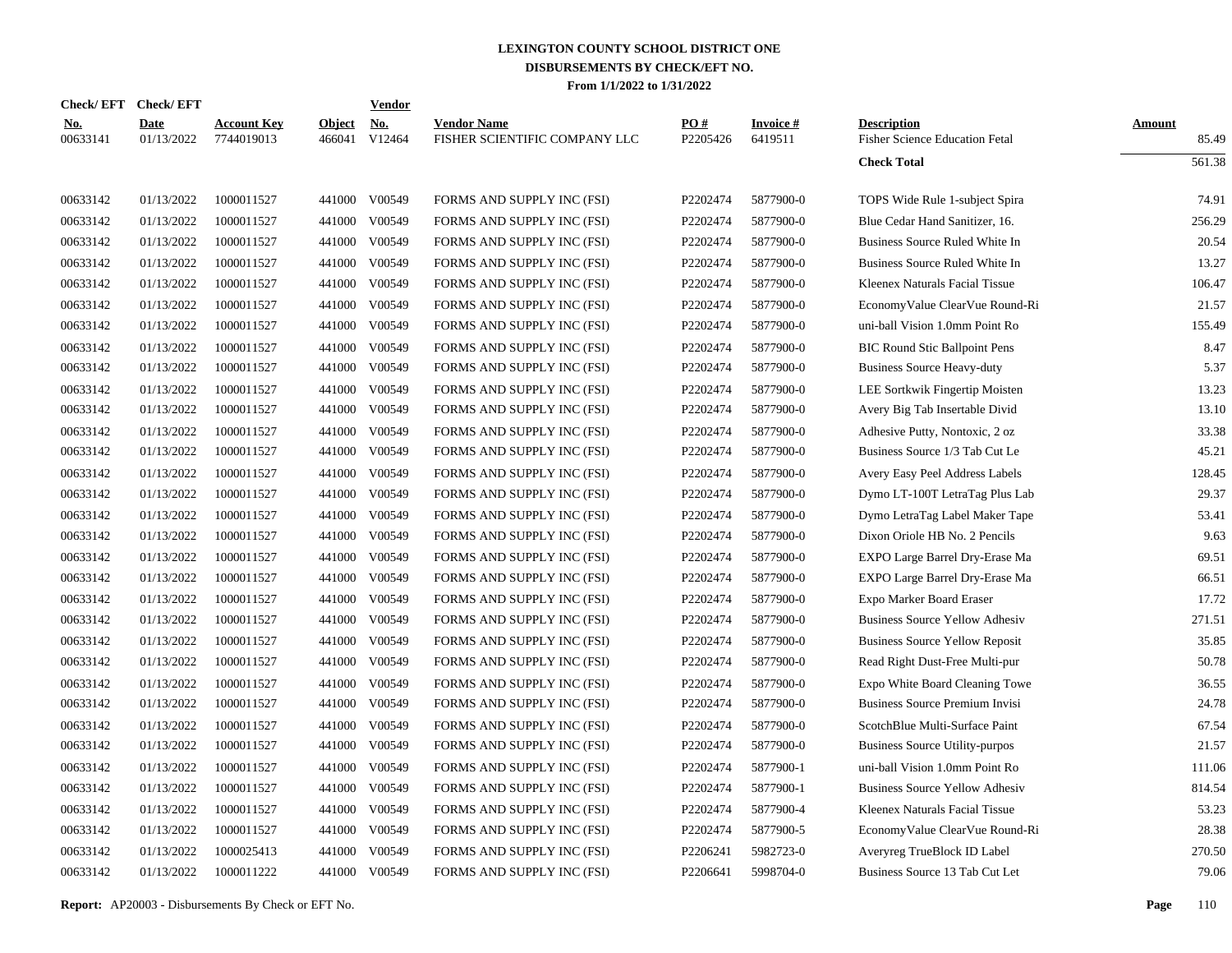| Check/EFT Check/EFT    |                           |                                  |                         | <b>Vendor</b> |                                                     |                 |                            |                                                             |                        |
|------------------------|---------------------------|----------------------------------|-------------------------|---------------|-----------------------------------------------------|-----------------|----------------------------|-------------------------------------------------------------|------------------------|
| <b>No.</b><br>00633141 | <b>Date</b><br>01/13/2022 | <b>Account Key</b><br>7744019013 | <b>Object</b><br>466041 | No.<br>V12464 | <b>Vendor Name</b><br>FISHER SCIENTIFIC COMPANY LLC | PO#<br>P2205426 | <b>Invoice#</b><br>6419511 | <b>Description</b><br><b>Fisher Science Education Fetal</b> | <b>Amount</b><br>85.49 |
|                        |                           |                                  |                         |               |                                                     |                 |                            | <b>Check Total</b>                                          | 561.38                 |
| 00633142               | 01/13/2022                | 1000011527                       |                         | 441000 V00549 | FORMS AND SUPPLY INC (FSI)                          | P2202474        | 5877900-0                  | TOPS Wide Rule 1-subject Spira                              | 74.91                  |
| 00633142               | 01/13/2022                | 1000011527                       | 441000                  | V00549        | FORMS AND SUPPLY INC (FSI)                          | P2202474        | 5877900-0                  | Blue Cedar Hand Sanitizer, 16.                              | 256.29                 |
| 00633142               | 01/13/2022                | 1000011527                       | 441000                  | V00549        | FORMS AND SUPPLY INC (FSI)                          | P2202474        | 5877900-0                  | Business Source Ruled White In                              | 20.54                  |
| 00633142               | 01/13/2022                | 1000011527                       | 441000                  | V00549        | FORMS AND SUPPLY INC (FSI)                          | P2202474        | 5877900-0                  | Business Source Ruled White In                              | 13.27                  |
| 00633142               | 01/13/2022                | 1000011527                       | 441000                  | V00549        | FORMS AND SUPPLY INC (FSI)                          | P2202474        | 5877900-0                  | Kleenex Naturals Facial Tissue                              | 106.47                 |
| 00633142               | 01/13/2022                | 1000011527                       | 441000                  | V00549        | FORMS AND SUPPLY INC (FSI)                          | P2202474        | 5877900-0                  | EconomyValue ClearVue Round-Ri                              | 21.57                  |
| 00633142               | 01/13/2022                | 1000011527                       | 441000                  | V00549        | FORMS AND SUPPLY INC (FSI)                          | P2202474        | 5877900-0                  | uni-ball Vision 1.0mm Point Ro                              | 155.49                 |
| 00633142               | 01/13/2022                | 1000011527                       | 441000                  | V00549        | FORMS AND SUPPLY INC (FSI)                          | P2202474        | 5877900-0                  | <b>BIC Round Stic Ballpoint Pens</b>                        | 8.47                   |
| 00633142               | 01/13/2022                | 1000011527                       | 441000                  | V00549        | FORMS AND SUPPLY INC (FSI)                          | P2202474        | 5877900-0                  | <b>Business Source Heavy-duty</b>                           | 5.37                   |
| 00633142               | 01/13/2022                | 1000011527                       | 441000                  | V00549        | FORMS AND SUPPLY INC (FSI)                          | P2202474        | 5877900-0                  | LEE Sortkwik Fingertip Moisten                              | 13.23                  |
| 00633142               | 01/13/2022                | 1000011527                       | 441000                  | V00549        | FORMS AND SUPPLY INC (FSI)                          | P2202474        | 5877900-0                  | Avery Big Tab Insertable Divid                              | 13.10                  |
| 00633142               | 01/13/2022                | 1000011527                       | 441000                  | V00549        | FORMS AND SUPPLY INC (FSI)                          | P2202474        | 5877900-0                  | Adhesive Putty, Nontoxic, 2 oz                              | 33.38                  |
| 00633142               | 01/13/2022                | 1000011527                       | 441000                  | V00549        | FORMS AND SUPPLY INC (FSI)                          | P2202474        | 5877900-0                  | Business Source 1/3 Tab Cut Le                              | 45.21                  |
| 00633142               | 01/13/2022                | 1000011527                       | 441000                  | V00549        | FORMS AND SUPPLY INC (FSI)                          | P2202474        | 5877900-0                  | Avery Easy Peel Address Labels                              | 128.45                 |
| 00633142               | 01/13/2022                | 1000011527                       | 441000                  | V00549        | FORMS AND SUPPLY INC (FSI)                          | P2202474        | 5877900-0                  | Dymo LT-100T LetraTag Plus Lab                              | 29.37                  |
| 00633142               | 01/13/2022                | 1000011527                       | 441000                  | V00549        | FORMS AND SUPPLY INC (FSI)                          | P2202474        | 5877900-0                  | Dymo LetraTag Label Maker Tape                              | 53.41                  |
| 00633142               | 01/13/2022                | 1000011527                       | 441000                  | V00549        | FORMS AND SUPPLY INC (FSI)                          | P2202474        | 5877900-0                  | Dixon Oriole HB No. 2 Pencils                               | 9.63                   |
| 00633142               | 01/13/2022                | 1000011527                       | 441000                  | V00549        | FORMS AND SUPPLY INC (FSI)                          | P2202474        | 5877900-0                  | EXPO Large Barrel Dry-Erase Ma                              | 69.51                  |
| 00633142               | 01/13/2022                | 1000011527                       | 441000                  | V00549        | FORMS AND SUPPLY INC (FSI)                          | P2202474        | 5877900-0                  | EXPO Large Barrel Dry-Erase Ma                              | 66.51                  |
| 00633142               | 01/13/2022                | 1000011527                       | 441000                  | V00549        | FORMS AND SUPPLY INC (FSI)                          | P2202474        | 5877900-0                  | Expo Marker Board Eraser                                    | 17.72                  |
| 00633142               | 01/13/2022                | 1000011527                       | 441000                  | V00549        | FORMS AND SUPPLY INC (FSI)                          | P2202474        | 5877900-0                  | <b>Business Source Yellow Adhesiv</b>                       | 271.51                 |
| 00633142               | 01/13/2022                | 1000011527                       | 441000                  | V00549        | FORMS AND SUPPLY INC (FSI)                          | P2202474        | 5877900-0                  | <b>Business Source Yellow Reposit</b>                       | 35.85                  |
| 00633142               | 01/13/2022                | 1000011527                       | 441000                  | V00549        | FORMS AND SUPPLY INC (FSI)                          | P2202474        | 5877900-0                  | Read Right Dust-Free Multi-pur                              | 50.78                  |
| 00633142               | 01/13/2022                | 1000011527                       | 441000                  | V00549        | FORMS AND SUPPLY INC (FSI)                          | P2202474        | 5877900-0                  | Expo White Board Cleaning Towe                              | 36.55                  |
| 00633142               | 01/13/2022                | 1000011527                       | 441000                  | V00549        | FORMS AND SUPPLY INC (FSI)                          | P2202474        | 5877900-0                  | <b>Business Source Premium Invisi</b>                       | 24.78                  |
| 00633142               | 01/13/2022                | 1000011527                       | 441000                  | V00549        | FORMS AND SUPPLY INC (FSI)                          | P2202474        | 5877900-0                  | ScotchBlue Multi-Surface Paint                              | 67.54                  |
| 00633142               | 01/13/2022                | 1000011527                       | 441000                  | V00549        | FORMS AND SUPPLY INC (FSI)                          | P2202474        | 5877900-0                  | <b>Business Source Utility-purpos</b>                       | 21.57                  |
| 00633142               | 01/13/2022                | 1000011527                       | 441000                  | V00549        | FORMS AND SUPPLY INC (FSI)                          | P2202474        | 5877900-1                  | uni-ball Vision 1.0mm Point Ro                              | 111.06                 |
| 00633142               | 01/13/2022                | 1000011527                       | 441000                  | V00549        | FORMS AND SUPPLY INC (FSI)                          | P2202474        | 5877900-1                  | <b>Business Source Yellow Adhesiv</b>                       | 814.54                 |
| 00633142               | 01/13/2022                | 1000011527                       | 441000                  | V00549        | FORMS AND SUPPLY INC (FSI)                          | P2202474        | 5877900-4                  | Kleenex Naturals Facial Tissue                              | 53.23                  |
| 00633142               | 01/13/2022                | 1000011527                       | 441000                  | V00549        | FORMS AND SUPPLY INC (FSI)                          | P2202474        | 5877900-5                  | EconomyValue ClearVue Round-Ri                              | 28.38                  |
| 00633142               | 01/13/2022                | 1000025413                       | 441000                  | V00549        | FORMS AND SUPPLY INC (FSI)                          | P2206241        | 5982723-0                  | Averyreg TrueBlock ID Label                                 | 270.50                 |
| 00633142               | 01/13/2022                | 1000011222                       |                         | 441000 V00549 | FORMS AND SUPPLY INC (FSI)                          | P2206641        | 5998704-0                  | Business Source 13 Tab Cut Let                              | 79.06                  |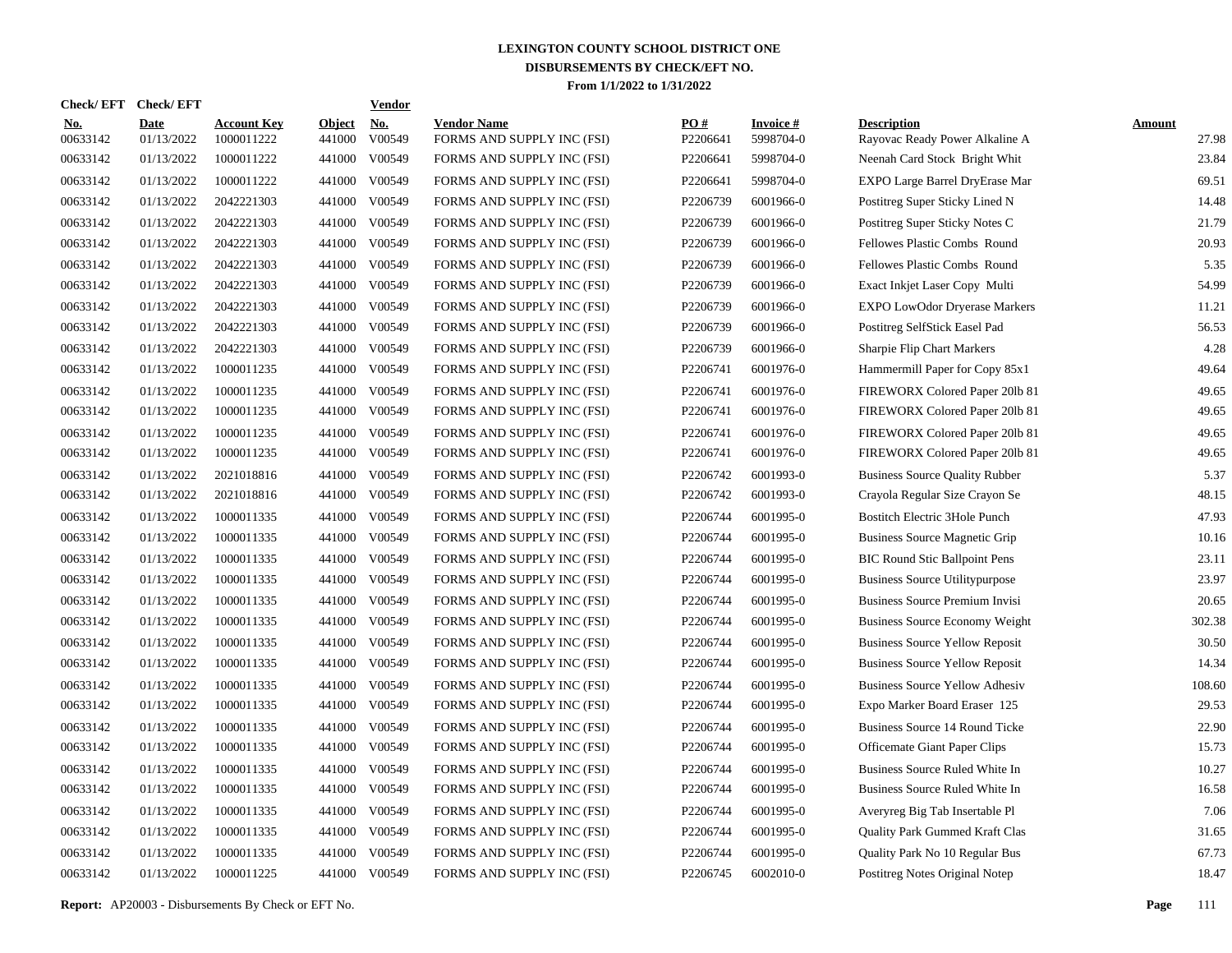| Check/EFT Check/EFT    |                           |                                  |                         | <b>Vendor</b> |                                                  |                 |                        |                                                      |                 |
|------------------------|---------------------------|----------------------------------|-------------------------|---------------|--------------------------------------------------|-----------------|------------------------|------------------------------------------------------|-----------------|
| <b>No.</b><br>00633142 | <b>Date</b><br>01/13/2022 | <b>Account Key</b><br>1000011222 | <b>Object</b><br>441000 | No.<br>V00549 | <b>Vendor Name</b><br>FORMS AND SUPPLY INC (FSI) | PO#<br>P2206641 | Invoice #<br>5998704-0 | <b>Description</b><br>Rayovac Ready Power Alkaline A | Amount<br>27.98 |
| 00633142               | 01/13/2022                | 1000011222                       | 441000                  | V00549        | FORMS AND SUPPLY INC (FSI)                       | P2206641        | 5998704-0              | Neenah Card Stock Bright Whit                        | 23.84           |
| 00633142               | 01/13/2022                | 1000011222                       | 441000                  | V00549        | FORMS AND SUPPLY INC (FSI)                       | P2206641        | 5998704-0              | EXPO Large Barrel DryErase Mar                       | 69.51           |
| 00633142               | 01/13/2022                | 2042221303                       | 441000                  | V00549        | FORMS AND SUPPLY INC (FSI)                       | P2206739        | 6001966-0              | Postitreg Super Sticky Lined N                       | 14.48           |
| 00633142               | 01/13/2022                | 2042221303                       | 441000                  | V00549        | FORMS AND SUPPLY INC (FSI)                       | P2206739        | 6001966-0              | Postitreg Super Sticky Notes C                       | 21.79           |
| 00633142               | 01/13/2022                | 2042221303                       | 441000                  | V00549        | FORMS AND SUPPLY INC (FSI)                       | P2206739        | 6001966-0              | Fellowes Plastic Combs Round                         | 20.93           |
| 00633142               | 01/13/2022                | 2042221303                       | 441000                  | V00549        | FORMS AND SUPPLY INC (FSI)                       | P2206739        | 6001966-0              | Fellowes Plastic Combs Round                         | 5.35            |
| 00633142               | 01/13/2022                | 2042221303                       | 441000                  | V00549        | FORMS AND SUPPLY INC (FSI)                       | P2206739        | 6001966-0              | Exact Inkjet Laser Copy Multi                        | 54.99           |
| 00633142               | 01/13/2022                | 2042221303                       | 441000                  | V00549        | FORMS AND SUPPLY INC (FSI)                       | P2206739        | 6001966-0              | <b>EXPO LowOdor Dryerase Markers</b>                 | 11.21           |
| 00633142               | 01/13/2022                | 2042221303                       | 441000                  | V00549        | FORMS AND SUPPLY INC (FSI)                       | P2206739        | 6001966-0              | Postitreg SelfStick Easel Pad                        | 56.53           |
| 00633142               | 01/13/2022                | 2042221303                       | 441000                  | V00549        | FORMS AND SUPPLY INC (FSI)                       | P2206739        | 6001966-0              | Sharpie Flip Chart Markers                           | 4.28            |
| 00633142               | 01/13/2022                | 1000011235                       | 441000                  | V00549        | FORMS AND SUPPLY INC (FSI)                       | P2206741        | 6001976-0              | Hammermill Paper for Copy 85x1                       | 49.64           |
| 00633142               | 01/13/2022                | 1000011235                       | 441000                  | V00549        | FORMS AND SUPPLY INC (FSI)                       | P2206741        | 6001976-0              | FIREWORX Colored Paper 201b 81                       | 49.65           |
| 00633142               | 01/13/2022                | 1000011235                       | 441000                  | V00549        | FORMS AND SUPPLY INC (FSI)                       | P2206741        | 6001976-0              | FIREWORX Colored Paper 201b 81                       | 49.65           |
| 00633142               | 01/13/2022                | 1000011235                       | 441000                  | V00549        | FORMS AND SUPPLY INC (FSI)                       | P2206741        | 6001976-0              | FIREWORX Colored Paper 201b 81                       | 49.65           |
| 00633142               | 01/13/2022                | 1000011235                       | 441000                  | V00549        | FORMS AND SUPPLY INC (FSI)                       | P2206741        | 6001976-0              | FIREWORX Colored Paper 201b 81                       | 49.65           |
| 00633142               | 01/13/2022                | 2021018816                       | 441000                  | V00549        | FORMS AND SUPPLY INC (FSI)                       | P2206742        | 6001993-0              | <b>Business Source Quality Rubber</b>                | 5.37            |
| 00633142               | 01/13/2022                | 2021018816                       | 441000                  | V00549        | FORMS AND SUPPLY INC (FSI)                       | P2206742        | 6001993-0              | Crayola Regular Size Crayon Se                       | 48.15           |
| 00633142               | 01/13/2022                | 1000011335                       | 441000                  | V00549        | FORMS AND SUPPLY INC (FSI)                       | P2206744        | 6001995-0              | Bostitch Electric 3Hole Punch                        | 47.93           |
| 00633142               | 01/13/2022                | 1000011335                       | 441000                  | V00549        | FORMS AND SUPPLY INC (FSI)                       | P2206744        | 6001995-0              | Business Source Magnetic Grip                        | 10.16           |
| 00633142               | 01/13/2022                | 1000011335                       | 441000                  | V00549        | FORMS AND SUPPLY INC (FSI)                       | P2206744        | 6001995-0              | <b>BIC Round Stic Ballpoint Pens</b>                 | 23.11           |
| 00633142               | 01/13/2022                | 1000011335                       | 441000                  | V00549        | FORMS AND SUPPLY INC (FSI)                       | P2206744        | 6001995-0              | <b>Business Source Utilitypurpose</b>                | 23.97           |
| 00633142               | 01/13/2022                | 1000011335                       | 441000                  | V00549        | FORMS AND SUPPLY INC (FSI)                       | P2206744        | 6001995-0              | Business Source Premium Invisi                       | 20.65           |
| 00633142               | 01/13/2022                | 1000011335                       | 441000                  | V00549        | FORMS AND SUPPLY INC (FSI)                       | P2206744        | 6001995-0              | Business Source Economy Weight                       | 302.38          |
| 00633142               | 01/13/2022                | 1000011335                       | 441000                  | V00549        | FORMS AND SUPPLY INC (FSI)                       | P2206744        | 6001995-0              | <b>Business Source Yellow Reposit</b>                | 30.50           |
| 00633142               | 01/13/2022                | 1000011335                       | 441000                  | V00549        | FORMS AND SUPPLY INC (FSI)                       | P2206744        | 6001995-0              | <b>Business Source Yellow Reposit</b>                | 14.34           |
| 00633142               | 01/13/2022                | 1000011335                       | 441000                  | V00549        | FORMS AND SUPPLY INC (FSI)                       | P2206744        | 6001995-0              | <b>Business Source Yellow Adhesiv</b>                | 108.60          |
| 00633142               | 01/13/2022                | 1000011335                       | 441000                  | V00549        | FORMS AND SUPPLY INC (FSI)                       | P2206744        | 6001995-0              | Expo Marker Board Eraser 125                         | 29.53           |
| 00633142               | 01/13/2022                | 1000011335                       | 441000                  | V00549        | FORMS AND SUPPLY INC (FSI)                       | P2206744        | 6001995-0              | Business Source 14 Round Ticke                       | 22.90           |
| 00633142               | 01/13/2022                | 1000011335                       | 441000                  | V00549        | FORMS AND SUPPLY INC (FSI)                       | P2206744        | 6001995-0              | <b>Officemate Giant Paper Clips</b>                  | 15.73           |
| 00633142               | 01/13/2022                | 1000011335                       | 441000                  | V00549        | FORMS AND SUPPLY INC (FSI)                       | P2206744        | 6001995-0              | Business Source Ruled White In                       | 10.27           |
| 00633142               | 01/13/2022                | 1000011335                       | 441000                  | V00549        | FORMS AND SUPPLY INC (FSI)                       | P2206744        | 6001995-0              | Business Source Ruled White In                       | 16.58           |
| 00633142               | 01/13/2022                | 1000011335                       | 441000                  | V00549        | FORMS AND SUPPLY INC (FSI)                       | P2206744        | 6001995-0              | Averyreg Big Tab Insertable Pl                       | 7.06            |
| 00633142               | 01/13/2022                | 1000011335                       | 441000                  | V00549        | FORMS AND SUPPLY INC (FSI)                       | P2206744        | 6001995-0              | Quality Park Gummed Kraft Clas                       | 31.65           |
| 00633142               | 01/13/2022                | 1000011335                       | 441000                  | V00549        | FORMS AND SUPPLY INC (FSI)                       | P2206744        | 6001995-0              | Quality Park No 10 Regular Bus                       | 67.73           |
| 00633142               | 01/13/2022                | 1000011225                       | 441000                  | V00549        | FORMS AND SUPPLY INC (FSI)                       | P2206745        | 6002010-0              | Postitreg Notes Original Notep                       | 18.47           |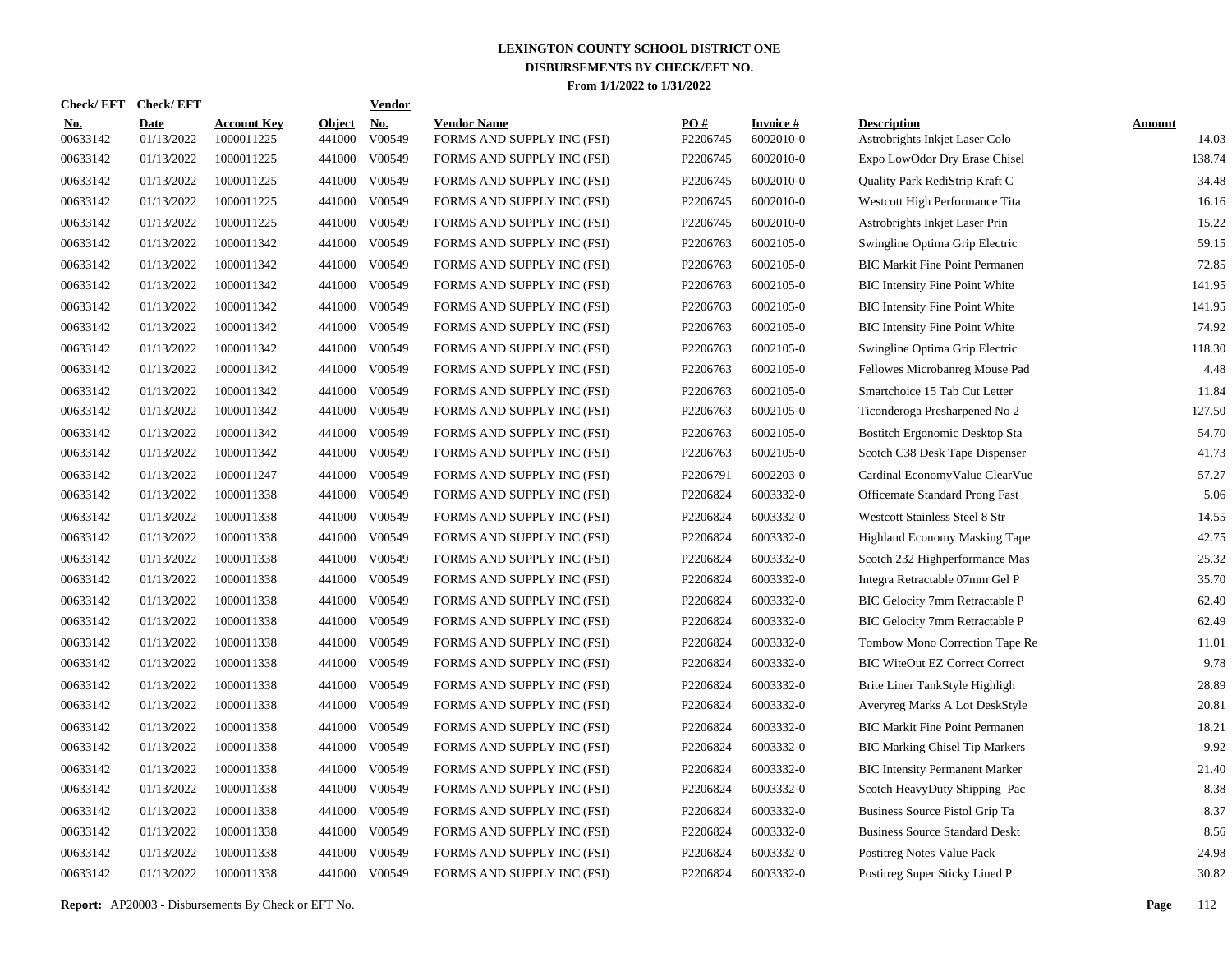| Check/ EFT             | <b>Check/EFT</b>          |                                  |                         | <b>Vendor</b>        |                                                  |                 |                                 |                                                      |                        |
|------------------------|---------------------------|----------------------------------|-------------------------|----------------------|--------------------------------------------------|-----------------|---------------------------------|------------------------------------------------------|------------------------|
| <u>No.</u><br>00633142 | <b>Date</b><br>01/13/2022 | <b>Account Key</b><br>1000011225 | <b>Object</b><br>441000 | <u>No.</u><br>V00549 | <b>Vendor Name</b><br>FORMS AND SUPPLY INC (FSI) | PO#<br>P2206745 | <b>Invoice</b> $#$<br>6002010-0 | <b>Description</b><br>Astrobrights Inkjet Laser Colo | <b>Amount</b><br>14.03 |
| 00633142               | 01/13/2022                | 1000011225                       | 441000                  | V00549               | FORMS AND SUPPLY INC (FSI)                       | P2206745        | 6002010-0                       | Expo LowOdor Dry Erase Chisel                        | 138.74                 |
| 00633142               | 01/13/2022                | 1000011225                       | 441000                  | V00549               | FORMS AND SUPPLY INC (FSI)                       | P2206745        | 6002010-0                       | Quality Park RediStrip Kraft C                       | 34.48                  |
| 00633142               | 01/13/2022                | 1000011225                       | 441000                  | V00549               | FORMS AND SUPPLY INC (FSI)                       | P2206745        | 6002010-0                       | Westcott High Performance Tita                       | 16.16                  |
| 00633142               | 01/13/2022                | 1000011225                       | 441000                  | V00549               | FORMS AND SUPPLY INC (FSI)                       | P2206745        | 6002010-0                       | Astrobrights Inkjet Laser Prin                       | 15.22                  |
| 00633142               | 01/13/2022                | 1000011342                       | 441000                  | V00549               | FORMS AND SUPPLY INC (FSI)                       | P2206763        | 6002105-0                       | Swingline Optima Grip Electric                       | 59.15                  |
| 00633142               | 01/13/2022                | 1000011342                       | 441000                  | V00549               | FORMS AND SUPPLY INC (FSI)                       | P2206763        | 6002105-0                       | <b>BIC Markit Fine Point Permanen</b>                | 72.85                  |
| 00633142               | 01/13/2022                | 1000011342                       | 441000                  | V00549               | FORMS AND SUPPLY INC (FSI)                       | P2206763        | 6002105-0                       | <b>BIC Intensity Fine Point White</b>                | 141.95                 |
| 00633142               | 01/13/2022                | 1000011342                       | 441000                  | V00549               | FORMS AND SUPPLY INC (FSI)                       | P2206763        | 6002105-0                       | <b>BIC</b> Intensity Fine Point White                | 141.95                 |
| 00633142               | 01/13/2022                | 1000011342                       | 441000                  | V00549               | FORMS AND SUPPLY INC (FSI)                       | P2206763        | 6002105-0                       | <b>BIC</b> Intensity Fine Point White                | 74.92                  |
| 00633142               | 01/13/2022                | 1000011342                       | 441000                  | V00549               | FORMS AND SUPPLY INC (FSI)                       | P2206763        | 6002105-0                       | Swingline Optima Grip Electric                       | 118.30                 |
| 00633142               | 01/13/2022                | 1000011342                       | 441000                  | V00549               | FORMS AND SUPPLY INC (FSI)                       | P2206763        | 6002105-0                       | Fellowes Microbanreg Mouse Pad                       | 4.48                   |
| 00633142               | 01/13/2022                | 1000011342                       | 441000                  | V00549               | FORMS AND SUPPLY INC (FSI)                       | P2206763        | 6002105-0                       | Smartchoice 15 Tab Cut Letter                        | 11.84                  |
| 00633142               | 01/13/2022                | 1000011342                       | 441000                  | V00549               | FORMS AND SUPPLY INC (FSI)                       | P2206763        | 6002105-0                       | Ticonderoga Presharpened No 2                        | 127.50                 |
| 00633142               | 01/13/2022                | 1000011342                       | 441000                  | V00549               | FORMS AND SUPPLY INC (FSI)                       | P2206763        | 6002105-0                       | Bostitch Ergonomic Desktop Sta                       | 54.70                  |
| 00633142               | 01/13/2022                | 1000011342                       | 441000                  | V00549               | FORMS AND SUPPLY INC (FSI)                       | P2206763        | 6002105-0                       | Scotch C38 Desk Tape Dispenser                       | 41.73                  |
| 00633142               | 01/13/2022                | 1000011247                       | 441000                  | V00549               | FORMS AND SUPPLY INC (FSI)                       | P2206791        | 6002203-0                       | Cardinal Economy Value Clear Vue                     | 57.27                  |
| 00633142               | 01/13/2022                | 1000011338                       | 441000                  | V00549               | FORMS AND SUPPLY INC (FSI)                       | P2206824        | 6003332-0                       | Officemate Standard Prong Fast                       | 5.06                   |
| 00633142               | 01/13/2022                | 1000011338                       | 441000                  | V00549               | FORMS AND SUPPLY INC (FSI)                       | P2206824        | 6003332-0                       | Westcott Stainless Steel 8 Str                       | 14.55                  |
| 00633142               | 01/13/2022                | 1000011338                       | 441000                  | V00549               | FORMS AND SUPPLY INC (FSI)                       | P2206824        | 6003332-0                       | Highland Economy Masking Tape                        | 42.75                  |
| 00633142               | 01/13/2022                | 1000011338                       | 441000                  | V00549               | FORMS AND SUPPLY INC (FSI)                       | P2206824        | 6003332-0                       | Scotch 232 Highperformance Mas                       | 25.32                  |
| 00633142               | 01/13/2022                | 1000011338                       | 441000                  | V00549               | FORMS AND SUPPLY INC (FSI)                       | P2206824        | 6003332-0                       | Integra Retractable 07mm Gel P                       | 35.70                  |
| 00633142               | 01/13/2022                | 1000011338                       | 441000                  | V00549               | FORMS AND SUPPLY INC (FSI)                       | P2206824        | 6003332-0                       | BIC Gelocity 7mm Retractable P                       | 62.49                  |
| 00633142               | 01/13/2022                | 1000011338                       | 441000                  | V00549               | FORMS AND SUPPLY INC (FSI)                       | P2206824        | 6003332-0                       | BIC Gelocity 7mm Retractable P                       | 62.49                  |
| 00633142               | 01/13/2022                | 1000011338                       | 441000                  | V00549               | FORMS AND SUPPLY INC (FSI)                       | P2206824        | 6003332-0                       | Tombow Mono Correction Tape Re                       | 11.01                  |
| 00633142               | 01/13/2022                | 1000011338                       | 441000                  | V00549               | FORMS AND SUPPLY INC (FSI)                       | P2206824        | 6003332-0                       | <b>BIC WiteOut EZ Correct Correct</b>                | 9.78                   |
| 00633142               | 01/13/2022                | 1000011338                       | 441000                  | V00549               | FORMS AND SUPPLY INC (FSI)                       | P2206824        | 6003332-0                       | Brite Liner TankStyle Highligh                       | 28.89                  |
| 00633142               | 01/13/2022                | 1000011338                       | 441000                  | V00549               | FORMS AND SUPPLY INC (FSI)                       | P2206824        | 6003332-0                       | Averyreg Marks A Lot DeskStyle                       | 20.81                  |
| 00633142               | 01/13/2022                | 1000011338                       | 441000                  | V00549               | FORMS AND SUPPLY INC (FSI)                       | P2206824        | 6003332-0                       | <b>BIC Markit Fine Point Permanen</b>                | 18.21                  |
| 00633142               | 01/13/2022                | 1000011338                       | 441000                  | V00549               | FORMS AND SUPPLY INC (FSI)                       | P2206824        | 6003332-0                       | <b>BIC Marking Chisel Tip Markers</b>                | 9.92                   |
| 00633142               | 01/13/2022                | 1000011338                       | 441000                  | V00549               | FORMS AND SUPPLY INC (FSI)                       | P2206824        | 6003332-0                       | <b>BIC Intensity Permanent Marker</b>                | 21.40                  |
| 00633142               | 01/13/2022                | 1000011338                       | 441000                  | V00549               | FORMS AND SUPPLY INC (FSI)                       | P2206824        | 6003332-0                       | Scotch HeavyDuty Shipping Pac                        | 8.38                   |
| 00633142               | 01/13/2022                | 1000011338                       | 441000                  | V00549               | FORMS AND SUPPLY INC (FSI)                       | P2206824        | 6003332-0                       | Business Source Pistol Grip Ta                       | 8.37                   |
| 00633142               | 01/13/2022                | 1000011338                       |                         | 441000 V00549        | FORMS AND SUPPLY INC (FSI)                       | P2206824        | 6003332-0                       | <b>Business Source Standard Deskt</b>                | 8.56                   |
| 00633142               | 01/13/2022                | 1000011338                       | 441000                  | V00549               | FORMS AND SUPPLY INC (FSI)                       | P2206824        | 6003332-0                       | Postitreg Notes Value Pack                           | 24.98                  |
| 00633142               | 01/13/2022                | 1000011338                       |                         | 441000 V00549        | FORMS AND SUPPLY INC (FSI)                       | P2206824        | 6003332-0                       | Postitreg Super Sticky Lined P                       | 30.82                  |
|                        |                           |                                  |                         |                      |                                                  |                 |                                 |                                                      |                        |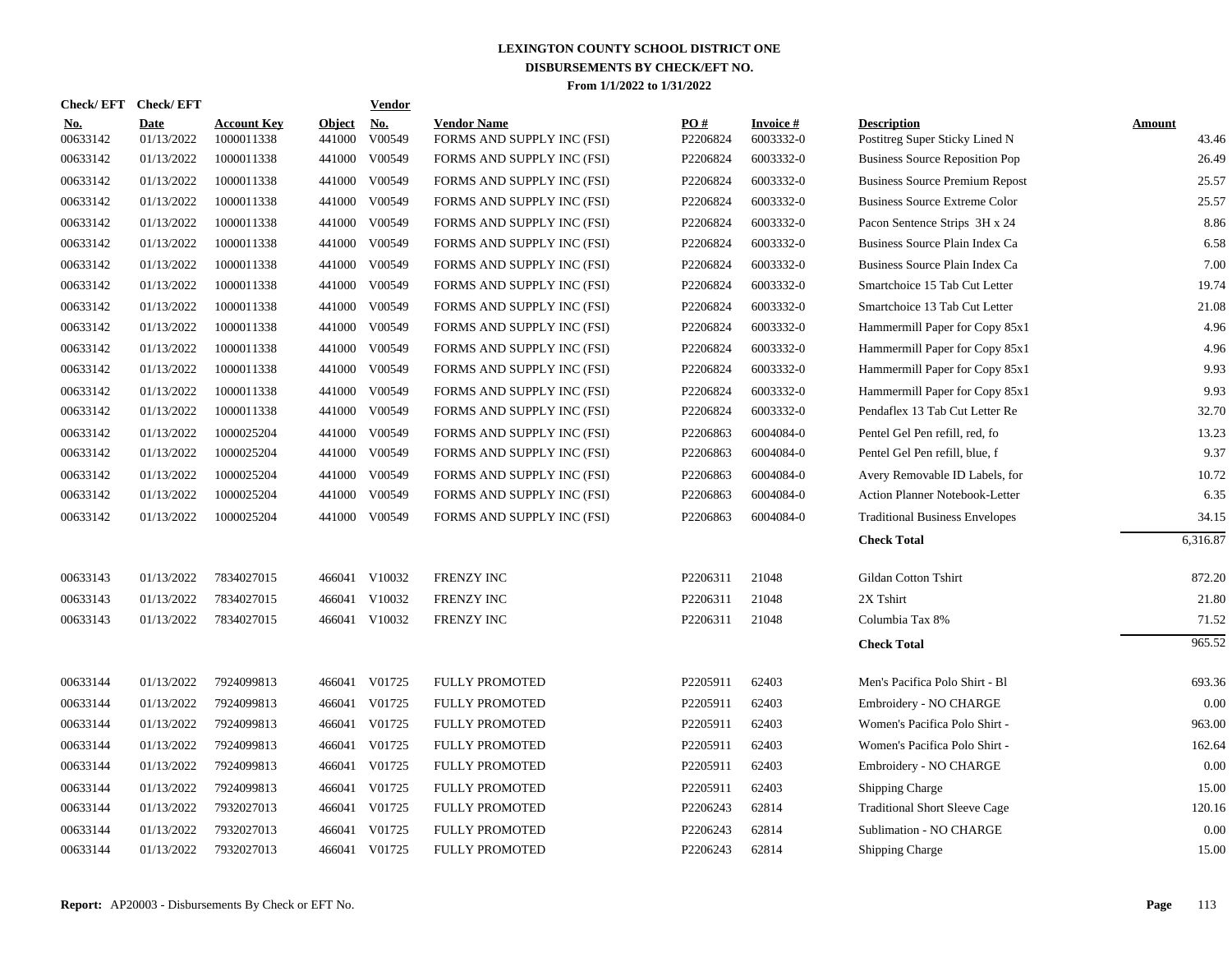|                        | Check/EFT Check/EFT |                                  |                         | Vendor               |                                                  |                 |                                 |                                                      |                 |
|------------------------|---------------------|----------------------------------|-------------------------|----------------------|--------------------------------------------------|-----------------|---------------------------------|------------------------------------------------------|-----------------|
| <b>No.</b><br>00633142 | Date<br>01/13/2022  | <b>Account Key</b><br>1000011338 | <b>Object</b><br>441000 | <u>No.</u><br>V00549 | <b>Vendor Name</b><br>FORMS AND SUPPLY INC (FSI) | PO#<br>P2206824 | <b>Invoice</b> $#$<br>6003332-0 | <b>Description</b><br>Postitreg Super Sticky Lined N | Amount<br>43.46 |
| 00633142               | 01/13/2022          | 1000011338                       | 441000                  | V00549               | FORMS AND SUPPLY INC (FSI)                       | P2206824        | 6003332-0                       | <b>Business Source Reposition Pop</b>                | 26.49           |
| 00633142               | 01/13/2022          | 1000011338                       | 441000                  | V00549               | FORMS AND SUPPLY INC (FSI)                       | P2206824        | 6003332-0                       | <b>Business Source Premium Repost</b>                | 25.57           |
| 00633142               | 01/13/2022          | 1000011338                       | 441000                  | V00549               | FORMS AND SUPPLY INC (FSI)                       | P2206824        | 6003332-0                       | <b>Business Source Extreme Color</b>                 | 25.57           |
| 00633142               | 01/13/2022          | 1000011338                       | 441000                  | V00549               | FORMS AND SUPPLY INC (FSI)                       | P2206824        | 6003332-0                       | Pacon Sentence Strips 3H x 24                        | 8.86            |
| 00633142               | 01/13/2022          | 1000011338                       | 441000                  | V00549               | FORMS AND SUPPLY INC (FSI)                       | P2206824        | 6003332-0                       | Business Source Plain Index Ca                       | 6.58            |
| 00633142               | 01/13/2022          | 1000011338                       | 441000                  | V00549               | FORMS AND SUPPLY INC (FSI)                       | P2206824        | 6003332-0                       | Business Source Plain Index Ca                       | 7.00            |
| 00633142               | 01/13/2022          | 1000011338                       | 441000                  | V00549               | FORMS AND SUPPLY INC (FSI)                       | P2206824        | 6003332-0                       | Smartchoice 15 Tab Cut Letter                        | 19.74           |
| 00633142               | 01/13/2022          | 1000011338                       | 441000                  | V00549               | FORMS AND SUPPLY INC (FSI)                       | P2206824        | 6003332-0                       | Smartchoice 13 Tab Cut Letter                        | 21.08           |
| 00633142               | 01/13/2022          | 1000011338                       | 441000                  | V00549               | FORMS AND SUPPLY INC (FSI)                       | P2206824        | 6003332-0                       | Hammermill Paper for Copy 85x1                       | 4.96            |
| 00633142               | 01/13/2022          | 1000011338                       | 441000                  | V00549               | FORMS AND SUPPLY INC (FSI)                       | P2206824        | 6003332-0                       | Hammermill Paper for Copy 85x1                       | 4.96            |
| 00633142               | 01/13/2022          | 1000011338                       | 441000                  | V00549               | FORMS AND SUPPLY INC (FSI)                       | P2206824        | 6003332-0                       | Hammermill Paper for Copy 85x1                       | 9.93            |
| 00633142               | 01/13/2022          | 1000011338                       | 441000                  | V00549               | FORMS AND SUPPLY INC (FSI)                       | P2206824        | 6003332-0                       | Hammermill Paper for Copy 85x1                       | 9.93            |
| 00633142               | 01/13/2022          | 1000011338                       | 441000                  | V00549               | FORMS AND SUPPLY INC (FSI)                       | P2206824        | 6003332-0                       | Pendaflex 13 Tab Cut Letter Re                       | 32.70           |
| 00633142               | 01/13/2022          | 1000025204                       | 441000                  | V00549               | FORMS AND SUPPLY INC (FSI)                       | P2206863        | 6004084-0                       | Pentel Gel Pen refill, red, fo                       | 13.23           |
| 00633142               | 01/13/2022          | 1000025204                       |                         | 441000 V00549        | FORMS AND SUPPLY INC (FSI)                       | P2206863        | 6004084-0                       | Pentel Gel Pen refill, blue, f                       | 9.37            |
| 00633142               | 01/13/2022          | 1000025204                       |                         | 441000 V00549        | FORMS AND SUPPLY INC (FSI)                       | P2206863        | 6004084-0                       | Avery Removable ID Labels, for                       | 10.72           |
| 00633142               | 01/13/2022          | 1000025204                       |                         | 441000 V00549        | FORMS AND SUPPLY INC (FSI)                       | P2206863        | 6004084-0                       | Action Planner Notebook-Letter                       | 6.35            |
| 00633142               | 01/13/2022          | 1000025204                       |                         | 441000 V00549        | FORMS AND SUPPLY INC (FSI)                       | P2206863        | 6004084-0                       | <b>Traditional Business Envelopes</b>                | 34.15           |
|                        |                     |                                  |                         |                      |                                                  |                 |                                 | <b>Check Total</b>                                   | 6,316.87        |
| 00633143               | 01/13/2022          | 7834027015                       |                         | 466041 V10032        | <b>FRENZY INC</b>                                | P2206311        | 21048                           | Gildan Cotton Tshirt                                 | 872.20          |
| 00633143               | 01/13/2022          | 7834027015                       |                         | 466041 V10032        | FRENZY INC                                       | P2206311        | 21048                           | 2X Tshirt                                            | 21.80           |
| 00633143               | 01/13/2022          | 7834027015                       |                         | 466041 V10032        | FRENZY INC                                       | P2206311        | 21048                           | Columbia Tax 8%                                      | 71.52           |
|                        |                     |                                  |                         |                      |                                                  |                 |                                 | <b>Check Total</b>                                   | 965.52          |
| 00633144               | 01/13/2022          | 7924099813                       |                         | 466041 V01725        | <b>FULLY PROMOTED</b>                            | P2205911        | 62403                           | Men's Pacifica Polo Shirt - Bl                       | 693.36          |
| 00633144               | 01/13/2022          | 7924099813                       | 466041                  | V01725               | <b>FULLY PROMOTED</b>                            | P2205911        | 62403                           | Embroidery - NO CHARGE                               | 0.00            |
| 00633144               | 01/13/2022          | 7924099813                       |                         | 466041 V01725        | <b>FULLY PROMOTED</b>                            | P2205911        | 62403                           | Women's Pacifica Polo Shirt -                        | 963.00          |
| 00633144               | 01/13/2022          | 7924099813                       | 466041                  | V01725               | <b>FULLY PROMOTED</b>                            | P2205911        | 62403                           | Women's Pacifica Polo Shirt -                        | 162.64          |
| 00633144               | 01/13/2022          | 7924099813                       | 466041                  | V01725               | <b>FULLY PROMOTED</b>                            | P2205911        | 62403                           | Embroidery - NO CHARGE                               | 0.00            |
| 00633144               | 01/13/2022          | 7924099813                       | 466041                  | V01725               | <b>FULLY PROMOTED</b>                            | P2205911        | 62403                           | <b>Shipping Charge</b>                               | 15.00           |
| 00633144               | 01/13/2022          | 7932027013                       |                         | 466041 V01725        | <b>FULLY PROMOTED</b>                            | P2206243        | 62814                           | <b>Traditional Short Sleeve Cage</b>                 | 120.16          |
| 00633144               | 01/13/2022          | 7932027013                       | 466041                  | V01725               | <b>FULLY PROMOTED</b>                            | P2206243        | 62814                           | Sublimation - NO CHARGE                              | 0.00            |
| 00633144               | 01/13/2022          | 7932027013                       |                         | 466041 V01725        | <b>FULLY PROMOTED</b>                            | P2206243        | 62814                           | <b>Shipping Charge</b>                               | 15.00           |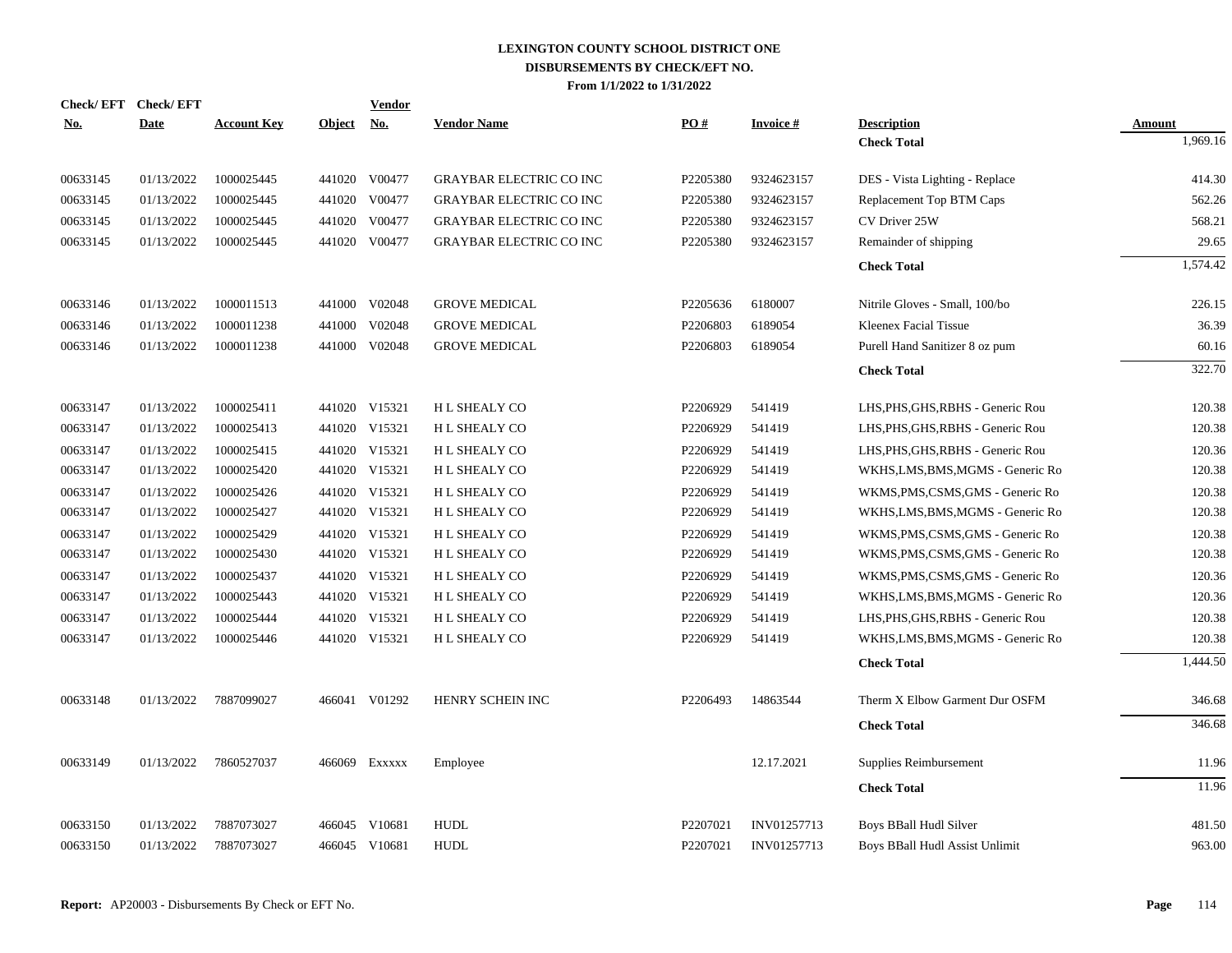| Check/EFT Check/EFT |             |                    |               | <b>Vendor</b> |                                |          |                 |                                   |               |
|---------------------|-------------|--------------------|---------------|---------------|--------------------------------|----------|-----------------|-----------------------------------|---------------|
| <b>No.</b>          | <b>Date</b> | <b>Account Key</b> | <b>Object</b> | <u>No.</u>    | <b>Vendor Name</b>             | PO#      | <b>Invoice#</b> | <b>Description</b>                | <b>Amount</b> |
|                     |             |                    |               |               |                                |          |                 | <b>Check Total</b>                | 1,969.16      |
| 00633145            | 01/13/2022  | 1000025445         |               | 441020 V00477 | <b>GRAYBAR ELECTRIC CO INC</b> | P2205380 | 9324623157      | DES - Vista Lighting - Replace    | 414.30        |
| 00633145            | 01/13/2022  | 1000025445         |               | 441020 V00477 | GRAYBAR ELECTRIC CO INC        | P2205380 | 9324623157      | Replacement Top BTM Caps          | 562.26        |
| 00633145            | 01/13/2022  | 1000025445         | 441020        | V00477        | <b>GRAYBAR ELECTRIC CO INC</b> | P2205380 | 9324623157      | CV Driver 25W                     | 568.21        |
| 00633145            | 01/13/2022  | 1000025445         | 441020        | V00477        | <b>GRAYBAR ELECTRIC CO INC</b> | P2205380 | 9324623157      | Remainder of shipping             | 29.65         |
|                     |             |                    |               |               |                                |          |                 | <b>Check Total</b>                | 1,574.42      |
| 00633146            | 01/13/2022  | 1000011513         |               | 441000 V02048 | <b>GROVE MEDICAL</b>           | P2205636 | 6180007         | Nitrile Gloves - Small, 100/bo    | 226.15        |
| 00633146            | 01/13/2022  | 1000011238         | 441000        | V02048        | <b>GROVE MEDICAL</b>           | P2206803 | 6189054         | Kleenex Facial Tissue             | 36.39         |
| 00633146            | 01/13/2022  | 1000011238         |               | 441000 V02048 | <b>GROVE MEDICAL</b>           | P2206803 | 6189054         | Purell Hand Sanitizer 8 oz pum    | 60.16         |
|                     |             |                    |               |               |                                |          |                 | <b>Check Total</b>                | 322.70        |
| 00633147            | 01/13/2022  | 1000025411         |               | 441020 V15321 | H L SHEALY CO                  | P2206929 | 541419          | LHS, PHS, GHS, RBHS - Generic Rou | 120.38        |
| 00633147            | 01/13/2022  | 1000025413         |               | 441020 V15321 | H L SHEALY CO                  | P2206929 | 541419          | LHS, PHS, GHS, RBHS - Generic Rou | 120.38        |
| 00633147            | 01/13/2022  | 1000025415         |               | 441020 V15321 | H L SHEALY CO                  | P2206929 | 541419          | LHS, PHS, GHS, RBHS - Generic Rou | 120.36        |
| 00633147            | 01/13/2022  | 1000025420         |               | 441020 V15321 | H L SHEALY CO                  | P2206929 | 541419          | WKHS, LMS, BMS, MGMS - Generic Ro | 120.38        |
| 00633147            | 01/13/2022  | 1000025426         |               | 441020 V15321 | H L SHEALY CO                  | P2206929 | 541419          | WKMS, PMS, CSMS, GMS - Generic Ro | 120.38        |
| 00633147            | 01/13/2022  | 1000025427         |               | 441020 V15321 | H L SHEALY CO                  | P2206929 | 541419          | WKHS, LMS, BMS, MGMS - Generic Ro | 120.38        |
| 00633147            | 01/13/2022  | 1000025429         |               | 441020 V15321 | H L SHEALY CO                  | P2206929 | 541419          | WKMS, PMS, CSMS, GMS - Generic Ro | 120.38        |
| 00633147            | 01/13/2022  | 1000025430         |               | 441020 V15321 | H L SHEALY CO                  | P2206929 | 541419          | WKMS, PMS, CSMS, GMS - Generic Ro | 120.38        |
| 00633147            | 01/13/2022  | 1000025437         |               | 441020 V15321 | H L SHEALY CO                  | P2206929 | 541419          | WKMS, PMS, CSMS, GMS - Generic Ro | 120.36        |
| 00633147            | 01/13/2022  | 1000025443         |               | 441020 V15321 | H L SHEALY CO                  | P2206929 | 541419          | WKHS, LMS, BMS, MGMS - Generic Ro | 120.36        |
| 00633147            | 01/13/2022  | 1000025444         |               | 441020 V15321 | H L SHEALY CO                  | P2206929 | 541419          | LHS, PHS, GHS, RBHS - Generic Rou | 120.38        |
| 00633147            | 01/13/2022  | 1000025446         |               | 441020 V15321 | H L SHEALY CO                  | P2206929 | 541419          | WKHS, LMS, BMS, MGMS - Generic Ro | 120.38        |
|                     |             |                    |               |               |                                |          |                 | <b>Check Total</b>                | 1,444.50      |
| 00633148            | 01/13/2022  | 7887099027         |               | 466041 V01292 | HENRY SCHEIN INC               | P2206493 | 14863544        | Therm X Elbow Garment Dur OSFM    | 346.68        |
|                     |             |                    |               |               |                                |          |                 | <b>Check Total</b>                | 346.68        |
| 00633149            | 01/13/2022  | 7860527037         | 466069        | Exxxxx        | Employee                       |          | 12.17.2021      | Supplies Reimbursement            | 11.96         |
|                     |             |                    |               |               |                                |          |                 | <b>Check Total</b>                | 11.96         |
|                     |             |                    |               |               |                                |          |                 |                                   |               |
| 00633150            | 01/13/2022  | 7887073027         |               | 466045 V10681 | <b>HUDL</b>                    | P2207021 | INV01257713     | Boys BBall Hudl Silver            | 481.50        |
| 00633150            | 01/13/2022  | 7887073027         |               | 466045 V10681 | <b>HUDL</b>                    | P2207021 | INV01257713     | Boys BBall Hudl Assist Unlimit    | 963.00        |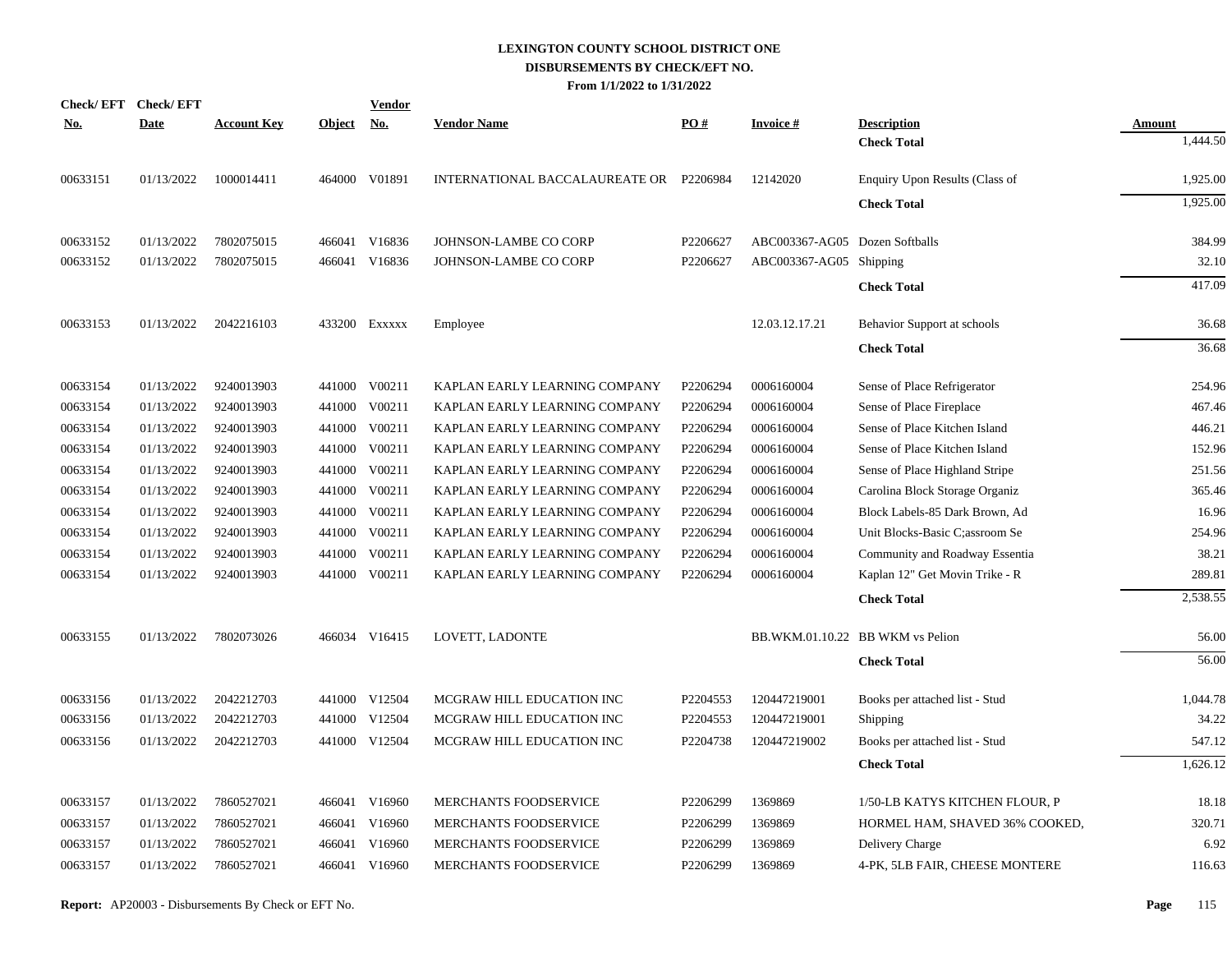|            | Check/EFT Check/EFT |                    |            | <b>Vendor</b> |                                         |          |                                |                                  |               |
|------------|---------------------|--------------------|------------|---------------|-----------------------------------------|----------|--------------------------------|----------------------------------|---------------|
| <u>No.</u> | <b>Date</b>         | <b>Account Key</b> | Object No. |               | <b>Vendor Name</b>                      | PO#      | <b>Invoice#</b>                | <b>Description</b>               | <b>Amount</b> |
|            |                     |                    |            |               |                                         |          |                                | <b>Check Total</b>               | 1,444.50      |
| 00633151   | 01/13/2022          | 1000014411         |            | 464000 V01891 | INTERNATIONAL BACCALAUREATE OR P2206984 |          | 12142020                       | Enquiry Upon Results (Class of   | 1,925.00      |
|            |                     |                    |            |               |                                         |          |                                | <b>Check Total</b>               | 1,925.00      |
| 00633152   | 01/13/2022          | 7802075015         |            | 466041 V16836 | JOHNSON-LAMBE CO CORP                   | P2206627 | ABC003367-AG05 Dozen Softballs |                                  | 384.99        |
| 00633152   | 01/13/2022          | 7802075015         |            | 466041 V16836 | JOHNSON-LAMBE CO CORP                   | P2206627 | ABC003367-AG05 Shipping        |                                  | 32.10         |
|            |                     |                    |            |               |                                         |          |                                | <b>Check Total</b>               | 417.09        |
| 00633153   | 01/13/2022          | 2042216103         |            | 433200 Exxxxx | Employee                                |          | 12.03.12.17.21                 | Behavior Support at schools      | 36.68         |
|            |                     |                    |            |               |                                         |          |                                | <b>Check Total</b>               | 36.68         |
| 00633154   | 01/13/2022          | 9240013903         |            | 441000 V00211 | KAPLAN EARLY LEARNING COMPANY           | P2206294 | 0006160004                     | Sense of Place Refrigerator      | 254.96        |
| 00633154   | 01/13/2022          | 9240013903         |            | 441000 V00211 | KAPLAN EARLY LEARNING COMPANY           | P2206294 | 0006160004                     | Sense of Place Fireplace         | 467.46        |
| 00633154   | 01/13/2022          | 9240013903         |            | 441000 V00211 | KAPLAN EARLY LEARNING COMPANY           | P2206294 | 0006160004                     | Sense of Place Kitchen Island    | 446.21        |
| 00633154   | 01/13/2022          | 9240013903         |            | 441000 V00211 | KAPLAN EARLY LEARNING COMPANY           | P2206294 | 0006160004                     | Sense of Place Kitchen Island    | 152.96        |
| 00633154   | 01/13/2022          | 9240013903         |            | 441000 V00211 | KAPLAN EARLY LEARNING COMPANY           | P2206294 | 0006160004                     | Sense of Place Highland Stripe   | 251.56        |
| 00633154   | 01/13/2022          | 9240013903         |            | 441000 V00211 | KAPLAN EARLY LEARNING COMPANY           | P2206294 | 0006160004                     | Carolina Block Storage Organiz   | 365.46        |
| 00633154   | 01/13/2022          | 9240013903         |            | 441000 V00211 | KAPLAN EARLY LEARNING COMPANY           | P2206294 | 0006160004                     | Block Labels-85 Dark Brown, Ad   | 16.96         |
| 00633154   | 01/13/2022          | 9240013903         |            | 441000 V00211 | KAPLAN EARLY LEARNING COMPANY           | P2206294 | 0006160004                     | Unit Blocks-Basic C;assroom Se   | 254.96        |
| 00633154   | 01/13/2022          | 9240013903         |            | 441000 V00211 | KAPLAN EARLY LEARNING COMPANY           | P2206294 | 0006160004                     | Community and Roadway Essentia   | 38.21         |
| 00633154   | 01/13/2022          | 9240013903         |            | 441000 V00211 | KAPLAN EARLY LEARNING COMPANY           | P2206294 | 0006160004                     | Kaplan 12" Get Movin Trike - R   | 289.81        |
|            |                     |                    |            |               |                                         |          |                                | <b>Check Total</b>               | 2,538.55      |
| 00633155   | 01/13/2022          | 7802073026         |            | 466034 V16415 | LOVETT, LADONTE                         |          |                                | BB.WKM.01.10.22 BB WKM vs Pelion | 56.00         |
|            |                     |                    |            |               |                                         |          |                                | <b>Check Total</b>               | 56.00         |
| 00633156   | 01/13/2022          | 2042212703         |            | 441000 V12504 | MCGRAW HILL EDUCATION INC               | P2204553 | 120447219001                   | Books per attached list - Stud   | 1,044.78      |
| 00633156   | 01/13/2022          | 2042212703         |            | 441000 V12504 | MCGRAW HILL EDUCATION INC               | P2204553 | 120447219001                   | Shipping                         | 34.22         |
| 00633156   | 01/13/2022          | 2042212703         |            | 441000 V12504 | MCGRAW HILL EDUCATION INC               | P2204738 | 120447219002                   | Books per attached list - Stud   | 547.12        |
|            |                     |                    |            |               |                                         |          |                                | <b>Check Total</b>               | 1,626.12      |
| 00633157   | 01/13/2022          | 7860527021         |            | 466041 V16960 | MERCHANTS FOODSERVICE                   | P2206299 | 1369869                        | 1/50-LB KATYS KITCHEN FLOUR, P   | 18.18         |
| 00633157   | 01/13/2022          | 7860527021         |            | 466041 V16960 | <b>MERCHANTS FOODSERVICE</b>            | P2206299 | 1369869                        | HORMEL HAM, SHAVED 36% COOKED,   | 320.71        |
| 00633157   | 01/13/2022          | 7860527021         |            | 466041 V16960 | MERCHANTS FOODSERVICE                   | P2206299 | 1369869                        | Delivery Charge                  | 6.92          |
| 00633157   | 01/13/2022          | 7860527021         |            | 466041 V16960 | MERCHANTS FOODSERVICE                   | P2206299 | 1369869                        | 4-PK, 5LB FAIR, CHEESE MONTERE   | 116.63        |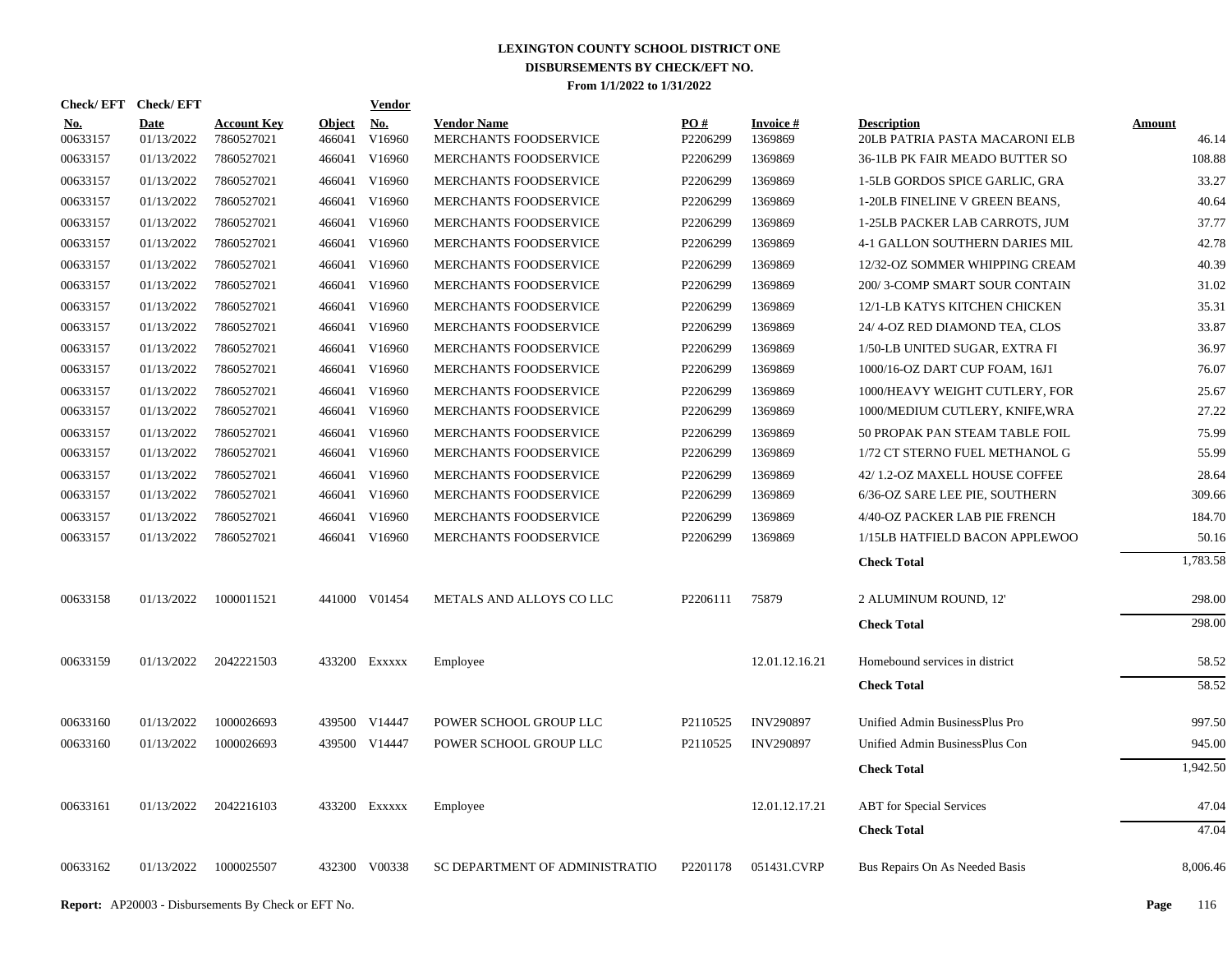| Check/EFT Check/EFT    |                    |                                  |                  | Vendor                                |                                             |                      |                      |                                                      |                 |
|------------------------|--------------------|----------------------------------|------------------|---------------------------------------|---------------------------------------------|----------------------|----------------------|------------------------------------------------------|-----------------|
| <u>No.</u><br>00633157 | Date<br>01/13/2022 | <b>Account Key</b><br>7860527021 | Object<br>466041 | $\underline{\mathrm{No}}$ .<br>V16960 | <b>Vendor Name</b><br>MERCHANTS FOODSERVICE | PO#<br>P2206299      | Invoice #<br>1369869 | <b>Description</b><br>20LB PATRIA PASTA MACARONI ELB | Amount<br>46.14 |
| 00633157               | 01/13/2022         | 7860527021                       |                  | 466041 V16960                         | MERCHANTS FOODSERVICE                       | P2206299             | 1369869              | 36-1LB PK FAIR MEADO BUTTER SO                       | 108.88          |
| 00633157               | 01/13/2022         | 7860527021                       |                  | 466041 V16960                         | MERCHANTS FOODSERVICE                       | P2206299             | 1369869              | 1-5LB GORDOS SPICE GARLIC, GRA                       | 33.27           |
| 00633157               | 01/13/2022         | 7860527021                       | 466041           | V16960                                | MERCHANTS FOODSERVICE                       | P2206299             | 1369869              | 1-20LB FINELINE V GREEN BEANS,                       | 40.64           |
| 00633157               | 01/13/2022         | 7860527021                       |                  | 466041 V16960                         | MERCHANTS FOODSERVICE                       | P2206299             | 1369869              | 1-25LB PACKER LAB CARROTS, JUM                       | 37.77           |
| 00633157               | 01/13/2022         | 7860527021                       |                  | 466041 V16960                         | MERCHANTS FOODSERVICE                       | P2206299             | 1369869              | 4-1 GALLON SOUTHERN DARIES MIL                       | 42.78           |
| 00633157               | 01/13/2022         | 7860527021                       |                  | 466041 V16960                         | MERCHANTS FOODSERVICE                       | P2206299             | 1369869              | 12/32-OZ SOMMER WHIPPING CREAM                       | 40.39           |
| 00633157               | 01/13/2022         | 7860527021                       |                  | 466041 V16960                         | MERCHANTS FOODSERVICE                       | P2206299             | 1369869              | 200/3-COMP SMART SOUR CONTAIN                        | 31.02           |
| 00633157               | 01/13/2022         | 7860527021                       |                  | 466041 V16960                         | MERCHANTS FOODSERVICE                       | P2206299             | 1369869              | 12/1-LB KATYS KITCHEN CHICKEN                        | 35.31           |
| 00633157               | 01/13/2022         | 7860527021                       |                  | 466041 V16960                         | MERCHANTS FOODSERVICE                       | P2206299             | 1369869              | 24/4-OZ RED DIAMOND TEA, CLOS                        | 33.87           |
| 00633157               | 01/13/2022         | 7860527021                       |                  | 466041 V16960                         | MERCHANTS FOODSERVICE                       | P2206299             | 1369869              | 1/50-LB UNITED SUGAR, EXTRA FI                       | 36.97           |
| 00633157               | 01/13/2022         | 7860527021                       | 466041           | V16960                                | <b>MERCHANTS FOODSERVICE</b>                | P2206299             | 1369869              | 1000/16-OZ DART CUP FOAM, 16J1                       | 76.07           |
| 00633157               | 01/13/2022         | 7860527021                       | 466041           | V16960                                | MERCHANTS FOODSERVICE                       | P2206299             | 1369869              | 1000/HEAVY WEIGHT CUTLERY, FOR                       | 25.67           |
| 00633157               | 01/13/2022         | 7860527021                       |                  | 466041 V16960                         | MERCHANTS FOODSERVICE                       | P2206299             | 1369869              | 1000/MEDIUM CUTLERY, KNIFE, WRA                      | 27.22           |
| 00633157               | 01/13/2022         | 7860527021                       |                  | 466041 V16960                         | MERCHANTS FOODSERVICE                       | P2206299             | 1369869              | 50 PROPAK PAN STEAM TABLE FOIL                       | 75.99           |
| 00633157               | 01/13/2022         | 7860527021                       |                  | 466041 V16960                         | MERCHANTS FOODSERVICE                       | P2206299             | 1369869              | 1/72 CT STERNO FUEL METHANOL G                       | 55.99           |
| 00633157               | 01/13/2022         | 7860527021                       |                  | 466041 V16960                         | MERCHANTS FOODSERVICE                       | P2206299             | 1369869              | 42/1.2-OZ MAXELL HOUSE COFFEE                        | 28.64           |
| 00633157               | 01/13/2022         | 7860527021                       |                  | 466041 V16960                         | MERCHANTS FOODSERVICE                       | P2206299             | 1369869              | 6/36-OZ SARE LEE PIE, SOUTHERN                       | 309.66          |
| 00633157               | 01/13/2022         | 7860527021                       | 466041           | V16960                                | MERCHANTS FOODSERVICE                       | P2206299             | 1369869              | 4/40-OZ PACKER LAB PIE FRENCH                        | 184.70          |
| 00633157               | 01/13/2022         | 7860527021                       |                  | 466041 V16960                         | MERCHANTS FOODSERVICE                       | P2206299             | 1369869              | 1/15LB HATFIELD BACON APPLEWOO                       | 50.16           |
|                        |                    |                                  |                  |                                       |                                             |                      |                      | <b>Check Total</b>                                   | 1,783.58        |
| 00633158               | 01/13/2022         | 1000011521                       |                  | 441000 V01454                         | METALS AND ALLOYS CO LLC                    | P2206111             | 75879                | 2 ALUMINUM ROUND, 12'                                | 298.00          |
|                        |                    |                                  |                  |                                       |                                             |                      |                      | <b>Check Total</b>                                   | 298.00          |
| 00633159               | 01/13/2022         | 2042221503                       |                  | 433200 EXXXXX                         | Employee                                    |                      | 12.01.12.16.21       | Homebound services in district                       | 58.52           |
|                        |                    |                                  |                  |                                       |                                             |                      |                      | <b>Check Total</b>                                   | 58.52           |
| 00633160               | 01/13/2022         | 1000026693                       |                  | 439500 V14447                         | POWER SCHOOL GROUP LLC                      | P <sub>2110525</sub> | <b>INV290897</b>     | Unified Admin BusinessPlus Pro                       | 997.50          |
| 00633160               | 01/13/2022         | 1000026693                       |                  | 439500 V14447                         | POWER SCHOOL GROUP LLC                      | P <sub>2110525</sub> | <b>INV290897</b>     | Unified Admin BusinessPlus Con                       | 945.00          |
|                        |                    |                                  |                  |                                       |                                             |                      |                      | <b>Check Total</b>                                   | 1,942.50        |
| 00633161               | 01/13/2022         | 2042216103                       |                  | 433200 EXXXXX                         | Employee                                    |                      | 12.01.12.17.21       | <b>ABT</b> for Special Services                      | 47.04           |
|                        |                    |                                  |                  |                                       |                                             |                      |                      | <b>Check Total</b>                                   | 47.04           |
| 00633162               | 01/13/2022         | 1000025507                       |                  | 432300 V00338                         | SC DEPARTMENT OF ADMINISTRATIO              | P2201178             | 051431.CVRP          | Bus Repairs On As Needed Basis                       | 8,006.46        |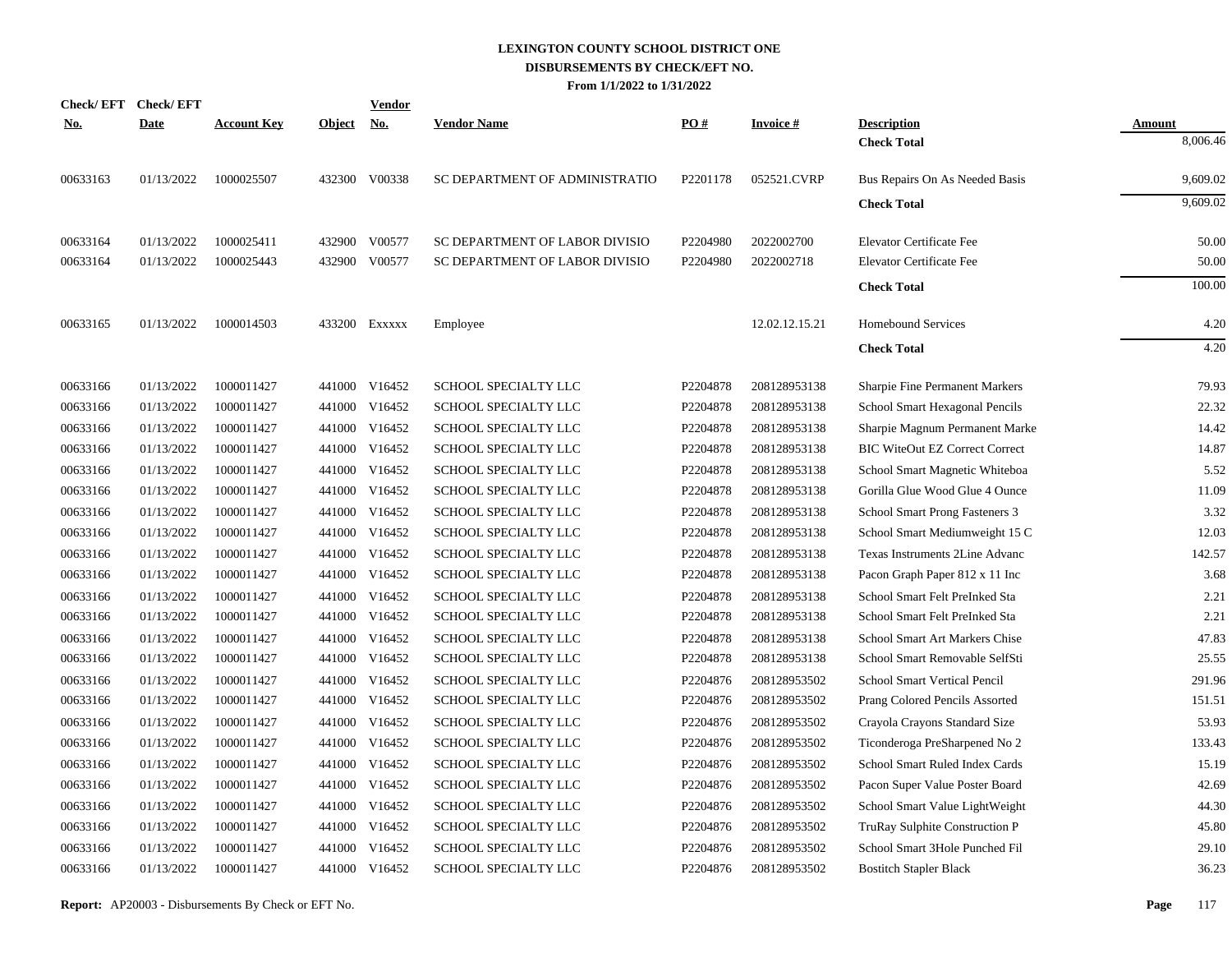|            | Check/EFT Check/EFT |                    |               | Vendor        |                                |          |                 |                                       |               |
|------------|---------------------|--------------------|---------------|---------------|--------------------------------|----------|-----------------|---------------------------------------|---------------|
| <u>No.</u> | <b>Date</b>         | <b>Account Key</b> | <b>Object</b> | <u>No.</u>    | <b>Vendor Name</b>             | PO#      | <b>Invoice#</b> | <b>Description</b>                    | <b>Amount</b> |
|            |                     |                    |               |               |                                |          |                 | <b>Check Total</b>                    | 8,006.46      |
| 00633163   | 01/13/2022          | 1000025507         |               | 432300 V00338 | SC DEPARTMENT OF ADMINISTRATIO | P2201178 | 052521.CVRP     | Bus Repairs On As Needed Basis        | 9,609.02      |
|            |                     |                    |               |               |                                |          |                 | <b>Check Total</b>                    | 9,609.02      |
| 00633164   | 01/13/2022          | 1000025411         | 432900        | V00577        | SC DEPARTMENT OF LABOR DIVISIO | P2204980 | 2022002700      | <b>Elevator Certificate Fee</b>       | 50.00         |
| 00633164   | 01/13/2022          | 1000025443         | 432900        | V00577        | SC DEPARTMENT OF LABOR DIVISIO | P2204980 | 2022002718      | <b>Elevator Certificate Fee</b>       | 50.00         |
|            |                     |                    |               |               |                                |          |                 | <b>Check Total</b>                    | 100.00        |
| 00633165   | 01/13/2022          | 1000014503         |               | 433200 Exxxxx | Employee                       |          | 12.02.12.15.21  | <b>Homebound Services</b>             | 4.20          |
|            |                     |                    |               |               |                                |          |                 | <b>Check Total</b>                    | 4.20          |
| 00633166   | 01/13/2022          | 1000011427         |               | 441000 V16452 | SCHOOL SPECIALTY LLC           | P2204878 | 208128953138    | <b>Sharpie Fine Permanent Markers</b> | 79.93         |
| 00633166   | 01/13/2022          | 1000011427         |               | 441000 V16452 | SCHOOL SPECIALTY LLC           | P2204878 | 208128953138    | School Smart Hexagonal Pencils        | 22.32         |
| 00633166   | 01/13/2022          | 1000011427         |               | 441000 V16452 | SCHOOL SPECIALTY LLC           | P2204878 | 208128953138    | Sharpie Magnum Permanent Marke        | 14.42         |
| 00633166   | 01/13/2022          | 1000011427         |               | 441000 V16452 | SCHOOL SPECIALTY LLC           | P2204878 | 208128953138    | <b>BIC WiteOut EZ Correct Correct</b> | 14.87         |
| 00633166   | 01/13/2022          | 1000011427         | 441000        | V16452        | SCHOOL SPECIALTY LLC           | P2204878 | 208128953138    | School Smart Magnetic Whiteboa        | 5.52          |
| 00633166   | 01/13/2022          | 1000011427         | 441000        | V16452        | SCHOOL SPECIALTY LLC           | P2204878 | 208128953138    | Gorilla Glue Wood Glue 4 Ounce        | 11.09         |
| 00633166   | 01/13/2022          | 1000011427         | 441000        | V16452        | SCHOOL SPECIALTY LLC           | P2204878 | 208128953138    | School Smart Prong Fasteners 3        | 3.32          |
| 00633166   | 01/13/2022          | 1000011427         | 441000        | V16452        | SCHOOL SPECIALTY LLC           | P2204878 | 208128953138    | School Smart Mediumweight 15 C        | 12.03         |
| 00633166   | 01/13/2022          | 1000011427         | 441000        | V16452        | SCHOOL SPECIALTY LLC           | P2204878 | 208128953138    | Texas Instruments 2Line Advanc        | 142.57        |
| 00633166   | 01/13/2022          | 1000011427         | 441000        | V16452        | SCHOOL SPECIALTY LLC           | P2204878 | 208128953138    | Pacon Graph Paper 812 x 11 Inc        | 3.68          |
| 00633166   | 01/13/2022          | 1000011427         | 441000        | V16452        | SCHOOL SPECIALTY LLC           | P2204878 | 208128953138    | School Smart Felt PreInked Sta        | 2.21          |
| 00633166   | 01/13/2022          | 1000011427         | 441000        | V16452        | SCHOOL SPECIALTY LLC           | P2204878 | 208128953138    | School Smart Felt PreInked Sta        | 2.21          |
| 00633166   | 01/13/2022          | 1000011427         | 441000        | V16452        | SCHOOL SPECIALTY LLC           | P2204878 | 208128953138    | School Smart Art Markers Chise        | 47.83         |
| 00633166   | 01/13/2022          | 1000011427         | 441000        | V16452        | SCHOOL SPECIALTY LLC           | P2204878 | 208128953138    | School Smart Removable SelfSti        | 25.55         |
| 00633166   | 01/13/2022          | 1000011427         | 441000        | V16452        | SCHOOL SPECIALTY LLC           | P2204876 | 208128953502    | School Smart Vertical Pencil          | 291.96        |
| 00633166   | 01/13/2022          | 1000011427         |               | 441000 V16452 | SCHOOL SPECIALTY LLC           | P2204876 | 208128953502    | Prang Colored Pencils Assorted        | 151.51        |
| 00633166   | 01/13/2022          | 1000011427         | 441000        | V16452        | SCHOOL SPECIALTY LLC           | P2204876 | 208128953502    | Crayola Crayons Standard Size         | 53.93         |
| 00633166   | 01/13/2022          | 1000011427         |               | 441000 V16452 | SCHOOL SPECIALTY LLC           | P2204876 | 208128953502    | Ticonderoga PreSharpened No 2         | 133.43        |
| 00633166   | 01/13/2022          | 1000011427         | 441000        | V16452        | SCHOOL SPECIALTY LLC           | P2204876 | 208128953502    | School Smart Ruled Index Cards        | 15.19         |
| 00633166   | 01/13/2022          | 1000011427         |               | 441000 V16452 | SCHOOL SPECIALTY LLC           | P2204876 | 208128953502    | Pacon Super Value Poster Board        | 42.69         |
| 00633166   | 01/13/2022          | 1000011427         | 441000        | V16452        | SCHOOL SPECIALTY LLC           | P2204876 | 208128953502    | School Smart Value LightWeight        | 44.30         |
| 00633166   | 01/13/2022          | 1000011427         |               | 441000 V16452 | SCHOOL SPECIALTY LLC           | P2204876 | 208128953502    | TruRay Sulphite Construction P        | 45.80         |
| 00633166   | 01/13/2022          | 1000011427         | 441000        | V16452        | SCHOOL SPECIALTY LLC           | P2204876 | 208128953502    | School Smart 3Hole Punched Fil        | 29.10         |
| 00633166   | 01/13/2022          | 1000011427         |               | 441000 V16452 | <b>SCHOOL SPECIALTY LLC</b>    | P2204876 | 208128953502    | <b>Bostitch Stapler Black</b>         | 36.23         |
|            |                     |                    |               |               |                                |          |                 |                                       |               |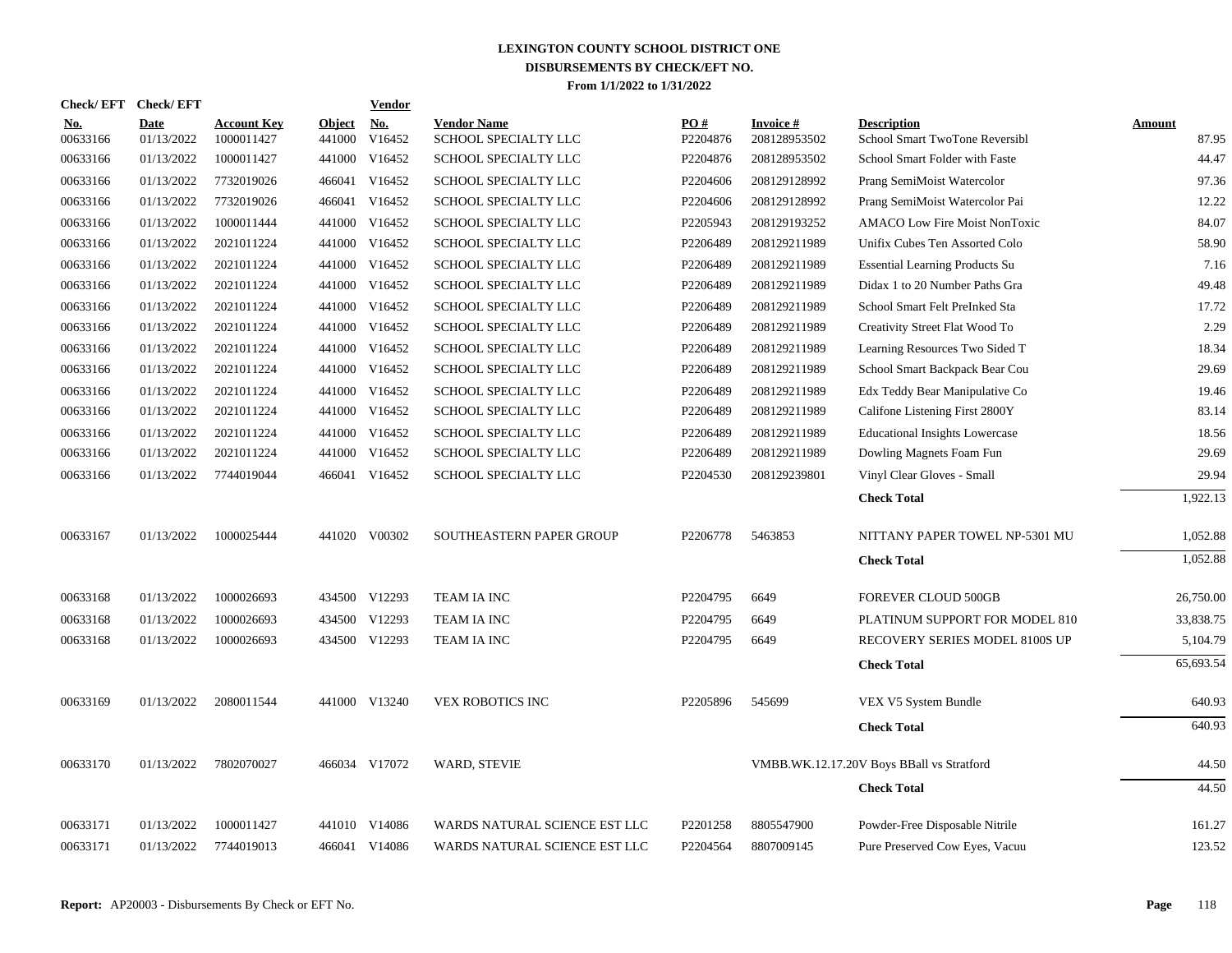|                        | Check/EFT Check/EFT       |                                  |                         | Vendor        |                                            |                 |                                 |                                                      |                 |
|------------------------|---------------------------|----------------------------------|-------------------------|---------------|--------------------------------------------|-----------------|---------------------------------|------------------------------------------------------|-----------------|
| <b>No.</b><br>00633166 | <b>Date</b><br>01/13/2022 | <b>Account Key</b><br>1000011427 | <b>Object</b><br>441000 | No.<br>V16452 | <b>Vendor Name</b><br>SCHOOL SPECIALTY LLC | PO#<br>P2204876 | <b>Invoice#</b><br>208128953502 | <b>Description</b><br>School Smart TwoTone Reversibl | Amount<br>87.95 |
| 00633166               | 01/13/2022                | 1000011427                       | 441000                  | V16452        | SCHOOL SPECIALTY LLC                       | P2204876        | 208128953502                    | School Smart Folder with Faste                       | 44.47           |
| 00633166               | 01/13/2022                | 7732019026                       |                         | 466041 V16452 | SCHOOL SPECIALTY LLC                       | P2204606        | 208129128992                    | Prang SemiMoist Watercolor                           | 97.36           |
| 00633166               | 01/13/2022                | 7732019026                       |                         | 466041 V16452 | SCHOOL SPECIALTY LLC                       | P2204606        | 208129128992                    | Prang SemiMoist Watercolor Pai                       | 12.22           |
| 00633166               | 01/13/2022                | 1000011444                       | 441000                  | V16452        | SCHOOL SPECIALTY LLC                       | P2205943        | 208129193252                    | <b>AMACO Low Fire Moist NonToxic</b>                 | 84.07           |
| 00633166               | 01/13/2022                | 2021011224                       | 441000                  | V16452        | SCHOOL SPECIALTY LLC                       | P2206489        | 208129211989                    | Unifix Cubes Ten Assorted Colo                       | 58.90           |
| 00633166               | 01/13/2022                | 2021011224                       |                         | 441000 V16452 | SCHOOL SPECIALTY LLC                       | P2206489        | 208129211989                    | <b>Essential Learning Products Su</b>                | 7.16            |
| 00633166               | 01/13/2022                | 2021011224                       |                         | 441000 V16452 | SCHOOL SPECIALTY LLC                       | P2206489        | 208129211989                    | Didax 1 to 20 Number Paths Gra                       | 49.48           |
| 00633166               | 01/13/2022                | 2021011224                       |                         | 441000 V16452 | SCHOOL SPECIALTY LLC                       | P2206489        | 208129211989                    | School Smart Felt PreInked Sta                       | 17.72           |
| 00633166               | 01/13/2022                | 2021011224                       | 441000                  | V16452        | SCHOOL SPECIALTY LLC                       | P2206489        | 208129211989                    | Creativity Street Flat Wood To                       | 2.29            |
| 00633166               | 01/13/2022                | 2021011224                       | 441000                  | V16452        | SCHOOL SPECIALTY LLC                       | P2206489        | 208129211989                    | Learning Resources Two Sided T                       | 18.34           |
| 00633166               | 01/13/2022                | 2021011224                       | 441000                  | V16452        | SCHOOL SPECIALTY LLC                       | P2206489        | 208129211989                    | School Smart Backpack Bear Cou                       | 29.69           |
| 00633166               | 01/13/2022                | 2021011224                       |                         | 441000 V16452 | SCHOOL SPECIALTY LLC                       | P2206489        | 208129211989                    | Edx Teddy Bear Manipulative Co                       | 19.46           |
| 00633166               | 01/13/2022                | 2021011224                       |                         | 441000 V16452 | SCHOOL SPECIALTY LLC                       | P2206489        | 208129211989                    | Califone Listening First 2800Y                       | 83.14           |
| 00633166               | 01/13/2022                | 2021011224                       |                         | 441000 V16452 | SCHOOL SPECIALTY LLC                       | P2206489        | 208129211989                    | <b>Educational Insights Lowercase</b>                | 18.56           |
| 00633166               | 01/13/2022                | 2021011224                       | 441000                  | V16452        | SCHOOL SPECIALTY LLC                       | P2206489        | 208129211989                    | Dowling Magnets Foam Fun                             | 29.69           |
| 00633166               | 01/13/2022                | 7744019044                       |                         | 466041 V16452 | SCHOOL SPECIALTY LLC                       | P2204530        | 208129239801                    | Vinyl Clear Gloves - Small                           | 29.94           |
|                        |                           |                                  |                         |               |                                            |                 |                                 | <b>Check Total</b>                                   | 1,922.13        |
| 00633167               | 01/13/2022                | 1000025444                       |                         | 441020 V00302 | SOUTHEASTERN PAPER GROUP                   | P2206778        | 5463853                         | NITTANY PAPER TOWEL NP-5301 MU                       | 1,052.88        |
|                        |                           |                                  |                         |               |                                            |                 |                                 | <b>Check Total</b>                                   | 1.052.88        |
| 00633168               | 01/13/2022                | 1000026693                       |                         | 434500 V12293 | TEAM IA INC                                | P2204795        | 6649                            | <b>FOREVER CLOUD 500GB</b>                           | 26,750.00       |
| 00633168               | 01/13/2022                | 1000026693                       |                         | 434500 V12293 | TEAM IA INC                                | P2204795        | 6649                            | PLATINUM SUPPORT FOR MODEL 810                       | 33,838.75       |
| 00633168               | 01/13/2022                | 1000026693                       |                         | 434500 V12293 | TEAM IA INC                                | P2204795        | 6649                            | RECOVERY SERIES MODEL 8100S UP                       | 5,104.79        |
|                        |                           |                                  |                         |               |                                            |                 |                                 | <b>Check Total</b>                                   | 65,693.54       |
| 00633169               | 01/13/2022                | 2080011544                       |                         | 441000 V13240 | <b>VEX ROBOTICS INC</b>                    | P2205896        | 545699                          | VEX V5 System Bundle                                 | 640.93          |
|                        |                           |                                  |                         |               |                                            |                 |                                 | <b>Check Total</b>                                   | 640.93          |
| 00633170               | 01/13/2022                | 7802070027                       |                         | 466034 V17072 | <b>WARD, STEVIE</b>                        |                 |                                 | VMBB.WK.12.17.20V Boys BBall vs Stratford            | 44.50           |
|                        |                           |                                  |                         |               |                                            |                 |                                 | <b>Check Total</b>                                   | 44.50           |
| 00633171               | 01/13/2022                | 1000011427                       |                         | 441010 V14086 | WARDS NATURAL SCIENCE EST LLC              | P2201258        | 8805547900                      | Powder-Free Disposable Nitrile                       | 161.27          |
| 00633171               | 01/13/2022                | 7744019013                       |                         | 466041 V14086 | WARDS NATURAL SCIENCE EST LLC              | P2204564        | 8807009145                      | Pure Preserved Cow Eyes, Vacuu                       | 123.52          |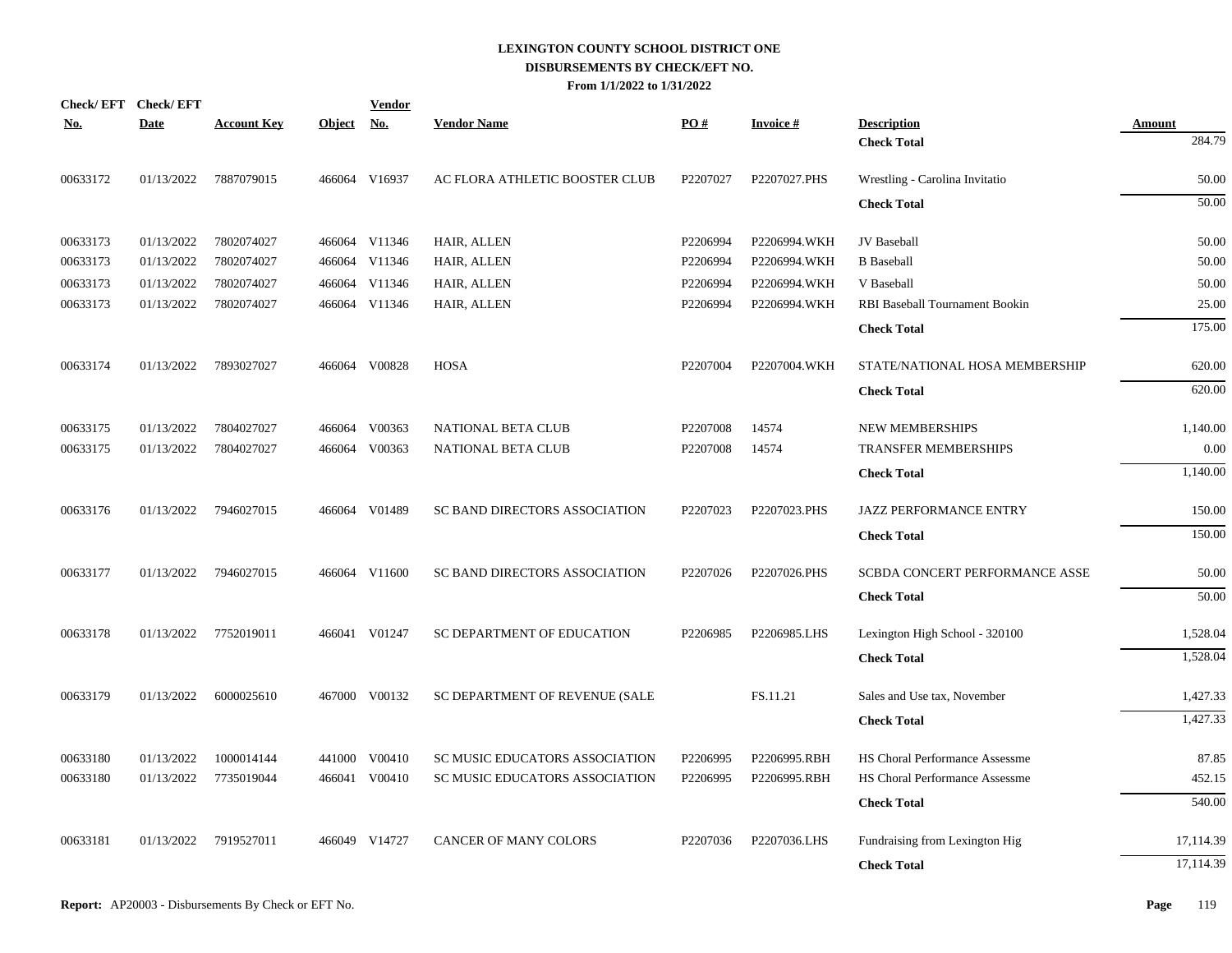| No.      | Check/EFT Check/EFT<br><b>Date</b> | <b>Account Key</b> | Object No. | <b>Vendor</b> | <b>Vendor Name</b>             | PO#      | <b>Invoice#</b> | <b>Description</b>                    | <b>Amount</b> |
|----------|------------------------------------|--------------------|------------|---------------|--------------------------------|----------|-----------------|---------------------------------------|---------------|
|          |                                    |                    |            |               |                                |          |                 | <b>Check Total</b>                    | 284.79        |
| 00633172 | 01/13/2022                         | 7887079015         |            | 466064 V16937 | AC FLORA ATHLETIC BOOSTER CLUB | P2207027 | P2207027.PHS    | Wrestling - Carolina Invitatio        | 50.00         |
|          |                                    |                    |            |               |                                |          |                 | <b>Check Total</b>                    | 50.00         |
| 00633173 | 01/13/2022                         | 7802074027         |            | 466064 V11346 | HAIR, ALLEN                    | P2206994 | P2206994.WKH    | JV Baseball                           | 50.00         |
| 00633173 | 01/13/2022                         | 7802074027         |            | 466064 V11346 | HAIR, ALLEN                    | P2206994 | P2206994.WKH    | <b>B</b> Baseball                     | 50.00         |
| 00633173 | 01/13/2022                         | 7802074027         |            | 466064 V11346 | HAIR, ALLEN                    | P2206994 | P2206994.WKH    | V Baseball                            | 50.00         |
| 00633173 | 01/13/2022                         | 7802074027         |            | 466064 V11346 | HAIR, ALLEN                    | P2206994 | P2206994.WKH    | RBI Baseball Tournament Bookin        | 25.00         |
|          |                                    |                    |            |               |                                |          |                 | <b>Check Total</b>                    | 175.00        |
| 00633174 | 01/13/2022                         | 7893027027         |            | 466064 V00828 | <b>HOSA</b>                    | P2207004 | P2207004.WKH    | STATE/NATIONAL HOSA MEMBERSHIP        | 620.00        |
|          |                                    |                    |            |               |                                |          |                 | <b>Check Total</b>                    | 620.00        |
| 00633175 | 01/13/2022                         | 7804027027         |            | 466064 V00363 | NATIONAL BETA CLUB             | P2207008 | 14574           | <b>NEW MEMBERSHIPS</b>                | 1,140.00      |
| 00633175 | 01/13/2022                         | 7804027027         |            | 466064 V00363 | NATIONAL BETA CLUB             | P2207008 | 14574           | TRANSFER MEMBERSHIPS                  | 0.00          |
|          |                                    |                    |            |               |                                |          |                 | <b>Check Total</b>                    | 1,140.00      |
| 00633176 | 01/13/2022                         | 7946027015         |            | 466064 V01489 | SC BAND DIRECTORS ASSOCIATION  | P2207023 | P2207023.PHS    | JAZZ PERFORMANCE ENTRY                | 150.00        |
|          |                                    |                    |            |               |                                |          |                 | <b>Check Total</b>                    | 150.00        |
| 00633177 | 01/13/2022                         | 7946027015         |            | 466064 V11600 | SC BAND DIRECTORS ASSOCIATION  | P2207026 | P2207026.PHS    | SCBDA CONCERT PERFORMANCE ASSE        | 50.00         |
|          |                                    |                    |            |               |                                |          |                 | <b>Check Total</b>                    | 50.00         |
| 00633178 | 01/13/2022                         | 7752019011         |            | 466041 V01247 | SC DEPARTMENT OF EDUCATION     | P2206985 | P2206985.LHS    | Lexington High School - 320100        | 1,528.04      |
|          |                                    |                    |            |               |                                |          |                 | <b>Check Total</b>                    | 1,528.04      |
| 00633179 | 01/13/2022                         | 6000025610         |            | 467000 V00132 | SC DEPARTMENT OF REVENUE (SALE |          | FS.11.21        | Sales and Use tax, November           | 1,427.33      |
|          |                                    |                    |            |               |                                |          |                 | <b>Check Total</b>                    | 1,427.33      |
| 00633180 | 01/13/2022                         | 1000014144         |            | 441000 V00410 | SC MUSIC EDUCATORS ASSOCIATION | P2206995 | P2206995.RBH    | <b>HS Choral Performance Assessme</b> | 87.85         |
| 00633180 | 01/13/2022                         | 7735019044         |            | 466041 V00410 | SC MUSIC EDUCATORS ASSOCIATION | P2206995 | P2206995.RBH    | HS Choral Performance Assessme        | 452.15        |
|          |                                    |                    |            |               |                                |          |                 | <b>Check Total</b>                    | 540.00        |
| 00633181 | 01/13/2022                         | 7919527011         |            | 466049 V14727 | CANCER OF MANY COLORS          | P2207036 | P2207036.LHS    | Fundraising from Lexington Hig        | 17,114.39     |
|          |                                    |                    |            |               |                                |          |                 | <b>Check Total</b>                    | 17,114.39     |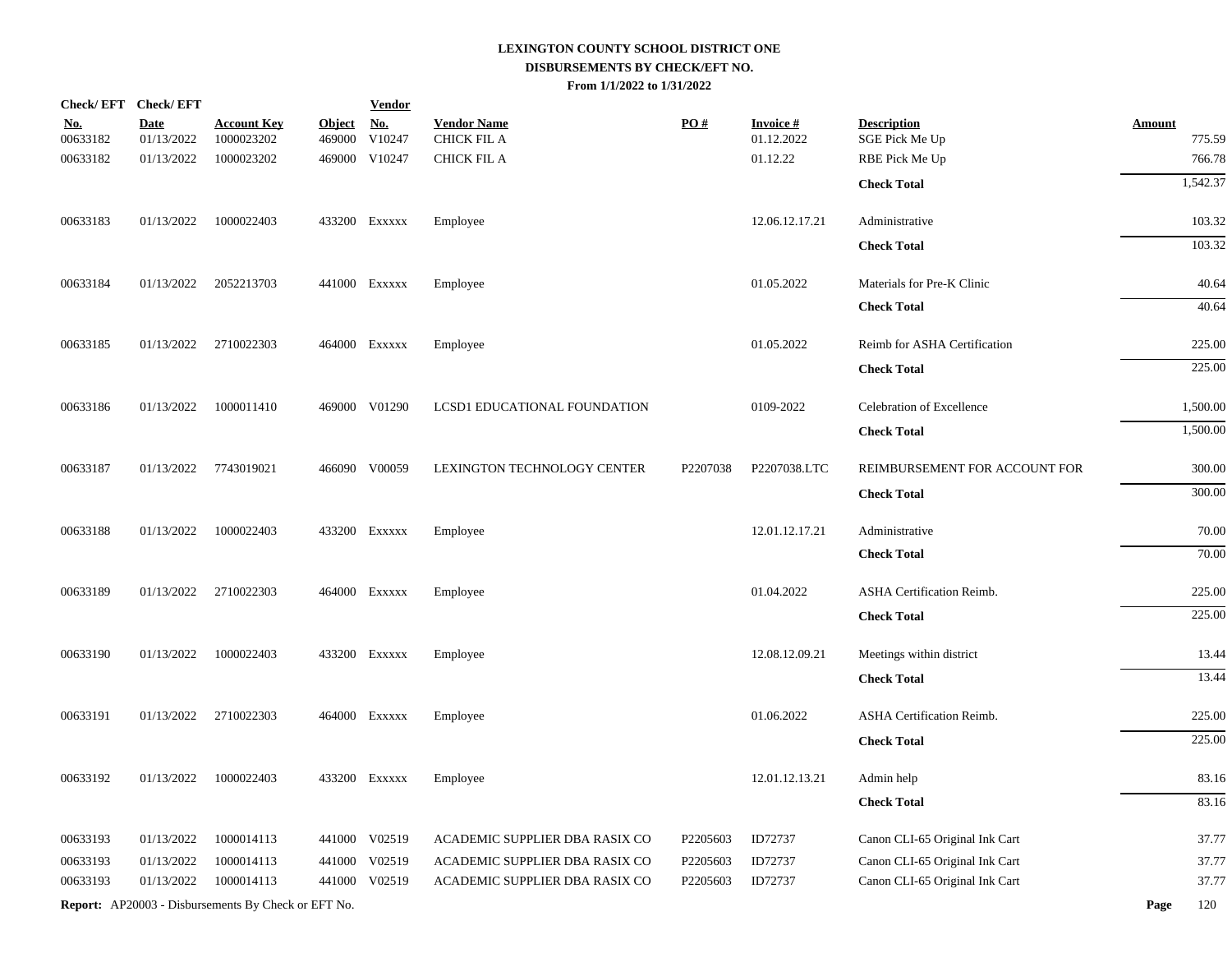|                        | Check/EFT Check/EFT       |                                                     |                         | <b>Vendor</b>        |                                   |          |                               |                                      |                         |
|------------------------|---------------------------|-----------------------------------------------------|-------------------------|----------------------|-----------------------------------|----------|-------------------------------|--------------------------------------|-------------------------|
| <u>No.</u><br>00633182 | <b>Date</b><br>01/13/2022 | <u>Account Key</u><br>1000023202                    | <b>Object</b><br>469000 | <u>No.</u><br>V10247 | <b>Vendor Name</b><br>CHICK FIL A | PO#      | <b>Invoice#</b><br>01.12.2022 | <b>Description</b><br>SGE Pick Me Up | <b>Amount</b><br>775.59 |
| 00633182               | 01/13/2022                | 1000023202                                          |                         | 469000 V10247        | <b>CHICK FIL A</b>                |          | 01.12.22                      | RBE Pick Me Up                       | 766.78                  |
|                        |                           |                                                     |                         |                      |                                   |          |                               | <b>Check Total</b>                   | 1,542.37                |
| 00633183               | 01/13/2022                | 1000022403                                          |                         | 433200 EXXXXX        | Employee                          |          | 12.06.12.17.21                | Administrative                       | 103.32                  |
|                        |                           |                                                     |                         |                      |                                   |          |                               | <b>Check Total</b>                   | 103.32                  |
| 00633184               | 01/13/2022                | 2052213703                                          |                         | 441000 Exxxxx        | Employee                          |          | 01.05.2022                    | Materials for Pre-K Clinic           | 40.64                   |
|                        |                           |                                                     |                         |                      |                                   |          |                               | <b>Check Total</b>                   | 40.64                   |
| 00633185               | 01/13/2022                | 2710022303                                          |                         | 464000 Exxxxx        | Employee                          |          | 01.05.2022                    | Reimb for ASHA Certification         | 225.00                  |
|                        |                           |                                                     |                         |                      |                                   |          |                               | <b>Check Total</b>                   | 225.00                  |
| 00633186               | 01/13/2022                | 1000011410                                          |                         | 469000 V01290        | LCSD1 EDUCATIONAL FOUNDATION      |          | 0109-2022                     | Celebration of Excellence            | 1,500.00                |
|                        |                           |                                                     |                         |                      |                                   |          |                               | <b>Check Total</b>                   | 1,500.00                |
| 00633187               | 01/13/2022                | 7743019021                                          |                         | 466090 V00059        | LEXINGTON TECHNOLOGY CENTER       | P2207038 | P2207038.LTC                  | REIMBURSEMENT FOR ACCOUNT FOR        | 300.00                  |
|                        |                           |                                                     |                         |                      |                                   |          |                               | <b>Check Total</b>                   | 300.00                  |
| 00633188               | 01/13/2022                | 1000022403                                          |                         | 433200 EXXXXX        | Employee                          |          | 12.01.12.17.21                | Administrative                       | 70.00                   |
|                        |                           |                                                     |                         |                      |                                   |          |                               | <b>Check Total</b>                   | 70.00                   |
| 00633189               | 01/13/2022                | 2710022303                                          |                         | 464000 Exxxxx        | Employee                          |          | 01.04.2022                    | ASHA Certification Reimb.            | 225.00                  |
|                        |                           |                                                     |                         |                      |                                   |          |                               | <b>Check Total</b>                   | 225.00                  |
| 00633190               | 01/13/2022                | 1000022403                                          |                         | 433200 EXXXXX        | Employee                          |          | 12.08.12.09.21                | Meetings within district             | 13.44                   |
|                        |                           |                                                     |                         |                      |                                   |          |                               | <b>Check Total</b>                   | 13.44                   |
| 00633191               | 01/13/2022                | 2710022303                                          |                         | 464000 Exxxxx        | Employee                          |          | 01.06.2022                    | <b>ASHA Certification Reimb.</b>     | 225.00                  |
|                        |                           |                                                     |                         |                      |                                   |          |                               | <b>Check Total</b>                   | 225.00                  |
| 00633192               | 01/13/2022                | 1000022403                                          |                         | 433200 EXXXXX        | Employee                          |          | 12.01.12.13.21                | Admin help                           | 83.16                   |
|                        |                           |                                                     |                         |                      |                                   |          |                               | <b>Check Total</b>                   | 83.16                   |
| 00633193               | 01/13/2022                | 1000014113                                          |                         | 441000 V02519        | ACADEMIC SUPPLIER DBA RASIX CO    | P2205603 | ID72737                       | Canon CLI-65 Original Ink Cart       | 37.77                   |
| 00633193               | 01/13/2022                | 1000014113                                          |                         | 441000 V02519        | ACADEMIC SUPPLIER DBA RASIX CO    | P2205603 | ID72737                       | Canon CLI-65 Original Ink Cart       | 37.77                   |
| 00633193               | 01/13/2022                | 1000014113                                          |                         | 441000 V02519        | ACADEMIC SUPPLIER DBA RASIX CO    | P2205603 | ID72737                       | Canon CLI-65 Original Ink Cart       | 37.77                   |
|                        |                           | Report: AP20003 - Disbursements By Check or EFT No. |                         |                      |                                   |          |                               |                                      | Page<br>120             |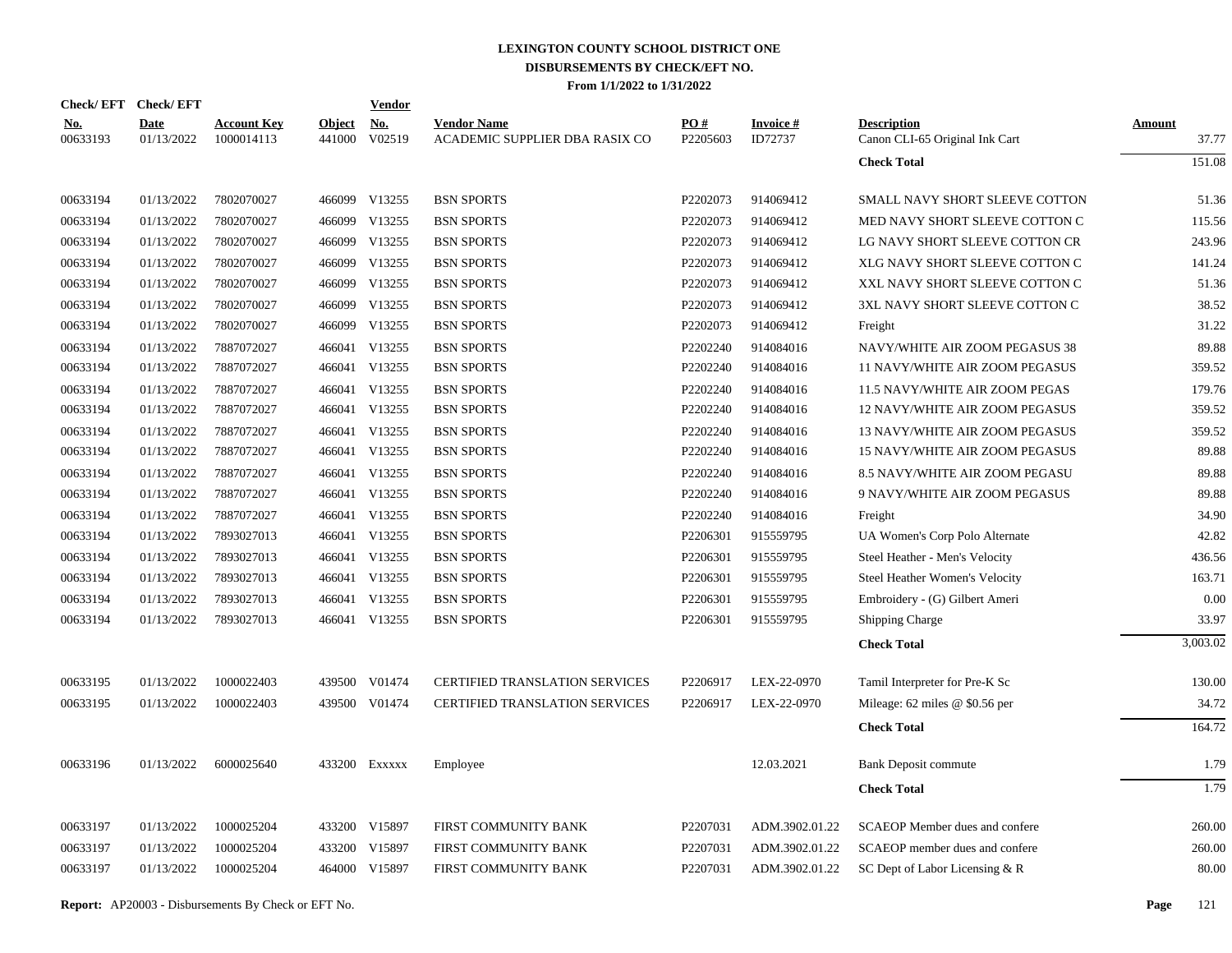| Check/EFT Check/EFT    |                    |                                  |                         | Vendor        |                                                      |                 |                      |                                                      |                 |
|------------------------|--------------------|----------------------------------|-------------------------|---------------|------------------------------------------------------|-----------------|----------------------|------------------------------------------------------|-----------------|
| <u>No.</u><br>00633193 | Date<br>01/13/2022 | <b>Account Key</b><br>1000014113 | <b>Object</b><br>441000 | No.<br>V02519 | <b>Vendor Name</b><br>ACADEMIC SUPPLIER DBA RASIX CO | PO#<br>P2205603 | Invoice #<br>ID72737 | <b>Description</b><br>Canon CLI-65 Original Ink Cart | Amount<br>37.77 |
|                        |                    |                                  |                         |               |                                                      |                 |                      | <b>Check Total</b>                                   | 151.08          |
| 00633194               | 01/13/2022         | 7802070027                       |                         | 466099 V13255 | <b>BSN SPORTS</b>                                    | P2202073        | 914069412            | SMALL NAVY SHORT SLEEVE COTTON                       | 51.36           |
| 00633194               | 01/13/2022         | 7802070027                       | 466099                  | V13255        | <b>BSN SPORTS</b>                                    | P2202073        | 914069412            | MED NAVY SHORT SLEEVE COTTON C                       | 115.56          |
| 00633194               | 01/13/2022         | 7802070027                       |                         | 466099 V13255 | <b>BSN SPORTS</b>                                    | P2202073        | 914069412            | LG NAVY SHORT SLEEVE COTTON CR                       | 243.96          |
| 00633194               | 01/13/2022         | 7802070027                       | 466099                  | V13255        | <b>BSN SPORTS</b>                                    | P2202073        | 914069412            | XLG NAVY SHORT SLEEVE COTTON C                       | 141.24          |
| 00633194               | 01/13/2022         | 7802070027                       | 466099                  | V13255        | <b>BSN SPORTS</b>                                    | P2202073        | 914069412            | XXL NAVY SHORT SLEEVE COTTON C                       | 51.36           |
| 00633194               | 01/13/2022         | 7802070027                       | 466099                  | V13255        | <b>BSN SPORTS</b>                                    | P2202073        | 914069412            | 3XL NAVY SHORT SLEEVE COTTON C                       | 38.52           |
| 00633194               | 01/13/2022         | 7802070027                       | 466099                  | V13255        | <b>BSN SPORTS</b>                                    | P2202073        | 914069412            | Freight                                              | 31.22           |
| 00633194               | 01/13/2022         | 7887072027                       | 466041                  | V13255        | <b>BSN SPORTS</b>                                    | P2202240        | 914084016            | NAVY/WHITE AIR ZOOM PEGASUS 38                       | 89.88           |
| 00633194               | 01/13/2022         | 7887072027                       |                         | 466041 V13255 | <b>BSN SPORTS</b>                                    | P2202240        | 914084016            | 11 NAVY/WHITE AIR ZOOM PEGASUS                       | 359.52          |
| 00633194               | 01/13/2022         | 7887072027                       | 466041                  | V13255        | <b>BSN SPORTS</b>                                    | P2202240        | 914084016            | 11.5 NAVY/WHITE AIR ZOOM PEGAS                       | 179.76          |
| 00633194               | 01/13/2022         | 7887072027                       |                         | 466041 V13255 | <b>BSN SPORTS</b>                                    | P2202240        | 914084016            | 12 NAVY/WHITE AIR ZOOM PEGASUS                       | 359.52          |
| 00633194               | 01/13/2022         | 7887072027                       |                         | 466041 V13255 | <b>BSN SPORTS</b>                                    | P2202240        | 914084016            | 13 NAVY/WHITE AIR ZOOM PEGASUS                       | 359.52          |
| 00633194               | 01/13/2022         | 7887072027                       |                         | 466041 V13255 | <b>BSN SPORTS</b>                                    | P2202240        | 914084016            | 15 NAVY/WHITE AIR ZOOM PEGASUS                       | 89.88           |
| 00633194               | 01/13/2022         | 7887072027                       |                         | 466041 V13255 | <b>BSN SPORTS</b>                                    | P2202240        | 914084016            | 8.5 NAVY/WHITE AIR ZOOM PEGASU                       | 89.88           |
| 00633194               | 01/13/2022         | 7887072027                       |                         | 466041 V13255 | <b>BSN SPORTS</b>                                    | P2202240        | 914084016            | 9 NAVY/WHITE AIR ZOOM PEGASUS                        | 89.88           |
| 00633194               | 01/13/2022         | 7887072027                       | 466041                  | V13255        | <b>BSN SPORTS</b>                                    | P2202240        | 914084016            | Freight                                              | 34.90           |
| 00633194               | 01/13/2022         | 7893027013                       |                         | 466041 V13255 | <b>BSN SPORTS</b>                                    | P2206301        | 915559795            | UA Women's Corp Polo Alternate                       | 42.82           |
| 00633194               | 01/13/2022         | 7893027013                       | 466041                  | V13255        | <b>BSN SPORTS</b>                                    | P2206301        | 915559795            | Steel Heather - Men's Velocity                       | 436.56          |
| 00633194               | 01/13/2022         | 7893027013                       |                         | 466041 V13255 | <b>BSN SPORTS</b>                                    | P2206301        | 915559795            | Steel Heather Women's Velocity                       | 163.71          |
| 00633194               | 01/13/2022         | 7893027013                       | 466041                  | V13255        | <b>BSN SPORTS</b>                                    | P2206301        | 915559795            | Embroidery - (G) Gilbert Ameri                       | 0.00            |
| 00633194               | 01/13/2022         | 7893027013                       |                         | 466041 V13255 | <b>BSN SPORTS</b>                                    | P2206301        | 915559795            | Shipping Charge                                      | 33.97           |
|                        |                    |                                  |                         |               |                                                      |                 |                      | <b>Check Total</b>                                   | 3,003.02        |
| 00633195               | 01/13/2022         | 1000022403                       |                         | 439500 V01474 | <b>CERTIFIED TRANSLATION SERVICES</b>                | P2206917        | LEX-22-0970          | Tamil Interpreter for Pre-K Sc                       | 130.00          |
| 00633195               | 01/13/2022         | 1000022403                       |                         | 439500 V01474 | <b>CERTIFIED TRANSLATION SERVICES</b>                | P2206917        | LEX-22-0970          | Mileage: $62$ miles @ \$0.56 per                     | 34.72           |
|                        |                    |                                  |                         |               |                                                      |                 |                      | <b>Check Total</b>                                   | 164.72          |
| 00633196               | 01/13/2022         | 6000025640                       |                         | 433200 EXXXXX | Employee                                             |                 | 12.03.2021           | <b>Bank Deposit commute</b>                          | 1.79            |
|                        |                    |                                  |                         |               |                                                      |                 |                      | <b>Check Total</b>                                   | 1.79            |
| 00633197               | 01/13/2022         | 1000025204                       |                         | 433200 V15897 | FIRST COMMUNITY BANK                                 | P2207031        | ADM.3902.01.22       | SCAEOP Member dues and confere                       | 260.00          |
| 00633197               | 01/13/2022         | 1000025204                       | 433200                  | V15897        | FIRST COMMUNITY BANK                                 | P2207031        | ADM.3902.01.22       | SCAEOP member dues and confere                       | 260.00          |
| 00633197               | 01/13/2022         | 1000025204                       |                         | 464000 V15897 | FIRST COMMUNITY BANK                                 | P2207031        | ADM.3902.01.22       | SC Dept of Labor Licensing & R                       | 80.00           |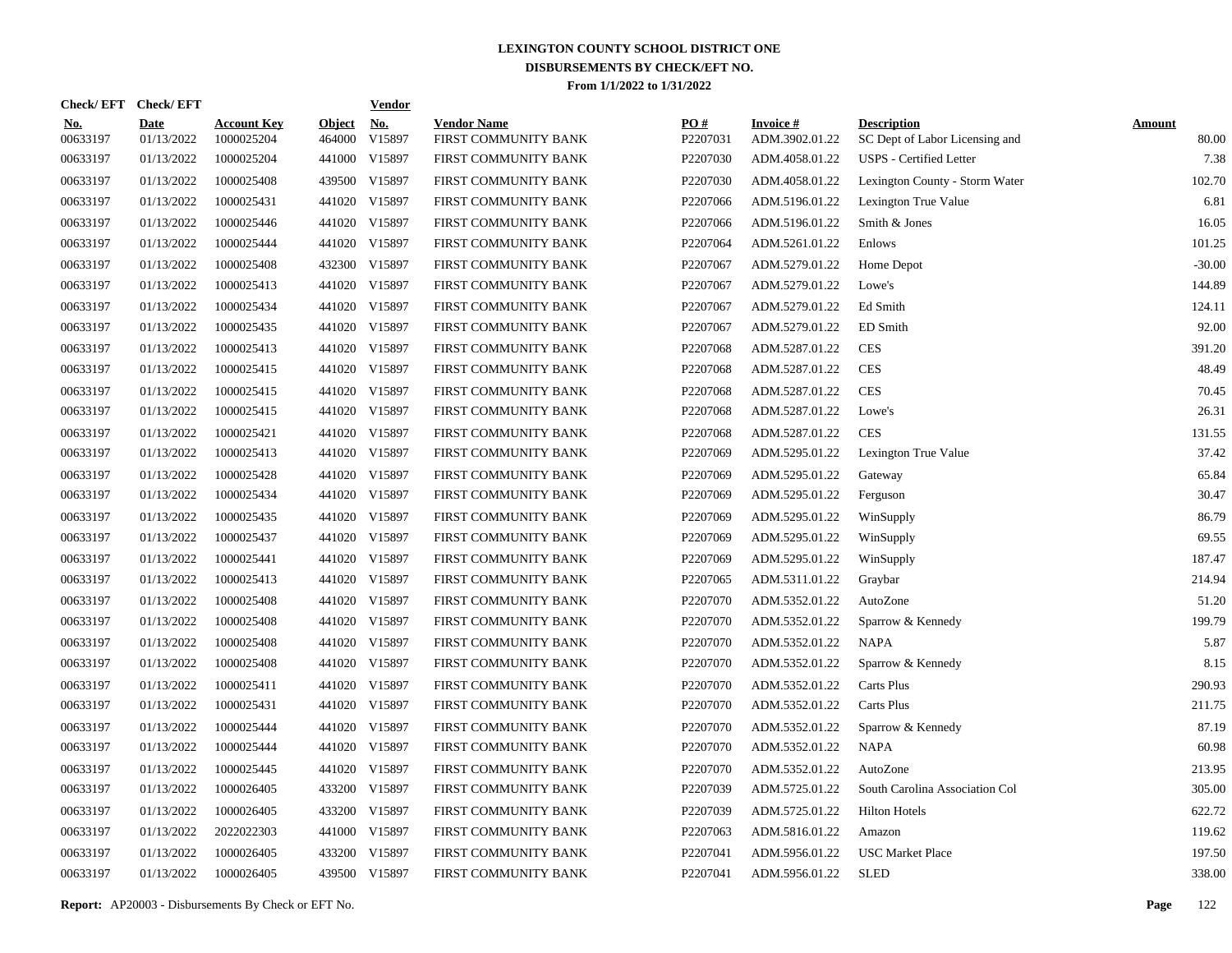|                        | Check/EFT Check/EFT |                                  |                         | <b>Vendor</b>        |                                            |                      |                                   |                                                      |                        |
|------------------------|---------------------|----------------------------------|-------------------------|----------------------|--------------------------------------------|----------------------|-----------------------------------|------------------------------------------------------|------------------------|
| <u>No.</u><br>00633197 | Date<br>01/13/2022  | <b>Account Key</b><br>1000025204 | <b>Object</b><br>464000 | <u>No.</u><br>V15897 | <b>Vendor Name</b><br>FIRST COMMUNITY BANK | PQ#<br>P2207031      | <b>Invoice#</b><br>ADM.3902.01.22 | <b>Description</b><br>SC Dept of Labor Licensing and | <b>Amount</b><br>80.00 |
| 00633197               | 01/13/2022          | 1000025204                       |                         | 441000 V15897        | FIRST COMMUNITY BANK                       | P2207030             | ADM.4058.01.22                    | <b>USPS</b> - Certified Letter                       | 7.38                   |
| 00633197               | 01/13/2022          | 1000025408                       |                         | 439500 V15897        | FIRST COMMUNITY BANK                       | P2207030             | ADM.4058.01.22                    | Lexington County - Storm Water                       | 102.70                 |
| 00633197               | 01/13/2022          | 1000025431                       |                         | 441020 V15897        | FIRST COMMUNITY BANK                       | P2207066             | ADM.5196.01.22                    | Lexington True Value                                 | 6.81                   |
| 00633197               | 01/13/2022          | 1000025446                       |                         | 441020 V15897        | FIRST COMMUNITY BANK                       | P2207066             | ADM.5196.01.22                    | Smith & Jones                                        | 16.05                  |
| 00633197               | 01/13/2022          | 1000025444                       |                         | 441020 V15897        | FIRST COMMUNITY BANK                       | P2207064             | ADM.5261.01.22                    | Enlows                                               | 101.25                 |
| 00633197               | 01/13/2022          | 1000025408                       |                         | 432300 V15897        | FIRST COMMUNITY BANK                       | P2207067             | ADM.5279.01.22                    | Home Depot                                           | $-30.00$               |
| 00633197               | 01/13/2022          | 1000025413                       |                         | 441020 V15897        | FIRST COMMUNITY BANK                       | P2207067             | ADM.5279.01.22                    | Lowe's                                               | 144.89                 |
| 00633197               | 01/13/2022          | 1000025434                       |                         | 441020 V15897        | FIRST COMMUNITY BANK                       | P2207067             | ADM.5279.01.22                    | Ed Smith                                             | 124.11                 |
| 00633197               | 01/13/2022          | 1000025435                       |                         | 441020 V15897        | FIRST COMMUNITY BANK                       | P2207067             | ADM.5279.01.22                    | ED Smith                                             | 92.00                  |
| 00633197               | 01/13/2022          | 1000025413                       |                         | 441020 V15897        | FIRST COMMUNITY BANK                       | P2207068             | ADM.5287.01.22                    | <b>CES</b>                                           | 391.20                 |
| 00633197               | 01/13/2022          | 1000025415                       |                         | 441020 V15897        | FIRST COMMUNITY BANK                       | P2207068             | ADM.5287.01.22                    | <b>CES</b>                                           | 48.49                  |
| 00633197               | 01/13/2022          | 1000025415                       |                         | 441020 V15897        | FIRST COMMUNITY BANK                       | P2207068             | ADM.5287.01.22                    | <b>CES</b>                                           | 70.45                  |
| 00633197               | 01/13/2022          | 1000025415                       |                         | 441020 V15897        | FIRST COMMUNITY BANK                       | P2207068             | ADM.5287.01.22                    | Lowe's                                               | 26.31                  |
| 00633197               | 01/13/2022          | 1000025421                       |                         | 441020 V15897        | FIRST COMMUNITY BANK                       | P2207068             | ADM.5287.01.22                    | <b>CES</b>                                           | 131.55                 |
| 00633197               | 01/13/2022          | 1000025413                       |                         | 441020 V15897        | FIRST COMMUNITY BANK                       | P2207069             | ADM.5295.01.22                    | Lexington True Value                                 | 37.42                  |
| 00633197               | 01/13/2022          | 1000025428                       |                         | 441020 V15897        | FIRST COMMUNITY BANK                       | P2207069             | ADM.5295.01.22                    | Gateway                                              | 65.84                  |
| 00633197               | 01/13/2022          | 1000025434                       |                         | 441020 V15897        | FIRST COMMUNITY BANK                       | P2207069             | ADM.5295.01.22                    | Ferguson                                             | 30.47                  |
| 00633197               | 01/13/2022          | 1000025435                       |                         | 441020 V15897        | FIRST COMMUNITY BANK                       | P2207069             | ADM.5295.01.22                    | WinSupply                                            | 86.79                  |
| 00633197               | 01/13/2022          | 1000025437                       |                         | 441020 V15897        | FIRST COMMUNITY BANK                       | P2207069             | ADM.5295.01.22                    | WinSupply                                            | 69.55                  |
| 00633197               | 01/13/2022          | 1000025441                       |                         | 441020 V15897        | FIRST COMMUNITY BANK                       | P2207069             | ADM.5295.01.22                    | WinSupply                                            | 187.47                 |
| 00633197               | 01/13/2022          | 1000025413                       |                         | 441020 V15897        | FIRST COMMUNITY BANK                       | P2207065             | ADM.5311.01.22                    | Graybar                                              | 214.94                 |
| 00633197               | 01/13/2022          | 1000025408                       |                         | 441020 V15897        | FIRST COMMUNITY BANK                       | P2207070             | ADM.5352.01.22                    | AutoZone                                             | 51.20                  |
| 00633197               | 01/13/2022          | 1000025408                       |                         | 441020 V15897        | FIRST COMMUNITY BANK                       | P2207070             | ADM.5352.01.22                    | Sparrow & Kennedy                                    | 199.79                 |
| 00633197               | 01/13/2022          | 1000025408                       |                         | 441020 V15897        | FIRST COMMUNITY BANK                       | P <sub>2207070</sub> | ADM.5352.01.22                    | NAPA                                                 | 5.87                   |
| 00633197               | 01/13/2022          | 1000025408                       |                         | 441020 V15897        | FIRST COMMUNITY BANK                       | P2207070             | ADM.5352.01.22                    | Sparrow & Kennedy                                    | 8.15                   |
| 00633197               | 01/13/2022          | 1000025411                       |                         | 441020 V15897        | FIRST COMMUNITY BANK                       | P <sub>2207070</sub> | ADM.5352.01.22                    | Carts Plus                                           | 290.93                 |
| 00633197               | 01/13/2022          | 1000025431                       |                         | 441020 V15897        | FIRST COMMUNITY BANK                       | P2207070             | ADM.5352.01.22                    | Carts Plus                                           | 211.75                 |
| 00633197               | 01/13/2022          | 1000025444                       |                         | 441020 V15897        | FIRST COMMUNITY BANK                       | P2207070             | ADM.5352.01.22                    | Sparrow & Kennedy                                    | 87.19                  |
| 00633197               | 01/13/2022          | 1000025444                       |                         | 441020 V15897        | FIRST COMMUNITY BANK                       | P2207070             | ADM.5352.01.22                    | NAPA                                                 | 60.98                  |
| 00633197               | 01/13/2022          | 1000025445                       |                         | 441020 V15897        | FIRST COMMUNITY BANK                       | P2207070             | ADM.5352.01.22                    | AutoZone                                             | 213.95                 |
| 00633197               | 01/13/2022          | 1000026405                       |                         | 433200 V15897        | FIRST COMMUNITY BANK                       | P2207039             | ADM.5725.01.22                    | South Carolina Association Col                       | 305.00                 |
| 00633197               | 01/13/2022          | 1000026405                       |                         | 433200 V15897        | FIRST COMMUNITY BANK                       | P2207039             | ADM.5725.01.22                    | <b>Hilton Hotels</b>                                 | 622.72                 |
| 00633197               | 01/13/2022          | 2022022303                       |                         | 441000 V15897        | FIRST COMMUNITY BANK                       | P2207063             | ADM.5816.01.22                    | Amazon                                               | 119.62                 |
| 00633197               | 01/13/2022          | 1000026405                       |                         | 433200 V15897        | FIRST COMMUNITY BANK                       | P2207041             | ADM.5956.01.22                    | <b>USC Market Place</b>                              | 197.50                 |
| 00633197               | 01/13/2022          | 1000026405                       |                         | 439500 V15897        | FIRST COMMUNITY BANK                       | P2207041             | ADM.5956.01.22                    | <b>SLED</b>                                          | 338.00                 |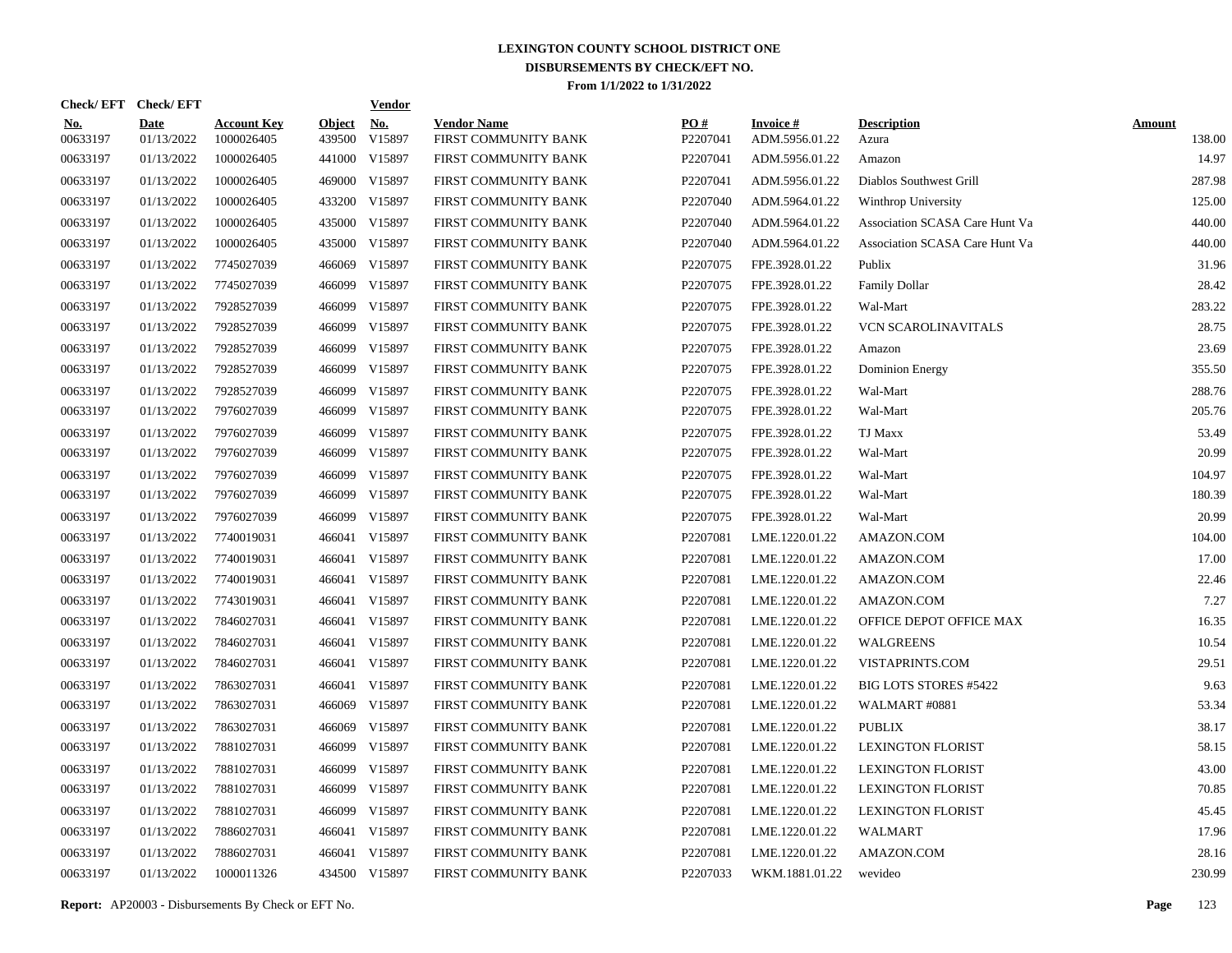| Check/EFT Check/EFT    |                           |                                  |                         | <u>Vendor</u>        |                                            |                      |                                   |                                |                         |
|------------------------|---------------------------|----------------------------------|-------------------------|----------------------|--------------------------------------------|----------------------|-----------------------------------|--------------------------------|-------------------------|
| <u>No.</u><br>00633197 | <b>Date</b><br>01/13/2022 | <b>Account Key</b><br>1000026405 | <b>Object</b><br>439500 | <u>No.</u><br>V15897 | <b>Vendor Name</b><br>FIRST COMMUNITY BANK | PQ#<br>P2207041      | <b>Invoice#</b><br>ADM.5956.01.22 | <b>Description</b><br>Azura    | <b>Amount</b><br>138.00 |
| 00633197               | 01/13/2022                | 1000026405                       |                         | 441000 V15897        | FIRST COMMUNITY BANK                       | P2207041             | ADM.5956.01.22                    | Amazon                         | 14.97                   |
| 00633197               | 01/13/2022                | 1000026405                       |                         | 469000 V15897        | FIRST COMMUNITY BANK                       | P2207041             | ADM.5956.01.22                    | Diablos Southwest Grill        | 287.98                  |
| 00633197               | 01/13/2022                | 1000026405                       |                         | 433200 V15897        | FIRST COMMUNITY BANK                       | P2207040             | ADM.5964.01.22                    | Winthrop University            | 125.00                  |
| 00633197               | 01/13/2022                | 1000026405                       |                         | 435000 V15897        | FIRST COMMUNITY BANK                       | P2207040             | ADM.5964.01.22                    | Association SCASA Care Hunt Va | 440.00                  |
| 00633197               | 01/13/2022                | 1000026405                       |                         | 435000 V15897        | FIRST COMMUNITY BANK                       | P2207040             | ADM.5964.01.22                    | Association SCASA Care Hunt Va | 440.00                  |
| 00633197               | 01/13/2022                | 7745027039                       | 466069                  | V15897               | FIRST COMMUNITY BANK                       | P2207075             | FPE.3928.01.22                    | Publix                         | 31.96                   |
| 00633197               | 01/13/2022                | 7745027039                       | 466099                  | V15897               | FIRST COMMUNITY BANK                       | P2207075             | FPE.3928.01.22                    | <b>Family Dollar</b>           | 28.42                   |
| 00633197               | 01/13/2022                | 7928527039                       |                         | 466099 V15897        | FIRST COMMUNITY BANK                       | P2207075             | FPE.3928.01.22                    | Wal-Mart                       | 283.22                  |
| 00633197               | 01/13/2022                | 7928527039                       |                         | 466099 V15897        | FIRST COMMUNITY BANK                       | P <sub>2207075</sub> | FPE.3928.01.22                    | <b>VCN SCAROLINAVITALS</b>     | 28.75                   |
| 00633197               | 01/13/2022                | 7928527039                       |                         | 466099 V15897        | FIRST COMMUNITY BANK                       | P2207075             | FPE.3928.01.22                    | Amazon                         | 23.69                   |
| 00633197               | 01/13/2022                | 7928527039                       |                         | 466099 V15897        | FIRST COMMUNITY BANK                       | P2207075             | FPE.3928.01.22                    | <b>Dominion Energy</b>         | 355.50                  |
| 00633197               | 01/13/2022                | 7928527039                       |                         | 466099 V15897        | FIRST COMMUNITY BANK                       | P2207075             | FPE.3928.01.22                    | Wal-Mart                       | 288.76                  |
| 00633197               | 01/13/2022                | 7976027039                       |                         | 466099 V15897        | FIRST COMMUNITY BANK                       | P2207075             | FPE.3928.01.22                    | Wal-Mart                       | 205.76                  |
| 00633197               | 01/13/2022                | 7976027039                       |                         | 466099 V15897        | FIRST COMMUNITY BANK                       | P2207075             | FPE.3928.01.22                    | TJ Maxx                        | 53.49                   |
| 00633197               | 01/13/2022                | 7976027039                       |                         | 466099 V15897        | FIRST COMMUNITY BANK                       | P2207075             | FPE.3928.01.22                    | Wal-Mart                       | 20.99                   |
| 00633197               | 01/13/2022                | 7976027039                       | 466099                  | V15897               | FIRST COMMUNITY BANK                       | P2207075             | FPE.3928.01.22                    | Wal-Mart                       | 104.97                  |
| 00633197               | 01/13/2022                | 7976027039                       |                         | 466099 V15897        | FIRST COMMUNITY BANK                       | P2207075             | FPE.3928.01.22                    | Wal-Mart                       | 180.39                  |
| 00633197               | 01/13/2022                | 7976027039                       | 466099                  | V15897               | FIRST COMMUNITY BANK                       | P2207075             | FPE.3928.01.22                    | Wal-Mart                       | 20.99                   |
| 00633197               | 01/13/2022                | 7740019031                       |                         | 466041 V15897        | FIRST COMMUNITY BANK                       | P2207081             | LME.1220.01.22                    | AMAZON.COM                     | 104.00                  |
| 00633197               | 01/13/2022                | 7740019031                       |                         | 466041 V15897        | FIRST COMMUNITY BANK                       | P2207081             | LME.1220.01.22                    | AMAZON.COM                     | 17.00                   |
| 00633197               | 01/13/2022                | 7740019031                       |                         | 466041 V15897        | FIRST COMMUNITY BANK                       | P2207081             | LME.1220.01.22                    | AMAZON.COM                     | 22.46                   |
| 00633197               | 01/13/2022                | 7743019031                       |                         | 466041 V15897        | FIRST COMMUNITY BANK                       | P2207081             | LME.1220.01.22                    | AMAZON.COM                     | 7.27                    |
| 00633197               | 01/13/2022                | 7846027031                       |                         | 466041 V15897        | FIRST COMMUNITY BANK                       | P2207081             | LME.1220.01.22                    | OFFICE DEPOT OFFICE MAX        | 16.35                   |
| 00633197               | 01/13/2022                | 7846027031                       |                         | 466041 V15897        | FIRST COMMUNITY BANK                       | P2207081             | LME.1220.01.22                    | <b>WALGREENS</b>               | 10.54                   |
| 00633197               | 01/13/2022                | 7846027031                       |                         | 466041 V15897        | FIRST COMMUNITY BANK                       | P2207081             | LME.1220.01.22                    | VISTAPRINTS.COM                | 29.51                   |
| 00633197               | 01/13/2022                | 7863027031                       |                         | 466041 V15897        | FIRST COMMUNITY BANK                       | P2207081             | LME.1220.01.22                    | <b>BIG LOTS STORES #5422</b>   | 9.63                    |
| 00633197               | 01/13/2022                | 7863027031                       |                         | 466069 V15897        | FIRST COMMUNITY BANK                       | P2207081             | LME.1220.01.22                    | WALMART #0881                  | 53.34                   |
| 00633197               | 01/13/2022                | 7863027031                       | 466069                  | V15897               | FIRST COMMUNITY BANK                       | P2207081             | LME.1220.01.22                    | <b>PUBLIX</b>                  | 38.17                   |
| 00633197               | 01/13/2022                | 7881027031                       | 466099                  | V15897               | FIRST COMMUNITY BANK                       | P2207081             | LME.1220.01.22                    | <b>LEXINGTON FLORIST</b>       | 58.15                   |
| 00633197               | 01/13/2022                | 7881027031                       | 466099                  | V15897               | FIRST COMMUNITY BANK                       | P2207081             | LME.1220.01.22                    | <b>LEXINGTON FLORIST</b>       | 43.00                   |
| 00633197               | 01/13/2022                | 7881027031                       | 466099                  | V15897               | FIRST COMMUNITY BANK                       | P2207081             | LME.1220.01.22                    | <b>LEXINGTON FLORIST</b>       | 70.85                   |
| 00633197               | 01/13/2022                | 7881027031                       |                         | 466099 V15897        | FIRST COMMUNITY BANK                       | P2207081             | LME.1220.01.22                    | <b>LEXINGTON FLORIST</b>       | 45.45                   |
| 00633197               | 01/13/2022                | 7886027031                       |                         | 466041 V15897        | FIRST COMMUNITY BANK                       | P2207081             | LME.1220.01.22                    | WALMART                        | 17.96                   |
| 00633197               | 01/13/2022                | 7886027031                       |                         | 466041 V15897        | FIRST COMMUNITY BANK                       | P2207081             | LME.1220.01.22                    | AMAZON.COM                     | 28.16                   |
| 00633197               | 01/13/2022                | 1000011326                       |                         | 434500 V15897        | FIRST COMMUNITY BANK                       | P2207033             | WKM.1881.01.22                    | wevideo                        | 230.99                  |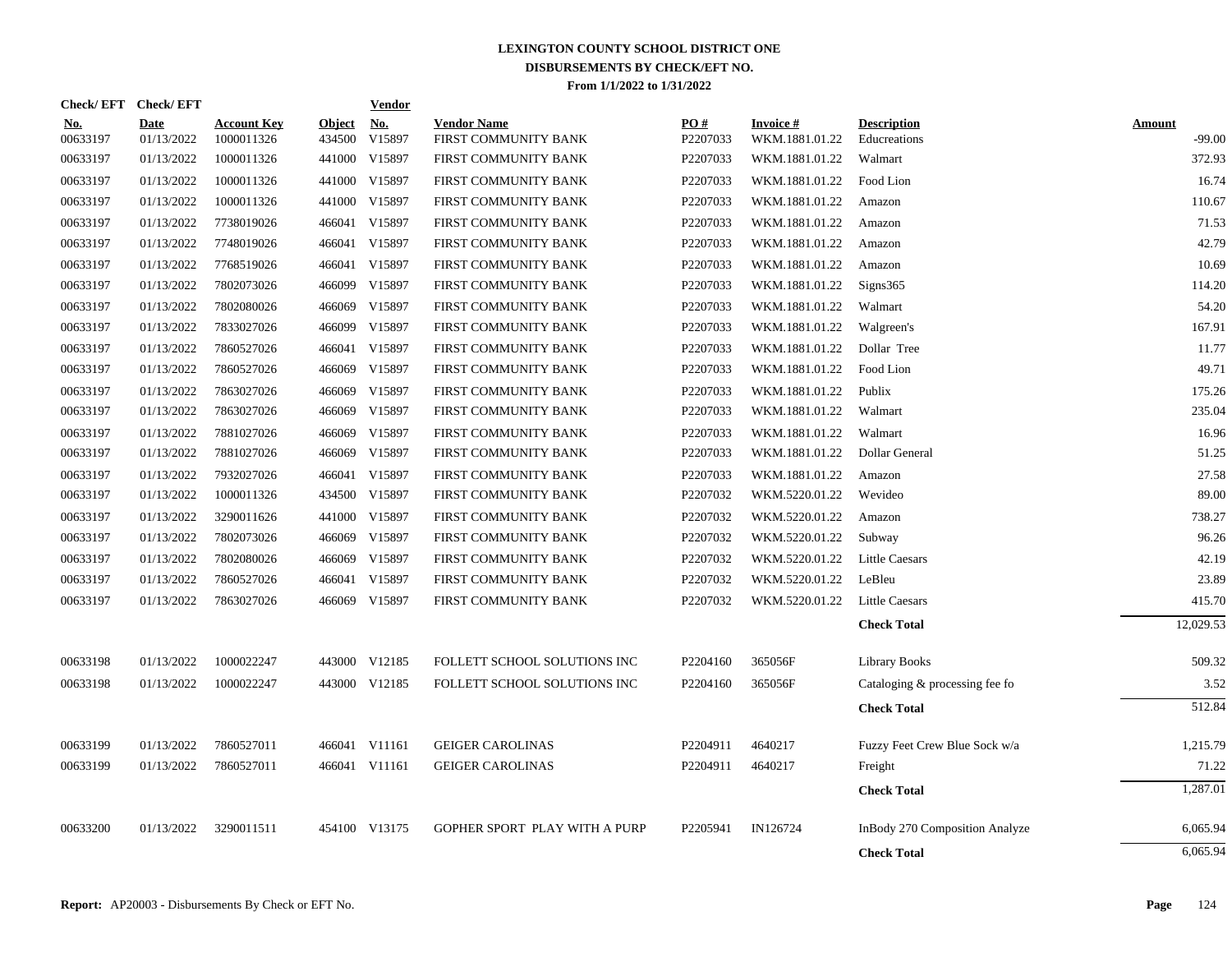| Check/EFT Check/EFT    |                           |                                  |                         | Vendor               |                                            |                 |                             |                                    |                    |
|------------------------|---------------------------|----------------------------------|-------------------------|----------------------|--------------------------------------------|-----------------|-----------------------------|------------------------------------|--------------------|
| <b>No.</b><br>00633197 | <b>Date</b><br>01/13/2022 | <b>Account Key</b><br>1000011326 | <b>Object</b><br>434500 | <b>No.</b><br>V15897 | <b>Vendor Name</b><br>FIRST COMMUNITY BANK | PO#<br>P2207033 | Invoice #<br>WKM.1881.01.22 | <b>Description</b><br>Educreations | Amount<br>$-99.00$ |
| 00633197               | 01/13/2022                | 1000011326                       |                         | 441000 V15897        | FIRST COMMUNITY BANK                       | P2207033        | WKM.1881.01.22              | Walmart                            | 372.93             |
| 00633197               | 01/13/2022                | 1000011326                       |                         | 441000 V15897        | FIRST COMMUNITY BANK                       | P2207033        | WKM.1881.01.22              | Food Lion                          | 16.74              |
| 00633197               | 01/13/2022                | 1000011326                       |                         | 441000 V15897        | FIRST COMMUNITY BANK                       | P2207033        | WKM.1881.01.22              | Amazon                             | 110.67             |
| 00633197               | 01/13/2022                | 7738019026                       |                         | 466041 V15897        | FIRST COMMUNITY BANK                       | P2207033        | WKM.1881.01.22              | Amazon                             | 71.53              |
| 00633197               | 01/13/2022                | 7748019026                       |                         | 466041 V15897        | FIRST COMMUNITY BANK                       | P2207033        | WKM.1881.01.22              | Amazon                             | 42.79              |
| 00633197               | 01/13/2022                | 7768519026                       | 466041                  | V15897               | FIRST COMMUNITY BANK                       | P2207033        | WKM.1881.01.22              | Amazon                             | 10.69              |
| 00633197               | 01/13/2022                | 7802073026                       | 466099                  | V15897               | FIRST COMMUNITY BANK                       | P2207033        | WKM.1881.01.22              | Signs365                           | 114.20             |
| 00633197               | 01/13/2022                | 7802080026                       |                         | 466069 V15897        | FIRST COMMUNITY BANK                       | P2207033        | WKM.1881.01.22              | Walmart                            | 54.20              |
| 00633197               | 01/13/2022                | 7833027026                       |                         | 466099 V15897        | FIRST COMMUNITY BANK                       | P2207033        | WKM.1881.01.22              | Walgreen's                         | 167.91             |
| 00633197               | 01/13/2022                | 7860527026                       |                         | 466041 V15897        | FIRST COMMUNITY BANK                       | P2207033        | WKM.1881.01.22              | Dollar Tree                        | 11.77              |
| 00633197               | 01/13/2022                | 7860527026                       |                         | 466069 V15897        | FIRST COMMUNITY BANK                       | P2207033        | WKM.1881.01.22              | Food Lion                          | 49.71              |
| 00633197               | 01/13/2022                | 7863027026                       |                         | 466069 V15897        | FIRST COMMUNITY BANK                       | P2207033        | WKM.1881.01.22              | Publix                             | 175.26             |
| 00633197               | 01/13/2022                | 7863027026                       |                         | 466069 V15897        | FIRST COMMUNITY BANK                       | P2207033        | WKM.1881.01.22              | Walmart                            | 235.04             |
| 00633197               | 01/13/2022                | 7881027026                       |                         | 466069 V15897        | FIRST COMMUNITY BANK                       | P2207033        | WKM.1881.01.22              | Walmart                            | 16.96              |
| 00633197               | 01/13/2022                | 7881027026                       |                         | 466069 V15897        | FIRST COMMUNITY BANK                       | P2207033        | WKM.1881.01.22              | Dollar General                     | 51.25              |
| 00633197               | 01/13/2022                | 7932027026                       |                         | 466041 V15897        | FIRST COMMUNITY BANK                       | P2207033        | WKM.1881.01.22              | Amazon                             | 27.58              |
| 00633197               | 01/13/2022                | 1000011326                       |                         | 434500 V15897        | FIRST COMMUNITY BANK                       | P2207032        | WKM.5220.01.22              | Wevideo                            | 89.00              |
| 00633197               | 01/13/2022                | 3290011626                       |                         | 441000 V15897        | FIRST COMMUNITY BANK                       | P2207032        | WKM.5220.01.22              | Amazon                             | 738.27             |
| 00633197               | 01/13/2022                | 7802073026                       |                         | 466069 V15897        | FIRST COMMUNITY BANK                       | P2207032        | WKM.5220.01.22              | Subway                             | 96.26              |
| 00633197               | 01/13/2022                | 7802080026                       |                         | 466069 V15897        | FIRST COMMUNITY BANK                       | P2207032        | WKM.5220.01.22              | <b>Little Caesars</b>              | 42.19              |
| 00633197               | 01/13/2022                | 7860527026                       |                         | 466041 V15897        | FIRST COMMUNITY BANK                       | P2207032        | WKM.5220.01.22              | LeBleu                             | 23.89              |
| 00633197               | 01/13/2022                | 7863027026                       |                         | 466069 V15897        | FIRST COMMUNITY BANK                       | P2207032        | WKM.5220.01.22              | <b>Little Caesars</b>              | 415.70             |
|                        |                           |                                  |                         |                      |                                            |                 |                             | <b>Check Total</b>                 | 12,029.53          |
| 00633198               | 01/13/2022                | 1000022247                       |                         | 443000 V12185        | FOLLETT SCHOOL SOLUTIONS INC               | P2204160        | 365056F                     | <b>Library Books</b>               | 509.32             |
| 00633198               | 01/13/2022                | 1000022247                       |                         | 443000 V12185        | FOLLETT SCHOOL SOLUTIONS INC               | P2204160        | 365056F                     | Cataloging & processing fee fo     | 3.52               |
|                        |                           |                                  |                         |                      |                                            |                 |                             | <b>Check Total</b>                 | 512.84             |
| 00633199               | 01/13/2022                | 7860527011                       |                         | 466041 V11161        | <b>GEIGER CAROLINAS</b>                    | P2204911        | 4640217                     | Fuzzy Feet Crew Blue Sock w/a      | 1,215.79           |
| 00633199               | 01/13/2022                | 7860527011                       |                         | 466041 V11161        | <b>GEIGER CAROLINAS</b>                    | P2204911        | 4640217                     | Freight                            | 71.22              |
|                        |                           |                                  |                         |                      |                                            |                 |                             | <b>Check Total</b>                 | 1,287.01           |
| 00633200               | 01/13/2022                | 3290011511                       |                         | 454100 V13175        | GOPHER SPORT PLAY WITH A PURP              | P2205941        | IN126724                    | InBody 270 Composition Analyze     | 6,065.94           |
|                        |                           |                                  |                         |                      |                                            |                 |                             | <b>Check Total</b>                 | 6,065.94           |
|                        |                           |                                  |                         |                      |                                            |                 |                             |                                    |                    |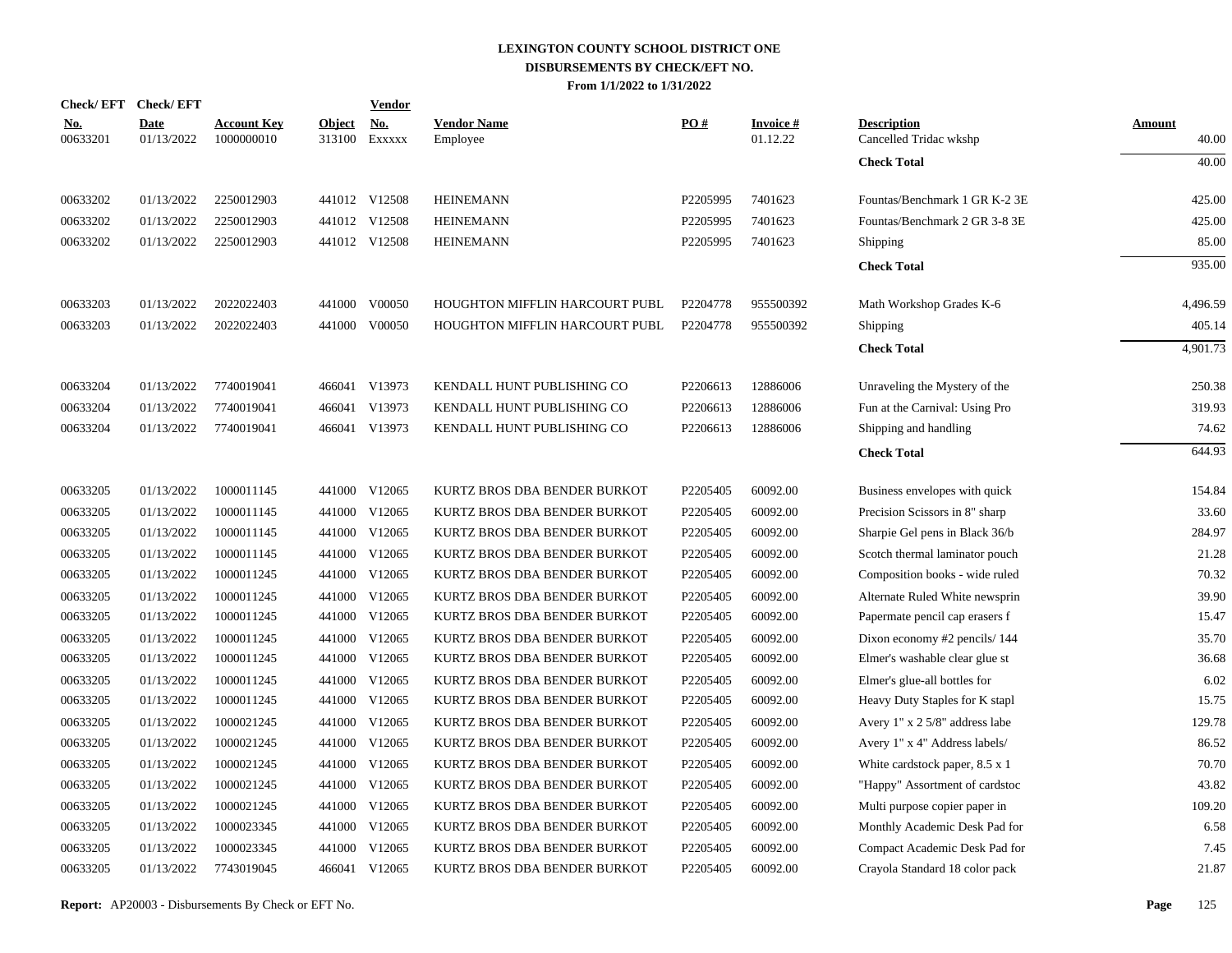|                        | Check/EFT Check/EFT       |                                  |               | <b>Vendor</b>               |                                |          |                              |                                              |                        |
|------------------------|---------------------------|----------------------------------|---------------|-----------------------------|--------------------------------|----------|------------------------------|----------------------------------------------|------------------------|
| <u>No.</u><br>00633201 | <b>Date</b><br>01/13/2022 | <b>Account Key</b><br>1000000010 | <b>Object</b> | <u>No.</u><br>313100 EXXXXX | <b>Vendor Name</b><br>Employee | PO#      | <u>Invoice #</u><br>01.12.22 | <b>Description</b><br>Cancelled Tridac wkshp | <b>Amount</b><br>40.00 |
|                        |                           |                                  |               |                             |                                |          |                              | <b>Check Total</b>                           | 40.00                  |
| 00633202               | 01/13/2022                | 2250012903                       |               | 441012 V12508               | <b>HEINEMANN</b>               | P2205995 | 7401623                      | Fountas/Benchmark 1 GR K-2 3E                | 425.00                 |
| 00633202               | 01/13/2022                | 2250012903                       |               | 441012 V12508               | <b>HEINEMANN</b>               | P2205995 | 7401623                      | Fountas/Benchmark 2 GR 3-8 3E                | 425.00                 |
| 00633202               | 01/13/2022                | 2250012903                       |               | 441012 V12508               | <b>HEINEMANN</b>               | P2205995 | 7401623                      | Shipping                                     | 85.00                  |
|                        |                           |                                  |               |                             |                                |          |                              | <b>Check Total</b>                           | 935.00                 |
| 00633203               | 01/13/2022                | 2022022403                       |               | 441000 V00050               | HOUGHTON MIFFLIN HARCOURT PUBL | P2204778 | 955500392                    | Math Workshop Grades K-6                     | 4,496.59               |
| 00633203               | 01/13/2022                | 2022022403                       |               | 441000 V00050               | HOUGHTON MIFFLIN HARCOURT PUBL | P2204778 | 955500392                    | Shipping                                     | 405.14                 |
|                        |                           |                                  |               |                             |                                |          |                              | <b>Check Total</b>                           | 4.901.73               |
| 00633204               | 01/13/2022                | 7740019041                       |               | 466041 V13973               | KENDALL HUNT PUBLISHING CO     | P2206613 | 12886006                     | Unraveling the Mystery of the                | 250.38                 |
| 00633204               | 01/13/2022                | 7740019041                       |               | 466041 V13973               | KENDALL HUNT PUBLISHING CO     | P2206613 | 12886006                     | Fun at the Carnival: Using Pro               | 319.93                 |
| 00633204               | 01/13/2022                | 7740019041                       |               | 466041 V13973               | KENDALL HUNT PUBLISHING CO     | P2206613 | 12886006                     | Shipping and handling                        | 74.62                  |
|                        |                           |                                  |               |                             |                                |          |                              | <b>Check Total</b>                           | 644.93                 |
| 00633205               | 01/13/2022                | 1000011145                       |               | 441000 V12065               | KURTZ BROS DBA BENDER BURKOT   | P2205405 | 60092.00                     | Business envelopes with quick                | 154.84                 |
| 00633205               | 01/13/2022                | 1000011145                       | 441000        | V12065                      | KURTZ BROS DBA BENDER BURKOT   | P2205405 | 60092.00                     | Precision Scissors in 8" sharp               | 33.60                  |
| 00633205               | 01/13/2022                | 1000011145                       |               | 441000 V12065               | KURTZ BROS DBA BENDER BURKOT   | P2205405 | 60092.00                     | Sharpie Gel pens in Black 36/b               | 284.97                 |
| 00633205               | 01/13/2022                | 1000011145                       | 441000        | V12065                      | KURTZ BROS DBA BENDER BURKOT   | P2205405 | 60092.00                     | Scotch thermal laminator pouch               | 21.28                  |
| 00633205               | 01/13/2022                | 1000011245                       |               | 441000 V12065               | KURTZ BROS DBA BENDER BURKOT   | P2205405 | 60092.00                     | Composition books - wide ruled               | 70.32                  |
| 00633205               | 01/13/2022                | 1000011245                       | 441000        | V12065                      | KURTZ BROS DBA BENDER BURKOT   | P2205405 | 60092.00                     | Alternate Ruled White newsprin               | 39.90                  |
| 00633205               | 01/13/2022                | 1000011245                       |               | 441000 V12065               | KURTZ BROS DBA BENDER BURKOT   | P2205405 | 60092.00                     | Papermate pencil cap erasers f               | 15.47                  |
| 00633205               | 01/13/2022                | 1000011245                       | 441000        | V12065                      | KURTZ BROS DBA BENDER BURKOT   | P2205405 | 60092.00                     | Dixon economy #2 pencils/144                 | 35.70                  |
| 00633205               | 01/13/2022                | 1000011245                       |               | 441000 V12065               | KURTZ BROS DBA BENDER BURKOT   | P2205405 | 60092.00                     | Elmer's washable clear glue st               | 36.68                  |
| 00633205               | 01/13/2022                | 1000011245                       | 441000        | V12065                      | KURTZ BROS DBA BENDER BURKOT   | P2205405 | 60092.00                     | Elmer's glue-all bottles for                 | 6.02                   |
| 00633205               | 01/13/2022                | 1000011245                       |               | 441000 V12065               | KURTZ BROS DBA BENDER BURKOT   | P2205405 | 60092.00                     | Heavy Duty Staples for K stapl               | 15.75                  |
| 00633205               | 01/13/2022                | 1000021245                       | 441000        | V12065                      | KURTZ BROS DBA BENDER BURKOT   | P2205405 | 60092.00                     | Avery $1" x 2 5/8"$ address labe             | 129.78                 |
| 00633205               | 01/13/2022                | 1000021245                       |               | 441000 V12065               | KURTZ BROS DBA BENDER BURKOT   | P2205405 | 60092.00                     | Avery 1" x 4" Address labels/                | 86.52                  |
| 00633205               | 01/13/2022                | 1000021245                       | 441000        | V12065                      | KURTZ BROS DBA BENDER BURKOT   | P2205405 | 60092.00                     | White cardstock paper, $8.5 \times 1$        | 70.70                  |
| 00633205               | 01/13/2022                | 1000021245                       |               | 441000 V12065               | KURTZ BROS DBA BENDER BURKOT   | P2205405 | 60092.00                     | "Happy" Assortment of cardstoc               | 43.82                  |
| 00633205               | 01/13/2022                | 1000021245                       | 441000        | V12065                      | KURTZ BROS DBA BENDER BURKOT   | P2205405 | 60092.00                     | Multi purpose copier paper in                | 109.20                 |
| 00633205               | 01/13/2022                | 1000023345                       |               | 441000 V12065               | KURTZ BROS DBA BENDER BURKOT   | P2205405 | 60092.00                     | Monthly Academic Desk Pad for                | 6.58                   |
| 00633205               | 01/13/2022                | 1000023345                       | 441000        | V12065                      | KURTZ BROS DBA BENDER BURKOT   | P2205405 | 60092.00                     | Compact Academic Desk Pad for                | 7.45                   |
| 00633205               | 01/13/2022                | 7743019045                       |               | 466041 V12065               | KURTZ BROS DBA BENDER BURKOT   | P2205405 | 60092.00                     | Crayola Standard 18 color pack               | 21.87                  |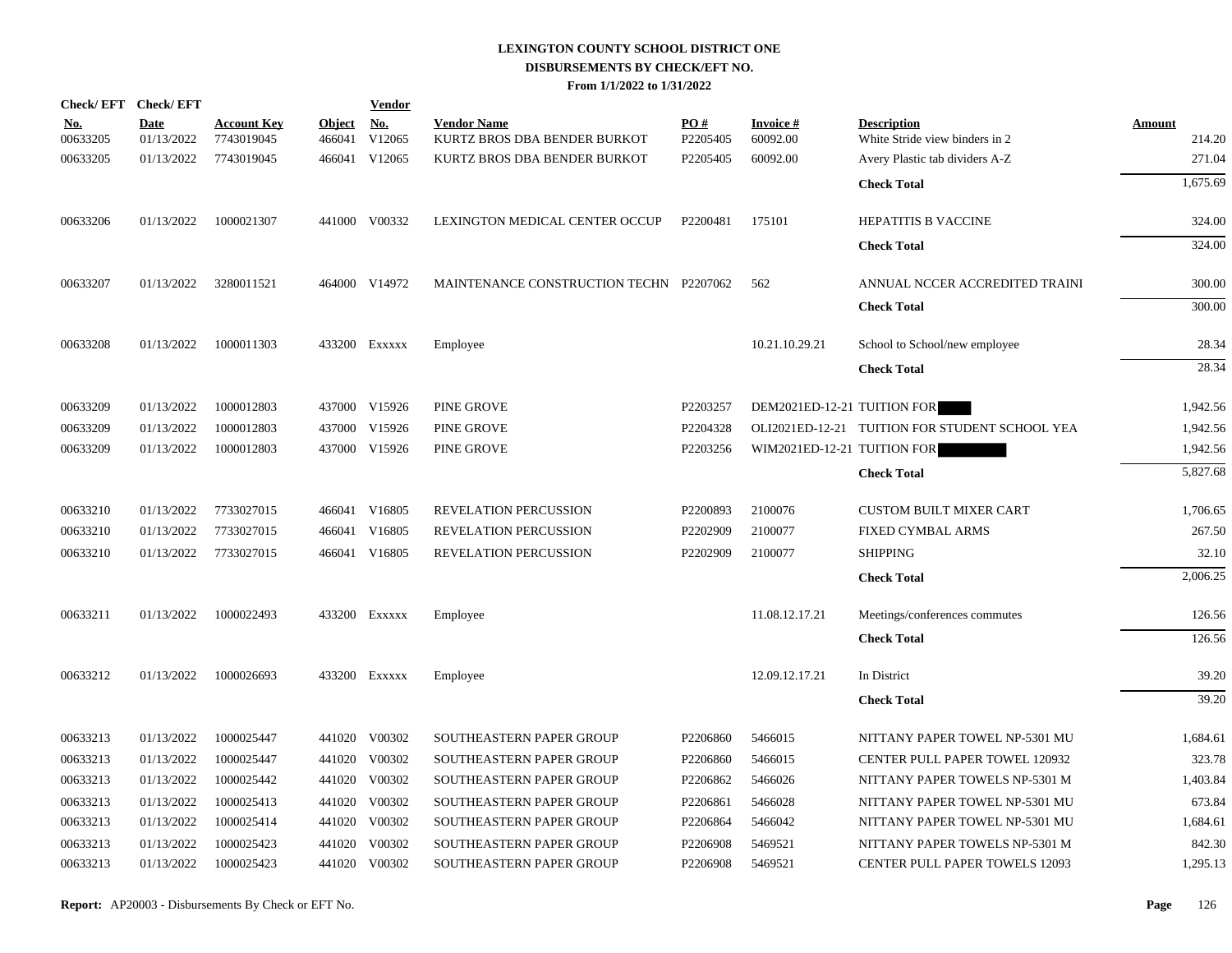|                        | Check/EFT Check/EFT       |                                  |                         | <b>Vendor</b>                         |                                                    |                 |                             |                                                      |                  |
|------------------------|---------------------------|----------------------------------|-------------------------|---------------------------------------|----------------------------------------------------|-----------------|-----------------------------|------------------------------------------------------|------------------|
| <u>No.</u><br>00633205 | <b>Date</b><br>01/13/2022 | <b>Account Key</b><br>7743019045 | <b>Object</b><br>466041 | $\underline{\mathrm{No}}$ .<br>V12065 | <b>Vendor Name</b><br>KURTZ BROS DBA BENDER BURKOT | PO#<br>P2205405 | <b>Invoice#</b><br>60092.00 | <b>Description</b><br>White Stride view binders in 2 | Amount<br>214.20 |
| 00633205               | 01/13/2022                | 7743019045                       |                         | 466041 V12065                         | KURTZ BROS DBA BENDER BURKOT                       | P2205405        | 60092.00                    | Avery Plastic tab dividers A-Z                       | 271.04           |
|                        |                           |                                  |                         |                                       |                                                    |                 |                             | <b>Check Total</b>                                   | 1,675.69         |
| 00633206               | 01/13/2022                | 1000021307                       |                         | 441000 V00332                         | LEXINGTON MEDICAL CENTER OCCUP                     | P2200481        | 175101                      | <b>HEPATITIS B VACCINE</b>                           | 324.00           |
|                        |                           |                                  |                         |                                       |                                                    |                 |                             | <b>Check Total</b>                                   | 324.00           |
| 00633207               | 01/13/2022                | 3280011521                       |                         | 464000 V14972                         | MAINTENANCE CONSTRUCTION TECHN P2207062            |                 | 562                         | ANNUAL NCCER ACCREDITED TRAINI                       | 300.00           |
|                        |                           |                                  |                         |                                       |                                                    |                 |                             | <b>Check Total</b>                                   | 300.00           |
| 00633208               | 01/13/2022                | 1000011303                       |                         | 433200 Exxxxx                         | Employee                                           |                 | 10.21.10.29.21              | School to School/new employee                        | 28.34            |
|                        |                           |                                  |                         |                                       |                                                    |                 |                             | <b>Check Total</b>                                   | 28.34            |
| 00633209               | 01/13/2022                | 1000012803                       |                         | 437000 V15926                         | PINE GROVE                                         | P2203257        | DEM2021ED-12-21 TUITION FOR |                                                      | 1,942.56         |
| 00633209               | 01/13/2022                | 1000012803                       |                         | 437000 V15926                         | PINE GROVE                                         | P2204328        |                             | OLI2021ED-12-21 TUITION FOR STUDENT SCHOOL YEA       | 1,942.56         |
| 00633209               | 01/13/2022                | 1000012803                       |                         | 437000 V15926                         | PINE GROVE                                         | P2203256        | WIM2021ED-12-21 TUITION FOR |                                                      | 1,942.56         |
|                        |                           |                                  |                         |                                       |                                                    |                 |                             | <b>Check Total</b>                                   | 5,827.68         |
| 00633210               | 01/13/2022                | 7733027015                       |                         | 466041 V16805                         | <b>REVELATION PERCUSSION</b>                       | P2200893        | 2100076                     | <b>CUSTOM BUILT MIXER CART</b>                       | 1,706.65         |
| 00633210               | 01/13/2022                | 7733027015                       |                         | 466041 V16805                         | REVELATION PERCUSSION                              | P2202909        | 2100077                     | <b>FIXED CYMBAL ARMS</b>                             | 267.50           |
| 00633210               | 01/13/2022                | 7733027015                       |                         | 466041 V16805                         | REVELATION PERCUSSION                              | P2202909        | 2100077                     | <b>SHIPPING</b>                                      | 32.10            |
|                        |                           |                                  |                         |                                       |                                                    |                 |                             | <b>Check Total</b>                                   | 2,006.25         |
| 00633211               | 01/13/2022                | 1000022493                       |                         | 433200 EXXXXX                         | Employee                                           |                 | 11.08.12.17.21              | Meetings/conferences commutes                        | 126.56           |
|                        |                           |                                  |                         |                                       |                                                    |                 |                             | <b>Check Total</b>                                   | 126.56           |
| 00633212               | 01/13/2022                | 1000026693                       |                         | 433200 EXXXXX                         | Employee                                           |                 | 12.09.12.17.21              | In District                                          | 39.20            |
|                        |                           |                                  |                         |                                       |                                                    |                 |                             | <b>Check Total</b>                                   | 39.20            |
| 00633213               | 01/13/2022                | 1000025447                       |                         | 441020 V00302                         | SOUTHEASTERN PAPER GROUP                           | P2206860        | 5466015                     | NITTANY PAPER TOWEL NP-5301 MU                       | 1,684.61         |
| 00633213               | 01/13/2022                | 1000025447                       |                         | 441020 V00302                         | SOUTHEASTERN PAPER GROUP                           | P2206860        | 5466015                     | <b>CENTER PULL PAPER TOWEL 120932</b>                | 323.78           |
| 00633213               | 01/13/2022                | 1000025442                       |                         | 441020 V00302                         | SOUTHEASTERN PAPER GROUP                           | P2206862        | 5466026                     | NITTANY PAPER TOWELS NP-5301 M                       | 1,403.84         |
| 00633213               | 01/13/2022                | 1000025413                       | 441020                  | V00302                                | SOUTHEASTERN PAPER GROUP                           | P2206861        | 5466028                     | NITTANY PAPER TOWEL NP-5301 MU                       | 673.84           |
| 00633213               | 01/13/2022                | 1000025414                       |                         | 441020 V00302                         | SOUTHEASTERN PAPER GROUP                           | P2206864        | 5466042                     | NITTANY PAPER TOWEL NP-5301 MU                       | 1,684.61         |
| 00633213               | 01/13/2022                | 1000025423                       | 441020                  | V00302                                | SOUTHEASTERN PAPER GROUP                           | P2206908        | 5469521                     | NITTANY PAPER TOWELS NP-5301 M                       | 842.30           |
| 00633213               | 01/13/2022                | 1000025423                       |                         | 441020 V00302                         | SOUTHEASTERN PAPER GROUP                           | P2206908        | 5469521                     | <b>CENTER PULL PAPER TOWELS 12093</b>                | 1,295.13         |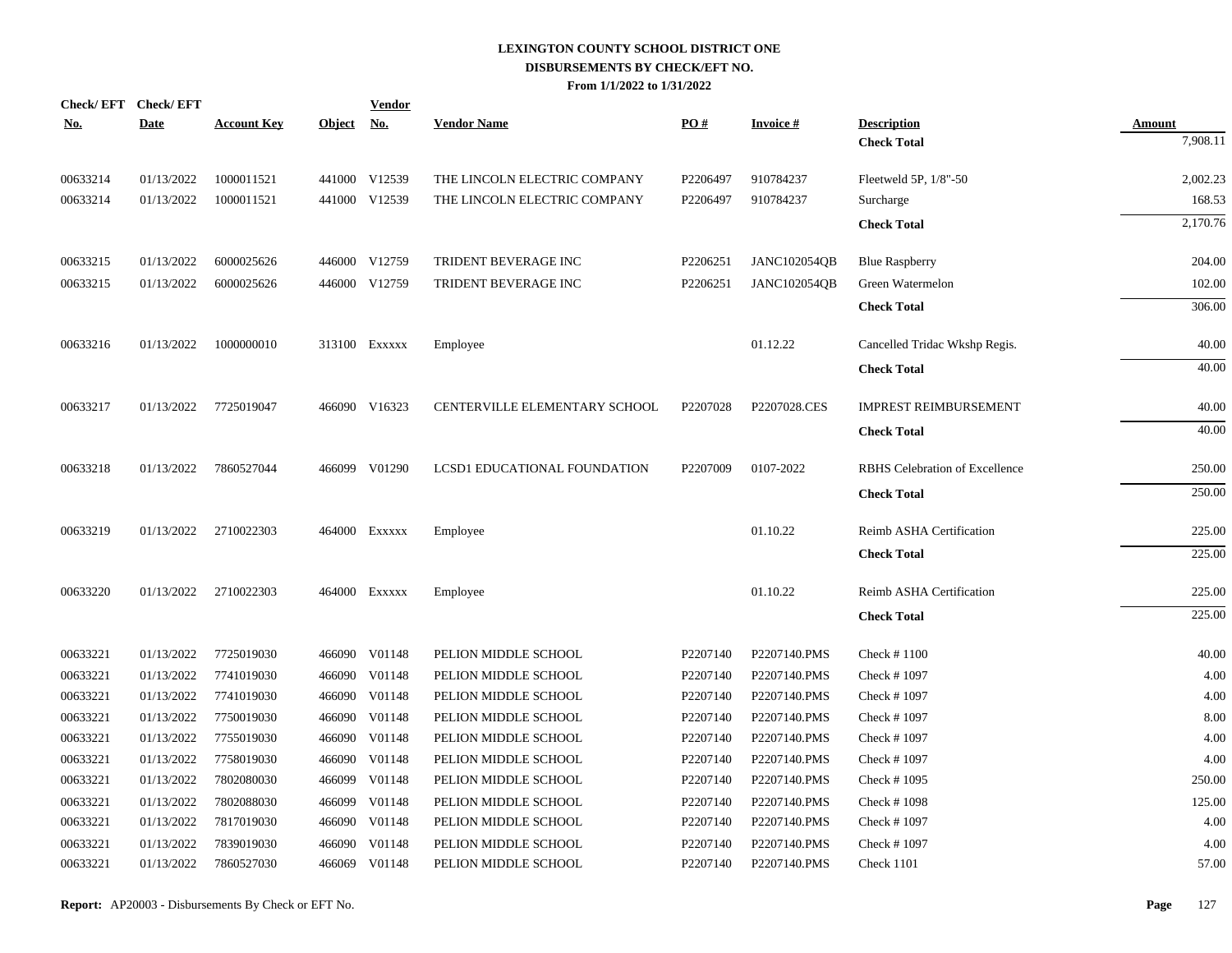| No.      | Check/EFT Check/EFT<br><b>Date</b> | <b>Account Key</b> | Object No. | <b>Vendor</b> | <b>Vendor Name</b>            | PO#      | <b>Invoice#</b>     | <b>Description</b>             | <b>Amount</b> |
|----------|------------------------------------|--------------------|------------|---------------|-------------------------------|----------|---------------------|--------------------------------|---------------|
|          |                                    |                    |            |               |                               |          |                     | <b>Check Total</b>             | 7,908.11      |
| 00633214 | 01/13/2022                         | 1000011521         |            | 441000 V12539 | THE LINCOLN ELECTRIC COMPANY  | P2206497 | 910784237           | Fleetweld 5P, 1/8"-50          | 2,002.23      |
| 00633214 | 01/13/2022                         | 1000011521         |            | 441000 V12539 | THE LINCOLN ELECTRIC COMPANY  | P2206497 | 910784237           | Surcharge                      | 168.53        |
|          |                                    |                    |            |               |                               |          |                     | <b>Check Total</b>             | 2,170.76      |
| 00633215 | 01/13/2022                         | 6000025626         |            | 446000 V12759 | TRIDENT BEVERAGE INC          | P2206251 | <b>JANC102054QB</b> | <b>Blue Raspberry</b>          | 204.00        |
| 00633215 | 01/13/2022                         | 6000025626         |            | 446000 V12759 | TRIDENT BEVERAGE INC          | P2206251 | <b>JANC102054QB</b> | Green Watermelon               | 102.00        |
|          |                                    |                    |            |               |                               |          |                     | <b>Check Total</b>             | 306.00        |
| 00633216 | 01/13/2022                         | 1000000010         |            | 313100 EXXXXX | Employee                      |          | 01.12.22            | Cancelled Tridac Wkshp Regis.  | 40.00         |
|          |                                    |                    |            |               |                               |          |                     | <b>Check Total</b>             | 40.00         |
| 00633217 | 01/13/2022                         | 7725019047         |            | 466090 V16323 | CENTERVILLE ELEMENTARY SCHOOL | P2207028 | P2207028.CES        | <b>IMPREST REIMBURSEMENT</b>   | 40.00         |
|          |                                    |                    |            |               |                               |          |                     | <b>Check Total</b>             | 40.00         |
| 00633218 | 01/13/2022                         | 7860527044         |            | 466099 V01290 | LCSD1 EDUCATIONAL FOUNDATION  | P2207009 | 0107-2022           | RBHS Celebration of Excellence | 250.00        |
|          |                                    |                    |            |               |                               |          |                     | <b>Check Total</b>             | 250.00        |
| 00633219 | 01/13/2022                         | 2710022303         |            | 464000 Exxxxx | Employee                      |          | 01.10.22            | Reimb ASHA Certification       | 225.00        |
|          |                                    |                    |            |               |                               |          |                     | <b>Check Total</b>             | 225.00        |
| 00633220 | 01/13/2022                         | 2710022303         |            | 464000 Exxxxx | Employee                      |          | 01.10.22            | Reimb ASHA Certification       | 225.00        |
|          |                                    |                    |            |               |                               |          |                     | <b>Check Total</b>             | 225.00        |
| 00633221 | 01/13/2022                         | 7725019030         |            | 466090 V01148 | PELION MIDDLE SCHOOL          | P2207140 | P2207140.PMS        | Check $#1100$                  | 40.00         |
| 00633221 | 01/13/2022                         | 7741019030         |            | 466090 V01148 | PELION MIDDLE SCHOOL          | P2207140 | P2207140.PMS        | Check #1097                    | 4.00          |
| 00633221 | 01/13/2022                         | 7741019030         |            | 466090 V01148 | PELION MIDDLE SCHOOL          | P2207140 | P2207140.PMS        | Check #1097                    | 4.00          |
| 00633221 | 01/13/2022                         | 7750019030         |            | 466090 V01148 | PELION MIDDLE SCHOOL          | P2207140 | P2207140.PMS        | Check #1097                    | 8.00          |
| 00633221 | 01/13/2022                         | 7755019030         |            | 466090 V01148 | PELION MIDDLE SCHOOL          | P2207140 | P2207140.PMS        | Check #1097                    | 4.00          |
| 00633221 | 01/13/2022                         | 7758019030         | 466090     | V01148        | PELION MIDDLE SCHOOL          | P2207140 | P2207140.PMS        | Check #1097                    | 4.00          |
| 00633221 | 01/13/2022                         | 7802080030         |            | 466099 V01148 | PELION MIDDLE SCHOOL          | P2207140 | P2207140.PMS        | Check #1095                    | 250.00        |
| 00633221 | 01/13/2022                         | 7802088030         | 466099     | V01148        | PELION MIDDLE SCHOOL          | P2207140 | P2207140.PMS        | Check #1098                    | 125.00        |
| 00633221 | 01/13/2022                         | 7817019030         |            | 466090 V01148 | PELION MIDDLE SCHOOL          | P2207140 | P2207140.PMS        | Check #1097                    | 4.00          |
| 00633221 | 01/13/2022                         | 7839019030         | 466090     | V01148        | PELION MIDDLE SCHOOL          | P2207140 | P2207140.PMS        | Check #1097                    | 4.00          |
| 00633221 | 01/13/2022                         | 7860527030         |            | 466069 V01148 | PELION MIDDLE SCHOOL          | P2207140 | P2207140.PMS        | Check 1101                     | 57.00         |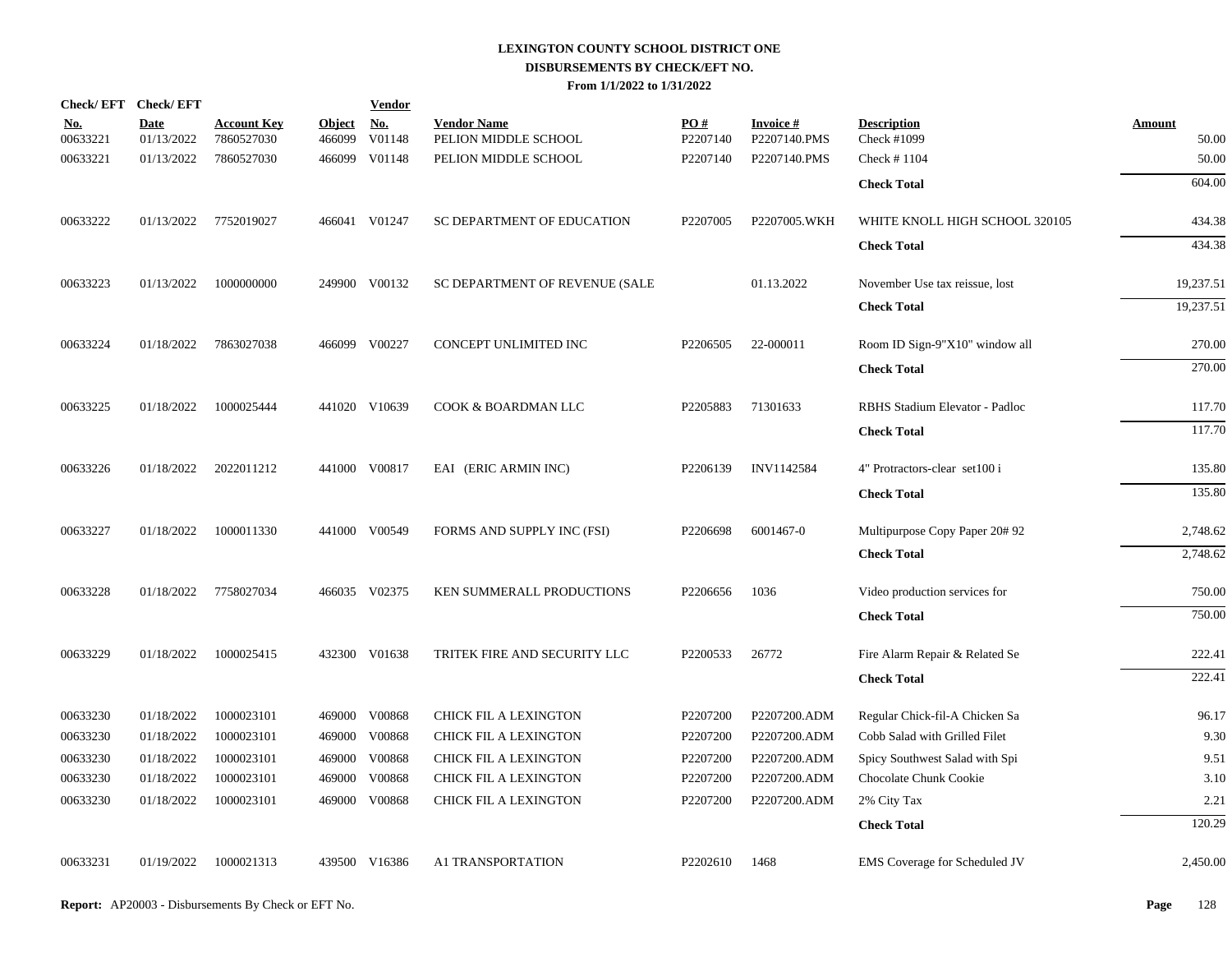|                        | Check/EFT Check/EFT       |                                  |                         | <b>Vendor</b>        |                                            |                      |                                 |                                   |                        |
|------------------------|---------------------------|----------------------------------|-------------------------|----------------------|--------------------------------------------|----------------------|---------------------------------|-----------------------------------|------------------------|
| <u>No.</u><br>00633221 | <b>Date</b><br>01/13/2022 | <b>Account Key</b><br>7860527030 | <b>Object</b><br>466099 | <u>No.</u><br>V01148 | <b>Vendor Name</b><br>PELION MIDDLE SCHOOL | PO#<br>P2207140      | <b>Invoice#</b><br>P2207140.PMS | <b>Description</b><br>Check #1099 | <b>Amount</b><br>50.00 |
| 00633221               | 01/13/2022                | 7860527030                       |                         | 466099 V01148        | PELION MIDDLE SCHOOL                       | P2207140             | P2207140.PMS                    | Check #1104                       | 50.00                  |
|                        |                           |                                  |                         |                      |                                            |                      |                                 | <b>Check Total</b>                | 604.00                 |
| 00633222               | 01/13/2022                | 7752019027                       |                         | 466041 V01247        | SC DEPARTMENT OF EDUCATION                 | P2207005             | P2207005.WKH                    | WHITE KNOLL HIGH SCHOOL 320105    | 434.38                 |
|                        |                           |                                  |                         |                      |                                            |                      |                                 | <b>Check Total</b>                | 434.38                 |
| 00633223               | 01/13/2022                | 1000000000                       |                         | 249900 V00132        | SC DEPARTMENT OF REVENUE (SALE             |                      | 01.13.2022                      | November Use tax reissue, lost    | 19,237.51              |
|                        |                           |                                  |                         |                      |                                            |                      |                                 | <b>Check Total</b>                | 19,237.51              |
| 00633224               | 01/18/2022                | 7863027038                       |                         | 466099 V00227        | CONCEPT UNLIMITED INC                      | P <sub>2206505</sub> | 22-000011                       | Room ID Sign-9"X10" window all    | 270.00                 |
|                        |                           |                                  |                         |                      |                                            |                      |                                 | <b>Check Total</b>                | 270.00                 |
| 00633225               | 01/18/2022                | 1000025444                       |                         | 441020 V10639        | COOK & BOARDMAN LLC                        | P2205883             | 71301633                        | RBHS Stadium Elevator - Padloc    | 117.70                 |
|                        |                           |                                  |                         |                      |                                            |                      |                                 | <b>Check Total</b>                | 117.70                 |
| 00633226               | 01/18/2022                | 2022011212                       |                         | 441000 V00817        | EAI (ERIC ARMIN INC)                       | P2206139             | INV1142584                      | 4" Protractors-clear set100 i     | 135.80                 |
|                        |                           |                                  |                         |                      |                                            |                      |                                 | <b>Check Total</b>                | 135.80                 |
| 00633227               | 01/18/2022                | 1000011330                       |                         | 441000 V00549        | FORMS AND SUPPLY INC (FSI)                 | P2206698             | 6001467-0                       | Multipurpose Copy Paper 20#92     | 2,748.62               |
|                        |                           |                                  |                         |                      |                                            |                      |                                 | <b>Check Total</b>                | 2,748.62               |
| 00633228               | 01/18/2022                | 7758027034                       |                         | 466035 V02375        | KEN SUMMERALL PRODUCTIONS                  | P2206656             | 1036                            | Video production services for     | 750.00                 |
|                        |                           |                                  |                         |                      |                                            |                      |                                 | <b>Check Total</b>                | 750.00                 |
| 00633229               | 01/18/2022                | 1000025415                       |                         | 432300 V01638        | TRITEK FIRE AND SECURITY LLC               | P2200533             | 26772                           | Fire Alarm Repair & Related Se    | 222.41                 |
|                        |                           |                                  |                         |                      |                                            |                      |                                 | <b>Check Total</b>                | 222.41                 |
| 00633230               | 01/18/2022                | 1000023101                       |                         | 469000 V00868        | CHICK FIL A LEXINGTON                      | P2207200             | P2207200.ADM                    | Regular Chick-fil-A Chicken Sa    | 96.17                  |
| 00633230               | 01/18/2022                | 1000023101                       |                         | 469000 V00868        | <b>CHICK FIL A LEXINGTON</b>               | P2207200             | P2207200.ADM                    | Cobb Salad with Grilled Filet     | 9.30                   |
| 00633230               | 01/18/2022                | 1000023101                       |                         | 469000 V00868        | CHICK FIL A LEXINGTON                      | P2207200             | P2207200.ADM                    | Spicy Southwest Salad with Spi    | 9.51                   |
| 00633230               | 01/18/2022                | 1000023101                       | 469000                  | V00868               | CHICK FIL A LEXINGTON                      | P2207200             | P2207200.ADM                    | Chocolate Chunk Cookie            | 3.10                   |
| 00633230               | 01/18/2022                | 1000023101                       |                         | 469000 V00868        | CHICK FIL A LEXINGTON                      | P2207200             | P2207200.ADM                    | 2% City Tax                       | 2.21                   |
|                        |                           |                                  |                         |                      |                                            |                      |                                 | <b>Check Total</b>                | 120.29                 |
| 00633231               | 01/19/2022                | 1000021313                       |                         | 439500 V16386        | <b>A1 TRANSPORTATION</b>                   | P2202610             | 1468                            | EMS Coverage for Scheduled JV     | 2,450.00               |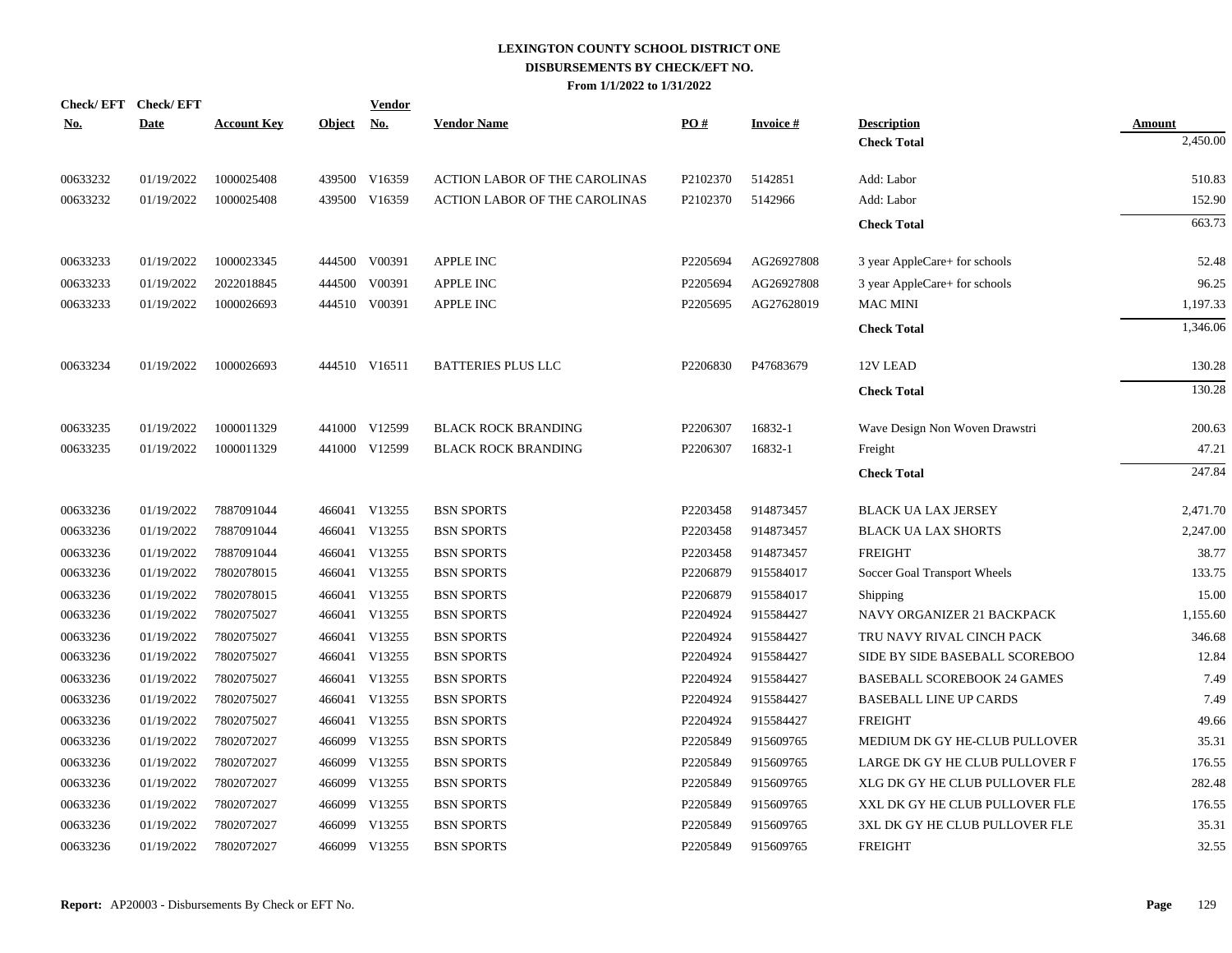| <u>No.</u> | Check/EFT Check/EFT<br><b>Date</b> | <b>Account Key</b> | Object No. | <b>Vendor</b> | <b>Vendor Name</b>                   | PO#      | <b>Invoice#</b> | <b>Description</b>                 | <b>Amount</b> |
|------------|------------------------------------|--------------------|------------|---------------|--------------------------------------|----------|-----------------|------------------------------------|---------------|
|            |                                    |                    |            |               |                                      |          |                 | <b>Check Total</b>                 | 2,450.00      |
| 00633232   | 01/19/2022                         | 1000025408         |            | 439500 V16359 | <b>ACTION LABOR OF THE CAROLINAS</b> | P2102370 | 5142851         | Add: Labor                         | 510.83        |
| 00633232   | 01/19/2022                         | 1000025408         |            | 439500 V16359 | <b>ACTION LABOR OF THE CAROLINAS</b> | P2102370 | 5142966         | Add: Labor                         | 152.90        |
|            |                                    |                    |            |               |                                      |          |                 | <b>Check Total</b>                 | 663.73        |
| 00633233   | 01/19/2022                         | 1000023345         |            | 444500 V00391 | <b>APPLE INC</b>                     | P2205694 | AG26927808      | 3 year AppleCare+ for schools      | 52.48         |
| 00633233   | 01/19/2022                         | 2022018845         | 444500     | V00391        | APPLE INC                            | P2205694 | AG26927808      | 3 year AppleCare+ for schools      | 96.25         |
| 00633233   | 01/19/2022                         | 1000026693         |            | 444510 V00391 | <b>APPLE INC</b>                     | P2205695 | AG27628019      | <b>MAC MINI</b>                    | 1,197.33      |
|            |                                    |                    |            |               |                                      |          |                 | <b>Check Total</b>                 | 1,346.06      |
| 00633234   | 01/19/2022                         | 1000026693         |            | 444510 V16511 | <b>BATTERIES PLUS LLC</b>            | P2206830 | P47683679       | 12V LEAD                           | 130.28        |
|            |                                    |                    |            |               |                                      |          |                 | <b>Check Total</b>                 | 130.28        |
| 00633235   | 01/19/2022                         | 1000011329         |            | 441000 V12599 | <b>BLACK ROCK BRANDING</b>           | P2206307 | 16832-1         | Wave Design Non Woven Drawstri     | 200.63        |
| 00633235   | 01/19/2022                         | 1000011329         |            | 441000 V12599 | <b>BLACK ROCK BRANDING</b>           | P2206307 | 16832-1         | Freight                            | 47.21         |
|            |                                    |                    |            |               |                                      |          |                 | <b>Check Total</b>                 | 247.84        |
| 00633236   | 01/19/2022                         | 7887091044         |            | 466041 V13255 | <b>BSN SPORTS</b>                    | P2203458 | 914873457       | <b>BLACK UA LAX JERSEY</b>         | 2,471.70      |
| 00633236   | 01/19/2022                         | 7887091044         |            | 466041 V13255 | <b>BSN SPORTS</b>                    | P2203458 | 914873457       | <b>BLACK UA LAX SHORTS</b>         | 2,247.00      |
| 00633236   | 01/19/2022                         | 7887091044         |            | 466041 V13255 | <b>BSN SPORTS</b>                    | P2203458 | 914873457       | <b>FREIGHT</b>                     | 38.77         |
| 00633236   | 01/19/2022                         | 7802078015         |            | 466041 V13255 | <b>BSN SPORTS</b>                    | P2206879 | 915584017       | Soccer Goal Transport Wheels       | 133.75        |
| 00633236   | 01/19/2022                         | 7802078015         |            | 466041 V13255 | <b>BSN SPORTS</b>                    | P2206879 | 915584017       | Shipping                           | 15.00         |
| 00633236   | 01/19/2022                         | 7802075027         |            | 466041 V13255 | <b>BSN SPORTS</b>                    | P2204924 | 915584427       | NAVY ORGANIZER 21 BACKPACK         | 1,155.60      |
| 00633236   | 01/19/2022                         | 7802075027         |            | 466041 V13255 | <b>BSN SPORTS</b>                    | P2204924 | 915584427       | TRU NAVY RIVAL CINCH PACK          | 346.68        |
| 00633236   | 01/19/2022                         | 7802075027         |            | 466041 V13255 | <b>BSN SPORTS</b>                    | P2204924 | 915584427       | SIDE BY SIDE BASEBALL SCOREBOO     | 12.84         |
| 00633236   | 01/19/2022                         | 7802075027         |            | 466041 V13255 | <b>BSN SPORTS</b>                    | P2204924 | 915584427       | <b>BASEBALL SCOREBOOK 24 GAMES</b> | 7.49          |
| 00633236   | 01/19/2022                         | 7802075027         |            | 466041 V13255 | <b>BSN SPORTS</b>                    | P2204924 | 915584427       | <b>BASEBALL LINE UP CARDS</b>      | 7.49          |
| 00633236   | 01/19/2022                         | 7802075027         |            | 466041 V13255 | <b>BSN SPORTS</b>                    | P2204924 | 915584427       | <b>FREIGHT</b>                     | 49.66         |
| 00633236   | 01/19/2022                         | 7802072027         | 466099     | V13255        | <b>BSN SPORTS</b>                    | P2205849 | 915609765       | MEDIUM DK GY HE-CLUB PULLOVER      | 35.31         |
| 00633236   | 01/19/2022                         | 7802072027         | 466099     | V13255        | <b>BSN SPORTS</b>                    | P2205849 | 915609765       | LARGE DK GY HE CLUB PULLOVER F     | 176.55        |
| 00633236   | 01/19/2022                         | 7802072027         |            | 466099 V13255 | <b>BSN SPORTS</b>                    | P2205849 | 915609765       | XLG DK GY HE CLUB PULLOVER FLE     | 282.48        |
| 00633236   | 01/19/2022                         | 7802072027         | 466099     | V13255        | <b>BSN SPORTS</b>                    | P2205849 | 915609765       | XXL DK GY HE CLUB PULLOVER FLE     | 176.55        |
| 00633236   | 01/19/2022                         | 7802072027         | 466099     | V13255        | <b>BSN SPORTS</b>                    | P2205849 | 915609765       | 3XL DK GY HE CLUB PULLOVER FLE     | 35.31         |
| 00633236   | 01/19/2022                         | 7802072027         |            | 466099 V13255 | <b>BSN SPORTS</b>                    | P2205849 | 915609765       | <b>FREIGHT</b>                     | 32.55         |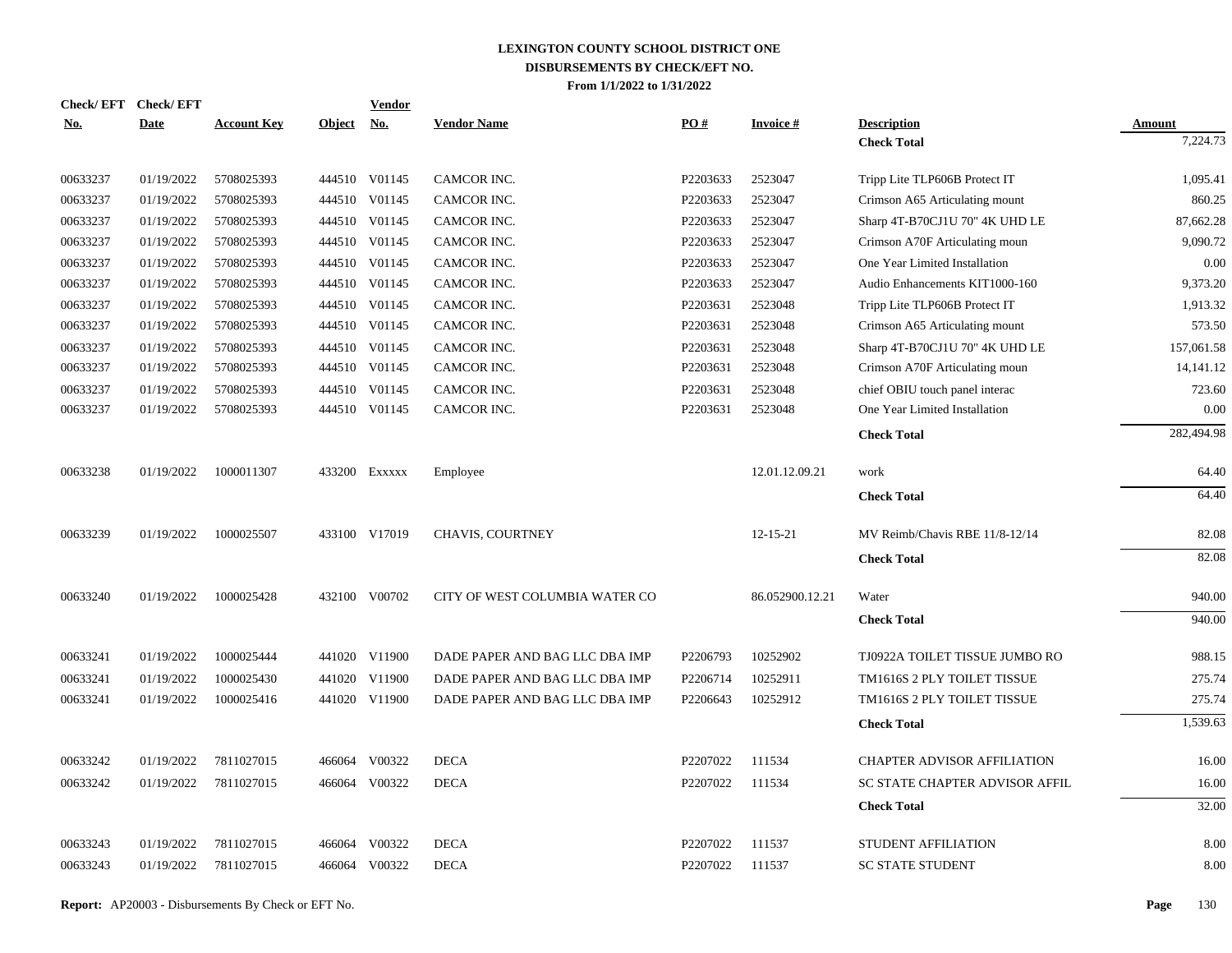| <b>Check/EFT</b> | <b>Check/EFT</b> |                    |               | <b>Vendor</b> |                                |          |                 |                                    |               |
|------------------|------------------|--------------------|---------------|---------------|--------------------------------|----------|-----------------|------------------------------------|---------------|
| <u>No.</u>       | <b>Date</b>      | <b>Account Key</b> | <b>Object</b> | <u>No.</u>    | <b>Vendor Name</b>             | PO#      | <b>Invoice#</b> | <b>Description</b>                 | <b>Amount</b> |
|                  |                  |                    |               |               |                                |          |                 | <b>Check Total</b>                 | 7,224.73      |
| 00633237         | 01/19/2022       | 5708025393         |               | 444510 V01145 | CAMCOR INC.                    | P2203633 | 2523047         | Tripp Lite TLP606B Protect IT      | 1,095.41      |
| 00633237         | 01/19/2022       | 5708025393         |               | 444510 V01145 | CAMCOR INC.                    | P2203633 | 2523047         | Crimson A65 Articulating mount     | 860.25        |
| 00633237         | 01/19/2022       | 5708025393         |               | 444510 V01145 | CAMCOR INC.                    | P2203633 | 2523047         | Sharp 4T-B70CJ1U 70" 4K UHD LE     | 87,662.28     |
| 00633237         | 01/19/2022       | 5708025393         |               | 444510 V01145 | CAMCOR INC.                    | P2203633 | 2523047         | Crimson A70F Articulating moun     | 9,090.72      |
| 00633237         | 01/19/2022       | 5708025393         |               | 444510 V01145 | CAMCOR INC.                    | P2203633 | 2523047         | One Year Limited Installation      | 0.00          |
| 00633237         | 01/19/2022       | 5708025393         |               | 444510 V01145 | CAMCOR INC.                    | P2203633 | 2523047         | Audio Enhancements KIT1000-160     | 9,373.20      |
| 00633237         | 01/19/2022       | 5708025393         |               | 444510 V01145 | CAMCOR INC.                    | P2203631 | 2523048         | Tripp Lite TLP606B Protect IT      | 1,913.32      |
| 00633237         | 01/19/2022       | 5708025393         |               | 444510 V01145 | CAMCOR INC.                    | P2203631 | 2523048         | Crimson A65 Articulating mount     | 573.50        |
| 00633237         | 01/19/2022       | 5708025393         |               | 444510 V01145 | CAMCOR INC.                    | P2203631 | 2523048         | Sharp 4T-B70CJ1U 70" 4K UHD LE     | 157,061.58    |
| 00633237         | 01/19/2022       | 5708025393         |               | 444510 V01145 | CAMCOR INC.                    | P2203631 | 2523048         | Crimson A70F Articulating moun     | 14,141.12     |
| 00633237         | 01/19/2022       | 5708025393         |               | 444510 V01145 | CAMCOR INC.                    | P2203631 | 2523048         | chief OBIU touch panel interac     | 723.60        |
| 00633237         | 01/19/2022       | 5708025393         |               | 444510 V01145 | CAMCOR INC.                    | P2203631 | 2523048         | One Year Limited Installation      | 0.00          |
|                  |                  |                    |               |               |                                |          |                 | <b>Check Total</b>                 | 282,494.98    |
| 00633238         | 01/19/2022       | 1000011307         |               | 433200 Exxxxx | Employee                       |          | 12.01.12.09.21  | work                               | 64.40         |
|                  |                  |                    |               |               |                                |          |                 | <b>Check Total</b>                 | 64.40         |
| 00633239         | 01/19/2022       | 1000025507         |               | 433100 V17019 | CHAVIS, COURTNEY               |          | $12 - 15 - 21$  | MV Reimb/Chavis RBE 11/8-12/14     | 82.08         |
|                  |                  |                    |               |               |                                |          |                 | <b>Check Total</b>                 | 82.08         |
| 00633240         | 01/19/2022       | 1000025428         |               | 432100 V00702 | CITY OF WEST COLUMBIA WATER CO |          | 86.052900.12.21 | Water                              | 940.00        |
|                  |                  |                    |               |               |                                |          |                 | <b>Check Total</b>                 | 940.00        |
| 00633241         | 01/19/2022       | 1000025444         |               | 441020 V11900 | DADE PAPER AND BAG LLC DBA IMP | P2206793 | 10252902        | TJ0922A TOILET TISSUE JUMBO RO     | 988.15        |
| 00633241         | 01/19/2022       | 1000025430         |               | 441020 V11900 | DADE PAPER AND BAG LLC DBA IMP | P2206714 | 10252911        | TM1616S 2 PLY TOILET TISSUE        | 275.74        |
| 00633241         | 01/19/2022       | 1000025416         |               | 441020 V11900 | DADE PAPER AND BAG LLC DBA IMP | P2206643 | 10252912        | TM1616S 2 PLY TOILET TISSUE        | 275.74        |
|                  |                  |                    |               |               |                                |          |                 | <b>Check Total</b>                 | 1,539.63      |
| 00633242         | 01/19/2022       | 7811027015         |               | 466064 V00322 | <b>DECA</b>                    | P2207022 | 111534          | <b>CHAPTER ADVISOR AFFILIATION</b> | 16.00         |
| 00633242         | 01/19/2022       | 7811027015         |               | 466064 V00322 | <b>DECA</b>                    | P2207022 | 111534          | SC STATE CHAPTER ADVISOR AFFIL     | 16.00         |
|                  |                  |                    |               |               |                                |          |                 | <b>Check Total</b>                 | 32.00         |
|                  |                  |                    |               |               |                                |          |                 |                                    |               |
| 00633243         | 01/19/2022       | 7811027015         |               | 466064 V00322 | <b>DECA</b>                    | P2207022 | 111537          | STUDENT AFFILIATION                | 8.00          |
| 00633243         | 01/19/2022       | 7811027015         |               | 466064 V00322 | <b>DECA</b>                    | P2207022 | 111537          | <b>SC STATE STUDENT</b>            | 8.00          |
|                  |                  |                    |               |               |                                |          |                 |                                    |               |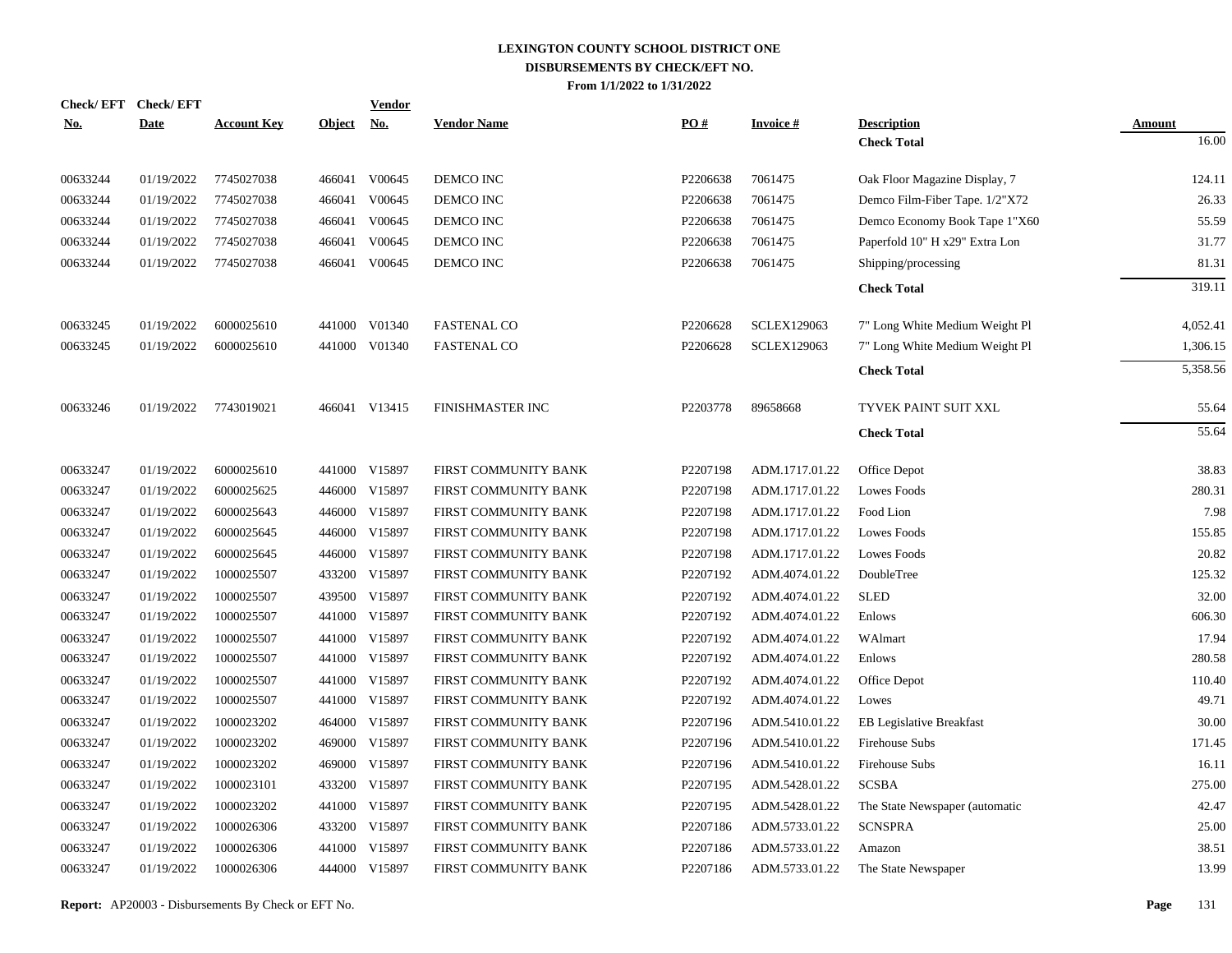|            | Check/EFT Check/EFT |                    |               | <b>Vendor</b> |                         |          |                    |                                 |               |
|------------|---------------------|--------------------|---------------|---------------|-------------------------|----------|--------------------|---------------------------------|---------------|
| <u>No.</u> | <b>Date</b>         | <b>Account Key</b> | <b>Object</b> | <u>No.</u>    | <b>Vendor Name</b>      | PO#      | <b>Invoice#</b>    | <b>Description</b>              | <b>Amount</b> |
|            |                     |                    |               |               |                         |          |                    | <b>Check Total</b>              | 16.00         |
| 00633244   | 01/19/2022          | 7745027038         |               | 466041 V00645 | DEMCO INC               | P2206638 | 7061475            | Oak Floor Magazine Display, 7   | 124.11        |
| 00633244   | 01/19/2022          | 7745027038         | 466041        | V00645        | DEMCO INC               | P2206638 | 7061475            | Demco Film-Fiber Tape. 1/2"X72  | 26.33         |
| 00633244   | 01/19/2022          | 7745027038         | 466041        | V00645        | DEMCO INC               | P2206638 | 7061475            | Demco Economy Book Tape 1"X60   | 55.59         |
| 00633244   | 01/19/2022          | 7745027038         | 466041        | V00645        | DEMCO INC               | P2206638 | 7061475            | Paperfold 10" H x29" Extra Lon  | 31.77         |
| 00633244   | 01/19/2022          | 7745027038         |               | 466041 V00645 | DEMCO INC               | P2206638 | 7061475            | Shipping/processing             | 81.31         |
|            |                     |                    |               |               |                         |          |                    | <b>Check Total</b>              | 319.11        |
| 00633245   | 01/19/2022          | 6000025610         |               | 441000 V01340 | <b>FASTENAL CO</b>      | P2206628 | <b>SCLEX129063</b> | 7" Long White Medium Weight Pl  | 4,052.41      |
| 00633245   | 01/19/2022          | 6000025610         |               | 441000 V01340 | <b>FASTENAL CO</b>      | P2206628 | <b>SCLEX129063</b> | 7" Long White Medium Weight Pl  | 1,306.15      |
|            |                     |                    |               |               |                         |          |                    | <b>Check Total</b>              | 5,358.56      |
| 00633246   | 01/19/2022          | 7743019021         |               | 466041 V13415 | <b>FINISHMASTER INC</b> | P2203778 | 89658668           | TYVEK PAINT SUIT XXL            | 55.64         |
|            |                     |                    |               |               |                         |          |                    | <b>Check Total</b>              | 55.64         |
| 00633247   | 01/19/2022          | 6000025610         |               | 441000 V15897 | FIRST COMMUNITY BANK    | P2207198 | ADM.1717.01.22     | Office Depot                    | 38.83         |
| 00633247   | 01/19/2022          | 6000025625         |               | 446000 V15897 | FIRST COMMUNITY BANK    | P2207198 | ADM.1717.01.22     | <b>Lowes Foods</b>              | 280.31        |
| 00633247   | 01/19/2022          | 6000025643         |               | 446000 V15897 | FIRST COMMUNITY BANK    | P2207198 | ADM.1717.01.22     | Food Lion                       | 7.98          |
| 00633247   | 01/19/2022          | 6000025645         |               | 446000 V15897 | FIRST COMMUNITY BANK    | P2207198 | ADM.1717.01.22     | <b>Lowes Foods</b>              | 155.85        |
| 00633247   | 01/19/2022          | 6000025645         |               | 446000 V15897 | FIRST COMMUNITY BANK    | P2207198 | ADM.1717.01.22     | <b>Lowes Foods</b>              | 20.82         |
| 00633247   | 01/19/2022          | 1000025507         |               | 433200 V15897 | FIRST COMMUNITY BANK    | P2207192 | ADM.4074.01.22     | DoubleTree                      | 125.32        |
| 00633247   | 01/19/2022          | 1000025507         |               | 439500 V15897 | FIRST COMMUNITY BANK    | P2207192 | ADM.4074.01.22     | <b>SLED</b>                     | 32.00         |
| 00633247   | 01/19/2022          | 1000025507         |               | 441000 V15897 | FIRST COMMUNITY BANK    | P2207192 | ADM.4074.01.22     | Enlows                          | 606.30        |
| 00633247   | 01/19/2022          | 1000025507         |               | 441000 V15897 | FIRST COMMUNITY BANK    | P2207192 | ADM.4074.01.22     | WAlmart                         | 17.94         |
| 00633247   | 01/19/2022          | 1000025507         |               | 441000 V15897 | FIRST COMMUNITY BANK    | P2207192 | ADM.4074.01.22     | Enlows                          | 280.58        |
| 00633247   | 01/19/2022          | 1000025507         |               | 441000 V15897 | FIRST COMMUNITY BANK    | P2207192 | ADM.4074.01.22     | Office Depot                    | 110.40        |
| 00633247   | 01/19/2022          | 1000025507         |               | 441000 V15897 | FIRST COMMUNITY BANK    | P2207192 | ADM.4074.01.22     | Lowes                           | 49.71         |
| 00633247   | 01/19/2022          | 1000023202         |               | 464000 V15897 | FIRST COMMUNITY BANK    | P2207196 | ADM.5410.01.22     | <b>EB Legislative Breakfast</b> | 30.00         |
| 00633247   | 01/19/2022          | 1000023202         |               | 469000 V15897 | FIRST COMMUNITY BANK    | P2207196 | ADM.5410.01.22     | Firehouse Subs                  | 171.45        |
| 00633247   | 01/19/2022          | 1000023202         |               | 469000 V15897 | FIRST COMMUNITY BANK    | P2207196 | ADM.5410.01.22     | Firehouse Subs                  | 16.11         |
| 00633247   | 01/19/2022          | 1000023101         |               | 433200 V15897 | FIRST COMMUNITY BANK    | P2207195 | ADM.5428.01.22     | <b>SCSBA</b>                    | 275.00        |
| 00633247   | 01/19/2022          | 1000023202         |               | 441000 V15897 | FIRST COMMUNITY BANK    | P2207195 | ADM.5428.01.22     | The State Newspaper (automatic  | 42.47         |
| 00633247   | 01/19/2022          | 1000026306         |               | 433200 V15897 | FIRST COMMUNITY BANK    | P2207186 | ADM.5733.01.22     | <b>SCNSPRA</b>                  | 25.00         |
| 00633247   | 01/19/2022          | 1000026306         | 441000        | V15897        | FIRST COMMUNITY BANK    | P2207186 | ADM.5733.01.22     | Amazon                          | 38.51         |
| 00633247   | 01/19/2022          | 1000026306         |               | 444000 V15897 | FIRST COMMUNITY BANK    | P2207186 | ADM.5733.01.22     | The State Newspaper             | 13.99         |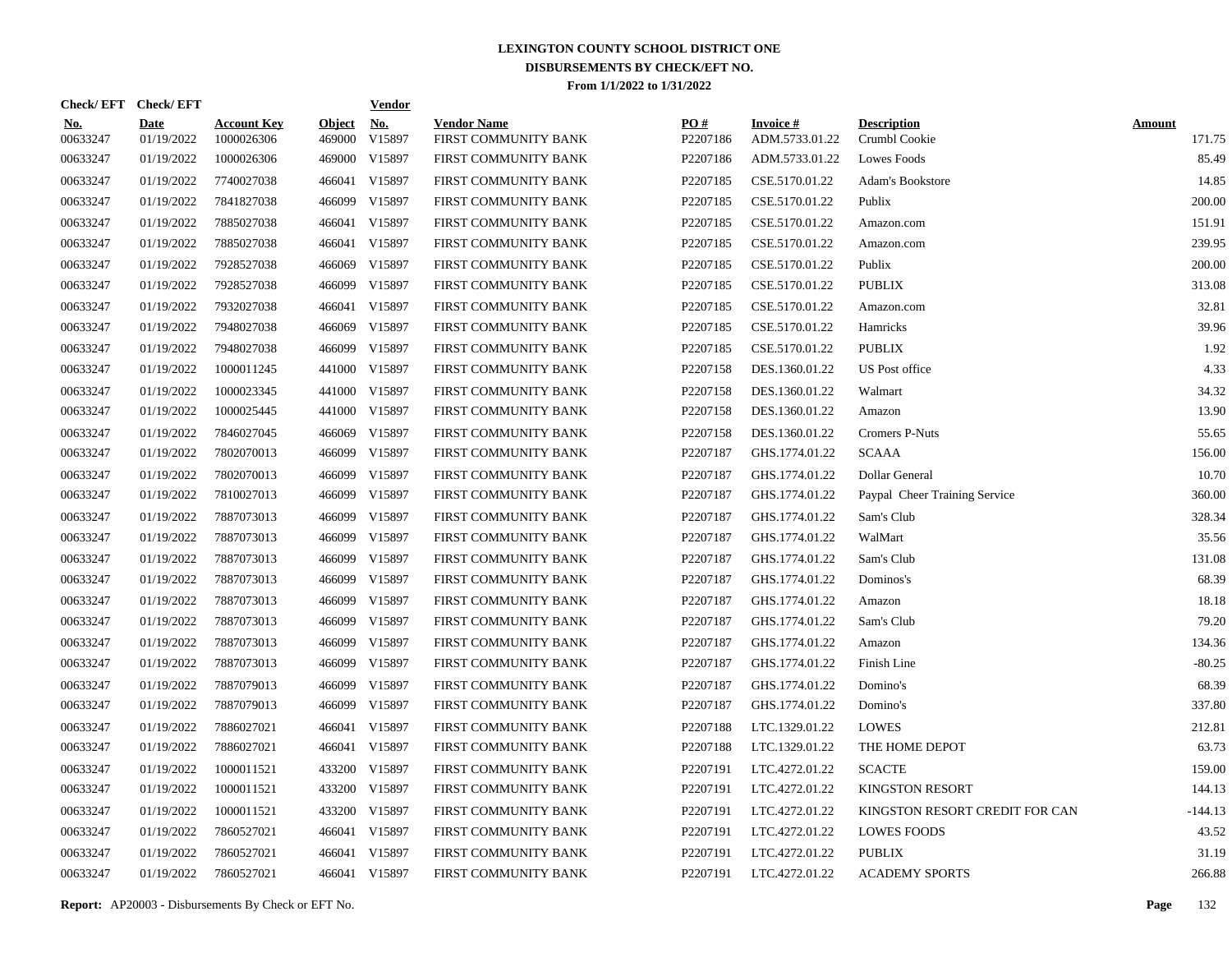|                        | Check/EFT Check/EFT       |                                  |                         | <u>Vendor</u>        |                                            |                 |                                   |                                     |                         |
|------------------------|---------------------------|----------------------------------|-------------------------|----------------------|--------------------------------------------|-----------------|-----------------------------------|-------------------------------------|-------------------------|
| <u>No.</u><br>00633247 | <b>Date</b><br>01/19/2022 | <b>Account Key</b><br>1000026306 | <b>Object</b><br>469000 | <u>No.</u><br>V15897 | <b>Vendor Name</b><br>FIRST COMMUNITY BANK | PQ#<br>P2207186 | <b>Invoice#</b><br>ADM.5733.01.22 | <b>Description</b><br>Crumbl Cookie | <b>Amount</b><br>171.75 |
| 00633247               | 01/19/2022                | 1000026306                       | 469000                  | V15897               | FIRST COMMUNITY BANK                       | P2207186        | ADM.5733.01.22                    | <b>Lowes Foods</b>                  | 85.49                   |
| 00633247               | 01/19/2022                | 7740027038                       |                         | 466041 V15897        | FIRST COMMUNITY BANK                       | P2207185        | CSE.5170.01.22                    | <b>Adam's Bookstore</b>             | 14.85                   |
| 00633247               | 01/19/2022                | 7841827038                       | 466099                  | V15897               | FIRST COMMUNITY BANK                       | P2207185        | CSE.5170.01.22                    | Publix                              | 200.00                  |
| 00633247               | 01/19/2022                | 7885027038                       |                         | 466041 V15897        | FIRST COMMUNITY BANK                       | P2207185        | CSE.5170.01.22                    | Amazon.com                          | 151.91                  |
| 00633247               | 01/19/2022                | 7885027038                       |                         | 466041 V15897        | FIRST COMMUNITY BANK                       | P2207185        | CSE.5170.01.22                    | Amazon.com                          | 239.95                  |
| 00633247               | 01/19/2022                | 7928527038                       | 466069                  | V15897               | FIRST COMMUNITY BANK                       | P2207185        | CSE.5170.01.22                    | Publix                              | 200.00                  |
| 00633247               | 01/19/2022                | 7928527038                       | 466099                  | V15897               | FIRST COMMUNITY BANK                       | P2207185        | CSE.5170.01.22                    | <b>PUBLIX</b>                       | 313.08                  |
| 00633247               | 01/19/2022                | 7932027038                       |                         | 466041 V15897        | FIRST COMMUNITY BANK                       | P2207185        | CSE.5170.01.22                    | Amazon.com                          | 32.81                   |
| 00633247               | 01/19/2022                | 7948027038                       |                         | 466069 V15897        | FIRST COMMUNITY BANK                       | P2207185        | CSE.5170.01.22                    | Hamricks                            | 39.96                   |
| 00633247               | 01/19/2022                | 7948027038                       |                         | 466099 V15897        | FIRST COMMUNITY BANK                       | P2207185        | CSE.5170.01.22                    | <b>PUBLIX</b>                       | 1.92                    |
| 00633247               | 01/19/2022                | 1000011245                       |                         | 441000 V15897        | FIRST COMMUNITY BANK                       | P2207158        | DES.1360.01.22                    | <b>US</b> Post office               | 4.33                    |
| 00633247               | 01/19/2022                | 1000023345                       |                         | 441000 V15897        | FIRST COMMUNITY BANK                       | P2207158        | DES.1360.01.22                    | Walmart                             | 34.32                   |
| 00633247               | 01/19/2022                | 1000025445                       |                         | 441000 V15897        | FIRST COMMUNITY BANK                       | P2207158        | DES.1360.01.22                    | Amazon                              | 13.90                   |
| 00633247               | 01/19/2022                | 7846027045                       | 466069                  | V15897               | FIRST COMMUNITY BANK                       | P2207158        | DES.1360.01.22                    | Cromers P-Nuts                      | 55.65                   |
| 00633247               | 01/19/2022                | 7802070013                       |                         | 466099 V15897        | FIRST COMMUNITY BANK                       | P2207187        | GHS.1774.01.22                    | <b>SCAAA</b>                        | 156.00                  |
| 00633247               | 01/19/2022                | 7802070013                       | 466099                  | V15897               | FIRST COMMUNITY BANK                       | P2207187        | GHS.1774.01.22                    | Dollar General                      | 10.70                   |
| 00633247               | 01/19/2022                | 7810027013                       |                         | 466099 V15897        | FIRST COMMUNITY BANK                       | P2207187        | GHS.1774.01.22                    | Paypal Cheer Training Service       | 360.00                  |
| 00633247               | 01/19/2022                | 7887073013                       | 466099                  | V15897               | FIRST COMMUNITY BANK                       | P2207187        | GHS.1774.01.22                    | Sam's Club                          | 328.34                  |
| 00633247               | 01/19/2022                | 7887073013                       |                         | 466099 V15897        | FIRST COMMUNITY BANK                       | P2207187        | GHS.1774.01.22                    | WalMart                             | 35.56                   |
| 00633247               | 01/19/2022                | 7887073013                       | 466099                  | V15897               | FIRST COMMUNITY BANK                       | P2207187        | GHS.1774.01.22                    | Sam's Club                          | 131.08                  |
| 00633247               | 01/19/2022                | 7887073013                       |                         | 466099 V15897        | FIRST COMMUNITY BANK                       | P2207187        | GHS.1774.01.22                    | Dominos's                           | 68.39                   |
| 00633247               | 01/19/2022                | 7887073013                       | 466099                  | V15897               | FIRST COMMUNITY BANK                       | P2207187        | GHS.1774.01.22                    | Amazon                              | 18.18                   |
| 00633247               | 01/19/2022                | 7887073013                       | 466099                  | V15897               | FIRST COMMUNITY BANK                       | P2207187        | GHS.1774.01.22                    | Sam's Club                          | 79.20                   |
| 00633247               | 01/19/2022                | 7887073013                       | 466099                  | V15897               | FIRST COMMUNITY BANK                       | P2207187        | GHS.1774.01.22                    | Amazon                              | 134.36                  |
| 00633247               | 01/19/2022                | 7887073013                       | 466099                  | V15897               | FIRST COMMUNITY BANK                       | P2207187        | GHS.1774.01.22                    | Finish Line                         | $-80.25$                |
| 00633247               | 01/19/2022                | 7887079013                       | 466099                  | V15897               | FIRST COMMUNITY BANK                       | P2207187        | GHS.1774.01.22                    | Domino's                            | 68.39                   |
| 00633247               | 01/19/2022                | 7887079013                       |                         | 466099 V15897        | FIRST COMMUNITY BANK                       | P2207187        | GHS.1774.01.22                    | Domino's                            | 337.80                  |
| 00633247               | 01/19/2022                | 7886027021                       |                         | 466041 V15897        | FIRST COMMUNITY BANK                       | P2207188        | LTC.1329.01.22                    | <b>LOWES</b>                        | 212.81                  |
| 00633247               | 01/19/2022                | 7886027021                       |                         | 466041 V15897        | FIRST COMMUNITY BANK                       | P2207188        | LTC.1329.01.22                    | THE HOME DEPOT                      | 63.73                   |
| 00633247               | 01/19/2022                | 1000011521                       |                         | 433200 V15897        | FIRST COMMUNITY BANK                       | P2207191        | LTC.4272.01.22                    | <b>SCACTE</b>                       | 159.00                  |
| 00633247               | 01/19/2022                | 1000011521                       |                         | 433200 V15897        | FIRST COMMUNITY BANK                       | P2207191        | LTC.4272.01.22                    | <b>KINGSTON RESORT</b>              | 144.13                  |
| 00633247               | 01/19/2022                | 1000011521                       |                         | 433200 V15897        | FIRST COMMUNITY BANK                       | P2207191        | LTC.4272.01.22                    | KINGSTON RESORT CREDIT FOR CAN      | $-144.13$               |
| 00633247               | 01/19/2022                | 7860527021                       |                         | 466041 V15897        | FIRST COMMUNITY BANK                       | P2207191        | LTC.4272.01.22                    | <b>LOWES FOODS</b>                  | 43.52                   |
| 00633247               | 01/19/2022                | 7860527021                       |                         | 466041 V15897        | FIRST COMMUNITY BANK                       | P2207191        | LTC.4272.01.22                    | <b>PUBLIX</b>                       | 31.19                   |
| 00633247               | 01/19/2022                | 7860527021                       |                         | 466041 V15897        | FIRST COMMUNITY BANK                       | P2207191        | LTC.4272.01.22                    | <b>ACADEMY SPORTS</b>               | 266.88                  |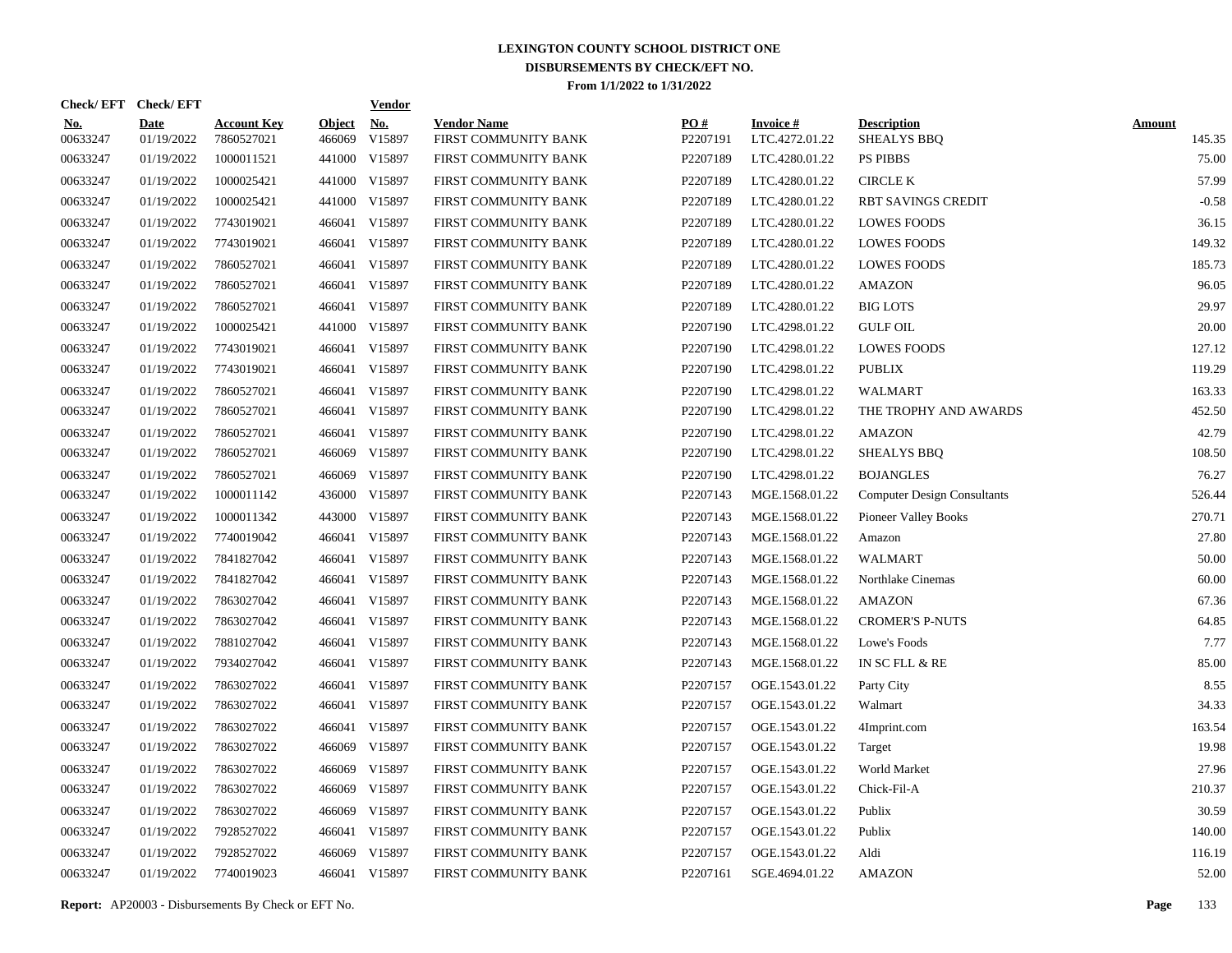|                        | Check/EFT Check/EFT       |                                  |                         | <u>Vendor</u>        |                                            |                 |                                   |                                    |                         |
|------------------------|---------------------------|----------------------------------|-------------------------|----------------------|--------------------------------------------|-----------------|-----------------------------------|------------------------------------|-------------------------|
| <u>No.</u><br>00633247 | <b>Date</b><br>01/19/2022 | <b>Account Key</b><br>7860527021 | <b>Object</b><br>466069 | <u>No.</u><br>V15897 | <b>Vendor Name</b><br>FIRST COMMUNITY BANK | PQ#<br>P2207191 | <b>Invoice#</b><br>LTC.4272.01.22 | <b>Description</b><br>SHEALYS BBQ  | <b>Amount</b><br>145.35 |
| 00633247               | 01/19/2022                | 1000011521                       | 441000                  | V15897               | FIRST COMMUNITY BANK                       | P2207189        | LTC.4280.01.22                    | <b>PS PIBBS</b>                    | 75.00                   |
| 00633247               | 01/19/2022                | 1000025421                       |                         | 441000 V15897        | FIRST COMMUNITY BANK                       | P2207189        | LTC.4280.01.22                    | <b>CIRCLE K</b>                    | 57.99                   |
| 00633247               | 01/19/2022                | 1000025421                       |                         | 441000 V15897        | FIRST COMMUNITY BANK                       | P2207189        | LTC.4280.01.22                    | <b>RBT SAVINGS CREDIT</b>          | $-0.58$                 |
| 00633247               | 01/19/2022                | 7743019021                       |                         | 466041 V15897        | FIRST COMMUNITY BANK                       | P2207189        | LTC.4280.01.22                    | <b>LOWES FOODS</b>                 | 36.15                   |
| 00633247               | 01/19/2022                | 7743019021                       |                         | 466041 V15897        | FIRST COMMUNITY BANK                       | P2207189        | LTC.4280.01.22                    | <b>LOWES FOODS</b>                 | 149.32                  |
| 00633247               | 01/19/2022                | 7860527021                       | 466041                  | V15897               | FIRST COMMUNITY BANK                       | P2207189        | LTC.4280.01.22                    | <b>LOWES FOODS</b>                 | 185.73                  |
| 00633247               | 01/19/2022                | 7860527021                       |                         | 466041 V15897        | FIRST COMMUNITY BANK                       | P2207189        | LTC.4280.01.22                    | <b>AMAZON</b>                      | 96.05                   |
| 00633247               | 01/19/2022                | 7860527021                       |                         | 466041 V15897        | FIRST COMMUNITY BANK                       | P2207189        | LTC.4280.01.22                    | <b>BIG LOTS</b>                    | 29.97                   |
| 00633247               | 01/19/2022                | 1000025421                       |                         | 441000 V15897        | FIRST COMMUNITY BANK                       | P2207190        | LTC.4298.01.22                    | <b>GULF OIL</b>                    | 20.00                   |
| 00633247               | 01/19/2022                | 7743019021                       |                         | 466041 V15897        | FIRST COMMUNITY BANK                       | P2207190        | LTC.4298.01.22                    | <b>LOWES FOODS</b>                 | 127.12                  |
| 00633247               | 01/19/2022                | 7743019021                       |                         | 466041 V15897        | FIRST COMMUNITY BANK                       | P2207190        | LTC.4298.01.22                    | <b>PUBLIX</b>                      | 119.29                  |
| 00633247               | 01/19/2022                | 7860527021                       | 466041                  | V15897               | FIRST COMMUNITY BANK                       | P2207190        | LTC.4298.01.22                    | <b>WALMART</b>                     | 163.33                  |
| 00633247               | 01/19/2022                | 7860527021                       |                         | 466041 V15897        | FIRST COMMUNITY BANK                       | P2207190        | LTC.4298.01.22                    | THE TROPHY AND AWARDS              | 452.50                  |
| 00633247               | 01/19/2022                | 7860527021                       |                         | 466041 V15897        | FIRST COMMUNITY BANK                       | P2207190        | LTC.4298.01.22                    | <b>AMAZON</b>                      | 42.79                   |
| 00633247               | 01/19/2022                | 7860527021                       |                         | 466069 V15897        | FIRST COMMUNITY BANK                       | P2207190        | LTC.4298.01.22                    | <b>SHEALYS BBQ</b>                 | 108.50                  |
| 00633247               | 01/19/2022                | 7860527021                       | 466069                  | V15897               | FIRST COMMUNITY BANK                       | P2207190        | LTC.4298.01.22                    | <b>BOJANGLES</b>                   | 76.27                   |
| 00633247               | 01/19/2022                | 1000011142                       |                         | 436000 V15897        | FIRST COMMUNITY BANK                       | P2207143        | MGE.1568.01.22                    | <b>Computer Design Consultants</b> | 526.44                  |
| 00633247               | 01/19/2022                | 1000011342                       |                         | 443000 V15897        | FIRST COMMUNITY BANK                       | P2207143        | MGE.1568.01.22                    | <b>Pioneer Valley Books</b>        | 270.71                  |
| 00633247               | 01/19/2022                | 7740019042                       |                         | 466041 V15897        | FIRST COMMUNITY BANK                       | P2207143        | MGE.1568.01.22                    | Amazon                             | 27.80                   |
| 00633247               | 01/19/2022                | 7841827042                       |                         | 466041 V15897        | FIRST COMMUNITY BANK                       | P2207143        | MGE.1568.01.22                    | <b>WALMART</b>                     | 50.00                   |
| 00633247               | 01/19/2022                | 7841827042                       |                         | 466041 V15897        | FIRST COMMUNITY BANK                       | P2207143        | MGE.1568.01.22                    | Northlake Cinemas                  | 60.00                   |
| 00633247               | 01/19/2022                | 7863027042                       | 466041                  | V15897               | FIRST COMMUNITY BANK                       | P2207143        | MGE.1568.01.22                    | <b>AMAZON</b>                      | 67.36                   |
| 00633247               | 01/19/2022                | 7863027042                       |                         | 466041 V15897        | FIRST COMMUNITY BANK                       | P2207143        | MGE.1568.01.22                    | <b>CROMER'S P-NUTS</b>             | 64.85                   |
| 00633247               | 01/19/2022                | 7881027042                       | 466041                  | V15897               | FIRST COMMUNITY BANK                       | P2207143        | MGE.1568.01.22                    | Lowe's Foods                       | 7.77                    |
| 00633247               | 01/19/2022                | 7934027042                       |                         | 466041 V15897        | FIRST COMMUNITY BANK                       | P2207143        | MGE.1568.01.22                    | IN SC FLL & RE                     | 85.00                   |
| 00633247               | 01/19/2022                | 7863027022                       | 466041                  | V15897               | FIRST COMMUNITY BANK                       | P2207157        | OGE.1543.01.22                    | Party City                         | 8.55                    |
| 00633247               | 01/19/2022                | 7863027022                       |                         | 466041 V15897        | FIRST COMMUNITY BANK                       | P2207157        | OGE.1543.01.22                    | Walmart                            | 34.33                   |
| 00633247               | 01/19/2022                | 7863027022                       | 466041                  | V15897               | FIRST COMMUNITY BANK                       | P2207157        | OGE.1543.01.22                    | 4Imprint.com                       | 163.54                  |
| 00633247               | 01/19/2022                | 7863027022                       | 466069                  | V15897               | FIRST COMMUNITY BANK                       | P2207157        | OGE.1543.01.22                    | Target                             | 19.98                   |
| 00633247               | 01/19/2022                | 7863027022                       | 466069                  | V15897               | FIRST COMMUNITY BANK                       | P2207157        | OGE.1543.01.22                    | World Market                       | 27.96                   |
| 00633247               | 01/19/2022                | 7863027022                       | 466069                  | V15897               | FIRST COMMUNITY BANK                       | P2207157        | OGE.1543.01.22                    | Chick-Fil-A                        | 210.37                  |
| 00633247               | 01/19/2022                | 7863027022                       | 466069                  | V15897               | FIRST COMMUNITY BANK                       | P2207157        | OGE.1543.01.22                    | Publix                             | 30.59                   |
| 00633247               | 01/19/2022                | 7928527022                       | 466041                  | V15897               | FIRST COMMUNITY BANK                       | P2207157        | OGE.1543.01.22                    | Publix                             | 140.00                  |
| 00633247               | 01/19/2022                | 7928527022                       | 466069                  | V15897               | FIRST COMMUNITY BANK                       | P2207157        | OGE.1543.01.22                    | Aldi                               | 116.19                  |
| 00633247               | 01/19/2022                | 7740019023                       |                         | 466041 V15897        | FIRST COMMUNITY BANK                       | P2207161        | SGE.4694.01.22                    | <b>AMAZON</b>                      | 52.00                   |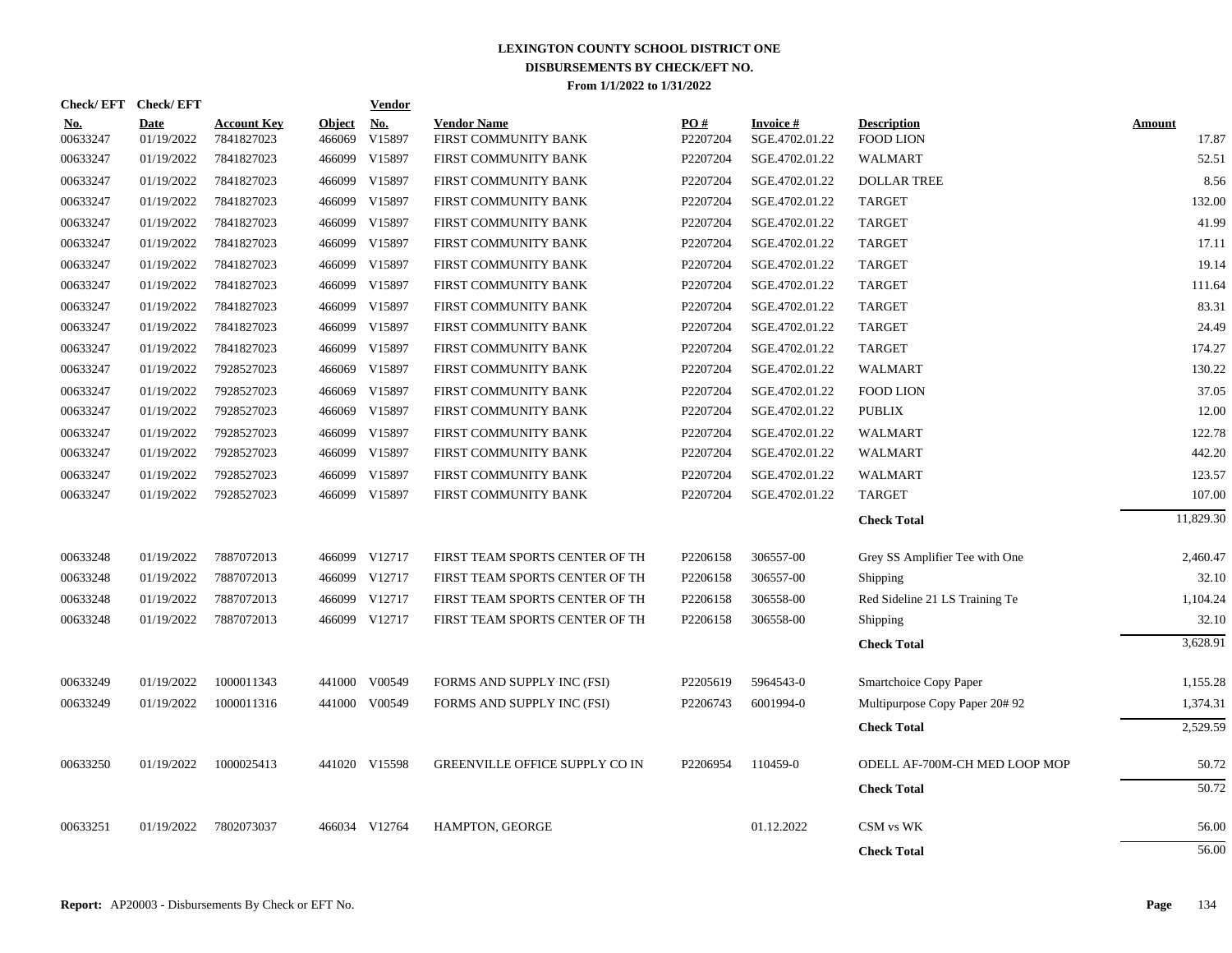|                        | Check/EFT Check/EFT       |                                  |                         | <b>Vendor</b>        |                                            |                 |                                   |                                        |                 |
|------------------------|---------------------------|----------------------------------|-------------------------|----------------------|--------------------------------------------|-----------------|-----------------------------------|----------------------------------------|-----------------|
| <u>No.</u><br>00633247 | <b>Date</b><br>01/19/2022 | <b>Account Key</b><br>7841827023 | <b>Object</b><br>466069 | <u>No.</u><br>V15897 | <b>Vendor Name</b><br>FIRST COMMUNITY BANK | PO#<br>P2207204 | <b>Invoice#</b><br>SGE.4702.01.22 | <b>Description</b><br><b>FOOD LION</b> | Amount<br>17.87 |
| 00633247               | 01/19/2022                | 7841827023                       | 466099                  | V15897               | FIRST COMMUNITY BANK                       | P2207204        | SGE.4702.01.22                    | <b>WALMART</b>                         | 52.51           |
| 00633247               | 01/19/2022                | 7841827023                       | 466099                  | V15897               | FIRST COMMUNITY BANK                       | P2207204        | SGE.4702.01.22                    | <b>DOLLAR TREE</b>                     | 8.56            |
| 00633247               | 01/19/2022                | 7841827023                       | 466099                  | V15897               | FIRST COMMUNITY BANK                       | P2207204        | SGE.4702.01.22                    | <b>TARGET</b>                          | 132.00          |
| 00633247               | 01/19/2022                | 7841827023                       | 466099                  | V15897               | FIRST COMMUNITY BANK                       | P2207204        | SGE.4702.01.22                    | <b>TARGET</b>                          | 41.99           |
| 00633247               | 01/19/2022                | 7841827023                       | 466099                  | V15897               | FIRST COMMUNITY BANK                       | P2207204        | SGE.4702.01.22                    | <b>TARGET</b>                          | 17.11           |
| 00633247               | 01/19/2022                | 7841827023                       |                         | 466099 V15897        | FIRST COMMUNITY BANK                       | P2207204        | SGE.4702.01.22                    | <b>TARGET</b>                          | 19.14           |
| 00633247               | 01/19/2022                | 7841827023                       |                         | 466099 V15897        | FIRST COMMUNITY BANK                       | P2207204        | SGE.4702.01.22                    | <b>TARGET</b>                          | 111.64          |
| 00633247               | 01/19/2022                | 7841827023                       |                         | 466099 V15897        | FIRST COMMUNITY BANK                       | P2207204        | SGE.4702.01.22                    | <b>TARGET</b>                          | 83.31           |
| 00633247               | 01/19/2022                | 7841827023                       | 466099                  | V15897               | FIRST COMMUNITY BANK                       | P2207204        | SGE.4702.01.22                    | <b>TARGET</b>                          | 24.49           |
| 00633247               | 01/19/2022                | 7841827023                       |                         | 466099 V15897        | FIRST COMMUNITY BANK                       | P2207204        | SGE.4702.01.22                    | <b>TARGET</b>                          | 174.27          |
| 00633247               | 01/19/2022                | 7928527023                       |                         | 466069 V15897        | FIRST COMMUNITY BANK                       | P2207204        | SGE.4702.01.22                    | <b>WALMART</b>                         | 130.22          |
| 00633247               | 01/19/2022                | 7928527023                       |                         | 466069 V15897        | FIRST COMMUNITY BANK                       | P2207204        | SGE.4702.01.22                    | <b>FOOD LION</b>                       | 37.05           |
| 00633247               | 01/19/2022                | 7928527023                       |                         | 466069 V15897        | FIRST COMMUNITY BANK                       | P2207204        | SGE.4702.01.22                    | <b>PUBLIX</b>                          | 12.00           |
| 00633247               | 01/19/2022                | 7928527023                       |                         | 466099 V15897        | FIRST COMMUNITY BANK                       | P2207204        | SGE.4702.01.22                    | <b>WALMART</b>                         | 122.78          |
| 00633247               | 01/19/2022                | 7928527023                       |                         | 466099 V15897        | FIRST COMMUNITY BANK                       | P2207204        | SGE.4702.01.22                    | <b>WALMART</b>                         | 442.20          |
| 00633247               | 01/19/2022                | 7928527023                       |                         | 466099 V15897        | FIRST COMMUNITY BANK                       | P2207204        | SGE.4702.01.22                    | <b>WALMART</b>                         | 123.57          |
| 00633247               | 01/19/2022                | 7928527023                       |                         | 466099 V15897        | FIRST COMMUNITY BANK                       | P2207204        | SGE.4702.01.22                    | <b>TARGET</b>                          | 107.00          |
|                        |                           |                                  |                         |                      |                                            |                 |                                   | <b>Check Total</b>                     | 11,829.30       |
| 00633248               | 01/19/2022                | 7887072013                       |                         | 466099 V12717        | FIRST TEAM SPORTS CENTER OF TH             | P2206158        | 306557-00                         | Grey SS Amplifier Tee with One         | 2,460.47        |
| 00633248               | 01/19/2022                | 7887072013                       |                         | 466099 V12717        | FIRST TEAM SPORTS CENTER OF TH             | P2206158        | 306557-00                         | Shipping                               | 32.10           |
| 00633248               | 01/19/2022                | 7887072013                       |                         | 466099 V12717        | FIRST TEAM SPORTS CENTER OF TH             | P2206158        | 306558-00                         | Red Sideline 21 LS Training Te         | 1,104.24        |
| 00633248               | 01/19/2022                | 7887072013                       |                         | 466099 V12717        | FIRST TEAM SPORTS CENTER OF TH             | P2206158        | 306558-00                         | Shipping                               | 32.10           |
|                        |                           |                                  |                         |                      |                                            |                 |                                   | <b>Check Total</b>                     | 3,628.91        |
| 00633249               | 01/19/2022                | 1000011343                       |                         | 441000 V00549        | FORMS AND SUPPLY INC (FSI)                 | P2205619        | 5964543-0                         | Smartchoice Copy Paper                 | 1,155.28        |
| 00633249               | 01/19/2022                | 1000011316                       |                         | 441000 V00549        | FORMS AND SUPPLY INC (FSI)                 | P2206743        | 6001994-0                         | Multipurpose Copy Paper 20#92          | 1,374.31        |
|                        |                           |                                  |                         |                      |                                            |                 |                                   | <b>Check Total</b>                     | 2,529.59        |
| 00633250               | 01/19/2022                | 1000025413                       |                         | 441020 V15598        | <b>GREENVILLE OFFICE SUPPLY CO IN</b>      | P2206954        | 110459-0                          | ODELL AF-700M-CH MED LOOP MOP          | 50.72           |
|                        |                           |                                  |                         |                      |                                            |                 |                                   | <b>Check Total</b>                     | 50.72           |
| 00633251               | 01/19/2022                | 7802073037                       |                         | 466034 V12764        | <b>HAMPTON, GEORGE</b>                     |                 | 01.12.2022                        | CSM vs WK                              | 56.00           |
|                        |                           |                                  |                         |                      |                                            |                 |                                   | <b>Check Total</b>                     | 56.00           |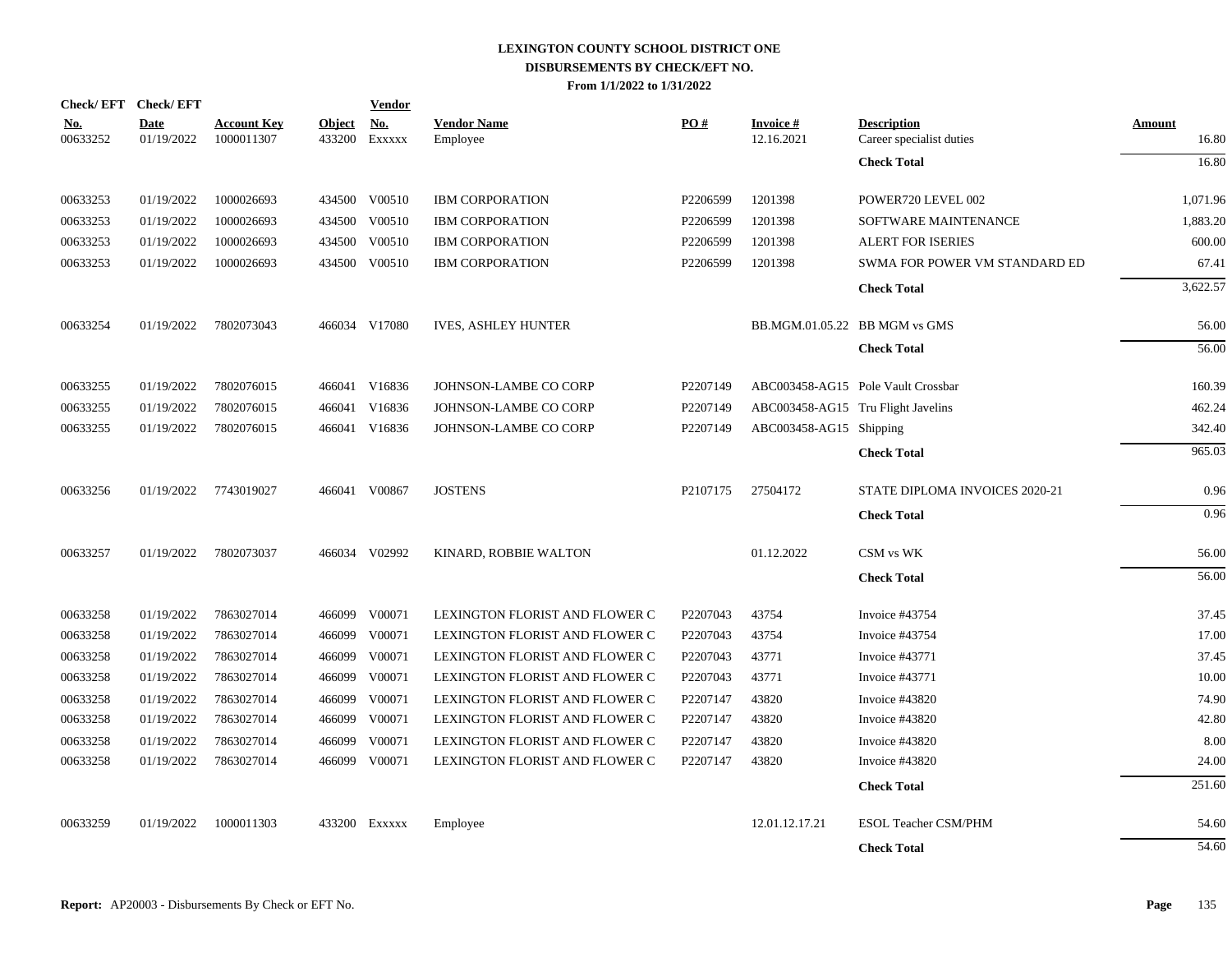|                 | Check/EFT Check/EFT       |                                  |                         | <b>Vendor</b>        |                                |                      |                                    |                                                |                        |
|-----------------|---------------------------|----------------------------------|-------------------------|----------------------|--------------------------------|----------------------|------------------------------------|------------------------------------------------|------------------------|
| No.<br>00633252 | <b>Date</b><br>01/19/2022 | <b>Account Key</b><br>1000011307 | <b>Object</b><br>433200 | <b>No.</b><br>Exxxxx | <b>Vendor Name</b><br>Employee | PO#                  | <b>Invoice</b> $#$<br>12.16.2021   | <b>Description</b><br>Career specialist duties | <b>Amount</b><br>16.80 |
|                 |                           |                                  |                         |                      |                                |                      |                                    | <b>Check Total</b>                             | 16.80                  |
| 00633253        | 01/19/2022                | 1000026693                       |                         | 434500 V00510        | <b>IBM CORPORATION</b>         | P2206599             | 1201398                            | POWER720 LEVEL 002                             | 1,071.96               |
| 00633253        | 01/19/2022                | 1000026693                       | 434500                  | V00510               | <b>IBM CORPORATION</b>         | P2206599             | 1201398                            | SOFTWARE MAINTENANCE                           | 1,883.20               |
| 00633253        | 01/19/2022                | 1000026693                       | 434500                  | V00510               | <b>IBM CORPORATION</b>         | P2206599             | 1201398                            | <b>ALERT FOR ISERIES</b>                       | 600.00                 |
| 00633253        | 01/19/2022                | 1000026693                       | 434500                  | V00510               | <b>IBM CORPORATION</b>         | P2206599             | 1201398                            | SWMA FOR POWER VM STANDARD ED                  | 67.41                  |
|                 |                           |                                  |                         |                      |                                |                      |                                    | <b>Check Total</b>                             | 3,622.57               |
| 00633254        | 01/19/2022                | 7802073043                       |                         | 466034 V17080        | <b>IVES, ASHLEY HUNTER</b>     |                      |                                    | BB.MGM.01.05.22 BB MGM vs GMS                  | 56.00                  |
|                 |                           |                                  |                         |                      |                                |                      |                                    | <b>Check Total</b>                             | 56.00                  |
| 00633255        | 01/19/2022                | 7802076015                       | 466041                  | V16836               | JOHNSON-LAMBE CO CORP          | P2207149             |                                    | ABC003458-AG15 Pole Vault Crossbar             | 160.39                 |
| 00633255        | 01/19/2022                | 7802076015                       | 466041                  | V16836               | JOHNSON-LAMBE CO CORP          | P2207149             | ABC003458-AG15 Tru Flight Javelins |                                                | 462.24                 |
| 00633255        | 01/19/2022                | 7802076015                       |                         | 466041 V16836        | JOHNSON-LAMBE CO CORP          | P2207149             | ABC003458-AG15 Shipping            |                                                | 342.40                 |
|                 |                           |                                  |                         |                      |                                |                      |                                    | <b>Check Total</b>                             | 965.03                 |
| 00633256        | 01/19/2022                | 7743019027                       |                         | 466041 V00867        | <b>JOSTENS</b>                 | P <sub>2107175</sub> | 27504172                           | STATE DIPLOMA INVOICES 2020-21                 | 0.96                   |
|                 |                           |                                  |                         |                      |                                |                      |                                    | <b>Check Total</b>                             | 0.96                   |
| 00633257        | 01/19/2022                | 7802073037                       |                         | 466034 V02992        | KINARD, ROBBIE WALTON          |                      | 01.12.2022                         | CSM vs WK                                      | 56.00                  |
|                 |                           |                                  |                         |                      |                                |                      |                                    | <b>Check Total</b>                             | 56.00                  |
| 00633258        | 01/19/2022                | 7863027014                       | 466099                  | V00071               | LEXINGTON FLORIST AND FLOWER C | P2207043             | 43754                              | Invoice #43754                                 | 37.45                  |
| 00633258        | 01/19/2022                | 7863027014                       | 466099                  | V00071               | LEXINGTON FLORIST AND FLOWER C | P2207043             | 43754                              | Invoice #43754                                 | 17.00                  |
| 00633258        | 01/19/2022                | 7863027014                       | 466099                  | V00071               | LEXINGTON FLORIST AND FLOWER C | P2207043             | 43771                              | Invoice #43771                                 | 37.45                  |
| 00633258        | 01/19/2022                | 7863027014                       | 466099                  | V00071               | LEXINGTON FLORIST AND FLOWER C | P2207043             | 43771                              | Invoice #43771                                 | 10.00                  |
| 00633258        | 01/19/2022                | 7863027014                       | 466099                  | V00071               | LEXINGTON FLORIST AND FLOWER C | P2207147             | 43820                              | Invoice #43820                                 | 74.90                  |
| 00633258        | 01/19/2022                | 7863027014                       | 466099                  | V00071               | LEXINGTON FLORIST AND FLOWER C | P2207147             | 43820                              | Invoice #43820                                 | 42.80                  |
| 00633258        | 01/19/2022                | 7863027014                       | 466099                  | V00071               | LEXINGTON FLORIST AND FLOWER C | P2207147             | 43820                              | Invoice #43820                                 | 8.00                   |
| 00633258        | 01/19/2022                | 7863027014                       |                         | 466099 V00071        | LEXINGTON FLORIST AND FLOWER C | P2207147             | 43820                              | Invoice #43820                                 | 24.00                  |
|                 |                           |                                  |                         |                      |                                |                      |                                    | <b>Check Total</b>                             | 251.60                 |
| 00633259        | 01/19/2022                | 1000011303                       |                         | 433200 Exxxxx        | Employee                       |                      | 12.01.12.17.21                     | <b>ESOL Teacher CSM/PHM</b>                    | 54.60                  |
|                 |                           |                                  |                         |                      |                                |                      |                                    | <b>Check Total</b>                             | 54.60                  |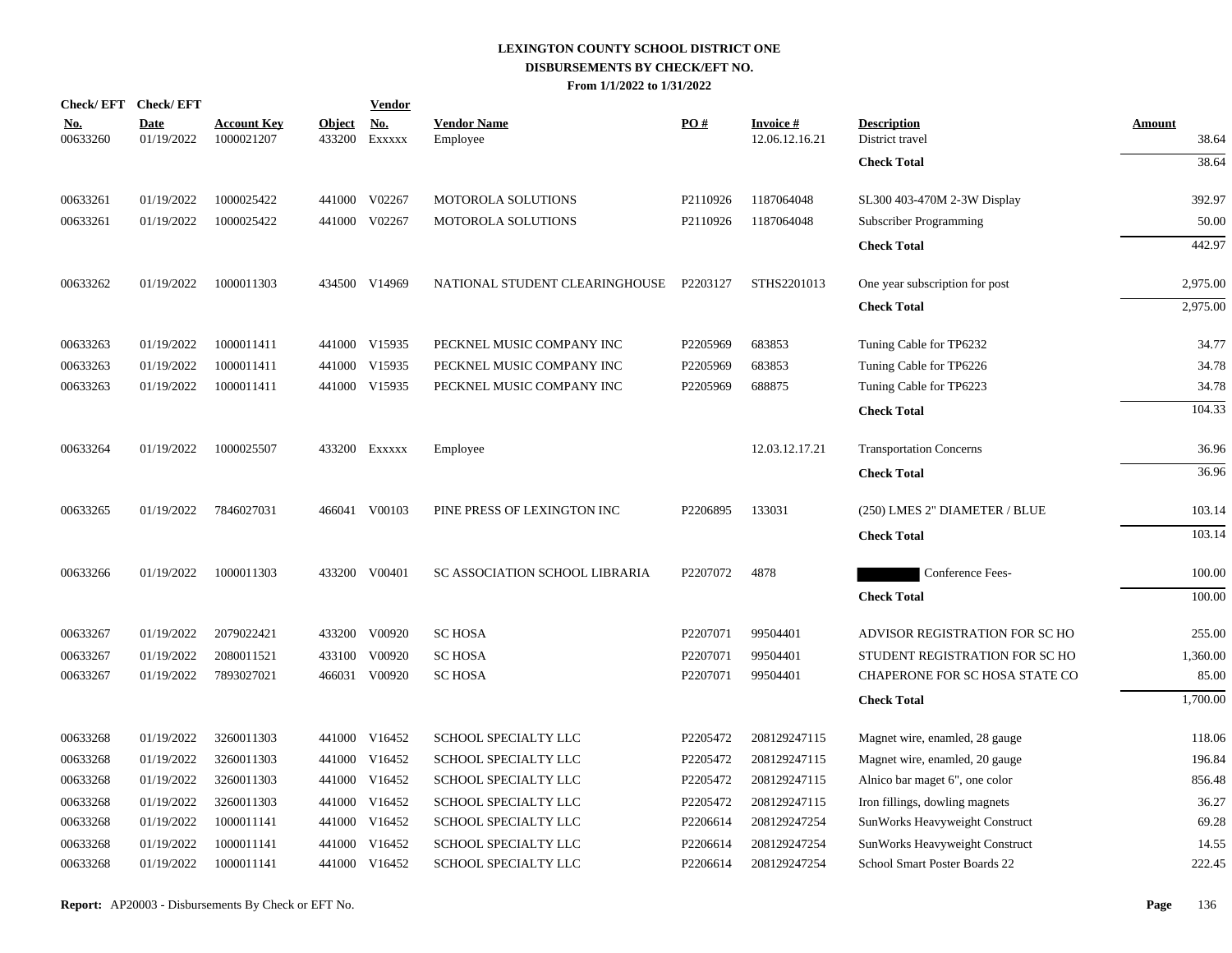|                        | Check/EFT Check/EFT       |                                  |                         | <b>Vendor</b>        |                                |                      |                                   |                                       |                        |
|------------------------|---------------------------|----------------------------------|-------------------------|----------------------|--------------------------------|----------------------|-----------------------------------|---------------------------------------|------------------------|
| <u>No.</u><br>00633260 | <b>Date</b><br>01/19/2022 | <b>Account Key</b><br>1000021207 | <b>Object</b><br>433200 | <u>No.</u><br>EXXXXX | <b>Vendor Name</b><br>Employee | PO#                  | <b>Invoice#</b><br>12.06.12.16.21 | <b>Description</b><br>District travel | <b>Amount</b><br>38.64 |
|                        |                           |                                  |                         |                      |                                |                      |                                   | <b>Check Total</b>                    | 38.64                  |
| 00633261               | 01/19/2022                | 1000025422                       |                         | 441000 V02267        | <b>MOTOROLA SOLUTIONS</b>      | P2110926             | 1187064048                        | SL300 403-470M 2-3W Display           | 392.97                 |
| 00633261               | 01/19/2022                | 1000025422                       |                         | 441000 V02267        | <b>MOTOROLA SOLUTIONS</b>      | P2110926             | 1187064048                        | <b>Subscriber Programming</b>         | 50.00                  |
|                        |                           |                                  |                         |                      |                                |                      |                                   | <b>Check Total</b>                    | 442.97                 |
| 00633262               | 01/19/2022                | 1000011303                       |                         | 434500 V14969        | NATIONAL STUDENT CLEARINGHOUSE | P2203127             | STHS2201013                       | One year subscription for post        | 2,975.00               |
|                        |                           |                                  |                         |                      |                                |                      |                                   | <b>Check Total</b>                    | 2,975.00               |
| 00633263               | 01/19/2022                | 1000011411                       |                         | 441000 V15935        | PECKNEL MUSIC COMPANY INC      | P2205969             | 683853                            | Tuning Cable for TP6232               | 34.77                  |
| 00633263               | 01/19/2022                | 1000011411                       |                         | 441000 V15935        | PECKNEL MUSIC COMPANY INC      | P2205969             | 683853                            | Tuning Cable for TP6226               | 34.78                  |
| 00633263               | 01/19/2022                | 1000011411                       |                         | 441000 V15935        | PECKNEL MUSIC COMPANY INC      | P2205969             | 688875                            | Tuning Cable for TP6223               | 34.78                  |
|                        |                           |                                  |                         |                      |                                |                      |                                   | <b>Check Total</b>                    | 104.33                 |
| 00633264               | 01/19/2022                | 1000025507                       |                         | 433200 EXXXXX        | Employee                       |                      | 12.03.12.17.21                    | <b>Transportation Concerns</b>        | 36.96                  |
|                        |                           |                                  |                         |                      |                                |                      |                                   | <b>Check Total</b>                    | 36.96                  |
| 00633265               | 01/19/2022                | 7846027031                       |                         | 466041 V00103        | PINE PRESS OF LEXINGTON INC    | P2206895             | 133031                            | (250) LMES 2" DIAMETER / BLUE         | 103.14                 |
|                        |                           |                                  |                         |                      |                                |                      |                                   | <b>Check Total</b>                    | 103.14                 |
| 00633266               | 01/19/2022                | 1000011303                       |                         | 433200 V00401        | SC ASSOCIATION SCHOOL LIBRARIA | P <sub>2207072</sub> | 4878                              | Conference Fees-                      | 100.00                 |
|                        |                           |                                  |                         |                      |                                |                      |                                   | <b>Check Total</b>                    | 100.00                 |
| 00633267               | 01/19/2022                | 2079022421                       |                         | 433200 V00920        | <b>SC HOSA</b>                 | P2207071             | 99504401                          | ADVISOR REGISTRATION FOR SC HO        | 255.00                 |
| 00633267               | 01/19/2022                | 2080011521                       | 433100                  | V00920               | <b>SCHOSA</b>                  | P2207071             | 99504401                          | STUDENT REGISTRATION FOR SC HO        | 1,360.00               |
| 00633267               | 01/19/2022                | 7893027021                       |                         | 466031 V00920        | <b>SCHOSA</b>                  | P2207071             | 99504401                          | CHAPERONE FOR SC HOSA STATE CO        | 85.00                  |
|                        |                           |                                  |                         |                      |                                |                      |                                   | <b>Check Total</b>                    | 1,700.00               |
| 00633268               | 01/19/2022                | 3260011303                       |                         | 441000 V16452        | SCHOOL SPECIALTY LLC           | P2205472             | 208129247115                      | Magnet wire, enamled, 28 gauge        | 118.06                 |
| 00633268               | 01/19/2022                | 3260011303                       |                         | 441000 V16452        | SCHOOL SPECIALTY LLC           | P2205472             | 208129247115                      | Magnet wire, enamled, 20 gauge        | 196.84                 |
| 00633268               | 01/19/2022                | 3260011303                       |                         | 441000 V16452        | SCHOOL SPECIALTY LLC           | P2205472             | 208129247115                      | Alnico bar maget 6", one color        | 856.48                 |
| 00633268               | 01/19/2022                | 3260011303                       |                         | 441000 V16452        | SCHOOL SPECIALTY LLC           | P2205472             | 208129247115                      | Iron fillings, dowling magnets        | 36.27                  |
| 00633268               | 01/19/2022                | 1000011141                       |                         | 441000 V16452        | SCHOOL SPECIALTY LLC           | P2206614             | 208129247254                      | SunWorks Heavyweight Construct        | 69.28                  |
| 00633268               | 01/19/2022                | 1000011141                       | 441000                  | V16452               | SCHOOL SPECIALTY LLC           | P2206614             | 208129247254                      | SunWorks Heavyweight Construct        | 14.55                  |
| 00633268               | 01/19/2022                | 1000011141                       |                         | 441000 V16452        | SCHOOL SPECIALTY LLC           | P2206614             | 208129247254                      | School Smart Poster Boards 22         | 222.45                 |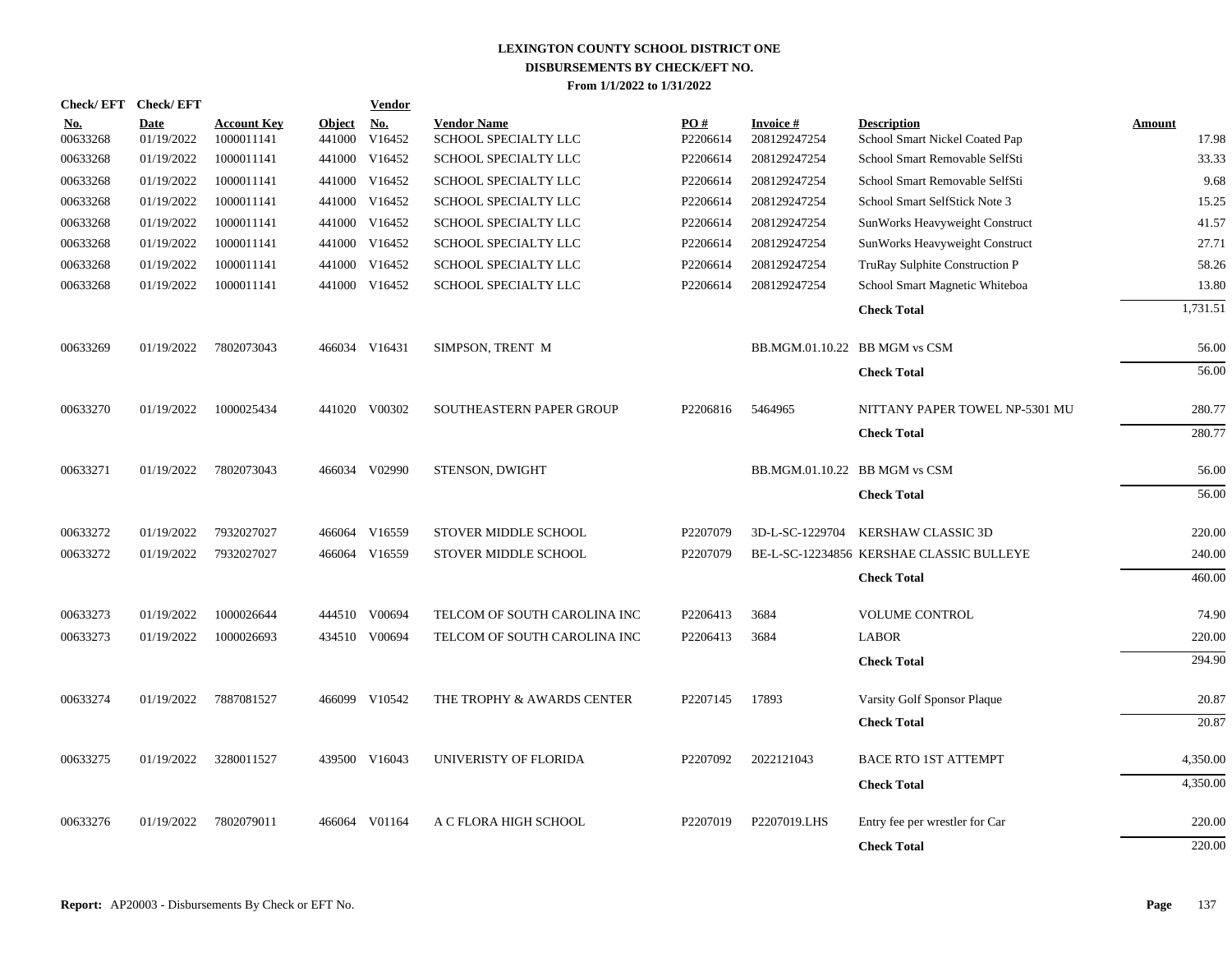| Check/EFT Check/EFT    |                           |                                  |                         | <b>Vendor</b>        |                                            |                      |                                 |                                                      |                        |
|------------------------|---------------------------|----------------------------------|-------------------------|----------------------|--------------------------------------------|----------------------|---------------------------------|------------------------------------------------------|------------------------|
| <u>No.</u><br>00633268 | <b>Date</b><br>01/19/2022 | <b>Account Key</b><br>1000011141 | <b>Object</b><br>441000 | <u>No.</u><br>V16452 | <b>Vendor Name</b><br>SCHOOL SPECIALTY LLC | PO#<br>P2206614      | <b>Invoice#</b><br>208129247254 | <b>Description</b><br>School Smart Nickel Coated Pap | <b>Amount</b><br>17.98 |
| 00633268               | 01/19/2022                | 1000011141                       | 441000                  | V16452               | SCHOOL SPECIALTY LLC                       | P2206614             | 208129247254                    | School Smart Removable SelfSti                       | 33.33                  |
| 00633268               | 01/19/2022                | 1000011141                       | 441000                  | V16452               | SCHOOL SPECIALTY LLC                       | P2206614             | 208129247254                    | School Smart Removable SelfSti                       | 9.68                   |
| 00633268               | 01/19/2022                | 1000011141                       | 441000                  | V16452               | SCHOOL SPECIALTY LLC                       | P2206614             | 208129247254                    | School Smart SelfStick Note 3                        | 15.25                  |
| 00633268               | 01/19/2022                | 1000011141                       | 441000                  | V16452               | <b>SCHOOL SPECIALTY LLC</b>                | P2206614             | 208129247254                    | SunWorks Heavyweight Construct                       | 41.57                  |
| 00633268               | 01/19/2022                | 1000011141                       | 441000                  | V16452               | SCHOOL SPECIALTY LLC                       | P2206614             | 208129247254                    | SunWorks Heavyweight Construct                       | 27.71                  |
| 00633268               | 01/19/2022                | 1000011141                       | 441000                  | V16452               | SCHOOL SPECIALTY LLC                       | P2206614             | 208129247254                    | TruRay Sulphite Construction P                       | 58.26                  |
| 00633268               | 01/19/2022                | 1000011141                       |                         | 441000 V16452        | SCHOOL SPECIALTY LLC                       | P2206614             | 208129247254                    | School Smart Magnetic Whiteboa                       | 13.80                  |
|                        |                           |                                  |                         |                      |                                            |                      |                                 | <b>Check Total</b>                                   | 1,731.51               |
| 00633269               | 01/19/2022                | 7802073043                       |                         | 466034 V16431        | SIMPSON, TRENT M                           |                      | BB.MGM.01.10.22 BB MGM vs CSM   |                                                      | 56.00                  |
|                        |                           |                                  |                         |                      |                                            |                      |                                 | <b>Check Total</b>                                   | 56.00                  |
| 00633270               | 01/19/2022                | 1000025434                       |                         | 441020 V00302        | SOUTHEASTERN PAPER GROUP                   | P2206816             | 5464965                         | NITTANY PAPER TOWEL NP-5301 MU                       | 280.77                 |
|                        |                           |                                  |                         |                      |                                            |                      |                                 | <b>Check Total</b>                                   | 280.77                 |
| 00633271               | 01/19/2022                | 7802073043                       |                         | 466034 V02990        | STENSON, DWIGHT                            |                      | BB.MGM.01.10.22 BB MGM vs CSM   |                                                      | 56.00                  |
|                        |                           |                                  |                         |                      |                                            |                      |                                 | <b>Check Total</b>                                   | 56.00                  |
| 00633272               | 01/19/2022                | 7932027027                       |                         | 466064 V16559        | STOVER MIDDLE SCHOOL                       | P2207079             | 3D-L-SC-1229704                 | KERSHAW CLASSIC 3D                                   | 220.00                 |
| 00633272               | 01/19/2022                | 7932027027                       |                         | 466064 V16559        | STOVER MIDDLE SCHOOL                       | P2207079             |                                 | BE-L-SC-12234856 KERSHAE CLASSIC BULLEYE             | 240.00                 |
|                        |                           |                                  |                         |                      |                                            |                      |                                 | <b>Check Total</b>                                   | 460.00                 |
| 00633273               | 01/19/2022                | 1000026644                       |                         | 444510 V00694        | TELCOM OF SOUTH CAROLINA INC               | P2206413             | 3684                            | <b>VOLUME CONTROL</b>                                | 74.90                  |
| 00633273               | 01/19/2022                | 1000026693                       |                         | 434510 V00694        | TELCOM OF SOUTH CAROLINA INC               | P2206413             | 3684                            | <b>LABOR</b>                                         | 220.00                 |
|                        |                           |                                  |                         |                      |                                            |                      |                                 | <b>Check Total</b>                                   | 294.90                 |
| 00633274               | 01/19/2022                | 7887081527                       |                         | 466099 V10542        | THE TROPHY & AWARDS CENTER                 | P2207145             | 17893                           | Varsity Golf Sponsor Plaque                          | 20.87                  |
|                        |                           |                                  |                         |                      |                                            |                      |                                 | <b>Check Total</b>                                   | 20.87                  |
| 00633275               | 01/19/2022                | 3280011527                       |                         | 439500 V16043        | UNIVERISTY OF FLORIDA                      | P <sub>2207092</sub> | 2022121043                      | <b>BACE RTO 1ST ATTEMPT</b>                          | 4,350.00               |
|                        |                           |                                  |                         |                      |                                            |                      |                                 | <b>Check Total</b>                                   | 4,350.00               |
| 00633276               | 01/19/2022                | 7802079011                       | 466064                  | V01164               | A C FLORA HIGH SCHOOL                      | P2207019             | P2207019.LHS                    | Entry fee per wrestler for Car                       | 220.00                 |
|                        |                           |                                  |                         |                      |                                            |                      |                                 | <b>Check Total</b>                                   | 220.00                 |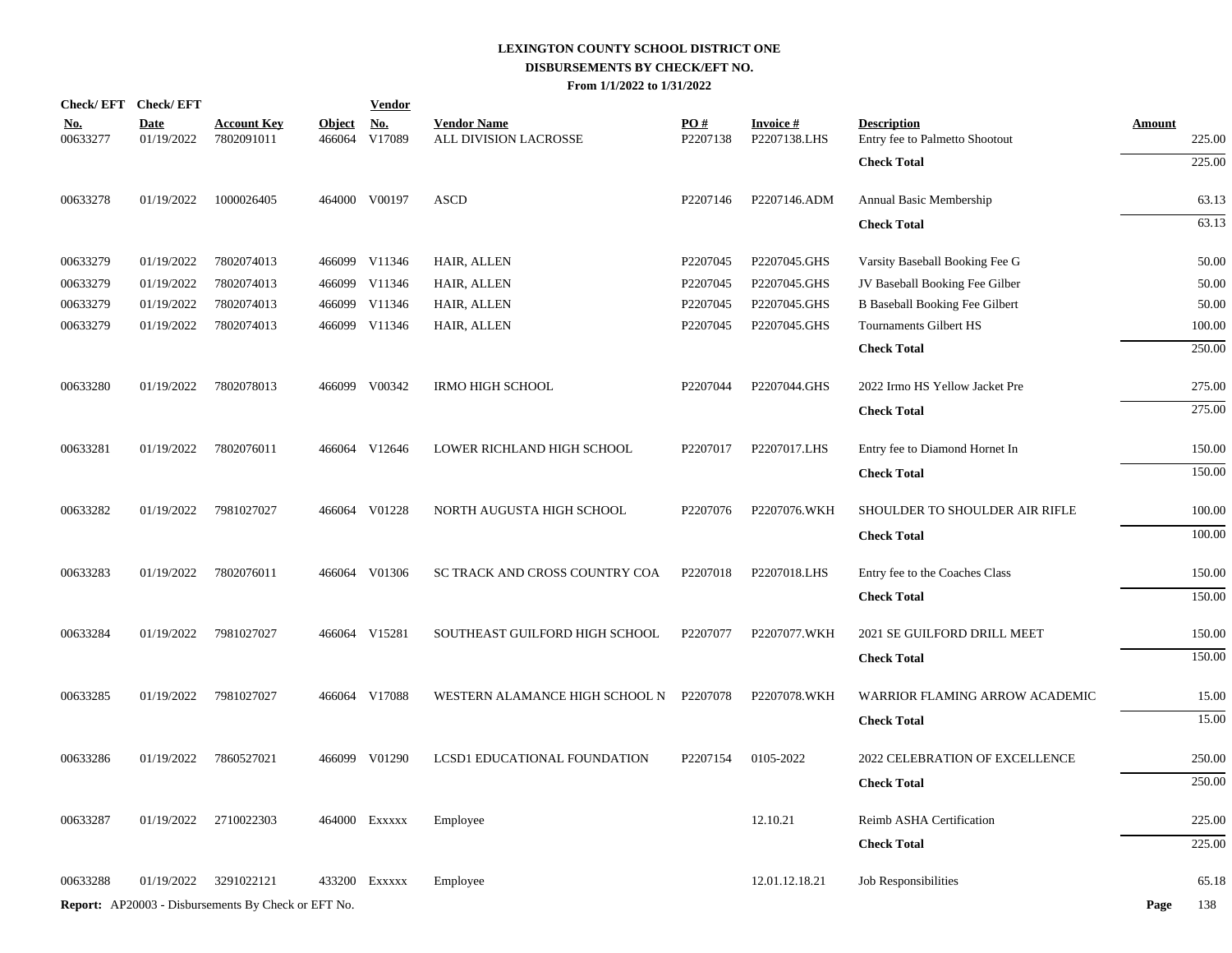|                        | Check/EFT Check/EFT       |                                                            |                         | <b>Vendor</b>        |                                             |                 |                                 |                                                      |                         |
|------------------------|---------------------------|------------------------------------------------------------|-------------------------|----------------------|---------------------------------------------|-----------------|---------------------------------|------------------------------------------------------|-------------------------|
| <u>No.</u><br>00633277 | <b>Date</b><br>01/19/2022 | <b>Account Key</b><br>7802091011                           | <b>Object</b><br>466064 | <u>No.</u><br>V17089 | <b>Vendor Name</b><br>ALL DIVISION LACROSSE | PO#<br>P2207138 | <b>Invoice#</b><br>P2207138.LHS | <b>Description</b><br>Entry fee to Palmetto Shootout | <b>Amount</b><br>225.00 |
|                        |                           |                                                            |                         |                      |                                             |                 |                                 | <b>Check Total</b>                                   | 225.00                  |
| 00633278               | 01/19/2022                | 1000026405                                                 |                         | 464000 V00197        | <b>ASCD</b>                                 | P2207146        | P2207146.ADM                    | Annual Basic Membership                              | 63.13                   |
|                        |                           |                                                            |                         |                      |                                             |                 |                                 | <b>Check Total</b>                                   | 63.13                   |
| 00633279               | 01/19/2022                | 7802074013                                                 |                         | 466099 V11346        | HAIR, ALLEN                                 | P2207045        | P2207045.GHS                    | Varsity Baseball Booking Fee G                       | 50.00                   |
| 00633279               | 01/19/2022                | 7802074013                                                 | 466099                  | V11346               | HAIR, ALLEN                                 | P2207045        | P2207045.GHS                    | JV Baseball Booking Fee Gilber                       | 50.00                   |
| 00633279               | 01/19/2022                | 7802074013                                                 |                         | 466099 V11346        | HAIR, ALLEN                                 | P2207045        | P2207045.GHS                    | <b>B</b> Baseball Booking Fee Gilbert                | 50.00                   |
| 00633279               | 01/19/2022                | 7802074013                                                 |                         | 466099 V11346        | HAIR, ALLEN                                 | P2207045        | P2207045.GHS                    | Tournaments Gilbert HS                               | 100.00                  |
|                        |                           |                                                            |                         |                      |                                             |                 |                                 | <b>Check Total</b>                                   | 250.00                  |
| 00633280               | 01/19/2022                | 7802078013                                                 |                         | 466099 V00342        | <b>IRMO HIGH SCHOOL</b>                     | P2207044        | P2207044.GHS                    | 2022 Irmo HS Yellow Jacket Pre                       | 275.00                  |
|                        |                           |                                                            |                         |                      |                                             |                 |                                 | <b>Check Total</b>                                   | 275.00                  |
| 00633281               | 01/19/2022                | 7802076011                                                 |                         | 466064 V12646        | LOWER RICHLAND HIGH SCHOOL                  | P2207017        | P2207017.LHS                    | Entry fee to Diamond Hornet In                       | 150.00                  |
|                        |                           |                                                            |                         |                      |                                             |                 |                                 | <b>Check Total</b>                                   | 150.00                  |
| 00633282               | 01/19/2022                | 7981027027                                                 |                         | 466064 V01228        | NORTH AUGUSTA HIGH SCHOOL                   | P2207076        | P2207076.WKH                    | SHOULDER TO SHOULDER AIR RIFLE                       | 100.00                  |
|                        |                           |                                                            |                         |                      |                                             |                 |                                 | <b>Check Total</b>                                   | 100.00                  |
| 00633283               | 01/19/2022                | 7802076011                                                 |                         | 466064 V01306        | SC TRACK AND CROSS COUNTRY COA              | P2207018        | P2207018.LHS                    | Entry fee to the Coaches Class                       | 150.00                  |
|                        |                           |                                                            |                         |                      |                                             |                 |                                 | <b>Check Total</b>                                   | 150.00                  |
| 00633284               | 01/19/2022                | 7981027027                                                 |                         | 466064 V15281        | SOUTHEAST GUILFORD HIGH SCHOOL              | P2207077        | P2207077.WKH                    | 2021 SE GUILFORD DRILL MEET                          | 150.00                  |
|                        |                           |                                                            |                         |                      |                                             |                 |                                 | <b>Check Total</b>                                   | 150.00                  |
| 00633285               | 01/19/2022                | 7981027027                                                 |                         | 466064 V17088        | WESTERN ALAMANCE HIGH SCHOOL N              | P2207078        | P2207078.WKH                    | WARRIOR FLAMING ARROW ACADEMIC                       | 15.00                   |
|                        |                           |                                                            |                         |                      |                                             |                 |                                 | <b>Check Total</b>                                   | 15.00                   |
| 00633286               | 01/19/2022                | 7860527021                                                 |                         | 466099 V01290        | LCSD1 EDUCATIONAL FOUNDATION                | P2207154        | 0105-2022                       | 2022 CELEBRATION OF EXCELLENCE                       | 250.00                  |
|                        |                           |                                                            |                         |                      |                                             |                 |                                 | <b>Check Total</b>                                   | 250.00                  |
| 00633287               | 01/19/2022                | 2710022303                                                 |                         | 464000 Exxxxx        | Employee                                    |                 | 12.10.21                        | Reimb ASHA Certification                             | 225.00                  |
|                        |                           |                                                            |                         |                      |                                             |                 |                                 | <b>Check Total</b>                                   | 225.00                  |
| 00633288               | 01/19/2022                | 3291022121                                                 | 433200                  | Exxxxx               | Employee                                    |                 | 12.01.12.18.21                  | Job Responsibilities                                 | 65.18                   |
|                        |                           | <b>Report:</b> AP20003 - Disbursements By Check or EFT No. |                         |                      |                                             |                 |                                 |                                                      | Page<br>138             |
|                        |                           |                                                            |                         |                      |                                             |                 |                                 |                                                      |                         |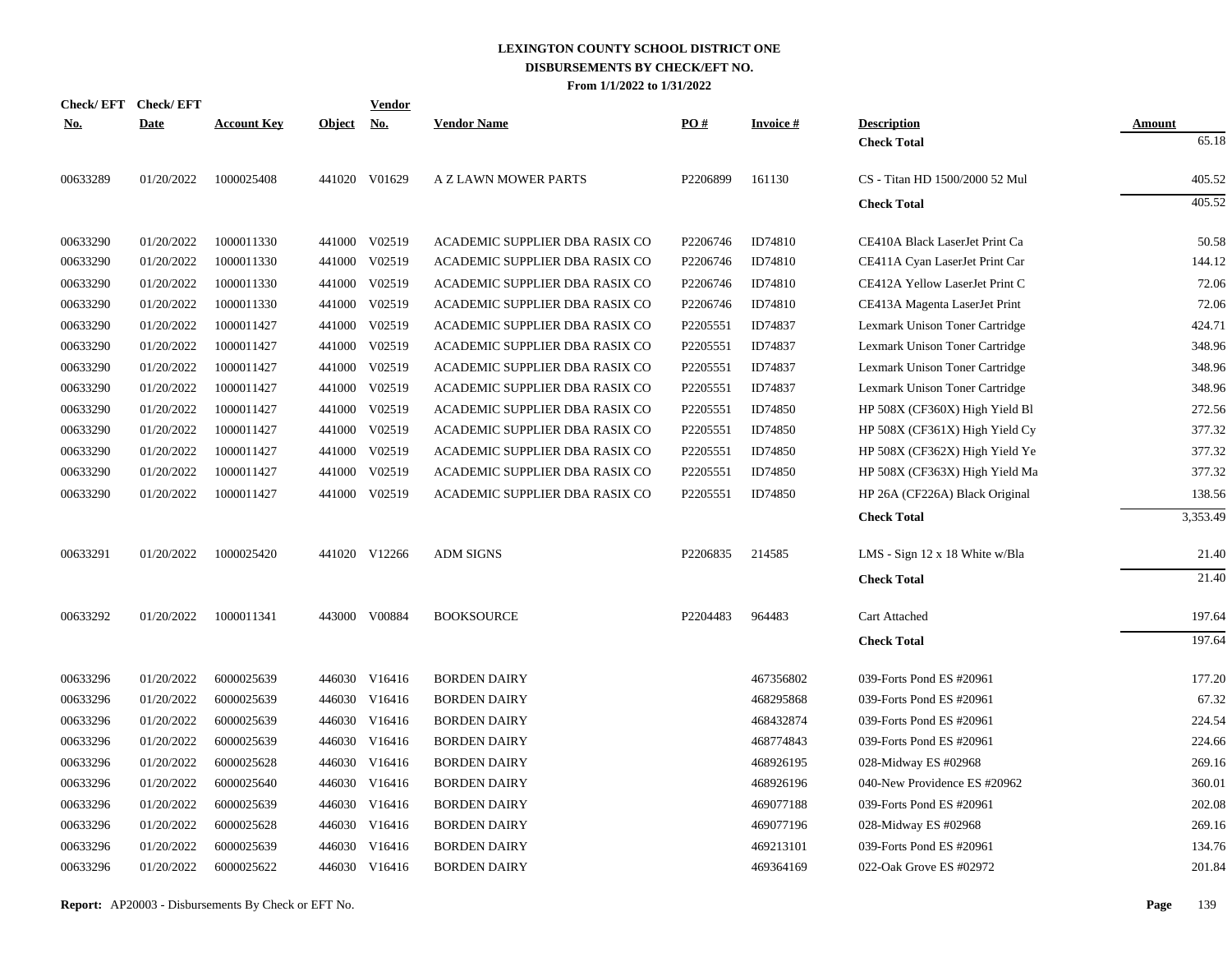| <b>Check/EFT</b> | <b>Check/EFT</b> |                    |               | <b>Vendor</b> |                                |          |                 |                                       |               |
|------------------|------------------|--------------------|---------------|---------------|--------------------------------|----------|-----------------|---------------------------------------|---------------|
| <u>No.</u>       | <b>Date</b>      | <b>Account Key</b> | <b>Object</b> | <u>No.</u>    | <b>Vendor Name</b>             | PO#      | <b>Invoice#</b> | <b>Description</b>                    | <b>Amount</b> |
|                  |                  |                    |               |               |                                |          |                 | <b>Check Total</b>                    | 65.18         |
| 00633289         | 01/20/2022       | 1000025408         |               | 441020 V01629 | A Z LAWN MOWER PARTS           | P2206899 | 161130          | CS - Titan HD 1500/2000 52 Mul        | 405.52        |
|                  |                  |                    |               |               |                                |          |                 | <b>Check Total</b>                    | 405.52        |
| 00633290         | 01/20/2022       | 1000011330         |               | 441000 V02519 | ACADEMIC SUPPLIER DBA RASIX CO | P2206746 | ID74810         | CE410A Black LaserJet Print Ca        | 50.58         |
| 00633290         | 01/20/2022       | 1000011330         | 441000        | V02519        | ACADEMIC SUPPLIER DBA RASIX CO | P2206746 | ID74810         | CE411A Cyan LaserJet Print Car        | 144.12        |
| 00633290         | 01/20/2022       | 1000011330         | 441000        | V02519        | ACADEMIC SUPPLIER DBA RASIX CO | P2206746 | ID74810         | CE412A Yellow LaserJet Print C        | 72.06         |
| 00633290         | 01/20/2022       | 1000011330         | 441000        | V02519        | ACADEMIC SUPPLIER DBA RASIX CO | P2206746 | ID74810         | CE413A Magenta LaserJet Print         | 72.06         |
| 00633290         | 01/20/2022       | 1000011427         | 441000        | V02519        | ACADEMIC SUPPLIER DBA RASIX CO | P2205551 | ID74837         | Lexmark Unison Toner Cartridge        | 424.71        |
| 00633290         | 01/20/2022       | 1000011427         |               | 441000 V02519 | ACADEMIC SUPPLIER DBA RASIX CO | P2205551 | ID74837         | Lexmark Unison Toner Cartridge        | 348.96        |
| 00633290         | 01/20/2022       | 1000011427         |               | 441000 V02519 | ACADEMIC SUPPLIER DBA RASIX CO | P2205551 | ID74837         | Lexmark Unison Toner Cartridge        | 348.96        |
| 00633290         | 01/20/2022       | 1000011427         |               | 441000 V02519 | ACADEMIC SUPPLIER DBA RASIX CO | P2205551 | ID74837         | Lexmark Unison Toner Cartridge        | 348.96        |
| 00633290         | 01/20/2022       | 1000011427         | 441000        | V02519        | ACADEMIC SUPPLIER DBA RASIX CO | P2205551 | ID74850         | HP 508X (CF360X) High Yield Bl        | 272.56        |
| 00633290         | 01/20/2022       | 1000011427         | 441000        | V02519        | ACADEMIC SUPPLIER DBA RASIX CO | P2205551 | ID74850         | HP 508X (CF361X) High Yield Cy        | 377.32        |
| 00633290         | 01/20/2022       | 1000011427         | 441000        | V02519        | ACADEMIC SUPPLIER DBA RASIX CO | P2205551 | ID74850         | HP 508X (CF362X) High Yield Ye        | 377.32        |
| 00633290         | 01/20/2022       | 1000011427         | 441000        | V02519        | ACADEMIC SUPPLIER DBA RASIX CO | P2205551 | ID74850         | HP 508X (CF363X) High Yield Ma        | 377.32        |
| 00633290         | 01/20/2022       | 1000011427         | 441000        | V02519        | ACADEMIC SUPPLIER DBA RASIX CO | P2205551 | ID74850         | HP 26A (CF226A) Black Original        | 138.56        |
|                  |                  |                    |               |               |                                |          |                 | <b>Check Total</b>                    | 3,353.49      |
| 00633291         | 01/20/2022       | 1000025420         |               | 441020 V12266 | <b>ADM SIGNS</b>               | P2206835 | 214585          | LMS - Sign $12 \times 18$ White w/Bla | 21.40         |
|                  |                  |                    |               |               |                                |          |                 | <b>Check Total</b>                    | 21.40         |
| 00633292         | 01/20/2022       | 1000011341         |               | 443000 V00884 | <b>BOOKSOURCE</b>              | P2204483 | 964483          | Cart Attached                         | 197.64        |
|                  |                  |                    |               |               |                                |          |                 | <b>Check Total</b>                    | 197.64        |
| 00633296         | 01/20/2022       | 6000025639         |               | 446030 V16416 | <b>BORDEN DAIRY</b>            |          | 467356802       | 039-Forts Pond ES #20961              | 177.20        |
| 00633296         | 01/20/2022       | 6000025639         |               | 446030 V16416 | <b>BORDEN DAIRY</b>            |          | 468295868       | 039-Forts Pond ES #20961              | 67.32         |
| 00633296         | 01/20/2022       | 6000025639         |               | 446030 V16416 | <b>BORDEN DAIRY</b>            |          | 468432874       | 039-Forts Pond ES #20961              | 224.54        |
| 00633296         | 01/20/2022       | 6000025639         |               | 446030 V16416 | <b>BORDEN DAIRY</b>            |          | 468774843       | 039-Forts Pond ES #20961              | 224.66        |
| 00633296         | 01/20/2022       | 6000025628         |               | 446030 V16416 | <b>BORDEN DAIRY</b>            |          | 468926195       | 028-Midway ES #02968                  | 269.16        |
| 00633296         | 01/20/2022       | 6000025640         |               | 446030 V16416 | <b>BORDEN DAIRY</b>            |          | 468926196       | 040-New Providence ES #20962          | 360.01        |
| 00633296         | 01/20/2022       | 6000025639         | 446030        | V16416        | <b>BORDEN DAIRY</b>            |          | 469077188       | 039-Forts Pond ES #20961              | 202.08        |
| 00633296         | 01/20/2022       | 6000025628         |               | 446030 V16416 | <b>BORDEN DAIRY</b>            |          | 469077196       | 028-Midway ES #02968                  | 269.16        |
| 00633296         | 01/20/2022       | 6000025639         | 446030        | V16416        | <b>BORDEN DAIRY</b>            |          | 469213101       | 039-Forts Pond ES #20961              | 134.76        |
| 00633296         | 01/20/2022       | 6000025622         |               | 446030 V16416 | <b>BORDEN DAIRY</b>            |          | 469364169       | 022-Oak Grove ES #02972               | 201.84        |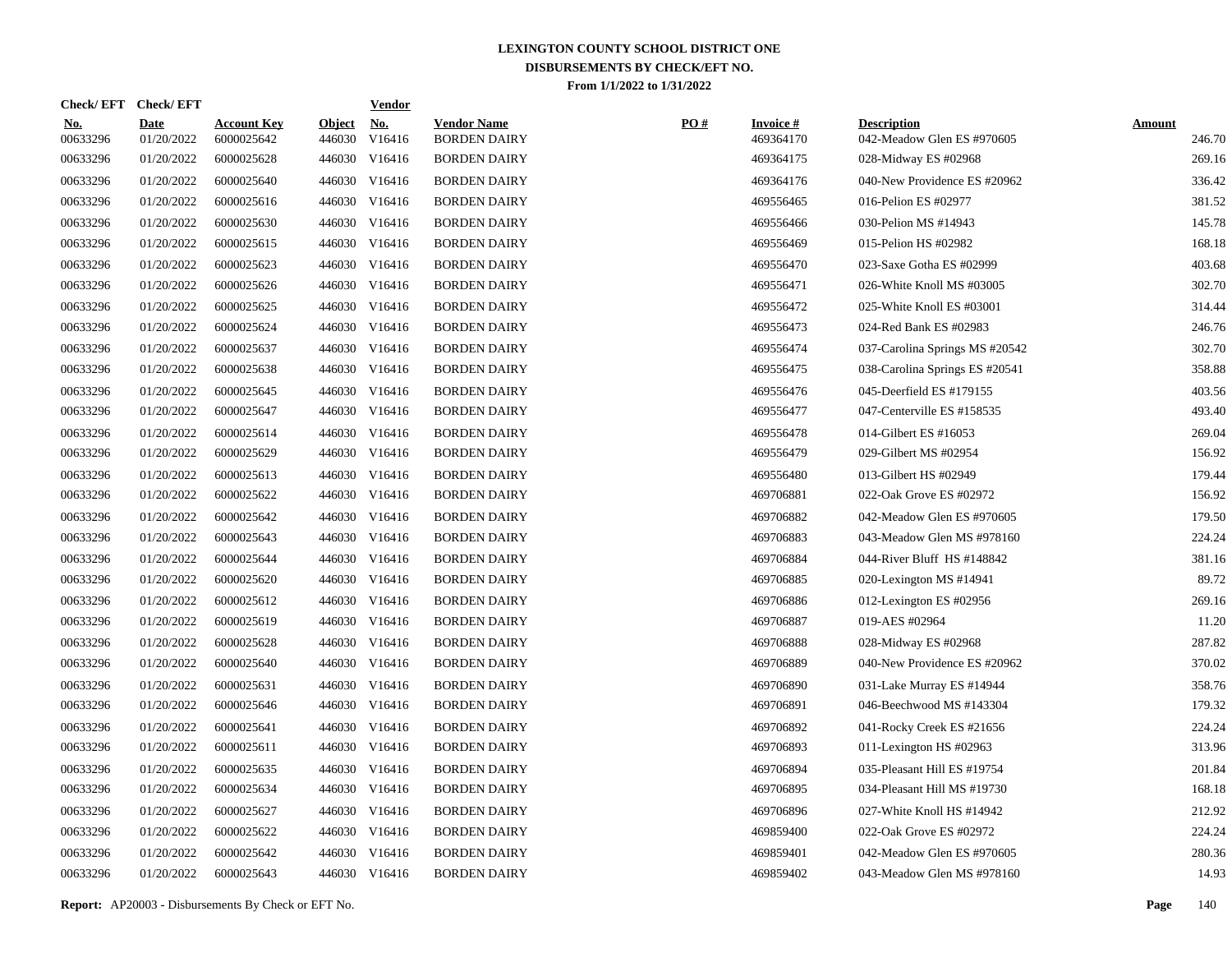| Check/ EFT             | <b>Check/EFT</b>          |                                  |                         | <u>Vendor</u>        |                                           |     |                              |                                                  |                         |
|------------------------|---------------------------|----------------------------------|-------------------------|----------------------|-------------------------------------------|-----|------------------------------|--------------------------------------------------|-------------------------|
| <u>No.</u><br>00633296 | <b>Date</b><br>01/20/2022 | <b>Account Key</b><br>6000025642 | <b>Object</b><br>446030 | <u>No.</u><br>V16416 | <b>Vendor Name</b><br><b>BORDEN DAIRY</b> | PO# | <b>Invoice#</b><br>469364170 | <b>Description</b><br>042-Meadow Glen ES #970605 | <b>Amount</b><br>246.70 |
| 00633296               | 01/20/2022                | 6000025628                       | 446030                  | V16416               | <b>BORDEN DAIRY</b>                       |     | 469364175                    | 028-Midway ES #02968                             | 269.16                  |
| 00633296               | 01/20/2022                | 6000025640                       | 446030                  | V16416               | <b>BORDEN DAIRY</b>                       |     | 469364176                    | 040-New Providence ES #20962                     | 336.42                  |
| 00633296               | 01/20/2022                | 6000025616                       | 446030                  | V16416               | <b>BORDEN DAIRY</b>                       |     | 469556465                    | 016-Pelion ES #02977                             | 381.52                  |
| 00633296               | 01/20/2022                | 6000025630                       | 446030                  | V16416               | <b>BORDEN DAIRY</b>                       |     | 469556466                    | 030-Pelion MS #14943                             | 145.78                  |
| 00633296               | 01/20/2022                | 6000025615                       |                         | 446030 V16416        | <b>BORDEN DAIRY</b>                       |     | 469556469                    | 015-Pelion HS #02982                             | 168.18                  |
| 00633296               | 01/20/2022                | 6000025623                       |                         | 446030 V16416        | <b>BORDEN DAIRY</b>                       |     | 469556470                    | 023-Saxe Gotha ES #02999                         | 403.68                  |
| 00633296               | 01/20/2022                | 6000025626                       |                         | 446030 V16416        | <b>BORDEN DAIRY</b>                       |     | 469556471                    | 026-White Knoll MS #03005                        | 302.70                  |
| 00633296               | 01/20/2022                | 6000025625                       |                         | 446030 V16416        | <b>BORDEN DAIRY</b>                       |     | 469556472                    | 025-White Knoll ES #03001                        | 314.44                  |
| 00633296               | 01/20/2022                | 6000025624                       |                         | 446030 V16416        | <b>BORDEN DAIRY</b>                       |     | 469556473                    | 024-Red Bank ES #02983                           | 246.76                  |
| 00633296               | 01/20/2022                | 6000025637                       |                         | 446030 V16416        | <b>BORDEN DAIRY</b>                       |     | 469556474                    | 037-Carolina Springs MS #20542                   | 302.70                  |
| 00633296               | 01/20/2022                | 6000025638                       |                         | 446030 V16416        | <b>BORDEN DAIRY</b>                       |     | 469556475                    | 038-Carolina Springs ES #20541                   | 358.88                  |
| 00633296               | 01/20/2022                | 6000025645                       |                         | 446030 V16416        | <b>BORDEN DAIRY</b>                       |     | 469556476                    | 045-Deerfield ES #179155                         | 403.56                  |
| 00633296               | 01/20/2022                | 6000025647                       |                         | 446030 V16416        | <b>BORDEN DAIRY</b>                       |     | 469556477                    | 047-Centerville ES #158535                       | 493.40                  |
| 00633296               | 01/20/2022                | 6000025614                       |                         | 446030 V16416        | <b>BORDEN DAIRY</b>                       |     | 469556478                    | 014-Gilbert ES #16053                            | 269.04                  |
| 00633296               | 01/20/2022                | 6000025629                       |                         | 446030 V16416        | <b>BORDEN DAIRY</b>                       |     | 469556479                    | 029-Gilbert MS #02954                            | 156.92                  |
| 00633296               | 01/20/2022                | 6000025613                       |                         | 446030 V16416        | <b>BORDEN DAIRY</b>                       |     | 469556480                    | 013-Gilbert HS #02949                            | 179.44                  |
| 00633296               | 01/20/2022                | 6000025622                       |                         | 446030 V16416        | <b>BORDEN DAIRY</b>                       |     | 469706881                    | 022-Oak Grove ES #02972                          | 156.92                  |
| 00633296               | 01/20/2022                | 6000025642                       |                         | 446030 V16416        | <b>BORDEN DAIRY</b>                       |     | 469706882                    | 042-Meadow Glen ES #970605                       | 179.50                  |
| 00633296               | 01/20/2022                | 6000025643                       |                         | 446030 V16416        | <b>BORDEN DAIRY</b>                       |     | 469706883                    | 043-Meadow Glen MS #978160                       | 224.24                  |
| 00633296               | 01/20/2022                | 6000025644                       |                         | 446030 V16416        | <b>BORDEN DAIRY</b>                       |     | 469706884                    | 044-River Bluff HS #148842                       | 381.16                  |
| 00633296               | 01/20/2022                | 6000025620                       |                         | 446030 V16416        | <b>BORDEN DAIRY</b>                       |     | 469706885                    | 020-Lexington MS #14941                          | 89.72                   |
| 00633296               | 01/20/2022                | 6000025612                       |                         | 446030 V16416        | <b>BORDEN DAIRY</b>                       |     | 469706886                    | 012-Lexington ES #02956                          | 269.16                  |
| 00633296               | 01/20/2022                | 6000025619                       |                         | 446030 V16416        | <b>BORDEN DAIRY</b>                       |     | 469706887                    | 019-AES #02964                                   | 11.20                   |
| 00633296               | 01/20/2022                | 6000025628                       |                         | 446030 V16416        | <b>BORDEN DAIRY</b>                       |     | 469706888                    | 028-Midway ES #02968                             | 287.82                  |
| 00633296               | 01/20/2022                | 6000025640                       |                         | 446030 V16416        | <b>BORDEN DAIRY</b>                       |     | 469706889                    | 040-New Providence ES #20962                     | 370.02                  |
| 00633296               | 01/20/2022                | 6000025631                       |                         | 446030 V16416        | <b>BORDEN DAIRY</b>                       |     | 469706890                    | 031-Lake Murray ES #14944                        | 358.76                  |
| 00633296               | 01/20/2022                | 6000025646                       |                         | 446030 V16416        | <b>BORDEN DAIRY</b>                       |     | 469706891                    | 046-Beechwood MS #143304                         | 179.32                  |
| 00633296               | 01/20/2022                | 6000025641                       | 446030                  | V16416               | <b>BORDEN DAIRY</b>                       |     | 469706892                    | 041-Rocky Creek ES #21656                        | 224.24                  |
| 00633296               | 01/20/2022                | 6000025611                       |                         | 446030 V16416        | <b>BORDEN DAIRY</b>                       |     | 469706893                    | 011-Lexington HS #02963                          | 313.96                  |
| 00633296               | 01/20/2022                | 6000025635                       | 446030                  | V16416               | <b>BORDEN DAIRY</b>                       |     | 469706894                    | 035-Pleasant Hill ES #19754                      | 201.84                  |
| 00633296               | 01/20/2022                | 6000025634                       |                         | 446030 V16416        | <b>BORDEN DAIRY</b>                       |     | 469706895                    | 034-Pleasant Hill MS #19730                      | 168.18                  |
| 00633296               | 01/20/2022                | 6000025627                       | 446030                  | V16416               | <b>BORDEN DAIRY</b>                       |     | 469706896                    | 027-White Knoll HS #14942                        | 212.92                  |
| 00633296               | 01/20/2022                | 6000025622                       |                         | 446030 V16416        | <b>BORDEN DAIRY</b>                       |     | 469859400                    | 022-Oak Grove ES #02972                          | 224.24                  |
| 00633296               | 01/20/2022                | 6000025642                       | 446030                  | V16416               | <b>BORDEN DAIRY</b>                       |     | 469859401                    | 042-Meadow Glen ES #970605                       | 280.36                  |
| 00633296               | 01/20/2022                | 6000025643                       |                         | 446030 V16416        | <b>BORDEN DAIRY</b>                       |     | 469859402                    | 043-Meadow Glen MS #978160                       | 14.93                   |
|                        |                           |                                  |                         |                      |                                           |     |                              |                                                  |                         |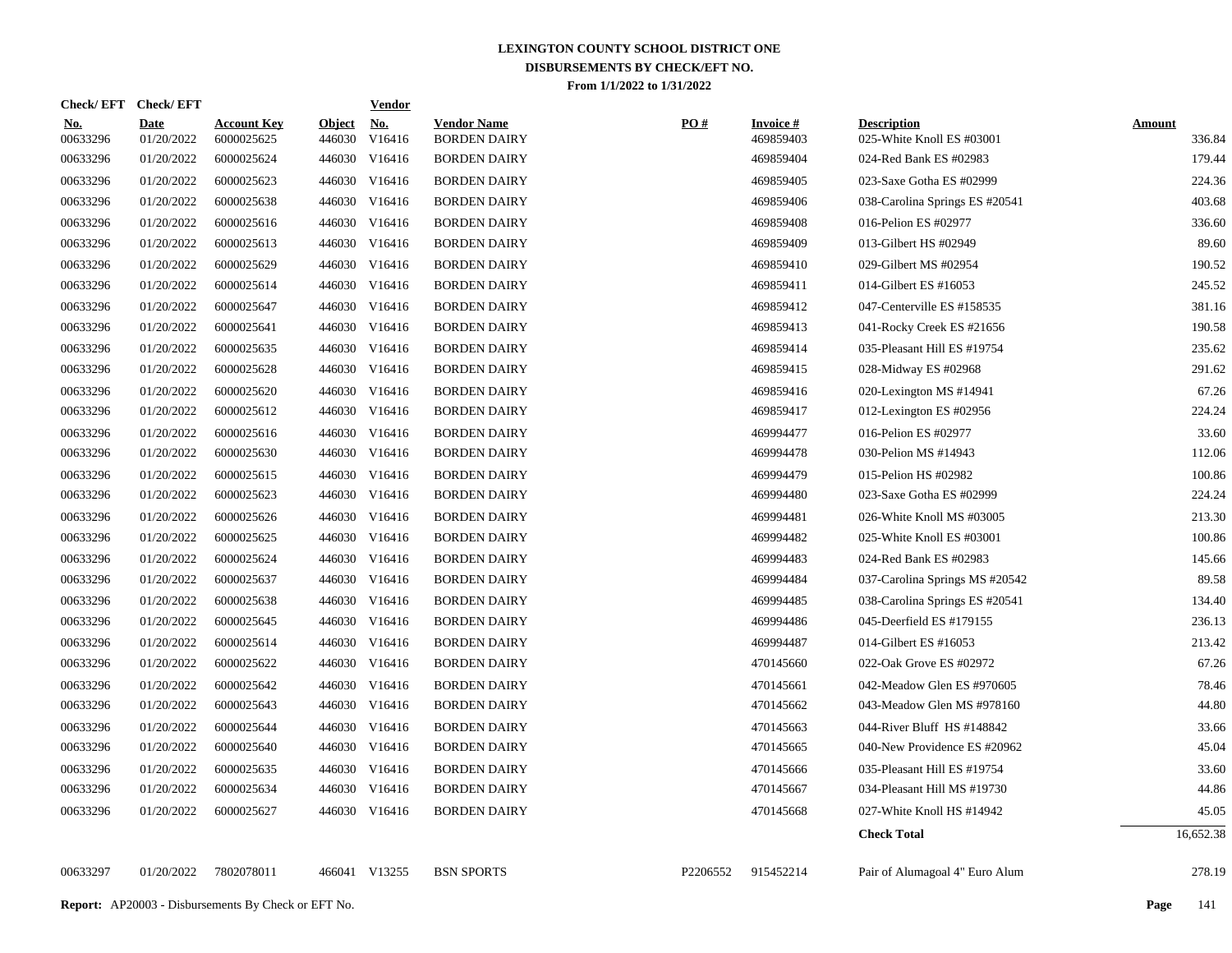| Check/EFT Check/EFT    |                           |                                  |                         | <b>Vendor</b>        |                                           |                   |                              |                                                 |                         |
|------------------------|---------------------------|----------------------------------|-------------------------|----------------------|-------------------------------------------|-------------------|------------------------------|-------------------------------------------------|-------------------------|
| <u>No.</u><br>00633296 | <b>Date</b><br>01/20/2022 | <b>Account Key</b><br>6000025625 | <u>Object</u><br>446030 | <u>No.</u><br>V16416 | <b>Vendor Name</b><br><b>BORDEN DAIRY</b> | $\underline{PO#}$ | <b>Invoice#</b><br>469859403 | <b>Description</b><br>025-White Knoll ES #03001 | <b>Amount</b><br>336.84 |
| 00633296               | 01/20/2022                | 6000025624                       | 446030                  | V16416               | <b>BORDEN DAIRY</b>                       |                   | 469859404                    | 024-Red Bank ES #02983                          | 179.44                  |
| 00633296               | 01/20/2022                | 6000025623                       |                         | 446030 V16416        | <b>BORDEN DAIRY</b>                       |                   | 469859405                    | 023-Saxe Gotha ES #02999                        | 224.36                  |
| 00633296               | 01/20/2022                | 6000025638                       |                         | 446030 V16416        | <b>BORDEN DAIRY</b>                       |                   | 469859406                    | 038-Carolina Springs ES #20541                  | 403.68                  |
| 00633296               | 01/20/2022                | 6000025616                       |                         | 446030 V16416        | <b>BORDEN DAIRY</b>                       |                   | 469859408                    | 016-Pelion ES #02977                            | 336.60                  |
| 00633296               | 01/20/2022                | 6000025613                       |                         | 446030 V16416        | <b>BORDEN DAIRY</b>                       |                   | 469859409                    | 013-Gilbert HS #02949                           | 89.60                   |
| 00633296               | 01/20/2022                | 6000025629                       |                         | 446030 V16416        | <b>BORDEN DAIRY</b>                       |                   | 469859410                    | 029-Gilbert MS #02954                           | 190.52                  |
| 00633296               | 01/20/2022                | 6000025614                       |                         | 446030 V16416        | <b>BORDEN DAIRY</b>                       |                   | 469859411                    | 014-Gilbert ES #16053                           | 245.52                  |
| 00633296               | 01/20/2022                | 6000025647                       |                         | 446030 V16416        | <b>BORDEN DAIRY</b>                       |                   | 469859412                    | 047-Centerville ES #158535                      | 381.16                  |
| 00633296               | 01/20/2022                | 6000025641                       |                         | 446030 V16416        | <b>BORDEN DAIRY</b>                       |                   | 469859413                    | 041-Rocky Creek ES #21656                       | 190.58                  |
| 00633296               | 01/20/2022                | 6000025635                       |                         | 446030 V16416        | <b>BORDEN DAIRY</b>                       |                   | 469859414                    | 035-Pleasant Hill ES #19754                     | 235.62                  |
| 00633296               | 01/20/2022                | 6000025628                       |                         | 446030 V16416        | <b>BORDEN DAIRY</b>                       |                   | 469859415                    | 028-Midway ES #02968                            | 291.62                  |
| 00633296               | 01/20/2022                | 6000025620                       |                         | 446030 V16416        | <b>BORDEN DAIRY</b>                       |                   | 469859416                    | 020-Lexington MS #14941                         | 67.26                   |
| 00633296               | 01/20/2022                | 6000025612                       |                         | 446030 V16416        | <b>BORDEN DAIRY</b>                       |                   | 469859417                    | 012-Lexington ES #02956                         | 224.24                  |
| 00633296               | 01/20/2022                | 6000025616                       |                         | 446030 V16416        | <b>BORDEN DAIRY</b>                       |                   | 469994477                    | 016-Pelion ES #02977                            | 33.60                   |
| 00633296               | 01/20/2022                | 6000025630                       |                         | 446030 V16416        | <b>BORDEN DAIRY</b>                       |                   | 469994478                    | 030-Pelion MS #14943                            | 112.06                  |
| 00633296               | 01/20/2022                | 6000025615                       |                         | 446030 V16416        | <b>BORDEN DAIRY</b>                       |                   | 469994479                    | 015-Pelion HS #02982                            | 100.86                  |
| 00633296               | 01/20/2022                | 6000025623                       |                         | 446030 V16416        | <b>BORDEN DAIRY</b>                       |                   | 469994480                    | 023-Saxe Gotha ES #02999                        | 224.24                  |
| 00633296               | 01/20/2022                | 6000025626                       |                         | 446030 V16416        | <b>BORDEN DAIRY</b>                       |                   | 469994481                    | 026-White Knoll MS #03005                       | 213.30                  |
| 00633296               | 01/20/2022                | 6000025625                       |                         | 446030 V16416        | <b>BORDEN DAIRY</b>                       |                   | 469994482                    | 025-White Knoll ES #03001                       | 100.86                  |
| 00633296               | 01/20/2022                | 6000025624                       |                         | 446030 V16416        | <b>BORDEN DAIRY</b>                       |                   | 469994483                    | 024-Red Bank ES #02983                          | 145.66                  |
| 00633296               | 01/20/2022                | 6000025637                       |                         | 446030 V16416        | <b>BORDEN DAIRY</b>                       |                   | 469994484                    | 037-Carolina Springs MS #20542                  | 89.58                   |
| 00633296               | 01/20/2022                | 6000025638                       |                         | 446030 V16416        | <b>BORDEN DAIRY</b>                       |                   | 469994485                    | 038-Carolina Springs ES #20541                  | 134.40                  |
| 00633296               | 01/20/2022                | 6000025645                       |                         | 446030 V16416        | <b>BORDEN DAIRY</b>                       |                   | 469994486                    | 045-Deerfield ES #179155                        | 236.13                  |
| 00633296               | 01/20/2022                | 6000025614                       |                         | 446030 V16416        | <b>BORDEN DAIRY</b>                       |                   | 469994487                    | 014-Gilbert ES #16053                           | 213.42                  |
| 00633296               | 01/20/2022                | 6000025622                       |                         | 446030 V16416        | <b>BORDEN DAIRY</b>                       |                   | 470145660                    | 022-Oak Grove ES #02972                         | 67.26                   |
| 00633296               | 01/20/2022                | 6000025642                       |                         | 446030 V16416        | <b>BORDEN DAIRY</b>                       |                   | 470145661                    | 042-Meadow Glen ES #970605                      | 78.46                   |
| 00633296               | 01/20/2022                | 6000025643                       |                         | 446030 V16416        | <b>BORDEN DAIRY</b>                       |                   | 470145662                    | 043-Meadow Glen MS #978160                      | 44.80                   |
| 00633296               | 01/20/2022                | 6000025644                       |                         | 446030 V16416        | <b>BORDEN DAIRY</b>                       |                   | 470145663                    | 044-River Bluff HS #148842                      | 33.66                   |
| 00633296               | 01/20/2022                | 6000025640                       |                         | 446030 V16416        | <b>BORDEN DAIRY</b>                       |                   | 470145665                    | 040-New Providence ES #20962                    | 45.04                   |
| 00633296               | 01/20/2022                | 6000025635                       |                         | 446030 V16416        | <b>BORDEN DAIRY</b>                       |                   | 470145666                    | 035-Pleasant Hill ES #19754                     | 33.60                   |
| 00633296               | 01/20/2022                | 6000025634                       |                         | 446030 V16416        | <b>BORDEN DAIRY</b>                       |                   | 470145667                    | 034-Pleasant Hill MS #19730                     | 44.86                   |
| 00633296               | 01/20/2022                | 6000025627                       |                         | 446030 V16416        | <b>BORDEN DAIRY</b>                       |                   | 470145668                    | 027-White Knoll HS #14942                       | 45.05                   |
|                        |                           |                                  |                         |                      |                                           |                   |                              | <b>Check Total</b>                              | 16,652.38               |
| 00633297               | 01/20/2022                | 7802078011                       |                         | 466041 V13255        | <b>BSN SPORTS</b>                         | P2206552          | 915452214                    | Pair of Alumagoal 4" Euro Alum                  | 278.19                  |
|                        |                           |                                  |                         |                      |                                           |                   |                              |                                                 |                         |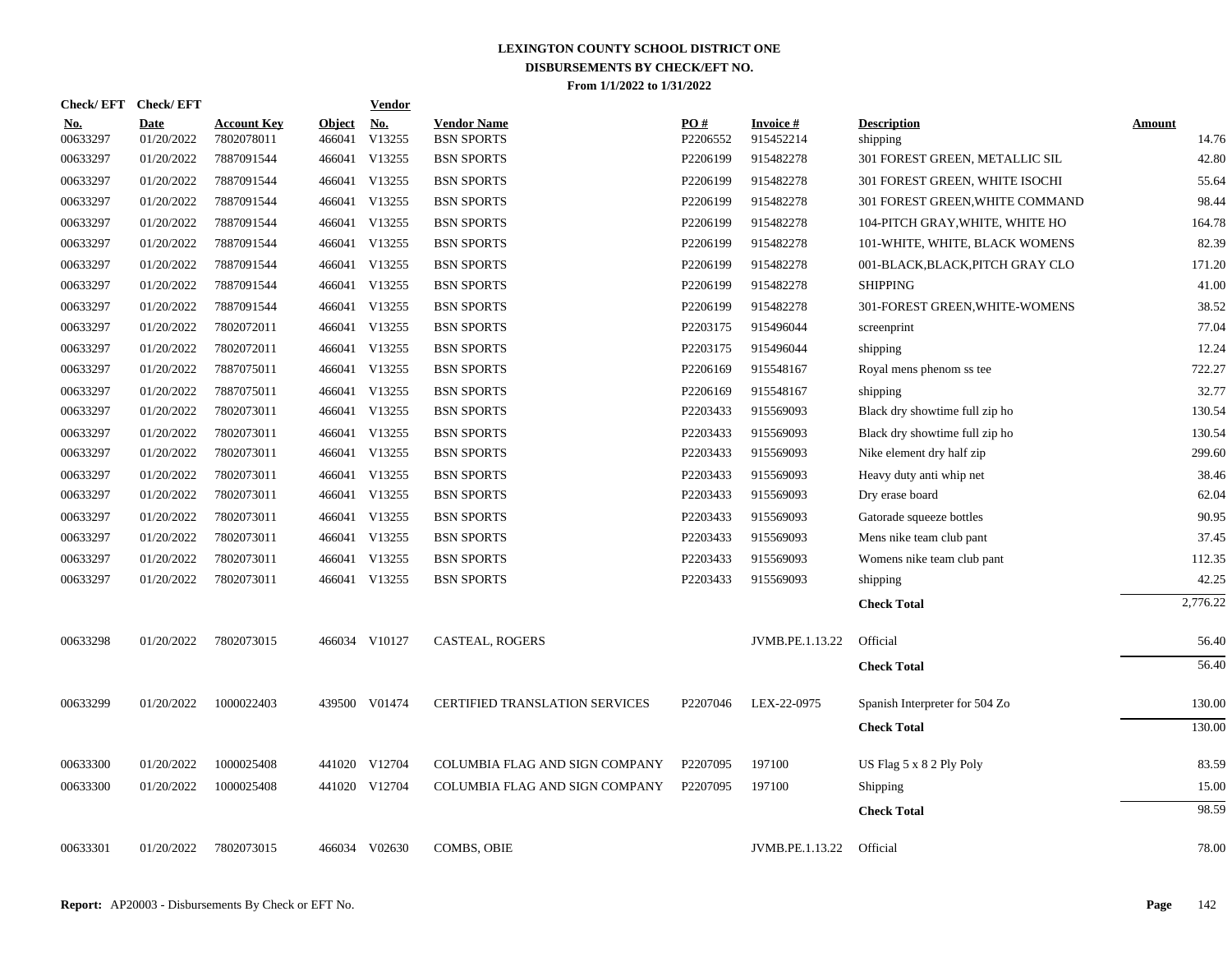| <b>Check/EFT</b>       | <b>Check/EFT</b>          |                                  |                         | <b>Vendor</b>        |                                         |                 |                              |                                  |                        |
|------------------------|---------------------------|----------------------------------|-------------------------|----------------------|-----------------------------------------|-----------------|------------------------------|----------------------------------|------------------------|
| <u>No.</u><br>00633297 | <b>Date</b><br>01/20/2022 | <b>Account Key</b><br>7802078011 | <b>Object</b><br>466041 | <u>No.</u><br>V13255 | <b>Vendor Name</b><br><b>BSN SPORTS</b> | PO#<br>P2206552 | <b>Invoice#</b><br>915452214 | <b>Description</b><br>shipping   | <b>Amount</b><br>14.76 |
| 00633297               | 01/20/2022                | 7887091544                       |                         | 466041 V13255        | <b>BSN SPORTS</b>                       | P2206199        | 915482278                    | 301 FOREST GREEN, METALLIC SIL   | 42.80                  |
| 00633297               | 01/20/2022                | 7887091544                       |                         | 466041 V13255        | <b>BSN SPORTS</b>                       | P2206199        | 915482278                    | 301 FOREST GREEN, WHITE ISOCHI   | 55.64                  |
| 00633297               | 01/20/2022                | 7887091544                       |                         | 466041 V13255        | <b>BSN SPORTS</b>                       | P2206199        | 915482278                    | 301 FOREST GREEN, WHITE COMMAND  | 98.44                  |
| 00633297               | 01/20/2022                | 7887091544                       |                         | 466041 V13255        | <b>BSN SPORTS</b>                       | P2206199        | 915482278                    | 104-PITCH GRAY, WHITE, WHITE HO  | 164.78                 |
| 00633297               | 01/20/2022                | 7887091544                       |                         | 466041 V13255        | <b>BSN SPORTS</b>                       | P2206199        | 915482278                    | 101-WHITE, WHITE, BLACK WOMENS   | 82.39                  |
| 00633297               | 01/20/2022                | 7887091544                       |                         | 466041 V13255        | <b>BSN SPORTS</b>                       | P2206199        | 915482278                    | 001-BLACK, BLACK, PITCH GRAY CLO | 171.20                 |
| 00633297               | 01/20/2022                | 7887091544                       |                         | 466041 V13255        | <b>BSN SPORTS</b>                       | P2206199        | 915482278                    | <b>SHIPPING</b>                  | 41.00                  |
| 00633297               | 01/20/2022                | 7887091544                       |                         | 466041 V13255        | <b>BSN SPORTS</b>                       | P2206199        | 915482278                    | 301-FOREST GREEN, WHITE-WOMENS   | 38.52                  |
| 00633297               | 01/20/2022                | 7802072011                       |                         | 466041 V13255        | <b>BSN SPORTS</b>                       | P2203175        | 915496044                    | screenprint                      | 77.04                  |
| 00633297               | 01/20/2022                | 7802072011                       |                         | 466041 V13255        | <b>BSN SPORTS</b>                       | P2203175        | 915496044                    | shipping                         | 12.24                  |
| 00633297               | 01/20/2022                | 7887075011                       |                         | 466041 V13255        | <b>BSN SPORTS</b>                       | P2206169        | 915548167                    | Royal mens phenom ss tee         | 722.27                 |
| 00633297               | 01/20/2022                | 7887075011                       |                         | 466041 V13255        | <b>BSN SPORTS</b>                       | P2206169        | 915548167                    | shipping                         | 32.77                  |
| 00633297               | 01/20/2022                | 7802073011                       |                         | 466041 V13255        | <b>BSN SPORTS</b>                       | P2203433        | 915569093                    | Black dry showtime full zip ho   | 130.54                 |
| 00633297               | 01/20/2022                | 7802073011                       |                         | 466041 V13255        | <b>BSN SPORTS</b>                       | P2203433        | 915569093                    | Black dry showtime full zip ho   | 130.54                 |
| 00633297               | 01/20/2022                | 7802073011                       |                         | 466041 V13255        | <b>BSN SPORTS</b>                       | P2203433        | 915569093                    | Nike element dry half zip        | 299.60                 |
| 00633297               | 01/20/2022                | 7802073011                       |                         | 466041 V13255        | <b>BSN SPORTS</b>                       | P2203433        | 915569093                    | Heavy duty anti whip net         | 38.46                  |
| 00633297               | 01/20/2022                | 7802073011                       |                         | 466041 V13255        | <b>BSN SPORTS</b>                       | P2203433        | 915569093                    | Dry erase board                  | 62.04                  |
| 00633297               | 01/20/2022                | 7802073011                       |                         | 466041 V13255        | <b>BSN SPORTS</b>                       | P2203433        | 915569093                    | Gatorade squeeze bottles         | 90.95                  |
| 00633297               | 01/20/2022                | 7802073011                       |                         | 466041 V13255        | <b>BSN SPORTS</b>                       | P2203433        | 915569093                    | Mens nike team club pant         | 37.45                  |
| 00633297               | 01/20/2022                | 7802073011                       |                         | 466041 V13255        | <b>BSN SPORTS</b>                       | P2203433        | 915569093                    | Womens nike team club pant       | 112.35                 |
| 00633297               | 01/20/2022                | 7802073011                       |                         | 466041 V13255        | <b>BSN SPORTS</b>                       | P2203433        | 915569093                    | shipping                         | 42.25                  |
|                        |                           |                                  |                         |                      |                                         |                 |                              | <b>Check Total</b>               | 2,776.22               |
| 00633298               | 01/20/2022                | 7802073015                       |                         | 466034 V10127        | CASTEAL, ROGERS                         |                 | JVMB.PE.1.13.22              | Official                         | 56.40                  |
|                        |                           |                                  |                         |                      |                                         |                 |                              | <b>Check Total</b>               | 56.40                  |
| 00633299               | 01/20/2022                | 1000022403                       |                         | 439500 V01474        | <b>CERTIFIED TRANSLATION SERVICES</b>   | P2207046        | LEX-22-0975                  | Spanish Interpreter for 504 Zo   | 130.00                 |
|                        |                           |                                  |                         |                      |                                         |                 |                              | <b>Check Total</b>               | 130.00                 |
| 00633300               | 01/20/2022                | 1000025408                       |                         | 441020 V12704        | COLUMBIA FLAG AND SIGN COMPANY          | P2207095        | 197100                       | US Flag $5 \times 8$ 2 Ply Poly  | 83.59                  |
| 00633300               | 01/20/2022                | 1000025408                       |                         | 441020 V12704        | COLUMBIA FLAG AND SIGN COMPANY          | P2207095        | 197100                       | Shipping                         | 15.00                  |
|                        |                           |                                  |                         |                      |                                         |                 |                              | <b>Check Total</b>               | 98.59                  |
| 00633301               | 01/20/2022                | 7802073015                       |                         | 466034 V02630        | <b>COMBS, OBIE</b>                      |                 | JVMB.PE.1.13.22              | Official                         | 78.00                  |
|                        |                           |                                  |                         |                      |                                         |                 |                              |                                  |                        |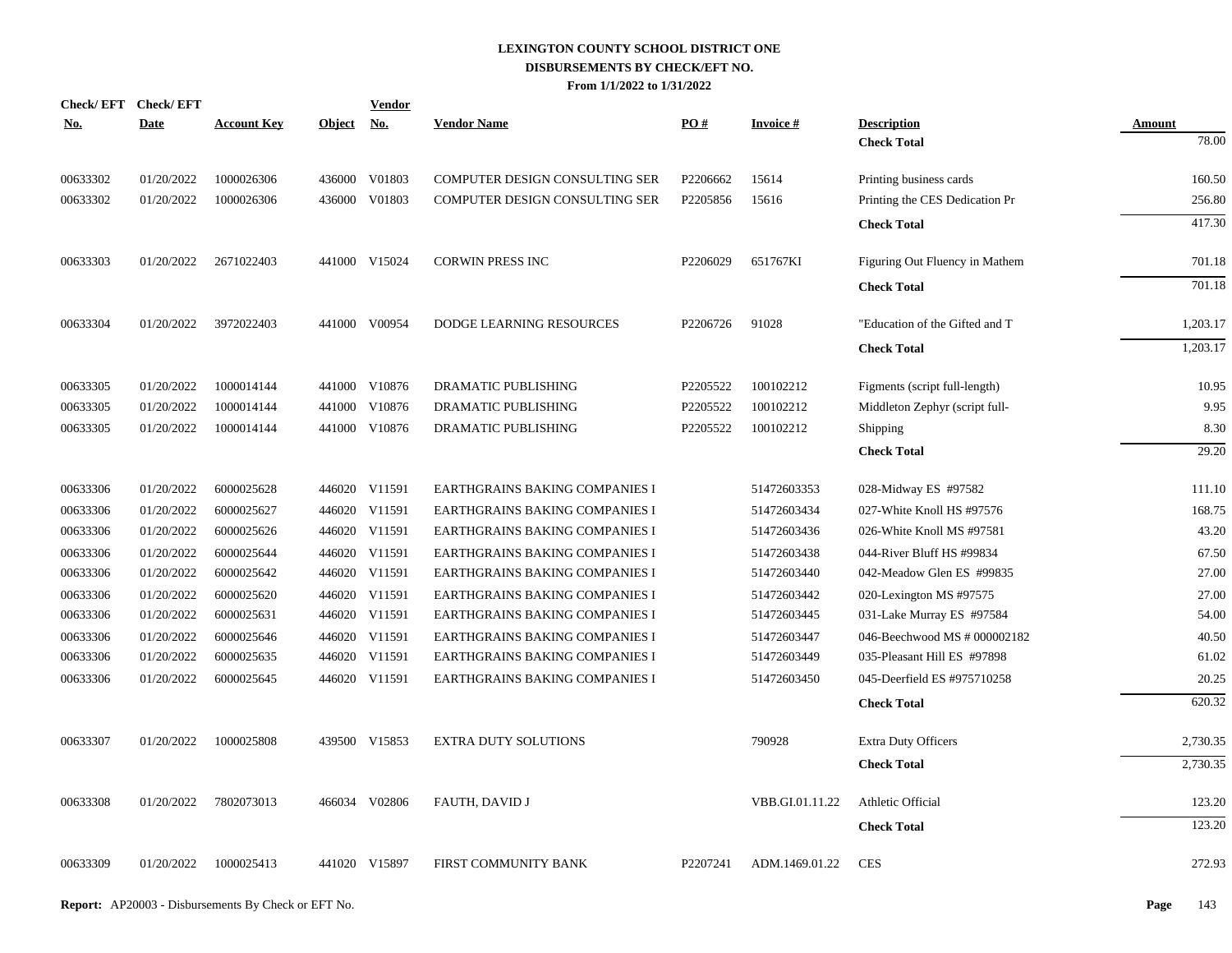| <u>No.</u> | Check/EFT Check/EFT<br><b>Date</b> | <b>Account Key</b> | Object No. | <b>Vendor</b> | <b>Vendor Name</b>             | PO#      | <b>Invoice#</b> | <b>Description</b>             | <b>Amount</b> |
|------------|------------------------------------|--------------------|------------|---------------|--------------------------------|----------|-----------------|--------------------------------|---------------|
|            |                                    |                    |            |               |                                |          |                 | <b>Check Total</b>             | 78.00         |
| 00633302   | 01/20/2022                         | 1000026306         |            | 436000 V01803 | COMPUTER DESIGN CONSULTING SER | P2206662 | 15614           | Printing business cards        | 160.50        |
| 00633302   | 01/20/2022                         | 1000026306         |            | 436000 V01803 | COMPUTER DESIGN CONSULTING SER | P2205856 | 15616           | Printing the CES Dedication Pr | 256.80        |
|            |                                    |                    |            |               |                                |          |                 | <b>Check Total</b>             | 417.30        |
| 00633303   | 01/20/2022                         | 2671022403         |            | 441000 V15024 | <b>CORWIN PRESS INC</b>        | P2206029 | 651767KI        | Figuring Out Fluency in Mathem | 701.18        |
|            |                                    |                    |            |               |                                |          |                 | <b>Check Total</b>             | 701.18        |
| 00633304   | 01/20/2022                         | 3972022403         |            | 441000 V00954 | DODGE LEARNING RESOURCES       | P2206726 | 91028           | "Education of the Gifted and T | 1,203.17      |
|            |                                    |                    |            |               |                                |          |                 | <b>Check Total</b>             | 1,203.17      |
| 00633305   | 01/20/2022                         | 1000014144         |            | 441000 V10876 | DRAMATIC PUBLISHING            | P2205522 | 100102212       | Figments (script full-length)  | 10.95         |
| 00633305   | 01/20/2022                         | 1000014144         |            | 441000 V10876 | DRAMATIC PUBLISHING            | P2205522 | 100102212       | Middleton Zephyr (script full- | 9.95          |
| 00633305   | 01/20/2022                         | 1000014144         |            | 441000 V10876 | DRAMATIC PUBLISHING            | P2205522 | 100102212       | Shipping                       | 8.30          |
|            |                                    |                    |            |               |                                |          |                 | <b>Check Total</b>             | 29.20         |
| 00633306   | 01/20/2022                         | 6000025628         |            | 446020 V11591 | EARTHGRAINS BAKING COMPANIES I |          | 51472603353     | 028-Midway ES #97582           | 111.10        |
| 00633306   | 01/20/2022                         | 6000025627         |            | 446020 V11591 | EARTHGRAINS BAKING COMPANIES I |          | 51472603434     | 027-White Knoll HS #97576      | 168.75        |
| 00633306   | 01/20/2022                         | 6000025626         |            | 446020 V11591 | EARTHGRAINS BAKING COMPANIES I |          | 51472603436     | 026-White Knoll MS #97581      | 43.20         |
| 00633306   | 01/20/2022                         | 6000025644         |            | 446020 V11591 | EARTHGRAINS BAKING COMPANIES I |          | 51472603438     | 044-River Bluff HS #99834      | 67.50         |
| 00633306   | 01/20/2022                         | 6000025642         |            | 446020 V11591 | EARTHGRAINS BAKING COMPANIES I |          | 51472603440     | 042-Meadow Glen ES #99835      | 27.00         |
| 00633306   | 01/20/2022                         | 6000025620         |            | 446020 V11591 | EARTHGRAINS BAKING COMPANIES I |          | 51472603442     | 020-Lexington MS #97575        | 27.00         |
| 00633306   | 01/20/2022                         | 6000025631         |            | 446020 V11591 | EARTHGRAINS BAKING COMPANIES I |          | 51472603445     | 031-Lake Murray ES #97584      | 54.00         |
| 00633306   | 01/20/2022                         | 6000025646         |            | 446020 V11591 | EARTHGRAINS BAKING COMPANIES I |          | 51472603447     | 046-Beechwood MS # 000002182   | 40.50         |
| 00633306   | 01/20/2022                         | 6000025635         |            | 446020 V11591 | EARTHGRAINS BAKING COMPANIES I |          | 51472603449     | 035-Pleasant Hill ES #97898    | 61.02         |
| 00633306   | 01/20/2022                         | 6000025645         |            | 446020 V11591 | EARTHGRAINS BAKING COMPANIES I |          | 51472603450     | 045-Deerfield ES #975710258    | 20.25         |
|            |                                    |                    |            |               |                                |          |                 | <b>Check Total</b>             | 620.32        |
| 00633307   | 01/20/2022                         | 1000025808         |            | 439500 V15853 | <b>EXTRA DUTY SOLUTIONS</b>    |          | 790928          | <b>Extra Duty Officers</b>     | 2,730.35      |
|            |                                    |                    |            |               |                                |          |                 | <b>Check Total</b>             | 2,730.35      |
| 00633308   | 01/20/2022                         | 7802073013         |            | 466034 V02806 | FAUTH, DAVID J                 |          | VBB.GI.01.11.22 | Athletic Official              | 123.20        |
|            |                                    |                    |            |               |                                |          |                 | <b>Check Total</b>             | 123.20        |
| 00633309   | 01/20/2022                         | 1000025413         |            | 441020 V15897 | FIRST COMMUNITY BANK           | P2207241 | ADM.1469.01.22  | <b>CES</b>                     | 272.93        |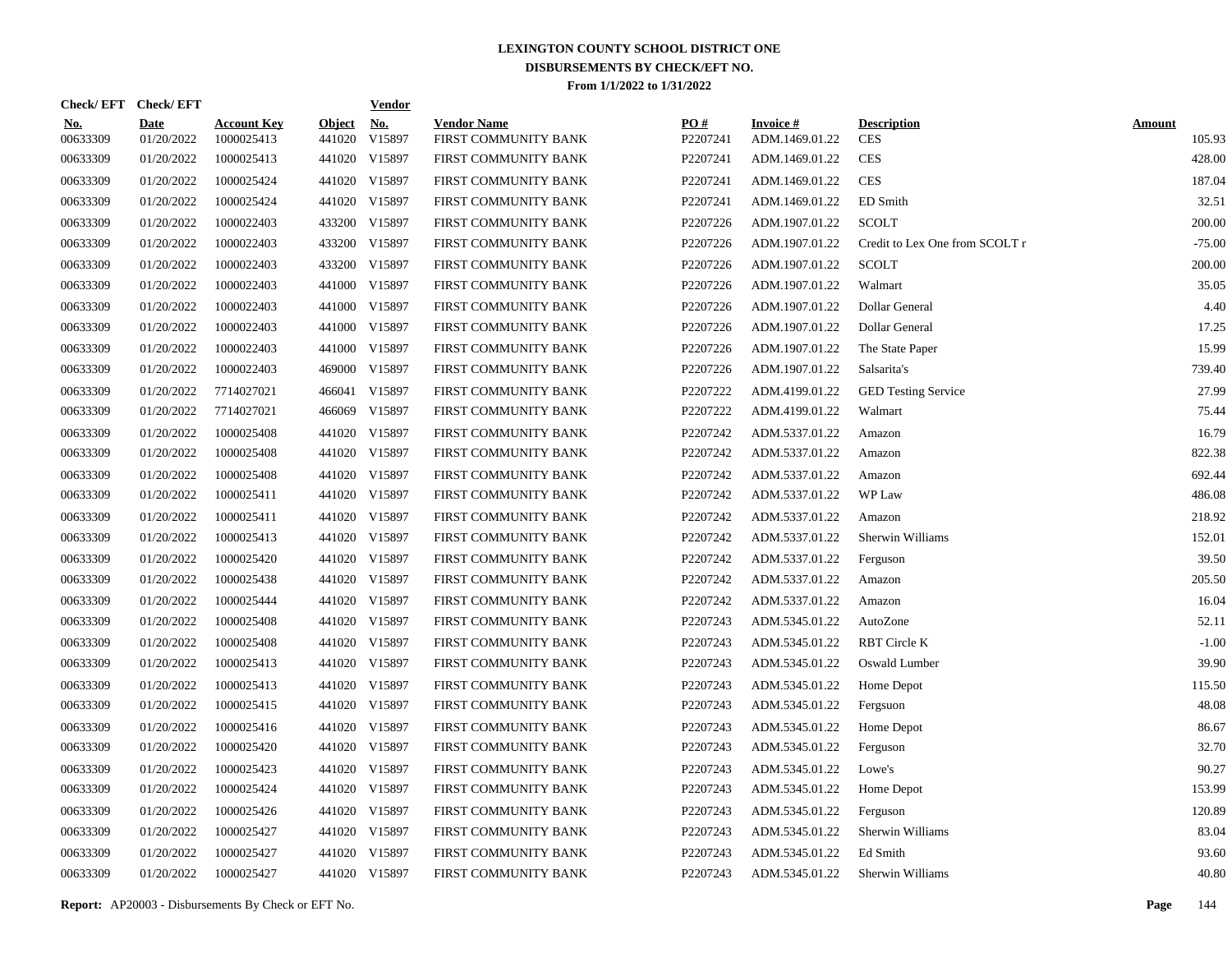|                        | Check/EFT Check/EFT       |                                  |                         | <u>Vendor</u>        |                                            |                 |                                   |                                  |                         |
|------------------------|---------------------------|----------------------------------|-------------------------|----------------------|--------------------------------------------|-----------------|-----------------------------------|----------------------------------|-------------------------|
| <u>No.</u><br>00633309 | <b>Date</b><br>01/20/2022 | <b>Account Key</b><br>1000025413 | <b>Object</b><br>441020 | <u>No.</u><br>V15897 | <b>Vendor Name</b><br>FIRST COMMUNITY BANK | PQ#<br>P2207241 | <b>Invoice#</b><br>ADM.1469.01.22 | <b>Description</b><br><b>CES</b> | <b>Amount</b><br>105.93 |
| 00633309               | 01/20/2022                | 1000025413                       |                         | 441020 V15897        | FIRST COMMUNITY BANK                       | P2207241        | ADM.1469.01.22                    | <b>CES</b>                       | 428.00                  |
| 00633309               | 01/20/2022                | 1000025424                       |                         | 441020 V15897        | FIRST COMMUNITY BANK                       | P2207241        | ADM.1469.01.22                    | <b>CES</b>                       | 187.04                  |
| 00633309               | 01/20/2022                | 1000025424                       |                         | 441020 V15897        | FIRST COMMUNITY BANK                       | P2207241        | ADM.1469.01.22                    | ED Smith                         | 32.51                   |
| 00633309               | 01/20/2022                | 1000022403                       |                         | 433200 V15897        | FIRST COMMUNITY BANK                       | P2207226        | ADM.1907.01.22                    | <b>SCOLT</b>                     | 200.00                  |
| 00633309               | 01/20/2022                | 1000022403                       |                         | 433200 V15897        | FIRST COMMUNITY BANK                       | P2207226        | ADM.1907.01.22                    | Credit to Lex One from SCOLT r   | $-75.00$                |
| 00633309               | 01/20/2022                | 1000022403                       |                         | 433200 V15897        | FIRST COMMUNITY BANK                       | P2207226        | ADM.1907.01.22                    | <b>SCOLT</b>                     | 200.00                  |
| 00633309               | 01/20/2022                | 1000022403                       |                         | 441000 V15897        | FIRST COMMUNITY BANK                       | P2207226        | ADM.1907.01.22                    | Walmart                          | 35.05                   |
| 00633309               | 01/20/2022                | 1000022403                       |                         | 441000 V15897        | FIRST COMMUNITY BANK                       | P2207226        | ADM.1907.01.22                    | Dollar General                   | 4.40                    |
| 00633309               | 01/20/2022                | 1000022403                       |                         | 441000 V15897        | FIRST COMMUNITY BANK                       | P2207226        | ADM.1907.01.22                    | Dollar General                   | 17.25                   |
| 00633309               | 01/20/2022                | 1000022403                       |                         | 441000 V15897        | FIRST COMMUNITY BANK                       | P2207226        | ADM.1907.01.22                    | The State Paper                  | 15.99                   |
| 00633309               | 01/20/2022                | 1000022403                       |                         | 469000 V15897        | FIRST COMMUNITY BANK                       | P2207226        | ADM.1907.01.22                    | Salsarita's                      | 739.40                  |
| 00633309               | 01/20/2022                | 7714027021                       |                         | 466041 V15897        | FIRST COMMUNITY BANK                       | P2207222        | ADM.4199.01.22                    | <b>GED Testing Service</b>       | 27.99                   |
| 00633309               | 01/20/2022                | 7714027021                       |                         | 466069 V15897        | FIRST COMMUNITY BANK                       | P2207222        | ADM.4199.01.22                    | Walmart                          | 75.44                   |
| 00633309               | 01/20/2022                | 1000025408                       |                         | 441020 V15897        | FIRST COMMUNITY BANK                       | P2207242        | ADM.5337.01.22                    | Amazon                           | 16.79                   |
| 00633309               | 01/20/2022                | 1000025408                       |                         | 441020 V15897        | FIRST COMMUNITY BANK                       | P2207242        | ADM.5337.01.22                    | Amazon                           | 822.38                  |
| 00633309               | 01/20/2022                | 1000025408                       |                         | 441020 V15897        | FIRST COMMUNITY BANK                       | P2207242        | ADM.5337.01.22                    | Amazon                           | 692.44                  |
| 00633309               | 01/20/2022                | 1000025411                       |                         | 441020 V15897        | FIRST COMMUNITY BANK                       | P2207242        | ADM.5337.01.22                    | WP Law                           | 486.08                  |
| 00633309               | 01/20/2022                | 1000025411                       |                         | 441020 V15897        | FIRST COMMUNITY BANK                       | P2207242        | ADM.5337.01.22                    | Amazon                           | 218.92                  |
| 00633309               | 01/20/2022                | 1000025413                       |                         | 441020 V15897        | FIRST COMMUNITY BANK                       | P2207242        | ADM.5337.01.22                    | Sherwin Williams                 | 152.01                  |
| 00633309               | 01/20/2022                | 1000025420                       |                         | 441020 V15897        | FIRST COMMUNITY BANK                       | P2207242        | ADM.5337.01.22                    | Ferguson                         | 39.50                   |
| 00633309               | 01/20/2022                | 1000025438                       |                         | 441020 V15897        | FIRST COMMUNITY BANK                       | P2207242        | ADM.5337.01.22                    | Amazon                           | 205.50                  |
| 00633309               | 01/20/2022                | 1000025444                       |                         | 441020 V15897        | FIRST COMMUNITY BANK                       | P2207242        | ADM.5337.01.22                    | Amazon                           | 16.04                   |
| 00633309               | 01/20/2022                | 1000025408                       |                         | 441020 V15897        | FIRST COMMUNITY BANK                       | P2207243        | ADM.5345.01.22                    | AutoZone                         | 52.11                   |
| 00633309               | 01/20/2022                | 1000025408                       |                         | 441020 V15897        | FIRST COMMUNITY BANK                       | P2207243        | ADM.5345.01.22                    | <b>RBT</b> Circle K              | $-1.00$                 |
| 00633309               | 01/20/2022                | 1000025413                       |                         | 441020 V15897        | FIRST COMMUNITY BANK                       | P2207243        | ADM.5345.01.22                    | Oswald Lumber                    | 39.90                   |
| 00633309               | 01/20/2022                | 1000025413                       |                         | 441020 V15897        | FIRST COMMUNITY BANK                       | P2207243        | ADM.5345.01.22                    | Home Depot                       | 115.50                  |
| 00633309               | 01/20/2022                | 1000025415                       |                         | 441020 V15897        | FIRST COMMUNITY BANK                       | P2207243        | ADM.5345.01.22                    | Fergsuon                         | 48.08                   |
| 00633309               | 01/20/2022                | 1000025416                       |                         | 441020 V15897        | FIRST COMMUNITY BANK                       | P2207243        | ADM.5345.01.22                    | Home Depot                       | 86.67                   |
| 00633309               | 01/20/2022                | 1000025420                       |                         | 441020 V15897        | FIRST COMMUNITY BANK                       | P2207243        | ADM.5345.01.22                    | Ferguson                         | 32.70                   |
| 00633309               | 01/20/2022                | 1000025423                       |                         | 441020 V15897        | FIRST COMMUNITY BANK                       | P2207243        | ADM.5345.01.22                    | Lowe's                           | 90.27                   |
| 00633309               | 01/20/2022                | 1000025424                       |                         | 441020 V15897        | FIRST COMMUNITY BANK                       | P2207243        | ADM.5345.01.22                    | Home Depot                       | 153.99                  |
| 00633309               | 01/20/2022                | 1000025426                       |                         | 441020 V15897        | FIRST COMMUNITY BANK                       | P2207243        | ADM.5345.01.22                    | Ferguson                         | 120.89                  |
| 00633309               | 01/20/2022                | 1000025427                       |                         | 441020 V15897        | FIRST COMMUNITY BANK                       | P2207243        | ADM.5345.01.22                    | Sherwin Williams                 | 83.04                   |
| 00633309               | 01/20/2022                | 1000025427                       |                         | 441020 V15897        | FIRST COMMUNITY BANK                       | P2207243        | ADM.5345.01.22                    | Ed Smith                         | 93.60                   |
| 00633309               | 01/20/2022                | 1000025427                       |                         | 441020 V15897        | FIRST COMMUNITY BANK                       | P2207243        | ADM.5345.01.22                    | Sherwin Williams                 | 40.80                   |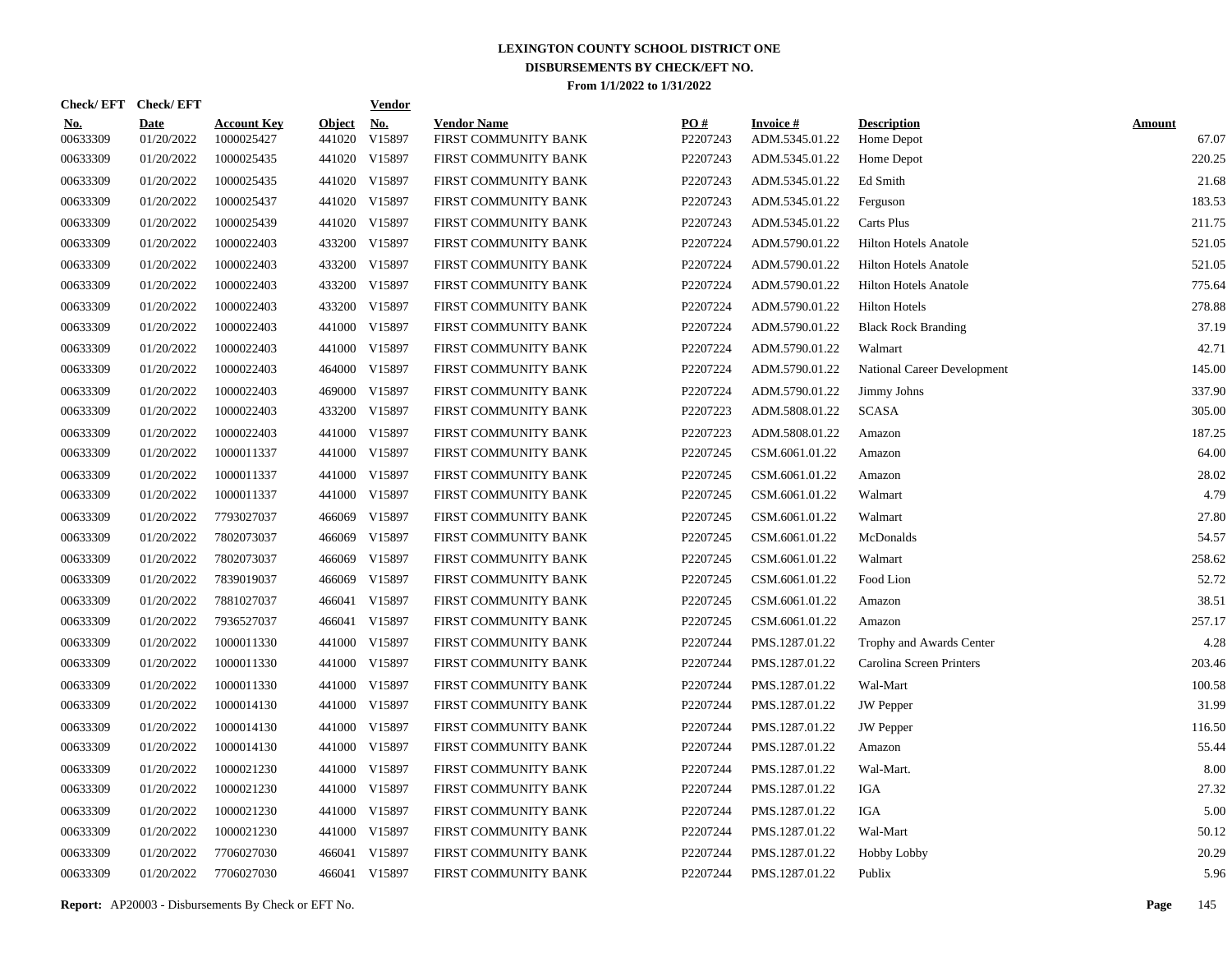| Check/EFT Check/EFT    |                           |                                  |                         | <b>Vendor</b>        |                                            |                 |                                   |                                    |                        |
|------------------------|---------------------------|----------------------------------|-------------------------|----------------------|--------------------------------------------|-----------------|-----------------------------------|------------------------------------|------------------------|
| <u>No.</u><br>00633309 | <b>Date</b><br>01/20/2022 | <b>Account Key</b><br>1000025427 | <b>Object</b><br>441020 | <u>No.</u><br>V15897 | <b>Vendor Name</b><br>FIRST COMMUNITY BANK | PO#<br>P2207243 | <b>Invoice#</b><br>ADM.5345.01.22 | <b>Description</b><br>Home Depot   | <b>Amount</b><br>67.07 |
| 00633309               | 01/20/2022                | 1000025435                       | 441020                  | V15897               | FIRST COMMUNITY BANK                       | P2207243        | ADM.5345.01.22                    | Home Depot                         | 220.25                 |
| 00633309               | 01/20/2022                | 1000025435                       | 441020                  | V15897               | FIRST COMMUNITY BANK                       | P2207243        | ADM.5345.01.22                    | Ed Smith                           | 21.68                  |
| 00633309               | 01/20/2022                | 1000025437                       | 441020                  | V15897               | FIRST COMMUNITY BANK                       | P2207243        | ADM.5345.01.22                    | Ferguson                           | 183.53                 |
| 00633309               | 01/20/2022                | 1000025439                       | 441020                  | V15897               | FIRST COMMUNITY BANK                       | P2207243        | ADM.5345.01.22                    | Carts Plus                         | 211.75                 |
| 00633309               | 01/20/2022                | 1000022403                       | 433200                  | V15897               | FIRST COMMUNITY BANK                       | P2207224        | ADM.5790.01.22                    | <b>Hilton Hotels Anatole</b>       | 521.05                 |
| 00633309               | 01/20/2022                | 1000022403                       | 433200                  | V15897               | FIRST COMMUNITY BANK                       | P2207224        | ADM.5790.01.22                    | <b>Hilton Hotels Anatole</b>       | 521.05                 |
| 00633309               | 01/20/2022                | 1000022403                       | 433200                  | V15897               | FIRST COMMUNITY BANK                       | P2207224        | ADM.5790.01.22                    | <b>Hilton Hotels Anatole</b>       | 775.64                 |
| 00633309               | 01/20/2022                | 1000022403                       | 433200                  | V15897               | FIRST COMMUNITY BANK                       | P2207224        | ADM.5790.01.22                    | <b>Hilton Hotels</b>               | 278.88                 |
| 00633309               | 01/20/2022                | 1000022403                       | 441000                  | V15897               | FIRST COMMUNITY BANK                       | P2207224        | ADM.5790.01.22                    | <b>Black Rock Branding</b>         | 37.19                  |
| 00633309               | 01/20/2022                | 1000022403                       | 441000                  | V15897               | FIRST COMMUNITY BANK                       | P2207224        | ADM.5790.01.22                    | Walmart                            | 42.71                  |
| 00633309               | 01/20/2022                | 1000022403                       | 464000                  | V15897               | FIRST COMMUNITY BANK                       | P2207224        | ADM.5790.01.22                    | <b>National Career Development</b> | 145.00                 |
| 00633309               | 01/20/2022                | 1000022403                       | 469000                  | V15897               | FIRST COMMUNITY BANK                       | P2207224        | ADM.5790.01.22                    | Jimmy Johns                        | 337.90                 |
| 00633309               | 01/20/2022                | 1000022403                       | 433200                  | V15897               | FIRST COMMUNITY BANK                       | P2207223        | ADM.5808.01.22                    | <b>SCASA</b>                       | 305.00                 |
| 00633309               | 01/20/2022                | 1000022403                       | 441000                  | V15897               | FIRST COMMUNITY BANK                       | P2207223        | ADM.5808.01.22                    | Amazon                             | 187.25                 |
| 00633309               | 01/20/2022                | 1000011337                       | 441000                  | V15897               | FIRST COMMUNITY BANK                       | P2207245        | CSM.6061.01.22                    | Amazon                             | 64.00                  |
| 00633309               | 01/20/2022                | 1000011337                       | 441000                  | V15897               | FIRST COMMUNITY BANK                       | P2207245        | CSM.6061.01.22                    | Amazon                             | 28.02                  |
| 00633309               | 01/20/2022                | 1000011337                       |                         | 441000 V15897        | FIRST COMMUNITY BANK                       | P2207245        | CSM.6061.01.22                    | Walmart                            | 4.79                   |
| 00633309               | 01/20/2022                | 7793027037                       | 466069                  | V15897               | FIRST COMMUNITY BANK                       | P2207245        | CSM.6061.01.22                    | Walmart                            | 27.80                  |
| 00633309               | 01/20/2022                | 7802073037                       | 466069                  | V15897               | FIRST COMMUNITY BANK                       | P2207245        | CSM.6061.01.22                    | McDonalds                          | 54.57                  |
| 00633309               | 01/20/2022                | 7802073037                       | 466069                  | V15897               | FIRST COMMUNITY BANK                       | P2207245        | CSM.6061.01.22                    | Walmart                            | 258.62                 |
| 00633309               | 01/20/2022                | 7839019037                       | 466069                  | V15897               | FIRST COMMUNITY BANK                       | P2207245        | CSM.6061.01.22                    | Food Lion                          | 52.72                  |
| 00633309               | 01/20/2022                | 7881027037                       | 466041                  | V15897               | FIRST COMMUNITY BANK                       | P2207245        | CSM.6061.01.22                    | Amazon                             | 38.51                  |
| 00633309               | 01/20/2022                | 7936527037                       |                         | 466041 V15897        | FIRST COMMUNITY BANK                       | P2207245        | CSM.6061.01.22                    | Amazon                             | 257.17                 |
| 00633309               | 01/20/2022                | 1000011330                       | 441000                  | V15897               | FIRST COMMUNITY BANK                       | P2207244        | PMS.1287.01.22                    | Trophy and Awards Center           | 4.28                   |
| 00633309               | 01/20/2022                | 1000011330                       | 441000                  | V15897               | FIRST COMMUNITY BANK                       | P2207244        | PMS.1287.01.22                    | Carolina Screen Printers           | 203.46                 |
| 00633309               | 01/20/2022                | 1000011330                       | 441000                  | V15897               | FIRST COMMUNITY BANK                       | P2207244        | PMS.1287.01.22                    | Wal-Mart                           | 100.58                 |
| 00633309               | 01/20/2022                | 1000014130                       | 441000                  | V15897               | FIRST COMMUNITY BANK                       | P2207244        | PMS.1287.01.22                    | <b>JW</b> Pepper                   | 31.99                  |
| 00633309               | 01/20/2022                | 1000014130                       | 441000                  | V15897               | FIRST COMMUNITY BANK                       | P2207244        | PMS.1287.01.22                    | <b>JW</b> Pepper                   | 116.50                 |
| 00633309               | 01/20/2022                | 1000014130                       | 441000                  | V15897               | FIRST COMMUNITY BANK                       | P2207244        | PMS.1287.01.22                    | Amazon                             | 55.44                  |
| 00633309               | 01/20/2022                | 1000021230                       | 441000                  | V15897               | FIRST COMMUNITY BANK                       | P2207244        | PMS.1287.01.22                    | Wal-Mart.                          | 8.00                   |
| 00633309               | 01/20/2022                | 1000021230                       | 441000                  | V15897               | FIRST COMMUNITY BANK                       | P2207244        | PMS.1287.01.22                    | <b>IGA</b>                         | 27.32                  |
| 00633309               | 01/20/2022                | 1000021230                       | 441000                  | V15897               | FIRST COMMUNITY BANK                       | P2207244        | PMS.1287.01.22                    | <b>IGA</b>                         | 5.00                   |
| 00633309               | 01/20/2022                | 1000021230                       | 441000                  | V15897               | FIRST COMMUNITY BANK                       | P2207244        | PMS.1287.01.22                    | Wal-Mart                           | 50.12                  |
| 00633309               | 01/20/2022                | 7706027030                       | 466041                  | V15897               | FIRST COMMUNITY BANK                       | P2207244        | PMS.1287.01.22                    | Hobby Lobby                        | 20.29                  |
| 00633309               | 01/20/2022                | 7706027030                       |                         | 466041 V15897        | FIRST COMMUNITY BANK                       | P2207244        | PMS.1287.01.22                    | Publix                             | 5.96                   |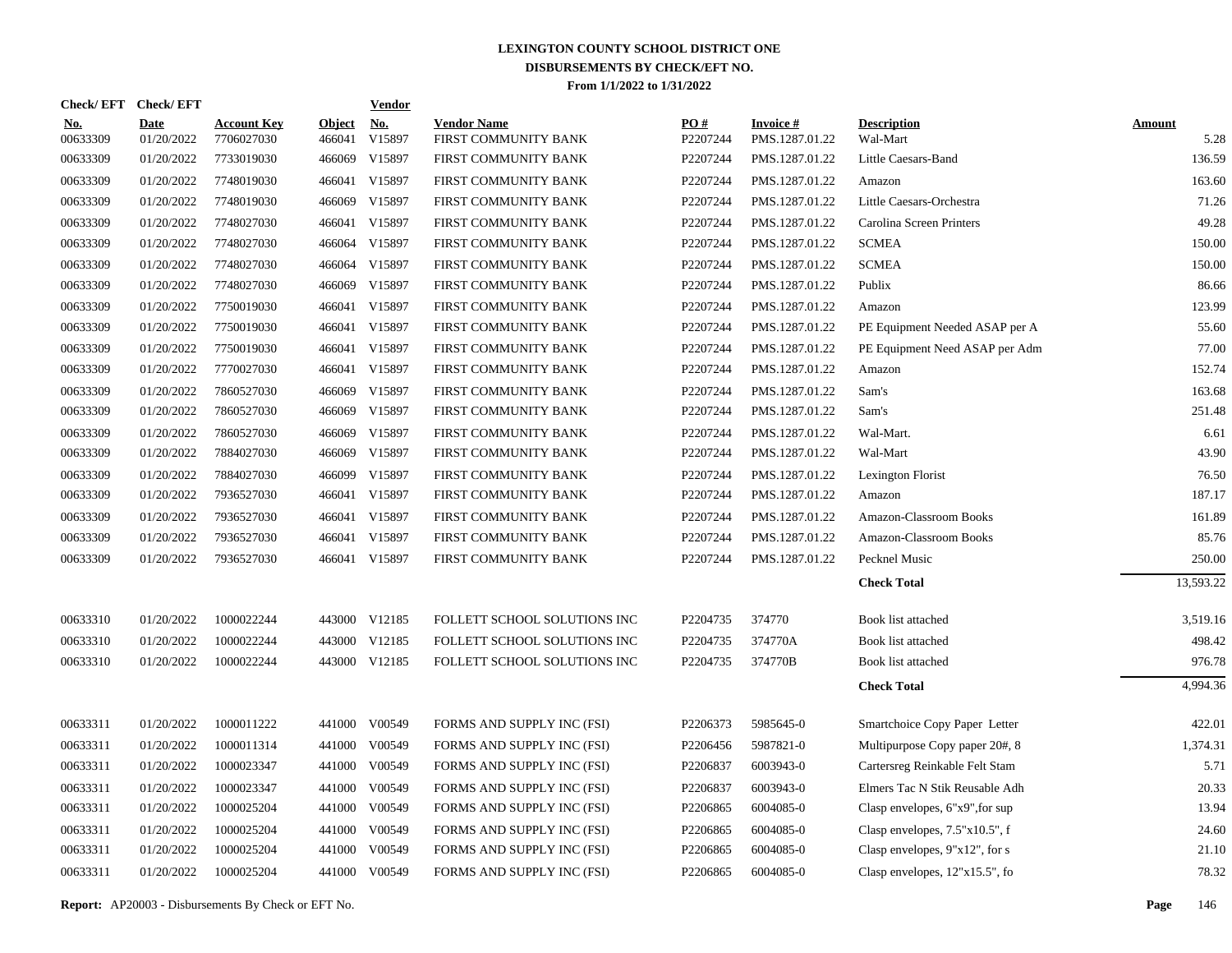|                        | Check/EFT Check/EFT       |                                  |                         | <b>Vendor</b> |                                            |                 |                             |                                   |                       |
|------------------------|---------------------------|----------------------------------|-------------------------|---------------|--------------------------------------------|-----------------|-----------------------------|-----------------------------------|-----------------------|
| <u>No.</u><br>00633309 | <b>Date</b><br>01/20/2022 | <b>Account Key</b><br>7706027030 | <b>Object</b><br>466041 | No.<br>V15897 | <b>Vendor Name</b><br>FIRST COMMUNITY BANK | PO#<br>P2207244 | Invoice #<br>PMS.1287.01.22 | <b>Description</b><br>Wal-Mart    | <b>Amount</b><br>5.28 |
| 00633309               | 01/20/2022                | 7733019030                       | 466069                  | V15897        | FIRST COMMUNITY BANK                       | P2207244        | PMS.1287.01.22              | Little Caesars-Band               | 136.59                |
| 00633309               | 01/20/2022                | 7748019030                       | 466041                  | V15897        | FIRST COMMUNITY BANK                       | P2207244        | PMS.1287.01.22              | Amazon                            | 163.60                |
| 00633309               | 01/20/2022                | 7748019030                       | 466069                  | V15897        | FIRST COMMUNITY BANK                       | P2207244        | PMS.1287.01.22              | Little Caesars-Orchestra          | 71.26                 |
| 00633309               | 01/20/2022                | 7748027030                       | 466041                  | V15897        | FIRST COMMUNITY BANK                       | P2207244        | PMS.1287.01.22              | Carolina Screen Printers          | 49.28                 |
| 00633309               | 01/20/2022                | 7748027030                       |                         | 466064 V15897 | FIRST COMMUNITY BANK                       | P2207244        | PMS.1287.01.22              | <b>SCMEA</b>                      | 150.00                |
| 00633309               | 01/20/2022                | 7748027030                       | 466064                  | V15897        | FIRST COMMUNITY BANK                       | P2207244        | PMS.1287.01.22              | <b>SCMEA</b>                      | 150.00                |
| 00633309               | 01/20/2022                | 7748027030                       | 466069                  | V15897        | FIRST COMMUNITY BANK                       | P2207244        | PMS.1287.01.22              | Publix                            | 86.66                 |
| 00633309               | 01/20/2022                | 7750019030                       | 466041                  | V15897        | FIRST COMMUNITY BANK                       | P2207244        | PMS.1287.01.22              | Amazon                            | 123.99                |
| 00633309               | 01/20/2022                | 7750019030                       |                         | 466041 V15897 | FIRST COMMUNITY BANK                       | P2207244        | PMS.1287.01.22              | PE Equipment Needed ASAP per A    | 55.60                 |
| 00633309               | 01/20/2022                | 7750019030                       |                         | 466041 V15897 | FIRST COMMUNITY BANK                       | P2207244        | PMS.1287.01.22              | PE Equipment Need ASAP per Adm    | 77.00                 |
| 00633309               | 01/20/2022                | 7770027030                       |                         | 466041 V15897 | FIRST COMMUNITY BANK                       | P2207244        | PMS.1287.01.22              | Amazon                            | 152.74                |
| 00633309               | 01/20/2022                | 7860527030                       | 466069                  | V15897        | FIRST COMMUNITY BANK                       | P2207244        | PMS.1287.01.22              | Sam's                             | 163.68                |
| 00633309               | 01/20/2022                | 7860527030                       | 466069                  | V15897        | FIRST COMMUNITY BANK                       | P2207244        | PMS.1287.01.22              | Sam's                             | 251.48                |
| 00633309               | 01/20/2022                | 7860527030                       | 466069                  | V15897        | FIRST COMMUNITY BANK                       | P2207244        | PMS.1287.01.22              | Wal-Mart.                         | 6.61                  |
| 00633309               | 01/20/2022                | 7884027030                       |                         | 466069 V15897 | FIRST COMMUNITY BANK                       | P2207244        | PMS.1287.01.22              | Wal-Mart                          | 43.90                 |
| 00633309               | 01/20/2022                | 7884027030                       | 466099                  | V15897        | FIRST COMMUNITY BANK                       | P2207244        | PMS.1287.01.22              | Lexington Florist                 | 76.50                 |
| 00633309               | 01/20/2022                | 7936527030                       |                         | 466041 V15897 | FIRST COMMUNITY BANK                       | P2207244        | PMS.1287.01.22              | Amazon                            | 187.17                |
| 00633309               | 01/20/2022                | 7936527030                       |                         | 466041 V15897 | FIRST COMMUNITY BANK                       | P2207244        | PMS.1287.01.22              | Amazon-Classroom Books            | 161.89                |
| 00633309               | 01/20/2022                | 7936527030                       |                         | 466041 V15897 | FIRST COMMUNITY BANK                       | P2207244        | PMS.1287.01.22              | Amazon-Classroom Books            | 85.76                 |
| 00633309               | 01/20/2022                | 7936527030                       |                         | 466041 V15897 | FIRST COMMUNITY BANK                       | P2207244        | PMS.1287.01.22              | Pecknel Music                     | 250.00                |
|                        |                           |                                  |                         |               |                                            |                 |                             | <b>Check Total</b>                | 13,593.22             |
| 00633310               | 01/20/2022                | 1000022244                       |                         | 443000 V12185 | FOLLETT SCHOOL SOLUTIONS INC               | P2204735        | 374770                      | Book list attached                | 3,519.16              |
| 00633310               | 01/20/2022                | 1000022244                       |                         | 443000 V12185 | FOLLETT SCHOOL SOLUTIONS INC               | P2204735        | 374770A                     | Book list attached                | 498.42                |
| 00633310               | 01/20/2022                | 1000022244                       |                         | 443000 V12185 | FOLLETT SCHOOL SOLUTIONS INC               | P2204735        | 374770B                     | Book list attached                | 976.78                |
|                        |                           |                                  |                         |               |                                            |                 |                             | <b>Check Total</b>                | 4,994.36              |
| 00633311               | 01/20/2022                | 1000011222                       |                         | 441000 V00549 | FORMS AND SUPPLY INC (FSI)                 | P2206373        | 5985645-0                   | Smartchoice Copy Paper Letter     | 422.01                |
| 00633311               | 01/20/2022                | 1000011314                       |                         | 441000 V00549 | FORMS AND SUPPLY INC (FSI)                 | P2206456        | 5987821-0                   | Multipurpose Copy paper 20#, 8    | 1,374.31              |
| 00633311               | 01/20/2022                | 1000023347                       |                         | 441000 V00549 | FORMS AND SUPPLY INC (FSI)                 | P2206837        | 6003943-0                   | Cartersreg Reinkable Felt Stam    | 5.71                  |
| 00633311               | 01/20/2022                | 1000023347                       |                         | 441000 V00549 | FORMS AND SUPPLY INC (FSI)                 | P2206837        | 6003943-0                   | Elmers Tac N Stik Reusable Adh    | 20.33                 |
| 00633311               | 01/20/2022                | 1000025204                       |                         | 441000 V00549 | FORMS AND SUPPLY INC (FSI)                 | P2206865        | 6004085-0                   | Clasp envelopes, 6"x9", for sup   | 13.94                 |
| 00633311               | 01/20/2022                | 1000025204                       |                         | 441000 V00549 | FORMS AND SUPPLY INC (FSI)                 | P2206865        | 6004085-0                   | Clasp envelopes, $7.5"x10.5"$ , f | 24.60                 |
| 00633311               | 01/20/2022                | 1000025204                       | 441000                  | V00549        | FORMS AND SUPPLY INC (FSI)                 | P2206865        | 6004085-0                   | Clasp envelopes, $9"x12"$ , for s | 21.10                 |
| 00633311               | 01/20/2022                | 1000025204                       |                         | 441000 V00549 | FORMS AND SUPPLY INC (FSI)                 | P2206865        | 6004085-0                   | Clasp envelopes, $12"x15.5"$ , fo | 78.32                 |
|                        |                           |                                  |                         |               |                                            |                 |                             |                                   |                       |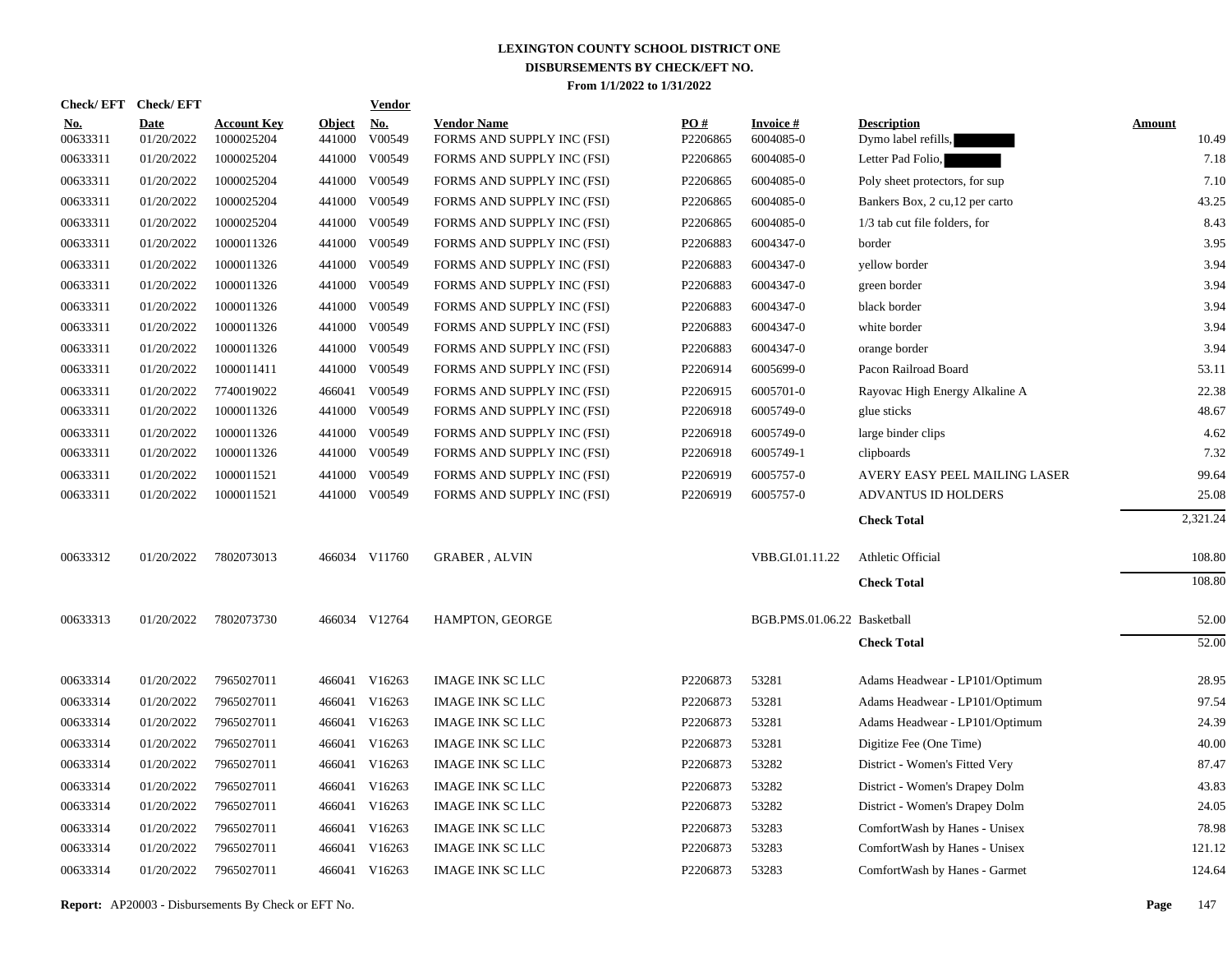| Check/EFT Check/EFT    |                           |                                  |                         | <b>Vendor</b>        |                                                  |                 |                              |                                           |                        |
|------------------------|---------------------------|----------------------------------|-------------------------|----------------------|--------------------------------------------------|-----------------|------------------------------|-------------------------------------------|------------------------|
| <u>No.</u><br>00633311 | <b>Date</b><br>01/20/2022 | <b>Account Key</b><br>1000025204 | <b>Object</b><br>441000 | <u>No.</u><br>V00549 | <b>Vendor Name</b><br>FORMS AND SUPPLY INC (FSI) | PO#<br>P2206865 | <b>Invoice#</b><br>6004085-0 | <b>Description</b><br>Dymo label refills, | <b>Amount</b><br>10.49 |
| 00633311               | 01/20/2022                | 1000025204                       | 441000                  | V00549               | FORMS AND SUPPLY INC (FSI)                       | P2206865        | 6004085-0                    | Letter Pad Folio,                         | 7.18                   |
| 00633311               | 01/20/2022                | 1000025204                       | 441000                  | V00549               | FORMS AND SUPPLY INC (FSI)                       | P2206865        | 6004085-0                    | Poly sheet protectors, for sup            | 7.10                   |
| 00633311               | 01/20/2022                | 1000025204                       | 441000                  | V00549               | FORMS AND SUPPLY INC (FSI)                       | P2206865        | 6004085-0                    | Bankers Box, 2 cu, 12 per carto           | 43.25                  |
| 00633311               | 01/20/2022                | 1000025204                       |                         | 441000 V00549        | FORMS AND SUPPLY INC (FSI)                       | P2206865        | 6004085-0                    | 1/3 tab cut file folders, for             | 8.43                   |
| 00633311               | 01/20/2022                | 1000011326                       | 441000                  | V00549               | FORMS AND SUPPLY INC (FSI)                       | P2206883        | 6004347-0                    | border                                    | 3.95                   |
| 00633311               | 01/20/2022                | 1000011326                       |                         | 441000 V00549        | FORMS AND SUPPLY INC (FSI)                       | P2206883        | 6004347-0                    | yellow border                             | 3.94                   |
| 00633311               | 01/20/2022                | 1000011326                       | 441000                  | V00549               | FORMS AND SUPPLY INC (FSI)                       | P2206883        | 6004347-0                    | green border                              | 3.94                   |
| 00633311               | 01/20/2022                | 1000011326                       |                         | 441000 V00549        | FORMS AND SUPPLY INC (FSI)                       | P2206883        | 6004347-0                    | black border                              | 3.94                   |
| 00633311               | 01/20/2022                | 1000011326                       | 441000                  | V00549               | FORMS AND SUPPLY INC (FSI)                       | P2206883        | 6004347-0                    | white border                              | 3.94                   |
| 00633311               | 01/20/2022                | 1000011326                       |                         | 441000 V00549        | FORMS AND SUPPLY INC (FSI)                       | P2206883        | 6004347-0                    | orange border                             | 3.94                   |
| 00633311               | 01/20/2022                | 1000011411                       |                         | 441000 V00549        | FORMS AND SUPPLY INC (FSI)                       | P2206914        | 6005699-0                    | Pacon Railroad Board                      | 53.11                  |
| 00633311               | 01/20/2022                | 7740019022                       |                         | 466041 V00549        | FORMS AND SUPPLY INC (FSI)                       | P2206915        | 6005701-0                    | Rayovac High Energy Alkaline A            | 22.38                  |
| 00633311               | 01/20/2022                | 1000011326                       |                         | 441000 V00549        | FORMS AND SUPPLY INC (FSI)                       | P2206918        | 6005749-0                    | glue sticks                               | 48.67                  |
| 00633311               | 01/20/2022                | 1000011326                       |                         | 441000 V00549        | FORMS AND SUPPLY INC (FSI)                       | P2206918        | 6005749-0                    | large binder clips                        | 4.62                   |
| 00633311               | 01/20/2022                | 1000011326                       |                         | 441000 V00549        | FORMS AND SUPPLY INC (FSI)                       | P2206918        | 6005749-1                    | clipboards                                | 7.32                   |
| 00633311               | 01/20/2022                | 1000011521                       | 441000                  | V00549               | FORMS AND SUPPLY INC (FSI)                       | P2206919        | 6005757-0                    | AVERY EASY PEEL MAILING LASER             | 99.64                  |
| 00633311               | 01/20/2022                | 1000011521                       |                         | 441000 V00549        | FORMS AND SUPPLY INC (FSI)                       | P2206919        | 6005757-0                    | <b>ADVANTUS ID HOLDERS</b>                | 25.08                  |
|                        |                           |                                  |                         |                      |                                                  |                 |                              | <b>Check Total</b>                        | 2,321.24               |
| 00633312               | 01/20/2022                | 7802073013                       |                         | 466034 V11760        | <b>GRABER, ALVIN</b>                             |                 | VBB.GI.01.11.22              | Athletic Official                         | 108.80                 |
|                        |                           |                                  |                         |                      |                                                  |                 |                              | <b>Check Total</b>                        | 108.80                 |
| 00633313               | 01/20/2022                | 7802073730                       |                         | 466034 V12764        | HAMPTON, GEORGE                                  |                 | BGB.PMS.01.06.22 Basketball  |                                           | 52.00                  |
|                        |                           |                                  |                         |                      |                                                  |                 |                              | <b>Check Total</b>                        | 52.00                  |
| 00633314               | 01/20/2022                | 7965027011                       |                         | 466041 V16263        | <b>IMAGE INK SC LLC</b>                          | P2206873        | 53281                        | Adams Headwear - LP101/Optimum            | 28.95                  |
| 00633314               | 01/20/2022                | 7965027011                       | 466041                  | V16263               | <b>IMAGE INK SC LLC</b>                          | P2206873        | 53281                        | Adams Headwear - LP101/Optimum            | 97.54                  |
| 00633314               | 01/20/2022                | 7965027011                       |                         | 466041 V16263        | IMAGE INK SC LLC                                 | P2206873        | 53281                        | Adams Headwear - LP101/Optimum            | 24.39                  |
| 00633314               | 01/20/2022                | 7965027011                       | 466041                  | V16263               | <b>IMAGE INK SC LLC</b>                          | P2206873        | 53281                        | Digitize Fee (One Time)                   | 40.00                  |
| 00633314               | 01/20/2022                | 7965027011                       |                         | 466041 V16263        | <b>IMAGE INK SC LLC</b>                          | P2206873        | 53282                        | District - Women's Fitted Very            | 87.47                  |
| 00633314               | 01/20/2022                | 7965027011                       | 466041                  | V16263               | <b>IMAGE INK SC LLC</b>                          | P2206873        | 53282                        | District - Women's Drapey Dolm            | 43.83                  |
| 00633314               | 01/20/2022                | 7965027011                       |                         | 466041 V16263        | <b>IMAGE INK SC LLC</b>                          | P2206873        | 53282                        | District - Women's Drapey Dolm            | 24.05                  |
| 00633314               | 01/20/2022                | 7965027011                       | 466041                  | V16263               | <b>IMAGE INK SC LLC</b>                          | P2206873        | 53283                        | ComfortWash by Hanes - Unisex             | 78.98                  |
| 00633314               | 01/20/2022                | 7965027011                       |                         | 466041 V16263        | <b>IMAGE INK SC LLC</b>                          | P2206873        | 53283                        | ComfortWash by Hanes - Unisex             | 121.12                 |
| 00633314               | 01/20/2022                | 7965027011                       |                         | 466041 V16263        | <b>IMAGE INK SC LLC</b>                          | P2206873        | 53283                        | ComfortWash by Hanes - Garmet             | 124.64                 |

**Report:** AP20003 - Disbursements By Check or EFT No. **Page** 147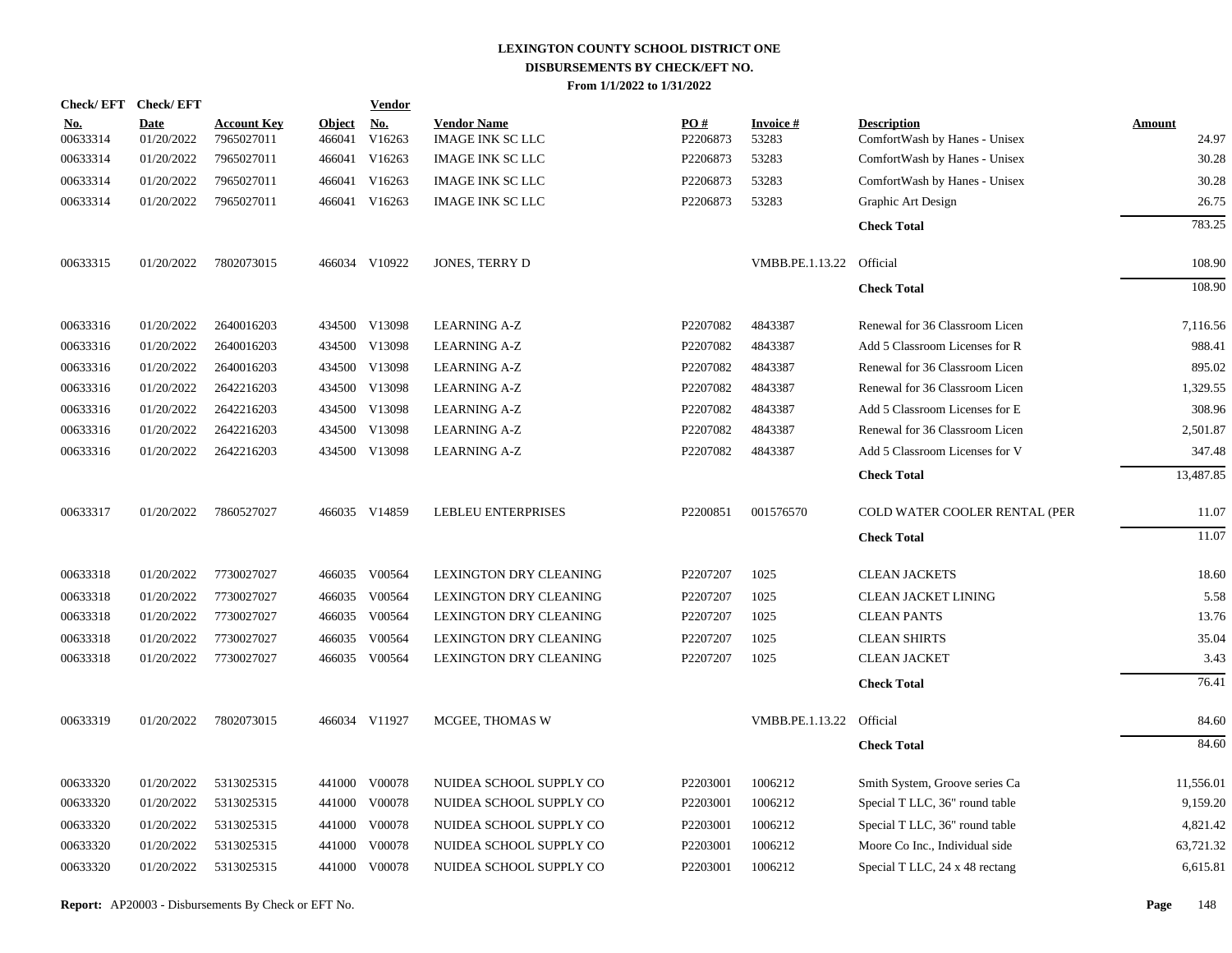| <b>Check/EFT</b>       | <b>Check/EFT</b>          |                                  |                         | <b>Vendor</b>        |                                               |                 |                          |                                                     |                        |
|------------------------|---------------------------|----------------------------------|-------------------------|----------------------|-----------------------------------------------|-----------------|--------------------------|-----------------------------------------------------|------------------------|
| <u>No.</u><br>00633314 | <b>Date</b><br>01/20/2022 | <b>Account Key</b><br>7965027011 | <b>Object</b><br>466041 | <u>No.</u><br>V16263 | <b>Vendor Name</b><br><b>IMAGE INK SC LLC</b> | PO#<br>P2206873 | <b>Invoice#</b><br>53283 | <b>Description</b><br>ComfortWash by Hanes - Unisex | <b>Amount</b><br>24.97 |
| 00633314               | 01/20/2022                | 7965027011                       | 466041                  | V16263               | <b>IMAGE INK SC LLC</b>                       | P2206873        | 53283                    | ComfortWash by Hanes - Unisex                       | 30.28                  |
| 00633314               | 01/20/2022                | 7965027011                       | 466041                  | V16263               | <b>IMAGE INK SC LLC</b>                       | P2206873        | 53283                    | ComfortWash by Hanes - Unisex                       | 30.28                  |
| 00633314               | 01/20/2022                | 7965027011                       |                         | 466041 V16263        | <b>IMAGE INK SC LLC</b>                       | P2206873        | 53283                    | Graphic Art Design                                  | 26.75                  |
|                        |                           |                                  |                         |                      |                                               |                 |                          | <b>Check Total</b>                                  | 783.25                 |
| 00633315               | 01/20/2022                | 7802073015                       |                         | 466034 V10922        | JONES, TERRY D                                |                 | VMBB.PE.1.13.22          | Official                                            | 108.90                 |
|                        |                           |                                  |                         |                      |                                               |                 |                          | <b>Check Total</b>                                  | 108.90                 |
| 00633316               | 01/20/2022                | 2640016203                       |                         | 434500 V13098        | <b>LEARNING A-Z</b>                           | P2207082        | 4843387                  | Renewal for 36 Classroom Licen                      | 7,116.56               |
| 00633316               | 01/20/2022                | 2640016203                       |                         | 434500 V13098        | <b>LEARNING A-Z</b>                           | P2207082        | 4843387                  | Add 5 Classroom Licenses for R                      | 988.41                 |
| 00633316               | 01/20/2022                | 2640016203                       | 434500                  | V13098               | <b>LEARNING A-Z</b>                           | P2207082        | 4843387                  | Renewal for 36 Classroom Licen                      | 895.02                 |
| 00633316               | 01/20/2022                | 2642216203                       |                         | 434500 V13098        | <b>LEARNING A-Z</b>                           | P2207082        | 4843387                  | Renewal for 36 Classroom Licen                      | 1,329.55               |
| 00633316               | 01/20/2022                | 2642216203                       | 434500                  | V13098               | <b>LEARNING A-Z</b>                           | P2207082        | 4843387                  | Add 5 Classroom Licenses for E                      | 308.96                 |
| 00633316               | 01/20/2022                | 2642216203                       |                         | 434500 V13098        | <b>LEARNING A-Z</b>                           | P2207082        | 4843387                  | Renewal for 36 Classroom Licen                      | 2,501.87               |
| 00633316               | 01/20/2022                | 2642216203                       |                         | 434500 V13098        | <b>LEARNING A-Z</b>                           | P2207082        | 4843387                  | Add 5 Classroom Licenses for V                      | 347.48                 |
|                        |                           |                                  |                         |                      |                                               |                 |                          | <b>Check Total</b>                                  | 13,487.85              |
| 00633317               | 01/20/2022                | 7860527027                       |                         | 466035 V14859        | <b>LEBLEU ENTERPRISES</b>                     | P2200851        | 001576570                | COLD WATER COOLER RENTAL (PER                       | 11.07                  |
|                        |                           |                                  |                         |                      |                                               |                 |                          | <b>Check Total</b>                                  | 11.07                  |
| 00633318               | 01/20/2022                | 7730027027                       |                         | 466035 V00564        | LEXINGTON DRY CLEANING                        | P2207207        | 1025                     | <b>CLEAN JACKETS</b>                                | 18.60                  |
| 00633318               | 01/20/2022                | 7730027027                       |                         | 466035 V00564        | LEXINGTON DRY CLEANING                        | P2207207        | 1025                     | <b>CLEAN JACKET LINING</b>                          | 5.58                   |
| 00633318               | 01/20/2022                | 7730027027                       |                         | 466035 V00564        | LEXINGTON DRY CLEANING                        | P2207207        | 1025                     | <b>CLEAN PANTS</b>                                  | 13.76                  |
| 00633318               | 01/20/2022                | 7730027027                       |                         | 466035 V00564        | LEXINGTON DRY CLEANING                        | P2207207        | 1025                     | <b>CLEAN SHIRTS</b>                                 | 35.04                  |
| 00633318               | 01/20/2022                | 7730027027                       |                         | 466035 V00564        | LEXINGTON DRY CLEANING                        | P2207207        | 1025                     | <b>CLEAN JACKET</b>                                 | 3.43                   |
|                        |                           |                                  |                         |                      |                                               |                 |                          | <b>Check Total</b>                                  | 76.41                  |
| 00633319               | 01/20/2022                | 7802073015                       |                         | 466034 V11927        | MCGEE, THOMAS W                               |                 | VMBB.PE.1.13.22          | Official                                            | 84.60                  |
|                        |                           |                                  |                         |                      |                                               |                 |                          | <b>Check Total</b>                                  | 84.60                  |
| 00633320               | 01/20/2022                | 5313025315                       |                         | 441000 V00078        | NUIDEA SCHOOL SUPPLY CO                       | P2203001        | 1006212                  | Smith System, Groove series Ca                      | 11,556.01              |
| 00633320               | 01/20/2022                | 5313025315                       |                         | 441000 V00078        | NUIDEA SCHOOL SUPPLY CO                       | P2203001        | 1006212                  | Special T LLC, 36" round table                      | 9,159.20               |
| 00633320               | 01/20/2022                | 5313025315                       |                         | 441000 V00078        | NUIDEA SCHOOL SUPPLY CO                       | P2203001        | 1006212                  | Special T LLC, 36" round table                      | 4,821.42               |
| 00633320               | 01/20/2022                | 5313025315                       | 441000                  | V00078               | NUIDEA SCHOOL SUPPLY CO                       | P2203001        | 1006212                  | Moore Co Inc., Individual side                      | 63,721.32              |
| 00633320               | 01/20/2022                | 5313025315                       |                         | 441000 V00078        | NUIDEA SCHOOL SUPPLY CO                       | P2203001        | 1006212                  | Special T LLC, 24 x 48 rectang                      | 6,615.81               |
|                        |                           |                                  |                         |                      |                                               |                 |                          |                                                     |                        |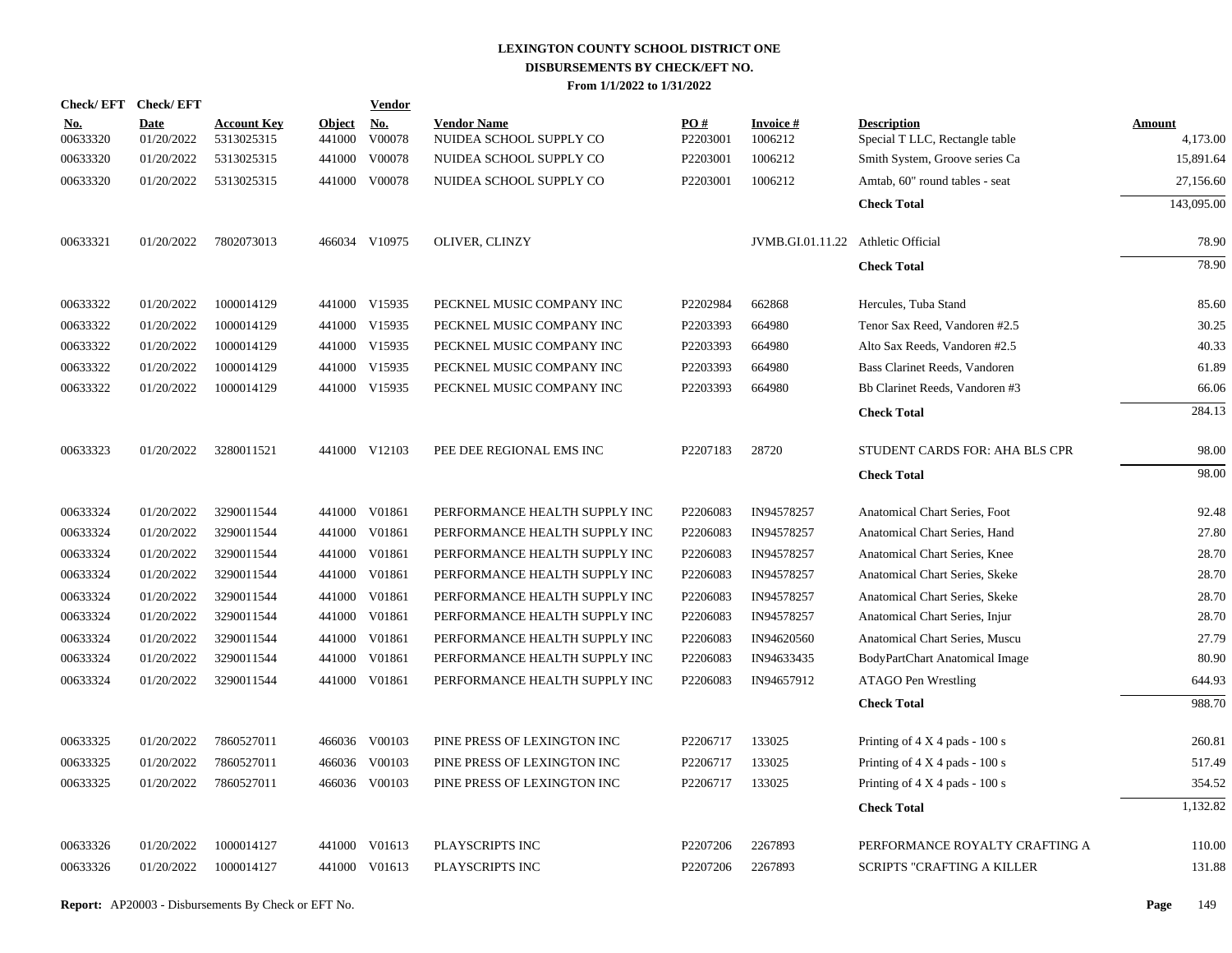| <b>Check/EFT</b>       | <b>Check/EFT</b>          |                                  |                         | <b>Vendor</b> |                                               |                 |                                    |                                                      |                           |
|------------------------|---------------------------|----------------------------------|-------------------------|---------------|-----------------------------------------------|-----------------|------------------------------------|------------------------------------------------------|---------------------------|
| <u>No.</u><br>00633320 | <b>Date</b><br>01/20/2022 | <b>Account Key</b><br>5313025315 | <b>Object</b><br>441000 | No.<br>V00078 | <b>Vendor Name</b><br>NUIDEA SCHOOL SUPPLY CO | PO#<br>P2203001 | <b>Invoice#</b><br>1006212         | <b>Description</b><br>Special T LLC, Rectangle table | <b>Amount</b><br>4,173.00 |
| 00633320               | 01/20/2022                | 5313025315                       | 441000                  | V00078        | NUIDEA SCHOOL SUPPLY CO                       | P2203001        | 1006212                            | Smith System, Groove series Ca                       | 15,891.64                 |
| 00633320               | 01/20/2022                | 5313025315                       |                         | 441000 V00078 | NUIDEA SCHOOL SUPPLY CO                       | P2203001        | 1006212                            | Amtab, 60" round tables - seat                       | 27,156.60                 |
|                        |                           |                                  |                         |               |                                               |                 |                                    | <b>Check Total</b>                                   | 143,095.00                |
| 00633321               | 01/20/2022                | 7802073013                       |                         | 466034 V10975 | <b>OLIVER, CLINZY</b>                         |                 | JVMB.GI.01.11.22 Athletic Official |                                                      | 78.90                     |
|                        |                           |                                  |                         |               |                                               |                 |                                    | <b>Check Total</b>                                   | 78.90                     |
| 00633322               | 01/20/2022                | 1000014129                       |                         | 441000 V15935 | PECKNEL MUSIC COMPANY INC                     | P2202984        | 662868                             | Hercules, Tuba Stand                                 | 85.60                     |
| 00633322               | 01/20/2022                | 1000014129                       |                         | 441000 V15935 | PECKNEL MUSIC COMPANY INC                     | P2203393        | 664980                             | Tenor Sax Reed, Vandoren #2.5                        | 30.25                     |
| 00633322               | 01/20/2022                | 1000014129                       |                         | 441000 V15935 | PECKNEL MUSIC COMPANY INC                     | P2203393        | 664980                             | Alto Sax Reeds, Vandoren #2.5                        | 40.33                     |
| 00633322               | 01/20/2022                | 1000014129                       |                         | 441000 V15935 | PECKNEL MUSIC COMPANY INC                     | P2203393        | 664980                             | Bass Clarinet Reeds, Vandoren                        | 61.89                     |
| 00633322               | 01/20/2022                | 1000014129                       |                         | 441000 V15935 | PECKNEL MUSIC COMPANY INC                     | P2203393        | 664980                             | Bb Clarinet Reeds, Vandoren #3                       | 66.06                     |
|                        |                           |                                  |                         |               |                                               |                 |                                    | <b>Check Total</b>                                   | 284.13                    |
| 00633323               | 01/20/2022                | 3280011521                       |                         | 441000 V12103 | PEE DEE REGIONAL EMS INC                      | P2207183        | 28720                              | STUDENT CARDS FOR: AHA BLS CPR                       | 98.00                     |
|                        |                           |                                  |                         |               |                                               |                 |                                    | <b>Check Total</b>                                   | 98.00                     |
| 00633324               | 01/20/2022                | 3290011544                       |                         | 441000 V01861 | PERFORMANCE HEALTH SUPPLY INC                 | P2206083        | IN94578257                         | Anatomical Chart Series, Foot                        | 92.48                     |
| 00633324               | 01/20/2022                | 3290011544                       |                         | 441000 V01861 | PERFORMANCE HEALTH SUPPLY INC                 | P2206083        | IN94578257                         | Anatomical Chart Series, Hand                        | 27.80                     |
| 00633324               | 01/20/2022                | 3290011544                       |                         | 441000 V01861 | PERFORMANCE HEALTH SUPPLY INC                 | P2206083        | IN94578257                         | Anatomical Chart Series, Knee                        | 28.70                     |
| 00633324               | 01/20/2022                | 3290011544                       |                         | 441000 V01861 | PERFORMANCE HEALTH SUPPLY INC                 | P2206083        | IN94578257                         | Anatomical Chart Series, Skeke                       | 28.70                     |
| 00633324               | 01/20/2022                | 3290011544                       |                         | 441000 V01861 | PERFORMANCE HEALTH SUPPLY INC                 | P2206083        | IN94578257                         | Anatomical Chart Series, Skeke                       | 28.70                     |
| 00633324               | 01/20/2022                | 3290011544                       |                         | 441000 V01861 | PERFORMANCE HEALTH SUPPLY INC                 | P2206083        | IN94578257                         | Anatomical Chart Series, Injur                       | 28.70                     |
| 00633324               | 01/20/2022                | 3290011544                       |                         | 441000 V01861 | PERFORMANCE HEALTH SUPPLY INC                 | P2206083        | IN94620560                         | Anatomical Chart Series, Muscu                       | 27.79                     |
| 00633324               | 01/20/2022                | 3290011544                       | 441000                  | V01861        | PERFORMANCE HEALTH SUPPLY INC                 | P2206083        | IN94633435                         | BodyPartChart Anatomical Image                       | 80.90                     |
| 00633324               | 01/20/2022                | 3290011544                       |                         | 441000 V01861 | PERFORMANCE HEALTH SUPPLY INC                 | P2206083        | IN94657912                         | ATAGO Pen Wrestling                                  | 644.93                    |
|                        |                           |                                  |                         |               |                                               |                 |                                    | <b>Check Total</b>                                   | 988.70                    |
| 00633325               | 01/20/2022                | 7860527011                       |                         | 466036 V00103 | PINE PRESS OF LEXINGTON INC                   | P2206717        | 133025                             | Printing of $4 \times 4$ pads - 100 s                | 260.81                    |
| 00633325               | 01/20/2022                | 7860527011                       |                         | 466036 V00103 | PINE PRESS OF LEXINGTON INC                   | P2206717        | 133025                             | Printing of $4 \times 4$ pads - 100 s                | 517.49                    |
| 00633325               | 01/20/2022                | 7860527011                       |                         | 466036 V00103 | PINE PRESS OF LEXINGTON INC                   | P2206717        | 133025                             | Printing of $4 \times 4$ pads - 100 s                | 354.52                    |
|                        |                           |                                  |                         |               |                                               |                 |                                    | <b>Check Total</b>                                   | 1,132.82                  |
| 00633326               | 01/20/2022                | 1000014127                       | 441000                  | V01613        | PLAYSCRIPTS INC                               | P2207206        | 2267893                            | PERFORMANCE ROYALTY CRAFTING A                       | 110.00                    |
| 00633326               | 01/20/2022                | 1000014127                       |                         | 441000 V01613 | PLAYSCRIPTS INC                               | P2207206        | 2267893                            | <b>SCRIPTS "CRAFTING A KILLER</b>                    | 131.88                    |
|                        |                           |                                  |                         |               |                                               |                 |                                    |                                                      |                           |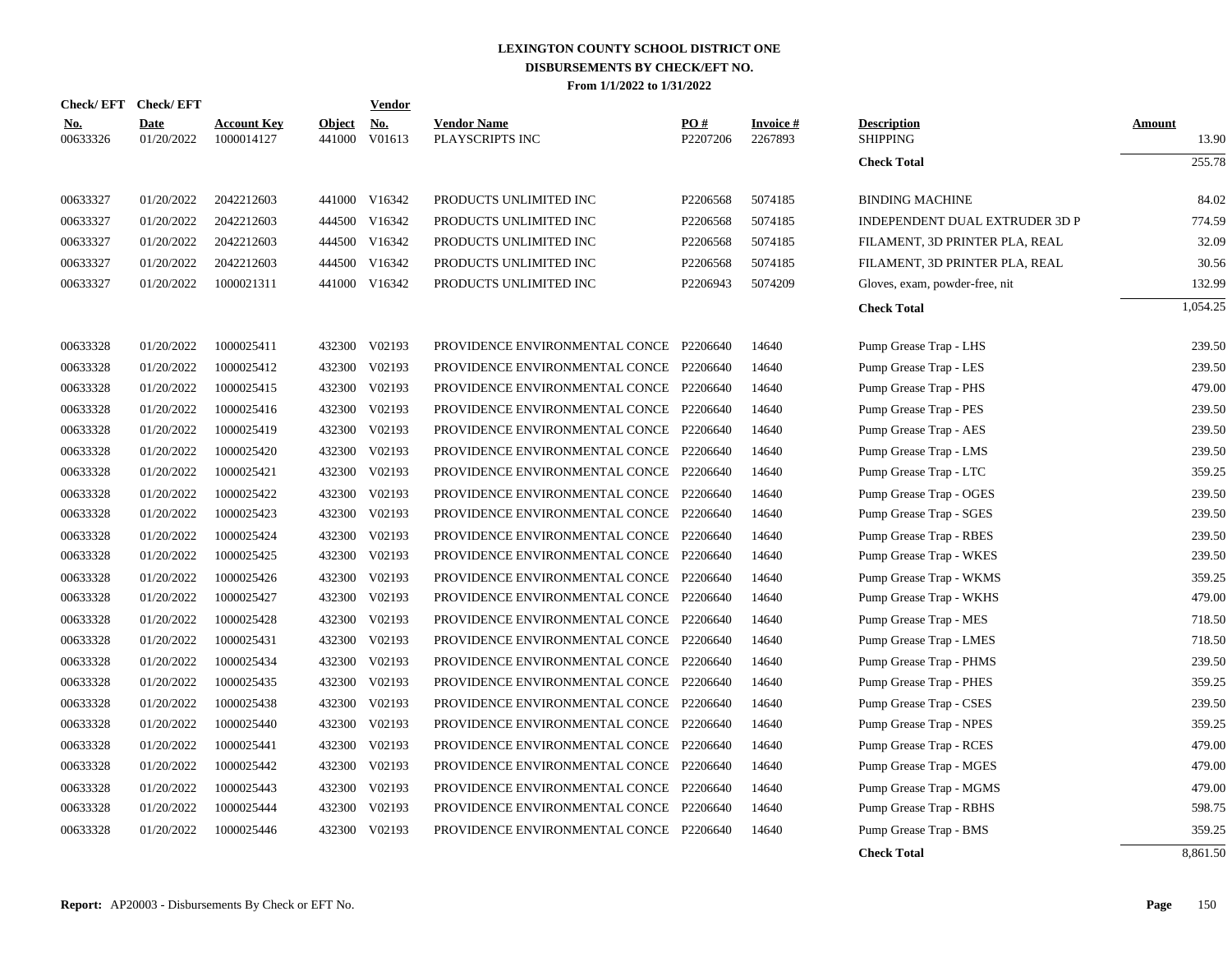|                        | Check/EFT Check/EFT       |                                  |                         | Vendor               |                                         |                 |                      |                                       |                        |
|------------------------|---------------------------|----------------------------------|-------------------------|----------------------|-----------------------------------------|-----------------|----------------------|---------------------------------------|------------------------|
| <u>No.</u><br>00633326 | <b>Date</b><br>01/20/2022 | <b>Account Key</b><br>1000014127 | <b>Object</b><br>441000 | <b>No.</b><br>V01613 | <b>Vendor Name</b><br>PLAYSCRIPTS INC   | PO#<br>P2207206 | Invoice #<br>2267893 | <b>Description</b><br><b>SHIPPING</b> | <b>Amount</b><br>13.90 |
|                        |                           |                                  |                         |                      |                                         |                 |                      | <b>Check Total</b>                    | 255.78                 |
| 00633327               | 01/20/2022                | 2042212603                       |                         | 441000 V16342        | PRODUCTS UNLIMITED INC                  | P2206568        | 5074185              | <b>BINDING MACHINE</b>                | 84.02                  |
| 00633327               | 01/20/2022                | 2042212603                       | 444500                  | V16342               | PRODUCTS UNLIMITED INC                  | P2206568        | 5074185              | INDEPENDENT DUAL EXTRUDER 3D P        | 774.59                 |
| 00633327               | 01/20/2022                | 2042212603                       |                         | 444500 V16342        | PRODUCTS UNLIMITED INC                  | P2206568        | 5074185              | FILAMENT, 3D PRINTER PLA, REAL        | 32.09                  |
| 00633327               | 01/20/2022                | 2042212603                       | 444500                  | V16342               | PRODUCTS UNLIMITED INC                  | P2206568        | 5074185              | FILAMENT, 3D PRINTER PLA, REAL        | 30.56                  |
| 00633327               | 01/20/2022                | 1000021311                       | 441000                  | V16342               | PRODUCTS UNLIMITED INC                  | P2206943        | 5074209              | Gloves, exam, powder-free, nit        | 132.99                 |
|                        |                           |                                  |                         |                      |                                         |                 |                      | <b>Check Total</b>                    | 1,054.25               |
| 00633328               | 01/20/2022                | 1000025411                       | 432300                  | V02193               | PROVIDENCE ENVIRONMENTAL CONCE P2206640 |                 | 14640                | Pump Grease Trap - LHS                | 239.50                 |
| 00633328               | 01/20/2022                | 1000025412                       | 432300                  | V02193               | PROVIDENCE ENVIRONMENTAL CONCE P2206640 |                 | 14640                | Pump Grease Trap - LES                | 239.50                 |
| 00633328               | 01/20/2022                | 1000025415                       | 432300                  | V02193               | PROVIDENCE ENVIRONMENTAL CONCE P2206640 |                 | 14640                | Pump Grease Trap - PHS                | 479.00                 |
| 00633328               | 01/20/2022                | 1000025416                       | 432300                  | V02193               | PROVIDENCE ENVIRONMENTAL CONCE          | P2206640        | 14640                | Pump Grease Trap - PES                | 239.50                 |
| 00633328               | 01/20/2022                | 1000025419                       | 432300                  | V02193               | PROVIDENCE ENVIRONMENTAL CONCE          | P2206640        | 14640                | Pump Grease Trap - AES                | 239.50                 |
| 00633328               | 01/20/2022                | 1000025420                       | 432300                  | V02193               | PROVIDENCE ENVIRONMENTAL CONCE P2206640 |                 | 14640                | Pump Grease Trap - LMS                | 239.50                 |
| 00633328               | 01/20/2022                | 1000025421                       | 432300                  | V02193               | PROVIDENCE ENVIRONMENTAL CONCE P2206640 |                 | 14640                | Pump Grease Trap - LTC                | 359.25                 |
| 00633328               | 01/20/2022                | 1000025422                       | 432300                  | V02193               | PROVIDENCE ENVIRONMENTAL CONCE P2206640 |                 | 14640                | Pump Grease Trap - OGES               | 239.50                 |
| 00633328               | 01/20/2022                | 1000025423                       | 432300                  | V02193               | PROVIDENCE ENVIRONMENTAL CONCE P2206640 |                 | 14640                | Pump Grease Trap - SGES               | 239.50                 |
| 00633328               | 01/20/2022                | 1000025424                       |                         | 432300 V02193        | PROVIDENCE ENVIRONMENTAL CONCE P2206640 |                 | 14640                | Pump Grease Trap - RBES               | 239.50                 |
| 00633328               | 01/20/2022                | 1000025425                       |                         | 432300 V02193        | PROVIDENCE ENVIRONMENTAL CONCE P2206640 |                 | 14640                | Pump Grease Trap - WKES               | 239.50                 |
| 00633328               | 01/20/2022                | 1000025426                       | 432300                  | V02193               | PROVIDENCE ENVIRONMENTAL CONCE P2206640 |                 | 14640                | Pump Grease Trap - WKMS               | 359.25                 |
| 00633328               | 01/20/2022                | 1000025427                       |                         | 432300 V02193        | PROVIDENCE ENVIRONMENTAL CONCE P2206640 |                 | 14640                | Pump Grease Trap - WKHS               | 479.00                 |
| 00633328               | 01/20/2022                | 1000025428                       | 432300                  | V02193               | PROVIDENCE ENVIRONMENTAL CONCE P2206640 |                 | 14640                | Pump Grease Trap - MES                | 718.50                 |
| 00633328               | 01/20/2022                | 1000025431                       | 432300                  | V02193               | PROVIDENCE ENVIRONMENTAL CONCE P2206640 |                 | 14640                | Pump Grease Trap - LMES               | 718.50                 |
| 00633328               | 01/20/2022                | 1000025434                       | 432300                  | V02193               | PROVIDENCE ENVIRONMENTAL CONCE P2206640 |                 | 14640                | Pump Grease Trap - PHMS               | 239.50                 |
| 00633328               | 01/20/2022                | 1000025435                       | 432300                  | V02193               | PROVIDENCE ENVIRONMENTAL CONCE P2206640 |                 | 14640                | Pump Grease Trap - PHES               | 359.25                 |
| 00633328               | 01/20/2022                | 1000025438                       | 432300                  | V02193               | PROVIDENCE ENVIRONMENTAL CONCE P2206640 |                 | 14640                | Pump Grease Trap - CSES               | 239.50                 |
| 00633328               | 01/20/2022                | 1000025440                       | 432300                  | V02193               | PROVIDENCE ENVIRONMENTAL CONCE P2206640 |                 | 14640                | Pump Grease Trap - NPES               | 359.25                 |
| 00633328               | 01/20/2022                | 1000025441                       | 432300                  | V02193               | PROVIDENCE ENVIRONMENTAL CONCE P2206640 |                 | 14640                | Pump Grease Trap - RCES               | 479.00                 |
| 00633328               | 01/20/2022                | 1000025442                       | 432300                  | V02193               | PROVIDENCE ENVIRONMENTAL CONCE P2206640 |                 | 14640                | Pump Grease Trap - MGES               | 479.00                 |
| 00633328               | 01/20/2022                | 1000025443                       | 432300                  | V02193               | PROVIDENCE ENVIRONMENTAL CONCE          | P2206640        | 14640                | Pump Grease Trap - MGMS               | 479.00                 |
| 00633328               | 01/20/2022                | 1000025444                       | 432300                  | V02193               | PROVIDENCE ENVIRONMENTAL CONCE          | P2206640        | 14640                | Pump Grease Trap - RBHS               | 598.75                 |
| 00633328               | 01/20/2022                | 1000025446                       | 432300                  | V02193               | PROVIDENCE ENVIRONMENTAL CONCE P2206640 |                 | 14640                | Pump Grease Trap - BMS                | 359.25                 |
|                        |                           |                                  |                         |                      |                                         |                 |                      | <b>Check Total</b>                    | 8,861.50               |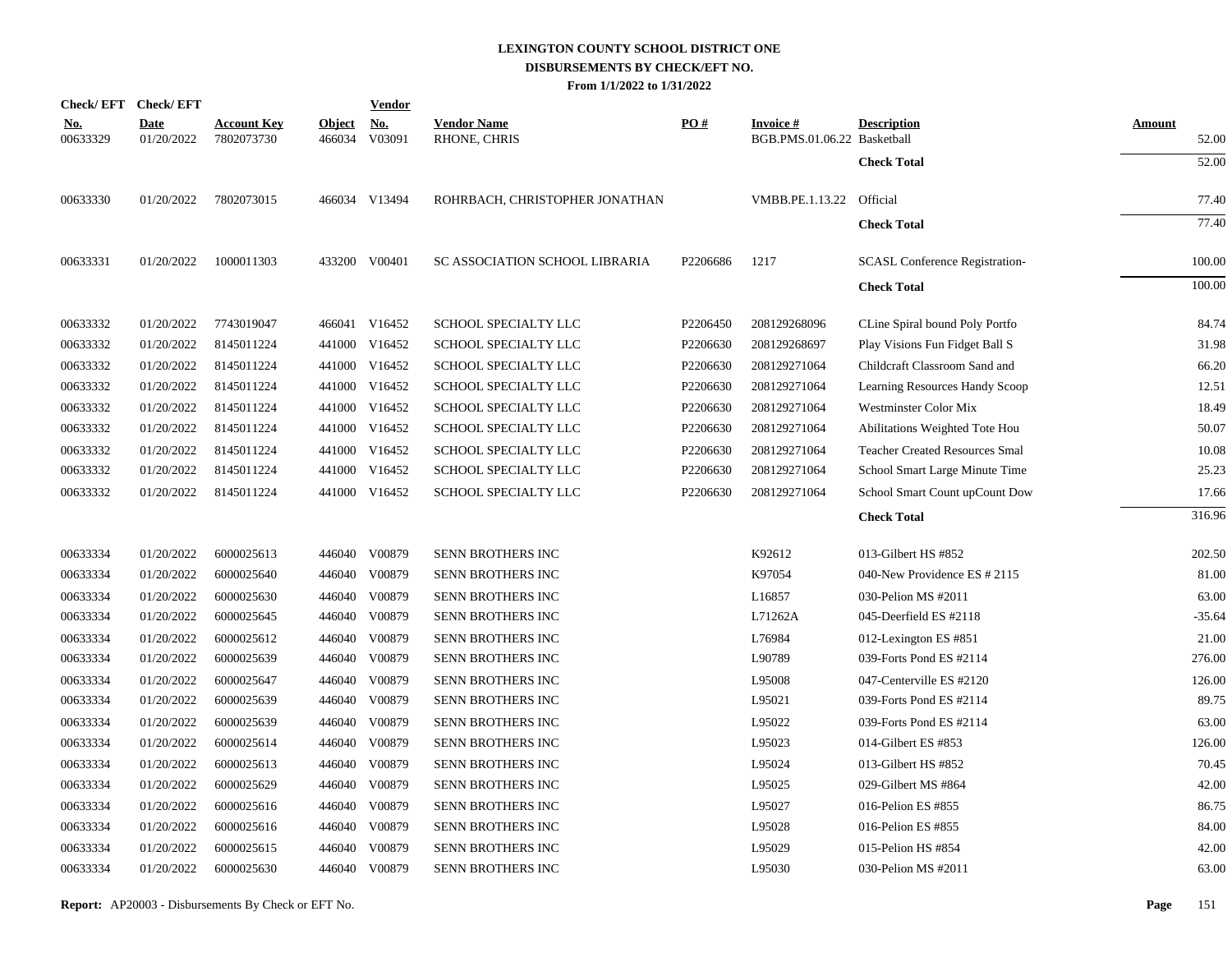|                        | Check/EFT Check/EFT       |                                  |                         | <b>Vendor</b>        |                                    |                   |                                                |                                       |                        |
|------------------------|---------------------------|----------------------------------|-------------------------|----------------------|------------------------------------|-------------------|------------------------------------------------|---------------------------------------|------------------------|
| <u>No.</u><br>00633329 | <b>Date</b><br>01/20/2022 | <b>Account Key</b><br>7802073730 | <b>Object</b><br>466034 | <u>No.</u><br>V03091 | <b>Vendor Name</b><br>RHONE, CHRIS | $\underline{PO#}$ | <b>Invoice#</b><br>BGB.PMS.01.06.22 Basketball | <b>Description</b>                    | <b>Amount</b><br>52.00 |
|                        |                           |                                  |                         |                      |                                    |                   |                                                | <b>Check Total</b>                    | 52.00                  |
| 00633330               | 01/20/2022                | 7802073015                       |                         | 466034 V13494        | ROHRBACH, CHRISTOPHER JONATHAN     |                   | VMBB.PE.1.13.22 Official                       |                                       | 77.40                  |
|                        |                           |                                  |                         |                      |                                    |                   |                                                | <b>Check Total</b>                    | 77.40                  |
| 00633331               | 01/20/2022                | 1000011303                       |                         | 433200 V00401        | SC ASSOCIATION SCHOOL LIBRARIA     | P2206686          | 1217                                           | <b>SCASL Conference Registration-</b> | 100.00                 |
|                        |                           |                                  |                         |                      |                                    |                   |                                                | <b>Check Total</b>                    | 100.00                 |
| 00633332               | 01/20/2022                | 7743019047                       |                         | 466041 V16452        | SCHOOL SPECIALTY LLC               | P2206450          | 208129268096                                   | CLine Spiral bound Poly Portfo        | 84.74                  |
| 00633332               | 01/20/2022                | 8145011224                       | 441000                  | V16452               | SCHOOL SPECIALTY LLC               | P2206630          | 208129268697                                   | Play Visions Fun Fidget Ball S        | 31.98                  |
| 00633332               | 01/20/2022                | 8145011224                       | 441000                  | V16452               | SCHOOL SPECIALTY LLC               | P2206630          | 208129271064                                   | Childcraft Classroom Sand and         | 66.20                  |
| 00633332               | 01/20/2022                | 8145011224                       | 441000                  | V16452               | SCHOOL SPECIALTY LLC               | P2206630          | 208129271064                                   | Learning Resources Handy Scoop        | 12.51                  |
| 00633332               | 01/20/2022                | 8145011224                       | 441000                  | V16452               | SCHOOL SPECIALTY LLC               | P2206630          | 208129271064                                   | <b>Westminster Color Mix</b>          | 18.49                  |
| 00633332               | 01/20/2022                | 8145011224                       | 441000                  | V16452               | SCHOOL SPECIALTY LLC               | P2206630          | 208129271064                                   | Abilitations Weighted Tote Hou        | 50.07                  |
| 00633332               | 01/20/2022                | 8145011224                       | 441000                  | V16452               | SCHOOL SPECIALTY LLC               | P2206630          | 208129271064                                   | <b>Teacher Created Resources Smal</b> | 10.08                  |
| 00633332               | 01/20/2022                | 8145011224                       | 441000                  | V16452               | SCHOOL SPECIALTY LLC               | P2206630          | 208129271064                                   | School Smart Large Minute Time        | 25.23                  |
| 00633332               | 01/20/2022                | 8145011224                       |                         | 441000 V16452        | SCHOOL SPECIALTY LLC               | P2206630          | 208129271064                                   | School Smart Count upCount Dow        | 17.66                  |
|                        |                           |                                  |                         |                      |                                    |                   |                                                | <b>Check Total</b>                    | 316.96                 |
| 00633334               | 01/20/2022                | 6000025613                       | 446040                  | V00879               | SENN BROTHERS INC                  |                   | K92612                                         | 013-Gilbert HS #852                   | 202.50                 |
| 00633334               | 01/20/2022                | 6000025640                       | 446040                  | V00879               | SENN BROTHERS INC                  |                   | K97054                                         | 040-New Providence ES # 2115          | 81.00                  |
| 00633334               | 01/20/2022                | 6000025630                       | 446040                  | V00879               | SENN BROTHERS INC                  |                   | L16857                                         | 030-Pelion MS #2011                   | 63.00                  |
| 00633334               | 01/20/2022                | 6000025645                       | 446040                  | V00879               | SENN BROTHERS INC                  |                   | L71262A                                        | 045-Deerfield ES #2118                | $-35.64$               |
| 00633334               | 01/20/2022                | 6000025612                       | 446040                  | V00879               | SENN BROTHERS INC                  |                   | L76984                                         | 012-Lexington ES #851                 | 21.00                  |
| 00633334               | 01/20/2022                | 6000025639                       | 446040                  | V00879               | SENN BROTHERS INC                  |                   | L90789                                         | 039-Forts Pond ES #2114               | 276.00                 |
| 00633334               | 01/20/2022                | 6000025647                       | 446040                  | V00879               | SENN BROTHERS INC                  |                   | L95008                                         | 047-Centerville ES #2120              | 126.00                 |
| 00633334               | 01/20/2022                | 6000025639                       | 446040                  | V00879               | SENN BROTHERS INC                  |                   | L95021                                         | 039-Forts Pond ES #2114               | 89.75                  |
| 00633334               | 01/20/2022                | 6000025639                       | 446040                  | V00879               | SENN BROTHERS INC                  |                   | L95022                                         | 039-Forts Pond ES #2114               | 63.00                  |
| 00633334               | 01/20/2022                | 6000025614                       | 446040                  | V00879               | SENN BROTHERS INC                  |                   | L95023                                         | 014-Gilbert ES #853                   | 126.00                 |
| 00633334               | 01/20/2022                | 6000025613                       | 446040                  | V00879               | SENN BROTHERS INC                  |                   | L95024                                         | 013-Gilbert HS #852                   | 70.45                  |
| 00633334               | 01/20/2022                | 6000025629                       | 446040                  | V00879               | SENN BROTHERS INC                  |                   | L95025                                         | 029-Gilbert MS #864                   | 42.00                  |
| 00633334               | 01/20/2022                | 6000025616                       | 446040                  | V00879               | SENN BROTHERS INC                  |                   | L95027                                         | 016-Pelion ES #855                    | 86.75                  |
| 00633334               | 01/20/2022                | 6000025616                       | 446040                  | V00879               | SENN BROTHERS INC                  |                   | L95028                                         | 016-Pelion ES #855                    | 84.00                  |
| 00633334               | 01/20/2022                | 6000025615                       | 446040                  | V00879               | SENN BROTHERS INC                  |                   | L95029                                         | 015-Pelion HS #854                    | 42.00                  |
| 00633334               | 01/20/2022                | 6000025630                       |                         | 446040 V00879        | SENN BROTHERS INC                  |                   | L95030                                         | 030-Pelion MS #2011                   | 63.00                  |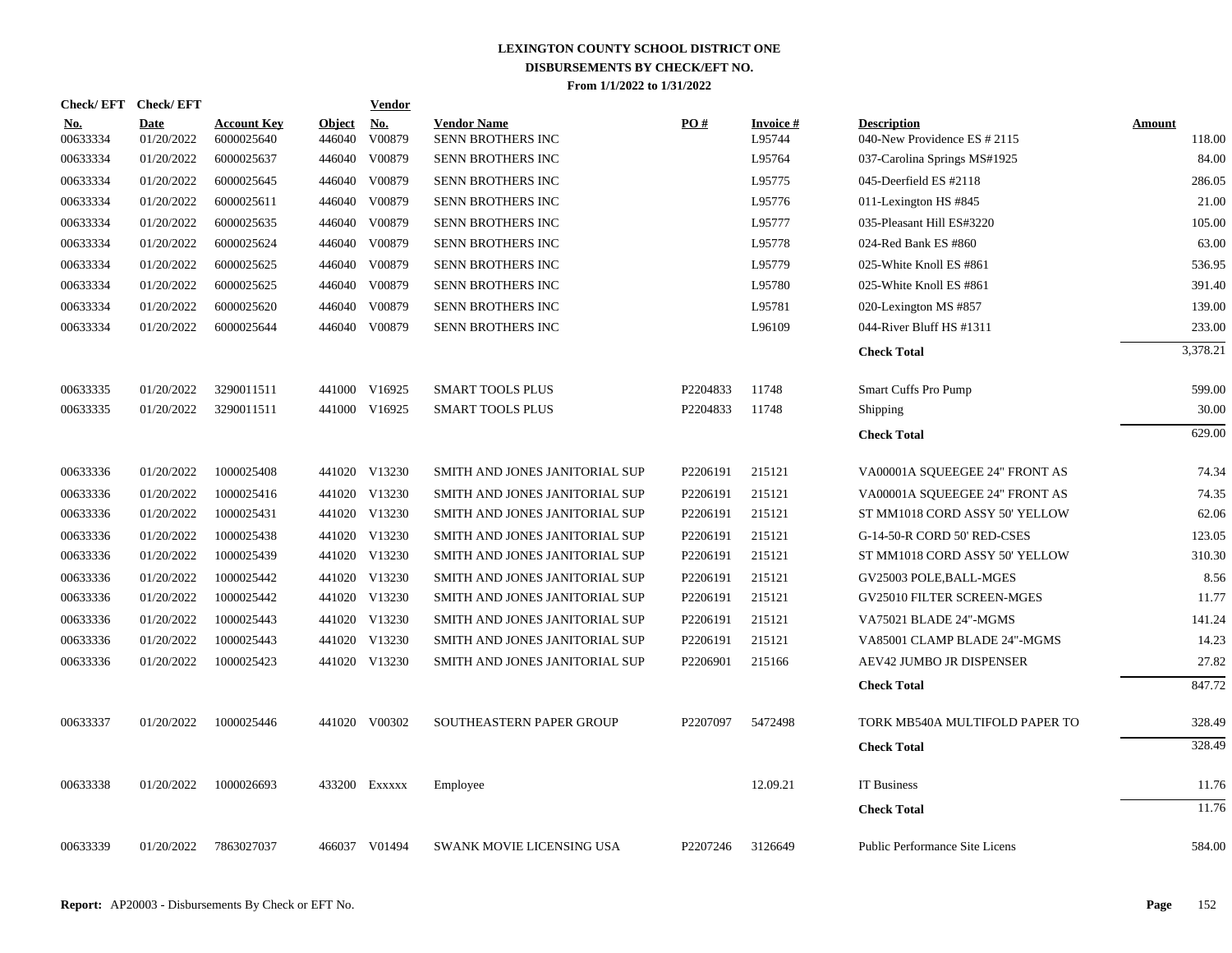|                        | Check/EFT Check/EFT |                                  |                  | <b>Vendor</b>        |                                         |          |                     |                                                    |                  |
|------------------------|---------------------|----------------------------------|------------------|----------------------|-----------------------------------------|----------|---------------------|----------------------------------------------------|------------------|
| <u>No.</u><br>00633334 | Date<br>01/20/2022  | <b>Account Key</b><br>6000025640 | Object<br>446040 | <u>No.</u><br>V00879 | <b>Vendor Name</b><br>SENN BROTHERS INC | PO#      | Invoice #<br>L95744 | <b>Description</b><br>040-New Providence ES # 2115 | Amount<br>118.00 |
| 00633334               | 01/20/2022          | 6000025637                       | 446040           | V00879               | <b>SENN BROTHERS INC</b>                |          | L95764              | 037-Carolina Springs MS#1925                       | 84.00            |
| 00633334               | 01/20/2022          | 6000025645                       | 446040           | V00879               | SENN BROTHERS INC                       |          | L95775              | 045-Deerfield ES #2118                             | 286.05           |
| 00633334               | 01/20/2022          | 6000025611                       | 446040           | V00879               | SENN BROTHERS INC                       |          | L95776              | 011-Lexington HS #845                              | 21.00            |
| 00633334               | 01/20/2022          | 6000025635                       | 446040           | V00879               | SENN BROTHERS INC                       |          | L95777              | 035-Pleasant Hill ES#3220                          | 105.00           |
| 00633334               | 01/20/2022          | 6000025624                       | 446040           | V00879               | SENN BROTHERS INC                       |          | L95778              | 024-Red Bank ES #860                               | 63.00            |
| 00633334               | 01/20/2022          | 6000025625                       | 446040           | V00879               | SENN BROTHERS INC                       |          | L95779              | 025-White Knoll ES #861                            | 536.95           |
| 00633334               | 01/20/2022          | 6000025625                       | 446040           | V00879               | SENN BROTHERS INC                       |          | L95780              | 025-White Knoll ES #861                            | 391.40           |
| 00633334               | 01/20/2022          | 6000025620                       | 446040           | V00879               | SENN BROTHERS INC                       |          | L95781              | 020-Lexington MS #857                              | 139.00           |
| 00633334               | 01/20/2022          | 6000025644                       | 446040           | V00879               | SENN BROTHERS INC                       |          | L96109              | 044-River Bluff HS #1311                           | 233.00           |
|                        |                     |                                  |                  |                      |                                         |          |                     | <b>Check Total</b>                                 | 3,378.21         |
| 00633335               | 01/20/2022          | 3290011511                       | 441000           | V16925               | <b>SMART TOOLS PLUS</b>                 | P2204833 | 11748               | Smart Cuffs Pro Pump                               | 599.00           |
| 00633335               | 01/20/2022          | 3290011511                       |                  | 441000 V16925        | <b>SMART TOOLS PLUS</b>                 | P2204833 | 11748               | Shipping                                           | 30.00            |
|                        |                     |                                  |                  |                      |                                         |          |                     | <b>Check Total</b>                                 | 629.00           |
| 00633336               | 01/20/2022          | 1000025408                       |                  | 441020 V13230        | SMITH AND JONES JANITORIAL SUP          | P2206191 | 215121              | VA00001A SQUEEGEE 24" FRONT AS                     | 74.34            |
| 00633336               | 01/20/2022          | 1000025416                       |                  | 441020 V13230        | SMITH AND JONES JANITORIAL SUP          | P2206191 | 215121              | VA00001A SQUEEGEE 24" FRONT AS                     | 74.35            |
| 00633336               | 01/20/2022          | 1000025431                       |                  | 441020 V13230        | SMITH AND JONES JANITORIAL SUP          | P2206191 | 215121              | ST MM1018 CORD ASSY 50' YELLOW                     | 62.06            |
| 00633336               | 01/20/2022          | 1000025438                       |                  | 441020 V13230        | SMITH AND JONES JANITORIAL SUP          | P2206191 | 215121              | G-14-50-R CORD 50' RED-CSES                        | 123.05           |
| 00633336               | 01/20/2022          | 1000025439                       |                  | 441020 V13230        | SMITH AND JONES JANITORIAL SUP          | P2206191 | 215121              | ST MM1018 CORD ASSY 50' YELLOW                     | 310.30           |
| 00633336               | 01/20/2022          | 1000025442                       |                  | 441020 V13230        | SMITH AND JONES JANITORIAL SUP          | P2206191 | 215121              | GV25003 POLE, BALL-MGES                            | 8.56             |
| 00633336               | 01/20/2022          | 1000025442                       |                  | 441020 V13230        | SMITH AND JONES JANITORIAL SUP          | P2206191 | 215121              | GV25010 FILTER SCREEN-MGES                         | 11.77            |
| 00633336               | 01/20/2022          | 1000025443                       |                  | 441020 V13230        | SMITH AND JONES JANITORIAL SUP          | P2206191 | 215121              | VA75021 BLADE 24"-MGMS                             | 141.24           |
| 00633336               | 01/20/2022          | 1000025443                       |                  | 441020 V13230        | SMITH AND JONES JANITORIAL SUP          | P2206191 | 215121              | VA85001 CLAMP BLADE 24"-MGMS                       | 14.23            |
| 00633336               | 01/20/2022          | 1000025423                       |                  | 441020 V13230        | SMITH AND JONES JANITORIAL SUP          | P2206901 | 215166              | <b>AEV42 JUMBO JR DISPENSER</b>                    | 27.82            |
|                        |                     |                                  |                  |                      |                                         |          |                     | <b>Check Total</b>                                 | 847.72           |
| 00633337               | 01/20/2022          | 1000025446                       |                  | 441020 V00302        | SOUTHEASTERN PAPER GROUP                | P2207097 | 5472498             | TORK MB540A MULTIFOLD PAPER TO                     | 328.49           |
|                        |                     |                                  |                  |                      |                                         |          |                     | <b>Check Total</b>                                 | 328.49           |
| 00633338               | 01/20/2022          | 1000026693                       |                  | 433200 Exxxxx        | Employee                                |          | 12.09.21            | <b>IT Business</b>                                 | 11.76            |
|                        |                     |                                  |                  |                      |                                         |          |                     | <b>Check Total</b>                                 | 11.76            |
| 00633339               | 01/20/2022          | 7863027037                       |                  | 466037 V01494        | SWANK MOVIE LICENSING USA               | P2207246 | 3126649             | Public Performance Site Licens                     | 584.00           |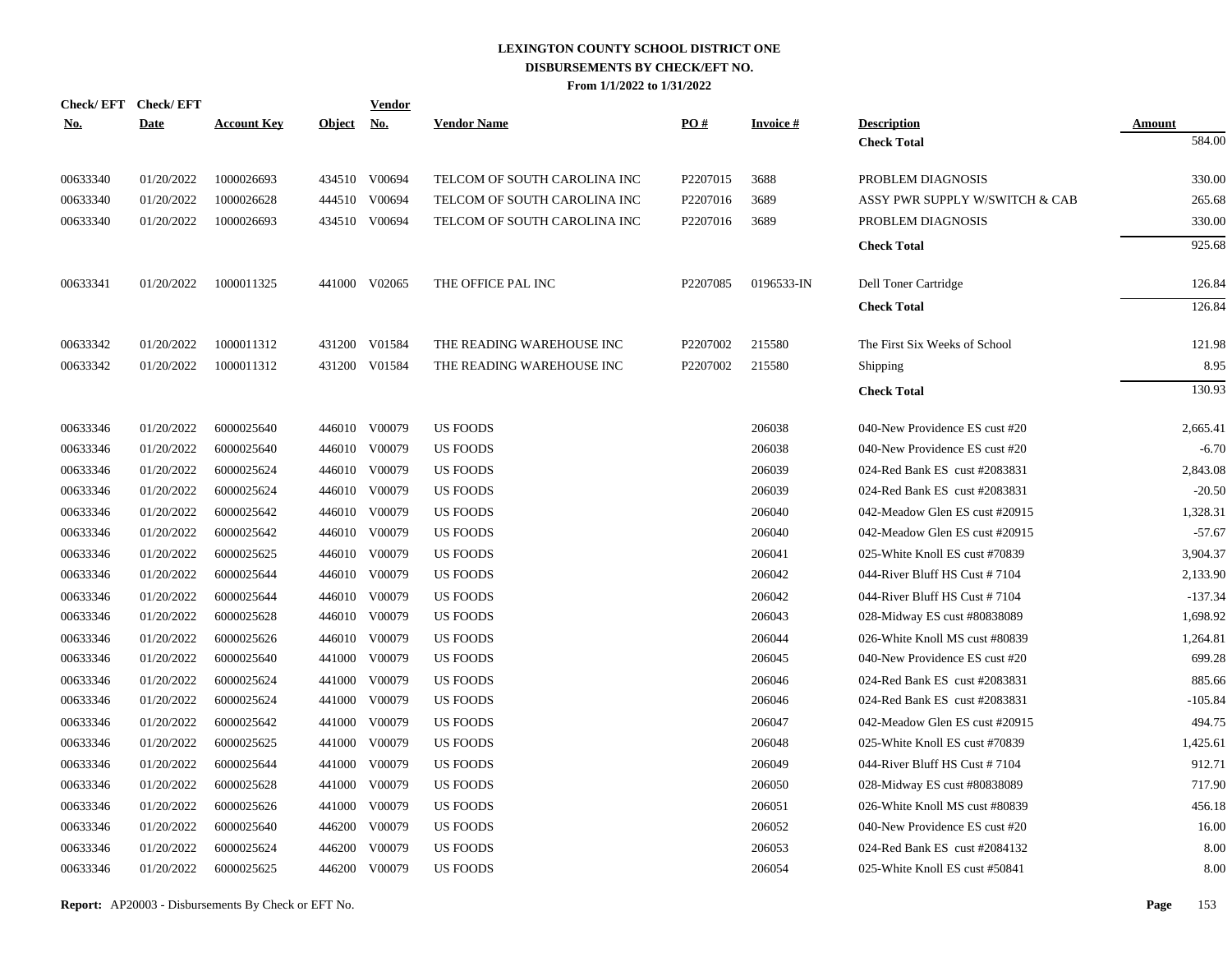|            | Check/EFT Check/EFT |                    |               | <u>Vendor</u> |                              |          |                 |                                |               |
|------------|---------------------|--------------------|---------------|---------------|------------------------------|----------|-----------------|--------------------------------|---------------|
| <u>No.</u> | <b>Date</b>         | <b>Account Key</b> | <u>Object</u> | <u>No.</u>    | <b>Vendor Name</b>           | PO#      | <b>Invoice#</b> | <b>Description</b>             | <b>Amount</b> |
|            |                     |                    |               |               |                              |          |                 | <b>Check Total</b>             | 584.00        |
| 00633340   | 01/20/2022          | 1000026693         |               | 434510 V00694 | TELCOM OF SOUTH CAROLINA INC | P2207015 | 3688            | PROBLEM DIAGNOSIS              | 330.00        |
| 00633340   | 01/20/2022          | 1000026628         |               | 444510 V00694 | TELCOM OF SOUTH CAROLINA INC | P2207016 | 3689            | ASSY PWR SUPPLY W/SWITCH & CAB | 265.68        |
| 00633340   | 01/20/2022          | 1000026693         |               | 434510 V00694 | TELCOM OF SOUTH CAROLINA INC | P2207016 | 3689            | PROBLEM DIAGNOSIS              | 330.00        |
|            |                     |                    |               |               |                              |          |                 | <b>Check Total</b>             | 925.68        |
| 00633341   | 01/20/2022          | 1000011325         |               | 441000 V02065 | THE OFFICE PAL INC           | P2207085 | 0196533-IN      | Dell Toner Cartridge           | 126.84        |
|            |                     |                    |               |               |                              |          |                 | <b>Check Total</b>             | 126.84        |
| 00633342   | 01/20/2022          | 1000011312         |               | 431200 V01584 | THE READING WAREHOUSE INC    | P2207002 | 215580          | The First Six Weeks of School  | 121.98        |
| 00633342   | 01/20/2022          | 1000011312         |               | 431200 V01584 | THE READING WAREHOUSE INC    | P2207002 | 215580          | <b>Shipping</b>                | 8.95          |
|            |                     |                    |               |               |                              |          |                 | <b>Check Total</b>             | 130.93        |
| 00633346   | 01/20/2022          | 6000025640         |               | 446010 V00079 | <b>US FOODS</b>              |          | 206038          | 040-New Providence ES cust #20 | 2,665.41      |
| 00633346   | 01/20/2022          | 6000025640         |               | 446010 V00079 | <b>US FOODS</b>              |          | 206038          | 040-New Providence ES cust #20 | $-6.70$       |
| 00633346   | 01/20/2022          | 6000025624         |               | 446010 V00079 | <b>US FOODS</b>              |          | 206039          | 024-Red Bank ES cust #2083831  | 2,843.08      |
| 00633346   | 01/20/2022          | 6000025624         |               | 446010 V00079 | US FOODS                     |          | 206039          | 024-Red Bank ES cust #2083831  | $-20.50$      |
| 00633346   | 01/20/2022          | 6000025642         |               | 446010 V00079 | <b>US FOODS</b>              |          | 206040          | 042-Meadow Glen ES cust #20915 | 1,328.31      |
| 00633346   | 01/20/2022          | 6000025642         |               | 446010 V00079 | <b>US FOODS</b>              |          | 206040          | 042-Meadow Glen ES cust #20915 | $-57.67$      |
| 00633346   | 01/20/2022          | 6000025625         |               | 446010 V00079 | US FOODS                     |          | 206041          | 025-White Knoll ES cust #70839 | 3,904.37      |
| 00633346   | 01/20/2022          | 6000025644         |               | 446010 V00079 | <b>US FOODS</b>              |          | 206042          | 044-River Bluff HS Cust #7104  | 2,133.90      |
| 00633346   | 01/20/2022          | 6000025644         |               | 446010 V00079 | <b>US FOODS</b>              |          | 206042          | 044-River Bluff HS Cust #7104  | $-137.34$     |
| 00633346   | 01/20/2022          | 6000025628         |               | 446010 V00079 | <b>US FOODS</b>              |          | 206043          | 028-Midway ES cust #80838089   | 1,698.92      |
| 00633346   | 01/20/2022          | 6000025626         |               | 446010 V00079 | <b>US FOODS</b>              |          | 206044          | 026-White Knoll MS cust #80839 | 1,264.81      |
| 00633346   | 01/20/2022          | 6000025640         |               | 441000 V00079 | US FOODS                     |          | 206045          | 040-New Providence ES cust #20 | 699.28        |
| 00633346   | 01/20/2022          | 6000025624         |               | 441000 V00079 | <b>US FOODS</b>              |          | 206046          | 024-Red Bank ES cust #2083831  | 885.66        |
| 00633346   | 01/20/2022          | 6000025624         |               | 441000 V00079 | US FOODS                     |          | 206046          | 024-Red Bank ES cust #2083831  | $-105.84$     |
| 00633346   | 01/20/2022          | 6000025642         | 441000        | V00079        | US FOODS                     |          | 206047          | 042-Meadow Glen ES cust #20915 | 494.75        |
| 00633346   | 01/20/2022          | 6000025625         |               | 441000 V00079 | <b>US FOODS</b>              |          | 206048          | 025-White Knoll ES cust #70839 | 1,425.61      |
| 00633346   | 01/20/2022          | 6000025644         | 441000        | V00079        | US FOODS                     |          | 206049          | 044-River Bluff HS Cust #7104  | 912.71        |
| 00633346   | 01/20/2022          | 6000025628         | 441000        | V00079        | US FOODS                     |          | 206050          | 028-Midway ES cust #80838089   | 717.90        |
| 00633346   | 01/20/2022          | 6000025626         | 441000        | V00079        | <b>US FOODS</b>              |          | 206051          | 026-White Knoll MS cust #80839 | 456.18        |
| 00633346   | 01/20/2022          | 6000025640         | 446200        | V00079        | US FOODS                     |          | 206052          | 040-New Providence ES cust #20 | 16.00         |
| 00633346   | 01/20/2022          | 6000025624         | 446200        | V00079        | US FOODS                     |          | 206053          | 024-Red Bank ES cust #2084132  | 8.00          |
| 00633346   | 01/20/2022          | 6000025625         |               | 446200 V00079 | <b>US FOODS</b>              |          | 206054          | 025-White Knoll ES cust #50841 | 8.00          |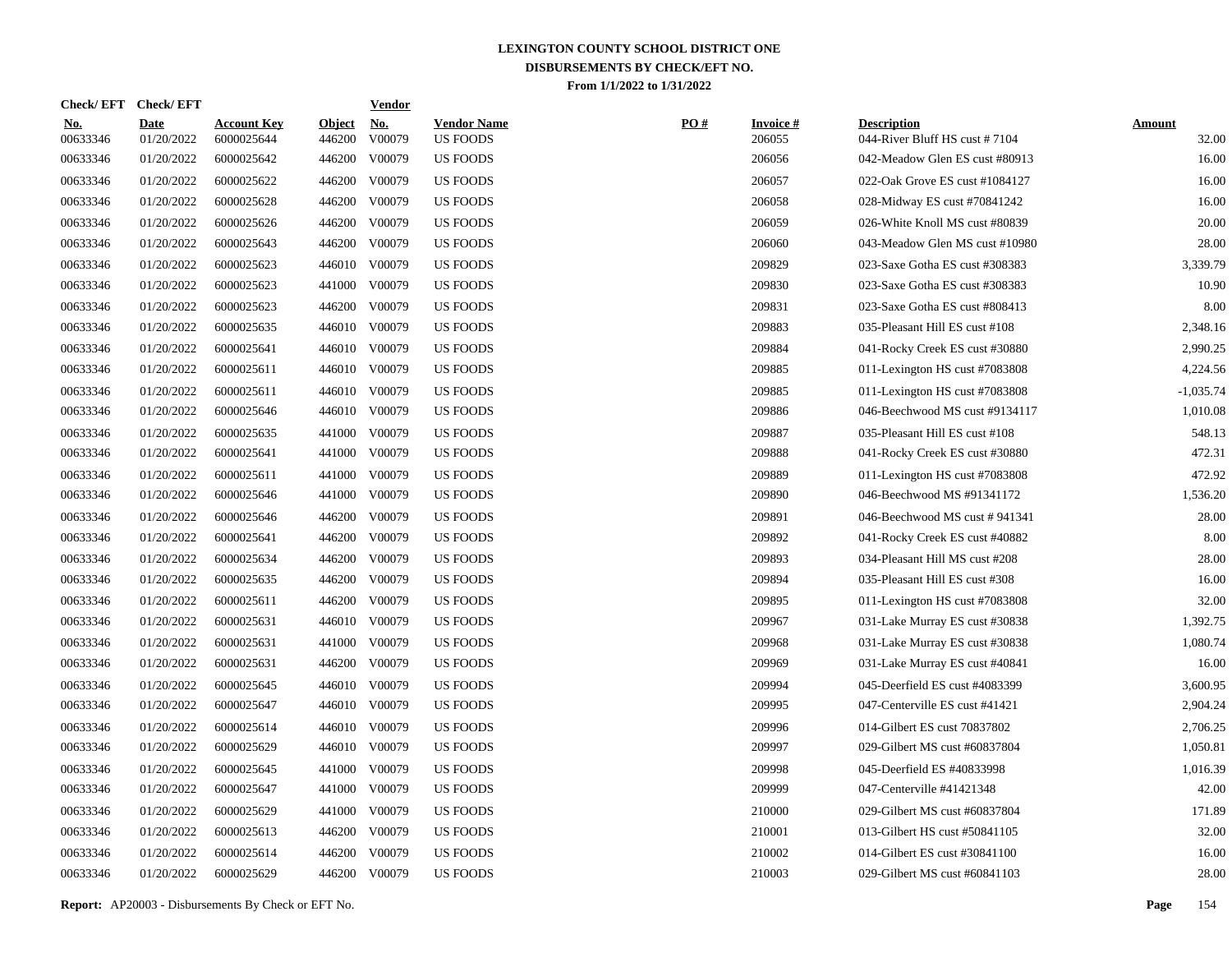| Check/EFT Check/EFT    |                           |                                  |                         | <b>Vendor</b>                       |                                       |     |                           |                                                     |                        |
|------------------------|---------------------------|----------------------------------|-------------------------|-------------------------------------|---------------------------------------|-----|---------------------------|-----------------------------------------------------|------------------------|
| <u>No.</u><br>00633346 | <b>Date</b><br>01/20/2022 | <b>Account Key</b><br>6000025644 | <b>Object</b><br>446200 | $\underline{\textbf{No}}$<br>V00079 | <b>Vendor Name</b><br><b>US FOODS</b> | PO# | <b>Invoice#</b><br>206055 | <b>Description</b><br>044-River Bluff HS cust #7104 | <b>Amount</b><br>32.00 |
| 00633346               | 01/20/2022                | 6000025642                       |                         | 446200 V00079                       | <b>US FOODS</b>                       |     | 206056                    | 042-Meadow Glen ES cust #80913                      | 16.00                  |
| 00633346               | 01/20/2022                | 6000025622                       |                         | 446200 V00079                       | US FOODS                              |     | 206057                    | 022-Oak Grove ES cust #1084127                      | 16.00                  |
| 00633346               | 01/20/2022                | 6000025628                       |                         | 446200 V00079                       | <b>US FOODS</b>                       |     | 206058                    | 028-Midway ES cust #70841242                        | 16.00                  |
| 00633346               | 01/20/2022                | 6000025626                       |                         | 446200 V00079                       | <b>US FOODS</b>                       |     | 206059                    | 026-White Knoll MS cust #80839                      | 20.00                  |
| 00633346               | 01/20/2022                | 6000025643                       |                         | 446200 V00079                       | <b>US FOODS</b>                       |     | 206060                    | 043-Meadow Glen MS cust #10980                      | 28.00                  |
| 00633346               | 01/20/2022                | 6000025623                       |                         | 446010 V00079                       | <b>US FOODS</b>                       |     | 209829                    | 023-Saxe Gotha ES cust #308383                      | 3,339.79               |
| 00633346               | 01/20/2022                | 6000025623                       |                         | 441000 V00079                       | US FOODS                              |     | 209830                    | 023-Saxe Gotha ES cust #308383                      | 10.90                  |
| 00633346               | 01/20/2022                | 6000025623                       |                         | 446200 V00079                       | <b>US FOODS</b>                       |     | 209831                    | 023-Saxe Gotha ES cust #808413                      | 8.00                   |
| 00633346               | 01/20/2022                | 6000025635                       |                         | 446010 V00079                       | US FOODS                              |     | 209883                    | 035-Pleasant Hill ES cust #108                      | 2,348.16               |
| 00633346               | 01/20/2022                | 6000025641                       |                         | 446010 V00079                       | US FOODS                              |     | 209884                    | 041-Rocky Creek ES cust #30880                      | 2,990.25               |
| 00633346               | 01/20/2022                | 6000025611                       |                         | 446010 V00079                       | <b>US FOODS</b>                       |     | 209885                    | 011-Lexington HS cust #7083808                      | 4,224.56               |
| 00633346               | 01/20/2022                | 6000025611                       |                         | 446010 V00079                       | <b>US FOODS</b>                       |     | 209885                    | 011-Lexington HS cust #7083808                      | $-1,035.74$            |
| 00633346               | 01/20/2022                | 6000025646                       |                         | 446010 V00079                       | <b>US FOODS</b>                       |     | 209886                    | 046-Beechwood MS cust #9134117                      | 1,010.08               |
| 00633346               | 01/20/2022                | 6000025635                       |                         | 441000 V00079                       | <b>US FOODS</b>                       |     | 209887                    | 035-Pleasant Hill ES cust #108                      | 548.13                 |
| 00633346               | 01/20/2022                | 6000025641                       |                         | 441000 V00079                       | <b>US FOODS</b>                       |     | 209888                    | 041-Rocky Creek ES cust #30880                      | 472.31                 |
| 00633346               | 01/20/2022                | 6000025611                       | 441000                  | V00079                              | <b>US FOODS</b>                       |     | 209889                    | 011-Lexington HS cust #7083808                      | 472.92                 |
| 00633346               | 01/20/2022                | 6000025646                       |                         | 441000 V00079                       | <b>US FOODS</b>                       |     | 209890                    | 046-Beechwood MS #91341172                          | 1,536.20               |
| 00633346               | 01/20/2022                | 6000025646                       | 446200                  | V00079                              | <b>US FOODS</b>                       |     | 209891                    | 046-Beechwood MS cust #941341                       | 28.00                  |
| 00633346               | 01/20/2022                | 6000025641                       |                         | 446200 V00079                       | <b>US FOODS</b>                       |     | 209892                    | 041-Rocky Creek ES cust #40882                      | 8.00                   |
| 00633346               | 01/20/2022                | 6000025634                       | 446200                  | V00079                              | <b>US FOODS</b>                       |     | 209893                    | 034-Pleasant Hill MS cust #208                      | 28.00                  |
| 00633346               | 01/20/2022                | 6000025635                       |                         | 446200 V00079                       | US FOODS                              |     | 209894                    | 035-Pleasant Hill ES cust #308                      | 16.00                  |
| 00633346               | 01/20/2022                | 6000025611                       | 446200                  | V00079                              | <b>US FOODS</b>                       |     | 209895                    | 011-Lexington HS cust #7083808                      | 32.00                  |
| 00633346               | 01/20/2022                | 6000025631                       |                         | 446010 V00079                       | US FOODS                              |     | 209967                    | 031-Lake Murray ES cust #30838                      | 1,392.75               |
| 00633346               | 01/20/2022                | 6000025631                       | 441000                  | V00079                              | US FOODS                              |     | 209968                    | 031-Lake Murray ES cust #30838                      | 1,080.74               |
| 00633346               | 01/20/2022                | 6000025631                       | 446200                  | V00079                              | <b>US FOODS</b>                       |     | 209969                    | 031-Lake Murray ES cust #40841                      | 16.00                  |
| 00633346               | 01/20/2022                | 6000025645                       |                         | 446010 V00079                       | <b>US FOODS</b>                       |     | 209994                    | 045-Deerfield ES cust #4083399                      | 3,600.95               |
| 00633346               | 01/20/2022                | 6000025647                       |                         | 446010 V00079                       | <b>US FOODS</b>                       |     | 209995                    | 047-Centerville ES cust #41421                      | 2,904.24               |
| 00633346               | 01/20/2022                | 6000025614                       |                         | 446010 V00079                       | US FOODS                              |     | 209996                    | 014-Gilbert ES cust 70837802                        | 2,706.25               |
| 00633346               | 01/20/2022                | 6000025629                       |                         | 446010 V00079                       | <b>US FOODS</b>                       |     | 209997                    | 029-Gilbert MS cust #60837804                       | 1,050.81               |
| 00633346               | 01/20/2022                | 6000025645                       | 441000                  | V00079                              | US FOODS                              |     | 209998                    | 045-Deerfield ES #40833998                          | 1,016.39               |
| 00633346               | 01/20/2022                | 6000025647                       | 441000                  | V00079                              | <b>US FOODS</b>                       |     | 209999                    | 047-Centerville #41421348                           | 42.00                  |
| 00633346               | 01/20/2022                | 6000025629                       | 441000                  | V00079                              | <b>US FOODS</b>                       |     | 210000                    | 029-Gilbert MS cust #60837804                       | 171.89                 |
| 00633346               | 01/20/2022                | 6000025613                       | 446200                  | V00079                              | <b>US FOODS</b>                       |     | 210001                    | 013-Gilbert HS cust #50841105                       | 32.00                  |
| 00633346               | 01/20/2022                | 6000025614                       | 446200                  | V00079                              | <b>US FOODS</b>                       |     | 210002                    | 014-Gilbert ES cust #30841100                       | 16.00                  |
| 00633346               | 01/20/2022                | 6000025629                       |                         | 446200 V00079                       | <b>US FOODS</b>                       |     | 210003                    | 029-Gilbert MS cust #60841103                       | 28.00                  |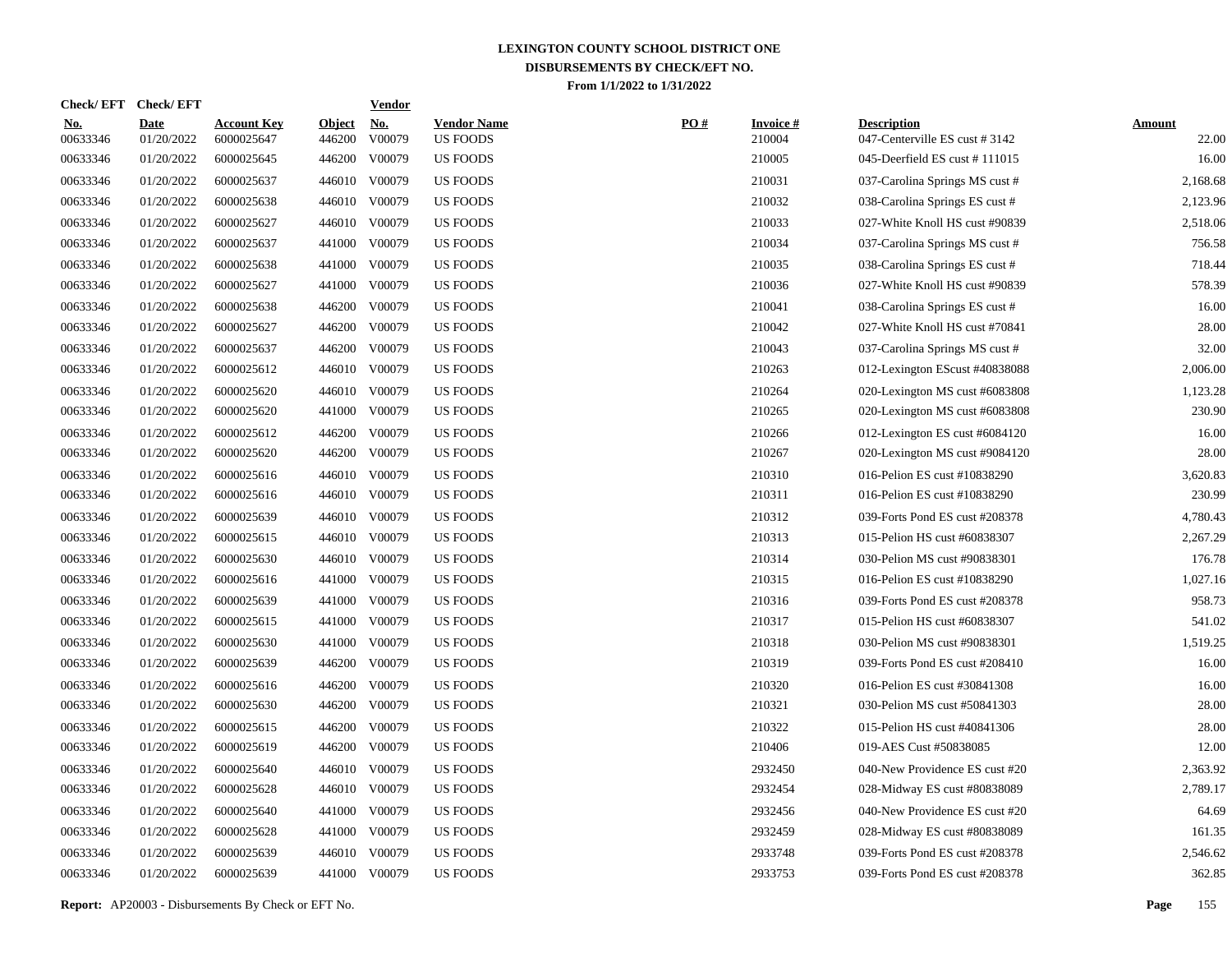| <b>Check/EFT</b>       | <b>Check/EFT</b>          |                                  |                         | <b>Vendor</b>                         |                                       |     |                           |                                                     |                        |
|------------------------|---------------------------|----------------------------------|-------------------------|---------------------------------------|---------------------------------------|-----|---------------------------|-----------------------------------------------------|------------------------|
| <u>No.</u><br>00633346 | <b>Date</b><br>01/20/2022 | <b>Account Key</b><br>6000025647 | <b>Object</b><br>446200 | $\underline{\mathrm{No}}$ .<br>V00079 | <b>Vendor Name</b><br><b>US FOODS</b> | PO# | <b>Invoice#</b><br>210004 | <b>Description</b><br>047-Centerville ES cust #3142 | <b>Amount</b><br>22.00 |
| 00633346               | 01/20/2022                | 6000025645                       | 446200                  | V00079                                | <b>US FOODS</b>                       |     | 210005                    | 045-Deerfield ES cust #111015                       | 16.00                  |
| 00633346               | 01/20/2022                | 6000025637                       | 446010                  | V00079                                | US FOODS                              |     | 210031                    | 037-Carolina Springs MS cust #                      | 2,168.68               |
| 00633346               | 01/20/2022                | 6000025638                       | 446010                  | V00079                                | <b>US FOODS</b>                       |     | 210032                    | 038-Carolina Springs ES cust #                      | 2,123.96               |
| 00633346               | 01/20/2022                | 6000025627                       |                         | 446010 V00079                         | <b>US FOODS</b>                       |     | 210033                    | 027-White Knoll HS cust #90839                      | 2,518.06               |
| 00633346               | 01/20/2022                | 6000025637                       | 441000                  | V00079                                | <b>US FOODS</b>                       |     | 210034                    | 037-Carolina Springs MS cust #                      | 756.58                 |
| 00633346               | 01/20/2022                | 6000025638                       | 441000                  | V00079                                | <b>US FOODS</b>                       |     | 210035                    | 038-Carolina Springs ES cust #                      | 718.44                 |
| 00633346               | 01/20/2022                | 6000025627                       | 441000                  | V00079                                | US FOODS                              |     | 210036                    | 027-White Knoll HS cust #90839                      | 578.39                 |
| 00633346               | 01/20/2022                | 6000025638                       | 446200                  | V00079                                | US FOODS                              |     | 210041                    | 038-Carolina Springs ES cust #                      | 16.00                  |
| 00633346               | 01/20/2022                | 6000025627                       | 446200                  | V00079                                | US FOODS                              |     | 210042                    | 027-White Knoll HS cust #70841                      | 28.00                  |
| 00633346               | 01/20/2022                | 6000025637                       | 446200                  | V00079                                | US FOODS                              |     | 210043                    | 037-Carolina Springs MS cust #                      | 32.00                  |
| 00633346               | 01/20/2022                | 6000025612                       |                         | 446010 V00079                         | <b>US FOODS</b>                       |     | 210263                    | 012-Lexington EScust #40838088                      | 2,006.00               |
| 00633346               | 01/20/2022                | 6000025620                       | 446010                  | V00079                                | <b>US FOODS</b>                       |     | 210264                    | 020-Lexington MS cust #6083808                      | 1,123.28               |
| 00633346               | 01/20/2022                | 6000025620                       | 441000                  | V00079                                | <b>US FOODS</b>                       |     | 210265                    | 020-Lexington MS cust #6083808                      | 230.90                 |
| 00633346               | 01/20/2022                | 6000025612                       | 446200                  | V00079                                | <b>US FOODS</b>                       |     | 210266                    | 012-Lexington ES cust #6084120                      | 16.00                  |
| 00633346               | 01/20/2022                | 6000025620                       | 446200                  | V00079                                | US FOODS                              |     | 210267                    | 020-Lexington MS cust #9084120                      | 28.00                  |
| 00633346               | 01/20/2022                | 6000025616                       | 446010                  | V00079                                | US FOODS                              |     | 210310                    | 016-Pelion ES cust #10838290                        | 3,620.83               |
| 00633346               | 01/20/2022                | 6000025616                       |                         | 446010 V00079                         | <b>US FOODS</b>                       |     | 210311                    | 016-Pelion ES cust #10838290                        | 230.99                 |
| 00633346               | 01/20/2022                | 6000025639                       | 446010                  | V00079                                | <b>US FOODS</b>                       |     | 210312                    | 039-Forts Pond ES cust #208378                      | 4,780.43               |
| 00633346               | 01/20/2022                | 6000025615                       |                         | 446010 V00079                         | <b>US FOODS</b>                       |     | 210313                    | 015-Pelion HS cust #60838307                        | 2,267.29               |
| 00633346               | 01/20/2022                | 6000025630                       | 446010                  | V00079                                | <b>US FOODS</b>                       |     | 210314                    | 030-Pelion MS cust #90838301                        | 176.78                 |
| 00633346               | 01/20/2022                | 6000025616                       | 441000                  | V00079                                | <b>US FOODS</b>                       |     | 210315                    | 016-Pelion ES cust #10838290                        | 1,027.16               |
| 00633346               | 01/20/2022                | 6000025639                       | 441000                  | V00079                                | <b>US FOODS</b>                       |     | 210316                    | 039-Forts Pond ES cust #208378                      | 958.73                 |
| 00633346               | 01/20/2022                | 6000025615                       | 441000                  | V00079                                | US FOODS                              |     | 210317                    | 015-Pelion HS cust #60838307                        | 541.02                 |
| 00633346               | 01/20/2022                | 6000025630                       | 441000                  | V00079                                | <b>US FOODS</b>                       |     | 210318                    | 030-Pelion MS cust #90838301                        | 1,519.25               |
| 00633346               | 01/20/2022                | 6000025639                       | 446200                  | V00079                                | <b>US FOODS</b>                       |     | 210319                    | 039-Forts Pond ES cust #208410                      | 16.00                  |
| 00633346               | 01/20/2022                | 6000025616                       | 446200                  | V00079                                | <b>US FOODS</b>                       |     | 210320                    | 016-Pelion ES cust #30841308                        | 16.00                  |
| 00633346               | 01/20/2022                | 6000025630                       | 446200                  | V00079                                | <b>US FOODS</b>                       |     | 210321                    | 030-Pelion MS cust #50841303                        | 28.00                  |
| 00633346               | 01/20/2022                | 6000025615                       | 446200                  | V00079                                | US FOODS                              |     | 210322                    | 015-Pelion HS cust #40841306                        | 28.00                  |
| 00633346               | 01/20/2022                | 6000025619                       | 446200                  | V00079                                | <b>US FOODS</b>                       |     | 210406                    | 019-AES Cust #50838085                              | 12.00                  |
| 00633346               | 01/20/2022                | 6000025640                       | 446010                  | V00079                                | US FOODS                              |     | 2932450                   | 040-New Providence ES cust #20                      | 2,363.92               |
| 00633346               | 01/20/2022                | 6000025628                       |                         | 446010 V00079                         | <b>US FOODS</b>                       |     | 2932454                   | 028-Midway ES cust #80838089                        | 2,789.17               |
| 00633346               | 01/20/2022                | 6000025640                       | 441000                  | V00079                                | <b>US FOODS</b>                       |     | 2932456                   | 040-New Providence ES cust #20                      | 64.69                  |
| 00633346               | 01/20/2022                | 6000025628                       | 441000                  | V00079                                | <b>US FOODS</b>                       |     | 2932459                   | 028-Midway ES cust #80838089                        | 161.35                 |
| 00633346               | 01/20/2022                | 6000025639                       | 446010                  | V00079                                | <b>US FOODS</b>                       |     | 2933748                   | 039-Forts Pond ES cust #208378                      | 2,546.62               |
| 00633346               | 01/20/2022                | 6000025639                       |                         | 441000 V00079                         | <b>US FOODS</b>                       |     | 2933753                   | 039-Forts Pond ES cust #208378                      | 362.85                 |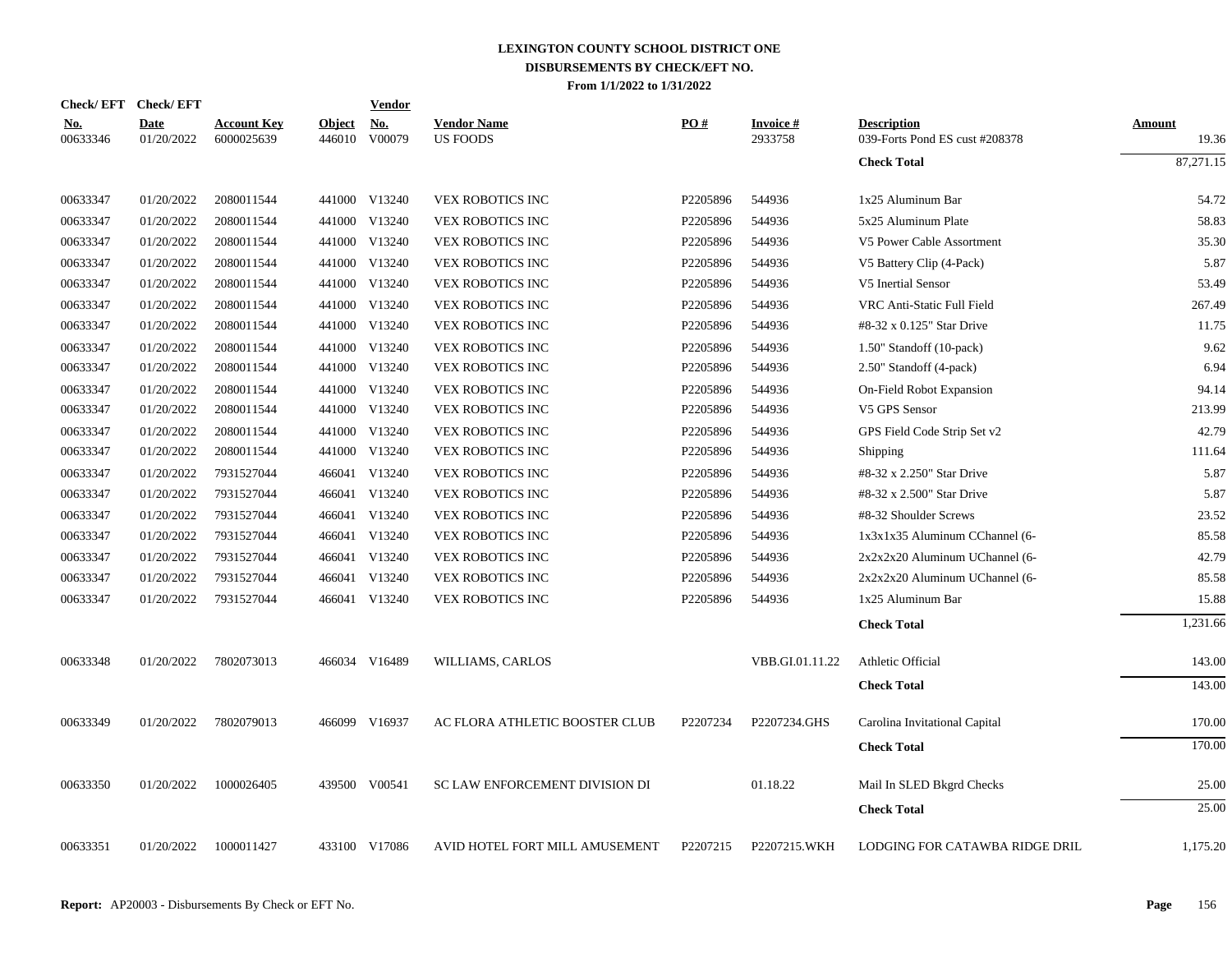|                        | Check/EFT Check/EFT       |                                  |                         | <b>Vendor</b> |                                       |          |                            |                                                      |                        |
|------------------------|---------------------------|----------------------------------|-------------------------|---------------|---------------------------------------|----------|----------------------------|------------------------------------------------------|------------------------|
| <u>No.</u><br>00633346 | <b>Date</b><br>01/20/2022 | <b>Account Key</b><br>6000025639 | <b>Object</b><br>446010 | No.<br>V00079 | <b>Vendor Name</b><br><b>US FOODS</b> | PO#      | <b>Invoice#</b><br>2933758 | <b>Description</b><br>039-Forts Pond ES cust #208378 | <b>Amount</b><br>19.36 |
|                        |                           |                                  |                         |               |                                       |          |                            | <b>Check Total</b>                                   | 87,271.15              |
| 00633347               | 01/20/2022                | 2080011544                       |                         | 441000 V13240 | <b>VEX ROBOTICS INC</b>               | P2205896 | 544936                     | 1x25 Aluminum Bar                                    | 54.72                  |
| 00633347               | 01/20/2022                | 2080011544                       |                         | 441000 V13240 | VEX ROBOTICS INC                      | P2205896 | 544936                     | 5x25 Aluminum Plate                                  | 58.83                  |
| 00633347               | 01/20/2022                | 2080011544                       |                         | 441000 V13240 | VEX ROBOTICS INC                      | P2205896 | 544936                     | V5 Power Cable Assortment                            | 35.30                  |
| 00633347               | 01/20/2022                | 2080011544                       |                         | 441000 V13240 | VEX ROBOTICS INC                      | P2205896 | 544936                     | V5 Battery Clip (4-Pack)                             | 5.87                   |
| 00633347               | 01/20/2022                | 2080011544                       |                         | 441000 V13240 | VEX ROBOTICS INC                      | P2205896 | 544936                     | V5 Inertial Sensor                                   | 53.49                  |
| 00633347               | 01/20/2022                | 2080011544                       |                         | 441000 V13240 | VEX ROBOTICS INC                      | P2205896 | 544936                     | VRC Anti-Static Full Field                           | 267.49                 |
| 00633347               | 01/20/2022                | 2080011544                       |                         | 441000 V13240 | VEX ROBOTICS INC                      | P2205896 | 544936                     | #8-32 x 0.125" Star Drive                            | 11.75                  |
| 00633347               | 01/20/2022                | 2080011544                       |                         | 441000 V13240 | VEX ROBOTICS INC                      | P2205896 | 544936                     | 1.50" Standoff (10-pack)                             | 9.62                   |
| 00633347               | 01/20/2022                | 2080011544                       |                         | 441000 V13240 | VEX ROBOTICS INC                      | P2205896 | 544936                     | 2.50" Standoff (4-pack)                              | 6.94                   |
| 00633347               | 01/20/2022                | 2080011544                       |                         | 441000 V13240 | VEX ROBOTICS INC                      | P2205896 | 544936                     | On-Field Robot Expansion                             | 94.14                  |
| 00633347               | 01/20/2022                | 2080011544                       |                         | 441000 V13240 | VEX ROBOTICS INC                      | P2205896 | 544936                     | V5 GPS Sensor                                        | 213.99                 |
| 00633347               | 01/20/2022                | 2080011544                       |                         | 441000 V13240 | VEX ROBOTICS INC                      | P2205896 | 544936                     | GPS Field Code Strip Set v2                          | 42.79                  |
| 00633347               | 01/20/2022                | 2080011544                       |                         | 441000 V13240 | VEX ROBOTICS INC                      | P2205896 | 544936                     | Shipping                                             | 111.64                 |
| 00633347               | 01/20/2022                | 7931527044                       |                         | 466041 V13240 | VEX ROBOTICS INC                      | P2205896 | 544936                     | #8-32 x 2.250" Star Drive                            | 5.87                   |
| 00633347               | 01/20/2022                | 7931527044                       |                         | 466041 V13240 | VEX ROBOTICS INC                      | P2205896 | 544936                     | #8-32 x 2.500" Star Drive                            | 5.87                   |
| 00633347               | 01/20/2022                | 7931527044                       |                         | 466041 V13240 | VEX ROBOTICS INC                      | P2205896 | 544936                     | #8-32 Shoulder Screws                                | 23.52                  |
| 00633347               | 01/20/2022                | 7931527044                       |                         | 466041 V13240 | VEX ROBOTICS INC                      | P2205896 | 544936                     | 1x3x1x35 Aluminum CChannel (6-                       | 85.58                  |
| 00633347               | 01/20/2022                | 7931527044                       |                         | 466041 V13240 | VEX ROBOTICS INC                      | P2205896 | 544936                     | $2x2x2x20$ Aluminum UChannel (6-                     | 42.79                  |
| 00633347               | 01/20/2022                | 7931527044                       |                         | 466041 V13240 | VEX ROBOTICS INC                      | P2205896 | 544936                     | $2x2x2x20$ Aluminum UChannel (6-                     | 85.58                  |
| 00633347               | 01/20/2022                | 7931527044                       |                         | 466041 V13240 | <b>VEX ROBOTICS INC</b>               | P2205896 | 544936                     | 1x25 Aluminum Bar                                    | 15.88                  |
|                        |                           |                                  |                         |               |                                       |          |                            | <b>Check Total</b>                                   | 1,231.66               |
| 00633348               | 01/20/2022                | 7802073013                       |                         | 466034 V16489 | WILLIAMS, CARLOS                      |          | VBB.GI.01.11.22            | Athletic Official                                    | 143.00                 |
|                        |                           |                                  |                         |               |                                       |          |                            | <b>Check Total</b>                                   | 143.00                 |
| 00633349               | 01/20/2022                | 7802079013                       |                         | 466099 V16937 | AC FLORA ATHLETIC BOOSTER CLUB        | P2207234 | P2207234.GHS               | Carolina Invitational Capital                        | 170.00                 |
|                        |                           |                                  |                         |               |                                       |          |                            | <b>Check Total</b>                                   | 170.00                 |
|                        |                           |                                  |                         |               |                                       |          |                            |                                                      |                        |
| 00633350               | 01/20/2022                | 1000026405                       |                         | 439500 V00541 | <b>SC LAW ENFORCEMENT DIVISION DI</b> |          | 01.18.22                   | Mail In SLED Bkgrd Checks                            | 25.00                  |
|                        |                           |                                  |                         |               |                                       |          |                            | <b>Check Total</b>                                   | 25.00                  |
| 00633351               | 01/20/2022                | 1000011427                       |                         | 433100 V17086 | AVID HOTEL FORT MILL AMUSEMENT        | P2207215 | P2207215.WKH               | LODGING FOR CATAWBA RIDGE DRIL                       | 1,175.20               |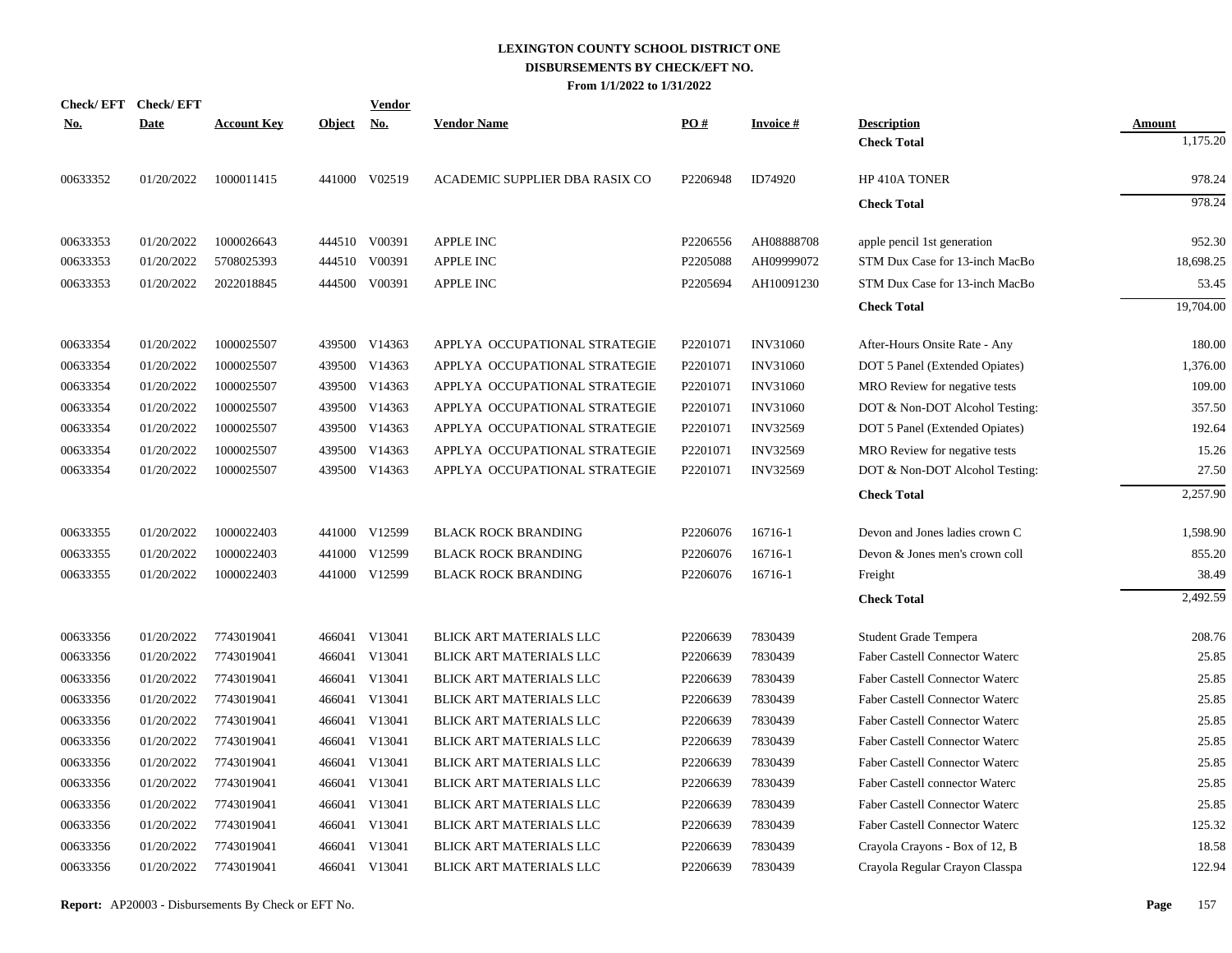|            | Check/EFT Check/EFT |                    |               | Vendor        |                                |          |                 |                                       |               |
|------------|---------------------|--------------------|---------------|---------------|--------------------------------|----------|-----------------|---------------------------------------|---------------|
| <u>No.</u> | <b>Date</b>         | <b>Account Key</b> | <u>Object</u> | <u>No.</u>    | <b>Vendor Name</b>             | PQ#      | <b>Invoice#</b> | <b>Description</b>                    | <b>Amount</b> |
|            |                     |                    |               |               |                                |          |                 | <b>Check Total</b>                    | 1,175.20      |
| 00633352   | 01/20/2022          | 1000011415         |               | 441000 V02519 | ACADEMIC SUPPLIER DBA RASIX CO | P2206948 | ID74920         | HP 410A TONER                         | 978.24        |
|            |                     |                    |               |               |                                |          |                 | <b>Check Total</b>                    | 978.24        |
| 00633353   | 01/20/2022          | 1000026643         |               | 444510 V00391 | APPLE INC                      | P2206556 | AH08888708      | apple pencil 1st generation           | 952.30        |
| 00633353   | 01/20/2022          | 5708025393         |               | 444510 V00391 | <b>APPLE INC</b>               | P2205088 | AH09999072      | STM Dux Case for 13-inch MacBo        | 18,698.25     |
| 00633353   | 01/20/2022          | 2022018845         |               | 444500 V00391 | <b>APPLE INC</b>               | P2205694 | AH10091230      | STM Dux Case for 13-inch MacBo        | 53.45         |
|            |                     |                    |               |               |                                |          |                 | <b>Check Total</b>                    | 19,704.00     |
| 00633354   | 01/20/2022          | 1000025507         |               | 439500 V14363 | APPLYA OCCUPATIONAL STRATEGIE  | P2201071 | <b>INV31060</b> | After-Hours Onsite Rate - Any         | 180.00        |
| 00633354   | 01/20/2022          | 1000025507         | 439500        | V14363        | APPLYA OCCUPATIONAL STRATEGIE  | P2201071 | <b>INV31060</b> | DOT 5 Panel (Extended Opiates)        | 1,376.00      |
| 00633354   | 01/20/2022          | 1000025507         |               | 439500 V14363 | APPLYA OCCUPATIONAL STRATEGIE  | P2201071 | <b>INV31060</b> | MRO Review for negative tests         | 109.00        |
| 00633354   | 01/20/2022          | 1000025507         | 439500        | V14363        | APPLYA OCCUPATIONAL STRATEGIE  | P2201071 | <b>INV31060</b> | DOT & Non-DOT Alcohol Testing:        | 357.50        |
| 00633354   | 01/20/2022          | 1000025507         |               | 439500 V14363 | APPLYA OCCUPATIONAL STRATEGIE  | P2201071 | <b>INV32569</b> | DOT 5 Panel (Extended Opiates)        | 192.64        |
| 00633354   | 01/20/2022          | 1000025507         | 439500        | V14363        | APPLYA OCCUPATIONAL STRATEGIE  | P2201071 | <b>INV32569</b> | MRO Review for negative tests         | 15.26         |
| 00633354   | 01/20/2022          | 1000025507         |               | 439500 V14363 | APPLYA OCCUPATIONAL STRATEGIE  | P2201071 | <b>INV32569</b> | DOT & Non-DOT Alcohol Testing:        | 27.50         |
|            |                     |                    |               |               |                                |          |                 | <b>Check Total</b>                    | 2,257.90      |
| 00633355   | 01/20/2022          | 1000022403         |               | 441000 V12599 | <b>BLACK ROCK BRANDING</b>     | P2206076 | 16716-1         | Devon and Jones ladies crown C        | 1,598.90      |
| 00633355   | 01/20/2022          | 1000022403         |               | 441000 V12599 | <b>BLACK ROCK BRANDING</b>     | P2206076 | 16716-1         | Devon & Jones men's crown coll        | 855.20        |
| 00633355   | 01/20/2022          | 1000022403         |               | 441000 V12599 | <b>BLACK ROCK BRANDING</b>     | P2206076 | 16716-1         | Freight                               | 38.49         |
|            |                     |                    |               |               |                                |          |                 | <b>Check Total</b>                    | 2,492.59      |
| 00633356   | 01/20/2022          | 7743019041         |               | 466041 V13041 | BLICK ART MATERIALS LLC        | P2206639 | 7830439         | Student Grade Tempera                 | 208.76        |
| 00633356   | 01/20/2022          | 7743019041         |               | 466041 V13041 | BLICK ART MATERIALS LLC        | P2206639 | 7830439         | Faber Castell Connector Waterc        | 25.85         |
| 00633356   | 01/20/2022          | 7743019041         | 466041        | V13041        | BLICK ART MATERIALS LLC        | P2206639 | 7830439         | <b>Faber Castell Connector Waterc</b> | 25.85         |
| 00633356   | 01/20/2022          | 7743019041         |               | 466041 V13041 | BLICK ART MATERIALS LLC        | P2206639 | 7830439         | Faber Castell Connector Waterc        | 25.85         |
| 00633356   | 01/20/2022          | 7743019041         | 466041        | V13041        | BLICK ART MATERIALS LLC        | P2206639 | 7830439         | <b>Faber Castell Connector Waterc</b> | 25.85         |
| 00633356   | 01/20/2022          | 7743019041         |               | 466041 V13041 | BLICK ART MATERIALS LLC        | P2206639 | 7830439         | <b>Faber Castell Connector Waterc</b> | 25.85         |
| 00633356   | 01/20/2022          | 7743019041         | 466041        | V13041        | BLICK ART MATERIALS LLC        | P2206639 | 7830439         | <b>Faber Castell Connector Waterc</b> | 25.85         |
| 00633356   | 01/20/2022          | 7743019041         |               | 466041 V13041 | BLICK ART MATERIALS LLC        | P2206639 | 7830439         | Faber Castell connector Waterc        | 25.85         |
| 00633356   | 01/20/2022          | 7743019041         | 466041        | V13041        | BLICK ART MATERIALS LLC        | P2206639 | 7830439         | Faber Castell Connector Waterc        | 25.85         |
| 00633356   | 01/20/2022          | 7743019041         |               | 466041 V13041 | BLICK ART MATERIALS LLC        | P2206639 | 7830439         | Faber Castell Connector Waterc        | 125.32        |
| 00633356   | 01/20/2022          | 7743019041         |               | 466041 V13041 | <b>BLICK ART MATERIALS LLC</b> | P2206639 | 7830439         | Crayola Crayons - Box of 12, B        | 18.58         |
| 00633356   | 01/20/2022          | 7743019041         |               | 466041 V13041 | BLICK ART MATERIALS LLC        | P2206639 | 7830439         | Crayola Regular Crayon Classpa        | 122.94        |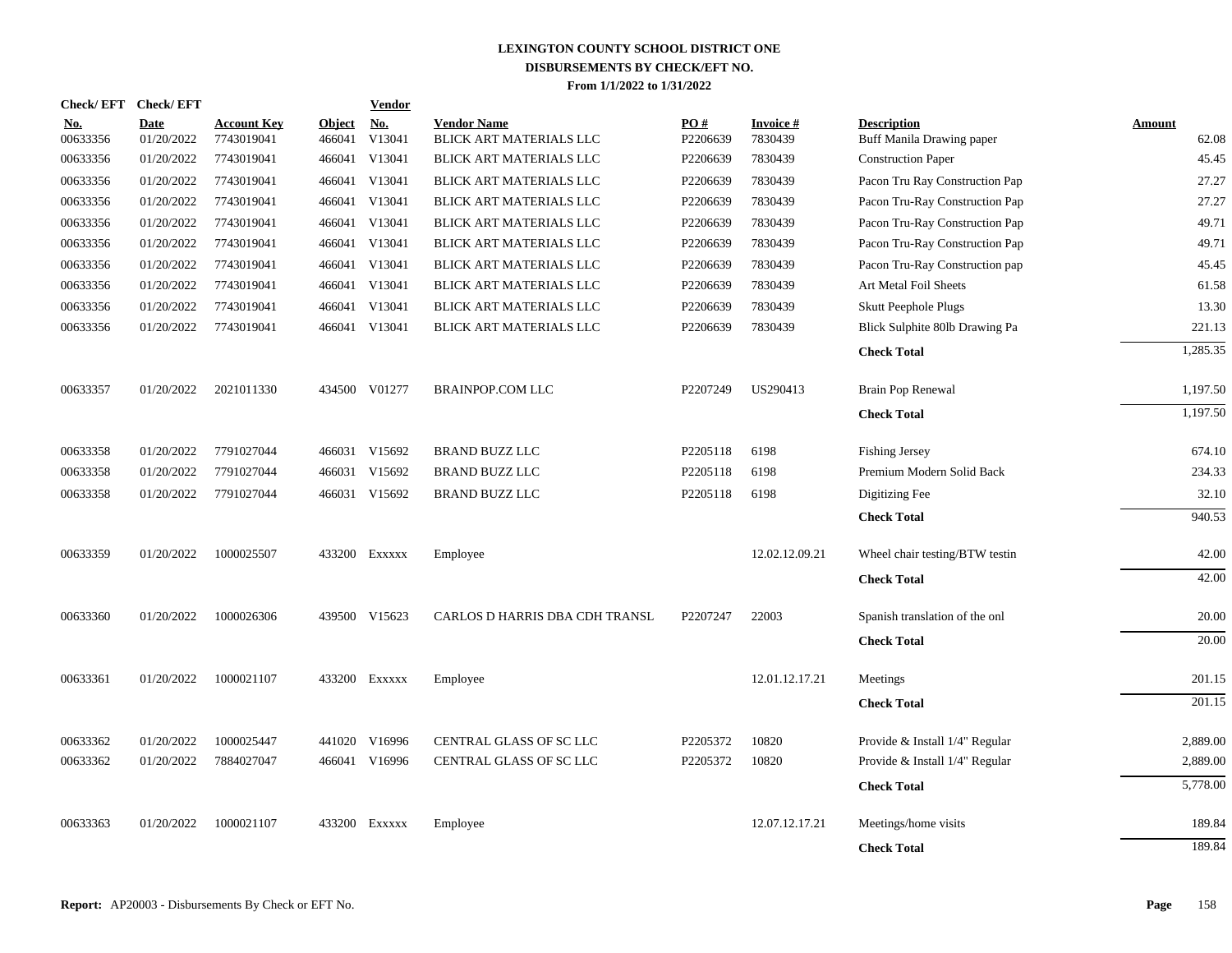| <b>Check/EFT</b>       | <b>Check/EFT</b>          |                                  |                         | <b>Vendor</b>                    |                                               |                 |                      |                                                 |                 |
|------------------------|---------------------------|----------------------------------|-------------------------|----------------------------------|-----------------------------------------------|-----------------|----------------------|-------------------------------------------------|-----------------|
| <u>No.</u><br>00633356 | <b>Date</b><br>01/20/2022 | <b>Account Key</b><br>7743019041 | <b>Object</b><br>466041 | $\mathbf{N}\mathbf{o}$<br>V13041 | <b>Vendor Name</b><br>BLICK ART MATERIALS LLC | PO#<br>P2206639 | Invoice #<br>7830439 | <b>Description</b><br>Buff Manila Drawing paper | Amount<br>62.08 |
| 00633356               | 01/20/2022                | 7743019041                       |                         | 466041 V13041                    | BLICK ART MATERIALS LLC                       | P2206639        | 7830439              | <b>Construction Paper</b>                       | 45.45           |
| 00633356               | 01/20/2022                | 7743019041                       |                         | 466041 V13041                    | BLICK ART MATERIALS LLC                       | P2206639        | 7830439              | Pacon Tru Ray Construction Pap                  | 27.27           |
| 00633356               | 01/20/2022                | 7743019041                       |                         | 466041 V13041                    | BLICK ART MATERIALS LLC                       | P2206639        | 7830439              | Pacon Tru-Ray Construction Pap                  | 27.27           |
| 00633356               | 01/20/2022                | 7743019041                       |                         | 466041 V13041                    | BLICK ART MATERIALS LLC                       | P2206639        | 7830439              | Pacon Tru-Ray Construction Pap                  | 49.71           |
| 00633356               | 01/20/2022                | 7743019041                       |                         | 466041 V13041                    | BLICK ART MATERIALS LLC                       | P2206639        | 7830439              | Pacon Tru-Ray Construction Pap                  | 49.71           |
| 00633356               | 01/20/2022                | 7743019041                       |                         | 466041 V13041                    | BLICK ART MATERIALS LLC                       | P2206639        | 7830439              | Pacon Tru-Ray Construction pap                  | 45.45           |
| 00633356               | 01/20/2022                | 7743019041                       |                         | 466041 V13041                    | BLICK ART MATERIALS LLC                       | P2206639        | 7830439              | Art Metal Foil Sheets                           | 61.58           |
| 00633356               | 01/20/2022                | 7743019041                       |                         | 466041 V13041                    | BLICK ART MATERIALS LLC                       | P2206639        | 7830439              | <b>Skutt Peephole Plugs</b>                     | 13.30           |
| 00633356               | 01/20/2022                | 7743019041                       |                         | 466041 V13041                    | BLICK ART MATERIALS LLC                       | P2206639        | 7830439              | Blick Sulphite 80lb Drawing Pa                  | 221.13          |
|                        |                           |                                  |                         |                                  |                                               |                 |                      | <b>Check Total</b>                              | 1,285.35        |
| 00633357               | 01/20/2022                | 2021011330                       |                         | 434500 V01277                    | <b>BRAINPOP.COM LLC</b>                       | P2207249        | US290413             | Brain Pop Renewal                               | 1,197.50        |
|                        |                           |                                  |                         |                                  |                                               |                 |                      | <b>Check Total</b>                              | 1,197.50        |
| 00633358               | 01/20/2022                | 7791027044                       |                         | 466031 V15692                    | <b>BRAND BUZZ LLC</b>                         | P2205118        | 6198                 | <b>Fishing Jersey</b>                           | 674.10          |
| 00633358               | 01/20/2022                | 7791027044                       |                         | 466031 V15692                    | <b>BRAND BUZZ LLC</b>                         | P2205118        | 6198                 | Premium Modern Solid Back                       | 234.33          |
| 00633358               | 01/20/2022                | 7791027044                       |                         | 466031 V15692                    | <b>BRAND BUZZ LLC</b>                         | P2205118        | 6198                 | Digitizing Fee                                  | 32.10           |
|                        |                           |                                  |                         |                                  |                                               |                 |                      | <b>Check Total</b>                              | 940.53          |
| 00633359               | 01/20/2022                | 1000025507                       |                         | 433200 Exxxxx                    | Employee                                      |                 | 12.02.12.09.21       | Wheel chair testing/BTW testin                  | 42.00           |
|                        |                           |                                  |                         |                                  |                                               |                 |                      | <b>Check Total</b>                              | 42.00           |
| 00633360               | 01/20/2022                | 1000026306                       |                         | 439500 V15623                    | CARLOS D HARRIS DBA CDH TRANSL                | P2207247        | 22003                | Spanish translation of the onl                  | 20.00           |
|                        |                           |                                  |                         |                                  |                                               |                 |                      | <b>Check Total</b>                              | 20.00           |
| 00633361               | 01/20/2022                | 1000021107                       |                         | 433200 Exxxxx                    | Employee                                      |                 | 12.01.12.17.21       | Meetings                                        | 201.15          |
|                        |                           |                                  |                         |                                  |                                               |                 |                      | <b>Check Total</b>                              | 201.15          |
| 00633362               | 01/20/2022                | 1000025447                       |                         | 441020 V16996                    | CENTRAL GLASS OF SC LLC                       | P2205372        | 10820                | Provide & Install 1/4" Regular                  | 2,889.00        |
| 00633362               | 01/20/2022                | 7884027047                       |                         | 466041 V16996                    | CENTRAL GLASS OF SC LLC                       | P2205372        | 10820                | Provide & Install 1/4" Regular                  | 2,889.00        |
|                        |                           |                                  |                         |                                  |                                               |                 |                      | <b>Check Total</b>                              | 5,778.00        |
| 00633363               | 01/20/2022                | 1000021107                       |                         | 433200 Exxxxx                    | Employee                                      |                 | 12.07.12.17.21       | Meetings/home visits                            | 189.84          |
|                        |                           |                                  |                         |                                  |                                               |                 |                      | <b>Check Total</b>                              | 189.84          |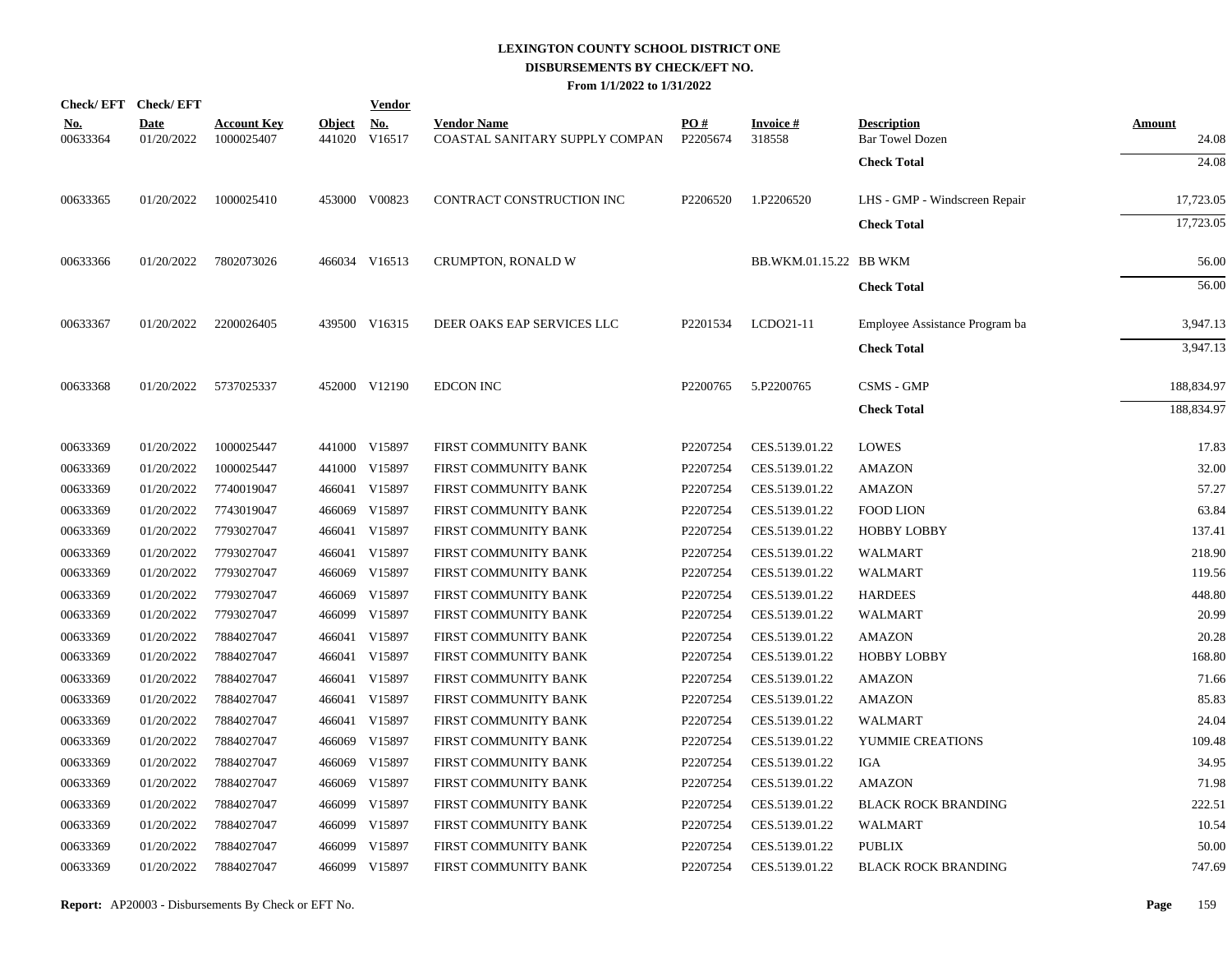|                        | Check/EFT Check/EFT       |                                  |                         | <b>Vendor</b>        |                                                      |                 |                           |                                              |                        |
|------------------------|---------------------------|----------------------------------|-------------------------|----------------------|------------------------------------------------------|-----------------|---------------------------|----------------------------------------------|------------------------|
| <u>No.</u><br>00633364 | <b>Date</b><br>01/20/2022 | <b>Account Key</b><br>1000025407 | <b>Object</b><br>441020 | <u>No.</u><br>V16517 | <b>Vendor Name</b><br>COASTAL SANITARY SUPPLY COMPAN | PO#<br>P2205674 | <b>Invoice#</b><br>318558 | <b>Description</b><br><b>Bar Towel Dozen</b> | <b>Amount</b><br>24.08 |
|                        |                           |                                  |                         |                      |                                                      |                 |                           | <b>Check Total</b>                           | 24.08                  |
| 00633365               | 01/20/2022                | 1000025410                       |                         | 453000 V00823        | CONTRACT CONSTRUCTION INC                            | P2206520        | 1.P2206520                | LHS - GMP - Windscreen Repair                | 17,723.05              |
|                        |                           |                                  |                         |                      |                                                      |                 |                           | <b>Check Total</b>                           | 17,723.05              |
| 00633366               | 01/20/2022                | 7802073026                       |                         | 466034 V16513        | CRUMPTON, RONALD W                                   |                 | BB.WKM.01.15.22 BB WKM    |                                              | 56.00                  |
|                        |                           |                                  |                         |                      |                                                      |                 |                           | <b>Check Total</b>                           | 56.00                  |
| 00633367               | 01/20/2022                | 2200026405                       |                         | 439500 V16315        | DEER OAKS EAP SERVICES LLC                           | P2201534        | LCD021-11                 | Employee Assistance Program ba               | 3,947.13               |
|                        |                           |                                  |                         |                      |                                                      |                 |                           | <b>Check Total</b>                           | 3,947.13               |
| 00633368               |                           | 01/20/2022 5737025337            |                         | 452000 V12190        | <b>EDCON INC</b>                                     | P2200765        | 5.P2200765                | <b>CSMS - GMP</b>                            | 188,834.97             |
|                        |                           |                                  |                         |                      |                                                      |                 |                           | <b>Check Total</b>                           | 188,834.97             |
| 00633369               | 01/20/2022                | 1000025447                       |                         | 441000 V15897        | FIRST COMMUNITY BANK                                 | P2207254        | CES.5139.01.22            | <b>LOWES</b>                                 | 17.83                  |
| 00633369               | 01/20/2022                | 1000025447                       |                         | 441000 V15897        | FIRST COMMUNITY BANK                                 | P2207254        | CES.5139.01.22            | <b>AMAZON</b>                                | 32.00                  |
| 00633369               | 01/20/2022                | 7740019047                       |                         | 466041 V15897        | FIRST COMMUNITY BANK                                 | P2207254        | CES.5139.01.22            | <b>AMAZON</b>                                | 57.27                  |
| 00633369               | 01/20/2022                | 7743019047                       | 466069                  | V15897               | FIRST COMMUNITY BANK                                 | P2207254        | CES.5139.01.22            | <b>FOOD LION</b>                             | 63.84                  |
| 00633369               | 01/20/2022                | 7793027047                       |                         | 466041 V15897        | FIRST COMMUNITY BANK                                 | P2207254        | CES.5139.01.22            | <b>HOBBY LOBBY</b>                           | 137.41                 |
| 00633369               | 01/20/2022                | 7793027047                       |                         | 466041 V15897        | FIRST COMMUNITY BANK                                 | P2207254        | CES.5139.01.22            | <b>WALMART</b>                               | 218.90                 |
| 00633369               | 01/20/2022                | 7793027047                       |                         | 466069 V15897        | FIRST COMMUNITY BANK                                 | P2207254        | CES.5139.01.22            | <b>WALMART</b>                               | 119.56                 |
| 00633369               | 01/20/2022                | 7793027047                       |                         | 466069 V15897        | FIRST COMMUNITY BANK                                 | P2207254        | CES.5139.01.22            | <b>HARDEES</b>                               | 448.80                 |
| 00633369               | 01/20/2022                | 7793027047                       |                         | 466099 V15897        | FIRST COMMUNITY BANK                                 | P2207254        | CES.5139.01.22            | <b>WALMART</b>                               | 20.99                  |
| 00633369               | 01/20/2022                | 7884027047                       |                         | 466041 V15897        | FIRST COMMUNITY BANK                                 | P2207254        | CES.5139.01.22            | <b>AMAZON</b>                                | 20.28                  |
| 00633369               | 01/20/2022                | 7884027047                       |                         | 466041 V15897        | FIRST COMMUNITY BANK                                 | P2207254        | CES.5139.01.22            | <b>HOBBY LOBBY</b>                           | 168.80                 |
| 00633369               | 01/20/2022                | 7884027047                       |                         | 466041 V15897        | FIRST COMMUNITY BANK                                 | P2207254        | CES.5139.01.22            | <b>AMAZON</b>                                | 71.66                  |
| 00633369               | 01/20/2022                | 7884027047                       |                         | 466041 V15897        | FIRST COMMUNITY BANK                                 | P2207254        | CES.5139.01.22            | <b>AMAZON</b>                                | 85.83                  |
| 00633369               | 01/20/2022                | 7884027047                       |                         | 466041 V15897        | FIRST COMMUNITY BANK                                 | P2207254        | CES.5139.01.22            | <b>WALMART</b>                               | 24.04                  |
| 00633369               | 01/20/2022                | 7884027047                       |                         | 466069 V15897        | FIRST COMMUNITY BANK                                 | P2207254        | CES.5139.01.22            | YUMMIE CREATIONS                             | 109.48                 |
| 00633369               | 01/20/2022                | 7884027047                       |                         | 466069 V15897        | FIRST COMMUNITY BANK                                 | P2207254        | CES.5139.01.22            | <b>IGA</b>                                   | 34.95                  |
| 00633369               | 01/20/2022                | 7884027047                       |                         | 466069 V15897        | FIRST COMMUNITY BANK                                 | P2207254        | CES.5139.01.22            | <b>AMAZON</b>                                | 71.98                  |
| 00633369               | 01/20/2022                | 7884027047                       |                         | 466099 V15897        | FIRST COMMUNITY BANK                                 | P2207254        | CES.5139.01.22            | <b>BLACK ROCK BRANDING</b>                   | 222.51                 |
| 00633369               | 01/20/2022                | 7884027047                       |                         | 466099 V15897        | FIRST COMMUNITY BANK                                 | P2207254        | CES.5139.01.22            | <b>WALMART</b>                               | 10.54                  |
| 00633369               | 01/20/2022                | 7884027047                       | 466099                  | V15897               | FIRST COMMUNITY BANK                                 | P2207254        | CES.5139.01.22            | <b>PUBLIX</b>                                | 50.00                  |
| 00633369               | 01/20/2022                | 7884027047                       |                         | 466099 V15897        | FIRST COMMUNITY BANK                                 | P2207254        | CES.5139.01.22            | <b>BLACK ROCK BRANDING</b>                   | 747.69                 |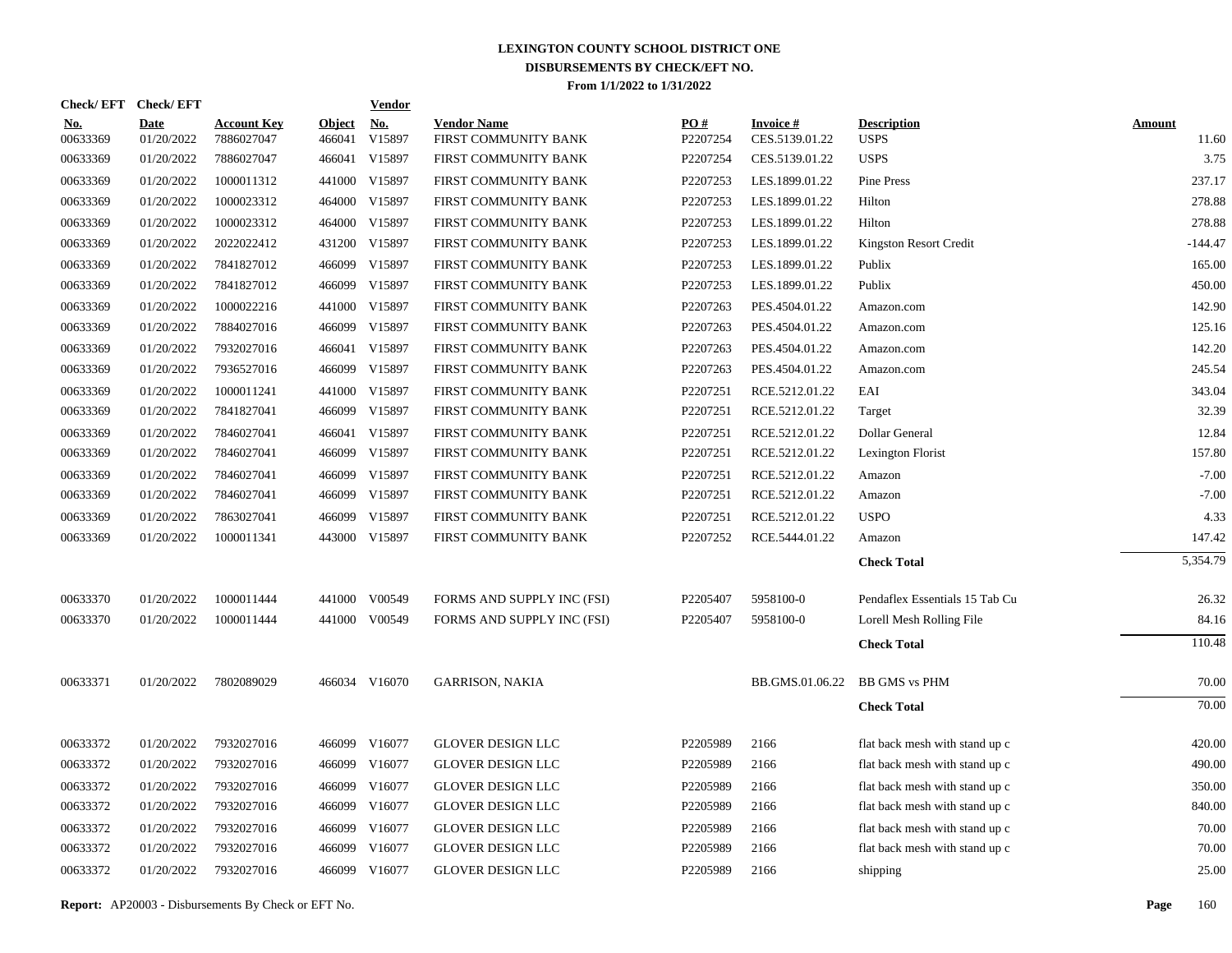| Check/EFT Check/EFT |                           |                                  |                         | <b>Vendor</b> |                                            |                 |                                   |                                   |                        |
|---------------------|---------------------------|----------------------------------|-------------------------|---------------|--------------------------------------------|-----------------|-----------------------------------|-----------------------------------|------------------------|
| No.<br>00633369     | <b>Date</b><br>01/20/2022 | <b>Account Key</b><br>7886027047 | <b>Object</b><br>466041 | No.<br>V15897 | <b>Vendor Name</b><br>FIRST COMMUNITY BANK | PO#<br>P2207254 | <b>Invoice#</b><br>CES.5139.01.22 | <b>Description</b><br><b>USPS</b> | <b>Amount</b><br>11.60 |
| 00633369            | 01/20/2022                | 7886027047                       | 466041                  | V15897        | FIRST COMMUNITY BANK                       | P2207254        | CES.5139.01.22                    | <b>USPS</b>                       | 3.75                   |
| 00633369            | 01/20/2022                | 1000011312                       | 441000                  | V15897        | FIRST COMMUNITY BANK                       | P2207253        | LES.1899.01.22                    | Pine Press                        | 237.17                 |
| 00633369            | 01/20/2022                | 1000023312                       | 464000                  | V15897        | FIRST COMMUNITY BANK                       | P2207253        | LES.1899.01.22                    | Hilton                            | 278.88                 |
| 00633369            | 01/20/2022                | 1000023312                       | 464000                  | V15897        | FIRST COMMUNITY BANK                       | P2207253        | LES.1899.01.22                    | Hilton                            | 278.88                 |
| 00633369            | 01/20/2022                | 2022022412                       | 431200                  | V15897        | FIRST COMMUNITY BANK                       | P2207253        | LES.1899.01.22                    | Kingston Resort Credit            | $-144.47$              |
| 00633369            | 01/20/2022                | 7841827012                       | 466099                  | V15897        | FIRST COMMUNITY BANK                       | P2207253        | LES.1899.01.22                    | Publix                            | 165.00                 |
| 00633369            | 01/20/2022                | 7841827012                       | 466099                  | V15897        | FIRST COMMUNITY BANK                       | P2207253        | LES.1899.01.22                    | Publix                            | 450.00                 |
| 00633369            | 01/20/2022                | 1000022216                       | 441000                  | V15897        | FIRST COMMUNITY BANK                       | P2207263        | PES.4504.01.22                    | Amazon.com                        | 142.90                 |
| 00633369            | 01/20/2022                | 7884027016                       | 466099                  | V15897        | FIRST COMMUNITY BANK                       | P2207263        | PES.4504.01.22                    | Amazon.com                        | 125.16                 |
| 00633369            | 01/20/2022                | 7932027016                       | 466041                  | V15897        | FIRST COMMUNITY BANK                       | P2207263        | PES.4504.01.22                    | Amazon.com                        | 142.20                 |
| 00633369            | 01/20/2022                | 7936527016                       | 466099                  | V15897        | FIRST COMMUNITY BANK                       | P2207263        | PES.4504.01.22                    | Amazon.com                        | 245.54                 |
| 00633369            | 01/20/2022                | 1000011241                       | 441000                  | V15897        | FIRST COMMUNITY BANK                       | P2207251        | RCE.5212.01.22                    | EAI                               | 343.04                 |
| 00633369            | 01/20/2022                | 7841827041                       |                         | 466099 V15897 | FIRST COMMUNITY BANK                       | P2207251        | RCE.5212.01.22                    | Target                            | 32.39                  |
| 00633369            | 01/20/2022                | 7846027041                       | 466041                  | V15897        | FIRST COMMUNITY BANK                       | P2207251        | RCE.5212.01.22                    | Dollar General                    | 12.84                  |
| 00633369            | 01/20/2022                | 7846027041                       | 466099                  | V15897        | FIRST COMMUNITY BANK                       | P2207251        | RCE.5212.01.22                    | Lexington Florist                 | 157.80                 |
| 00633369            | 01/20/2022                | 7846027041                       | 466099                  | V15897        | FIRST COMMUNITY BANK                       | P2207251        | RCE.5212.01.22                    | Amazon                            | $-7.00$                |
| 00633369            | 01/20/2022                | 7846027041                       |                         | 466099 V15897 | FIRST COMMUNITY BANK                       | P2207251        | RCE.5212.01.22                    | Amazon                            | $-7.00$                |
| 00633369            | 01/20/2022                | 7863027041                       | 466099                  | V15897        | FIRST COMMUNITY BANK                       | P2207251        | RCE.5212.01.22                    | <b>USPO</b>                       | 4.33                   |
| 00633369            | 01/20/2022                | 1000011341                       |                         | 443000 V15897 | FIRST COMMUNITY BANK                       | P2207252        | RCE.5444.01.22                    | Amazon                            | 147.42                 |
|                     |                           |                                  |                         |               |                                            |                 |                                   | <b>Check Total</b>                | 5,354.79               |
| 00633370            | 01/20/2022                | 1000011444                       |                         | 441000 V00549 | FORMS AND SUPPLY INC (FSI)                 | P2205407        | 5958100-0                         | Pendaflex Essentials 15 Tab Cu    | 26.32                  |
| 00633370            | 01/20/2022                | 1000011444                       |                         | 441000 V00549 | FORMS AND SUPPLY INC (FSI)                 | P2205407        | 5958100-0                         | Lorell Mesh Rolling File          | 84.16                  |
|                     |                           |                                  |                         |               |                                            |                 |                                   | <b>Check Total</b>                | 110.48                 |
| 00633371            | 01/20/2022                | 7802089029                       |                         | 466034 V16070 | <b>GARRISON, NAKIA</b>                     |                 | BB.GMS.01.06.22                   | <b>BB GMS vs PHM</b>              | 70.00                  |
|                     |                           |                                  |                         |               |                                            |                 |                                   | <b>Check Total</b>                | 70.00                  |
| 00633372            | 01/20/2022                | 7932027016                       |                         | 466099 V16077 | <b>GLOVER DESIGN LLC</b>                   | P2205989        | 2166                              | flat back mesh with stand up c    | 420.00                 |
| 00633372            | 01/20/2022                | 7932027016                       | 466099                  | V16077        | <b>GLOVER DESIGN LLC</b>                   | P2205989        | 2166                              | flat back mesh with stand up c    | 490.00                 |
| 00633372            | 01/20/2022                | 7932027016                       | 466099                  | V16077        | <b>GLOVER DESIGN LLC</b>                   | P2205989        | 2166                              | flat back mesh with stand up c    | 350.00                 |
| 00633372            | 01/20/2022                | 7932027016                       | 466099                  | V16077        | GLOVER DESIGN LLC                          | P2205989        | 2166                              | flat back mesh with stand up c    | 840.00                 |
| 00633372            | 01/20/2022                | 7932027016                       | 466099                  | V16077        | <b>GLOVER DESIGN LLC</b>                   | P2205989        | 2166                              | flat back mesh with stand up c    | 70.00                  |
| 00633372            | 01/20/2022                | 7932027016                       | 466099                  | V16077        | <b>GLOVER DESIGN LLC</b>                   | P2205989        | 2166                              | flat back mesh with stand up c    | 70.00                  |
| 00633372            | 01/20/2022                | 7932027016                       |                         | 466099 V16077 | <b>GLOVER DESIGN LLC</b>                   | P2205989        | 2166                              | shipping                          | 25.00                  |
|                     |                           |                                  |                         |               |                                            |                 |                                   |                                   |                        |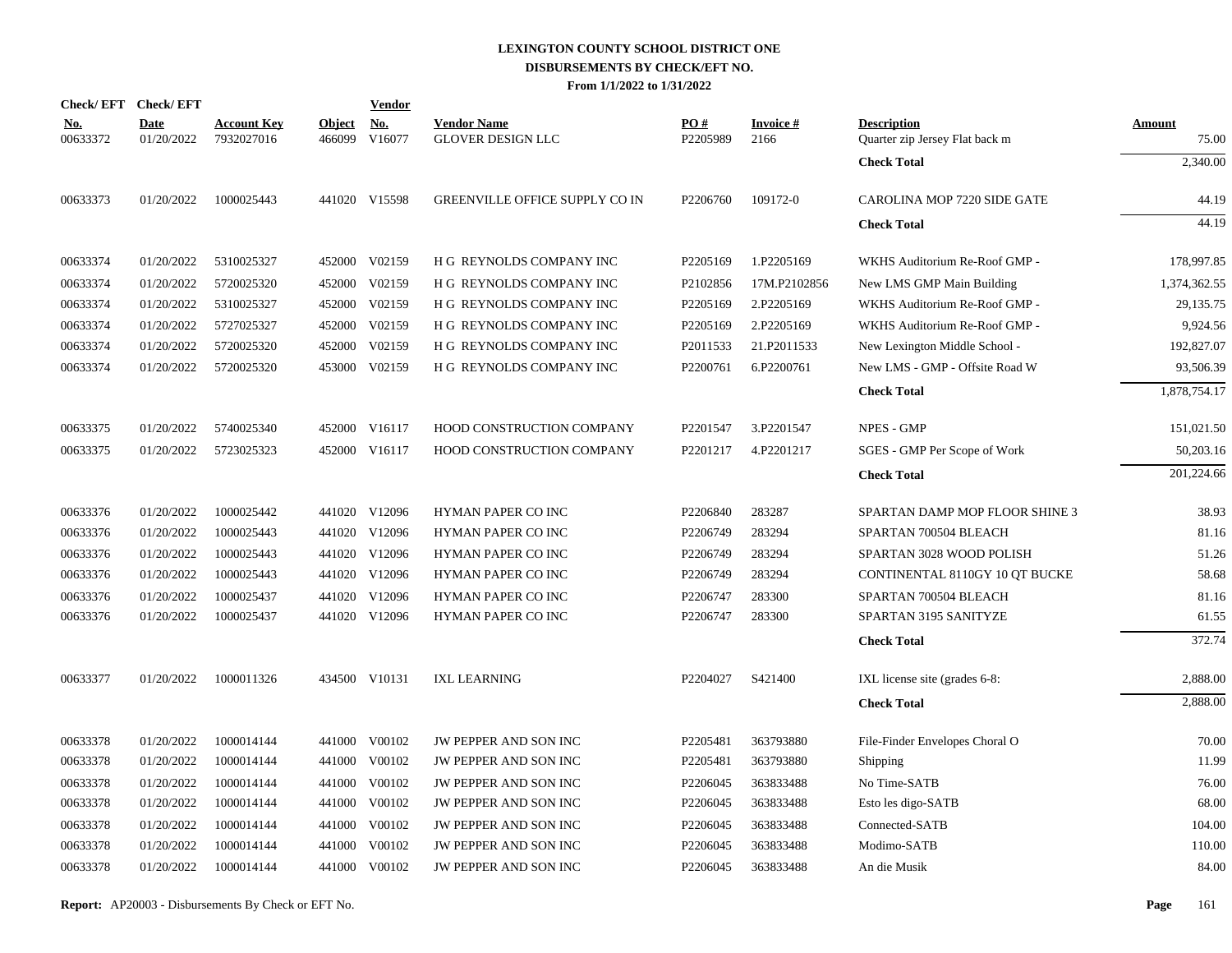|                        | Check/EFT Check/EFT       |                                  |                         | <b>Vendor</b>        |                                         |                 |                            |                                                      |                        |
|------------------------|---------------------------|----------------------------------|-------------------------|----------------------|-----------------------------------------|-----------------|----------------------------|------------------------------------------------------|------------------------|
| <u>No.</u><br>00633372 | <b>Date</b><br>01/20/2022 | <b>Account Key</b><br>7932027016 | <b>Object</b><br>466099 | <u>No.</u><br>V16077 | <b>Vendor Name</b><br>GLOVER DESIGN LLC | PO#<br>P2205989 | <b>Invoice</b> $#$<br>2166 | <b>Description</b><br>Quarter zip Jersey Flat back m | <b>Amount</b><br>75.00 |
|                        |                           |                                  |                         |                      |                                         |                 |                            | <b>Check Total</b>                                   | 2,340.00               |
| 00633373               | 01/20/2022                | 1000025443                       |                         | 441020 V15598        | GREENVILLE OFFICE SUPPLY CO IN          | P2206760        | 109172-0                   | CAROLINA MOP 7220 SIDE GATE                          | 44.19                  |
|                        |                           |                                  |                         |                      |                                         |                 |                            | <b>Check Total</b>                                   | 44.19                  |
| 00633374               | 01/20/2022                | 5310025327                       |                         | 452000 V02159        | H G REYNOLDS COMPANY INC                | P2205169        | 1.P2205169                 | WKHS Auditorium Re-Roof GMP -                        | 178,997.85             |
| 00633374               | 01/20/2022                | 5720025320                       | 452000                  | V02159               | H G REYNOLDS COMPANY INC                | P2102856        | 17M.P2102856               | New LMS GMP Main Building                            | 1,374,362.55           |
| 00633374               | 01/20/2022                | 5310025327                       |                         | 452000 V02159        | H G REYNOLDS COMPANY INC                | P2205169        | 2.P2205169                 | WKHS Auditorium Re-Roof GMP -                        | 29,135.75              |
| 00633374               | 01/20/2022                | 5727025327                       |                         | 452000 V02159        | H G REYNOLDS COMPANY INC                | P2205169        | 2.P2205169                 | WKHS Auditorium Re-Roof GMP -                        | 9,924.56               |
| 00633374               | 01/20/2022                | 5720025320                       | 452000                  | V02159               | H G REYNOLDS COMPANY INC                | P2011533        | 21.P2011533                | New Lexington Middle School -                        | 192,827.07             |
| 00633374               | 01/20/2022                | 5720025320                       |                         | 453000 V02159        | H G REYNOLDS COMPANY INC                | P2200761        | 6.P2200761                 | New LMS - GMP - Offsite Road W                       | 93,506.39              |
|                        |                           |                                  |                         |                      |                                         |                 |                            | <b>Check Total</b>                                   | 1,878,754.17           |
| 00633375               | 01/20/2022                | 5740025340                       |                         | 452000 V16117        | HOOD CONSTRUCTION COMPANY               | P2201547        | 3.P2201547                 | NPES - GMP                                           | 151,021.50             |
| 00633375               | 01/20/2022                | 5723025323                       |                         | 452000 V16117        | HOOD CONSTRUCTION COMPANY               | P2201217        | 4.P2201217                 | SGES - GMP Per Scope of Work                         | 50,203.16              |
|                        |                           |                                  |                         |                      |                                         |                 |                            | <b>Check Total</b>                                   | 201,224.66             |
| 00633376               | 01/20/2022                | 1000025442                       |                         | 441020 V12096        | HYMAN PAPER CO INC                      | P2206840        | 283287                     | SPARTAN DAMP MOP FLOOR SHINE 3                       | 38.93                  |
| 00633376               | 01/20/2022                | 1000025443                       |                         | 441020 V12096        | HYMAN PAPER CO INC                      | P2206749        | 283294                     | SPARTAN 700504 BLEACH                                | 81.16                  |
| 00633376               | 01/20/2022                | 1000025443                       |                         | 441020 V12096        | HYMAN PAPER CO INC                      | P2206749        | 283294                     | SPARTAN 3028 WOOD POLISH                             | 51.26                  |
| 00633376               | 01/20/2022                | 1000025443                       |                         | 441020 V12096        | HYMAN PAPER CO INC                      | P2206749        | 283294                     | CONTINENTAL 8110GY 10 QT BUCKE                       | 58.68                  |
| 00633376               | 01/20/2022                | 1000025437                       |                         | 441020 V12096        | HYMAN PAPER CO INC                      | P2206747        | 283300                     | SPARTAN 700504 BLEACH                                | 81.16                  |
| 00633376               | 01/20/2022                | 1000025437                       |                         | 441020 V12096        | HYMAN PAPER CO INC                      | P2206747        | 283300                     | SPARTAN 3195 SANITYZE                                | 61.55                  |
|                        |                           |                                  |                         |                      |                                         |                 |                            | <b>Check Total</b>                                   | 372.74                 |
| 00633377               | 01/20/2022                | 1000011326                       |                         | 434500 V10131        | <b>IXL LEARNING</b>                     | P2204027        | S421400                    | IXL license site (grades 6-8:                        | 2,888.00               |
|                        |                           |                                  |                         |                      |                                         |                 |                            | <b>Check Total</b>                                   | 2,888.00               |
| 00633378               | 01/20/2022                | 1000014144                       |                         | 441000 V00102        | JW PEPPER AND SON INC                   | P2205481        | 363793880                  | File-Finder Envelopes Choral O                       | 70.00                  |
| 00633378               | 01/20/2022                | 1000014144                       |                         | 441000 V00102        | <b>JW PEPPER AND SON INC</b>            | P2205481        | 363793880                  | Shipping                                             | 11.99                  |
| 00633378               | 01/20/2022                | 1000014144                       | 441000                  | V00102               | JW PEPPER AND SON INC                   | P2206045        | 363833488                  | No Time-SATB                                         | 76.00                  |
| 00633378               | 01/20/2022                | 1000014144                       |                         | 441000 V00102        | JW PEPPER AND SON INC                   | P2206045        | 363833488                  | Esto les digo-SATB                                   | 68.00                  |
| 00633378               | 01/20/2022                | 1000014144                       | 441000                  | V00102               | JW PEPPER AND SON INC                   | P2206045        | 363833488                  | Connected-SATB                                       | 104.00                 |
| 00633378               | 01/20/2022                | 1000014144                       | 441000                  | V00102               | JW PEPPER AND SON INC                   | P2206045        | 363833488                  | Modimo-SATB                                          | 110.00                 |
| 00633378               | 01/20/2022                | 1000014144                       |                         | 441000 V00102        | JW PEPPER AND SON INC                   | P2206045        | 363833488                  | An die Musik                                         | 84.00                  |
|                        |                           |                                  |                         |                      |                                         |                 |                            |                                                      |                        |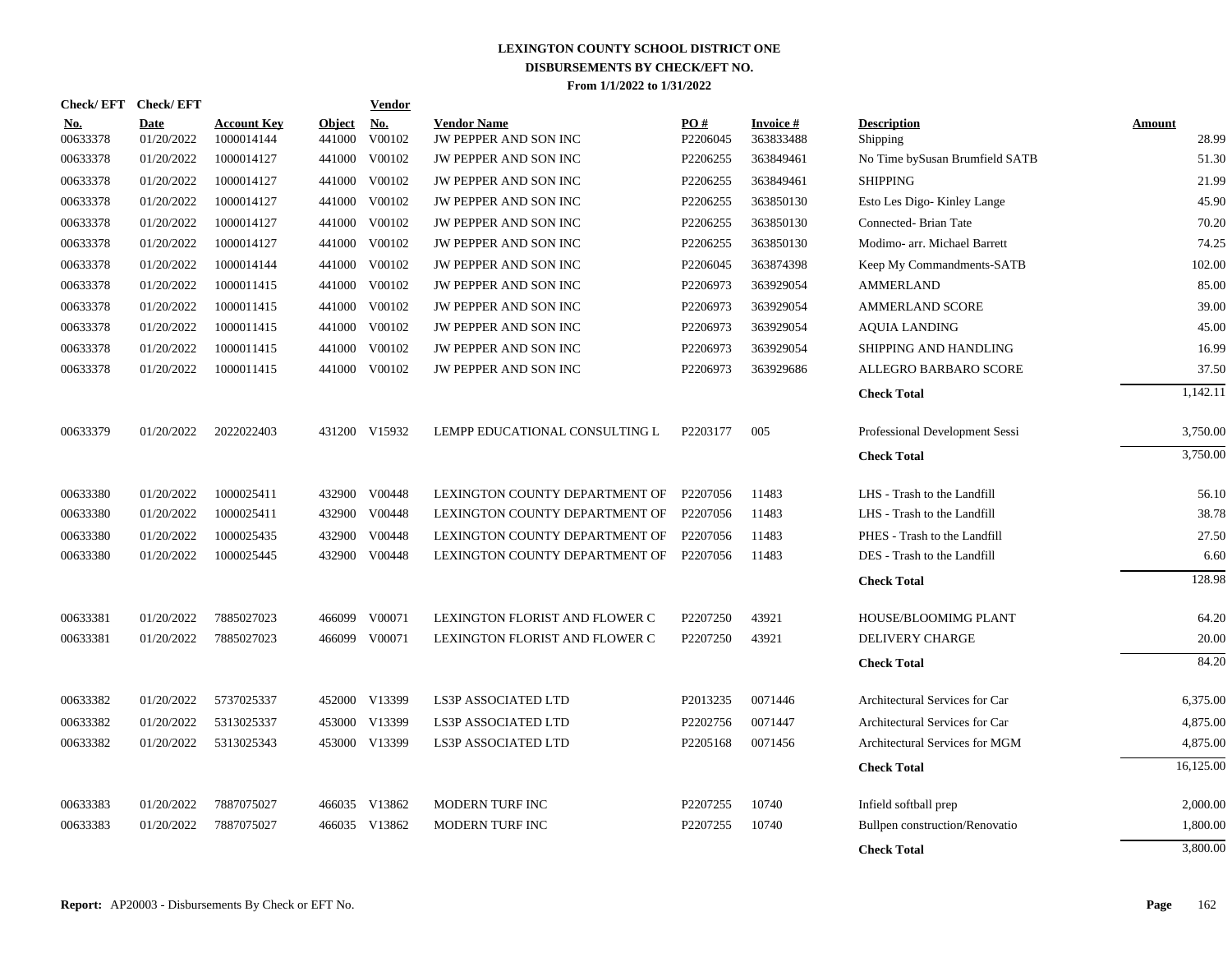| <b>Check/EFT</b>       | <b>Check/EFT</b>   |                                  |                         | <b>Vendor</b>                         |                                             |                 |                        |                                |                 |
|------------------------|--------------------|----------------------------------|-------------------------|---------------------------------------|---------------------------------------------|-----------------|------------------------|--------------------------------|-----------------|
| <u>No.</u><br>00633378 | Date<br>01/20/2022 | <b>Account Kev</b><br>1000014144 | <u>Object</u><br>441000 | $\underline{\mathrm{No}}$ .<br>V00102 | <b>Vendor Name</b><br>JW PEPPER AND SON INC | PO#<br>P2206045 | Invoice #<br>363833488 | <b>Description</b><br>Shipping | Amount<br>28.99 |
| 00633378               | 01/20/2022         | 1000014127                       | 441000                  | V00102                                | <b>JW PEPPER AND SON INC</b>                | P2206255        | 363849461              | No Time bySusan Brumfield SATB | 51.30           |
| 00633378               | 01/20/2022         | 1000014127                       | 441000                  | V00102                                | JW PEPPER AND SON INC                       | P2206255        | 363849461              | <b>SHIPPING</b>                | 21.99           |
| 00633378               | 01/20/2022         | 1000014127                       | 441000                  | V00102                                | JW PEPPER AND SON INC                       | P2206255        | 363850130              | Esto Les Digo-Kinley Lange     | 45.90           |
| 00633378               | 01/20/2022         | 1000014127                       | 441000                  | V00102                                | JW PEPPER AND SON INC                       | P2206255        | 363850130              | Connected-Brian Tate           | 70.20           |
| 00633378               | 01/20/2022         | 1000014127                       | 441000                  | V00102                                | JW PEPPER AND SON INC                       | P2206255        | 363850130              | Modimo- arr. Michael Barrett   | 74.25           |
| 00633378               | 01/20/2022         | 1000014144                       | 441000                  | V00102                                | JW PEPPER AND SON INC                       | P2206045        | 363874398              | Keep My Commandments-SATB      | 102.00          |
| 00633378               | 01/20/2022         | 1000011415                       |                         | 441000 V00102                         | JW PEPPER AND SON INC                       | P2206973        | 363929054              | <b>AMMERLAND</b>               | 85.00           |
| 00633378               | 01/20/2022         | 1000011415                       | 441000                  | V00102                                | JW PEPPER AND SON INC                       | P2206973        | 363929054              | <b>AMMERLAND SCORE</b>         | 39.00           |
| 00633378               | 01/20/2022         | 1000011415                       | 441000                  | V00102                                | JW PEPPER AND SON INC                       | P2206973        | 363929054              | <b>AQUIA LANDING</b>           | 45.00           |
| 00633378               | 01/20/2022         | 1000011415                       | 441000                  | V00102                                | JW PEPPER AND SON INC                       | P2206973        | 363929054              | SHIPPING AND HANDLING          | 16.99           |
| 00633378               | 01/20/2022         | 1000011415                       | 441000                  | V00102                                | JW PEPPER AND SON INC                       | P2206973        | 363929686              | ALLEGRO BARBARO SCORE          | 37.50           |
|                        |                    |                                  |                         |                                       |                                             |                 |                        | <b>Check Total</b>             | 1,142.11        |
| 00633379               | 01/20/2022         | 2022022403                       |                         | 431200 V15932                         | LEMPP EDUCATIONAL CONSULTING L              | P2203177        | 005                    | Professional Development Sessi | 3,750.00        |
|                        |                    |                                  |                         |                                       |                                             |                 |                        | <b>Check Total</b>             | 3,750.00        |
| 00633380               | 01/20/2022         | 1000025411                       | 432900                  | V00448                                | LEXINGTON COUNTY DEPARTMENT OF              | P2207056        | 11483                  | LHS - Trash to the Landfill    | 56.10           |
| 00633380               | 01/20/2022         | 1000025411                       | 432900                  | V00448                                | LEXINGTON COUNTY DEPARTMENT OF              | P2207056        | 11483                  | LHS - Trash to the Landfill    | 38.78           |
| 00633380               | 01/20/2022         | 1000025435                       | 432900                  | V00448                                | LEXINGTON COUNTY DEPARTMENT OF              | P2207056        | 11483                  | PHES - Trash to the Landfill   | 27.50           |
| 00633380               | 01/20/2022         | 1000025445                       |                         | 432900 V00448                         | LEXINGTON COUNTY DEPARTMENT OF P2207056     |                 | 11483                  | DES - Trash to the Landfill    | 6.60            |
|                        |                    |                                  |                         |                                       |                                             |                 |                        | <b>Check Total</b>             | 128.98          |
| 00633381               | 01/20/2022         | 7885027023                       | 466099                  | V00071                                | LEXINGTON FLORIST AND FLOWER C              | P2207250        | 43921                  | HOUSE/BLOOMIMG PLANT           | 64.20           |
| 00633381               | 01/20/2022         | 7885027023                       |                         | 466099 V00071                         | LEXINGTON FLORIST AND FLOWER C              | P2207250        | 43921                  | DELIVERY CHARGE                | 20.00           |
|                        |                    |                                  |                         |                                       |                                             |                 |                        | <b>Check Total</b>             | 84.20           |
| 00633382               | 01/20/2022         | 5737025337                       |                         | 452000 V13399                         | LS3P ASSOCIATED LTD                         | P2013235        | 0071446                | Architectural Services for Car | 6,375.00        |
| 00633382               | 01/20/2022         | 5313025337                       | 453000                  | V13399                                | <b>LS3P ASSOCIATED LTD</b>                  | P2202756        | 0071447                | Architectural Services for Car | 4,875.00        |
| 00633382               | 01/20/2022         | 5313025343                       |                         | 453000 V13399                         | <b>LS3P ASSOCIATED LTD</b>                  | P2205168        | 0071456                | Architectural Services for MGM | 4,875.00        |
|                        |                    |                                  |                         |                                       |                                             |                 |                        | <b>Check Total</b>             | 16,125.00       |
| 00633383               | 01/20/2022         | 7887075027                       |                         | 466035 V13862                         | MODERN TURF INC                             | P2207255        | 10740                  | Infield softball prep          | 2,000.00        |
| 00633383               | 01/20/2022         | 7887075027                       | 466035                  | V13862                                | MODERN TURF INC                             | P2207255        | 10740                  | Bullpen construction/Renovatio | 1,800.00        |
|                        |                    |                                  |                         |                                       |                                             |                 |                        | <b>Check Total</b>             | 3,800.00        |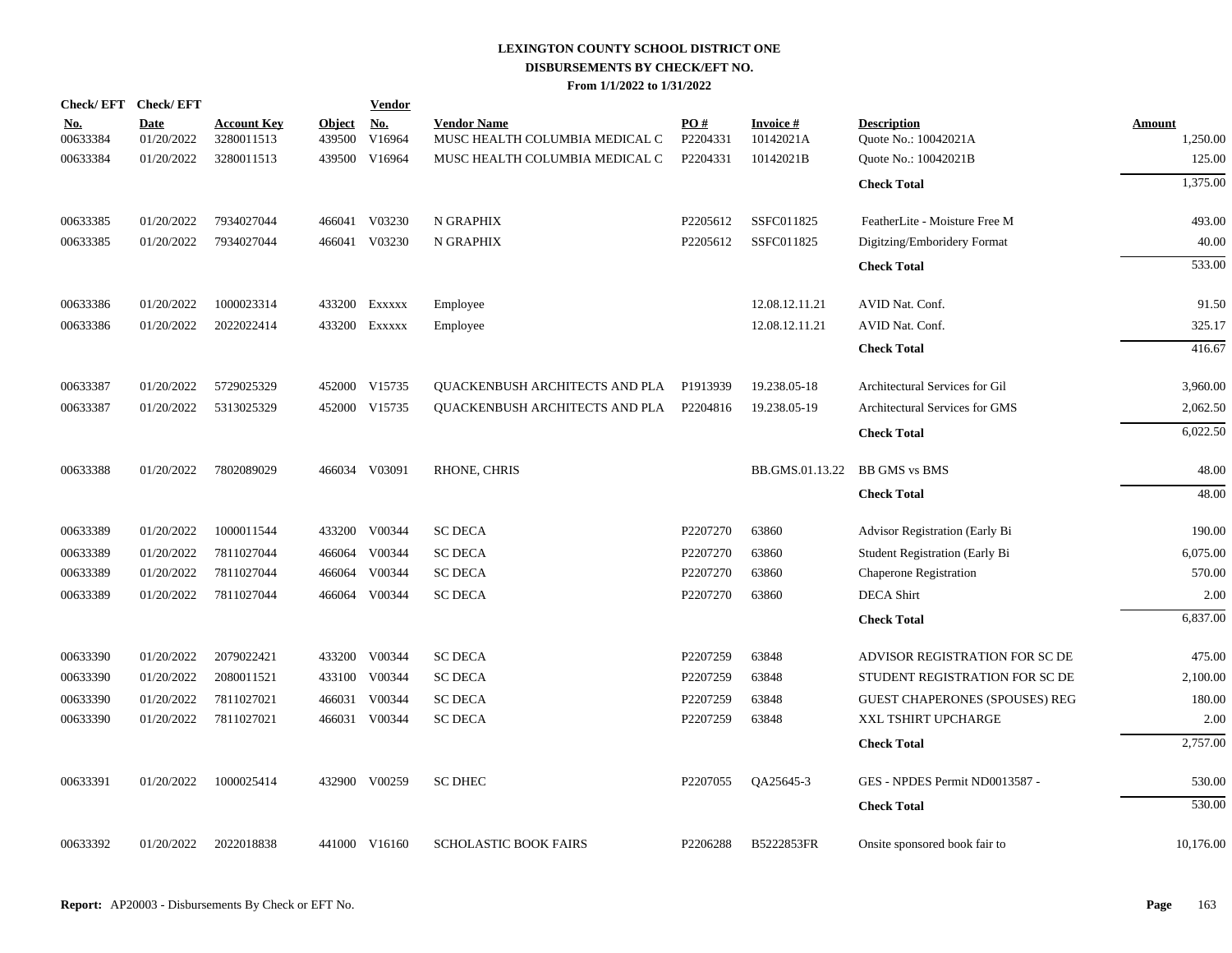| Check/EFT Check/EFT    |                           |                                  |                         | <b>Vendor</b>        |                                                      |                 |                               |                                            |                           |
|------------------------|---------------------------|----------------------------------|-------------------------|----------------------|------------------------------------------------------|-----------------|-------------------------------|--------------------------------------------|---------------------------|
| <u>No.</u><br>00633384 | <b>Date</b><br>01/20/2022 | <b>Account Key</b><br>3280011513 | <u>Object</u><br>439500 | <u>No.</u><br>V16964 | <b>Vendor Name</b><br>MUSC HEALTH COLUMBIA MEDICAL C | PO#<br>P2204331 | <b>Invoice #</b><br>10142021A | <b>Description</b><br>Quote No.: 10042021A | <b>Amount</b><br>1,250.00 |
| 00633384               | 01/20/2022                | 3280011513                       | 439500                  | V16964               | MUSC HEALTH COLUMBIA MEDICAL C                       | P2204331        | 10142021B                     | Quote No.: 10042021B                       | 125.00                    |
|                        |                           |                                  |                         |                      |                                                      |                 |                               | <b>Check Total</b>                         | 1,375.00                  |
|                        |                           |                                  |                         |                      |                                                      |                 |                               |                                            |                           |
| 00633385               | 01/20/2022                | 7934027044                       | 466041                  | V03230               | N GRAPHIX                                            | P2205612        | SSFC011825                    | FeatherLite - Moisture Free M              | 493.00                    |
| 00633385               | 01/20/2022                | 7934027044                       |                         | 466041 V03230        | N GRAPHIX                                            | P2205612        | SSFC011825                    | Digitzing/Emboridery Format                | 40.00                     |
|                        |                           |                                  |                         |                      |                                                      |                 |                               | <b>Check Total</b>                         | 533.00                    |
| 00633386               | 01/20/2022                | 1000023314                       |                         | 433200 Exxxxx        | Employee                                             |                 | 12.08.12.11.21                | AVID Nat. Conf.                            | 91.50                     |
| 00633386               | 01/20/2022                | 2022022414                       |                         | 433200 Exxxxx        | Employee                                             |                 | 12.08.12.11.21                | AVID Nat. Conf.                            | 325.17                    |
|                        |                           |                                  |                         |                      |                                                      |                 |                               | <b>Check Total</b>                         | 416.67                    |
| 00633387               | 01/20/2022                | 5729025329                       |                         | 452000 V15735        | <b>OUACKENBUSH ARCHITECTS AND PLA</b>                | P1913939        | 19.238.05-18                  | Architectural Services for Gil             | 3,960.00                  |
| 00633387               | 01/20/2022                | 5313025329                       |                         | 452000 V15735        | <b>OUACKENBUSH ARCHITECTS AND PLA</b>                | P2204816        | 19.238.05-19                  | Architectural Services for GMS             | 2,062.50                  |
|                        |                           |                                  |                         |                      |                                                      |                 |                               | <b>Check Total</b>                         | 6,022.50                  |
| 00633388               | 01/20/2022                | 7802089029                       |                         | 466034 V03091        | RHONE, CHRIS                                         |                 | BB.GMS.01.13.22               | <b>BB GMS vs BMS</b>                       | 48.00                     |
|                        |                           |                                  |                         |                      |                                                      |                 |                               | <b>Check Total</b>                         | 48.00                     |
| 00633389               | 01/20/2022                | 1000011544                       | 433200                  | V00344               | <b>SC DECA</b>                                       | P2207270        | 63860                         | <b>Advisor Registration (Early Bi</b>      | 190.00                    |
| 00633389               | 01/20/2022                | 7811027044                       |                         | 466064 V00344        | <b>SC DECA</b>                                       | P2207270        | 63860                         | Student Registration (Early Bi             | 6,075.00                  |
| 00633389               | 01/20/2022                | 7811027044                       | 466064                  | V00344               | <b>SC DECA</b>                                       | P2207270        | 63860                         | Chaperone Registration                     | 570.00                    |
| 00633389               | 01/20/2022                | 7811027044                       |                         | 466064 V00344        | <b>SC DECA</b>                                       | P2207270        | 63860                         | <b>DECA</b> Shirt                          | 2.00                      |
|                        |                           |                                  |                         |                      |                                                      |                 |                               | <b>Check Total</b>                         | 6,837.00                  |
| 00633390               | 01/20/2022                | 2079022421                       |                         | 433200 V00344        | <b>SC DECA</b>                                       | P2207259        | 63848                         | ADVISOR REGISTRATION FOR SC DE             | 475.00                    |
| 00633390               | 01/20/2022                | 2080011521                       |                         | 433100 V00344        | <b>SC DECA</b>                                       | P2207259        | 63848                         | STUDENT REGISTRATION FOR SC DE             | 2,100.00                  |
| 00633390               | 01/20/2022                | 7811027021                       |                         | 466031 V00344        | <b>SC DECA</b>                                       | P2207259        | 63848                         | <b>GUEST CHAPERONES (SPOUSES) REG</b>      | 180.00                    |
| 00633390               | 01/20/2022                | 7811027021                       |                         | 466031 V00344        | <b>SC DECA</b>                                       | P2207259        | 63848                         | XXL TSHIRT UPCHARGE                        | 2.00                      |
|                        |                           |                                  |                         |                      |                                                      |                 |                               | <b>Check Total</b>                         | 2,757.00                  |
| 00633391               | 01/20/2022                | 1000025414                       |                         | 432900 V00259        | <b>SC DHEC</b>                                       | P2207055        | QA25645-3                     | GES - NPDES Permit ND0013587 -             | 530.00                    |
|                        |                           |                                  |                         |                      |                                                      |                 |                               | <b>Check Total</b>                         | 530.00                    |
| 00633392               | 01/20/2022                | 2022018838                       |                         | 441000 V16160        | <b>SCHOLASTIC BOOK FAIRS</b>                         | P2206288        | B5222853FR                    | Onsite sponsored book fair to              | 10,176.00                 |
|                        |                           |                                  |                         |                      |                                                      |                 |                               |                                            |                           |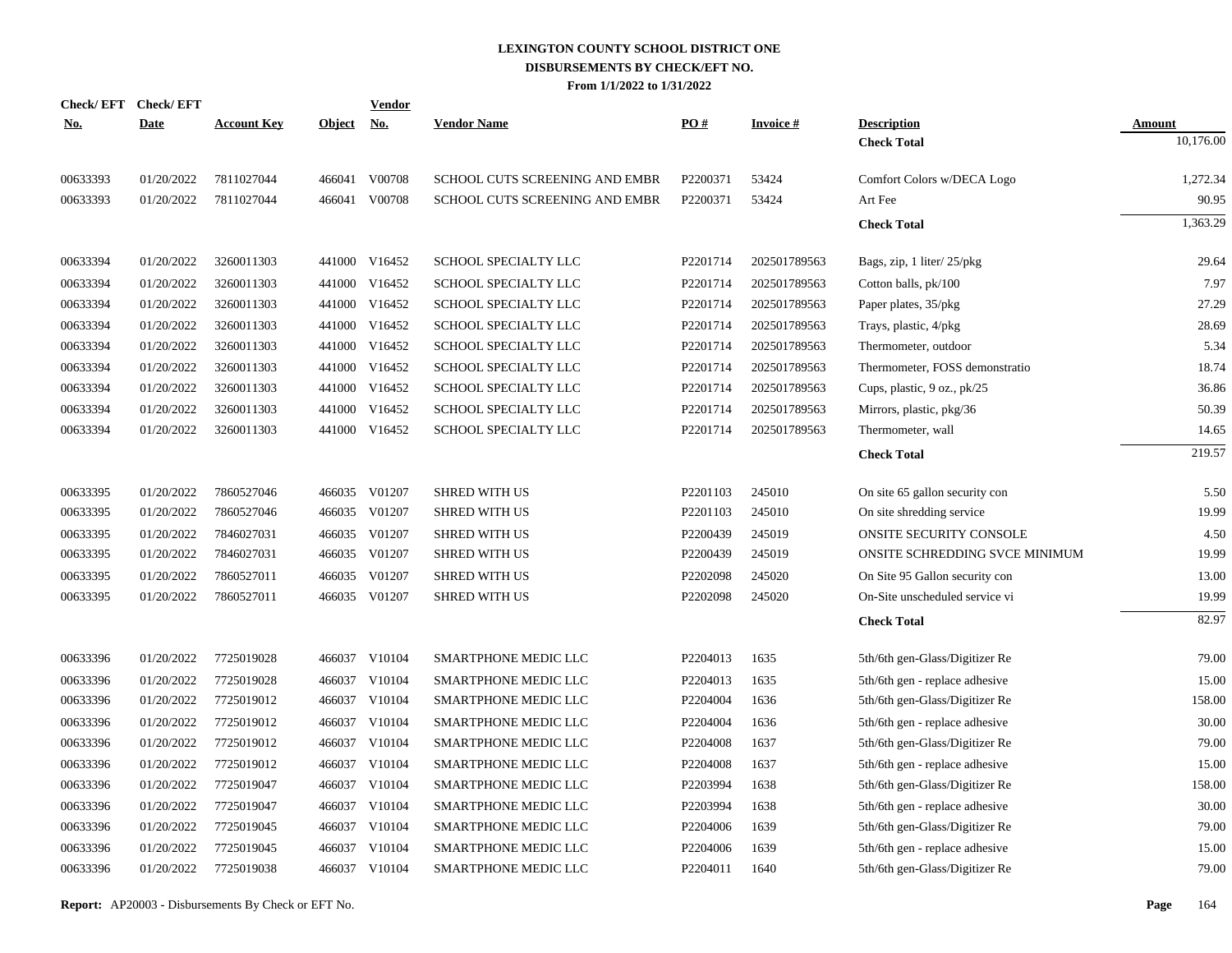| <u>No.</u> | Check/EFT Check/EFT<br><b>Date</b> | <b>Account Key</b> | Object No. | <b>Vendor</b> | <b>Vendor Name</b>             | $\underline{PO#}$ | <b>Invoice#</b> | <b>Description</b>             | <b>Amount</b> |
|------------|------------------------------------|--------------------|------------|---------------|--------------------------------|-------------------|-----------------|--------------------------------|---------------|
|            |                                    |                    |            |               |                                |                   |                 | <b>Check Total</b>             | 10,176.00     |
| 00633393   | 01/20/2022                         | 7811027044         | 466041     | V00708        | SCHOOL CUTS SCREENING AND EMBR | P2200371          | 53424           | Comfort Colors w/DECA Logo     | 1,272.34      |
| 00633393   | 01/20/2022                         | 7811027044         |            | 466041 V00708 | SCHOOL CUTS SCREENING AND EMBR | P2200371          | 53424           | Art Fee                        | 90.95         |
|            |                                    |                    |            |               |                                |                   |                 | <b>Check Total</b>             | 1,363.29      |
| 00633394   | 01/20/2022                         | 3260011303         |            | 441000 V16452 | <b>SCHOOL SPECIALTY LLC</b>    | P2201714          | 202501789563    | Bags, zip, 1 liter/25/pkg      | 29.64         |
| 00633394   | 01/20/2022                         | 3260011303         | 441000     | V16452        | SCHOOL SPECIALTY LLC           | P2201714          | 202501789563    | Cotton balls, pk/100           | 7.97          |
| 00633394   | 01/20/2022                         | 3260011303         | 441000     | V16452        | SCHOOL SPECIALTY LLC           | P2201714          | 202501789563    | Paper plates, 35/pkg           | 27.29         |
| 00633394   | 01/20/2022                         | 3260011303         | 441000     | V16452        | SCHOOL SPECIALTY LLC           | P2201714          | 202501789563    | Trays, plastic, 4/pkg          | 28.69         |
| 00633394   | 01/20/2022                         | 3260011303         | 441000     | V16452        | SCHOOL SPECIALTY LLC           | P2201714          | 202501789563    | Thermometer, outdoor           | 5.34          |
| 00633394   | 01/20/2022                         | 3260011303         | 441000     | V16452        | SCHOOL SPECIALTY LLC           | P2201714          | 202501789563    | Thermometer, FOSS demonstratio | 18.74         |
| 00633394   | 01/20/2022                         | 3260011303         | 441000     | V16452        | SCHOOL SPECIALTY LLC           | P2201714          | 202501789563    | Cups, plastic, 9 oz., pk/25    | 36.86         |
| 00633394   | 01/20/2022                         | 3260011303         | 441000     | V16452        | SCHOOL SPECIALTY LLC           | P2201714          | 202501789563    | Mirrors, plastic, pkg/36       | 50.39         |
| 00633394   | 01/20/2022                         | 3260011303         | 441000     | V16452        | SCHOOL SPECIALTY LLC           | P2201714          | 202501789563    | Thermometer, wall              | 14.65         |
|            |                                    |                    |            |               |                                |                   |                 | <b>Check Total</b>             | 219.57        |
| 00633395   | 01/20/2022                         | 7860527046         | 466035     | V01207        | <b>SHRED WITH US</b>           | P2201103          | 245010          | On site 65 gallon security con | 5.50          |
| 00633395   | 01/20/2022                         | 7860527046         | 466035     | V01207        | <b>SHRED WITH US</b>           | P2201103          | 245010          | On site shredding service      | 19.99         |
| 00633395   | 01/20/2022                         | 7846027031         | 466035     | V01207        | <b>SHRED WITH US</b>           | P2200439          | 245019          | ONSITE SECURITY CONSOLE        | 4.50          |
| 00633395   | 01/20/2022                         | 7846027031         |            | 466035 V01207 | <b>SHRED WITH US</b>           | P2200439          | 245019          | ONSITE SCHREDDING SVCE MINIMUM | 19.99         |
| 00633395   | 01/20/2022                         | 7860527011         | 466035     | V01207        | <b>SHRED WITH US</b>           | P2202098          | 245020          | On Site 95 Gallon security con | 13.00         |
| 00633395   | 01/20/2022                         | 7860527011         |            | 466035 V01207 | <b>SHRED WITH US</b>           | P2202098          | 245020          | On-Site unscheduled service vi | 19.99         |
|            |                                    |                    |            |               |                                |                   |                 | <b>Check Total</b>             | 82.97         |
| 00633396   | 01/20/2022                         | 7725019028         |            | 466037 V10104 | SMARTPHONE MEDIC LLC           | P2204013          | 1635            | 5th/6th gen-Glass/Digitizer Re | 79.00         |
| 00633396   | 01/20/2022                         | 7725019028         | 466037     | V10104        | SMARTPHONE MEDIC LLC           | P2204013          | 1635            | 5th/6th gen - replace adhesive | 15.00         |
| 00633396   | 01/20/2022                         | 7725019012         | 466037     | V10104        | <b>SMARTPHONE MEDIC LLC</b>    | P2204004          | 1636            | 5th/6th gen-Glass/Digitizer Re | 158.00        |
| 00633396   | 01/20/2022                         | 7725019012         | 466037     | V10104        | SMARTPHONE MEDIC LLC           | P2204004          | 1636            | 5th/6th gen - replace adhesive | 30.00         |
| 00633396   | 01/20/2022                         | 7725019012         | 466037     | V10104        | SMARTPHONE MEDIC LLC           | P2204008          | 1637            | 5th/6th gen-Glass/Digitizer Re | 79.00         |
| 00633396   | 01/20/2022                         | 7725019012         | 466037     | V10104        | SMARTPHONE MEDIC LLC           | P2204008          | 1637            | 5th/6th gen - replace adhesive | 15.00         |
| 00633396   | 01/20/2022                         | 7725019047         | 466037     | V10104        | SMARTPHONE MEDIC LLC           | P2203994          | 1638            | 5th/6th gen-Glass/Digitizer Re | 158.00        |
| 00633396   | 01/20/2022                         | 7725019047         | 466037     | V10104        | SMARTPHONE MEDIC LLC           | P2203994          | 1638            | 5th/6th gen - replace adhesive | 30.00         |
| 00633396   | 01/20/2022                         | 7725019045         | 466037     | V10104        | SMARTPHONE MEDIC LLC           | P2204006          | 1639            | 5th/6th gen-Glass/Digitizer Re | 79.00         |
| 00633396   | 01/20/2022                         | 7725019045         | 466037     | V10104        | SMARTPHONE MEDIC LLC           | P2204006          | 1639            | 5th/6th gen - replace adhesive | 15.00         |
| 00633396   | 01/20/2022                         | 7725019038         |            | 466037 V10104 | SMARTPHONE MEDIC LLC           | P2204011          | 1640            | 5th/6th gen-Glass/Digitizer Re | 79.00         |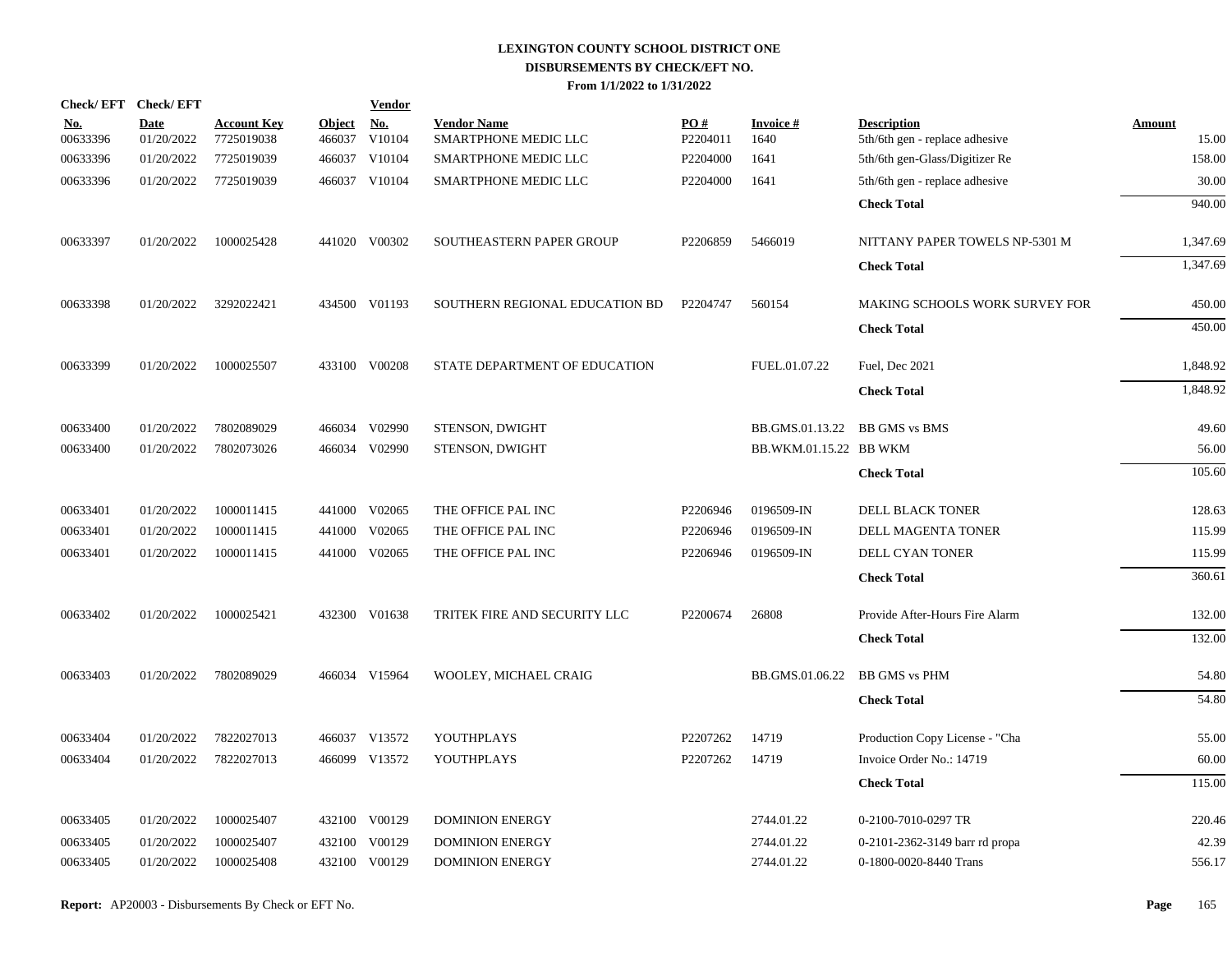|                        | Check/EFT Check/EFT       |                                  |                      | <b>Vendor</b> |                                            |                        |                        |                                                      |                 |
|------------------------|---------------------------|----------------------------------|----------------------|---------------|--------------------------------------------|------------------------|------------------------|------------------------------------------------------|-----------------|
| <u>No.</u><br>00633396 | <b>Date</b><br>01/20/2022 | <b>Account Key</b><br>7725019038 | Object No.<br>466037 | V10104        | <b>Vendor Name</b><br>SMARTPHONE MEDIC LLC | <b>PO#</b><br>P2204011 | Invoice #<br>1640      | <b>Description</b><br>5th/6th gen - replace adhesive | Amount<br>15.00 |
| 00633396               | 01/20/2022                | 7725019039                       |                      | 466037 V10104 | SMARTPHONE MEDIC LLC                       | P2204000               | 1641                   | 5th/6th gen-Glass/Digitizer Re                       | 158.00          |
| 00633396               | 01/20/2022                | 7725019039                       |                      | 466037 V10104 | SMARTPHONE MEDIC LLC                       | P2204000               | 1641                   | 5th/6th gen - replace adhesive                       | 30.00           |
|                        |                           |                                  |                      |               |                                            |                        |                        | <b>Check Total</b>                                   | 940.00          |
| 00633397               | 01/20/2022                | 1000025428                       |                      | 441020 V00302 | SOUTHEASTERN PAPER GROUP                   | P2206859               | 5466019                | NITTANY PAPER TOWELS NP-5301 M                       | 1,347.69        |
|                        |                           |                                  |                      |               |                                            |                        |                        | <b>Check Total</b>                                   | 1,347.69        |
| 00633398               | 01/20/2022                | 3292022421                       |                      | 434500 V01193 | SOUTHERN REGIONAL EDUCATION BD             | P2204747               | 560154                 | MAKING SCHOOLS WORK SURVEY FOR                       | 450.00          |
|                        |                           |                                  |                      |               |                                            |                        |                        | <b>Check Total</b>                                   | 450.00          |
| 00633399               | 01/20/2022                | 1000025507                       |                      | 433100 V00208 | STATE DEPARTMENT OF EDUCATION              |                        | FUEL.01.07.22          | Fuel, Dec 2021                                       | 1,848.92        |
|                        |                           |                                  |                      |               |                                            |                        |                        | <b>Check Total</b>                                   | 1,848.92        |
| 00633400               | 01/20/2022                | 7802089029                       |                      | 466034 V02990 | STENSON, DWIGHT                            |                        | BB.GMS.01.13.22        | <b>BB GMS vs BMS</b>                                 | 49.60           |
| 00633400               | 01/20/2022                | 7802073026                       |                      | 466034 V02990 | STENSON, DWIGHT                            |                        | BB.WKM.01.15.22 BB WKM |                                                      | 56.00           |
|                        |                           |                                  |                      |               |                                            |                        |                        | <b>Check Total</b>                                   | 105.60          |
| 00633401               | 01/20/2022                | 1000011415                       | 441000               | V02065        | THE OFFICE PAL INC                         | P2206946               | 0196509-IN             | DELL BLACK TONER                                     | 128.63          |
| 00633401               | 01/20/2022                | 1000011415                       | 441000               | V02065        | THE OFFICE PAL INC                         | P2206946               | 0196509-IN             | DELL MAGENTA TONER                                   | 115.99          |
| 00633401               | 01/20/2022                | 1000011415                       | 441000               | V02065        | THE OFFICE PAL INC                         | P2206946               | 0196509-IN             | DELL CYAN TONER                                      | 115.99          |
|                        |                           |                                  |                      |               |                                            |                        |                        | <b>Check Total</b>                                   | 360.61          |
| 00633402               | 01/20/2022                | 1000025421                       |                      | 432300 V01638 | TRITEK FIRE AND SECURITY LLC               | P2200674               | 26808                  | Provide After-Hours Fire Alarm                       | 132.00          |
|                        |                           |                                  |                      |               |                                            |                        |                        | <b>Check Total</b>                                   | 132.00          |
| 00633403               | 01/20/2022                | 7802089029                       |                      | 466034 V15964 | WOOLEY, MICHAEL CRAIG                      |                        | BB.GMS.01.06.22        | <b>BB GMS vs PHM</b>                                 | 54.80           |
|                        |                           |                                  |                      |               |                                            |                        |                        | <b>Check Total</b>                                   | 54.80           |
| 00633404               | 01/20/2022                | 7822027013                       |                      | 466037 V13572 | YOUTHPLAYS                                 | P2207262               | 14719                  | Production Copy License - "Cha                       | 55.00           |
| 00633404               | 01/20/2022                | 7822027013                       |                      | 466099 V13572 | YOUTHPLAYS                                 | P2207262               | 14719                  | Invoice Order No.: 14719                             | 60.00           |
|                        |                           |                                  |                      |               |                                            |                        |                        | <b>Check Total</b>                                   | 115.00          |
| 00633405               | 01/20/2022                | 1000025407                       |                      | 432100 V00129 | <b>DOMINION ENERGY</b>                     |                        | 2744.01.22             | 0-2100-7010-0297 TR                                  | 220.46          |
| 00633405               | 01/20/2022                | 1000025407                       | 432100               | V00129        | <b>DOMINION ENERGY</b>                     |                        | 2744.01.22             | 0-2101-2362-3149 barr rd propa                       | 42.39           |
| 00633405               | 01/20/2022                | 1000025408                       |                      | 432100 V00129 | DOMINION ENERGY                            |                        | 2744.01.22             | 0-1800-0020-8440 Trans                               | 556.17          |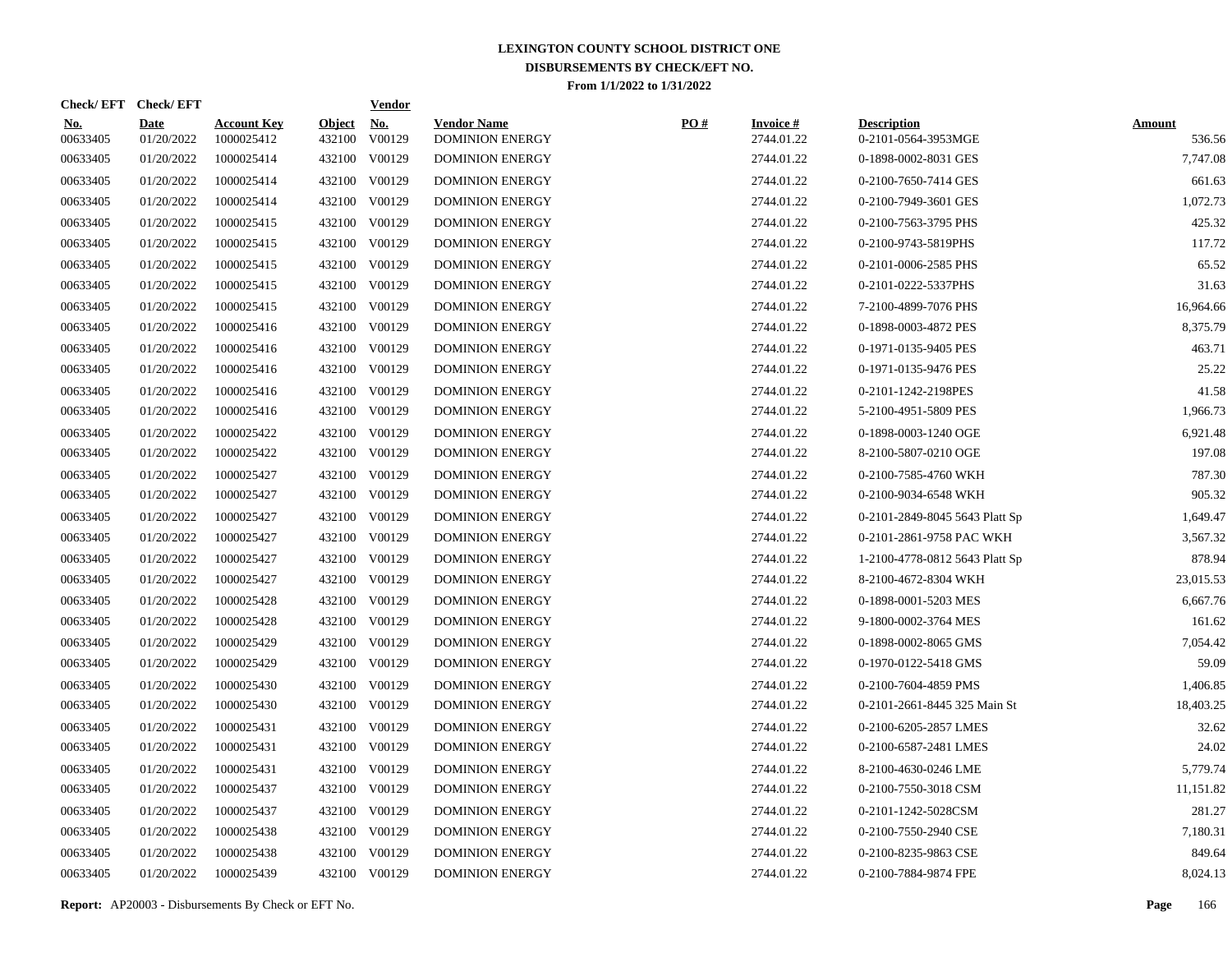| Check/EFT Check/EFT    |                           |                                  |                         | <b>Vendor</b>        |                                              |     |                                  |                                           |                         |
|------------------------|---------------------------|----------------------------------|-------------------------|----------------------|----------------------------------------------|-----|----------------------------------|-------------------------------------------|-------------------------|
| <u>No.</u><br>00633405 | <b>Date</b><br>01/20/2022 | <b>Account Key</b><br>1000025412 | <b>Object</b><br>432100 | <u>No.</u><br>V00129 | <b>Vendor Name</b><br><b>DOMINION ENERGY</b> | PO# | <b>Invoice</b> $#$<br>2744.01.22 | <b>Description</b><br>0-2101-0564-3953MGE | <b>Amount</b><br>536.56 |
| 00633405               | 01/20/2022                | 1000025414                       |                         | 432100 V00129        | <b>DOMINION ENERGY</b>                       |     | 2744.01.22                       | 0-1898-0002-8031 GES                      | 7,747.08                |
| 00633405               | 01/20/2022                | 1000025414                       |                         | 432100 V00129        | <b>DOMINION ENERGY</b>                       |     | 2744.01.22                       | 0-2100-7650-7414 GES                      | 661.63                  |
| 00633405               | 01/20/2022                | 1000025414                       |                         | 432100 V00129        | <b>DOMINION ENERGY</b>                       |     | 2744.01.22                       | 0-2100-7949-3601 GES                      | 1,072.73                |
| 00633405               | 01/20/2022                | 1000025415                       |                         | 432100 V00129        | <b>DOMINION ENERGY</b>                       |     | 2744.01.22                       | 0-2100-7563-3795 PHS                      | 425.32                  |
| 00633405               | 01/20/2022                | 1000025415                       |                         | 432100 V00129        | <b>DOMINION ENERGY</b>                       |     | 2744.01.22                       | 0-2100-9743-5819PHS                       | 117.72                  |
| 00633405               | 01/20/2022                | 1000025415                       |                         | 432100 V00129        | <b>DOMINION ENERGY</b>                       |     | 2744.01.22                       | 0-2101-0006-2585 PHS                      | 65.52                   |
| 00633405               | 01/20/2022                | 1000025415                       |                         | 432100 V00129        | <b>DOMINION ENERGY</b>                       |     | 2744.01.22                       | 0-2101-0222-5337PHS                       | 31.63                   |
| 00633405               | 01/20/2022                | 1000025415                       |                         | 432100 V00129        | <b>DOMINION ENERGY</b>                       |     | 2744.01.22                       | 7-2100-4899-7076 PHS                      | 16,964.66               |
| 00633405               | 01/20/2022                | 1000025416                       |                         | 432100 V00129        | <b>DOMINION ENERGY</b>                       |     | 2744.01.22                       | 0-1898-0003-4872 PES                      | 8,375.79                |
| 00633405               | 01/20/2022                | 1000025416                       |                         | 432100 V00129        | <b>DOMINION ENERGY</b>                       |     | 2744.01.22                       | 0-1971-0135-9405 PES                      | 463.71                  |
| 00633405               | 01/20/2022                | 1000025416                       |                         | 432100 V00129        | <b>DOMINION ENERGY</b>                       |     | 2744.01.22                       | 0-1971-0135-9476 PES                      | 25.22                   |
| 00633405               | 01/20/2022                | 1000025416                       |                         | 432100 V00129        | <b>DOMINION ENERGY</b>                       |     | 2744.01.22                       | 0-2101-1242-2198PES                       | 41.58                   |
| 00633405               | 01/20/2022                | 1000025416                       |                         | 432100 V00129        | <b>DOMINION ENERGY</b>                       |     | 2744.01.22                       | 5-2100-4951-5809 PES                      | 1,966.73                |
| 00633405               | 01/20/2022                | 1000025422                       |                         | 432100 V00129        | <b>DOMINION ENERGY</b>                       |     | 2744.01.22                       | 0-1898-0003-1240 OGE                      | 6,921.48                |
| 00633405               | 01/20/2022                | 1000025422                       |                         | 432100 V00129        | <b>DOMINION ENERGY</b>                       |     | 2744.01.22                       | 8-2100-5807-0210 OGE                      | 197.08                  |
| 00633405               | 01/20/2022                | 1000025427                       |                         | 432100 V00129        | <b>DOMINION ENERGY</b>                       |     | 2744.01.22                       | 0-2100-7585-4760 WKH                      | 787.30                  |
| 00633405               | 01/20/2022                | 1000025427                       |                         | 432100 V00129        | <b>DOMINION ENERGY</b>                       |     | 2744.01.22                       | 0-2100-9034-6548 WKH                      | 905.32                  |
| 00633405               | 01/20/2022                | 1000025427                       |                         | 432100 V00129        | <b>DOMINION ENERGY</b>                       |     | 2744.01.22                       | 0-2101-2849-8045 5643 Platt Sp            | 1,649.47                |
| 00633405               | 01/20/2022                | 1000025427                       |                         | 432100 V00129        | <b>DOMINION ENERGY</b>                       |     | 2744.01.22                       | 0-2101-2861-9758 PAC WKH                  | 3,567.32                |
| 00633405               | 01/20/2022                | 1000025427                       |                         | 432100 V00129        | <b>DOMINION ENERGY</b>                       |     | 2744.01.22                       | 1-2100-4778-0812 5643 Platt Sp            | 878.94                  |
| 00633405               | 01/20/2022                | 1000025427                       |                         | 432100 V00129        | <b>DOMINION ENERGY</b>                       |     | 2744.01.22                       | 8-2100-4672-8304 WKH                      | 23,015.53               |
| 00633405               | 01/20/2022                | 1000025428                       |                         | 432100 V00129        | <b>DOMINION ENERGY</b>                       |     | 2744.01.22                       | 0-1898-0001-5203 MES                      | 6,667.76                |
| 00633405               | 01/20/2022                | 1000025428                       |                         | 432100 V00129        | <b>DOMINION ENERGY</b>                       |     | 2744.01.22                       | 9-1800-0002-3764 MES                      | 161.62                  |
| 00633405               | 01/20/2022                | 1000025429                       |                         | 432100 V00129        | <b>DOMINION ENERGY</b>                       |     | 2744.01.22                       | 0-1898-0002-8065 GMS                      | 7.054.42                |
| 00633405               | 01/20/2022                | 1000025429                       |                         | 432100 V00129        | <b>DOMINION ENERGY</b>                       |     | 2744.01.22                       | 0-1970-0122-5418 GMS                      | 59.09                   |
| 00633405               | 01/20/2022                | 1000025430                       |                         | 432100 V00129        | <b>DOMINION ENERGY</b>                       |     | 2744.01.22                       | 0-2100-7604-4859 PMS                      | 1,406.85                |
| 00633405               | 01/20/2022                | 1000025430                       |                         | 432100 V00129        | <b>DOMINION ENERGY</b>                       |     | 2744.01.22                       | 0-2101-2661-8445 325 Main St              | 18,403.25               |
| 00633405               | 01/20/2022                | 1000025431                       |                         | 432100 V00129        | <b>DOMINION ENERGY</b>                       |     | 2744.01.22                       | 0-2100-6205-2857 LMES                     | 32.62                   |
| 00633405               | 01/20/2022                | 1000025431                       |                         | 432100 V00129        | <b>DOMINION ENERGY</b>                       |     | 2744.01.22                       | 0-2100-6587-2481 LMES                     | 24.02                   |
| 00633405               | 01/20/2022                | 1000025431                       |                         | 432100 V00129        | <b>DOMINION ENERGY</b>                       |     | 2744.01.22                       | 8-2100-4630-0246 LME                      | 5,779.74                |
| 00633405               | 01/20/2022                | 1000025437                       |                         | 432100 V00129        | <b>DOMINION ENERGY</b>                       |     | 2744.01.22                       | 0-2100-7550-3018 CSM                      | 11,151.82               |
| 00633405               | 01/20/2022                | 1000025437                       |                         | 432100 V00129        | <b>DOMINION ENERGY</b>                       |     | 2744.01.22                       | 0-2101-1242-5028CSM                       | 281.27                  |
| 00633405               | 01/20/2022                | 1000025438                       |                         | 432100 V00129        | <b>DOMINION ENERGY</b>                       |     | 2744.01.22                       | 0-2100-7550-2940 CSE                      | 7,180.31                |
| 00633405               | 01/20/2022                | 1000025438                       |                         | 432100 V00129        | <b>DOMINION ENERGY</b>                       |     | 2744.01.22                       | 0-2100-8235-9863 CSE                      | 849.64                  |
| 00633405               | 01/20/2022                | 1000025439                       |                         | 432100 V00129        | <b>DOMINION ENERGY</b>                       |     | 2744.01.22                       | 0-2100-7884-9874 FPE                      | 8,024.13                |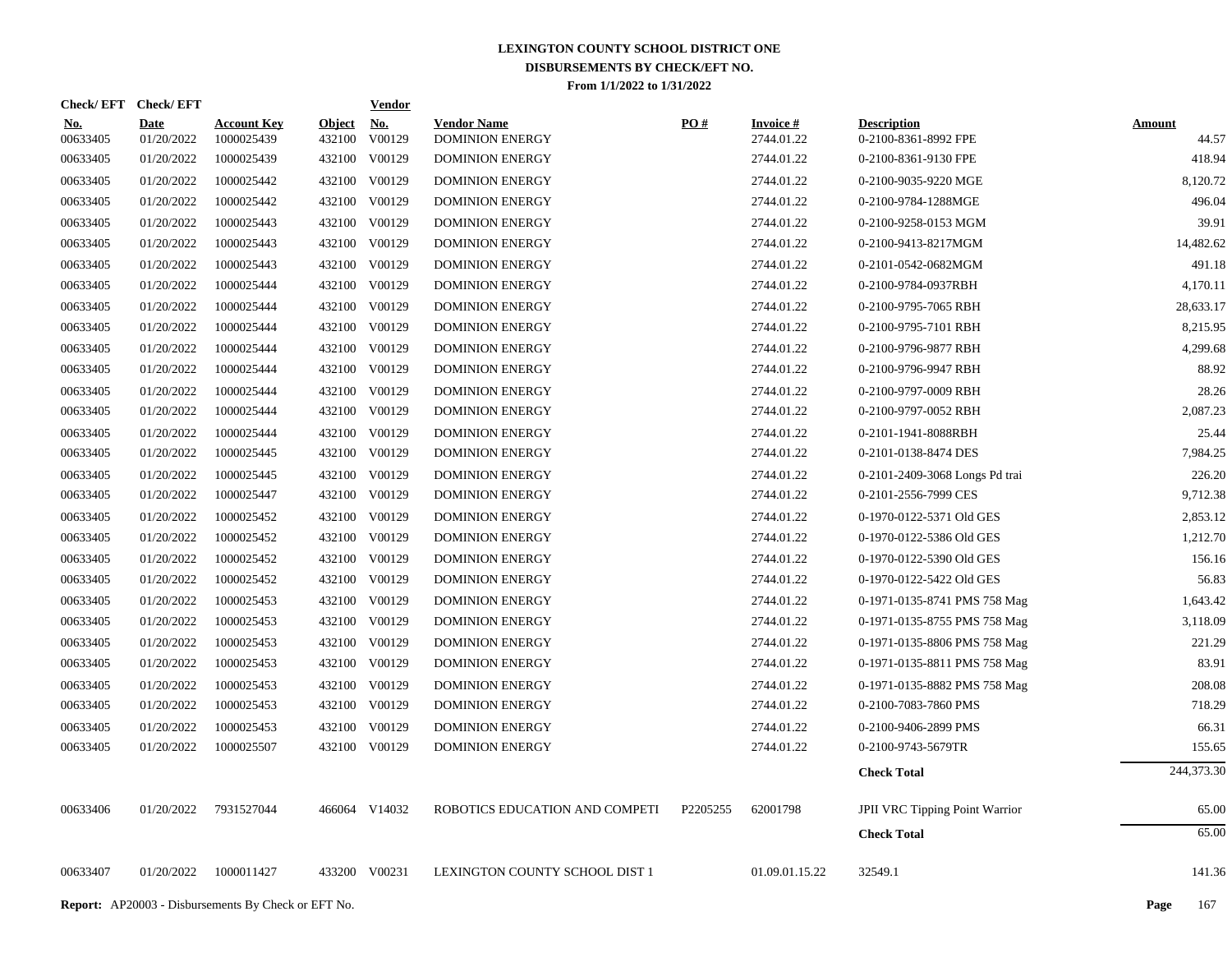| Check/EFT Check/EFT    |                           |                                  |                         | <b>Vendor</b>        |                                              |                   |                                  |                                            |                        |
|------------------------|---------------------------|----------------------------------|-------------------------|----------------------|----------------------------------------------|-------------------|----------------------------------|--------------------------------------------|------------------------|
| <u>No.</u><br>00633405 | <b>Date</b><br>01/20/2022 | <b>Account Key</b><br>1000025439 | <b>Object</b><br>432100 | <u>No.</u><br>V00129 | <b>Vendor Name</b><br><b>DOMINION ENERGY</b> | $\underline{PO#}$ | <b>Invoice</b> $#$<br>2744.01.22 | <b>Description</b><br>0-2100-8361-8992 FPE | <b>Amount</b><br>44.57 |
| 00633405               | 01/20/2022                | 1000025439                       |                         | 432100 V00129        | <b>DOMINION ENERGY</b>                       |                   | 2744.01.22                       | 0-2100-8361-9130 FPE                       | 418.94                 |
| 00633405               | 01/20/2022                | 1000025442                       |                         | 432100 V00129        | <b>DOMINION ENERGY</b>                       |                   | 2744.01.22                       | 0-2100-9035-9220 MGE                       | 8,120.72               |
| 00633405               | 01/20/2022                | 1000025442                       |                         | 432100 V00129        | <b>DOMINION ENERGY</b>                       |                   | 2744.01.22                       | 0-2100-9784-1288MGE                        | 496.04                 |
| 00633405               | 01/20/2022                | 1000025443                       |                         | 432100 V00129        | <b>DOMINION ENERGY</b>                       |                   | 2744.01.22                       | 0-2100-9258-0153 MGM                       | 39.91                  |
| 00633405               | 01/20/2022                | 1000025443                       |                         | 432100 V00129        | <b>DOMINION ENERGY</b>                       |                   | 2744.01.22                       | 0-2100-9413-8217MGM                        | 14,482.62              |
| 00633405               | 01/20/2022                | 1000025443                       |                         | 432100 V00129        | <b>DOMINION ENERGY</b>                       |                   | 2744.01.22                       | 0-2101-0542-0682MGM                        | 491.18                 |
| 00633405               | 01/20/2022                | 1000025444                       |                         | 432100 V00129        | <b>DOMINION ENERGY</b>                       |                   | 2744.01.22                       | 0-2100-9784-0937RBH                        | 4,170.11               |
| 00633405               | 01/20/2022                | 1000025444                       |                         | 432100 V00129        | <b>DOMINION ENERGY</b>                       |                   | 2744.01.22                       | 0-2100-9795-7065 RBH                       | 28,633.17              |
| 00633405               | 01/20/2022                | 1000025444                       |                         | 432100 V00129        | <b>DOMINION ENERGY</b>                       |                   | 2744.01.22                       | 0-2100-9795-7101 RBH                       | 8,215.95               |
| 00633405               | 01/20/2022                | 1000025444                       |                         | 432100 V00129        | <b>DOMINION ENERGY</b>                       |                   | 2744.01.22                       | 0-2100-9796-9877 RBH                       | 4,299.68               |
| 00633405               | 01/20/2022                | 1000025444                       |                         | 432100 V00129        | <b>DOMINION ENERGY</b>                       |                   | 2744.01.22                       | 0-2100-9796-9947 RBH                       | 88.92                  |
| 00633405               | 01/20/2022                | 1000025444                       |                         | 432100 V00129        | <b>DOMINION ENERGY</b>                       |                   | 2744.01.22                       | 0-2100-9797-0009 RBH                       | 28.26                  |
| 00633405               | 01/20/2022                | 1000025444                       |                         | 432100 V00129        | <b>DOMINION ENERGY</b>                       |                   | 2744.01.22                       | 0-2100-9797-0052 RBH                       | 2,087.23               |
| 00633405               | 01/20/2022                | 1000025444                       |                         | 432100 V00129        | <b>DOMINION ENERGY</b>                       |                   | 2744.01.22                       | 0-2101-1941-8088RBH                        | 25.44                  |
| 00633405               | 01/20/2022                | 1000025445                       |                         | 432100 V00129        | <b>DOMINION ENERGY</b>                       |                   | 2744.01.22                       | 0-2101-0138-8474 DES                       | 7,984.25               |
| 00633405               | 01/20/2022                | 1000025445                       |                         | 432100 V00129        | <b>DOMINION ENERGY</b>                       |                   | 2744.01.22                       | 0-2101-2409-3068 Longs Pd trai             | 226.20                 |
| 00633405               | 01/20/2022                | 1000025447                       |                         | 432100 V00129        | <b>DOMINION ENERGY</b>                       |                   | 2744.01.22                       | 0-2101-2556-7999 CES                       | 9,712.38               |
| 00633405               | 01/20/2022                | 1000025452                       |                         | 432100 V00129        | <b>DOMINION ENERGY</b>                       |                   | 2744.01.22                       | 0-1970-0122-5371 Old GES                   | 2,853.12               |
| 00633405               | 01/20/2022                | 1000025452                       |                         | 432100 V00129        | <b>DOMINION ENERGY</b>                       |                   | 2744.01.22                       | 0-1970-0122-5386 Old GES                   | 1,212.70               |
| 00633405               | 01/20/2022                | 1000025452                       |                         | 432100 V00129        | <b>DOMINION ENERGY</b>                       |                   | 2744.01.22                       | 0-1970-0122-5390 Old GES                   | 156.16                 |
| 00633405               | 01/20/2022                | 1000025452                       |                         | 432100 V00129        | <b>DOMINION ENERGY</b>                       |                   | 2744.01.22                       | 0-1970-0122-5422 Old GES                   | 56.83                  |
| 00633405               | 01/20/2022                | 1000025453                       |                         | 432100 V00129        | <b>DOMINION ENERGY</b>                       |                   | 2744.01.22                       | 0-1971-0135-8741 PMS 758 Mag               | 1,643.42               |
| 00633405               | 01/20/2022                | 1000025453                       |                         | 432100 V00129        | <b>DOMINION ENERGY</b>                       |                   | 2744.01.22                       | 0-1971-0135-8755 PMS 758 Mag               | 3,118.09               |
| 00633405               | 01/20/2022                | 1000025453                       |                         | 432100 V00129        | <b>DOMINION ENERGY</b>                       |                   | 2744.01.22                       | 0-1971-0135-8806 PMS 758 Mag               | 221.29                 |
| 00633405               | 01/20/2022                | 1000025453                       |                         | 432100 V00129        | <b>DOMINION ENERGY</b>                       |                   | 2744.01.22                       | 0-1971-0135-8811 PMS 758 Mag               | 83.91                  |
| 00633405               | 01/20/2022                | 1000025453                       |                         | 432100 V00129        | <b>DOMINION ENERGY</b>                       |                   | 2744.01.22                       | 0-1971-0135-8882 PMS 758 Mag               | 208.08                 |
| 00633405               | 01/20/2022                | 1000025453                       |                         | 432100 V00129        | <b>DOMINION ENERGY</b>                       |                   | 2744.01.22                       | 0-2100-7083-7860 PMS                       | 718.29                 |
| 00633405               | 01/20/2022                | 1000025453                       | 432100                  | V00129               | <b>DOMINION ENERGY</b>                       |                   | 2744.01.22                       | 0-2100-9406-2899 PMS                       | 66.31                  |
| 00633405               | 01/20/2022                | 1000025507                       |                         | 432100 V00129        | <b>DOMINION ENERGY</b>                       |                   | 2744.01.22                       | 0-2100-9743-5679TR                         | 155.65                 |
|                        |                           |                                  |                         |                      |                                              |                   |                                  | <b>Check Total</b>                         | 244,373.30             |
| 00633406               | 01/20/2022                | 7931527044                       |                         | 466064 V14032        | ROBOTICS EDUCATION AND COMPETI               | P2205255          | 62001798                         | <b>JPII VRC Tipping Point Warrior</b>      | 65.00                  |
|                        |                           |                                  |                         |                      |                                              |                   |                                  | <b>Check Total</b>                         | 65.00                  |
| 00633407               | 01/20/2022                | 1000011427                       |                         | 433200 V00231        | LEXINGTON COUNTY SCHOOL DIST 1               |                   | 01.09.01.15.22                   | 32549.1                                    | 141.36                 |
|                        |                           |                                  |                         |                      |                                              |                   |                                  |                                            |                        |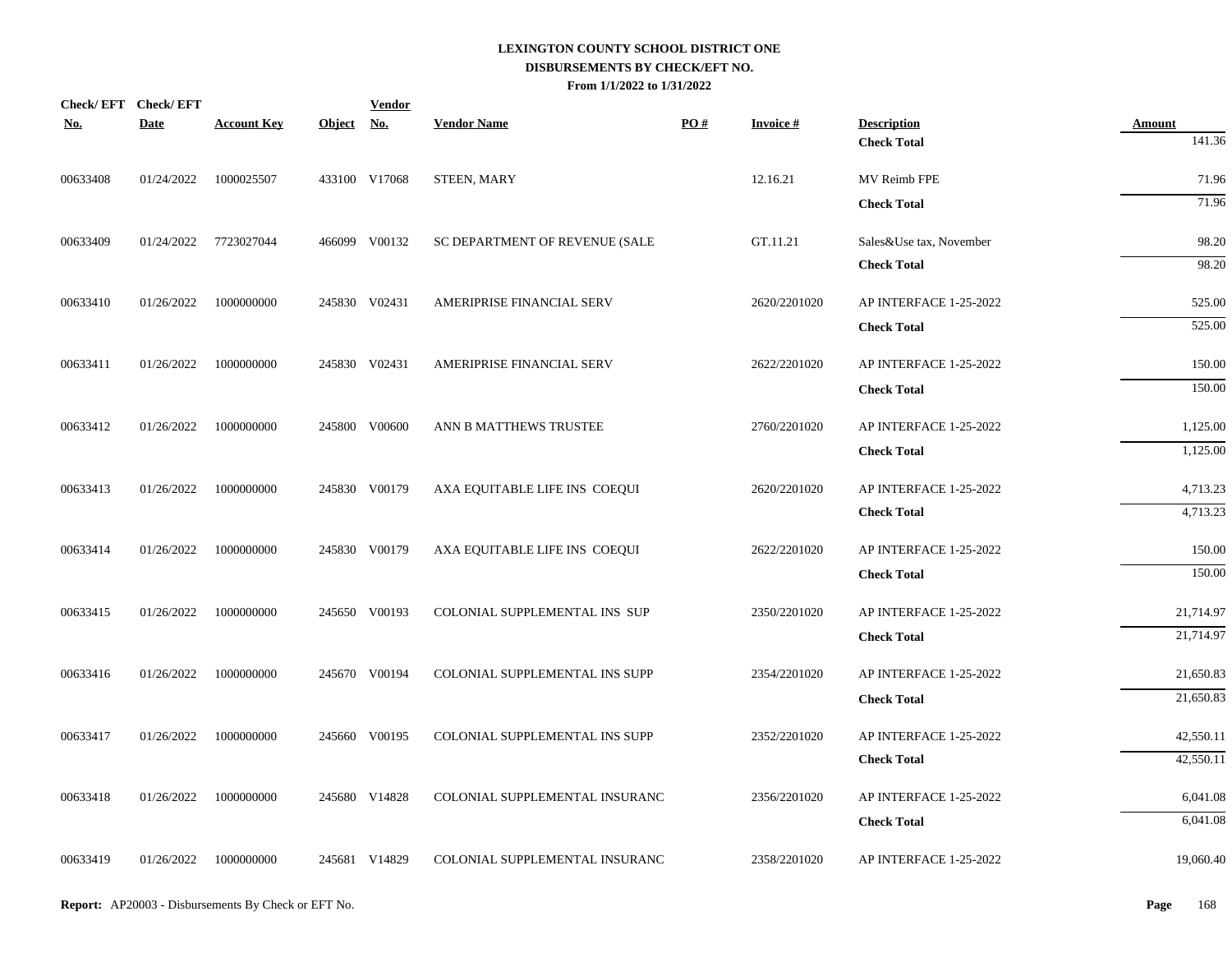| Check/EFT Check/EFT |             |                       |            | <b>Vendor</b> |                                |     |                 |                                              |                        |
|---------------------|-------------|-----------------------|------------|---------------|--------------------------------|-----|-----------------|----------------------------------------------|------------------------|
| <u>No.</u>          | <b>Date</b> | <b>Account Key</b>    | Object No. |               | <b>Vendor Name</b>             | PO# | <b>Invoice#</b> | <b>Description</b>                           | <b>Amount</b>          |
|                     |             |                       |            |               |                                |     |                 | <b>Check Total</b>                           | 141.36                 |
| 00633408            | 01/24/2022  | 1000025507            |            | 433100 V17068 | <b>STEEN, MARY</b>             |     | 12.16.21        | MV Reimb FPE                                 | 71.96                  |
|                     |             |                       |            |               |                                |     |                 | <b>Check Total</b>                           | 71.96                  |
| 00633409            |             | 01/24/2022 7723027044 |            | 466099 V00132 | SC DEPARTMENT OF REVENUE (SALE |     | GT.11.21        | Sales&Use tax, November                      | 98.20                  |
|                     |             |                       |            |               |                                |     |                 | <b>Check Total</b>                           | 98.20                  |
| 00633410            | 01/26/2022  | 1000000000            |            | 245830 V02431 | AMERIPRISE FINANCIAL SERV      |     | 2620/2201020    | AP INTERFACE 1-25-2022                       | 525.00                 |
|                     |             |                       |            |               |                                |     |                 | <b>Check Total</b>                           | 525.00                 |
| 00633411            | 01/26/2022  | 1000000000            |            | 245830 V02431 | AMERIPRISE FINANCIAL SERV      |     | 2622/2201020    | AP INTERFACE 1-25-2022                       | 150.00                 |
|                     |             |                       |            |               |                                |     |                 | <b>Check Total</b>                           | 150.00                 |
| 00633412            | 01/26/2022  | 1000000000            |            | 245800 V00600 | ANN B MATTHEWS TRUSTEE         |     | 2760/2201020    | AP INTERFACE 1-25-2022                       | 1,125.00               |
|                     |             |                       |            |               |                                |     |                 | <b>Check Total</b>                           | 1,125.00               |
| 00633413            | 01/26/2022  | 1000000000            |            | 245830 V00179 | AXA EQUITABLE LIFE INS COEQUI  |     | 2620/2201020    | AP INTERFACE 1-25-2022                       | 4,713.23               |
|                     |             |                       |            |               |                                |     |                 | <b>Check Total</b>                           | 4,713.23               |
| 00633414            | 01/26/2022  | 1000000000            |            | 245830 V00179 | AXA EQUITABLE LIFE INS COEQUI  |     | 2622/2201020    | AP INTERFACE 1-25-2022                       | 150.00                 |
|                     |             |                       |            |               |                                |     |                 | <b>Check Total</b>                           | 150.00                 |
|                     |             |                       |            |               |                                |     |                 |                                              |                        |
| 00633415            | 01/26/2022  | 1000000000            |            | 245650 V00193 | COLONIAL SUPPLEMENTAL INS SUP  |     | 2350/2201020    | AP INTERFACE 1-25-2022<br><b>Check Total</b> | 21,714.97<br>21,714.97 |
|                     |             |                       |            |               |                                |     |                 |                                              |                        |
| 00633416            | 01/26/2022  | 1000000000            |            | 245670 V00194 | COLONIAL SUPPLEMENTAL INS SUPP |     | 2354/2201020    | AP INTERFACE 1-25-2022                       | 21,650.83              |
|                     |             |                       |            |               |                                |     |                 | <b>Check Total</b>                           | 21,650.83              |
| 00633417            | 01/26/2022  | 1000000000            |            | 245660 V00195 | COLONIAL SUPPLEMENTAL INS SUPP |     | 2352/2201020    | AP INTERFACE 1-25-2022                       | 42,550.11              |
|                     |             |                       |            |               |                                |     |                 | <b>Check Total</b>                           | 42,550.11              |
| 00633418            | 01/26/2022  | 1000000000            |            | 245680 V14828 | COLONIAL SUPPLEMENTAL INSURANC |     | 2356/2201020    | AP INTERFACE 1-25-2022                       | 6,041.08               |
|                     |             |                       |            |               |                                |     |                 | <b>Check Total</b>                           | 6,041.08               |
| 00633419            | 01/26/2022  | 1000000000            |            | 245681 V14829 | COLONIAL SUPPLEMENTAL INSURANC |     | 2358/2201020    | AP INTERFACE 1-25-2022                       | 19,060.40              |
|                     |             |                       |            |               |                                |     |                 |                                              |                        |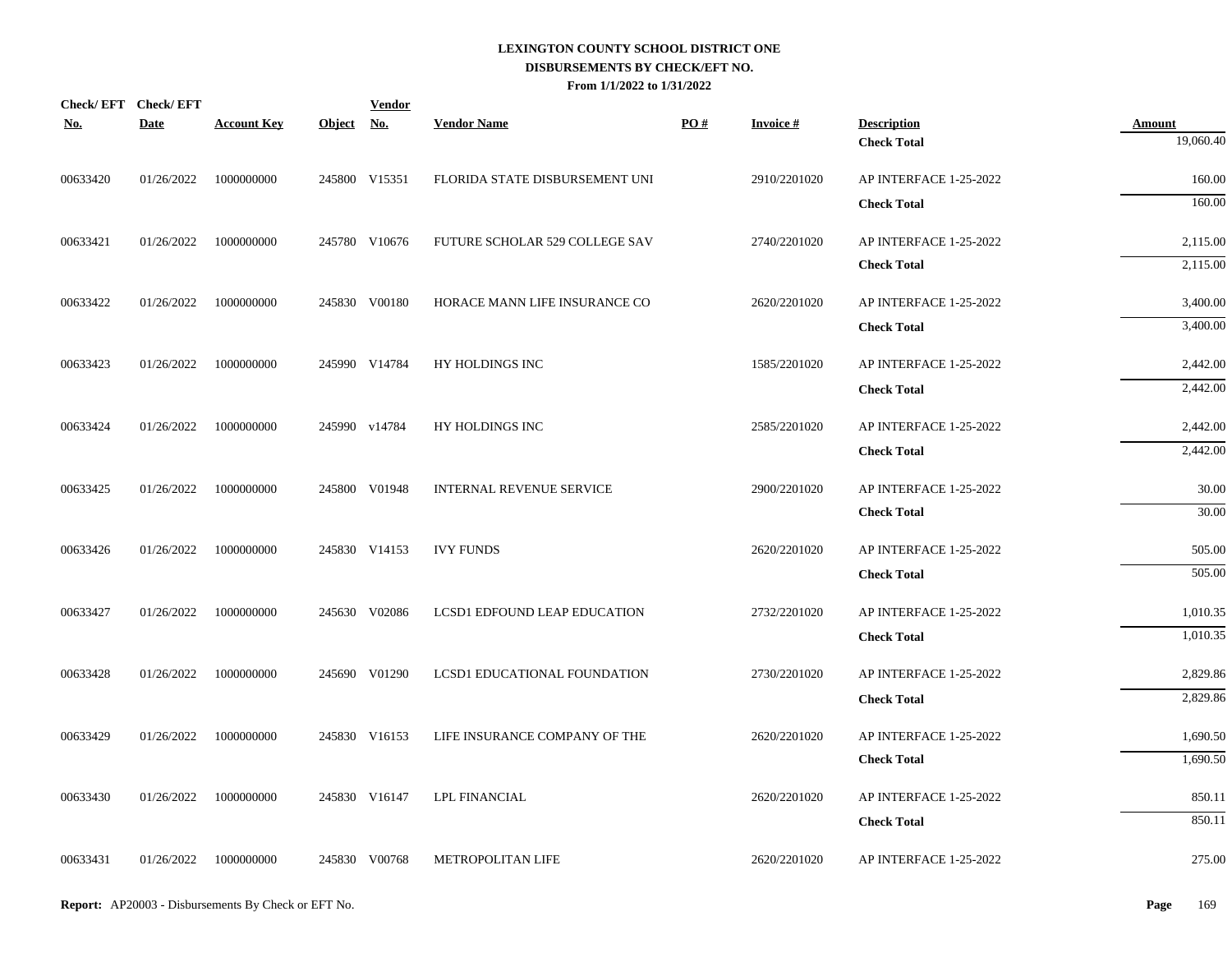| <b>No.</b> | Check/EFT Check/EFT<br><b>Date</b> | <b>Account Key</b>      | Object No. | <b>Vendor</b> | <b>Vendor Name</b>                  | PO# | <b>Invoice#</b> | <b>Description</b>     | <b>Amount</b> |
|------------|------------------------------------|-------------------------|------------|---------------|-------------------------------------|-----|-----------------|------------------------|---------------|
|            |                                    |                         |            |               |                                     |     |                 | <b>Check Total</b>     | 19,060.40     |
| 00633420   | 01/26/2022                         | 1000000000              |            | 245800 V15351 | FLORIDA STATE DISBURSEMENT UNI      |     | 2910/2201020    | AP INTERFACE 1-25-2022 | 160.00        |
|            |                                    |                         |            |               |                                     |     |                 | <b>Check Total</b>     | 160.00        |
| 00633421   |                                    | 01/26/2022 1000000000   |            | 245780 V10676 | FUTURE SCHOLAR 529 COLLEGE SAV      |     | 2740/2201020    | AP INTERFACE 1-25-2022 | 2,115.00      |
|            |                                    |                         |            |               |                                     |     |                 | <b>Check Total</b>     | 2,115.00      |
| 00633422   | 01/26/2022                         | 1000000000              |            | 245830 V00180 | HORACE MANN LIFE INSURANCE CO       |     | 2620/2201020    | AP INTERFACE 1-25-2022 | 3,400.00      |
|            |                                    |                         |            |               |                                     |     |                 | <b>Check Total</b>     | 3,400.00      |
| 00633423   | 01/26/2022                         | 1000000000              |            | 245990 V14784 | HY HOLDINGS INC                     |     | 1585/2201020    | AP INTERFACE 1-25-2022 | 2,442.00      |
|            |                                    |                         |            |               |                                     |     |                 | <b>Check Total</b>     | 2,442.00      |
| 00633424   | 01/26/2022                         | 1000000000              |            | 245990 v14784 | HY HOLDINGS INC                     |     | 2585/2201020    | AP INTERFACE 1-25-2022 | 2,442.00      |
|            |                                    |                         |            |               |                                     |     |                 | <b>Check Total</b>     | 2,442.00      |
| 00633425   |                                    | $01/26/2022$ 1000000000 |            | 245800 V01948 | <b>INTERNAL REVENUE SERVICE</b>     |     | 2900/2201020    | AP INTERFACE 1-25-2022 | 30.00         |
|            |                                    |                         |            |               |                                     |     |                 | <b>Check Total</b>     | 30.00         |
| 00633426   |                                    | 01/26/2022 1000000000   |            | 245830 V14153 | <b>IVY FUNDS</b>                    |     | 2620/2201020    | AP INTERFACE 1-25-2022 | 505.00        |
|            |                                    |                         |            |               |                                     |     |                 | <b>Check Total</b>     | 505.00        |
| 00633427   |                                    | 01/26/2022 1000000000   |            | 245630 V02086 | <b>LCSD1 EDFOUND LEAP EDUCATION</b> |     | 2732/2201020    | AP INTERFACE 1-25-2022 | 1,010.35      |
|            |                                    |                         |            |               |                                     |     |                 | <b>Check Total</b>     | 1,010.35      |
| 00633428   |                                    | 01/26/2022 1000000000   |            | 245690 V01290 | LCSD1 EDUCATIONAL FOUNDATION        |     | 2730/2201020    | AP INTERFACE 1-25-2022 | 2,829.86      |
|            |                                    |                         |            |               |                                     |     |                 | <b>Check Total</b>     | 2,829.86      |
| 00633429   | 01/26/2022                         | 1000000000              |            | 245830 V16153 | LIFE INSURANCE COMPANY OF THE       |     | 2620/2201020    | AP INTERFACE 1-25-2022 | 1,690.50      |
|            |                                    |                         |            |               |                                     |     |                 | <b>Check Total</b>     | 1,690.50      |
| 00633430   | 01/26/2022                         | 1000000000              |            | 245830 V16147 | <b>LPL FINANCIAL</b>                |     | 2620/2201020    | AP INTERFACE 1-25-2022 | 850.11        |
|            |                                    |                         |            |               |                                     |     |                 | <b>Check Total</b>     | 850.11        |
| 00633431   |                                    | 01/26/2022 1000000000   |            | 245830 V00768 | METROPOLITAN LIFE                   |     | 2620/2201020    | AP INTERFACE 1-25-2022 | 275.00        |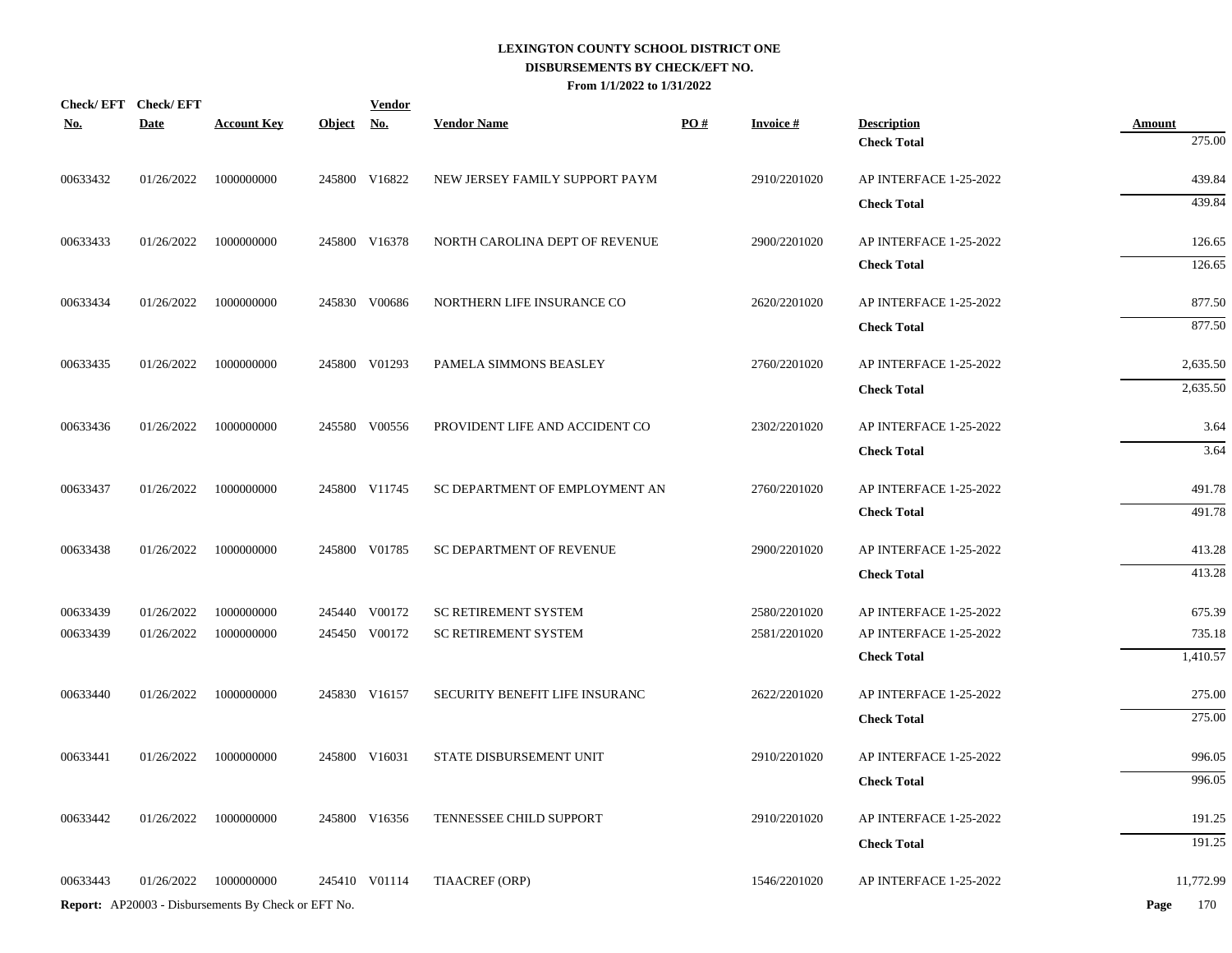| <u>No.</u> | Check/EFT Check/EFT<br><b>Date</b> | <b>Account Key</b>                                  | <u>Object</u> | <b>Vendor</b><br><u>No.</u> | <b>Vendor Name</b>             | PO# | <b>Invoice#</b> | <b>Description</b>     | <b>Amount</b> |
|------------|------------------------------------|-----------------------------------------------------|---------------|-----------------------------|--------------------------------|-----|-----------------|------------------------|---------------|
|            |                                    |                                                     |               |                             |                                |     |                 | <b>Check Total</b>     | 275.00        |
| 00633432   | 01/26/2022                         | 1000000000                                          |               | 245800 V16822               | NEW JERSEY FAMILY SUPPORT PAYM |     | 2910/2201020    | AP INTERFACE 1-25-2022 | 439.84        |
|            |                                    |                                                     |               |                             |                                |     |                 | <b>Check Total</b>     | 439.84        |
| 00633433   | 01/26/2022                         | 1000000000                                          |               | 245800 V16378               | NORTH CAROLINA DEPT OF REVENUE |     | 2900/2201020    | AP INTERFACE 1-25-2022 | 126.65        |
|            |                                    |                                                     |               |                             |                                |     |                 | <b>Check Total</b>     | 126.65        |
| 00633434   | 01/26/2022                         | 1000000000                                          |               | 245830 V00686               | NORTHERN LIFE INSURANCE CO     |     | 2620/2201020    | AP INTERFACE 1-25-2022 | 877.50        |
|            |                                    |                                                     |               |                             |                                |     |                 | <b>Check Total</b>     | 877.50        |
| 00633435   | 01/26/2022                         | 1000000000                                          |               | 245800 V01293               | PAMELA SIMMONS BEASLEY         |     | 2760/2201020    | AP INTERFACE 1-25-2022 | 2,635.50      |
|            |                                    |                                                     |               |                             |                                |     |                 | <b>Check Total</b>     | 2,635.50      |
| 00633436   | 01/26/2022                         | 1000000000                                          |               | 245580 V00556               | PROVIDENT LIFE AND ACCIDENT CO |     | 2302/2201020    | AP INTERFACE 1-25-2022 | 3.64          |
|            |                                    |                                                     |               |                             |                                |     |                 | <b>Check Total</b>     | 3.64          |
| 00633437   | 01/26/2022                         | 1000000000                                          |               | 245800 V11745               | SC DEPARTMENT OF EMPLOYMENT AN |     | 2760/2201020    | AP INTERFACE 1-25-2022 | 491.78        |
|            |                                    |                                                     |               |                             |                                |     |                 | <b>Check Total</b>     | 491.78        |
| 00633438   | 01/26/2022                         | 1000000000                                          |               | 245800 V01785               | SC DEPARTMENT OF REVENUE       |     | 2900/2201020    | AP INTERFACE 1-25-2022 | 413.28        |
|            |                                    |                                                     |               |                             |                                |     |                 | <b>Check Total</b>     | 413.28        |
| 00633439   | 01/26/2022                         | 1000000000                                          |               | 245440 V00172               | <b>SC RETIREMENT SYSTEM</b>    |     | 2580/2201020    | AP INTERFACE 1-25-2022 | 675.39        |
| 00633439   | 01/26/2022                         | 1000000000                                          |               | 245450 V00172               | <b>SC RETIREMENT SYSTEM</b>    |     | 2581/2201020    | AP INTERFACE 1-25-2022 | 735.18        |
|            |                                    |                                                     |               |                             |                                |     |                 | <b>Check Total</b>     | 1,410.57      |
| 00633440   | 01/26/2022                         | 1000000000                                          |               | 245830 V16157               | SECURITY BENEFIT LIFE INSURANC |     | 2622/2201020    | AP INTERFACE 1-25-2022 | 275.00        |
|            |                                    |                                                     |               |                             |                                |     |                 | <b>Check Total</b>     | 275.00        |
| 00633441   | 01/26/2022                         | 1000000000                                          |               | 245800 V16031               | STATE DISBURSEMENT UNIT        |     | 2910/2201020    | AP INTERFACE 1-25-2022 | 996.05        |
|            |                                    |                                                     |               |                             |                                |     |                 | <b>Check Total</b>     | 996.05        |
| 00633442   | 01/26/2022                         | 1000000000                                          |               | 245800 V16356               | TENNESSEE CHILD SUPPORT        |     | 2910/2201020    | AP INTERFACE 1-25-2022 | 191.25        |
|            |                                    |                                                     |               |                             |                                |     |                 | <b>Check Total</b>     | 191.25        |
| 00633443   | 01/26/2022                         | 1000000000                                          |               | 245410 V01114               | TIAACREF (ORP)                 |     | 1546/2201020    | AP INTERFACE 1-25-2022 | 11,772.99     |
|            |                                    | Report: AP20003 - Disbursements By Check or EFT No. |               |                             |                                |     |                 |                        | 170<br>Page   |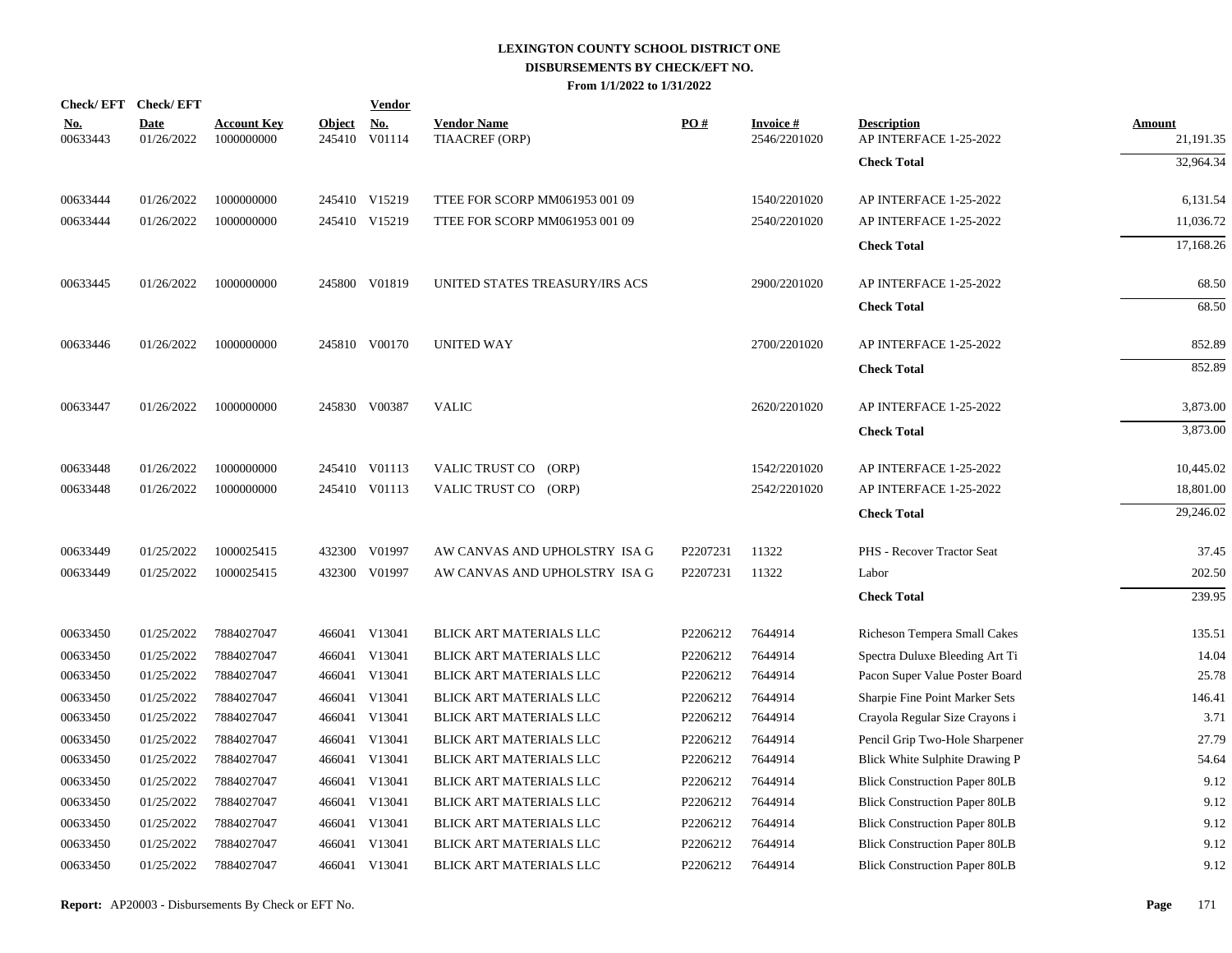|                        | Check/EFT Check/EFT       |                                  |                         | <b>Vendor</b>        |                                      |          |                                 |                                              |                            |
|------------------------|---------------------------|----------------------------------|-------------------------|----------------------|--------------------------------------|----------|---------------------------------|----------------------------------------------|----------------------------|
| <u>No.</u><br>00633443 | <b>Date</b><br>01/26/2022 | <b>Account Key</b><br>1000000000 | <b>Object</b><br>245410 | <b>No.</b><br>V01114 | <b>Vendor Name</b><br>TIAACREF (ORP) | PO#      | <b>Invoice#</b><br>2546/2201020 | <b>Description</b><br>AP INTERFACE 1-25-2022 | <b>Amount</b><br>21,191.35 |
|                        |                           |                                  |                         |                      |                                      |          |                                 | <b>Check Total</b>                           | 32,964.34                  |
| 00633444               | 01/26/2022                | 1000000000                       |                         | 245410 V15219        | TTEE FOR SCORP MM061953 001 09       |          | 1540/2201020                    | AP INTERFACE 1-25-2022                       | 6,131.54                   |
| 00633444               | 01/26/2022                | 1000000000                       |                         | 245410 V15219        | TTEE FOR SCORP MM061953 001 09       |          | 2540/2201020                    | AP INTERFACE 1-25-2022                       | 11,036.72                  |
|                        |                           |                                  |                         |                      |                                      |          |                                 | <b>Check Total</b>                           | 17,168.26                  |
| 00633445               | 01/26/2022                | 1000000000                       |                         | 245800 V01819        | UNITED STATES TREASURY/IRS ACS       |          | 2900/2201020                    | AP INTERFACE 1-25-2022                       | 68.50                      |
|                        |                           |                                  |                         |                      |                                      |          |                                 | <b>Check Total</b>                           | 68.50                      |
| 00633446               | 01/26/2022                | 1000000000                       |                         | 245810 V00170        | <b>UNITED WAY</b>                    |          | 2700/2201020                    | AP INTERFACE 1-25-2022                       | 852.89                     |
|                        |                           |                                  |                         |                      |                                      |          |                                 | <b>Check Total</b>                           | 852.89                     |
| 00633447               | 01/26/2022                | 1000000000                       |                         | 245830 V00387        | <b>VALIC</b>                         |          | 2620/2201020                    | AP INTERFACE 1-25-2022                       | 3,873.00                   |
|                        |                           |                                  |                         |                      |                                      |          |                                 | <b>Check Total</b>                           | 3,873.00                   |
| 00633448               | 01/26/2022                | 1000000000                       |                         | 245410 V01113        | VALIC TRUST CO<br>(ORP)              |          | 1542/2201020                    | AP INTERFACE 1-25-2022                       | 10,445.02                  |
| 00633448               | 01/26/2022                | 1000000000                       |                         | 245410 V01113        | VALIC TRUST CO (ORP)                 |          | 2542/2201020                    | AP INTERFACE 1-25-2022                       | 18,801.00                  |
|                        |                           |                                  |                         |                      |                                      |          |                                 | <b>Check Total</b>                           | 29,246.02                  |
| 00633449               | 01/25/2022                | 1000025415                       |                         | 432300 V01997        | AW CANVAS AND UPHOLSTRY ISA G        | P2207231 | 11322                           | PHS - Recover Tractor Seat                   | 37.45                      |
| 00633449               | 01/25/2022                | 1000025415                       |                         | 432300 V01997        | AW CANVAS AND UPHOLSTRY ISA G        | P2207231 | 11322                           | Labor                                        | 202.50                     |
|                        |                           |                                  |                         |                      |                                      |          |                                 | <b>Check Total</b>                           | 239.95                     |
| 00633450               | 01/25/2022                | 7884027047                       |                         | 466041 V13041        | BLICK ART MATERIALS LLC              | P2206212 | 7644914                         | Richeson Tempera Small Cakes                 | 135.51                     |
| 00633450               | 01/25/2022                | 7884027047                       |                         | 466041 V13041        | BLICK ART MATERIALS LLC              | P2206212 | 7644914                         | Spectra Duluxe Bleeding Art Ti               | 14.04                      |
| 00633450               | 01/25/2022                | 7884027047                       |                         | 466041 V13041        | BLICK ART MATERIALS LLC              | P2206212 | 7644914                         | Pacon Super Value Poster Board               | 25.78                      |
| 00633450               | 01/25/2022                | 7884027047                       |                         | 466041 V13041        | BLICK ART MATERIALS LLC              | P2206212 | 7644914                         | Sharpie Fine Point Marker Sets               | 146.41                     |
| 00633450               | 01/25/2022                | 7884027047                       |                         | 466041 V13041        | BLICK ART MATERIALS LLC              | P2206212 | 7644914                         | Crayola Regular Size Crayons i               | 3.71                       |
| 00633450               | 01/25/2022                | 7884027047                       |                         | 466041 V13041        | BLICK ART MATERIALS LLC              | P2206212 | 7644914                         | Pencil Grip Two-Hole Sharpener               | 27.79                      |
| 00633450               | 01/25/2022                | 7884027047                       |                         | 466041 V13041        | BLICK ART MATERIALS LLC              | P2206212 | 7644914                         | Blick White Sulphite Drawing P               | 54.64                      |
| 00633450               | 01/25/2022                | 7884027047                       |                         | 466041 V13041        | BLICK ART MATERIALS LLC              | P2206212 | 7644914                         | <b>Blick Construction Paper 80LB</b>         | 9.12                       |
| 00633450               | 01/25/2022                | 7884027047                       |                         | 466041 V13041        | BLICK ART MATERIALS LLC              | P2206212 | 7644914                         | <b>Blick Construction Paper 80LB</b>         | 9.12                       |
| 00633450               | 01/25/2022                | 7884027047                       |                         | 466041 V13041        | BLICK ART MATERIALS LLC              | P2206212 | 7644914                         | <b>Blick Construction Paper 80LB</b>         | 9.12                       |
| 00633450               | 01/25/2022                | 7884027047                       |                         | 466041 V13041        | BLICK ART MATERIALS LLC              | P2206212 | 7644914                         | <b>Blick Construction Paper 80LB</b>         | 9.12                       |
| 00633450               | 01/25/2022                | 7884027047                       |                         | 466041 V13041        | BLICK ART MATERIALS LLC              | P2206212 | 7644914                         | <b>Blick Construction Paper 80LB</b>         | 9.12                       |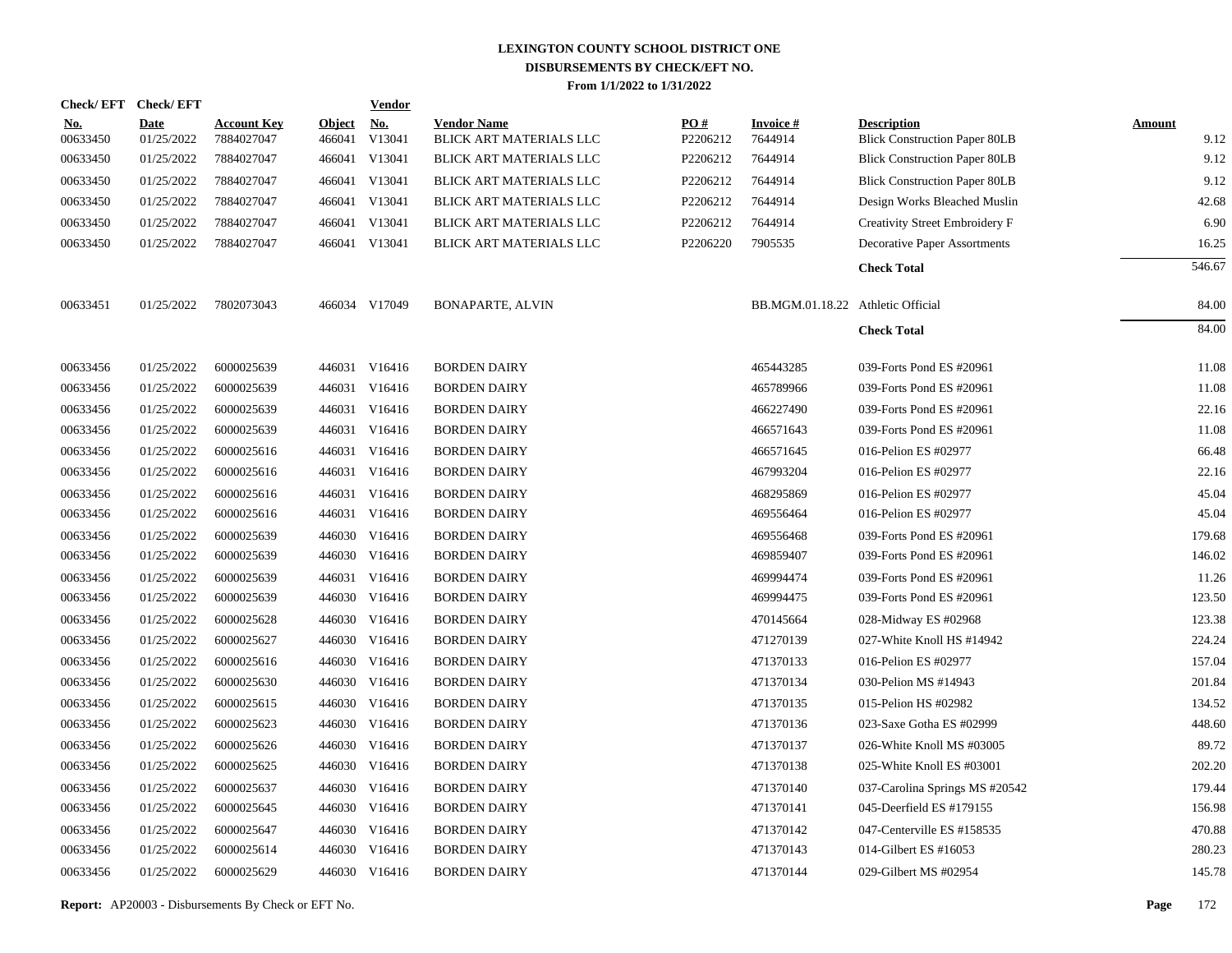|                        | Check/EFT Check/EFT       |                                  |                         | <b>Vendor</b>        |                                               |                 |                                   |                                                            |                       |
|------------------------|---------------------------|----------------------------------|-------------------------|----------------------|-----------------------------------------------|-----------------|-----------------------------------|------------------------------------------------------------|-----------------------|
| <u>No.</u><br>00633450 | <b>Date</b><br>01/25/2022 | <b>Account Key</b><br>7884027047 | <b>Object</b><br>466041 | <u>No.</u><br>V13041 | <b>Vendor Name</b><br>BLICK ART MATERIALS LLC | PO#<br>P2206212 | <b>Invoice#</b><br>7644914        | <b>Description</b><br><b>Blick Construction Paper 80LB</b> | <b>Amount</b><br>9.12 |
| 00633450               | 01/25/2022                | 7884027047                       |                         | 466041 V13041        | BLICK ART MATERIALS LLC                       | P2206212        | 7644914                           | <b>Blick Construction Paper 80LB</b>                       | 9.12                  |
| 00633450               | 01/25/2022                | 7884027047                       |                         | 466041 V13041        | BLICK ART MATERIALS LLC                       | P2206212        | 7644914                           | <b>Blick Construction Paper 80LB</b>                       | 9.12                  |
| 00633450               | 01/25/2022                | 7884027047                       |                         | 466041 V13041        | BLICK ART MATERIALS LLC                       | P2206212        | 7644914                           | Design Works Bleached Muslin                               | 42.68                 |
| 00633450               | 01/25/2022                | 7884027047                       |                         | 466041 V13041        | BLICK ART MATERIALS LLC                       | P2206212        | 7644914                           | Creativity Street Embroidery F                             | 6.90                  |
| 00633450               | 01/25/2022                | 7884027047                       |                         | 466041 V13041        | BLICK ART MATERIALS LLC                       | P2206220        | 7905535                           | <b>Decorative Paper Assortments</b>                        | 16.25                 |
|                        |                           |                                  |                         |                      |                                               |                 |                                   | <b>Check Total</b>                                         | 546.67                |
| 00633451               | 01/25/2022                | 7802073043                       |                         | 466034 V17049        | <b>BONAPARTE, ALVIN</b>                       |                 | BB.MGM.01.18.22 Athletic Official |                                                            | 84.00                 |
|                        |                           |                                  |                         |                      |                                               |                 |                                   | <b>Check Total</b>                                         | 84.00                 |
| 00633456               | 01/25/2022                | 6000025639                       |                         | 446031 V16416        | <b>BORDEN DAIRY</b>                           |                 | 465443285                         | 039-Forts Pond ES #20961                                   | 11.08                 |
| 00633456               | 01/25/2022                | 6000025639                       |                         | 446031 V16416        | <b>BORDEN DAIRY</b>                           |                 | 465789966                         | 039-Forts Pond ES #20961                                   | 11.08                 |
| 00633456               | 01/25/2022                | 6000025639                       |                         | 446031 V16416        | <b>BORDEN DAIRY</b>                           |                 | 466227490                         | 039-Forts Pond ES #20961                                   | 22.16                 |
| 00633456               | 01/25/2022                | 6000025639                       |                         | 446031 V16416        | <b>BORDEN DAIRY</b>                           |                 | 466571643                         | 039-Forts Pond ES #20961                                   | 11.08                 |
| 00633456               | 01/25/2022                | 6000025616                       |                         | 446031 V16416        | <b>BORDEN DAIRY</b>                           |                 | 466571645                         | 016-Pelion ES #02977                                       | 66.48                 |
| 00633456               | 01/25/2022                | 6000025616                       |                         | 446031 V16416        | <b>BORDEN DAIRY</b>                           |                 | 467993204                         | 016-Pelion ES #02977                                       | 22.16                 |
| 00633456               | 01/25/2022                | 6000025616                       |                         | 446031 V16416        | <b>BORDEN DAIRY</b>                           |                 | 468295869                         | 016-Pelion ES #02977                                       | 45.04                 |
| 00633456               | 01/25/2022                | 6000025616                       |                         | 446031 V16416        | <b>BORDEN DAIRY</b>                           |                 | 469556464                         | 016-Pelion ES #02977                                       | 45.04                 |
| 00633456               | 01/25/2022                | 6000025639                       |                         | 446030 V16416        | <b>BORDEN DAIRY</b>                           |                 | 469556468                         | 039-Forts Pond ES #20961                                   | 179.68                |
| 00633456               | 01/25/2022                | 6000025639                       |                         | 446030 V16416        | <b>BORDEN DAIRY</b>                           |                 | 469859407                         | 039-Forts Pond ES #20961                                   | 146.02                |
| 00633456               | 01/25/2022                | 6000025639                       |                         | 446031 V16416        | <b>BORDEN DAIRY</b>                           |                 | 469994474                         | 039-Forts Pond ES #20961                                   | 11.26                 |
| 00633456               | 01/25/2022                | 6000025639                       |                         | 446030 V16416        | <b>BORDEN DAIRY</b>                           |                 | 469994475                         | 039-Forts Pond ES #20961                                   | 123.50                |
| 00633456               | 01/25/2022                | 6000025628                       |                         | 446030 V16416        | <b>BORDEN DAIRY</b>                           |                 | 470145664                         | 028-Midway ES #02968                                       | 123.38                |
| 00633456               | 01/25/2022                | 6000025627                       |                         | 446030 V16416        | <b>BORDEN DAIRY</b>                           |                 | 471270139                         | 027-White Knoll HS #14942                                  | 224.24                |
| 00633456               | 01/25/2022                | 6000025616                       | 446030                  | V16416               | <b>BORDEN DAIRY</b>                           |                 | 471370133                         | 016-Pelion ES #02977                                       | 157.04                |
| 00633456               | 01/25/2022                | 6000025630                       |                         | 446030 V16416        | <b>BORDEN DAIRY</b>                           |                 | 471370134                         | 030-Pelion MS #14943                                       | 201.84                |
| 00633456               | 01/25/2022                | 6000025615                       | 446030                  | V16416               | <b>BORDEN DAIRY</b>                           |                 | 471370135                         | 015-Pelion HS #02982                                       | 134.52                |
| 00633456               | 01/25/2022                | 6000025623                       |                         | 446030 V16416        | <b>BORDEN DAIRY</b>                           |                 | 471370136                         | 023-Saxe Gotha ES #02999                                   | 448.60                |
| 00633456               | 01/25/2022                | 6000025626                       |                         | 446030 V16416        | <b>BORDEN DAIRY</b>                           |                 | 471370137                         | 026-White Knoll MS #03005                                  | 89.72                 |
| 00633456               | 01/25/2022                | 6000025625                       |                         | 446030 V16416        | <b>BORDEN DAIRY</b>                           |                 | 471370138                         | 025-White Knoll ES #03001                                  | 202.20                |
| 00633456               | 01/25/2022                | 6000025637                       | 446030                  | V16416               | <b>BORDEN DAIRY</b>                           |                 | 471370140                         | 037-Carolina Springs MS #20542                             | 179.44                |
| 00633456               | 01/25/2022                | 6000025645                       |                         | 446030 V16416        | <b>BORDEN DAIRY</b>                           |                 | 471370141                         | 045-Deerfield ES #179155                                   | 156.98                |
| 00633456               | 01/25/2022                | 6000025647                       | 446030                  | V16416               | <b>BORDEN DAIRY</b>                           |                 | 471370142                         | 047-Centerville ES #158535                                 | 470.88                |
| 00633456               | 01/25/2022                | 6000025614                       | 446030                  | V16416               | <b>BORDEN DAIRY</b>                           |                 | 471370143                         | 014-Gilbert ES #16053                                      | 280.23                |
| 00633456               | 01/25/2022                | 6000025629                       |                         | 446030 V16416        | <b>BORDEN DAIRY</b>                           |                 | 471370144                         | 029-Gilbert MS #02954                                      | 145.78                |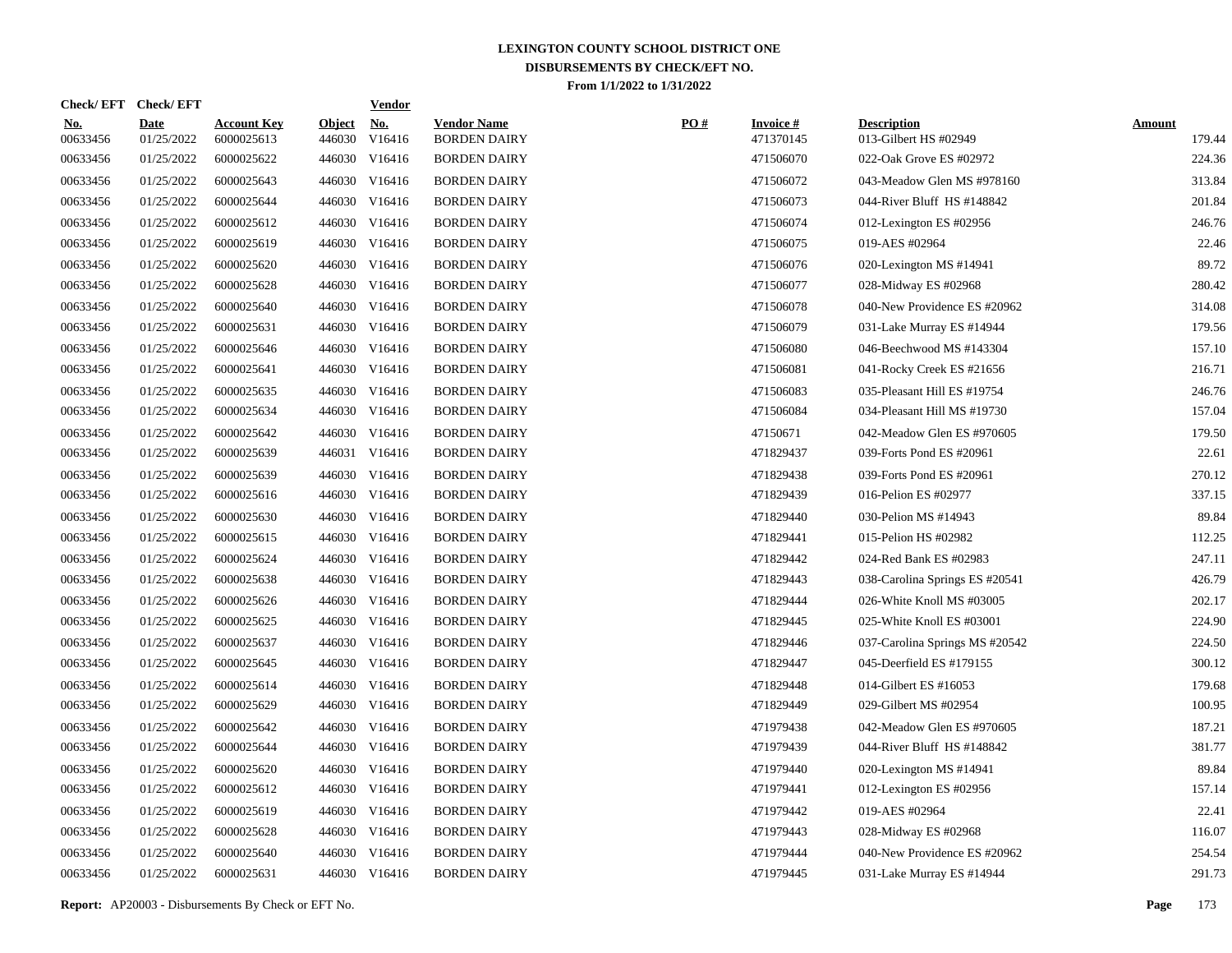|                        | Check/EFT Check/EFT       |                                  |                         | <b>Vendor</b>        |                                           |     |                                 |                                             |                         |
|------------------------|---------------------------|----------------------------------|-------------------------|----------------------|-------------------------------------------|-----|---------------------------------|---------------------------------------------|-------------------------|
| <u>No.</u><br>00633456 | <b>Date</b><br>01/25/2022 | <b>Account Key</b><br>6000025613 | <b>Object</b><br>446030 | <u>No.</u><br>V16416 | <b>Vendor Name</b><br><b>BORDEN DAIRY</b> | PO# | <b>Invoice</b> $#$<br>471370145 | <b>Description</b><br>013-Gilbert HS #02949 | <b>Amount</b><br>179.44 |
| 00633456               | 01/25/2022                | 6000025622                       | 446030                  | V16416               | <b>BORDEN DAIRY</b>                       |     | 471506070                       | 022-Oak Grove ES #02972                     | 224.36                  |
| 00633456               | 01/25/2022                | 6000025643                       | 446030                  | V16416               | <b>BORDEN DAIRY</b>                       |     | 471506072                       | 043-Meadow Glen MS #978160                  | 313.84                  |
| 00633456               | 01/25/2022                | 6000025644                       | 446030                  | V16416               | <b>BORDEN DAIRY</b>                       |     | 471506073                       | 044-River Bluff HS #148842                  | 201.84                  |
| 00633456               | 01/25/2022                | 6000025612                       | 446030                  | V16416               | <b>BORDEN DAIRY</b>                       |     | 471506074                       | 012-Lexington ES #02956                     | 246.76                  |
| 00633456               | 01/25/2022                | 6000025619                       | 446030                  | V16416               | <b>BORDEN DAIRY</b>                       |     | 471506075                       | 019-AES #02964                              | 22.46                   |
| 00633456               | 01/25/2022                | 6000025620                       | 446030                  | V16416               | <b>BORDEN DAIRY</b>                       |     | 471506076                       | 020-Lexington MS #14941                     | 89.72                   |
| 00633456               | 01/25/2022                | 6000025628                       | 446030                  | V16416               | <b>BORDEN DAIRY</b>                       |     | 471506077                       | 028-Midway ES #02968                        | 280.42                  |
| 00633456               | 01/25/2022                | 6000025640                       | 446030                  | V16416               | <b>BORDEN DAIRY</b>                       |     | 471506078                       | 040-New Providence ES #20962                | 314.08                  |
| 00633456               | 01/25/2022                | 6000025631                       | 446030                  | V16416               | <b>BORDEN DAIRY</b>                       |     | 471506079                       | 031-Lake Murray ES #14944                   | 179.56                  |
| 00633456               | 01/25/2022                | 6000025646                       | 446030                  | V16416               | <b>BORDEN DAIRY</b>                       |     | 471506080                       | 046-Beechwood MS #143304                    | 157.10                  |
| 00633456               | 01/25/2022                | 6000025641                       | 446030                  | V16416               | <b>BORDEN DAIRY</b>                       |     | 471506081                       | 041-Rocky Creek ES #21656                   | 216.71                  |
| 00633456               | 01/25/2022                | 6000025635                       | 446030                  | V16416               | <b>BORDEN DAIRY</b>                       |     | 471506083                       | 035-Pleasant Hill ES #19754                 | 246.76                  |
| 00633456               | 01/25/2022                | 6000025634                       | 446030                  | V16416               | <b>BORDEN DAIRY</b>                       |     | 471506084                       | 034-Pleasant Hill MS #19730                 | 157.04                  |
| 00633456               | 01/25/2022                | 6000025642                       | 446030                  | V16416               | <b>BORDEN DAIRY</b>                       |     | 47150671                        | 042-Meadow Glen ES #970605                  | 179.50                  |
| 00633456               | 01/25/2022                | 6000025639                       | 446031                  | V16416               | <b>BORDEN DAIRY</b>                       |     | 471829437                       | 039-Forts Pond ES #20961                    | 22.61                   |
| 00633456               | 01/25/2022                | 6000025639                       | 446030                  | V16416               | <b>BORDEN DAIRY</b>                       |     | 471829438                       | 039-Forts Pond ES #20961                    | 270.12                  |
| 00633456               | 01/25/2022                | 6000025616                       | 446030                  | V16416               | <b>BORDEN DAIRY</b>                       |     | 471829439                       | 016-Pelion ES #02977                        | 337.15                  |
| 00633456               | 01/25/2022                | 6000025630                       | 446030                  | V16416               | <b>BORDEN DAIRY</b>                       |     | 471829440                       | 030-Pelion MS #14943                        | 89.84                   |
| 00633456               | 01/25/2022                | 6000025615                       | 446030                  | V16416               | <b>BORDEN DAIRY</b>                       |     | 471829441                       | 015-Pelion HS #02982                        | 112.25                  |
| 00633456               | 01/25/2022                | 6000025624                       | 446030                  | V16416               | <b>BORDEN DAIRY</b>                       |     | 471829442                       | 024-Red Bank ES #02983                      | 247.11                  |
| 00633456               | 01/25/2022                | 6000025638                       | 446030                  | V16416               | <b>BORDEN DAIRY</b>                       |     | 471829443                       | 038-Carolina Springs ES #20541              | 426.79                  |
| 00633456               | 01/25/2022                | 6000025626                       | 446030                  | V16416               | <b>BORDEN DAIRY</b>                       |     | 471829444                       | 026-White Knoll MS #03005                   | 202.17                  |
| 00633456               | 01/25/2022                | 6000025625                       | 446030                  | V16416               | <b>BORDEN DAIRY</b>                       |     | 471829445                       | 025-White Knoll ES #03001                   | 224.90                  |
| 00633456               | 01/25/2022                | 6000025637                       | 446030                  | V16416               | <b>BORDEN DAIRY</b>                       |     | 471829446                       | 037-Carolina Springs MS #20542              | 224.50                  |
| 00633456               | 01/25/2022                | 6000025645                       | 446030                  | V16416               | <b>BORDEN DAIRY</b>                       |     | 471829447                       | 045-Deerfield ES #179155                    | 300.12                  |
| 00633456               | 01/25/2022                | 6000025614                       | 446030                  | V16416               | <b>BORDEN DAIRY</b>                       |     | 471829448                       | 014-Gilbert ES #16053                       | 179.68                  |
| 00633456               | 01/25/2022                | 6000025629                       | 446030                  | V16416               | <b>BORDEN DAIRY</b>                       |     | 471829449                       | 029-Gilbert MS #02954                       | 100.95                  |
| 00633456               | 01/25/2022                | 6000025642                       | 446030                  | V16416               | <b>BORDEN DAIRY</b>                       |     | 471979438                       | 042-Meadow Glen ES #970605                  | 187.21                  |
| 00633456               | 01/25/2022                | 6000025644                       | 446030                  | V16416               | <b>BORDEN DAIRY</b>                       |     | 471979439                       | 044-River Bluff HS #148842                  | 381.77                  |
| 00633456               | 01/25/2022                | 6000025620                       | 446030                  | V16416               | <b>BORDEN DAIRY</b>                       |     | 471979440                       | 020-Lexington MS #14941                     | 89.84                   |
| 00633456               | 01/25/2022                | 6000025612                       | 446030                  | V16416               | <b>BORDEN DAIRY</b>                       |     | 471979441                       | 012-Lexington ES #02956                     | 157.14                  |
| 00633456               | 01/25/2022                | 6000025619                       | 446030                  | V16416               | <b>BORDEN DAIRY</b>                       |     | 471979442                       | 019-AES #02964                              | 22.41                   |
| 00633456               | 01/25/2022                | 6000025628                       |                         | 446030 V16416        | <b>BORDEN DAIRY</b>                       |     | 471979443                       | 028-Midway ES #02968                        | 116.07                  |
| 00633456               | 01/25/2022                | 6000025640                       | 446030                  | V16416               | <b>BORDEN DAIRY</b>                       |     | 471979444                       | 040-New Providence ES #20962                | 254.54                  |
| 00633456               | 01/25/2022                | 6000025631                       |                         | 446030 V16416        | <b>BORDEN DAIRY</b>                       |     | 471979445                       | 031-Lake Murray ES #14944                   | 291.73                  |
|                        |                           |                                  |                         |                      |                                           |     |                                 |                                             |                         |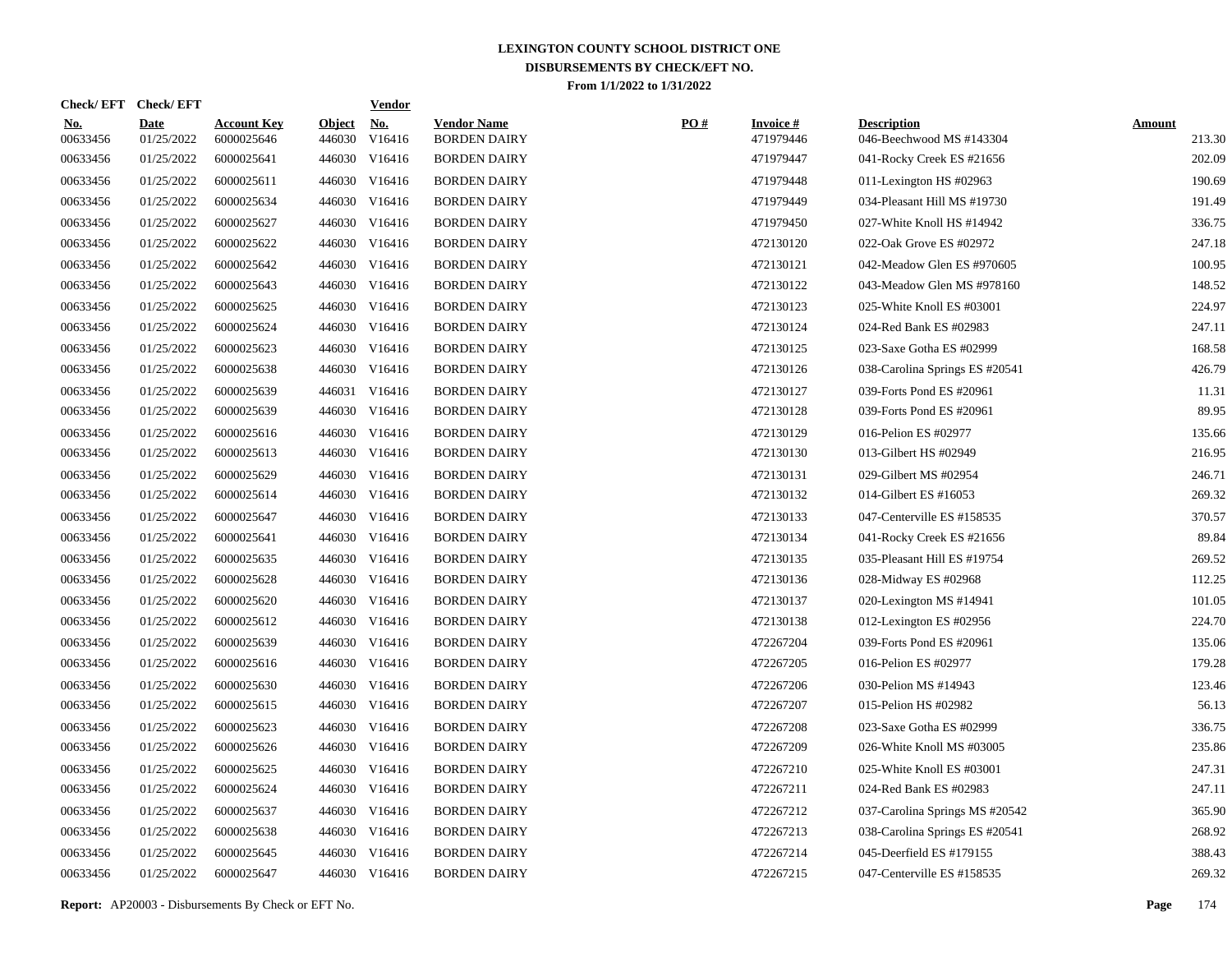| Check/EFT Check/EFT       |                                  |                         | <b>Vendor</b>        |                                                                                                                                                                                                                                                                                                                                                                                                                                                                                                                                                                                                                 |     |                               |                                                |                         |
|---------------------------|----------------------------------|-------------------------|----------------------|-----------------------------------------------------------------------------------------------------------------------------------------------------------------------------------------------------------------------------------------------------------------------------------------------------------------------------------------------------------------------------------------------------------------------------------------------------------------------------------------------------------------------------------------------------------------------------------------------------------------|-----|-------------------------------|------------------------------------------------|-------------------------|
| <b>Date</b><br>01/25/2022 | <b>Account Key</b><br>6000025646 | <b>Object</b><br>446030 | <u>No.</u><br>V16416 | <b>Vendor Name</b><br><b>BORDEN DAIRY</b>                                                                                                                                                                                                                                                                                                                                                                                                                                                                                                                                                                       | PO# | <b>Invoice #</b><br>471979446 | <b>Description</b><br>046-Beechwood MS #143304 | <b>Amount</b><br>213.30 |
| 01/25/2022                | 6000025641                       |                         |                      | <b>BORDEN DAIRY</b>                                                                                                                                                                                                                                                                                                                                                                                                                                                                                                                                                                                             |     | 471979447                     | 041-Rocky Creek ES #21656                      | 202.09                  |
| 01/25/2022                | 6000025611                       |                         |                      | <b>BORDEN DAIRY</b>                                                                                                                                                                                                                                                                                                                                                                                                                                                                                                                                                                                             |     | 471979448                     | 011-Lexington HS $#02963$                      | 190.69                  |
| 01/25/2022                | 6000025634                       |                         |                      | <b>BORDEN DAIRY</b>                                                                                                                                                                                                                                                                                                                                                                                                                                                                                                                                                                                             |     | 471979449                     | 034-Pleasant Hill MS #19730                    | 191.49                  |
| 01/25/2022                | 6000025627                       |                         |                      | <b>BORDEN DAIRY</b>                                                                                                                                                                                                                                                                                                                                                                                                                                                                                                                                                                                             |     | 471979450                     | 027-White Knoll HS #14942                      | 336.75                  |
| 01/25/2022                | 6000025622                       |                         |                      | <b>BORDEN DAIRY</b>                                                                                                                                                                                                                                                                                                                                                                                                                                                                                                                                                                                             |     | 472130120                     | 022-Oak Grove ES #02972                        | 247.18                  |
| 01/25/2022                | 6000025642                       |                         |                      | <b>BORDEN DAIRY</b>                                                                                                                                                                                                                                                                                                                                                                                                                                                                                                                                                                                             |     | 472130121                     | 042-Meadow Glen ES #970605                     | 100.95                  |
| 01/25/2022                | 6000025643                       |                         |                      | <b>BORDEN DAIRY</b>                                                                                                                                                                                                                                                                                                                                                                                                                                                                                                                                                                                             |     | 472130122                     | 043-Meadow Glen MS #978160                     | 148.52                  |
| 01/25/2022                | 6000025625                       |                         |                      | <b>BORDEN DAIRY</b>                                                                                                                                                                                                                                                                                                                                                                                                                                                                                                                                                                                             |     | 472130123                     | 025-White Knoll ES #03001                      | 224.97                  |
| 01/25/2022                | 6000025624                       |                         |                      | <b>BORDEN DAIRY</b>                                                                                                                                                                                                                                                                                                                                                                                                                                                                                                                                                                                             |     | 472130124                     | 024-Red Bank ES #02983                         | 247.11                  |
| 01/25/2022                | 6000025623                       |                         |                      | <b>BORDEN DAIRY</b>                                                                                                                                                                                                                                                                                                                                                                                                                                                                                                                                                                                             |     | 472130125                     | 023-Saxe Gotha ES #02999                       | 168.58                  |
| 01/25/2022                | 6000025638                       |                         |                      | <b>BORDEN DAIRY</b>                                                                                                                                                                                                                                                                                                                                                                                                                                                                                                                                                                                             |     | 472130126                     | 038-Carolina Springs ES #20541                 | 426.79                  |
| 01/25/2022                | 6000025639                       |                         |                      | <b>BORDEN DAIRY</b>                                                                                                                                                                                                                                                                                                                                                                                                                                                                                                                                                                                             |     | 472130127                     | 039-Forts Pond ES #20961                       | 11.31                   |
| 01/25/2022                | 6000025639                       |                         |                      | <b>BORDEN DAIRY</b>                                                                                                                                                                                                                                                                                                                                                                                                                                                                                                                                                                                             |     | 472130128                     | 039-Forts Pond ES #20961                       | 89.95                   |
| 01/25/2022                | 6000025616                       |                         |                      | <b>BORDEN DAIRY</b>                                                                                                                                                                                                                                                                                                                                                                                                                                                                                                                                                                                             |     | 472130129                     | 016-Pelion ES #02977                           | 135.66                  |
| 01/25/2022                | 6000025613                       |                         |                      | <b>BORDEN DAIRY</b>                                                                                                                                                                                                                                                                                                                                                                                                                                                                                                                                                                                             |     | 472130130                     | 013-Gilbert HS #02949                          | 216.95                  |
| 01/25/2022                | 6000025629                       |                         |                      | <b>BORDEN DAIRY</b>                                                                                                                                                                                                                                                                                                                                                                                                                                                                                                                                                                                             |     | 472130131                     | 029-Gilbert MS #02954                          | 246.71                  |
| 01/25/2022                | 6000025614                       |                         |                      | <b>BORDEN DAIRY</b>                                                                                                                                                                                                                                                                                                                                                                                                                                                                                                                                                                                             |     | 472130132                     | 014-Gilbert ES #16053                          | 269.32                  |
| 01/25/2022                | 6000025647                       |                         |                      | <b>BORDEN DAIRY</b>                                                                                                                                                                                                                                                                                                                                                                                                                                                                                                                                                                                             |     | 472130133                     | 047-Centerville ES #158535                     | 370.57                  |
| 01/25/2022                | 6000025641                       |                         |                      | <b>BORDEN DAIRY</b>                                                                                                                                                                                                                                                                                                                                                                                                                                                                                                                                                                                             |     | 472130134                     | 041-Rocky Creek ES #21656                      | 89.84                   |
| 01/25/2022                | 6000025635                       |                         |                      | <b>BORDEN DAIRY</b>                                                                                                                                                                                                                                                                                                                                                                                                                                                                                                                                                                                             |     | 472130135                     | 035-Pleasant Hill ES #19754                    | 269.52                  |
| 01/25/2022                | 6000025628                       |                         |                      | <b>BORDEN DAIRY</b>                                                                                                                                                                                                                                                                                                                                                                                                                                                                                                                                                                                             |     | 472130136                     | 028-Midway ES #02968                           | 112.25                  |
| 01/25/2022                | 6000025620                       |                         |                      | <b>BORDEN DAIRY</b>                                                                                                                                                                                                                                                                                                                                                                                                                                                                                                                                                                                             |     | 472130137                     | 020-Lexington MS #14941                        | 101.05                  |
| 01/25/2022                | 6000025612                       |                         |                      | <b>BORDEN DAIRY</b>                                                                                                                                                                                                                                                                                                                                                                                                                                                                                                                                                                                             |     | 472130138                     | 012-Lexington ES #02956                        | 224.70                  |
| 01/25/2022                | 6000025639                       |                         |                      | <b>BORDEN DAIRY</b>                                                                                                                                                                                                                                                                                                                                                                                                                                                                                                                                                                                             |     | 472267204                     | 039-Forts Pond ES #20961                       | 135.06                  |
| 01/25/2022                | 6000025616                       |                         |                      | <b>BORDEN DAIRY</b>                                                                                                                                                                                                                                                                                                                                                                                                                                                                                                                                                                                             |     | 472267205                     | 016-Pelion ES #02977                           | 179.28                  |
| 01/25/2022                | 6000025630                       |                         |                      | <b>BORDEN DAIRY</b>                                                                                                                                                                                                                                                                                                                                                                                                                                                                                                                                                                                             |     | 472267206                     | 030-Pelion MS #14943                           | 123.46                  |
| 01/25/2022                | 6000025615                       |                         |                      | <b>BORDEN DAIRY</b>                                                                                                                                                                                                                                                                                                                                                                                                                                                                                                                                                                                             |     | 472267207                     | 015-Pelion HS #02982                           | 56.13                   |
| 01/25/2022                | 6000025623                       |                         |                      | <b>BORDEN DAIRY</b>                                                                                                                                                                                                                                                                                                                                                                                                                                                                                                                                                                                             |     | 472267208                     | 023-Saxe Gotha ES #02999                       | 336.75                  |
| 01/25/2022                | 6000025626                       |                         |                      | <b>BORDEN DAIRY</b>                                                                                                                                                                                                                                                                                                                                                                                                                                                                                                                                                                                             |     | 472267209                     | 026-White Knoll MS #03005                      | 235.86                  |
| 01/25/2022                | 6000025625                       |                         |                      | <b>BORDEN DAIRY</b>                                                                                                                                                                                                                                                                                                                                                                                                                                                                                                                                                                                             |     | 472267210                     | 025-White Knoll ES #03001                      | 247.31                  |
| 01/25/2022                | 6000025624                       |                         |                      | <b>BORDEN DAIRY</b>                                                                                                                                                                                                                                                                                                                                                                                                                                                                                                                                                                                             |     | 472267211                     | 024-Red Bank ES #02983                         | 247.11                  |
| 01/25/2022                | 6000025637                       |                         |                      | <b>BORDEN DAIRY</b>                                                                                                                                                                                                                                                                                                                                                                                                                                                                                                                                                                                             |     | 472267212                     | 037-Carolina Springs MS #20542                 | 365.90                  |
| 01/25/2022                | 6000025638                       |                         |                      | <b>BORDEN DAIRY</b>                                                                                                                                                                                                                                                                                                                                                                                                                                                                                                                                                                                             |     | 472267213                     | 038-Carolina Springs ES #20541                 | 268.92                  |
| 01/25/2022                | 6000025645                       |                         |                      | <b>BORDEN DAIRY</b>                                                                                                                                                                                                                                                                                                                                                                                                                                                                                                                                                                                             |     | 472267214                     | 045-Deerfield ES #179155                       | 388.43                  |
| 01/25/2022                | 6000025647                       |                         |                      | <b>BORDEN DAIRY</b>                                                                                                                                                                                                                                                                                                                                                                                                                                                                                                                                                                                             |     | 472267215                     | 047-Centerville ES #158535                     | 269.32                  |
|                           |                                  |                         |                      | 446030 V16416<br>446030 V16416<br>446030 V16416<br>446030 V16416<br>446030 V16416<br>446030 V16416<br>446030 V16416<br>446030 V16416<br>446030 V16416<br>446030 V16416<br>446030 V16416<br>446031 V16416<br>446030 V16416<br>446030 V16416<br>446030 V16416<br>446030 V16416<br>446030 V16416<br>446030 V16416<br>446030 V16416<br>446030 V16416<br>446030 V16416<br>446030 V16416<br>446030 V16416<br>446030 V16416<br>446030 V16416<br>446030 V16416<br>446030 V16416<br>446030 V16416<br>446030 V16416<br>446030 V16416<br>446030 V16416<br>446030 V16416<br>446030 V16416<br>446030 V16416<br>446030 V16416 |     |                               |                                                |                         |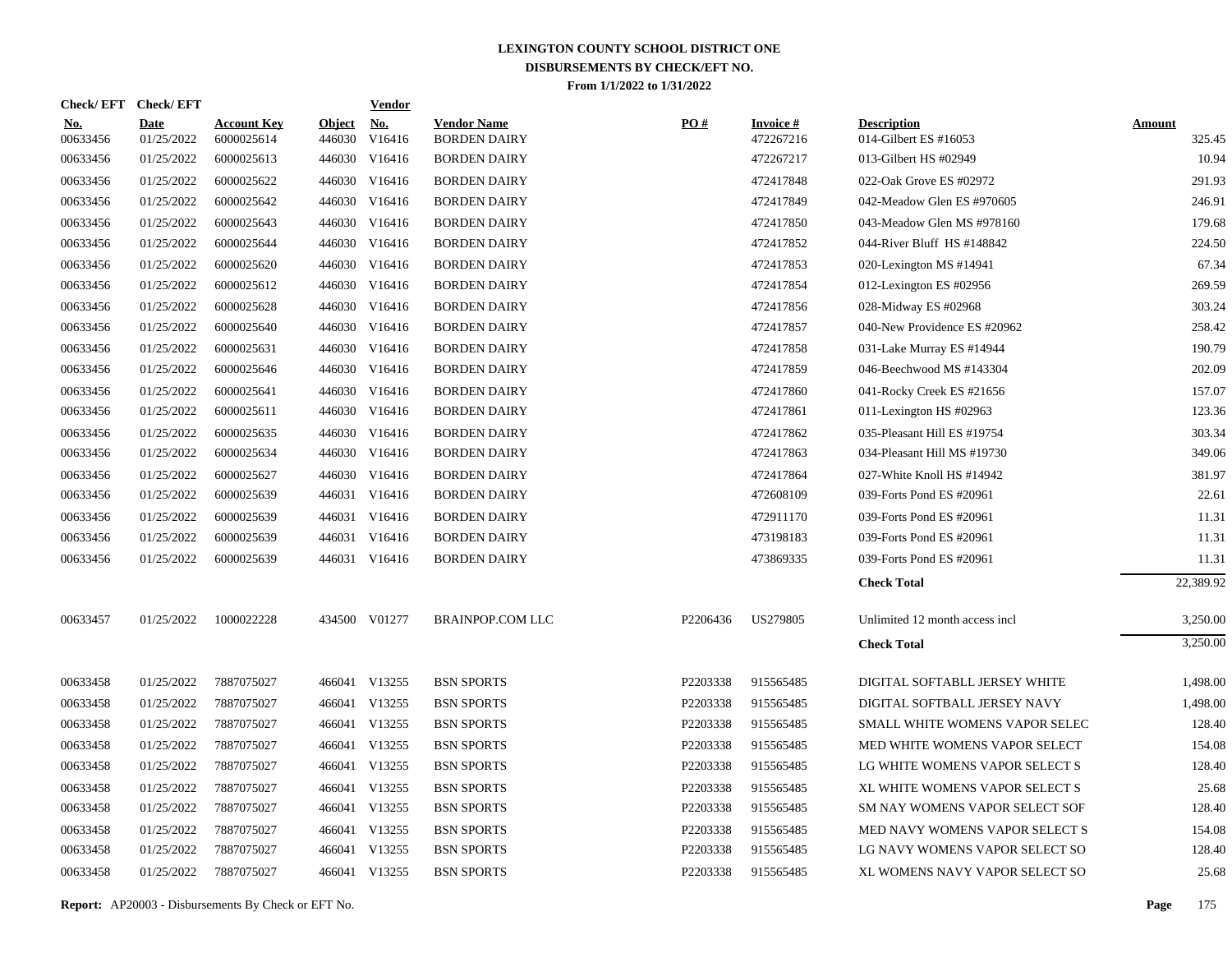| Check/EFT Check/EFT    |                           |                                  |                         | <b>Vendor</b> |                                           |          |                              |                                             |                         |
|------------------------|---------------------------|----------------------------------|-------------------------|---------------|-------------------------------------------|----------|------------------------------|---------------------------------------------|-------------------------|
| <u>No.</u><br>00633456 | <b>Date</b><br>01/25/2022 | <b>Account Key</b><br>6000025614 | <b>Object</b><br>446030 | No.<br>V16416 | <b>Vendor Name</b><br><b>BORDEN DAIRY</b> | PO#      | <b>Invoice#</b><br>472267216 | <b>Description</b><br>014-Gilbert ES #16053 | <b>Amount</b><br>325.45 |
| 00633456               | 01/25/2022                | 6000025613                       | 446030                  | V16416        | <b>BORDEN DAIRY</b>                       |          | 472267217                    | 013-Gilbert HS #02949                       | 10.94                   |
| 00633456               | 01/25/2022                | 6000025622                       |                         | 446030 V16416 | <b>BORDEN DAIRY</b>                       |          | 472417848                    | 022-Oak Grove ES #02972                     | 291.93                  |
| 00633456               | 01/25/2022                | 6000025642                       | 446030                  | V16416        | <b>BORDEN DAIRY</b>                       |          | 472417849                    | 042-Meadow Glen ES #970605                  | 246.91                  |
| 00633456               | 01/25/2022                | 6000025643                       |                         | 446030 V16416 | <b>BORDEN DAIRY</b>                       |          | 472417850                    | 043-Meadow Glen MS #978160                  | 179.68                  |
| 00633456               | 01/25/2022                | 6000025644                       | 446030                  | V16416        | <b>BORDEN DAIRY</b>                       |          | 472417852                    | 044-River Bluff HS #148842                  | 224.50                  |
| 00633456               | 01/25/2022                | 6000025620                       | 446030                  | V16416        | <b>BORDEN DAIRY</b>                       |          | 472417853                    | 020-Lexington MS #14941                     | 67.34                   |
| 00633456               | 01/25/2022                | 6000025612                       | 446030                  | V16416        | <b>BORDEN DAIRY</b>                       |          | 472417854                    | 012-Lexington ES #02956                     | 269.59                  |
| 00633456               | 01/25/2022                | 6000025628                       | 446030                  | V16416        | <b>BORDEN DAIRY</b>                       |          | 472417856                    | 028-Midway ES #02968                        | 303.24                  |
| 00633456               | 01/25/2022                | 6000025640                       | 446030                  | V16416        | <b>BORDEN DAIRY</b>                       |          | 472417857                    | 040-New Providence ES #20962                | 258.42                  |
| 00633456               | 01/25/2022                | 6000025631                       | 446030                  | V16416        | <b>BORDEN DAIRY</b>                       |          | 472417858                    | 031-Lake Murray ES #14944                   | 190.79                  |
| 00633456               | 01/25/2022                | 6000025646                       | 446030                  | V16416        | <b>BORDEN DAIRY</b>                       |          | 472417859                    | 046-Beechwood MS #143304                    | 202.09                  |
| 00633456               | 01/25/2022                | 6000025641                       | 446030                  | V16416        | <b>BORDEN DAIRY</b>                       |          | 472417860                    | 041-Rocky Creek ES #21656                   | 157.07                  |
| 00633456               | 01/25/2022                | 6000025611                       | 446030                  | V16416        | <b>BORDEN DAIRY</b>                       |          | 472417861                    | 011-Lexington HS #02963                     | 123.36                  |
| 00633456               | 01/25/2022                | 6000025635                       | 446030                  | V16416        | <b>BORDEN DAIRY</b>                       |          | 472417862                    | 035-Pleasant Hill ES #19754                 | 303.34                  |
| 00633456               | 01/25/2022                | 6000025634                       | 446030                  | V16416        | <b>BORDEN DAIRY</b>                       |          | 472417863                    | 034-Pleasant Hill MS #19730                 | 349.06                  |
| 00633456               | 01/25/2022                | 6000025627                       | 446030                  | V16416        | <b>BORDEN DAIRY</b>                       |          | 472417864                    | 027-White Knoll HS $\#14942$                | 381.97                  |
| 00633456               | 01/25/2022                | 6000025639                       |                         | 446031 V16416 | <b>BORDEN DAIRY</b>                       |          | 472608109                    | 039-Forts Pond ES #20961                    | 22.61                   |
| 00633456               | 01/25/2022                | 6000025639                       | 446031                  | V16416        | <b>BORDEN DAIRY</b>                       |          | 472911170                    | 039-Forts Pond ES #20961                    | 11.31                   |
| 00633456               | 01/25/2022                | 6000025639                       |                         | 446031 V16416 | <b>BORDEN DAIRY</b>                       |          | 473198183                    | 039-Forts Pond ES #20961                    | 11.31                   |
| 00633456               | 01/25/2022                | 6000025639                       |                         | 446031 V16416 | <b>BORDEN DAIRY</b>                       |          | 473869335                    | 039-Forts Pond ES #20961                    | 11.31                   |
|                        |                           |                                  |                         |               |                                           |          |                              | <b>Check Total</b>                          | 22,389.92               |
| 00633457               | 01/25/2022                | 1000022228                       |                         | 434500 V01277 | <b>BRAINPOP.COM LLC</b>                   | P2206436 | US279805                     | Unlimited 12 month access incl              | 3,250.00                |
|                        |                           |                                  |                         |               |                                           |          |                              | <b>Check Total</b>                          | 3,250.00                |
| 00633458               | 01/25/2022                | 7887075027                       |                         | 466041 V13255 | <b>BSN SPORTS</b>                         | P2203338 | 915565485                    | DIGITAL SOFTABLL JERSEY WHITE               | 1,498.00                |
| 00633458               | 01/25/2022                | 7887075027                       |                         | 466041 V13255 | <b>BSN SPORTS</b>                         | P2203338 | 915565485                    | DIGITAL SOFTBALL JERSEY NAVY                | 1,498.00                |
| 00633458               | 01/25/2022                | 7887075027                       |                         | 466041 V13255 | <b>BSN SPORTS</b>                         | P2203338 | 915565485                    | SMALL WHITE WOMENS VAPOR SELEC              | 128.40                  |
| 00633458               | 01/25/2022                | 7887075027                       |                         | 466041 V13255 | <b>BSN SPORTS</b>                         | P2203338 | 915565485                    | MED WHITE WOMENS VAPOR SELECT               | 154.08                  |
| 00633458               | 01/25/2022                | 7887075027                       |                         | 466041 V13255 | <b>BSN SPORTS</b>                         | P2203338 | 915565485                    | LG WHITE WOMENS VAPOR SELECT S              | 128.40                  |
| 00633458               | 01/25/2022                | 7887075027                       |                         | 466041 V13255 | <b>BSN SPORTS</b>                         | P2203338 | 915565485                    | XL WHITE WOMENS VAPOR SELECT S              | 25.68                   |
| 00633458               | 01/25/2022                | 7887075027                       |                         | 466041 V13255 | <b>BSN SPORTS</b>                         | P2203338 | 915565485                    | SM NAY WOMENS VAPOR SELECT SOF              | 128.40                  |
| 00633458               | 01/25/2022                | 7887075027                       |                         | 466041 V13255 | <b>BSN SPORTS</b>                         | P2203338 | 915565485                    | MED NAVY WOMENS VAPOR SELECT S              | 154.08                  |
| 00633458               | 01/25/2022                | 7887075027                       |                         | 466041 V13255 | <b>BSN SPORTS</b>                         | P2203338 | 915565485                    | LG NAVY WOMENS VAPOR SELECT SO              | 128.40                  |
| 00633458               | 01/25/2022                | 7887075027                       |                         | 466041 V13255 | <b>BSN SPORTS</b>                         | P2203338 | 915565485                    | XL WOMENS NAVY VAPOR SELECT SO              | 25.68                   |
|                        |                           |                                  |                         |               |                                           |          |                              |                                             |                         |

**Report:** AP20003 - Disbursements By Check or EFT No. **Page** 175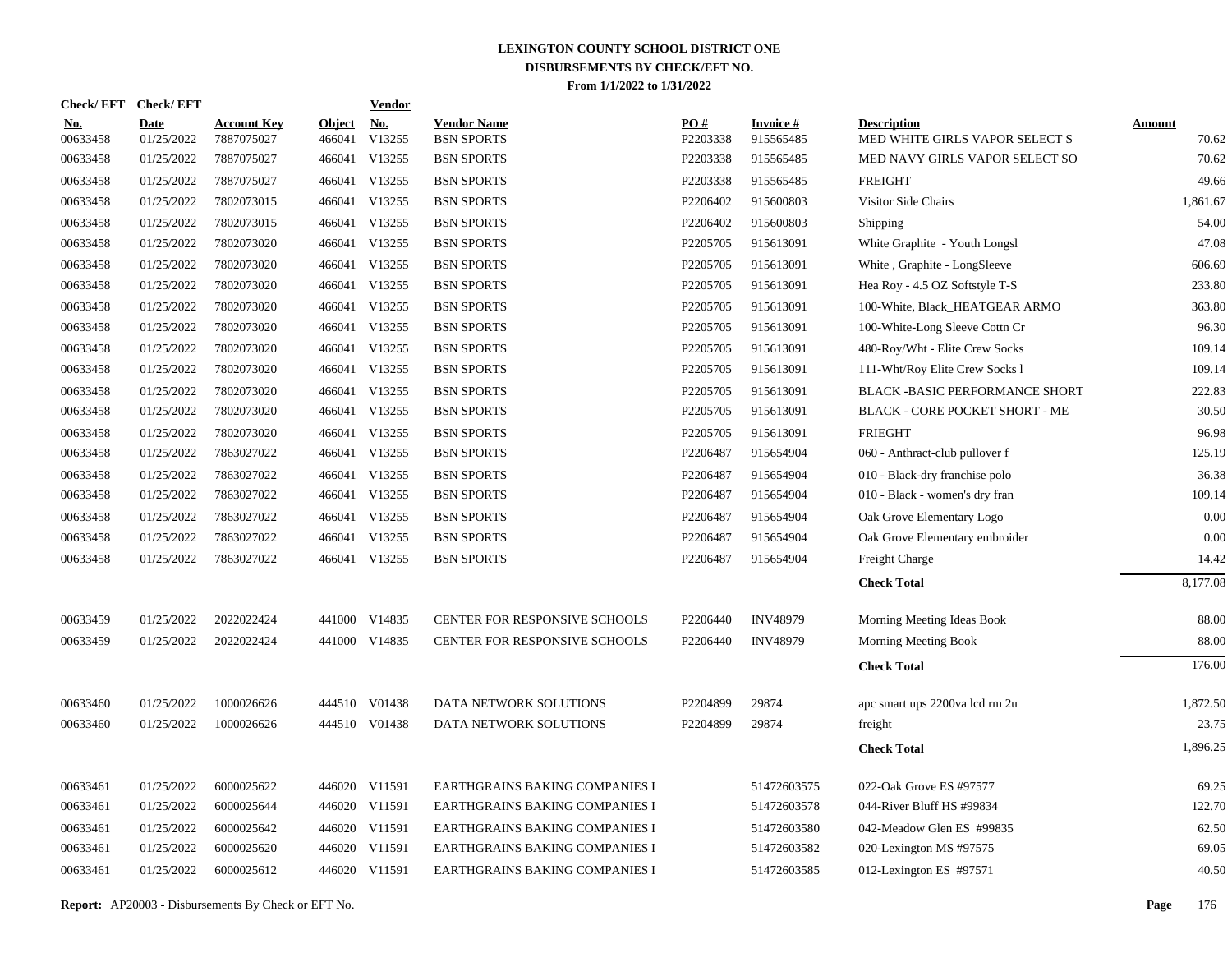| <b>Check/EFT</b>       | <b>Check/EFT</b>          |                                  |                         | <b>Vendor</b> |                                         |                 |                              |                                                      |                        |
|------------------------|---------------------------|----------------------------------|-------------------------|---------------|-----------------------------------------|-----------------|------------------------------|------------------------------------------------------|------------------------|
| <u>No.</u><br>00633458 | <b>Date</b><br>01/25/2022 | <b>Account Key</b><br>7887075027 | <b>Object</b><br>466041 | No.<br>V13255 | <b>Vendor Name</b><br><b>BSN SPORTS</b> | PO#<br>P2203338 | <b>Invoice#</b><br>915565485 | <b>Description</b><br>MED WHITE GIRLS VAPOR SELECT S | <b>Amount</b><br>70.62 |
| 00633458               | 01/25/2022                | 7887075027                       | 466041                  | V13255        | <b>BSN SPORTS</b>                       | P2203338        | 915565485                    | MED NAVY GIRLS VAPOR SELECT SO                       | 70.62                  |
| 00633458               | 01/25/2022                | 7887075027                       |                         | 466041 V13255 | <b>BSN SPORTS</b>                       | P2203338        | 915565485                    | <b>FREIGHT</b>                                       | 49.66                  |
| 00633458               | 01/25/2022                | 7802073015                       |                         | 466041 V13255 | <b>BSN SPORTS</b>                       | P2206402        | 915600803                    | Visitor Side Chairs                                  | 1,861.67               |
| 00633458               | 01/25/2022                | 7802073015                       |                         | 466041 V13255 | <b>BSN SPORTS</b>                       | P2206402        | 915600803                    | Shipping                                             | 54.00                  |
| 00633458               | 01/25/2022                | 7802073020                       |                         | 466041 V13255 | <b>BSN SPORTS</b>                       | P2205705        | 915613091                    | White Graphite - Youth Longsl                        | 47.08                  |
| 00633458               | 01/25/2022                | 7802073020                       |                         | 466041 V13255 | <b>BSN SPORTS</b>                       | P2205705        | 915613091                    | White, Graphite - LongSleeve                         | 606.69                 |
| 00633458               | 01/25/2022                | 7802073020                       |                         | 466041 V13255 | <b>BSN SPORTS</b>                       | P2205705        | 915613091                    | Hea Roy - 4.5 OZ Softstyle T-S                       | 233.80                 |
| 00633458               | 01/25/2022                | 7802073020                       |                         | 466041 V13255 | <b>BSN SPORTS</b>                       | P2205705        | 915613091                    | 100-White, Black_HEATGEAR ARMO                       | 363.80                 |
| 00633458               | 01/25/2022                | 7802073020                       |                         | 466041 V13255 | <b>BSN SPORTS</b>                       | P2205705        | 915613091                    | 100-White-Long Sleeve Cottn Cr                       | 96.30                  |
| 00633458               | 01/25/2022                | 7802073020                       |                         | 466041 V13255 | <b>BSN SPORTS</b>                       | P2205705        | 915613091                    | 480-Roy/Wht - Elite Crew Socks                       | 109.14                 |
| 00633458               | 01/25/2022                | 7802073020                       |                         | 466041 V13255 | <b>BSN SPORTS</b>                       | P2205705        | 915613091                    | 111-Wht/Roy Elite Crew Socks 1                       | 109.14                 |
| 00633458               | 01/25/2022                | 7802073020                       |                         | 466041 V13255 | <b>BSN SPORTS</b>                       | P2205705        | 915613091                    | BLACK -BASIC PERFORMANCE SHORT                       | 222.83                 |
| 00633458               | 01/25/2022                | 7802073020                       |                         | 466041 V13255 | <b>BSN SPORTS</b>                       | P2205705        | 915613091                    | BLACK - CORE POCKET SHORT - ME                       | 30.50                  |
| 00633458               | 01/25/2022                | 7802073020                       |                         | 466041 V13255 | <b>BSN SPORTS</b>                       | P2205705        | 915613091                    | <b>FRIEGHT</b>                                       | 96.98                  |
| 00633458               | 01/25/2022                | 7863027022                       |                         | 466041 V13255 | <b>BSN SPORTS</b>                       | P2206487        | 915654904                    | 060 - Anthract-club pullover f                       | 125.19                 |
| 00633458               | 01/25/2022                | 7863027022                       |                         | 466041 V13255 | <b>BSN SPORTS</b>                       | P2206487        | 915654904                    | 010 - Black-dry franchise polo                       | 36.38                  |
| 00633458               | 01/25/2022                | 7863027022                       |                         | 466041 V13255 | <b>BSN SPORTS</b>                       | P2206487        | 915654904                    | 010 - Black - women's dry fran                       | 109.14                 |
| 00633458               | 01/25/2022                | 7863027022                       |                         | 466041 V13255 | <b>BSN SPORTS</b>                       | P2206487        | 915654904                    | Oak Grove Elementary Logo                            | 0.00                   |
| 00633458               | 01/25/2022                | 7863027022                       |                         | 466041 V13255 | <b>BSN SPORTS</b>                       | P2206487        | 915654904                    | Oak Grove Elementary embroider                       | 0.00                   |
| 00633458               | 01/25/2022                | 7863027022                       |                         | 466041 V13255 | <b>BSN SPORTS</b>                       | P2206487        | 915654904                    | Freight Charge                                       | 14.42                  |
|                        |                           |                                  |                         |               |                                         |                 |                              | <b>Check Total</b>                                   | 8,177.08               |
| 00633459               | 01/25/2022                | 2022022424                       |                         | 441000 V14835 | CENTER FOR RESPONSIVE SCHOOLS           | P2206440        | <b>INV48979</b>              | Morning Meeting Ideas Book                           | 88.00                  |
| 00633459               | 01/25/2022                | 2022022424                       |                         | 441000 V14835 | CENTER FOR RESPONSIVE SCHOOLS           | P2206440        | <b>INV48979</b>              | Morning Meeting Book                                 | 88.00                  |
|                        |                           |                                  |                         |               |                                         |                 |                              | <b>Check Total</b>                                   | 176.00                 |
| 00633460               | 01/25/2022                | 1000026626                       |                         | 444510 V01438 | DATA NETWORK SOLUTIONS                  | P2204899        | 29874                        | apc smart ups 2200va lcd rm 2u                       | 1,872.50               |
| 00633460               | 01/25/2022                | 1000026626                       |                         | 444510 V01438 | DATA NETWORK SOLUTIONS                  | P2204899        | 29874                        | freight                                              | 23.75                  |
|                        |                           |                                  |                         |               |                                         |                 |                              | <b>Check Total</b>                                   | 1,896.25               |
| 00633461               | 01/25/2022                | 6000025622                       |                         | 446020 V11591 | EARTHGRAINS BAKING COMPANIES I          |                 | 51472603575                  | 022-Oak Grove ES #97577                              | 69.25                  |
| 00633461               | 01/25/2022                | 6000025644                       |                         | 446020 V11591 | EARTHGRAINS BAKING COMPANIES I          |                 | 51472603578                  | 044-River Bluff HS #99834                            | 122.70                 |
| 00633461               | 01/25/2022                | 6000025642                       |                         | 446020 V11591 | EARTHGRAINS BAKING COMPANIES I          |                 | 51472603580                  | 042-Meadow Glen ES #99835                            | 62.50                  |
| 00633461               | 01/25/2022                | 6000025620                       |                         | 446020 V11591 | EARTHGRAINS BAKING COMPANIES I          |                 | 51472603582                  | 020-Lexington MS #97575                              | 69.05                  |
| 00633461               | 01/25/2022                | 6000025612                       |                         | 446020 V11591 | EARTHGRAINS BAKING COMPANIES I          |                 | 51472603585                  | 012-Lexington ES #97571                              | 40.50                  |
|                        |                           |                                  |                         |               |                                         |                 |                              |                                                      |                        |

**Report:** AP20003 - Disbursements By Check or EFT No. **Page** 176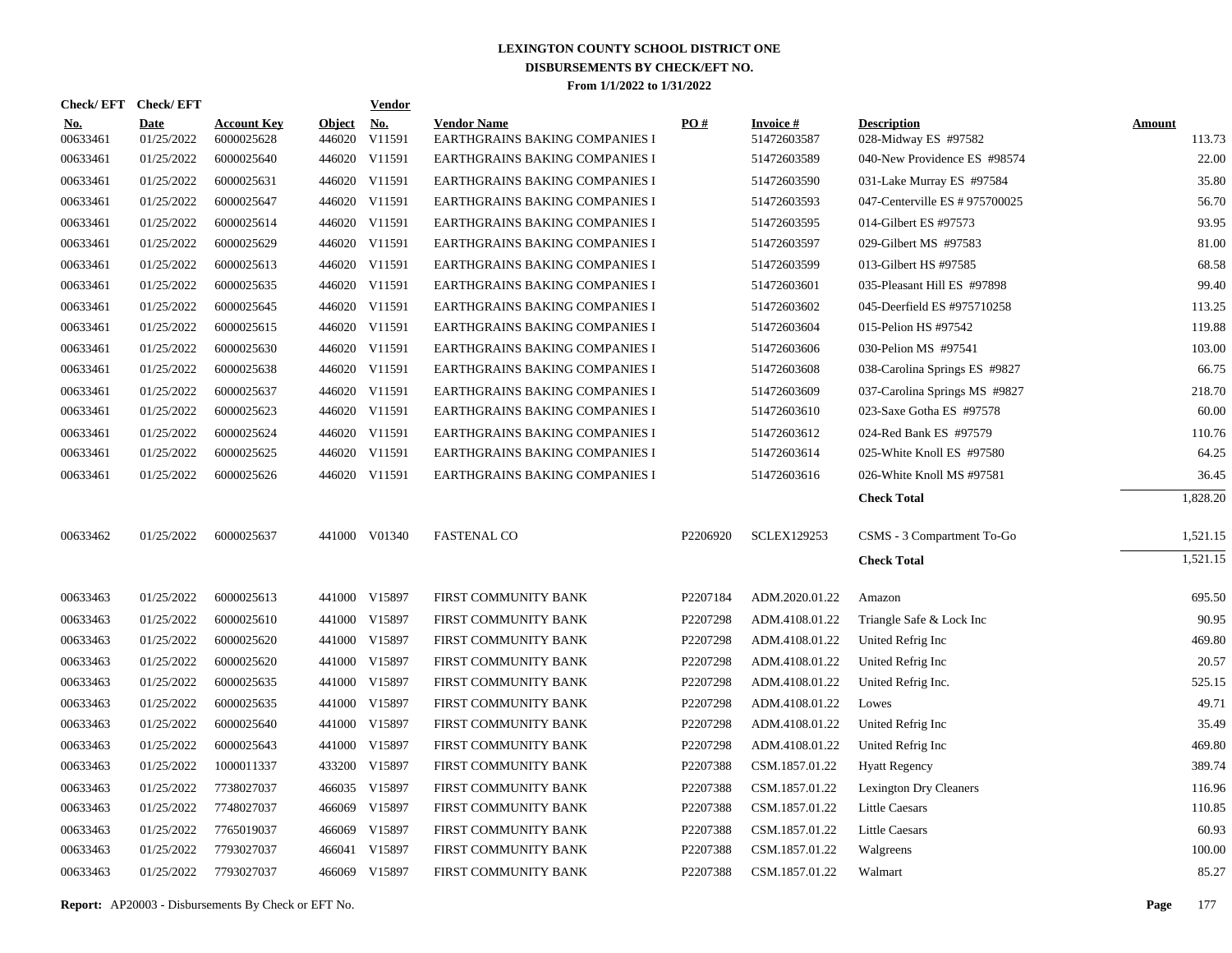| Check/EFT Check/EFT    |                           |                                  |                         | <b>Vendor</b> |                                                      |          |                                |                                            |                         |
|------------------------|---------------------------|----------------------------------|-------------------------|---------------|------------------------------------------------------|----------|--------------------------------|--------------------------------------------|-------------------------|
| <u>No.</u><br>00633461 | <b>Date</b><br>01/25/2022 | <b>Account Key</b><br>6000025628 | <b>Object</b><br>446020 | No.<br>V11591 | <b>Vendor Name</b><br>EARTHGRAINS BAKING COMPANIES I | PO#      | <b>Invoice#</b><br>51472603587 | <b>Description</b><br>028-Midway ES #97582 | <b>Amount</b><br>113.73 |
| 00633461               | 01/25/2022                | 6000025640                       |                         | 446020 V11591 | EARTHGRAINS BAKING COMPANIES I                       |          | 51472603589                    | 040-New Providence ES #98574               | 22.00                   |
| 00633461               | 01/25/2022                | 6000025631                       |                         | 446020 V11591 | EARTHGRAINS BAKING COMPANIES I                       |          | 51472603590                    | 031-Lake Murray ES #97584                  | 35.80                   |
| 00633461               | 01/25/2022                | 6000025647                       |                         | 446020 V11591 | EARTHGRAINS BAKING COMPANIES I                       |          | 51472603593                    | 047-Centerville ES # 975700025             | 56.70                   |
| 00633461               | 01/25/2022                | 6000025614                       |                         | 446020 V11591 | EARTHGRAINS BAKING COMPANIES I                       |          | 51472603595                    | 014-Gilbert ES #97573                      | 93.95                   |
| 00633461               | 01/25/2022                | 6000025629                       |                         | 446020 V11591 | EARTHGRAINS BAKING COMPANIES I                       |          | 51472603597                    | 029-Gilbert MS #97583                      | 81.00                   |
| 00633461               | 01/25/2022                | 6000025613                       |                         | 446020 V11591 | EARTHGRAINS BAKING COMPANIES I                       |          | 51472603599                    | 013-Gilbert HS #97585                      | 68.58                   |
| 00633461               | 01/25/2022                | 6000025635                       |                         | 446020 V11591 | EARTHGRAINS BAKING COMPANIES I                       |          | 51472603601                    | 035-Pleasant Hill ES #97898                | 99.40                   |
| 00633461               | 01/25/2022                | 6000025645                       |                         | 446020 V11591 | EARTHGRAINS BAKING COMPANIES I                       |          | 51472603602                    | 045-Deerfield ES #975710258                | 113.25                  |
| 00633461               | 01/25/2022                | 6000025615                       |                         | 446020 V11591 | EARTHGRAINS BAKING COMPANIES I                       |          | 51472603604                    | 015-Pelion HS #97542                       | 119.88                  |
| 00633461               | 01/25/2022                | 6000025630                       |                         | 446020 V11591 | <b>EARTHGRAINS BAKING COMPANIES I</b>                |          | 51472603606                    | 030-Pelion MS #97541                       | 103.00                  |
| 00633461               | 01/25/2022                | 6000025638                       |                         | 446020 V11591 | EARTHGRAINS BAKING COMPANIES I                       |          | 51472603608                    | 038-Carolina Springs ES #9827              | 66.75                   |
| 00633461               | 01/25/2022                | 6000025637                       |                         | 446020 V11591 | <b>EARTHGRAINS BAKING COMPANIES I</b>                |          | 51472603609                    | 037-Carolina Springs MS #9827              | 218.70                  |
| 00633461               | 01/25/2022                | 6000025623                       |                         | 446020 V11591 | EARTHGRAINS BAKING COMPANIES I                       |          | 51472603610                    | 023-Saxe Gotha ES #97578                   | 60.00                   |
| 00633461               | 01/25/2022                | 6000025624                       |                         | 446020 V11591 | EARTHGRAINS BAKING COMPANIES I                       |          | 51472603612                    | 024-Red Bank ES #97579                     | 110.76                  |
| 00633461               | 01/25/2022                | 6000025625                       |                         | 446020 V11591 | EARTHGRAINS BAKING COMPANIES I                       |          | 51472603614                    | 025-White Knoll ES #97580                  | 64.25                   |
| 00633461               | 01/25/2022                | 6000025626                       |                         | 446020 V11591 | EARTHGRAINS BAKING COMPANIES I                       |          | 51472603616                    | 026-White Knoll MS #97581                  | 36.45                   |
|                        |                           |                                  |                         |               |                                                      |          |                                | <b>Check Total</b>                         | 1,828.20                |
| 00633462               | 01/25/2022                | 6000025637                       |                         | 441000 V01340 | <b>FASTENAL CO</b>                                   | P2206920 | <b>SCLEX129253</b>             | CSMS - 3 Compartment To-Go                 | 1,521.15                |
|                        |                           |                                  |                         |               |                                                      |          |                                |                                            | 1,521.15                |
|                        |                           |                                  |                         |               |                                                      |          |                                | <b>Check Total</b>                         |                         |
| 00633463               | 01/25/2022                | 6000025613                       |                         | 441000 V15897 | FIRST COMMUNITY BANK                                 | P2207184 | ADM.2020.01.22                 | Amazon                                     | 695.50                  |
| 00633463               | 01/25/2022                | 6000025610                       |                         | 441000 V15897 | FIRST COMMUNITY BANK                                 | P2207298 | ADM.4108.01.22                 | Triangle Safe & Lock Inc                   | 90.95                   |
| 00633463               | 01/25/2022                | 6000025620                       |                         | 441000 V15897 | FIRST COMMUNITY BANK                                 | P2207298 | ADM.4108.01.22                 | United Refrig Inc                          | 469.80                  |
| 00633463               | 01/25/2022                | 6000025620                       |                         | 441000 V15897 | FIRST COMMUNITY BANK                                 | P2207298 | ADM.4108.01.22                 | United Refrig Inc                          | 20.57                   |
| 00633463               | 01/25/2022                | 6000025635                       |                         | 441000 V15897 | FIRST COMMUNITY BANK                                 | P2207298 | ADM.4108.01.22                 | United Refrig Inc.                         | 525.15                  |
| 00633463               | 01/25/2022                | 6000025635                       |                         | 441000 V15897 | FIRST COMMUNITY BANK                                 | P2207298 | ADM.4108.01.22                 | Lowes                                      | 49.71                   |
| 00633463               | 01/25/2022                | 6000025640                       |                         | 441000 V15897 | FIRST COMMUNITY BANK                                 | P2207298 | ADM.4108.01.22                 | United Refrig Inc                          | 35.49                   |
| 00633463               | 01/25/2022                | 6000025643                       |                         | 441000 V15897 | FIRST COMMUNITY BANK                                 | P2207298 | ADM.4108.01.22                 | United Refrig Inc                          | 469.80                  |
| 00633463               | 01/25/2022                | 1000011337                       |                         | 433200 V15897 | FIRST COMMUNITY BANK                                 | P2207388 | CSM.1857.01.22                 | <b>Hyatt Regency</b>                       | 389.74                  |
| 00633463               | 01/25/2022                | 7738027037                       |                         | 466035 V15897 | FIRST COMMUNITY BANK                                 | P2207388 | CSM.1857.01.22                 | <b>Lexington Dry Cleaners</b>              | 116.96                  |
| 00633463               | 01/25/2022                | 7748027037                       |                         | 466069 V15897 | FIRST COMMUNITY BANK                                 | P2207388 | CSM.1857.01.22                 | <b>Little Caesars</b>                      | 110.85                  |
| 00633463               | 01/25/2022                | 7765019037                       | 466069                  | V15897        | FIRST COMMUNITY BANK                                 | P2207388 | CSM.1857.01.22                 | <b>Little Caesars</b>                      | 60.93                   |
| 00633463               | 01/25/2022                | 7793027037                       |                         | 466041 V15897 | FIRST COMMUNITY BANK                                 | P2207388 | CSM.1857.01.22                 | Walgreens                                  | 100.00                  |
| 00633463               | 01/25/2022                | 7793027037                       |                         | 466069 V15897 | FIRST COMMUNITY BANK                                 | P2207388 | CSM.1857.01.22                 | Walmart                                    | 85.27                   |
|                        |                           |                                  |                         |               |                                                      |          |                                |                                            |                         |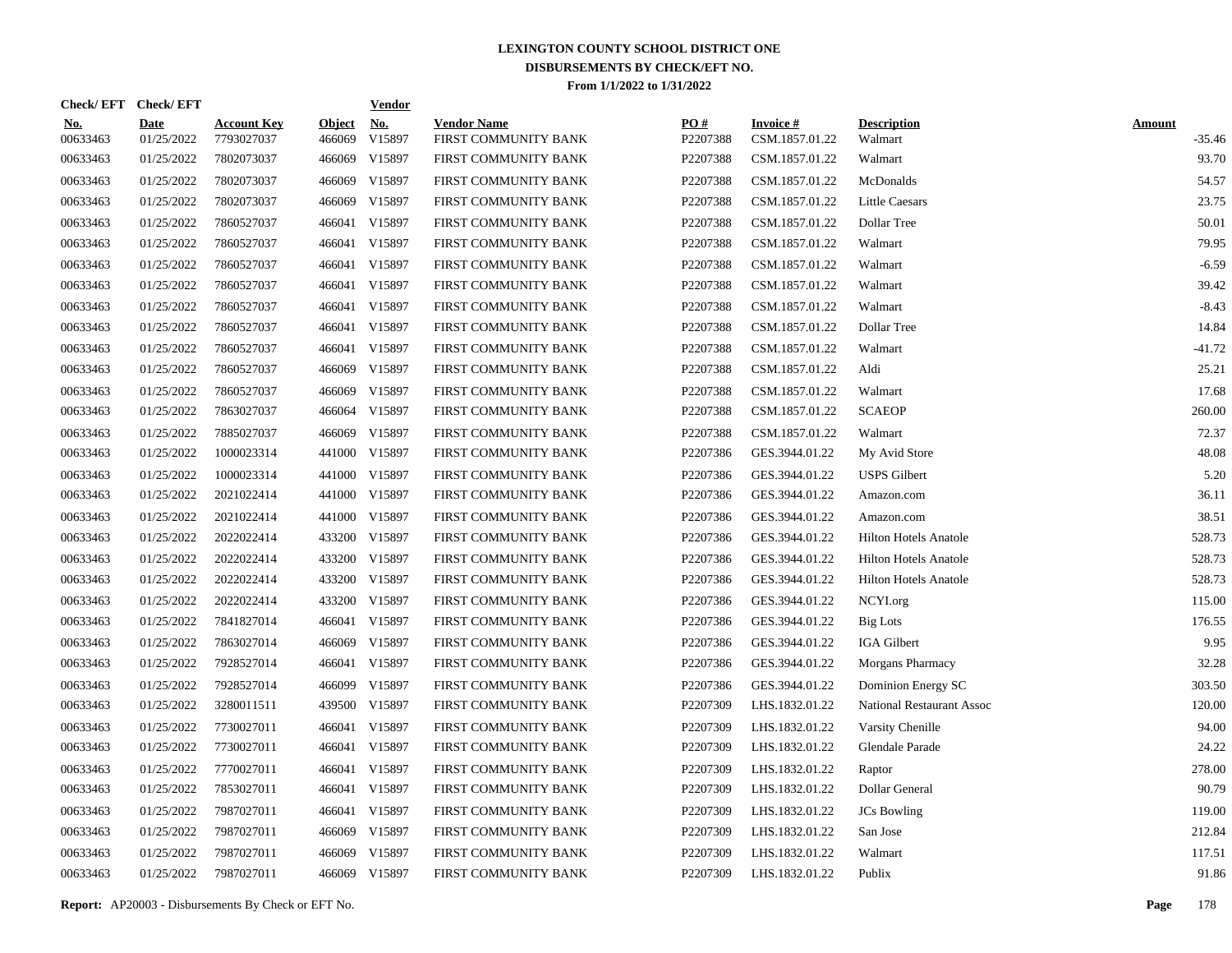|                        | Check/EFT Check/EFT       |                                  |                         | <u>Vendor</u>        |                                            |                 |                                   |                                  |                         |
|------------------------|---------------------------|----------------------------------|-------------------------|----------------------|--------------------------------------------|-----------------|-----------------------------------|----------------------------------|-------------------------|
| <u>No.</u><br>00633463 | <b>Date</b><br>01/25/2022 | <b>Account Key</b><br>7793027037 | <b>Object</b><br>466069 | <u>No.</u><br>V15897 | <b>Vendor Name</b><br>FIRST COMMUNITY BANK | PQ#<br>P2207388 | <b>Invoice#</b><br>CSM.1857.01.22 | <b>Description</b><br>Walmart    | <b>Amount</b><br>-35.46 |
| 00633463               | 01/25/2022                | 7802073037                       | 466069                  | V15897               | FIRST COMMUNITY BANK                       | P2207388        | CSM.1857.01.22                    | Walmart                          | 93.70                   |
| 00633463               | 01/25/2022                | 7802073037                       | 466069                  | V15897               | FIRST COMMUNITY BANK                       | P2207388        | CSM.1857.01.22                    | McDonalds                        | 54.57                   |
| 00633463               | 01/25/2022                | 7802073037                       | 466069                  | V15897               | FIRST COMMUNITY BANK                       | P2207388        | CSM.1857.01.22                    | <b>Little Caesars</b>            | 23.75                   |
| 00633463               | 01/25/2022                | 7860527037                       | 466041                  | V15897               | FIRST COMMUNITY BANK                       | P2207388        | CSM.1857.01.22                    | Dollar Tree                      | 50.01                   |
| 00633463               | 01/25/2022                | 7860527037                       | 466041                  | V15897               | FIRST COMMUNITY BANK                       | P2207388        | CSM.1857.01.22                    | Walmart                          | 79.95                   |
| 00633463               | 01/25/2022                | 7860527037                       | 466041                  | V15897               | FIRST COMMUNITY BANK                       | P2207388        | CSM.1857.01.22                    | Walmart                          | $-6.59$                 |
| 00633463               | 01/25/2022                | 7860527037                       | 466041                  | V15897               | FIRST COMMUNITY BANK                       | P2207388        | CSM.1857.01.22                    | Walmart                          | 39.42                   |
| 00633463               | 01/25/2022                | 7860527037                       | 466041                  | V15897               | FIRST COMMUNITY BANK                       | P2207388        | CSM.1857.01.22                    | Walmart                          | $-8.43$                 |
| 00633463               | 01/25/2022                | 7860527037                       | 466041                  | V15897               | FIRST COMMUNITY BANK                       | P2207388        | CSM.1857.01.22                    | Dollar Tree                      | 14.84                   |
| 00633463               | 01/25/2022                | 7860527037                       | 466041                  | V15897               | FIRST COMMUNITY BANK                       | P2207388        | CSM.1857.01.22                    | Walmart                          | $-41.72$                |
| 00633463               | 01/25/2022                | 7860527037                       | 466069                  | V15897               | FIRST COMMUNITY BANK                       | P2207388        | CSM.1857.01.22                    | Aldi                             | 25.21                   |
| 00633463               | 01/25/2022                | 7860527037                       | 466069                  | V15897               | FIRST COMMUNITY BANK                       | P2207388        | CSM.1857.01.22                    | Walmart                          | 17.68                   |
| 00633463               | 01/25/2022                | 7863027037                       | 466064                  | V15897               | FIRST COMMUNITY BANK                       | P2207388        | CSM.1857.01.22                    | <b>SCAEOP</b>                    | 260.00                  |
| 00633463               | 01/25/2022                | 7885027037                       | 466069                  | V15897               | FIRST COMMUNITY BANK                       | P2207388        | CSM.1857.01.22                    | Walmart                          | 72.37                   |
| 00633463               | 01/25/2022                | 1000023314                       |                         | 441000 V15897        | FIRST COMMUNITY BANK                       | P2207386        | GES.3944.01.22                    | My Avid Store                    | 48.08                   |
| 00633463               | 01/25/2022                | 1000023314                       | 441000                  | V15897               | FIRST COMMUNITY BANK                       | P2207386        | GES.3944.01.22                    | <b>USPS</b> Gilbert              | 5.20                    |
| 00633463               | 01/25/2022                | 2021022414                       |                         | 441000 V15897        | FIRST COMMUNITY BANK                       | P2207386        | GES.3944.01.22                    | Amazon.com                       | 36.11                   |
| 00633463               | 01/25/2022                | 2021022414                       | 441000                  | V15897               | FIRST COMMUNITY BANK                       | P2207386        | GES.3944.01.22                    | Amazon.com                       | 38.51                   |
| 00633463               | 01/25/2022                | 2022022414                       |                         | 433200 V15897        | FIRST COMMUNITY BANK                       | P2207386        | GES.3944.01.22                    | <b>Hilton Hotels Anatole</b>     | 528.73                  |
| 00633463               | 01/25/2022                | 2022022414                       | 433200                  | V15897               | FIRST COMMUNITY BANK                       | P2207386        | GES.3944.01.22                    | <b>Hilton Hotels Anatole</b>     | 528.73                  |
| 00633463               | 01/25/2022                | 2022022414                       | 433200                  | V15897               | FIRST COMMUNITY BANK                       | P2207386        | GES.3944.01.22                    | Hilton Hotels Anatole            | 528.73                  |
| 00633463               | 01/25/2022                | 2022022414                       | 433200                  | V15897               | FIRST COMMUNITY BANK                       | P2207386        | GES.3944.01.22                    | NCYI.org                         | 115.00                  |
| 00633463               | 01/25/2022                | 7841827014                       | 466041                  | V15897               | FIRST COMMUNITY BANK                       | P2207386        | GES.3944.01.22                    | <b>Big Lots</b>                  | 176.55                  |
| 00633463               | 01/25/2022                | 7863027014                       | 466069                  | V15897               | FIRST COMMUNITY BANK                       | P2207386        | GES.3944.01.22                    | IGA Gilbert                      | 9.95                    |
| 00633463               | 01/25/2022                | 7928527014                       | 466041                  | V15897               | FIRST COMMUNITY BANK                       | P2207386        | GES.3944.01.22                    | Morgans Pharmacy                 | 32.28                   |
| 00633463               | 01/25/2022                | 7928527014                       | 466099                  | V15897               | FIRST COMMUNITY BANK                       | P2207386        | GES.3944.01.22                    | Dominion Energy SC               | 303.50                  |
| 00633463               | 01/25/2022                | 3280011511                       | 439500                  | V15897               | FIRST COMMUNITY BANK                       | P2207309        | LHS.1832.01.22                    | <b>National Restaurant Assoc</b> | 120.00                  |
| 00633463               | 01/25/2022                | 7730027011                       | 466041                  | V15897               | FIRST COMMUNITY BANK                       | P2207309        | LHS.1832.01.22                    | Varsity Chenille                 | 94.00                   |
| 00633463               | 01/25/2022                | 7730027011                       |                         | 466041 V15897        | FIRST COMMUNITY BANK                       | P2207309        | LHS.1832.01.22                    | Glendale Parade                  | 24.22                   |
| 00633463               | 01/25/2022                | 7770027011                       |                         | 466041 V15897        | FIRST COMMUNITY BANK                       | P2207309        | LHS.1832.01.22                    | Raptor                           | 278.00                  |
| 00633463               | 01/25/2022                | 7853027011                       |                         | 466041 V15897        | FIRST COMMUNITY BANK                       | P2207309        | LHS.1832.01.22                    | Dollar General                   | 90.79                   |
| 00633463               | 01/25/2022                | 7987027011                       |                         | 466041 V15897        | FIRST COMMUNITY BANK                       | P2207309        | LHS.1832.01.22                    | <b>JCs</b> Bowling               | 119.00                  |
| 00633463               | 01/25/2022                | 7987027011                       | 466069                  | V15897               | FIRST COMMUNITY BANK                       | P2207309        | LHS.1832.01.22                    | San Jose                         | 212.84                  |
| 00633463               | 01/25/2022                | 7987027011                       | 466069                  | V15897               | FIRST COMMUNITY BANK                       | P2207309        | LHS.1832.01.22                    | Walmart                          | 117.51                  |
| 00633463               | 01/25/2022                | 7987027011                       |                         | 466069 V15897        | FIRST COMMUNITY BANK                       | P2207309        | LHS.1832.01.22                    | Publix                           | 91.86                   |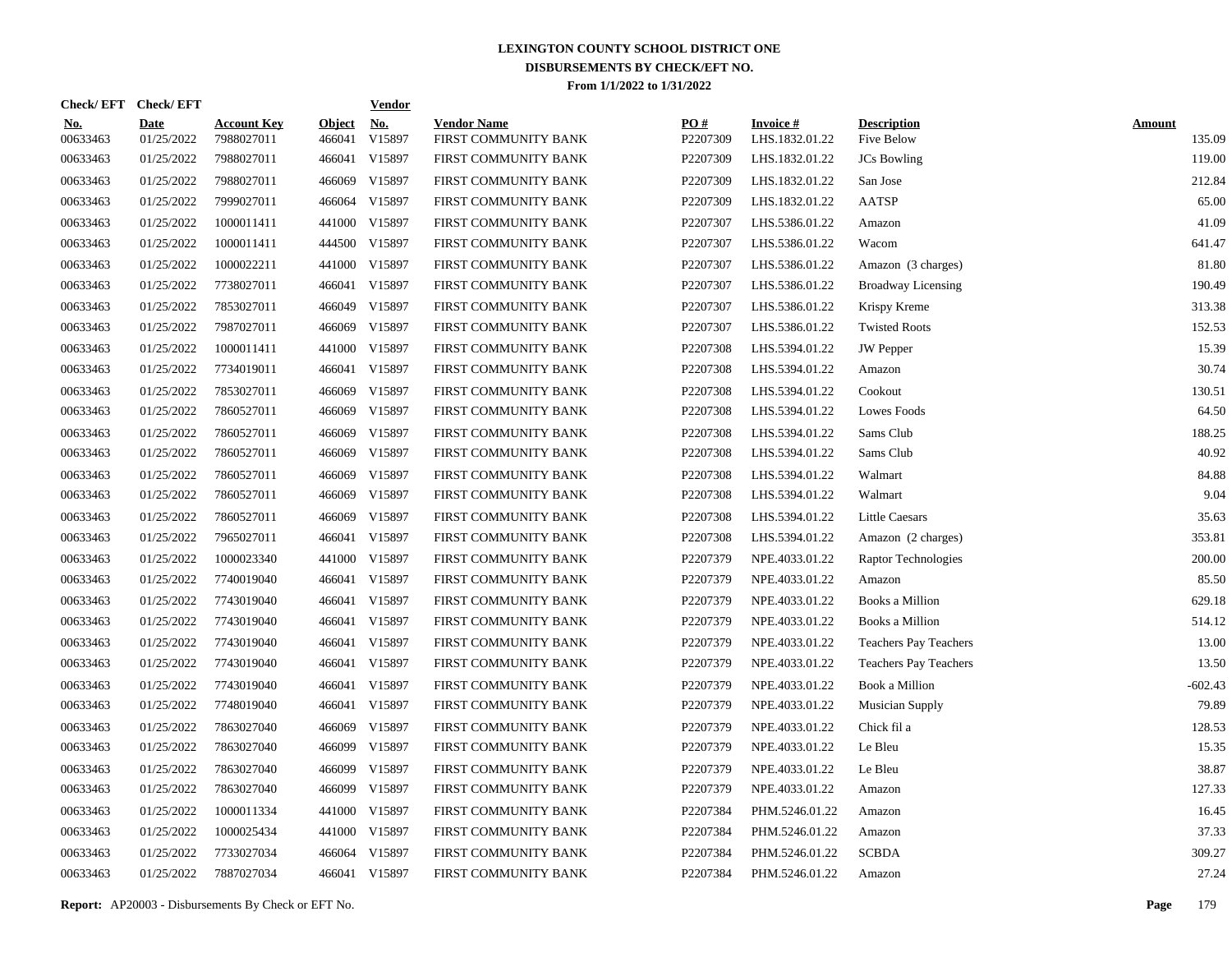| Check/EFT Check/EFT    |                           |                                  |                         | <b>Vendor</b>        |                                            |                 |                                   |                                  |                         |
|------------------------|---------------------------|----------------------------------|-------------------------|----------------------|--------------------------------------------|-----------------|-----------------------------------|----------------------------------|-------------------------|
| <u>No.</u><br>00633463 | <b>Date</b><br>01/25/2022 | <b>Account Key</b><br>7988027011 | <b>Object</b><br>466041 | <u>No.</u><br>V15897 | <b>Vendor Name</b><br>FIRST COMMUNITY BANK | PO#<br>P2207309 | <b>Invoice#</b><br>LHS.1832.01.22 | <b>Description</b><br>Five Below | <b>Amount</b><br>135.09 |
| 00633463               | 01/25/2022                | 7988027011                       | 466041                  | V15897               | FIRST COMMUNITY BANK                       | P2207309        | LHS.1832.01.22                    | <b>JCs</b> Bowling               | 119.00                  |
| 00633463               | 01/25/2022                | 7988027011                       | 466069                  | V15897               | FIRST COMMUNITY BANK                       | P2207309        | LHS.1832.01.22                    | San Jose                         | 212.84                  |
| 00633463               | 01/25/2022                | 7999027011                       | 466064                  | V15897               | FIRST COMMUNITY BANK                       | P2207309        | LHS.1832.01.22                    | <b>AATSP</b>                     | 65.00                   |
| 00633463               | 01/25/2022                | 1000011411                       | 441000                  | V15897               | FIRST COMMUNITY BANK                       | P2207307        | LHS.5386.01.22                    | Amazon                           | 41.09                   |
| 00633463               | 01/25/2022                | 1000011411                       | 444500                  | V15897               | FIRST COMMUNITY BANK                       | P2207307        | LHS.5386.01.22                    | Wacom                            | 641.47                  |
| 00633463               | 01/25/2022                | 1000022211                       | 441000                  | V15897               | FIRST COMMUNITY BANK                       | P2207307        | LHS.5386.01.22                    | Amazon (3 charges)               | 81.80                   |
| 00633463               | 01/25/2022                | 7738027011                       | 466041                  | V15897               | FIRST COMMUNITY BANK                       | P2207307        | LHS.5386.01.22                    | <b>Broadway Licensing</b>        | 190.49                  |
| 00633463               | 01/25/2022                | 7853027011                       | 466049                  | V15897               | FIRST COMMUNITY BANK                       | P2207307        | LHS.5386.01.22                    | Krispy Kreme                     | 313.38                  |
| 00633463               | 01/25/2022                | 7987027011                       | 466069                  | V15897               | FIRST COMMUNITY BANK                       | P2207307        | LHS.5386.01.22                    | <b>Twisted Roots</b>             | 152.53                  |
| 00633463               | 01/25/2022                | 1000011411                       | 441000                  | V15897               | FIRST COMMUNITY BANK                       | P2207308        | LHS.5394.01.22                    | <b>JW</b> Pepper                 | 15.39                   |
| 00633463               | 01/25/2022                | 7734019011                       | 466041                  | V15897               | FIRST COMMUNITY BANK                       | P2207308        | LHS.5394.01.22                    | Amazon                           | 30.74                   |
| 00633463               | 01/25/2022                | 7853027011                       | 466069                  | V15897               | FIRST COMMUNITY BANK                       | P2207308        | LHS.5394.01.22                    | Cookout                          | 130.51                  |
| 00633463               | 01/25/2022                | 7860527011                       | 466069                  | V15897               | FIRST COMMUNITY BANK                       | P2207308        | LHS.5394.01.22                    | Lowes Foods                      | 64.50                   |
| 00633463               | 01/25/2022                | 7860527011                       | 466069                  | V15897               | FIRST COMMUNITY BANK                       | P2207308        | LHS.5394.01.22                    | Sams Club                        | 188.25                  |
| 00633463               | 01/25/2022                | 7860527011                       | 466069                  | V15897               | FIRST COMMUNITY BANK                       | P2207308        | LHS.5394.01.22                    | Sams Club                        | 40.92                   |
| 00633463               | 01/25/2022                | 7860527011                       | 466069                  | V15897               | FIRST COMMUNITY BANK                       | P2207308        | LHS.5394.01.22                    | Walmart                          | 84.88                   |
| 00633463               | 01/25/2022                | 7860527011                       | 466069                  | V15897               | FIRST COMMUNITY BANK                       | P2207308        | LHS.5394.01.22                    | Walmart                          | 9.04                    |
| 00633463               | 01/25/2022                | 7860527011                       | 466069                  | V15897               | FIRST COMMUNITY BANK                       | P2207308        | LHS.5394.01.22                    | <b>Little Caesars</b>            | 35.63                   |
| 00633463               | 01/25/2022                | 7965027011                       | 466041                  | V15897               | FIRST COMMUNITY BANK                       | P2207308        | LHS.5394.01.22                    | Amazon (2 charges)               | 353.81                  |
| 00633463               | 01/25/2022                | 1000023340                       | 441000                  | V15897               | FIRST COMMUNITY BANK                       | P2207379        | NPE.4033.01.22                    | Raptor Technologies              | 200.00                  |
| 00633463               | 01/25/2022                | 7740019040                       |                         | 466041 V15897        | FIRST COMMUNITY BANK                       | P2207379        | NPE.4033.01.22                    | Amazon                           | 85.50                   |
| 00633463               | 01/25/2022                | 7743019040                       |                         | 466041 V15897        | FIRST COMMUNITY BANK                       | P2207379        | NPE.4033.01.22                    | Books a Million                  | 629.18                  |
| 00633463               | 01/25/2022                | 7743019040                       |                         | 466041 V15897        | FIRST COMMUNITY BANK                       | P2207379        | NPE.4033.01.22                    | Books a Million                  | 514.12                  |
| 00633463               | 01/25/2022                | 7743019040                       |                         | 466041 V15897        | FIRST COMMUNITY BANK                       | P2207379        | NPE.4033.01.22                    | <b>Teachers Pay Teachers</b>     | 13.00                   |
| 00633463               | 01/25/2022                | 7743019040                       |                         | 466041 V15897        | FIRST COMMUNITY BANK                       | P2207379        | NPE.4033.01.22                    | Teachers Pay Teachers            | 13.50                   |
| 00633463               | 01/25/2022                | 7743019040                       |                         | 466041 V15897        | FIRST COMMUNITY BANK                       | P2207379        | NPE.4033.01.22                    | Book a Million                   | $-602.43$               |
| 00633463               | 01/25/2022                | 7748019040                       |                         | 466041 V15897        | FIRST COMMUNITY BANK                       | P2207379        | NPE.4033.01.22                    | <b>Musician Supply</b>           | 79.89                   |
| 00633463               | 01/25/2022                | 7863027040                       | 466069                  | V15897               | FIRST COMMUNITY BANK                       | P2207379        | NPE.4033.01.22                    | Chick fil a                      | 128.53                  |
| 00633463               | 01/25/2022                | 7863027040                       | 466099                  | V15897               | FIRST COMMUNITY BANK                       | P2207379        | NPE.4033.01.22                    | Le Bleu                          | 15.35                   |
| 00633463               | 01/25/2022                | 7863027040                       | 466099                  | V15897               | FIRST COMMUNITY BANK                       | P2207379        | NPE.4033.01.22                    | Le Bleu                          | 38.87                   |
| 00633463               | 01/25/2022                | 7863027040                       | 466099                  | V15897               | FIRST COMMUNITY BANK                       | P2207379        | NPE.4033.01.22                    | Amazon                           | 127.33                  |
| 00633463               | 01/25/2022                | 1000011334                       | 441000                  | V15897               | FIRST COMMUNITY BANK                       | P2207384        | PHM.5246.01.22                    | Amazon                           | 16.45                   |
| 00633463               | 01/25/2022                | 1000025434                       | 441000                  | V15897               | FIRST COMMUNITY BANK                       | P2207384        | PHM.5246.01.22                    | Amazon                           | 37.33                   |
| 00633463               | 01/25/2022                | 7733027034                       | 466064                  | V15897               | FIRST COMMUNITY BANK                       | P2207384        | PHM.5246.01.22                    | <b>SCBDA</b>                     | 309.27                  |
| 00633463               | 01/25/2022                | 7887027034                       |                         | 466041 V15897        | FIRST COMMUNITY BANK                       | P2207384        | PHM.5246.01.22                    | Amazon                           | 27.24                   |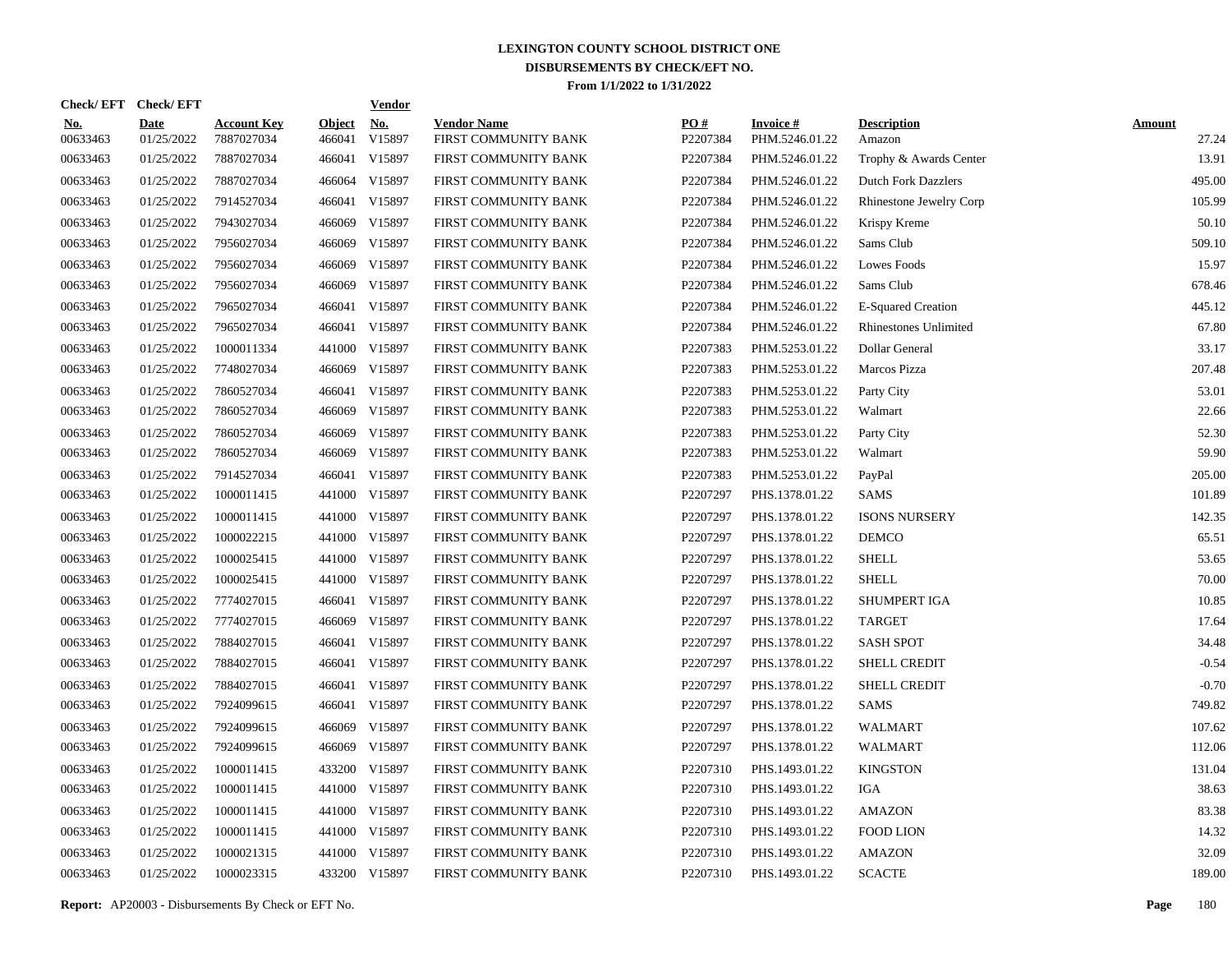|                        | Check/EFT Check/EFT       |                                  |                         | <u>Vendor</u>        |                                            |                 |                                   |                                |                        |
|------------------------|---------------------------|----------------------------------|-------------------------|----------------------|--------------------------------------------|-----------------|-----------------------------------|--------------------------------|------------------------|
| <u>No.</u><br>00633463 | <b>Date</b><br>01/25/2022 | <b>Account Key</b><br>7887027034 | <b>Object</b><br>466041 | <u>No.</u><br>V15897 | <b>Vendor Name</b><br>FIRST COMMUNITY BANK | PQ#<br>P2207384 | <b>Invoice#</b><br>PHM.5246.01.22 | <b>Description</b><br>Amazon   | <b>Amount</b><br>27.24 |
| 00633463               | 01/25/2022                | 7887027034                       | 466041                  | V15897               | FIRST COMMUNITY BANK                       | P2207384        | PHM.5246.01.22                    | Trophy & Awards Center         | 13.91                  |
| 00633463               | 01/25/2022                | 7887027034                       | 466064                  | V15897               | FIRST COMMUNITY BANK                       | P2207384        | PHM.5246.01.22                    | <b>Dutch Fork Dazzlers</b>     | 495.00                 |
| 00633463               | 01/25/2022                | 7914527034                       | 466041                  | V15897               | FIRST COMMUNITY BANK                       | P2207384        | PHM.5246.01.22                    | <b>Rhinestone Jewelry Corp</b> | 105.99                 |
| 00633463               | 01/25/2022                | 7943027034                       | 466069                  | V15897               | FIRST COMMUNITY BANK                       | P2207384        | PHM.5246.01.22                    | Krispy Kreme                   | 50.10                  |
| 00633463               | 01/25/2022                | 7956027034                       | 466069                  | V15897               | FIRST COMMUNITY BANK                       | P2207384        | PHM.5246.01.22                    | Sams Club                      | 509.10                 |
| 00633463               | 01/25/2022                | 7956027034                       | 466069                  | V15897               | FIRST COMMUNITY BANK                       | P2207384        | PHM.5246.01.22                    | Lowes Foods                    | 15.97                  |
| 00633463               | 01/25/2022                | 7956027034                       | 466069                  | V15897               | FIRST COMMUNITY BANK                       | P2207384        | PHM.5246.01.22                    | Sams Club                      | 678.46                 |
| 00633463               | 01/25/2022                | 7965027034                       | 466041                  | V15897               | FIRST COMMUNITY BANK                       | P2207384        | PHM.5246.01.22                    | <b>E-Squared Creation</b>      | 445.12                 |
| 00633463               | 01/25/2022                | 7965027034                       |                         | 466041 V15897        | FIRST COMMUNITY BANK                       | P2207384        | PHM.5246.01.22                    | Rhinestones Unlimited          | 67.80                  |
| 00633463               | 01/25/2022                | 1000011334                       |                         | 441000 V15897        | FIRST COMMUNITY BANK                       | P2207383        | PHM.5253.01.22                    | Dollar General                 | 33.17                  |
| 00633463               | 01/25/2022                | 7748027034                       |                         | 466069 V15897        | FIRST COMMUNITY BANK                       | P2207383        | PHM.5253.01.22                    | Marcos Pizza                   | 207.48                 |
| 00633463               | 01/25/2022                | 7860527034                       | 466041                  | V15897               | FIRST COMMUNITY BANK                       | P2207383        | PHM.5253.01.22                    | Party City                     | 53.01                  |
| 00633463               | 01/25/2022                | 7860527034                       | 466069                  | V15897               | FIRST COMMUNITY BANK                       | P2207383        | PHM.5253.01.22                    | Walmart                        | 22.66                  |
| 00633463               | 01/25/2022                | 7860527034                       | 466069                  | V15897               | FIRST COMMUNITY BANK                       | P2207383        | PHM.5253.01.22                    | Party City                     | 52.30                  |
| 00633463               | 01/25/2022                | 7860527034                       | 466069                  | V15897               | FIRST COMMUNITY BANK                       | P2207383        | PHM.5253.01.22                    | Walmart                        | 59.90                  |
| 00633463               | 01/25/2022                | 7914527034                       | 466041                  | V15897               | FIRST COMMUNITY BANK                       | P2207383        | PHM.5253.01.22                    | PayPal                         | 205.00                 |
| 00633463               | 01/25/2022                | 1000011415                       |                         | 441000 V15897        | FIRST COMMUNITY BANK                       | P2207297        | PHS.1378.01.22                    | <b>SAMS</b>                    | 101.89                 |
| 00633463               | 01/25/2022                | 1000011415                       |                         | 441000 V15897        | FIRST COMMUNITY BANK                       | P2207297        | PHS.1378.01.22                    | <b>ISONS NURSERY</b>           | 142.35                 |
| 00633463               | 01/25/2022                | 1000022215                       |                         | 441000 V15897        | FIRST COMMUNITY BANK                       | P2207297        | PHS.1378.01.22                    | <b>DEMCO</b>                   | 65.51                  |
| 00633463               | 01/25/2022                | 1000025415                       |                         | 441000 V15897        | FIRST COMMUNITY BANK                       | P2207297        | PHS.1378.01.22                    | <b>SHELL</b>                   | 53.65                  |
| 00633463               | 01/25/2022                | 1000025415                       |                         | 441000 V15897        | FIRST COMMUNITY BANK                       | P2207297        | PHS.1378.01.22                    | <b>SHELL</b>                   | 70.00                  |
| 00633463               | 01/25/2022                | 7774027015                       |                         | 466041 V15897        | FIRST COMMUNITY BANK                       | P2207297        | PHS.1378.01.22                    | <b>SHUMPERT IGA</b>            | 10.85                  |
| 00633463               | 01/25/2022                | 7774027015                       | 466069                  | V15897               | FIRST COMMUNITY BANK                       | P2207297        | PHS.1378.01.22                    | <b>TARGET</b>                  | 17.64                  |
| 00633463               | 01/25/2022                | 7884027015                       |                         | 466041 V15897        | FIRST COMMUNITY BANK                       | P2207297        | PHS.1378.01.22                    | <b>SASH SPOT</b>               | 34.48                  |
| 00633463               | 01/25/2022                | 7884027015                       |                         | 466041 V15897        | FIRST COMMUNITY BANK                       | P2207297        | PHS.1378.01.22                    | <b>SHELL CREDIT</b>            | $-0.54$                |
| 00633463               | 01/25/2022                | 7884027015                       |                         | 466041 V15897        | FIRST COMMUNITY BANK                       | P2207297        | PHS.1378.01.22                    | <b>SHELL CREDIT</b>            | $-0.70$                |
| 00633463               | 01/25/2022                | 7924099615                       |                         | 466041 V15897        | FIRST COMMUNITY BANK                       | P2207297        | PHS.1378.01.22                    | <b>SAMS</b>                    | 749.82                 |
| 00633463               | 01/25/2022                | 7924099615                       | 466069                  | V15897               | FIRST COMMUNITY BANK                       | P2207297        | PHS.1378.01.22                    | WALMART                        | 107.62                 |
| 00633463               | 01/25/2022                | 7924099615                       | 466069                  | V15897               | FIRST COMMUNITY BANK                       | P2207297        | PHS.1378.01.22                    | WALMART                        | 112.06                 |
| 00633463               | 01/25/2022                | 1000011415                       | 433200                  | V15897               | FIRST COMMUNITY BANK                       | P2207310        | PHS.1493.01.22                    | <b>KINGSTON</b>                | 131.04                 |
| 00633463               | 01/25/2022                | 1000011415                       | 441000                  | V15897               | FIRST COMMUNITY BANK                       | P2207310        | PHS.1493.01.22                    | <b>IGA</b>                     | 38.63                  |
| 00633463               | 01/25/2022                | 1000011415                       |                         | 441000 V15897        | FIRST COMMUNITY BANK                       | P2207310        | PHS.1493.01.22                    | <b>AMAZON</b>                  | 83.38                  |
| 00633463               | 01/25/2022                | 1000011415                       |                         | 441000 V15897        | FIRST COMMUNITY BANK                       | P2207310        | PHS.1493.01.22                    | <b>FOOD LION</b>               | 14.32                  |
| 00633463               | 01/25/2022                | 1000021315                       |                         | 441000 V15897        | FIRST COMMUNITY BANK                       | P2207310        | PHS.1493.01.22                    | <b>AMAZON</b>                  | 32.09                  |
| 00633463               | 01/25/2022                | 1000023315                       |                         | 433200 V15897        | FIRST COMMUNITY BANK                       | P2207310        | PHS.1493.01.22                    | <b>SCACTE</b>                  | 189.00                 |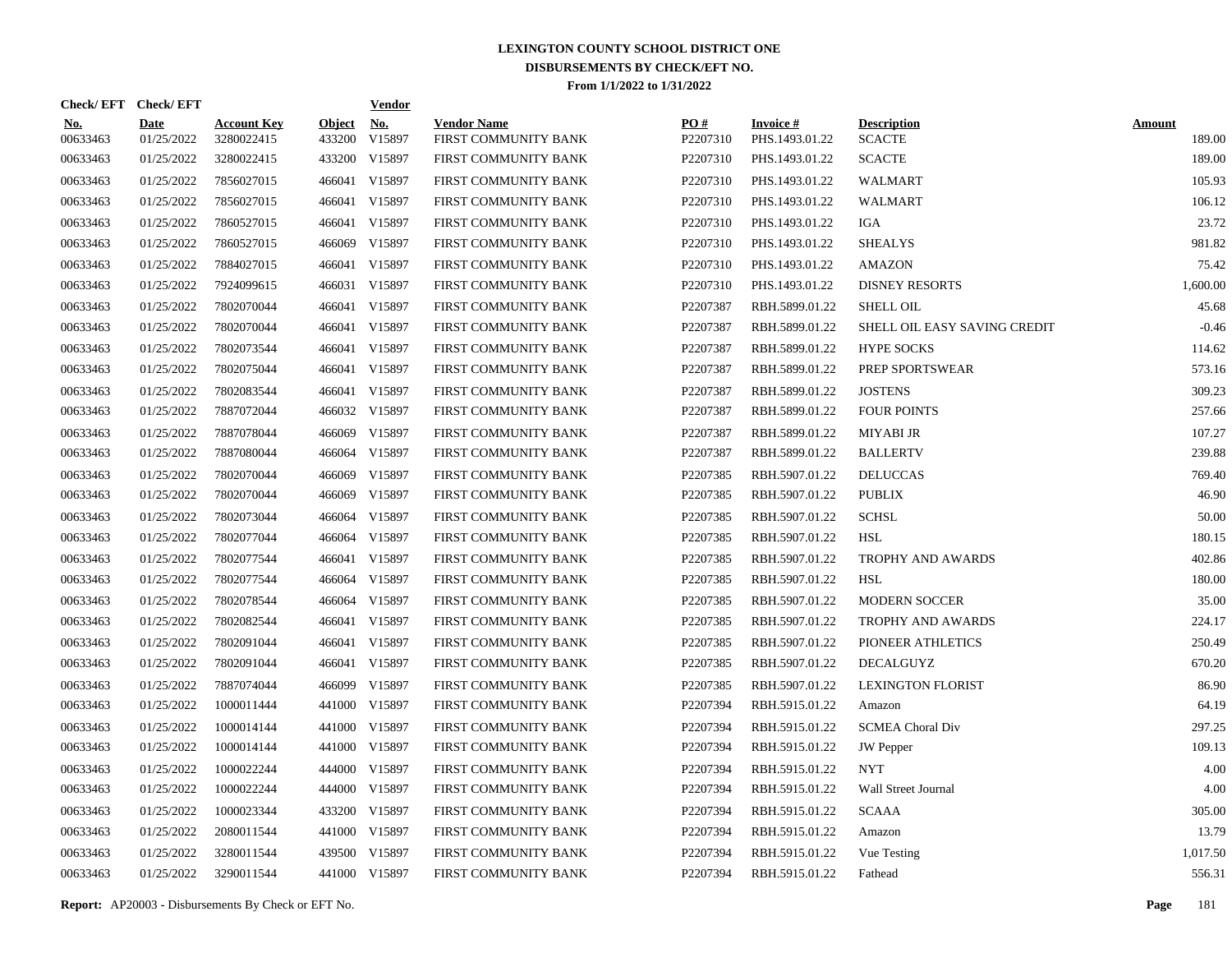| Check/EFT Check/EFT    |                           |                                  |                         | <b>Vendor</b>        |                                            |                 |                                   |                                     |                         |
|------------------------|---------------------------|----------------------------------|-------------------------|----------------------|--------------------------------------------|-----------------|-----------------------------------|-------------------------------------|-------------------------|
| <u>No.</u><br>00633463 | <b>Date</b><br>01/25/2022 | <b>Account Key</b><br>3280022415 | <b>Object</b><br>433200 | <b>No.</b><br>V15897 | <b>Vendor Name</b><br>FIRST COMMUNITY BANK | PO#<br>P2207310 | <b>Invoice#</b><br>PHS.1493.01.22 | <b>Description</b><br><b>SCACTE</b> | <b>Amount</b><br>189.00 |
| 00633463               | 01/25/2022                | 3280022415                       | 433200                  | V15897               | FIRST COMMUNITY BANK                       | P2207310        | PHS.1493.01.22                    | <b>SCACTE</b>                       | 189.00                  |
| 00633463               | 01/25/2022                | 7856027015                       | 466041                  | V15897               | FIRST COMMUNITY BANK                       | P2207310        | PHS.1493.01.22                    | <b>WALMART</b>                      | 105.93                  |
| 00633463               | 01/25/2022                | 7856027015                       | 466041                  | V15897               | FIRST COMMUNITY BANK                       | P2207310        | PHS.1493.01.22                    | <b>WALMART</b>                      | 106.12                  |
| 00633463               | 01/25/2022                | 7860527015                       | 466041                  | V15897               | FIRST COMMUNITY BANK                       | P2207310        | PHS.1493.01.22                    | IGA                                 | 23.72                   |
| 00633463               | 01/25/2022                | 7860527015                       | 466069                  | V15897               | FIRST COMMUNITY BANK                       | P2207310        | PHS.1493.01.22                    | <b>SHEALYS</b>                      | 981.82                  |
| 00633463               | 01/25/2022                | 7884027015                       |                         | 466041 V15897        | FIRST COMMUNITY BANK                       | P2207310        | PHS.1493.01.22                    | <b>AMAZON</b>                       | 75.42                   |
| 00633463               | 01/25/2022                | 7924099615                       | 466031                  | V15897               | FIRST COMMUNITY BANK                       | P2207310        | PHS.1493.01.22                    | <b>DISNEY RESORTS</b>               | 1,600.00                |
| 00633463               | 01/25/2022                | 7802070044                       |                         | 466041 V15897        | FIRST COMMUNITY BANK                       | P2207387        | RBH.5899.01.22                    | <b>SHELL OIL</b>                    | 45.68                   |
| 00633463               | 01/25/2022                | 7802070044                       | 466041                  | V15897               | FIRST COMMUNITY BANK                       | P2207387        | RBH.5899.01.22                    | SHELL OIL EASY SAVING CREDIT        | $-0.46$                 |
| 00633463               | 01/25/2022                | 7802073544                       |                         | 466041 V15897        | FIRST COMMUNITY BANK                       | P2207387        | RBH.5899.01.22                    | <b>HYPE SOCKS</b>                   | 114.62                  |
| 00633463               | 01/25/2022                | 7802075044                       |                         | 466041 V15897        | FIRST COMMUNITY BANK                       | P2207387        | RBH.5899.01.22                    | PREP SPORTSWEAR                     | 573.16                  |
| 00633463               | 01/25/2022                | 7802083544                       |                         | 466041 V15897        | FIRST COMMUNITY BANK                       | P2207387        | RBH.5899.01.22                    | <b>JOSTENS</b>                      | 309.23                  |
| 00633463               | 01/25/2022                | 7887072044                       |                         | 466032 V15897        | FIRST COMMUNITY BANK                       | P2207387        | RBH.5899.01.22                    | <b>FOUR POINTS</b>                  | 257.66                  |
| 00633463               | 01/25/2022                | 7887078044                       | 466069                  | V15897               | FIRST COMMUNITY BANK                       | P2207387        | RBH.5899.01.22                    | <b>MIYABI JR</b>                    | 107.27                  |
| 00633463               | 01/25/2022                | 7887080044                       |                         | 466064 V15897        | FIRST COMMUNITY BANK                       | P2207387        | RBH.5899.01.22                    | <b>BALLERTV</b>                     | 239.88                  |
| 00633463               | 01/25/2022                | 7802070044                       | 466069                  | V15897               | FIRST COMMUNITY BANK                       | P2207385        | RBH.5907.01.22                    | <b>DELUCCAS</b>                     | 769.40                  |
| 00633463               | 01/25/2022                | 7802070044                       | 466069                  | V15897               | <b>FIRST COMMUNITY BANK</b>                | P2207385        | RBH.5907.01.22                    | <b>PUBLIX</b>                       | 46.90                   |
| 00633463               | 01/25/2022                | 7802073044                       | 466064                  | V15897               | FIRST COMMUNITY BANK                       | P2207385        | RBH.5907.01.22                    | <b>SCHSL</b>                        | 50.00                   |
| 00633463               | 01/25/2022                | 7802077044                       |                         | 466064 V15897        | FIRST COMMUNITY BANK                       | P2207385        | RBH.5907.01.22                    | <b>HSL</b>                          | 180.15                  |
| 00633463               | 01/25/2022                | 7802077544                       | 466041                  | V15897               | FIRST COMMUNITY BANK                       | P2207385        | RBH.5907.01.22                    | <b>TROPHY AND AWARDS</b>            | 402.86                  |
| 00633463               | 01/25/2022                | 7802077544                       |                         | 466064 V15897        | FIRST COMMUNITY BANK                       | P2207385        | RBH.5907.01.22                    | HSL                                 | 180.00                  |
| 00633463               | 01/25/2022                | 7802078544                       |                         | 466064 V15897        | FIRST COMMUNITY BANK                       | P2207385        | RBH.5907.01.22                    | <b>MODERN SOCCER</b>                | 35.00                   |
| 00633463               | 01/25/2022                | 7802082544                       |                         | 466041 V15897        | FIRST COMMUNITY BANK                       | P2207385        | RBH.5907.01.22                    | <b>TROPHY AND AWARDS</b>            | 224.17                  |
| 00633463               | 01/25/2022                | 7802091044                       |                         | 466041 V15897        | FIRST COMMUNITY BANK                       | P2207385        | RBH.5907.01.22                    | PIONEER ATHLETICS                   | 250.49                  |
| 00633463               | 01/25/2022                | 7802091044                       |                         | 466041 V15897        | FIRST COMMUNITY BANK                       | P2207385        | RBH.5907.01.22                    | DECALGUYZ                           | 670.20                  |
| 00633463               | 01/25/2022                | 7887074044                       | 466099                  | V15897               | FIRST COMMUNITY BANK                       | P2207385        | RBH.5907.01.22                    | <b>LEXINGTON FLORIST</b>            | 86.90                   |
| 00633463               | 01/25/2022                | 1000011444                       | 441000                  | V15897               | FIRST COMMUNITY BANK                       | P2207394        | RBH.5915.01.22                    | Amazon                              | 64.19                   |
| 00633463               | 01/25/2022                | 1000014144                       | 441000                  | V15897               | FIRST COMMUNITY BANK                       | P2207394        | RBH.5915.01.22                    | <b>SCMEA Choral Div</b>             | 297.25                  |
| 00633463               | 01/25/2022                | 1000014144                       | 441000                  | V15897               | FIRST COMMUNITY BANK                       | P2207394        | RBH.5915.01.22                    | <b>JW</b> Pepper                    | 109.13                  |
| 00633463               | 01/25/2022                | 1000022244                       | 444000                  | V15897               | FIRST COMMUNITY BANK                       | P2207394        | RBH.5915.01.22                    | <b>NYT</b>                          | 4.00                    |
| 00633463               | 01/25/2022                | 1000022244                       | 444000                  | V15897               | FIRST COMMUNITY BANK                       | P2207394        | RBH.5915.01.22                    | Wall Street Journal                 | 4.00                    |
| 00633463               | 01/25/2022                | 1000023344                       | 433200                  | V15897               | FIRST COMMUNITY BANK                       | P2207394        | RBH.5915.01.22                    | <b>SCAAA</b>                        | 305.00                  |
| 00633463               | 01/25/2022                | 2080011544                       | 441000                  | V15897               | FIRST COMMUNITY BANK                       | P2207394        | RBH.5915.01.22                    | Amazon                              | 13.79                   |
| 00633463               | 01/25/2022                | 3280011544                       | 439500                  | V15897               | FIRST COMMUNITY BANK                       | P2207394        | RBH.5915.01.22                    | Vue Testing                         | 1,017.50                |
| 00633463               | 01/25/2022                | 3290011544                       |                         | 441000 V15897        | FIRST COMMUNITY BANK                       | P2207394        | RBH.5915.01.22                    | Fathead                             | 556.31                  |

**Report:** AP20003 - Disbursements By Check or EFT No. **Page** 181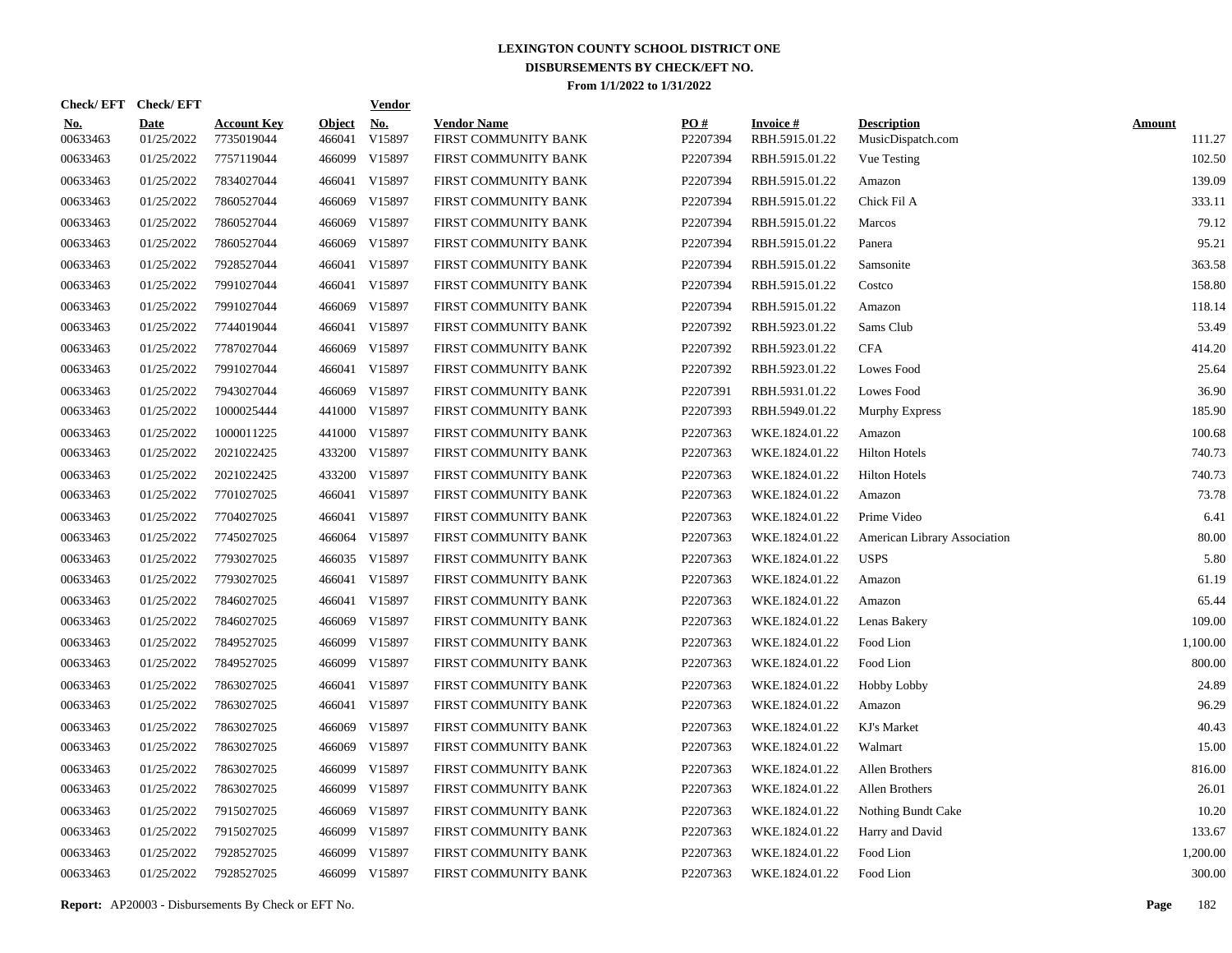| Check/ EFT             | <b>Check/EFT</b>          |                                  |                         | <b>Vendor</b>        |                                            |                 |                                   |                                         |                         |
|------------------------|---------------------------|----------------------------------|-------------------------|----------------------|--------------------------------------------|-----------------|-----------------------------------|-----------------------------------------|-------------------------|
| <u>No.</u><br>00633463 | <b>Date</b><br>01/25/2022 | <b>Account Key</b><br>7735019044 | <b>Object</b><br>466041 | <u>No.</u><br>V15897 | <b>Vendor Name</b><br>FIRST COMMUNITY BANK | PO#<br>P2207394 | <b>Invoice#</b><br>RBH.5915.01.22 | <b>Description</b><br>MusicDispatch.com | <b>Amount</b><br>111.27 |
| 00633463               | 01/25/2022                | 7757119044                       | 466099                  | V15897               | FIRST COMMUNITY BANK                       | P2207394        | RBH.5915.01.22                    | Vue Testing                             | 102.50                  |
| 00633463               | 01/25/2022                | 7834027044                       | 466041                  | V15897               | FIRST COMMUNITY BANK                       | P2207394        | RBH.5915.01.22                    | Amazon                                  | 139.09                  |
| 00633463               | 01/25/2022                | 7860527044                       | 466069                  | V15897               | FIRST COMMUNITY BANK                       | P2207394        | RBH.5915.01.22                    | Chick Fil A                             | 333.11                  |
| 00633463               | 01/25/2022                | 7860527044                       | 466069                  | V15897               | FIRST COMMUNITY BANK                       | P2207394        | RBH.5915.01.22                    | <b>Marcos</b>                           | 79.12                   |
| 00633463               | 01/25/2022                | 7860527044                       | 466069                  | V15897               | FIRST COMMUNITY BANK                       | P2207394        | RBH.5915.01.22                    | Panera                                  | 95.21                   |
| 00633463               | 01/25/2022                | 7928527044                       | 466041                  | V15897               | FIRST COMMUNITY BANK                       | P2207394        | RBH.5915.01.22                    | Samsonite                               | 363.58                  |
| 00633463               | 01/25/2022                | 7991027044                       | 466041                  | V15897               | FIRST COMMUNITY BANK                       | P2207394        | RBH.5915.01.22                    | Costco                                  | 158.80                  |
| 00633463               | 01/25/2022                | 7991027044                       | 466069                  | V15897               | FIRST COMMUNITY BANK                       | P2207394        | RBH.5915.01.22                    | Amazon                                  | 118.14                  |
| 00633463               | 01/25/2022                | 7744019044                       | 466041                  | V15897               | FIRST COMMUNITY BANK                       | P2207392        | RBH.5923.01.22                    | Sams Club                               | 53.49                   |
| 00633463               | 01/25/2022                | 7787027044                       | 466069                  | V15897               | FIRST COMMUNITY BANK                       | P2207392        | RBH.5923.01.22                    | <b>CFA</b>                              | 414.20                  |
| 00633463               | 01/25/2022                | 7991027044                       | 466041                  | V15897               | FIRST COMMUNITY BANK                       | P2207392        | RBH.5923.01.22                    | Lowes Food                              | 25.64                   |
| 00633463               | 01/25/2022                | 7943027044                       | 466069                  | V15897               | FIRST COMMUNITY BANK                       | P2207391        | RBH.5931.01.22                    | Lowes Food                              | 36.90                   |
| 00633463               | 01/25/2022                | 1000025444                       | 441000                  | V15897               | FIRST COMMUNITY BANK                       | P2207393        | RBH.5949.01.22                    | Murphy Express                          | 185.90                  |
| 00633463               | 01/25/2022                | 1000011225                       | 441000                  | V15897               | FIRST COMMUNITY BANK                       | P2207363        | WKE.1824.01.22                    | Amazon                                  | 100.68                  |
| 00633463               | 01/25/2022                | 2021022425                       | 433200                  | V15897               | FIRST COMMUNITY BANK                       | P2207363        | WKE.1824.01.22                    | <b>Hilton Hotels</b>                    | 740.73                  |
| 00633463               | 01/25/2022                | 2021022425                       | 433200                  | V15897               | FIRST COMMUNITY BANK                       | P2207363        | WKE.1824.01.22                    | <b>Hilton Hotels</b>                    | 740.73                  |
| 00633463               | 01/25/2022                | 7701027025                       |                         | 466041 V15897        | FIRST COMMUNITY BANK                       | P2207363        | WKE.1824.01.22                    | Amazon                                  | 73.78                   |
| 00633463               | 01/25/2022                | 7704027025                       |                         | 466041 V15897        | FIRST COMMUNITY BANK                       | P2207363        | WKE.1824.01.22                    | Prime Video                             | 6.41                    |
| 00633463               | 01/25/2022                | 7745027025                       | 466064                  | V15897               | FIRST COMMUNITY BANK                       | P2207363        | WKE.1824.01.22                    | American Library Association            | 80.00                   |
| 00633463               | 01/25/2022                | 7793027025                       |                         | 466035 V15897        | FIRST COMMUNITY BANK                       | P2207363        | WKE.1824.01.22                    | <b>USPS</b>                             | 5.80                    |
| 00633463               | 01/25/2022                | 7793027025                       |                         | 466041 V15897        | FIRST COMMUNITY BANK                       | P2207363        | WKE.1824.01.22                    | Amazon                                  | 61.19                   |
| 00633463               | 01/25/2022                | 7846027025                       | 466041                  | V15897               | FIRST COMMUNITY BANK                       | P2207363        | WKE.1824.01.22                    | Amazon                                  | 65.44                   |
| 00633463               | 01/25/2022                | 7846027025                       | 466069                  | V15897               | FIRST COMMUNITY BANK                       | P2207363        | WKE.1824.01.22                    | Lenas Bakery                            | 109.00                  |
| 00633463               | 01/25/2022                | 7849527025                       | 466099                  | V15897               | FIRST COMMUNITY BANK                       | P2207363        | WKE.1824.01.22                    | Food Lion                               | 1,100.00                |
| 00633463               | 01/25/2022                | 7849527025                       | 466099                  | V15897               | FIRST COMMUNITY BANK                       | P2207363        | WKE.1824.01.22                    | Food Lion                               | 800.00                  |
| 00633463               | 01/25/2022                | 7863027025                       | 466041                  | V15897               | FIRST COMMUNITY BANK                       | P2207363        | WKE.1824.01.22                    | Hobby Lobby                             | 24.89                   |
| 00633463               | 01/25/2022                | 7863027025                       |                         | 466041 V15897        | FIRST COMMUNITY BANK                       | P2207363        | WKE.1824.01.22                    | Amazon                                  | 96.29                   |
| 00633463               | 01/25/2022                | 7863027025                       | 466069                  | V15897               | FIRST COMMUNITY BANK                       | P2207363        | WKE.1824.01.22                    | KJ's Market                             | 40.43                   |
| 00633463               | 01/25/2022                | 7863027025                       | 466069                  | V15897               | FIRST COMMUNITY BANK                       | P2207363        | WKE.1824.01.22                    | Walmart                                 | 15.00                   |
| 00633463               | 01/25/2022                | 7863027025                       | 466099                  | V15897               | FIRST COMMUNITY BANK                       | P2207363        | WKE.1824.01.22                    | Allen Brothers                          | 816.00                  |
| 00633463               | 01/25/2022                | 7863027025                       | 466099                  | V15897               | FIRST COMMUNITY BANK                       | P2207363        | WKE.1824.01.22                    | Allen Brothers                          | 26.01                   |
| 00633463               | 01/25/2022                | 7915027025                       | 466069                  | V15897               | FIRST COMMUNITY BANK                       | P2207363        | WKE.1824.01.22                    | Nothing Bundt Cake                      | 10.20                   |
| 00633463               | 01/25/2022                | 7915027025                       | 466099                  | V15897               | FIRST COMMUNITY BANK                       | P2207363        | WKE.1824.01.22                    | Harry and David                         | 133.67                  |
| 00633463               | 01/25/2022                | 7928527025                       | 466099                  | V15897               | FIRST COMMUNITY BANK                       | P2207363        | WKE.1824.01.22                    | Food Lion                               | 1,200.00                |
| 00633463               | 01/25/2022                | 7928527025                       |                         | 466099 V15897        | FIRST COMMUNITY BANK                       | P2207363        | WKE.1824.01.22                    | Food Lion                               | 300.00                  |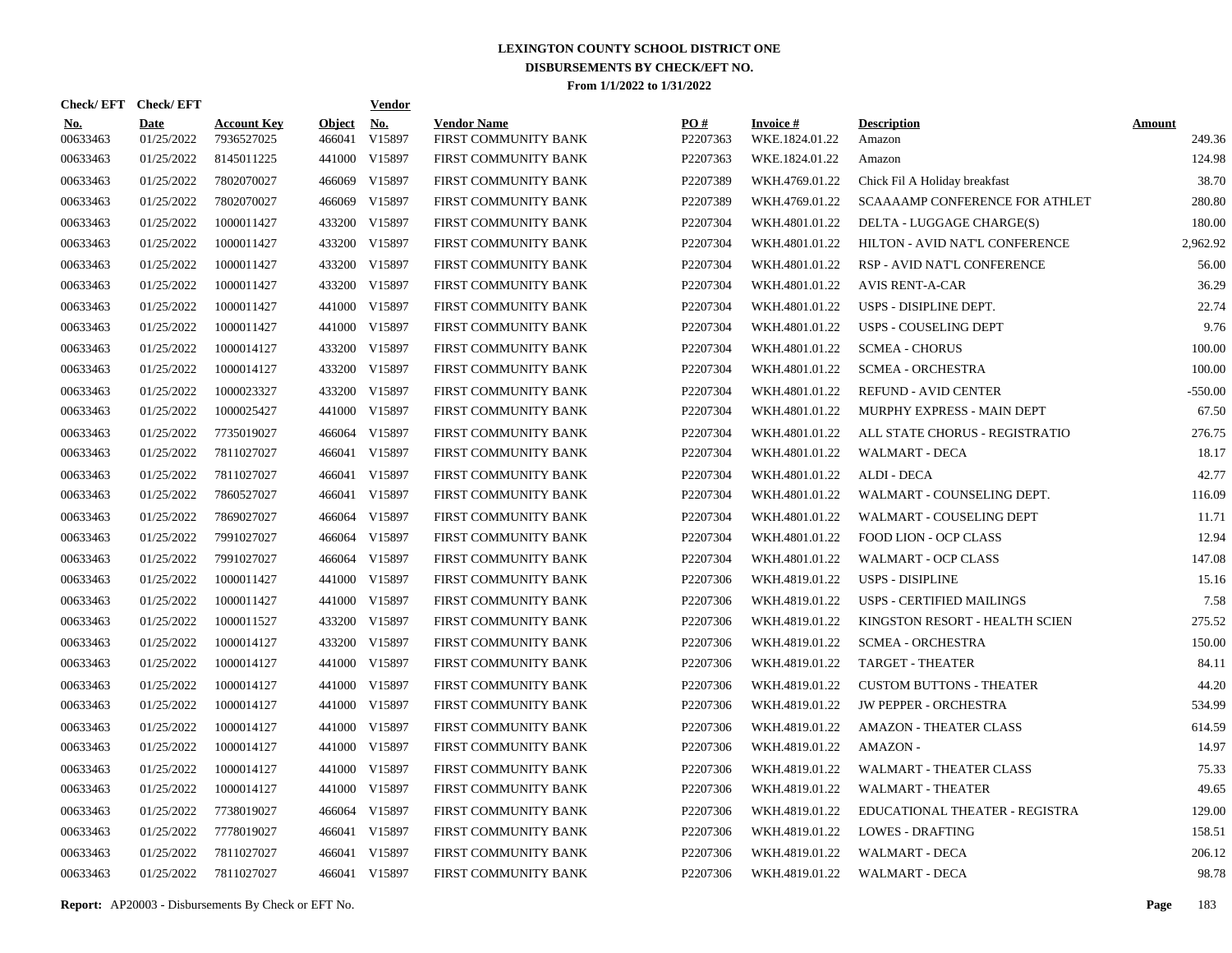| Check/ EFT             | <b>Check/EFT</b>          |                                  |                         | <b>Vendor</b>        |                                            |                      |                                   |                                       |                         |
|------------------------|---------------------------|----------------------------------|-------------------------|----------------------|--------------------------------------------|----------------------|-----------------------------------|---------------------------------------|-------------------------|
| <b>No.</b><br>00633463 | <b>Date</b><br>01/25/2022 | <b>Account Key</b><br>7936527025 | <b>Object</b><br>466041 | <b>No.</b><br>V15897 | <b>Vendor Name</b><br>FIRST COMMUNITY BANK | PO#<br>P2207363      | <b>Invoice#</b><br>WKE.1824.01.22 | <b>Description</b><br>Amazon          | <b>Amount</b><br>249.36 |
| 00633463               | 01/25/2022                | 8145011225                       | 441000                  | V15897               | FIRST COMMUNITY BANK                       | P2207363             | WKE.1824.01.22                    | Amazon                                | 124.98                  |
| 00633463               | 01/25/2022                | 7802070027                       | 466069                  | V15897               | FIRST COMMUNITY BANK                       | P2207389             | WKH.4769.01.22                    | Chick Fil A Holiday breakfast         | 38.70                   |
| 00633463               | 01/25/2022                | 7802070027                       | 466069                  | V15897               | FIRST COMMUNITY BANK                       | P2207389             | WKH.4769.01.22                    | <b>SCAAAAMP CONFERENCE FOR ATHLET</b> | 280.80                  |
| 00633463               | 01/25/2022                | 1000011427                       | 433200                  | V15897               | FIRST COMMUNITY BANK                       | P2207304             | WKH.4801.01.22                    | DELTA - LUGGAGE CHARGE(S)             | 180.00                  |
| 00633463               | 01/25/2022                | 1000011427                       | 433200                  | V15897               | FIRST COMMUNITY BANK                       | P2207304             | WKH.4801.01.22                    | HILTON - AVID NAT'L CONFERENCE        | 2,962.92                |
| 00633463               | 01/25/2022                | 1000011427                       | 433200                  | V15897               | FIRST COMMUNITY BANK                       | P2207304             | WKH.4801.01.22                    | RSP - AVID NAT'L CONFERENCE           | 56.00                   |
| 00633463               | 01/25/2022                | 1000011427                       | 433200                  | V15897               | FIRST COMMUNITY BANK                       | P2207304             | WKH.4801.01.22                    | <b>AVIS RENT-A-CAR</b>                | 36.29                   |
| 00633463               | 01/25/2022                | 1000011427                       | 441000                  | V15897               | FIRST COMMUNITY BANK                       | P2207304             | WKH.4801.01.22                    | USPS - DISIPLINE DEPT.                | 22.74                   |
| 00633463               | 01/25/2022                | 1000011427                       | 441000                  | V15897               | FIRST COMMUNITY BANK                       | P2207304             | WKH.4801.01.22                    | <b>USPS - COUSELING DEPT</b>          | 9.76                    |
| 00633463               | 01/25/2022                | 1000014127                       | 433200                  | V15897               | FIRST COMMUNITY BANK                       | P2207304             | WKH.4801.01.22                    | <b>SCMEA - CHORUS</b>                 | 100.00                  |
| 00633463               | 01/25/2022                | 1000014127                       | 433200                  | V15897               | FIRST COMMUNITY BANK                       | P2207304             | WKH.4801.01.22                    | <b>SCMEA - ORCHESTRA</b>              | 100.00                  |
| 00633463               | 01/25/2022                | 1000023327                       | 433200                  | V15897               | FIRST COMMUNITY BANK                       | P2207304             | WKH.4801.01.22                    | <b>REFUND - AVID CENTER</b>           | $-550.00$               |
| 00633463               | 01/25/2022                | 1000025427                       | 441000                  | V15897               | FIRST COMMUNITY BANK                       | P2207304             | WKH.4801.01.22                    | MURPHY EXPRESS - MAIN DEPT            | 67.50                   |
| 00633463               | 01/25/2022                | 7735019027                       | 466064                  | V15897               | FIRST COMMUNITY BANK                       | P2207304             | WKH.4801.01.22                    | ALL STATE CHORUS - REGISTRATIO        | 276.75                  |
| 00633463               | 01/25/2022                | 7811027027                       | 466041                  | V15897               | FIRST COMMUNITY BANK                       | P2207304             | WKH.4801.01.22                    | <b>WALMART - DECA</b>                 | 18.17                   |
| 00633463               | 01/25/2022                | 7811027027                       | 466041                  | V15897               | FIRST COMMUNITY BANK                       | P2207304             | WKH.4801.01.22                    | ALDI - DECA                           | 42.77                   |
| 00633463               | 01/25/2022                | 7860527027                       | 466041                  | V15897               | FIRST COMMUNITY BANK                       | P2207304             | WKH.4801.01.22                    | WALMART - COUNSELING DEPT.            | 116.09                  |
| 00633463               | 01/25/2022                | 7869027027                       | 466064                  | V15897               | FIRST COMMUNITY BANK                       | P2207304             | WKH.4801.01.22                    | WALMART - COUSELING DEPT              | 11.71                   |
| 00633463               | 01/25/2022                | 7991027027                       | 466064                  | V15897               | FIRST COMMUNITY BANK                       | P2207304             | WKH.4801.01.22                    | <b>FOOD LION - OCP CLASS</b>          | 12.94                   |
| 00633463               | 01/25/2022                | 7991027027                       | 466064                  | V15897               | FIRST COMMUNITY BANK                       | P2207304             | WKH.4801.01.22                    | <b>WALMART - OCP CLASS</b>            | 147.08                  |
| 00633463               | 01/25/2022                | 1000011427                       | 441000                  | V15897               | FIRST COMMUNITY BANK                       | P2207306             | WKH.4819.01.22                    | <b>USPS - DISIPLINE</b>               | 15.16                   |
| 00633463               | 01/25/2022                | 1000011427                       | 441000                  | V15897               | FIRST COMMUNITY BANK                       | P2207306             | WKH.4819.01.22                    | <b>USPS - CERTIFIED MAILINGS</b>      | 7.58                    |
| 00633463               | 01/25/2022                | 1000011527                       | 433200                  | V15897               | FIRST COMMUNITY BANK                       | P2207306             | WKH.4819.01.22                    | KINGSTON RESORT - HEALTH SCIEN        | 275.52                  |
| 00633463               | 01/25/2022                | 1000014127                       | 433200                  | V15897               | FIRST COMMUNITY BANK                       | P2207306             | WKH.4819.01.22                    | <b>SCMEA - ORCHESTRA</b>              | 150.00                  |
| 00633463               | 01/25/2022                | 1000014127                       | 441000                  | V15897               | FIRST COMMUNITY BANK                       | P2207306             | WKH.4819.01.22                    | <b>TARGET - THEATER</b>               | 84.11                   |
| 00633463               | 01/25/2022                | 1000014127                       | 441000                  | V15897               | FIRST COMMUNITY BANK                       | P2207306             | WKH.4819.01.22                    | <b>CUSTOM BUTTONS - THEATER</b>       | 44.20                   |
| 00633463               | 01/25/2022                | 1000014127                       | 441000                  | V15897               | FIRST COMMUNITY BANK                       | P2207306             | WKH.4819.01.22                    | <b>JW PEPPER - ORCHESTRA</b>          | 534.99                  |
| 00633463               | 01/25/2022                | 1000014127                       | 441000                  | V15897               | FIRST COMMUNITY BANK                       | P2207306             | WKH.4819.01.22                    | <b>AMAZON - THEATER CLASS</b>         | 614.59                  |
| 00633463               | 01/25/2022                | 1000014127                       | 441000                  | V15897               | FIRST COMMUNITY BANK                       | P2207306             | WKH.4819.01.22                    | AMAZON -                              | 14.97                   |
| 00633463               | 01/25/2022                | 1000014127                       | 441000                  | V15897               | FIRST COMMUNITY BANK                       | P2207306             | WKH.4819.01.22                    | WALMART - THEATER CLASS               | 75.33                   |
| 00633463               | 01/25/2022                | 1000014127                       | 441000                  | V15897               | FIRST COMMUNITY BANK                       | P2207306             | WKH.4819.01.22                    | <b>WALMART - THEATER</b>              | 49.65                   |
| 00633463               | 01/25/2022                | 7738019027                       | 466064                  | V15897               | FIRST COMMUNITY BANK                       | P2207306             | WKH.4819.01.22                    | EDUCATIONAL THEATER - REGISTRA        | 129.00                  |
| 00633463               | 01/25/2022                | 7778019027                       |                         | 466041 V15897        | FIRST COMMUNITY BANK                       | P2207306             | WKH.4819.01.22                    | <b>LOWES - DRAFTING</b>               | 158.51                  |
| 00633463               | 01/25/2022                | 7811027027                       | 466041                  | V15897               | FIRST COMMUNITY BANK                       | P <sub>2207306</sub> | WKH.4819.01.22                    | <b>WALMART - DECA</b>                 | 206.12                  |
| 00633463               | 01/25/2022                | 7811027027                       |                         | 466041 V15897        | FIRST COMMUNITY BANK                       | P2207306             | WKH.4819.01.22                    | <b>WALMART - DECA</b>                 | 98.78                   |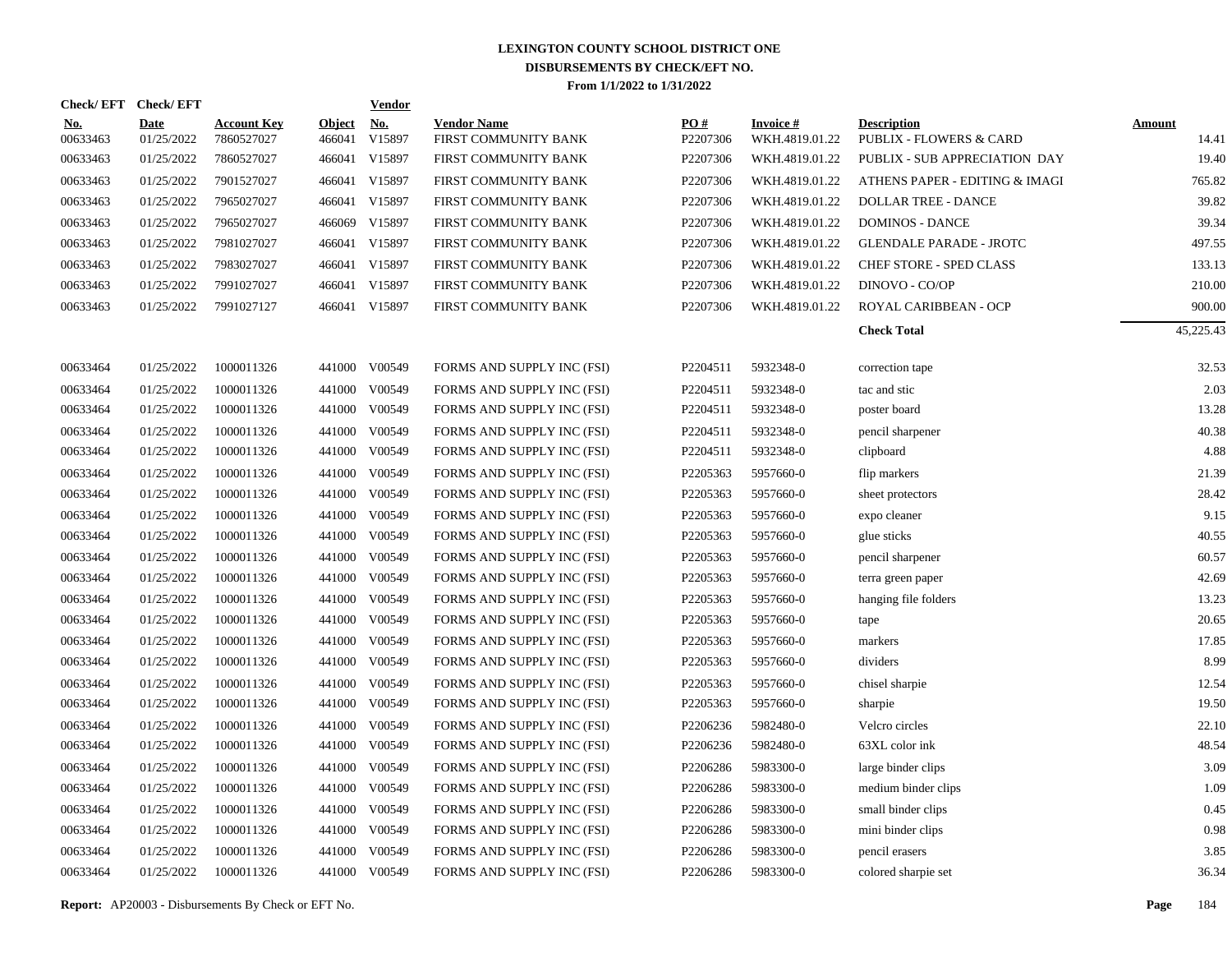| Check/EFT Check/EFT    |                           |                                  |                         | <b>Vendor</b>        |                                            |                 |                                   |                                                          |                        |
|------------------------|---------------------------|----------------------------------|-------------------------|----------------------|--------------------------------------------|-----------------|-----------------------------------|----------------------------------------------------------|------------------------|
| <u>No.</u><br>00633463 | <b>Date</b><br>01/25/2022 | <b>Account Key</b><br>7860527027 | <b>Object</b><br>466041 | <u>No.</u><br>V15897 | <b>Vendor Name</b><br>FIRST COMMUNITY BANK | PO#<br>P2207306 | <b>Invoice#</b><br>WKH.4819.01.22 | <b>Description</b><br><b>PUBLIX - FLOWERS &amp; CARD</b> | <b>Amount</b><br>14.41 |
| 00633463               | 01/25/2022                | 7860527027                       | 466041                  | V15897               | FIRST COMMUNITY BANK                       | P2207306        | WKH.4819.01.22                    | PUBLIX - SUB APPRECIATION DAY                            | 19.40                  |
| 00633463               | 01/25/2022                | 7901527027                       | 466041                  | V15897               | FIRST COMMUNITY BANK                       | P2207306        | WKH.4819.01.22                    | ATHENS PAPER - EDITING & IMAGI                           | 765.82                 |
| 00633463               | 01/25/2022                | 7965027027                       | 466041                  | V15897               | FIRST COMMUNITY BANK                       | P2207306        | WKH.4819.01.22                    | <b>DOLLAR TREE - DANCE</b>                               | 39.82                  |
| 00633463               | 01/25/2022                | 7965027027                       | 466069                  | V15897               | FIRST COMMUNITY BANK                       | P2207306        | WKH.4819.01.22                    | <b>DOMINOS - DANCE</b>                                   | 39.34                  |
| 00633463               | 01/25/2022                | 7981027027                       | 466041                  | V15897               | FIRST COMMUNITY BANK                       | P2207306        | WKH.4819.01.22                    | <b>GLENDALE PARADE - JROTC</b>                           | 497.55                 |
| 00633463               | 01/25/2022                | 7983027027                       |                         | 466041 V15897        | FIRST COMMUNITY BANK                       | P2207306        | WKH.4819.01.22                    | CHEF STORE - SPED CLASS                                  | 133.13                 |
| 00633463               | 01/25/2022                | 7991027027                       | 466041                  | V15897               | FIRST COMMUNITY BANK                       | P2207306        | WKH.4819.01.22                    | DINOVO - CO/OP                                           | 210.00                 |
| 00633463               | 01/25/2022                | 7991027127                       |                         | 466041 V15897        | FIRST COMMUNITY BANK                       | P2207306        | WKH.4819.01.22                    | ROYAL CARIBBEAN - OCP                                    | 900.00                 |
|                        |                           |                                  |                         |                      |                                            |                 |                                   | <b>Check Total</b>                                       | 45,225.43              |
| 00633464               | 01/25/2022                | 1000011326                       |                         | 441000 V00549        | FORMS AND SUPPLY INC (FSI)                 | P2204511        | 5932348-0                         | correction tape                                          | 32.53                  |
| 00633464               | 01/25/2022                | 1000011326                       | 441000                  | V00549               | FORMS AND SUPPLY INC (FSI)                 | P2204511        | 5932348-0                         | tac and stic                                             | 2.03                   |
| 00633464               | 01/25/2022                | 1000011326                       |                         | 441000 V00549        | FORMS AND SUPPLY INC (FSI)                 | P2204511        | 5932348-0                         | poster board                                             | 13.28                  |
| 00633464               | 01/25/2022                | 1000011326                       | 441000                  | V00549               | FORMS AND SUPPLY INC (FSI)                 | P2204511        | 5932348-0                         | pencil sharpener                                         | 40.38                  |
| 00633464               | 01/25/2022                | 1000011326                       | 441000                  | V00549               | FORMS AND SUPPLY INC (FSI)                 | P2204511        | 5932348-0                         | clipboard                                                | 4.88                   |
| 00633464               | 01/25/2022                | 1000011326                       | 441000                  | V00549               | FORMS AND SUPPLY INC (FSI)                 | P2205363        | 5957660-0                         | flip markers                                             | 21.39                  |
| 00633464               | 01/25/2022                | 1000011326                       | 441000                  | V00549               | FORMS AND SUPPLY INC (FSI)                 | P2205363        | 5957660-0                         | sheet protectors                                         | 28.42                  |
| 00633464               | 01/25/2022                | 1000011326                       | 441000                  | V00549               | FORMS AND SUPPLY INC (FSI)                 | P2205363        | 5957660-0                         | expo cleaner                                             | 9.15                   |
| 00633464               | 01/25/2022                | 1000011326                       | 441000                  | V00549               | FORMS AND SUPPLY INC (FSI)                 | P2205363        | 5957660-0                         | glue sticks                                              | 40.55                  |
| 00633464               | 01/25/2022                | 1000011326                       | 441000                  | V00549               | FORMS AND SUPPLY INC (FSI)                 | P2205363        | 5957660-0                         | pencil sharpener                                         | 60.57                  |
| 00633464               | 01/25/2022                | 1000011326                       | 441000                  | V00549               | FORMS AND SUPPLY INC (FSI)                 | P2205363        | 5957660-0                         | terra green paper                                        | 42.69                  |
| 00633464               | 01/25/2022                | 1000011326                       | 441000                  | V00549               | FORMS AND SUPPLY INC (FSI)                 | P2205363        | 5957660-0                         | hanging file folders                                     | 13.23                  |
| 00633464               | 01/25/2022                | 1000011326                       | 441000                  | V00549               | FORMS AND SUPPLY INC (FSI)                 | P2205363        | 5957660-0                         | tape                                                     | 20.65                  |
| 00633464               | 01/25/2022                | 1000011326                       | 441000                  | V00549               | FORMS AND SUPPLY INC (FSI)                 | P2205363        | 5957660-0                         | markers                                                  | 17.85                  |
| 00633464               | 01/25/2022                | 1000011326                       | 441000                  | V00549               | FORMS AND SUPPLY INC (FSI)                 | P2205363        | 5957660-0                         | dividers                                                 | 8.99                   |
| 00633464               | 01/25/2022                | 1000011326                       | 441000                  | V00549               | FORMS AND SUPPLY INC (FSI)                 | P2205363        | 5957660-0                         | chisel sharpie                                           | 12.54                  |
| 00633464               | 01/25/2022                | 1000011326                       | 441000                  | V00549               | FORMS AND SUPPLY INC (FSI)                 | P2205363        | 5957660-0                         | sharpie                                                  | 19.50                  |
| 00633464               | 01/25/2022                | 1000011326                       | 441000                  | V00549               | FORMS AND SUPPLY INC (FSI)                 | P2206236        | 5982480-0                         | Velcro circles                                           | 22.10                  |
| 00633464               | 01/25/2022                | 1000011326                       | 441000                  | V00549               | FORMS AND SUPPLY INC (FSI)                 | P2206236        | 5982480-0                         | 63XL color ink                                           | 48.54                  |
| 00633464               | 01/25/2022                | 1000011326                       | 441000                  | V00549               | FORMS AND SUPPLY INC (FSI)                 | P2206286        | 5983300-0                         | large binder clips                                       | 3.09                   |
| 00633464               | 01/25/2022                | 1000011326                       | 441000                  | V00549               | FORMS AND SUPPLY INC (FSI)                 | P2206286        | 5983300-0                         | medium binder clips                                      | 1.09                   |
| 00633464               | 01/25/2022                | 1000011326                       | 441000                  | V00549               | FORMS AND SUPPLY INC (FSI)                 | P2206286        | 5983300-0                         | small binder clips                                       | 0.45                   |
| 00633464               | 01/25/2022                | 1000011326                       | 441000                  | V00549               | FORMS AND SUPPLY INC (FSI)                 | P2206286        | 5983300-0                         | mini binder clips                                        | 0.98                   |
| 00633464               | 01/25/2022                | 1000011326                       | 441000                  | V00549               | FORMS AND SUPPLY INC (FSI)                 | P2206286        | 5983300-0                         | pencil erasers                                           | 3.85                   |
| 00633464               | 01/25/2022                | 1000011326                       |                         | 441000 V00549        | FORMS AND SUPPLY INC (FSI)                 | P2206286        | 5983300-0                         | colored sharpie set                                      | 36.34                  |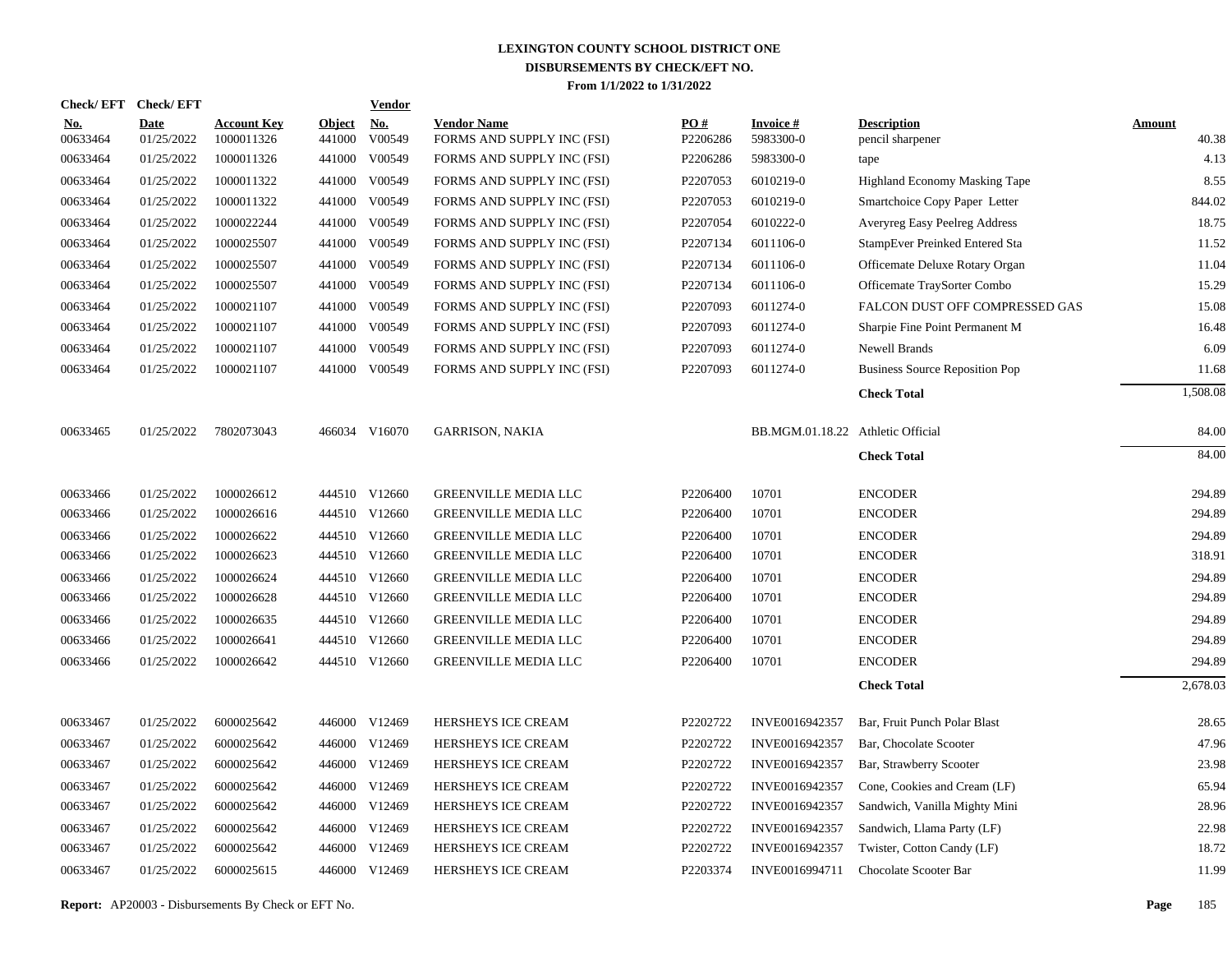|                        | Check/EFT Check/EFT       |                                  |                         | <u>Vendor</u>        |                                                  |                 |                                   |                                        |                        |
|------------------------|---------------------------|----------------------------------|-------------------------|----------------------|--------------------------------------------------|-----------------|-----------------------------------|----------------------------------------|------------------------|
| <b>No.</b><br>00633464 | <b>Date</b><br>01/25/2022 | <b>Account Key</b><br>1000011326 | <b>Object</b><br>441000 | <u>No.</u><br>V00549 | <b>Vendor Name</b><br>FORMS AND SUPPLY INC (FSI) | PQ#<br>P2206286 | <b>Invoice#</b><br>5983300-0      | <b>Description</b><br>pencil sharpener | <b>Amount</b><br>40.38 |
| 00633464               | 01/25/2022                | 1000011326                       | 441000                  | V00549               | FORMS AND SUPPLY INC (FSI)                       | P2206286        | 5983300-0                         | tape                                   | 4.13                   |
| 00633464               | 01/25/2022                | 1000011322                       | 441000                  | V00549               | FORMS AND SUPPLY INC (FSI)                       | P2207053        | 6010219-0                         | Highland Economy Masking Tape          | 8.55                   |
| 00633464               | 01/25/2022                | 1000011322                       | 441000                  | V00549               | FORMS AND SUPPLY INC (FSI)                       | P2207053        | 6010219-0                         | Smartchoice Copy Paper Letter          | 844.02                 |
| 00633464               | 01/25/2022                | 1000022244                       | 441000                  | V00549               | FORMS AND SUPPLY INC (FSI)                       | P2207054        | 6010222-0                         | Averyreg Easy Peelreg Address          | 18.75                  |
| 00633464               | 01/25/2022                | 1000025507                       | 441000                  | V00549               | FORMS AND SUPPLY INC (FSI)                       | P2207134        | 6011106-0                         | StampEver Preinked Entered Sta         | 11.52                  |
| 00633464               | 01/25/2022                | 1000025507                       | 441000                  | V00549               | FORMS AND SUPPLY INC (FSI)                       | P2207134        | 6011106-0                         | Officemate Deluxe Rotary Organ         | 11.04                  |
| 00633464               | 01/25/2022                | 1000025507                       | 441000                  | V00549               | FORMS AND SUPPLY INC (FSI)                       | P2207134        | 6011106-0                         | Officemate TraySorter Combo            | 15.29                  |
| 00633464               | 01/25/2022                | 1000021107                       | 441000                  | V00549               | FORMS AND SUPPLY INC (FSI)                       | P2207093        | 6011274-0                         | FALCON DUST OFF COMPRESSED GAS         | 15.08                  |
| 00633464               | 01/25/2022                | 1000021107                       | 441000                  | V00549               | FORMS AND SUPPLY INC (FSI)                       | P2207093        | 6011274-0                         | Sharpie Fine Point Permanent M         | 16.48                  |
| 00633464               | 01/25/2022                | 1000021107                       | 441000                  | V00549               | FORMS AND SUPPLY INC (FSI)                       | P2207093        | 6011274-0                         | <b>Newell Brands</b>                   | 6.09                   |
| 00633464               | 01/25/2022                | 1000021107                       |                         | 441000 V00549        | FORMS AND SUPPLY INC (FSI)                       | P2207093        | 6011274-0                         | <b>Business Source Reposition Pop</b>  | 11.68                  |
|                        |                           |                                  |                         |                      |                                                  |                 |                                   | <b>Check Total</b>                     | 1,508.08               |
| 00633465               | 01/25/2022                | 7802073043                       |                         | 466034 V16070        | <b>GARRISON, NAKIA</b>                           |                 | BB.MGM.01.18.22 Athletic Official |                                        | 84.00                  |
|                        |                           |                                  |                         |                      |                                                  |                 |                                   | <b>Check Total</b>                     | 84.00                  |
| 00633466               | 01/25/2022                | 1000026612                       |                         | 444510 V12660        | <b>GREENVILLE MEDIA LLC</b>                      | P2206400        | 10701                             | <b>ENCODER</b>                         | 294.89                 |
| 00633466               | 01/25/2022                | 1000026616                       |                         | 444510 V12660        | <b>GREENVILLE MEDIA LLC</b>                      | P2206400        | 10701                             | <b>ENCODER</b>                         | 294.89                 |
| 00633466               | 01/25/2022                | 1000026622                       |                         | 444510 V12660        | <b>GREENVILLE MEDIA LLC</b>                      | P2206400        | 10701                             | <b>ENCODER</b>                         | 294.89                 |
| 00633466               | 01/25/2022                | 1000026623                       |                         | 444510 V12660        | <b>GREENVILLE MEDIA LLC</b>                      | P2206400        | 10701                             | <b>ENCODER</b>                         | 318.91                 |
| 00633466               | 01/25/2022                | 1000026624                       |                         | 444510 V12660        | <b>GREENVILLE MEDIA LLC</b>                      | P2206400        | 10701                             | <b>ENCODER</b>                         | 294.89                 |
| 00633466               | 01/25/2022                | 1000026628                       |                         | 444510 V12660        | <b>GREENVILLE MEDIA LLC</b>                      | P2206400        | 10701                             | <b>ENCODER</b>                         | 294.89                 |
| 00633466               | 01/25/2022                | 1000026635                       |                         | 444510 V12660        | <b>GREENVILLE MEDIA LLC</b>                      | P2206400        | 10701                             | <b>ENCODER</b>                         | 294.89                 |
| 00633466               | 01/25/2022                | 1000026641                       |                         | 444510 V12660        | <b>GREENVILLE MEDIA LLC</b>                      | P2206400        | 10701                             | <b>ENCODER</b>                         | 294.89                 |
| 00633466               | 01/25/2022                | 1000026642                       |                         | 444510 V12660        | <b>GREENVILLE MEDIA LLC</b>                      | P2206400        | 10701                             | <b>ENCODER</b>                         | 294.89                 |
|                        |                           |                                  |                         |                      |                                                  |                 |                                   | <b>Check Total</b>                     | 2,678.03               |
| 00633467               | 01/25/2022                | 6000025642                       |                         | 446000 V12469        | HERSHEYS ICE CREAM                               | P2202722        | INVE0016942357                    | Bar, Fruit Punch Polar Blast           | 28.65                  |
| 00633467               | 01/25/2022                | 6000025642                       |                         | 446000 V12469        | HERSHEYS ICE CREAM                               | P2202722        | INVE0016942357                    | Bar, Chocolate Scooter                 | 47.96                  |
| 00633467               | 01/25/2022                | 6000025642                       |                         | 446000 V12469        | HERSHEYS ICE CREAM                               | P2202722        | INVE0016942357                    | Bar, Strawberry Scooter                | 23.98                  |
| 00633467               | 01/25/2022                | 6000025642                       |                         | 446000 V12469        | HERSHEYS ICE CREAM                               | P2202722        | INVE0016942357                    | Cone, Cookies and Cream (LF)           | 65.94                  |
| 00633467               | 01/25/2022                | 6000025642                       |                         | 446000 V12469        | HERSHEYS ICE CREAM                               | P2202722        | INVE0016942357                    | Sandwich, Vanilla Mighty Mini          | 28.96                  |
| 00633467               | 01/25/2022                | 6000025642                       |                         | 446000 V12469        | HERSHEYS ICE CREAM                               | P2202722        | INVE0016942357                    | Sandwich, Llama Party (LF)             | 22.98                  |
| 00633467               | 01/25/2022                | 6000025642                       |                         | 446000 V12469        | HERSHEYS ICE CREAM                               | P2202722        | INVE0016942357                    | Twister, Cotton Candy (LF)             | 18.72                  |
| 00633467               | 01/25/2022                | 6000025615                       |                         | 446000 V12469        | HERSHEYS ICE CREAM                               | P2203374        | INVE0016994711                    | Chocolate Scooter Bar                  | 11.99                  |
|                        |                           |                                  |                         |                      |                                                  |                 |                                   |                                        |                        |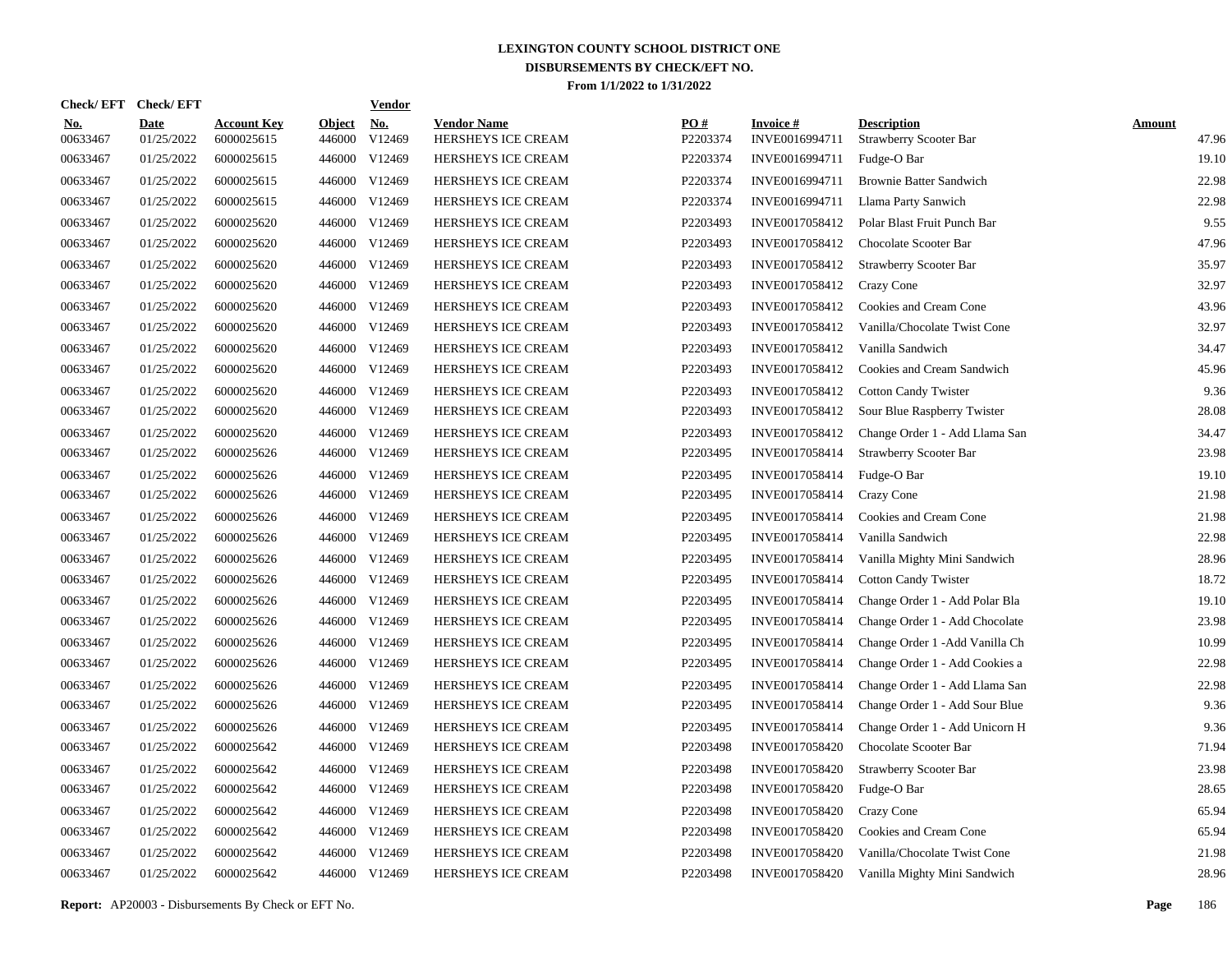| <b>Check/EFT</b>       | <b>Check/EFT</b>          |                                  |                         | <b>Vendor</b>        |                                          |                 |                                   |                                              |                        |
|------------------------|---------------------------|----------------------------------|-------------------------|----------------------|------------------------------------------|-----------------|-----------------------------------|----------------------------------------------|------------------------|
| <u>No.</u><br>00633467 | <b>Date</b><br>01/25/2022 | <b>Account Key</b><br>6000025615 | <b>Object</b><br>446000 | <u>No.</u><br>V12469 | <b>Vendor Name</b><br>HERSHEYS ICE CREAM | PO#<br>P2203374 | <b>Invoice#</b><br>INVE0016994711 | <b>Description</b><br>Strawberry Scooter Bar | <b>Amount</b><br>47.96 |
| 00633467               | 01/25/2022                | 6000025615                       | 446000                  | V12469               | HERSHEYS ICE CREAM                       | P2203374        | INVE0016994711                    | Fudge-O Bar                                  | 19.10                  |
| 00633467               | 01/25/2022                | 6000025615                       | 446000                  | V12469               | <b>HERSHEYS ICE CREAM</b>                | P2203374        | INVE0016994711                    | <b>Brownie Batter Sandwich</b>               | 22.98                  |
| 00633467               | 01/25/2022                | 6000025615                       | 446000                  | V12469               | HERSHEYS ICE CREAM                       | P2203374        | INVE0016994711                    | Llama Party Sanwich                          | 22.98                  |
| 00633467               | 01/25/2022                | 6000025620                       | 446000                  | V12469               | HERSHEYS ICE CREAM                       | P2203493        | INVE0017058412                    | Polar Blast Fruit Punch Bar                  | 9.55                   |
| 00633467               | 01/25/2022                | 6000025620                       |                         | 446000 V12469        | HERSHEYS ICE CREAM                       | P2203493        | INVE0017058412                    | Chocolate Scooter Bar                        | 47.96                  |
| 00633467               | 01/25/2022                | 6000025620                       |                         | 446000 V12469        | HERSHEYS ICE CREAM                       | P2203493        | INVE0017058412                    | <b>Strawberry Scooter Bar</b>                | 35.97                  |
| 00633467               | 01/25/2022                | 6000025620                       |                         | 446000 V12469        | HERSHEYS ICE CREAM                       | P2203493        | INVE0017058412                    | Crazy Cone                                   | 32.97                  |
| 00633467               | 01/25/2022                | 6000025620                       |                         | 446000 V12469        | HERSHEYS ICE CREAM                       | P2203493        | INVE0017058412                    | Cookies and Cream Cone                       | 43.96                  |
| 00633467               | 01/25/2022                | 6000025620                       | 446000                  | V12469               | HERSHEYS ICE CREAM                       | P2203493        | INVE0017058412                    | Vanilla/Chocolate Twist Cone                 | 32.97                  |
| 00633467               | 01/25/2022                | 6000025620                       | 446000                  | V12469               | HERSHEYS ICE CREAM                       | P2203493        | INVE0017058412                    | Vanilla Sandwich                             | 34.47                  |
| 00633467               | 01/25/2022                | 6000025620                       | 446000                  | V12469               | HERSHEYS ICE CREAM                       | P2203493        | INVE0017058412                    | Cookies and Cream Sandwich                   | 45.96                  |
| 00633467               | 01/25/2022                | 6000025620                       | 446000                  | V12469               | HERSHEYS ICE CREAM                       | P2203493        | INVE0017058412                    | <b>Cotton Candy Twister</b>                  | 9.36                   |
| 00633467               | 01/25/2022                | 6000025620                       | 446000                  | V12469               | HERSHEYS ICE CREAM                       | P2203493        | INVE0017058412                    | Sour Blue Raspberry Twister                  | 28.08                  |
| 00633467               | 01/25/2022                | 6000025620                       | 446000                  | V12469               | HERSHEYS ICE CREAM                       | P2203493        | INVE0017058412                    | Change Order 1 - Add Llama San               | 34.47                  |
| 00633467               | 01/25/2022                | 6000025626                       | 446000                  | V12469               | HERSHEYS ICE CREAM                       | P2203495        | INVE0017058414                    | Strawberry Scooter Bar                       | 23.98                  |
| 00633467               | 01/25/2022                | 6000025626                       | 446000                  | V12469               | <b>HERSHEYS ICE CREAM</b>                | P2203495        | INVE0017058414                    | Fudge-O Bar                                  | 19.10                  |
| 00633467               | 01/25/2022                | 6000025626                       | 446000                  | V12469               | HERSHEYS ICE CREAM                       | P2203495        | INVE0017058414                    | Crazy Cone                                   | 21.98                  |
| 00633467               | 01/25/2022                | 6000025626                       | 446000                  | V12469               | <b>HERSHEYS ICE CREAM</b>                | P2203495        | INVE0017058414                    | Cookies and Cream Cone                       | 21.98                  |
| 00633467               | 01/25/2022                | 6000025626                       | 446000                  | V12469               | HERSHEYS ICE CREAM                       | P2203495        | INVE0017058414                    | Vanilla Sandwich                             | 22.98                  |
| 00633467               | 01/25/2022                | 6000025626                       | 446000                  | V12469               | <b>HERSHEYS ICE CREAM</b>                | P2203495        | INVE0017058414                    | Vanilla Mighty Mini Sandwich                 | 28.96                  |
| 00633467               | 01/25/2022                | 6000025626                       | 446000                  | V12469               | HERSHEYS ICE CREAM                       | P2203495        | INVE0017058414                    | <b>Cotton Candy Twister</b>                  | 18.72                  |
| 00633467               | 01/25/2022                | 6000025626                       | 446000                  | V12469               | HERSHEYS ICE CREAM                       | P2203495        | INVE0017058414                    | Change Order 1 - Add Polar Bla               | 19.10                  |
| 00633467               | 01/25/2022                | 6000025626                       | 446000                  | V12469               | <b>HERSHEYS ICE CREAM</b>                | P2203495        | INVE0017058414                    | Change Order 1 - Add Chocolate               | 23.98                  |
| 00633467               | 01/25/2022                | 6000025626                       | 446000                  | V12469               | <b>HERSHEYS ICE CREAM</b>                | P2203495        | INVE0017058414                    | Change Order 1 - Add Vanilla Ch              | 10.99                  |
| 00633467               | 01/25/2022                | 6000025626                       | 446000                  | V12469               | HERSHEYS ICE CREAM                       | P2203495        | INVE0017058414                    | Change Order 1 - Add Cookies a               | 22.98                  |
| 00633467               | 01/25/2022                | 6000025626                       | 446000                  | V12469               | HERSHEYS ICE CREAM                       | P2203495        | INVE0017058414                    | Change Order 1 - Add Llama San               | 22.98                  |
| 00633467               | 01/25/2022                | 6000025626                       | 446000                  | V12469               | HERSHEYS ICE CREAM                       | P2203495        | INVE0017058414                    | Change Order 1 - Add Sour Blue               | 9.36                   |
| 00633467               | 01/25/2022                | 6000025626                       | 446000                  | V12469               | HERSHEYS ICE CREAM                       | P2203495        | INVE0017058414                    | Change Order 1 - Add Unicorn H               | 9.36                   |
| 00633467               | 01/25/2022                | 6000025642                       | 446000                  | V12469               | HERSHEYS ICE CREAM                       | P2203498        | INVE0017058420                    | Chocolate Scooter Bar                        | 71.94                  |
| 00633467               | 01/25/2022                | 6000025642                       | 446000                  | V12469               | <b>HERSHEYS ICE CREAM</b>                | P2203498        | INVE0017058420                    | Strawberry Scooter Bar                       | 23.98                  |
| 00633467               | 01/25/2022                | 6000025642                       | 446000                  | V12469               | HERSHEYS ICE CREAM                       | P2203498        | INVE0017058420                    | Fudge-O Bar                                  | 28.65                  |
| 00633467               | 01/25/2022                | 6000025642                       | 446000                  | V12469               | HERSHEYS ICE CREAM                       | P2203498        | INVE0017058420                    | Crazy Cone                                   | 65.94                  |
| 00633467               | 01/25/2022                | 6000025642                       | 446000                  | V12469               | HERSHEYS ICE CREAM                       | P2203498        | INVE0017058420                    | Cookies and Cream Cone                       | 65.94                  |
| 00633467               | 01/25/2022                | 6000025642                       | 446000                  | V12469               | HERSHEYS ICE CREAM                       | P2203498        | INVE0017058420                    | Vanilla/Chocolate Twist Cone                 | 21.98                  |
| 00633467               | 01/25/2022                | 6000025642                       |                         | 446000 V12469        | HERSHEYS ICE CREAM                       | P2203498        | INVE0017058420                    | Vanilla Mighty Mini Sandwich                 | 28.96                  |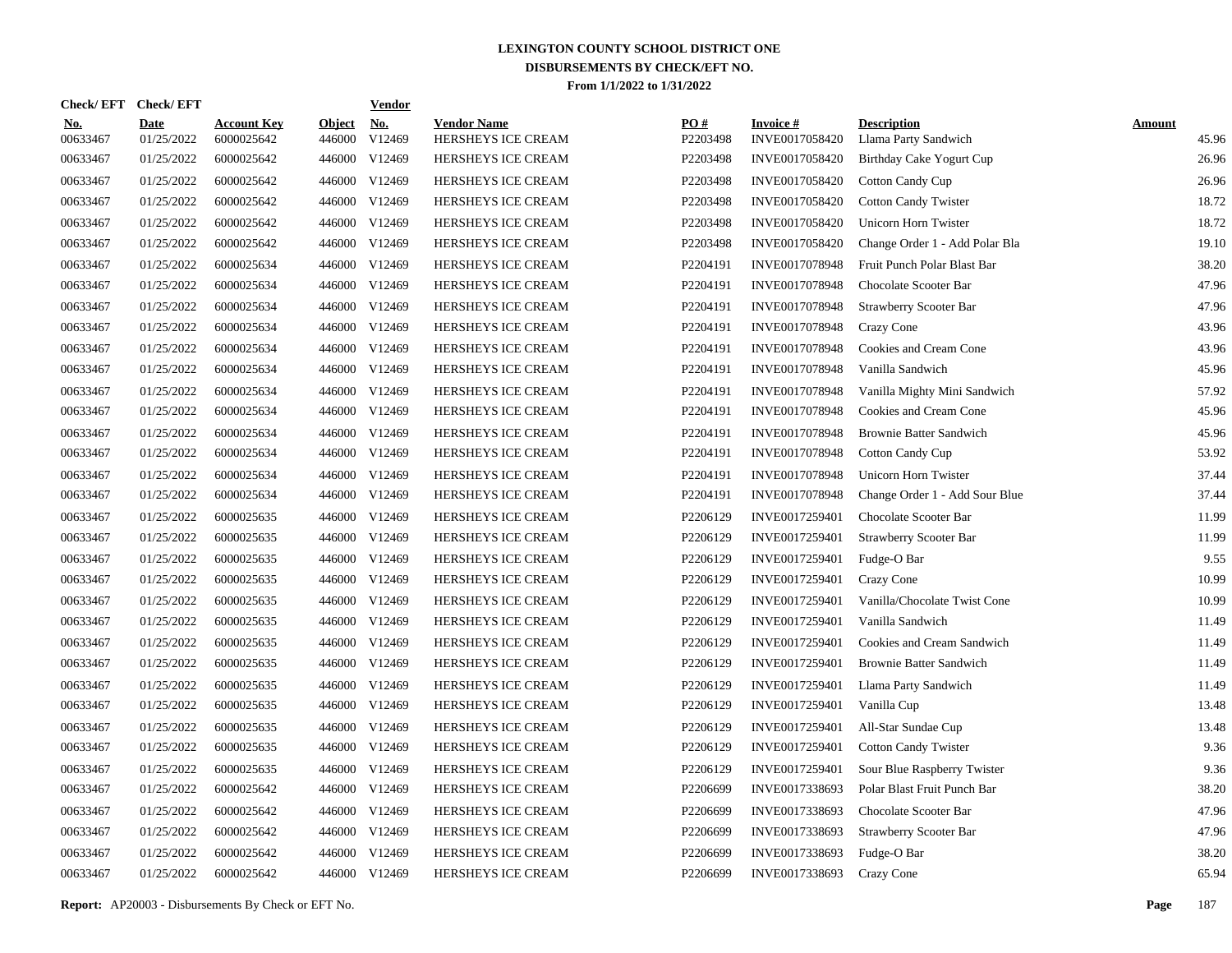| <b>Check/EFT</b>       | <b>Check/EFT</b>          |                                  |                         | <b>Vendor</b>        |                                          |                 |                                   |                                            |                        |
|------------------------|---------------------------|----------------------------------|-------------------------|----------------------|------------------------------------------|-----------------|-----------------------------------|--------------------------------------------|------------------------|
| <u>No.</u><br>00633467 | <b>Date</b><br>01/25/2022 | <b>Account Key</b><br>6000025642 | <b>Object</b><br>446000 | <u>No.</u><br>V12469 | <b>Vendor Name</b><br>HERSHEYS ICE CREAM | PO#<br>P2203498 | <b>Invoice#</b><br>INVE0017058420 | <b>Description</b><br>Llama Party Sandwich | <b>Amount</b><br>45.96 |
| 00633467               | 01/25/2022                | 6000025642                       | 446000                  | V12469               | HERSHEYS ICE CREAM                       | P2203498        | INVE0017058420                    | Birthday Cake Yogurt Cup                   | 26.96                  |
| 00633467               | 01/25/2022                | 6000025642                       | 446000                  | V12469               | HERSHEYS ICE CREAM                       | P2203498        | INVE0017058420                    | <b>Cotton Candy Cup</b>                    | 26.96                  |
| 00633467               | 01/25/2022                | 6000025642                       | 446000                  | V12469               | <b>HERSHEYS ICE CREAM</b>                | P2203498        | INVE0017058420                    | <b>Cotton Candy Twister</b>                | 18.72                  |
| 00633467               | 01/25/2022                | 6000025642                       | 446000                  | V12469               | <b>HERSHEYS ICE CREAM</b>                | P2203498        | INVE0017058420                    | Unicorn Horn Twister                       | 18.72                  |
| 00633467               | 01/25/2022                | 6000025642                       | 446000                  | V12469               | HERSHEYS ICE CREAM                       | P2203498        | INVE0017058420                    | Change Order 1 - Add Polar Bla             | 19.10                  |
| 00633467               | 01/25/2022                | 6000025634                       | 446000                  | V12469               | HERSHEYS ICE CREAM                       | P2204191        | INVE0017078948                    | Fruit Punch Polar Blast Bar                | 38.20                  |
| 00633467               | 01/25/2022                | 6000025634                       | 446000                  | V12469               | HERSHEYS ICE CREAM                       | P2204191        | INVE0017078948                    | Chocolate Scooter Bar                      | 47.96                  |
| 00633467               | 01/25/2022                | 6000025634                       | 446000                  | V12469               | HERSHEYS ICE CREAM                       | P2204191        | INVE0017078948                    | <b>Strawberry Scooter Bar</b>              | 47.96                  |
| 00633467               | 01/25/2022                | 6000025634                       | 446000                  | V12469               | HERSHEYS ICE CREAM                       | P2204191        | INVE0017078948                    | Crazy Cone                                 | 43.96                  |
| 00633467               | 01/25/2022                | 6000025634                       | 446000                  | V12469               | HERSHEYS ICE CREAM                       | P2204191        | INVE0017078948                    | Cookies and Cream Cone                     | 43.96                  |
| 00633467               | 01/25/2022                | 6000025634                       | 446000                  | V12469               | HERSHEYS ICE CREAM                       | P2204191        | INVE0017078948                    | Vanilla Sandwich                           | 45.96                  |
| 00633467               | 01/25/2022                | 6000025634                       | 446000                  | V12469               | HERSHEYS ICE CREAM                       | P2204191        | INVE0017078948                    | Vanilla Mighty Mini Sandwich               | 57.92                  |
| 00633467               | 01/25/2022                | 6000025634                       | 446000                  | V12469               | HERSHEYS ICE CREAM                       | P2204191        | INVE0017078948                    | Cookies and Cream Cone                     | 45.96                  |
| 00633467               | 01/25/2022                | 6000025634                       | 446000                  | V12469               | HERSHEYS ICE CREAM                       | P2204191        | INVE0017078948                    | <b>Brownie Batter Sandwich</b>             | 45.96                  |
| 00633467               | 01/25/2022                | 6000025634                       | 446000                  | V12469               | HERSHEYS ICE CREAM                       | P2204191        | INVE0017078948                    | <b>Cotton Candy Cup</b>                    | 53.92                  |
| 00633467               | 01/25/2022                | 6000025634                       | 446000                  | V12469               | HERSHEYS ICE CREAM                       | P2204191        | INVE0017078948                    | Unicorn Horn Twister                       | 37.44                  |
| 00633467               | 01/25/2022                | 6000025634                       | 446000                  | V12469               | HERSHEYS ICE CREAM                       | P2204191        | INVE0017078948                    | Change Order 1 - Add Sour Blue             | 37.44                  |
| 00633467               | 01/25/2022                | 6000025635                       | 446000                  | V12469               | HERSHEYS ICE CREAM                       | P2206129        | INVE0017259401                    | Chocolate Scooter Bar                      | 11.99                  |
| 00633467               | 01/25/2022                | 6000025635                       | 446000                  | V12469               | HERSHEYS ICE CREAM                       | P2206129        | INVE0017259401                    | Strawberry Scooter Bar                     | 11.99                  |
| 00633467               | 01/25/2022                | 6000025635                       | 446000                  | V12469               | HERSHEYS ICE CREAM                       | P2206129        | INVE0017259401                    | Fudge-O Bar                                | 9.55                   |
| 00633467               | 01/25/2022                | 6000025635                       | 446000                  | V12469               | HERSHEYS ICE CREAM                       | P2206129        | INVE0017259401                    | Crazy Cone                                 | 10.99                  |
| 00633467               | 01/25/2022                | 6000025635                       | 446000                  | V12469               | HERSHEYS ICE CREAM                       | P2206129        | INVE0017259401                    | Vanilla/Chocolate Twist Cone               | 10.99                  |
| 00633467               | 01/25/2022                | 6000025635                       | 446000                  | V12469               | HERSHEYS ICE CREAM                       | P2206129        | INVE0017259401                    | Vanilla Sandwich                           | 11.49                  |
| 00633467               | 01/25/2022                | 6000025635                       | 446000                  | V12469               | HERSHEYS ICE CREAM                       | P2206129        | INVE0017259401                    | Cookies and Cream Sandwich                 | 11.49                  |
| 00633467               | 01/25/2022                | 6000025635                       | 446000                  | V12469               | <b>HERSHEYS ICE CREAM</b>                | P2206129        | INVE0017259401                    | <b>Brownie Batter Sandwich</b>             | 11.49                  |
| 00633467               | 01/25/2022                | 6000025635                       | 446000                  | V12469               | <b>HERSHEYS ICE CREAM</b>                | P2206129        | INVE0017259401                    | Llama Party Sandwich                       | 11.49                  |
| 00633467               | 01/25/2022                | 6000025635                       | 446000                  | V12469               | HERSHEYS ICE CREAM                       | P2206129        | INVE0017259401                    | Vanilla Cup                                | 13.48                  |
| 00633467               | 01/25/2022                | 6000025635                       | 446000                  | V12469               | HERSHEYS ICE CREAM                       | P2206129        | INVE0017259401                    | All-Star Sundae Cup                        | 13.48                  |
| 00633467               | 01/25/2022                | 6000025635                       | 446000                  | V12469               | HERSHEYS ICE CREAM                       | P2206129        | INVE0017259401                    | <b>Cotton Candy Twister</b>                | 9.36                   |
| 00633467               | 01/25/2022                | 6000025635                       | 446000                  | V12469               | HERSHEYS ICE CREAM                       | P2206129        | INVE0017259401                    | Sour Blue Raspberry Twister                | 9.36                   |
| 00633467               | 01/25/2022                | 6000025642                       | 446000                  | V12469               | HERSHEYS ICE CREAM                       | P2206699        | INVE0017338693                    | Polar Blast Fruit Punch Bar                | 38.20                  |
| 00633467               | 01/25/2022                | 6000025642                       | 446000                  | V12469               | HERSHEYS ICE CREAM                       | P2206699        | INVE0017338693                    | Chocolate Scooter Bar                      | 47.96                  |
| 00633467               | 01/25/2022                | 6000025642                       | 446000                  | V12469               | HERSHEYS ICE CREAM                       | P2206699        | INVE0017338693                    | Strawberry Scooter Bar                     | 47.96                  |
| 00633467               | 01/25/2022                | 6000025642                       | 446000                  | V12469               | HERSHEYS ICE CREAM                       | P2206699        | INVE0017338693                    | Fudge-O Bar                                | 38.20                  |
| 00633467               | 01/25/2022                | 6000025642                       |                         | 446000 V12469        | HERSHEYS ICE CREAM                       | P2206699        | INVE0017338693                    | Crazy Cone                                 | 65.94                  |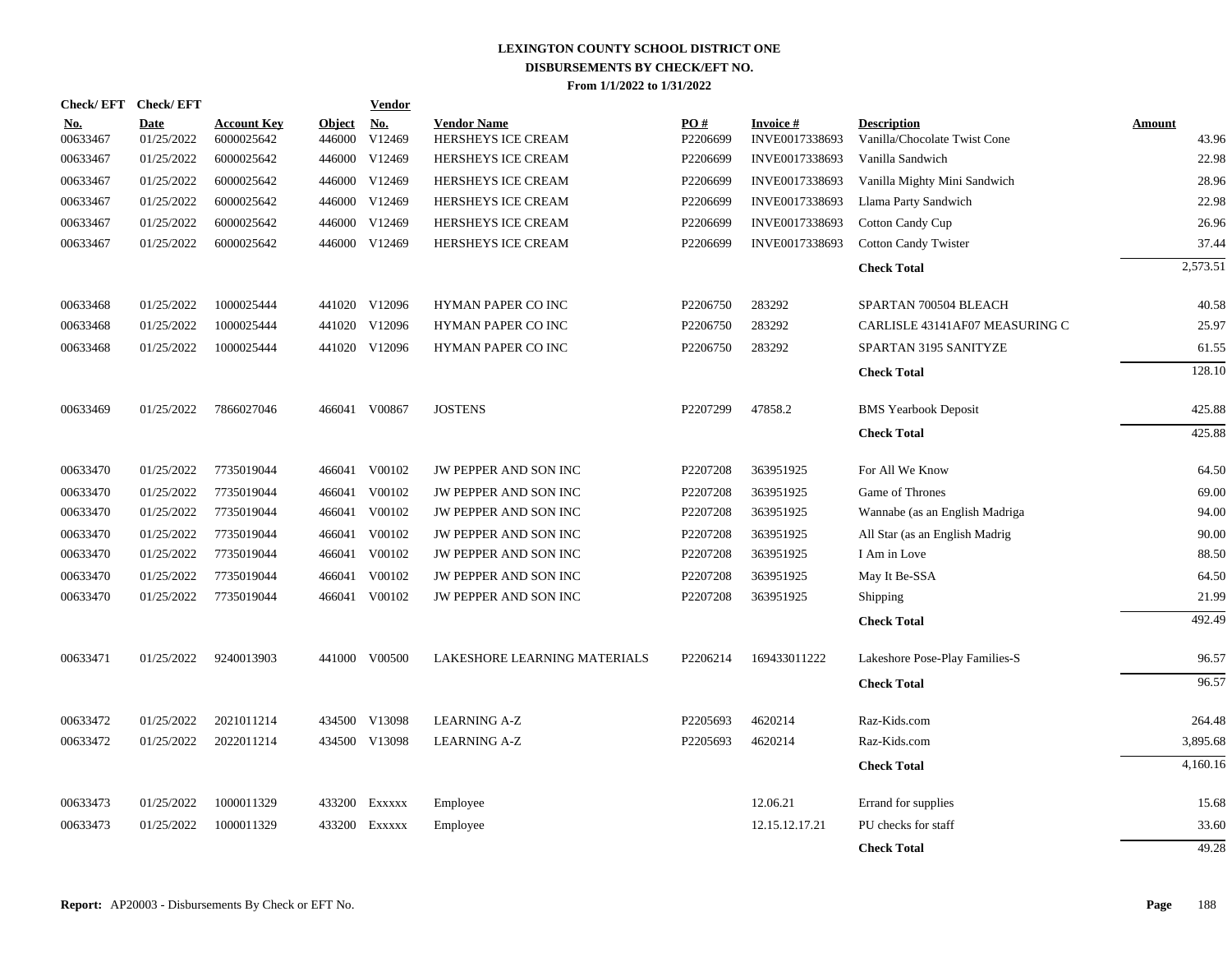|                        | Check/EFT Check/EFT |                                  |                         | <b>Vendor</b>        |                                          |                 |                                   |                                                    |                        |
|------------------------|---------------------|----------------------------------|-------------------------|----------------------|------------------------------------------|-----------------|-----------------------------------|----------------------------------------------------|------------------------|
| <u>No.</u><br>00633467 | Date<br>01/25/2022  | <b>Account Key</b><br>6000025642 | <b>Object</b><br>446000 | <u>No.</u><br>V12469 | <b>Vendor Name</b><br>HERSHEYS ICE CREAM | PO#<br>P2206699 | <b>Invoice#</b><br>INVE0017338693 | <b>Description</b><br>Vanilla/Chocolate Twist Cone | <b>Amount</b><br>43.96 |
| 00633467               | 01/25/2022          | 6000025642                       | 446000                  | V12469               | HERSHEYS ICE CREAM                       | P2206699        | INVE0017338693                    | Vanilla Sandwich                                   | 22.98                  |
| 00633467               | 01/25/2022          | 6000025642                       | 446000                  | V12469               | HERSHEYS ICE CREAM                       | P2206699        | INVE0017338693                    | Vanilla Mighty Mini Sandwich                       | 28.96                  |
| 00633467               | 01/25/2022          | 6000025642                       | 446000                  | V12469               | HERSHEYS ICE CREAM                       | P2206699        | INVE0017338693                    | Llama Party Sandwich                               | 22.98                  |
| 00633467               | 01/25/2022          | 6000025642                       | 446000                  | V12469               | HERSHEYS ICE CREAM                       | P2206699        | INVE0017338693                    | <b>Cotton Candy Cup</b>                            | 26.96                  |
| 00633467               | 01/25/2022          | 6000025642                       | 446000                  | V12469               | HERSHEYS ICE CREAM                       | P2206699        | INVE0017338693                    | <b>Cotton Candy Twister</b>                        | 37.44                  |
|                        |                     |                                  |                         |                      |                                          |                 |                                   | <b>Check Total</b>                                 | 2,573.51               |
| 00633468               | 01/25/2022          | 1000025444                       |                         | 441020 V12096        | <b>HYMAN PAPER CO INC</b>                | P2206750        | 283292                            | SPARTAN 700504 BLEACH                              | 40.58                  |
| 00633468               | 01/25/2022          | 1000025444                       |                         | 441020 V12096        | HYMAN PAPER CO INC                       | P2206750        | 283292                            | CARLISLE 43141AF07 MEASURING C                     | 25.97                  |
| 00633468               | 01/25/2022          | 1000025444                       |                         | 441020 V12096        | HYMAN PAPER CO INC                       | P2206750        | 283292                            | SPARTAN 3195 SANITYZE                              | 61.55                  |
|                        |                     |                                  |                         |                      |                                          |                 |                                   | <b>Check Total</b>                                 | 128.10                 |
| 00633469               | 01/25/2022          | 7866027046                       |                         | 466041 V00867        | <b>JOSTENS</b>                           | P2207299        | 47858.2                           | <b>BMS</b> Yearbook Deposit                        | 425.88                 |
|                        |                     |                                  |                         |                      |                                          |                 |                                   | <b>Check Total</b>                                 | 425.88                 |
| 00633470               | 01/25/2022          | 7735019044                       |                         | 466041 V00102        | JW PEPPER AND SON INC                    | P2207208        | 363951925                         | For All We Know                                    | 64.50                  |
| 00633470               | 01/25/2022          | 7735019044                       | 466041                  | V00102               | JW PEPPER AND SON INC                    | P2207208        | 363951925                         | Game of Thrones                                    | 69.00                  |
| 00633470               | 01/25/2022          | 7735019044                       | 466041                  | V00102               | JW PEPPER AND SON INC                    | P2207208        | 363951925                         | Wannabe (as an English Madriga                     | 94.00                  |
| 00633470               | 01/25/2022          | 7735019044                       | 466041                  | V00102               | JW PEPPER AND SON INC                    | P2207208        | 363951925                         | All Star (as an English Madrig                     | 90.00                  |
| 00633470               | 01/25/2022          | 7735019044                       |                         | 466041 V00102        | JW PEPPER AND SON INC                    | P2207208        | 363951925                         | I Am in Love                                       | 88.50                  |
| 00633470               | 01/25/2022          | 7735019044                       | 466041                  | V00102               | JW PEPPER AND SON INC                    | P2207208        | 363951925                         | May It Be-SSA                                      | 64.50                  |
| 00633470               | 01/25/2022          | 7735019044                       |                         | 466041 V00102        | JW PEPPER AND SON INC                    | P2207208        | 363951925                         | Shipping                                           | 21.99                  |
|                        |                     |                                  |                         |                      |                                          |                 |                                   | <b>Check Total</b>                                 | 492.49                 |
| 00633471               | 01/25/2022          | 9240013903                       |                         | 441000 V00500        | LAKESHORE LEARNING MATERIALS             | P2206214        | 169433011222                      | Lakeshore Pose-Play Families-S                     | 96.57                  |
|                        |                     |                                  |                         |                      |                                          |                 |                                   | <b>Check Total</b>                                 | 96.57                  |
| 00633472               | 01/25/2022          | 2021011214                       |                         | 434500 V13098        | <b>LEARNING A-Z</b>                      | P2205693        | 4620214                           | Raz-Kids.com                                       | 264.48                 |
| 00633472               | 01/25/2022          | 2022011214                       | 434500                  | V13098               | <b>LEARNING A-Z</b>                      | P2205693        | 4620214                           | Raz-Kids.com                                       | 3,895.68               |
|                        |                     |                                  |                         |                      |                                          |                 |                                   | <b>Check Total</b>                                 | 4,160.16               |
| 00633473               | 01/25/2022          | 1000011329                       | 433200                  | EXXXXX               | Employee                                 |                 | 12.06.21                          | Errand for supplies                                | 15.68                  |
| 00633473               | 01/25/2022          | 1000011329                       | 433200                  | EXXXXX               | Employee                                 |                 | 12.15.12.17.21                    | PU checks for staff                                | 33.60                  |
|                        |                     |                                  |                         |                      |                                          |                 |                                   | <b>Check Total</b>                                 | 49.28                  |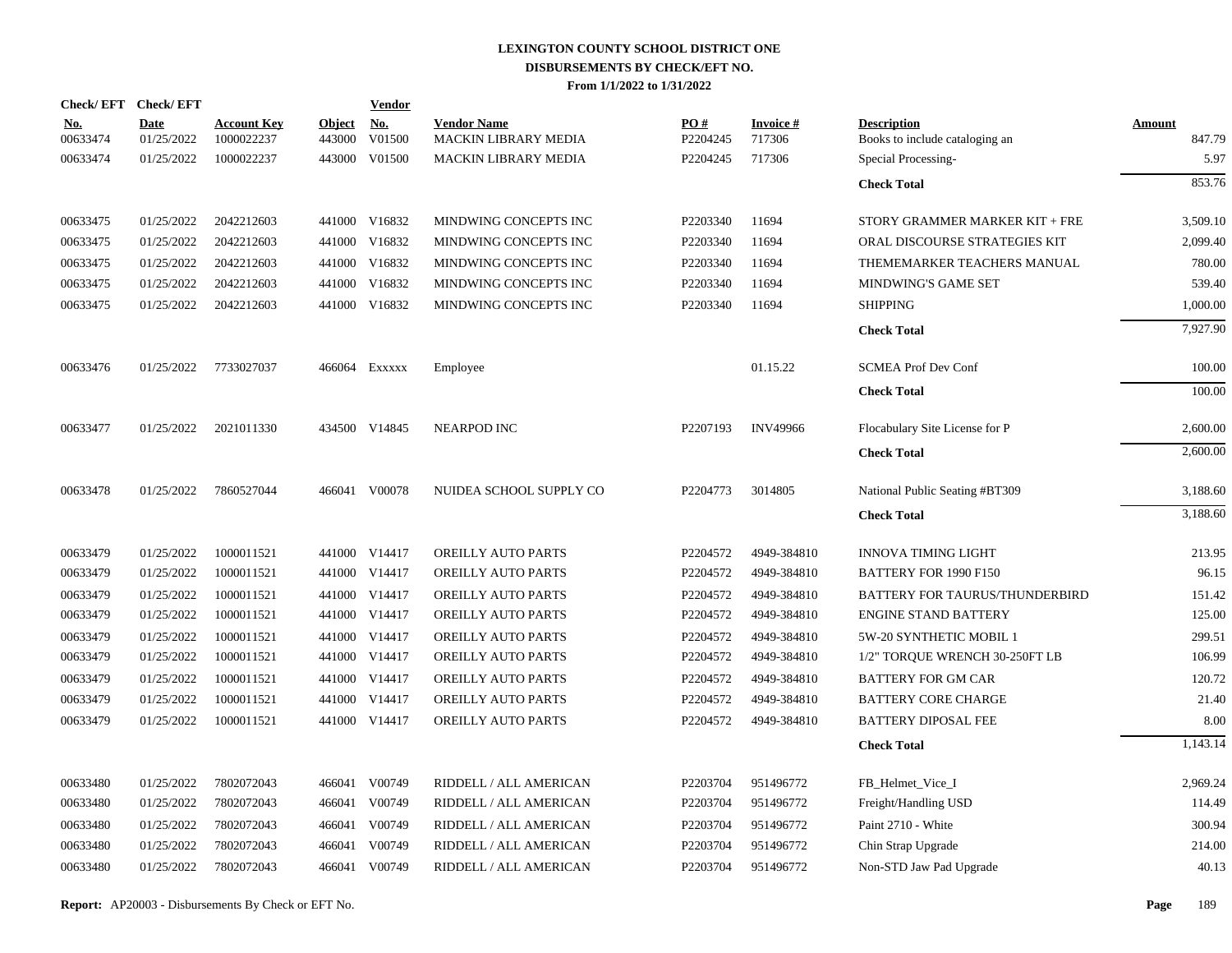| Check/EFT Check/EFT    |                           |                                  |                         | <b>Vendor</b>        |                                            |                 |                           |                                                      |                         |
|------------------------|---------------------------|----------------------------------|-------------------------|----------------------|--------------------------------------------|-----------------|---------------------------|------------------------------------------------------|-------------------------|
| <u>No.</u><br>00633474 | <b>Date</b><br>01/25/2022 | <b>Account Key</b><br>1000022237 | <b>Object</b><br>443000 | <u>No.</u><br>V01500 | <b>Vendor Name</b><br>MACKIN LIBRARY MEDIA | PO#<br>P2204245 | <b>Invoice#</b><br>717306 | <b>Description</b><br>Books to include cataloging an | <b>Amount</b><br>847.79 |
| 00633474               | 01/25/2022                | 1000022237                       |                         | 443000 V01500        | <b>MACKIN LIBRARY MEDIA</b>                | P2204245        | 717306                    | Special Processing-                                  | 5.97                    |
|                        |                           |                                  |                         |                      |                                            |                 |                           | <b>Check Total</b>                                   | 853.76                  |
| 00633475               | 01/25/2022                | 2042212603                       |                         | 441000 V16832        | MINDWING CONCEPTS INC                      | P2203340        | 11694                     | STORY GRAMMER MARKER KIT + FRE                       | 3,509.10                |
| 00633475               | 01/25/2022                | 2042212603                       |                         | 441000 V16832        | MINDWING CONCEPTS INC                      | P2203340        | 11694                     | ORAL DISCOURSE STRATEGIES KIT                        | 2,099.40                |
| 00633475               | 01/25/2022                | 2042212603                       |                         | 441000 V16832        | MINDWING CONCEPTS INC                      | P2203340        | 11694                     | THEMEMARKER TEACHERS MANUAL                          | 780.00                  |
| 00633475               | 01/25/2022                | 2042212603                       |                         | 441000 V16832        | MINDWING CONCEPTS INC                      | P2203340        | 11694                     | MINDWING'S GAME SET                                  | 539.40                  |
| 00633475               | 01/25/2022                | 2042212603                       |                         | 441000 V16832        | MINDWING CONCEPTS INC                      | P2203340        | 11694                     | <b>SHIPPING</b>                                      | 1,000.00                |
|                        |                           |                                  |                         |                      |                                            |                 |                           | <b>Check Total</b>                                   | 7,927.90                |
| 00633476               | 01/25/2022                | 7733027037                       |                         | 466064 EXXXXX        | Employee                                   |                 | 01.15.22                  | <b>SCMEA Prof Dev Conf</b>                           | 100.00                  |
|                        |                           |                                  |                         |                      |                                            |                 |                           | <b>Check Total</b>                                   | 100.00                  |
| 00633477               | 01/25/2022                | 2021011330                       |                         | 434500 V14845        | <b>NEARPOD INC</b>                         | P2207193        | <b>INV49966</b>           | Flocabulary Site License for P                       | 2,600.00                |
|                        |                           |                                  |                         |                      |                                            |                 |                           | <b>Check Total</b>                                   | 2,600.00                |
| 00633478               | 01/25/2022                | 7860527044                       |                         | 466041 V00078        | NUIDEA SCHOOL SUPPLY CO                    | P2204773        | 3014805                   | National Public Seating #BT309                       | 3,188.60                |
|                        |                           |                                  |                         |                      |                                            |                 |                           | <b>Check Total</b>                                   | 3,188.60                |
| 00633479               | 01/25/2022                | 1000011521                       |                         | 441000 V14417        | OREILLY AUTO PARTS                         | P2204572        | 4949-384810               | <b>INNOVA TIMING LIGHT</b>                           | 213.95                  |
| 00633479               | 01/25/2022                | 1000011521                       |                         | 441000 V14417        | OREILLY AUTO PARTS                         | P2204572        | 4949-384810               | BATTERY FOR 1990 F150                                | 96.15                   |
| 00633479               | 01/25/2022                | 1000011521                       |                         | 441000 V14417        | OREILLY AUTO PARTS                         | P2204572        | 4949-384810               | BATTERY FOR TAURUS/THUNDERBIRD                       | 151.42                  |
| 00633479               | 01/25/2022                | 1000011521                       |                         | 441000 V14417        | OREILLY AUTO PARTS                         | P2204572        | 4949-384810               | <b>ENGINE STAND BATTERY</b>                          | 125.00                  |
| 00633479               | 01/25/2022                | 1000011521                       |                         | 441000 V14417        | OREILLY AUTO PARTS                         | P2204572        | 4949-384810               | 5W-20 SYNTHETIC MOBIL 1                              | 299.51                  |
| 00633479               | 01/25/2022                | 1000011521                       |                         | 441000 V14417        | OREILLY AUTO PARTS                         | P2204572        | 4949-384810               | 1/2" TORQUE WRENCH 30-250FT LB                       | 106.99                  |
| 00633479               | 01/25/2022                | 1000011521                       |                         | 441000 V14417        | OREILLY AUTO PARTS                         | P2204572        | 4949-384810               | <b>BATTERY FOR GM CAR</b>                            | 120.72                  |
| 00633479               | 01/25/2022                | 1000011521                       |                         | 441000 V14417        | OREILLY AUTO PARTS                         | P2204572        | 4949-384810               | <b>BATTERY CORE CHARGE</b>                           | 21.40                   |
| 00633479               | 01/25/2022                | 1000011521                       |                         | 441000 V14417        | OREILLY AUTO PARTS                         | P2204572        | 4949-384810               | BATTERY DIPOSAL FEE                                  | 8.00                    |
|                        |                           |                                  |                         |                      |                                            |                 |                           | <b>Check Total</b>                                   | 1,143.14                |
| 00633480               | 01/25/2022                | 7802072043                       |                         | 466041 V00749        | RIDDELL / ALL AMERICAN                     | P2203704        | 951496772                 | FB_Helmet_Vice_I                                     | 2,969.24                |
| 00633480               | 01/25/2022                | 7802072043                       |                         | 466041 V00749        | RIDDELL / ALL AMERICAN                     | P2203704        | 951496772                 | Freight/Handling USD                                 | 114.49                  |
| 00633480               | 01/25/2022                | 7802072043                       | 466041                  | V00749               | RIDDELL / ALL AMERICAN                     | P2203704        | 951496772                 | Paint 2710 - White                                   | 300.94                  |
| 00633480               | 01/25/2022                | 7802072043                       | 466041                  | V00749               | RIDDELL / ALL AMERICAN                     | P2203704        | 951496772                 | Chin Strap Upgrade                                   | 214.00                  |
| 00633480               | 01/25/2022                | 7802072043                       |                         | 466041 V00749        | RIDDELL / ALL AMERICAN                     | P2203704        | 951496772                 | Non-STD Jaw Pad Upgrade                              | 40.13                   |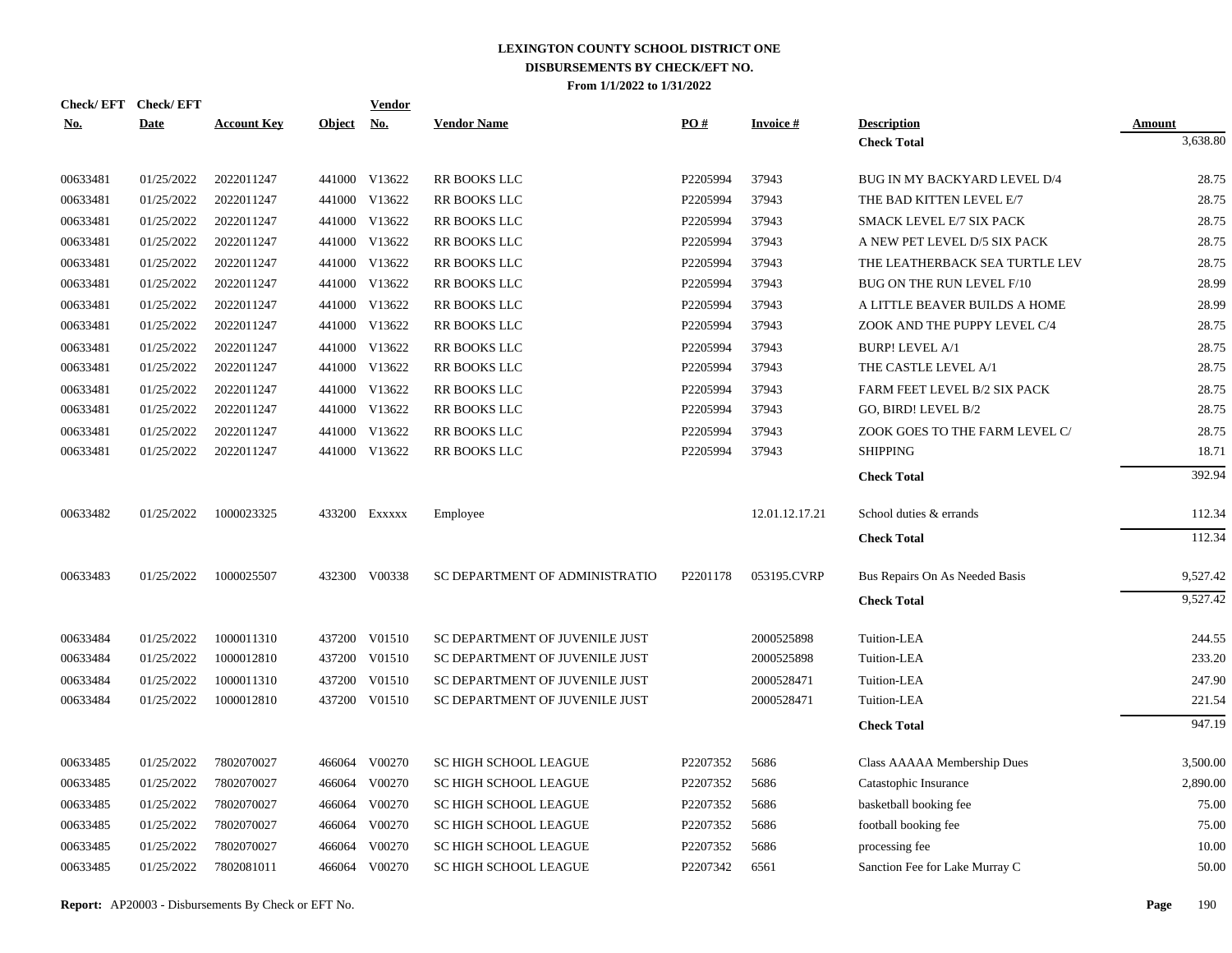|            | Check/EFT Check/EFT |                    |            | <b>Vendor</b> |                                |          |                 |                                |          |
|------------|---------------------|--------------------|------------|---------------|--------------------------------|----------|-----------------|--------------------------------|----------|
| <b>No.</b> | <b>Date</b>         | <b>Account Key</b> | Object No. |               | <b>Vendor Name</b>             | PO#      | <b>Invoice#</b> | <b>Description</b>             | Amount   |
|            |                     |                    |            |               |                                |          |                 | <b>Check Total</b>             | 3,638.80 |
| 00633481   | 01/25/2022          | 2022011247         |            | 441000 V13622 | RR BOOKS LLC                   | P2205994 | 37943           | BUG IN MY BACKYARD LEVEL D/4   | 28.75    |
| 00633481   | 01/25/2022          | 2022011247         |            | 441000 V13622 | RR BOOKS LLC                   | P2205994 | 37943           | THE BAD KITTEN LEVEL E/7       | 28.75    |
| 00633481   | 01/25/2022          | 2022011247         |            | 441000 V13622 | RR BOOKS LLC                   | P2205994 | 37943           | SMACK LEVEL E/7 SIX PACK       | 28.75    |
| 00633481   | 01/25/2022          | 2022011247         |            | 441000 V13622 | RR BOOKS LLC                   | P2205994 | 37943           | A NEW PET LEVEL D/5 SIX PACK   | 28.75    |
| 00633481   | 01/25/2022          | 2022011247         |            | 441000 V13622 | RR BOOKS LLC                   | P2205994 | 37943           | THE LEATHERBACK SEA TURTLE LEV | 28.75    |
| 00633481   | 01/25/2022          | 2022011247         |            | 441000 V13622 | RR BOOKS LLC                   | P2205994 | 37943           | BUG ON THE RUN LEVEL F/10      | 28.99    |
| 00633481   | 01/25/2022          | 2022011247         |            | 441000 V13622 | RR BOOKS LLC                   | P2205994 | 37943           | A LITTLE BEAVER BUILDS A HOME  | 28.99    |
| 00633481   | 01/25/2022          | 2022011247         |            | 441000 V13622 | RR BOOKS LLC                   | P2205994 | 37943           | ZOOK AND THE PUPPY LEVEL C/4   | 28.75    |
| 00633481   | 01/25/2022          | 2022011247         |            | 441000 V13622 | RR BOOKS LLC                   | P2205994 | 37943           | <b>BURP! LEVEL A/1</b>         | 28.75    |
| 00633481   | 01/25/2022          | 2022011247         |            | 441000 V13622 | RR BOOKS LLC                   | P2205994 | 37943           | THE CASTLE LEVEL A/1           | 28.75    |
| 00633481   | 01/25/2022          | 2022011247         |            | 441000 V13622 | RR BOOKS LLC                   | P2205994 | 37943           | FARM FEET LEVEL B/2 SIX PACK   | 28.75    |
| 00633481   | 01/25/2022          | 2022011247         |            | 441000 V13622 | RR BOOKS LLC                   | P2205994 | 37943           | GO, BIRD! LEVEL B/2            | 28.75    |
| 00633481   | 01/25/2022          | 2022011247         |            | 441000 V13622 | RR BOOKS LLC                   | P2205994 | 37943           | ZOOK GOES TO THE FARM LEVEL C/ | 28.75    |
| 00633481   | 01/25/2022          | 2022011247         |            | 441000 V13622 | RR BOOKS LLC                   | P2205994 | 37943           | <b>SHIPPING</b>                | 18.71    |
|            |                     |                    |            |               |                                |          |                 | <b>Check Total</b>             | 392.94   |
| 00633482   | 01/25/2022          | 1000023325         |            | 433200 Exxxxx | Employee                       |          | 12.01.12.17.21  | School duties & errands        | 112.34   |
|            |                     |                    |            |               |                                |          |                 | <b>Check Total</b>             | 112.34   |
|            |                     |                    |            |               |                                |          |                 |                                |          |
| 00633483   | 01/25/2022          | 1000025507         |            | 432300 V00338 | SC DEPARTMENT OF ADMINISTRATIO | P2201178 | 053195.CVRP     | Bus Repairs On As Needed Basis | 9,527.42 |
|            |                     |                    |            |               |                                |          |                 | <b>Check Total</b>             | 9,527.42 |
| 00633484   | 01/25/2022          | 1000011310         |            | 437200 V01510 | SC DEPARTMENT OF JUVENILE JUST |          | 2000525898      | Tuition-LEA                    | 244.55   |
| 00633484   | 01/25/2022          | 1000012810         |            | 437200 V01510 | SC DEPARTMENT OF JUVENILE JUST |          | 2000525898      | Tuition-LEA                    | 233.20   |
| 00633484   | 01/25/2022          | 1000011310         |            | 437200 V01510 | SC DEPARTMENT OF JUVENILE JUST |          | 2000528471      | Tuition-LEA                    | 247.90   |
| 00633484   | 01/25/2022          | 1000012810         |            | 437200 V01510 | SC DEPARTMENT OF JUVENILE JUST |          | 2000528471      | Tuition-LEA                    | 221.54   |
|            |                     |                    |            |               |                                |          |                 | <b>Check Total</b>             | 947.19   |
| 00633485   | 01/25/2022          | 7802070027         |            | 466064 V00270 | <b>SC HIGH SCHOOL LEAGUE</b>   | P2207352 | 5686            | Class AAAAA Membership Dues    | 3,500.00 |
| 00633485   | 01/25/2022          | 7802070027         |            | 466064 V00270 | SC HIGH SCHOOL LEAGUE          | P2207352 | 5686            | Catastophic Insurance          | 2,890.00 |
| 00633485   | 01/25/2022          | 7802070027         |            | 466064 V00270 | SC HIGH SCHOOL LEAGUE          | P2207352 | 5686            | basketball booking fee         | 75.00    |
| 00633485   | 01/25/2022          | 7802070027         |            | 466064 V00270 | SC HIGH SCHOOL LEAGUE          | P2207352 | 5686            | football booking fee           | 75.00    |
| 00633485   | 01/25/2022          | 7802070027         | 466064     | V00270        | SC HIGH SCHOOL LEAGUE          | P2207352 | 5686            | processing fee                 | 10.00    |
| 00633485   | 01/25/2022          | 7802081011         |            | 466064 V00270 | <b>SC HIGH SCHOOL LEAGUE</b>   | P2207342 | 6561            | Sanction Fee for Lake Murray C | 50.00    |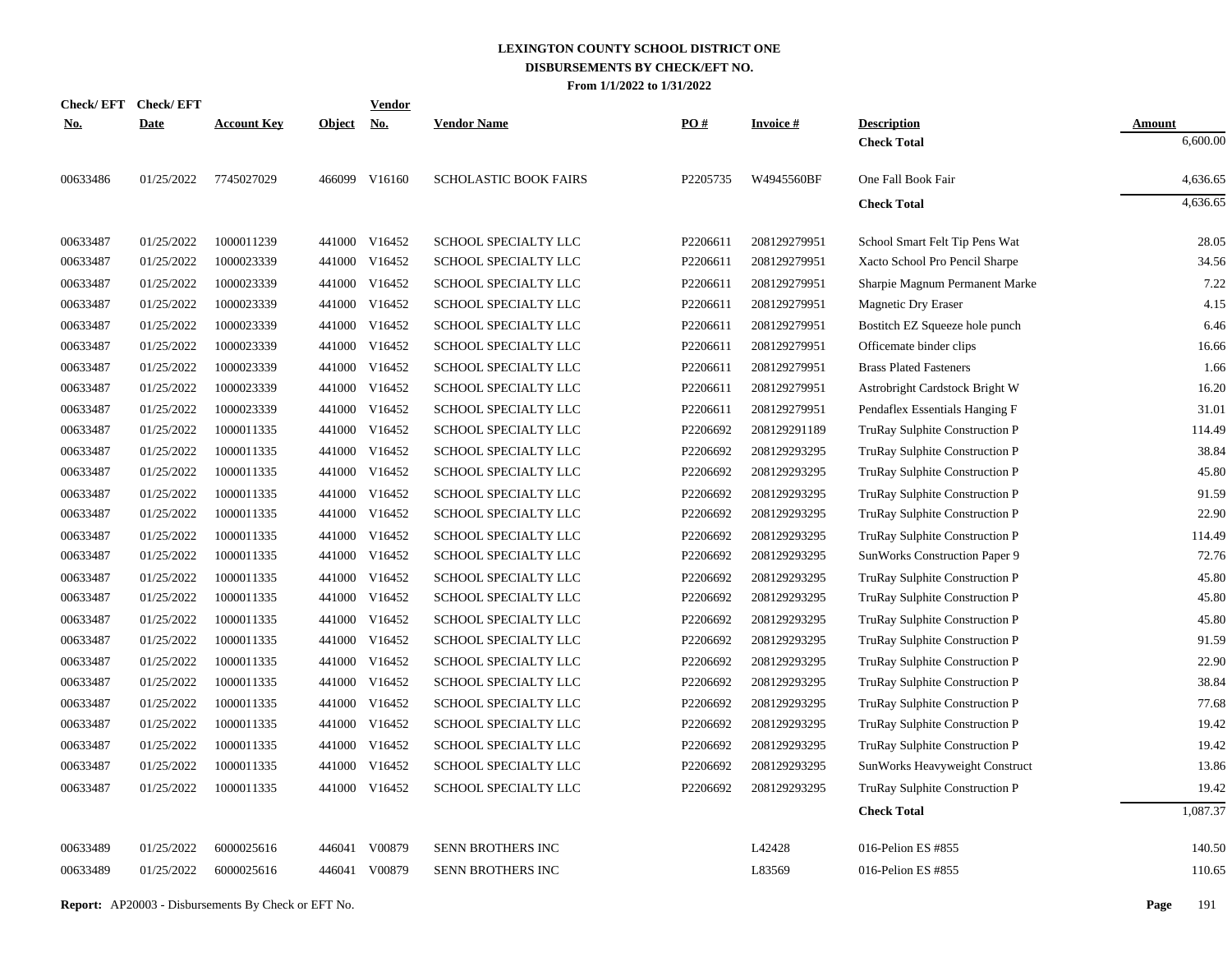| <b>Check/EFT</b> | <b>Check/EFT</b> |                    |            | <b>Vendor</b> |                              |                   |                 |                                          |                           |
|------------------|------------------|--------------------|------------|---------------|------------------------------|-------------------|-----------------|------------------------------------------|---------------------------|
| <u>No.</u>       | <b>Date</b>      | <b>Account Key</b> | Object No. |               | <b>Vendor Name</b>           | $\underline{PO#}$ | <b>Invoice#</b> | <b>Description</b><br><b>Check Total</b> | <b>Amount</b><br>6,600.00 |
|                  |                  |                    |            |               |                              |                   |                 |                                          |                           |
| 00633486         | 01/25/2022       | 7745027029         |            | 466099 V16160 | <b>SCHOLASTIC BOOK FAIRS</b> | P2205735          | W4945560BF      | One Fall Book Fair                       | 4,636.65                  |
|                  |                  |                    |            |               |                              |                   |                 | <b>Check Total</b>                       | 4,636.65                  |
| 00633487         | 01/25/2022       | 1000011239         |            | 441000 V16452 | SCHOOL SPECIALTY LLC         | P2206611          | 208129279951    | School Smart Felt Tip Pens Wat           | 28.05                     |
| 00633487         | 01/25/2022       | 1000023339         |            | 441000 V16452 | SCHOOL SPECIALTY LLC         | P2206611          | 208129279951    | Xacto School Pro Pencil Sharpe           | 34.56                     |
| 00633487         | 01/25/2022       | 1000023339         |            | 441000 V16452 | SCHOOL SPECIALTY LLC         | P2206611          | 208129279951    | Sharpie Magnum Permanent Marke           | 7.22                      |
| 00633487         | 01/25/2022       | 1000023339         |            | 441000 V16452 | SCHOOL SPECIALTY LLC         | P2206611          | 208129279951    | Magnetic Dry Eraser                      | 4.15                      |
| 00633487         | 01/25/2022       | 1000023339         |            | 441000 V16452 | SCHOOL SPECIALTY LLC         | P2206611          | 208129279951    | Bostitch EZ Squeeze hole punch           | 6.46                      |
| 00633487         | 01/25/2022       | 1000023339         |            | 441000 V16452 | SCHOOL SPECIALTY LLC         | P2206611          | 208129279951    | Officemate binder clips                  | 16.66                     |
| 00633487         | 01/25/2022       | 1000023339         |            | 441000 V16452 | SCHOOL SPECIALTY LLC         | P2206611          | 208129279951    | <b>Brass Plated Fasteners</b>            | 1.66                      |
| 00633487         | 01/25/2022       | 1000023339         |            | 441000 V16452 | SCHOOL SPECIALTY LLC         | P2206611          | 208129279951    | Astrobright Cardstock Bright W           | 16.20                     |
| 00633487         | 01/25/2022       | 1000023339         |            | 441000 V16452 | SCHOOL SPECIALTY LLC         | P2206611          | 208129279951    | Pendaflex Essentials Hanging F           | 31.01                     |
| 00633487         | 01/25/2022       | 1000011335         |            | 441000 V16452 | SCHOOL SPECIALTY LLC         | P2206692          | 208129291189    | TruRay Sulphite Construction P           | 114.49                    |
| 00633487         | 01/25/2022       | 1000011335         |            | 441000 V16452 | SCHOOL SPECIALTY LLC         | P2206692          | 208129293295    | TruRay Sulphite Construction P           | 38.84                     |
| 00633487         | 01/25/2022       | 1000011335         |            | 441000 V16452 | SCHOOL SPECIALTY LLC         | P2206692          | 208129293295    | TruRay Sulphite Construction P           | 45.80                     |
| 00633487         | 01/25/2022       | 1000011335         |            | 441000 V16452 | SCHOOL SPECIALTY LLC         | P2206692          | 208129293295    | TruRay Sulphite Construction P           | 91.59                     |
| 00633487         | 01/25/2022       | 1000011335         | 441000     | V16452        | SCHOOL SPECIALTY LLC         | P2206692          | 208129293295    | TruRay Sulphite Construction P           | 22.90                     |
| 00633487         | 01/25/2022       | 1000011335         | 441000     | V16452        | SCHOOL SPECIALTY LLC         | P2206692          | 208129293295    | TruRay Sulphite Construction P           | 114.49                    |
| 00633487         | 01/25/2022       | 1000011335         | 441000     | V16452        | SCHOOL SPECIALTY LLC         | P2206692          | 208129293295    | SunWorks Construction Paper 9            | 72.76                     |
| 00633487         | 01/25/2022       | 1000011335         | 441000     | V16452        | SCHOOL SPECIALTY LLC         | P2206692          | 208129293295    | TruRay Sulphite Construction P           | 45.80                     |
| 00633487         | 01/25/2022       | 1000011335         | 441000     | V16452        | SCHOOL SPECIALTY LLC         | P2206692          | 208129293295    | TruRay Sulphite Construction P           | 45.80                     |
| 00633487         | 01/25/2022       | 1000011335         | 441000     | V16452        | SCHOOL SPECIALTY LLC         | P2206692          | 208129293295    | TruRay Sulphite Construction P           | 45.80                     |
| 00633487         | 01/25/2022       | 1000011335         |            | 441000 V16452 | SCHOOL SPECIALTY LLC         | P2206692          | 208129293295    | TruRay Sulphite Construction P           | 91.59                     |
| 00633487         | 01/25/2022       | 1000011335         | 441000     | V16452        | SCHOOL SPECIALTY LLC         | P2206692          | 208129293295    | TruRay Sulphite Construction P           | 22.90                     |
| 00633487         | 01/25/2022       | 1000011335         | 441000     | V16452        | SCHOOL SPECIALTY LLC         | P2206692          | 208129293295    | TruRay Sulphite Construction P           | 38.84                     |
| 00633487         | 01/25/2022       | 1000011335         |            | 441000 V16452 | SCHOOL SPECIALTY LLC         | P2206692          | 208129293295    | TruRay Sulphite Construction P           | 77.68                     |
| 00633487         | 01/25/2022       | 1000011335         | 441000     | V16452        | SCHOOL SPECIALTY LLC         | P2206692          | 208129293295    | TruRay Sulphite Construction P           | 19.42                     |
| 00633487         | 01/25/2022       | 1000011335         |            | 441000 V16452 | SCHOOL SPECIALTY LLC         | P2206692          | 208129293295    | TruRay Sulphite Construction P           | 19.42                     |
| 00633487         | 01/25/2022       | 1000011335         | 441000     | V16452        | SCHOOL SPECIALTY LLC         | P2206692          | 208129293295    | SunWorks Heavyweight Construct           | 13.86                     |
| 00633487         | 01/25/2022       | 1000011335         |            | 441000 V16452 | SCHOOL SPECIALTY LLC         | P2206692          | 208129293295    | TruRay Sulphite Construction P           | 19.42                     |
|                  |                  |                    |            |               |                              |                   |                 | <b>Check Total</b>                       | 1,087.37                  |
| 00633489         | 01/25/2022       | 6000025616         | 446041     | V00879        | SENN BROTHERS INC            |                   | L42428          | 016-Pelion ES #855                       | 140.50                    |
| 00633489         | 01/25/2022       | 6000025616         | 446041     | V00879        | SENN BROTHERS INC            |                   | L83569          | 016-Pelion ES #855                       | 110.65                    |
|                  |                  |                    |            |               |                              |                   |                 |                                          |                           |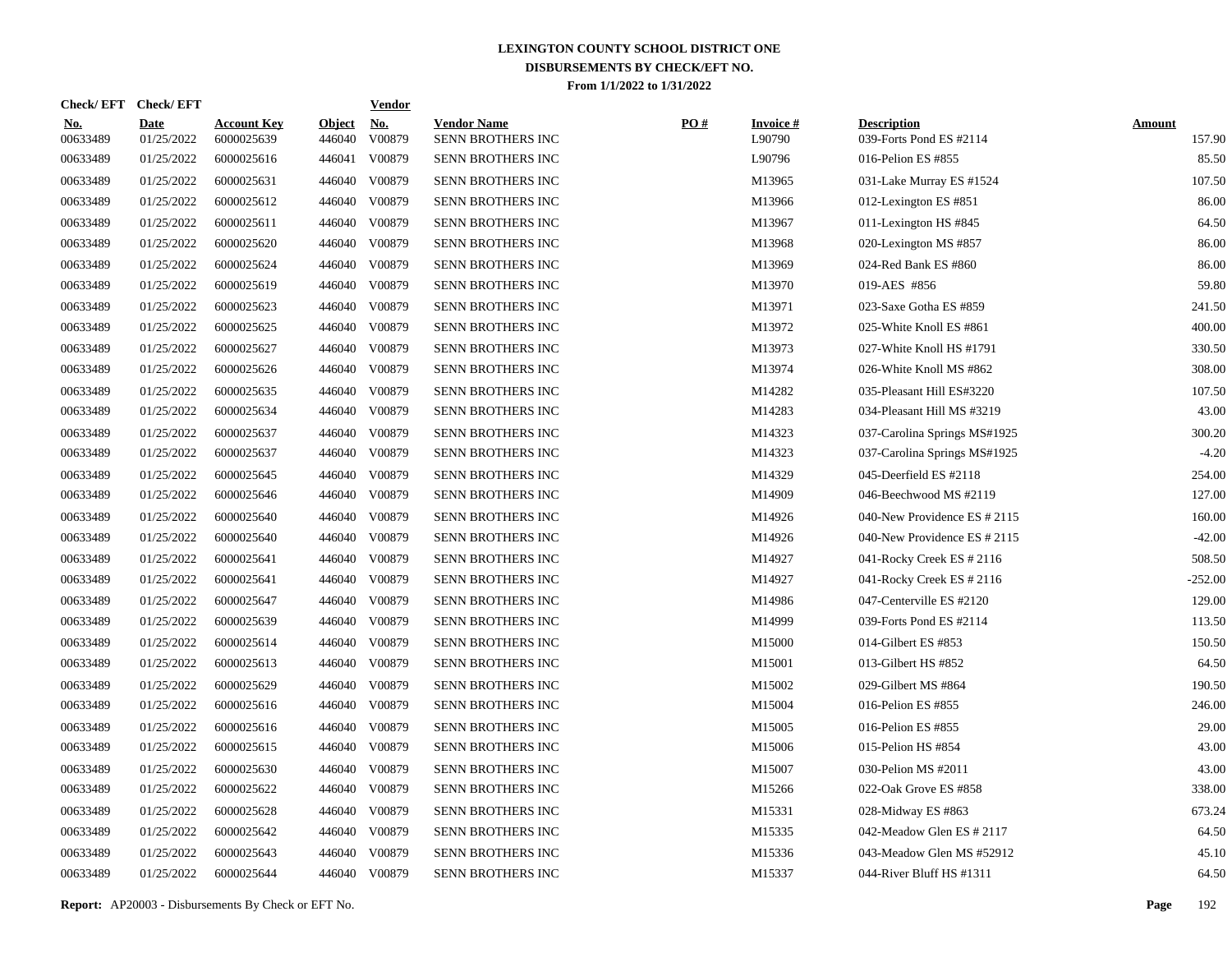| <b>Check/EFT</b>       | <b>Check/EFT</b>          |                                  |                         | <u>Vendor</u>        |                                         |     |                           |                                               |                         |
|------------------------|---------------------------|----------------------------------|-------------------------|----------------------|-----------------------------------------|-----|---------------------------|-----------------------------------------------|-------------------------|
| <u>No.</u><br>00633489 | <b>Date</b><br>01/25/2022 | <b>Account Key</b><br>6000025639 | <b>Object</b><br>446040 | <u>No.</u><br>V00879 | <b>Vendor Name</b><br>SENN BROTHERS INC | PO# | <b>Invoice#</b><br>L90790 | <b>Description</b><br>039-Forts Pond ES #2114 | <b>Amount</b><br>157.90 |
| 00633489               | 01/25/2022                | 6000025616                       | 446041                  | V00879               | <b>SENN BROTHERS INC</b>                |     | L90796                    | 016-Pelion ES #855                            | 85.50                   |
| 00633489               | 01/25/2022                | 6000025631                       | 446040                  | V00879               | <b>SENN BROTHERS INC</b>                |     | M13965                    | 031-Lake Murray ES #1524                      | 107.50                  |
| 00633489               | 01/25/2022                | 6000025612                       | 446040                  | V00879               | SENN BROTHERS INC                       |     | M13966                    | 012-Lexington ES #851                         | 86.00                   |
| 00633489               | 01/25/2022                | 6000025611                       | 446040                  | V00879               | SENN BROTHERS INC                       |     | M13967                    | 011-Lexington HS #845                         | 64.50                   |
| 00633489               | 01/25/2022                | 6000025620                       | 446040                  | V00879               | SENN BROTHERS INC                       |     | M13968                    | 020-Lexington MS #857                         | 86.00                   |
| 00633489               | 01/25/2022                | 6000025624                       |                         | 446040 V00879        | SENN BROTHERS INC                       |     | M13969                    | 024-Red Bank ES #860                          | 86.00                   |
| 00633489               | 01/25/2022                | 6000025619                       | 446040                  | V00879               | SENN BROTHERS INC                       |     | M13970                    | 019-AES #856                                  | 59.80                   |
| 00633489               | 01/25/2022                | 6000025623                       |                         | 446040 V00879        | SENN BROTHERS INC                       |     | M13971                    | 023-Saxe Gotha ES #859                        | 241.50                  |
| 00633489               | 01/25/2022                | 6000025625                       | 446040                  | V00879               | <b>SENN BROTHERS INC</b>                |     | M13972                    | 025-White Knoll ES #861                       | 400.00                  |
| 00633489               | 01/25/2022                | 6000025627                       |                         | 446040 V00879        | <b>SENN BROTHERS INC</b>                |     | M13973                    | 027-White Knoll HS #1791                      | 330.50                  |
| 00633489               | 01/25/2022                | 6000025626                       |                         | 446040 V00879        | SENN BROTHERS INC                       |     | M13974                    | 026-White Knoll MS #862                       | 308.00                  |
| 00633489               | 01/25/2022                | 6000025635                       |                         | 446040 V00879        | SENN BROTHERS INC                       |     | M14282                    | 035-Pleasant Hill ES#3220                     | 107.50                  |
| 00633489               | 01/25/2022                | 6000025634                       |                         | 446040 V00879        | SENN BROTHERS INC                       |     | M14283                    | 034-Pleasant Hill MS #3219                    | 43.00                   |
| 00633489               | 01/25/2022                | 6000025637                       |                         | 446040 V00879        | SENN BROTHERS INC                       |     | M14323                    | 037-Carolina Springs MS#1925                  | 300.20                  |
| 00633489               | 01/25/2022                | 6000025637                       |                         | 446040 V00879        | SENN BROTHERS INC                       |     | M14323                    | 037-Carolina Springs MS#1925                  | $-4.20$                 |
| 00633489               | 01/25/2022                | 6000025645                       |                         | 446040 V00879        | <b>SENN BROTHERS INC</b>                |     | M14329                    | 045-Deerfield ES $\#2118$                     | 254.00                  |
| 00633489               | 01/25/2022                | 6000025646                       |                         | 446040 V00879        | SENN BROTHERS INC                       |     | M14909                    | 046-Beechwood MS #2119                        | 127.00                  |
| 00633489               | 01/25/2022                | 6000025640                       |                         | 446040 V00879        | SENN BROTHERS INC                       |     | M14926                    | 040-New Providence ES # 2115                  | 160.00                  |
| 00633489               | 01/25/2022                | 6000025640                       |                         | 446040 V00879        | SENN BROTHERS INC                       |     | M14926                    | 040-New Providence ES # 2115                  | $-42.00$                |
| 00633489               | 01/25/2022                | 6000025641                       | 446040                  | V00879               | <b>SENN BROTHERS INC</b>                |     | M14927                    | 041-Rocky Creek ES # 2116                     | 508.50                  |
| 00633489               | 01/25/2022                | 6000025641                       |                         | 446040 V00879        | SENN BROTHERS INC                       |     | M14927                    | 041-Rocky Creek ES # 2116                     | $-252.00$               |
| 00633489               | 01/25/2022                | 6000025647                       | 446040                  | V00879               | SENN BROTHERS INC                       |     | M14986                    | 047-Centerville ES #2120                      | 129.00                  |
| 00633489               | 01/25/2022                | 6000025639                       |                         | 446040 V00879        | <b>SENN BROTHERS INC</b>                |     | M14999                    | 039-Forts Pond ES #2114                       | 113.50                  |
| 00633489               | 01/25/2022                | 6000025614                       | 446040                  | V00879               | <b>SENN BROTHERS INC</b>                |     | M15000                    | 014-Gilbert ES #853                           | 150.50                  |
| 00633489               | 01/25/2022                | 6000025613                       |                         | 446040 V00879        | SENN BROTHERS INC                       |     | M15001                    | 013-Gilbert HS #852                           | 64.50                   |
| 00633489               | 01/25/2022                | 6000025629                       | 446040                  | V00879               | SENN BROTHERS INC                       |     | M15002                    | 029-Gilbert MS #864                           | 190.50                  |
| 00633489               | 01/25/2022                | 6000025616                       |                         | 446040 V00879        | <b>SENN BROTHERS INC</b>                |     | M15004                    | 016-Pelion ES #855                            | 246.00                  |
| 00633489               | 01/25/2022                | 6000025616                       | 446040                  | V00879               | SENN BROTHERS INC                       |     | M15005                    | 016-Pelion ES #855                            | 29.00                   |
| 00633489               | 01/25/2022                | 6000025615                       | 446040                  | V00879               | <b>SENN BROTHERS INC</b>                |     | M15006                    | 015-Pelion HS #854                            | 43.00                   |
| 00633489               | 01/25/2022                | 6000025630                       | 446040                  | V00879               | <b>SENN BROTHERS INC</b>                |     | M15007                    | 030-Pelion MS #2011                           | 43.00                   |
| 00633489               | 01/25/2022                | 6000025622                       | 446040                  | V00879               | SENN BROTHERS INC                       |     | M15266                    | 022-Oak Grove ES #858                         | 338.00                  |
| 00633489               | 01/25/2022                | 6000025628                       | 446040                  | V00879               | SENN BROTHERS INC                       |     | M15331                    | 028-Midway ES #863                            | 673.24                  |
| 00633489               | 01/25/2022                | 6000025642                       | 446040                  | V00879               | SENN BROTHERS INC                       |     | M15335                    | 042-Meadow Glen ES # 2117                     | 64.50                   |
| 00633489               | 01/25/2022                | 6000025643                       | 446040                  | V00879               | SENN BROTHERS INC                       |     | M15336                    | 043-Meadow Glen MS #52912                     | 45.10                   |
| 00633489               | 01/25/2022                | 6000025644                       | 446040 V00879           |                      | SENN BROTHERS INC                       |     | M15337                    | 044-River Bluff HS #1311                      | 64.50                   |

**Report:** AP20003 - Disbursements By Check or EFT No. **Page** 192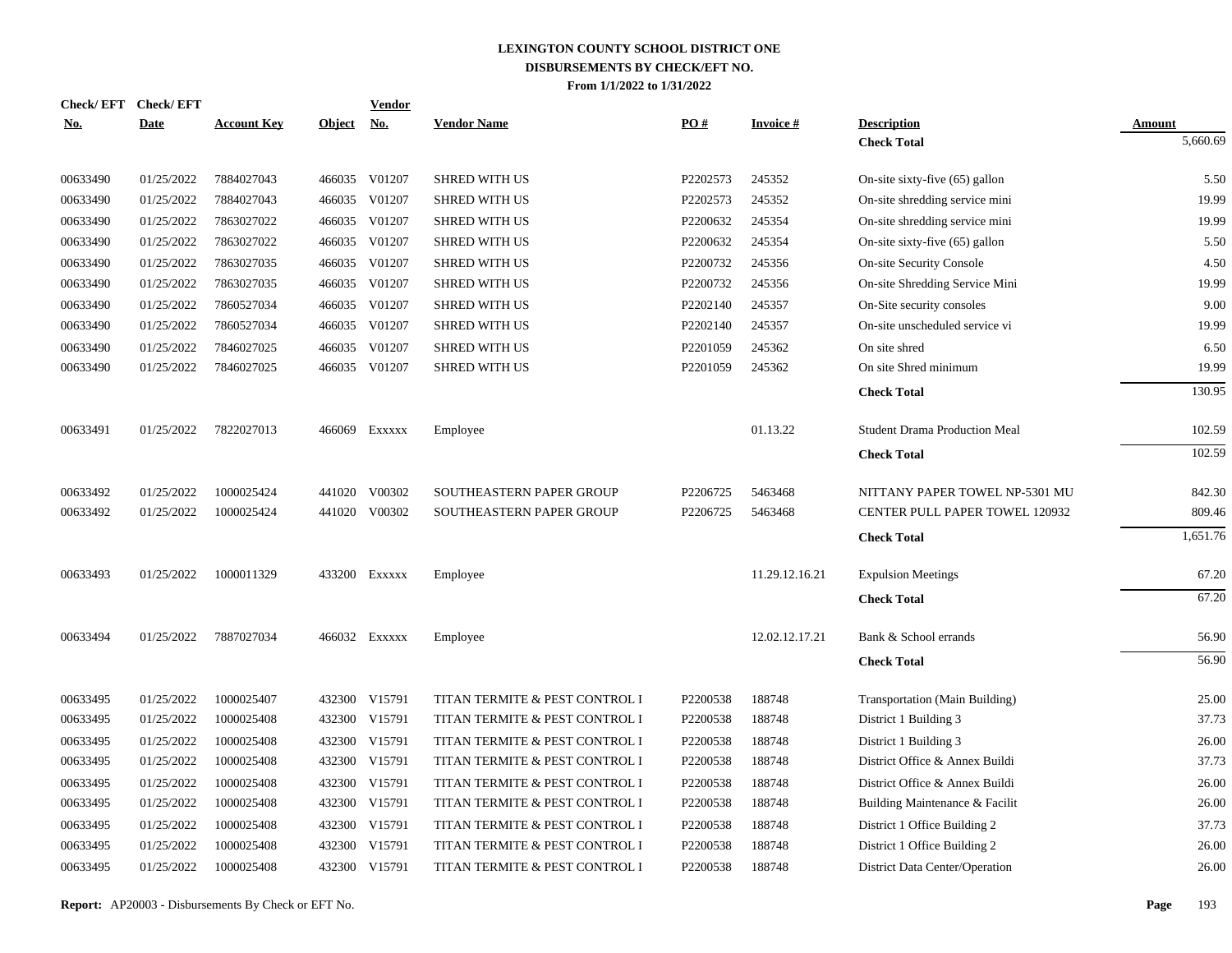| <b>Check/EFT</b> | <b>Check/EFT</b> |                    |               | Vendor        |                                |          |                 |                                       |               |
|------------------|------------------|--------------------|---------------|---------------|--------------------------------|----------|-----------------|---------------------------------------|---------------|
| <u>No.</u>       | <b>Date</b>      | <b>Account Key</b> | <u>Object</u> | <u>No.</u>    | <b>Vendor Name</b>             | PO#      | <b>Invoice#</b> | <b>Description</b>                    | <u>Amount</u> |
|                  |                  |                    |               |               |                                |          |                 | <b>Check Total</b>                    | 5,660.69      |
| 00633490         | 01/25/2022       | 7884027043         |               | 466035 V01207 | <b>SHRED WITH US</b>           | P2202573 | 245352          | On-site sixty-five $(65)$ gallon      | 5.50          |
| 00633490         | 01/25/2022       | 7884027043         | 466035        | V01207        | <b>SHRED WITH US</b>           | P2202573 | 245352          | On-site shredding service mini        | 19.99         |
| 00633490         | 01/25/2022       | 7863027022         | 466035        | V01207        | <b>SHRED WITH US</b>           | P2200632 | 245354          | On-site shredding service mini        | 19.99         |
| 00633490         | 01/25/2022       | 7863027022         | 466035        | V01207        | <b>SHRED WITH US</b>           | P2200632 | 245354          | On-site sixty-five (65) gallon        | 5.50          |
| 00633490         | 01/25/2022       | 7863027035         | 466035        | V01207        | <b>SHRED WITH US</b>           | P2200732 | 245356          | <b>On-site Security Console</b>       | 4.50          |
| 00633490         | 01/25/2022       | 7863027035         | 466035        | V01207        | <b>SHRED WITH US</b>           | P2200732 | 245356          | On-site Shredding Service Mini        | 19.99         |
| 00633490         | 01/25/2022       | 7860527034         | 466035        | V01207        | <b>SHRED WITH US</b>           | P2202140 | 245357          | On-Site security consoles             | 9.00          |
| 00633490         | 01/25/2022       | 7860527034         | 466035        | V01207        | <b>SHRED WITH US</b>           | P2202140 | 245357          | On-site unscheduled service vi        | 19.99         |
| 00633490         | 01/25/2022       | 7846027025         | 466035        | V01207        | <b>SHRED WITH US</b>           | P2201059 | 245362          | On site shred                         | 6.50          |
| 00633490         | 01/25/2022       | 7846027025         |               | 466035 V01207 | <b>SHRED WITH US</b>           | P2201059 | 245362          | On site Shred minimum                 | 19.99         |
|                  |                  |                    |               |               |                                |          |                 | <b>Check Total</b>                    | 130.95        |
| 00633491         | 01/25/2022       | 7822027013         |               | 466069 Exxxxx | Employee                       |          | 01.13.22        | <b>Student Drama Production Meal</b>  | 102.59        |
|                  |                  |                    |               |               |                                |          |                 | <b>Check Total</b>                    | 102.59        |
| 00633492         | 01/25/2022       | 1000025424         | 441020        | V00302        | SOUTHEASTERN PAPER GROUP       | P2206725 | 5463468         | NITTANY PAPER TOWEL NP-5301 MU        | 842.30        |
| 00633492         | 01/25/2022       | 1000025424         | 441020        | V00302        | SOUTHEASTERN PAPER GROUP       | P2206725 | 5463468         | <b>CENTER PULL PAPER TOWEL 120932</b> | 809.46        |
|                  |                  |                    |               |               |                                |          |                 | <b>Check Total</b>                    | 1,651.76      |
| 00633493         | 01/25/2022       | 1000011329         |               | 433200 Exxxxx | Employee                       |          | 11.29.12.16.21  | <b>Expulsion Meetings</b>             | 67.20         |
|                  |                  |                    |               |               |                                |          |                 | <b>Check Total</b>                    | 67.20         |
| 00633494         | 01/25/2022       | 7887027034         |               | 466032 Exxxxx | Employee                       |          | 12.02.12.17.21  | Bank & School errands                 | 56.90         |
|                  |                  |                    |               |               |                                |          |                 | <b>Check Total</b>                    | 56.90         |
| 00633495         | 01/25/2022       | 1000025407         | 432300        | V15791        | TITAN TERMITE & PEST CONTROL I | P2200538 | 188748          | Transportation (Main Building)        | 25.00         |
| 00633495         | 01/25/2022       | 1000025408         | 432300        | V15791        | TITAN TERMITE & PEST CONTROL I | P2200538 | 188748          | District 1 Building 3                 | 37.73         |
| 00633495         | 01/25/2022       | 1000025408         | 432300        | V15791        | TITAN TERMITE & PEST CONTROL I | P2200538 | 188748          | District 1 Building 3                 | 26.00         |
| 00633495         | 01/25/2022       | 1000025408         | 432300        | V15791        | TITAN TERMITE & PEST CONTROL I | P2200538 | 188748          | District Office & Annex Buildi        | 37.73         |
| 00633495         | 01/25/2022       | 1000025408         | 432300        | V15791        | TITAN TERMITE & PEST CONTROL I | P2200538 | 188748          | District Office & Annex Buildi        | 26.00         |
| 00633495         | 01/25/2022       | 1000025408         | 432300        | V15791        | TITAN TERMITE & PEST CONTROL I | P2200538 | 188748          | Building Maintenance & Facilit        | 26.00         |
| 00633495         | 01/25/2022       | 1000025408         | 432300        | V15791        | TITAN TERMITE & PEST CONTROL I | P2200538 | 188748          | District 1 Office Building 2          | 37.73         |
| 00633495         | 01/25/2022       | 1000025408         | 432300        | V15791        | TITAN TERMITE & PEST CONTROL I | P2200538 | 188748          | District 1 Office Building 2          | 26.00         |
| 00633495         | 01/25/2022       | 1000025408         |               | 432300 V15791 | TITAN TERMITE & PEST CONTROL I | P2200538 | 188748          | District Data Center/Operation        | 26.00         |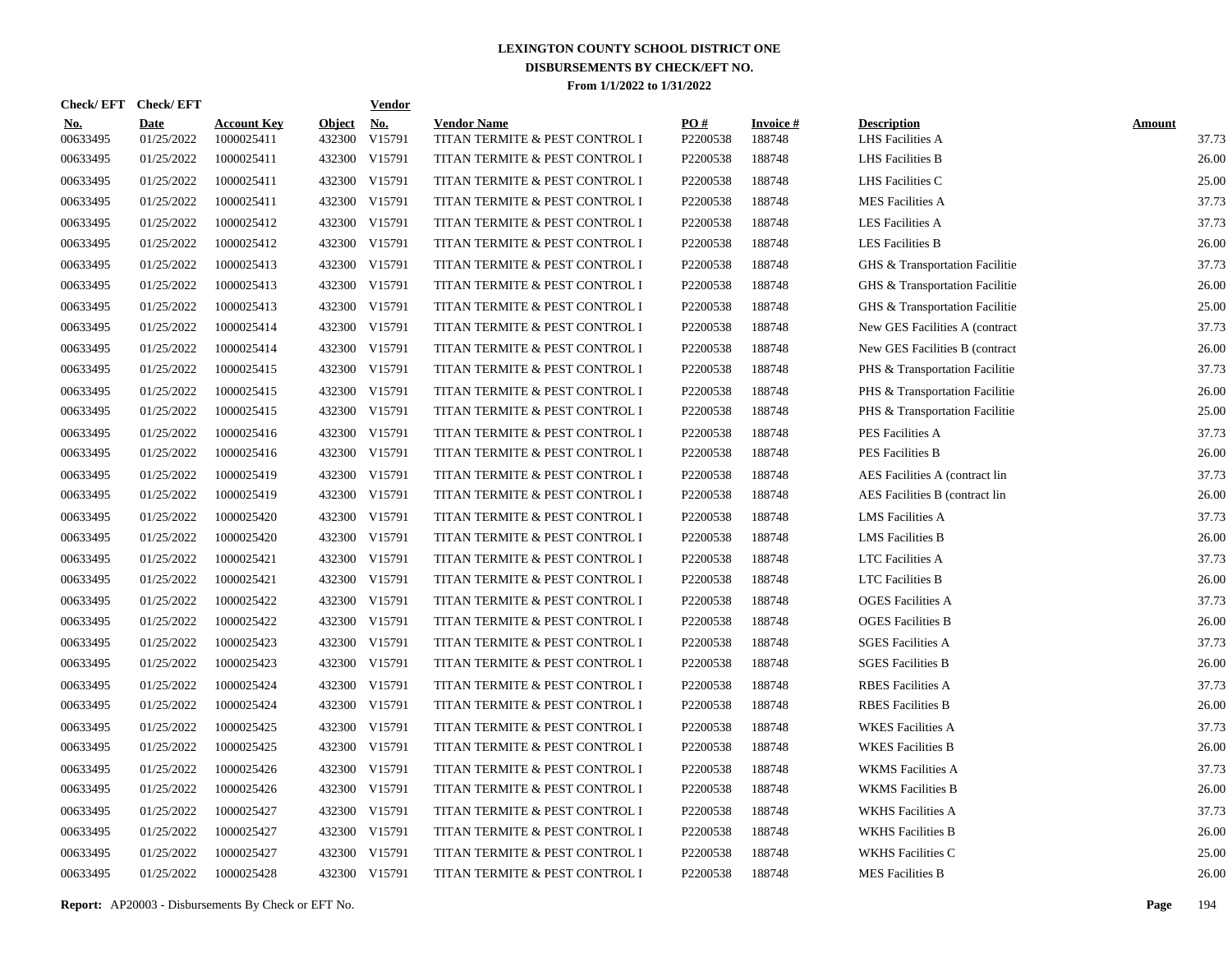| Check/EFT Check/EFT    |                           |                                  |                         | <b>Vendor</b>                       |                                                      |                 |                           |                                        |                        |
|------------------------|---------------------------|----------------------------------|-------------------------|-------------------------------------|------------------------------------------------------|-----------------|---------------------------|----------------------------------------|------------------------|
| <u>No.</u><br>00633495 | <b>Date</b><br>01/25/2022 | <b>Account Key</b><br>1000025411 | <b>Object</b><br>432300 | $\underline{\textbf{No}}$<br>V15791 | <b>Vendor Name</b><br>TITAN TERMITE & PEST CONTROL I | PO#<br>P2200538 | <b>Invoice#</b><br>188748 | <b>Description</b><br>LHS Facilities A | <b>Amount</b><br>37.73 |
| 00633495               | 01/25/2022                | 1000025411                       |                         | 432300 V15791                       | TITAN TERMITE & PEST CONTROL I                       | P2200538        | 188748                    | <b>LHS</b> Facilities B                | 26.00                  |
| 00633495               | 01/25/2022                | 1000025411                       |                         | 432300 V15791                       | TITAN TERMITE & PEST CONTROL I                       | P2200538        | 188748                    | LHS Facilities C                       | 25.00                  |
| 00633495               | 01/25/2022                | 1000025411                       |                         | 432300 V15791                       | TITAN TERMITE & PEST CONTROL I                       | P2200538        | 188748                    | <b>MES Facilities A</b>                | 37.73                  |
| 00633495               | 01/25/2022                | 1000025412                       |                         | 432300 V15791                       | TITAN TERMITE & PEST CONTROL I                       | P2200538        | 188748                    | <b>LES Facilities A</b>                | 37.73                  |
| 00633495               | 01/25/2022                | 1000025412                       |                         | 432300 V15791                       | TITAN TERMITE & PEST CONTROL I                       | P2200538        | 188748                    | <b>LES Facilities B</b>                | 26.00                  |
| 00633495               | 01/25/2022                | 1000025413                       |                         | 432300 V15791                       | TITAN TERMITE & PEST CONTROL I                       | P2200538        | 188748                    | GHS & Transportation Facilitie         | 37.73                  |
| 00633495               | 01/25/2022                | 1000025413                       |                         | 432300 V15791                       | TITAN TERMITE & PEST CONTROL I                       | P2200538        | 188748                    | GHS & Transportation Facilitie         | 26.00                  |
| 00633495               | 01/25/2022                | 1000025413                       |                         | 432300 V15791                       | TITAN TERMITE & PEST CONTROL I                       | P2200538        | 188748                    | GHS & Transportation Facilitie         | 25.00                  |
| 00633495               | 01/25/2022                | 1000025414                       |                         | 432300 V15791                       | TITAN TERMITE & PEST CONTROL I                       | P2200538        | 188748                    | New GES Facilities A (contract         | 37.73                  |
| 00633495               | 01/25/2022                | 1000025414                       |                         | 432300 V15791                       | TITAN TERMITE & PEST CONTROL I                       | P2200538        | 188748                    | New GES Facilities B (contract)        | 26.00                  |
| 00633495               | 01/25/2022                | 1000025415                       |                         | 432300 V15791                       | TITAN TERMITE & PEST CONTROL I                       | P2200538        | 188748                    | PHS & Transportation Facilitie         | 37.73                  |
| 00633495               | 01/25/2022                | 1000025415                       |                         | 432300 V15791                       | TITAN TERMITE & PEST CONTROL I                       | P2200538        | 188748                    | PHS & Transportation Facilitie         | 26.00                  |
| 00633495               | 01/25/2022                | 1000025415                       |                         | 432300 V15791                       | TITAN TERMITE & PEST CONTROL I                       | P2200538        | 188748                    | PHS & Transportation Facilitie         | 25.00                  |
| 00633495               | 01/25/2022                | 1000025416                       |                         | 432300 V15791                       | TITAN TERMITE & PEST CONTROL I                       | P2200538        | 188748                    | PES Facilities A                       | 37.73                  |
| 00633495               | 01/25/2022                | 1000025416                       |                         | 432300 V15791                       | TITAN TERMITE & PEST CONTROL I                       | P2200538        | 188748                    | <b>PES Facilities B</b>                | 26.00                  |
| 00633495               | 01/25/2022                | 1000025419                       |                         | 432300 V15791                       | TITAN TERMITE & PEST CONTROL I                       | P2200538        | 188748                    | AES Facilities A (contract lin         | 37.73                  |
| 00633495               | 01/25/2022                | 1000025419                       |                         | 432300 V15791                       | TITAN TERMITE & PEST CONTROL I                       | P2200538        | 188748                    | AES Facilities B (contract lin         | 26.00                  |
| 00633495               | 01/25/2022                | 1000025420                       | 432300                  | V15791                              | TITAN TERMITE & PEST CONTROL I                       | P2200538        | 188748                    | <b>LMS</b> Facilities A                | 37.73                  |
| 00633495               | 01/25/2022                | 1000025420                       |                         | 432300 V15791                       | TITAN TERMITE & PEST CONTROL I                       | P2200538        | 188748                    | <b>LMS</b> Facilities B                | 26.00                  |
| 00633495               | 01/25/2022                | 1000025421                       | 432300                  | V15791                              | TITAN TERMITE & PEST CONTROL I                       | P2200538        | 188748                    | <b>LTC</b> Facilities A                | 37.73                  |
| 00633495               | 01/25/2022                | 1000025421                       |                         | 432300 V15791                       | TITAN TERMITE & PEST CONTROL I                       | P2200538        | 188748                    | <b>LTC</b> Facilities B                | 26.00                  |
| 00633495               | 01/25/2022                | 1000025422                       | 432300                  | V15791                              | TITAN TERMITE & PEST CONTROL I                       | P2200538        | 188748                    | <b>OGES</b> Facilities A               | 37.73                  |
| 00633495               | 01/25/2022                | 1000025422                       |                         | 432300 V15791                       | TITAN TERMITE & PEST CONTROL I                       | P2200538        | 188748                    | <b>OGES</b> Facilities B               | 26.00                  |
| 00633495               | 01/25/2022                | 1000025423                       | 432300                  | V15791                              | TITAN TERMITE & PEST CONTROL I                       | P2200538        | 188748                    | <b>SGES Facilities A</b>               | 37.73                  |
| 00633495               | 01/25/2022                | 1000025423                       |                         | 432300 V15791                       | TITAN TERMITE & PEST CONTROL I                       | P2200538        | 188748                    | <b>SGES Facilities B</b>               | 26.00                  |
| 00633495               | 01/25/2022                | 1000025424                       | 432300                  | V15791                              | TITAN TERMITE & PEST CONTROL I                       | P2200538        | 188748                    | <b>RBES</b> Facilities A               | 37.73                  |
| 00633495               | 01/25/2022                | 1000025424                       | 432300                  | V15791                              | TITAN TERMITE & PEST CONTROL I                       | P2200538        | 188748                    | <b>RBES</b> Facilities B               | 26.00                  |
| 00633495               | 01/25/2022                | 1000025425                       | 432300                  | V15791                              | TITAN TERMITE & PEST CONTROL I                       | P2200538        | 188748                    | <b>WKES</b> Facilities A               | 37.73                  |
| 00633495               | 01/25/2022                | 1000025425                       | 432300                  | V15791                              | TITAN TERMITE & PEST CONTROL I                       | P2200538        | 188748                    | <b>WKES Facilities B</b>               | 26.00                  |
| 00633495               | 01/25/2022                | 1000025426                       | 432300                  | V15791                              | TITAN TERMITE & PEST CONTROL I                       | P2200538        | 188748                    | <b>WKMS</b> Facilities A               | 37.73                  |
| 00633495               | 01/25/2022                | 1000025426                       | 432300                  | V15791                              | TITAN TERMITE & PEST CONTROL I                       | P2200538        | 188748                    | <b>WKMS</b> Facilities B               | 26.00                  |
| 00633495               | 01/25/2022                | 1000025427                       | 432300                  | V15791                              | TITAN TERMITE & PEST CONTROL I                       | P2200538        | 188748                    | <b>WKHS Facilities A</b>               | 37.73                  |
| 00633495               | 01/25/2022                | 1000025427                       | 432300                  | V15791                              | TITAN TERMITE & PEST CONTROL I                       | P2200538        | 188748                    | <b>WKHS Facilities B</b>               | 26.00                  |
| 00633495               | 01/25/2022                | 1000025427                       | 432300                  | V15791                              | TITAN TERMITE & PEST CONTROL I                       | P2200538        | 188748                    | <b>WKHS Facilities C</b>               | 25.00                  |
| 00633495               | 01/25/2022                | 1000025428                       |                         | 432300 V15791                       | TITAN TERMITE & PEST CONTROL I                       | P2200538        | 188748                    | <b>MES</b> Facilities B                | 26.00                  |

**Report:** AP20003 - Disbursements By Check or EFT No. **Page** 194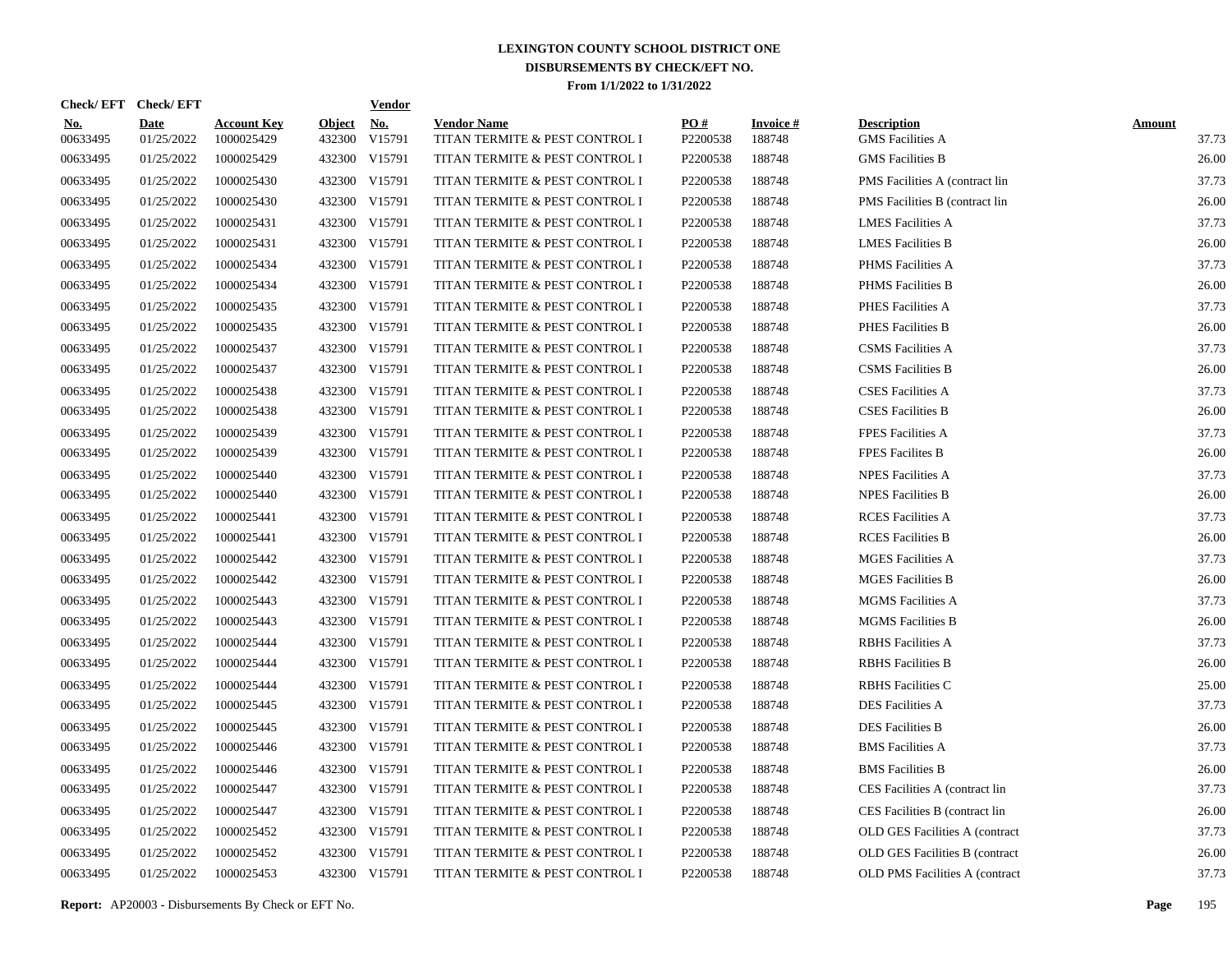| Check/EFT Check/EFT    |                           |                                  |                         | <b>Vendor</b>        |                                                      |                 |                           |                                               |                        |
|------------------------|---------------------------|----------------------------------|-------------------------|----------------------|------------------------------------------------------|-----------------|---------------------------|-----------------------------------------------|------------------------|
| <u>No.</u><br>00633495 | <b>Date</b><br>01/25/2022 | <b>Account Key</b><br>1000025429 | <b>Object</b><br>432300 | <u>No.</u><br>V15791 | <b>Vendor Name</b><br>TITAN TERMITE & PEST CONTROL I | PO#<br>P2200538 | <b>Invoice#</b><br>188748 | <b>Description</b><br><b>GMS</b> Facilities A | <b>Amount</b><br>37.73 |
| 00633495               | 01/25/2022                | 1000025429                       |                         | 432300 V15791        | TITAN TERMITE & PEST CONTROL I                       | P2200538        | 188748                    | <b>GMS</b> Facilities B                       | 26.00                  |
| 00633495               | 01/25/2022                | 1000025430                       |                         | 432300 V15791        | TITAN TERMITE & PEST CONTROL I                       | P2200538        | 188748                    | PMS Facilities A (contract lin                | 37.73                  |
| 00633495               | 01/25/2022                | 1000025430                       |                         | 432300 V15791        | TITAN TERMITE & PEST CONTROL I                       | P2200538        | 188748                    | PMS Facilities B (contract lin                | 26.00                  |
| 00633495               | 01/25/2022                | 1000025431                       |                         | 432300 V15791        | TITAN TERMITE & PEST CONTROL I                       | P2200538        | 188748                    | <b>LMES Facilities A</b>                      | 37.73                  |
| 00633495               | 01/25/2022                | 1000025431                       |                         | 432300 V15791        | TITAN TERMITE & PEST CONTROL I                       | P2200538        | 188748                    | <b>LMES Facilities B</b>                      | 26.00                  |
| 00633495               | 01/25/2022                | 1000025434                       |                         | 432300 V15791        | TITAN TERMITE & PEST CONTROL I                       | P2200538        | 188748                    | PHMS Facilities A                             | 37.73                  |
| 00633495               | 01/25/2022                | 1000025434                       |                         | 432300 V15791        | TITAN TERMITE & PEST CONTROL I                       | P2200538        | 188748                    | <b>PHMS</b> Facilities B                      | 26.00                  |
| 00633495               | 01/25/2022                | 1000025435                       |                         | 432300 V15791        | TITAN TERMITE & PEST CONTROL I                       | P2200538        | 188748                    | PHES Facilities A                             | 37.73                  |
| 00633495               | 01/25/2022                | 1000025435                       |                         | 432300 V15791        | TITAN TERMITE & PEST CONTROL I                       | P2200538        | 188748                    | PHES Facilities B                             | 26.00                  |
| 00633495               | 01/25/2022                | 1000025437                       |                         | 432300 V15791        | TITAN TERMITE & PEST CONTROL I                       | P2200538        | 188748                    | <b>CSMS</b> Facilities A                      | 37.73                  |
| 00633495               | 01/25/2022                | 1000025437                       |                         | 432300 V15791        | TITAN TERMITE & PEST CONTROL I                       | P2200538        | 188748                    | <b>CSMS</b> Facilities B                      | 26.00                  |
| 00633495               | 01/25/2022                | 1000025438                       |                         | 432300 V15791        | TITAN TERMITE & PEST CONTROL I                       | P2200538        | 188748                    | <b>CSES Facilities A</b>                      | 37.73                  |
| 00633495               | 01/25/2022                | 1000025438                       |                         | 432300 V15791        | TITAN TERMITE & PEST CONTROL I                       | P2200538        | 188748                    | <b>CSES Facilities B</b>                      | 26.00                  |
| 00633495               | 01/25/2022                | 1000025439                       | 432300                  | V15791               | TITAN TERMITE & PEST CONTROL I                       | P2200538        | 188748                    | <b>FPES Facilities A</b>                      | 37.73                  |
| 00633495               | 01/25/2022                | 1000025439                       |                         | 432300 V15791        | TITAN TERMITE & PEST CONTROL I                       | P2200538        | 188748                    | <b>FPES Facilites B</b>                       | 26.00                  |
| 00633495               | 01/25/2022                | 1000025440                       | 432300                  | V15791               | TITAN TERMITE & PEST CONTROL I                       | P2200538        | 188748                    | <b>NPES Facilities A</b>                      | 37.73                  |
| 00633495               | 01/25/2022                | 1000025440                       |                         | 432300 V15791        | TITAN TERMITE & PEST CONTROL I                       | P2200538        | 188748                    | <b>NPES Facilities B</b>                      | 26.00                  |
| 00633495               | 01/25/2022                | 1000025441                       | 432300                  | V15791               | TITAN TERMITE & PEST CONTROL I                       | P2200538        | 188748                    | <b>RCES</b> Facilities A                      | 37.73                  |
| 00633495               | 01/25/2022                | 1000025441                       |                         | 432300 V15791        | TITAN TERMITE & PEST CONTROL I                       | P2200538        | 188748                    | <b>RCES</b> Facilities B                      | 26.00                  |
| 00633495               | 01/25/2022                | 1000025442                       | 432300                  | V15791               | TITAN TERMITE & PEST CONTROL I                       | P2200538        | 188748                    | <b>MGES Facilities A</b>                      | 37.73                  |
| 00633495               | 01/25/2022                | 1000025442                       | 432300                  | V15791               | TITAN TERMITE & PEST CONTROL I                       | P2200538        | 188748                    | <b>MGES Facilities B</b>                      | 26.00                  |
| 00633495               | 01/25/2022                | 1000025443                       | 432300                  | V15791               | TITAN TERMITE & PEST CONTROL I                       | P2200538        | 188748                    | <b>MGMS</b> Facilities A                      | 37.73                  |
| 00633495               | 01/25/2022                | 1000025443                       | 432300                  | V15791               | TITAN TERMITE & PEST CONTROL I                       | P2200538        | 188748                    | <b>MGMS</b> Facilities B                      | 26.00                  |
| 00633495               | 01/25/2022                | 1000025444                       | 432300                  | V15791               | TITAN TERMITE & PEST CONTROL I                       | P2200538        | 188748                    | <b>RBHS</b> Facilities A                      | 37.73                  |
| 00633495               | 01/25/2022                | 1000025444                       | 432300                  | V15791               | TITAN TERMITE & PEST CONTROL I                       | P2200538        | 188748                    | <b>RBHS</b> Facilities B                      | 26.00                  |
| 00633495               | 01/25/2022                | 1000025444                       | 432300                  | V15791               | TITAN TERMITE & PEST CONTROL I                       | P2200538        | 188748                    | <b>RBHS</b> Facilities C                      | 25.00                  |
| 00633495               | 01/25/2022                | 1000025445                       | 432300                  | V15791               | TITAN TERMITE & PEST CONTROL I                       | P2200538        | 188748                    | <b>DES Facilities A</b>                       | 37.73                  |
| 00633495               | 01/25/2022                | 1000025445                       | 432300                  | V15791               | TITAN TERMITE & PEST CONTROL I                       | P2200538        | 188748                    | <b>DES Facilities B</b>                       | 26.00                  |
| 00633495               | 01/25/2022                | 1000025446                       |                         | 432300 V15791        | TITAN TERMITE & PEST CONTROL I                       | P2200538        | 188748                    | <b>BMS</b> Facilities A                       | 37.73                  |
| 00633495               | 01/25/2022                | 1000025446                       | 432300                  | V15791               | TITAN TERMITE & PEST CONTROL I                       | P2200538        | 188748                    | <b>BMS</b> Facilities B                       | 26.00                  |
| 00633495               | 01/25/2022                | 1000025447                       | 432300                  | V15791               | TITAN TERMITE & PEST CONTROL I                       | P2200538        | 188748                    | CES Facilities A (contract lin                | 37.73                  |
| 00633495               | 01/25/2022                | 1000025447                       | 432300                  | V15791               | TITAN TERMITE & PEST CONTROL I                       | P2200538        | 188748                    | CES Facilities B (contract lin                | 26.00                  |
| 00633495               | 01/25/2022                | 1000025452                       | 432300                  | V15791               | TITAN TERMITE & PEST CONTROL I                       | P2200538        | 188748                    | OLD GES Facilities A (contract                | 37.73                  |
| 00633495               | 01/25/2022                | 1000025452                       | 432300                  | V15791               | TITAN TERMITE & PEST CONTROL I                       | P2200538        | 188748                    | OLD GES Facilities B (contract                | 26.00                  |
| 00633495               | 01/25/2022                | 1000025453                       |                         | 432300 V15791        | TITAN TERMITE & PEST CONTROL I                       | P2200538        | 188748                    | <b>OLD PMS Facilities A (contract)</b>        | 37.73                  |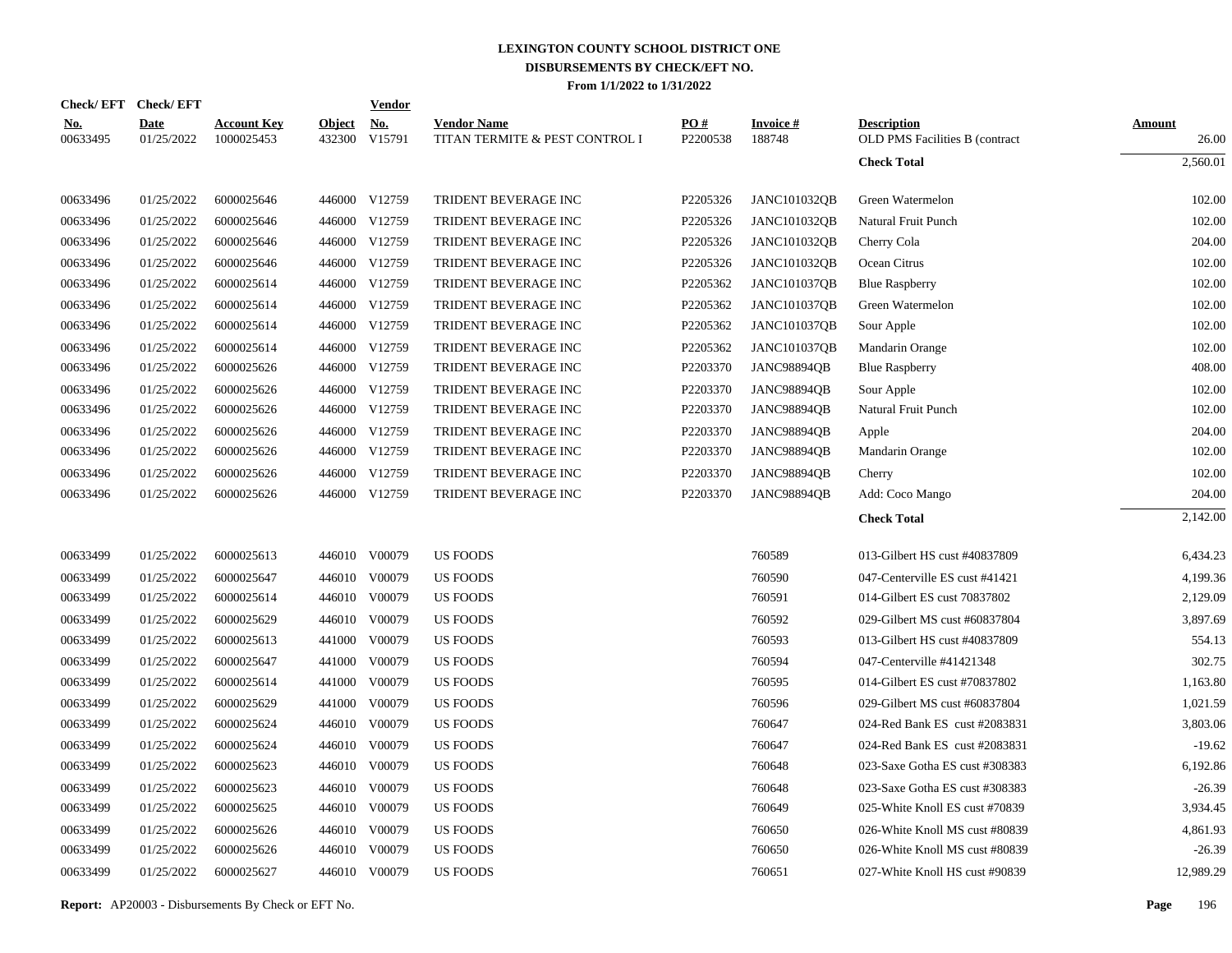|                        | Check/EFT Check/EFT       |                                  |               | <u>Vendor</u>                  |                                                      |                 |                           |                                                                  |                        |
|------------------------|---------------------------|----------------------------------|---------------|--------------------------------|------------------------------------------------------|-----------------|---------------------------|------------------------------------------------------------------|------------------------|
| <u>No.</u><br>00633495 | <b>Date</b><br>01/25/2022 | <b>Account Key</b><br>1000025453 | <b>Object</b> | <u>No.</u><br>432300 V15791    | <b>Vendor Name</b><br>TITAN TERMITE & PEST CONTROL I | PO#<br>P2200538 | <b>Invoice#</b><br>188748 | <b>Description</b><br><b>OLD PMS Facilities B (contract)</b>     | <b>Amount</b><br>26.00 |
|                        |                           |                                  |               |                                |                                                      |                 |                           | <b>Check Total</b>                                               | 2,560.01               |
| 00633496               | 01/25/2022                | 6000025646                       |               | 446000 V12759                  | TRIDENT BEVERAGE INC                                 | P2205326        | <b>JANC101032QB</b>       | Green Watermelon                                                 | 102.00                 |
| 00633496               | 01/25/2022                | 6000025646                       |               | 446000 V12759                  | TRIDENT BEVERAGE INC                                 | P2205326        | <b>JANC101032QB</b>       | Natural Fruit Punch                                              | 102.00                 |
| 00633496               | 01/25/2022                | 6000025646                       |               | 446000 V12759                  | TRIDENT BEVERAGE INC                                 | P2205326        | <b>JANC101032QB</b>       | Cherry Cola                                                      | 204.00                 |
| 00633496               | 01/25/2022                | 6000025646                       |               | 446000 V12759                  | TRIDENT BEVERAGE INC                                 | P2205326        | <b>JANC101032QB</b>       | Ocean Citrus                                                     | 102.00                 |
| 00633496               | 01/25/2022                | 6000025614                       |               | 446000 V12759                  | TRIDENT BEVERAGE INC                                 | P2205362        | <b>JANC101037QB</b>       | <b>Blue Raspberry</b>                                            | 102.00                 |
| 00633496               | 01/25/2022                | 6000025614                       |               | 446000 V12759                  | TRIDENT BEVERAGE INC                                 | P2205362        | <b>JANC101037OB</b>       | Green Watermelon                                                 | 102.00                 |
| 00633496               | 01/25/2022                | 6000025614                       |               | 446000 V12759                  | TRIDENT BEVERAGE INC                                 | P2205362        | <b>JANC101037QB</b>       | Sour Apple                                                       | 102.00                 |
| 00633496               | 01/25/2022                | 6000025614                       |               | 446000 V12759                  | TRIDENT BEVERAGE INC                                 | P2205362        | <b>JANC101037QB</b>       | Mandarin Orange                                                  | 102.00                 |
| 00633496               | 01/25/2022                | 6000025626                       |               | 446000 V12759                  | TRIDENT BEVERAGE INC                                 | P2203370        | <b>JANC98894QB</b>        | <b>Blue Raspberry</b>                                            | 408.00                 |
| 00633496               | 01/25/2022                | 6000025626                       |               | 446000 V12759                  | TRIDENT BEVERAGE INC                                 | P2203370        | <b>JANC98894OB</b>        | Sour Apple                                                       | 102.00                 |
| 00633496               | 01/25/2022                | 6000025626                       |               | 446000 V12759                  | TRIDENT BEVERAGE INC                                 | P2203370        | <b>JANC98894QB</b>        | Natural Fruit Punch                                              | 102.00                 |
| 00633496               | 01/25/2022                | 6000025626                       |               | 446000 V12759                  | TRIDENT BEVERAGE INC                                 | P2203370        | <b>JANC98894OB</b>        | Apple                                                            | 204.00                 |
| 00633496               | 01/25/2022                | 6000025626                       |               | 446000 V12759                  | TRIDENT BEVERAGE INC                                 | P2203370        | <b>JANC98894QB</b>        | Mandarin Orange                                                  | 102.00                 |
| 00633496               | 01/25/2022                | 6000025626                       |               | 446000 V12759                  | TRIDENT BEVERAGE INC                                 | P2203370        | <b>JANC98894QB</b>        | Cherry                                                           | 102.00                 |
| 00633496               | 01/25/2022                | 6000025626                       |               | 446000 V12759                  | TRIDENT BEVERAGE INC                                 | P2203370        | <b>JANC98894OB</b>        | Add: Coco Mango                                                  | 204.00                 |
|                        |                           |                                  |               |                                |                                                      |                 |                           | <b>Check Total</b>                                               | 2,142.00               |
|                        |                           |                                  |               |                                |                                                      |                 |                           |                                                                  |                        |
| 00633499               | 01/25/2022                | 6000025613                       |               | 446010 V00079                  | <b>US FOODS</b>                                      |                 | 760589                    | 013-Gilbert HS cust #40837809                                    | 6,434.23               |
| 00633499               | 01/25/2022                | 6000025647                       |               | 446010 V00079                  | US FOODS                                             |                 | 760590                    | 047-Centerville ES cust #41421                                   | 4,199.36               |
| 00633499               | 01/25/2022                | 6000025614                       |               | 446010 V00079                  | US FOODS                                             |                 | 760591                    | 014-Gilbert ES cust 70837802                                     | 2,129.09               |
| 00633499               | 01/25/2022                | 6000025629                       |               | 446010 V00079                  | <b>US FOODS</b>                                      |                 | 760592                    | 029-Gilbert MS cust #60837804                                    | 3,897.69               |
| 00633499               | 01/25/2022                | 6000025613                       | 441000        | V00079                         | <b>US FOODS</b>                                      |                 | 760593                    | 013-Gilbert HS cust #40837809                                    | 554.13                 |
| 00633499               | 01/25/2022                | 6000025647                       | 441000        | V00079                         | US FOODS                                             |                 | 760594                    | 047-Centerville #41421348                                        | 302.75                 |
| 00633499               | 01/25/2022                | 6000025614                       | 441000        | V00079                         | <b>US FOODS</b>                                      |                 | 760595                    | 014-Gilbert ES cust #70837802                                    | 1,163.80               |
| 00633499               | 01/25/2022                | 6000025629                       | 441000        | V00079                         | <b>US FOODS</b>                                      |                 | 760596                    | 029-Gilbert MS cust #60837804                                    | 1,021.59               |
| 00633499               | 01/25/2022                | 6000025624                       |               | 446010 V00079                  | <b>US FOODS</b>                                      |                 | 760647                    | 024-Red Bank ES cust #2083831                                    | 3,803.06               |
| 00633499               | 01/25/2022                | 6000025624                       |               | 446010 V00079                  | <b>US FOODS</b>                                      |                 | 760647                    | 024-Red Bank ES cust #2083831                                    | $-19.62$               |
| 00633499               | 01/25/2022                | 6000025623                       |               | 446010 V00079                  | <b>US FOODS</b>                                      |                 | 760648                    | 023-Saxe Gotha ES cust #308383                                   | 6,192.86               |
| 00633499               | 01/25/2022                | 6000025623                       |               | 446010 V00079                  | <b>US FOODS</b>                                      |                 | 760648                    | 023-Saxe Gotha ES cust #308383                                   | $-26.39$               |
| 00633499               | 01/25/2022                | 6000025625                       |               | 446010 V00079                  | <b>US FOODS</b>                                      |                 | 760649                    | 025-White Knoll ES cust #70839                                   | 3,934.45               |
| 00633499<br>00633499   | 01/25/2022<br>01/25/2022  | 6000025626<br>6000025626         |               | 446010 V00079<br>446010 V00079 | <b>US FOODS</b><br><b>US FOODS</b>                   |                 | 760650<br>760650          | 026-White Knoll MS cust #80839<br>026-White Knoll MS cust #80839 | 4,861.93<br>$-26.39$   |
|                        |                           |                                  |               |                                |                                                      |                 |                           |                                                                  |                        |
| 00633499               | 01/25/2022                | 6000025627                       |               | 446010 V00079                  | <b>US FOODS</b>                                      |                 | 760651                    | 027-White Knoll HS cust #90839                                   | 12,989.29              |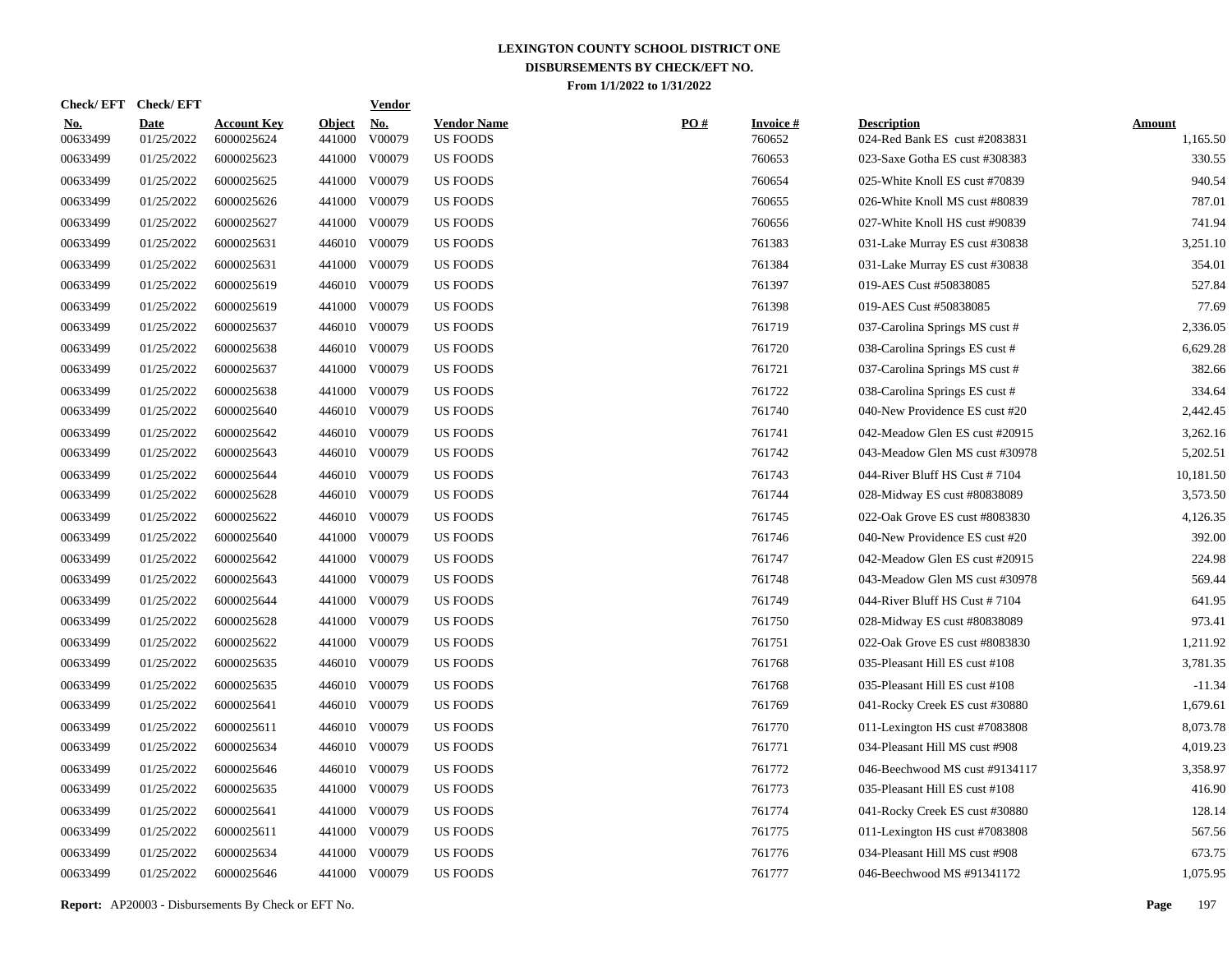| <b>Check/EFT</b>       | <b>Check/EFT</b>          |                                  |                         | <b>Vendor</b>        |                                       |     |                           |                                                     |                           |
|------------------------|---------------------------|----------------------------------|-------------------------|----------------------|---------------------------------------|-----|---------------------------|-----------------------------------------------------|---------------------------|
| <u>No.</u><br>00633499 | <b>Date</b><br>01/25/2022 | <b>Account Key</b><br>6000025624 | <b>Object</b><br>441000 | <u>No.</u><br>V00079 | <b>Vendor Name</b><br><b>US FOODS</b> | PO# | <b>Invoice#</b><br>760652 | <b>Description</b><br>024-Red Bank ES cust #2083831 | <b>Amount</b><br>1,165.50 |
| 00633499               | 01/25/2022                | 6000025623                       | 441000                  | V00079               | <b>US FOODS</b>                       |     | 760653                    | 023-Saxe Gotha ES cust #308383                      | 330.55                    |
| 00633499               | 01/25/2022                | 6000025625                       | 441000                  | V00079               | <b>US FOODS</b>                       |     | 760654                    | 025-White Knoll ES cust #70839                      | 940.54                    |
| 00633499               | 01/25/2022                | 6000025626                       | 441000                  | V00079               | <b>US FOODS</b>                       |     | 760655                    | 026-White Knoll MS cust #80839                      | 787.01                    |
| 00633499               | 01/25/2022                | 6000025627                       | 441000                  | V00079               | <b>US FOODS</b>                       |     | 760656                    | 027-White Knoll HS cust #90839                      | 741.94                    |
| 00633499               | 01/25/2022                | 6000025631                       |                         | 446010 V00079        | <b>US FOODS</b>                       |     | 761383                    | 031-Lake Murray ES cust #30838                      | 3,251.10                  |
| 00633499               | 01/25/2022                | 6000025631                       | 441000                  | V00079               | <b>US FOODS</b>                       |     | 761384                    | 031-Lake Murray ES cust #30838                      | 354.01                    |
| 00633499               | 01/25/2022                | 6000025619                       | 446010                  | V00079               | <b>US FOODS</b>                       |     | 761397                    | 019-AES Cust #50838085                              | 527.84                    |
| 00633499               | 01/25/2022                | 6000025619                       | 441000                  | V00079               | <b>US FOODS</b>                       |     | 761398                    | 019-AES Cust #50838085                              | 77.69                     |
| 00633499               | 01/25/2022                | 6000025637                       | 446010                  | V00079               | US FOODS                              |     | 761719                    | 037-Carolina Springs MS cust #                      | 2,336.05                  |
| 00633499               | 01/25/2022                | 6000025638                       |                         | 446010 V00079        | US FOODS                              |     | 761720                    | 038-Carolina Springs ES cust #                      | 6,629.28                  |
| 00633499               | 01/25/2022                | 6000025637                       | 441000                  | V00079               | <b>US FOODS</b>                       |     | 761721                    | 037-Carolina Springs MS cust #                      | 382.66                    |
| 00633499               | 01/25/2022                | 6000025638                       | 441000                  | V00079               | <b>US FOODS</b>                       |     | 761722                    | 038-Carolina Springs ES cust #                      | 334.64                    |
| 00633499               | 01/25/2022                | 6000025640                       |                         | 446010 V00079        | <b>US FOODS</b>                       |     | 761740                    | 040-New Providence ES cust #20                      | 2,442.45                  |
| 00633499               | 01/25/2022                | 6000025642                       |                         | 446010 V00079        | <b>US FOODS</b>                       |     | 761741                    | 042-Meadow Glen ES cust #20915                      | 3,262.16                  |
| 00633499               | 01/25/2022                | 6000025643                       |                         | 446010 V00079        | <b>US FOODS</b>                       |     | 761742                    | 043-Meadow Glen MS cust #30978                      | 5,202.51                  |
| 00633499               | 01/25/2022                | 6000025644                       |                         | 446010 V00079        | <b>US FOODS</b>                       |     | 761743                    | 044-River Bluff HS Cust #7104                       | 10,181.50                 |
| 00633499               | 01/25/2022                | 6000025628                       |                         | 446010 V00079        | <b>US FOODS</b>                       |     | 761744                    | 028-Midway ES cust #80838089                        | 3,573.50                  |
| 00633499               | 01/25/2022                | 6000025622                       |                         | 446010 V00079        | <b>US FOODS</b>                       |     | 761745                    | 022-Oak Grove ES cust #8083830                      | 4,126.35                  |
| 00633499               | 01/25/2022                | 6000025640                       |                         | 441000 V00079        | <b>US FOODS</b>                       |     | 761746                    | 040-New Providence ES cust #20                      | 392.00                    |
| 00633499               | 01/25/2022                | 6000025642                       | 441000                  | V00079               | <b>US FOODS</b>                       |     | 761747                    | 042-Meadow Glen ES cust #20915                      | 224.98                    |
| 00633499               | 01/25/2022                | 6000025643                       | 441000                  | V00079               | <b>US FOODS</b>                       |     | 761748                    | 043-Meadow Glen MS cust #30978                      | 569.44                    |
| 00633499               | 01/25/2022                | 6000025644                       | 441000                  | V00079               | <b>US FOODS</b>                       |     | 761749                    | 044-River Bluff HS Cust #7104                       | 641.95                    |
| 00633499               | 01/25/2022                | 6000025628                       | 441000                  | V00079               | US FOODS                              |     | 761750                    | 028-Midway ES cust #80838089                        | 973.41                    |
| 00633499               | 01/25/2022                | 6000025622                       | 441000                  | V00079               | US FOODS                              |     | 761751                    | 022-Oak Grove ES cust #8083830                      | 1,211.92                  |
| 00633499               | 01/25/2022                | 6000025635                       |                         | 446010 V00079        | <b>US FOODS</b>                       |     | 761768                    | 035-Pleasant Hill ES cust #108                      | 3,781.35                  |
| 00633499               | 01/25/2022                | 6000025635                       |                         | 446010 V00079        | <b>US FOODS</b>                       |     | 761768                    | 035-Pleasant Hill ES cust #108                      | $-11.34$                  |
| 00633499               | 01/25/2022                | 6000025641                       |                         | 446010 V00079        | <b>US FOODS</b>                       |     | 761769                    | 041-Rocky Creek ES cust #30880                      | 1,679.61                  |
| 00633499               | 01/25/2022                | 6000025611                       |                         | 446010 V00079        | US FOODS                              |     | 761770                    | 011-Lexington HS cust #7083808                      | 8,073.78                  |
| 00633499               | 01/25/2022                | 6000025634                       |                         | 446010 V00079        | <b>US FOODS</b>                       |     | 761771                    | 034-Pleasant Hill MS cust #908                      | 4,019.23                  |
| 00633499               | 01/25/2022                | 6000025646                       |                         | 446010 V00079        | US FOODS                              |     | 761772                    | 046-Beechwood MS cust #9134117                      | 3,358.97                  |
| 00633499               | 01/25/2022                | 6000025635                       | 441000                  | V00079               | <b>US FOODS</b>                       |     | 761773                    | 035-Pleasant Hill ES cust #108                      | 416.90                    |
| 00633499               | 01/25/2022                | 6000025641                       | 441000                  | V00079               | <b>US FOODS</b>                       |     | 761774                    | 041-Rocky Creek ES cust #30880                      | 128.14                    |
| 00633499               | 01/25/2022                | 6000025611                       | 441000                  | V00079               | <b>US FOODS</b>                       |     | 761775                    | 011-Lexington HS cust #7083808                      | 567.56                    |
| 00633499               | 01/25/2022                | 6000025634                       | 441000                  | V00079               | <b>US FOODS</b>                       |     | 761776                    | 034-Pleasant Hill MS cust #908                      | 673.75                    |
| 00633499               | 01/25/2022                | 6000025646                       |                         | 441000 V00079        | <b>US FOODS</b>                       |     | 761777                    | 046-Beechwood MS #91341172                          | 1,075.95                  |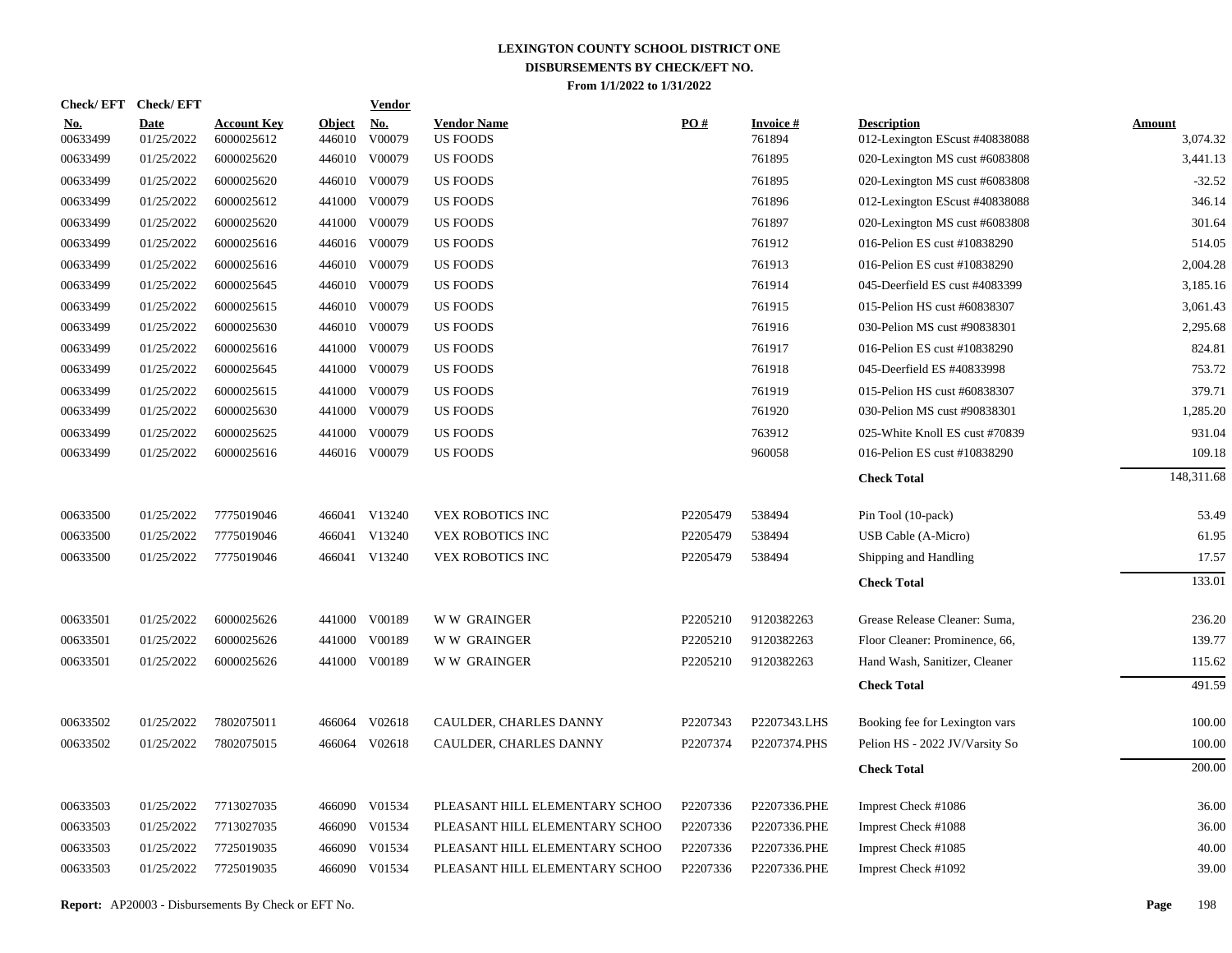| <b>Check/EFT</b>       | <b>Check/EFT</b>          |                                  |                         | <b>Vendor</b> |                                       |          |                           |                                                      |                           |
|------------------------|---------------------------|----------------------------------|-------------------------|---------------|---------------------------------------|----------|---------------------------|------------------------------------------------------|---------------------------|
| <u>No.</u><br>00633499 | <b>Date</b><br>01/25/2022 | <b>Account Key</b><br>6000025612 | <b>Object</b><br>446010 | No.<br>V00079 | <b>Vendor Name</b><br><b>US FOODS</b> | PO#      | <b>Invoice#</b><br>761894 | <b>Description</b><br>012-Lexington EScust #40838088 | <b>Amount</b><br>3,074.32 |
| 00633499               | 01/25/2022                | 6000025620                       | 446010                  | V00079        | <b>US FOODS</b>                       |          | 761895                    | 020-Lexington MS cust #6083808                       | 3,441.13                  |
| 00633499               | 01/25/2022                | 6000025620                       |                         | 446010 V00079 | <b>US FOODS</b>                       |          | 761895                    | 020-Lexington MS cust #6083808                       | $-32.52$                  |
| 00633499               | 01/25/2022                | 6000025612                       |                         | 441000 V00079 | <b>US FOODS</b>                       |          | 761896                    | 012-Lexington EScust #40838088                       | 346.14                    |
| 00633499               | 01/25/2022                | 6000025620                       | 441000                  | V00079        | <b>US FOODS</b>                       |          | 761897                    | 020-Lexington MS cust #6083808                       | 301.64                    |
| 00633499               | 01/25/2022                | 6000025616                       |                         | 446016 V00079 | <b>US FOODS</b>                       |          | 761912                    | 016-Pelion ES cust #10838290                         | 514.05                    |
| 00633499               | 01/25/2022                | 6000025616                       |                         | 446010 V00079 | <b>US FOODS</b>                       |          | 761913                    | 016-Pelion ES cust #10838290                         | 2,004.28                  |
| 00633499               | 01/25/2022                | 6000025645                       |                         | 446010 V00079 | <b>US FOODS</b>                       |          | 761914                    | 045-Deerfield ES cust #4083399                       | 3,185.16                  |
| 00633499               | 01/25/2022                | 6000025615                       |                         | 446010 V00079 | <b>US FOODS</b>                       |          | 761915                    | 015-Pelion HS cust #60838307                         | 3,061.43                  |
| 00633499               | 01/25/2022                | 6000025630                       |                         | 446010 V00079 | <b>US FOODS</b>                       |          | 761916                    | 030-Pelion MS cust #90838301                         | 2,295.68                  |
| 00633499               | 01/25/2022                | 6000025616                       | 441000                  | V00079        | <b>US FOODS</b>                       |          | 761917                    | 016-Pelion ES cust #10838290                         | 824.81                    |
| 00633499               | 01/25/2022                | 6000025645                       | 441000                  | V00079        | <b>US FOODS</b>                       |          | 761918                    | 045-Deerfield ES #40833998                           | 753.72                    |
| 00633499               | 01/25/2022                | 6000025615                       | 441000                  | V00079        | <b>US FOODS</b>                       |          | 761919                    | 015-Pelion HS cust #60838307                         | 379.71                    |
| 00633499               | 01/25/2022                | 6000025630                       | 441000                  | V00079        | <b>US FOODS</b>                       |          | 761920                    | 030-Pelion MS cust #90838301                         | 1,285.20                  |
| 00633499               | 01/25/2022                | 6000025625                       | 441000                  | V00079        | <b>US FOODS</b>                       |          | 763912                    | 025-White Knoll ES cust #70839                       | 931.04                    |
| 00633499               | 01/25/2022                | 6000025616                       |                         | 446016 V00079 | <b>US FOODS</b>                       |          | 960058                    | 016-Pelion ES cust #10838290                         | 109.18                    |
|                        |                           |                                  |                         |               |                                       |          |                           | <b>Check Total</b>                                   | 148,311.68                |
| 00633500               | 01/25/2022                | 7775019046                       |                         | 466041 V13240 | VEX ROBOTICS INC                      | P2205479 | 538494                    | Pin Tool (10-pack)                                   | 53.49                     |
| 00633500               | 01/25/2022                | 7775019046                       |                         | 466041 V13240 | VEX ROBOTICS INC                      | P2205479 | 538494                    | USB Cable (A-Micro)                                  | 61.95                     |
| 00633500               | 01/25/2022                | 7775019046                       |                         | 466041 V13240 | <b>VEX ROBOTICS INC</b>               | P2205479 | 538494                    | Shipping and Handling                                | 17.57                     |
|                        |                           |                                  |                         |               |                                       |          |                           | <b>Check Total</b>                                   | 133.01                    |
| 00633501               | 01/25/2022                | 6000025626                       |                         | 441000 V00189 | <b>WW GRAINGER</b>                    | P2205210 | 9120382263                | Grease Release Cleaner: Suma,                        | 236.20                    |
| 00633501               | 01/25/2022                | 6000025626                       |                         | 441000 V00189 | W W GRAINGER                          | P2205210 | 9120382263                | Floor Cleaner: Prominence, 66,                       | 139.77                    |
| 00633501               | 01/25/2022                | 6000025626                       |                         | 441000 V00189 | <b>WW GRAINGER</b>                    | P2205210 | 9120382263                | Hand Wash, Sanitizer, Cleaner                        | 115.62                    |
|                        |                           |                                  |                         |               |                                       |          |                           | <b>Check Total</b>                                   | 491.59                    |
| 00633502               | 01/25/2022                | 7802075011                       |                         | 466064 V02618 | CAULDER, CHARLES DANNY                | P2207343 | P2207343.LHS              | Booking fee for Lexington vars                       | 100.00                    |
| 00633502               | 01/25/2022                | 7802075015                       |                         | 466064 V02618 | CAULDER, CHARLES DANNY                | P2207374 | P2207374.PHS              | Pelion HS - 2022 JV/Varsity So                       | 100.00                    |
|                        |                           |                                  |                         |               |                                       |          |                           | <b>Check Total</b>                                   | 200.00                    |
| 00633503               | 01/25/2022                | 7713027035                       |                         | 466090 V01534 | PLEASANT HILL ELEMENTARY SCHOO        | P2207336 | P2207336.PHE              | Imprest Check #1086                                  | 36.00                     |
| 00633503               | 01/25/2022                | 7713027035                       |                         | 466090 V01534 | PLEASANT HILL ELEMENTARY SCHOO        | P2207336 | P2207336.PHE              | Imprest Check #1088                                  | 36.00                     |
| 00633503               | 01/25/2022                | 7725019035                       | 466090                  | V01534        | PLEASANT HILL ELEMENTARY SCHOO        | P2207336 | P2207336.PHE              | Imprest Check #1085                                  | 40.00                     |
| 00633503               | 01/25/2022                | 7725019035                       |                         | 466090 V01534 | PLEASANT HILL ELEMENTARY SCHOO        | P2207336 | P2207336.PHE              | Imprest Check #1092                                  | 39.00                     |
|                        |                           |                                  |                         |               |                                       |          |                           |                                                      |                           |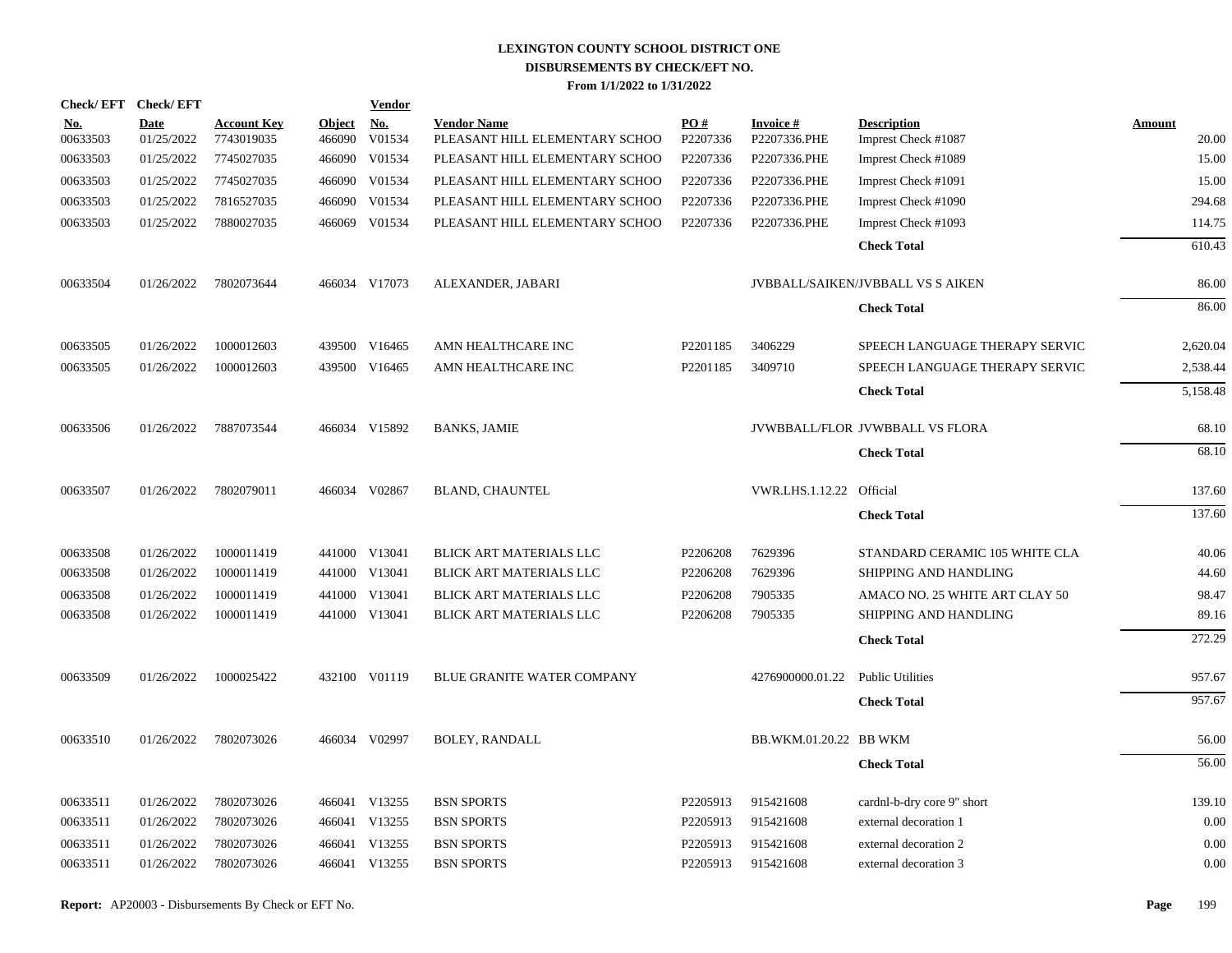|                   | Check/EFT Check/EFT       |                                  |                         | Vendor               |                                                      |                 |                                 |                                           |                        |
|-------------------|---------------------------|----------------------------------|-------------------------|----------------------|------------------------------------------------------|-----------------|---------------------------------|-------------------------------------------|------------------------|
| $No.$<br>00633503 | <b>Date</b><br>01/25/2022 | <b>Account Key</b><br>7743019035 | <b>Object</b><br>466090 | <u>No.</u><br>V01534 | <b>Vendor Name</b><br>PLEASANT HILL ELEMENTARY SCHOO | PO#<br>P2207336 | <b>Invoice#</b><br>P2207336.PHE | <b>Description</b><br>Imprest Check #1087 | <b>Amount</b><br>20.00 |
| 00633503          | 01/25/2022                | 7745027035                       | 466090                  | V01534               | PLEASANT HILL ELEMENTARY SCHOO                       | P2207336        | P2207336.PHE                    | Imprest Check #1089                       | 15.00                  |
| 00633503          | 01/25/2022                | 7745027035                       |                         | 466090 V01534        | PLEASANT HILL ELEMENTARY SCHOO                       | P2207336        | P2207336.PHE                    | Imprest Check #1091                       | 15.00                  |
| 00633503          | 01/25/2022                | 7816527035                       | 466090                  | V01534               | PLEASANT HILL ELEMENTARY SCHOO                       | P2207336        | P2207336.PHE                    | Imprest Check #1090                       | 294.68                 |
| 00633503          | 01/25/2022                | 7880027035                       |                         | 466069 V01534        | PLEASANT HILL ELEMENTARY SCHOO                       | P2207336        | P2207336.PHE                    | Imprest Check #1093                       | 114.75                 |
|                   |                           |                                  |                         |                      |                                                      |                 |                                 | <b>Check Total</b>                        | 610.43                 |
| 00633504          | 01/26/2022                | 7802073644                       |                         | 466034 V17073        | ALEXANDER, JABARI                                    |                 |                                 | <b>JVBBALL/SAIKEN/JVBBALL VS S AIKEN</b>  | 86.00                  |
|                   |                           |                                  |                         |                      |                                                      |                 |                                 | <b>Check Total</b>                        | 86.00                  |
| 00633505          | 01/26/2022                | 1000012603                       |                         | 439500 V16465        | AMN HEALTHCARE INC                                   | P2201185        | 3406229                         | SPEECH LANGUAGE THERAPY SERVIC            | 2,620.04               |
| 00633505          | 01/26/2022                | 1000012603                       |                         | 439500 V16465        | AMN HEALTHCARE INC                                   | P2201185        | 3409710                         | SPEECH LANGUAGE THERAPY SERVIC            | 2,538.44               |
|                   |                           |                                  |                         |                      |                                                      |                 |                                 | <b>Check Total</b>                        | 5,158.48               |
| 00633506          | 01/26/2022                | 7887073544                       |                         | 466034 V15892        | <b>BANKS, JAMIE</b>                                  |                 |                                 | JVWBBALL/FLOR JVWBBALL VS FLORA           | 68.10                  |
|                   |                           |                                  |                         |                      |                                                      |                 |                                 | <b>Check Total</b>                        | 68.10                  |
| 00633507          | 01/26/2022                | 7802079011                       |                         | 466034 V02867        | <b>BLAND, CHAUNTEL</b>                               |                 | VWR.LHS.1.12.22 Official        |                                           | 137.60                 |
|                   |                           |                                  |                         |                      |                                                      |                 |                                 | <b>Check Total</b>                        | 137.60                 |
| 00633508          | 01/26/2022                | 1000011419                       |                         | 441000 V13041        | <b>BLICK ART MATERIALS LLC</b>                       | P2206208        | 7629396                         | STANDARD CERAMIC 105 WHITE CLA            | 40.06                  |
| 00633508          | 01/26/2022                | 1000011419                       |                         | 441000 V13041        | BLICK ART MATERIALS LLC                              | P2206208        | 7629396                         | SHIPPING AND HANDLING                     | 44.60                  |
| 00633508          | 01/26/2022                | 1000011419                       |                         | 441000 V13041        | BLICK ART MATERIALS LLC                              | P2206208        | 7905335                         | AMACO NO. 25 WHITE ART CLAY 50            | 98.47                  |
| 00633508          | 01/26/2022                | 1000011419                       |                         | 441000 V13041        | <b>BLICK ART MATERIALS LLC</b>                       | P2206208        | 7905335                         | SHIPPING AND HANDLING                     | 89.16                  |
|                   |                           |                                  |                         |                      |                                                      |                 |                                 | <b>Check Total</b>                        | 272.29                 |
| 00633509          | 01/26/2022                | 1000025422                       |                         | 432100 V01119        | <b>BLUE GRANITE WATER COMPANY</b>                    |                 | 4276900000.01.22                | <b>Public Utilities</b>                   | 957.67                 |
|                   |                           |                                  |                         |                      |                                                      |                 |                                 | <b>Check Total</b>                        | 957.67                 |
| 00633510          | 01/26/2022                | 7802073026                       |                         | 466034 V02997        | <b>BOLEY, RANDALL</b>                                |                 | BB.WKM.01.20.22 BB WKM          |                                           | 56.00                  |
|                   |                           |                                  |                         |                      |                                                      |                 |                                 | <b>Check Total</b>                        | 56.00                  |
| 00633511          | 01/26/2022                | 7802073026                       |                         | 466041 V13255        | <b>BSN SPORTS</b>                                    | P2205913        | 915421608                       | cardnl-b-dry core 9" short                | 139.10                 |
| 00633511          | 01/26/2022                | 7802073026                       |                         | 466041 V13255        | <b>BSN SPORTS</b>                                    | P2205913        | 915421608                       | external decoration 1                     | 0.00                   |
| 00633511          | 01/26/2022                | 7802073026                       |                         | 466041 V13255        | <b>BSN SPORTS</b>                                    | P2205913        | 915421608                       | external decoration 2                     | 0.00                   |
| 00633511          | 01/26/2022                | 7802073026                       |                         | 466041 V13255        | <b>BSN SPORTS</b>                                    | P2205913        | 915421608                       | external decoration 3                     | 0.00                   |
|                   |                           |                                  |                         |                      |                                                      |                 |                                 |                                           |                        |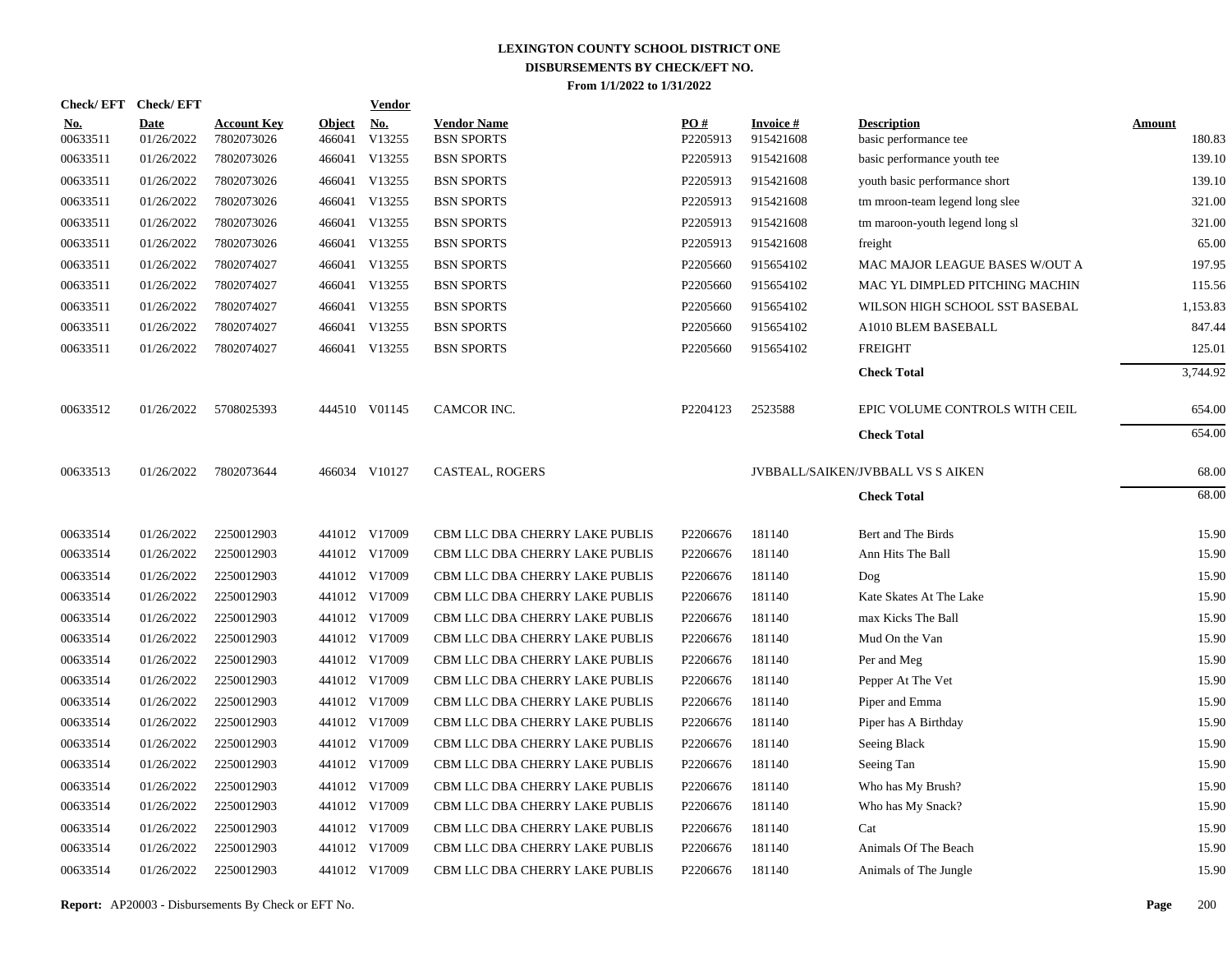| <b>Check/EFT</b>       | <b>Check/EFT</b>          |                                  |                         | <b>Vendor</b>        |                                         |                 |                               |                                             |                         |
|------------------------|---------------------------|----------------------------------|-------------------------|----------------------|-----------------------------------------|-----------------|-------------------------------|---------------------------------------------|-------------------------|
| <u>No.</u><br>00633511 | <b>Date</b><br>01/26/2022 | <b>Account Key</b><br>7802073026 | <b>Object</b><br>466041 | <u>No.</u><br>V13255 | <b>Vendor Name</b><br><b>BSN SPORTS</b> | PQ#<br>P2205913 | <b>Invoice #</b><br>915421608 | <b>Description</b><br>basic performance tee | <b>Amount</b><br>180.83 |
| 00633511               | 01/26/2022                | 7802073026                       |                         | 466041 V13255        | <b>BSN SPORTS</b>                       | P2205913        | 915421608                     | basic performance youth tee                 | 139.10                  |
| 00633511               | 01/26/2022                | 7802073026                       |                         | 466041 V13255        | <b>BSN SPORTS</b>                       | P2205913        | 915421608                     | youth basic performance short               | 139.10                  |
| 00633511               | 01/26/2022                | 7802073026                       |                         | 466041 V13255        | <b>BSN SPORTS</b>                       | P2205913        | 915421608                     | tm mroon-team legend long slee              | 321.00                  |
| 00633511               | 01/26/2022                | 7802073026                       |                         | 466041 V13255        | <b>BSN SPORTS</b>                       | P2205913        | 915421608                     | tm maroon-youth legend long sl              | 321.00                  |
| 00633511               | 01/26/2022                | 7802073026                       |                         | 466041 V13255        | <b>BSN SPORTS</b>                       | P2205913        | 915421608                     | freight                                     | 65.00                   |
| 00633511               | 01/26/2022                | 7802074027                       |                         | 466041 V13255        | <b>BSN SPORTS</b>                       | P2205660        | 915654102                     | MAC MAJOR LEAGUE BASES W/OUT A              | 197.95                  |
| 00633511               | 01/26/2022                | 7802074027                       |                         | 466041 V13255        | <b>BSN SPORTS</b>                       | P2205660        | 915654102                     | MAC YL DIMPLED PITCHING MACHIN              | 115.56                  |
| 00633511               | 01/26/2022                | 7802074027                       |                         | 466041 V13255        | <b>BSN SPORTS</b>                       | P2205660        | 915654102                     | WILSON HIGH SCHOOL SST BASEBAL              | 1,153.83                |
| 00633511               | 01/26/2022                | 7802074027                       |                         | 466041 V13255        | <b>BSN SPORTS</b>                       | P2205660        | 915654102                     | A1010 BLEM BASEBALL                         | 847.44                  |
| 00633511               | 01/26/2022                | 7802074027                       |                         | 466041 V13255        | <b>BSN SPORTS</b>                       | P2205660        | 915654102                     | <b>FREIGHT</b>                              | 125.01                  |
|                        |                           |                                  |                         |                      |                                         |                 |                               | <b>Check Total</b>                          | 3,744.92                |
| 00633512               | 01/26/2022                | 5708025393                       |                         | 444510 V01145        | CAMCOR INC.                             | P2204123        | 2523588                       | EPIC VOLUME CONTROLS WITH CEIL              | 654.00                  |
|                        |                           |                                  |                         |                      |                                         |                 |                               | <b>Check Total</b>                          | 654.00                  |
| 00633513               | 01/26/2022                | 7802073644                       |                         | 466034 V10127        | CASTEAL, ROGERS                         |                 |                               | <b>JVBBALL/SAIKEN/JVBBALL VS S AIKEN</b>    | 68.00                   |
|                        |                           |                                  |                         |                      |                                         |                 |                               | <b>Check Total</b>                          | 68.00                   |
| 00633514               | 01/26/2022                | 2250012903                       |                         | 441012 V17009        | CBM LLC DBA CHERRY LAKE PUBLIS          | P2206676        | 181140                        | Bert and The Birds                          | 15.90                   |
| 00633514               | 01/26/2022                | 2250012903                       |                         | 441012 V17009        | CBM LLC DBA CHERRY LAKE PUBLIS          | P2206676        | 181140                        | Ann Hits The Ball                           | 15.90                   |
| 00633514               | 01/26/2022                | 2250012903                       |                         | 441012 V17009        | CBM LLC DBA CHERRY LAKE PUBLIS          | P2206676        | 181140                        | Dog                                         | 15.90                   |
| 00633514               | 01/26/2022                | 2250012903                       |                         | 441012 V17009        | CBM LLC DBA CHERRY LAKE PUBLIS          | P2206676        | 181140                        | Kate Skates At The Lake                     | 15.90                   |
| 00633514               | 01/26/2022                | 2250012903                       |                         | 441012 V17009        | CBM LLC DBA CHERRY LAKE PUBLIS          | P2206676        | 181140                        | max Kicks The Ball                          | 15.90                   |
| 00633514               | 01/26/2022                | 2250012903                       |                         | 441012 V17009        | CBM LLC DBA CHERRY LAKE PUBLIS          | P2206676        | 181140                        | Mud On the Van                              | 15.90                   |
| 00633514               | 01/26/2022                | 2250012903                       |                         | 441012 V17009        | CBM LLC DBA CHERRY LAKE PUBLIS          | P2206676        | 181140                        | Per and Meg                                 | 15.90                   |
| 00633514               | 01/26/2022                | 2250012903                       |                         | 441012 V17009        | CBM LLC DBA CHERRY LAKE PUBLIS          | P2206676        | 181140                        | Pepper At The Vet                           | 15.90                   |
| 00633514               | 01/26/2022                | 2250012903                       |                         | 441012 V17009        | CBM LLC DBA CHERRY LAKE PUBLIS          | P2206676        | 181140                        | Piper and Emma                              | 15.90                   |
| 00633514               | 01/26/2022                | 2250012903                       |                         | 441012 V17009        | CBM LLC DBA CHERRY LAKE PUBLIS          | P2206676        | 181140                        | Piper has A Birthday                        | 15.90                   |
| 00633514               | 01/26/2022                | 2250012903                       |                         | 441012 V17009        | CBM LLC DBA CHERRY LAKE PUBLIS          | P2206676        | 181140                        | Seeing Black                                | 15.90                   |
| 00633514               | 01/26/2022                | 2250012903                       |                         | 441012 V17009        | CBM LLC DBA CHERRY LAKE PUBLIS          | P2206676        | 181140                        | Seeing Tan                                  | 15.90                   |
| 00633514               | 01/26/2022                | 2250012903                       |                         | 441012 V17009        | CBM LLC DBA CHERRY LAKE PUBLIS          | P2206676        | 181140                        | Who has My Brush?                           | 15.90                   |
| 00633514               | 01/26/2022                | 2250012903                       |                         | 441012 V17009        | CBM LLC DBA CHERRY LAKE PUBLIS          | P2206676        | 181140                        | Who has My Snack?                           | 15.90                   |
| 00633514               | 01/26/2022                | 2250012903                       |                         | 441012 V17009        | CBM LLC DBA CHERRY LAKE PUBLIS          | P2206676        | 181140                        | Cat                                         | 15.90                   |
| 00633514               | 01/26/2022                | 2250012903                       |                         | 441012 V17009        | CBM LLC DBA CHERRY LAKE PUBLIS          | P2206676        | 181140                        | Animals Of The Beach                        | 15.90                   |
| 00633514               | 01/26/2022                | 2250012903                       |                         | 441012 V17009        | CBM LLC DBA CHERRY LAKE PUBLIS          | P2206676        | 181140                        | Animals of The Jungle                       | 15.90                   |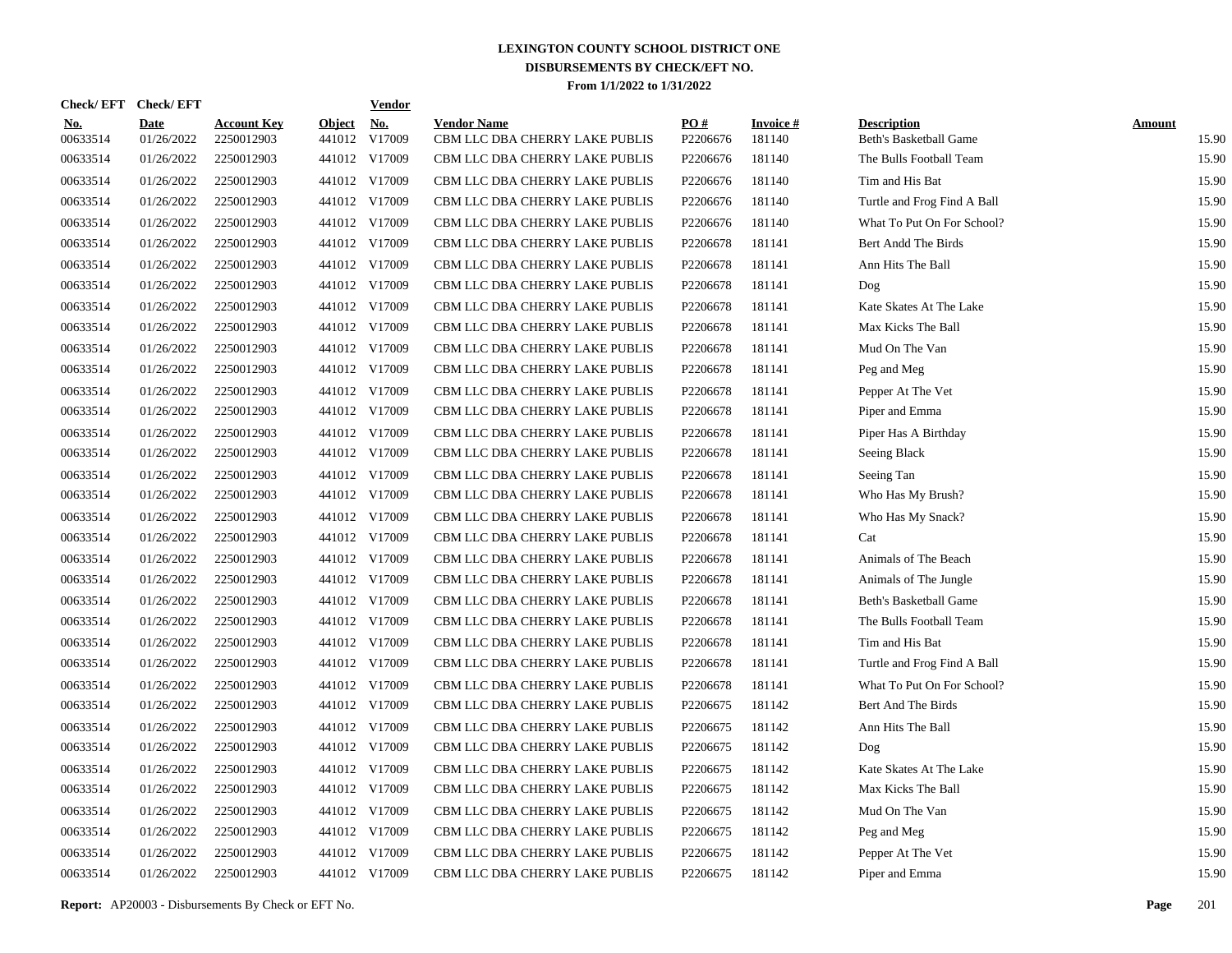| <b>Check/EFT</b>       | <b>Check/EFT</b>          |                                  |                         | <b>Vendor</b> |                                                      |                 |                           |                                              |                        |
|------------------------|---------------------------|----------------------------------|-------------------------|---------------|------------------------------------------------------|-----------------|---------------------------|----------------------------------------------|------------------------|
| <u>No.</u><br>00633514 | <b>Date</b><br>01/26/2022 | <b>Account Key</b><br>2250012903 | <b>Object</b><br>441012 | No.<br>V17009 | <b>Vendor Name</b><br>CBM LLC DBA CHERRY LAKE PUBLIS | PO#<br>P2206676 | <b>Invoice#</b><br>181140 | <b>Description</b><br>Beth's Basketball Game | <b>Amount</b><br>15.90 |
| 00633514               | 01/26/2022                | 2250012903                       |                         | 441012 V17009 | CBM LLC DBA CHERRY LAKE PUBLIS                       | P2206676        | 181140                    | The Bulls Football Team                      | 15.90                  |
| 00633514               | 01/26/2022                | 2250012903                       |                         | 441012 V17009 | CBM LLC DBA CHERRY LAKE PUBLIS                       | P2206676        | 181140                    | Tim and His Bat                              | 15.90                  |
| 00633514               | 01/26/2022                | 2250012903                       |                         | 441012 V17009 | CBM LLC DBA CHERRY LAKE PUBLIS                       | P2206676        | 181140                    | Turtle and Frog Find A Ball                  | 15.90                  |
| 00633514               | 01/26/2022                | 2250012903                       |                         | 441012 V17009 | CBM LLC DBA CHERRY LAKE PUBLIS                       | P2206676        | 181140                    | What To Put On For School?                   | 15.90                  |
| 00633514               | 01/26/2022                | 2250012903                       |                         | 441012 V17009 | CBM LLC DBA CHERRY LAKE PUBLIS                       | P2206678        | 181141                    | Bert Andd The Birds                          | 15.90                  |
| 00633514               | 01/26/2022                | 2250012903                       |                         | 441012 V17009 | CBM LLC DBA CHERRY LAKE PUBLIS                       | P2206678        | 181141                    | Ann Hits The Ball                            | 15.90                  |
| 00633514               | 01/26/2022                | 2250012903                       |                         | 441012 V17009 | CBM LLC DBA CHERRY LAKE PUBLIS                       | P2206678        | 181141                    | Dog                                          | 15.90                  |
| 00633514               | 01/26/2022                | 2250012903                       |                         | 441012 V17009 | CBM LLC DBA CHERRY LAKE PUBLIS                       | P2206678        | 181141                    | Kate Skates At The Lake                      | 15.90                  |
| 00633514               | 01/26/2022                | 2250012903                       |                         | 441012 V17009 | CBM LLC DBA CHERRY LAKE PUBLIS                       | P2206678        | 181141                    | Max Kicks The Ball                           | 15.90                  |
| 00633514               | 01/26/2022                | 2250012903                       |                         | 441012 V17009 | CBM LLC DBA CHERRY LAKE PUBLIS                       | P2206678        | 181141                    | Mud On The Van                               | 15.90                  |
| 00633514               | 01/26/2022                | 2250012903                       |                         | 441012 V17009 | CBM LLC DBA CHERRY LAKE PUBLIS                       | P2206678        | 181141                    | Peg and Meg                                  | 15.90                  |
| 00633514               | 01/26/2022                | 2250012903                       |                         | 441012 V17009 | CBM LLC DBA CHERRY LAKE PUBLIS                       | P2206678        | 181141                    | Pepper At The Vet                            | 15.90                  |
| 00633514               | 01/26/2022                | 2250012903                       |                         | 441012 V17009 | CBM LLC DBA CHERRY LAKE PUBLIS                       | P2206678        | 181141                    | Piper and Emma                               | 15.90                  |
| 00633514               | 01/26/2022                | 2250012903                       |                         | 441012 V17009 | CBM LLC DBA CHERRY LAKE PUBLIS                       | P2206678        | 181141                    | Piper Has A Birthday                         | 15.90                  |
| 00633514               | 01/26/2022                | 2250012903                       |                         | 441012 V17009 | CBM LLC DBA CHERRY LAKE PUBLIS                       | P2206678        | 181141                    | Seeing Black                                 | 15.90                  |
| 00633514               | 01/26/2022                | 2250012903                       |                         | 441012 V17009 | CBM LLC DBA CHERRY LAKE PUBLIS                       | P2206678        | 181141                    | Seeing Tan                                   | 15.90                  |
| 00633514               | 01/26/2022                | 2250012903                       |                         | 441012 V17009 | CBM LLC DBA CHERRY LAKE PUBLIS                       | P2206678        | 181141                    | Who Has My Brush?                            | 15.90                  |
| 00633514               | 01/26/2022                | 2250012903                       |                         | 441012 V17009 | CBM LLC DBA CHERRY LAKE PUBLIS                       | P2206678        | 181141                    | Who Has My Snack?                            | 15.90                  |
| 00633514               | 01/26/2022                | 2250012903                       |                         | 441012 V17009 | CBM LLC DBA CHERRY LAKE PUBLIS                       | P2206678        | 181141                    | Cat                                          | 15.90                  |
| 00633514               | 01/26/2022                | 2250012903                       |                         | 441012 V17009 | CBM LLC DBA CHERRY LAKE PUBLIS                       | P2206678        | 181141                    | Animals of The Beach                         | 15.90                  |
| 00633514               | 01/26/2022                | 2250012903                       |                         | 441012 V17009 | CBM LLC DBA CHERRY LAKE PUBLIS                       | P2206678        | 181141                    | Animals of The Jungle                        | 15.90                  |
| 00633514               | 01/26/2022                | 2250012903                       |                         | 441012 V17009 | CBM LLC DBA CHERRY LAKE PUBLIS                       | P2206678        | 181141                    | Beth's Basketball Game                       | 15.90                  |
| 00633514               | 01/26/2022                | 2250012903                       |                         | 441012 V17009 | CBM LLC DBA CHERRY LAKE PUBLIS                       | P2206678        | 181141                    | The Bulls Football Team                      | 15.90                  |
| 00633514               | 01/26/2022                | 2250012903                       |                         | 441012 V17009 | CBM LLC DBA CHERRY LAKE PUBLIS                       | P2206678        | 181141                    | Tim and His Bat                              | 15.90                  |
| 00633514               | 01/26/2022                | 2250012903                       |                         | 441012 V17009 | CBM LLC DBA CHERRY LAKE PUBLIS                       | P2206678        | 181141                    | Turtle and Frog Find A Ball                  | 15.90                  |
| 00633514               | 01/26/2022                | 2250012903                       |                         | 441012 V17009 | CBM LLC DBA CHERRY LAKE PUBLIS                       | P2206678        | 181141                    | What To Put On For School?                   | 15.90                  |
| 00633514               | 01/26/2022                | 2250012903                       |                         | 441012 V17009 | CBM LLC DBA CHERRY LAKE PUBLIS                       | P2206675        | 181142                    | Bert And The Birds                           | 15.90                  |
| 00633514               | 01/26/2022                | 2250012903                       |                         | 441012 V17009 | CBM LLC DBA CHERRY LAKE PUBLIS                       | P2206675        | 181142                    | Ann Hits The Ball                            | 15.90                  |
| 00633514               | 01/26/2022                | 2250012903                       |                         | 441012 V17009 | CBM LLC DBA CHERRY LAKE PUBLIS                       | P2206675        | 181142                    | Dog                                          | 15.90                  |
| 00633514               | 01/26/2022                | 2250012903                       |                         | 441012 V17009 | CBM LLC DBA CHERRY LAKE PUBLIS                       | P2206675        | 181142                    | Kate Skates At The Lake                      | 15.90                  |
| 00633514               | 01/26/2022                | 2250012903                       |                         | 441012 V17009 | CBM LLC DBA CHERRY LAKE PUBLIS                       | P2206675        | 181142                    | Max Kicks The Ball                           | 15.90                  |
| 00633514               | 01/26/2022                | 2250012903                       |                         | 441012 V17009 | CBM LLC DBA CHERRY LAKE PUBLIS                       | P2206675        | 181142                    | Mud On The Van                               | 15.90                  |
| 00633514               | 01/26/2022                | 2250012903                       |                         | 441012 V17009 | CBM LLC DBA CHERRY LAKE PUBLIS                       | P2206675        | 181142                    | Peg and Meg                                  | 15.90                  |
| 00633514               | 01/26/2022                | 2250012903                       |                         | 441012 V17009 | CBM LLC DBA CHERRY LAKE PUBLIS                       | P2206675        | 181142                    | Pepper At The Vet                            | 15.90                  |
| 00633514               | 01/26/2022                | 2250012903                       |                         | 441012 V17009 | CBM LLC DBA CHERRY LAKE PUBLIS                       | P2206675        | 181142                    | Piper and Emma                               | 15.90                  |

**Report:** AP20003 - Disbursements By Check or EFT No. **Page** 201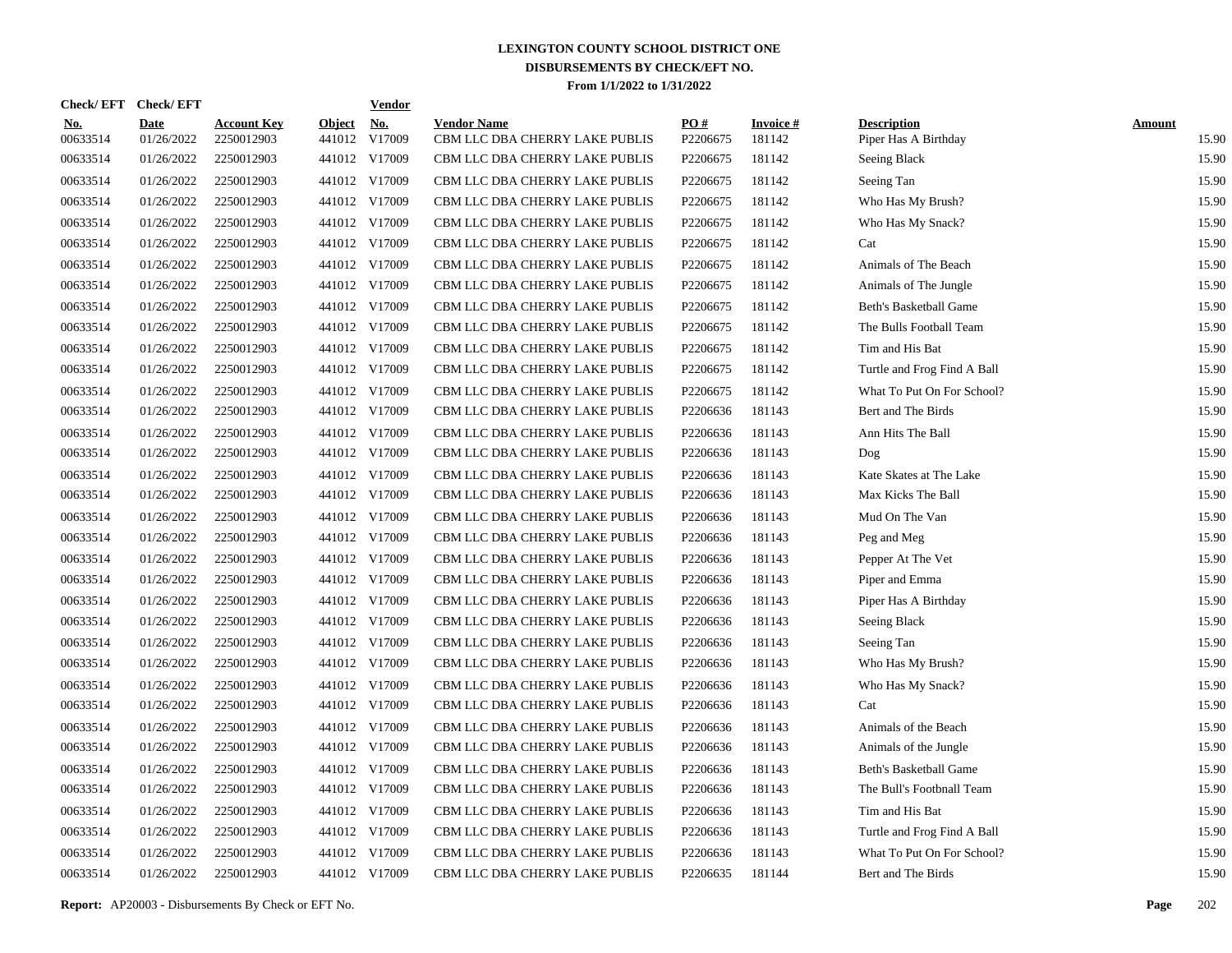| <b>Check/EFT</b>       | <b>Check/EFT</b>          |                                  |                         | <b>Vendor</b>        |                                                      |                 |                           |                                            |                        |
|------------------------|---------------------------|----------------------------------|-------------------------|----------------------|------------------------------------------------------|-----------------|---------------------------|--------------------------------------------|------------------------|
| <u>No.</u><br>00633514 | <b>Date</b><br>01/26/2022 | <b>Account Key</b><br>2250012903 | <b>Object</b><br>441012 | <u>No.</u><br>V17009 | <b>Vendor Name</b><br>CBM LLC DBA CHERRY LAKE PUBLIS | PO#<br>P2206675 | <b>Invoice#</b><br>181142 | <b>Description</b><br>Piper Has A Birthday | <b>Amount</b><br>15.90 |
| 00633514               | 01/26/2022                | 2250012903                       |                         | 441012 V17009        | CBM LLC DBA CHERRY LAKE PUBLIS                       | P2206675        | 181142                    | Seeing Black                               | 15.90                  |
| 00633514               | 01/26/2022                | 2250012903                       |                         | 441012 V17009        | CBM LLC DBA CHERRY LAKE PUBLIS                       | P2206675        | 181142                    | Seeing Tan                                 | 15.90                  |
| 00633514               | 01/26/2022                | 2250012903                       |                         | 441012 V17009        | CBM LLC DBA CHERRY LAKE PUBLIS                       | P2206675        | 181142                    | Who Has My Brush?                          | 15.90                  |
| 00633514               | 01/26/2022                | 2250012903                       |                         | 441012 V17009        | CBM LLC DBA CHERRY LAKE PUBLIS                       | P2206675        | 181142                    | Who Has My Snack?                          | 15.90                  |
| 00633514               | 01/26/2022                | 2250012903                       |                         | 441012 V17009        | CBM LLC DBA CHERRY LAKE PUBLIS                       | P2206675        | 181142                    | Cat                                        | 15.90                  |
| 00633514               | 01/26/2022                | 2250012903                       |                         | 441012 V17009        | CBM LLC DBA CHERRY LAKE PUBLIS                       | P2206675        | 181142                    | Animals of The Beach                       | 15.90                  |
| 00633514               | 01/26/2022                | 2250012903                       |                         | 441012 V17009        | CBM LLC DBA CHERRY LAKE PUBLIS                       | P2206675        | 181142                    | Animals of The Jungle                      | 15.90                  |
| 00633514               | 01/26/2022                | 2250012903                       |                         | 441012 V17009        | CBM LLC DBA CHERRY LAKE PUBLIS                       | P2206675        | 181142                    | Beth's Basketball Game                     | 15.90                  |
| 00633514               | 01/26/2022                | 2250012903                       |                         | 441012 V17009        | CBM LLC DBA CHERRY LAKE PUBLIS                       | P2206675        | 181142                    | The Bulls Football Team                    | 15.90                  |
| 00633514               | 01/26/2022                | 2250012903                       |                         | 441012 V17009        | CBM LLC DBA CHERRY LAKE PUBLIS                       | P2206675        | 181142                    | Tim and His Bat                            | 15.90                  |
| 00633514               | 01/26/2022                | 2250012903                       |                         | 441012 V17009        | CBM LLC DBA CHERRY LAKE PUBLIS                       | P2206675        | 181142                    | Turtle and Frog Find A Ball                | 15.90                  |
| 00633514               | 01/26/2022                | 2250012903                       |                         | 441012 V17009        | CBM LLC DBA CHERRY LAKE PUBLIS                       | P2206675        | 181142                    | What To Put On For School?                 | 15.90                  |
| 00633514               | 01/26/2022                | 2250012903                       |                         | 441012 V17009        | CBM LLC DBA CHERRY LAKE PUBLIS                       | P2206636        | 181143                    | Bert and The Birds                         | 15.90                  |
| 00633514               | 01/26/2022                | 2250012903                       |                         | 441012 V17009        | CBM LLC DBA CHERRY LAKE PUBLIS                       | P2206636        | 181143                    | Ann Hits The Ball                          | 15.90                  |
| 00633514               | 01/26/2022                | 2250012903                       |                         | 441012 V17009        | CBM LLC DBA CHERRY LAKE PUBLIS                       | P2206636        | 181143                    | Dog                                        | 15.90                  |
| 00633514               | 01/26/2022                | 2250012903                       |                         | 441012 V17009        | CBM LLC DBA CHERRY LAKE PUBLIS                       | P2206636        | 181143                    | Kate Skates at The Lake                    | 15.90                  |
| 00633514               | 01/26/2022                | 2250012903                       |                         | 441012 V17009        | CBM LLC DBA CHERRY LAKE PUBLIS                       | P2206636        | 181143                    | Max Kicks The Ball                         | 15.90                  |
| 00633514               | 01/26/2022                | 2250012903                       |                         | 441012 V17009        | CBM LLC DBA CHERRY LAKE PUBLIS                       | P2206636        | 181143                    | Mud On The Van                             | 15.90                  |
| 00633514               | 01/26/2022                | 2250012903                       |                         | 441012 V17009        | CBM LLC DBA CHERRY LAKE PUBLIS                       | P2206636        | 181143                    | Peg and Meg                                | 15.90                  |
| 00633514               | 01/26/2022                | 2250012903                       |                         | 441012 V17009        | CBM LLC DBA CHERRY LAKE PUBLIS                       | P2206636        | 181143                    | Pepper At The Vet                          | 15.90                  |
| 00633514               | 01/26/2022                | 2250012903                       |                         | 441012 V17009        | CBM LLC DBA CHERRY LAKE PUBLIS                       | P2206636        | 181143                    | Piper and Emma                             | 15.90                  |
| 00633514               | 01/26/2022                | 2250012903                       |                         | 441012 V17009        | CBM LLC DBA CHERRY LAKE PUBLIS                       | P2206636        | 181143                    | Piper Has A Birthday                       | 15.90                  |
| 00633514               | 01/26/2022                | 2250012903                       |                         | 441012 V17009        | CBM LLC DBA CHERRY LAKE PUBLIS                       | P2206636        | 181143                    | Seeing Black                               | 15.90                  |
| 00633514               | 01/26/2022                | 2250012903                       |                         | 441012 V17009        | CBM LLC DBA CHERRY LAKE PUBLIS                       | P2206636        | 181143                    | Seeing Tan                                 | 15.90                  |
| 00633514               | 01/26/2022                | 2250012903                       |                         | 441012 V17009        | CBM LLC DBA CHERRY LAKE PUBLIS                       | P2206636        | 181143                    | Who Has My Brush?                          | 15.90                  |
| 00633514               | 01/26/2022                | 2250012903                       |                         | 441012 V17009        | CBM LLC DBA CHERRY LAKE PUBLIS                       | P2206636        | 181143                    | Who Has My Snack?                          | 15.90                  |
| 00633514               | 01/26/2022                | 2250012903                       |                         | 441012 V17009        | CBM LLC DBA CHERRY LAKE PUBLIS                       | P2206636        | 181143                    | Cat                                        | 15.90                  |
| 00633514               | 01/26/2022                | 2250012903                       |                         | 441012 V17009        | CBM LLC DBA CHERRY LAKE PUBLIS                       | P2206636        | 181143                    | Animals of the Beach                       | 15.90                  |
| 00633514               | 01/26/2022                | 2250012903                       |                         | 441012 V17009        | CBM LLC DBA CHERRY LAKE PUBLIS                       | P2206636        | 181143                    | Animals of the Jungle                      | 15.90                  |
| 00633514               | 01/26/2022                | 2250012903                       |                         | 441012 V17009        | CBM LLC DBA CHERRY LAKE PUBLIS                       | P2206636        | 181143                    | Beth's Basketball Game                     | 15.90                  |
| 00633514               | 01/26/2022                | 2250012903                       |                         | 441012 V17009        | CBM LLC DBA CHERRY LAKE PUBLIS                       | P2206636        | 181143                    | The Bull's Footbnall Team                  | 15.90                  |
| 00633514               | 01/26/2022                | 2250012903                       |                         | 441012 V17009        | CBM LLC DBA CHERRY LAKE PUBLIS                       | P2206636        | 181143                    | Tim and His Bat                            | 15.90                  |
| 00633514               | 01/26/2022                | 2250012903                       |                         | 441012 V17009        | CBM LLC DBA CHERRY LAKE PUBLIS                       | P2206636        | 181143                    | Turtle and Frog Find A Ball                | 15.90                  |
| 00633514               | 01/26/2022                | 2250012903                       |                         | 441012 V17009        | CBM LLC DBA CHERRY LAKE PUBLIS                       | P2206636        | 181143                    | What To Put On For School?                 | 15.90                  |
| 00633514               | 01/26/2022                | 2250012903                       |                         | 441012 V17009        | CBM LLC DBA CHERRY LAKE PUBLIS                       | P2206635        | 181144                    | Bert and The Birds                         | 15.90                  |

**Report:** AP20003 - Disbursements By Check or EFT No. **Page** 202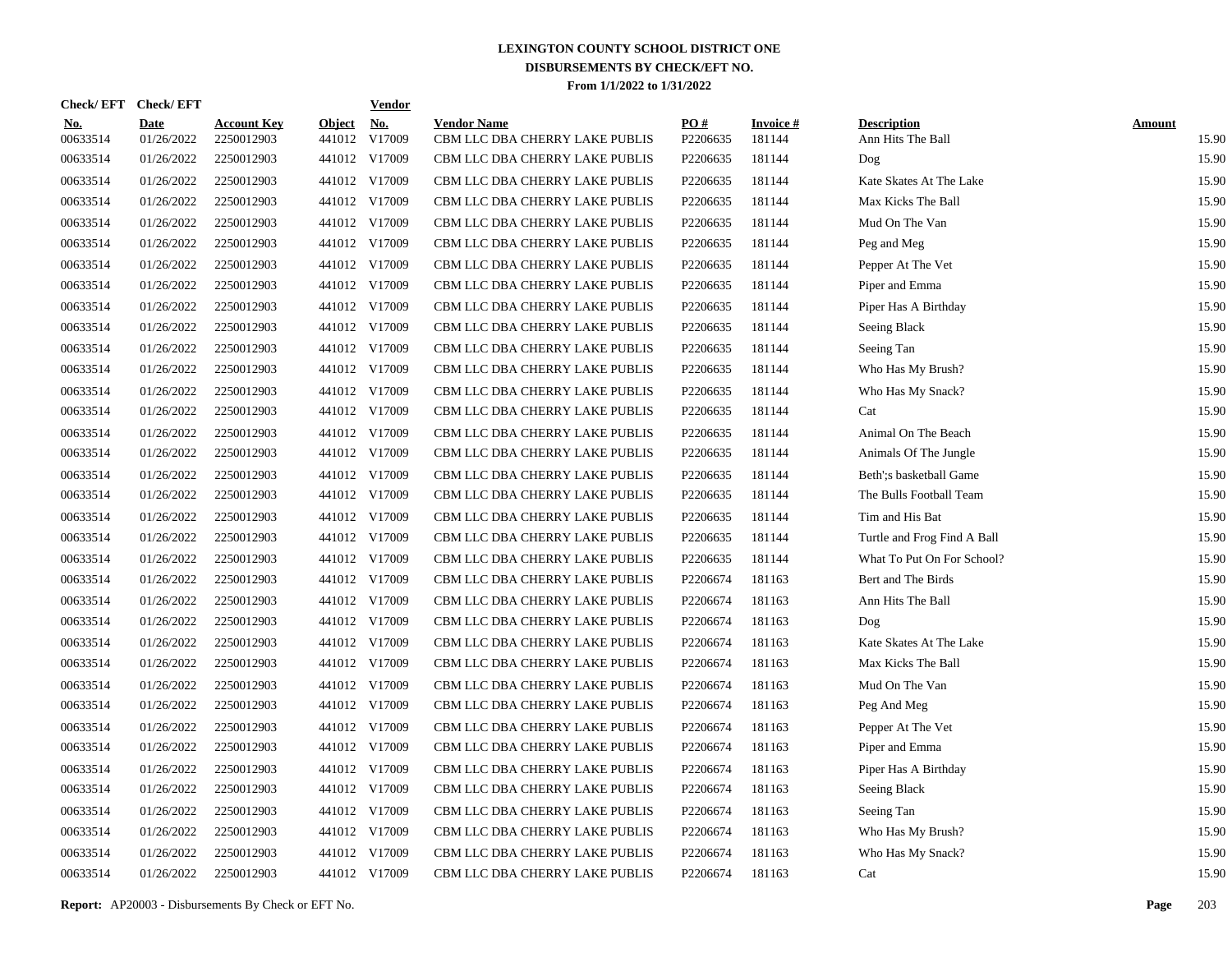| <b>Check/EFT</b>       | <b>Check/EFT</b>          |                                  |                         | <b>Vendor</b>        |                                                      |                 |                           |                                         |                        |
|------------------------|---------------------------|----------------------------------|-------------------------|----------------------|------------------------------------------------------|-----------------|---------------------------|-----------------------------------------|------------------------|
| <u>No.</u><br>00633514 | <b>Date</b><br>01/26/2022 | <b>Account Key</b><br>2250012903 | <b>Object</b><br>441012 | <u>No.</u><br>V17009 | <b>Vendor Name</b><br>CBM LLC DBA CHERRY LAKE PUBLIS | PO#<br>P2206635 | <b>Invoice#</b><br>181144 | <b>Description</b><br>Ann Hits The Ball | <b>Amount</b><br>15.90 |
| 00633514               | 01/26/2022                | 2250012903                       |                         | 441012 V17009        | CBM LLC DBA CHERRY LAKE PUBLIS                       | P2206635        | 181144                    | Dog                                     | 15.90                  |
| 00633514               | 01/26/2022                | 2250012903                       |                         | 441012 V17009        | CBM LLC DBA CHERRY LAKE PUBLIS                       | P2206635        | 181144                    | Kate Skates At The Lake                 | 15.90                  |
| 00633514               | 01/26/2022                | 2250012903                       |                         | 441012 V17009        | CBM LLC DBA CHERRY LAKE PUBLIS                       | P2206635        | 181144                    | Max Kicks The Ball                      | 15.90                  |
| 00633514               | 01/26/2022                | 2250012903                       |                         | 441012 V17009        | CBM LLC DBA CHERRY LAKE PUBLIS                       | P2206635        | 181144                    | Mud On The Van                          | 15.90                  |
| 00633514               | 01/26/2022                | 2250012903                       |                         | 441012 V17009        | CBM LLC DBA CHERRY LAKE PUBLIS                       | P2206635        | 181144                    | Peg and Meg                             | 15.90                  |
| 00633514               | 01/26/2022                | 2250012903                       |                         | 441012 V17009        | CBM LLC DBA CHERRY LAKE PUBLIS                       | P2206635        | 181144                    | Pepper At The Vet                       | 15.90                  |
| 00633514               | 01/26/2022                | 2250012903                       |                         | 441012 V17009        | CBM LLC DBA CHERRY LAKE PUBLIS                       | P2206635        | 181144                    | Piper and Emma                          | 15.90                  |
| 00633514               | 01/26/2022                | 2250012903                       |                         | 441012 V17009        | CBM LLC DBA CHERRY LAKE PUBLIS                       | P2206635        | 181144                    | Piper Has A Birthday                    | 15.90                  |
| 00633514               | 01/26/2022                | 2250012903                       |                         | 441012 V17009        | CBM LLC DBA CHERRY LAKE PUBLIS                       | P2206635        | 181144                    | Seeing Black                            | 15.90                  |
| 00633514               | 01/26/2022                | 2250012903                       |                         | 441012 V17009        | CBM LLC DBA CHERRY LAKE PUBLIS                       | P2206635        | 181144                    | Seeing Tan                              | 15.90                  |
| 00633514               | 01/26/2022                | 2250012903                       |                         | 441012 V17009        | CBM LLC DBA CHERRY LAKE PUBLIS                       | P2206635        | 181144                    | Who Has My Brush?                       | 15.90                  |
| 00633514               | 01/26/2022                | 2250012903                       |                         | 441012 V17009        | CBM LLC DBA CHERRY LAKE PUBLIS                       | P2206635        | 181144                    | Who Has My Snack?                       | 15.90                  |
| 00633514               | 01/26/2022                | 2250012903                       |                         | 441012 V17009        | CBM LLC DBA CHERRY LAKE PUBLIS                       | P2206635        | 181144                    | Cat                                     | 15.90                  |
| 00633514               | 01/26/2022                | 2250012903                       |                         | 441012 V17009        | CBM LLC DBA CHERRY LAKE PUBLIS                       | P2206635        | 181144                    | Animal On The Beach                     | 15.90                  |
| 00633514               | 01/26/2022                | 2250012903                       |                         | 441012 V17009        | CBM LLC DBA CHERRY LAKE PUBLIS                       | P2206635        | 181144                    | Animals Of The Jungle                   | 15.90                  |
| 00633514               | 01/26/2022                | 2250012903                       |                         | 441012 V17009        | CBM LLC DBA CHERRY LAKE PUBLIS                       | P2206635        | 181144                    | Beth'; s basketball Game                | 15.90                  |
| 00633514               | 01/26/2022                | 2250012903                       |                         | 441012 V17009        | CBM LLC DBA CHERRY LAKE PUBLIS                       | P2206635        | 181144                    | The Bulls Football Team                 | 15.90                  |
| 00633514               | 01/26/2022                | 2250012903                       |                         | 441012 V17009        | CBM LLC DBA CHERRY LAKE PUBLIS                       | P2206635        | 181144                    | Tim and His Bat                         | 15.90                  |
| 00633514               | 01/26/2022                | 2250012903                       |                         | 441012 V17009        | CBM LLC DBA CHERRY LAKE PUBLIS                       | P2206635        | 181144                    | Turtle and Frog Find A Ball             | 15.90                  |
| 00633514               | 01/26/2022                | 2250012903                       |                         | 441012 V17009        | CBM LLC DBA CHERRY LAKE PUBLIS                       | P2206635        | 181144                    | What To Put On For School?              | 15.90                  |
| 00633514               | 01/26/2022                | 2250012903                       |                         | 441012 V17009        | CBM LLC DBA CHERRY LAKE PUBLIS                       | P2206674        | 181163                    | Bert and The Birds                      | 15.90                  |
| 00633514               | 01/26/2022                | 2250012903                       |                         | 441012 V17009        | CBM LLC DBA CHERRY LAKE PUBLIS                       | P2206674        | 181163                    | Ann Hits The Ball                       | 15.90                  |
| 00633514               | 01/26/2022                | 2250012903                       |                         | 441012 V17009        | CBM LLC DBA CHERRY LAKE PUBLIS                       | P2206674        | 181163                    | Dog                                     | 15.90                  |
| 00633514               | 01/26/2022                | 2250012903                       |                         | 441012 V17009        | CBM LLC DBA CHERRY LAKE PUBLIS                       | P2206674        | 181163                    | Kate Skates At The Lake                 | 15.90                  |
| 00633514               | 01/26/2022                | 2250012903                       |                         | 441012 V17009        | CBM LLC DBA CHERRY LAKE PUBLIS                       | P2206674        | 181163                    | Max Kicks The Ball                      | 15.90                  |
| 00633514               | 01/26/2022                | 2250012903                       |                         | 441012 V17009        | CBM LLC DBA CHERRY LAKE PUBLIS                       | P2206674        | 181163                    | Mud On The Van                          | 15.90                  |
| 00633514               | 01/26/2022                | 2250012903                       |                         | 441012 V17009        | CBM LLC DBA CHERRY LAKE PUBLIS                       | P2206674        | 181163                    | Peg And Meg                             | 15.90                  |
| 00633514               | 01/26/2022                | 2250012903                       |                         | 441012 V17009        | CBM LLC DBA CHERRY LAKE PUBLIS                       | P2206674        | 181163                    | Pepper At The Vet                       | 15.90                  |
| 00633514               | 01/26/2022                | 2250012903                       |                         | 441012 V17009        | CBM LLC DBA CHERRY LAKE PUBLIS                       | P2206674        | 181163                    | Piper and Emma                          | 15.90                  |
| 00633514               | 01/26/2022                | 2250012903                       |                         | 441012 V17009        | CBM LLC DBA CHERRY LAKE PUBLIS                       | P2206674        | 181163                    | Piper Has A Birthday                    | 15.90                  |
| 00633514               | 01/26/2022                | 2250012903                       |                         | 441012 V17009        | CBM LLC DBA CHERRY LAKE PUBLIS                       | P2206674        | 181163                    | Seeing Black                            | 15.90                  |
| 00633514               | 01/26/2022                | 2250012903                       |                         | 441012 V17009        | CBM LLC DBA CHERRY LAKE PUBLIS                       | P2206674        | 181163                    | Seeing Tan                              | 15.90                  |
| 00633514               | 01/26/2022                | 2250012903                       |                         | 441012 V17009        | CBM LLC DBA CHERRY LAKE PUBLIS                       | P2206674        | 181163                    | Who Has My Brush?                       | 15.90                  |
| 00633514               | 01/26/2022                | 2250012903                       |                         | 441012 V17009        | CBM LLC DBA CHERRY LAKE PUBLIS                       | P2206674        | 181163                    | Who Has My Snack?                       | 15.90                  |
| 00633514               | 01/26/2022                | 2250012903                       |                         | 441012 V17009        | CBM LLC DBA CHERRY LAKE PUBLIS                       | P2206674        | 181163                    | Cat                                     | 15.90                  |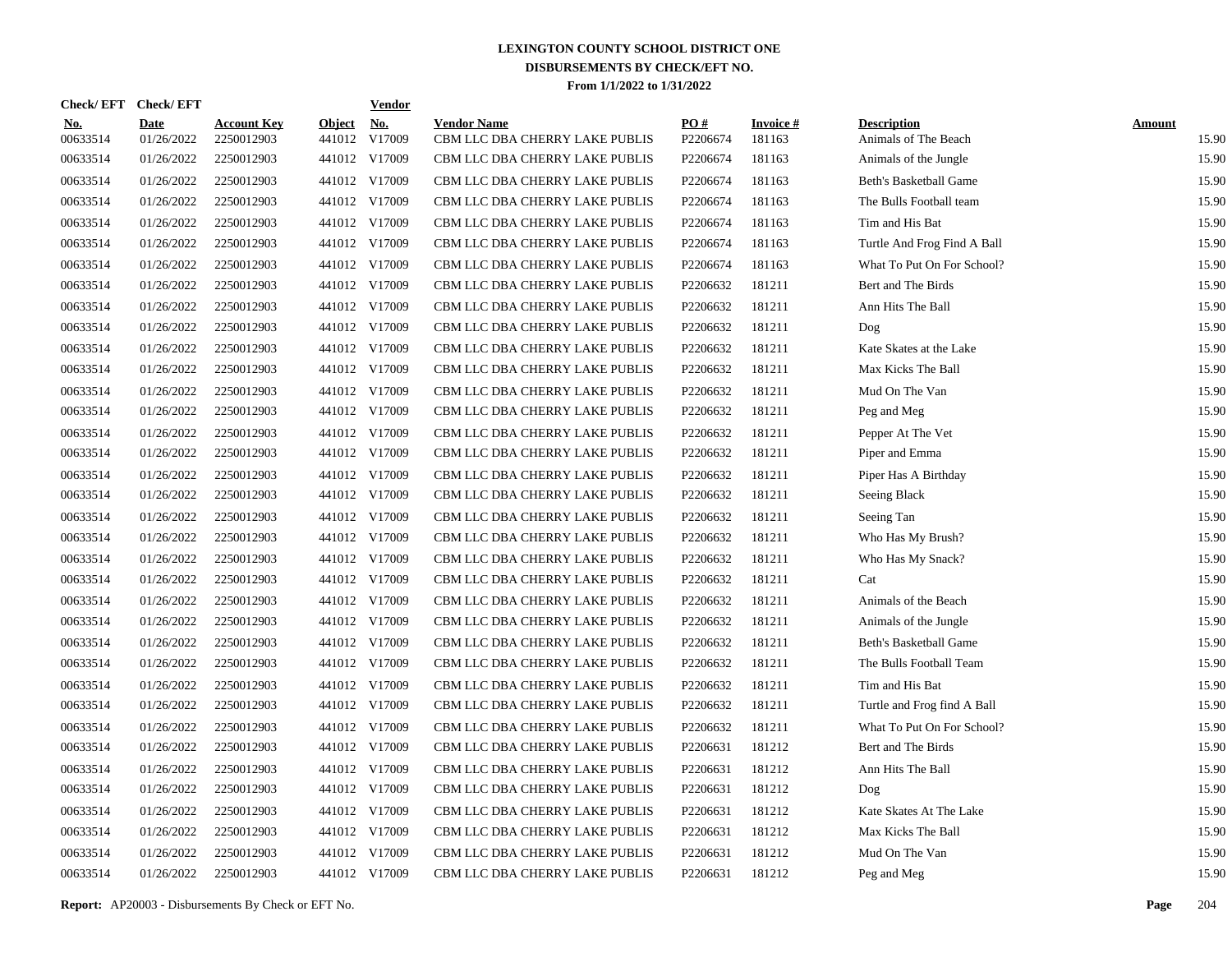| Check/EFT Check/EFT    |                           |                                  |                         | <b>Vendor</b>        |                                                      |                 |                           |                                            |                        |
|------------------------|---------------------------|----------------------------------|-------------------------|----------------------|------------------------------------------------------|-----------------|---------------------------|--------------------------------------------|------------------------|
| <u>No.</u><br>00633514 | <b>Date</b><br>01/26/2022 | <b>Account Key</b><br>2250012903 | <b>Object</b><br>441012 | <u>No.</u><br>V17009 | <b>Vendor Name</b><br>CBM LLC DBA CHERRY LAKE PUBLIS | PO#<br>P2206674 | <b>Invoice#</b><br>181163 | <b>Description</b><br>Animals of The Beach | <b>Amount</b><br>15.90 |
| 00633514               | 01/26/2022                | 2250012903                       |                         | 441012 V17009        | CBM LLC DBA CHERRY LAKE PUBLIS                       | P2206674        | 181163                    | Animals of the Jungle                      | 15.90                  |
| 00633514               | 01/26/2022                | 2250012903                       |                         | 441012 V17009        | CBM LLC DBA CHERRY LAKE PUBLIS                       | P2206674        | 181163                    | Beth's Basketball Game                     | 15.90                  |
| 00633514               | 01/26/2022                | 2250012903                       |                         | 441012 V17009        | CBM LLC DBA CHERRY LAKE PUBLIS                       | P2206674        | 181163                    | The Bulls Football team                    | 15.90                  |
| 00633514               | 01/26/2022                | 2250012903                       |                         | 441012 V17009        | CBM LLC DBA CHERRY LAKE PUBLIS                       | P2206674        | 181163                    | Tim and His Bat                            | 15.90                  |
| 00633514               | 01/26/2022                | 2250012903                       |                         | 441012 V17009        | CBM LLC DBA CHERRY LAKE PUBLIS                       | P2206674        | 181163                    | Turtle And Frog Find A Ball                | 15.90                  |
| 00633514               | 01/26/2022                | 2250012903                       |                         | 441012 V17009        | CBM LLC DBA CHERRY LAKE PUBLIS                       | P2206674        | 181163                    | What To Put On For School?                 | 15.90                  |
| 00633514               | 01/26/2022                | 2250012903                       |                         | 441012 V17009        | CBM LLC DBA CHERRY LAKE PUBLIS                       | P2206632        | 181211                    | Bert and The Birds                         | 15.90                  |
| 00633514               | 01/26/2022                | 2250012903                       |                         | 441012 V17009        | CBM LLC DBA CHERRY LAKE PUBLIS                       | P2206632        | 181211                    | Ann Hits The Ball                          | 15.90                  |
| 00633514               | 01/26/2022                | 2250012903                       |                         | 441012 V17009        | CBM LLC DBA CHERRY LAKE PUBLIS                       | P2206632        | 181211                    | Dog                                        | 15.90                  |
| 00633514               | 01/26/2022                | 2250012903                       |                         | 441012 V17009        | CBM LLC DBA CHERRY LAKE PUBLIS                       | P2206632        | 181211                    | Kate Skates at the Lake                    | 15.90                  |
| 00633514               | 01/26/2022                | 2250012903                       |                         | 441012 V17009        | CBM LLC DBA CHERRY LAKE PUBLIS                       | P2206632        | 181211                    | Max Kicks The Ball                         | 15.90                  |
| 00633514               | 01/26/2022                | 2250012903                       |                         | 441012 V17009        | CBM LLC DBA CHERRY LAKE PUBLIS                       | P2206632        | 181211                    | Mud On The Van                             | 15.90                  |
| 00633514               | 01/26/2022                | 2250012903                       |                         | 441012 V17009        | CBM LLC DBA CHERRY LAKE PUBLIS                       | P2206632        | 181211                    | Peg and Meg                                | 15.90                  |
| 00633514               | 01/26/2022                | 2250012903                       |                         | 441012 V17009        | CBM LLC DBA CHERRY LAKE PUBLIS                       | P2206632        | 181211                    | Pepper At The Vet                          | 15.90                  |
| 00633514               | 01/26/2022                | 2250012903                       |                         | 441012 V17009        | CBM LLC DBA CHERRY LAKE PUBLIS                       | P2206632        | 181211                    | Piper and Emma                             | 15.90                  |
| 00633514               | 01/26/2022                | 2250012903                       |                         | 441012 V17009        | CBM LLC DBA CHERRY LAKE PUBLIS                       | P2206632        | 181211                    | Piper Has A Birthday                       | 15.90                  |
| 00633514               | 01/26/2022                | 2250012903                       |                         | 441012 V17009        | CBM LLC DBA CHERRY LAKE PUBLIS                       | P2206632        | 181211                    | Seeing Black                               | 15.90                  |
| 00633514               | 01/26/2022                | 2250012903                       |                         | 441012 V17009        | CBM LLC DBA CHERRY LAKE PUBLIS                       | P2206632        | 181211                    | Seeing Tan                                 | 15.90                  |
| 00633514               | 01/26/2022                | 2250012903                       |                         | 441012 V17009        | CBM LLC DBA CHERRY LAKE PUBLIS                       | P2206632        | 181211                    | Who Has My Brush?                          | 15.90                  |
| 00633514               | 01/26/2022                | 2250012903                       |                         | 441012 V17009        | CBM LLC DBA CHERRY LAKE PUBLIS                       | P2206632        | 181211                    | Who Has My Snack?                          | 15.90                  |
| 00633514               | 01/26/2022                | 2250012903                       |                         | 441012 V17009        | CBM LLC DBA CHERRY LAKE PUBLIS                       | P2206632        | 181211                    | Cat                                        | 15.90                  |
| 00633514               | 01/26/2022                | 2250012903                       |                         | 441012 V17009        | CBM LLC DBA CHERRY LAKE PUBLIS                       | P2206632        | 181211                    | Animals of the Beach                       | 15.90                  |
| 00633514               | 01/26/2022                | 2250012903                       |                         | 441012 V17009        | CBM LLC DBA CHERRY LAKE PUBLIS                       | P2206632        | 181211                    | Animals of the Jungle                      | 15.90                  |
| 00633514               | 01/26/2022                | 2250012903                       |                         | 441012 V17009        | CBM LLC DBA CHERRY LAKE PUBLIS                       | P2206632        | 181211                    | <b>Beth's Basketball Game</b>              | 15.90                  |
| 00633514               | 01/26/2022                | 2250012903                       |                         | 441012 V17009        | CBM LLC DBA CHERRY LAKE PUBLIS                       | P2206632        | 181211                    | The Bulls Football Team                    | 15.90                  |
| 00633514               | 01/26/2022                | 2250012903                       |                         | 441012 V17009        | CBM LLC DBA CHERRY LAKE PUBLIS                       | P2206632        | 181211                    | Tim and His Bat                            | 15.90                  |
| 00633514               | 01/26/2022                | 2250012903                       |                         | 441012 V17009        | CBM LLC DBA CHERRY LAKE PUBLIS                       | P2206632        | 181211                    | Turtle and Frog find A Ball                | 15.90                  |
| 00633514               | 01/26/2022                | 2250012903                       |                         | 441012 V17009        | CBM LLC DBA CHERRY LAKE PUBLIS                       | P2206632        | 181211                    | What To Put On For School?                 | 15.90                  |
| 00633514               | 01/26/2022                | 2250012903                       |                         | 441012 V17009        | CBM LLC DBA CHERRY LAKE PUBLIS                       | P2206631        | 181212                    | Bert and The Birds                         | 15.90                  |
| 00633514               | 01/26/2022                | 2250012903                       |                         | 441012 V17009        | CBM LLC DBA CHERRY LAKE PUBLIS                       | P2206631        | 181212                    | Ann Hits The Ball                          | 15.90                  |
| 00633514               | 01/26/2022                | 2250012903                       |                         | 441012 V17009        | CBM LLC DBA CHERRY LAKE PUBLIS                       | P2206631        | 181212                    | Dog                                        | 15.90                  |
| 00633514               | 01/26/2022                | 2250012903                       |                         | 441012 V17009        | CBM LLC DBA CHERRY LAKE PUBLIS                       | P2206631        | 181212                    | Kate Skates At The Lake                    | 15.90                  |
| 00633514               | 01/26/2022                | 2250012903                       |                         | 441012 V17009        | CBM LLC DBA CHERRY LAKE PUBLIS                       | P2206631        | 181212                    | Max Kicks The Ball                         | 15.90                  |
| 00633514               | 01/26/2022                | 2250012903                       |                         | 441012 V17009        | CBM LLC DBA CHERRY LAKE PUBLIS                       | P2206631        | 181212                    | Mud On The Van                             | 15.90                  |
| 00633514               | 01/26/2022                | 2250012903                       |                         | 441012 V17009        | CBM LLC DBA CHERRY LAKE PUBLIS                       | P2206631        | 181212                    | Peg and Meg                                | 15.90                  |

**Report:** AP20003 - Disbursements By Check or EFT No. **Page** 204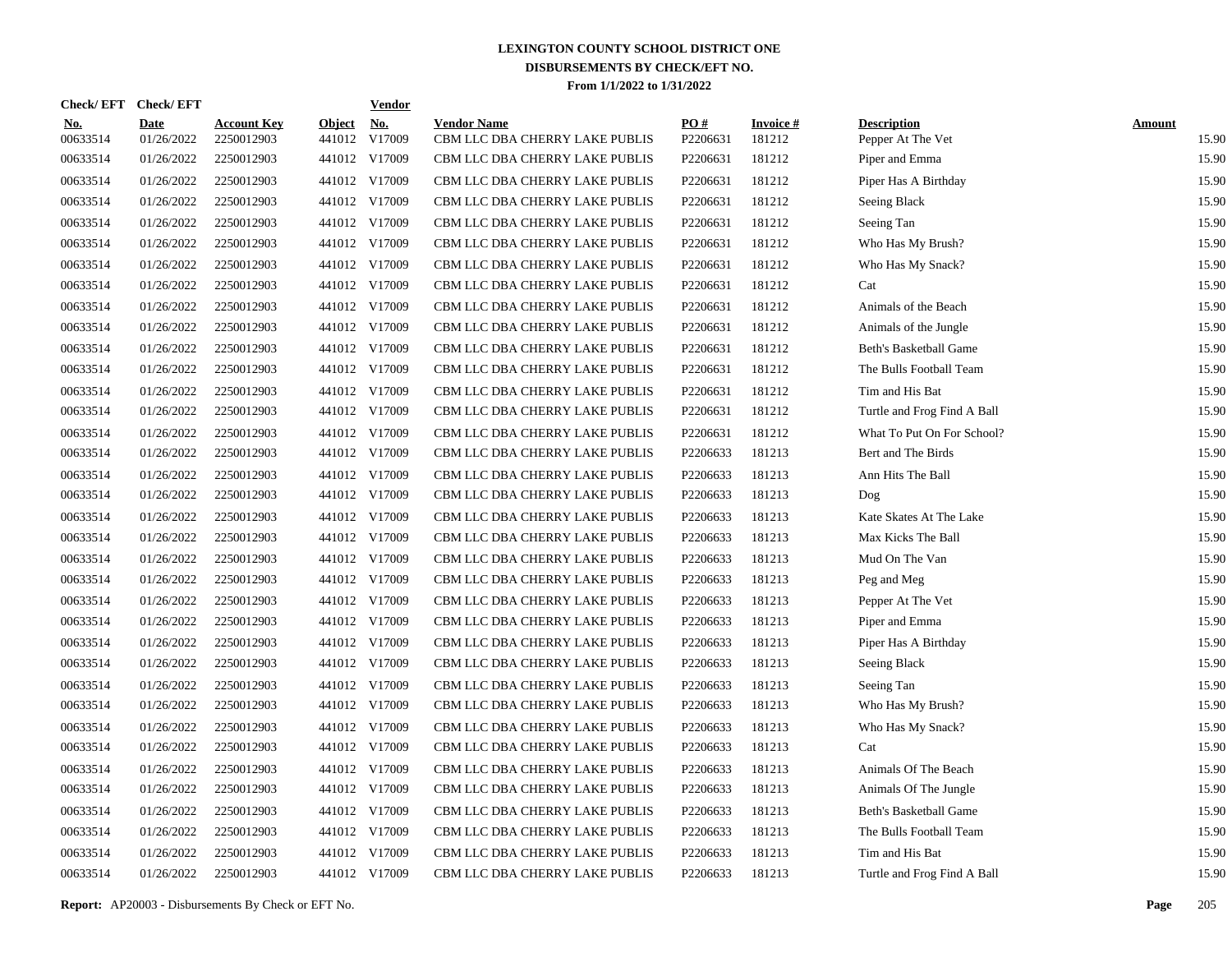| <b>Check/EFT</b>       | <b>Check/EFT</b>          |                                  |                         | <b>Vendor</b>        |                                                      |                 |                           |                                         |                        |
|------------------------|---------------------------|----------------------------------|-------------------------|----------------------|------------------------------------------------------|-----------------|---------------------------|-----------------------------------------|------------------------|
| <u>No.</u><br>00633514 | <b>Date</b><br>01/26/2022 | <b>Account Key</b><br>2250012903 | <b>Object</b><br>441012 | <u>No.</u><br>V17009 | <b>Vendor Name</b><br>CBM LLC DBA CHERRY LAKE PUBLIS | PO#<br>P2206631 | <b>Invoice#</b><br>181212 | <b>Description</b><br>Pepper At The Vet | <b>Amount</b><br>15.90 |
| 00633514               | 01/26/2022                | 2250012903                       |                         | 441012 V17009        | CBM LLC DBA CHERRY LAKE PUBLIS                       | P2206631        | 181212                    | Piper and Emma                          | 15.90                  |
| 00633514               | 01/26/2022                | 2250012903                       |                         | 441012 V17009        | CBM LLC DBA CHERRY LAKE PUBLIS                       | P2206631        | 181212                    | Piper Has A Birthday                    | 15.90                  |
| 00633514               | 01/26/2022                | 2250012903                       |                         | 441012 V17009        | CBM LLC DBA CHERRY LAKE PUBLIS                       | P2206631        | 181212                    | Seeing Black                            | 15.90                  |
| 00633514               | 01/26/2022                | 2250012903                       |                         | 441012 V17009        | CBM LLC DBA CHERRY LAKE PUBLIS                       | P2206631        | 181212                    | Seeing Tan                              | 15.90                  |
| 00633514               | 01/26/2022                | 2250012903                       |                         | 441012 V17009        | CBM LLC DBA CHERRY LAKE PUBLIS                       | P2206631        | 181212                    | Who Has My Brush?                       | 15.90                  |
| 00633514               | 01/26/2022                | 2250012903                       |                         | 441012 V17009        | CBM LLC DBA CHERRY LAKE PUBLIS                       | P2206631        | 181212                    | Who Has My Snack?                       | 15.90                  |
| 00633514               | 01/26/2022                | 2250012903                       |                         | 441012 V17009        | CBM LLC DBA CHERRY LAKE PUBLIS                       | P2206631        | 181212                    | Cat                                     | 15.90                  |
| 00633514               | 01/26/2022                | 2250012903                       |                         | 441012 V17009        | CBM LLC DBA CHERRY LAKE PUBLIS                       | P2206631        | 181212                    | Animals of the Beach                    | 15.90                  |
| 00633514               | 01/26/2022                | 2250012903                       |                         | 441012 V17009        | CBM LLC DBA CHERRY LAKE PUBLIS                       | P2206631        | 181212                    | Animals of the Jungle                   | 15.90                  |
| 00633514               | 01/26/2022                | 2250012903                       |                         | 441012 V17009        | CBM LLC DBA CHERRY LAKE PUBLIS                       | P2206631        | 181212                    | Beth's Basketball Game                  | 15.90                  |
| 00633514               | 01/26/2022                | 2250012903                       |                         | 441012 V17009        | CBM LLC DBA CHERRY LAKE PUBLIS                       | P2206631        | 181212                    | The Bulls Football Team                 | 15.90                  |
| 00633514               | 01/26/2022                | 2250012903                       |                         | 441012 V17009        | CBM LLC DBA CHERRY LAKE PUBLIS                       | P2206631        | 181212                    | Tim and His Bat                         | 15.90                  |
| 00633514               | 01/26/2022                | 2250012903                       |                         | 441012 V17009        | CBM LLC DBA CHERRY LAKE PUBLIS                       | P2206631        | 181212                    | Turtle and Frog Find A Ball             | 15.90                  |
| 00633514               | 01/26/2022                | 2250012903                       |                         | 441012 V17009        | CBM LLC DBA CHERRY LAKE PUBLIS                       | P2206631        | 181212                    | What To Put On For School?              | 15.90                  |
| 00633514               | 01/26/2022                | 2250012903                       |                         | 441012 V17009        | CBM LLC DBA CHERRY LAKE PUBLIS                       | P2206633        | 181213                    | Bert and The Birds                      | 15.90                  |
| 00633514               | 01/26/2022                | 2250012903                       |                         | 441012 V17009        | CBM LLC DBA CHERRY LAKE PUBLIS                       | P2206633        | 181213                    | Ann Hits The Ball                       | 15.90                  |
| 00633514               | 01/26/2022                | 2250012903                       |                         | 441012 V17009        | CBM LLC DBA CHERRY LAKE PUBLIS                       | P2206633        | 181213                    | Dog                                     | 15.90                  |
| 00633514               | 01/26/2022                | 2250012903                       |                         | 441012 V17009        | CBM LLC DBA CHERRY LAKE PUBLIS                       | P2206633        | 181213                    | Kate Skates At The Lake                 | 15.90                  |
| 00633514               | 01/26/2022                | 2250012903                       |                         | 441012 V17009        | CBM LLC DBA CHERRY LAKE PUBLIS                       | P2206633        | 181213                    | Max Kicks The Ball                      | 15.90                  |
| 00633514               | 01/26/2022                | 2250012903                       |                         | 441012 V17009        | CBM LLC DBA CHERRY LAKE PUBLIS                       | P2206633        | 181213                    | Mud On The Van                          | 15.90                  |
| 00633514               | 01/26/2022                | 2250012903                       |                         | 441012 V17009        | CBM LLC DBA CHERRY LAKE PUBLIS                       | P2206633        | 181213                    | Peg and Meg                             | 15.90                  |
| 00633514               | 01/26/2022                | 2250012903                       |                         | 441012 V17009        | CBM LLC DBA CHERRY LAKE PUBLIS                       | P2206633        | 181213                    | Pepper At The Vet                       | 15.90                  |
| 00633514               | 01/26/2022                | 2250012903                       |                         | 441012 V17009        | CBM LLC DBA CHERRY LAKE PUBLIS                       | P2206633        | 181213                    | Piper and Emma                          | 15.90                  |
| 00633514               | 01/26/2022                | 2250012903                       |                         | 441012 V17009        | CBM LLC DBA CHERRY LAKE PUBLIS                       | P2206633        | 181213                    | Piper Has A Birthday                    | 15.90                  |
| 00633514               | 01/26/2022                | 2250012903                       |                         | 441012 V17009        | CBM LLC DBA CHERRY LAKE PUBLIS                       | P2206633        | 181213                    | Seeing Black                            | 15.90                  |
| 00633514               | 01/26/2022                | 2250012903                       |                         | 441012 V17009        | CBM LLC DBA CHERRY LAKE PUBLIS                       | P2206633        | 181213                    | Seeing Tan                              | 15.90                  |
| 00633514               | 01/26/2022                | 2250012903                       |                         | 441012 V17009        | CBM LLC DBA CHERRY LAKE PUBLIS                       | P2206633        | 181213                    | Who Has My Brush?                       | 15.90                  |
| 00633514               | 01/26/2022                | 2250012903                       |                         | 441012 V17009        | CBM LLC DBA CHERRY LAKE PUBLIS                       | P2206633        | 181213                    | Who Has My Snack?                       | 15.90                  |
| 00633514               | 01/26/2022                | 2250012903                       |                         | 441012 V17009        | CBM LLC DBA CHERRY LAKE PUBLIS                       | P2206633        | 181213                    | Cat                                     | 15.90                  |
| 00633514               | 01/26/2022                | 2250012903                       |                         | 441012 V17009        | CBM LLC DBA CHERRY LAKE PUBLIS                       | P2206633        | 181213                    | Animals Of The Beach                    | 15.90                  |
| 00633514               | 01/26/2022                | 2250012903                       |                         | 441012 V17009        | CBM LLC DBA CHERRY LAKE PUBLIS                       | P2206633        | 181213                    | Animals Of The Jungle                   | 15.90                  |
| 00633514               | 01/26/2022                | 2250012903                       |                         | 441012 V17009        | CBM LLC DBA CHERRY LAKE PUBLIS                       | P2206633        | 181213                    | Beth's Basketball Game                  | 15.90                  |
| 00633514               | 01/26/2022                | 2250012903                       |                         | 441012 V17009        | CBM LLC DBA CHERRY LAKE PUBLIS                       | P2206633        | 181213                    | The Bulls Football Team                 | 15.90                  |
| 00633514               | 01/26/2022                | 2250012903                       |                         | 441012 V17009        | CBM LLC DBA CHERRY LAKE PUBLIS                       | P2206633        | 181213                    | Tim and His Bat                         | 15.90                  |
| 00633514               | 01/26/2022                | 2250012903                       |                         | 441012 V17009        | CBM LLC DBA CHERRY LAKE PUBLIS                       | P2206633        | 181213                    | Turtle and Frog Find A Ball             | 15.90                  |

**Report:** AP20003 - Disbursements By Check or EFT No. **Page** 205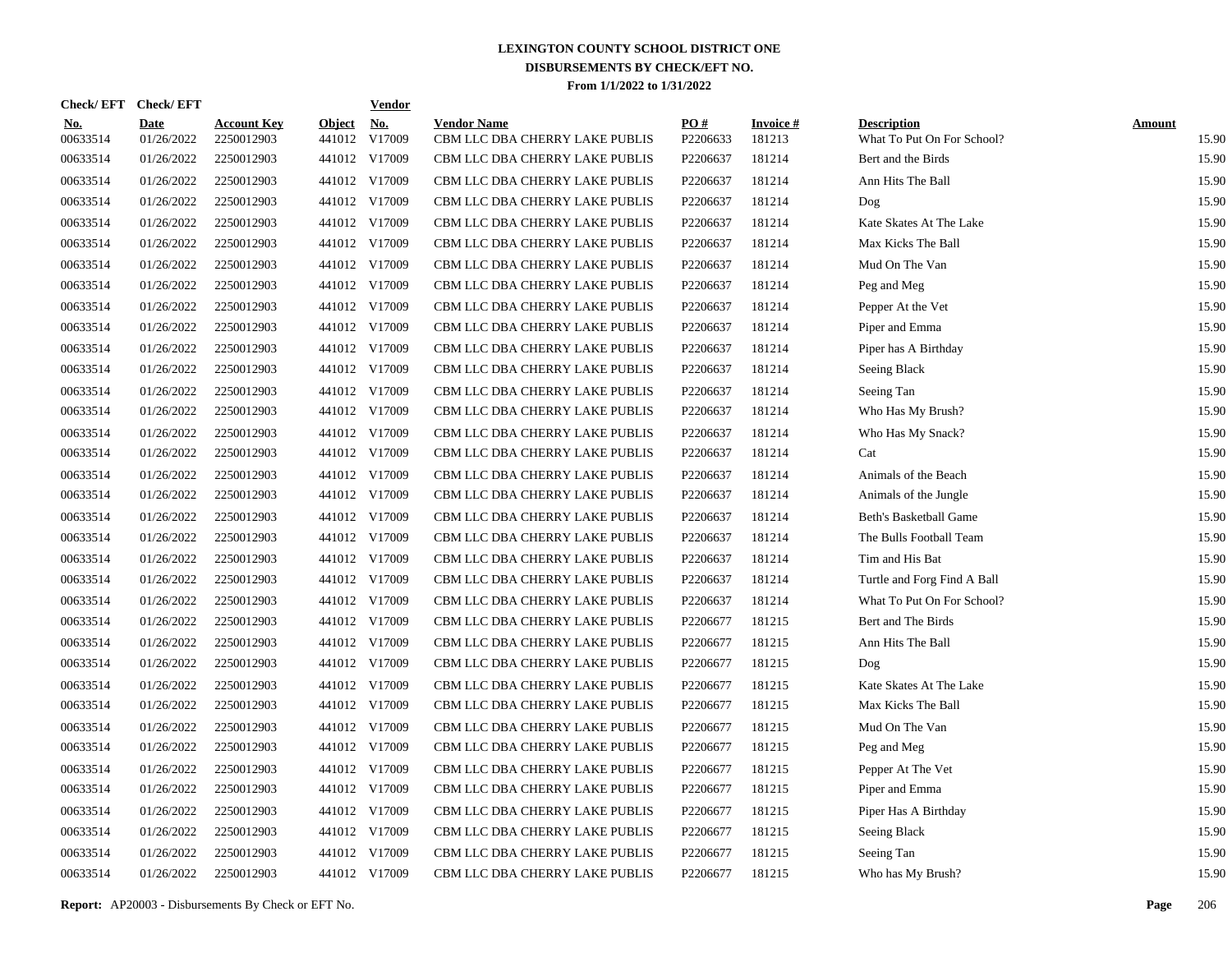| <b>Check/EFT</b>       | <b>Check/EFT</b>          |                                  |                         | <b>Vendor</b>        |                                                      |                 |                           |                                                  |                        |
|------------------------|---------------------------|----------------------------------|-------------------------|----------------------|------------------------------------------------------|-----------------|---------------------------|--------------------------------------------------|------------------------|
| <u>No.</u><br>00633514 | <b>Date</b><br>01/26/2022 | <b>Account Key</b><br>2250012903 | <b>Object</b><br>441012 | <u>No.</u><br>V17009 | <b>Vendor Name</b><br>CBM LLC DBA CHERRY LAKE PUBLIS | PO#<br>P2206633 | <b>Invoice#</b><br>181213 | <b>Description</b><br>What To Put On For School? | <b>Amount</b><br>15.90 |
| 00633514               | 01/26/2022                | 2250012903                       |                         | 441012 V17009        | CBM LLC DBA CHERRY LAKE PUBLIS                       | P2206637        | 181214                    | Bert and the Birds                               | 15.90                  |
| 00633514               | 01/26/2022                | 2250012903                       |                         | 441012 V17009        | CBM LLC DBA CHERRY LAKE PUBLIS                       | P2206637        | 181214                    | Ann Hits The Ball                                | 15.90                  |
| 00633514               | 01/26/2022                | 2250012903                       |                         | 441012 V17009        | CBM LLC DBA CHERRY LAKE PUBLIS                       | P2206637        | 181214                    | Dog                                              | 15.90                  |
| 00633514               | 01/26/2022                | 2250012903                       |                         | 441012 V17009        | CBM LLC DBA CHERRY LAKE PUBLIS                       | P2206637        | 181214                    | Kate Skates At The Lake                          | 15.90                  |
| 00633514               | 01/26/2022                | 2250012903                       |                         | 441012 V17009        | CBM LLC DBA CHERRY LAKE PUBLIS                       | P2206637        | 181214                    | Max Kicks The Ball                               | 15.90                  |
| 00633514               | 01/26/2022                | 2250012903                       |                         | 441012 V17009        | CBM LLC DBA CHERRY LAKE PUBLIS                       | P2206637        | 181214                    | Mud On The Van                                   | 15.90                  |
| 00633514               | 01/26/2022                | 2250012903                       |                         | 441012 V17009        | CBM LLC DBA CHERRY LAKE PUBLIS                       | P2206637        | 181214                    | Peg and Meg                                      | 15.90                  |
| 00633514               | 01/26/2022                | 2250012903                       |                         | 441012 V17009        | CBM LLC DBA CHERRY LAKE PUBLIS                       | P2206637        | 181214                    | Pepper At the Vet                                | 15.90                  |
| 00633514               | 01/26/2022                | 2250012903                       |                         | 441012 V17009        | CBM LLC DBA CHERRY LAKE PUBLIS                       | P2206637        | 181214                    | Piper and Emma                                   | 15.90                  |
| 00633514               | 01/26/2022                | 2250012903                       |                         | 441012 V17009        | CBM LLC DBA CHERRY LAKE PUBLIS                       | P2206637        | 181214                    | Piper has A Birthday                             | 15.90                  |
| 00633514               | 01/26/2022                | 2250012903                       |                         | 441012 V17009        | CBM LLC DBA CHERRY LAKE PUBLIS                       | P2206637        | 181214                    | Seeing Black                                     | 15.90                  |
| 00633514               | 01/26/2022                | 2250012903                       |                         | 441012 V17009        | CBM LLC DBA CHERRY LAKE PUBLIS                       | P2206637        | 181214                    | Seeing Tan                                       | 15.90                  |
| 00633514               | 01/26/2022                | 2250012903                       |                         | 441012 V17009        | CBM LLC DBA CHERRY LAKE PUBLIS                       | P2206637        | 181214                    | Who Has My Brush?                                | 15.90                  |
| 00633514               | 01/26/2022                | 2250012903                       |                         | 441012 V17009        | CBM LLC DBA CHERRY LAKE PUBLIS                       | P2206637        | 181214                    | Who Has My Snack?                                | 15.90                  |
| 00633514               | 01/26/2022                | 2250012903                       |                         | 441012 V17009        | CBM LLC DBA CHERRY LAKE PUBLIS                       | P2206637        | 181214                    | Cat                                              | 15.90                  |
| 00633514               | 01/26/2022                | 2250012903                       |                         | 441012 V17009        | CBM LLC DBA CHERRY LAKE PUBLIS                       | P2206637        | 181214                    | Animals of the Beach                             | 15.90                  |
| 00633514               | 01/26/2022                | 2250012903                       |                         | 441012 V17009        | CBM LLC DBA CHERRY LAKE PUBLIS                       | P2206637        | 181214                    | Animals of the Jungle                            | 15.90                  |
| 00633514               | 01/26/2022                | 2250012903                       |                         | 441012 V17009        | CBM LLC DBA CHERRY LAKE PUBLIS                       | P2206637        | 181214                    | Beth's Basketball Game                           | 15.90                  |
| 00633514               | 01/26/2022                | 2250012903                       |                         | 441012 V17009        | CBM LLC DBA CHERRY LAKE PUBLIS                       | P2206637        | 181214                    | The Bulls Football Team                          | 15.90                  |
| 00633514               | 01/26/2022                | 2250012903                       |                         | 441012 V17009        | CBM LLC DBA CHERRY LAKE PUBLIS                       | P2206637        | 181214                    | Tim and His Bat                                  | 15.90                  |
| 00633514               | 01/26/2022                | 2250012903                       |                         | 441012 V17009        | CBM LLC DBA CHERRY LAKE PUBLIS                       | P2206637        | 181214                    | Turtle and Forg Find A Ball                      | 15.90                  |
| 00633514               | 01/26/2022                | 2250012903                       |                         | 441012 V17009        | CBM LLC DBA CHERRY LAKE PUBLIS                       | P2206637        | 181214                    | What To Put On For School?                       | 15.90                  |
| 00633514               | 01/26/2022                | 2250012903                       |                         | 441012 V17009        | CBM LLC DBA CHERRY LAKE PUBLIS                       | P2206677        | 181215                    | Bert and The Birds                               | 15.90                  |
| 00633514               | 01/26/2022                | 2250012903                       |                         | 441012 V17009        | CBM LLC DBA CHERRY LAKE PUBLIS                       | P2206677        | 181215                    | Ann Hits The Ball                                | 15.90                  |
| 00633514               | 01/26/2022                | 2250012903                       |                         | 441012 V17009        | CBM LLC DBA CHERRY LAKE PUBLIS                       | P2206677        | 181215                    | Dog                                              | 15.90                  |
| 00633514               | 01/26/2022                | 2250012903                       |                         | 441012 V17009        | CBM LLC DBA CHERRY LAKE PUBLIS                       | P2206677        | 181215                    | Kate Skates At The Lake                          | 15.90                  |
| 00633514               | 01/26/2022                | 2250012903                       |                         | 441012 V17009        | CBM LLC DBA CHERRY LAKE PUBLIS                       | P2206677        | 181215                    | Max Kicks The Ball                               | 15.90                  |
| 00633514               | 01/26/2022                | 2250012903                       |                         | 441012 V17009        | CBM LLC DBA CHERRY LAKE PUBLIS                       | P2206677        | 181215                    | Mud On The Van                                   | 15.90                  |
| 00633514               | 01/26/2022                | 2250012903                       |                         | 441012 V17009        | CBM LLC DBA CHERRY LAKE PUBLIS                       | P2206677        | 181215                    | Peg and Meg                                      | 15.90                  |
| 00633514               | 01/26/2022                | 2250012903                       |                         | 441012 V17009        | CBM LLC DBA CHERRY LAKE PUBLIS                       | P2206677        | 181215                    | Pepper At The Vet                                | 15.90                  |
| 00633514               | 01/26/2022                | 2250012903                       |                         | 441012 V17009        | CBM LLC DBA CHERRY LAKE PUBLIS                       | P2206677        | 181215                    | Piper and Emma                                   | 15.90                  |
| 00633514               | 01/26/2022                | 2250012903                       |                         | 441012 V17009        | CBM LLC DBA CHERRY LAKE PUBLIS                       | P2206677        | 181215                    | Piper Has A Birthday                             | 15.90                  |
| 00633514               | 01/26/2022                | 2250012903                       |                         | 441012 V17009        | CBM LLC DBA CHERRY LAKE PUBLIS                       | P2206677        | 181215                    | Seeing Black                                     | 15.90                  |
| 00633514               | 01/26/2022                | 2250012903                       |                         | 441012 V17009        | CBM LLC DBA CHERRY LAKE PUBLIS                       | P2206677        | 181215                    | Seeing Tan                                       | 15.90                  |
| 00633514               | 01/26/2022                | 2250012903                       |                         | 441012 V17009        | CBM LLC DBA CHERRY LAKE PUBLIS                       | P2206677        | 181215                    | Who has My Brush?                                | 15.90                  |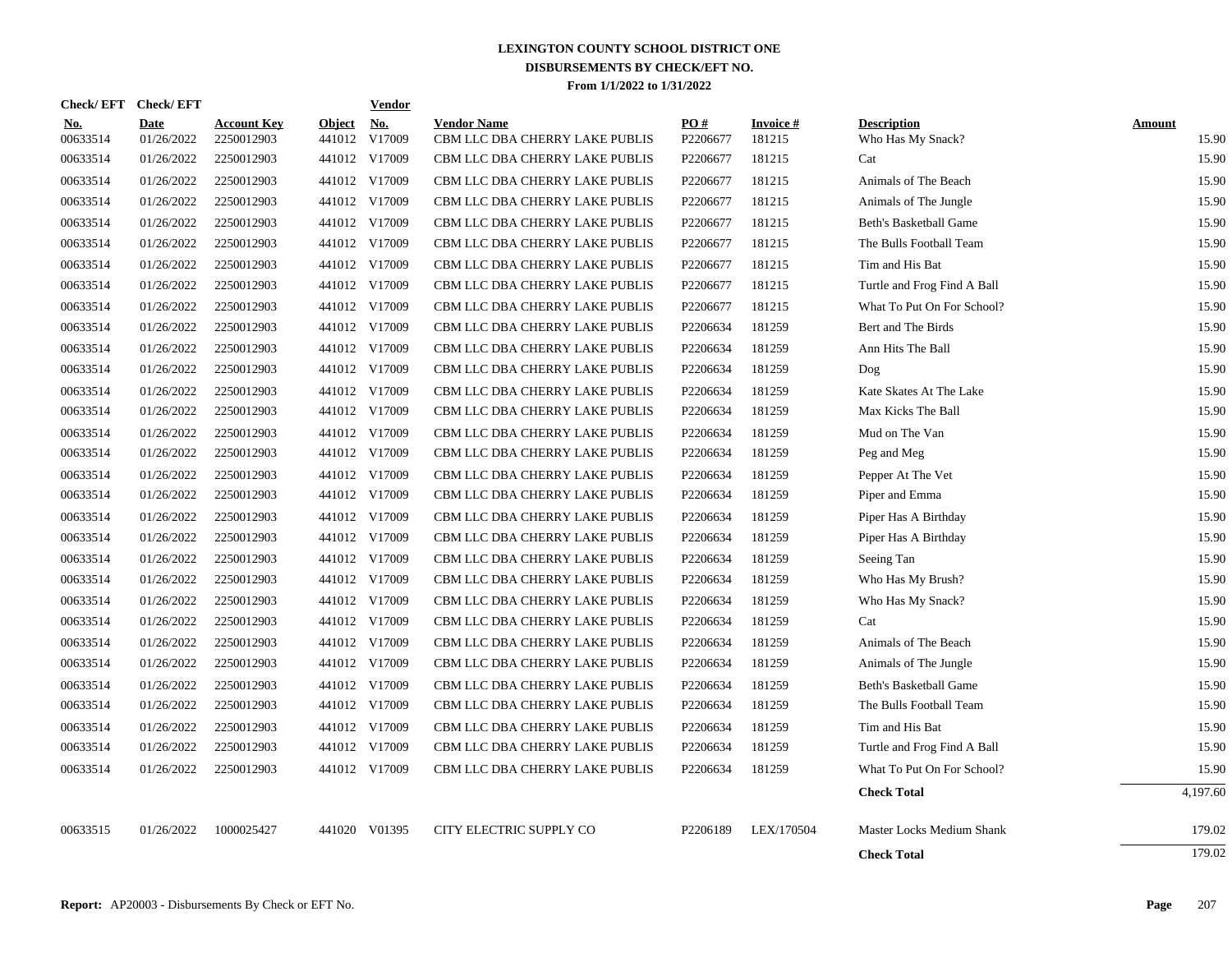| <b>Check/EFT</b> | <b>Check/EFT</b>          |                                  |                         | <b>Vendor</b>        |                                                      |                 |                     |                                         |                        |
|------------------|---------------------------|----------------------------------|-------------------------|----------------------|------------------------------------------------------|-----------------|---------------------|-----------------------------------------|------------------------|
| No.<br>00633514  | <b>Date</b><br>01/26/2022 | <b>Account Key</b><br>2250012903 | <b>Object</b><br>441012 | <u>No.</u><br>V17009 | <b>Vendor Name</b><br>CBM LLC DBA CHERRY LAKE PUBLIS | PO#<br>P2206677 | Invoice #<br>181215 | <b>Description</b><br>Who Has My Snack? | <b>Amount</b><br>15.90 |
| 00633514         | 01/26/2022                | 2250012903                       |                         | 441012 V17009        | CBM LLC DBA CHERRY LAKE PUBLIS                       | P2206677        | 181215              | Cat                                     | 15.90                  |
| 00633514         | 01/26/2022                | 2250012903                       |                         | 441012 V17009        | CBM LLC DBA CHERRY LAKE PUBLIS                       | P2206677        | 181215              | Animals of The Beach                    | 15.90                  |
| 00633514         | 01/26/2022                | 2250012903                       |                         | 441012 V17009        | CBM LLC DBA CHERRY LAKE PUBLIS                       | P2206677        | 181215              | Animals of The Jungle                   | 15.90                  |
| 00633514         | 01/26/2022                | 2250012903                       |                         | 441012 V17009        | CBM LLC DBA CHERRY LAKE PUBLIS                       | P2206677        | 181215              | Beth's Basketball Game                  | 15.90                  |
| 00633514         | 01/26/2022                | 2250012903                       |                         | 441012 V17009        | CBM LLC DBA CHERRY LAKE PUBLIS                       | P2206677        | 181215              | The Bulls Football Team                 | 15.90                  |
| 00633514         | 01/26/2022                | 2250012903                       |                         | 441012 V17009        | CBM LLC DBA CHERRY LAKE PUBLIS                       | P2206677        | 181215              | Tim and His Bat                         | 15.90                  |
| 00633514         | 01/26/2022                | 2250012903                       |                         | 441012 V17009        | CBM LLC DBA CHERRY LAKE PUBLIS                       | P2206677        | 181215              | Turtle and Frog Find A Ball             | 15.90                  |
| 00633514         | 01/26/2022                | 2250012903                       |                         | 441012 V17009        | CBM LLC DBA CHERRY LAKE PUBLIS                       | P2206677        | 181215              | What To Put On For School?              | 15.90                  |
| 00633514         | 01/26/2022                | 2250012903                       |                         | 441012 V17009        | CBM LLC DBA CHERRY LAKE PUBLIS                       | P2206634        | 181259              | Bert and The Birds                      | 15.90                  |
| 00633514         | 01/26/2022                | 2250012903                       |                         | 441012 V17009        | CBM LLC DBA CHERRY LAKE PUBLIS                       | P2206634        | 181259              | Ann Hits The Ball                       | 15.90                  |
| 00633514         | 01/26/2022                | 2250012903                       |                         | 441012 V17009        | CBM LLC DBA CHERRY LAKE PUBLIS                       | P2206634        | 181259              | Dog                                     | 15.90                  |
| 00633514         | 01/26/2022                | 2250012903                       |                         | 441012 V17009        | CBM LLC DBA CHERRY LAKE PUBLIS                       | P2206634        | 181259              | Kate Skates At The Lake                 | 15.90                  |
| 00633514         | 01/26/2022                | 2250012903                       |                         | 441012 V17009        | CBM LLC DBA CHERRY LAKE PUBLIS                       | P2206634        | 181259              | Max Kicks The Ball                      | 15.90                  |
| 00633514         | 01/26/2022                | 2250012903                       |                         | 441012 V17009        | CBM LLC DBA CHERRY LAKE PUBLIS                       | P2206634        | 181259              | Mud on The Van                          | 15.90                  |
| 00633514         | 01/26/2022                | 2250012903                       |                         | 441012 V17009        | CBM LLC DBA CHERRY LAKE PUBLIS                       | P2206634        | 181259              | Peg and Meg                             | 15.90                  |
| 00633514         | 01/26/2022                | 2250012903                       |                         | 441012 V17009        | CBM LLC DBA CHERRY LAKE PUBLIS                       | P2206634        | 181259              | Pepper At The Vet                       | 15.90                  |
| 00633514         | 01/26/2022                | 2250012903                       |                         | 441012 V17009        | CBM LLC DBA CHERRY LAKE PUBLIS                       | P2206634        | 181259              | Piper and Emma                          | 15.90                  |
| 00633514         | 01/26/2022                | 2250012903                       |                         | 441012 V17009        | CBM LLC DBA CHERRY LAKE PUBLIS                       | P2206634        | 181259              | Piper Has A Birthday                    | 15.90                  |
| 00633514         | 01/26/2022                | 2250012903                       |                         | 441012 V17009        | CBM LLC DBA CHERRY LAKE PUBLIS                       | P2206634        | 181259              | Piper Has A Birthday                    | 15.90                  |
| 00633514         | 01/26/2022                | 2250012903                       |                         | 441012 V17009        | CBM LLC DBA CHERRY LAKE PUBLIS                       | P2206634        | 181259              | Seeing Tan                              | 15.90                  |
| 00633514         | 01/26/2022                | 2250012903                       |                         | 441012 V17009        | CBM LLC DBA CHERRY LAKE PUBLIS                       | P2206634        | 181259              | Who Has My Brush?                       | 15.90                  |
| 00633514         | 01/26/2022                | 2250012903                       |                         | 441012 V17009        | CBM LLC DBA CHERRY LAKE PUBLIS                       | P2206634        | 181259              | Who Has My Snack?                       | 15.90                  |
| 00633514         | 01/26/2022                | 2250012903                       |                         | 441012 V17009        | CBM LLC DBA CHERRY LAKE PUBLIS                       | P2206634        | 181259              | Cat                                     | 15.90                  |
| 00633514         | 01/26/2022                | 2250012903                       |                         | 441012 V17009        | CBM LLC DBA CHERRY LAKE PUBLIS                       | P2206634        | 181259              | Animals of The Beach                    | 15.90                  |
| 00633514         | 01/26/2022                | 2250012903                       |                         | 441012 V17009        | CBM LLC DBA CHERRY LAKE PUBLIS                       | P2206634        | 181259              | Animals of The Jungle                   | 15.90                  |
| 00633514         | 01/26/2022                | 2250012903                       |                         | 441012 V17009        | CBM LLC DBA CHERRY LAKE PUBLIS                       | P2206634        | 181259              | Beth's Basketball Game                  | 15.90                  |
| 00633514         | 01/26/2022                | 2250012903                       |                         | 441012 V17009        | CBM LLC DBA CHERRY LAKE PUBLIS                       | P2206634        | 181259              | The Bulls Football Team                 | 15.90                  |
| 00633514         | 01/26/2022                | 2250012903                       |                         | 441012 V17009        | CBM LLC DBA CHERRY LAKE PUBLIS                       | P2206634        | 181259              | Tim and His Bat                         | 15.90                  |
| 00633514         | 01/26/2022                | 2250012903                       |                         | 441012 V17009        | CBM LLC DBA CHERRY LAKE PUBLIS                       | P2206634        | 181259              | Turtle and Frog Find A Ball             | 15.90                  |
| 00633514         | 01/26/2022                | 2250012903                       |                         | 441012 V17009        | CBM LLC DBA CHERRY LAKE PUBLIS                       | P2206634        | 181259              | What To Put On For School?              | 15.90                  |
|                  |                           |                                  |                         |                      |                                                      |                 |                     | <b>Check Total</b>                      | 4,197.60               |
| 00633515         | 01/26/2022                | 1000025427                       |                         | 441020 V01395        | CITY ELECTRIC SUPPLY CO                              | P2206189        | LEX/170504          | Master Locks Medium Shank               | 179.02                 |
|                  |                           |                                  |                         |                      |                                                      |                 |                     | <b>Check Total</b>                      | 179.02                 |
|                  |                           |                                  |                         |                      |                                                      |                 |                     |                                         |                        |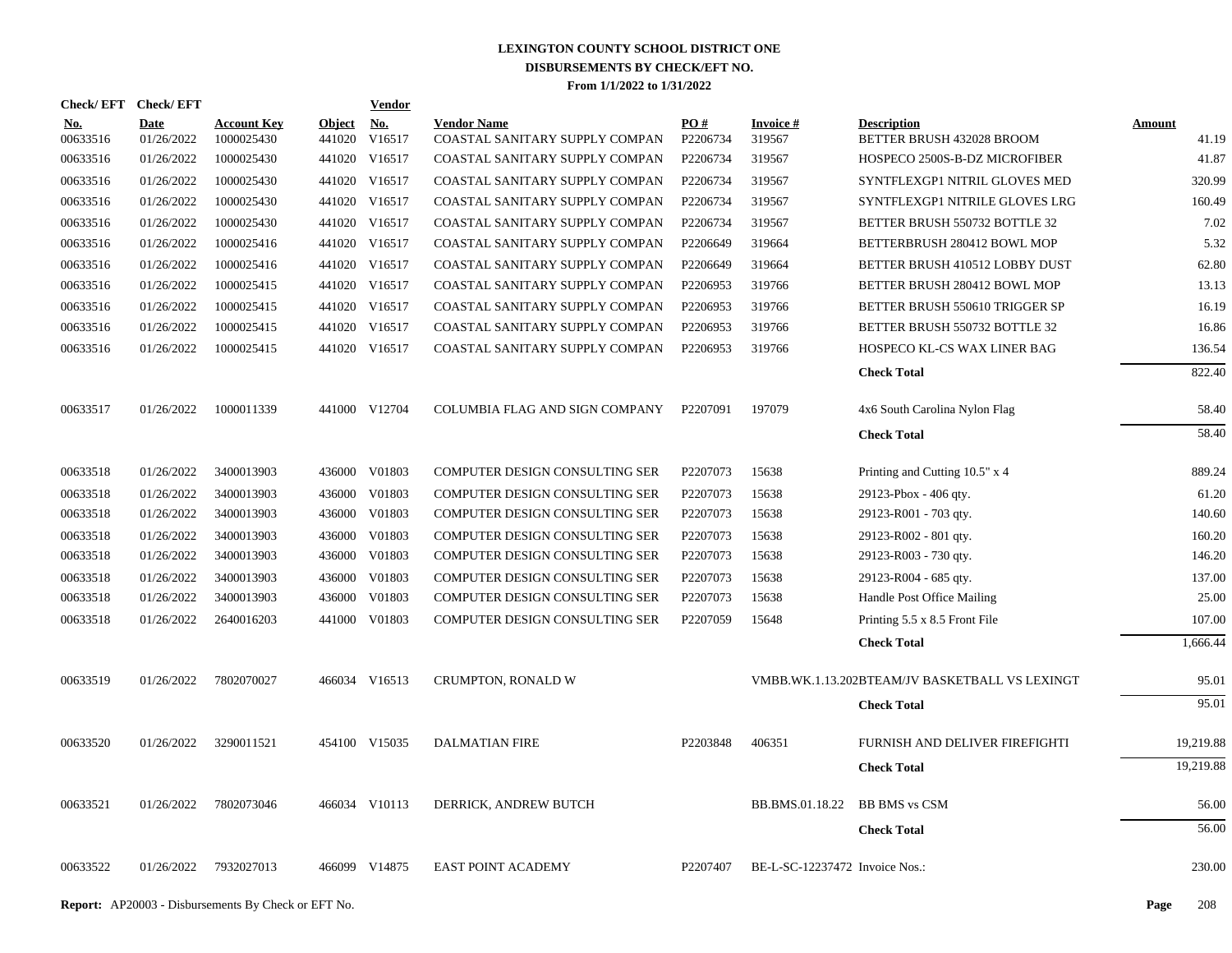| Check/EFT Check/EFT    |                           |                                  |                         | <b>Vendor</b>        |                                                      |                               |                                |                                                 |                        |
|------------------------|---------------------------|----------------------------------|-------------------------|----------------------|------------------------------------------------------|-------------------------------|--------------------------------|-------------------------------------------------|------------------------|
| <u>No.</u><br>00633516 | <b>Date</b><br>01/26/2022 | <b>Account Key</b><br>1000025430 | <b>Object</b><br>441020 | <u>No.</u><br>V16517 | <b>Vendor Name</b><br>COASTAL SANITARY SUPPLY COMPAN | $\underline{PO#}$<br>P2206734 | <b>Invoice#</b><br>319567      | <b>Description</b><br>BETTER BRUSH 432028 BROOM | <b>Amount</b><br>41.19 |
| 00633516               | 01/26/2022                | 1000025430                       |                         | 441020 V16517        | COASTAL SANITARY SUPPLY COMPAN                       | P2206734                      | 319567                         | HOSPECO 2500S-B-DZ MICROFIBER                   | 41.87                  |
| 00633516               | 01/26/2022                | 1000025430                       |                         | 441020 V16517        | COASTAL SANITARY SUPPLY COMPAN                       | P2206734                      | 319567                         | SYNTFLEXGP1 NITRIL GLOVES MED                   | 320.99                 |
| 00633516               | 01/26/2022                | 1000025430                       |                         | 441020 V16517        | COASTAL SANITARY SUPPLY COMPAN                       | P2206734                      | 319567                         | SYNTFLEXGP1 NITRILE GLOVES LRG                  | 160.49                 |
| 00633516               | 01/26/2022                | 1000025430                       |                         | 441020 V16517        | COASTAL SANITARY SUPPLY COMPAN                       | P2206734                      | 319567                         | BETTER BRUSH 550732 BOTTLE 32                   | 7.02                   |
| 00633516               | 01/26/2022                | 1000025416                       |                         | 441020 V16517        | COASTAL SANITARY SUPPLY COMPAN                       | P2206649                      | 319664                         | BETTERBRUSH 280412 BOWL MOP                     | 5.32                   |
| 00633516               | 01/26/2022                | 1000025416                       |                         | 441020 V16517        | COASTAL SANITARY SUPPLY COMPAN                       | P2206649                      | 319664                         | BETTER BRUSH 410512 LOBBY DUST                  | 62.80                  |
| 00633516               | 01/26/2022                | 1000025415                       |                         | 441020 V16517        | COASTAL SANITARY SUPPLY COMPAN                       | P2206953                      | 319766                         | BETTER BRUSH 280412 BOWL MOP                    | 13.13                  |
| 00633516               | 01/26/2022                | 1000025415                       |                         | 441020 V16517        | COASTAL SANITARY SUPPLY COMPAN                       | P2206953                      | 319766                         | BETTER BRUSH 550610 TRIGGER SP                  | 16.19                  |
| 00633516               | 01/26/2022                | 1000025415                       |                         | 441020 V16517        | COASTAL SANITARY SUPPLY COMPAN                       | P2206953                      | 319766                         | BETTER BRUSH 550732 BOTTLE 32                   | 16.86                  |
| 00633516               | 01/26/2022                | 1000025415                       |                         | 441020 V16517        | COASTAL SANITARY SUPPLY COMPAN                       | P2206953                      | 319766                         | HOSPECO KL-CS WAX LINER BAG                     | 136.54                 |
|                        |                           |                                  |                         |                      |                                                      |                               |                                | <b>Check Total</b>                              | 822.40                 |
| 00633517               | 01/26/2022                | 1000011339                       |                         | 441000 V12704        | COLUMBIA FLAG AND SIGN COMPANY                       | P2207091                      | 197079                         | 4x6 South Carolina Nylon Flag                   | 58.40                  |
|                        |                           |                                  |                         |                      |                                                      |                               |                                | <b>Check Total</b>                              | 58.40                  |
| 00633518               | 01/26/2022                | 3400013903                       |                         | 436000 V01803        | COMPUTER DESIGN CONSULTING SER                       | P2207073                      | 15638                          | Printing and Cutting 10.5" x 4                  | 889.24                 |
| 00633518               | 01/26/2022                | 3400013903                       |                         | 436000 V01803        | COMPUTER DESIGN CONSULTING SER                       | P2207073                      | 15638                          | 29123-Pbox - 406 qty.                           | 61.20                  |
| 00633518               | 01/26/2022                | 3400013903                       |                         | 436000 V01803        | COMPUTER DESIGN CONSULTING SER                       | P2207073                      | 15638                          | 29123-R001 - 703 qty.                           | 140.60                 |
| 00633518               | 01/26/2022                | 3400013903                       |                         | 436000 V01803        | COMPUTER DESIGN CONSULTING SER                       | P2207073                      | 15638                          | 29123-R002 - 801 qty.                           | 160.20                 |
| 00633518               | 01/26/2022                | 3400013903                       |                         | 436000 V01803        | COMPUTER DESIGN CONSULTING SER                       | P2207073                      | 15638                          | 29123-R003 - 730 qty.                           | 146.20                 |
| 00633518               | 01/26/2022                | 3400013903                       |                         | 436000 V01803        | COMPUTER DESIGN CONSULTING SER                       | P2207073                      | 15638                          | 29123-R004 - 685 qty.                           | 137.00                 |
| 00633518               | 01/26/2022                | 3400013903                       | 436000                  | V01803               | COMPUTER DESIGN CONSULTING SER                       | P2207073                      | 15638                          | Handle Post Office Mailing                      | 25.00                  |
| 00633518               | 01/26/2022                | 2640016203                       |                         | 441000 V01803        | COMPUTER DESIGN CONSULTING SER                       | P2207059                      | 15648                          | Printing 5.5 x 8.5 Front File                   | 107.00                 |
|                        |                           |                                  |                         |                      |                                                      |                               |                                | <b>Check Total</b>                              | 1,666.44               |
| 00633519               | 01/26/2022                | 7802070027                       |                         | 466034 V16513        | CRUMPTON, RONALD W                                   |                               |                                | VMBB.WK.1.13.202BTEAM/JV BASKETBALL VS LEXINGT  | 95.01                  |
|                        |                           |                                  |                         |                      |                                                      |                               |                                | <b>Check Total</b>                              | 95.01                  |
| 00633520               | 01/26/2022                | 3290011521                       |                         | 454100 V15035        | <b>DALMATIAN FIRE</b>                                | P2203848                      | 406351                         | FURNISH AND DELIVER FIREFIGHTI                  | 19,219.88              |
|                        |                           |                                  |                         |                      |                                                      |                               |                                | <b>Check Total</b>                              | 19,219.88              |
| 00633521               | 01/26/2022                | 7802073046                       |                         | 466034 V10113        | DERRICK, ANDREW BUTCH                                |                               | BB.BMS.01.18.22                | <b>BB BMS vs CSM</b>                            | 56.00                  |
|                        |                           |                                  |                         |                      |                                                      |                               |                                | <b>Check Total</b>                              | 56.00                  |
| 00633522               | 01/26/2022                | 7932027013                       |                         | 466099 V14875        | <b>EAST POINT ACADEMY</b>                            | P2207407                      | BE-L-SC-12237472 Invoice Nos.: |                                                 | 230.00                 |
|                        |                           |                                  |                         |                      |                                                      |                               |                                |                                                 |                        |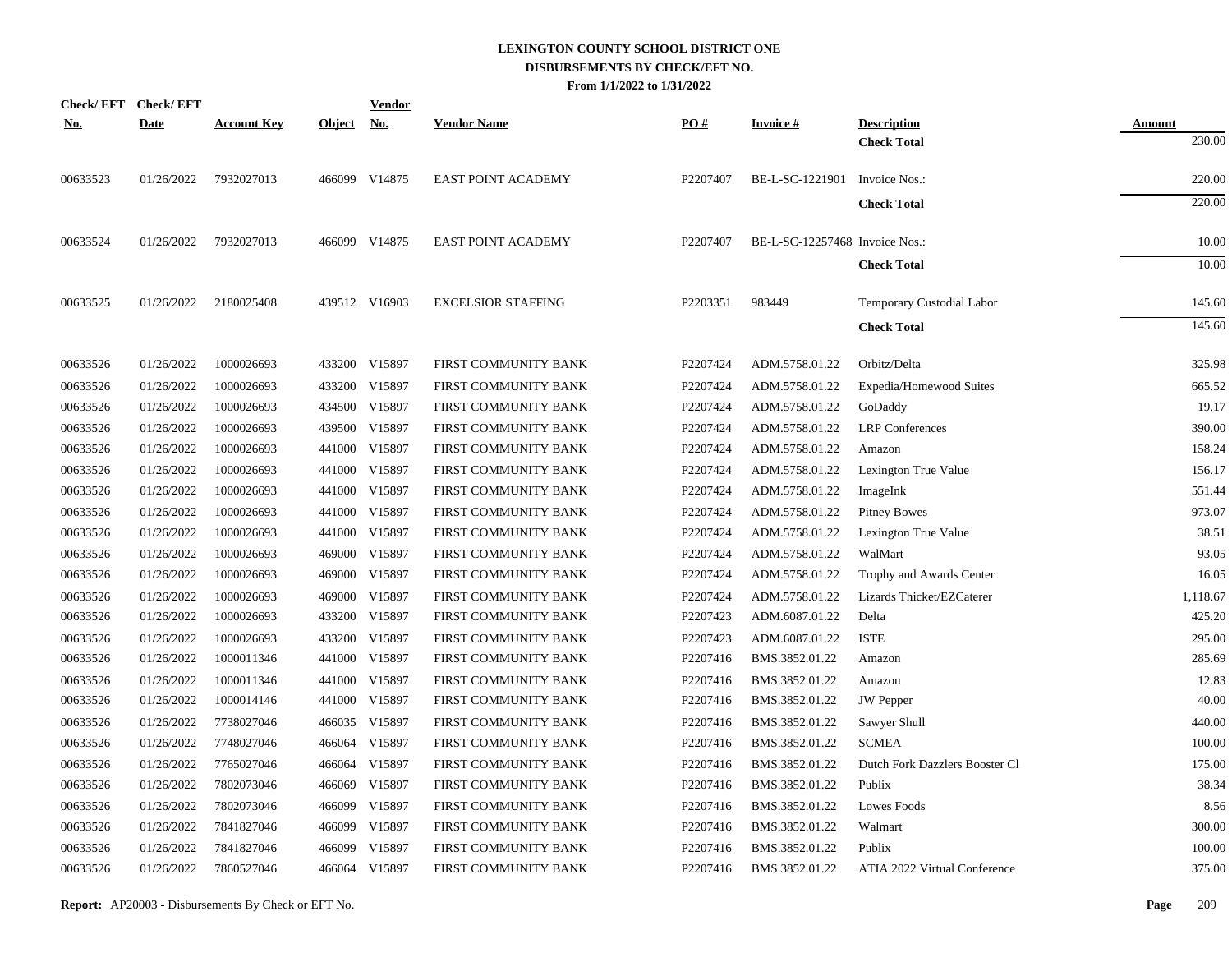|            | Check/EFT Check/EFT |                    |               | <u>Vendor</u> |                           |          |                                |                                  |               |
|------------|---------------------|--------------------|---------------|---------------|---------------------------|----------|--------------------------------|----------------------------------|---------------|
| <u>No.</u> | <b>Date</b>         | <b>Account Key</b> | <b>Object</b> | <u>No.</u>    | <b>Vendor Name</b>        | PO#      | <b>Invoice#</b>                | <b>Description</b>               | <b>Amount</b> |
|            |                     |                    |               |               |                           |          |                                | <b>Check Total</b>               | 230.00        |
| 00633523   | 01/26/2022          | 7932027013         |               | 466099 V14875 | <b>EAST POINT ACADEMY</b> | P2207407 | BE-L-SC-1221901 Invoice Nos.:  |                                  | 220.00        |
|            |                     |                    |               |               |                           |          |                                | <b>Check Total</b>               | 220.00        |
| 00633524   | 01/26/2022          | 7932027013         |               | 466099 V14875 | <b>EAST POINT ACADEMY</b> | P2207407 | BE-L-SC-12257468 Invoice Nos.: |                                  | 10.00         |
|            |                     |                    |               |               |                           |          |                                | <b>Check Total</b>               | 10.00         |
| 00633525   | 01/26/2022          | 2180025408         |               | 439512 V16903 | <b>EXCELSIOR STAFFING</b> | P2203351 | 983449                         | <b>Temporary Custodial Labor</b> | 145.60        |
|            |                     |                    |               |               |                           |          |                                | <b>Check Total</b>               | 145.60        |
| 00633526   | 01/26/2022          | 1000026693         |               | 433200 V15897 | FIRST COMMUNITY BANK      | P2207424 | ADM.5758.01.22                 | Orbitz/Delta                     | 325.98        |
| 00633526   | 01/26/2022          | 1000026693         | 433200        | V15897        | FIRST COMMUNITY BANK      | P2207424 | ADM.5758.01.22                 | Expedia/Homewood Suites          | 665.52        |
| 00633526   | 01/26/2022          | 1000026693         |               | 434500 V15897 | FIRST COMMUNITY BANK      | P2207424 | ADM.5758.01.22                 | GoDaddy                          | 19.17         |
| 00633526   | 01/26/2022          | 1000026693         |               | 439500 V15897 | FIRST COMMUNITY BANK      | P2207424 | ADM.5758.01.22                 | <b>LRP</b> Conferences           | 390.00        |
| 00633526   | 01/26/2022          | 1000026693         |               | 441000 V15897 | FIRST COMMUNITY BANK      | P2207424 | ADM.5758.01.22                 | Amazon                           | 158.24        |
| 00633526   | 01/26/2022          | 1000026693         |               | 441000 V15897 | FIRST COMMUNITY BANK      | P2207424 | ADM.5758.01.22                 | Lexington True Value             | 156.17        |
| 00633526   | 01/26/2022          | 1000026693         |               | 441000 V15897 | FIRST COMMUNITY BANK      | P2207424 | ADM.5758.01.22                 | ImageInk                         | 551.44        |
| 00633526   | 01/26/2022          | 1000026693         |               | 441000 V15897 | FIRST COMMUNITY BANK      | P2207424 | ADM.5758.01.22                 | <b>Pitney Bowes</b>              | 973.07        |
| 00633526   | 01/26/2022          | 1000026693         |               | 441000 V15897 | FIRST COMMUNITY BANK      | P2207424 | ADM.5758.01.22                 | Lexington True Value             | 38.51         |
| 00633526   | 01/26/2022          | 1000026693         |               | 469000 V15897 | FIRST COMMUNITY BANK      | P2207424 | ADM.5758.01.22                 | WalMart                          | 93.05         |
| 00633526   | 01/26/2022          | 1000026693         |               | 469000 V15897 | FIRST COMMUNITY BANK      | P2207424 | ADM.5758.01.22                 | Trophy and Awards Center         | 16.05         |
| 00633526   | 01/26/2022          | 1000026693         |               | 469000 V15897 | FIRST COMMUNITY BANK      | P2207424 | ADM.5758.01.22                 | Lizards Thicket/EZCaterer        | 1,118.67      |
| 00633526   | 01/26/2022          | 1000026693         |               | 433200 V15897 | FIRST COMMUNITY BANK      | P2207423 | ADM.6087.01.22                 | Delta                            | 425.20        |
| 00633526   | 01/26/2022          | 1000026693         |               | 433200 V15897 | FIRST COMMUNITY BANK      | P2207423 | ADM.6087.01.22                 | <b>ISTE</b>                      | 295.00        |
| 00633526   | 01/26/2022          | 1000011346         |               | 441000 V15897 | FIRST COMMUNITY BANK      | P2207416 | BMS.3852.01.22                 | Amazon                           | 285.69        |
| 00633526   | 01/26/2022          | 1000011346         |               | 441000 V15897 | FIRST COMMUNITY BANK      | P2207416 | BMS.3852.01.22                 | Amazon                           | 12.83         |
| 00633526   | 01/26/2022          | 1000014146         |               | 441000 V15897 | FIRST COMMUNITY BANK      | P2207416 | BMS.3852.01.22                 | <b>JW</b> Pepper                 | 40.00         |
| 00633526   | 01/26/2022          | 7738027046         |               | 466035 V15897 | FIRST COMMUNITY BANK      | P2207416 | BMS.3852.01.22                 | Sawyer Shull                     | 440.00        |
| 00633526   | 01/26/2022          | 7748027046         |               | 466064 V15897 | FIRST COMMUNITY BANK      | P2207416 | BMS.3852.01.22                 | <b>SCMEA</b>                     | 100.00        |
| 00633526   | 01/26/2022          | 7765027046         |               | 466064 V15897 | FIRST COMMUNITY BANK      | P2207416 | BMS.3852.01.22                 | Dutch Fork Dazzlers Booster Cl   | 175.00        |
| 00633526   | 01/26/2022          | 7802073046         | 466069        | V15897        | FIRST COMMUNITY BANK      | P2207416 | BMS.3852.01.22                 | Publix                           | 38.34         |
| 00633526   | 01/26/2022          | 7802073046         | 466099        | V15897        | FIRST COMMUNITY BANK      | P2207416 | BMS.3852.01.22                 | Lowes Foods                      | 8.56          |
| 00633526   | 01/26/2022          | 7841827046         | 466099        | V15897        | FIRST COMMUNITY BANK      | P2207416 | BMS.3852.01.22                 | Walmart                          | 300.00        |
| 00633526   | 01/26/2022          | 7841827046         | 466099        | V15897        | FIRST COMMUNITY BANK      | P2207416 | BMS.3852.01.22                 | Publix                           | 100.00        |
| 00633526   | 01/26/2022          | 7860527046         |               | 466064 V15897 | FIRST COMMUNITY BANK      | P2207416 | BMS.3852.01.22                 | ATIA 2022 Virtual Conference     | 375.00        |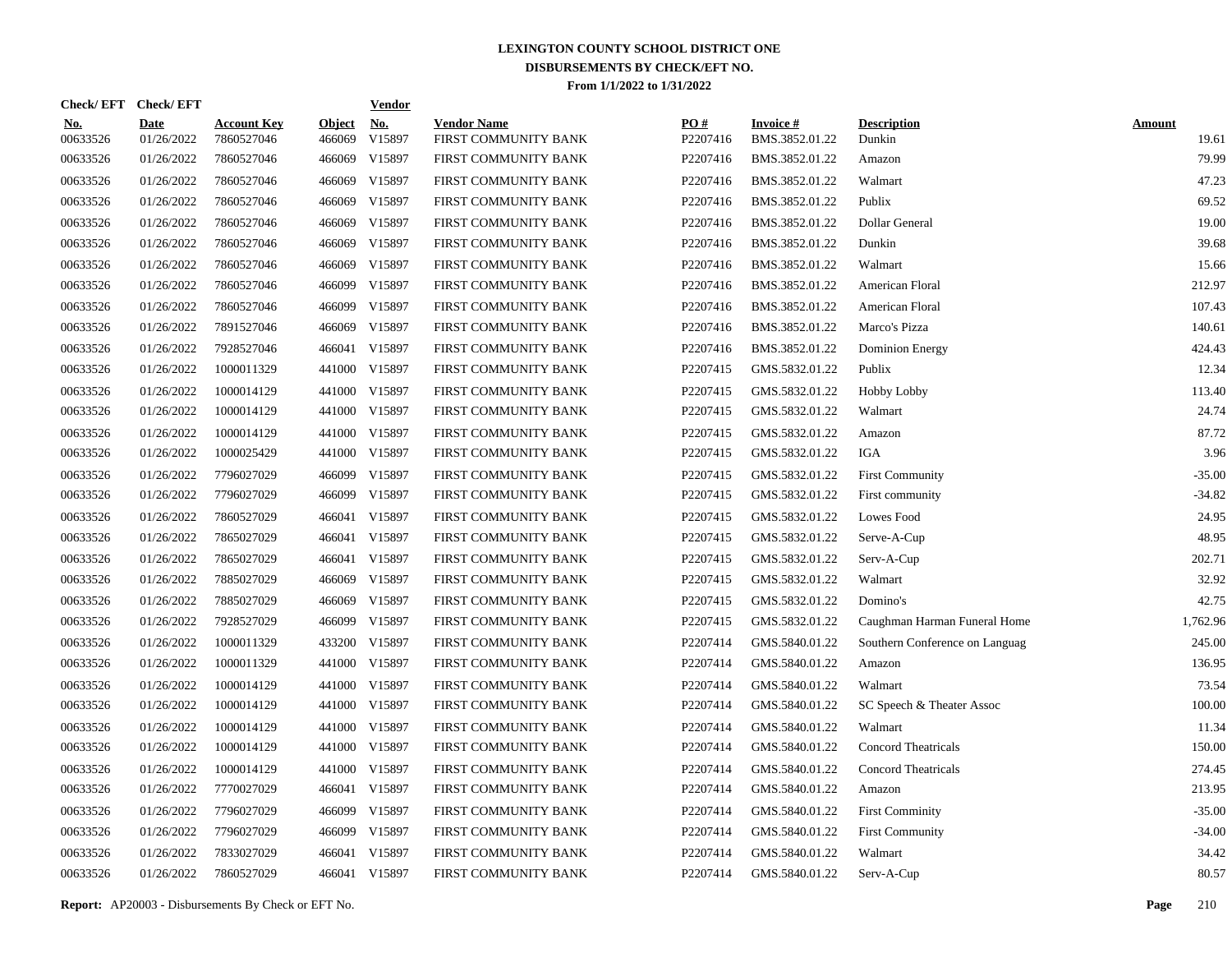| Check/EFT Check/EFT    |                           |                                  |                         | <u>Vendor</u>        |                                            |                 |                                   |                                |                        |
|------------------------|---------------------------|----------------------------------|-------------------------|----------------------|--------------------------------------------|-----------------|-----------------------------------|--------------------------------|------------------------|
| <u>No.</u><br>00633526 | <b>Date</b><br>01/26/2022 | <b>Account Key</b><br>7860527046 | <b>Object</b><br>466069 | <u>No.</u><br>V15897 | <b>Vendor Name</b><br>FIRST COMMUNITY BANK | PQ#<br>P2207416 | <b>Invoice#</b><br>BMS.3852.01.22 | <b>Description</b><br>Dunkin   | <b>Amount</b><br>19.61 |
| 00633526               | 01/26/2022                | 7860527046                       | 466069                  | V15897               | FIRST COMMUNITY BANK                       | P2207416        | BMS.3852.01.22                    | Amazon                         | 79.99                  |
| 00633526               | 01/26/2022                | 7860527046                       | 466069                  | V15897               | FIRST COMMUNITY BANK                       | P2207416        | BMS.3852.01.22                    | Walmart                        | 47.23                  |
| 00633526               | 01/26/2022                | 7860527046                       | 466069                  | V15897               | FIRST COMMUNITY BANK                       | P2207416        | BMS.3852.01.22                    | Publix                         | 69.52                  |
| 00633526               | 01/26/2022                | 7860527046                       | 466069                  | V15897               | FIRST COMMUNITY BANK                       | P2207416        | BMS.3852.01.22                    | Dollar General                 | 19.00                  |
| 00633526               | 01/26/2022                | 7860527046                       | 466069                  | V15897               | FIRST COMMUNITY BANK                       | P2207416        | BMS.3852.01.22                    | Dunkin                         | 39.68                  |
| 00633526               | 01/26/2022                | 7860527046                       | 466069                  | V15897               | FIRST COMMUNITY BANK                       | P2207416        | BMS.3852.01.22                    | Walmart                        | 15.66                  |
| 00633526               | 01/26/2022                | 7860527046                       | 466099                  | V15897               | FIRST COMMUNITY BANK                       | P2207416        | BMS.3852.01.22                    | American Floral                | 212.97                 |
| 00633526               | 01/26/2022                | 7860527046                       | 466099                  | V15897               | FIRST COMMUNITY BANK                       | P2207416        | BMS.3852.01.22                    | American Floral                | 107.43                 |
| 00633526               | 01/26/2022                | 7891527046                       | 466069                  | V15897               | FIRST COMMUNITY BANK                       | P2207416        | BMS.3852.01.22                    | Marco's Pizza                  | 140.61                 |
| 00633526               | 01/26/2022                | 7928527046                       | 466041                  | V15897               | FIRST COMMUNITY BANK                       | P2207416        | BMS.3852.01.22                    | Dominion Energy                | 424.43                 |
| 00633526               | 01/26/2022                | 1000011329                       |                         | 441000 V15897        | FIRST COMMUNITY BANK                       | P2207415        | GMS.5832.01.22                    | Publix                         | 12.34                  |
| 00633526               | 01/26/2022                | 1000014129                       |                         | 441000 V15897        | FIRST COMMUNITY BANK                       | P2207415        | GMS.5832.01.22                    | <b>Hobby Lobby</b>             | 113.40                 |
| 00633526               | 01/26/2022                | 1000014129                       |                         | 441000 V15897        | FIRST COMMUNITY BANK                       | P2207415        | GMS.5832.01.22                    | Walmart                        | 24.74                  |
| 00633526               | 01/26/2022                | 1000014129                       |                         | 441000 V15897        | FIRST COMMUNITY BANK                       | P2207415        | GMS.5832.01.22                    | Amazon                         | 87.72                  |
| 00633526               | 01/26/2022                | 1000025429                       |                         | 441000 V15897        | FIRST COMMUNITY BANK                       | P2207415        | GMS.5832.01.22                    | IGA                            | 3.96                   |
| 00633526               | 01/26/2022                | 7796027029                       | 466099                  | V15897               | FIRST COMMUNITY BANK                       | P2207415        | GMS.5832.01.22                    | <b>First Community</b>         | $-35.00$               |
| 00633526               | 01/26/2022                | 7796027029                       | 466099                  | V15897               | FIRST COMMUNITY BANK                       | P2207415        | GMS.5832.01.22                    | First community                | $-34.82$               |
| 00633526               | 01/26/2022                | 7860527029                       | 466041                  | V15897               | FIRST COMMUNITY BANK                       | P2207415        | GMS.5832.01.22                    | Lowes Food                     | 24.95                  |
| 00633526               | 01/26/2022                | 7865027029                       | 466041                  | V15897               | FIRST COMMUNITY BANK                       | P2207415        | GMS.5832.01.22                    | Serve-A-Cup                    | 48.95                  |
| 00633526               | 01/26/2022                | 7865027029                       | 466041                  | V15897               | FIRST COMMUNITY BANK                       | P2207415        | GMS.5832.01.22                    | Serv-A-Cup                     | 202.71                 |
| 00633526               | 01/26/2022                | 7885027029                       | 466069                  | V15897               | FIRST COMMUNITY BANK                       | P2207415        | GMS.5832.01.22                    | Walmart                        | 32.92                  |
| 00633526               | 01/26/2022                | 7885027029                       | 466069                  | V15897               | FIRST COMMUNITY BANK                       | P2207415        | GMS.5832.01.22                    | Domino's                       | 42.75                  |
| 00633526               | 01/26/2022                | 7928527029                       | 466099                  | V15897               | FIRST COMMUNITY BANK                       | P2207415        | GMS.5832.01.22                    | Caughman Harman Funeral Home   | 1,762.96               |
| 00633526               | 01/26/2022                | 1000011329                       | 433200                  | V15897               | FIRST COMMUNITY BANK                       | P2207414        | GMS.5840.01.22                    | Southern Conference on Languag | 245.00                 |
| 00633526               | 01/26/2022                | 1000011329                       | 441000                  | V15897               | FIRST COMMUNITY BANK                       | P2207414        | GMS.5840.01.22                    | Amazon                         | 136.95                 |
| 00633526               | 01/26/2022                | 1000014129                       | 441000                  | V15897               | FIRST COMMUNITY BANK                       | P2207414        | GMS.5840.01.22                    | Walmart                        | 73.54                  |
| 00633526               | 01/26/2022                | 1000014129                       | 441000                  | V15897               | FIRST COMMUNITY BANK                       | P2207414        | GMS.5840.01.22                    | SC Speech & Theater Assoc      | 100.00                 |
| 00633526               | 01/26/2022                | 1000014129                       | 441000                  | V15897               | FIRST COMMUNITY BANK                       | P2207414        | GMS.5840.01.22                    | Walmart                        | 11.34                  |
| 00633526               | 01/26/2022                | 1000014129                       | 441000                  | V15897               | FIRST COMMUNITY BANK                       | P2207414        | GMS.5840.01.22                    | Concord Theatricals            | 150.00                 |
| 00633526               | 01/26/2022                | 1000014129                       | 441000                  | V15897               | FIRST COMMUNITY BANK                       | P2207414        | GMS.5840.01.22                    | <b>Concord Theatricals</b>     | 274.45                 |
| 00633526               | 01/26/2022                | 7770027029                       |                         | 466041 V15897        | FIRST COMMUNITY BANK                       | P2207414        | GMS.5840.01.22                    | Amazon                         | 213.95                 |
| 00633526               | 01/26/2022                | 7796027029                       | 466099                  | V15897               | FIRST COMMUNITY BANK                       | P2207414        | GMS.5840.01.22                    | <b>First Comminity</b>         | $-35.00$               |
| 00633526               | 01/26/2022                | 7796027029                       | 466099                  | V15897               | FIRST COMMUNITY BANK                       | P2207414        | GMS.5840.01.22                    | <b>First Community</b>         | $-34.00$               |
| 00633526               | 01/26/2022                | 7833027029                       | 466041                  | V15897               | FIRST COMMUNITY BANK                       | P2207414        | GMS.5840.01.22                    | Walmart                        | 34.42                  |
| 00633526               | 01/26/2022                | 7860527029                       |                         | 466041 V15897        | FIRST COMMUNITY BANK                       | P2207414        | GMS.5840.01.22                    | Serv-A-Cup                     | 80.57                  |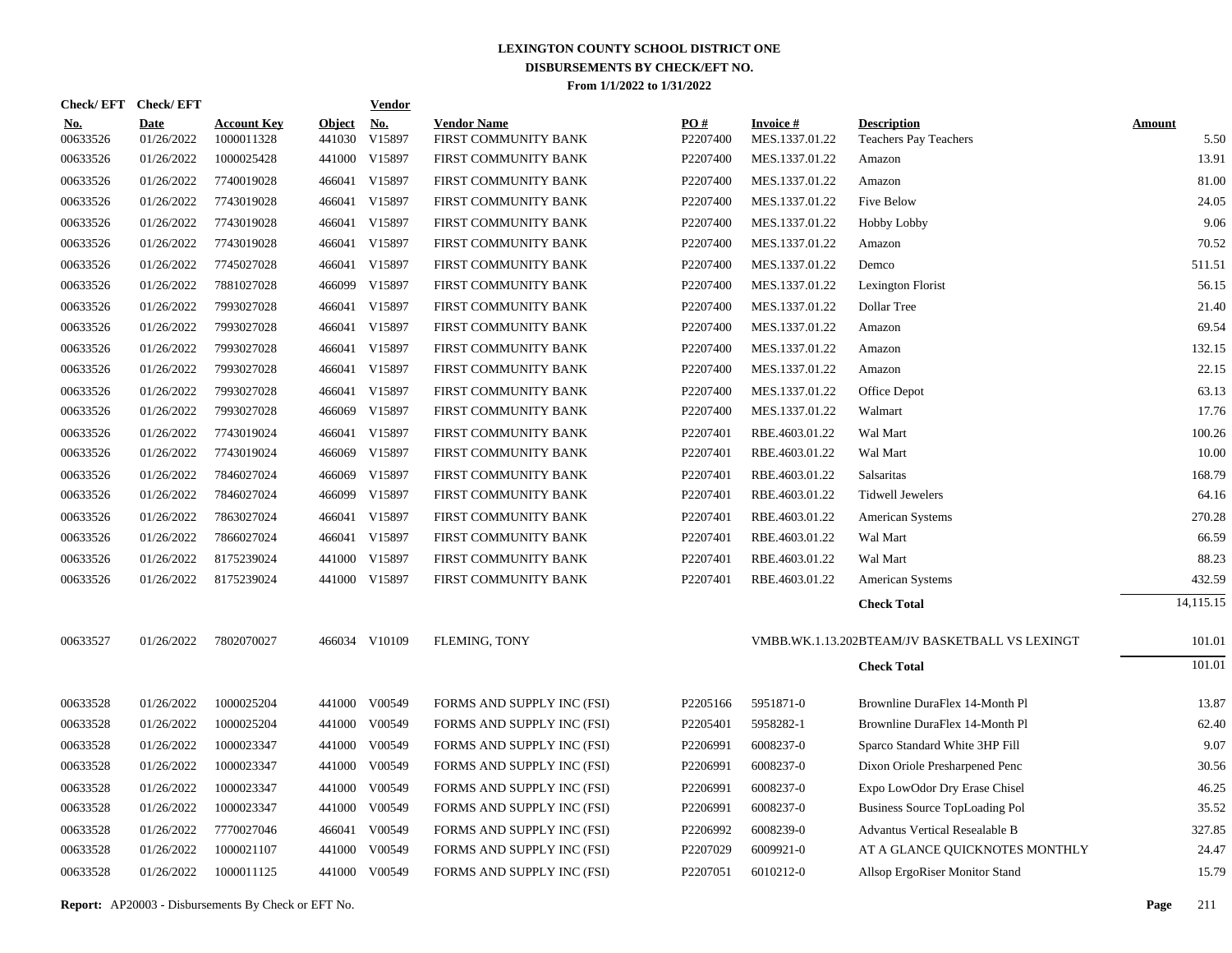|                        | Check/EFT Check/EFT       |                                  |                         | <b>Vendor</b> |                                            |                      |                                   |                                                |                       |
|------------------------|---------------------------|----------------------------------|-------------------------|---------------|--------------------------------------------|----------------------|-----------------------------------|------------------------------------------------|-----------------------|
| <u>No.</u><br>00633526 | <b>Date</b><br>01/26/2022 | <b>Account Key</b><br>1000011328 | <b>Object</b><br>441030 | No.<br>V15897 | <b>Vendor Name</b><br>FIRST COMMUNITY BANK | PO#<br>P2207400      | <b>Invoice#</b><br>MES.1337.01.22 | <b>Description</b><br>Teachers Pay Teachers    | <b>Amount</b><br>5.50 |
| 00633526               | 01/26/2022                | 1000025428                       |                         | 441000 V15897 | FIRST COMMUNITY BANK                       | P2207400             | MES.1337.01.22                    | Amazon                                         | 13.91                 |
| 00633526               | 01/26/2022                | 7740019028                       | 466041                  | V15897        | FIRST COMMUNITY BANK                       | P2207400             | MES.1337.01.22                    | Amazon                                         | 81.00                 |
| 00633526               | 01/26/2022                | 7743019028                       | 466041                  | V15897        | FIRST COMMUNITY BANK                       | P2207400             | MES.1337.01.22                    | Five Below                                     | 24.05                 |
| 00633526               | 01/26/2022                | 7743019028                       | 466041                  | V15897        | FIRST COMMUNITY BANK                       | P <sub>2207400</sub> | MES.1337.01.22                    | <b>Hobby Lobby</b>                             | 9.06                  |
| 00633526               | 01/26/2022                | 7743019028                       | 466041                  | V15897        | FIRST COMMUNITY BANK                       | P2207400             | MES.1337.01.22                    | Amazon                                         | 70.52                 |
| 00633526               | 01/26/2022                | 7745027028                       | 466041                  | V15897        | FIRST COMMUNITY BANK                       | P2207400             | MES.1337.01.22                    | Demco                                          | 511.51                |
| 00633526               | 01/26/2022                | 7881027028                       | 466099                  | V15897        | FIRST COMMUNITY BANK                       | P2207400             | MES.1337.01.22                    | Lexington Florist                              | 56.15                 |
| 00633526               | 01/26/2022                | 7993027028                       |                         | 466041 V15897 | FIRST COMMUNITY BANK                       | P2207400             | MES.1337.01.22                    | Dollar Tree                                    | 21.40                 |
| 00633526               | 01/26/2022                | 7993027028                       |                         | 466041 V15897 | FIRST COMMUNITY BANK                       | P2207400             | MES.1337.01.22                    | Amazon                                         | 69.54                 |
| 00633526               | 01/26/2022                | 7993027028                       |                         | 466041 V15897 | FIRST COMMUNITY BANK                       | P2207400             | MES.1337.01.22                    | Amazon                                         | 132.15                |
| 00633526               | 01/26/2022                | 7993027028                       |                         | 466041 V15897 | FIRST COMMUNITY BANK                       | P2207400             | MES.1337.01.22                    | Amazon                                         | 22.15                 |
| 00633526               | 01/26/2022                | 7993027028                       |                         | 466041 V15897 | FIRST COMMUNITY BANK                       | P2207400             | MES.1337.01.22                    | Office Depot                                   | 63.13                 |
| 00633526               | 01/26/2022                | 7993027028                       | 466069                  | V15897        | FIRST COMMUNITY BANK                       | P2207400             | MES.1337.01.22                    | Walmart                                        | 17.76                 |
| 00633526               | 01/26/2022                | 7743019024                       |                         | 466041 V15897 | FIRST COMMUNITY BANK                       | P2207401             | RBE.4603.01.22                    | Wal Mart                                       | 100.26                |
| 00633526               | 01/26/2022                | 7743019024                       | 466069                  | V15897        | FIRST COMMUNITY BANK                       | P2207401             | RBE.4603.01.22                    | Wal Mart                                       | 10.00                 |
| 00633526               | 01/26/2022                | 7846027024                       | 466069                  | V15897        | FIRST COMMUNITY BANK                       | P2207401             | RBE.4603.01.22                    | Salsaritas                                     | 168.79                |
| 00633526               | 01/26/2022                | 7846027024                       | 466099                  | V15897        | FIRST COMMUNITY BANK                       | P2207401             | RBE.4603.01.22                    | <b>Tidwell Jewelers</b>                        | 64.16                 |
| 00633526               | 01/26/2022                | 7863027024                       |                         | 466041 V15897 | FIRST COMMUNITY BANK                       | P2207401             | RBE.4603.01.22                    | <b>American Systems</b>                        | 270.28                |
| 00633526               | 01/26/2022                | 7866027024                       |                         | 466041 V15897 | FIRST COMMUNITY BANK                       | P2207401             | RBE.4603.01.22                    | Wal Mart                                       | 66.59                 |
| 00633526               | 01/26/2022                | 8175239024                       |                         | 441000 V15897 | FIRST COMMUNITY BANK                       | P2207401             | RBE.4603.01.22                    | Wal Mart                                       | 88.23                 |
| 00633526               | 01/26/2022                | 8175239024                       |                         | 441000 V15897 | FIRST COMMUNITY BANK                       | P2207401             | RBE.4603.01.22                    | American Systems                               | 432.59                |
|                        |                           |                                  |                         |               |                                            |                      |                                   | <b>Check Total</b>                             | 14,115.15             |
| 00633527               | 01/26/2022                | 7802070027                       |                         | 466034 V10109 | <b>FLEMING, TONY</b>                       |                      |                                   | VMBB.WK.1.13.202BTEAM/JV BASKETBALL VS LEXINGT | 101.01                |
|                        |                           |                                  |                         |               |                                            |                      |                                   | <b>Check Total</b>                             | 101.01                |
| 00633528               | 01/26/2022                | 1000025204                       |                         | 441000 V00549 | FORMS AND SUPPLY INC (FSI)                 | P2205166             | 5951871-0                         | Brownline DuraFlex 14-Month Pl                 | 13.87                 |
| 00633528               | 01/26/2022                | 1000025204                       |                         | 441000 V00549 | FORMS AND SUPPLY INC (FSI)                 | P2205401             | 5958282-1                         | Brownline DuraFlex 14-Month Pl                 | 62.40                 |
| 00633528               | 01/26/2022                | 1000023347                       | 441000                  | V00549        | FORMS AND SUPPLY INC (FSI)                 | P2206991             | 6008237-0                         | Sparco Standard White 3HP Fill                 | 9.07                  |
| 00633528               | 01/26/2022                | 1000023347                       |                         | 441000 V00549 | FORMS AND SUPPLY INC (FSI)                 | P2206991             | 6008237-0                         | Dixon Oriole Presharpened Penc                 | 30.56                 |
| 00633528               | 01/26/2022                | 1000023347                       | 441000                  | V00549        | FORMS AND SUPPLY INC (FSI)                 | P2206991             | 6008237-0                         | Expo LowOdor Dry Erase Chisel                  | 46.25                 |
| 00633528               | 01/26/2022                | 1000023347                       |                         | 441000 V00549 | FORMS AND SUPPLY INC (FSI)                 | P2206991             | 6008237-0                         | <b>Business Source TopLoading Pol</b>          | 35.52                 |
| 00633528               | 01/26/2022                | 7770027046                       | 466041                  | V00549        | FORMS AND SUPPLY INC (FSI)                 | P2206992             | 6008239-0                         | <b>Advantus Vertical Resealable B</b>          | 327.85                |
| 00633528               | 01/26/2022                | 1000021107                       | 441000                  | V00549        | FORMS AND SUPPLY INC (FSI)                 | P2207029             | 6009921-0                         | AT A GLANCE QUICKNOTES MONTHLY                 | 24.47                 |
| 00633528               | 01/26/2022                | 1000011125                       |                         | 441000 V00549 | FORMS AND SUPPLY INC (FSI)                 | P2207051             | 6010212-0                         | Allsop ErgoRiser Monitor Stand                 | 15.79                 |
|                        |                           |                                  |                         |               |                                            |                      |                                   |                                                |                       |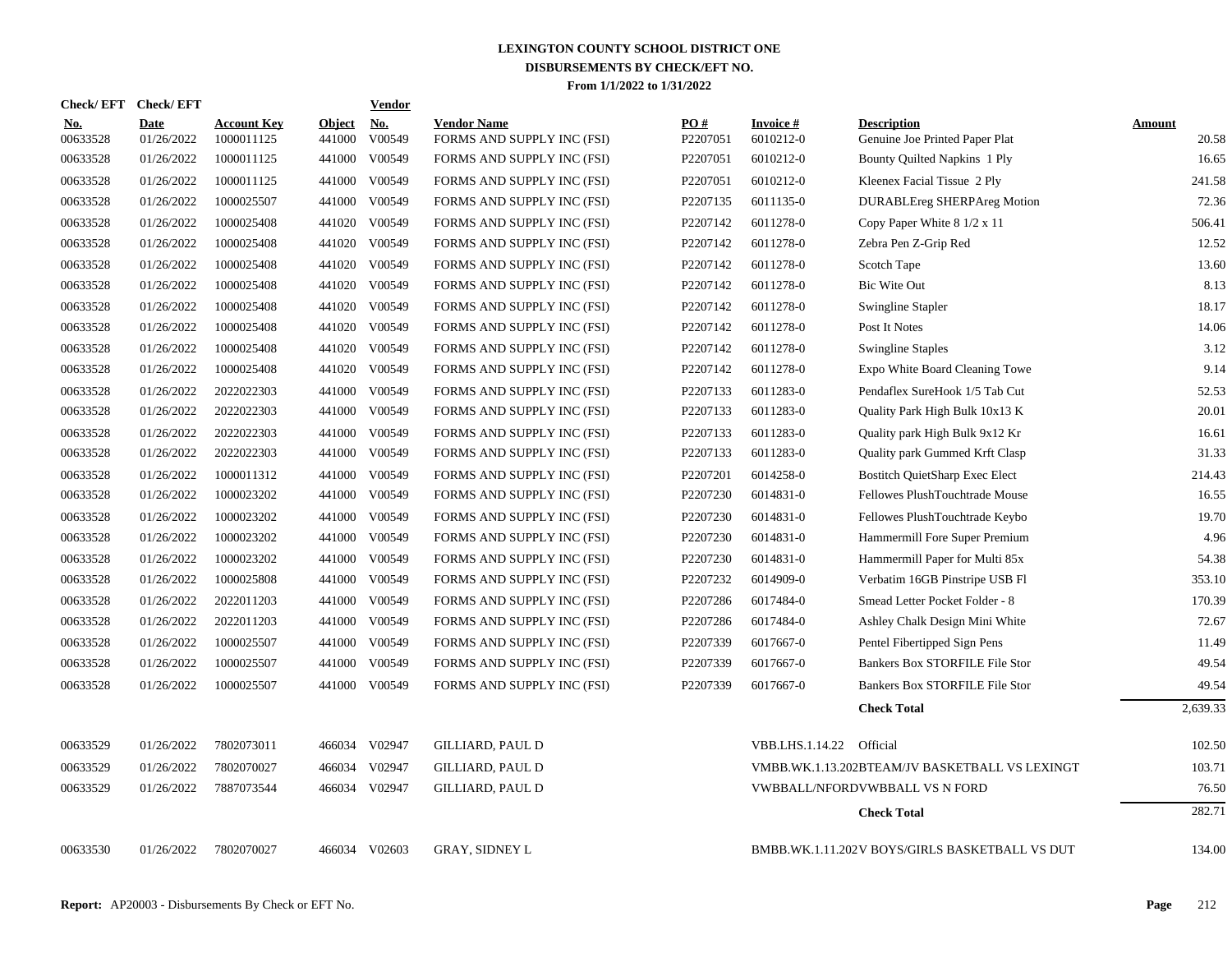| <b>Check/EFT</b>       | <b>Check/EFT</b>          |                                  |                         | <u>Vendor</u> |                                                  |                 |                              |                                                      |                        |
|------------------------|---------------------------|----------------------------------|-------------------------|---------------|--------------------------------------------------|-----------------|------------------------------|------------------------------------------------------|------------------------|
| <u>No.</u><br>00633528 | <b>Date</b><br>01/26/2022 | <b>Account Key</b><br>1000011125 | <b>Object</b><br>441000 | No.<br>V00549 | <b>Vendor Name</b><br>FORMS AND SUPPLY INC (FSI) | PO#<br>P2207051 | <b>Invoice#</b><br>6010212-0 | <b>Description</b><br>Genuine Joe Printed Paper Plat | <u>Amount</u><br>20.58 |
| 00633528               | 01/26/2022                | 1000011125                       | 441000                  | V00549        | FORMS AND SUPPLY INC (FSI)                       | P2207051        | 6010212-0                    | Bounty Quilted Napkins 1 Ply                         | 16.65                  |
| 00633528               | 01/26/2022                | 1000011125                       | 441000                  | V00549        | FORMS AND SUPPLY INC (FSI)                       | P2207051        | 6010212-0                    | Kleenex Facial Tissue 2 Ply                          | 241.58                 |
| 00633528               | 01/26/2022                | 1000025507                       | 441000                  | V00549        | FORMS AND SUPPLY INC (FSI)                       | P2207135        | 6011135-0                    | <b>DURABLEreg SHERPAreg Motion</b>                   | 72.36                  |
| 00633528               | 01/26/2022                | 1000025408                       | 441020                  | V00549        | FORMS AND SUPPLY INC (FSI)                       | P2207142        | 6011278-0                    | Copy Paper White 8 1/2 x 11                          | 506.41                 |
| 00633528               | 01/26/2022                | 1000025408                       | 441020                  | V00549        | FORMS AND SUPPLY INC (FSI)                       | P2207142        | 6011278-0                    | Zebra Pen Z-Grip Red                                 | 12.52                  |
| 00633528               | 01/26/2022                | 1000025408                       | 441020                  | V00549        | FORMS AND SUPPLY INC (FSI)                       | P2207142        | 6011278-0                    | Scotch Tape                                          | 13.60                  |
| 00633528               | 01/26/2022                | 1000025408                       | 441020                  | V00549        | FORMS AND SUPPLY INC (FSI)                       | P2207142        | 6011278-0                    | <b>Bic Wite Out</b>                                  | 8.13                   |
| 00633528               | 01/26/2022                | 1000025408                       | 441020                  | V00549        | FORMS AND SUPPLY INC (FSI)                       | P2207142        | 6011278-0                    | <b>Swingline Stapler</b>                             | 18.17                  |
| 00633528               | 01/26/2022                | 1000025408                       | 441020                  | V00549        | FORMS AND SUPPLY INC (FSI)                       | P2207142        | 6011278-0                    | Post It Notes                                        | 14.06                  |
| 00633528               | 01/26/2022                | 1000025408                       |                         | 441020 V00549 | FORMS AND SUPPLY INC (FSI)                       | P2207142        | 6011278-0                    | <b>Swingline Staples</b>                             | 3.12                   |
| 00633528               | 01/26/2022                | 1000025408                       |                         | 441020 V00549 | FORMS AND SUPPLY INC (FSI)                       | P2207142        | 6011278-0                    | Expo White Board Cleaning Towe                       | 9.14                   |
| 00633528               | 01/26/2022                | 2022022303                       | 441000                  | V00549        | FORMS AND SUPPLY INC (FSI)                       | P2207133        | 6011283-0                    | Pendaflex SureHook 1/5 Tab Cut                       | 52.53                  |
| 00633528               | 01/26/2022                | 2022022303                       | 441000                  | V00549        | FORMS AND SUPPLY INC (FSI)                       | P2207133        | 6011283-0                    | Quality Park High Bulk 10x13 K                       | 20.01                  |
| 00633528               | 01/26/2022                | 2022022303                       | 441000                  | V00549        | FORMS AND SUPPLY INC (FSI)                       | P2207133        | 6011283-0                    | Quality park High Bulk 9x12 Kr                       | 16.61                  |
| 00633528               | 01/26/2022                | 2022022303                       | 441000                  | V00549        | FORMS AND SUPPLY INC (FSI)                       | P2207133        | 6011283-0                    | Quality park Gummed Krft Clasp                       | 31.33                  |
| 00633528               | 01/26/2022                | 1000011312                       | 441000                  | V00549        | FORMS AND SUPPLY INC (FSI)                       | P2207201        | 6014258-0                    | <b>Bostitch QuietSharp Exec Elect</b>                | 214.43                 |
| 00633528               | 01/26/2022                | 1000023202                       | 441000                  | V00549        | FORMS AND SUPPLY INC (FSI)                       | P2207230        | 6014831-0                    | Fellowes PlushTouchtrade Mouse                       | 16.55                  |
| 00633528               | 01/26/2022                | 1000023202                       | 441000                  | V00549        | FORMS AND SUPPLY INC (FSI)                       | P2207230        | 6014831-0                    | Fellowes PlushTouchtrade Keybo                       | 19.70                  |
| 00633528               | 01/26/2022                | 1000023202                       | 441000                  | V00549        | FORMS AND SUPPLY INC (FSI)                       | P2207230        | 6014831-0                    | Hammermill Fore Super Premium                        | 4.96                   |
| 00633528               | 01/26/2022                | 1000023202                       | 441000                  | V00549        | FORMS AND SUPPLY INC (FSI)                       | P2207230        | 6014831-0                    | Hammermill Paper for Multi 85x                       | 54.38                  |
| 00633528               | 01/26/2022                | 1000025808                       | 441000                  | V00549        | FORMS AND SUPPLY INC (FSI)                       | P2207232        | 6014909-0                    | Verbatim 16GB Pinstripe USB Fl                       | 353.10                 |
| 00633528               | 01/26/2022                | 2022011203                       |                         | 441000 V00549 | FORMS AND SUPPLY INC (FSI)                       | P2207286        | 6017484-0                    | Smead Letter Pocket Folder - 8                       | 170.39                 |
| 00633528               | 01/26/2022                | 2022011203                       |                         | 441000 V00549 | FORMS AND SUPPLY INC (FSI)                       | P2207286        | 6017484-0                    | Ashley Chalk Design Mini White                       | 72.67                  |
| 00633528               | 01/26/2022                | 1000025507                       | 441000                  | V00549        | FORMS AND SUPPLY INC (FSI)                       | P2207339        | 6017667-0                    | Pentel Fibertipped Sign Pens                         | 11.49                  |
| 00633528               | 01/26/2022                | 1000025507                       | 441000                  | V00549        | FORMS AND SUPPLY INC (FSI)                       | P2207339        | 6017667-0                    | Bankers Box STORFILE File Stor                       | 49.54                  |
| 00633528               | 01/26/2022                | 1000025507                       |                         | 441000 V00549 | FORMS AND SUPPLY INC (FSI)                       | P2207339        | 6017667-0                    | Bankers Box STORFILE File Stor                       | 49.54                  |
|                        |                           |                                  |                         |               |                                                  |                 |                              | <b>Check Total</b>                                   | 2,639.33               |
| 00633529               | 01/26/2022                | 7802073011                       |                         | 466034 V02947 | GILLIARD, PAUL D                                 |                 | VBB.LHS.1.14.22 Official     |                                                      | 102.50                 |
| 00633529               | 01/26/2022                | 7802070027                       |                         | 466034 V02947 | <b>GILLIARD, PAUL D</b>                          |                 |                              | VMBB.WK.1.13.202BTEAM/JV BASKETBALL VS LEXINGT       | 103.71                 |
| 00633529               | 01/26/2022                | 7887073544                       |                         | 466034 V02947 | <b>GILLIARD, PAUL D</b>                          |                 |                              | VWBBALL/NFORDVWBBALL VS N FORD                       | 76.50                  |
|                        |                           |                                  |                         |               |                                                  |                 |                              | <b>Check Total</b>                                   | 282.71                 |
| 00633530               | 01/26/2022                | 7802070027                       |                         | 466034 V02603 | <b>GRAY, SIDNEY L</b>                            |                 |                              | BMBB.WK.1.11.202V BOYS/GIRLS BASKETBALL VS DUT       | 134.00                 |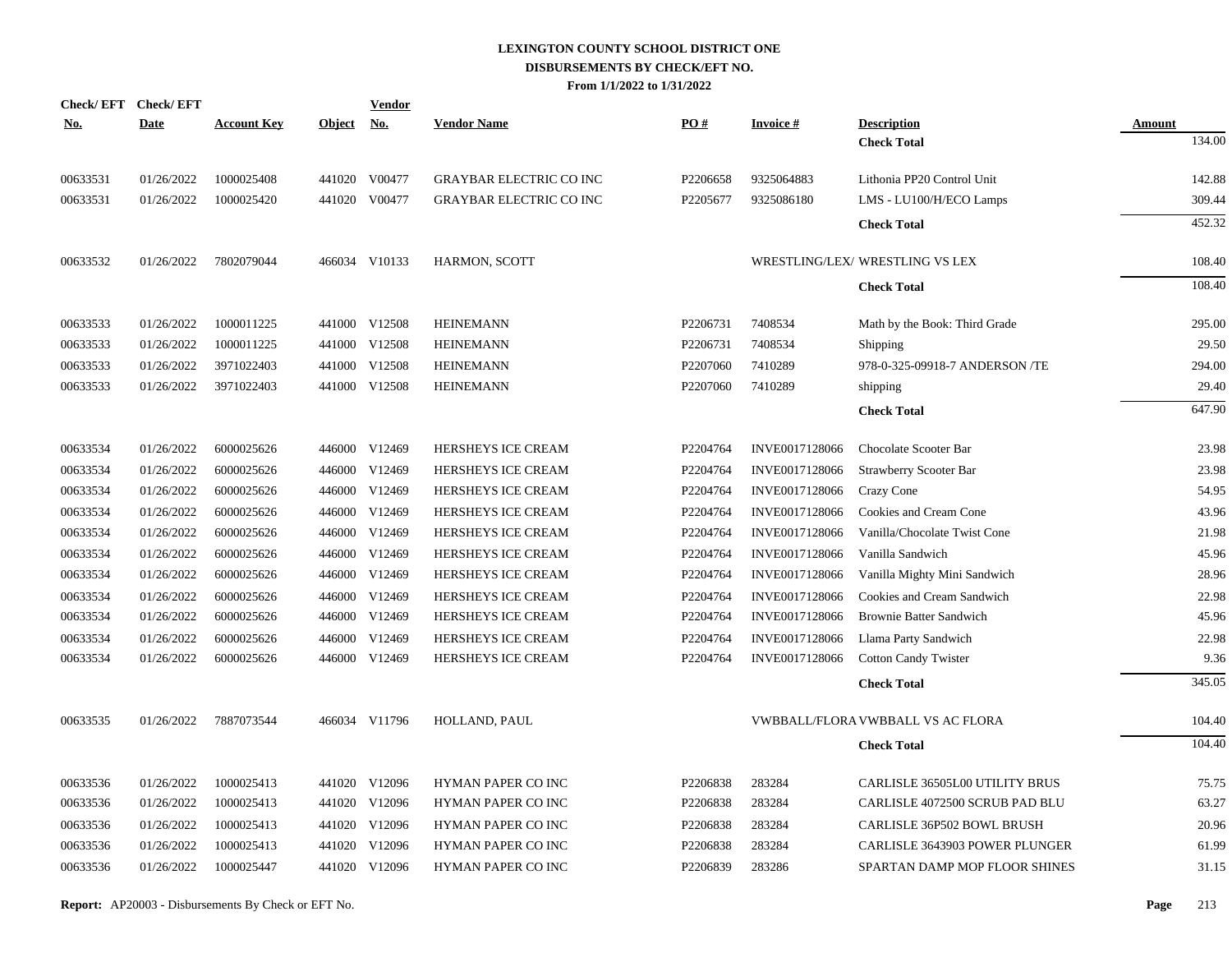| Check/EFT Check/EFT<br><u>No.</u> | <b>Date</b> | <b>Account Key</b> | <b>Object</b> | Vendor<br><b>No.</b> | <b>Vendor Name</b>             | PO#      | <b>Invoice#</b> | <b>Description</b>                | Amount |
|-----------------------------------|-------------|--------------------|---------------|----------------------|--------------------------------|----------|-----------------|-----------------------------------|--------|
|                                   |             |                    |               |                      |                                |          |                 | <b>Check Total</b>                | 134.00 |
| 00633531                          | 01/26/2022  | 1000025408         |               | 441020 V00477        | <b>GRAYBAR ELECTRIC CO INC</b> | P2206658 | 9325064883      | Lithonia PP20 Control Unit        | 142.88 |
| 00633531                          | 01/26/2022  | 1000025420         |               | 441020 V00477        | <b>GRAYBAR ELECTRIC CO INC</b> | P2205677 | 9325086180      | LMS - LU100/H/ECO Lamps           | 309.44 |
|                                   |             |                    |               |                      |                                |          |                 | <b>Check Total</b>                | 452.32 |
| 00633532                          | 01/26/2022  | 7802079044         |               | 466034 V10133        | <b>HARMON, SCOTT</b>           |          |                 | WRESTLING/LEX/ WRESTLING VS LEX   | 108.40 |
|                                   |             |                    |               |                      |                                |          |                 | <b>Check Total</b>                | 108.40 |
| 00633533                          | 01/26/2022  | 1000011225         |               | 441000 V12508        | <b>HEINEMANN</b>               | P2206731 | 7408534         | Math by the Book: Third Grade     | 295.00 |
| 00633533                          | 01/26/2022  | 1000011225         |               | 441000 V12508        | <b>HEINEMANN</b>               | P2206731 | 7408534         | Shipping                          | 29.50  |
| 00633533                          | 01/26/2022  | 3971022403         |               | 441000 V12508        | <b>HEINEMANN</b>               | P2207060 | 7410289         | 978-0-325-09918-7 ANDERSON /TE    | 294.00 |
| 00633533                          | 01/26/2022  | 3971022403         |               | 441000 V12508        | <b>HEINEMANN</b>               | P2207060 | 7410289         | shipping                          | 29.40  |
|                                   |             |                    |               |                      |                                |          |                 | <b>Check Total</b>                | 647.90 |
| 00633534                          | 01/26/2022  | 6000025626         |               | 446000 V12469        | HERSHEYS ICE CREAM             | P2204764 | INVE0017128066  | Chocolate Scooter Bar             | 23.98  |
| 00633534                          | 01/26/2022  | 6000025626         | 446000        | V12469               | HERSHEYS ICE CREAM             | P2204764 | INVE0017128066  | Strawberry Scooter Bar            | 23.98  |
| 00633534                          | 01/26/2022  | 6000025626         |               | 446000 V12469        | HERSHEYS ICE CREAM             | P2204764 | INVE0017128066  | Crazy Cone                        | 54.95  |
| 00633534                          | 01/26/2022  | 6000025626         | 446000        | V12469               | HERSHEYS ICE CREAM             | P2204764 | INVE0017128066  | Cookies and Cream Cone            | 43.96  |
| 00633534                          | 01/26/2022  | 6000025626         |               | 446000 V12469        | HERSHEYS ICE CREAM             | P2204764 | INVE0017128066  | Vanilla/Chocolate Twist Cone      | 21.98  |
| 00633534                          | 01/26/2022  | 6000025626         | 446000        | V12469               | HERSHEYS ICE CREAM             | P2204764 | INVE0017128066  | Vanilla Sandwich                  | 45.96  |
| 00633534                          | 01/26/2022  | 6000025626         |               | 446000 V12469        | HERSHEYS ICE CREAM             | P2204764 | INVE0017128066  | Vanilla Mighty Mini Sandwich      | 28.96  |
| 00633534                          | 01/26/2022  | 6000025626         |               | 446000 V12469        | HERSHEYS ICE CREAM             | P2204764 | INVE0017128066  | Cookies and Cream Sandwich        | 22.98  |
| 00633534                          | 01/26/2022  | 6000025626         |               | 446000 V12469        | HERSHEYS ICE CREAM             | P2204764 | INVE0017128066  | <b>Brownie Batter Sandwich</b>    | 45.96  |
| 00633534                          | 01/26/2022  | 6000025626         | 446000        | V12469               | HERSHEYS ICE CREAM             | P2204764 | INVE0017128066  | Llama Party Sandwich              | 22.98  |
| 00633534                          | 01/26/2022  | 6000025626         |               | 446000 V12469        | HERSHEYS ICE CREAM             | P2204764 | INVE0017128066  | <b>Cotton Candy Twister</b>       | 9.36   |
|                                   |             |                    |               |                      |                                |          |                 | <b>Check Total</b>                | 345.05 |
| 00633535                          | 01/26/2022  | 7887073544         |               | 466034 V11796        | HOLLAND, PAUL                  |          |                 | VWBBALL/FLORA VWBBALL VS AC FLORA | 104.40 |
|                                   |             |                    |               |                      |                                |          |                 | <b>Check Total</b>                | 104.40 |
| 00633536                          | 01/26/2022  | 1000025413         |               | 441020 V12096        | HYMAN PAPER CO INC             | P2206838 | 283284          | CARLISLE 36505L00 UTILITY BRUS    | 75.75  |
| 00633536                          | 01/26/2022  | 1000025413         |               | 441020 V12096        | HYMAN PAPER CO INC             | P2206838 | 283284          | CARLISLE 4072500 SCRUB PAD BLU    | 63.27  |
| 00633536                          | 01/26/2022  | 1000025413         |               | 441020 V12096        | HYMAN PAPER CO INC             | P2206838 | 283284          | CARLISLE 36P502 BOWL BRUSH        | 20.96  |
| 00633536                          | 01/26/2022  | 1000025413         | 441020        | V12096               | HYMAN PAPER CO INC             | P2206838 | 283284          | CARLISLE 3643903 POWER PLUNGER    | 61.99  |
| 00633536                          | 01/26/2022  | 1000025447         |               | 441020 V12096        | HYMAN PAPER CO INC             | P2206839 | 283286          | SPARTAN DAMP MOP FLOOR SHINES     | 31.15  |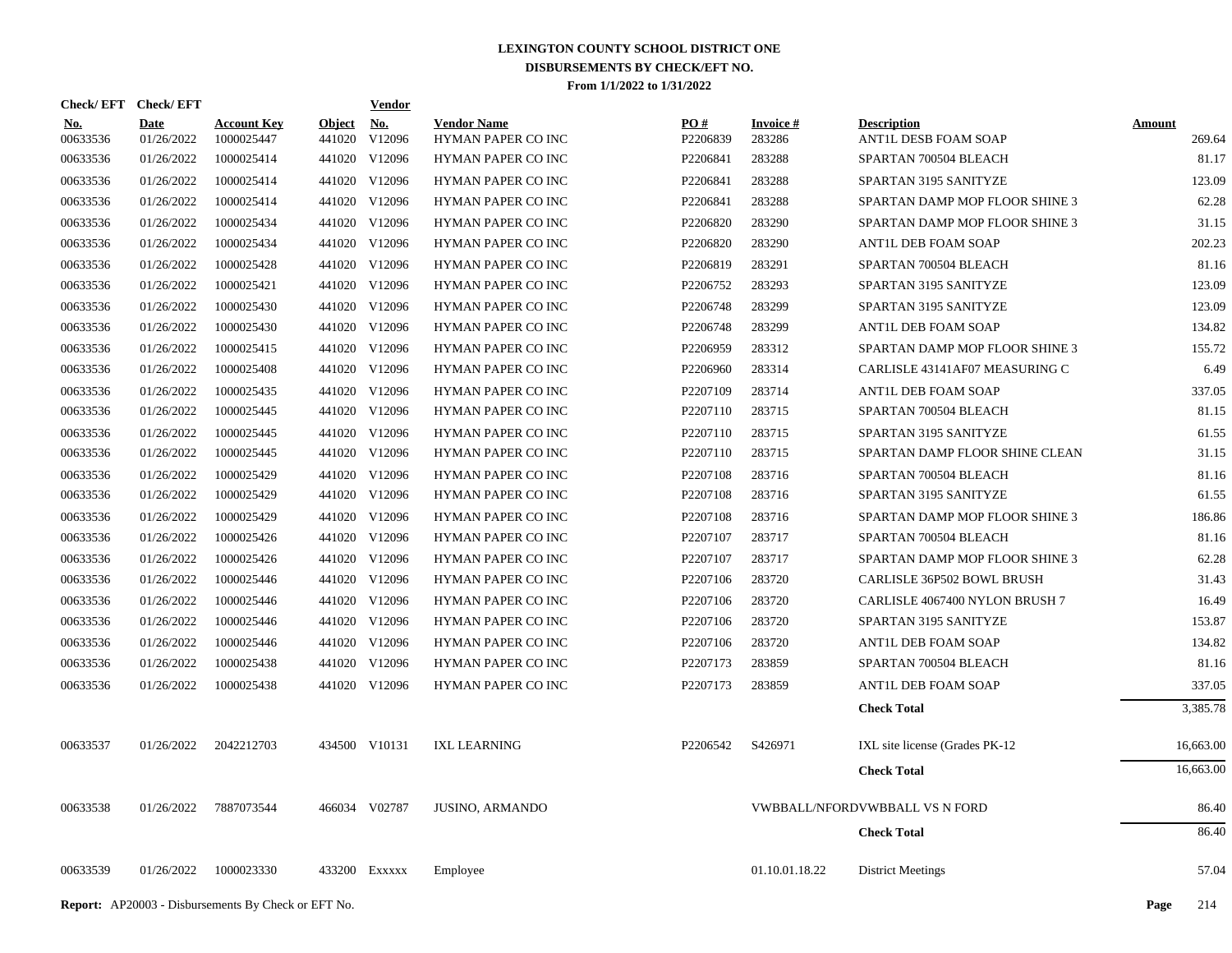|                        | Check/EFT Check/EFT       |                                  |                         | Vendor        |                                          |                 |                     |                                            |                  |
|------------------------|---------------------------|----------------------------------|-------------------------|---------------|------------------------------------------|-----------------|---------------------|--------------------------------------------|------------------|
| <b>No.</b><br>00633536 | <b>Date</b><br>01/26/2022 | <b>Account Key</b><br>1000025447 | <b>Object</b><br>441020 | No.<br>V12096 | <b>Vendor Name</b><br>HYMAN PAPER CO INC | PO#<br>P2206839 | Invoice #<br>283286 | <b>Description</b><br>ANTIL DESB FOAM SOAP | Amount<br>269.64 |
| 00633536               | 01/26/2022                | 1000025414                       |                         | 441020 V12096 | HYMAN PAPER CO INC                       | P2206841        | 283288              | SPARTAN 700504 BLEACH                      | 81.17            |
| 00633536               | 01/26/2022                | 1000025414                       |                         | 441020 V12096 | HYMAN PAPER CO INC                       | P2206841        | 283288              | SPARTAN 3195 SANITYZE                      | 123.09           |
| 00633536               | 01/26/2022                | 1000025414                       |                         | 441020 V12096 | HYMAN PAPER CO INC                       | P2206841        | 283288              | SPARTAN DAMP MOP FLOOR SHINE 3             | 62.28            |
| 00633536               | 01/26/2022                | 1000025434                       |                         | 441020 V12096 | HYMAN PAPER CO INC                       | P2206820        | 283290              | SPARTAN DAMP MOP FLOOR SHINE 3             | 31.15            |
| 00633536               | 01/26/2022                | 1000025434                       |                         | 441020 V12096 | HYMAN PAPER CO INC                       | P2206820        | 283290              | ANTIL DEB FOAM SOAP                        | 202.23           |
| 00633536               | 01/26/2022                | 1000025428                       |                         | 441020 V12096 | HYMAN PAPER CO INC                       | P2206819        | 283291              | SPARTAN 700504 BLEACH                      | 81.16            |
| 00633536               | 01/26/2022                | 1000025421                       |                         | 441020 V12096 | HYMAN PAPER CO INC                       | P2206752        | 283293              | SPARTAN 3195 SANITYZE                      | 123.09           |
| 00633536               | 01/26/2022                | 1000025430                       |                         | 441020 V12096 | HYMAN PAPER CO INC                       | P2206748        | 283299              | SPARTAN 3195 SANITYZE                      | 123.09           |
| 00633536               | 01/26/2022                | 1000025430                       |                         | 441020 V12096 | HYMAN PAPER CO INC                       | P2206748        | 283299              | ANTIL DEB FOAM SOAP                        | 134.82           |
| 00633536               | 01/26/2022                | 1000025415                       |                         | 441020 V12096 | HYMAN PAPER CO INC                       | P2206959        | 283312              | SPARTAN DAMP MOP FLOOR SHINE 3             | 155.72           |
| 00633536               | 01/26/2022                | 1000025408                       |                         | 441020 V12096 | HYMAN PAPER CO INC                       | P2206960        | 283314              | CARLISLE 43141AF07 MEASURING C             | 6.49             |
| 00633536               | 01/26/2022                | 1000025435                       |                         | 441020 V12096 | HYMAN PAPER CO INC                       | P2207109        | 283714              | ANTIL DEB FOAM SOAP                        | 337.05           |
| 00633536               | 01/26/2022                | 1000025445                       |                         | 441020 V12096 | HYMAN PAPER CO INC                       | P2207110        | 283715              | SPARTAN 700504 BLEACH                      | 81.15            |
| 00633536               | 01/26/2022                | 1000025445                       |                         | 441020 V12096 | HYMAN PAPER CO INC                       | P2207110        | 283715              | SPARTAN 3195 SANITYZE                      | 61.55            |
| 00633536               | 01/26/2022                | 1000025445                       |                         | 441020 V12096 | HYMAN PAPER CO INC                       | P2207110        | 283715              | SPARTAN DAMP FLOOR SHINE CLEAN             | 31.15            |
| 00633536               | 01/26/2022                | 1000025429                       |                         | 441020 V12096 | <b>HYMAN PAPER CO INC</b>                | P2207108        | 283716              | SPARTAN 700504 BLEACH                      | 81.16            |
| 00633536               | 01/26/2022                | 1000025429                       |                         | 441020 V12096 | HYMAN PAPER CO INC                       | P2207108        | 283716              | SPARTAN 3195 SANITYZE                      | 61.55            |
| 00633536               | 01/26/2022                | 1000025429                       |                         | 441020 V12096 | <b>HYMAN PAPER CO INC</b>                | P2207108        | 283716              | SPARTAN DAMP MOP FLOOR SHINE 3             | 186.86           |
| 00633536               | 01/26/2022                | 1000025426                       |                         | 441020 V12096 | HYMAN PAPER CO INC                       | P2207107        | 283717              | SPARTAN 700504 BLEACH                      | 81.16            |
| 00633536               | 01/26/2022                | 1000025426                       |                         | 441020 V12096 | HYMAN PAPER CO INC                       | P2207107        | 283717              | SPARTAN DAMP MOP FLOOR SHINE 3             | 62.28            |
| 00633536               | 01/26/2022                | 1000025446                       |                         | 441020 V12096 | HYMAN PAPER CO INC                       | P2207106        | 283720              | CARLISLE 36P502 BOWL BRUSH                 | 31.43            |
| 00633536               | 01/26/2022                | 1000025446                       |                         | 441020 V12096 | HYMAN PAPER CO INC                       | P2207106        | 283720              | CARLISLE 4067400 NYLON BRUSH 7             | 16.49            |
| 00633536               | 01/26/2022                | 1000025446                       |                         | 441020 V12096 | HYMAN PAPER CO INC                       | P2207106        | 283720              | SPARTAN 3195 SANITYZE                      | 153.87           |
| 00633536               | 01/26/2022                | 1000025446                       |                         | 441020 V12096 | HYMAN PAPER CO INC                       | P2207106        | 283720              | ANTIL DEB FOAM SOAP                        | 134.82           |
| 00633536               | 01/26/2022                | 1000025438                       |                         | 441020 V12096 | HYMAN PAPER CO INC                       | P2207173        | 283859              | SPARTAN 700504 BLEACH                      | 81.16            |
| 00633536               | 01/26/2022                | 1000025438                       |                         | 441020 V12096 | HYMAN PAPER CO INC                       | P2207173        | 283859              | ANTIL DEB FOAM SOAP                        | 337.05           |
|                        |                           |                                  |                         |               |                                          |                 |                     | <b>Check Total</b>                         | 3,385.78         |
| 00633537               | 01/26/2022                | 2042212703                       |                         | 434500 V10131 | <b>IXL LEARNING</b>                      | P2206542        | S426971             | IXL site license (Grades PK-12)            | 16,663.00        |
|                        |                           |                                  |                         |               |                                          |                 |                     | <b>Check Total</b>                         | 16,663.00        |
| 00633538               | 01/26/2022                | 7887073544                       |                         | 466034 V02787 | <b>JUSINO, ARMANDO</b>                   |                 |                     | VWBBALL/NFORDVWBBALL VS N FORD             | 86.40            |
|                        |                           |                                  |                         |               |                                          |                 |                     | <b>Check Total</b>                         | 86.40            |
| 00633539               | 01/26/2022                | 1000023330                       |                         | 433200 Exxxxx | Employee                                 |                 | 01.10.01.18.22      | <b>District Meetings</b>                   | 57.04            |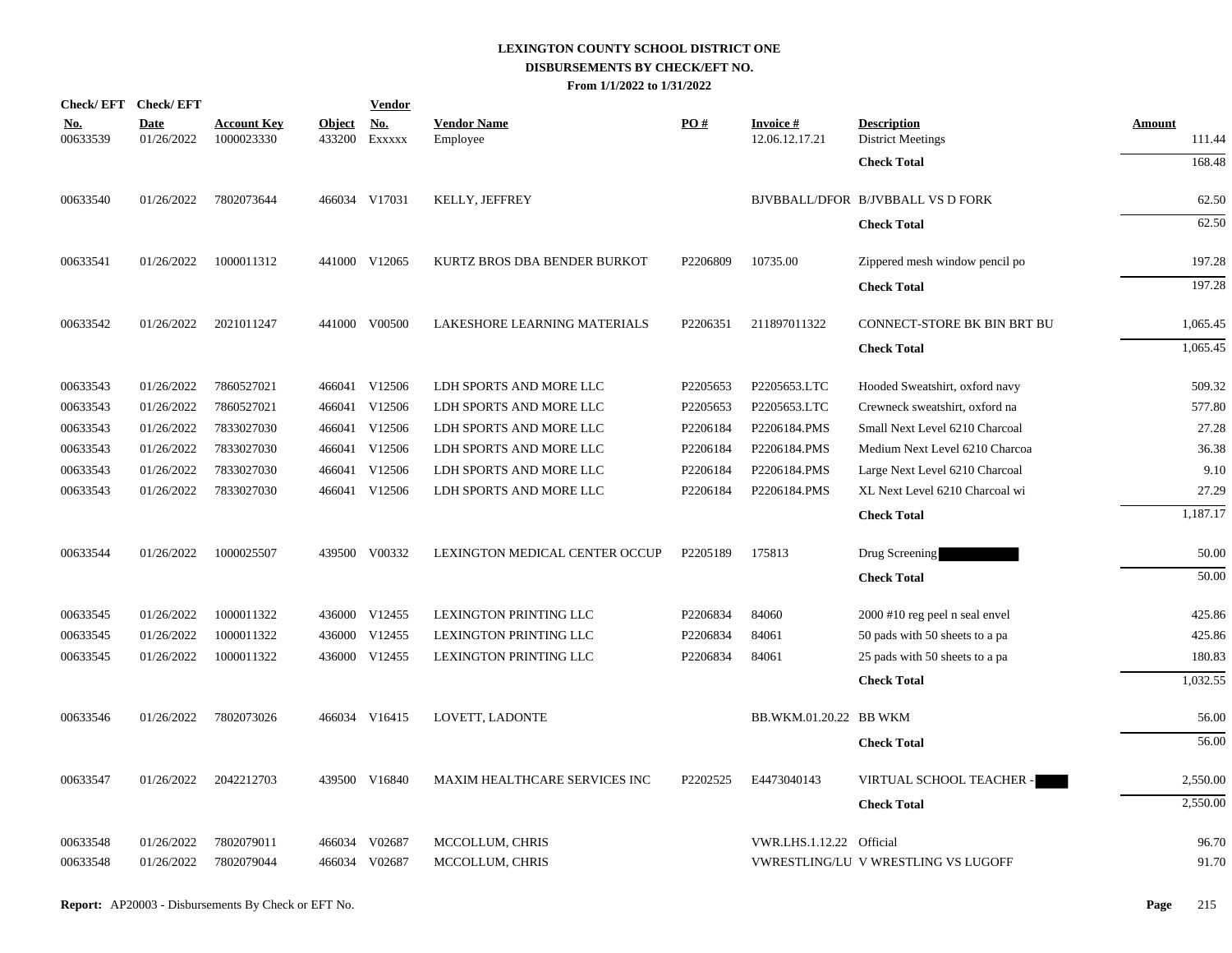|                        | Check/EFT Check/EFT       |                                  |                         | <b>Vendor</b>        |                                      |                   |                                   |                                                |                         |
|------------------------|---------------------------|----------------------------------|-------------------------|----------------------|--------------------------------------|-------------------|-----------------------------------|------------------------------------------------|-------------------------|
| <u>No.</u><br>00633539 | <b>Date</b><br>01/26/2022 | <b>Account Key</b><br>1000023330 | <b>Object</b><br>433200 | <u>No.</u><br>EXXXXX | <b>Vendor Name</b><br>Employee       | $\underline{PO#}$ | <b>Invoice#</b><br>12.06.12.17.21 | <b>Description</b><br><b>District Meetings</b> | <b>Amount</b><br>111.44 |
|                        |                           |                                  |                         |                      |                                      |                   |                                   | <b>Check Total</b>                             | 168.48                  |
| 00633540               | 01/26/2022                | 7802073644                       |                         | 466034 V17031        | KELLY, JEFFREY                       |                   |                                   | BJVBBALL/DFOR B/JVBBALL VS D FORK              | 62.50                   |
|                        |                           |                                  |                         |                      |                                      |                   |                                   | <b>Check Total</b>                             | 62.50                   |
| 00633541               | 01/26/2022                | 1000011312                       |                         | 441000 V12065        | KURTZ BROS DBA BENDER BURKOT         | P2206809          | 10735.00                          | Zippered mesh window pencil po                 | 197.28                  |
|                        |                           |                                  |                         |                      |                                      |                   |                                   | <b>Check Total</b>                             | 197.28                  |
| 00633542               | 01/26/2022                | 2021011247                       |                         | 441000 V00500        | LAKESHORE LEARNING MATERIALS         | P2206351          | 211897011322                      | CONNECT-STORE BK BIN BRT BU                    | 1,065.45                |
|                        |                           |                                  |                         |                      |                                      |                   |                                   | <b>Check Total</b>                             | 1,065.45                |
| 00633543               | 01/26/2022                | 7860527021                       |                         | 466041 V12506        | LDH SPORTS AND MORE LLC              | P2205653          | P2205653.LTC                      | Hooded Sweatshirt, oxford navy                 | 509.32                  |
| 00633543               | 01/26/2022                | 7860527021                       | 466041                  | V12506               | LDH SPORTS AND MORE LLC              | P2205653          | P2205653.LTC                      | Crewneck sweatshirt, oxford na                 | 577.80                  |
| 00633543               | 01/26/2022                | 7833027030                       | 466041                  | V12506               | LDH SPORTS AND MORE LLC              | P2206184          | P2206184.PMS                      | Small Next Level 6210 Charcoal                 | 27.28                   |
| 00633543               | 01/26/2022                | 7833027030                       | 466041                  | V12506               | LDH SPORTS AND MORE LLC              | P2206184          | P2206184.PMS                      | Medium Next Level 6210 Charcoa                 | 36.38                   |
| 00633543               | 01/26/2022                | 7833027030                       | 466041                  | V12506               | LDH SPORTS AND MORE LLC              | P2206184          | P2206184.PMS                      | Large Next Level 6210 Charcoal                 | 9.10                    |
| 00633543               | 01/26/2022                | 7833027030                       |                         | 466041 V12506        | LDH SPORTS AND MORE LLC              | P2206184          | P2206184.PMS                      | XL Next Level 6210 Charcoal wi                 | 27.29                   |
|                        |                           |                                  |                         |                      |                                      |                   |                                   | <b>Check Total</b>                             | 1,187.17                |
| 00633544               | 01/26/2022                | 1000025507                       |                         | 439500 V00332        | LEXINGTON MEDICAL CENTER OCCUP       | P2205189          | 175813                            | Drug Screening                                 | 50.00                   |
|                        |                           |                                  |                         |                      |                                      |                   |                                   | <b>Check Total</b>                             | 50.00                   |
| 00633545               | 01/26/2022                | 1000011322                       |                         | 436000 V12455        | LEXINGTON PRINTING LLC               | P2206834          | 84060                             | 2000 #10 reg peel n seal envel                 | 425.86                  |
| 00633545               | 01/26/2022                | 1000011322                       | 436000                  | V12455               | LEXINGTON PRINTING LLC               | P2206834          | 84061                             | 50 pads with 50 sheets to a pa                 | 425.86                  |
| 00633545               | 01/26/2022                | 1000011322                       |                         | 436000 V12455        | LEXINGTON PRINTING LLC               | P2206834          | 84061                             | 25 pads with 50 sheets to a pa                 | 180.83                  |
|                        |                           |                                  |                         |                      |                                      |                   |                                   | <b>Check Total</b>                             | 1,032.55                |
| 00633546               | 01/26/2022                | 7802073026                       |                         | 466034 V16415        | LOVETT, LADONTE                      |                   | BB.WKM.01.20.22 BB WKM            |                                                | 56.00                   |
|                        |                           |                                  |                         |                      |                                      |                   |                                   | <b>Check Total</b>                             | 56.00                   |
| 00633547               | 01/26/2022                | 2042212703                       |                         | 439500 V16840        | <b>MAXIM HEALTHCARE SERVICES INC</b> | P2202525          | E4473040143                       | VIRTUAL SCHOOL TEACHER -                       | 2,550.00                |
|                        |                           |                                  |                         |                      |                                      |                   |                                   | <b>Check Total</b>                             | 2,550.00                |
| 00633548               | 01/26/2022                | 7802079011                       | 466034                  | V02687               | MCCOLLUM, CHRIS                      |                   | VWR.LHS.1.12.22 Official          |                                                | 96.70                   |
| 00633548               | 01/26/2022                | 7802079044                       |                         | 466034 V02687        | MCCOLLUM, CHRIS                      |                   |                                   | <b>VWRESTLING/LU V WRESTLING VS LUGOFF</b>     | 91.70                   |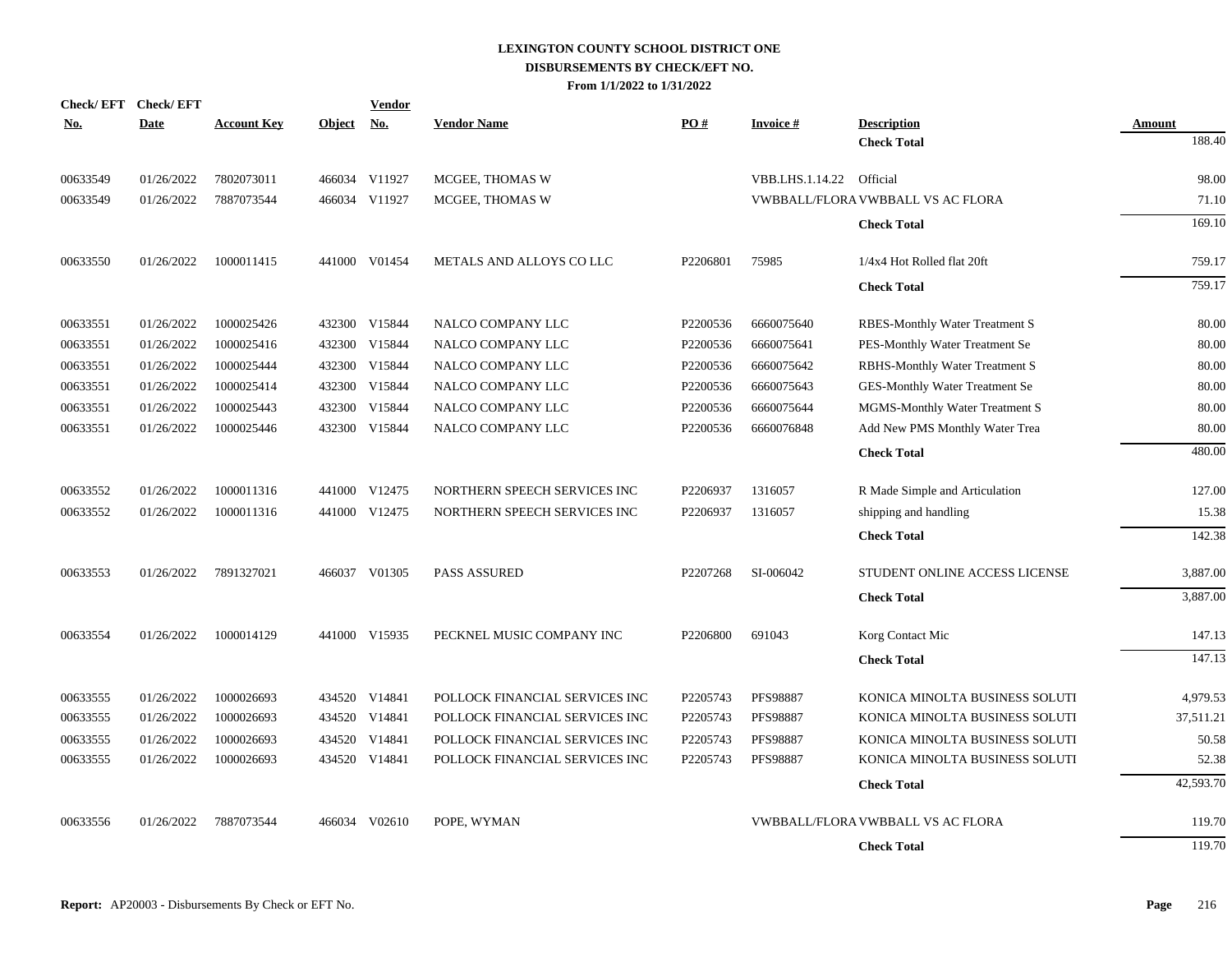|            | Check/EFT Check/EFT |                    |               | <b>Vendor</b> |                                |          |                 |                                   |           |
|------------|---------------------|--------------------|---------------|---------------|--------------------------------|----------|-----------------|-----------------------------------|-----------|
| <u>No.</u> | <b>Date</b>         | <b>Account Key</b> | <b>Object</b> | <b>No.</b>    | <b>Vendor Name</b>             | PO#      | <b>Invoice#</b> | <b>Description</b>                | Amount    |
|            |                     |                    |               |               |                                |          |                 | <b>Check Total</b>                | 188.40    |
| 00633549   | 01/26/2022          | 7802073011         |               | 466034 V11927 | MCGEE, THOMAS W                |          | VBB.LHS.1.14.22 | Official                          | 98.00     |
| 00633549   | 01/26/2022          | 7887073544         |               | 466034 V11927 | MCGEE. THOMAS W                |          |                 | VWBBALL/FLORA VWBBALL VS AC FLORA | 71.10     |
|            |                     |                    |               |               |                                |          |                 | <b>Check Total</b>                | 169.10    |
| 00633550   | 01/26/2022          | 1000011415         |               | 441000 V01454 | METALS AND ALLOYS CO LLC       | P2206801 | 75985           | 1/4x4 Hot Rolled flat 20ft        | 759.17    |
|            |                     |                    |               |               |                                |          |                 | <b>Check Total</b>                | 759.17    |
| 00633551   | 01/26/2022          | 1000025426         |               | 432300 V15844 | NALCO COMPANY LLC              | P2200536 | 6660075640      | RBES-Monthly Water Treatment S    | 80.00     |
| 00633551   | 01/26/2022          | 1000025416         |               | 432300 V15844 | NALCO COMPANY LLC              | P2200536 | 6660075641      | PES-Monthly Water Treatment Se    | 80.00     |
| 00633551   | 01/26/2022          | 1000025444         |               | 432300 V15844 | NALCO COMPANY LLC              | P2200536 | 6660075642      | RBHS-Monthly Water Treatment S    | 80.00     |
| 00633551   | 01/26/2022          | 1000025414         |               | 432300 V15844 | NALCO COMPANY LLC              | P2200536 | 6660075643      | GES-Monthly Water Treatment Se    | 80.00     |
| 00633551   | 01/26/2022          | 1000025443         | 432300        | V15844        | NALCO COMPANY LLC              | P2200536 | 6660075644      | MGMS-Monthly Water Treatment S    | 80.00     |
| 00633551   | 01/26/2022          | 1000025446         | 432300        | V15844        | NALCO COMPANY LLC              | P2200536 | 6660076848      | Add New PMS Monthly Water Trea    | 80.00     |
|            |                     |                    |               |               |                                |          |                 | <b>Check Total</b>                | 480.00    |
| 00633552   | 01/26/2022          | 1000011316         |               | 441000 V12475 | NORTHERN SPEECH SERVICES INC   | P2206937 | 1316057         | R Made Simple and Articulation    | 127.00    |
| 00633552   | 01/26/2022          | 1000011316         |               | 441000 V12475 | NORTHERN SPEECH SERVICES INC   | P2206937 | 1316057         | shipping and handling             | 15.38     |
|            |                     |                    |               |               |                                |          |                 | <b>Check Total</b>                | 142.38    |
| 00633553   | 01/26/2022          | 7891327021         |               | 466037 V01305 | PASS ASSURED                   | P2207268 | SI-006042       | STUDENT ONLINE ACCESS LICENSE     | 3,887.00  |
|            |                     |                    |               |               |                                |          |                 | <b>Check Total</b>                | 3,887.00  |
| 00633554   | 01/26/2022          | 1000014129         |               | 441000 V15935 | PECKNEL MUSIC COMPANY INC      | P2206800 | 691043          | Korg Contact Mic                  | 147.13    |
|            |                     |                    |               |               |                                |          |                 | <b>Check Total</b>                | 147.13    |
| 00633555   | 01/26/2022          | 1000026693         |               | 434520 V14841 | POLLOCK FINANCIAL SERVICES INC | P2205743 | <b>PFS98887</b> | KONICA MINOLTA BUSINESS SOLUTI    | 4,979.53  |
| 00633555   | 01/26/2022          | 1000026693         |               | 434520 V14841 | POLLOCK FINANCIAL SERVICES INC | P2205743 | <b>PFS98887</b> | KONICA MINOLTA BUSINESS SOLUTI    | 37,511.21 |
| 00633555   | 01/26/2022          | 1000026693         | 434520        | V14841        | POLLOCK FINANCIAL SERVICES INC | P2205743 | <b>PFS98887</b> | KONICA MINOLTA BUSINESS SOLUTI    | 50.58     |
| 00633555   | 01/26/2022          | 1000026693         |               | 434520 V14841 | POLLOCK FINANCIAL SERVICES INC | P2205743 | <b>PFS98887</b> | KONICA MINOLTA BUSINESS SOLUTI    | 52.38     |
|            |                     |                    |               |               |                                |          |                 | <b>Check Total</b>                | 42,593.70 |
| 00633556   | 01/26/2022          | 7887073544         |               | 466034 V02610 | POPE, WYMAN                    |          |                 | VWBBALL/FLORA VWBBALL VS AC FLORA | 119.70    |
|            |                     |                    |               |               |                                |          |                 | <b>Check Total</b>                | 119.70    |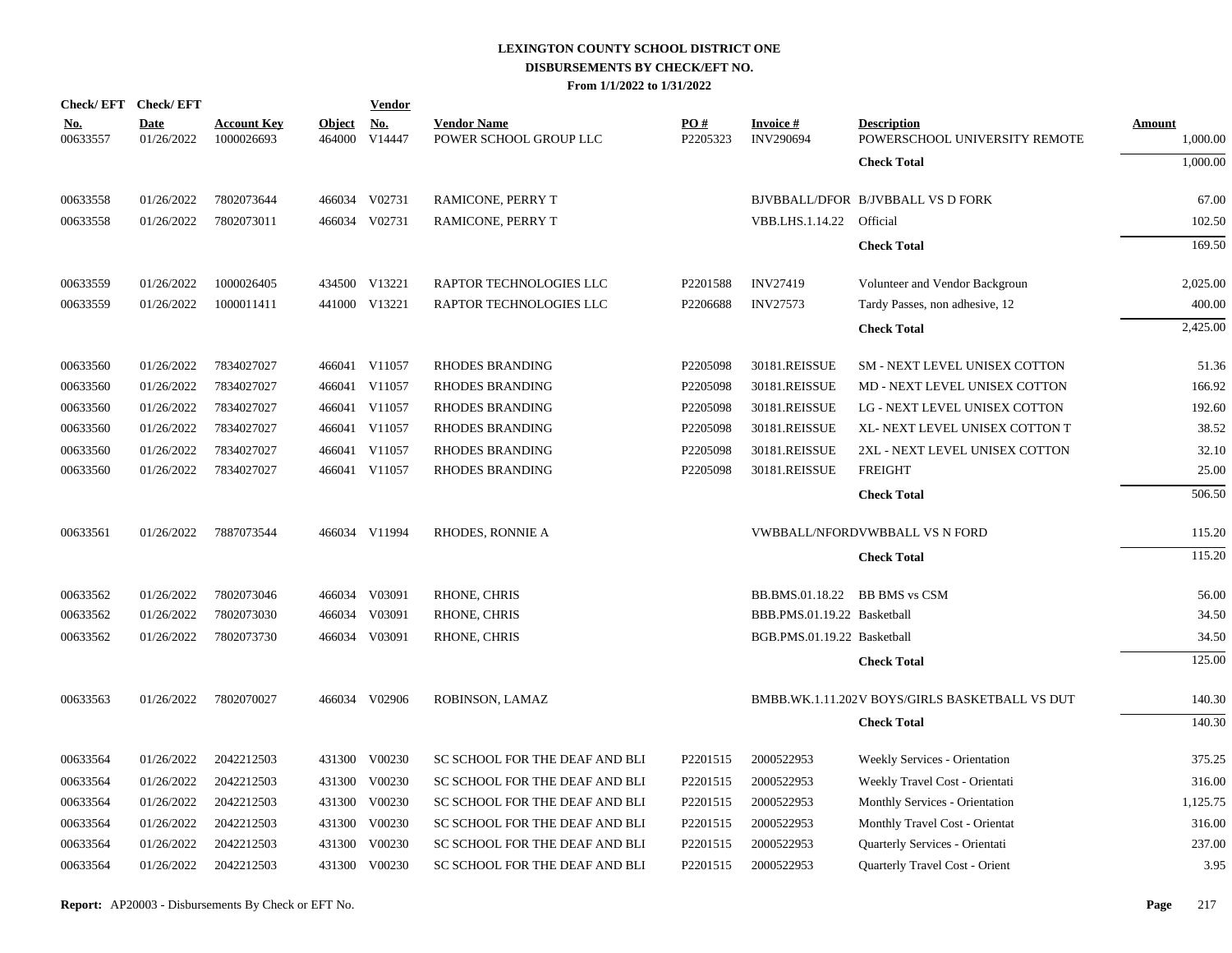|                        | Check/EFT Check/EFT       |                                  |                         | <b>Vendor</b>        |                                              |                 |                                     |                                                     |                    |
|------------------------|---------------------------|----------------------------------|-------------------------|----------------------|----------------------------------------------|-----------------|-------------------------------------|-----------------------------------------------------|--------------------|
| <u>No.</u><br>00633557 | <b>Date</b><br>01/26/2022 | <b>Account Key</b><br>1000026693 | <b>Object</b><br>464000 | <u>No.</u><br>V14447 | <b>Vendor Name</b><br>POWER SCHOOL GROUP LLC | PO#<br>P2205323 | <b>Invoice#</b><br><b>INV290694</b> | <b>Description</b><br>POWERSCHOOL UNIVERSITY REMOTE | Amount<br>1,000.00 |
|                        |                           |                                  |                         |                      |                                              |                 |                                     | <b>Check Total</b>                                  | 1,000.00           |
| 00633558               | 01/26/2022                | 7802073644                       |                         | 466034 V02731        | RAMICONE, PERRY T                            |                 |                                     | BJVBBALL/DFOR B/JVBBALL VS D FORK                   | 67.00              |
| 00633558               | 01/26/2022                | 7802073011                       |                         | 466034 V02731        | RAMICONE, PERRY T                            |                 | VBB.LHS.1.14.22                     | Official                                            | 102.50             |
|                        |                           |                                  |                         |                      |                                              |                 |                                     | <b>Check Total</b>                                  | 169.50             |
| 00633559               | 01/26/2022                | 1000026405                       |                         | 434500 V13221        | RAPTOR TECHNOLOGIES LLC                      | P2201588        | <b>INV27419</b>                     | Volunteer and Vendor Backgroun                      | 2,025.00           |
| 00633559               | 01/26/2022                | 1000011411                       |                         | 441000 V13221        | RAPTOR TECHNOLOGIES LLC                      | P2206688        | <b>INV27573</b>                     | Tardy Passes, non adhesive, 12                      | 400.00             |
|                        |                           |                                  |                         |                      |                                              |                 |                                     | <b>Check Total</b>                                  | 2,425.00           |
| 00633560               | 01/26/2022                | 7834027027                       |                         | 466041 V11057        | <b>RHODES BRANDING</b>                       | P2205098        | 30181.REISSUE                       | SM - NEXT LEVEL UNISEX COTTON                       | 51.36              |
| 00633560               | 01/26/2022                | 7834027027                       |                         | 466041 V11057        | <b>RHODES BRANDING</b>                       | P2205098        | 30181.REISSUE                       | MD - NEXT LEVEL UNISEX COTTON                       | 166.92             |
| 00633560               | 01/26/2022                | 7834027027                       |                         | 466041 V11057        | <b>RHODES BRANDING</b>                       | P2205098        | 30181.REISSUE                       | LG - NEXT LEVEL UNISEX COTTON                       | 192.60             |
| 00633560               | 01/26/2022                | 7834027027                       |                         | 466041 V11057        | RHODES BRANDING                              | P2205098        | 30181.REISSUE                       | XL- NEXT LEVEL UNISEX COTTON T                      | 38.52              |
| 00633560               | 01/26/2022                | 7834027027                       |                         | 466041 V11057        | <b>RHODES BRANDING</b>                       | P2205098        | 30181.REISSUE                       | 2XL - NEXT LEVEL UNISEX COTTON                      | 32.10              |
| 00633560               | 01/26/2022                | 7834027027                       |                         | 466041 V11057        | RHODES BRANDING                              | P2205098        | 30181.REISSUE                       | <b>FREIGHT</b>                                      | 25.00              |
|                        |                           |                                  |                         |                      |                                              |                 |                                     | <b>Check Total</b>                                  | 506.50             |
| 00633561               | 01/26/2022                | 7887073544                       |                         | 466034 V11994        | RHODES, RONNIE A                             |                 |                                     | <b>VWBBALL/NFORDVWBBALL VS N FORD</b>               | 115.20             |
|                        |                           |                                  |                         |                      |                                              |                 |                                     | <b>Check Total</b>                                  | 115.20             |
| 00633562               | 01/26/2022                | 7802073046                       |                         | 466034 V03091        | RHONE, CHRIS                                 |                 | BB.BMS.01.18.22                     | <b>BB BMS vs CSM</b>                                | 56.00              |
| 00633562               | 01/26/2022                | 7802073030                       |                         | 466034 V03091        | RHONE, CHRIS                                 |                 | BBB.PMS.01.19.22 Basketball         |                                                     | 34.50              |
| 00633562               | 01/26/2022                | 7802073730                       |                         | 466034 V03091        | <b>RHONE, CHRIS</b>                          |                 | BGB.PMS.01.19.22 Basketball         |                                                     | 34.50              |
|                        |                           |                                  |                         |                      |                                              |                 |                                     | <b>Check Total</b>                                  | 125.00             |
| 00633563               | 01/26/2022                | 7802070027                       |                         | 466034 V02906        | ROBINSON, LAMAZ                              |                 |                                     | BMBB.WK.1.11.202V BOYS/GIRLS BASKETBALL VS DUT      | 140.30             |
|                        |                           |                                  |                         |                      |                                              |                 |                                     | <b>Check Total</b>                                  | 140.30             |
| 00633564               | 01/26/2022                | 2042212503                       |                         | 431300 V00230        | SC SCHOOL FOR THE DEAF AND BLI               | P2201515        | 2000522953                          | Weekly Services - Orientation                       | 375.25             |
| 00633564               | 01/26/2022                | 2042212503                       | 431300                  | V00230               | SC SCHOOL FOR THE DEAF AND BLI               | P2201515        | 2000522953                          | Weekly Travel Cost - Orientati                      | 316.00             |
| 00633564               | 01/26/2022                | 2042212503                       |                         | 431300 V00230        | SC SCHOOL FOR THE DEAF AND BLI               | P2201515        | 2000522953                          | Monthly Services - Orientation                      | 1,125.75           |
| 00633564               | 01/26/2022                | 2042212503                       | 431300                  | V00230               | SC SCHOOL FOR THE DEAF AND BLI               | P2201515        | 2000522953                          | Monthly Travel Cost - Orientat                      | 316.00             |
| 00633564               | 01/26/2022                | 2042212503                       | 431300                  | V00230               | SC SCHOOL FOR THE DEAF AND BLI               | P2201515        | 2000522953                          | Quarterly Services - Orientati                      | 237.00             |
| 00633564               | 01/26/2022                | 2042212503                       |                         | 431300 V00230        | SC SCHOOL FOR THE DEAF AND BLI               | P2201515        | 2000522953                          | Quarterly Travel Cost - Orient                      | 3.95               |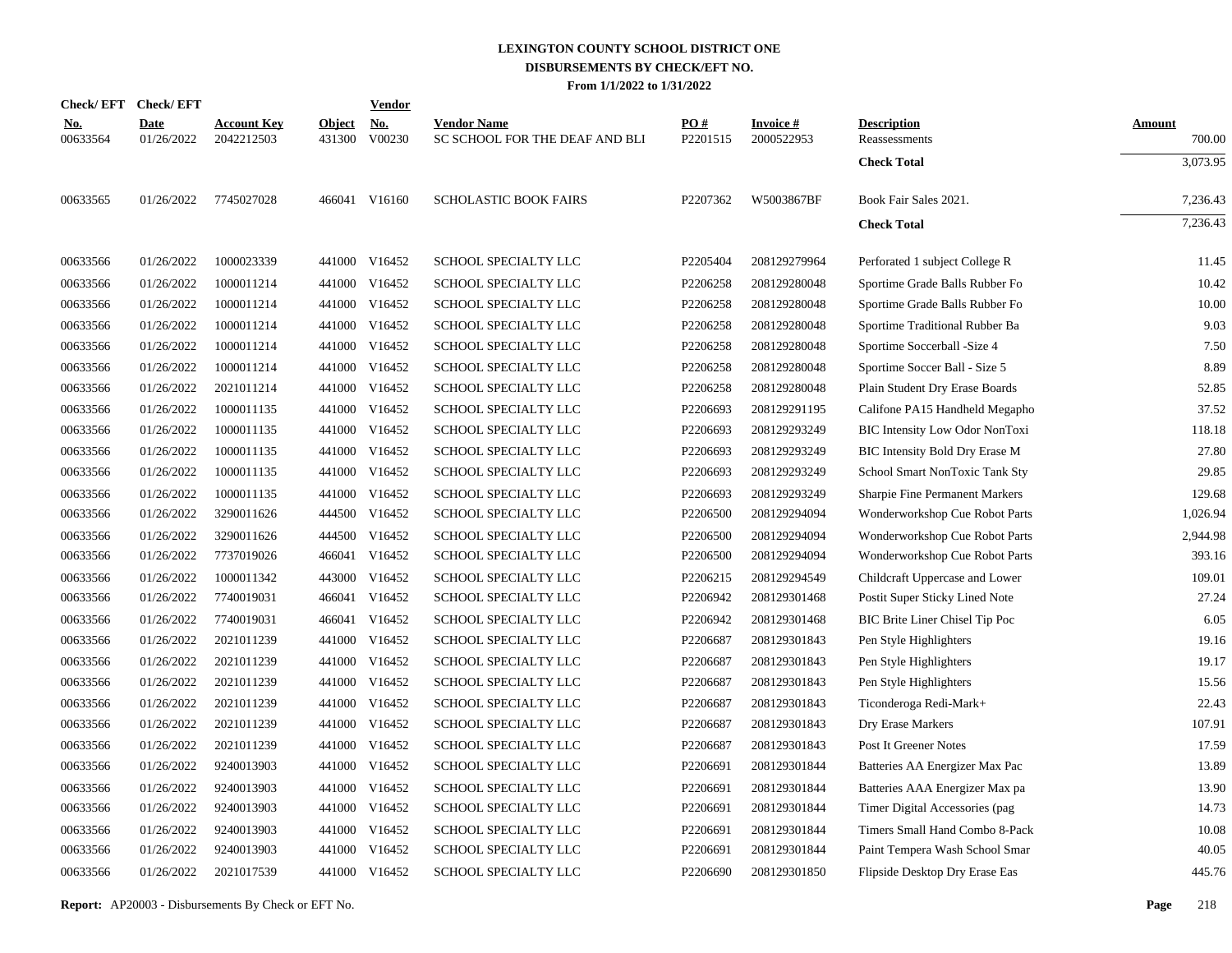|                        | Check/EFT Check/EFT       |                                  |                         | <b>Vendor</b>        |                                                      |                      |                               |                                       |                         |
|------------------------|---------------------------|----------------------------------|-------------------------|----------------------|------------------------------------------------------|----------------------|-------------------------------|---------------------------------------|-------------------------|
| <u>No.</u><br>00633564 | <b>Date</b><br>01/26/2022 | <b>Account Key</b><br>2042212503 | <b>Object</b><br>431300 | <u>No.</u><br>V00230 | <b>Vendor Name</b><br>SC SCHOOL FOR THE DEAF AND BLI | PO#<br>P2201515      | <b>Invoice#</b><br>2000522953 | <b>Description</b><br>Reassessments   | <b>Amount</b><br>700.00 |
|                        |                           |                                  |                         |                      |                                                      |                      |                               | <b>Check Total</b>                    | 3,073.95                |
| 00633565               | 01/26/2022                | 7745027028                       |                         | 466041 V16160        | <b>SCHOLASTIC BOOK FAIRS</b>                         | P <sub>2207362</sub> | W5003867BF                    | Book Fair Sales 2021.                 | 7,236.43                |
|                        |                           |                                  |                         |                      |                                                      |                      |                               | <b>Check Total</b>                    | 7,236.43                |
| 00633566               | 01/26/2022                | 1000023339                       |                         | 441000 V16452        | SCHOOL SPECIALTY LLC                                 | P2205404             | 208129279964                  | Perforated 1 subject College R        | 11.45                   |
| 00633566               | 01/26/2022                | 1000011214                       |                         | 441000 V16452        | SCHOOL SPECIALTY LLC                                 | P2206258             | 208129280048                  | Sportime Grade Balls Rubber Fo        | 10.42                   |
| 00633566               | 01/26/2022                | 1000011214                       |                         | 441000 V16452        | SCHOOL SPECIALTY LLC                                 | P2206258             | 208129280048                  | Sportime Grade Balls Rubber Fo        | 10.00                   |
| 00633566               | 01/26/2022                | 1000011214                       |                         | 441000 V16452        | SCHOOL SPECIALTY LLC                                 | P2206258             | 208129280048                  | Sportime Traditional Rubber Ba        | 9.03                    |
| 00633566               | 01/26/2022                | 1000011214                       |                         | 441000 V16452        | SCHOOL SPECIALTY LLC                                 | P2206258             | 208129280048                  | Sportime Soccerball - Size 4          | 7.50                    |
| 00633566               | 01/26/2022                | 1000011214                       |                         | 441000 V16452        | SCHOOL SPECIALTY LLC                                 | P2206258             | 208129280048                  | Sportime Soccer Ball - Size 5         | 8.89                    |
| 00633566               | 01/26/2022                | 2021011214                       |                         | 441000 V16452        | SCHOOL SPECIALTY LLC                                 | P2206258             | 208129280048                  | Plain Student Dry Erase Boards        | 52.85                   |
| 00633566               | 01/26/2022                | 1000011135                       |                         | 441000 V16452        | SCHOOL SPECIALTY LLC                                 | P2206693             | 208129291195                  | Califone PA15 Handheld Megapho        | 37.52                   |
| 00633566               | 01/26/2022                | 1000011135                       |                         | 441000 V16452        | SCHOOL SPECIALTY LLC                                 | P2206693             | 208129293249                  | BIC Intensity Low Odor NonToxi        | 118.18                  |
| 00633566               | 01/26/2022                | 1000011135                       |                         | 441000 V16452        | SCHOOL SPECIALTY LLC                                 | P2206693             | 208129293249                  | BIC Intensity Bold Dry Erase M        | 27.80                   |
| 00633566               | 01/26/2022                | 1000011135                       |                         | 441000 V16452        | SCHOOL SPECIALTY LLC                                 | P2206693             | 208129293249                  | School Smart NonToxic Tank Sty        | 29.85                   |
| 00633566               | 01/26/2022                | 1000011135                       |                         | 441000 V16452        | SCHOOL SPECIALTY LLC                                 | P2206693             | 208129293249                  | <b>Sharpie Fine Permanent Markers</b> | 129.68                  |
| 00633566               | 01/26/2022                | 3290011626                       |                         | 444500 V16452        | SCHOOL SPECIALTY LLC                                 | P2206500             | 208129294094                  | Wonderworkshop Cue Robot Parts        | 1,026.94                |
| 00633566               | 01/26/2022                | 3290011626                       |                         | 444500 V16452        | SCHOOL SPECIALTY LLC                                 | P2206500             | 208129294094                  | Wonderworkshop Cue Robot Parts        | 2,944.98                |
| 00633566               | 01/26/2022                | 7737019026                       | 466041                  | V16452               | SCHOOL SPECIALTY LLC                                 | P2206500             | 208129294094                  | Wonderworkshop Cue Robot Parts        | 393.16                  |
| 00633566               | 01/26/2022                | 1000011342                       |                         | 443000 V16452        | SCHOOL SPECIALTY LLC                                 | P2206215             | 208129294549                  | Childcraft Uppercase and Lower        | 109.01                  |
| 00633566               | 01/26/2022                | 7740019031                       | 466041                  | V16452               | SCHOOL SPECIALTY LLC                                 | P2206942             | 208129301468                  | Postit Super Sticky Lined Note        | 27.24                   |
| 00633566               | 01/26/2022                | 7740019031                       | 466041                  | V16452               | SCHOOL SPECIALTY LLC                                 | P2206942             | 208129301468                  | BIC Brite Liner Chisel Tip Poc        | 6.05                    |
| 00633566               | 01/26/2022                | 2021011239                       |                         | 441000 V16452        | SCHOOL SPECIALTY LLC                                 | P2206687             | 208129301843                  | Pen Style Highlighters                | 19.16                   |
| 00633566               | 01/26/2022                | 2021011239                       | 441000                  | V16452               | SCHOOL SPECIALTY LLC                                 | P2206687             | 208129301843                  | Pen Style Highlighters                | 19.17                   |
| 00633566               | 01/26/2022                | 2021011239                       |                         | 441000 V16452        | SCHOOL SPECIALTY LLC                                 | P2206687             | 208129301843                  | Pen Style Highlighters                | 15.56                   |
| 00633566               | 01/26/2022                | 2021011239                       | 441000                  | V16452               | SCHOOL SPECIALTY LLC                                 | P2206687             | 208129301843                  | Ticonderoga Redi-Mark+                | 22.43                   |
| 00633566               | 01/26/2022                | 2021011239                       |                         | 441000 V16452        | SCHOOL SPECIALTY LLC                                 | P2206687             | 208129301843                  | Dry Erase Markers                     | 107.91                  |
| 00633566               | 01/26/2022                | 2021011239                       |                         | 441000 V16452        | SCHOOL SPECIALTY LLC                                 | P2206687             | 208129301843                  | Post It Greener Notes                 | 17.59                   |
| 00633566               | 01/26/2022                | 9240013903                       |                         | 441000 V16452        | SCHOOL SPECIALTY LLC                                 | P2206691             | 208129301844                  | Batteries AA Energizer Max Pac        | 13.89                   |
| 00633566               | 01/26/2022                | 9240013903                       | 441000                  | V16452               | SCHOOL SPECIALTY LLC                                 | P2206691             | 208129301844                  | Batteries AAA Energizer Max pa        | 13.90                   |
| 00633566               | 01/26/2022                | 9240013903                       |                         | 441000 V16452        | SCHOOL SPECIALTY LLC                                 | P2206691             | 208129301844                  | Timer Digital Accessories (pag        | 14.73                   |
| 00633566               | 01/26/2022                | 9240013903                       |                         | 441000 V16452        | SCHOOL SPECIALTY LLC                                 | P2206691             | 208129301844                  | Timers Small Hand Combo 8-Pack        | 10.08                   |
| 00633566               | 01/26/2022                | 9240013903                       |                         | 441000 V16452        | SCHOOL SPECIALTY LLC                                 | P2206691             | 208129301844                  | Paint Tempera Wash School Smar        | 40.05                   |
| 00633566               | 01/26/2022                | 2021017539                       |                         | 441000 V16452        | <b>SCHOOL SPECIALTY LLC</b>                          | P2206690             | 208129301850                  | Flipside Desktop Dry Erase Eas        | 445.76                  |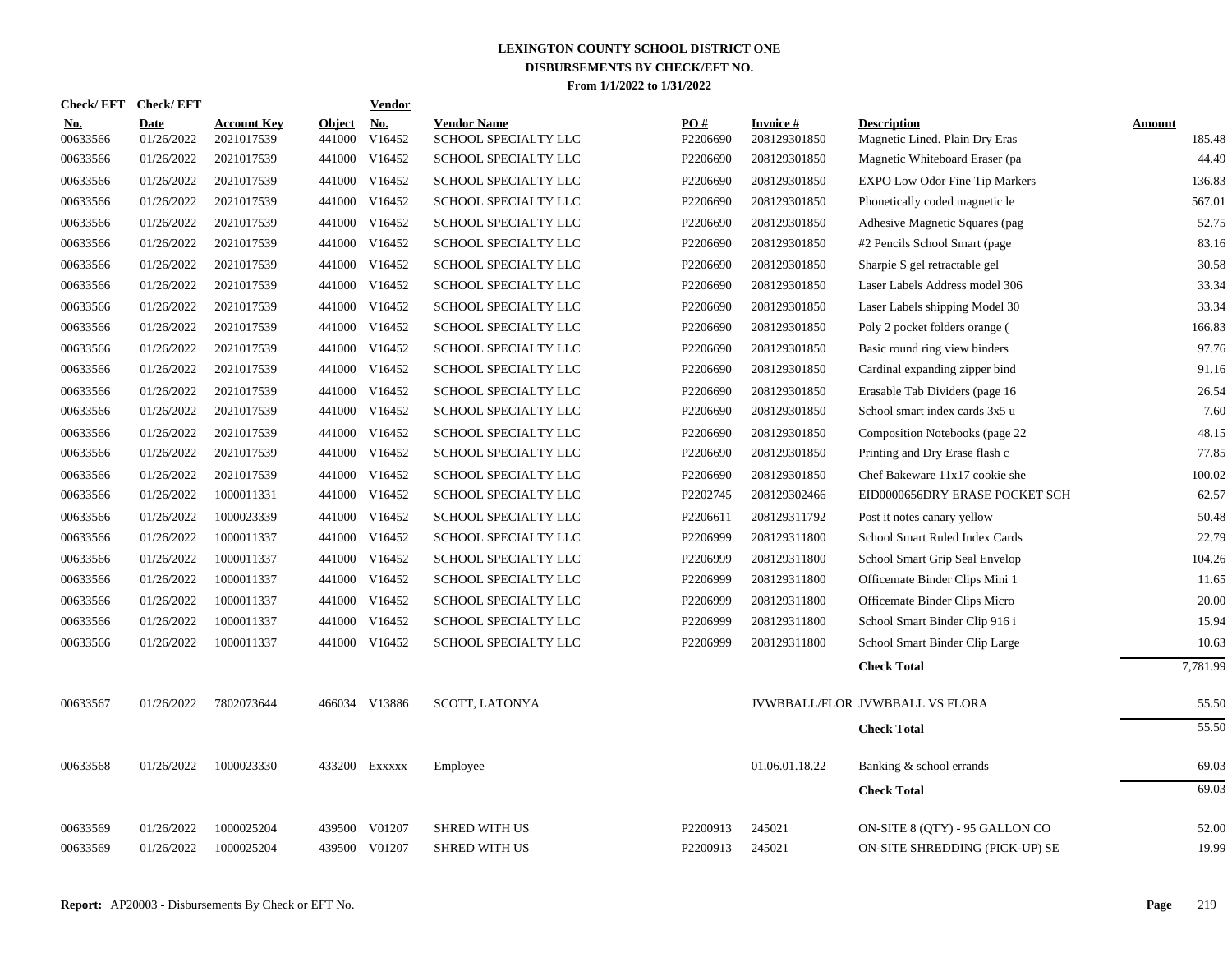|                        | Check/EFT Check/EFT       |                                  |                         | Vendor               |                                            |                 |                                 |                                                      |                  |
|------------------------|---------------------------|----------------------------------|-------------------------|----------------------|--------------------------------------------|-----------------|---------------------------------|------------------------------------------------------|------------------|
| <b>No.</b><br>00633566 | <b>Date</b><br>01/26/2022 | <b>Account Key</b><br>2021017539 | <b>Object</b><br>441000 | <u>No.</u><br>V16452 | <b>Vendor Name</b><br>SCHOOL SPECIALTY LLC | PO#<br>P2206690 | <b>Invoice#</b><br>208129301850 | <b>Description</b><br>Magnetic Lined. Plain Dry Eras | Amount<br>185.48 |
| 00633566               | 01/26/2022                | 2021017539                       | 441000                  | V16452               | SCHOOL SPECIALTY LLC                       | P2206690        | 208129301850                    | Magnetic Whiteboard Eraser (pa                       | 44.49            |
| 00633566               | 01/26/2022                | 2021017539                       | 441000                  | V16452               | SCHOOL SPECIALTY LLC                       | P2206690        | 208129301850                    | <b>EXPO Low Odor Fine Tip Markers</b>                | 136.83           |
| 00633566               | 01/26/2022                | 2021017539                       |                         | 441000 V16452        | SCHOOL SPECIALTY LLC                       | P2206690        | 208129301850                    | Phonetically coded magnetic le                       | 567.01           |
| 00633566               | 01/26/2022                | 2021017539                       | 441000                  | V16452               | SCHOOL SPECIALTY LLC                       | P2206690        | 208129301850                    | Adhesive Magnetic Squares (pag                       | 52.75            |
| 00633566               | 01/26/2022                | 2021017539                       | 441000                  | V16452               | SCHOOL SPECIALTY LLC                       | P2206690        | 208129301850                    | #2 Pencils School Smart (page                        | 83.16            |
| 00633566               | 01/26/2022                | 2021017539                       |                         | 441000 V16452        | SCHOOL SPECIALTY LLC                       | P2206690        | 208129301850                    | Sharpie S gel retractable gel                        | 30.58            |
| 00633566               | 01/26/2022                | 2021017539                       |                         | 441000 V16452        | SCHOOL SPECIALTY LLC                       | P2206690        | 208129301850                    | Laser Labels Address model 306                       | 33.34            |
| 00633566               | 01/26/2022                | 2021017539                       |                         | 441000 V16452        | SCHOOL SPECIALTY LLC                       | P2206690        | 208129301850                    | Laser Labels shipping Model 30                       | 33.34            |
| 00633566               | 01/26/2022                | 2021017539                       | 441000                  | V16452               | SCHOOL SPECIALTY LLC                       | P2206690        | 208129301850                    | Poly 2 pocket folders orange (                       | 166.83           |
| 00633566               | 01/26/2022                | 2021017539                       |                         | 441000 V16452        | SCHOOL SPECIALTY LLC                       | P2206690        | 208129301850                    | Basic round ring view binders                        | 97.76            |
| 00633566               | 01/26/2022                | 2021017539                       |                         | 441000 V16452        | SCHOOL SPECIALTY LLC                       | P2206690        | 208129301850                    | Cardinal expanding zipper bind                       | 91.16            |
| 00633566               | 01/26/2022                | 2021017539                       |                         | 441000 V16452        | SCHOOL SPECIALTY LLC                       | P2206690        | 208129301850                    | Erasable Tab Dividers (page 16                       | 26.54            |
| 00633566               | 01/26/2022                | 2021017539                       |                         | 441000 V16452        | SCHOOL SPECIALTY LLC                       | P2206690        | 208129301850                    | School smart index cards 3x5 u                       | 7.60             |
| 00633566               | 01/26/2022                | 2021017539                       |                         | 441000 V16452        | SCHOOL SPECIALTY LLC                       | P2206690        | 208129301850                    | Composition Notebooks (page 22                       | 48.15            |
| 00633566               | 01/26/2022                | 2021017539                       |                         | 441000 V16452        | SCHOOL SPECIALTY LLC                       | P2206690        | 208129301850                    | Printing and Dry Erase flash c                       | 77.85            |
| 00633566               | 01/26/2022                | 2021017539                       |                         | 441000 V16452        | SCHOOL SPECIALTY LLC                       | P2206690        | 208129301850                    | Chef Bakeware 11x17 cookie she                       | 100.02           |
| 00633566               | 01/26/2022                | 1000011331                       |                         | 441000 V16452        | SCHOOL SPECIALTY LLC                       | P2202745        | 208129302466                    | EID0000656DRY ERASE POCKET SCH                       | 62.57            |
| 00633566               | 01/26/2022                | 1000023339                       |                         | 441000 V16452        | SCHOOL SPECIALTY LLC                       | P2206611        | 208129311792                    | Post it notes canary yellow                          | 50.48            |
| 00633566               | 01/26/2022                | 1000011337                       |                         | 441000 V16452        | SCHOOL SPECIALTY LLC                       | P2206999        | 208129311800                    | School Smart Ruled Index Cards                       | 22.79            |
| 00633566               | 01/26/2022                | 1000011337                       |                         | 441000 V16452        | SCHOOL SPECIALTY LLC                       | P2206999        | 208129311800                    | School Smart Grip Seal Envelop                       | 104.26           |
| 00633566               | 01/26/2022                | 1000011337                       |                         | 441000 V16452        | SCHOOL SPECIALTY LLC                       | P2206999        | 208129311800                    | Officemate Binder Clips Mini 1                       | 11.65            |
| 00633566               | 01/26/2022                | 1000011337                       |                         | 441000 V16452        | SCHOOL SPECIALTY LLC                       | P2206999        | 208129311800                    | Officemate Binder Clips Micro                        | 20.00            |
| 00633566               | 01/26/2022                | 1000011337                       |                         | 441000 V16452        | SCHOOL SPECIALTY LLC                       | P2206999        | 208129311800                    | School Smart Binder Clip 916 i                       | 15.94            |
| 00633566               | 01/26/2022                | 1000011337                       |                         | 441000 V16452        | SCHOOL SPECIALTY LLC                       | P2206999        | 208129311800                    | School Smart Binder Clip Large                       | 10.63            |
|                        |                           |                                  |                         |                      |                                            |                 |                                 | <b>Check Total</b>                                   | 7,781.99         |
| 00633567               | 01/26/2022                | 7802073644                       |                         | 466034 V13886        | <b>SCOTT, LATONYA</b>                      |                 |                                 | JVWBBALL/FLOR JVWBBALL VS FLORA                      | 55.50            |
|                        |                           |                                  |                         |                      |                                            |                 |                                 | <b>Check Total</b>                                   | 55.50            |
| 00633568               | 01/26/2022                | 1000023330                       |                         | 433200 Exxxxx        | Employee                                   |                 | 01.06.01.18.22                  | Banking & school errands                             | 69.03            |
|                        |                           |                                  |                         |                      |                                            |                 |                                 | <b>Check Total</b>                                   | 69.03            |
|                        |                           |                                  |                         |                      |                                            |                 |                                 |                                                      |                  |
| 00633569               | 01/26/2022                | 1000025204                       | 439500                  | V01207               | <b>SHRED WITH US</b>                       | P2200913        | 245021                          | ON-SITE 8 (QTY) - 95 GALLON CO                       | 52.00            |
| 00633569               | 01/26/2022                | 1000025204                       |                         | 439500 V01207        | <b>SHRED WITH US</b>                       | P2200913        | 245021                          | ON-SITE SHREDDING (PICK-UP) SE                       | 19.99            |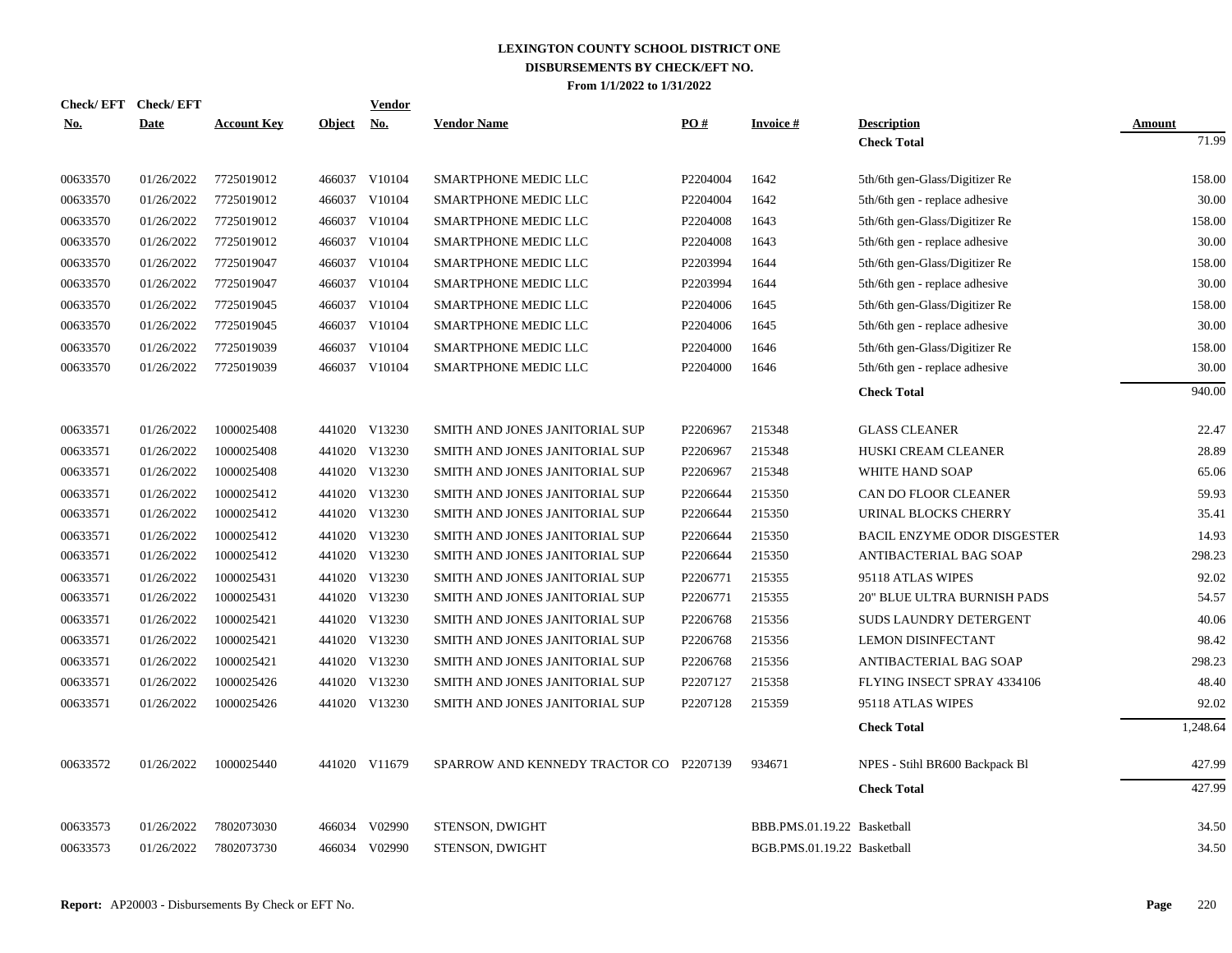| Check/EFT Check/EFT |             |                    |               | <b>Vendor</b> |                                         |          |                             |                                |          |
|---------------------|-------------|--------------------|---------------|---------------|-----------------------------------------|----------|-----------------------------|--------------------------------|----------|
| No.                 | <b>Date</b> | <b>Account Key</b> | <b>Object</b> | <u>No.</u>    | <b>Vendor Name</b>                      | PO#      | <b>Invoice#</b>             | <b>Description</b>             | Amount   |
|                     |             |                    |               |               |                                         |          |                             | <b>Check Total</b>             | 71.99    |
| 00633570            | 01/26/2022  | 7725019012         |               | 466037 V10104 | <b>SMARTPHONE MEDIC LLC</b>             | P2204004 | 1642                        | 5th/6th gen-Glass/Digitizer Re | 158.00   |
| 00633570            | 01/26/2022  | 7725019012         |               | 466037 V10104 | SMARTPHONE MEDIC LLC                    | P2204004 | 1642                        | 5th/6th gen - replace adhesive | 30.00    |
| 00633570            | 01/26/2022  | 7725019012         |               | 466037 V10104 | <b>SMARTPHONE MEDIC LLC</b>             | P2204008 | 1643                        | 5th/6th gen-Glass/Digitizer Re | 158.00   |
| 00633570            | 01/26/2022  | 7725019012         |               | 466037 V10104 | SMARTPHONE MEDIC LLC                    | P2204008 | 1643                        | 5th/6th gen - replace adhesive | 30.00    |
| 00633570            | 01/26/2022  | 7725019047         | 466037        | V10104        | SMARTPHONE MEDIC LLC                    | P2203994 | 1644                        | 5th/6th gen-Glass/Digitizer Re | 158.00   |
| 00633570            | 01/26/2022  | 7725019047         |               | 466037 V10104 | SMARTPHONE MEDIC LLC                    | P2203994 | 1644                        | 5th/6th gen - replace adhesive | 30.00    |
| 00633570            | 01/26/2022  | 7725019045         | 466037        | V10104        | SMARTPHONE MEDIC LLC                    | P2204006 | 1645                        | 5th/6th gen-Glass/Digitizer Re | 158.00   |
| 00633570            | 01/26/2022  | 7725019045         | 466037        | V10104        | SMARTPHONE MEDIC LLC                    | P2204006 | 1645                        | 5th/6th gen - replace adhesive | 30.00    |
| 00633570            | 01/26/2022  | 7725019039         | 466037        | V10104        | SMARTPHONE MEDIC LLC                    | P2204000 | 1646                        | 5th/6th gen-Glass/Digitizer Re | 158.00   |
| 00633570            | 01/26/2022  | 7725019039         | 466037        | V10104        | SMARTPHONE MEDIC LLC                    | P2204000 | 1646                        | 5th/6th gen - replace adhesive | 30.00    |
|                     |             |                    |               |               |                                         |          |                             | <b>Check Total</b>             | 940.00   |
| 00633571            | 01/26/2022  | 1000025408         |               | 441020 V13230 | SMITH AND JONES JANITORIAL SUP          | P2206967 | 215348                      | <b>GLASS CLEANER</b>           | 22.47    |
| 00633571            | 01/26/2022  | 1000025408         |               | 441020 V13230 | SMITH AND JONES JANITORIAL SUP          | P2206967 | 215348                      | HUSKI CREAM CLEANER            | 28.89    |
| 00633571            | 01/26/2022  | 1000025408         |               | 441020 V13230 | SMITH AND JONES JANITORIAL SUP          | P2206967 | 215348                      | WHITE HAND SOAP                | 65.06    |
| 00633571            | 01/26/2022  | 1000025412         |               | 441020 V13230 | SMITH AND JONES JANITORIAL SUP          | P2206644 | 215350                      | CAN DO FLOOR CLEANER           | 59.93    |
| 00633571            | 01/26/2022  | 1000025412         |               | 441020 V13230 | SMITH AND JONES JANITORIAL SUP          | P2206644 | 215350                      | URINAL BLOCKS CHERRY           | 35.41    |
| 00633571            | 01/26/2022  | 1000025412         |               | 441020 V13230 | SMITH AND JONES JANITORIAL SUP          | P2206644 | 215350                      | BACIL ENZYME ODOR DISGESTER    | 14.93    |
| 00633571            | 01/26/2022  | 1000025412         |               | 441020 V13230 | SMITH AND JONES JANITORIAL SUP          | P2206644 | 215350                      | ANTIBACTERIAL BAG SOAP         | 298.23   |
| 00633571            | 01/26/2022  | 1000025431         |               | 441020 V13230 | SMITH AND JONES JANITORIAL SUP          | P2206771 | 215355                      | 95118 ATLAS WIPES              | 92.02    |
| 00633571            | 01/26/2022  | 1000025431         |               | 441020 V13230 | SMITH AND JONES JANITORIAL SUP          | P2206771 | 215355                      | 20" BLUE ULTRA BURNISH PADS    | 54.57    |
| 00633571            | 01/26/2022  | 1000025421         |               | 441020 V13230 | SMITH AND JONES JANITORIAL SUP          | P2206768 | 215356                      | SUDS LAUNDRY DETERGENT         | 40.06    |
| 00633571            | 01/26/2022  | 1000025421         |               | 441020 V13230 | SMITH AND JONES JANITORIAL SUP          | P2206768 | 215356                      | <b>LEMON DISINFECTANT</b>      | 98.42    |
| 00633571            | 01/26/2022  | 1000025421         |               | 441020 V13230 | SMITH AND JONES JANITORIAL SUP          | P2206768 | 215356                      | ANTIBACTERIAL BAG SOAP         | 298.23   |
| 00633571            | 01/26/2022  | 1000025426         |               | 441020 V13230 | SMITH AND JONES JANITORIAL SUP          | P2207127 | 215358                      | FLYING INSECT SPRAY 4334106    | 48.40    |
| 00633571            | 01/26/2022  | 1000025426         |               | 441020 V13230 | SMITH AND JONES JANITORIAL SUP          | P2207128 | 215359                      | 95118 ATLAS WIPES              | 92.02    |
|                     |             |                    |               |               |                                         |          |                             | <b>Check Total</b>             | 1,248.64 |
| 00633572            | 01/26/2022  | 1000025440         |               | 441020 V11679 | SPARROW AND KENNEDY TRACTOR CO P2207139 |          | 934671                      | NPES - Stihl BR600 Backpack Bl | 427.99   |
|                     |             |                    |               |               |                                         |          |                             | <b>Check Total</b>             | 427.99   |
| 00633573            | 01/26/2022  | 7802073030         |               | 466034 V02990 | <b>STENSON, DWIGHT</b>                  |          | BBB.PMS.01.19.22 Basketball |                                | 34.50    |
| 00633573            | 01/26/2022  | 7802073730         |               | 466034 V02990 | STENSON, DWIGHT                         |          | BGB.PMS.01.19.22 Basketball |                                | 34.50    |
|                     |             |                    |               |               |                                         |          |                             |                                |          |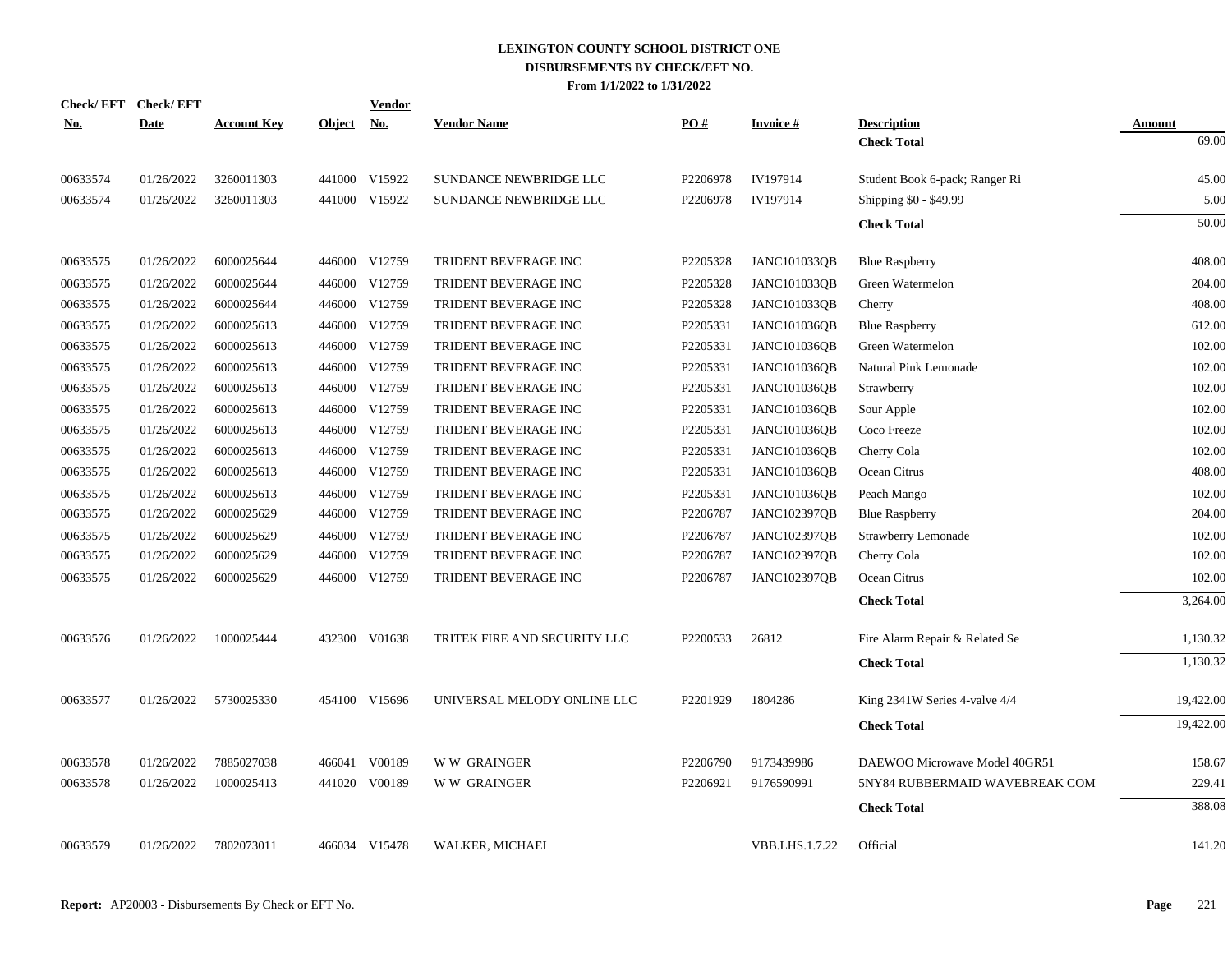| Check/EFT Check/EFT | Date       |                    |               | <b>Vendor</b> | <b>Vendor Name</b>           | PO#      | <b>Invoice#</b>     |                                          |                        |
|---------------------|------------|--------------------|---------------|---------------|------------------------------|----------|---------------------|------------------------------------------|------------------------|
| <b>No.</b>          |            | <b>Account Key</b> | <b>Object</b> | <u>No.</u>    |                              |          |                     | <b>Description</b><br><b>Check Total</b> | <b>Amount</b><br>69.00 |
|                     |            |                    |               |               |                              |          |                     |                                          |                        |
| 00633574            | 01/26/2022 | 3260011303         |               | 441000 V15922 | SUNDANCE NEWBRIDGE LLC       | P2206978 | IV197914            | Student Book 6-pack; Ranger Ri           | 45.00                  |
| 00633574            | 01/26/2022 | 3260011303         |               | 441000 V15922 | SUNDANCE NEWBRIDGE LLC       | P2206978 | IV197914            | Shipping \$0 - \$49.99                   | 5.00                   |
|                     |            |                    |               |               |                              |          |                     | <b>Check Total</b>                       | 50.00                  |
| 00633575            | 01/26/2022 | 6000025644         |               | 446000 V12759 | TRIDENT BEVERAGE INC         | P2205328 | <b>JANC101033QB</b> | <b>Blue Raspberry</b>                    | 408.00                 |
| 00633575            | 01/26/2022 | 6000025644         |               | 446000 V12759 | TRIDENT BEVERAGE INC         | P2205328 | JANC101033QB        | Green Watermelon                         | 204.00                 |
| 00633575            | 01/26/2022 | 6000025644         |               | 446000 V12759 | TRIDENT BEVERAGE INC         | P2205328 | JANC101033QB        | Cherry                                   | 408.00                 |
| 00633575            | 01/26/2022 | 6000025613         |               | 446000 V12759 | TRIDENT BEVERAGE INC         | P2205331 | JANC101036QB        | <b>Blue Raspberry</b>                    | 612.00                 |
| 00633575            | 01/26/2022 | 6000025613         |               | 446000 V12759 | TRIDENT BEVERAGE INC         | P2205331 | <b>JANC101036QB</b> | Green Watermelon                         | 102.00                 |
| 00633575            | 01/26/2022 | 6000025613         |               | 446000 V12759 | TRIDENT BEVERAGE INC         | P2205331 | <b>JANC101036QB</b> | Natural Pink Lemonade                    | 102.00                 |
| 00633575            | 01/26/2022 | 6000025613         |               | 446000 V12759 | TRIDENT BEVERAGE INC         | P2205331 | <b>JANC101036QB</b> | Strawberry                               | 102.00                 |
| 00633575            | 01/26/2022 | 6000025613         |               | 446000 V12759 | TRIDENT BEVERAGE INC         | P2205331 | <b>JANC101036QB</b> | Sour Apple                               | 102.00                 |
| 00633575            | 01/26/2022 | 6000025613         |               | 446000 V12759 | TRIDENT BEVERAGE INC         | P2205331 | <b>JANC101036QB</b> | Coco Freeze                              | 102.00                 |
| 00633575            | 01/26/2022 | 6000025613         |               | 446000 V12759 | TRIDENT BEVERAGE INC         | P2205331 | <b>JANC101036QB</b> | Cherry Cola                              | 102.00                 |
| 00633575            | 01/26/2022 | 6000025613         |               | 446000 V12759 | TRIDENT BEVERAGE INC         | P2205331 | <b>JANC101036QB</b> | Ocean Citrus                             | 408.00                 |
| 00633575            | 01/26/2022 | 6000025613         |               | 446000 V12759 | TRIDENT BEVERAGE INC         | P2205331 | <b>JANC101036QB</b> | Peach Mango                              | 102.00                 |
| 00633575            | 01/26/2022 | 6000025629         |               | 446000 V12759 | TRIDENT BEVERAGE INC         | P2206787 | JANC102397QB        | <b>Blue Raspberry</b>                    | 204.00                 |
| 00633575            | 01/26/2022 | 6000025629         |               | 446000 V12759 | TRIDENT BEVERAGE INC         | P2206787 | JANC102397QB        | Strawberry Lemonade                      | 102.00                 |
| 00633575            | 01/26/2022 | 6000025629         |               | 446000 V12759 | TRIDENT BEVERAGE INC         | P2206787 | JANC102397QB        | Cherry Cola                              | 102.00                 |
| 00633575            | 01/26/2022 | 6000025629         |               | 446000 V12759 | TRIDENT BEVERAGE INC         | P2206787 | <b>JANC102397QB</b> | Ocean Citrus                             | 102.00                 |
|                     |            |                    |               |               |                              |          |                     | <b>Check Total</b>                       | 3,264.00               |
| 00633576            | 01/26/2022 | 1000025444         |               | 432300 V01638 | TRITEK FIRE AND SECURITY LLC | P2200533 | 26812               | Fire Alarm Repair & Related Se           | 1,130.32               |
|                     |            |                    |               |               |                              |          |                     | <b>Check Total</b>                       | 1,130.32               |
|                     |            |                    |               |               |                              |          |                     |                                          |                        |
| 00633577            | 01/26/2022 | 5730025330         |               | 454100 V15696 | UNIVERSAL MELODY ONLINE LLC  | P2201929 | 1804286             | King 2341W Series 4-valve 4/4            | 19,422.00              |
|                     |            |                    |               |               |                              |          |                     | <b>Check Total</b>                       | 19,422.00              |
| 00633578            | 01/26/2022 | 7885027038         |               | 466041 V00189 | <b>WW GRAINGER</b>           | P2206790 | 9173439986          | DAEWOO Microwave Model 40GR51            | 158.67                 |
| 00633578            | 01/26/2022 | 1000025413         |               | 441020 V00189 | W W GRAINGER                 | P2206921 | 9176590991          | 5NY84 RUBBERMAID WAVEBREAK COM           | 229.41                 |
|                     |            |                    |               |               |                              |          |                     | <b>Check Total</b>                       | 388.08                 |
| 00633579            | 01/26/2022 | 7802073011         |               | 466034 V15478 | WALKER, MICHAEL              |          | VBB.LHS.1.7.22      | Official                                 | 141.20                 |
|                     |            |                    |               |               |                              |          |                     |                                          |                        |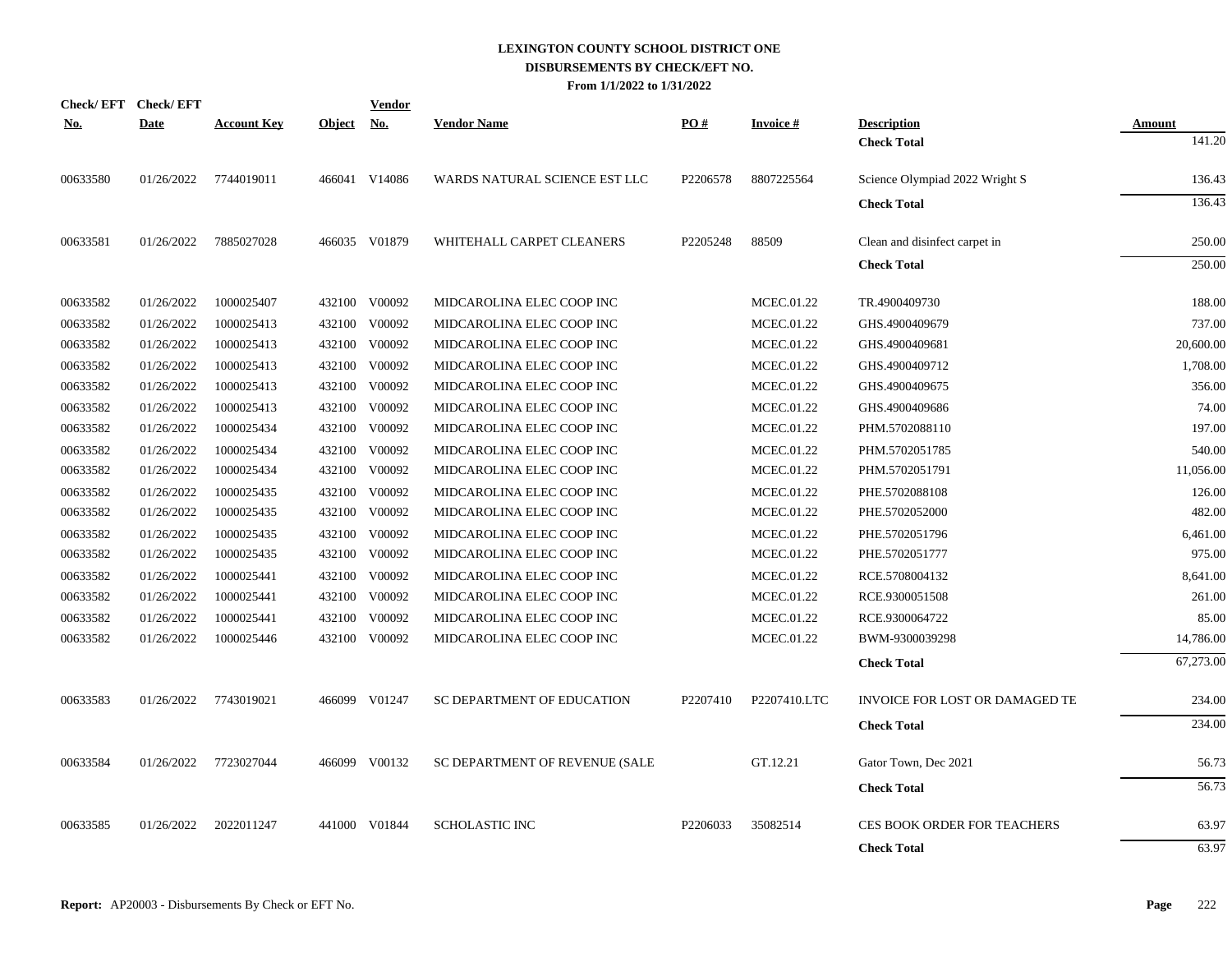|            | Check/EFT Check/EFT |                    |            | <b>Vendor</b> |                                |          |                 |                                    |               |
|------------|---------------------|--------------------|------------|---------------|--------------------------------|----------|-----------------|------------------------------------|---------------|
| <u>No.</u> | <b>Date</b>         | <b>Account Key</b> | Object No. |               | <b>Vendor Name</b>             | PO#      | <b>Invoice#</b> | <b>Description</b>                 | <b>Amount</b> |
|            |                     |                    |            |               |                                |          |                 | <b>Check Total</b>                 | 141.20        |
| 00633580   | 01/26/2022          | 7744019011         |            | 466041 V14086 | WARDS NATURAL SCIENCE EST LLC  | P2206578 | 8807225564      | Science Olympiad 2022 Wright S     | 136.43        |
|            |                     |                    |            |               |                                |          |                 | <b>Check Total</b>                 | 136.43        |
| 00633581   | 01/26/2022          | 7885027028         |            | 466035 V01879 | WHITEHALL CARPET CLEANERS      | P2205248 | 88509           | Clean and disinfect carpet in      | 250.00        |
|            |                     |                    |            |               |                                |          |                 | <b>Check Total</b>                 | 250.00        |
| 00633582   | 01/26/2022          | 1000025407         |            | 432100 V00092 | MIDCAROLINA ELEC COOP INC      |          | MCEC.01.22      | TR.4900409730                      | 188.00        |
| 00633582   | 01/26/2022          | 1000025413         | 432100     | V00092        | MIDCAROLINA ELEC COOP INC      |          | MCEC.01.22      | GHS.4900409679                     | 737.00        |
| 00633582   | 01/26/2022          | 1000025413         |            | 432100 V00092 | MIDCAROLINA ELEC COOP INC      |          | MCEC.01.22      | GHS.4900409681                     | 20,600.00     |
| 00633582   | 01/26/2022          | 1000025413         | 432100     | V00092        | MIDCAROLINA ELEC COOP INC      |          | MCEC.01.22      | GHS.4900409712                     | 1,708.00      |
| 00633582   | 01/26/2022          | 1000025413         | 432100     | V00092        | MIDCAROLINA ELEC COOP INC      |          | MCEC.01.22      | GHS.4900409675                     | 356.00        |
| 00633582   | 01/26/2022          | 1000025413         | 432100     | V00092        | MIDCAROLINA ELEC COOP INC      |          | MCEC.01.22      | GHS.4900409686                     | 74.00         |
| 00633582   | 01/26/2022          | 1000025434         | 432100     | V00092        | MIDCAROLINA ELEC COOP INC      |          | MCEC.01.22      | PHM.5702088110                     | 197.00        |
| 00633582   | 01/26/2022          | 1000025434         | 432100     | V00092        | MIDCAROLINA ELEC COOP INC      |          | MCEC.01.22      | PHM.5702051785                     | 540.00        |
| 00633582   | 01/26/2022          | 1000025434         | 432100     | V00092        | MIDCAROLINA ELEC COOP INC      |          | MCEC.01.22      | PHM.5702051791                     | 11,056.00     |
| 00633582   | 01/26/2022          | 1000025435         |            | 432100 V00092 | MIDCAROLINA ELEC COOP INC      |          | MCEC.01.22      | PHE.5702088108                     | 126.00        |
| 00633582   | 01/26/2022          | 1000025435         |            | 432100 V00092 | MIDCAROLINA ELEC COOP INC      |          | MCEC.01.22      | PHE.5702052000                     | 482.00        |
| 00633582   | 01/26/2022          | 1000025435         |            | 432100 V00092 | MIDCAROLINA ELEC COOP INC      |          | MCEC.01.22      | PHE.5702051796                     | 6,461.00      |
| 00633582   | 01/26/2022          | 1000025435         |            | 432100 V00092 | MIDCAROLINA ELEC COOP INC      |          | MCEC.01.22      | PHE.5702051777                     | 975.00        |
| 00633582   | 01/26/2022          | 1000025441         |            | 432100 V00092 | MIDCAROLINA ELEC COOP INC      |          | MCEC.01.22      | RCE.5708004132                     | 8,641.00      |
| 00633582   | 01/26/2022          | 1000025441         |            | 432100 V00092 | MIDCAROLINA ELEC COOP INC      |          | MCEC.01.22      | RCE.9300051508                     | 261.00        |
| 00633582   | 01/26/2022          | 1000025441         | 432100     | V00092        | MIDCAROLINA ELEC COOP INC      |          | MCEC.01.22      | RCE.9300064722                     | 85.00         |
| 00633582   | 01/26/2022          | 1000025446         |            | 432100 V00092 | MIDCAROLINA ELEC COOP INC      |          | MCEC.01.22      | BWM-9300039298                     | 14,786.00     |
|            |                     |                    |            |               |                                |          |                 | <b>Check Total</b>                 | 67,273.00     |
| 00633583   | 01/26/2022          | 7743019021         |            | 466099 V01247 | SC DEPARTMENT OF EDUCATION     | P2207410 | P2207410.LTC    | INVOICE FOR LOST OR DAMAGED TE     | 234.00        |
|            |                     |                    |            |               |                                |          |                 | <b>Check Total</b>                 | 234.00        |
| 00633584   | 01/26/2022          | 7723027044         |            | 466099 V00132 | SC DEPARTMENT OF REVENUE (SALE |          | GT.12.21        | Gator Town, Dec 2021               | 56.73         |
|            |                     |                    |            |               |                                |          |                 | <b>Check Total</b>                 | 56.73         |
|            |                     |                    |            |               |                                |          |                 |                                    |               |
| 00633585   | 01/26/2022          | 2022011247         | 441000     | V01844        | <b>SCHOLASTIC INC</b>          | P2206033 | 35082514        | <b>CES BOOK ORDER FOR TEACHERS</b> | 63.97         |
|            |                     |                    |            |               |                                |          |                 | <b>Check Total</b>                 | 63.97         |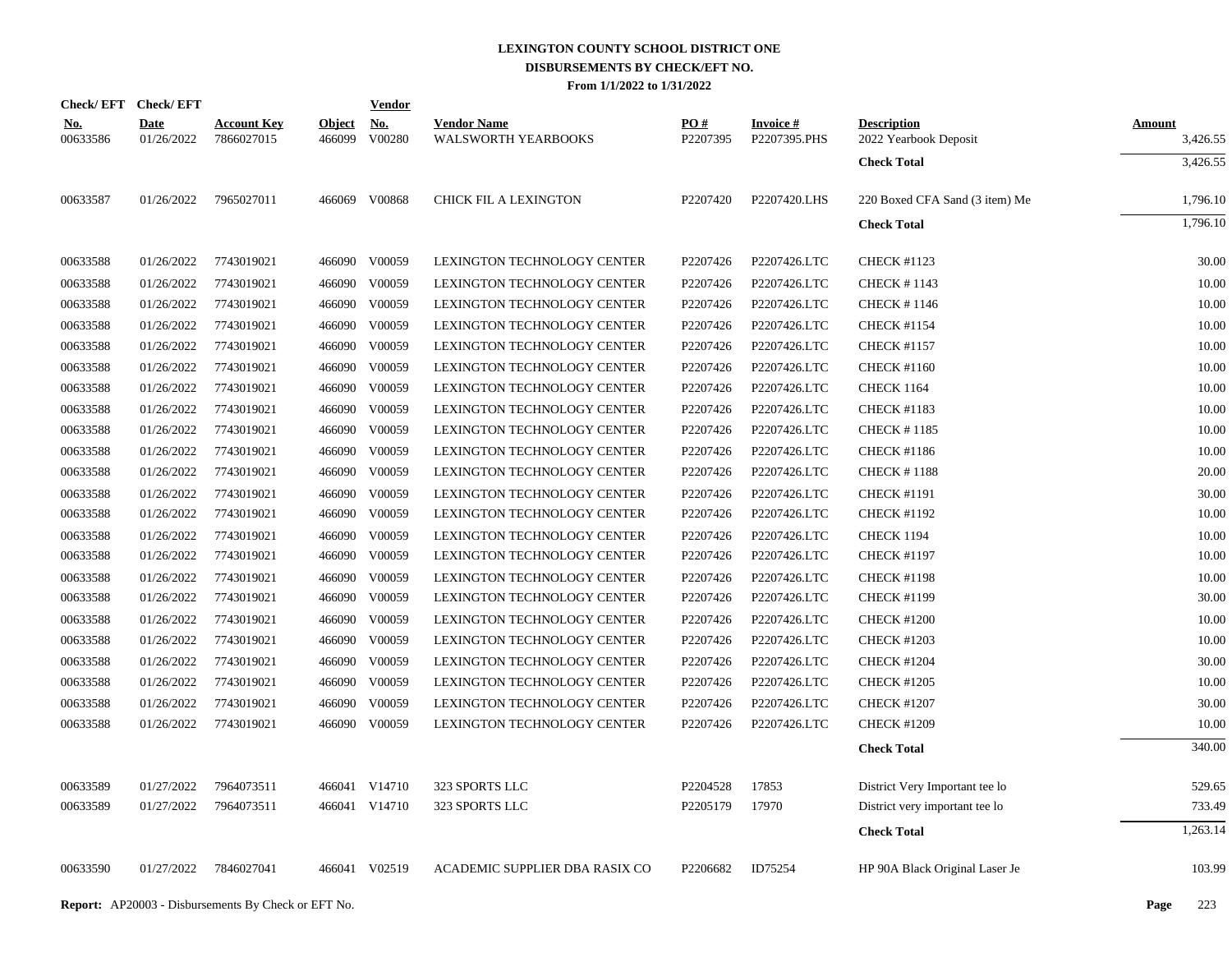| <b>Check/EFT</b>       | <b>Check/EFT</b>          |                                  |                         | <b>Vendor</b>        |                                                  |                 |                                 |                                             |                           |
|------------------------|---------------------------|----------------------------------|-------------------------|----------------------|--------------------------------------------------|-----------------|---------------------------------|---------------------------------------------|---------------------------|
| <u>No.</u><br>00633586 | <b>Date</b><br>01/26/2022 | <b>Account Key</b><br>7866027015 | <b>Object</b><br>466099 | <u>No.</u><br>V00280 | <b>Vendor Name</b><br><b>WALSWORTH YEARBOOKS</b> | PO#<br>P2207395 | <b>Invoice#</b><br>P2207395.PHS | <b>Description</b><br>2022 Yearbook Deposit | <b>Amount</b><br>3,426.55 |
|                        |                           |                                  |                         |                      |                                                  |                 |                                 | <b>Check Total</b>                          | 3,426.55                  |
| 00633587               | 01/26/2022                | 7965027011                       |                         | 466069 V00868        | CHICK FIL A LEXINGTON                            | P2207420        | P2207420.LHS                    | 220 Boxed CFA Sand (3 item) Me              | 1,796.10                  |
|                        |                           |                                  |                         |                      |                                                  |                 |                                 | <b>Check Total</b>                          | 1,796.10                  |
| 00633588               | 01/26/2022                | 7743019021                       |                         | 466090 V00059        | LEXINGTON TECHNOLOGY CENTER                      | P2207426        | P2207426.LTC                    | <b>CHECK #1123</b>                          | 30.00                     |
| 00633588               | 01/26/2022                | 7743019021                       |                         | 466090 V00059        | LEXINGTON TECHNOLOGY CENTER                      | P2207426        | P2207426.LTC                    | <b>CHECK #1143</b>                          | 10.00                     |
| 00633588               | 01/26/2022                | 7743019021                       |                         | 466090 V00059        | LEXINGTON TECHNOLOGY CENTER                      | P2207426        | P2207426.LTC                    | <b>CHECK #1146</b>                          | 10.00                     |
| 00633588               | 01/26/2022                | 7743019021                       |                         | 466090 V00059        | LEXINGTON TECHNOLOGY CENTER                      | P2207426        | P2207426.LTC                    | <b>CHECK #1154</b>                          | 10.00                     |
| 00633588               | 01/26/2022                | 7743019021                       |                         | 466090 V00059        | LEXINGTON TECHNOLOGY CENTER                      | P2207426        | P2207426.LTC                    | <b>CHECK #1157</b>                          | 10.00                     |
| 00633588               | 01/26/2022                | 7743019021                       |                         | 466090 V00059        | LEXINGTON TECHNOLOGY CENTER                      | P2207426        | P2207426.LTC                    | <b>CHECK #1160</b>                          | 10.00                     |
| 00633588               | 01/26/2022                | 7743019021                       |                         | 466090 V00059        | LEXINGTON TECHNOLOGY CENTER                      | P2207426        | P2207426.LTC                    | <b>CHECK 1164</b>                           | 10.00                     |
| 00633588               | 01/26/2022                | 7743019021                       |                         | 466090 V00059        | <b>LEXINGTON TECHNOLOGY CENTER</b>               | P2207426        | P2207426.LTC                    | <b>CHECK #1183</b>                          | 10.00                     |
| 00633588               | 01/26/2022                | 7743019021                       |                         | 466090 V00059        | LEXINGTON TECHNOLOGY CENTER                      | P2207426        | P2207426.LTC                    | <b>CHECK #1185</b>                          | 10.00                     |
| 00633588               | 01/26/2022                | 7743019021                       |                         | 466090 V00059        | LEXINGTON TECHNOLOGY CENTER                      | P2207426        | P2207426.LTC                    | <b>CHECK #1186</b>                          | 10.00                     |
| 00633588               | 01/26/2022                | 7743019021                       |                         | 466090 V00059        | <b>LEXINGTON TECHNOLOGY CENTER</b>               | P2207426        | P2207426.LTC                    | <b>CHECK #1188</b>                          | 20.00                     |
| 00633588               | 01/26/2022                | 7743019021                       |                         | 466090 V00059        | LEXINGTON TECHNOLOGY CENTER                      | P2207426        | P2207426.LTC                    | <b>CHECK #1191</b>                          | 30.00                     |
| 00633588               | 01/26/2022                | 7743019021                       |                         | 466090 V00059        | LEXINGTON TECHNOLOGY CENTER                      | P2207426        | P2207426.LTC                    | <b>CHECK #1192</b>                          | 10.00                     |
| 00633588               | 01/26/2022                | 7743019021                       |                         | 466090 V00059        | LEXINGTON TECHNOLOGY CENTER                      | P2207426        | P2207426.LTC                    | <b>CHECK 1194</b>                           | 10.00                     |
| 00633588               | 01/26/2022                | 7743019021                       |                         | 466090 V00059        | LEXINGTON TECHNOLOGY CENTER                      | P2207426        | P2207426.LTC                    | <b>CHECK #1197</b>                          | 10.00                     |
| 00633588               | 01/26/2022                | 7743019021                       |                         | 466090 V00059        | <b>LEXINGTON TECHNOLOGY CENTER</b>               | P2207426        | P2207426.LTC                    | <b>CHECK #1198</b>                          | 10.00                     |
| 00633588               | 01/26/2022                | 7743019021                       |                         | 466090 V00059        | LEXINGTON TECHNOLOGY CENTER                      | P2207426        | P2207426.LTC                    | <b>CHECK #1199</b>                          | 30.00                     |
| 00633588               | 01/26/2022                | 7743019021                       |                         | 466090 V00059        | LEXINGTON TECHNOLOGY CENTER                      | P2207426        | P2207426.LTC                    | <b>CHECK #1200</b>                          | 10.00                     |
| 00633588               | 01/26/2022                | 7743019021                       |                         | 466090 V00059        | LEXINGTON TECHNOLOGY CENTER                      | P2207426        | P2207426.LTC                    | <b>CHECK #1203</b>                          | 10.00                     |
| 00633588               | 01/26/2022                | 7743019021                       |                         | 466090 V00059        | LEXINGTON TECHNOLOGY CENTER                      | P2207426        | P2207426.LTC                    | <b>CHECK #1204</b>                          | 30.00                     |
| 00633588               | 01/26/2022                | 7743019021                       |                         | 466090 V00059        | LEXINGTON TECHNOLOGY CENTER                      | P2207426        | P2207426.LTC                    | <b>CHECK #1205</b>                          | 10.00                     |
| 00633588               | 01/26/2022                | 7743019021                       | 466090                  | V00059               | LEXINGTON TECHNOLOGY CENTER                      | P2207426        | P2207426.LTC                    | <b>CHECK #1207</b>                          | 30.00                     |
| 00633588               | 01/26/2022                | 7743019021                       |                         | 466090 V00059        | LEXINGTON TECHNOLOGY CENTER                      | P2207426        | P2207426.LTC                    | <b>CHECK #1209</b>                          | 10.00                     |
|                        |                           |                                  |                         |                      |                                                  |                 |                                 | <b>Check Total</b>                          | 340.00                    |
| 00633589               | 01/27/2022                | 7964073511                       |                         | 466041 V14710        | 323 SPORTS LLC                                   | P2204528        | 17853                           | District Very Important tee lo              | 529.65                    |
| 00633589               | 01/27/2022                | 7964073511                       |                         | 466041 V14710        | 323 SPORTS LLC                                   | P2205179        | 17970                           | District very important tee lo              | 733.49                    |
|                        |                           |                                  |                         |                      |                                                  |                 |                                 | <b>Check Total</b>                          | 1,263.14                  |
| 00633590               | 01/27/2022                | 7846027041                       |                         | 466041 V02519        | ACADEMIC SUPPLIER DBA RASIX CO                   | P2206682        | ID75254                         | HP 90A Black Original Laser Je              | 103.99                    |
|                        |                           |                                  |                         |                      |                                                  |                 |                                 |                                             |                           |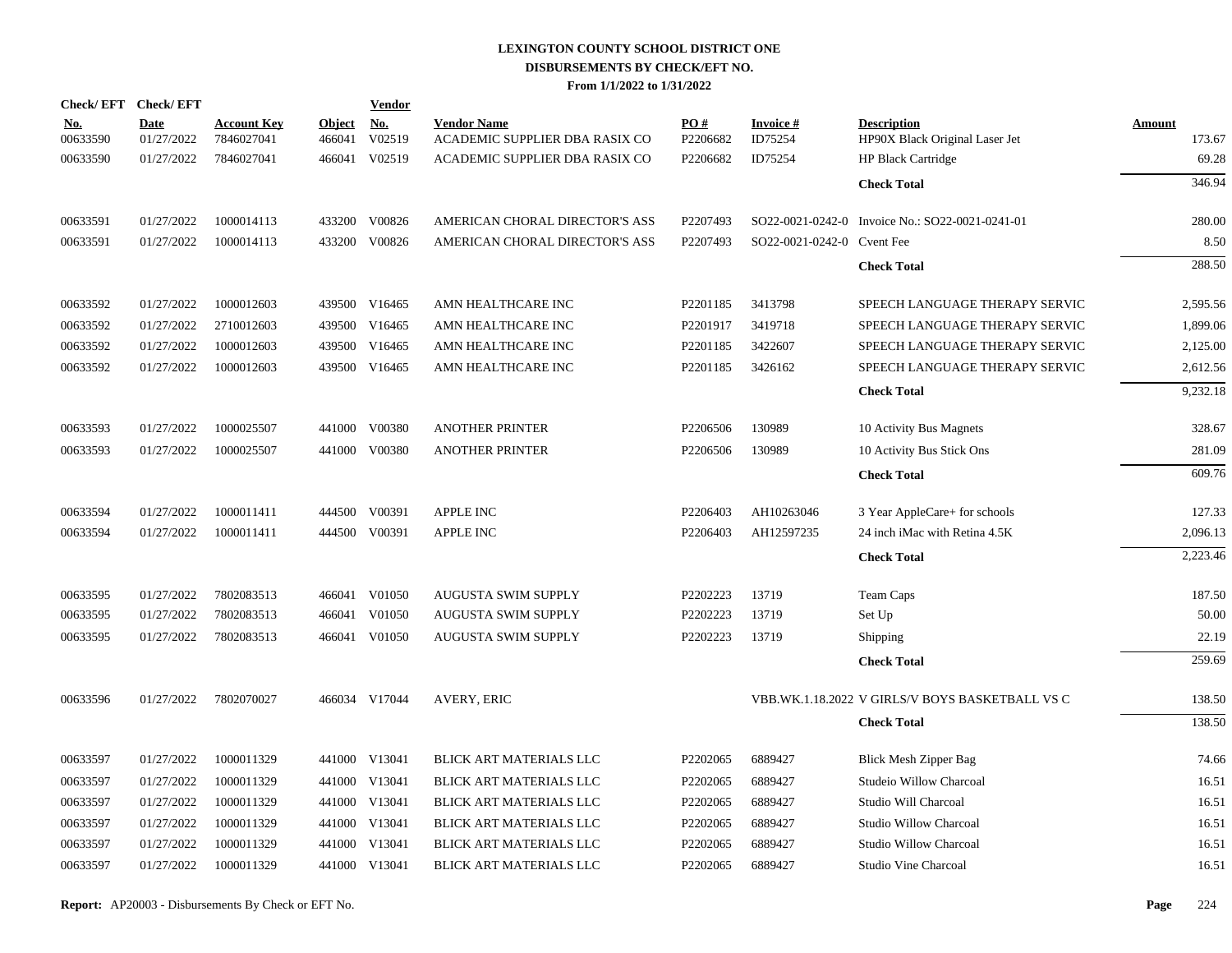| <b>Check/EFT</b>       | <b>Check/EFT</b>          |                                  |                         | <b>Vendor</b>        |                                                      |                 |                            |                                                      |                         |
|------------------------|---------------------------|----------------------------------|-------------------------|----------------------|------------------------------------------------------|-----------------|----------------------------|------------------------------------------------------|-------------------------|
| <u>No.</u><br>00633590 | <b>Date</b><br>01/27/2022 | <b>Account Key</b><br>7846027041 | <b>Object</b><br>466041 | <u>No.</u><br>V02519 | <b>Vendor Name</b><br>ACADEMIC SUPPLIER DBA RASIX CO | PO#<br>P2206682 | <b>Invoice#</b><br>ID75254 | <b>Description</b><br>HP90X Black Original Laser Jet | <b>Amount</b><br>173.67 |
| 00633590               | 01/27/2022                | 7846027041                       | 466041                  | V02519               | ACADEMIC SUPPLIER DBA RASIX CO                       | P2206682        | ID75254                    | <b>HP Black Cartridge</b>                            | 69.28                   |
|                        |                           |                                  |                         |                      |                                                      |                 |                            | <b>Check Total</b>                                   | 346.94                  |
| 00633591               | 01/27/2022                | 1000014113                       | 433200                  | V00826               | AMERICAN CHORAL DIRECTOR'S ASS                       | P2207493        |                            | SO22-0021-0242-0 Invoice No.: SO22-0021-0241-01      | 280.00                  |
| 00633591               | 01/27/2022                | 1000014113                       | 433200                  | V00826               | AMERICAN CHORAL DIRECTOR'S ASS                       | P2207493        | SO22-0021-0242-0 Cvent Fee |                                                      | 8.50                    |
|                        |                           |                                  |                         |                      |                                                      |                 |                            | <b>Check Total</b>                                   | 288.50                  |
| 00633592               | 01/27/2022                | 1000012603                       |                         | 439500 V16465        | AMN HEALTHCARE INC                                   | P2201185        | 3413798                    | SPEECH LANGUAGE THERAPY SERVIC                       | 2,595.56                |
| 00633592               | 01/27/2022                | 2710012603                       | 439500                  | V16465               | AMN HEALTHCARE INC                                   | P2201917        | 3419718                    | SPEECH LANGUAGE THERAPY SERVIC                       | 1,899.06                |
| 00633592               | 01/27/2022                | 1000012603                       |                         | 439500 V16465        | AMN HEALTHCARE INC                                   | P2201185        | 3422607                    | SPEECH LANGUAGE THERAPY SERVIC                       | 2,125.00                |
| 00633592               | 01/27/2022                | 1000012603                       |                         | 439500 V16465        | AMN HEALTHCARE INC                                   | P2201185        | 3426162                    | SPEECH LANGUAGE THERAPY SERVIC                       | 2,612.56                |
|                        |                           |                                  |                         |                      |                                                      |                 |                            | <b>Check Total</b>                                   | 9,232.18                |
| 00633593               | 01/27/2022                | 1000025507                       |                         | 441000 V00380        | <b>ANOTHER PRINTER</b>                               | P2206506        | 130989                     | 10 Activity Bus Magnets                              | 328.67                  |
| 00633593               | 01/27/2022                | 1000025507                       | 441000                  | V00380               | <b>ANOTHER PRINTER</b>                               | P2206506        | 130989                     | 10 Activity Bus Stick Ons                            | 281.09                  |
|                        |                           |                                  |                         |                      |                                                      |                 |                            | <b>Check Total</b>                                   | 609.76                  |
| 00633594               | 01/27/2022                | 1000011411                       |                         | 444500 V00391        | <b>APPLE INC</b>                                     | P2206403        | AH10263046                 | 3 Year AppleCare+ for schools                        | 127.33                  |
| 00633594               | 01/27/2022                | 1000011411                       |                         | 444500 V00391        | <b>APPLE INC</b>                                     | P2206403        | AH12597235                 | 24 inch iMac with Retina 4.5K                        | 2,096.13                |
|                        |                           |                                  |                         |                      |                                                      |                 |                            | <b>Check Total</b>                                   | 2,223.46                |
| 00633595               | 01/27/2022                | 7802083513                       |                         | 466041 V01050        | AUGUSTA SWIM SUPPLY                                  | P2202223        | 13719                      | Team Caps                                            | 187.50                  |
| 00633595               | 01/27/2022                | 7802083513                       | 466041                  | V01050               | AUGUSTA SWIM SUPPLY                                  | P2202223        | 13719                      | Set Up                                               | 50.00                   |
| 00633595               | 01/27/2022                | 7802083513                       |                         | 466041 V01050        | <b>AUGUSTA SWIM SUPPLY</b>                           | P2202223        | 13719                      | Shipping                                             | 22.19                   |
|                        |                           |                                  |                         |                      |                                                      |                 |                            | <b>Check Total</b>                                   | 259.69                  |
| 00633596               | 01/27/2022                | 7802070027                       |                         | 466034 V17044        | AVERY, ERIC                                          |                 |                            | VBB.WK.1.18.2022 V GIRLS/V BOYS BASKETBALL VS C      | 138.50                  |
|                        |                           |                                  |                         |                      |                                                      |                 |                            | <b>Check Total</b>                                   | 138.50                  |
| 00633597               | 01/27/2022                | 1000011329                       |                         | 441000 V13041        | BLICK ART MATERIALS LLC                              | P2202065        | 6889427                    | <b>Blick Mesh Zipper Bag</b>                         | 74.66                   |
| 00633597               | 01/27/2022                | 1000011329                       | 441000                  | V13041               | BLICK ART MATERIALS LLC                              | P2202065        | 6889427                    | Studeio Willow Charcoal                              | 16.51                   |
| 00633597               | 01/27/2022                | 1000011329                       |                         | 441000 V13041        | <b>BLICK ART MATERIALS LLC</b>                       | P2202065        | 6889427                    | Studio Will Charcoal                                 | 16.51                   |
| 00633597               | 01/27/2022                | 1000011329                       | 441000                  | V13041               | BLICK ART MATERIALS LLC                              | P2202065        | 6889427                    | <b>Studio Willow Charcoal</b>                        | 16.51                   |
| 00633597               | 01/27/2022                | 1000011329                       |                         | 441000 V13041        | BLICK ART MATERIALS LLC                              | P2202065        | 6889427                    | <b>Studio Willow Charcoal</b>                        | 16.51                   |
| 00633597               | 01/27/2022                | 1000011329                       |                         | 441000 V13041        | <b>BLICK ART MATERIALS LLC</b>                       | P2202065        | 6889427                    | Studio Vine Charcoal                                 | 16.51                   |
|                        |                           |                                  |                         |                      |                                                      |                 |                            |                                                      |                         |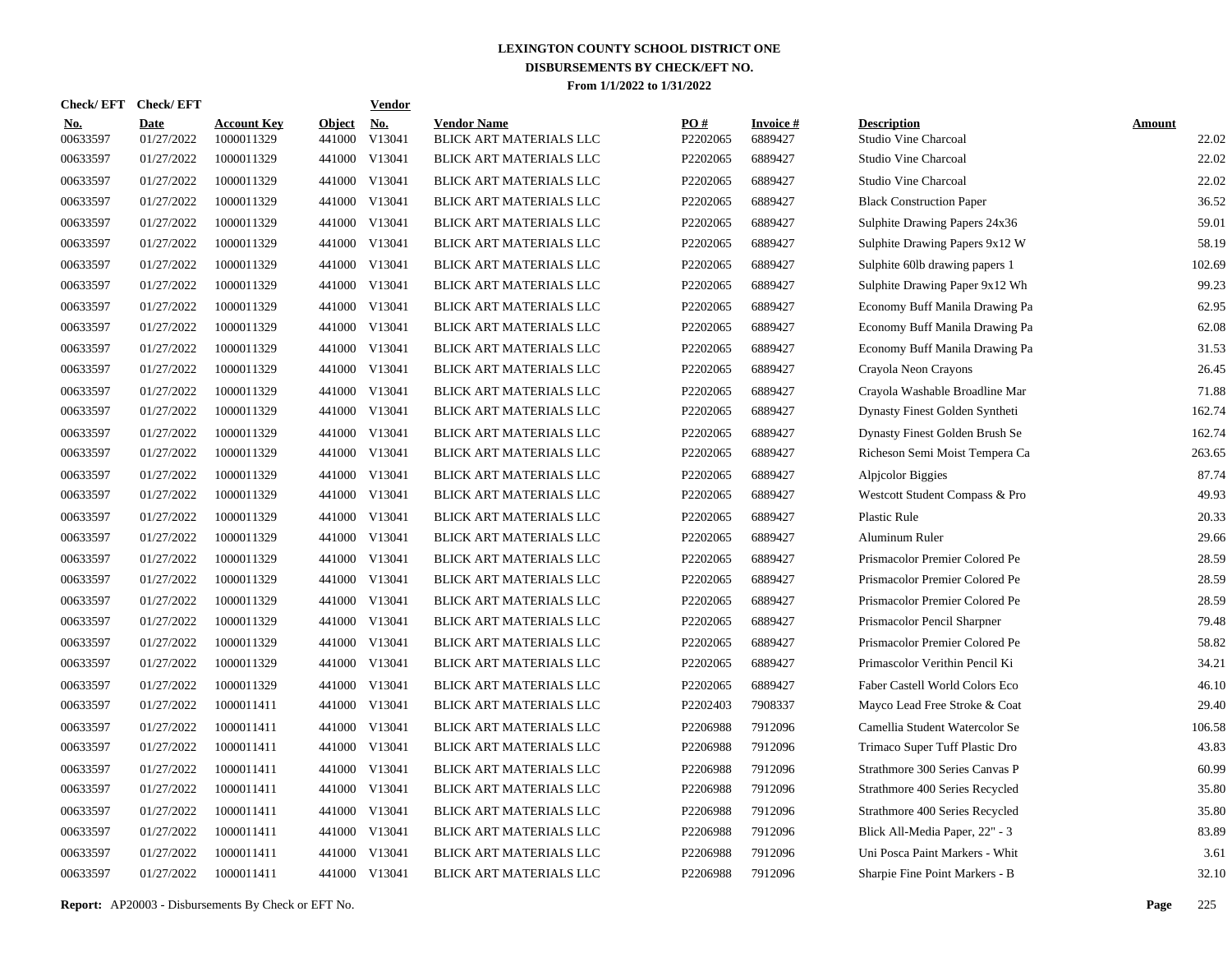| Check/EFT Check/EFT    |                           |                                  |                         | <b>Vendor</b>        |                                               |                 |                            |                                            |                        |
|------------------------|---------------------------|----------------------------------|-------------------------|----------------------|-----------------------------------------------|-----------------|----------------------------|--------------------------------------------|------------------------|
| <u>No.</u><br>00633597 | <b>Date</b><br>01/27/2022 | <b>Account Key</b><br>1000011329 | <b>Object</b><br>441000 | <u>No.</u><br>V13041 | <b>Vendor Name</b><br>BLICK ART MATERIALS LLC | PQ#<br>P2202065 | <b>Invoice#</b><br>6889427 | <b>Description</b><br>Studio Vine Charcoal | <b>Amount</b><br>22.02 |
| 00633597               | 01/27/2022                | 1000011329                       | 441000                  | V13041               | BLICK ART MATERIALS LLC                       | P2202065        | 6889427                    | <b>Studio Vine Charcoal</b>                | 22.02                  |
| 00633597               | 01/27/2022                | 1000011329                       | 441000                  | V13041               | BLICK ART MATERIALS LLC                       | P2202065        | 6889427                    | <b>Studio Vine Charcoal</b>                | 22.02                  |
| 00633597               | 01/27/2022                | 1000011329                       |                         | 441000 V13041        | BLICK ART MATERIALS LLC                       | P2202065        | 6889427                    | <b>Black Construction Paper</b>            | 36.52                  |
| 00633597               | 01/27/2022                | 1000011329                       | 441000                  | V13041               | BLICK ART MATERIALS LLC                       | P2202065        | 6889427                    | Sulphite Drawing Papers 24x36              | 59.01                  |
| 00633597               | 01/27/2022                | 1000011329                       |                         | 441000 V13041        | BLICK ART MATERIALS LLC                       | P2202065        | 6889427                    | Sulphite Drawing Papers 9x12 W             | 58.19                  |
| 00633597               | 01/27/2022                | 1000011329                       |                         | 441000 V13041        | <b>BLICK ART MATERIALS LLC</b>                | P2202065        | 6889427                    | Sulphite 60lb drawing papers 1             | 102.69                 |
| 00633597               | 01/27/2022                | 1000011329                       |                         | 441000 V13041        | BLICK ART MATERIALS LLC                       | P2202065        | 6889427                    | Sulphite Drawing Paper 9x12 Wh             | 99.23                  |
| 00633597               | 01/27/2022                | 1000011329                       |                         | 441000 V13041        | BLICK ART MATERIALS LLC                       | P2202065        | 6889427                    | Economy Buff Manila Drawing Pa             | 62.95                  |
| 00633597               | 01/27/2022                | 1000011329                       |                         | 441000 V13041        | BLICK ART MATERIALS LLC                       | P2202065        | 6889427                    | Economy Buff Manila Drawing Pa             | 62.08                  |
| 00633597               | 01/27/2022                | 1000011329                       |                         | 441000 V13041        | BLICK ART MATERIALS LLC                       | P2202065        | 6889427                    | Economy Buff Manila Drawing Pa             | 31.53                  |
| 00633597               | 01/27/2022                | 1000011329                       |                         | 441000 V13041        | BLICK ART MATERIALS LLC                       | P2202065        | 6889427                    | Crayola Neon Crayons                       | 26.45                  |
| 00633597               | 01/27/2022                | 1000011329                       |                         | 441000 V13041        | BLICK ART MATERIALS LLC                       | P2202065        | 6889427                    | Crayola Washable Broadline Mar             | 71.88                  |
| 00633597               | 01/27/2022                | 1000011329                       |                         | 441000 V13041        | BLICK ART MATERIALS LLC                       | P2202065        | 6889427                    | Dynasty Finest Golden Syntheti             | 162.74                 |
| 00633597               | 01/27/2022                | 1000011329                       |                         | 441000 V13041        | BLICK ART MATERIALS LLC                       | P2202065        | 6889427                    | Dynasty Finest Golden Brush Se             | 162.74                 |
| 00633597               | 01/27/2022                | 1000011329                       |                         | 441000 V13041        | BLICK ART MATERIALS LLC                       | P2202065        | 6889427                    | Richeson Semi Moist Tempera Ca             | 263.65                 |
| 00633597               | 01/27/2022                | 1000011329                       |                         | 441000 V13041        | BLICK ART MATERIALS LLC                       | P2202065        | 6889427                    | Alpjcolor Biggies                          | 87.74                  |
| 00633597               | 01/27/2022                | 1000011329                       |                         | 441000 V13041        | BLICK ART MATERIALS LLC                       | P2202065        | 6889427                    | Westcott Student Compass & Pro             | 49.93                  |
| 00633597               | 01/27/2022                | 1000011329                       |                         | 441000 V13041        | BLICK ART MATERIALS LLC                       | P2202065        | 6889427                    | <b>Plastic Rule</b>                        | 20.33                  |
| 00633597               | 01/27/2022                | 1000011329                       |                         | 441000 V13041        | <b>BLICK ART MATERIALS LLC</b>                | P2202065        | 6889427                    | Aluminum Ruler                             | 29.66                  |
| 00633597               | 01/27/2022                | 1000011329                       |                         | 441000 V13041        | <b>BLICK ART MATERIALS LLC</b>                | P2202065        | 6889427                    | Prismacolor Premier Colored Pe             | 28.59                  |
| 00633597               | 01/27/2022                | 1000011329                       |                         | 441000 V13041        | BLICK ART MATERIALS LLC                       | P2202065        | 6889427                    | Prismacolor Premier Colored Pe             | 28.59                  |
| 00633597               | 01/27/2022                | 1000011329                       |                         | 441000 V13041        | BLICK ART MATERIALS LLC                       | P2202065        | 6889427                    | Prismacolor Premier Colored Pe             | 28.59                  |
| 00633597               | 01/27/2022                | 1000011329                       |                         | 441000 V13041        | BLICK ART MATERIALS LLC                       | P2202065        | 6889427                    | Prismacolor Pencil Sharpner                | 79.48                  |
| 00633597               | 01/27/2022                | 1000011329                       |                         | 441000 V13041        | BLICK ART MATERIALS LLC                       | P2202065        | 6889427                    | Prismacolor Premier Colored Pe             | 58.82                  |
| 00633597               | 01/27/2022                | 1000011329                       |                         | 441000 V13041        | BLICK ART MATERIALS LLC                       | P2202065        | 6889427                    | Primascolor Verithin Pencil Ki             | 34.21                  |
| 00633597               | 01/27/2022                | 1000011329                       |                         | 441000 V13041        | BLICK ART MATERIALS LLC                       | P2202065        | 6889427                    | Faber Castell World Colors Eco             | 46.10                  |
| 00633597               | 01/27/2022                | 1000011411                       |                         | 441000 V13041        | BLICK ART MATERIALS LLC                       | P2202403        | 7908337                    | Mayco Lead Free Stroke & Coat              | 29.40                  |
| 00633597               | 01/27/2022                | 1000011411                       | 441000                  | V13041               | BLICK ART MATERIALS LLC                       | P2206988        | 7912096                    | Camellia Student Watercolor Se             | 106.58                 |
| 00633597               | 01/27/2022                | 1000011411                       |                         | 441000 V13041        | BLICK ART MATERIALS LLC                       | P2206988        | 7912096                    | Trimaco Super Tuff Plastic Dro             | 43.83                  |
| 00633597               | 01/27/2022                | 1000011411                       | 441000                  | V13041               | BLICK ART MATERIALS LLC                       | P2206988        | 7912096                    | Strathmore 300 Series Canvas P             | 60.99                  |
| 00633597               | 01/27/2022                | 1000011411                       |                         | 441000 V13041        | BLICK ART MATERIALS LLC                       | P2206988        | 7912096                    | Strathmore 400 Series Recycled             | 35.80                  |
| 00633597               | 01/27/2022                | 1000011411                       | 441000                  | V13041               | BLICK ART MATERIALS LLC                       | P2206988        | 7912096                    | Strathmore 400 Series Recycled             | 35.80                  |
| 00633597               | 01/27/2022                | 1000011411                       |                         | 441000 V13041        | BLICK ART MATERIALS LLC                       | P2206988        | 7912096                    | Blick All-Media Paper, 22" - 3             | 83.89                  |
| 00633597               | 01/27/2022                | 1000011411                       | 441000                  | V13041               | <b>BLICK ART MATERIALS LLC</b>                | P2206988        | 7912096                    | Uni Posca Paint Markers - Whit             | 3.61                   |
| 00633597               | 01/27/2022                | 1000011411                       |                         | 441000 V13041        | BLICK ART MATERIALS LLC                       | P2206988        | 7912096                    | Sharpie Fine Point Markers - B             | 32.10                  |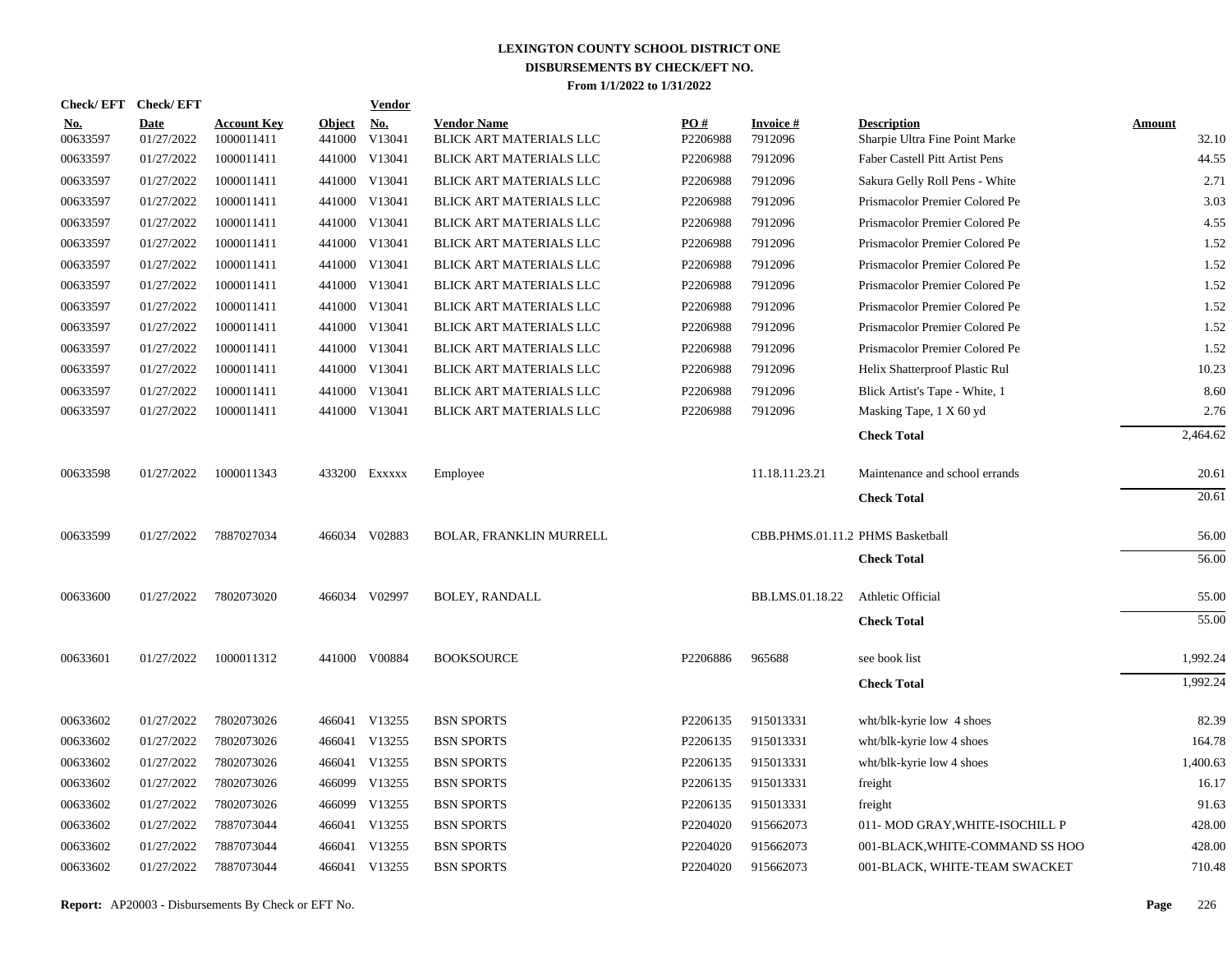| <b>Check/EFT</b>       | <b>Check/EFT</b>          |                                  |                         | <b>Vendor</b>        |                                               |                 |                                  |                                                      |                        |
|------------------------|---------------------------|----------------------------------|-------------------------|----------------------|-----------------------------------------------|-----------------|----------------------------------|------------------------------------------------------|------------------------|
| <u>No.</u><br>00633597 | <b>Date</b><br>01/27/2022 | <b>Account Key</b><br>1000011411 | <b>Object</b><br>441000 | <u>No.</u><br>V13041 | <b>Vendor Name</b><br>BLICK ART MATERIALS LLC | PO#<br>P2206988 | <b>Invoice#</b><br>7912096       | <b>Description</b><br>Sharpie Ultra Fine Point Marke | <b>Amount</b><br>32.10 |
| 00633597               | 01/27/2022                | 1000011411                       |                         | 441000 V13041        | <b>BLICK ART MATERIALS LLC</b>                | P2206988        | 7912096                          | Faber Castell Pitt Artist Pens                       | 44.55                  |
| 00633597               | 01/27/2022                | 1000011411                       | 441000                  | V13041               | BLICK ART MATERIALS LLC                       | P2206988        | 7912096                          | Sakura Gelly Roll Pens - White                       | 2.71                   |
| 00633597               | 01/27/2022                | 1000011411                       |                         | 441000 V13041        | BLICK ART MATERIALS LLC                       | P2206988        | 7912096                          | Prismacolor Premier Colored Pe                       | 3.03                   |
| 00633597               | 01/27/2022                | 1000011411                       |                         | 441000 V13041        | BLICK ART MATERIALS LLC                       | P2206988        | 7912096                          | Prismacolor Premier Colored Pe                       | 4.55                   |
| 00633597               | 01/27/2022                | 1000011411                       |                         | 441000 V13041        | BLICK ART MATERIALS LLC                       | P2206988        | 7912096                          | Prismacolor Premier Colored Pe                       | 1.52                   |
| 00633597               | 01/27/2022                | 1000011411                       |                         | 441000 V13041        | BLICK ART MATERIALS LLC                       | P2206988        | 7912096                          | Prismacolor Premier Colored Pe                       | 1.52                   |
| 00633597               | 01/27/2022                | 1000011411                       |                         | 441000 V13041        | BLICK ART MATERIALS LLC                       | P2206988        | 7912096                          | Prismacolor Premier Colored Pe                       | 1.52                   |
| 00633597               | 01/27/2022                | 1000011411                       |                         | 441000 V13041        | BLICK ART MATERIALS LLC                       | P2206988        | 7912096                          | Prismacolor Premier Colored Pe                       | 1.52                   |
| 00633597               | 01/27/2022                | 1000011411                       |                         | 441000 V13041        | BLICK ART MATERIALS LLC                       | P2206988        | 7912096                          | Prismacolor Premier Colored Pe                       | 1.52                   |
| 00633597               | 01/27/2022                | 1000011411                       |                         | 441000 V13041        | BLICK ART MATERIALS LLC                       | P2206988        | 7912096                          | Prismacolor Premier Colored Pe                       | 1.52                   |
| 00633597               | 01/27/2022                | 1000011411                       |                         | 441000 V13041        | <b>BLICK ART MATERIALS LLC</b>                | P2206988        | 7912096                          | Helix Shatterproof Plastic Rul                       | 10.23                  |
| 00633597               | 01/27/2022                | 1000011411                       | 441000                  | V13041               | <b>BLICK ART MATERIALS LLC</b>                | P2206988        | 7912096                          | Blick Artist's Tape - White, 1                       | 8.60                   |
| 00633597               | 01/27/2022                | 1000011411                       |                         | 441000 V13041        | BLICK ART MATERIALS LLC                       | P2206988        | 7912096                          | Masking Tape, 1 X 60 yd                              | 2.76                   |
|                        |                           |                                  |                         |                      |                                               |                 |                                  | <b>Check Total</b>                                   | 2,464.62               |
| 00633598               | 01/27/2022                | 1000011343                       |                         | 433200 Exxxxx        | Employee                                      |                 | 11.18.11.23.21                   | Maintenance and school errands                       | 20.61                  |
|                        |                           |                                  |                         |                      |                                               |                 |                                  | <b>Check Total</b>                                   | 20.61                  |
| 00633599               | 01/27/2022                | 7887027034                       |                         | 466034 V02883        | <b>BOLAR, FRANKLIN MURRELL</b>                |                 | CBB.PHMS.01.11.2 PHMS Basketball |                                                      | 56.00                  |
|                        |                           |                                  |                         |                      |                                               |                 |                                  | <b>Check Total</b>                                   | 56.00                  |
| 00633600               | 01/27/2022                | 7802073020                       |                         | 466034 V02997        | <b>BOLEY, RANDALL</b>                         |                 | BB.LMS.01.18.22                  | Athletic Official                                    | 55.00                  |
|                        |                           |                                  |                         |                      |                                               |                 |                                  | <b>Check Total</b>                                   | 55.00                  |
| 00633601               | 01/27/2022                | 1000011312                       |                         | 441000 V00884        | <b>BOOKSOURCE</b>                             | P2206886        | 965688                           | see book list                                        | 1,992.24               |
|                        |                           |                                  |                         |                      |                                               |                 |                                  | <b>Check Total</b>                                   | 1,992.24               |
| 00633602               | 01/27/2022                | 7802073026                       |                         | 466041 V13255        | <b>BSN SPORTS</b>                             | P2206135        | 915013331                        | wht/blk-kyrie low 4 shoes                            | 82.39                  |
| 00633602               | 01/27/2022                | 7802073026                       |                         | 466041 V13255        | <b>BSN SPORTS</b>                             | P2206135        | 915013331                        | wht/blk-kyrie low 4 shoes                            | 164.78                 |
| 00633602               | 01/27/2022                | 7802073026                       |                         | 466041 V13255        | <b>BSN SPORTS</b>                             | P2206135        | 915013331                        | wht/blk-kyrie low 4 shoes                            | 1,400.63               |
| 00633602               | 01/27/2022                | 7802073026                       |                         | 466099 V13255        | <b>BSN SPORTS</b>                             | P2206135        | 915013331                        | freight                                              | 16.17                  |
| 00633602               | 01/27/2022                | 7802073026                       | 466099                  | V13255               | <b>BSN SPORTS</b>                             | P2206135        | 915013331                        | freight                                              | 91.63                  |
| 00633602               | 01/27/2022                | 7887073044                       |                         | 466041 V13255        | <b>BSN SPORTS</b>                             | P2204020        | 915662073                        | 011- MOD GRAY, WHITE-ISOCHILL P                      | 428.00                 |
| 00633602               | 01/27/2022                | 7887073044                       | 466041                  | V13255               | <b>BSN SPORTS</b>                             | P2204020        | 915662073                        | 001-BLACK, WHITE-COMMAND SS HOO                      | 428.00                 |
| 00633602               | 01/27/2022                | 7887073044                       |                         | 466041 V13255        | <b>BSN SPORTS</b>                             | P2204020        | 915662073                        | 001-BLACK, WHITE-TEAM SWACKET                        | 710.48                 |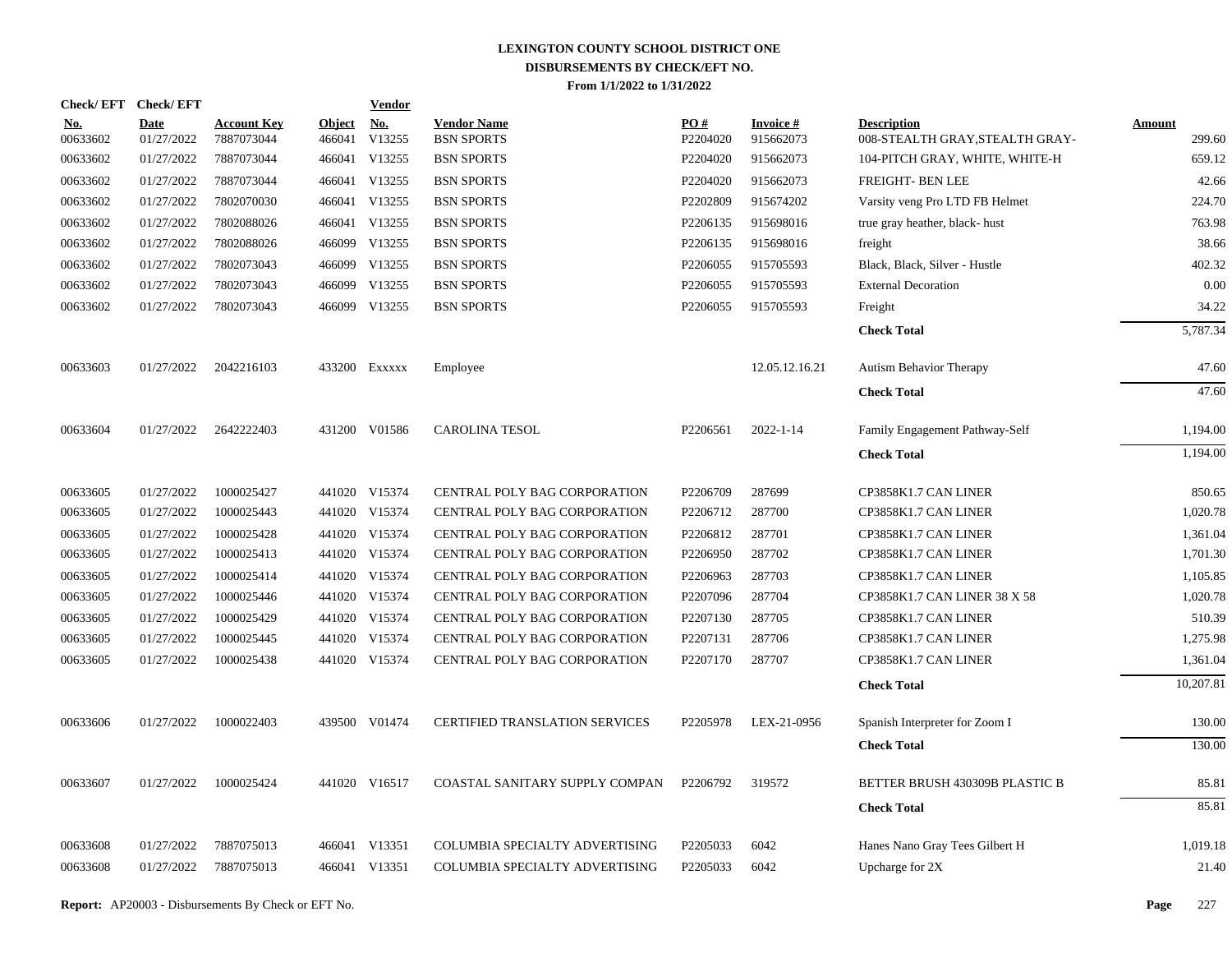| <b>Check/EFT</b>       | <b>Check/EFT</b>          |                                  |                         | <b>Vendor</b> |                                         |                 |                              |                                                       |                         |
|------------------------|---------------------------|----------------------------------|-------------------------|---------------|-----------------------------------------|-----------------|------------------------------|-------------------------------------------------------|-------------------------|
| <u>No.</u><br>00633602 | <b>Date</b><br>01/27/2022 | <b>Account Key</b><br>7887073044 | <b>Object</b><br>466041 | No.<br>V13255 | <b>Vendor Name</b><br><b>BSN SPORTS</b> | PO#<br>P2204020 | <b>Invoice#</b><br>915662073 | <b>Description</b><br>008-STEALTH GRAY, STEALTH GRAY- | <b>Amount</b><br>299.60 |
| 00633602               | 01/27/2022                | 7887073044                       | 466041                  | V13255        | <b>BSN SPORTS</b>                       | P2204020        | 915662073                    | 104-PITCH GRAY, WHITE, WHITE-H                        | 659.12                  |
| 00633602               | 01/27/2022                | 7887073044                       |                         | 466041 V13255 | <b>BSN SPORTS</b>                       | P2204020        | 915662073                    | <b>FREIGHT- BEN LEE</b>                               | 42.66                   |
| 00633602               | 01/27/2022                | 7802070030                       |                         | 466041 V13255 | <b>BSN SPORTS</b>                       | P2202809        | 915674202                    | Varsity veng Pro LTD FB Helmet                        | 224.70                  |
| 00633602               | 01/27/2022                | 7802088026                       |                         | 466041 V13255 | <b>BSN SPORTS</b>                       | P2206135        | 915698016                    | true gray heather, black-hust                         | 763.98                  |
| 00633602               | 01/27/2022                | 7802088026                       |                         | 466099 V13255 | <b>BSN SPORTS</b>                       | P2206135        | 915698016                    | freight                                               | 38.66                   |
| 00633602               | 01/27/2022                | 7802073043                       |                         | 466099 V13255 | <b>BSN SPORTS</b>                       | P2206055        | 915705593                    | Black, Black, Silver - Hustle                         | 402.32                  |
| 00633602               | 01/27/2022                | 7802073043                       |                         | 466099 V13255 | <b>BSN SPORTS</b>                       | P2206055        | 915705593                    | <b>External Decoration</b>                            | 0.00                    |
| 00633602               | 01/27/2022                | 7802073043                       |                         | 466099 V13255 | <b>BSN SPORTS</b>                       | P2206055        | 915705593                    | Freight                                               | 34.22                   |
|                        |                           |                                  |                         |               |                                         |                 |                              | <b>Check Total</b>                                    | 5,787.34                |
| 00633603               | 01/27/2022                | 2042216103                       |                         | 433200 Exxxxx | Employee                                |                 | 12.05.12.16.21               | Autism Behavior Therapy                               | 47.60                   |
|                        |                           |                                  |                         |               |                                         |                 |                              | <b>Check Total</b>                                    | 47.60                   |
| 00633604               | 01/27/2022                | 2642222403                       |                         | 431200 V01586 | <b>CAROLINA TESOL</b>                   | P2206561        | $2022 - 1 - 14$              | Family Engagement Pathway-Self                        | 1,194.00                |
|                        |                           |                                  |                         |               |                                         |                 |                              | <b>Check Total</b>                                    | 1,194.00                |
| 00633605               | 01/27/2022                | 1000025427                       |                         | 441020 V15374 | CENTRAL POLY BAG CORPORATION            | P2206709        | 287699                       | CP3858K1.7 CAN LINER                                  | 850.65                  |
| 00633605               | 01/27/2022                | 1000025443                       |                         | 441020 V15374 | CENTRAL POLY BAG CORPORATION            | P2206712        | 287700                       | CP3858K1.7 CAN LINER                                  | 1,020.78                |
| 00633605               | 01/27/2022                | 1000025428                       |                         | 441020 V15374 | CENTRAL POLY BAG CORPORATION            | P2206812        | 287701                       | CP3858K1.7 CAN LINER                                  | 1,361.04                |
| 00633605               | 01/27/2022                | 1000025413                       |                         | 441020 V15374 | CENTRAL POLY BAG CORPORATION            | P2206950        | 287702                       | CP3858K1.7 CAN LINER                                  | 1,701.30                |
| 00633605               | 01/27/2022                | 1000025414                       |                         | 441020 V15374 | <b>CENTRAL POLY BAG CORPORATION</b>     | P2206963        | 287703                       | CP3858K1.7 CAN LINER                                  | 1,105.85                |
| 00633605               | 01/27/2022                | 1000025446                       |                         | 441020 V15374 | CENTRAL POLY BAG CORPORATION            | P2207096        | 287704                       | CP3858K1.7 CAN LINER 38 X 58                          | 1,020.78                |
| 00633605               | 01/27/2022                | 1000025429                       |                         | 441020 V15374 | CENTRAL POLY BAG CORPORATION            | P2207130        | 287705                       | CP3858K1.7 CAN LINER                                  | 510.39                  |
| 00633605               | 01/27/2022                | 1000025445                       |                         | 441020 V15374 | CENTRAL POLY BAG CORPORATION            | P2207131        | 287706                       | CP3858K1.7 CAN LINER                                  | 1,275.98                |
| 00633605               | 01/27/2022                | 1000025438                       |                         | 441020 V15374 | CENTRAL POLY BAG CORPORATION            | P2207170        | 287707                       | CP3858K1.7 CAN LINER                                  | 1,361.04                |
|                        |                           |                                  |                         |               |                                         |                 |                              | <b>Check Total</b>                                    | 10,207.81               |
| 00633606               | 01/27/2022                | 1000022403                       |                         | 439500 V01474 | <b>CERTIFIED TRANSLATION SERVICES</b>   | P2205978        | LEX-21-0956                  | Spanish Interpreter for Zoom I                        | 130.00                  |
|                        |                           |                                  |                         |               |                                         |                 |                              | <b>Check Total</b>                                    | 130.00                  |
| 00633607               | 01/27/2022                | 1000025424                       |                         | 441020 V16517 | COASTAL SANITARY SUPPLY COMPAN          | P2206792        | 319572                       | BETTER BRUSH 430309B PLASTIC B                        | 85.81                   |
|                        |                           |                                  |                         |               |                                         |                 |                              | <b>Check Total</b>                                    | 85.81                   |
| 00633608               | 01/27/2022                | 7887075013                       |                         | 466041 V13351 | COLUMBIA SPECIALTY ADVERTISING          | P2205033        | 6042                         | Hanes Nano Gray Tees Gilbert H                        | 1.019.18                |
| 00633608               | 01/27/2022                | 7887075013                       |                         | 466041 V13351 | COLUMBIA SPECIALTY ADVERTISING          | P2205033        | 6042                         | Upcharge for 2X                                       | 21.40                   |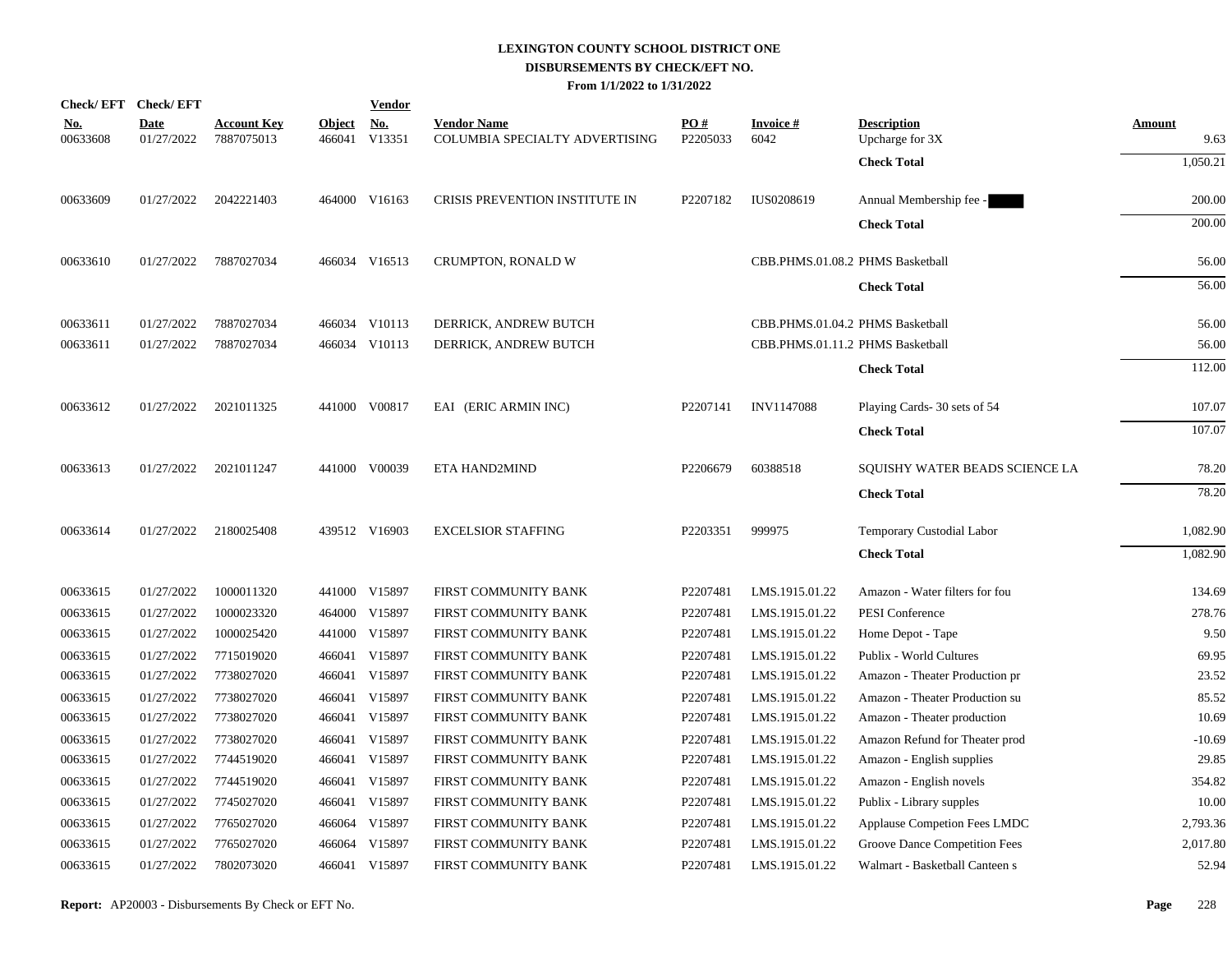|                        | Check/EFT Check/EFT       |                                  |               | <b>Vendor</b>               |                                                      |                 |                                  |                                       |                       |
|------------------------|---------------------------|----------------------------------|---------------|-----------------------------|------------------------------------------------------|-----------------|----------------------------------|---------------------------------------|-----------------------|
| <u>No.</u><br>00633608 | <b>Date</b><br>01/27/2022 | <b>Account Key</b><br>7887075013 | <b>Object</b> | <u>No.</u><br>466041 V13351 | <b>Vendor Name</b><br>COLUMBIA SPECIALTY ADVERTISING | PO#<br>P2205033 | <b>Invoice#</b><br>6042          | <b>Description</b><br>Upcharge for 3X | <b>Amount</b><br>9.63 |
|                        |                           |                                  |               |                             |                                                      |                 |                                  | <b>Check Total</b>                    | 1,050.21              |
| 00633609               | 01/27/2022                | 2042221403                       |               | 464000 V16163               | CRISIS PREVENTION INSTITUTE IN                       | P2207182        | IUS0208619                       | Annual Membership fee -               | 200.00                |
|                        |                           |                                  |               |                             |                                                      |                 |                                  | <b>Check Total</b>                    | 200.00                |
| 00633610               | 01/27/2022                | 7887027034                       |               | 466034 V16513               | CRUMPTON, RONALD W                                   |                 | CBB.PHMS.01.08.2 PHMS Basketball |                                       | 56.00                 |
|                        |                           |                                  |               |                             |                                                      |                 |                                  | <b>Check Total</b>                    | 56.00                 |
| 00633611               | 01/27/2022                | 7887027034                       |               | 466034 V10113               | DERRICK, ANDREW BUTCH                                |                 | CBB.PHMS.01.04.2 PHMS Basketball |                                       | 56.00                 |
| 00633611               | 01/27/2022                | 7887027034                       |               | 466034 V10113               | DERRICK, ANDREW BUTCH                                |                 | CBB.PHMS.01.11.2 PHMS Basketball |                                       | 56.00                 |
|                        |                           |                                  |               |                             |                                                      |                 |                                  | <b>Check Total</b>                    | 112.00                |
| 00633612               | 01/27/2022                | 2021011325                       |               | 441000 V00817               | EAI (ERIC ARMIN INC)                                 | P2207141        | <b>INV1147088</b>                | Playing Cards- 30 sets of 54          | 107.07                |
|                        |                           |                                  |               |                             |                                                      |                 |                                  | <b>Check Total</b>                    | 107.07                |
| 00633613               | 01/27/2022                | 2021011247                       |               | 441000 V00039               | ETA HAND2MIND                                        | P2206679        | 60388518                         | SQUISHY WATER BEADS SCIENCE LA        | 78.20                 |
|                        |                           |                                  |               |                             |                                                      |                 |                                  | <b>Check Total</b>                    | 78.20                 |
| 00633614               | 01/27/2022                | 2180025408                       |               | 439512 V16903               | <b>EXCELSIOR STAFFING</b>                            | P2203351        | 999975                           | Temporary Custodial Labor             | 1,082.90              |
|                        |                           |                                  |               |                             |                                                      |                 |                                  | <b>Check Total</b>                    | 1,082.90              |
| 00633615               | 01/27/2022                | 1000011320                       |               | 441000 V15897               | FIRST COMMUNITY BANK                                 | P2207481        | LMS.1915.01.22                   | Amazon - Water filters for fou        | 134.69                |
| 00633615               | 01/27/2022                | 1000023320                       |               | 464000 V15897               | FIRST COMMUNITY BANK                                 | P2207481        | LMS.1915.01.22                   | PESI Conference                       | 278.76                |
| 00633615               | 01/27/2022                | 1000025420                       |               | 441000 V15897               | FIRST COMMUNITY BANK                                 | P2207481        | LMS.1915.01.22                   | Home Depot - Tape                     | 9.50                  |
| 00633615               | 01/27/2022                | 7715019020                       |               | 466041 V15897               | FIRST COMMUNITY BANK                                 | P2207481        | LMS.1915.01.22                   | Publix - World Cultures               | 69.95                 |
| 00633615               | 01/27/2022                | 7738027020                       |               | 466041 V15897               | FIRST COMMUNITY BANK                                 | P2207481        | LMS.1915.01.22                   | Amazon - Theater Production pr        | 23.52                 |
| 00633615               | 01/27/2022                | 7738027020                       |               | 466041 V15897               | FIRST COMMUNITY BANK                                 | P2207481        | LMS.1915.01.22                   | Amazon - Theater Production su        | 85.52                 |
| 00633615               | 01/27/2022                | 7738027020                       |               | 466041 V15897               | FIRST COMMUNITY BANK                                 | P2207481        | LMS.1915.01.22                   | Amazon - Theater production           | 10.69                 |
| 00633615               | 01/27/2022                | 7738027020                       |               | 466041 V15897               | FIRST COMMUNITY BANK                                 | P2207481        | LMS.1915.01.22                   | Amazon Refund for Theater prod        | $-10.69$              |
| 00633615               | 01/27/2022                | 7744519020                       |               | 466041 V15897               | FIRST COMMUNITY BANK                                 | P2207481        | LMS.1915.01.22                   | Amazon - English supplies             | 29.85                 |
| 00633615               | 01/27/2022                | 7744519020                       |               | 466041 V15897               | FIRST COMMUNITY BANK                                 | P2207481        | LMS.1915.01.22                   | Amazon - English novels               | 354.82                |
| 00633615               | 01/27/2022                | 7745027020                       |               | 466041 V15897               | FIRST COMMUNITY BANK                                 | P2207481        | LMS.1915.01.22                   | Publix - Library supples              | 10.00                 |
| 00633615               | 01/27/2022                | 7765027020                       |               | 466064 V15897               | FIRST COMMUNITY BANK                                 | P2207481        | LMS.1915.01.22                   | Applause Competion Fees LMDC          | 2,793.36              |
| 00633615               | 01/27/2022                | 7765027020                       |               | 466064 V15897               | FIRST COMMUNITY BANK                                 | P2207481        | LMS.1915.01.22                   | Groove Dance Competition Fees         | 2,017.80              |
| 00633615               | 01/27/2022                | 7802073020                       |               | 466041 V15897               | FIRST COMMUNITY BANK                                 | P2207481        | LMS.1915.01.22                   | Walmart - Basketball Canteen s        | 52.94                 |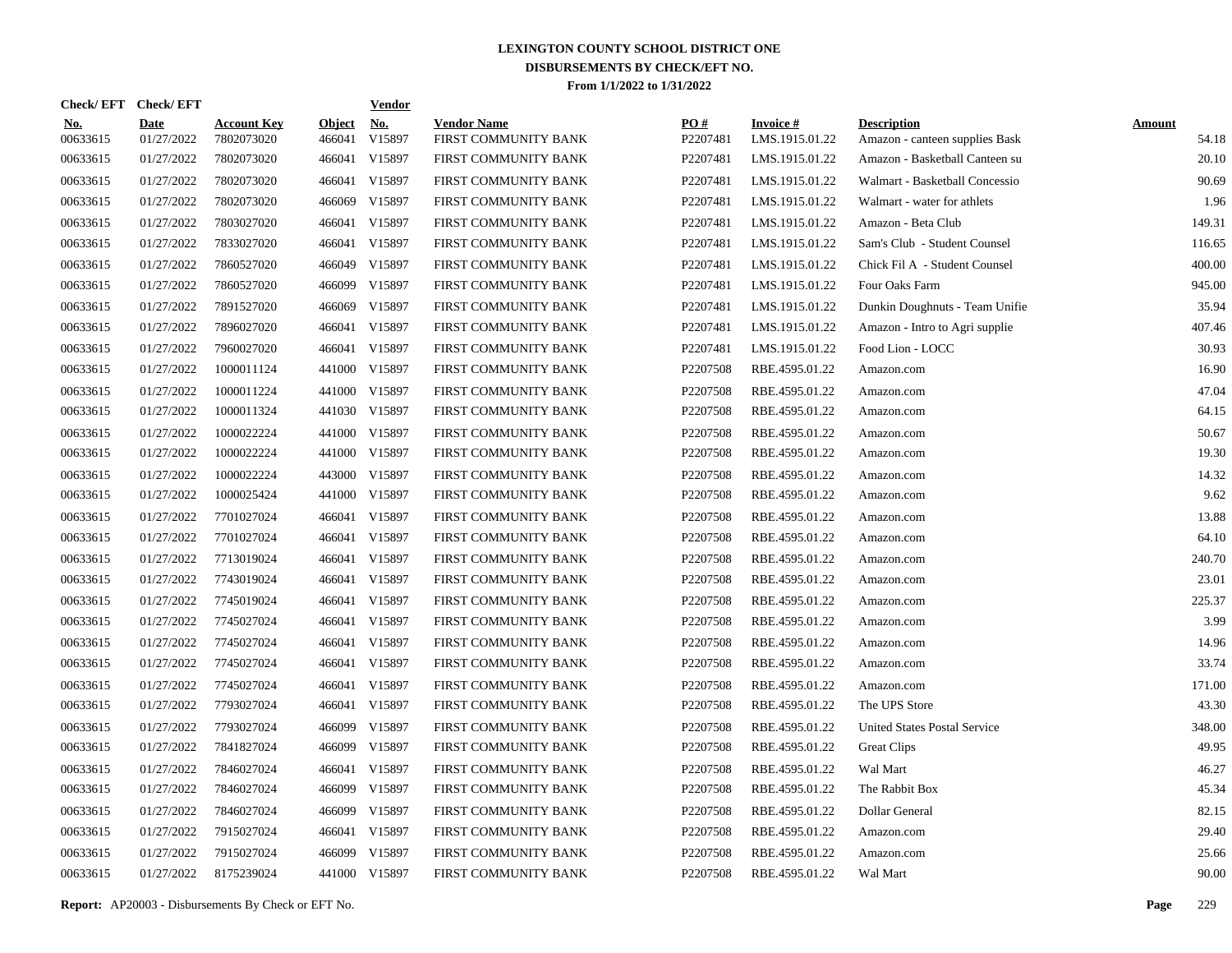| Check/EFT Check/EFT    |                           |                                  |                         | <b>Vendor</b>        |                                            |                      |                                   |                                                      |                        |
|------------------------|---------------------------|----------------------------------|-------------------------|----------------------|--------------------------------------------|----------------------|-----------------------------------|------------------------------------------------------|------------------------|
| <u>No.</u><br>00633615 | <b>Date</b><br>01/27/2022 | <b>Account Key</b><br>7802073020 | <b>Object</b><br>466041 | <u>No.</u><br>V15897 | <b>Vendor Name</b><br>FIRST COMMUNITY BANK | PO#<br>P2207481      | <b>Invoice#</b><br>LMS.1915.01.22 | <b>Description</b><br>Amazon - canteen supplies Bask | <b>Amount</b><br>54.18 |
| 00633615               | 01/27/2022                | 7802073020                       |                         | 466041 V15897        | FIRST COMMUNITY BANK                       | P2207481             | LMS.1915.01.22                    | Amazon - Basketball Canteen su                       | 20.10                  |
| 00633615               | 01/27/2022                | 7802073020                       |                         | 466041 V15897        | FIRST COMMUNITY BANK                       | P2207481             | LMS.1915.01.22                    | Walmart - Basketball Concessio                       | 90.69                  |
| 00633615               | 01/27/2022                | 7802073020                       | 466069                  | V15897               | FIRST COMMUNITY BANK                       | P2207481             | LMS.1915.01.22                    | Walmart - water for athlets                          | 1.96                   |
| 00633615               | 01/27/2022                | 7803027020                       |                         | 466041 V15897        | FIRST COMMUNITY BANK                       | P2207481             | LMS.1915.01.22                    | Amazon - Beta Club                                   | 149.31                 |
| 00633615               | 01/27/2022                | 7833027020                       |                         | 466041 V15897        | FIRST COMMUNITY BANK                       | P2207481             | LMS.1915.01.22                    | Sam's Club - Student Counsel                         | 116.65                 |
| 00633615               | 01/27/2022                | 7860527020                       |                         | 466049 V15897        | FIRST COMMUNITY BANK                       | P2207481             | LMS.1915.01.22                    | Chick Fil A - Student Counsel                        | 400.00                 |
| 00633615               | 01/27/2022                | 7860527020                       | 466099                  | V15897               | FIRST COMMUNITY BANK                       | P2207481             | LMS.1915.01.22                    | Four Oaks Farm                                       | 945.00                 |
| 00633615               | 01/27/2022                | 7891527020                       | 466069                  | V15897               | FIRST COMMUNITY BANK                       | P2207481             | LMS.1915.01.22                    | Dunkin Doughnuts - Team Unifie                       | 35.94                  |
| 00633615               | 01/27/2022                | 7896027020                       |                         | 466041 V15897        | FIRST COMMUNITY BANK                       | P2207481             | LMS.1915.01.22                    | Amazon - Intro to Agri supplie                       | 407.46                 |
| 00633615               | 01/27/2022                | 7960027020                       |                         | 466041 V15897        | FIRST COMMUNITY BANK                       | P2207481             | LMS.1915.01.22                    | Food Lion - LOCC                                     | 30.93                  |
| 00633615               | 01/27/2022                | 1000011124                       |                         | 441000 V15897        | FIRST COMMUNITY BANK                       | P2207508             | RBE.4595.01.22                    | Amazon.com                                           | 16.90                  |
| 00633615               | 01/27/2022                | 1000011224                       |                         | 441000 V15897        | FIRST COMMUNITY BANK                       | P2207508             | RBE.4595.01.22                    | Amazon.com                                           | 47.04                  |
| 00633615               | 01/27/2022                | 1000011324                       |                         | 441030 V15897        | FIRST COMMUNITY BANK                       | P2207508             | RBE.4595.01.22                    | Amazon.com                                           | 64.15                  |
| 00633615               | 01/27/2022                | 1000022224                       |                         | 441000 V15897        | FIRST COMMUNITY BANK                       | P2207508             | RBE.4595.01.22                    | Amazon.com                                           | 50.67                  |
| 00633615               | 01/27/2022                | 1000022224                       |                         | 441000 V15897        | FIRST COMMUNITY BANK                       | P2207508             | RBE.4595.01.22                    | Amazon.com                                           | 19.30                  |
| 00633615               | 01/27/2022                | 1000022224                       |                         | 443000 V15897        | FIRST COMMUNITY BANK                       | P2207508             | RBE.4595.01.22                    | Amazon.com                                           | 14.32                  |
| 00633615               | 01/27/2022                | 1000025424                       |                         | 441000 V15897        | FIRST COMMUNITY BANK                       | P2207508             | RBE.4595.01.22                    | Amazon.com                                           | 9.62                   |
| 00633615               | 01/27/2022                | 7701027024                       |                         | 466041 V15897        | FIRST COMMUNITY BANK                       | P2207508             | RBE.4595.01.22                    | Amazon.com                                           | 13.88                  |
| 00633615               | 01/27/2022                | 7701027024                       |                         | 466041 V15897        | FIRST COMMUNITY BANK                       | P2207508             | RBE.4595.01.22                    | Amazon.com                                           | 64.10                  |
| 00633615               | 01/27/2022                | 7713019024                       |                         | 466041 V15897        | FIRST COMMUNITY BANK                       | P2207508             | RBE.4595.01.22                    | Amazon.com                                           | 240.70                 |
| 00633615               | 01/27/2022                | 7743019024                       |                         | 466041 V15897        | FIRST COMMUNITY BANK                       | P2207508             | RBE.4595.01.22                    | Amazon.com                                           | 23.01                  |
| 00633615               | 01/27/2022                | 7745019024                       |                         | 466041 V15897        | FIRST COMMUNITY BANK                       | P2207508             | RBE.4595.01.22                    | Amazon.com                                           | 225.37                 |
| 00633615               | 01/27/2022                | 7745027024                       |                         | 466041 V15897        | FIRST COMMUNITY BANK                       | P2207508             | RBE.4595.01.22                    | Amazon.com                                           | 3.99                   |
| 00633615               | 01/27/2022                | 7745027024                       |                         | 466041 V15897        | FIRST COMMUNITY BANK                       | P2207508             | RBE.4595.01.22                    | Amazon.com                                           | 14.96                  |
| 00633615               | 01/27/2022                | 7745027024                       |                         | 466041 V15897        | FIRST COMMUNITY BANK                       | P <sub>2207508</sub> | RBE.4595.01.22                    | Amazon.com                                           | 33.74                  |
| 00633615               | 01/27/2022                | 7745027024                       |                         | 466041 V15897        | FIRST COMMUNITY BANK                       | P2207508             | RBE.4595.01.22                    | Amazon.com                                           | 171.00                 |
| 00633615               | 01/27/2022                | 7793027024                       |                         | 466041 V15897        | FIRST COMMUNITY BANK                       | P2207508             | RBE.4595.01.22                    | The UPS Store                                        | 43.30                  |
| 00633615               | 01/27/2022                | 7793027024                       | 466099                  | V15897               | FIRST COMMUNITY BANK                       | P2207508             | RBE.4595.01.22                    | <b>United States Postal Service</b>                  | 348.00                 |
| 00633615               | 01/27/2022                | 7841827024                       | 466099                  | V15897               | FIRST COMMUNITY BANK                       | P2207508             | RBE.4595.01.22                    | Great Clips                                          | 49.95                  |
| 00633615               | 01/27/2022                | 7846027024                       |                         | 466041 V15897        | FIRST COMMUNITY BANK                       | P2207508             | RBE.4595.01.22                    | Wal Mart                                             | 46.27                  |
| 00633615               | 01/27/2022                | 7846027024                       | 466099                  | V15897               | FIRST COMMUNITY BANK                       | P2207508             | RBE.4595.01.22                    | The Rabbit Box                                       | 45.34                  |
| 00633615               | 01/27/2022                | 7846027024                       | 466099                  | V15897               | FIRST COMMUNITY BANK                       | P2207508             | RBE.4595.01.22                    | Dollar General                                       | 82.15                  |
| 00633615               | 01/27/2022                | 7915027024                       |                         | 466041 V15897        | FIRST COMMUNITY BANK                       | P2207508             | RBE.4595.01.22                    | Amazon.com                                           | 29.40                  |
| 00633615               | 01/27/2022                | 7915027024                       | 466099                  | V15897               | FIRST COMMUNITY BANK                       | P2207508             | RBE.4595.01.22                    | Amazon.com                                           | 25.66                  |
| 00633615               | 01/27/2022                | 8175239024                       |                         | 441000 V15897        | FIRST COMMUNITY BANK                       | P2207508             | RBE.4595.01.22                    | Wal Mart                                             | 90.00                  |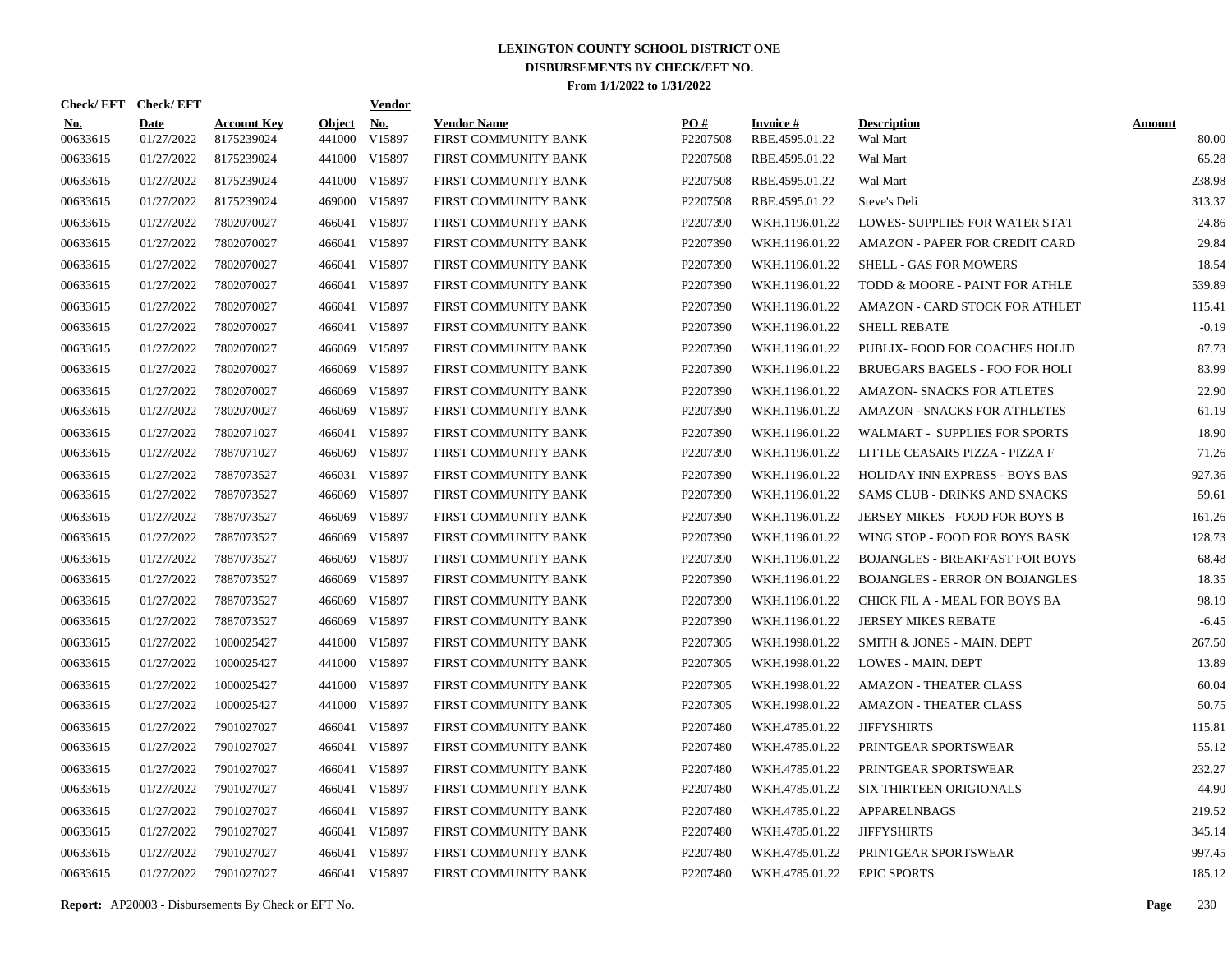| Check/EFT Check/EFT    |                           |                                  |                         | <u>Vendor</u>        |                                            |                      |                                   |                                       |                        |
|------------------------|---------------------------|----------------------------------|-------------------------|----------------------|--------------------------------------------|----------------------|-----------------------------------|---------------------------------------|------------------------|
| <b>No.</b><br>00633615 | <b>Date</b><br>01/27/2022 | <b>Account Key</b><br>8175239024 | <b>Object</b><br>441000 | <u>No.</u><br>V15897 | <b>Vendor Name</b><br>FIRST COMMUNITY BANK | PQ#<br>P2207508      | <b>Invoice#</b><br>RBE.4595.01.22 | <b>Description</b><br>Wal Mart        | <b>Amount</b><br>80.00 |
| 00633615               | 01/27/2022                | 8175239024                       |                         | 441000 V15897        | FIRST COMMUNITY BANK                       | P2207508             | RBE.4595.01.22                    | Wal Mart                              | 65.28                  |
| 00633615               | 01/27/2022                | 8175239024                       | 441000                  | V15897               | FIRST COMMUNITY BANK                       | P2207508             | RBE.4595.01.22                    | Wal Mart                              | 238.98                 |
| 00633615               | 01/27/2022                | 8175239024                       | 469000                  | V15897               | FIRST COMMUNITY BANK                       | P <sub>2207508</sub> | RBE.4595.01.22                    | Steve's Deli                          | 313.37                 |
| 00633615               | 01/27/2022                | 7802070027                       | 466041                  | V15897               | FIRST COMMUNITY BANK                       | P2207390             | WKH.1196.01.22                    | <b>LOWES- SUPPLIES FOR WATER STAT</b> | 24.86                  |
| 00633615               | 01/27/2022                | 7802070027                       | 466041                  | V15897               | FIRST COMMUNITY BANK                       | P2207390             | WKH.1196.01.22                    | AMAZON - PAPER FOR CREDIT CARD        | 29.84                  |
| 00633615               | 01/27/2022                | 7802070027                       | 466041                  | V15897               | FIRST COMMUNITY BANK                       | P2207390             | WKH.1196.01.22                    | SHELL - GAS FOR MOWERS                | 18.54                  |
| 00633615               | 01/27/2022                | 7802070027                       | 466041                  | V15897               | FIRST COMMUNITY BANK                       | P2207390             | WKH.1196.01.22                    | TODD & MOORE - PAINT FOR ATHLE        | 539.89                 |
| 00633615               | 01/27/2022                | 7802070027                       | 466041                  | V15897               | FIRST COMMUNITY BANK                       | P2207390             | WKH.1196.01.22                    | AMAZON - CARD STOCK FOR ATHLET        | 115.41                 |
| 00633615               | 01/27/2022                | 7802070027                       | 466041                  | V15897               | FIRST COMMUNITY BANK                       | P2207390             | WKH.1196.01.22                    | <b>SHELL REBATE</b>                   | $-0.19$                |
| 00633615               | 01/27/2022                | 7802070027                       | 466069                  | V15897               | FIRST COMMUNITY BANK                       | P2207390             | WKH.1196.01.22                    | PUBLIX- FOOD FOR COACHES HOLID        | 87.73                  |
| 00633615               | 01/27/2022                | 7802070027                       | 466069                  | V15897               | FIRST COMMUNITY BANK                       | P2207390             | WKH.1196.01.22                    | BRUEGARS BAGELS - FOO FOR HOLI        | 83.99                  |
| 00633615               | 01/27/2022                | 7802070027                       | 466069                  | V15897               | FIRST COMMUNITY BANK                       | P2207390             | WKH.1196.01.22                    | <b>AMAZON- SNACKS FOR ATLETES</b>     | 22.90                  |
| 00633615               | 01/27/2022                | 7802070027                       | 466069                  | V15897               | FIRST COMMUNITY BANK                       | P <sub>2207390</sub> | WKH.1196.01.22                    | <b>AMAZON - SNACKS FOR ATHLETES</b>   | 61.19                  |
| 00633615               | 01/27/2022                | 7802071027                       | 466041                  | V15897               | FIRST COMMUNITY BANK                       | P2207390             | WKH.1196.01.22                    | WALMART - SUPPLIES FOR SPORTS         | 18.90                  |
| 00633615               | 01/27/2022                | 7887071027                       | 466069                  | V15897               | FIRST COMMUNITY BANK                       | P2207390             | WKH.1196.01.22                    | LITTLE CEASARS PIZZA - PIZZA F        | 71.26                  |
| 00633615               | 01/27/2022                | 7887073527                       | 466031                  | V15897               | FIRST COMMUNITY BANK                       | P2207390             | WKH.1196.01.22                    | HOLIDAY INN EXPRESS - BOYS BAS        | 927.36                 |
| 00633615               | 01/27/2022                | 7887073527                       | 466069                  | V15897               | FIRST COMMUNITY BANK                       | P2207390             | WKH.1196.01.22                    | SAMS CLUB - DRINKS AND SNACKS         | 59.61                  |
| 00633615               | 01/27/2022                | 7887073527                       | 466069                  | V15897               | FIRST COMMUNITY BANK                       | P2207390             | WKH.1196.01.22                    | JERSEY MIKES - FOOD FOR BOYS B        | 161.26                 |
| 00633615               | 01/27/2022                | 7887073527                       | 466069                  | V15897               | FIRST COMMUNITY BANK                       | P2207390             | WKH.1196.01.22                    | WING STOP - FOOD FOR BOYS BASK        | 128.73                 |
| 00633615               | 01/27/2022                | 7887073527                       | 466069                  | V15897               | FIRST COMMUNITY BANK                       | P2207390             | WKH.1196.01.22                    | <b>BOJANGLES - BREAKFAST FOR BOYS</b> | 68.48                  |
| 00633615               | 01/27/2022                | 7887073527                       | 466069                  | V15897               | FIRST COMMUNITY BANK                       | P2207390             | WKH.1196.01.22                    | <b>BOJANGLES - ERROR ON BOJANGLES</b> | 18.35                  |
| 00633615               | 01/27/2022                | 7887073527                       | 466069                  | V15897               | FIRST COMMUNITY BANK                       | P2207390             | WKH.1196.01.22                    | CHICK FIL A - MEAL FOR BOYS BA        | 98.19                  |
| 00633615               | 01/27/2022                | 7887073527                       | 466069                  | V15897               | FIRST COMMUNITY BANK                       | P2207390             | WKH.1196.01.22                    | <b>JERSEY MIKES REBATE</b>            | $-6.45$                |
| 00633615               | 01/27/2022                | 1000025427                       | 441000                  | V15897               | <b>FIRST COMMUNITY BANK</b>                | P2207305             | WKH.1998.01.22                    | <b>SMITH &amp; JONES - MAIN, DEPT</b> | 267.50                 |
| 00633615               | 01/27/2022                | 1000025427                       |                         | 441000 V15897        | FIRST COMMUNITY BANK                       | P2207305             | WKH.1998.01.22                    | LOWES - MAIN. DEPT                    | 13.89                  |
| 00633615               | 01/27/2022                | 1000025427                       |                         | 441000 V15897        | <b>FIRST COMMUNITY BANK</b>                | P2207305             | WKH.1998.01.22                    | <b>AMAZON - THEATER CLASS</b>         | 60.04                  |
| 00633615               | 01/27/2022                | 1000025427                       |                         | 441000 V15897        | FIRST COMMUNITY BANK                       | P2207305             | WKH.1998.01.22                    | <b>AMAZON - THEATER CLASS</b>         | 50.75                  |
| 00633615               | 01/27/2022                | 7901027027                       | 466041                  | V15897               | FIRST COMMUNITY BANK                       | P2207480             | WKH.4785.01.22                    | <b>JIFFYSHIRTS</b>                    | 115.81                 |
| 00633615               | 01/27/2022                | 7901027027                       |                         | 466041 V15897        | FIRST COMMUNITY BANK                       | P2207480             | WKH.4785.01.22                    | PRINTGEAR SPORTSWEAR                  | 55.12                  |
| 00633615               | 01/27/2022                | 7901027027                       | 466041                  | V15897               | FIRST COMMUNITY BANK                       | P2207480             | WKH.4785.01.22                    | PRINTGEAR SPORTSWEAR                  | 232.27                 |
| 00633615               | 01/27/2022                | 7901027027                       | 466041                  | V15897               | FIRST COMMUNITY BANK                       | P2207480             | WKH.4785.01.22                    | <b>SIX THIRTEEN ORIGIONALS</b>        | 44.90                  |
| 00633615               | 01/27/2022                | 7901027027                       | 466041                  | V15897               | FIRST COMMUNITY BANK                       | P2207480             | WKH.4785.01.22                    | APPARELNBAGS                          | 219.52                 |
| 00633615               | 01/27/2022                | 7901027027                       | 466041                  | V15897               | <b>FIRST COMMUNITY BANK</b>                | P2207480             | WKH.4785.01.22                    | <b>JIFFYSHIRTS</b>                    | 345.14                 |
| 00633615               | 01/27/2022                | 7901027027                       | 466041                  | V15897               | FIRST COMMUNITY BANK                       | P2207480             | WKH.4785.01.22                    | PRINTGEAR SPORTSWEAR                  | 997.45                 |
| 00633615               | 01/27/2022                | 7901027027                       |                         | 466041 V15897        | <b>FIRST COMMUNITY BANK</b>                | P2207480             | WKH.4785.01.22                    | <b>EPIC SPORTS</b>                    | 185.12                 |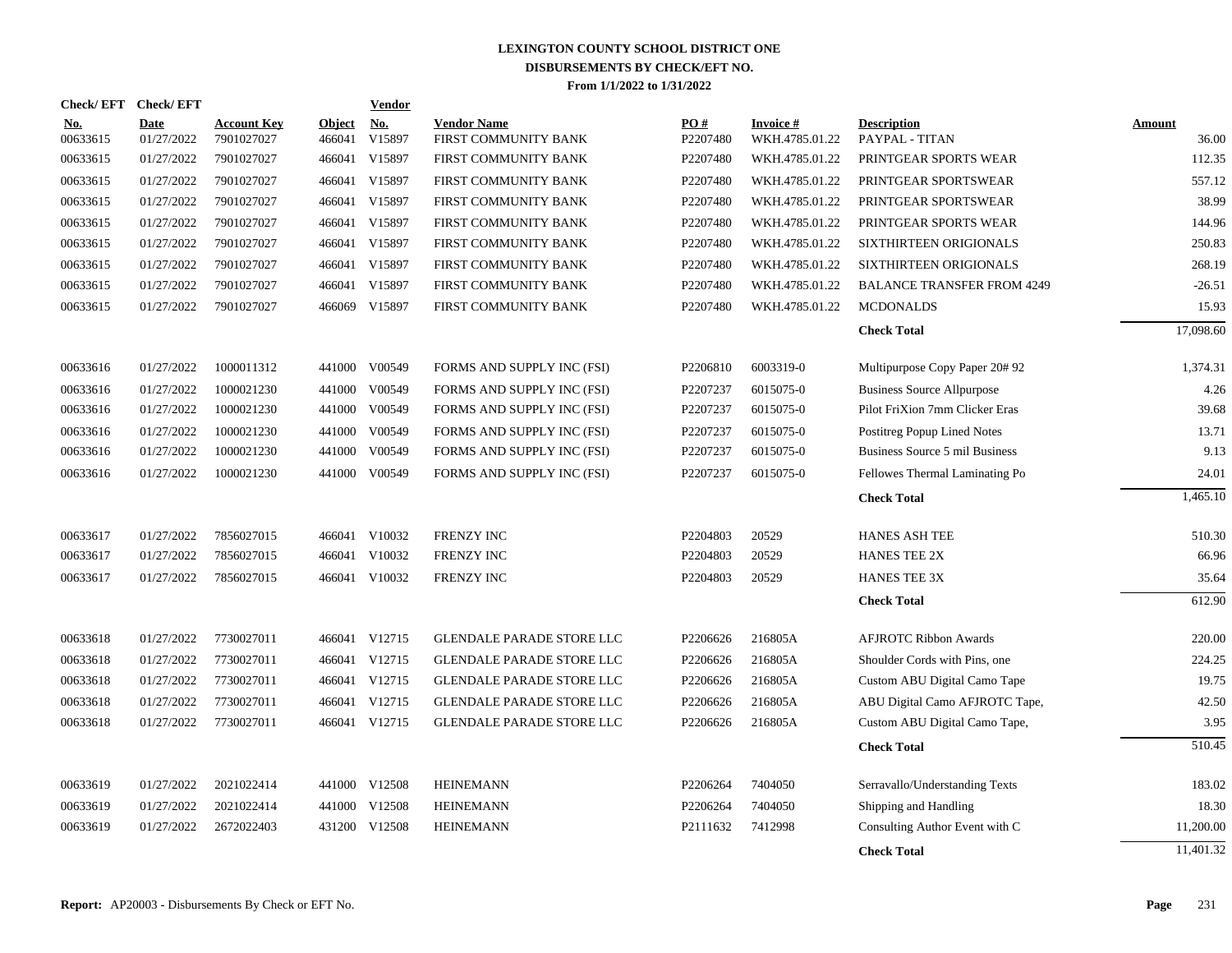|                        | Check/EFT Check/EFT       |                                  |                         | <b>Vendor</b>                       |                                            |                 |                                    |                                      |                        |
|------------------------|---------------------------|----------------------------------|-------------------------|-------------------------------------|--------------------------------------------|-----------------|------------------------------------|--------------------------------------|------------------------|
| <b>No.</b><br>00633615 | <b>Date</b><br>01/27/2022 | <b>Account Key</b><br>7901027027 | <b>Object</b><br>466041 | $\underline{\textbf{No}}$<br>V15897 | <b>Vendor Name</b><br>FIRST COMMUNITY BANK | PO#<br>P2207480 | <b>Invoice #</b><br>WKH.4785.01.22 | <b>Description</b><br>PAYPAL - TITAN | <b>Amount</b><br>36.00 |
| 00633615               | 01/27/2022                | 7901027027                       | 466041                  | V15897                              | FIRST COMMUNITY BANK                       | P2207480        | WKH.4785.01.22                     | PRINTGEAR SPORTS WEAR                | 112.35                 |
| 00633615               | 01/27/2022                | 7901027027                       | 466041                  | V15897                              | FIRST COMMUNITY BANK                       | P2207480        | WKH.4785.01.22                     | PRINTGEAR SPORTSWEAR                 | 557.12                 |
| 00633615               | 01/27/2022                | 7901027027                       | 466041                  | V15897                              | FIRST COMMUNITY BANK                       | P2207480        | WKH.4785.01.22                     | PRINTGEAR SPORTSWEAR                 | 38.99                  |
| 00633615               | 01/27/2022                | 7901027027                       | 466041                  | V15897                              | FIRST COMMUNITY BANK                       | P2207480        | WKH.4785.01.22                     | PRINTGEAR SPORTS WEAR                | 144.96                 |
| 00633615               | 01/27/2022                | 7901027027                       | 466041                  | V15897                              | FIRST COMMUNITY BANK                       | P2207480        | WKH.4785.01.22                     | SIXTHIRTEEN ORIGIONALS               | 250.83                 |
| 00633615               | 01/27/2022                | 7901027027                       | 466041                  | V15897                              | FIRST COMMUNITY BANK                       | P2207480        | WKH.4785.01.22                     | <b>SIXTHIRTEEN ORIGIONALS</b>        | 268.19                 |
| 00633615               | 01/27/2022                | 7901027027                       | 466041                  | V15897                              | FIRST COMMUNITY BANK                       | P2207480        | WKH.4785.01.22                     | <b>BALANCE TRANSFER FROM 4249</b>    | $-26.51$               |
| 00633615               | 01/27/2022                | 7901027027                       |                         | 466069 V15897                       | FIRST COMMUNITY BANK                       | P2207480        | WKH.4785.01.22                     | <b>MCDONALDS</b>                     | 15.93                  |
|                        |                           |                                  |                         |                                     |                                            |                 |                                    | <b>Check Total</b>                   | 17,098.60              |
| 00633616               | 01/27/2022                | 1000011312                       |                         | 441000 V00549                       | FORMS AND SUPPLY INC (FSI)                 | P2206810        | 6003319-0                          | Multipurpose Copy Paper 20#92        | 1,374.31               |
| 00633616               | 01/27/2022                | 1000021230                       |                         | 441000 V00549                       | FORMS AND SUPPLY INC (FSI)                 | P2207237        | 6015075-0                          | <b>Business Source Allpurpose</b>    | 4.26                   |
| 00633616               | 01/27/2022                | 1000021230                       |                         | 441000 V00549                       | FORMS AND SUPPLY INC (FSI)                 | P2207237        | 6015075-0                          | Pilot FriXion 7mm Clicker Eras       | 39.68                  |
| 00633616               | 01/27/2022                | 1000021230                       | 441000                  | V00549                              | FORMS AND SUPPLY INC (FSI)                 | P2207237        | 6015075-0                          | Postitreg Popup Lined Notes          | 13.71                  |
| 00633616               | 01/27/2022                | 1000021230                       |                         | 441000 V00549                       | FORMS AND SUPPLY INC (FSI)                 | P2207237        | 6015075-0                          | Business Source 5 mil Business       | 9.13                   |
| 00633616               | 01/27/2022                | 1000021230                       |                         | 441000 V00549                       | FORMS AND SUPPLY INC (FSI)                 | P2207237        | 6015075-0                          | Fellowes Thermal Laminating Po       | 24.01                  |
|                        |                           |                                  |                         |                                     |                                            |                 |                                    | <b>Check Total</b>                   | 1,465.10               |
| 00633617               | 01/27/2022                | 7856027015                       |                         | 466041 V10032                       | <b>FRENZY INC</b>                          | P2204803        | 20529                              | <b>HANES ASH TEE</b>                 | 510.30                 |
| 00633617               | 01/27/2022                | 7856027015                       | 466041                  | V10032                              | <b>FRENZY INC</b>                          | P2204803        | 20529                              | <b>HANES TEE 2X</b>                  | 66.96                  |
| 00633617               | 01/27/2022                | 7856027015                       |                         | 466041 V10032                       | <b>FRENZY INC</b>                          | P2204803        | 20529                              | <b>HANES TEE 3X</b>                  | 35.64                  |
|                        |                           |                                  |                         |                                     |                                            |                 |                                    | <b>Check Total</b>                   | 612.90                 |
| 00633618               | 01/27/2022                | 7730027011                       |                         | 466041 V12715                       | <b>GLENDALE PARADE STORE LLC</b>           | P2206626        | 216805A                            | <b>AFJROTC Ribbon Awards</b>         | 220.00                 |
| 00633618               | 01/27/2022                | 7730027011                       | 466041                  | V12715                              | <b>GLENDALE PARADE STORE LLC</b>           | P2206626        | 216805A                            | Shoulder Cords with Pins, one        | 224.25                 |
| 00633618               | 01/27/2022                | 7730027011                       | 466041                  | V12715                              | GLENDALE PARADE STORE LLC                  | P2206626        | 216805A                            | Custom ABU Digital Camo Tape         | 19.75                  |
| 00633618               | 01/27/2022                | 7730027011                       | 466041                  | V12715                              | <b>GLENDALE PARADE STORE LLC</b>           | P2206626        | 216805A                            | ABU Digital Camo AFJROTC Tape,       | 42.50                  |
| 00633618               | 01/27/2022                | 7730027011                       | 466041                  | V12715                              | <b>GLENDALE PARADE STORE LLC</b>           | P2206626        | 216805A                            | Custom ABU Digital Camo Tape,        | 3.95                   |
|                        |                           |                                  |                         |                                     |                                            |                 |                                    | <b>Check Total</b>                   | 510.45                 |
| 00633619               | 01/27/2022                | 2021022414                       |                         | 441000 V12508                       | <b>HEINEMANN</b>                           | P2206264        | 7404050                            | Serravallo/Understanding Texts       | 183.02                 |
| 00633619               | 01/27/2022                | 2021022414                       |                         | 441000 V12508                       | <b>HEINEMANN</b>                           | P2206264        | 7404050                            | Shipping and Handling                | 18.30                  |
| 00633619               | 01/27/2022                | 2672022403                       |                         | 431200 V12508                       | <b>HEINEMANN</b>                           | P2111632        | 7412998                            | Consulting Author Event with C       | 11,200.00              |
|                        |                           |                                  |                         |                                     |                                            |                 |                                    | <b>Check Total</b>                   | 11,401.32              |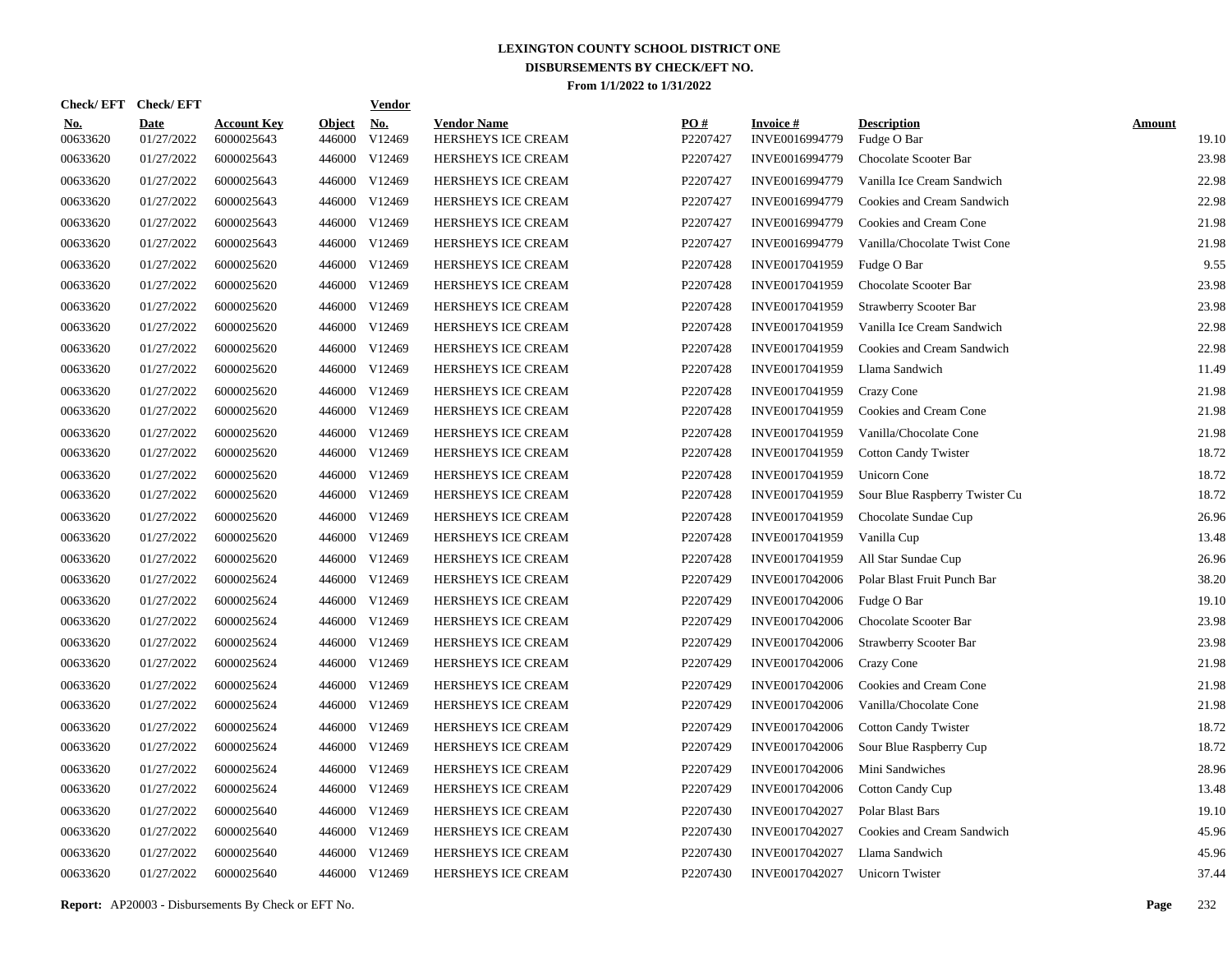| Check/EFT Check/EFT    |                           |                                  |                         | <u>Vendor</u>        |                                          |                 |                                   |                                   |                        |
|------------------------|---------------------------|----------------------------------|-------------------------|----------------------|------------------------------------------|-----------------|-----------------------------------|-----------------------------------|------------------------|
| <u>No.</u><br>00633620 | <b>Date</b><br>01/27/2022 | <b>Account Key</b><br>6000025643 | <b>Object</b><br>446000 | <u>No.</u><br>V12469 | <b>Vendor Name</b><br>HERSHEYS ICE CREAM | PO#<br>P2207427 | <b>Invoice#</b><br>INVE0016994779 | <b>Description</b><br>Fudge O Bar | <b>Amount</b><br>19.10 |
| 00633620               | 01/27/2022                | 6000025643                       | 446000                  | V12469               | HERSHEYS ICE CREAM                       | P2207427        | INVE0016994779                    | Chocolate Scooter Bar             | 23.98                  |
| 00633620               | 01/27/2022                | 6000025643                       |                         | 446000 V12469        | HERSHEYS ICE CREAM                       | P2207427        | INVE0016994779                    | Vanilla Ice Cream Sandwich        | 22.98                  |
| 00633620               | 01/27/2022                | 6000025643                       | 446000                  | V12469               | <b>HERSHEYS ICE CREAM</b>                | P2207427        | INVE0016994779                    | Cookies and Cream Sandwich        | 22.98                  |
| 00633620               | 01/27/2022                | 6000025643                       |                         | 446000 V12469        | <b>HERSHEYS ICE CREAM</b>                | P2207427        | INVE0016994779                    | Cookies and Cream Cone            | 21.98                  |
| 00633620               | 01/27/2022                | 6000025643                       |                         | 446000 V12469        | HERSHEYS ICE CREAM                       | P2207427        | INVE0016994779                    | Vanilla/Chocolate Twist Cone      | 21.98                  |
| 00633620               | 01/27/2022                | 6000025620                       |                         | 446000 V12469        | HERSHEYS ICE CREAM                       | P2207428        | INVE0017041959                    | Fudge O Bar                       | 9.55                   |
| 00633620               | 01/27/2022                | 6000025620                       |                         | 446000 V12469        | HERSHEYS ICE CREAM                       | P2207428        | INVE0017041959                    | Chocolate Scooter Bar             | 23.98                  |
| 00633620               | 01/27/2022                | 6000025620                       |                         | 446000 V12469        | HERSHEYS ICE CREAM                       | P2207428        | INVE0017041959                    | <b>Strawberry Scooter Bar</b>     | 23.98                  |
| 00633620               | 01/27/2022                | 6000025620                       |                         | 446000 V12469        | HERSHEYS ICE CREAM                       | P2207428        | INVE0017041959                    | Vanilla Ice Cream Sandwich        | 22.98                  |
| 00633620               | 01/27/2022                | 6000025620                       |                         | 446000 V12469        | HERSHEYS ICE CREAM                       | P2207428        | INVE0017041959                    | Cookies and Cream Sandwich        | 22.98                  |
| 00633620               | 01/27/2022                | 6000025620                       |                         | 446000 V12469        | HERSHEYS ICE CREAM                       | P2207428        | INVE0017041959                    | Llama Sandwich                    | 11.49                  |
| 00633620               | 01/27/2022                | 6000025620                       |                         | 446000 V12469        | HERSHEYS ICE CREAM                       | P2207428        | INVE0017041959                    | Crazy Cone                        | 21.98                  |
| 00633620               | 01/27/2022                | 6000025620                       |                         | 446000 V12469        | HERSHEYS ICE CREAM                       | P2207428        | INVE0017041959                    | Cookies and Cream Cone            | 21.98                  |
| 00633620               | 01/27/2022                | 6000025620                       |                         | 446000 V12469        | HERSHEYS ICE CREAM                       | P2207428        | INVE0017041959                    | Vanilla/Chocolate Cone            | 21.98                  |
| 00633620               | 01/27/2022                | 6000025620                       |                         | 446000 V12469        | HERSHEYS ICE CREAM                       | P2207428        | INVE0017041959                    | <b>Cotton Candy Twister</b>       | 18.72                  |
| 00633620               | 01/27/2022                | 6000025620                       |                         | 446000 V12469        | HERSHEYS ICE CREAM                       | P2207428        | INVE0017041959                    | <b>Unicorn Cone</b>               | 18.72                  |
| 00633620               | 01/27/2022                | 6000025620                       |                         | 446000 V12469        | HERSHEYS ICE CREAM                       | P2207428        | INVE0017041959                    | Sour Blue Raspberry Twister Cu    | 18.72                  |
| 00633620               | 01/27/2022                | 6000025620                       | 446000                  | V12469               | HERSHEYS ICE CREAM                       | P2207428        | INVE0017041959                    | Chocolate Sundae Cup              | 26.96                  |
| 00633620               | 01/27/2022                | 6000025620                       |                         | 446000 V12469        | HERSHEYS ICE CREAM                       | P2207428        | INVE0017041959                    | Vanilla Cup                       | 13.48                  |
| 00633620               | 01/27/2022                | 6000025620                       | 446000                  | V12469               | HERSHEYS ICE CREAM                       | P2207428        | INVE0017041959                    | All Star Sundae Cup               | 26.96                  |
| 00633620               | 01/27/2022                | 6000025624                       |                         | 446000 V12469        | HERSHEYS ICE CREAM                       | P2207429        | INVE0017042006                    | Polar Blast Fruit Punch Bar       | 38.20                  |
| 00633620               | 01/27/2022                | 6000025624                       | 446000                  | V12469               | HERSHEYS ICE CREAM                       | P2207429        | INVE0017042006                    | Fudge O Bar                       | 19.10                  |
| 00633620               | 01/27/2022                | 6000025624                       |                         | 446000 V12469        | HERSHEYS ICE CREAM                       | P2207429        | INVE0017042006                    | Chocolate Scooter Bar             | 23.98                  |
| 00633620               | 01/27/2022                | 6000025624                       | 446000                  | V12469               | HERSHEYS ICE CREAM                       | P2207429        | INVE0017042006                    | Strawberry Scooter Bar            | 23.98                  |
| 00633620               | 01/27/2022                | 6000025624                       |                         | 446000 V12469        | <b>HERSHEYS ICE CREAM</b>                | P2207429        | INVE0017042006                    | Crazy Cone                        | 21.98                  |
| 00633620               | 01/27/2022                | 6000025624                       | 446000                  | V12469               | <b>HERSHEYS ICE CREAM</b>                | P2207429        | INVE0017042006                    | Cookies and Cream Cone            | 21.98                  |
| 00633620               | 01/27/2022                | 6000025624                       | 446000                  | V12469               | HERSHEYS ICE CREAM                       | P2207429        | INVE0017042006                    | Vanilla/Chocolate Cone            | 21.98                  |
| 00633620               | 01/27/2022                | 6000025624                       | 446000                  | V12469               | HERSHEYS ICE CREAM                       | P2207429        | INVE0017042006                    | <b>Cotton Candy Twister</b>       | 18.72                  |
| 00633620               | 01/27/2022                | 6000025624                       | 446000                  | V12469               | HERSHEYS ICE CREAM                       | P2207429        | INVE0017042006                    | Sour Blue Raspberry Cup           | 18.72                  |
| 00633620               | 01/27/2022                | 6000025624                       | 446000                  | V12469               | HERSHEYS ICE CREAM                       | P2207429        | INVE0017042006                    | Mini Sandwiches                   | 28.96                  |
| 00633620               | 01/27/2022                | 6000025624                       | 446000                  | V12469               | HERSHEYS ICE CREAM                       | P2207429        | INVE0017042006                    | Cotton Candy Cup                  | 13.48                  |
| 00633620               | 01/27/2022                | 6000025640                       | 446000                  | V12469               | HERSHEYS ICE CREAM                       | P2207430        | INVE0017042027                    | Polar Blast Bars                  | 19.10                  |
| 00633620               | 01/27/2022                | 6000025640                       | 446000                  | V12469               | HERSHEYS ICE CREAM                       | P2207430        | INVE0017042027                    | Cookies and Cream Sandwich        | 45.96                  |
| 00633620               | 01/27/2022                | 6000025640                       | 446000                  | V12469               | HERSHEYS ICE CREAM                       | P2207430        | INVE0017042027                    | Llama Sandwich                    | 45.96                  |
| 00633620               | 01/27/2022                | 6000025640                       |                         | 446000 V12469        | <b>HERSHEYS ICE CREAM</b>                | P2207430        | INVE0017042027                    | Unicorn Twister                   | 37.44                  |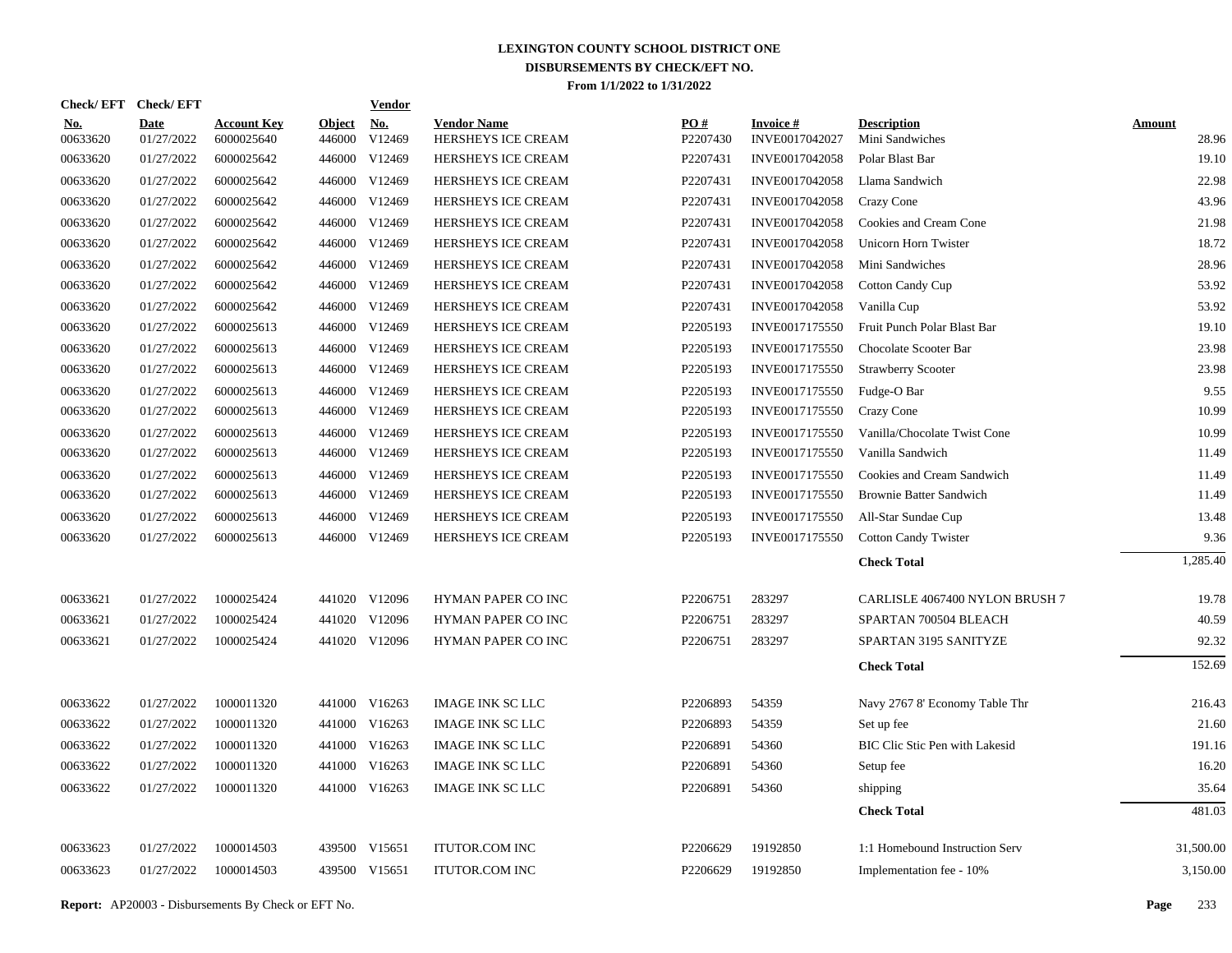| Check/EFT Check/EFT    |                           |                                  |                         | <b>Vendor</b>        |                                          |                 |                                   |                                       |                        |
|------------------------|---------------------------|----------------------------------|-------------------------|----------------------|------------------------------------------|-----------------|-----------------------------------|---------------------------------------|------------------------|
| <u>No.</u><br>00633620 | <b>Date</b><br>01/27/2022 | <b>Account Key</b><br>6000025640 | <b>Object</b><br>446000 | <u>No.</u><br>V12469 | <b>Vendor Name</b><br>HERSHEYS ICE CREAM | PO#<br>P2207430 | <b>Invoice#</b><br>INVE0017042027 | <b>Description</b><br>Mini Sandwiches | <b>Amount</b><br>28.96 |
| 00633620               | 01/27/2022                | 6000025642                       | 446000                  | V12469               | HERSHEYS ICE CREAM                       | P2207431        | INVE0017042058                    | Polar Blast Bar                       | 19.10                  |
| 00633620               | 01/27/2022                | 6000025642                       |                         | 446000 V12469        | HERSHEYS ICE CREAM                       | P2207431        | INVE0017042058                    | Llama Sandwich                        | 22.98                  |
| 00633620               | 01/27/2022                | 6000025642                       |                         | 446000 V12469        | HERSHEYS ICE CREAM                       | P2207431        | INVE0017042058                    | Crazy Cone                            | 43.96                  |
| 00633620               | 01/27/2022                | 6000025642                       |                         | 446000 V12469        | HERSHEYS ICE CREAM                       | P2207431        | INVE0017042058                    | Cookies and Cream Cone                | 21.98                  |
| 00633620               | 01/27/2022                | 6000025642                       |                         | 446000 V12469        | HERSHEYS ICE CREAM                       | P2207431        | INVE0017042058                    | Unicorn Horn Twister                  | 18.72                  |
| 00633620               | 01/27/2022                | 6000025642                       |                         | 446000 V12469        | HERSHEYS ICE CREAM                       | P2207431        | INVE0017042058                    | Mini Sandwiches                       | 28.96                  |
| 00633620               | 01/27/2022                | 6000025642                       |                         | 446000 V12469        | HERSHEYS ICE CREAM                       | P2207431        | INVE0017042058                    | <b>Cotton Candy Cup</b>               | 53.92                  |
| 00633620               | 01/27/2022                | 6000025642                       | 446000                  | V12469               | HERSHEYS ICE CREAM                       | P2207431        | INVE0017042058                    | Vanilla Cup                           | 53.92                  |
| 00633620               | 01/27/2022                | 6000025613                       |                         | 446000 V12469        | HERSHEYS ICE CREAM                       | P2205193        | INVE0017175550                    | Fruit Punch Polar Blast Bar           | 19.10                  |
| 00633620               | 01/27/2022                | 6000025613                       | 446000                  | V12469               | HERSHEYS ICE CREAM                       | P2205193        | INVE0017175550                    | Chocolate Scooter Bar                 | 23.98                  |
| 00633620               | 01/27/2022                | 6000025613                       |                         | 446000 V12469        | HERSHEYS ICE CREAM                       | P2205193        | INVE0017175550                    | <b>Strawberry Scooter</b>             | 23.98                  |
| 00633620               | 01/27/2022                | 6000025613                       | 446000                  | V12469               | HERSHEYS ICE CREAM                       | P2205193        | INVE0017175550                    | Fudge-O Bar                           | 9.55                   |
| 00633620               | 01/27/2022                | 6000025613                       |                         | 446000 V12469        | HERSHEYS ICE CREAM                       | P2205193        | INVE0017175550                    | Crazy Cone                            | 10.99                  |
| 00633620               | 01/27/2022                | 6000025613                       |                         | 446000 V12469        | HERSHEYS ICE CREAM                       | P2205193        | INVE0017175550                    | Vanilla/Chocolate Twist Cone          | 10.99                  |
| 00633620               | 01/27/2022                | 6000025613                       |                         | 446000 V12469        | HERSHEYS ICE CREAM                       | P2205193        | INVE0017175550                    | Vanilla Sandwich                      | 11.49                  |
| 00633620               | 01/27/2022                | 6000025613                       |                         | 446000 V12469        | HERSHEYS ICE CREAM                       | P2205193        | INVE0017175550                    | Cookies and Cream Sandwich            | 11.49                  |
| 00633620               | 01/27/2022                | 6000025613                       |                         | 446000 V12469        | HERSHEYS ICE CREAM                       | P2205193        | INVE0017175550                    | <b>Brownie Batter Sandwich</b>        | 11.49                  |
| 00633620               | 01/27/2022                | 6000025613                       |                         | 446000 V12469        | HERSHEYS ICE CREAM                       | P2205193        | INVE0017175550                    | All-Star Sundae Cup                   | 13.48                  |
| 00633620               | 01/27/2022                | 6000025613                       |                         | 446000 V12469        | HERSHEYS ICE CREAM                       | P2205193        | INVE0017175550                    | <b>Cotton Candy Twister</b>           | 9.36                   |
|                        |                           |                                  |                         |                      |                                          |                 |                                   | <b>Check Total</b>                    | 1.285.40               |
| 00633621               | 01/27/2022                | 1000025424                       |                         | 441020 V12096        | <b>HYMAN PAPER CO INC</b>                | P2206751        | 283297                            | CARLISLE 4067400 NYLON BRUSH 7        | 19.78                  |
| 00633621               | 01/27/2022                | 1000025424                       |                         | 441020 V12096        | HYMAN PAPER CO INC                       | P2206751        | 283297                            | SPARTAN 700504 BLEACH                 | 40.59                  |
| 00633621               | 01/27/2022                | 1000025424                       |                         | 441020 V12096        | HYMAN PAPER CO INC                       | P2206751        | 283297                            | SPARTAN 3195 SANITYZE                 | 92.32                  |
|                        |                           |                                  |                         |                      |                                          |                 |                                   | <b>Check Total</b>                    | 152.69                 |
| 00633622               | 01/27/2022                | 1000011320                       |                         | 441000 V16263        | <b>IMAGE INK SC LLC</b>                  | P2206893        | 54359                             | Navy 2767 8' Economy Table Thr        | 216.43                 |
| 00633622               | 01/27/2022                | 1000011320                       |                         | 441000 V16263        | IMAGE INK SC LLC                         | P2206893        | 54359                             | Set up fee                            | 21.60                  |
| 00633622               | 01/27/2022                | 1000011320                       |                         | 441000 V16263        | <b>IMAGE INK SC LLC</b>                  | P2206891        | 54360                             | <b>BIC Clic Stic Pen with Lakesid</b> | 191.16                 |
| 00633622               | 01/27/2022                | 1000011320                       |                         | 441000 V16263        | <b>IMAGE INK SC LLC</b>                  | P2206891        | 54360                             | Setup fee                             | 16.20                  |
| 00633622               | 01/27/2022                | 1000011320                       |                         | 441000 V16263        | <b>IMAGE INK SC LLC</b>                  | P2206891        | 54360                             | shipping                              | 35.64                  |
|                        |                           |                                  |                         |                      |                                          |                 |                                   | <b>Check Total</b>                    | 481.03                 |
| 00633623               | 01/27/2022                | 1000014503                       |                         | 439500 V15651        | <b>ITUTOR.COM INC</b>                    | P2206629        | 19192850                          | 1:1 Homebound Instruction Serv        | 31,500.00              |
| 00633623               | 01/27/2022                | 1000014503                       |                         | 439500 V15651        | <b>ITUTOR.COM INC</b>                    | P2206629        | 19192850                          | Implementation fee - 10%              | 3,150.00               |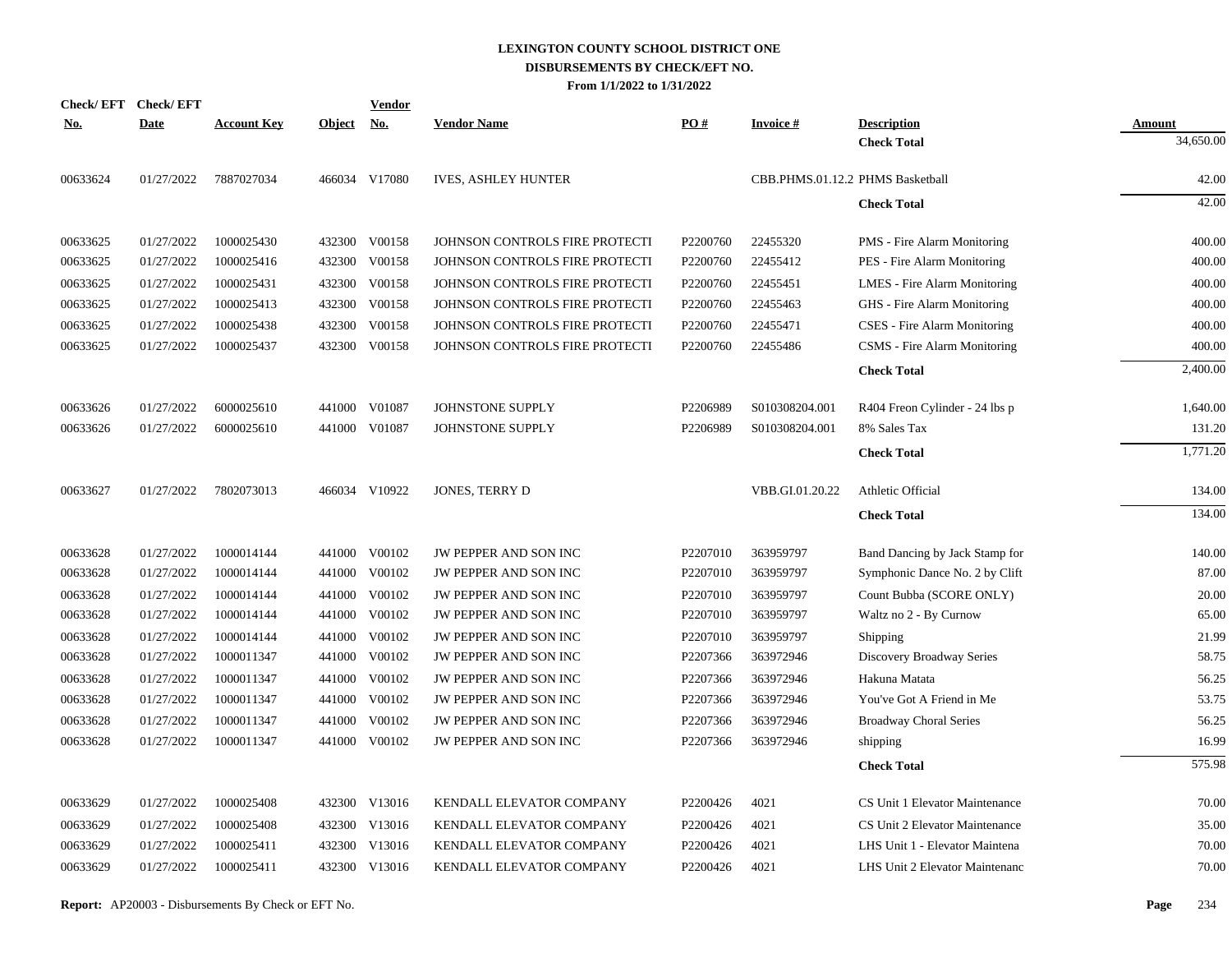| Check/EFT Check/EFT |             |                    |               | <u>Vendor</u> |                                |                      |                                  |                                |               |
|---------------------|-------------|--------------------|---------------|---------------|--------------------------------|----------------------|----------------------------------|--------------------------------|---------------|
| <u>No.</u>          | <b>Date</b> | <b>Account Key</b> | <b>Object</b> | No.           | <b>Vendor Name</b>             | PO#                  | <b>Invoice#</b>                  | <b>Description</b>             | <b>Amount</b> |
|                     |             |                    |               |               |                                |                      |                                  | <b>Check Total</b>             | 34,650.00     |
| 00633624            | 01/27/2022  | 7887027034         |               | 466034 V17080 | <b>IVES, ASHLEY HUNTER</b>     |                      | CBB.PHMS.01.12.2 PHMS Basketball |                                | 42.00         |
|                     |             |                    |               |               |                                |                      |                                  | <b>Check Total</b>             | 42.00         |
| 00633625            | 01/27/2022  | 1000025430         |               | 432300 V00158 | JOHNSON CONTROLS FIRE PROTECTI | P2200760             | 22455320                         | PMS - Fire Alarm Monitoring    | 400.00        |
| 00633625            | 01/27/2022  | 1000025416         | 432300        | V00158        | JOHNSON CONTROLS FIRE PROTECTI | P2200760             | 22455412                         | PES - Fire Alarm Monitoring    | 400.00        |
| 00633625            | 01/27/2022  | 1000025431         |               | 432300 V00158 | JOHNSON CONTROLS FIRE PROTECTI | P2200760             | 22455451                         | LMES - Fire Alarm Monitoring   | 400.00        |
| 00633625            | 01/27/2022  | 1000025413         | 432300        | V00158        | JOHNSON CONTROLS FIRE PROTECTI | P2200760             | 22455463                         | GHS - Fire Alarm Monitoring    | 400.00        |
| 00633625            | 01/27/2022  | 1000025438         | 432300        | V00158        | JOHNSON CONTROLS FIRE PROTECTI | P2200760             | 22455471                         | CSES - Fire Alarm Monitoring   | 400.00        |
| 00633625            | 01/27/2022  | 1000025437         |               | 432300 V00158 | JOHNSON CONTROLS FIRE PROTECTI | P2200760             | 22455486                         | CSMS - Fire Alarm Monitoring   | 400.00        |
|                     |             |                    |               |               |                                |                      |                                  | <b>Check Total</b>             | 2,400.00      |
| 00633626            | 01/27/2022  | 6000025610         |               | 441000 V01087 | JOHNSTONE SUPPLY               | P2206989             | S010308204.001                   | R404 Freon Cylinder - 24 lbs p | 1,640.00      |
| 00633626            | 01/27/2022  | 6000025610         |               | 441000 V01087 | JOHNSTONE SUPPLY               | P2206989             | S010308204.001                   | 8% Sales Tax                   | 131.20        |
|                     |             |                    |               |               |                                |                      |                                  | <b>Check Total</b>             | 1,771.20      |
| 00633627            | 01/27/2022  | 7802073013         |               | 466034 V10922 | JONES, TERRY D                 |                      | VBB.GI.01.20.22                  | Athletic Official              | 134.00        |
|                     |             |                    |               |               |                                |                      |                                  | <b>Check Total</b>             | 134.00        |
| 00633628            | 01/27/2022  | 1000014144         |               | 441000 V00102 | JW PEPPER AND SON INC          | P <sub>2207010</sub> | 363959797                        | Band Dancing by Jack Stamp for | 140.00        |
| 00633628            | 01/27/2022  | 1000014144         |               | 441000 V00102 | JW PEPPER AND SON INC          | P2207010             | 363959797                        | Symphonic Dance No. 2 by Clift | 87.00         |
| 00633628            | 01/27/2022  | 1000014144         |               | 441000 V00102 | JW PEPPER AND SON INC          | P2207010             | 363959797                        | Count Bubba (SCORE ONLY)       | 20.00         |
| 00633628            | 01/27/2022  | 1000014144         | 441000        | V00102        | JW PEPPER AND SON INC          | P2207010             | 363959797                        | Waltz no 2 - By Curnow         | 65.00         |
| 00633628            | 01/27/2022  | 1000014144         |               | 441000 V00102 | JW PEPPER AND SON INC          | P2207010             | 363959797                        | Shipping                       | 21.99         |
| 00633628            | 01/27/2022  | 1000011347         | 441000        | V00102        | JW PEPPER AND SON INC          | P2207366             | 363972946                        | Discovery Broadway Series      | 58.75         |
| 00633628            | 01/27/2022  | 1000011347         |               | 441000 V00102 | JW PEPPER AND SON INC          | P2207366             | 363972946                        | Hakuna Matata                  | 56.25         |
| 00633628            | 01/27/2022  | 1000011347         | 441000        | V00102        | JW PEPPER AND SON INC          | P2207366             | 363972946                        | You've Got A Friend in Me      | 53.75         |
| 00633628            | 01/27/2022  | 1000011347         | 441000        | V00102        | JW PEPPER AND SON INC          | P2207366             | 363972946                        | Broadway Choral Series         | 56.25         |
| 00633628            | 01/27/2022  | 1000011347         |               | 441000 V00102 | JW PEPPER AND SON INC          | P2207366             | 363972946                        | shipping                       | 16.99         |
|                     |             |                    |               |               |                                |                      |                                  | <b>Check Total</b>             | 575.98        |
| 00633629            | 01/27/2022  | 1000025408         |               | 432300 V13016 | KENDALL ELEVATOR COMPANY       | P2200426             | 4021                             | CS Unit 1 Elevator Maintenance | 70.00         |
| 00633629            | 01/27/2022  | 1000025408         |               | 432300 V13016 | KENDALL ELEVATOR COMPANY       | P2200426             | 4021                             | CS Unit 2 Elevator Maintenance | 35.00         |
| 00633629            | 01/27/2022  | 1000025411         |               | 432300 V13016 | KENDALL ELEVATOR COMPANY       | P2200426             | 4021                             | LHS Unit 1 - Elevator Maintena | 70.00         |
| 00633629            | 01/27/2022  | 1000025411         |               | 432300 V13016 | KENDALL ELEVATOR COMPANY       | P2200426             | 4021                             | LHS Unit 2 Elevator Maintenanc | 70.00         |
|                     |             |                    |               |               |                                |                      |                                  |                                |               |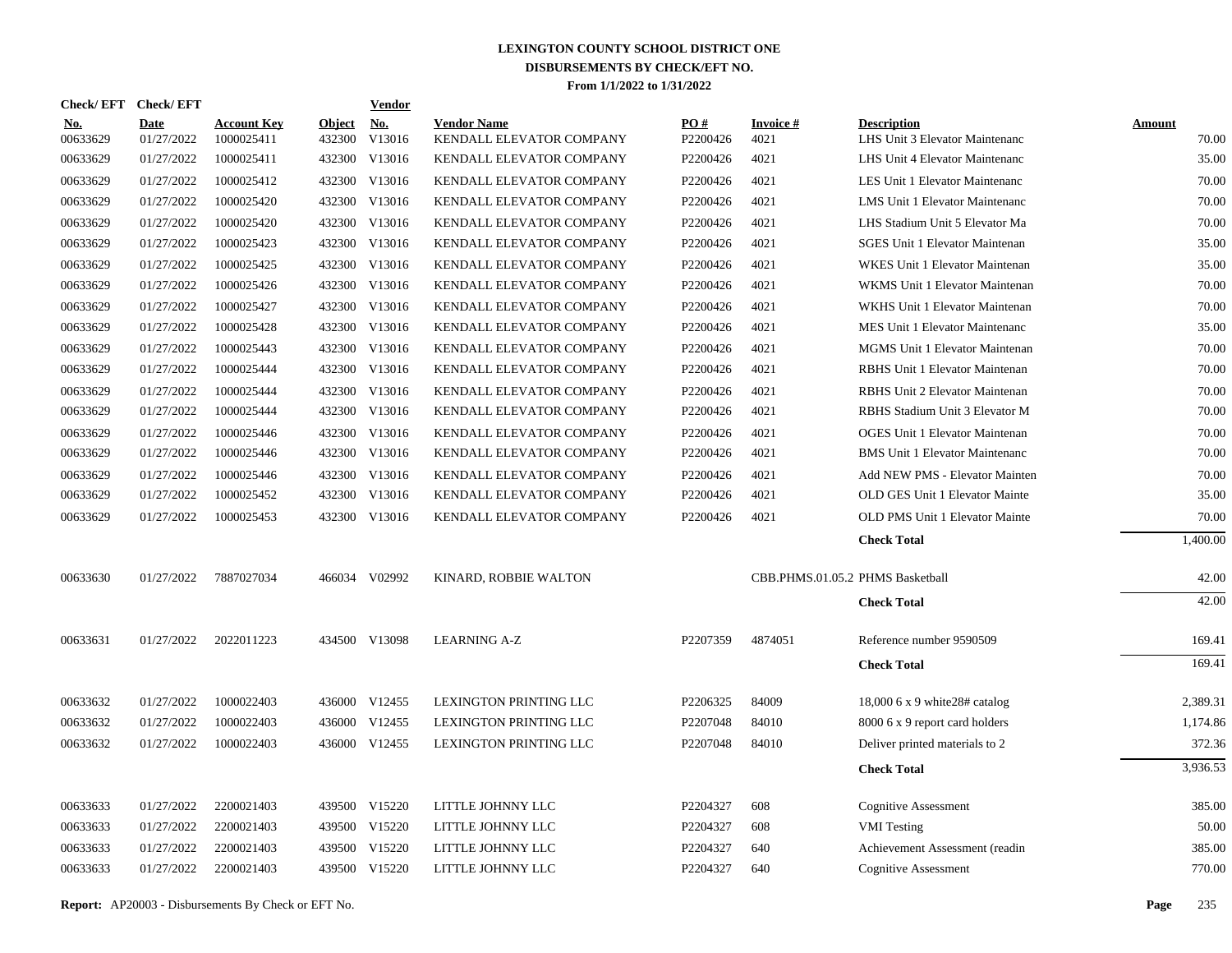| Check/ EFT      | <b>Check/EFT</b>          |                                  |                         | <b>Vendor</b> |                                                |                 |                   |                                                      |                        |
|-----------------|---------------------------|----------------------------------|-------------------------|---------------|------------------------------------------------|-----------------|-------------------|------------------------------------------------------|------------------------|
| No.<br>00633629 | <b>Date</b><br>01/27/2022 | <b>Account Key</b><br>1000025411 | <b>Object</b><br>432300 | No.<br>V13016 | <b>Vendor Name</b><br>KENDALL ELEVATOR COMPANY | PO#<br>P2200426 | Invoice #<br>4021 | <b>Description</b><br>LHS Unit 3 Elevator Maintenanc | <b>Amount</b><br>70.00 |
| 00633629        | 01/27/2022                | 1000025411                       |                         | 432300 V13016 | KENDALL ELEVATOR COMPANY                       | P2200426        | 4021              | LHS Unit 4 Elevator Maintenanc                       | 35.00                  |
| 00633629        | 01/27/2022                | 1000025412                       |                         | 432300 V13016 | KENDALL ELEVATOR COMPANY                       | P2200426        | 4021              | LES Unit 1 Elevator Maintenanc                       | 70.00                  |
| 00633629        | 01/27/2022                | 1000025420                       |                         | 432300 V13016 | KENDALL ELEVATOR COMPANY                       | P2200426        | 4021              | LMS Unit 1 Elevator Maintenanc                       | 70.00                  |
| 00633629        | 01/27/2022                | 1000025420                       |                         | 432300 V13016 | KENDALL ELEVATOR COMPANY                       | P2200426        | 4021              | LHS Stadium Unit 5 Elevator Ma                       | 70.00                  |
| 00633629        | 01/27/2022                | 1000025423                       |                         | 432300 V13016 | KENDALL ELEVATOR COMPANY                       | P2200426        | 4021              | SGES Unit 1 Elevator Maintenan                       | 35.00                  |
| 00633629        | 01/27/2022                | 1000025425                       |                         | 432300 V13016 | KENDALL ELEVATOR COMPANY                       | P2200426        | 4021              | WKES Unit 1 Elevator Maintenan                       | 35.00                  |
| 00633629        | 01/27/2022                | 1000025426                       |                         | 432300 V13016 | KENDALL ELEVATOR COMPANY                       | P2200426        | 4021              | WKMS Unit 1 Elevator Maintenan                       | 70.00                  |
| 00633629        | 01/27/2022                | 1000025427                       |                         | 432300 V13016 | KENDALL ELEVATOR COMPANY                       | P2200426        | 4021              | WKHS Unit 1 Elevator Maintenan                       | 70.00                  |
| 00633629        | 01/27/2022                | 1000025428                       |                         | 432300 V13016 | KENDALL ELEVATOR COMPANY                       | P2200426        | 4021              | MES Unit 1 Elevator Maintenanc                       | 35.00                  |
| 00633629        | 01/27/2022                | 1000025443                       |                         | 432300 V13016 | KENDALL ELEVATOR COMPANY                       | P2200426        | 4021              | MGMS Unit 1 Elevator Maintenan                       | 70.00                  |
| 00633629        | 01/27/2022                | 1000025444                       |                         | 432300 V13016 | KENDALL ELEVATOR COMPANY                       | P2200426        | 4021              | RBHS Unit 1 Elevator Maintenan                       | 70.00                  |
| 00633629        | 01/27/2022                | 1000025444                       |                         | 432300 V13016 | KENDALL ELEVATOR COMPANY                       | P2200426        | 4021              | RBHS Unit 2 Elevator Maintenan                       | 70.00                  |
| 00633629        | 01/27/2022                | 1000025444                       |                         | 432300 V13016 | KENDALL ELEVATOR COMPANY                       | P2200426        | 4021              | RBHS Stadium Unit 3 Elevator M                       | 70.00                  |
| 00633629        | 01/27/2022                | 1000025446                       |                         | 432300 V13016 | KENDALL ELEVATOR COMPANY                       | P2200426        | 4021              | <b>OGES Unit 1 Elevator Maintenan</b>                | 70.00                  |
| 00633629        | 01/27/2022                | 1000025446                       |                         | 432300 V13016 | KENDALL ELEVATOR COMPANY                       | P2200426        | 4021              | <b>BMS</b> Unit 1 Elevator Maintenanc                | 70.00                  |
| 00633629        | 01/27/2022                | 1000025446                       |                         | 432300 V13016 | KENDALL ELEVATOR COMPANY                       | P2200426        | 4021              | Add NEW PMS - Elevator Mainten                       | 70.00                  |
| 00633629        | 01/27/2022                | 1000025452                       |                         | 432300 V13016 | KENDALL ELEVATOR COMPANY                       | P2200426        | 4021              | OLD GES Unit 1 Elevator Mainte                       | 35.00                  |
| 00633629        | 01/27/2022                | 1000025453                       |                         | 432300 V13016 | KENDALL ELEVATOR COMPANY                       | P2200426        | 4021              | OLD PMS Unit 1 Elevator Mainte                       | 70.00                  |
|                 |                           |                                  |                         |               |                                                |                 |                   | <b>Check Total</b>                                   | 1,400.00               |
| 00633630        | 01/27/2022                | 7887027034                       |                         | 466034 V02992 | KINARD, ROBBIE WALTON                          |                 |                   | CBB.PHMS.01.05.2 PHMS Basketball                     | 42.00                  |
|                 |                           |                                  |                         |               |                                                |                 |                   | <b>Check Total</b>                                   | 42.00                  |
| 00633631        | 01/27/2022                | 2022011223                       |                         | 434500 V13098 | <b>LEARNING A-Z</b>                            | P2207359        | 4874051           | Reference number 9590509                             | 169.41                 |
|                 |                           |                                  |                         |               |                                                |                 |                   | <b>Check Total</b>                                   | 169.41                 |
| 00633632        | 01/27/2022                | 1000022403                       |                         | 436000 V12455 | LEXINGTON PRINTING LLC                         | P2206325        | 84009             | 18,000 $6 \times 9$ white 28# catalog                | 2,389.31               |
| 00633632        | 01/27/2022                | 1000022403                       |                         | 436000 V12455 | LEXINGTON PRINTING LLC                         | P2207048        | 84010             | 8000 6 x 9 report card holders                       | 1,174.86               |
| 00633632        | 01/27/2022                | 1000022403                       |                         | 436000 V12455 | LEXINGTON PRINTING LLC                         | P2207048        | 84010             | Deliver printed materials to 2                       | 372.36                 |
|                 |                           |                                  |                         |               |                                                |                 |                   | <b>Check Total</b>                                   | 3,936.53               |
| 00633633        | 01/27/2022                | 2200021403                       |                         | 439500 V15220 | LITTLE JOHNNY LLC                              | P2204327        | 608               | <b>Cognitive Assessment</b>                          | 385.00                 |
| 00633633        | 01/27/2022                | 2200021403                       |                         | 439500 V15220 | LITTLE JOHNNY LLC                              | P2204327        | 608               | <b>VMI</b> Testing                                   | 50.00                  |
| 00633633        | 01/27/2022                | 2200021403                       |                         | 439500 V15220 | LITTLE JOHNNY LLC                              | P2204327        | 640               | Achievement Assessment (readin                       | 385.00                 |
| 00633633        | 01/27/2022                | 2200021403                       |                         | 439500 V15220 | LITTLE JOHNNY LLC                              | P2204327        | 640               | <b>Cognitive Assessment</b>                          | 770.00                 |
|                 |                           |                                  |                         |               |                                                |                 |                   |                                                      |                        |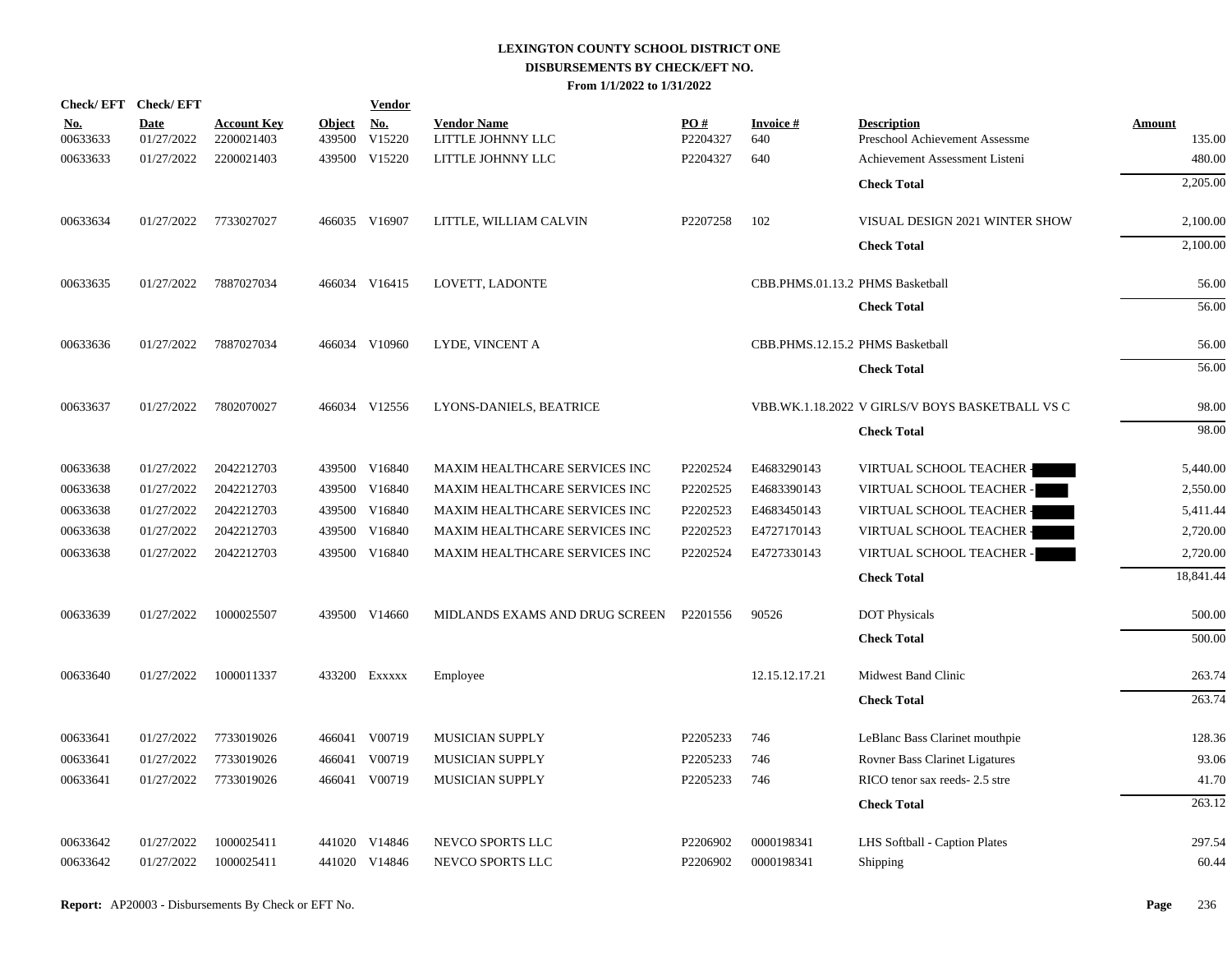| Check/EFT Check/EFT    |                           |                                  |                         | <b>Vendor</b>                  |                                                                |                      |                                  |                                                      |                         |
|------------------------|---------------------------|----------------------------------|-------------------------|--------------------------------|----------------------------------------------------------------|----------------------|----------------------------------|------------------------------------------------------|-------------------------|
| <u>No.</u><br>00633633 | <b>Date</b><br>01/27/2022 | <b>Account Key</b><br>2200021403 | <b>Object</b><br>439500 | <u>No.</u><br>V15220           | <b>Vendor Name</b><br>LITTLE JOHNNY LLC                        | PO#<br>P2204327      | <b>Invoice#</b><br>640           | <b>Description</b><br>Preschool Achievement Assessme | <b>Amount</b><br>135.00 |
| 00633633               | 01/27/2022                | 2200021403                       |                         | 439500 V15220                  | LITTLE JOHNNY LLC                                              | P2204327             | 640                              | Achievement Assessment Listeni                       | 480.00                  |
|                        |                           |                                  |                         |                                |                                                                |                      |                                  | <b>Check Total</b>                                   | 2,205.00                |
|                        |                           |                                  |                         |                                |                                                                |                      |                                  |                                                      |                         |
| 00633634               | 01/27/2022                | 7733027027                       |                         | 466035 V16907                  | LITTLE, WILLIAM CALVIN                                         | P2207258             | 102                              | VISUAL DESIGN 2021 WINTER SHOW                       | 2,100.00                |
|                        |                           |                                  |                         |                                |                                                                |                      |                                  | <b>Check Total</b>                                   | 2,100.00                |
| 00633635               | 01/27/2022                | 7887027034                       |                         | 466034 V16415                  | LOVETT, LADONTE                                                |                      | CBB.PHMS.01.13.2 PHMS Basketball |                                                      | 56.00                   |
|                        |                           |                                  |                         |                                |                                                                |                      |                                  |                                                      |                         |
|                        |                           |                                  |                         |                                |                                                                |                      |                                  | <b>Check Total</b>                                   | 56.00                   |
| 00633636               | 01/27/2022                | 7887027034                       |                         | 466034 V10960                  | LYDE, VINCENT A                                                |                      | CBB.PHMS.12.15.2 PHMS Basketball |                                                      | 56.00                   |
|                        |                           |                                  |                         |                                |                                                                |                      |                                  | <b>Check Total</b>                                   | 56.00                   |
| 00633637               | 01/27/2022                | 7802070027                       |                         | 466034 V12556                  | LYONS-DANIELS, BEATRICE                                        |                      |                                  | VBB.WK.1.18.2022 V GIRLS/V BOYS BASKETBALL VS C      | 98.00                   |
|                        |                           |                                  |                         |                                |                                                                |                      |                                  | <b>Check Total</b>                                   | 98.00                   |
|                        |                           |                                  |                         |                                |                                                                |                      |                                  |                                                      |                         |
| 00633638               | 01/27/2022                | 2042212703                       |                         | 439500 V16840                  | MAXIM HEALTHCARE SERVICES INC                                  | P2202524             | E4683290143                      | VIRTUAL SCHOOL TEACHER -                             | 5,440.00                |
| 00633638               | 01/27/2022                | 2042212703                       |                         | 439500 V16840                  | MAXIM HEALTHCARE SERVICES INC                                  | P2202525             | E4683390143                      | VIRTUAL SCHOOL TEACHER -                             | 2,550.00                |
| 00633638<br>00633638   | 01/27/2022<br>01/27/2022  | 2042212703<br>2042212703         |                         | 439500 V16840<br>439500 V16840 | MAXIM HEALTHCARE SERVICES INC<br>MAXIM HEALTHCARE SERVICES INC | P2202523<br>P2202523 | E4683450143<br>E4727170143       | VIRTUAL SCHOOL TEACHER -                             | 5,411.44<br>2,720.00    |
|                        |                           |                                  |                         | 439500 V16840                  | MAXIM HEALTHCARE SERVICES INC                                  | P2202524             |                                  | VIRTUAL SCHOOL TEACHER -                             | 2,720.00                |
| 00633638               | 01/27/2022                | 2042212703                       |                         |                                |                                                                |                      | E4727330143                      | VIRTUAL SCHOOL TEACHER -                             |                         |
|                        |                           |                                  |                         |                                |                                                                |                      |                                  | <b>Check Total</b>                                   | 18,841.44               |
| 00633639               | 01/27/2022                | 1000025507                       |                         | 439500 V14660                  | MIDLANDS EXAMS AND DRUG SCREEN                                 | P2201556             | 90526                            | <b>DOT</b> Physicals                                 | 500.00                  |
|                        |                           |                                  |                         |                                |                                                                |                      |                                  | <b>Check Total</b>                                   | 500.00                  |
| 00633640               | 01/27/2022                | 1000011337                       |                         | 433200 EXXXXX                  | Employee                                                       |                      | 12.15.12.17.21                   | Midwest Band Clinic                                  | 263.74                  |
|                        |                           |                                  |                         |                                |                                                                |                      |                                  | <b>Check Total</b>                                   | 263.74                  |
|                        |                           |                                  |                         |                                |                                                                |                      |                                  |                                                      |                         |
| 00633641               | 01/27/2022                | 7733019026                       |                         | 466041 V00719                  | MUSICIAN SUPPLY                                                | P2205233             | 746                              | LeBlanc Bass Clarinet mouthpie                       | 128.36                  |
| 00633641               | 01/27/2022                | 7733019026                       | 466041                  | V00719                         | <b>MUSICIAN SUPPLY</b>                                         | P2205233             | 746                              | Rovner Bass Clarinet Ligatures                       | 93.06                   |
| 00633641               | 01/27/2022                | 7733019026                       |                         | 466041 V00719                  | <b>MUSICIAN SUPPLY</b>                                         | P2205233             | 746                              | RICO tenor sax reeds- 2.5 stre                       | 41.70                   |
|                        |                           |                                  |                         |                                |                                                                |                      |                                  | <b>Check Total</b>                                   | 263.12                  |
| 00633642               | 01/27/2022                | 1000025411                       |                         | 441020 V14846                  | NEVCO SPORTS LLC                                               | P2206902             | 0000198341                       | LHS Softball - Caption Plates                        | 297.54                  |
| 00633642               | 01/27/2022                | 1000025411                       |                         | 441020 V14846                  | NEVCO SPORTS LLC                                               | P2206902             | 0000198341                       | Shipping                                             | 60.44                   |
|                        |                           |                                  |                         |                                |                                                                |                      |                                  |                                                      |                         |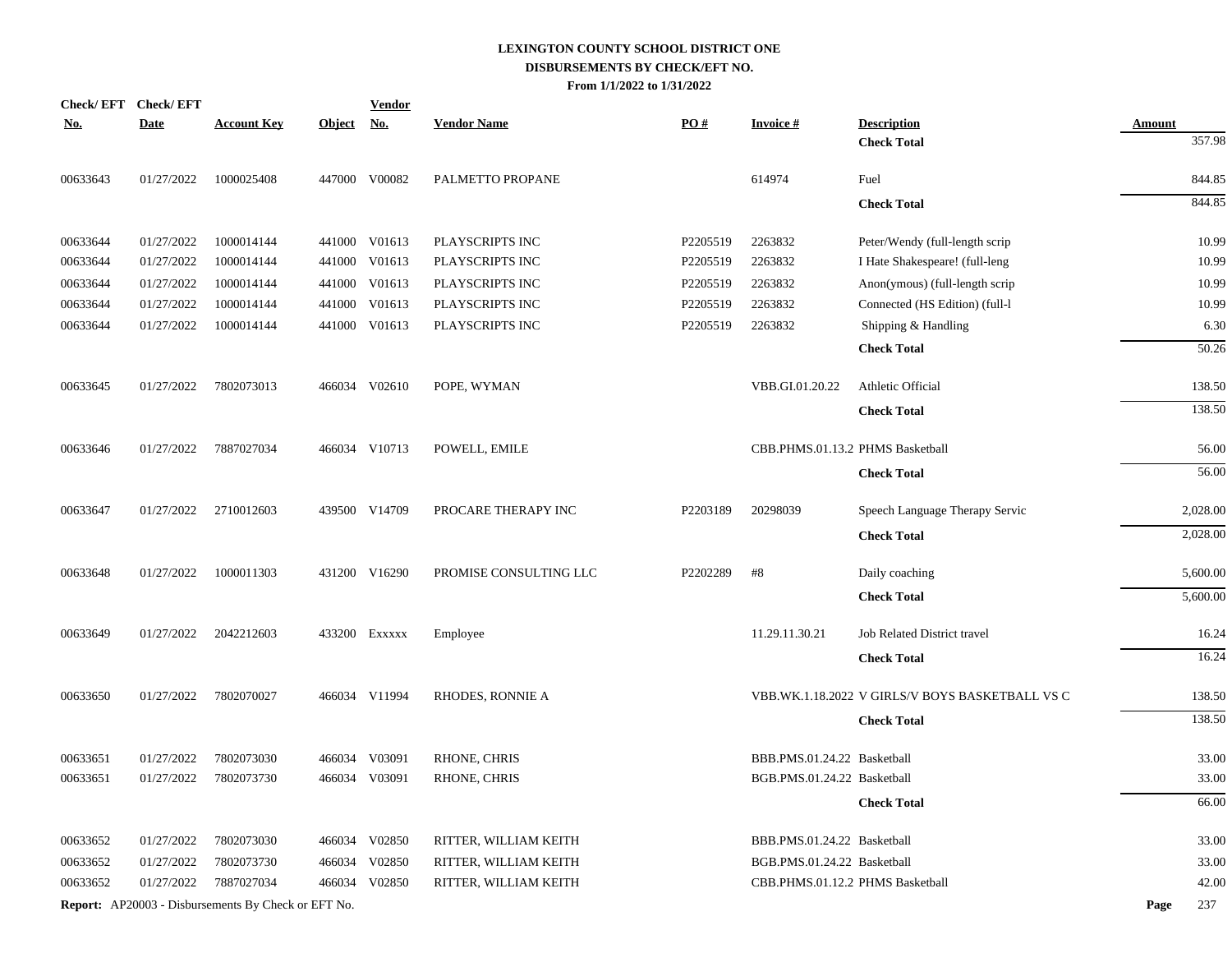|            | Check/EFT Check/EFT |                                                            |            | <b>Vendor</b> |                        |          |                                  |                                                 |               |
|------------|---------------------|------------------------------------------------------------|------------|---------------|------------------------|----------|----------------------------------|-------------------------------------------------|---------------|
| <u>No.</u> | <b>Date</b>         | <b>Account Key</b>                                         | Object No. |               | <b>Vendor Name</b>     | PO#      | <b>Invoice#</b>                  | <b>Description</b>                              | <b>Amount</b> |
|            |                     |                                                            |            |               |                        |          |                                  | <b>Check Total</b>                              | 357.98        |
| 00633643   | 01/27/2022          | 1000025408                                                 |            | 447000 V00082 | PALMETTO PROPANE       |          | 614974                           | Fuel                                            | 844.85        |
|            |                     |                                                            |            |               |                        |          |                                  | <b>Check Total</b>                              | 844.85        |
| 00633644   | 01/27/2022          | 1000014144                                                 |            | 441000 V01613 | PLAYSCRIPTS INC        | P2205519 | 2263832                          | Peter/Wendy (full-length scrip                  | 10.99         |
| 00633644   | 01/27/2022          | 1000014144                                                 |            | 441000 V01613 | PLAYSCRIPTS INC        | P2205519 | 2263832                          | I Hate Shakespeare! (full-leng                  | 10.99         |
| 00633644   | 01/27/2022          | 1000014144                                                 | 441000     | V01613        | PLAYSCRIPTS INC        | P2205519 | 2263832                          | Anon(ymous) (full-length scrip                  | 10.99         |
| 00633644   | 01/27/2022          | 1000014144                                                 | 441000     | V01613        | PLAYSCRIPTS INC        | P2205519 | 2263832                          | Connected (HS Edition) (full-1                  | 10.99         |
| 00633644   | 01/27/2022          | 1000014144                                                 |            | 441000 V01613 | PLAYSCRIPTS INC        | P2205519 | 2263832                          | Shipping & Handling                             | 6.30          |
|            |                     |                                                            |            |               |                        |          |                                  | <b>Check Total</b>                              | 50.26         |
| 00633645   | 01/27/2022          | 7802073013                                                 |            | 466034 V02610 | POPE, WYMAN            |          | VBB.GI.01.20.22                  | Athletic Official                               | 138.50        |
|            |                     |                                                            |            |               |                        |          |                                  | <b>Check Total</b>                              | 138.50        |
| 00633646   | 01/27/2022          | 7887027034                                                 |            | 466034 V10713 | POWELL, EMILE          |          | CBB.PHMS.01.13.2 PHMS Basketball |                                                 | 56.00         |
|            |                     |                                                            |            |               |                        |          |                                  | <b>Check Total</b>                              | 56.00         |
| 00633647   | 01/27/2022          | 2710012603                                                 |            | 439500 V14709 | PROCARE THERAPY INC    | P2203189 | 20298039                         | Speech Language Therapy Servic                  | 2,028.00      |
|            |                     |                                                            |            |               |                        |          |                                  | <b>Check Total</b>                              | 2,028.00      |
| 00633648   | 01/27/2022          | 1000011303                                                 |            | 431200 V16290 | PROMISE CONSULTING LLC | P2202289 | #8                               | Daily coaching                                  | 5,600.00      |
|            |                     |                                                            |            |               |                        |          |                                  | <b>Check Total</b>                              | 5,600.00      |
| 00633649   | 01/27/2022          | 2042212603                                                 |            | 433200 EXXXXX | Employee               |          | 11.29.11.30.21                   | Job Related District travel                     | 16.24         |
|            |                     |                                                            |            |               |                        |          |                                  | <b>Check Total</b>                              | 16.24         |
| 00633650   | 01/27/2022          | 7802070027                                                 |            | 466034 V11994 | RHODES, RONNIE A       |          |                                  | VBB.WK.1.18.2022 V GIRLS/V BOYS BASKETBALL VS C | 138.50        |
|            |                     |                                                            |            |               |                        |          |                                  | <b>Check Total</b>                              | 138.50        |
| 00633651   | 01/27/2022          | 7802073030                                                 |            | 466034 V03091 | RHONE, CHRIS           |          | BBB.PMS.01.24.22 Basketball      |                                                 | 33.00         |
| 00633651   | 01/27/2022          | 7802073730                                                 |            | 466034 V03091 | RHONE, CHRIS           |          | BGB.PMS.01.24.22 Basketball      |                                                 | 33.00         |
|            |                     |                                                            |            |               |                        |          |                                  | <b>Check Total</b>                              | 66.00         |
| 00633652   | 01/27/2022          | 7802073030                                                 |            | 466034 V02850 | RITTER, WILLIAM KEITH  |          | BBB.PMS.01.24.22 Basketball      |                                                 | 33.00         |
| 00633652   | 01/27/2022          | 7802073730                                                 |            | 466034 V02850 | RITTER, WILLIAM KEITH  |          | BGB.PMS.01.24.22 Basketball      |                                                 | 33.00         |
| 00633652   | 01/27/2022          | 7887027034                                                 |            | 466034 V02850 | RITTER, WILLIAM KEITH  |          | CBB.PHMS.01.12.2 PHMS Basketball |                                                 | 42.00         |
|            |                     | <b>Report:</b> AP20003 - Disbursements By Check or EFT No. |            |               |                        |          |                                  |                                                 | 237<br>Page   |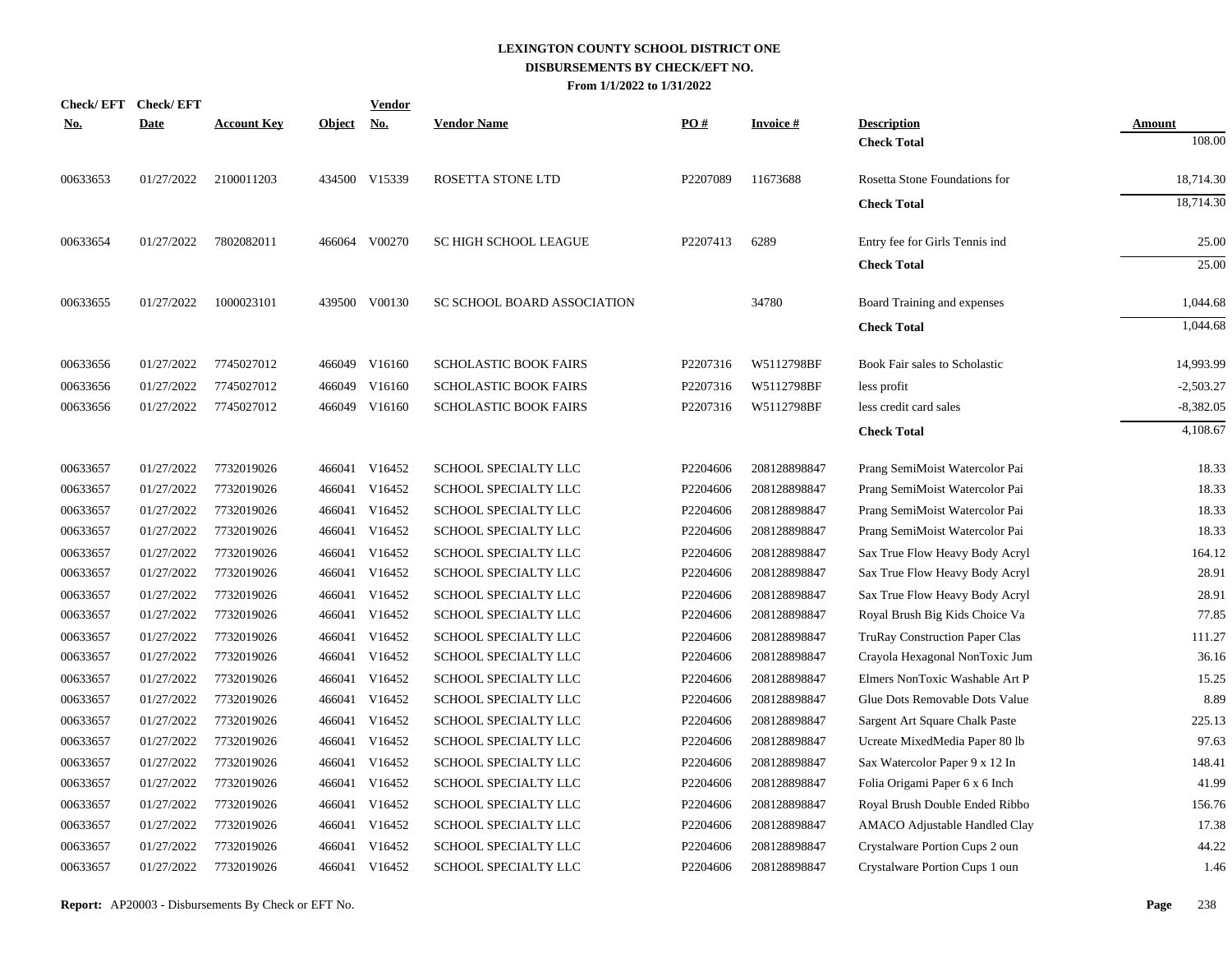| <b>Check/EFT</b> | <b>Check/EFT</b> |                    |               | Vendor        |                              |          |                 |                                       |               |
|------------------|------------------|--------------------|---------------|---------------|------------------------------|----------|-----------------|---------------------------------------|---------------|
| <u>No.</u>       | <b>Date</b>      | <b>Account Key</b> | <b>Object</b> | <u>No.</u>    | <b>Vendor Name</b>           | PO#      | <b>Invoice#</b> | <b>Description</b>                    | <b>Amount</b> |
|                  |                  |                    |               |               |                              |          |                 | <b>Check Total</b>                    | 108.00        |
| 00633653         | 01/27/2022       | 2100011203         |               | 434500 V15339 | ROSETTA STONE LTD            | P2207089 | 11673688        | Rosetta Stone Foundations for         | 18,714.30     |
|                  |                  |                    |               |               |                              |          |                 | <b>Check Total</b>                    | 18,714.30     |
| 00633654         | 01/27/2022       | 7802082011         |               | 466064 V00270 | SC HIGH SCHOOL LEAGUE        | P2207413 | 6289            | Entry fee for Girls Tennis ind        | 25.00         |
|                  |                  |                    |               |               |                              |          |                 | <b>Check Total</b>                    | 25.00         |
| 00633655         | 01/27/2022       | 1000023101         |               | 439500 V00130 | SC SCHOOL BOARD ASSOCIATION  |          | 34780           | Board Training and expenses           | 1,044.68      |
|                  |                  |                    |               |               |                              |          |                 | <b>Check Total</b>                    | 1,044.68      |
| 00633656         | 01/27/2022       | 7745027012         |               | 466049 V16160 | SCHOLASTIC BOOK FAIRS        | P2207316 | W5112798BF      | Book Fair sales to Scholastic         | 14,993.99     |
| 00633656         | 01/27/2022       | 7745027012         |               | 466049 V16160 | SCHOLASTIC BOOK FAIRS        | P2207316 | W5112798BF      | less profit                           | $-2,503.27$   |
| 00633656         | 01/27/2022       | 7745027012         |               | 466049 V16160 | <b>SCHOLASTIC BOOK FAIRS</b> | P2207316 | W5112798BF      | less credit card sales                | $-8,382.05$   |
|                  |                  |                    |               |               |                              |          |                 | <b>Check Total</b>                    | 4,108.67      |
| 00633657         | 01/27/2022       | 7732019026         |               | 466041 V16452 | SCHOOL SPECIALTY LLC         | P2204606 | 208128898847    | Prang SemiMoist Watercolor Pai        | 18.33         |
| 00633657         | 01/27/2022       | 7732019026         |               | 466041 V16452 | SCHOOL SPECIALTY LLC         | P2204606 | 208128898847    | Prang SemiMoist Watercolor Pai        | 18.33         |
| 00633657         | 01/27/2022       | 7732019026         |               | 466041 V16452 | SCHOOL SPECIALTY LLC         | P2204606 | 208128898847    | Prang SemiMoist Watercolor Pai        | 18.33         |
| 00633657         | 01/27/2022       | 7732019026         |               | 466041 V16452 | SCHOOL SPECIALTY LLC         | P2204606 | 208128898847    | Prang SemiMoist Watercolor Pai        | 18.33         |
| 00633657         | 01/27/2022       | 7732019026         |               | 466041 V16452 | SCHOOL SPECIALTY LLC         | P2204606 | 208128898847    | Sax True Flow Heavy Body Acryl        | 164.12        |
| 00633657         | 01/27/2022       | 7732019026         |               | 466041 V16452 | SCHOOL SPECIALTY LLC         | P2204606 | 208128898847    | Sax True Flow Heavy Body Acryl        | 28.91         |
| 00633657         | 01/27/2022       | 7732019026         | 466041        | V16452        | SCHOOL SPECIALTY LLC         | P2204606 | 208128898847    | Sax True Flow Heavy Body Acryl        | 28.91         |
| 00633657         | 01/27/2022       | 7732019026         |               | 466041 V16452 | SCHOOL SPECIALTY LLC         | P2204606 | 208128898847    | Royal Brush Big Kids Choice Va        | 77.85         |
| 00633657         | 01/27/2022       | 7732019026         | 466041        | V16452        | SCHOOL SPECIALTY LLC         | P2204606 | 208128898847    | <b>TruRay Construction Paper Clas</b> | 111.27        |
| 00633657         | 01/27/2022       | 7732019026         |               | 466041 V16452 | SCHOOL SPECIALTY LLC         | P2204606 | 208128898847    | Crayola Hexagonal NonToxic Jum        | 36.16         |
| 00633657         | 01/27/2022       | 7732019026         | 466041        | V16452        | SCHOOL SPECIALTY LLC         | P2204606 | 208128898847    | Elmers NonToxic Washable Art P        | 15.25         |
| 00633657         | 01/27/2022       | 7732019026         |               | 466041 V16452 | SCHOOL SPECIALTY LLC         | P2204606 | 208128898847    | Glue Dots Removable Dots Value        | 8.89          |
| 00633657         | 01/27/2022       | 7732019026         | 466041        | V16452        | SCHOOL SPECIALTY LLC         | P2204606 | 208128898847    | Sargent Art Square Chalk Paste        | 225.13        |
| 00633657         | 01/27/2022       | 7732019026         |               | 466041 V16452 | SCHOOL SPECIALTY LLC         | P2204606 | 208128898847    | Ucreate MixedMedia Paper 80 lb        | 97.63         |
| 00633657         | 01/27/2022       | 7732019026         | 466041        | V16452        | <b>SCHOOL SPECIALTY LLC</b>  | P2204606 | 208128898847    | Sax Watercolor Paper 9 x 12 In        | 148.41        |
| 00633657         | 01/27/2022       | 7732019026         |               | 466041 V16452 | SCHOOL SPECIALTY LLC         | P2204606 | 208128898847    | Folia Origami Paper 6 x 6 Inch        | 41.99         |
| 00633657         | 01/27/2022       | 7732019026         | 466041        | V16452        | SCHOOL SPECIALTY LLC         | P2204606 | 208128898847    | Royal Brush Double Ended Ribbo        | 156.76        |
| 00633657         | 01/27/2022       | 7732019026         |               | 466041 V16452 | SCHOOL SPECIALTY LLC         | P2204606 | 208128898847    | AMACO Adjustable Handled Clay         | 17.38         |
| 00633657         | 01/27/2022       | 7732019026         | 466041        | V16452        | SCHOOL SPECIALTY LLC         | P2204606 | 208128898847    | Crystalware Portion Cups 2 oun        | 44.22         |
| 00633657         | 01/27/2022       | 7732019026         |               | 466041 V16452 | <b>SCHOOL SPECIALTY LLC</b>  | P2204606 | 208128898847    | Crystalware Portion Cups 1 oun        | 1.46          |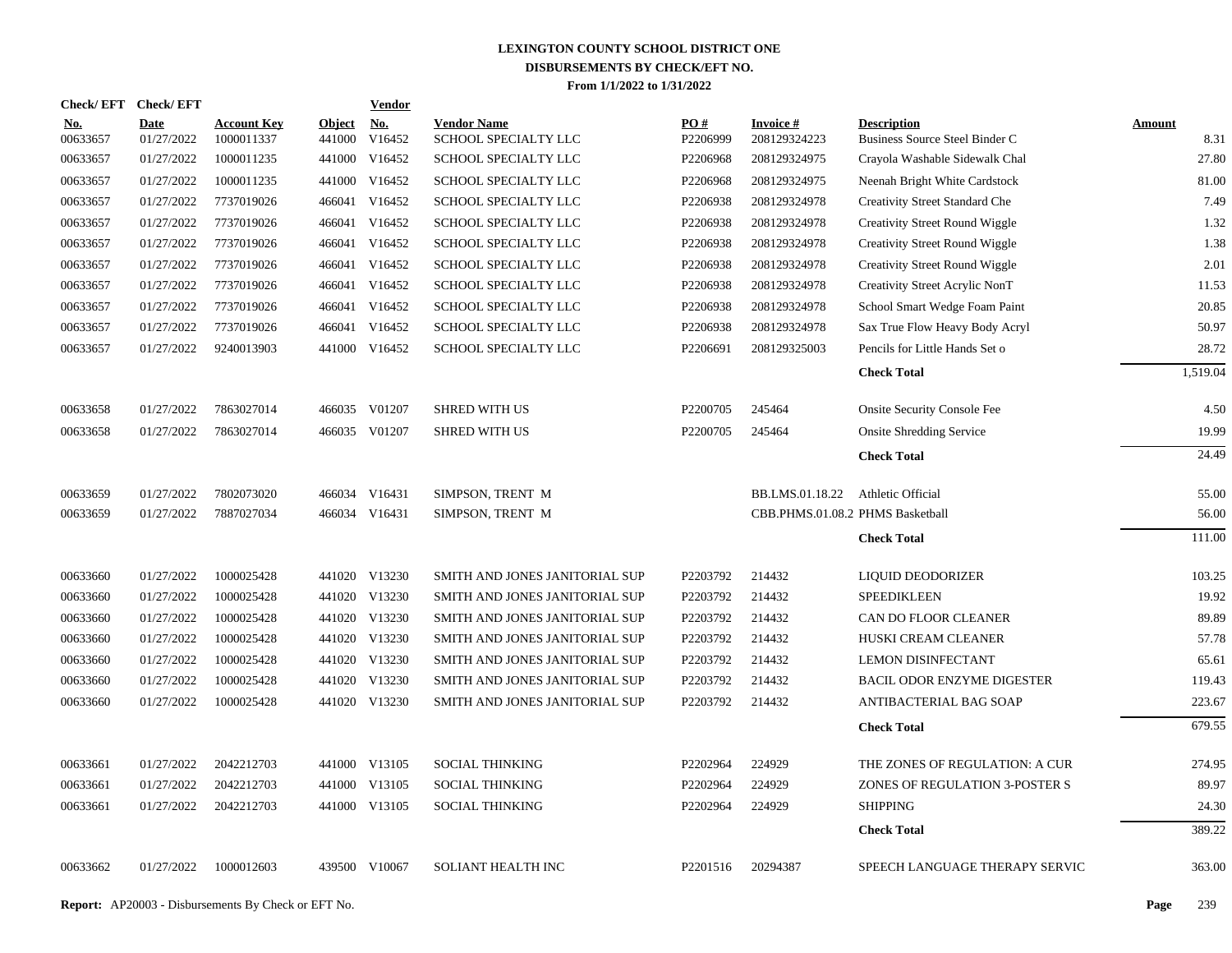|                        | Check/EFT Check/EFT       |                                  |                         | <b>Vendor</b> |                                            |                 |                                  |                                                      |                       |
|------------------------|---------------------------|----------------------------------|-------------------------|---------------|--------------------------------------------|-----------------|----------------------------------|------------------------------------------------------|-----------------------|
| <b>No.</b><br>00633657 | <b>Date</b><br>01/27/2022 | <b>Account Key</b><br>1000011337 | <b>Object</b><br>441000 | No.<br>V16452 | <b>Vendor Name</b><br>SCHOOL SPECIALTY LLC | PO#<br>P2206999 | <b>Invoice#</b><br>208129324223  | <b>Description</b><br>Business Source Steel Binder C | <b>Amount</b><br>8.31 |
| 00633657               | 01/27/2022                | 1000011235                       | 441000                  | V16452        | SCHOOL SPECIALTY LLC                       | P2206968        | 208129324975                     | Crayola Washable Sidewalk Chal                       | 27.80                 |
| 00633657               | 01/27/2022                | 1000011235                       | 441000                  | V16452        | SCHOOL SPECIALTY LLC                       | P2206968        | 208129324975                     | Neenah Bright White Cardstock                        | 81.00                 |
| 00633657               | 01/27/2022                | 7737019026                       | 466041                  | V16452        | SCHOOL SPECIALTY LLC                       | P2206938        | 208129324978                     | Creativity Street Standard Che                       | 7.49                  |
| 00633657               | 01/27/2022                | 7737019026                       | 466041                  | V16452        | SCHOOL SPECIALTY LLC                       | P2206938        | 208129324978                     | Creativity Street Round Wiggle                       | 1.32                  |
| 00633657               | 01/27/2022                | 7737019026                       | 466041                  | V16452        | SCHOOL SPECIALTY LLC                       | P2206938        | 208129324978                     | <b>Creativity Street Round Wiggle</b>                | 1.38                  |
| 00633657               | 01/27/2022                | 7737019026                       | 466041                  | V16452        | SCHOOL SPECIALTY LLC                       | P2206938        | 208129324978                     | <b>Creativity Street Round Wiggle</b>                | 2.01                  |
| 00633657               | 01/27/2022                | 7737019026                       | 466041                  | V16452        | SCHOOL SPECIALTY LLC                       | P2206938        | 208129324978                     | Creativity Street Acrylic NonT                       | 11.53                 |
| 00633657               | 01/27/2022                | 7737019026                       | 466041                  | V16452        | SCHOOL SPECIALTY LLC                       | P2206938        | 208129324978                     | School Smart Wedge Foam Paint                        | 20.85                 |
| 00633657               | 01/27/2022                | 7737019026                       | 466041                  | V16452        | SCHOOL SPECIALTY LLC                       | P2206938        | 208129324978                     | Sax True Flow Heavy Body Acryl                       | 50.97                 |
| 00633657               | 01/27/2022                | 9240013903                       | 441000                  | V16452        | SCHOOL SPECIALTY LLC                       | P2206691        | 208129325003                     | Pencils for Little Hands Set o                       | 28.72                 |
|                        |                           |                                  |                         |               |                                            |                 |                                  | <b>Check Total</b>                                   | 1,519.04              |
| 00633658               | 01/27/2022                | 7863027014                       |                         | 466035 V01207 | <b>SHRED WITH US</b>                       | P2200705        | 245464                           | <b>Onsite Security Console Fee</b>                   | 4.50                  |
| 00633658               | 01/27/2022                | 7863027014                       |                         | 466035 V01207 | <b>SHRED WITH US</b>                       | P2200705        | 245464                           | <b>Onsite Shredding Service</b>                      | 19.99                 |
|                        |                           |                                  |                         |               |                                            |                 |                                  | <b>Check Total</b>                                   | 24.49                 |
| 00633659               | 01/27/2022                | 7802073020                       |                         | 466034 V16431 | SIMPSON, TRENT M                           |                 | BB.LMS.01.18.22                  | Athletic Official                                    | 55.00                 |
| 00633659               | 01/27/2022                | 7887027034                       |                         | 466034 V16431 | SIMPSON, TRENT M                           |                 | CBB.PHMS.01.08.2 PHMS Basketball |                                                      | 56.00                 |
|                        |                           |                                  |                         |               |                                            |                 |                                  | <b>Check Total</b>                                   | 111.00                |
| 00633660               | 01/27/2022                | 1000025428                       |                         | 441020 V13230 | SMITH AND JONES JANITORIAL SUP             | P2203792        | 214432                           | LIQUID DEODORIZER                                    | 103.25                |
| 00633660               | 01/27/2022                | 1000025428                       |                         | 441020 V13230 | SMITH AND JONES JANITORIAL SUP             | P2203792        | 214432                           | <b>SPEEDIKLEEN</b>                                   | 19.92                 |
| 00633660               | 01/27/2022                | 1000025428                       |                         | 441020 V13230 | SMITH AND JONES JANITORIAL SUP             | P2203792        | 214432                           | CAN DO FLOOR CLEANER                                 | 89.89                 |
| 00633660               | 01/27/2022                | 1000025428                       |                         | 441020 V13230 | SMITH AND JONES JANITORIAL SUP             | P2203792        | 214432                           | HUSKI CREAM CLEANER                                  | 57.78                 |
| 00633660               | 01/27/2022                | 1000025428                       |                         | 441020 V13230 | SMITH AND JONES JANITORIAL SUP             | P2203792        | 214432                           | LEMON DISINFECTANT                                   | 65.61                 |
| 00633660               | 01/27/2022                | 1000025428                       |                         | 441020 V13230 | SMITH AND JONES JANITORIAL SUP             | P2203792        | 214432                           | <b>BACIL ODOR ENZYME DIGESTER</b>                    | 119.43                |
| 00633660               | 01/27/2022                | 1000025428                       |                         | 441020 V13230 | SMITH AND JONES JANITORIAL SUP             | P2203792        | 214432                           | ANTIBACTERIAL BAG SOAP                               | 223.67                |
|                        |                           |                                  |                         |               |                                            |                 |                                  | <b>Check Total</b>                                   | 679.55                |
| 00633661               | 01/27/2022                | 2042212703                       |                         | 441000 V13105 | <b>SOCIAL THINKING</b>                     | P2202964        | 224929                           | THE ZONES OF REGULATION: A CUR                       | 274.95                |
| 00633661               | 01/27/2022                | 2042212703                       | 441000                  | V13105        | <b>SOCIAL THINKING</b>                     | P2202964        | 224929                           | ZONES OF REGULATION 3-POSTER S                       | 89.97                 |
| 00633661               | 01/27/2022                | 2042212703                       |                         | 441000 V13105 | <b>SOCIAL THINKING</b>                     | P2202964        | 224929                           | <b>SHIPPING</b>                                      | 24.30                 |
|                        |                           |                                  |                         |               |                                            |                 |                                  | <b>Check Total</b>                                   | 389.22                |
| 00633662               | 01/27/2022                | 1000012603                       |                         | 439500 V10067 | SOLIANT HEALTH INC                         | P2201516        | 20294387                         | SPEECH LANGUAGE THERAPY SERVIC                       | 363.00                |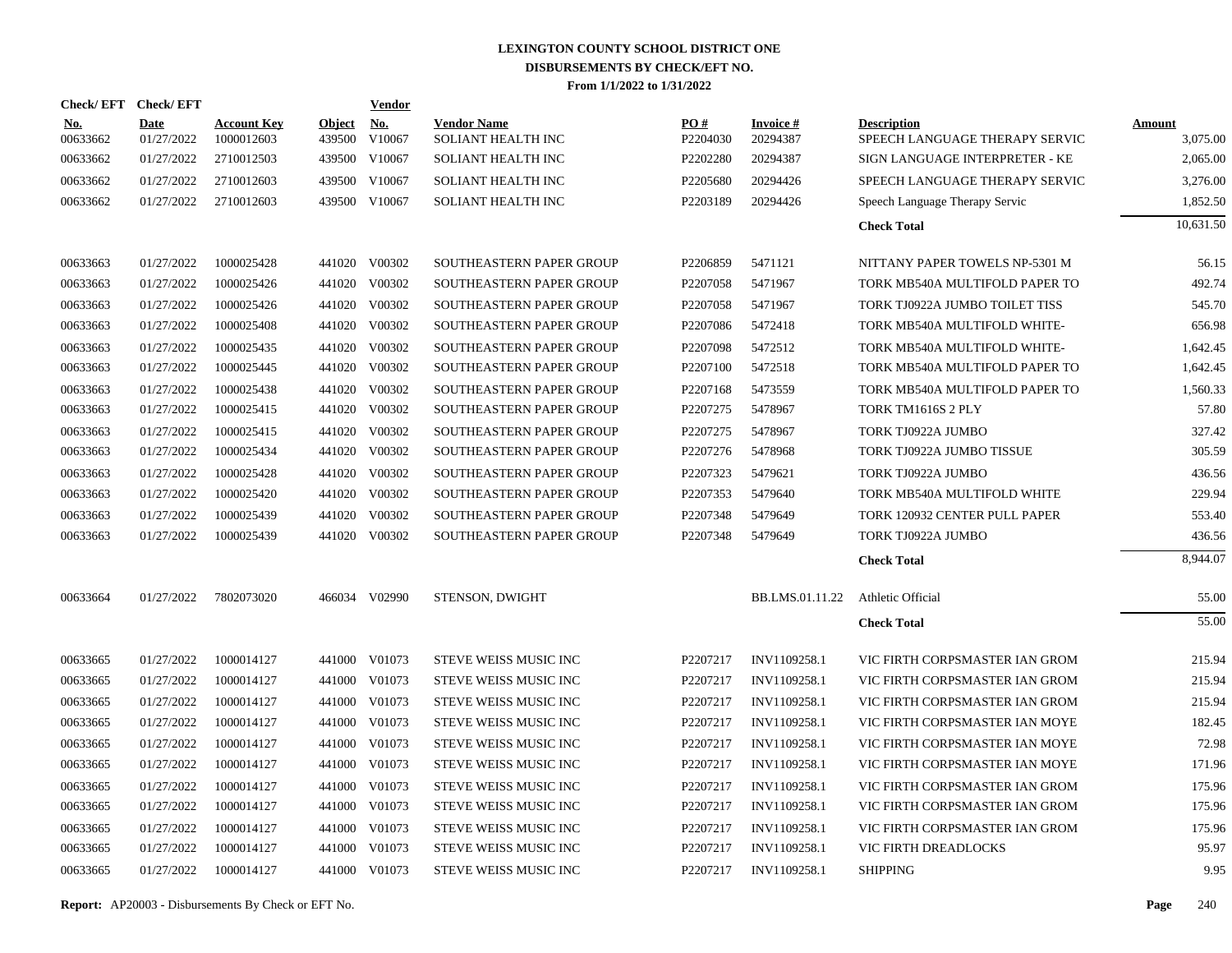|                        | Check/EFT Check/EFT       |                                  |                         | Vendor               |                                          |                 |                             |                                                      |                           |
|------------------------|---------------------------|----------------------------------|-------------------------|----------------------|------------------------------------------|-----------------|-----------------------------|------------------------------------------------------|---------------------------|
| <u>No.</u><br>00633662 | <b>Date</b><br>01/27/2022 | <b>Account Key</b><br>1000012603 | <b>Object</b><br>439500 | <u>No.</u><br>V10067 | <b>Vendor Name</b><br>SOLIANT HEALTH INC | PO#<br>P2204030 | <b>Invoice#</b><br>20294387 | <b>Description</b><br>SPEECH LANGUAGE THERAPY SERVIC | <b>Amount</b><br>3,075.00 |
| 00633662               | 01/27/2022                | 2710012503                       |                         | 439500 V10067        | SOLIANT HEALTH INC                       | P2202280        | 20294387                    | SIGN LANGUAGE INTERPRETER - KE                       | 2,065.00                  |
| 00633662               | 01/27/2022                | 2710012603                       | 439500                  | V10067               | SOLIANT HEALTH INC                       | P2205680        | 20294426                    | SPEECH LANGUAGE THERAPY SERVIC                       | 3,276.00                  |
| 00633662               | 01/27/2022                | 2710012603                       |                         | 439500 V10067        | SOLIANT HEALTH INC                       | P2203189        | 20294426                    | Speech Language Therapy Servic                       | 1,852.50                  |
|                        |                           |                                  |                         |                      |                                          |                 |                             | <b>Check Total</b>                                   | 10,631.50                 |
| 00633663               | 01/27/2022                | 1000025428                       |                         | 441020 V00302        | SOUTHEASTERN PAPER GROUP                 | P2206859        | 5471121                     | NITTANY PAPER TOWELS NP-5301 M                       | 56.15                     |
| 00633663               | 01/27/2022                | 1000025426                       |                         | 441020 V00302        | SOUTHEASTERN PAPER GROUP                 | P2207058        | 5471967                     | TORK MB540A MULTIFOLD PAPER TO                       | 492.74                    |
| 00633663               | 01/27/2022                | 1000025426                       | 441020                  | V00302               | SOUTHEASTERN PAPER GROUP                 | P2207058        | 5471967                     | TORK TJ0922A JUMBO TOILET TISS                       | 545.70                    |
| 00633663               | 01/27/2022                | 1000025408                       | 441020                  | V00302               | SOUTHEASTERN PAPER GROUP                 | P2207086        | 5472418                     | TORK MB540A MULTIFOLD WHITE-                         | 656.98                    |
| 00633663               | 01/27/2022                | 1000025435                       | 441020                  | V00302               | SOUTHEASTERN PAPER GROUP                 | P2207098        | 5472512                     | TORK MB540A MULTIFOLD WHITE-                         | 1,642.45                  |
| 00633663               | 01/27/2022                | 1000025445                       | 441020                  | V00302               | SOUTHEASTERN PAPER GROUP                 | P2207100        | 5472518                     | TORK MB540A MULTIFOLD PAPER TO                       | 1,642.45                  |
| 00633663               | 01/27/2022                | 1000025438                       | 441020                  | V00302               | SOUTHEASTERN PAPER GROUP                 | P2207168        | 5473559                     | TORK MB540A MULTIFOLD PAPER TO                       | 1,560.33                  |
| 00633663               | 01/27/2022                | 1000025415                       |                         | 441020 V00302        | SOUTHEASTERN PAPER GROUP                 | P2207275        | 5478967                     | TORK TM1616S 2 PLY                                   | 57.80                     |
| 00633663               | 01/27/2022                | 1000025415                       | 441020                  | V00302               | SOUTHEASTERN PAPER GROUP                 | P2207275        | 5478967                     | TORK TJ0922A JUMBO                                   | 327.42                    |
| 00633663               | 01/27/2022                | 1000025434                       | 441020                  | V00302               | SOUTHEASTERN PAPER GROUP                 | P2207276        | 5478968                     | TORK TJ0922A JUMBO TISSUE                            | 305.59                    |
| 00633663               | 01/27/2022                | 1000025428                       | 441020                  | V00302               | SOUTHEASTERN PAPER GROUP                 | P2207323        | 5479621                     | TORK TJ0922A JUMBO                                   | 436.56                    |
| 00633663               | 01/27/2022                | 1000025420                       | 441020                  | V00302               | SOUTHEASTERN PAPER GROUP                 | P2207353        | 5479640                     | TORK MB540A MULTIFOLD WHITE                          | 229.94                    |
| 00633663               | 01/27/2022                | 1000025439                       | 441020                  | V00302               | SOUTHEASTERN PAPER GROUP                 | P2207348        | 5479649                     | TORK 120932 CENTER PULL PAPER                        | 553.40                    |
| 00633663               | 01/27/2022                | 1000025439                       |                         | 441020 V00302        | SOUTHEASTERN PAPER GROUP                 | P2207348        | 5479649                     | TORK TJ0922A JUMBO                                   | 436.56                    |
|                        |                           |                                  |                         |                      |                                          |                 |                             | <b>Check Total</b>                                   | 8.944.07                  |
| 00633664               | 01/27/2022                | 7802073020                       |                         | 466034 V02990        | STENSON, DWIGHT                          |                 | BB.LMS.01.11.22             | Athletic Official                                    | 55.00                     |
|                        |                           |                                  |                         |                      |                                          |                 |                             | <b>Check Total</b>                                   | 55.00                     |
| 00633665               | 01/27/2022                | 1000014127                       |                         | 441000 V01073        | STEVE WEISS MUSIC INC                    | P2207217        | INV1109258.1                | VIC FIRTH CORPSMASTER IAN GROM                       | 215.94                    |
| 00633665               | 01/27/2022                | 1000014127                       | 441000                  | V01073               | STEVE WEISS MUSIC INC                    | P2207217        | INV1109258.1                | VIC FIRTH CORPSMASTER IAN GROM                       | 215.94                    |
| 00633665               | 01/27/2022                | 1000014127                       | 441000                  | V01073               | STEVE WEISS MUSIC INC                    | P2207217        | INV1109258.1                | VIC FIRTH CORPSMASTER IAN GROM                       | 215.94                    |
| 00633665               | 01/27/2022                | 1000014127                       | 441000                  | V01073               | STEVE WEISS MUSIC INC                    | P2207217        | INV1109258.1                | VIC FIRTH CORPSMASTER IAN MOYE                       | 182.45                    |
| 00633665               | 01/27/2022                | 1000014127                       | 441000                  | V01073               | STEVE WEISS MUSIC INC                    | P2207217        | INV1109258.1                | VIC FIRTH CORPSMASTER IAN MOYE                       | 72.98                     |
| 00633665               | 01/27/2022                | 1000014127                       | 441000                  | V01073               | STEVE WEISS MUSIC INC                    | P2207217        | INV1109258.1                | VIC FIRTH CORPSMASTER IAN MOYE                       | 171.96                    |
| 00633665               | 01/27/2022                | 1000014127                       | 441000                  | V01073               | STEVE WEISS MUSIC INC                    | P2207217        | INV1109258.1                | VIC FIRTH CORPSMASTER IAN GROM                       | 175.96                    |
| 00633665               | 01/27/2022                | 1000014127                       | 441000                  | V01073               | STEVE WEISS MUSIC INC                    | P2207217        | INV1109258.1                | VIC FIRTH CORPSMASTER IAN GROM                       | 175.96                    |
| 00633665               | 01/27/2022                | 1000014127                       | 441000                  | V01073               | STEVE WEISS MUSIC INC                    | P2207217        | INV1109258.1                | VIC FIRTH CORPSMASTER IAN GROM                       | 175.96                    |
| 00633665               | 01/27/2022                | 1000014127                       | 441000                  | V01073               | STEVE WEISS MUSIC INC                    | P2207217        | INV1109258.1                | VIC FIRTH DREADLOCKS                                 | 95.97                     |
| 00633665               | 01/27/2022                | 1000014127                       |                         | 441000 V01073        | STEVE WEISS MUSIC INC                    | P2207217        | INV1109258.1                | <b>SHIPPING</b>                                      | 9.95                      |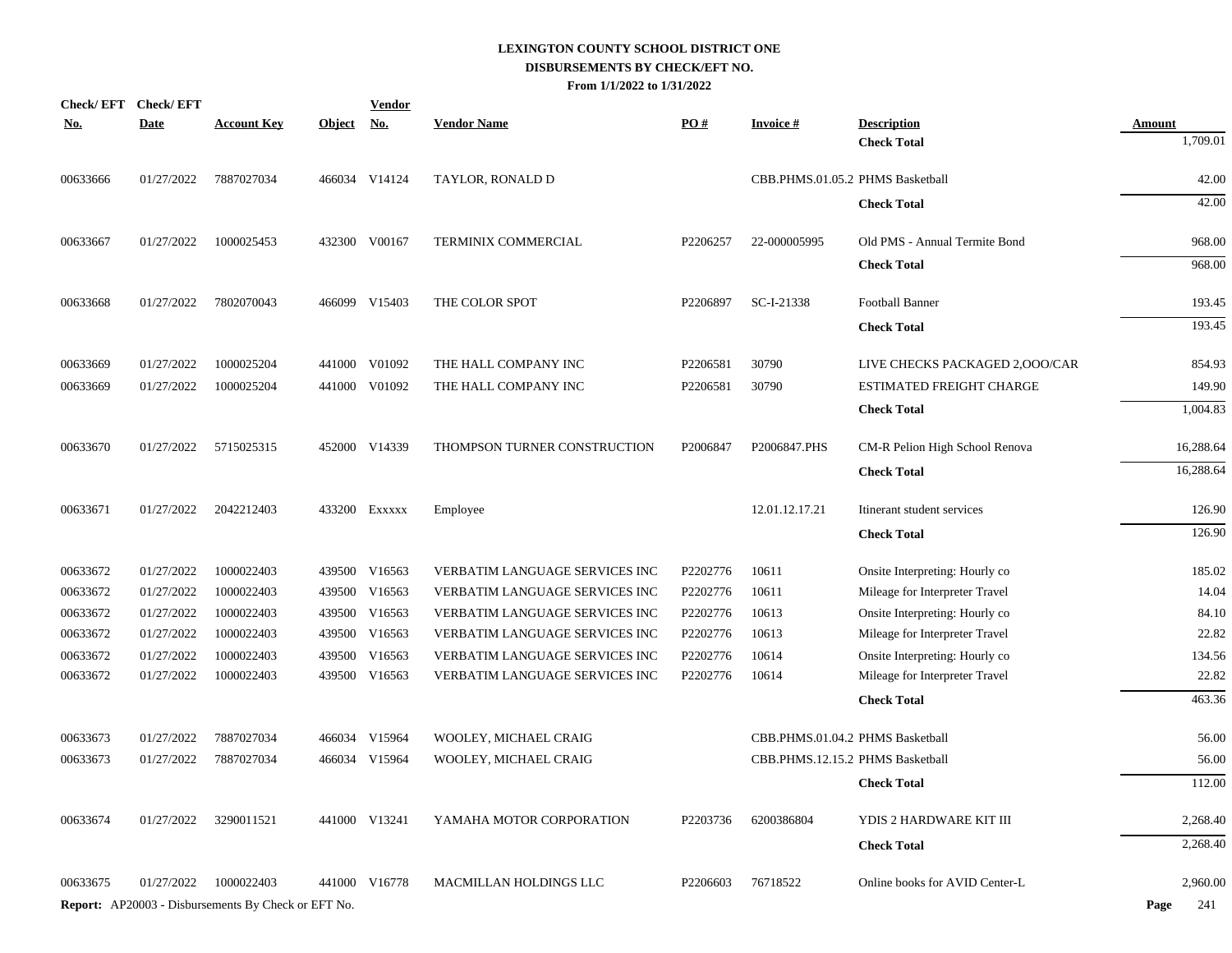| <b>Check/EFT</b> | <b>Check/EFT</b> |                                                            |            | <b>Vendor</b> |                                |          |                                  |                                          |                           |
|------------------|------------------|------------------------------------------------------------|------------|---------------|--------------------------------|----------|----------------------------------|------------------------------------------|---------------------------|
| <b>No.</b>       | <b>Date</b>      | <b>Account Key</b>                                         | Object No. |               | <b>Vendor Name</b>             | PO#      | <b>Invoice#</b>                  | <b>Description</b><br><b>Check Total</b> | <b>Amount</b><br>1,709.01 |
|                  |                  |                                                            |            |               |                                |          |                                  |                                          |                           |
| 00633666         | 01/27/2022       | 7887027034                                                 |            | 466034 V14124 | TAYLOR, RONALD D               |          | CBB.PHMS.01.05.2 PHMS Basketball |                                          | 42.00                     |
|                  |                  |                                                            |            |               |                                |          |                                  | <b>Check Total</b>                       | 42.00                     |
| 00633667         | 01/27/2022       | 1000025453                                                 |            | 432300 V00167 | TERMINIX COMMERCIAL            | P2206257 | 22-000005995                     | Old PMS - Annual Termite Bond            | 968.00                    |
|                  |                  |                                                            |            |               |                                |          |                                  | <b>Check Total</b>                       | 968.00                    |
| 00633668         | 01/27/2022       | 7802070043                                                 |            | 466099 V15403 | THE COLOR SPOT                 | P2206897 | SC-I-21338                       | Football Banner                          | 193.45                    |
|                  |                  |                                                            |            |               |                                |          |                                  | <b>Check Total</b>                       | 193.45                    |
| 00633669         | 01/27/2022       | 1000025204                                                 |            | 441000 V01092 | THE HALL COMPANY INC           | P2206581 | 30790                            | LIVE CHECKS PACKAGED 2,000/CAR           | 854.93                    |
| 00633669         | 01/27/2022       | 1000025204                                                 |            | 441000 V01092 | THE HALL COMPANY INC           | P2206581 | 30790                            | ESTIMATED FREIGHT CHARGE                 | 149.90                    |
|                  |                  |                                                            |            |               |                                |          |                                  | <b>Check Total</b>                       | 1,004.83                  |
| 00633670         | 01/27/2022       | 5715025315                                                 |            | 452000 V14339 | THOMPSON TURNER CONSTRUCTION   | P2006847 | P2006847.PHS                     | CM-R Pelion High School Renova           | 16,288.64                 |
|                  |                  |                                                            |            |               |                                |          |                                  | <b>Check Total</b>                       | 16,288.64                 |
| 00633671         | 01/27/2022       | 2042212403                                                 |            | 433200 Exxxxx | Employee                       |          | 12.01.12.17.21                   | Itinerant student services               | 126.90                    |
|                  |                  |                                                            |            |               |                                |          |                                  | <b>Check Total</b>                       | 126.90                    |
| 00633672         | 01/27/2022       | 1000022403                                                 |            | 439500 V16563 | VERBATIM LANGUAGE SERVICES INC | P2202776 | 10611                            | Onsite Interpreting: Hourly co           | 185.02                    |
| 00633672         | 01/27/2022       | 1000022403                                                 |            | 439500 V16563 | VERBATIM LANGUAGE SERVICES INC | P2202776 | 10611                            | Mileage for Interpreter Travel           | 14.04                     |
| 00633672         | 01/27/2022       | 1000022403                                                 |            | 439500 V16563 | VERBATIM LANGUAGE SERVICES INC | P2202776 | 10613                            | Onsite Interpreting: Hourly co           | 84.10                     |
| 00633672         | 01/27/2022       | 1000022403                                                 |            | 439500 V16563 | VERBATIM LANGUAGE SERVICES INC | P2202776 | 10613                            | Mileage for Interpreter Travel           | 22.82                     |
| 00633672         | 01/27/2022       | 1000022403                                                 |            | 439500 V16563 | VERBATIM LANGUAGE SERVICES INC | P2202776 | 10614                            | Onsite Interpreting: Hourly co           | 134.56                    |
| 00633672         | 01/27/2022       | 1000022403                                                 |            | 439500 V16563 | VERBATIM LANGUAGE SERVICES INC | P2202776 | 10614                            | Mileage for Interpreter Travel           | 22.82                     |
|                  |                  |                                                            |            |               |                                |          |                                  | <b>Check Total</b>                       | 463.36                    |
| 00633673         | 01/27/2022       | 7887027034                                                 |            | 466034 V15964 | WOOLEY, MICHAEL CRAIG          |          | CBB.PHMS.01.04.2 PHMS Basketball |                                          | 56.00                     |
| 00633673         | 01/27/2022       | 7887027034                                                 |            | 466034 V15964 | WOOLEY, MICHAEL CRAIG          |          | CBB.PHMS.12.15.2 PHMS Basketball |                                          | 56.00                     |
|                  |                  |                                                            |            |               |                                |          |                                  | <b>Check Total</b>                       | 112.00                    |
| 00633674         | 01/27/2022       | 3290011521                                                 |            | 441000 V13241 | YAMAHA MOTOR CORPORATION       | P2203736 | 6200386804                       | YDIS 2 HARDWARE KIT III                  | 2,268.40                  |
|                  |                  |                                                            |            |               |                                |          |                                  | <b>Check Total</b>                       | 2,268.40                  |
| 00633675         | 01/27/2022       | 1000022403                                                 |            | 441000 V16778 | MACMILLAN HOLDINGS LLC         | P2206603 | 76718522                         | Online books for AVID Center-L           | 2,960.00                  |
|                  |                  | <b>Report:</b> AP20003 - Disbursements By Check or EFT No. |            |               |                                |          |                                  |                                          | Page<br>241               |
|                  |                  |                                                            |            |               |                                |          |                                  |                                          |                           |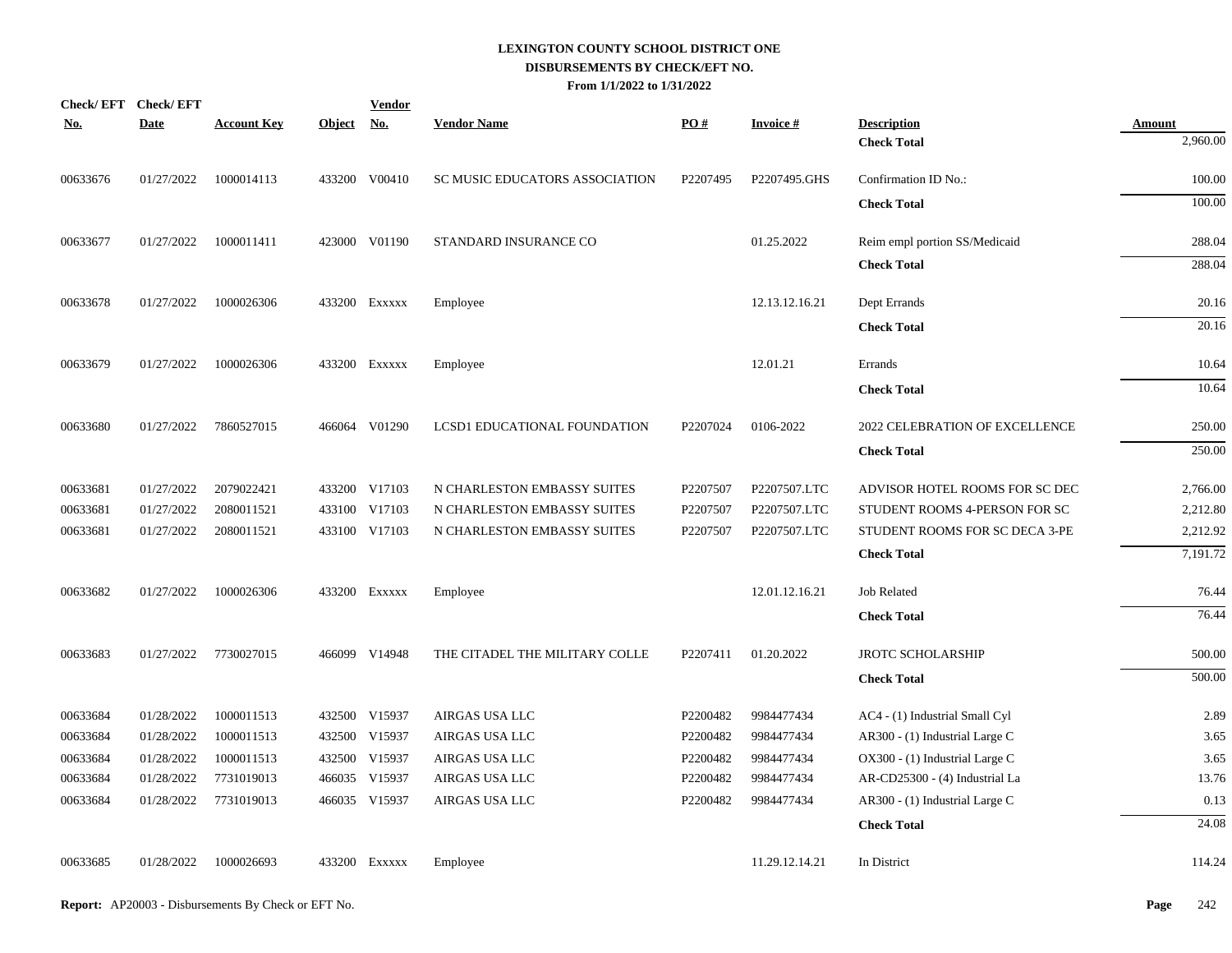| No.      | Check/EFT Check/EFT<br><b>Date</b> | <b>Account Key</b> | Object No. | <b>Vendor</b> | <b>Vendor Name</b>             | PO#      | Invoice #      | <b>Description</b>             | <b>Amount</b> |
|----------|------------------------------------|--------------------|------------|---------------|--------------------------------|----------|----------------|--------------------------------|---------------|
|          |                                    |                    |            |               |                                |          |                | <b>Check Total</b>             | 2,960.00      |
| 00633676 | 01/27/2022                         | 1000014113         |            | 433200 V00410 | SC MUSIC EDUCATORS ASSOCIATION | P2207495 | P2207495.GHS   | Confirmation ID No.:           | 100.00        |
|          |                                    |                    |            |               |                                |          |                | <b>Check Total</b>             | 100.00        |
| 00633677 | 01/27/2022                         | 1000011411         |            | 423000 V01190 | STANDARD INSURANCE CO          |          | 01.25.2022     | Reim empl portion SS/Medicaid  | 288.04        |
|          |                                    |                    |            |               |                                |          |                | <b>Check Total</b>             | 288.04        |
| 00633678 | 01/27/2022                         | 1000026306         |            | 433200 EXXXXX | Employee                       |          | 12.13.12.16.21 | Dept Errands                   | 20.16         |
|          |                                    |                    |            |               |                                |          |                | <b>Check Total</b>             | 20.16         |
| 00633679 | 01/27/2022                         | 1000026306         |            | 433200 EXXXXX | Employee                       |          | 12.01.21       | Errands                        | 10.64         |
|          |                                    |                    |            |               |                                |          |                | <b>Check Total</b>             | 10.64         |
| 00633680 | 01/27/2022                         | 7860527015         |            | 466064 V01290 | LCSD1 EDUCATIONAL FOUNDATION   | P2207024 | 0106-2022      | 2022 CELEBRATION OF EXCELLENCE | 250.00        |
|          |                                    |                    |            |               |                                |          |                | <b>Check Total</b>             | 250.00        |
| 00633681 | 01/27/2022                         | 2079022421         |            | 433200 V17103 | N CHARLESTON EMBASSY SUITES    | P2207507 | P2207507.LTC   | ADVISOR HOTEL ROOMS FOR SC DEC | 2,766.00      |
| 00633681 | 01/27/2022                         | 2080011521         |            | 433100 V17103 | N CHARLESTON EMBASSY SUITES    | P2207507 | P2207507.LTC   | STUDENT ROOMS 4-PERSON FOR SC  | 2,212.80      |
| 00633681 | 01/27/2022                         | 2080011521         |            | 433100 V17103 | N CHARLESTON EMBASSY SUITES    | P2207507 | P2207507.LTC   | STUDENT ROOMS FOR SC DECA 3-PE | 2,212.92      |
|          |                                    |                    |            |               |                                |          |                | <b>Check Total</b>             | 7,191.72      |
| 00633682 | 01/27/2022                         | 1000026306         |            | 433200 EXXXXX | Employee                       |          | 12.01.12.16.21 | <b>Job Related</b>             | 76.44         |
|          |                                    |                    |            |               |                                |          |                | <b>Check Total</b>             | 76.44         |
| 00633683 | 01/27/2022                         | 7730027015         |            | 466099 V14948 | THE CITADEL THE MILITARY COLLE | P2207411 | 01.20.2022     | <b>JROTC SCHOLARSHIP</b>       | 500.00        |
|          |                                    |                    |            |               |                                |          |                | <b>Check Total</b>             | 500.00        |
| 00633684 | 01/28/2022                         | 1000011513         |            | 432500 V15937 | AIRGAS USA LLC                 | P2200482 | 9984477434     | AC4 - (1) Industrial Small Cyl | 2.89          |
| 00633684 | 01/28/2022                         | 1000011513         |            | 432500 V15937 | AIRGAS USA LLC                 | P2200482 | 9984477434     | AR300 - (1) Industrial Large C | 3.65          |
| 00633684 | 01/28/2022                         | 1000011513         |            | 432500 V15937 | AIRGAS USA LLC                 | P2200482 | 9984477434     | OX300 - (1) Industrial Large C | 3.65          |
| 00633684 | 01/28/2022                         | 7731019013         |            | 466035 V15937 | AIRGAS USA LLC                 | P2200482 | 9984477434     | AR-CD25300 - (4) Industrial La | 13.76         |
| 00633684 | 01/28/2022                         | 7731019013         |            | 466035 V15937 | AIRGAS USA LLC                 | P2200482 | 9984477434     | AR300 - (1) Industrial Large C | 0.13          |
|          |                                    |                    |            |               |                                |          |                | <b>Check Total</b>             | 24.08         |
| 00633685 | 01/28/2022                         | 1000026693         |            | 433200 Exxxxx | Employee                       |          | 11.29.12.14.21 | In District                    | 114.24        |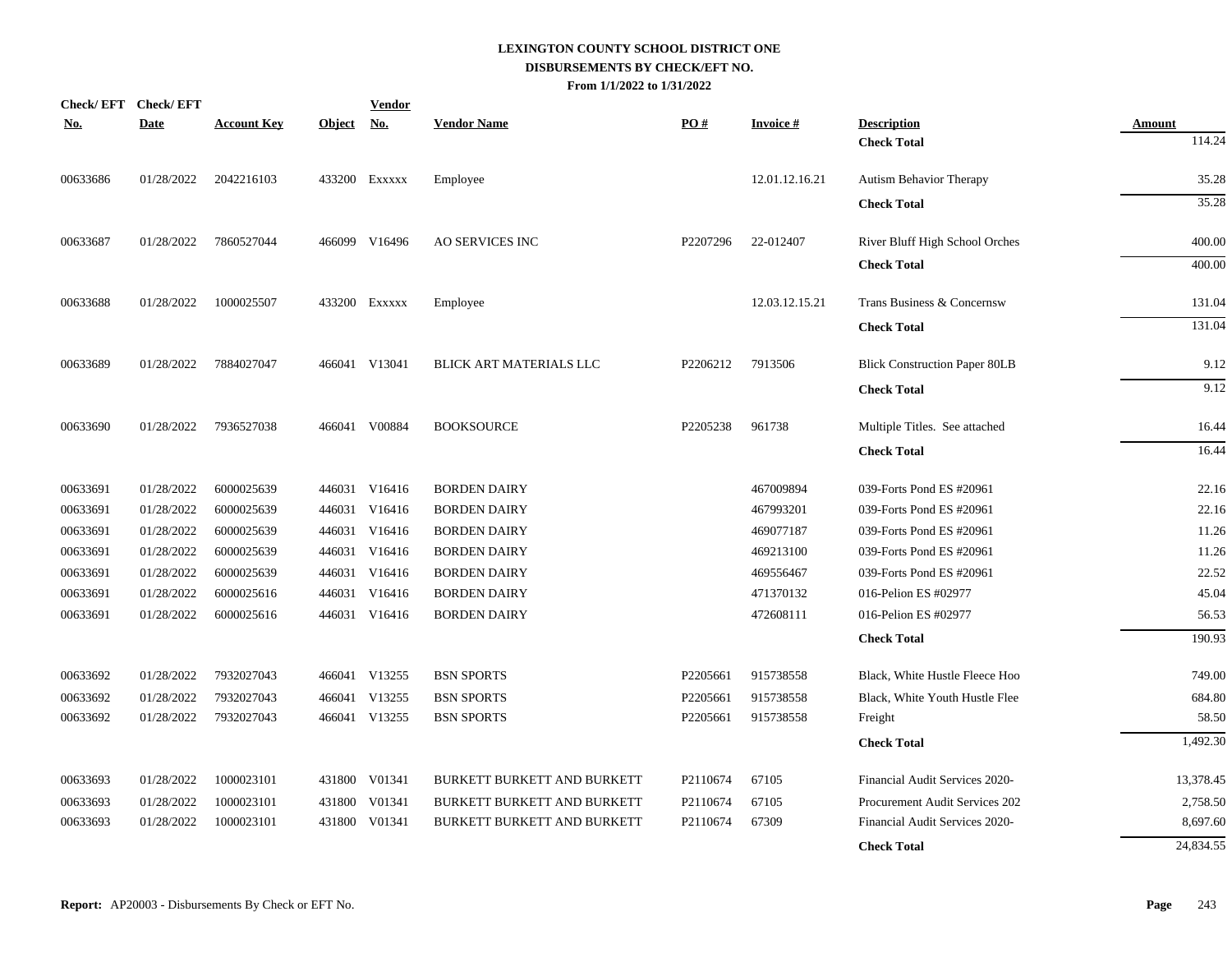| <u>No.</u> | Check/EFT Check/EFT<br><b>Date</b> | <b>Account Key</b> | <b>Object</b> | <b>Vendor</b><br><u>No.</u> | <b>Vendor Name</b>                 | PO#      | <b>Invoice#</b> | <b>Description</b>                   | <b>Amount</b> |
|------------|------------------------------------|--------------------|---------------|-----------------------------|------------------------------------|----------|-----------------|--------------------------------------|---------------|
|            |                                    |                    |               |                             |                                    |          |                 | <b>Check Total</b>                   | 114.24        |
| 00633686   | 01/28/2022                         | 2042216103         |               | 433200 EXXXXX               | Employee                           |          | 12.01.12.16.21  | Autism Behavior Therapy              | 35.28         |
|            |                                    |                    |               |                             |                                    |          |                 | <b>Check Total</b>                   | 35.28         |
| 00633687   | 01/28/2022                         | 7860527044         |               | 466099 V16496               | <b>AO SERVICES INC</b>             | P2207296 | 22-012407       | River Bluff High School Orches       | 400.00        |
|            |                                    |                    |               |                             |                                    |          |                 | <b>Check Total</b>                   | 400.00        |
| 00633688   | 01/28/2022                         | 1000025507         |               | 433200 Exxxxx               | Employee                           |          | 12.03.12.15.21  | Trans Business & Concernsw           | 131.04        |
|            |                                    |                    |               |                             |                                    |          |                 | <b>Check Total</b>                   | 131.04        |
| 00633689   | 01/28/2022                         | 7884027047         |               | 466041 V13041               | BLICK ART MATERIALS LLC            | P2206212 | 7913506         | <b>Blick Construction Paper 80LB</b> | 9.12          |
|            |                                    |                    |               |                             |                                    |          |                 | <b>Check Total</b>                   | 9.12          |
| 00633690   | 01/28/2022                         | 7936527038         |               | 466041 V00884               | <b>BOOKSOURCE</b>                  | P2205238 | 961738          | Multiple Titles. See attached        | 16.44         |
|            |                                    |                    |               |                             |                                    |          |                 | <b>Check Total</b>                   | 16.44         |
| 00633691   | 01/28/2022                         | 6000025639         |               | 446031 V16416               | <b>BORDEN DAIRY</b>                |          | 467009894       | 039-Forts Pond ES #20961             | 22.16         |
| 00633691   | 01/28/2022                         | 6000025639         |               | 446031 V16416               | <b>BORDEN DAIRY</b>                |          | 467993201       | 039-Forts Pond ES #20961             | 22.16         |
| 00633691   | 01/28/2022                         | 6000025639         |               | 446031 V16416               | <b>BORDEN DAIRY</b>                |          | 469077187       | 039-Forts Pond ES #20961             | 11.26         |
| 00633691   | 01/28/2022                         | 6000025639         |               | 446031 V16416               | <b>BORDEN DAIRY</b>                |          | 469213100       | 039-Forts Pond ES #20961             | 11.26         |
| 00633691   | 01/28/2022                         | 6000025639         |               | 446031 V16416               | <b>BORDEN DAIRY</b>                |          | 469556467       | 039-Forts Pond ES #20961             | 22.52         |
| 00633691   | 01/28/2022                         | 6000025616         |               | 446031 V16416               | <b>BORDEN DAIRY</b>                |          | 471370132       | 016-Pelion ES #02977                 | 45.04         |
| 00633691   | 01/28/2022                         | 6000025616         |               | 446031 V16416               | <b>BORDEN DAIRY</b>                |          | 472608111       | 016-Pelion ES #02977                 | 56.53         |
|            |                                    |                    |               |                             |                                    |          |                 | <b>Check Total</b>                   | 190.93        |
| 00633692   | 01/28/2022                         | 7932027043         |               | 466041 V13255               | <b>BSN SPORTS</b>                  | P2205661 | 915738558       | Black, White Hustle Fleece Hoo       | 749.00        |
| 00633692   | 01/28/2022                         | 7932027043         | 466041        | V13255                      | <b>BSN SPORTS</b>                  | P2205661 | 915738558       | Black, White Youth Hustle Flee       | 684.80        |
| 00633692   | 01/28/2022                         | 7932027043         |               | 466041 V13255               | <b>BSN SPORTS</b>                  | P2205661 | 915738558       | Freight                              | 58.50         |
|            |                                    |                    |               |                             |                                    |          |                 | <b>Check Total</b>                   | 1,492.30      |
| 00633693   | 01/28/2022                         | 1000023101         |               | 431800 V01341               | <b>BURKETT BURKETT AND BURKETT</b> | P2110674 | 67105           | Financial Audit Services 2020-       | 13,378.45     |
| 00633693   | 01/28/2022                         | 1000023101         | 431800        | V01341                      | BURKETT BURKETT AND BURKETT        | P2110674 | 67105           | Procurement Audit Services 202       | 2,758.50      |
| 00633693   | 01/28/2022                         | 1000023101         | 431800        | V01341                      | <b>BURKETT BURKETT AND BURKETT</b> | P2110674 | 67309           | Financial Audit Services 2020-       | 8,697.60      |
|            |                                    |                    |               |                             |                                    |          |                 | <b>Check Total</b>                   | 24,834.55     |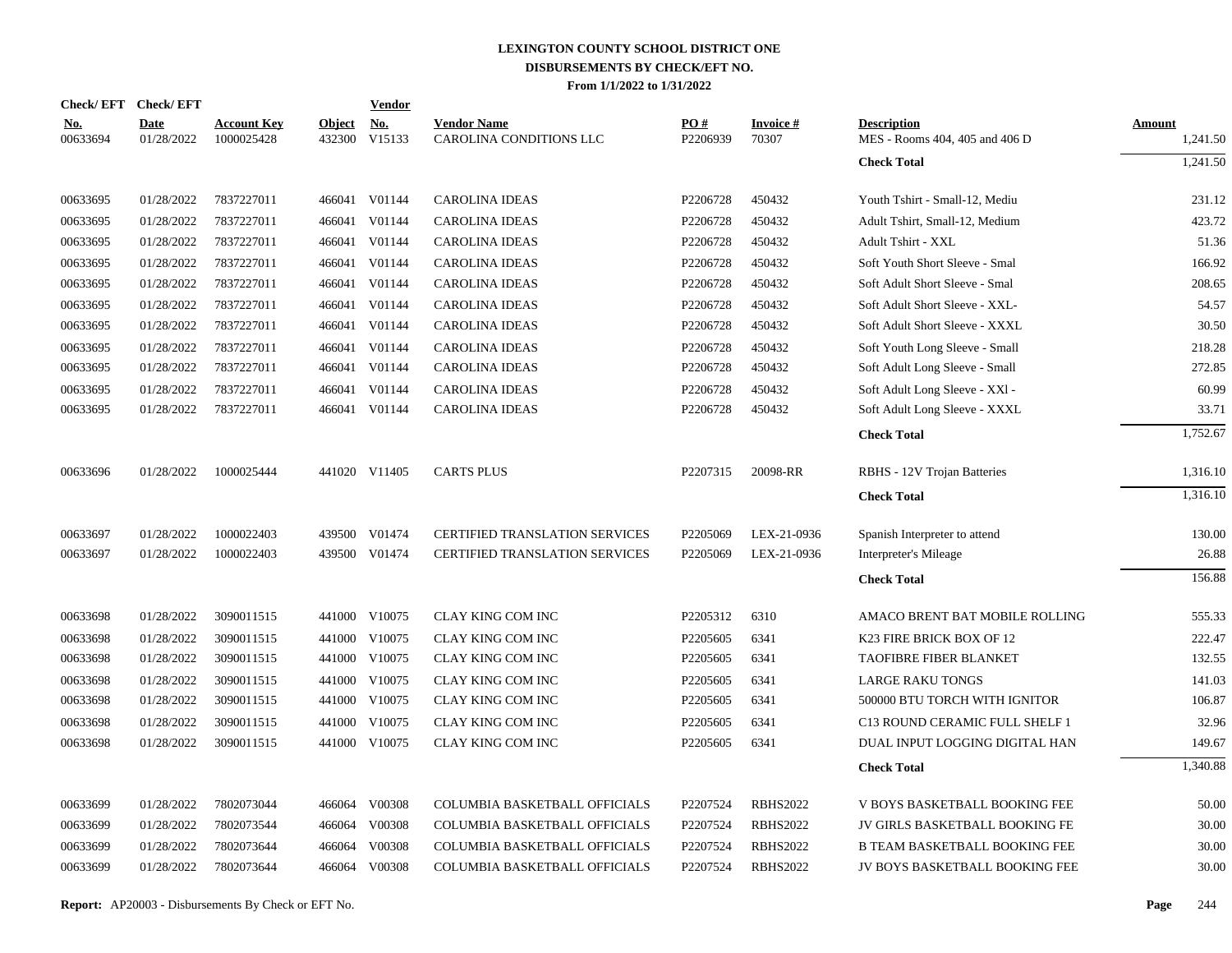|                        | Check/EFT Check/EFT       |                                  |                         | Vendor               |                                               |                 |                          |                                                      |                           |
|------------------------|---------------------------|----------------------------------|-------------------------|----------------------|-----------------------------------------------|-----------------|--------------------------|------------------------------------------------------|---------------------------|
| <u>No.</u><br>00633694 | <b>Date</b><br>01/28/2022 | <b>Account Key</b><br>1000025428 | <b>Object</b><br>432300 | <u>No.</u><br>V15133 | <b>Vendor Name</b><br>CAROLINA CONDITIONS LLC | PO#<br>P2206939 | <b>Invoice#</b><br>70307 | <b>Description</b><br>MES - Rooms 404, 405 and 406 D | <b>Amount</b><br>1,241.50 |
|                        |                           |                                  |                         |                      |                                               |                 |                          | <b>Check Total</b>                                   | 1,241.50                  |
| 00633695               | 01/28/2022                | 7837227011                       |                         | 466041 V01144        | <b>CAROLINA IDEAS</b>                         | P2206728        | 450432                   | Youth Tshirt - Small-12, Mediu                       | 231.12                    |
| 00633695               | 01/28/2022                | 7837227011                       |                         | 466041 V01144        | <b>CAROLINA IDEAS</b>                         | P2206728        | 450432                   | Adult Tshirt, Small-12, Medium                       | 423.72                    |
| 00633695               | 01/28/2022                | 7837227011                       |                         | 466041 V01144        | <b>CAROLINA IDEAS</b>                         | P2206728        | 450432                   | Adult Tshirt - XXL                                   | 51.36                     |
| 00633695               | 01/28/2022                | 7837227011                       |                         | 466041 V01144        | <b>CAROLINA IDEAS</b>                         | P2206728        | 450432                   | Soft Youth Short Sleeve - Smal                       | 166.92                    |
| 00633695               | 01/28/2022                | 7837227011                       |                         | 466041 V01144        | <b>CAROLINA IDEAS</b>                         | P2206728        | 450432                   | Soft Adult Short Sleeve - Smal                       | 208.65                    |
| 00633695               | 01/28/2022                | 7837227011                       |                         | 466041 V01144        | <b>CAROLINA IDEAS</b>                         | P2206728        | 450432                   | Soft Adult Short Sleeve - XXL-                       | 54.57                     |
| 00633695               | 01/28/2022                | 7837227011                       |                         | 466041 V01144        | <b>CAROLINA IDEAS</b>                         | P2206728        | 450432                   | Soft Adult Short Sleeve - XXXL                       | 30.50                     |
| 00633695               | 01/28/2022                | 7837227011                       |                         | 466041 V01144        | CAROLINA IDEAS                                | P2206728        | 450432                   | Soft Youth Long Sleeve - Small                       | 218.28                    |
| 00633695               | 01/28/2022                | 7837227011                       |                         | 466041 V01144        | <b>CAROLINA IDEAS</b>                         | P2206728        | 450432                   | Soft Adult Long Sleeve - Small                       | 272.85                    |
| 00633695               | 01/28/2022                | 7837227011                       |                         | 466041 V01144        | <b>CAROLINA IDEAS</b>                         | P2206728        | 450432                   | Soft Adult Long Sleeve - XXI -                       | 60.99                     |
| 00633695               | 01/28/2022                | 7837227011                       |                         | 466041 V01144        | <b>CAROLINA IDEAS</b>                         | P2206728        | 450432                   | Soft Adult Long Sleeve - XXXL                        | 33.71                     |
|                        |                           |                                  |                         |                      |                                               |                 |                          | <b>Check Total</b>                                   | 1,752.67                  |
| 00633696               | 01/28/2022                | 1000025444                       |                         | 441020 V11405        | <b>CARTS PLUS</b>                             | P2207315        | 20098-RR                 | RBHS - 12V Trojan Batteries                          | 1,316.10                  |
|                        |                           |                                  |                         |                      |                                               |                 |                          | <b>Check Total</b>                                   | 1,316.10                  |
| 00633697               | 01/28/2022                | 1000022403                       | 439500                  | V01474               | <b>CERTIFIED TRANSLATION SERVICES</b>         | P2205069        | LEX-21-0936              | Spanish Interpreter to attend                        | 130.00                    |
| 00633697               | 01/28/2022                | 1000022403                       | 439500                  | V01474               | <b>CERTIFIED TRANSLATION SERVICES</b>         | P2205069        | LEX-21-0936              | Interpreter's Mileage                                | 26.88                     |
|                        |                           |                                  |                         |                      |                                               |                 |                          | <b>Check Total</b>                                   | 156.88                    |
| 00633698               | 01/28/2022                | 3090011515                       |                         | 441000 V10075        | CLAY KING COM INC                             | P2205312        | 6310                     | AMACO BRENT BAT MOBILE ROLLING                       | 555.33                    |
| 00633698               | 01/28/2022                | 3090011515                       |                         | 441000 V10075        | CLAY KING COM INC                             | P2205605        | 6341                     | K23 FIRE BRICK BOX OF 12                             | 222.47                    |
| 00633698               | 01/28/2022                | 3090011515                       |                         | 441000 V10075        | CLAY KING COM INC                             | P2205605        | 6341                     | <b>TAOFIBRE FIBER BLANKET</b>                        | 132.55                    |
| 00633698               | 01/28/2022                | 3090011515                       |                         | 441000 V10075        | CLAY KING COM INC                             | P2205605        | 6341                     | <b>LARGE RAKU TONGS</b>                              | 141.03                    |
| 00633698               | 01/28/2022                | 3090011515                       |                         | 441000 V10075        | CLAY KING COM INC                             | P2205605        | 6341                     | 500000 BTU TORCH WITH IGNITOR                        | 106.87                    |
| 00633698               | 01/28/2022                | 3090011515                       | 441000                  | V10075               | CLAY KING COM INC                             | P2205605        | 6341                     | C13 ROUND CERAMIC FULL SHELF 1                       | 32.96                     |
| 00633698               | 01/28/2022                | 3090011515                       |                         | 441000 V10075        | CLAY KING COM INC                             | P2205605        | 6341                     | DUAL INPUT LOGGING DIGITAL HAN                       | 149.67                    |
|                        |                           |                                  |                         |                      |                                               |                 |                          | <b>Check Total</b>                                   | 1,340.88                  |
| 00633699               | 01/28/2022                | 7802073044                       |                         | 466064 V00308        | COLUMBIA BASKETBALL OFFICIALS                 | P2207524        | <b>RBHS2022</b>          | V BOYS BASKETBALL BOOKING FEE                        | 50.00                     |
| 00633699               | 01/28/2022                | 7802073544                       |                         | 466064 V00308        | COLUMBIA BASKETBALL OFFICIALS                 | P2207524        | <b>RBHS2022</b>          | JV GIRLS BASKETBALL BOOKING FE                       | 30.00                     |
| 00633699               | 01/28/2022                | 7802073644                       | 466064                  | V00308               | COLUMBIA BASKETBALL OFFICIALS                 | P2207524        | <b>RBHS2022</b>          | <b>B TEAM BASKETBALL BOOKING FEE</b>                 | 30.00                     |
| 00633699               | 01/28/2022                | 7802073644                       |                         | 466064 V00308        | COLUMBIA BASKETBALL OFFICIALS                 | P2207524        | <b>RBHS2022</b>          | JV BOYS BASKETBALL BOOKING FEE                       | 30.00                     |
|                        |                           |                                  |                         |                      |                                               |                 |                          |                                                      |                           |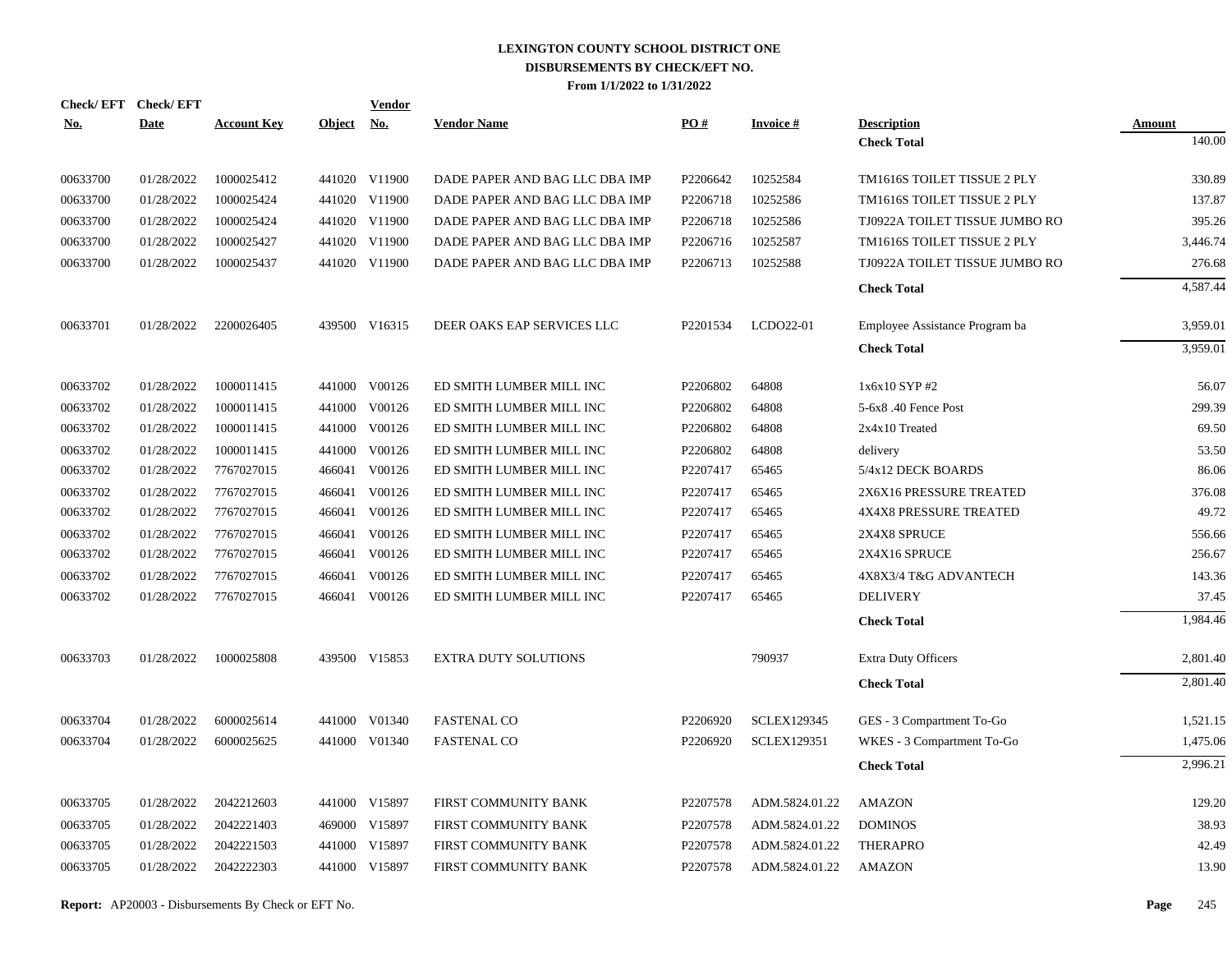| Check/EFT Check/EFT |             |                    |               | <b>Vendor</b> |                                |          |                    |                                |                  |
|---------------------|-------------|--------------------|---------------|---------------|--------------------------------|----------|--------------------|--------------------------------|------------------|
| <u>No.</u>          | <b>Date</b> | <b>Account Key</b> | <b>Object</b> | <u>No.</u>    | <b>Vendor Name</b>             | PO#      | <b>Invoice#</b>    | <b>Description</b>             | Amount<br>140.00 |
|                     |             |                    |               |               |                                |          |                    | <b>Check Total</b>             |                  |
| 00633700            | 01/28/2022  | 1000025412         |               | 441020 V11900 | DADE PAPER AND BAG LLC DBA IMP | P2206642 | 10252584           | TM1616S TOILET TISSUE 2 PLY    | 330.89           |
| 00633700            | 01/28/2022  | 1000025424         |               | 441020 V11900 | DADE PAPER AND BAG LLC DBA IMP | P2206718 | 10252586           | TM1616S TOILET TISSUE 2 PLY    | 137.87           |
| 00633700            | 01/28/2022  | 1000025424         |               | 441020 V11900 | DADE PAPER AND BAG LLC DBA IMP | P2206718 | 10252586           | TJ0922A TOILET TISSUE JUMBO RO | 395.26           |
| 00633700            | 01/28/2022  | 1000025427         |               | 441020 V11900 | DADE PAPER AND BAG LLC DBA IMP | P2206716 | 10252587           | TM1616S TOILET TISSUE 2 PLY    | 3,446.74         |
| 00633700            | 01/28/2022  | 1000025437         |               | 441020 V11900 | DADE PAPER AND BAG LLC DBA IMP | P2206713 | 10252588           | TJ0922A TOILET TISSUE JUMBO RO | 276.68           |
|                     |             |                    |               |               |                                |          |                    | <b>Check Total</b>             | 4,587.44         |
| 00633701            | 01/28/2022  | 2200026405         |               | 439500 V16315 | DEER OAKS EAP SERVICES LLC     | P2201534 | LCDO22-01          | Employee Assistance Program ba | 3,959.01         |
|                     |             |                    |               |               |                                |          |                    | <b>Check Total</b>             | 3,959.01         |
| 00633702            | 01/28/2022  | 1000011415         |               | 441000 V00126 | ED SMITH LUMBER MILL INC       | P2206802 | 64808              | 1x6x10 SYP #2                  | 56.07            |
| 00633702            | 01/28/2022  | 1000011415         | 441000        | V00126        | ED SMITH LUMBER MILL INC       | P2206802 | 64808              | 5-6x8.40 Fence Post            | 299.39           |
| 00633702            | 01/28/2022  | 1000011415         |               | 441000 V00126 | ED SMITH LUMBER MILL INC       | P2206802 | 64808              | $2x4x10$ Treated               | 69.50            |
| 00633702            | 01/28/2022  | 1000011415         | 441000        | V00126        | ED SMITH LUMBER MILL INC       | P2206802 | 64808              | delivery                       | 53.50            |
| 00633702            | 01/28/2022  | 7767027015         |               | 466041 V00126 | ED SMITH LUMBER MILL INC       | P2207417 | 65465              | 5/4x12 DECK BOARDS             | 86.06            |
| 00633702            | 01/28/2022  | 7767027015         |               | 466041 V00126 | ED SMITH LUMBER MILL INC       | P2207417 | 65465              | 2X6X16 PRESSURE TREATED        | 376.08           |
| 00633702            | 01/28/2022  | 7767027015         |               | 466041 V00126 | ED SMITH LUMBER MILL INC       | P2207417 | 65465              | <b>4X4X8 PRESSURE TREATED</b>  | 49.72            |
| 00633702            | 01/28/2022  | 7767027015         |               | 466041 V00126 | ED SMITH LUMBER MILL INC       | P2207417 | 65465              | 2X4X8 SPRUCE                   | 556.66           |
| 00633702            | 01/28/2022  | 7767027015         |               | 466041 V00126 | ED SMITH LUMBER MILL INC       | P2207417 | 65465              | 2X4X16 SPRUCE                  | 256.67           |
| 00633702            | 01/28/2022  | 7767027015         | 466041        | V00126        | ED SMITH LUMBER MILL INC       | P2207417 | 65465              | 4X8X3/4 T&G ADVANTECH          | 143.36           |
| 00633702            | 01/28/2022  | 7767027015         |               | 466041 V00126 | ED SMITH LUMBER MILL INC       | P2207417 | 65465              | <b>DELIVERY</b>                | 37.45            |
|                     |             |                    |               |               |                                |          |                    | <b>Check Total</b>             | 1,984.46         |
| 00633703            | 01/28/2022  | 1000025808         |               | 439500 V15853 | EXTRA DUTY SOLUTIONS           |          | 790937             | Extra Duty Officers            | 2,801.40         |
|                     |             |                    |               |               |                                |          |                    | <b>Check Total</b>             | 2,801.40         |
| 00633704            | 01/28/2022  | 6000025614         |               | 441000 V01340 | <b>FASTENAL CO</b>             | P2206920 | <b>SCLEX129345</b> | GES - 3 Compartment To-Go      | 1,521.15         |
| 00633704            | 01/28/2022  | 6000025625         |               | 441000 V01340 | <b>FASTENAL CO</b>             | P2206920 | <b>SCLEX129351</b> | WKES - 3 Compartment To-Go     | 1,475.06         |
|                     |             |                    |               |               |                                |          |                    | <b>Check Total</b>             | 2,996.21         |
| 00633705            | 01/28/2022  | 2042212603         |               | 441000 V15897 | FIRST COMMUNITY BANK           | P2207578 | ADM.5824.01.22     | <b>AMAZON</b>                  | 129.20           |
| 00633705            | 01/28/2022  | 2042221403         |               | 469000 V15897 | FIRST COMMUNITY BANK           | P2207578 | ADM.5824.01.22     | <b>DOMINOS</b>                 | 38.93            |
| 00633705            | 01/28/2022  | 2042221503         |               | 441000 V15897 | FIRST COMMUNITY BANK           | P2207578 | ADM.5824.01.22     | <b>THERAPRO</b>                | 42.49            |
| 00633705            | 01/28/2022  | 2042222303         |               | 441000 V15897 | FIRST COMMUNITY BANK           | P2207578 | ADM.5824.01.22     | <b>AMAZON</b>                  | 13.90            |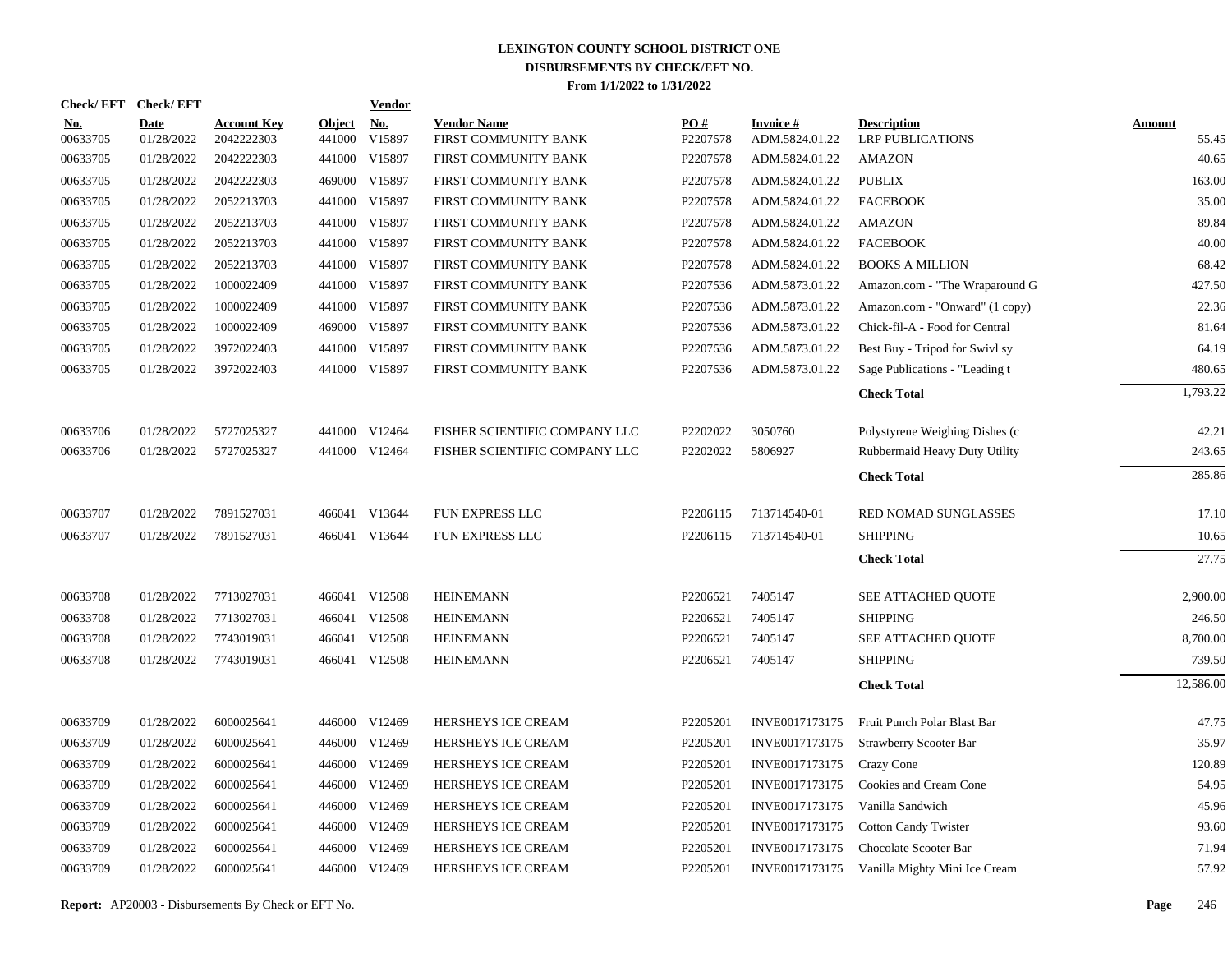|                        | Check/EFT Check/EFT |                                  |                         | <b>Vendor</b>        |                                            |                               |                                   |                                               |                        |
|------------------------|---------------------|----------------------------------|-------------------------|----------------------|--------------------------------------------|-------------------------------|-----------------------------------|-----------------------------------------------|------------------------|
| <u>No.</u><br>00633705 | Date<br>01/28/2022  | <b>Account Key</b><br>2042222303 | <b>Object</b><br>441000 | <u>No.</u><br>V15897 | <b>Vendor Name</b><br>FIRST COMMUNITY BANK | $\underline{PO#}$<br>P2207578 | <b>Invoice#</b><br>ADM.5824.01.22 | <b>Description</b><br><b>LRP PUBLICATIONS</b> | <b>Amount</b><br>55.45 |
| 00633705               | 01/28/2022          | 2042222303                       |                         | 441000 V15897        | FIRST COMMUNITY BANK                       | P2207578                      | ADM.5824.01.22                    | <b>AMAZON</b>                                 | 40.65                  |
| 00633705               | 01/28/2022          | 2042222303                       |                         | 469000 V15897        | FIRST COMMUNITY BANK                       | P2207578                      | ADM.5824.01.22                    | <b>PUBLIX</b>                                 | 163.00                 |
| 00633705               | 01/28/2022          | 2052213703                       |                         | 441000 V15897        | FIRST COMMUNITY BANK                       | P2207578                      | ADM.5824.01.22                    | <b>FACEBOOK</b>                               | 35.00                  |
| 00633705               | 01/28/2022          | 2052213703                       |                         | 441000 V15897        | FIRST COMMUNITY BANK                       | P2207578                      | ADM.5824.01.22                    | <b>AMAZON</b>                                 | 89.84                  |
| 00633705               | 01/28/2022          | 2052213703                       |                         | 441000 V15897        | FIRST COMMUNITY BANK                       | P2207578                      | ADM.5824.01.22                    | <b>FACEBOOK</b>                               | 40.00                  |
| 00633705               | 01/28/2022          | 2052213703                       |                         | 441000 V15897        | FIRST COMMUNITY BANK                       | P2207578                      | ADM.5824.01.22                    | <b>BOOKS A MILLION</b>                        | 68.42                  |
| 00633705               | 01/28/2022          | 1000022409                       |                         | 441000 V15897        | FIRST COMMUNITY BANK                       | P2207536                      | ADM.5873.01.22                    | Amazon.com - "The Wraparound G                | 427.50                 |
| 00633705               | 01/28/2022          | 1000022409                       |                         | 441000 V15897        | FIRST COMMUNITY BANK                       | P2207536                      | ADM.5873.01.22                    | Amazon.com - "Onward" (1 copy)                | 22.36                  |
| 00633705               | 01/28/2022          | 1000022409                       |                         | 469000 V15897        | FIRST COMMUNITY BANK                       | P2207536                      | ADM.5873.01.22                    | Chick-fil-A - Food for Central                | 81.64                  |
| 00633705               | 01/28/2022          | 3972022403                       |                         | 441000 V15897        | FIRST COMMUNITY BANK                       | P2207536                      | ADM.5873.01.22                    | Best Buy - Tripod for Swivl sy                | 64.19                  |
| 00633705               | 01/28/2022          | 3972022403                       |                         | 441000 V15897        | FIRST COMMUNITY BANK                       | P2207536                      | ADM.5873.01.22                    | Sage Publications - "Leading t                | 480.65                 |
|                        |                     |                                  |                         |                      |                                            |                               |                                   | <b>Check Total</b>                            | 1,793.22               |
| 00633706               | 01/28/2022          | 5727025327                       |                         | 441000 V12464        | FISHER SCIENTIFIC COMPANY LLC              | P2202022                      | 3050760                           | Polystyrene Weighing Dishes (c)               | 42.21                  |
| 00633706               | 01/28/2022          | 5727025327                       |                         | 441000 V12464        | FISHER SCIENTIFIC COMPANY LLC              | P2202022                      | 5806927                           | Rubbermaid Heavy Duty Utility                 | 243.65                 |
|                        |                     |                                  |                         |                      |                                            |                               |                                   | <b>Check Total</b>                            | 285.86                 |
| 00633707               | 01/28/2022          | 7891527031                       |                         | 466041 V13644        | FUN EXPRESS LLC                            | P2206115                      | 713714540-01                      | RED NOMAD SUNGLASSES                          | 17.10                  |
| 00633707               | 01/28/2022          | 7891527031                       |                         | 466041 V13644        | <b>FUN EXPRESS LLC</b>                     | P <sub>2206115</sub>          | 713714540-01                      | <b>SHIPPING</b>                               | 10.65                  |
|                        |                     |                                  |                         |                      |                                            |                               |                                   | <b>Check Total</b>                            | 27.75                  |
| 00633708               | 01/28/2022          | 7713027031                       |                         | 466041 V12508        | <b>HEINEMANN</b>                           | P2206521                      | 7405147                           | SEE ATTACHED QUOTE                            | 2,900.00               |
| 00633708               | 01/28/2022          | 7713027031                       |                         | 466041 V12508        | <b>HEINEMANN</b>                           | P2206521                      | 7405147                           | <b>SHIPPING</b>                               | 246.50                 |
| 00633708               | 01/28/2022          | 7743019031                       |                         | 466041 V12508        | <b>HEINEMANN</b>                           | P2206521                      | 7405147                           | SEE ATTACHED QUOTE                            | 8,700.00               |
| 00633708               | 01/28/2022          | 7743019031                       |                         | 466041 V12508        | <b>HEINEMANN</b>                           | P2206521                      | 7405147                           | <b>SHIPPING</b>                               | 739.50                 |
|                        |                     |                                  |                         |                      |                                            |                               |                                   | <b>Check Total</b>                            | 12,586.00              |
| 00633709               | 01/28/2022          | 6000025641                       |                         | 446000 V12469        | HERSHEYS ICE CREAM                         | P2205201                      | INVE0017173175                    | Fruit Punch Polar Blast Bar                   | 47.75                  |
| 00633709               | 01/28/2022          | 6000025641                       |                         | 446000 V12469        | HERSHEYS ICE CREAM                         | P2205201                      | INVE0017173175                    | Strawberry Scooter Bar                        | 35.97                  |
| 00633709               | 01/28/2022          | 6000025641                       |                         | 446000 V12469        | HERSHEYS ICE CREAM                         | P2205201                      | INVE0017173175                    | Crazy Cone                                    | 120.89                 |
| 00633709               | 01/28/2022          | 6000025641                       |                         | 446000 V12469        | HERSHEYS ICE CREAM                         | P2205201                      | INVE0017173175                    | Cookies and Cream Cone                        | 54.95                  |
| 00633709               | 01/28/2022          | 6000025641                       |                         | 446000 V12469        | HERSHEYS ICE CREAM                         | P2205201                      | INVE0017173175                    | Vanilla Sandwich                              | 45.96                  |
| 00633709               | 01/28/2022          | 6000025641                       |                         | 446000 V12469        | HERSHEYS ICE CREAM                         | P2205201                      | INVE0017173175                    | <b>Cotton Candy Twister</b>                   | 93.60                  |
| 00633709               | 01/28/2022          | 6000025641                       |                         | 446000 V12469        | HERSHEYS ICE CREAM                         | P2205201                      | INVE0017173175                    | Chocolate Scooter Bar                         | 71.94                  |
| 00633709               | 01/28/2022          | 6000025641                       |                         | 446000 V12469        | HERSHEYS ICE CREAM                         | P2205201                      | INVE0017173175                    | Vanilla Mighty Mini Ice Cream                 | 57.92                  |

**Report:** AP20003 - Disbursements By Check or EFT No. **Page** 246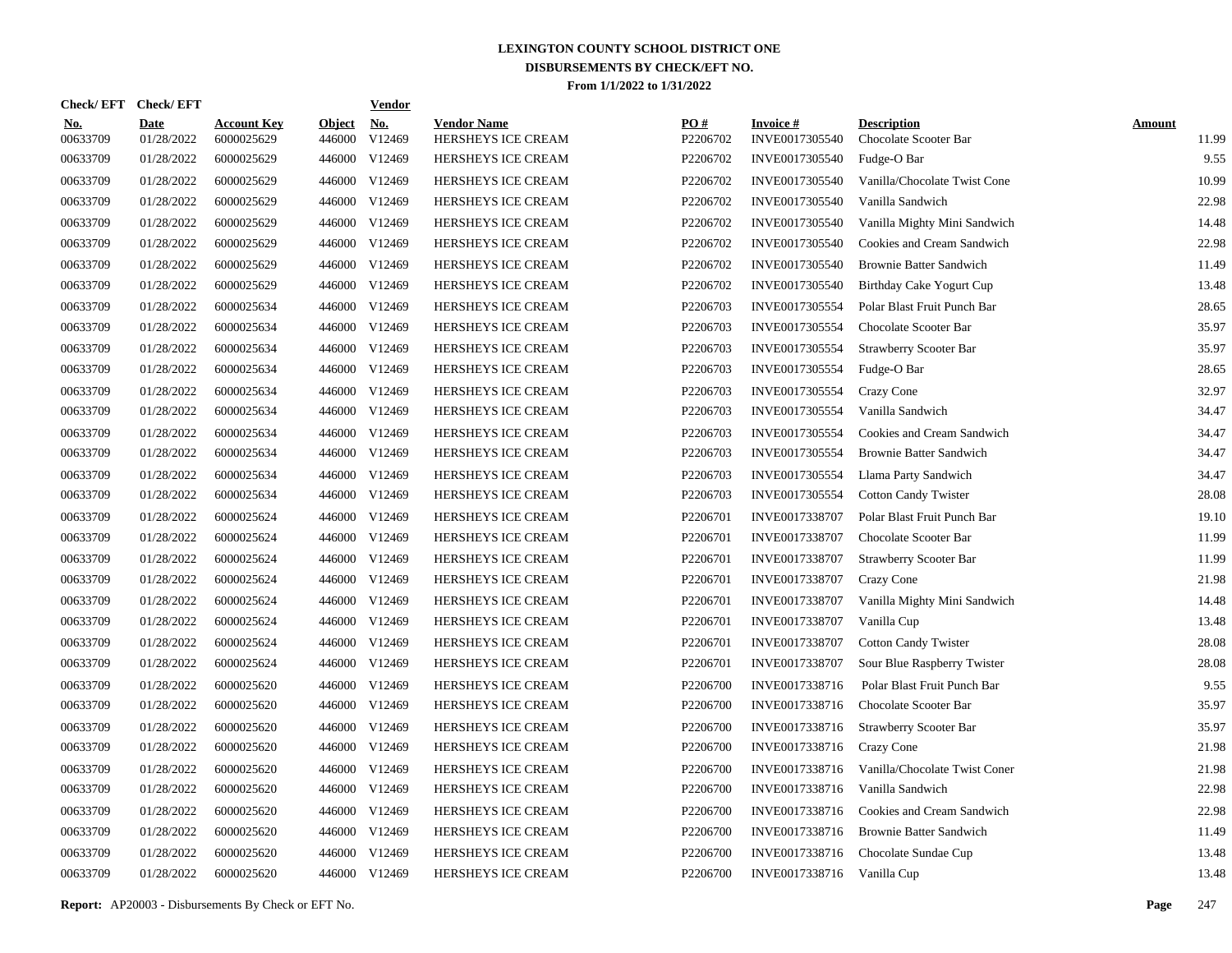| <b>Check/EFT</b>       | <b>Check/EFT</b>          |                                  |                         | <u>Vendor</u>                    |                                          |                      |                                   |                                             |                        |
|------------------------|---------------------------|----------------------------------|-------------------------|----------------------------------|------------------------------------------|----------------------|-----------------------------------|---------------------------------------------|------------------------|
| <u>No.</u><br>00633709 | <b>Date</b><br>01/28/2022 | <b>Account Key</b><br>6000025629 | <b>Object</b><br>446000 | <u>No.</u><br>V <sub>12469</sub> | <b>Vendor Name</b><br>HERSHEYS ICE CREAM | PO#<br>P2206702      | <b>Invoice#</b><br>INVE0017305540 | <b>Description</b><br>Chocolate Scooter Bar | <b>Amount</b><br>11.99 |
| 00633709               | 01/28/2022                | 6000025629                       | 446000                  | V <sub>12469</sub>               | HERSHEYS ICE CREAM                       | P2206702             | INVE0017305540                    | Fudge-O Bar                                 | 9.55                   |
| 00633709               | 01/28/2022                | 6000025629                       | 446000                  | V12469                           | <b>HERSHEYS ICE CREAM</b>                | P2206702             | INVE0017305540                    | Vanilla/Chocolate Twist Cone                | 10.99                  |
| 00633709               | 01/28/2022                | 6000025629                       | 446000                  | V12469                           | HERSHEYS ICE CREAM                       | P2206702             | INVE0017305540                    | Vanilla Sandwich                            | 22.98                  |
| 00633709               | 01/28/2022                | 6000025629                       | 446000                  | V12469                           | HERSHEYS ICE CREAM                       | P2206702             | INVE0017305540                    | Vanilla Mighty Mini Sandwich                | 14.48                  |
| 00633709               | 01/28/2022                | 6000025629                       | 446000                  | V12469                           | HERSHEYS ICE CREAM                       | P2206702             | INVE0017305540                    | Cookies and Cream Sandwich                  | 22.98                  |
| 00633709               | 01/28/2022                | 6000025629                       | 446000                  | V12469                           | HERSHEYS ICE CREAM                       | P2206702             | INVE0017305540                    | <b>Brownie Batter Sandwich</b>              | 11.49                  |
| 00633709               | 01/28/2022                | 6000025629                       | 446000                  | V12469                           | HERSHEYS ICE CREAM                       | P2206702             | INVE0017305540                    | Birthday Cake Yogurt Cup                    | 13.48                  |
| 00633709               | 01/28/2022                | 6000025634                       | 446000                  | V12469                           | HERSHEYS ICE CREAM                       | P2206703             | INVE0017305554                    | Polar Blast Fruit Punch Bar                 | 28.65                  |
| 00633709               | 01/28/2022                | 6000025634                       | 446000                  | V12469                           | HERSHEYS ICE CREAM                       | P2206703             | INVE0017305554                    | Chocolate Scooter Bar                       | 35.97                  |
| 00633709               | 01/28/2022                | 6000025634                       | 446000                  | V12469                           | <b>HERSHEYS ICE CREAM</b>                | P2206703             | INVE0017305554                    | <b>Strawberry Scooter Bar</b>               | 35.97                  |
| 00633709               | 01/28/2022                | 6000025634                       | 446000                  | V12469                           | HERSHEYS ICE CREAM                       | P2206703             | INVE0017305554                    | Fudge-O Bar                                 | 28.65                  |
| 00633709               | 01/28/2022                | 6000025634                       | 446000                  | V12469                           | HERSHEYS ICE CREAM                       | P2206703             | INVE0017305554                    | Crazy Cone                                  | 32.97                  |
| 00633709               | 01/28/2022                | 6000025634                       | 446000                  | V12469                           | HERSHEYS ICE CREAM                       | P2206703             | INVE0017305554                    | Vanilla Sandwich                            | 34.47                  |
| 00633709               | 01/28/2022                | 6000025634                       | 446000                  | V12469                           | HERSHEYS ICE CREAM                       | P2206703             | INVE0017305554                    | Cookies and Cream Sandwich                  | 34.47                  |
| 00633709               | 01/28/2022                | 6000025634                       | 446000                  | V12469                           | HERSHEYS ICE CREAM                       | P2206703             | INVE0017305554                    | <b>Brownie Batter Sandwich</b>              | 34.47                  |
| 00633709               | 01/28/2022                | 6000025634                       | 446000                  | V12469                           | <b>HERSHEYS ICE CREAM</b>                | P2206703             | INVE0017305554                    | Llama Party Sandwich                        | 34.47                  |
| 00633709               | 01/28/2022                | 6000025634                       | 446000                  | V12469                           | HERSHEYS ICE CREAM                       | P2206703             | INVE0017305554                    | <b>Cotton Candy Twister</b>                 | 28.08                  |
| 00633709               | 01/28/2022                | 6000025624                       | 446000                  | V12469                           | HERSHEYS ICE CREAM                       | P2206701             | INVE0017338707                    | Polar Blast Fruit Punch Bar                 | 19.10                  |
| 00633709               | 01/28/2022                | 6000025624                       | 446000                  | V12469                           | HERSHEYS ICE CREAM                       | P2206701             | INVE0017338707                    | Chocolate Scooter Bar                       | 11.99                  |
| 00633709               | 01/28/2022                | 6000025624                       | 446000                  | V12469                           | <b>HERSHEYS ICE CREAM</b>                | P2206701             | INVE0017338707                    | <b>Strawberry Scooter Bar</b>               | 11.99                  |
| 00633709               | 01/28/2022                | 6000025624                       | 446000                  | V12469                           | HERSHEYS ICE CREAM                       | P2206701             | INVE0017338707                    | Crazy Cone                                  | 21.98                  |
| 00633709               | 01/28/2022                | 6000025624                       | 446000                  | V12469                           | HERSHEYS ICE CREAM                       | P2206701             | INVE0017338707                    | Vanilla Mighty Mini Sandwich                | 14.48                  |
| 00633709               | 01/28/2022                | 6000025624                       | 446000                  | V12469                           | <b>HERSHEYS ICE CREAM</b>                | P2206701             | INVE0017338707                    | Vanilla Cup                                 | 13.48                  |
| 00633709               | 01/28/2022                | 6000025624                       | 446000                  | V12469                           | <b>HERSHEYS ICE CREAM</b>                | P2206701             | INVE0017338707                    | <b>Cotton Candy Twister</b>                 | 28.08                  |
| 00633709               | 01/28/2022                | 6000025624                       | 446000                  | V12469                           | HERSHEYS ICE CREAM                       | P2206701             | INVE0017338707                    | Sour Blue Raspberry Twister                 | 28.08                  |
| 00633709               | 01/28/2022                | 6000025620                       | 446000                  | V12469                           | HERSHEYS ICE CREAM                       | P2206700             | INVE0017338716                    | Polar Blast Fruit Punch Bar                 | 9.55                   |
| 00633709               | 01/28/2022                | 6000025620                       | 446000                  | V12469                           | HERSHEYS ICE CREAM                       | P2206700             | INVE0017338716                    | Chocolate Scooter Bar                       | 35.97                  |
| 00633709               | 01/28/2022                | 6000025620                       | 446000                  | V12469                           | HERSHEYS ICE CREAM                       | P2206700             | INVE0017338716                    | <b>Strawberry Scooter Bar</b>               | 35.97                  |
| 00633709               | 01/28/2022                | 6000025620                       | 446000                  | V12469                           | HERSHEYS ICE CREAM                       | P2206700             | INVE0017338716                    | <b>Crazy Cone</b>                           | 21.98                  |
| 00633709               | 01/28/2022                | 6000025620                       | 446000                  | V12469                           | <b>HERSHEYS ICE CREAM</b>                | P <sub>2206700</sub> | INVE0017338716                    | Vanilla/Chocolate Twist Coner               | 21.98                  |
| 00633709               | 01/28/2022                | 6000025620                       | 446000                  | V12469                           | HERSHEYS ICE CREAM                       | P2206700             | INVE0017338716                    | Vanilla Sandwich                            | 22.98                  |
| 00633709               | 01/28/2022                | 6000025620                       | 446000                  | V12469                           | HERSHEYS ICE CREAM                       | P2206700             | INVE0017338716                    | Cookies and Cream Sandwich                  | 22.98                  |
| 00633709               | 01/28/2022                | 6000025620                       | 446000                  | V12469                           | HERSHEYS ICE CREAM                       | P2206700             | INVE0017338716                    | <b>Brownie Batter Sandwich</b>              | 11.49                  |
| 00633709               | 01/28/2022                | 6000025620                       | 446000                  | V12469                           | HERSHEYS ICE CREAM                       | P2206700             | INVE0017338716                    | Chocolate Sundae Cup                        | 13.48                  |
| 00633709               | 01/28/2022                | 6000025620                       |                         | 446000 V12469                    | HERSHEYS ICE CREAM                       | P2206700             | INVE0017338716 Vanilla Cup        |                                             | 13.48                  |

**Report:** AP20003 - Disbursements By Check or EFT No. **Page** 247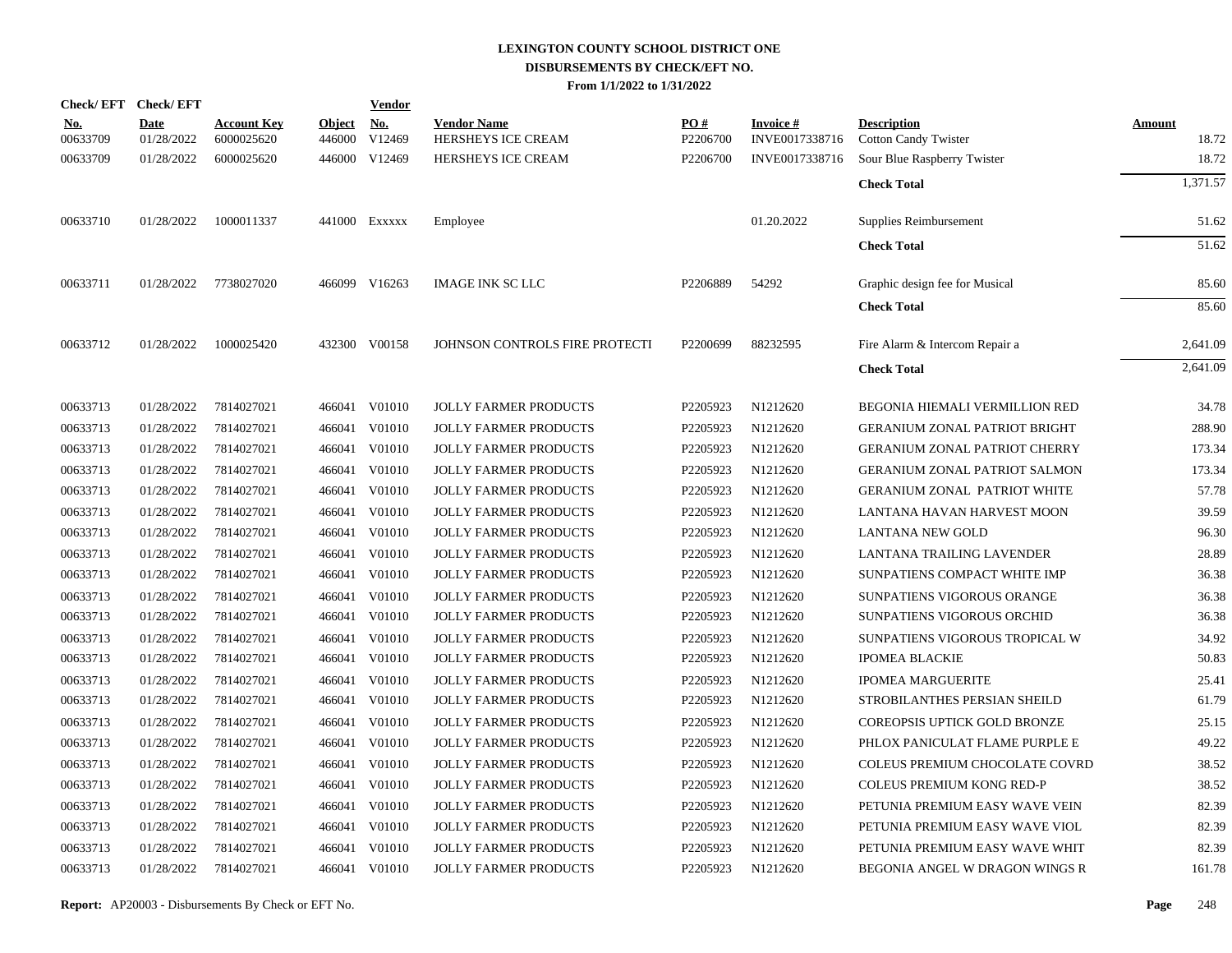|                        | Check/EFT Check/EFT |                                  |                         | <b>Vendor</b>        |                                          |                               |                                   |                                                   |                        |
|------------------------|---------------------|----------------------------------|-------------------------|----------------------|------------------------------------------|-------------------------------|-----------------------------------|---------------------------------------------------|------------------------|
| <u>No.</u><br>00633709 | Date<br>01/28/2022  | <b>Account Key</b><br>6000025620 | <b>Object</b><br>446000 | <u>No.</u><br>V12469 | <b>Vendor Name</b><br>HERSHEYS ICE CREAM | $\underline{PO#}$<br>P2206700 | <b>Invoice#</b><br>INVE0017338716 | <b>Description</b><br><b>Cotton Candy Twister</b> | <b>Amount</b><br>18.72 |
| 00633709               | 01/28/2022          | 6000025620                       |                         | 446000 V12469        | HERSHEYS ICE CREAM                       | P2206700                      | INVE0017338716                    | Sour Blue Raspberry Twister                       | 18.72                  |
|                        |                     |                                  |                         |                      |                                          |                               |                                   | <b>Check Total</b>                                | 1,371.57               |
| 00633710               | 01/28/2022          | 1000011337                       |                         | 441000 Exxxxx        | Employee                                 |                               | 01.20.2022                        | Supplies Reimbursement                            | 51.62                  |
|                        |                     |                                  |                         |                      |                                          |                               |                                   | <b>Check Total</b>                                | 51.62                  |
| 00633711               | 01/28/2022          | 7738027020                       |                         | 466099 V16263        | <b>IMAGE INK SC LLC</b>                  | P2206889                      | 54292                             | Graphic design fee for Musical                    | 85.60                  |
|                        |                     |                                  |                         |                      |                                          |                               |                                   | <b>Check Total</b>                                | 85.60                  |
| 00633712               | 01/28/2022          | 1000025420                       |                         | 432300 V00158        | JOHNSON CONTROLS FIRE PROTECTI           | P2200699                      | 88232595                          | Fire Alarm & Intercom Repair a                    | 2,641.09               |
|                        |                     |                                  |                         |                      |                                          |                               |                                   | <b>Check Total</b>                                | 2,641.09               |
| 00633713               | 01/28/2022          | 7814027021                       |                         | 466041 V01010        | <b>JOLLY FARMER PRODUCTS</b>             | P2205923                      | N1212620                          | BEGONIA HIEMALI VERMILLION RED                    | 34.78                  |
| 00633713               | 01/28/2022          | 7814027021                       | 466041                  | V01010               | <b>JOLLY FARMER PRODUCTS</b>             | P2205923                      | N1212620                          | <b>GERANIUM ZONAL PATRIOT BRIGHT</b>              | 288.90                 |
| 00633713               | 01/28/2022          | 7814027021                       | 466041                  | V01010               | <b>JOLLY FARMER PRODUCTS</b>             | P2205923                      | N1212620                          | <b>GERANIUM ZONAL PATRIOT CHERRY</b>              | 173.34                 |
| 00633713               | 01/28/2022          | 7814027021                       | 466041                  | V01010               | <b>JOLLY FARMER PRODUCTS</b>             | P2205923                      | N1212620                          | <b>GERANIUM ZONAL PATRIOT SALMON</b>              | 173.34                 |
| 00633713               | 01/28/2022          | 7814027021                       | 466041                  | V01010               | <b>JOLLY FARMER PRODUCTS</b>             | P2205923                      | N1212620                          | <b>GERANIUM ZONAL PATRIOT WHITE</b>               | 57.78                  |
| 00633713               | 01/28/2022          | 7814027021                       | 466041                  | V01010               | <b>JOLLY FARMER PRODUCTS</b>             | P2205923                      | N1212620                          | LANTANA HAVAN HARVEST MOON                        | 39.59                  |
| 00633713               | 01/28/2022          | 7814027021                       | 466041                  | V01010               | <b>JOLLY FARMER PRODUCTS</b>             | P2205923                      | N1212620                          | <b>LANTANA NEW GOLD</b>                           | 96.30                  |
| 00633713               | 01/28/2022          | 7814027021                       | 466041                  | V01010               | <b>JOLLY FARMER PRODUCTS</b>             | P2205923                      | N1212620                          | LANTANA TRAILING LAVENDER                         | 28.89                  |
| 00633713               | 01/28/2022          | 7814027021                       | 466041                  | V01010               | <b>JOLLY FARMER PRODUCTS</b>             | P2205923                      | N1212620                          | SUNPATIENS COMPACT WHITE IMP                      | 36.38                  |
| 00633713               | 01/28/2022          | 7814027021                       | 466041                  | V01010               | <b>JOLLY FARMER PRODUCTS</b>             | P2205923                      | N1212620                          | SUNPATIENS VIGOROUS ORANGE                        | 36.38                  |
| 00633713               | 01/28/2022          | 7814027021                       | 466041                  | V01010               | <b>JOLLY FARMER PRODUCTS</b>             | P2205923                      | N1212620                          | SUNPATIENS VIGOROUS ORCHID                        | 36.38                  |
| 00633713               | 01/28/2022          | 7814027021                       | 466041                  | V01010               | <b>JOLLY FARMER PRODUCTS</b>             | P2205923                      | N1212620                          | SUNPATIENS VIGOROUS TROPICAL W                    | 34.92                  |
| 00633713               | 01/28/2022          | 7814027021                       | 466041                  | V01010               | <b>JOLLY FARMER PRODUCTS</b>             | P2205923                      | N1212620                          | <b>IPOMEA BLACKIE</b>                             | 50.83                  |
| 00633713               | 01/28/2022          | 7814027021                       | 466041                  | V01010               | <b>JOLLY FARMER PRODUCTS</b>             | P2205923                      | N1212620                          | <b>IPOMEA MARGUERITE</b>                          | 25.41                  |
| 00633713               | 01/28/2022          | 7814027021                       | 466041                  | V01010               | <b>JOLLY FARMER PRODUCTS</b>             | P2205923                      | N1212620                          | STROBILANTHES PERSIAN SHEILD                      | 61.79                  |
| 00633713               | 01/28/2022          | 7814027021                       | 466041                  | V01010               | <b>JOLLY FARMER PRODUCTS</b>             | P2205923                      | N1212620                          | COREOPSIS UPTICK GOLD BRONZE                      | 25.15                  |
| 00633713               | 01/28/2022          | 7814027021                       | 466041                  | V01010               | <b>JOLLY FARMER PRODUCTS</b>             | P2205923                      | N1212620                          | PHLOX PANICULAT FLAME PURPLE E                    | 49.22                  |
| 00633713               | 01/28/2022          | 7814027021                       | 466041                  | V01010               | <b>JOLLY FARMER PRODUCTS</b>             | P2205923                      | N1212620                          | COLEUS PREMIUM CHOCOLATE COVRD                    | 38.52                  |
| 00633713               | 01/28/2022          | 7814027021                       | 466041                  | V01010               | <b>JOLLY FARMER PRODUCTS</b>             | P2205923                      | N1212620                          | <b>COLEUS PREMIUM KONG RED-P</b>                  | 38.52                  |
| 00633713               | 01/28/2022          | 7814027021                       | 466041                  | V01010               | <b>JOLLY FARMER PRODUCTS</b>             | P2205923                      | N1212620                          | PETUNIA PREMIUM EASY WAVE VEIN                    | 82.39                  |
| 00633713               | 01/28/2022          | 7814027021                       | 466041                  | V01010               | <b>JOLLY FARMER PRODUCTS</b>             | P2205923                      | N1212620                          | PETUNIA PREMIUM EASY WAVE VIOL                    | 82.39                  |
| 00633713               | 01/28/2022          | 7814027021                       | 466041                  | V01010               | <b>JOLLY FARMER PRODUCTS</b>             | P2205923                      | N1212620                          | PETUNIA PREMIUM EASY WAVE WHIT                    | 82.39                  |
| 00633713               | 01/28/2022          | 7814027021                       | 466041                  | V01010               | <b>JOLLY FARMER PRODUCTS</b>             | P2205923                      | N1212620                          | BEGONIA ANGEL W DRAGON WINGS R                    | 161.78                 |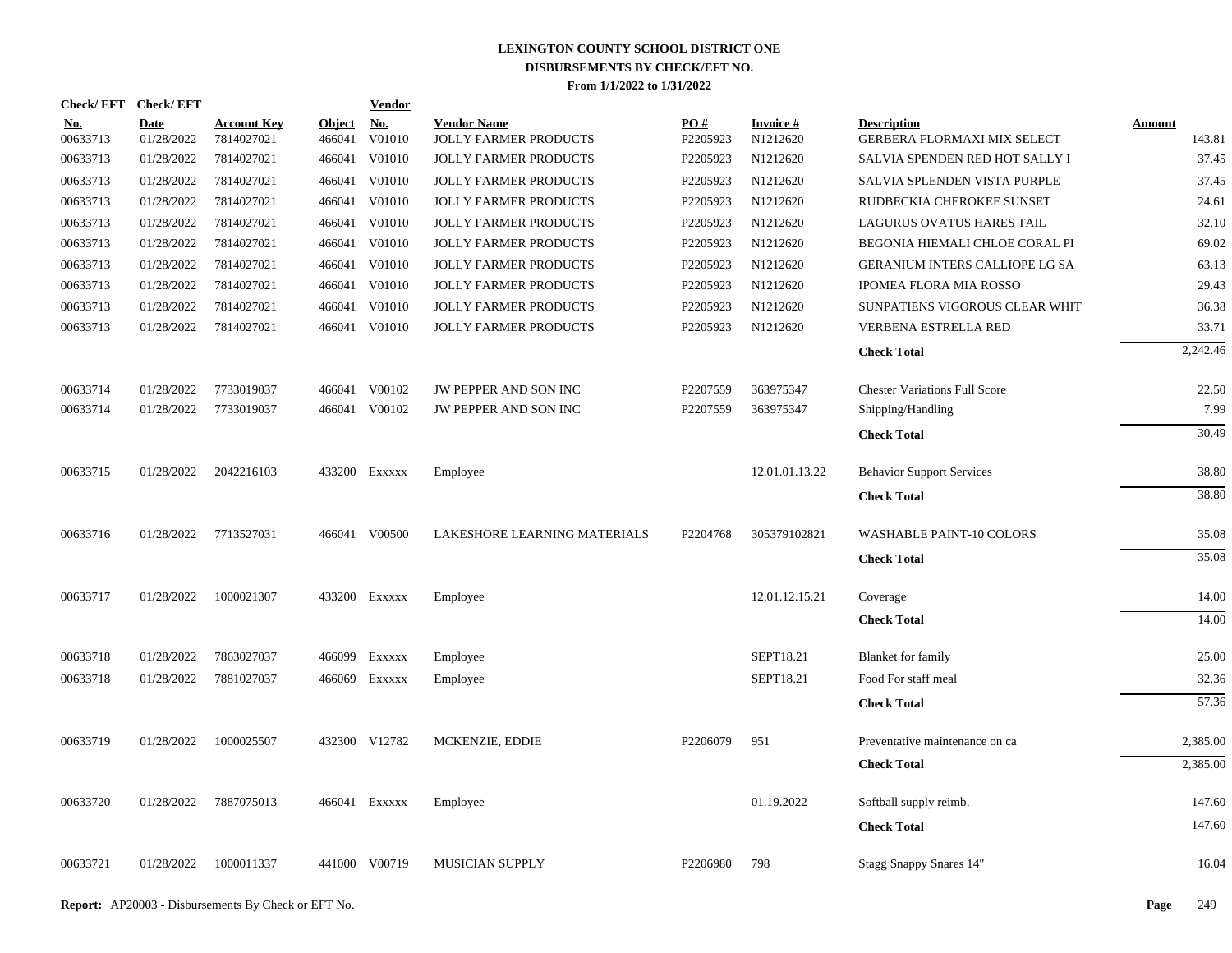|                        | Check/EFT Check/EFT       |                                  |                         | <u>Vendor</u>                         |                                             |                      |                              |                                                   |                         |
|------------------------|---------------------------|----------------------------------|-------------------------|---------------------------------------|---------------------------------------------|----------------------|------------------------------|---------------------------------------------------|-------------------------|
| <u>No.</u><br>00633713 | <b>Date</b><br>01/28/2022 | <b>Account Key</b><br>7814027021 | <b>Object</b><br>466041 | $\underline{\mathrm{No}}$ .<br>V01010 | <b>Vendor Name</b><br>JOLLY FARMER PRODUCTS | PO#<br>P2205923      | <b>Invoice #</b><br>N1212620 | <b>Description</b><br>GERBERA FLORMAXI MIX SELECT | <b>Amount</b><br>143.81 |
| 00633713               | 01/28/2022                | 7814027021                       | 466041                  | V01010                                | <b>JOLLY FARMER PRODUCTS</b>                | P2205923             | N1212620                     | SALVIA SPENDEN RED HOT SALLY I                    | 37.45                   |
| 00633713               | 01/28/2022                | 7814027021                       | 466041                  | V01010                                | <b>JOLLY FARMER PRODUCTS</b>                | P2205923             | N1212620                     | SALVIA SPLENDEN VISTA PURPLE                      | 37.45                   |
| 00633713               | 01/28/2022                | 7814027021                       | 466041                  | V01010                                | JOLLY FARMER PRODUCTS                       | P2205923             | N1212620                     | RUDBECKIA CHEROKEE SUNSET                         | 24.61                   |
| 00633713               | 01/28/2022                | 7814027021                       | 466041                  | V01010                                | JOLLY FARMER PRODUCTS                       | P2205923             | N1212620                     | LAGURUS OVATUS HARES TAIL                         | 32.10                   |
| 00633713               | 01/28/2022                | 7814027021                       | 466041                  | V01010                                | JOLLY FARMER PRODUCTS                       | P2205923             | N1212620                     | BEGONIA HIEMALI CHLOE CORAL PI                    | 69.02                   |
| 00633713               | 01/28/2022                | 7814027021                       | 466041                  | V01010                                | JOLLY FARMER PRODUCTS                       | P2205923             | N1212620                     | GERANIUM INTERS CALLIOPE LG SA                    | 63.13                   |
| 00633713               | 01/28/2022                | 7814027021                       | 466041                  | V01010                                | JOLLY FARMER PRODUCTS                       | P2205923             | N1212620                     | IPOMEA FLORA MIA ROSSO                            | 29.43                   |
| 00633713               | 01/28/2022                | 7814027021                       | 466041                  | V01010                                | JOLLY FARMER PRODUCTS                       | P2205923             | N1212620                     | SUNPATIENS VIGOROUS CLEAR WHIT                    | 36.38                   |
| 00633713               | 01/28/2022                | 7814027021                       |                         | 466041 V01010                         | JOLLY FARMER PRODUCTS                       | P2205923             | N1212620                     | VERBENA ESTRELLA RED                              | 33.71                   |
|                        |                           |                                  |                         |                                       |                                             |                      |                              | <b>Check Total</b>                                | 2.242.46                |
| 00633714               | 01/28/2022                | 7733019037                       |                         | 466041 V00102                         | JW PEPPER AND SON INC                       | P2207559             | 363975347                    | <b>Chester Variations Full Score</b>              | 22.50                   |
| 00633714               | 01/28/2022                | 7733019037                       |                         | 466041 V00102                         | JW PEPPER AND SON INC                       | P2207559             | 363975347                    | Shipping/Handling                                 | 7.99                    |
|                        |                           |                                  |                         |                                       |                                             |                      |                              | <b>Check Total</b>                                | 30.49                   |
| 00633715               | 01/28/2022                | 2042216103                       |                         | 433200 Exxxxx                         | Employee                                    |                      | 12.01.01.13.22               | <b>Behavior Support Services</b>                  | 38.80                   |
|                        |                           |                                  |                         |                                       |                                             |                      |                              | <b>Check Total</b>                                | 38.80                   |
| 00633716               | 01/28/2022                | 7713527031                       |                         | 466041 V00500                         | LAKESHORE LEARNING MATERIALS                | P2204768             | 305379102821                 | <b>WASHABLE PAINT-10 COLORS</b>                   | 35.08                   |
|                        |                           |                                  |                         |                                       |                                             |                      |                              | <b>Check Total</b>                                | 35.08                   |
| 00633717               | 01/28/2022                | 1000021307                       |                         | 433200 Exxxxx                         | Employee                                    |                      | 12.01.12.15.21               | Coverage                                          | 14.00                   |
|                        |                           |                                  |                         |                                       |                                             |                      |                              | <b>Check Total</b>                                | 14.00                   |
| 00633718               | 01/28/2022                | 7863027037                       | 466099                  | EXXXXX                                | Employee                                    |                      | SEPT18.21                    | <b>Blanket</b> for family                         | 25.00                   |
| 00633718               | 01/28/2022                | 7881027037                       |                         | 466069 Exxxxx                         | Employee                                    |                      | SEPT18.21                    | Food For staff meal                               | 32.36                   |
|                        |                           |                                  |                         |                                       |                                             |                      |                              | <b>Check Total</b>                                | 57.36                   |
| 00633719               | 01/28/2022                | 1000025507                       |                         | 432300 V12782                         | MCKENZIE, EDDIE                             | P2206079             | 951                          | Preventative maintenance on ca                    | 2,385.00                |
|                        |                           |                                  |                         |                                       |                                             |                      |                              | <b>Check Total</b>                                | 2,385.00                |
| 00633720               | 01/28/2022                | 7887075013                       |                         | 466041 Exxxxx                         | Employee                                    |                      | 01.19.2022                   | Softball supply reimb.                            | 147.60                  |
|                        |                           |                                  |                         |                                       |                                             |                      |                              | <b>Check Total</b>                                | 147.60                  |
| 00633721               | 01/28/2022                | 1000011337                       |                         | 441000 V00719                         | <b>MUSICIAN SUPPLY</b>                      | P <sub>2206980</sub> | 798                          | Stagg Snappy Snares 14"                           | 16.04                   |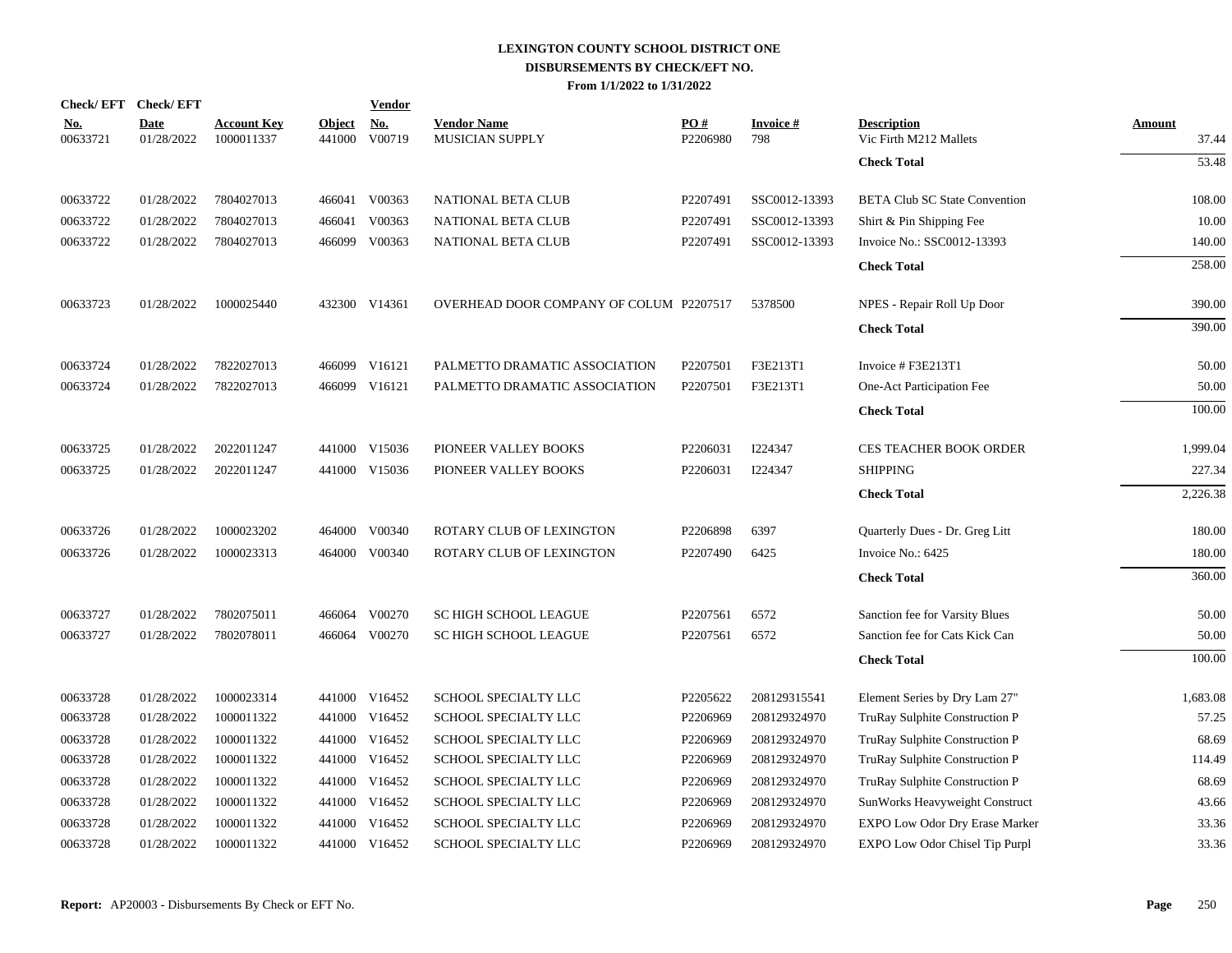| <b>Check/EFT</b>       | <b>Check/EFT</b>          |                                  |                         | <b>Vendor</b> |                                              |                 |                        |                                              |                        |
|------------------------|---------------------------|----------------------------------|-------------------------|---------------|----------------------------------------------|-----------------|------------------------|----------------------------------------------|------------------------|
| <u>No.</u><br>00633721 | <b>Date</b><br>01/28/2022 | <b>Account Key</b><br>1000011337 | <b>Object</b><br>441000 | No.<br>V00719 | <b>Vendor Name</b><br><b>MUSICIAN SUPPLY</b> | PO#<br>P2206980 | <b>Invoice#</b><br>798 | <b>Description</b><br>Vic Firth M212 Mallets | <b>Amount</b><br>37.44 |
|                        |                           |                                  |                         |               |                                              |                 |                        | <b>Check Total</b>                           | 53.48                  |
| 00633722               | 01/28/2022                | 7804027013                       |                         | 466041 V00363 | <b>NATIONAL BETA CLUB</b>                    | P2207491        | SSC0012-13393          | <b>BETA Club SC State Convention</b>         | 108.00                 |
| 00633722               | 01/28/2022                | 7804027013                       | 466041                  | V00363        | NATIONAL BETA CLUB                           | P2207491        | SSC0012-13393          | Shirt & Pin Shipping Fee                     | 10.00                  |
| 00633722               | 01/28/2022                | 7804027013                       | 466099                  | V00363        | <b>NATIONAL BETA CLUB</b>                    | P2207491        | SSC0012-13393          | Invoice No.: SSC0012-13393                   | 140.00                 |
|                        |                           |                                  |                         |               |                                              |                 |                        | <b>Check Total</b>                           | 258.00                 |
| 00633723               | 01/28/2022                | 1000025440                       |                         | 432300 V14361 | OVERHEAD DOOR COMPANY OF COLUM P2207517      |                 | 5378500                | NPES - Repair Roll Up Door                   | 390.00                 |
|                        |                           |                                  |                         |               |                                              |                 |                        | <b>Check Total</b>                           | 390.00                 |
| 00633724               | 01/28/2022                | 7822027013                       | 466099                  | V16121        | PALMETTO DRAMATIC ASSOCIATION                | P2207501        | F3E213T1               | Invoice # F3E213T1                           | 50.00                  |
| 00633724               | 01/28/2022                | 7822027013                       |                         | 466099 V16121 | PALMETTO DRAMATIC ASSOCIATION                | P2207501        | F3E213T1               | One-Act Participation Fee                    | 50.00                  |
|                        |                           |                                  |                         |               |                                              |                 |                        | <b>Check Total</b>                           | 100.00                 |
| 00633725               | 01/28/2022                | 2022011247                       |                         | 441000 V15036 | PIONEER VALLEY BOOKS                         | P2206031        | I224347                | CES TEACHER BOOK ORDER                       | 1,999.04               |
| 00633725               | 01/28/2022                | 2022011247                       |                         | 441000 V15036 | PIONEER VALLEY BOOKS                         | P2206031        | I224347                | <b>SHIPPING</b>                              | 227.34                 |
|                        |                           |                                  |                         |               |                                              |                 |                        | <b>Check Total</b>                           | 2,226.38               |
| 00633726               | 01/28/2022                | 1000023202                       | 464000                  | V00340        | ROTARY CLUB OF LEXINGTON                     | P2206898        | 6397                   | Quarterly Dues - Dr. Greg Litt               | 180.00                 |
| 00633726               | 01/28/2022                | 1000023313                       |                         | 464000 V00340 | ROTARY CLUB OF LEXINGTON                     | P2207490        | 6425                   | Invoice No.: 6425                            | 180.00                 |
|                        |                           |                                  |                         |               |                                              |                 |                        | <b>Check Total</b>                           | 360.00                 |
| 00633727               | 01/28/2022                | 7802075011                       |                         | 466064 V00270 | <b>SC HIGH SCHOOL LEAGUE</b>                 | P2207561        | 6572                   | Sanction fee for Varsity Blues               | 50.00                  |
| 00633727               | 01/28/2022                | 7802078011                       |                         | 466064 V00270 | <b>SC HIGH SCHOOL LEAGUE</b>                 | P2207561        | 6572                   | Sanction fee for Cats Kick Can               | 50.00                  |
|                        |                           |                                  |                         |               |                                              |                 |                        | <b>Check Total</b>                           | 100.00                 |
| 00633728               | 01/28/2022                | 1000023314                       |                         | 441000 V16452 | SCHOOL SPECIALTY LLC                         | P2205622        | 208129315541           | Element Series by Dry Lam 27"                | 1,683.08               |
| 00633728               | 01/28/2022                | 1000011322                       |                         | 441000 V16452 | SCHOOL SPECIALTY LLC                         | P2206969        | 208129324970           | TruRay Sulphite Construction P               | 57.25                  |
| 00633728               | 01/28/2022                | 1000011322                       |                         | 441000 V16452 | SCHOOL SPECIALTY LLC                         | P2206969        | 208129324970           | TruRay Sulphite Construction P               | 68.69                  |
| 00633728               | 01/28/2022                | 1000011322                       |                         | 441000 V16452 | SCHOOL SPECIALTY LLC                         | P2206969        | 208129324970           | TruRay Sulphite Construction P               | 114.49                 |
| 00633728               | 01/28/2022                | 1000011322                       | 441000                  | V16452        | SCHOOL SPECIALTY LLC                         | P2206969        | 208129324970           | TruRay Sulphite Construction P               | 68.69                  |
| 00633728               | 01/28/2022                | 1000011322                       |                         | 441000 V16452 | SCHOOL SPECIALTY LLC                         | P2206969        | 208129324970           | SunWorks Heavyweight Construct               | 43.66                  |
| 00633728               | 01/28/2022                | 1000011322                       | 441000                  | V16452        | SCHOOL SPECIALTY LLC                         | P2206969        | 208129324970           | EXPO Low Odor Dry Erase Marker               | 33.36                  |
| 00633728               | 01/28/2022                | 1000011322                       |                         | 441000 V16452 | SCHOOL SPECIALTY LLC                         | P2206969        | 208129324970           | EXPO Low Odor Chisel Tip Purpl               | 33.36                  |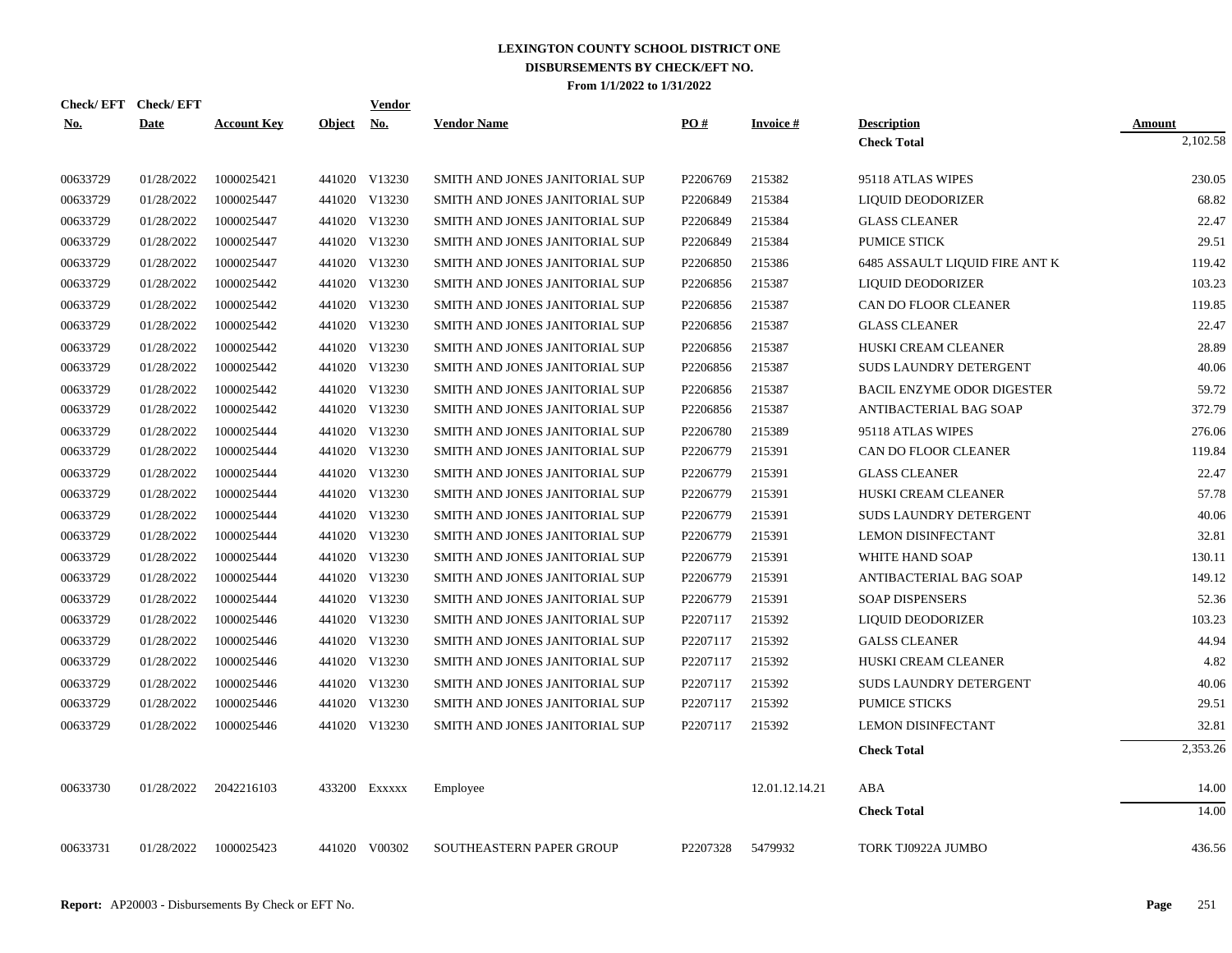|            | Check/EFT Check/EFT |                    |            | Vendor        |                                |          |                 |                                   |               |
|------------|---------------------|--------------------|------------|---------------|--------------------------------|----------|-----------------|-----------------------------------|---------------|
| <b>No.</b> | <b>Date</b>         | <b>Account Key</b> | Object No. |               | <b>Vendor Name</b>             | PO#      | <b>Invoice#</b> | <b>Description</b>                | <b>Amount</b> |
|            |                     |                    |            |               |                                |          |                 | <b>Check Total</b>                | 2,102.58      |
| 00633729   | 01/28/2022          | 1000025421         |            | 441020 V13230 | SMITH AND JONES JANITORIAL SUP | P2206769 | 215382          | 95118 ATLAS WIPES                 | 230.05        |
| 00633729   | 01/28/2022          | 1000025447         |            | 441020 V13230 | SMITH AND JONES JANITORIAL SUP | P2206849 | 215384          | LIQUID DEODORIZER                 | 68.82         |
| 00633729   | 01/28/2022          | 1000025447         |            | 441020 V13230 | SMITH AND JONES JANITORIAL SUP | P2206849 | 215384          | <b>GLASS CLEANER</b>              | 22.47         |
| 00633729   | 01/28/2022          | 1000025447         |            | 441020 V13230 | SMITH AND JONES JANITORIAL SUP | P2206849 | 215384          | <b>PUMICE STICK</b>               | 29.51         |
| 00633729   | 01/28/2022          | 1000025447         |            | 441020 V13230 | SMITH AND JONES JANITORIAL SUP | P2206850 | 215386          | 6485 ASSAULT LIQUID FIRE ANT K    | 119.42        |
| 00633729   | 01/28/2022          | 1000025442         |            | 441020 V13230 | SMITH AND JONES JANITORIAL SUP | P2206856 | 215387          | LIQUID DEODORIZER                 | 103.23        |
| 00633729   | 01/28/2022          | 1000025442         |            | 441020 V13230 | SMITH AND JONES JANITORIAL SUP | P2206856 | 215387          | CAN DO FLOOR CLEANER              | 119.85        |
| 00633729   | 01/28/2022          | 1000025442         |            | 441020 V13230 | SMITH AND JONES JANITORIAL SUP | P2206856 | 215387          | <b>GLASS CLEANER</b>              | 22.47         |
| 00633729   | 01/28/2022          | 1000025442         |            | 441020 V13230 | SMITH AND JONES JANITORIAL SUP | P2206856 | 215387          | HUSKI CREAM CLEANER               | 28.89         |
| 00633729   | 01/28/2022          | 1000025442         |            | 441020 V13230 | SMITH AND JONES JANITORIAL SUP | P2206856 | 215387          | <b>SUDS LAUNDRY DETERGENT</b>     | 40.06         |
| 00633729   | 01/28/2022          | 1000025442         |            | 441020 V13230 | SMITH AND JONES JANITORIAL SUP | P2206856 | 215387          | <b>BACIL ENZYME ODOR DIGESTER</b> | 59.72         |
| 00633729   | 01/28/2022          | 1000025442         |            | 441020 V13230 | SMITH AND JONES JANITORIAL SUP | P2206856 | 215387          | ANTIBACTERIAL BAG SOAP            | 372.79        |
| 00633729   | 01/28/2022          | 1000025444         |            | 441020 V13230 | SMITH AND JONES JANITORIAL SUP | P2206780 | 215389          | 95118 ATLAS WIPES                 | 276.06        |
| 00633729   | 01/28/2022          | 1000025444         |            | 441020 V13230 | SMITH AND JONES JANITORIAL SUP | P2206779 | 215391          | CAN DO FLOOR CLEANER              | 119.84        |
| 00633729   | 01/28/2022          | 1000025444         |            | 441020 V13230 | SMITH AND JONES JANITORIAL SUP | P2206779 | 215391          | <b>GLASS CLEANER</b>              | 22.47         |
| 00633729   | 01/28/2022          | 1000025444         |            | 441020 V13230 | SMITH AND JONES JANITORIAL SUP | P2206779 | 215391          | HUSKI CREAM CLEANER               | 57.78         |
| 00633729   | 01/28/2022          | 1000025444         |            | 441020 V13230 | SMITH AND JONES JANITORIAL SUP | P2206779 | 215391          | SUDS LAUNDRY DETERGENT            | 40.06         |
| 00633729   | 01/28/2022          | 1000025444         |            | 441020 V13230 | SMITH AND JONES JANITORIAL SUP | P2206779 | 215391          | <b>LEMON DISINFECTANT</b>         | 32.81         |
| 00633729   | 01/28/2022          | 1000025444         |            | 441020 V13230 | SMITH AND JONES JANITORIAL SUP | P2206779 | 215391          | WHITE HAND SOAP                   | 130.11        |
| 00633729   | 01/28/2022          | 1000025444         |            | 441020 V13230 | SMITH AND JONES JANITORIAL SUP | P2206779 | 215391          | ANTIBACTERIAL BAG SOAP            | 149.12        |
| 00633729   | 01/28/2022          | 1000025444         |            | 441020 V13230 | SMITH AND JONES JANITORIAL SUP | P2206779 | 215391          | <b>SOAP DISPENSERS</b>            | 52.36         |
| 00633729   | 01/28/2022          | 1000025446         |            | 441020 V13230 | SMITH AND JONES JANITORIAL SUP | P2207117 | 215392          | LIQUID DEODORIZER                 | 103.23        |
| 00633729   | 01/28/2022          | 1000025446         |            | 441020 V13230 | SMITH AND JONES JANITORIAL SUP | P2207117 | 215392          | <b>GALSS CLEANER</b>              | 44.94         |
| 00633729   | 01/28/2022          | 1000025446         |            | 441020 V13230 | SMITH AND JONES JANITORIAL SUP | P2207117 | 215392          | HUSKI CREAM CLEANER               | 4.82          |
| 00633729   | 01/28/2022          | 1000025446         |            | 441020 V13230 | SMITH AND JONES JANITORIAL SUP | P2207117 | 215392          | SUDS LAUNDRY DETERGENT            | 40.06         |
| 00633729   | 01/28/2022          | 1000025446         |            | 441020 V13230 | SMITH AND JONES JANITORIAL SUP | P2207117 | 215392          | <b>PUMICE STICKS</b>              | 29.51         |
| 00633729   | 01/28/2022          | 1000025446         |            | 441020 V13230 | SMITH AND JONES JANITORIAL SUP | P2207117 | 215392          | <b>LEMON DISINFECTANT</b>         | 32.81         |
|            |                     |                    |            |               |                                |          |                 | <b>Check Total</b>                | 2,353.26      |
| 00633730   | 01/28/2022          | 2042216103         |            | 433200 Exxxxx | Employee                       |          | 12.01.12.14.21  | ABA                               | 14.00         |
|            |                     |                    |            |               |                                |          |                 | <b>Check Total</b>                | 14.00         |
| 00633731   | 01/28/2022          | 1000025423         |            | 441020 V00302 | SOUTHEASTERN PAPER GROUP       | P2207328 | 5479932         | TORK TJ0922A JUMBO                | 436.56        |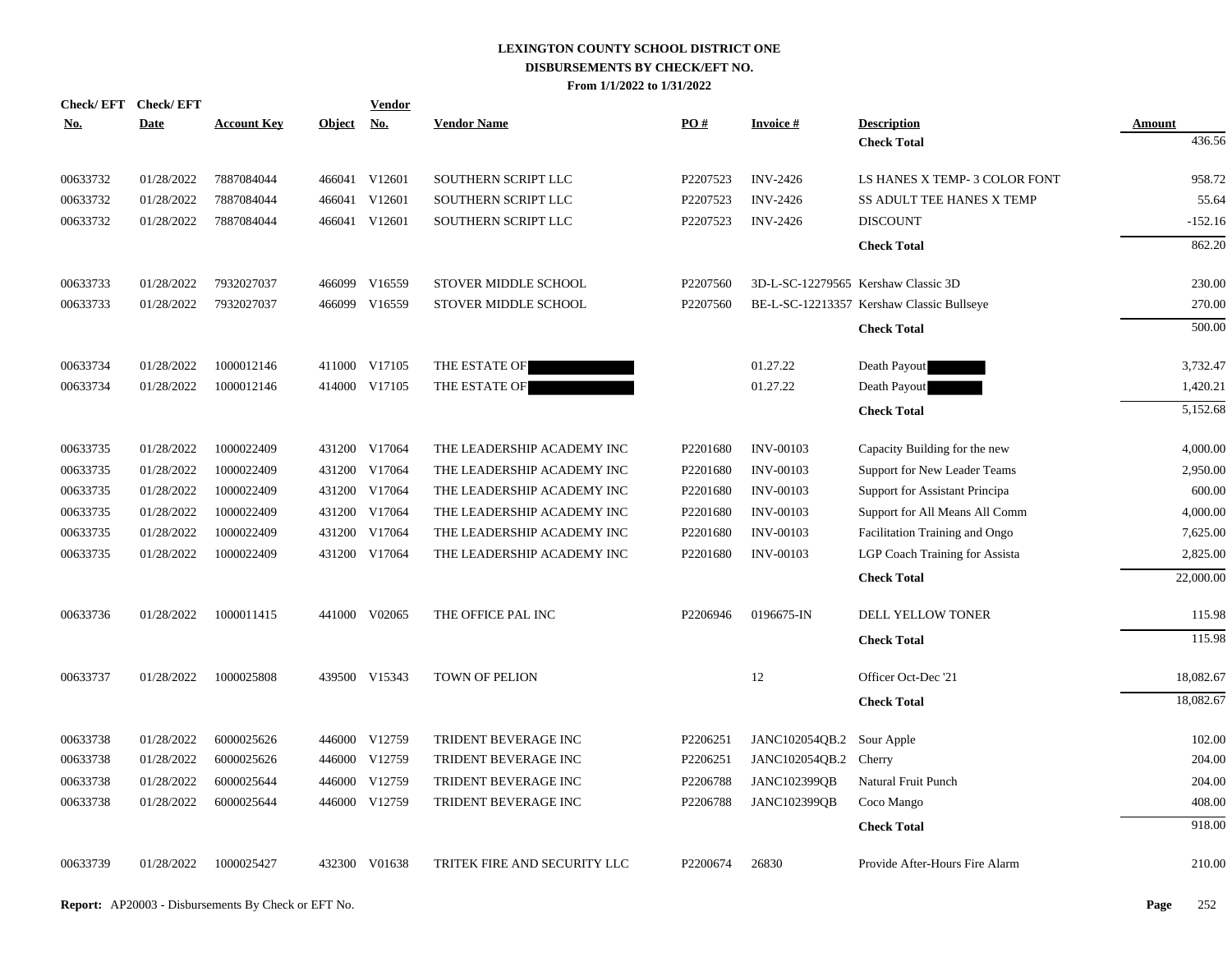|            | Check/EFT Check/EFT |                    |               | <b>Vendor</b> |                              |          |                       |                                           |               |
|------------|---------------------|--------------------|---------------|---------------|------------------------------|----------|-----------------------|-------------------------------------------|---------------|
| <u>No.</u> | <b>Date</b>         | <b>Account Key</b> | <b>Object</b> | <u>No.</u>    | <b>Vendor Name</b>           | PO#      | <b>Invoice#</b>       | <b>Description</b>                        | <b>Amount</b> |
|            |                     |                    |               |               |                              |          |                       | <b>Check Total</b>                        | 436.56        |
| 00633732   | 01/28/2022          | 7887084044         |               | 466041 V12601 | SOUTHERN SCRIPT LLC          | P2207523 | <b>INV-2426</b>       | LS HANES X TEMP- 3 COLOR FONT             | 958.72        |
| 00633732   | 01/28/2022          | 7887084044         | 466041        | V12601        | SOUTHERN SCRIPT LLC          | P2207523 | <b>INV-2426</b>       | SS ADULT TEE HANES X TEMP                 | 55.64         |
| 00633732   | 01/28/2022          | 7887084044         |               | 466041 V12601 | SOUTHERN SCRIPT LLC          | P2207523 | <b>INV-2426</b>       | <b>DISCOUNT</b>                           | $-152.16$     |
|            |                     |                    |               |               |                              |          |                       | <b>Check Total</b>                        | 862.20        |
| 00633733   | 01/28/2022          | 7932027037         |               | 466099 V16559 | STOVER MIDDLE SCHOOL         | P2207560 |                       | 3D-L-SC-12279565 Kershaw Classic 3D       | 230.00        |
| 00633733   | 01/28/2022          | 7932027037         |               | 466099 V16559 | STOVER MIDDLE SCHOOL         | P2207560 |                       | BE-L-SC-12213357 Kershaw Classic Bullseye | 270.00        |
|            |                     |                    |               |               |                              |          |                       | <b>Check Total</b>                        | 500.00        |
| 00633734   | 01/28/2022          | 1000012146         |               | 411000 V17105 | THE ESTATE OF                |          | 01.27.22              | Death Payout                              | 3,732.47      |
| 00633734   | 01/28/2022          | 1000012146         |               | 414000 V17105 | THE ESTATE OF                |          | 01.27.22              | Death Payout                              | 1,420.21      |
|            |                     |                    |               |               |                              |          |                       | <b>Check Total</b>                        | 5,152.68      |
| 00633735   | 01/28/2022          | 1000022409         |               | 431200 V17064 | THE LEADERSHIP ACADEMY INC   | P2201680 | <b>INV-00103</b>      | Capacity Building for the new             | 4,000.00      |
| 00633735   | 01/28/2022          | 1000022409         |               | 431200 V17064 | THE LEADERSHIP ACADEMY INC   | P2201680 | <b>INV-00103</b>      | Support for New Leader Teams              | 2,950.00      |
| 00633735   | 01/28/2022          | 1000022409         |               | 431200 V17064 | THE LEADERSHIP ACADEMY INC   | P2201680 | <b>INV-00103</b>      | Support for Assistant Principa            | 600.00        |
| 00633735   | 01/28/2022          | 1000022409         |               | 431200 V17064 | THE LEADERSHIP ACADEMY INC   | P2201680 | <b>INV-00103</b>      | Support for All Means All Comm            | 4,000.00      |
| 00633735   | 01/28/2022          | 1000022409         |               | 431200 V17064 | THE LEADERSHIP ACADEMY INC   | P2201680 | <b>INV-00103</b>      | Facilitation Training and Ongo            | 7,625.00      |
| 00633735   | 01/28/2022          | 1000022409         |               | 431200 V17064 | THE LEADERSHIP ACADEMY INC   | P2201680 | <b>INV-00103</b>      | <b>LGP Coach Training for Assista</b>     | 2,825.00      |
|            |                     |                    |               |               |                              |          |                       | <b>Check Total</b>                        | 22,000.00     |
| 00633736   | 01/28/2022          | 1000011415         |               | 441000 V02065 | THE OFFICE PAL INC           | P2206946 | 0196675-IN            | DELL YELLOW TONER                         | 115.98        |
|            |                     |                    |               |               |                              |          |                       | <b>Check Total</b>                        | 115.98        |
| 00633737   | 01/28/2022          | 1000025808         |               | 439500 V15343 | <b>TOWN OF PELION</b>        |          | 12                    | Officer Oct-Dec '21                       | 18,082.67     |
|            |                     |                    |               |               |                              |          |                       | <b>Check Total</b>                        | 18,082.67     |
| 00633738   | 01/28/2022          | 6000025626         |               | 446000 V12759 | TRIDENT BEVERAGE INC         | P2206251 | JANC102054QB.2        | Sour Apple                                | 102.00        |
| 00633738   | 01/28/2022          | 6000025626         |               | 446000 V12759 | <b>TRIDENT BEVERAGE INC</b>  | P2206251 | JANC102054QB.2 Cherry |                                           | 204.00        |
| 00633738   | 01/28/2022          | 6000025644         |               | 446000 V12759 | TRIDENT BEVERAGE INC         | P2206788 | JANC102399QB          | Natural Fruit Punch                       | 204.00        |
| 00633738   | 01/28/2022          | 6000025644         |               | 446000 V12759 | TRIDENT BEVERAGE INC         | P2206788 | JANC102399QB          | Coco Mango                                | 408.00        |
|            |                     |                    |               |               |                              |          |                       | <b>Check Total</b>                        | 918.00        |
| 00633739   | 01/28/2022          | 1000025427         |               | 432300 V01638 | TRITEK FIRE AND SECURITY LLC | P2200674 | 26830                 | Provide After-Hours Fire Alarm            | 210.00        |
|            |                     |                    |               |               |                              |          |                       |                                           |               |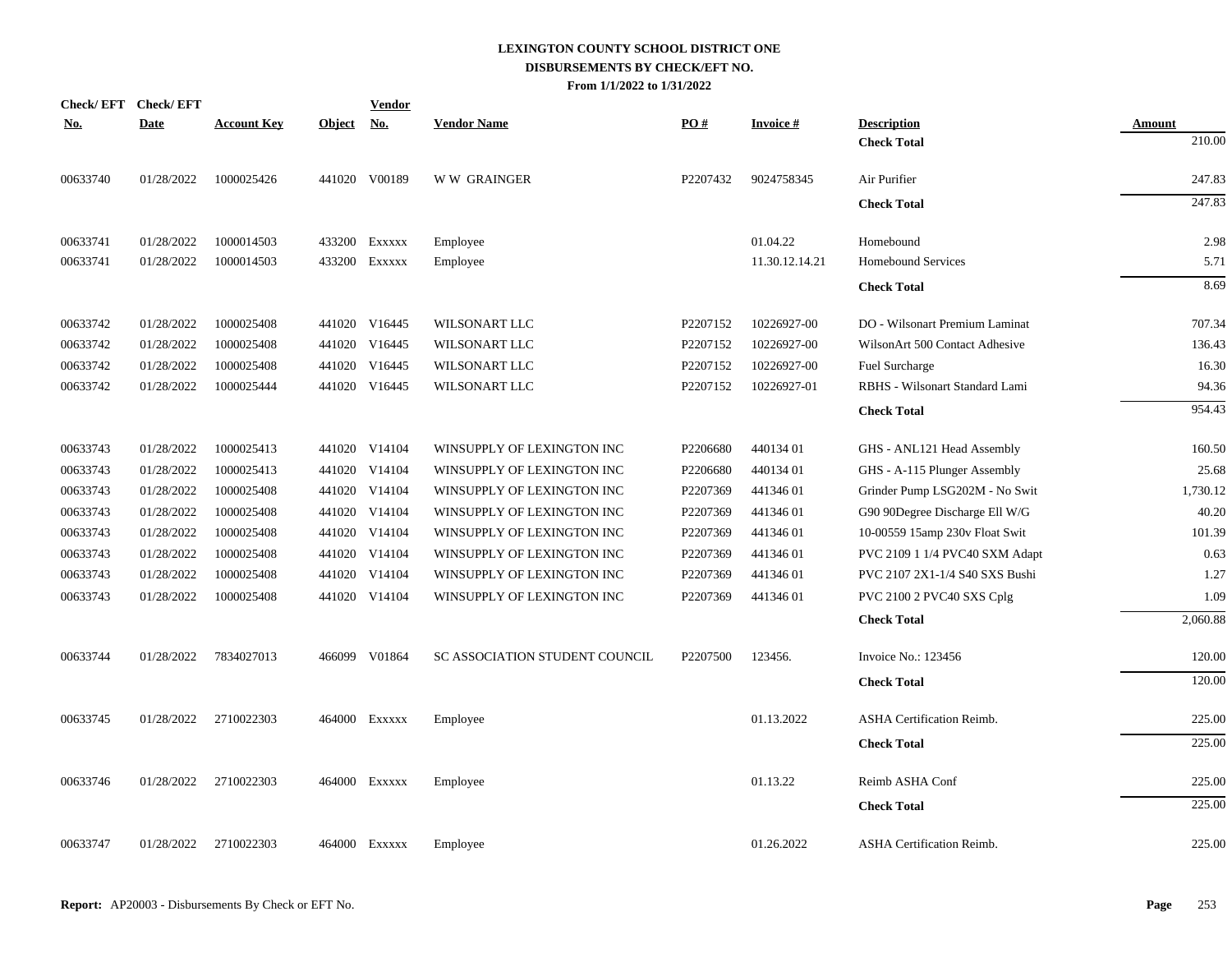| <b>Check/EFT</b> | <b>Check/EFT</b> |                    |               | <b>Vendor</b> |                                |                      |                 |                                  |          |
|------------------|------------------|--------------------|---------------|---------------|--------------------------------|----------------------|-----------------|----------------------------------|----------|
| <u>No.</u>       | <b>Date</b>      | <b>Account Key</b> | <b>Object</b> | No.           | <b>Vendor Name</b>             | PO#                  | <b>Invoice#</b> | <b>Description</b>               | Amount   |
|                  |                  |                    |               |               |                                |                      |                 | <b>Check Total</b>               | 210.00   |
| 00633740         | 01/28/2022       | 1000025426         |               | 441020 V00189 | <b>WW GRAINGER</b>             | P2207432             | 9024758345      | Air Purifier                     | 247.83   |
|                  |                  |                    |               |               |                                |                      |                 | <b>Check Total</b>               | 247.83   |
| 00633741         | 01/28/2022       | 1000014503         |               | 433200 EXXXXX | Employee                       |                      | 01.04.22        | Homebound                        | 2.98     |
| 00633741         | 01/28/2022       | 1000014503         |               | 433200 Exxxxx | Employee                       |                      | 11.30.12.14.21  | <b>Homebound Services</b>        | 5.71     |
|                  |                  |                    |               |               |                                |                      |                 | <b>Check Total</b>               | 8.69     |
| 00633742         | 01/28/2022       | 1000025408         |               | 441020 V16445 | WILSONART LLC                  | P2207152             | 10226927-00     | DO - Wilsonart Premium Laminat   | 707.34   |
| 00633742         | 01/28/2022       | 1000025408         |               | 441020 V16445 | WILSONART LLC                  | P2207152             | 10226927-00     | WilsonArt 500 Contact Adhesive   | 136.43   |
| 00633742         | 01/28/2022       | 1000025408         |               | 441020 V16445 | WILSONART LLC                  | P2207152             | 10226927-00     | <b>Fuel Surcharge</b>            | 16.30    |
| 00633742         | 01/28/2022       | 1000025444         |               | 441020 V16445 | WILSONART LLC                  | P2207152             | 10226927-01     | RBHS - Wilsonart Standard Lami   | 94.36    |
|                  |                  |                    |               |               |                                |                      |                 | <b>Check Total</b>               | 954.43   |
| 00633743         | 01/28/2022       | 1000025413         |               | 441020 V14104 | WINSUPPLY OF LEXINGTON INC     | P2206680             | 440134 01       | GHS - ANL121 Head Assembly       | 160.50   |
| 00633743         | 01/28/2022       | 1000025413         |               | 441020 V14104 | WINSUPPLY OF LEXINGTON INC     | P2206680             | 440134 01       | GHS - A-115 Plunger Assembly     | 25.68    |
| 00633743         | 01/28/2022       | 1000025408         |               | 441020 V14104 | WINSUPPLY OF LEXINGTON INC     | P2207369             | 44134601        | Grinder Pump LSG202M - No Swit   | 1,730.12 |
| 00633743         | 01/28/2022       | 1000025408         |               | 441020 V14104 | WINSUPPLY OF LEXINGTON INC     | P2207369             | 44134601        | G90 90Degree Discharge Ell W/G   | 40.20    |
| 00633743         | 01/28/2022       | 1000025408         |               | 441020 V14104 | WINSUPPLY OF LEXINGTON INC     | P2207369             | 44134601        | 10-00559 15amp 230v Float Swit   | 101.39   |
| 00633743         | 01/28/2022       | 1000025408         |               | 441020 V14104 | WINSUPPLY OF LEXINGTON INC     | P2207369             | 44134601        | PVC 2109 1 1/4 PVC40 SXM Adapt   | 0.63     |
| 00633743         | 01/28/2022       | 1000025408         | 441020        | V14104        | WINSUPPLY OF LEXINGTON INC     | P2207369             | 44134601        | PVC 2107 2X1-1/4 S40 SXS Bushi   | 1.27     |
| 00633743         | 01/28/2022       | 1000025408         |               | 441020 V14104 | WINSUPPLY OF LEXINGTON INC     | P2207369             | 44134601        | PVC 2100 2 PVC40 SXS Cplg        | 1.09     |
|                  |                  |                    |               |               |                                |                      |                 | <b>Check Total</b>               | 2,060.88 |
| 00633744         | 01/28/2022       | 7834027013         |               | 466099 V01864 | SC ASSOCIATION STUDENT COUNCIL | P <sub>2207500</sub> | 123456.         | Invoice No.: 123456              | 120.00   |
|                  |                  |                    |               |               |                                |                      |                 | <b>Check Total</b>               | 120.00   |
| 00633745         | 01/28/2022       | 2710022303         |               | 464000 Exxxxx | Employee                       |                      | 01.13.2022      | <b>ASHA Certification Reimb.</b> | 225.00   |
|                  |                  |                    |               |               |                                |                      |                 | <b>Check Total</b>               | 225.00   |
| 00633746         | 01/28/2022       | 2710022303         |               | 464000 Exxxxx | Employee                       |                      | 01.13.22        | Reimb ASHA Conf                  | 225.00   |
|                  |                  |                    |               |               |                                |                      |                 | <b>Check Total</b>               | 225.00   |
| 00633747         | 01/28/2022       | 2710022303         |               | 464000 Exxxxx | Employee                       |                      | 01.26.2022      | <b>ASHA Certification Reimb.</b> | 225.00   |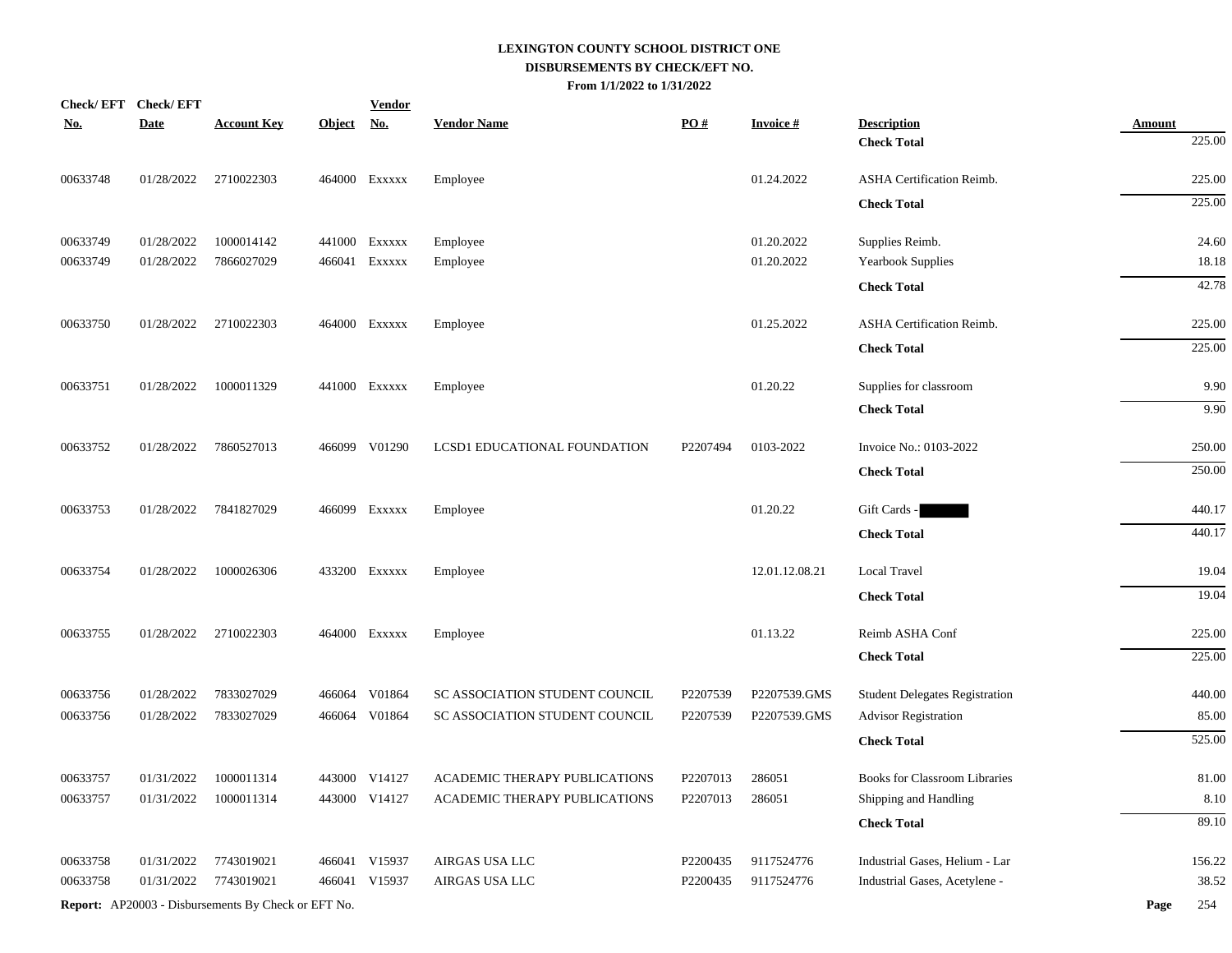|            | Check/EFT Check/EFT |                                                            |            | <b>Vendor</b> |                                |          |                 |                                       |                         |
|------------|---------------------|------------------------------------------------------------|------------|---------------|--------------------------------|----------|-----------------|---------------------------------------|-------------------------|
| <u>No.</u> | <b>Date</b>         | <b>Account Key</b>                                         | Object No. |               | <b>Vendor Name</b>             | PO#      | <b>Invoice#</b> | <b>Description</b>                    | <b>Amount</b><br>225.00 |
|            |                     |                                                            |            |               |                                |          |                 | <b>Check Total</b>                    |                         |
| 00633748   | 01/28/2022          | 2710022303                                                 |            | 464000 Exxxxx | Employee                       |          | 01.24.2022      | ASHA Certification Reimb.             | 225.00                  |
|            |                     |                                                            |            |               |                                |          |                 | <b>Check Total</b>                    | 225.00                  |
| 00633749   | 01/28/2022          | 1000014142                                                 |            | 441000 Exxxxx | Employee                       |          | 01.20.2022      | Supplies Reimb.                       | 24.60                   |
| 00633749   | 01/28/2022          | 7866027029                                                 |            | 466041 Exxxxx | Employee                       |          | 01.20.2022      | Yearbook Supplies                     | 18.18                   |
|            |                     |                                                            |            |               |                                |          |                 | <b>Check Total</b>                    | 42.78                   |
| 00633750   | 01/28/2022          | 2710022303                                                 |            | 464000 Exxxxx | Employee                       |          | 01.25.2022      | <b>ASHA Certification Reimb.</b>      | 225.00                  |
|            |                     |                                                            |            |               |                                |          |                 |                                       | 225.00                  |
|            |                     |                                                            |            |               |                                |          |                 | <b>Check Total</b>                    |                         |
| 00633751   | 01/28/2022          | 1000011329                                                 |            | 441000 Exxxxx | Employee                       |          | 01.20.22        | Supplies for classroom                | 9.90                    |
|            |                     |                                                            |            |               |                                |          |                 | <b>Check Total</b>                    | 9.90                    |
| 00633752   | 01/28/2022          | 7860527013                                                 |            | 466099 V01290 | LCSD1 EDUCATIONAL FOUNDATION   | P2207494 | 0103-2022       | Invoice No.: 0103-2022                | 250.00                  |
|            |                     |                                                            |            |               |                                |          |                 | <b>Check Total</b>                    | 250.00                  |
|            |                     |                                                            |            |               |                                |          |                 |                                       |                         |
| 00633753   | 01/28/2022          | 7841827029                                                 |            | 466099 Exxxxx | Employee                       |          | 01.20.22        | Gift Cards -                          | 440.17                  |
|            |                     |                                                            |            |               |                                |          |                 | <b>Check Total</b>                    | 440.17                  |
| 00633754   | 01/28/2022          | 1000026306                                                 |            | 433200 Exxxxx | Employee                       |          | 12.01.12.08.21  | Local Travel                          | 19.04                   |
|            |                     |                                                            |            |               |                                |          |                 | <b>Check Total</b>                    | 19.04                   |
| 00633755   | 01/28/2022          | 2710022303                                                 |            | 464000 Exxxxx | Employee                       |          | 01.13.22        | Reimb ASHA Conf                       | 225.00                  |
|            |                     |                                                            |            |               |                                |          |                 | <b>Check Total</b>                    | 225.00                  |
|            |                     |                                                            |            |               |                                |          |                 |                                       |                         |
| 00633756   | 01/28/2022          | 7833027029                                                 | 466064     | V01864        | SC ASSOCIATION STUDENT COUNCIL | P2207539 | P2207539.GMS    | <b>Student Delegates Registration</b> | 440.00                  |
| 00633756   | 01/28/2022          | 7833027029                                                 |            | 466064 V01864 | SC ASSOCIATION STUDENT COUNCIL | P2207539 | P2207539.GMS    | <b>Advisor Registration</b>           | 85.00                   |
|            |                     |                                                            |            |               |                                |          |                 | <b>Check Total</b>                    | 525.00                  |
| 00633757   | 01/31/2022          | 1000011314                                                 |            | 443000 V14127 | ACADEMIC THERAPY PUBLICATIONS  | P2207013 | 286051          | <b>Books for Classroom Libraries</b>  | 81.00                   |
| 00633757   | 01/31/2022          | 1000011314                                                 |            | 443000 V14127 | ACADEMIC THERAPY PUBLICATIONS  | P2207013 | 286051          | Shipping and Handling                 | 8.10                    |
|            |                     |                                                            |            |               |                                |          |                 | <b>Check Total</b>                    | 89.10                   |
| 00633758   | 01/31/2022          | 7743019021                                                 |            | 466041 V15937 | AIRGAS USA LLC                 | P2200435 | 9117524776      | Industrial Gases, Helium - Lar        | 156.22                  |
| 00633758   | 01/31/2022          | 7743019021                                                 |            | 466041 V15937 | AIRGAS USA LLC                 | P2200435 | 9117524776      | Industrial Gases, Acetylene -         | 38.52                   |
|            |                     | <b>Report:</b> AP20003 - Disbursements By Check or EFT No. |            |               |                                |          |                 |                                       | Page<br>254             |
|            |                     |                                                            |            |               |                                |          |                 |                                       |                         |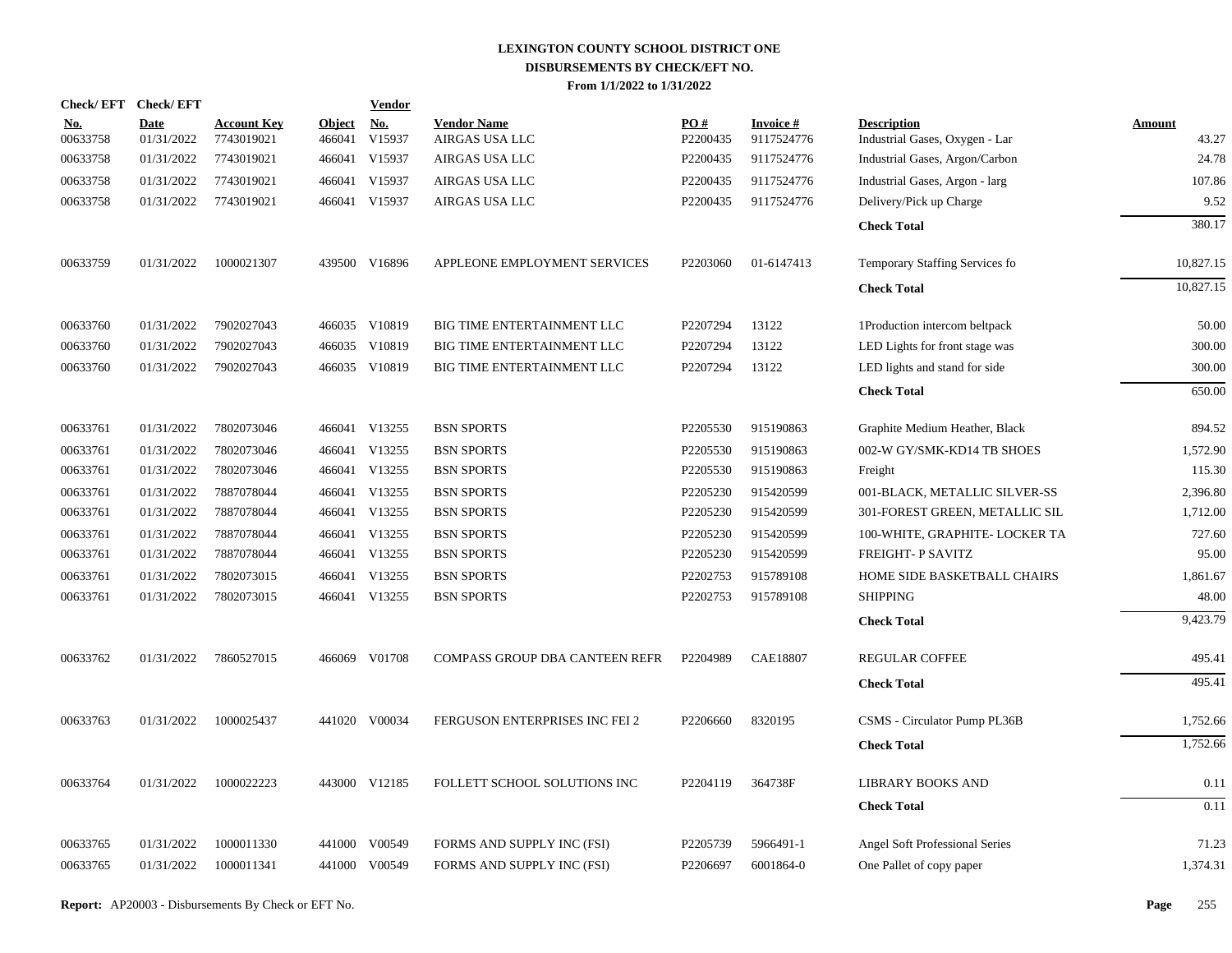|                        | Check/EFT Check/EFT       |                                  |                         | <b>Vendor</b>        |                                      |                 |                               |                                                      |                 |
|------------------------|---------------------------|----------------------------------|-------------------------|----------------------|--------------------------------------|-----------------|-------------------------------|------------------------------------------------------|-----------------|
| <u>No.</u><br>00633758 | <b>Date</b><br>01/31/2022 | <b>Account Key</b><br>7743019021 | <b>Object</b><br>466041 | <u>No.</u><br>V15937 | <b>Vendor Name</b><br>AIRGAS USA LLC | PO#<br>P2200435 | <b>Invoice#</b><br>9117524776 | <b>Description</b><br>Industrial Gases, Oxygen - Lar | Amount<br>43.27 |
| 00633758               | 01/31/2022                | 7743019021                       |                         | 466041 V15937        | AIRGAS USA LLC                       | P2200435        | 9117524776                    | Industrial Gases, Argon/Carbon                       | 24.78           |
| 00633758               | 01/31/2022                | 7743019021                       |                         | 466041 V15937        | AIRGAS USA LLC                       | P2200435        | 9117524776                    | Industrial Gases, Argon - larg                       | 107.86          |
| 00633758               | 01/31/2022                | 7743019021                       |                         | 466041 V15937        | AIRGAS USA LLC                       | P2200435        | 9117524776                    | Delivery/Pick up Charge                              | 9.52            |
|                        |                           |                                  |                         |                      |                                      |                 |                               | <b>Check Total</b>                                   | 380.17          |
| 00633759               | 01/31/2022                | 1000021307                       |                         | 439500 V16896        | APPLEONE EMPLOYMENT SERVICES         | P2203060        | 01-6147413                    | Temporary Staffing Services fo                       | 10,827.15       |
|                        |                           |                                  |                         |                      |                                      |                 |                               | <b>Check Total</b>                                   | 10,827.15       |
| 00633760               | 01/31/2022                | 7902027043                       |                         | 466035 V10819        | BIG TIME ENTERTAINMENT LLC           | P2207294        | 13122                         | 1Production intercom beltpack                        | 50.00           |
| 00633760               | 01/31/2022                | 7902027043                       |                         | 466035 V10819        | BIG TIME ENTERTAINMENT LLC           | P2207294        | 13122                         | LED Lights for front stage was                       | 300.00          |
| 00633760               | 01/31/2022                | 7902027043                       |                         | 466035 V10819        | BIG TIME ENTERTAINMENT LLC           | P2207294        | 13122                         | LED lights and stand for side                        | 300.00          |
|                        |                           |                                  |                         |                      |                                      |                 |                               | <b>Check Total</b>                                   | 650.00          |
| 00633761               | 01/31/2022                | 7802073046                       |                         | 466041 V13255        | <b>BSN SPORTS</b>                    | P2205530        | 915190863                     | Graphite Medium Heather, Black                       | 894.52          |
| 00633761               | 01/31/2022                | 7802073046                       | 466041                  | V13255               | <b>BSN SPORTS</b>                    | P2205530        | 915190863                     | 002-W GY/SMK-KD14 TB SHOES                           | 1,572.90        |
| 00633761               | 01/31/2022                | 7802073046                       |                         | 466041 V13255        | <b>BSN SPORTS</b>                    | P2205530        | 915190863                     | Freight                                              | 115.30          |
| 00633761               | 01/31/2022                | 7887078044                       |                         | 466041 V13255        | <b>BSN SPORTS</b>                    | P2205230        | 915420599                     | 001-BLACK, METALLIC SILVER-SS                        | 2,396.80        |
| 00633761               | 01/31/2022                | 7887078044                       |                         | 466041 V13255        | <b>BSN SPORTS</b>                    | P2205230        | 915420599                     | 301-FOREST GREEN, METALLIC SIL                       | 1,712.00        |
| 00633761               | 01/31/2022                | 7887078044                       |                         | 466041 V13255        | <b>BSN SPORTS</b>                    | P2205230        | 915420599                     | 100-WHITE, GRAPHITE- LOCKER TA                       | 727.60          |
| 00633761               | 01/31/2022                | 7887078044                       |                         | 466041 V13255        | <b>BSN SPORTS</b>                    | P2205230        | 915420599                     | FREIGHT- P SAVITZ                                    | 95.00           |
| 00633761               | 01/31/2022                | 7802073015                       | 466041                  | V13255               | <b>BSN SPORTS</b>                    | P2202753        | 915789108                     | HOME SIDE BASKETBALL CHAIRS                          | 1,861.67        |
| 00633761               | 01/31/2022                | 7802073015                       |                         | 466041 V13255        | <b>BSN SPORTS</b>                    | P2202753        | 915789108                     | <b>SHIPPING</b>                                      | 48.00           |
|                        |                           |                                  |                         |                      |                                      |                 |                               | <b>Check Total</b>                                   | 9,423.79        |
| 00633762               | 01/31/2022                | 7860527015                       |                         | 466069 V01708        | COMPASS GROUP DBA CANTEEN REFR       | P2204989        | <b>CAE18807</b>               | REGULAR COFFEE                                       | 495.41          |
|                        |                           |                                  |                         |                      |                                      |                 |                               | <b>Check Total</b>                                   | 495.41          |
| 00633763               | 01/31/2022                | 1000025437                       |                         | 441020 V00034        | FERGUSON ENTERPRISES INC FEI 2       | P2206660        | 8320195                       | CSMS - Circulator Pump PL36B                         | 1,752.66        |
|                        |                           |                                  |                         |                      |                                      |                 |                               | <b>Check Total</b>                                   | 1,752.66        |
| 00633764               | 01/31/2022                | 1000022223                       |                         | 443000 V12185        | FOLLETT SCHOOL SOLUTIONS INC         | P2204119        | 364738F                       | <b>LIBRARY BOOKS AND</b>                             | 0.11            |
|                        |                           |                                  |                         |                      |                                      |                 |                               | <b>Check Total</b>                                   | 0.11            |
| 00633765               | 01/31/2022                | 1000011330                       | 441000                  | V00549               | FORMS AND SUPPLY INC (FSI)           | P2205739        | 5966491-1                     | Angel Soft Professional Series                       | 71.23           |
| 00633765               | 01/31/2022                | 1000011341                       |                         | 441000 V00549        | FORMS AND SUPPLY INC (FSI)           | P2206697        | 6001864-0                     | One Pallet of copy paper                             | 1,374.31        |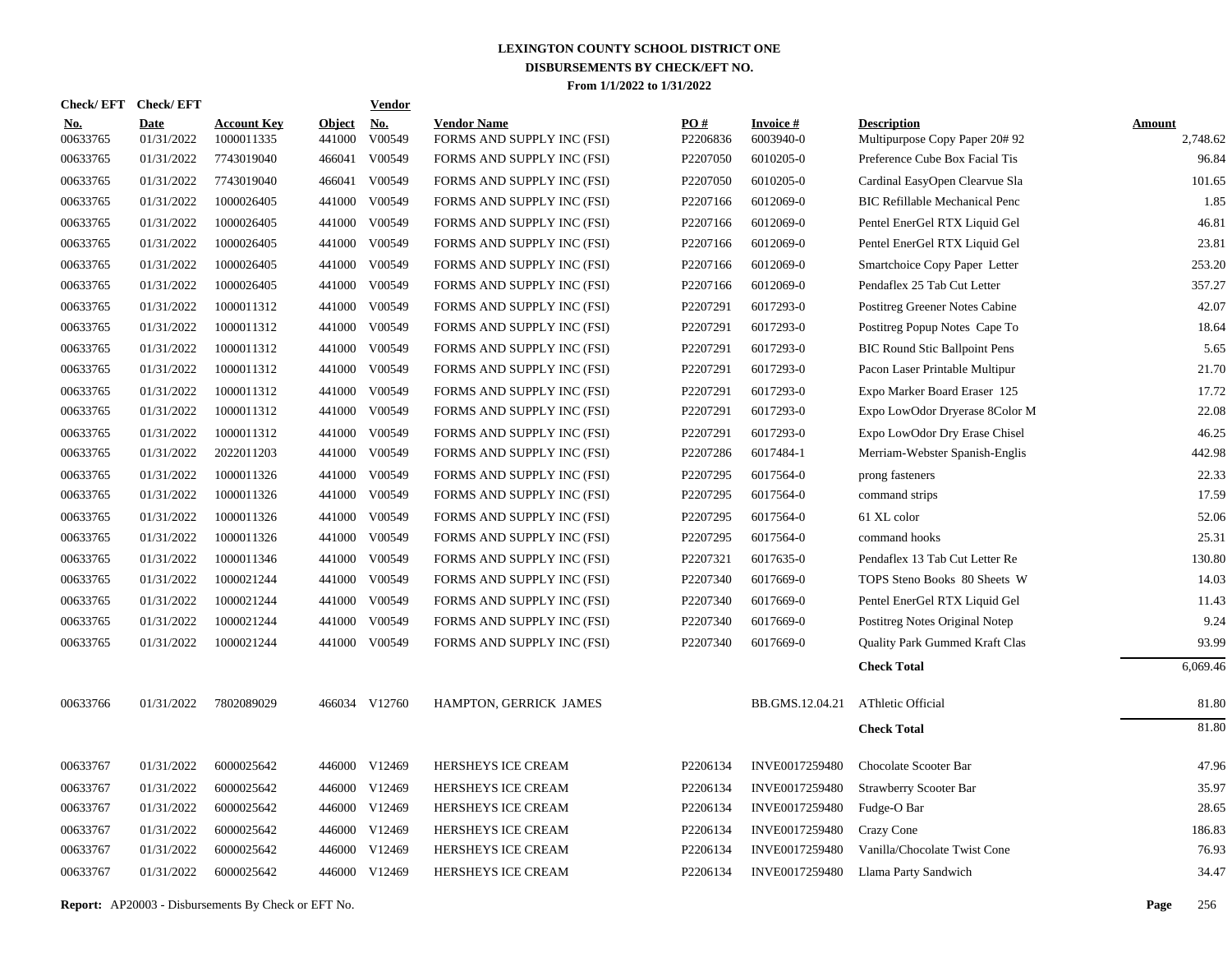| <b>Check/EFT</b>       | <b>Check/EFT</b>          |                                  |                         | <b>Vendor</b>        |                                                  |                               |                              |                                                     |                           |
|------------------------|---------------------------|----------------------------------|-------------------------|----------------------|--------------------------------------------------|-------------------------------|------------------------------|-----------------------------------------------------|---------------------------|
| <u>No.</u><br>00633765 | <b>Date</b><br>01/31/2022 | <b>Account Key</b><br>1000011335 | <b>Object</b><br>441000 | <u>No.</u><br>V00549 | <b>Vendor Name</b><br>FORMS AND SUPPLY INC (FSI) | $\underline{PO#}$<br>P2206836 | <b>Invoice#</b><br>6003940-0 | <b>Description</b><br>Multipurpose Copy Paper 20#92 | <b>Amount</b><br>2,748.62 |
| 00633765               | 01/31/2022                | 7743019040                       | 466041                  | V00549               | FORMS AND SUPPLY INC (FSI)                       | P2207050                      | 6010205-0                    | Preference Cube Box Facial Tis                      | 96.84                     |
| 00633765               | 01/31/2022                | 7743019040                       | 466041                  | V00549               | FORMS AND SUPPLY INC (FSI)                       | P2207050                      | 6010205-0                    | Cardinal EasyOpen Clearvue Sla                      | 101.65                    |
| 00633765               | 01/31/2022                | 1000026405                       |                         | 441000 V00549        | FORMS AND SUPPLY INC (FSI)                       | P2207166                      | 6012069-0                    | <b>BIC Refillable Mechanical Penc</b>               | 1.85                      |
| 00633765               | 01/31/2022                | 1000026405                       | 441000                  | V00549               | FORMS AND SUPPLY INC (FSI)                       | P2207166                      | 6012069-0                    | Pentel EnerGel RTX Liquid Gel                       | 46.81                     |
| 00633765               | 01/31/2022                | 1000026405                       |                         | 441000 V00549        | FORMS AND SUPPLY INC (FSI)                       | P2207166                      | 6012069-0                    | Pentel EnerGel RTX Liquid Gel                       | 23.81                     |
| 00633765               | 01/31/2022                | 1000026405                       |                         | 441000 V00549        | FORMS AND SUPPLY INC (FSI)                       | P2207166                      | 6012069-0                    | Smartchoice Copy Paper Letter                       | 253.20                    |
| 00633765               | 01/31/2022                | 1000026405                       |                         | 441000 V00549        | FORMS AND SUPPLY INC (FSI)                       | P2207166                      | 6012069-0                    | Pendaflex 25 Tab Cut Letter                         | 357.27                    |
| 00633765               | 01/31/2022                | 1000011312                       |                         | 441000 V00549        | FORMS AND SUPPLY INC (FSI)                       | P2207291                      | 6017293-0                    | Postitreg Greener Notes Cabine                      | 42.07                     |
| 00633765               | 01/31/2022                | 1000011312                       |                         | 441000 V00549        | FORMS AND SUPPLY INC (FSI)                       | P2207291                      | 6017293-0                    | Postitreg Popup Notes Cape To                       | 18.64                     |
| 00633765               | 01/31/2022                | 1000011312                       |                         | 441000 V00549        | FORMS AND SUPPLY INC (FSI)                       | P2207291                      | 6017293-0                    | <b>BIC Round Stic Ballpoint Pens</b>                | 5.65                      |
| 00633765               | 01/31/2022                | 1000011312                       |                         | 441000 V00549        | FORMS AND SUPPLY INC (FSI)                       | P2207291                      | 6017293-0                    | Pacon Laser Printable Multipur                      | 21.70                     |
| 00633765               | 01/31/2022                | 1000011312                       |                         | 441000 V00549        | FORMS AND SUPPLY INC (FSI)                       | P2207291                      | 6017293-0                    | Expo Marker Board Eraser 125                        | 17.72                     |
| 00633765               | 01/31/2022                | 1000011312                       |                         | 441000 V00549        | FORMS AND SUPPLY INC (FSI)                       | P2207291                      | 6017293-0                    | Expo LowOdor Dryerase 8Color M                      | 22.08                     |
| 00633765               | 01/31/2022                | 1000011312                       |                         | 441000 V00549        | FORMS AND SUPPLY INC (FSI)                       | P2207291                      | 6017293-0                    | Expo LowOdor Dry Erase Chisel                       | 46.25                     |
| 00633765               | 01/31/2022                | 2022011203                       |                         | 441000 V00549        | FORMS AND SUPPLY INC (FSI)                       | P2207286                      | 6017484-1                    | Merriam-Webster Spanish-Englis                      | 442.98                    |
| 00633765               | 01/31/2022                | 1000011326                       |                         | 441000 V00549        | FORMS AND SUPPLY INC (FSI)                       | P2207295                      | 6017564-0                    | prong fasteners                                     | 22.33                     |
| 00633765               | 01/31/2022                | 1000011326                       |                         | 441000 V00549        | FORMS AND SUPPLY INC (FSI)                       | P2207295                      | 6017564-0                    | command strips                                      | 17.59                     |
| 00633765               | 01/31/2022                | 1000011326                       |                         | 441000 V00549        | FORMS AND SUPPLY INC (FSI)                       | P2207295                      | 6017564-0                    | 61 XL color                                         | 52.06                     |
| 00633765               | 01/31/2022                | 1000011326                       |                         | 441000 V00549        | FORMS AND SUPPLY INC (FSI)                       | P2207295                      | 6017564-0                    | command hooks                                       | 25.31                     |
| 00633765               | 01/31/2022                | 1000011346                       |                         | 441000 V00549        | FORMS AND SUPPLY INC (FSI)                       | P2207321                      | 6017635-0                    | Pendaflex 13 Tab Cut Letter Re                      | 130.80                    |
| 00633765               | 01/31/2022                | 1000021244                       |                         | 441000 V00549        | FORMS AND SUPPLY INC (FSI)                       | P2207340                      | 6017669-0                    | TOPS Steno Books 80 Sheets W                        | 14.03                     |
| 00633765               | 01/31/2022                | 1000021244                       |                         | 441000 V00549        | FORMS AND SUPPLY INC (FSI)                       | P2207340                      | 6017669-0                    | Pentel EnerGel RTX Liquid Gel                       | 11.43                     |
| 00633765               | 01/31/2022                | 1000021244                       |                         | 441000 V00549        | FORMS AND SUPPLY INC (FSI)                       | P2207340                      | 6017669-0                    | Postitreg Notes Original Notep                      | 9.24                      |
| 00633765               | 01/31/2022                | 1000021244                       |                         | 441000 V00549        | FORMS AND SUPPLY INC (FSI)                       | P2207340                      | 6017669-0                    | Quality Park Gummed Kraft Clas                      | 93.99                     |
|                        |                           |                                  |                         |                      |                                                  |                               |                              | <b>Check Total</b>                                  | 6,069.46                  |
| 00633766               | 01/31/2022                | 7802089029                       |                         | 466034 V12760        | HAMPTON, GERRICK JAMES                           |                               | BB.GMS.12.04.21              | AThletic Official                                   | 81.80                     |
|                        |                           |                                  |                         |                      |                                                  |                               |                              | <b>Check Total</b>                                  | 81.80                     |
| 00633767               | 01/31/2022                | 6000025642                       |                         | 446000 V12469        | HERSHEYS ICE CREAM                               | P2206134                      | INVE0017259480               | Chocolate Scooter Bar                               | 47.96                     |
| 00633767               | 01/31/2022                | 6000025642                       |                         | 446000 V12469        | HERSHEYS ICE CREAM                               | P2206134                      | INVE0017259480               | <b>Strawberry Scooter Bar</b>                       | 35.97                     |
| 00633767               | 01/31/2022                | 6000025642                       |                         | 446000 V12469        | HERSHEYS ICE CREAM                               | P2206134                      | INVE0017259480               | Fudge-O Bar                                         | 28.65                     |
| 00633767               | 01/31/2022                | 6000025642                       |                         | 446000 V12469        | HERSHEYS ICE CREAM                               | P2206134                      | INVE0017259480               | Crazy Cone                                          | 186.83                    |
| 00633767               | 01/31/2022                | 6000025642                       |                         | 446000 V12469        | HERSHEYS ICE CREAM                               | P2206134                      | INVE0017259480               | Vanilla/Chocolate Twist Cone                        | 76.93                     |
| 00633767               | 01/31/2022                | 6000025642                       |                         | 446000 V12469        | HERSHEYS ICE CREAM                               | P2206134                      | INVE0017259480               | Llama Party Sandwich                                | 34.47                     |
|                        |                           |                                  |                         |                      |                                                  |                               |                              |                                                     |                           |

**Report:** AP20003 - Disbursements By Check or EFT No. **Page** 256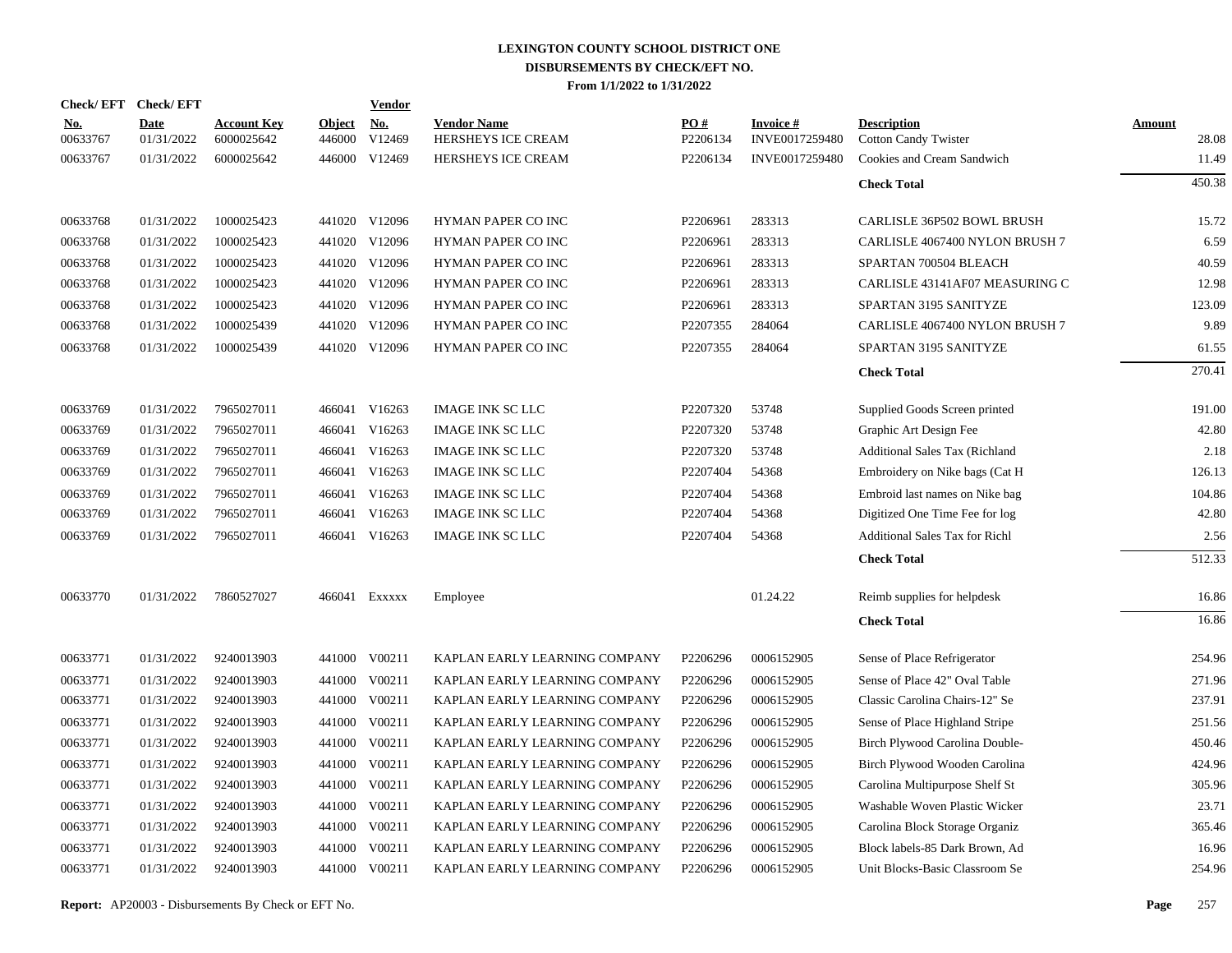|                        | Check/EFT Check/EFT |                                  |                         | <b>Vendor</b>        |                                          |                               |                                   |                                                   |                        |
|------------------------|---------------------|----------------------------------|-------------------------|----------------------|------------------------------------------|-------------------------------|-----------------------------------|---------------------------------------------------|------------------------|
| <u>No.</u><br>00633767 | Date<br>01/31/2022  | <b>Account Key</b><br>6000025642 | <b>Object</b><br>446000 | <u>No.</u><br>V12469 | <b>Vendor Name</b><br>HERSHEYS ICE CREAM | $\underline{PO#}$<br>P2206134 | <b>Invoice#</b><br>INVE0017259480 | <b>Description</b><br><b>Cotton Candy Twister</b> | <b>Amount</b><br>28.08 |
| 00633767               | 01/31/2022          | 6000025642                       |                         | 446000 V12469        | <b>HERSHEYS ICE CREAM</b>                | P2206134                      | INVE0017259480                    | Cookies and Cream Sandwich                        | 11.49                  |
|                        |                     |                                  |                         |                      |                                          |                               |                                   | <b>Check Total</b>                                | 450.38                 |
| 00633768               | 01/31/2022          | 1000025423                       |                         | 441020 V12096        | <b>HYMAN PAPER CO INC</b>                | P2206961                      | 283313                            | CARLISLE 36P502 BOWL BRUSH                        | 15.72                  |
| 00633768               | 01/31/2022          | 1000025423                       |                         | 441020 V12096        | HYMAN PAPER CO INC                       | P2206961                      | 283313                            | CARLISLE 4067400 NYLON BRUSH 7                    | 6.59                   |
| 00633768               | 01/31/2022          | 1000025423                       |                         | 441020 V12096        | HYMAN PAPER CO INC                       | P2206961                      | 283313                            | SPARTAN 700504 BLEACH                             | 40.59                  |
| 00633768               | 01/31/2022          | 1000025423                       |                         | 441020 V12096        | HYMAN PAPER CO INC                       | P2206961                      | 283313                            | CARLISLE 43141AF07 MEASURING C                    | 12.98                  |
| 00633768               | 01/31/2022          | 1000025423                       |                         | 441020 V12096        | HYMAN PAPER CO INC                       | P2206961                      | 283313                            | SPARTAN 3195 SANITYZE                             | 123.09                 |
| 00633768               | 01/31/2022          | 1000025439                       |                         | 441020 V12096        | HYMAN PAPER CO INC                       | P2207355                      | 284064                            | CARLISLE 4067400 NYLON BRUSH 7                    | 9.89                   |
| 00633768               | 01/31/2022          | 1000025439                       |                         | 441020 V12096        | <b>HYMAN PAPER CO INC</b>                | P2207355                      | 284064                            | SPARTAN 3195 SANITYZE                             | 61.55                  |
|                        |                     |                                  |                         |                      |                                          |                               |                                   | <b>Check Total</b>                                | 270.41                 |
| 00633769               | 01/31/2022          | 7965027011                       |                         | 466041 V16263        | <b>IMAGE INK SC LLC</b>                  | P2207320                      | 53748                             | Supplied Goods Screen printed                     | 191.00                 |
| 00633769               | 01/31/2022          | 7965027011                       | 466041                  | V16263               | <b>IMAGE INK SC LLC</b>                  | P2207320                      | 53748                             | Graphic Art Design Fee                            | 42.80                  |
| 00633769               | 01/31/2022          | 7965027011                       | 466041                  | V16263               | <b>IMAGE INK SC LLC</b>                  | P2207320                      | 53748                             | <b>Additional Sales Tax (Richland</b>             | 2.18                   |
| 00633769               | 01/31/2022          | 7965027011                       | 466041                  | V16263               | <b>IMAGE INK SC LLC</b>                  | P2207404                      | 54368                             | Embroidery on Nike bags (Cat H                    | 126.13                 |
| 00633769               | 01/31/2022          | 7965027011                       | 466041                  | V16263               | <b>IMAGE INK SC LLC</b>                  | P2207404                      | 54368                             | Embroid last names on Nike bag                    | 104.86                 |
| 00633769               | 01/31/2022          | 7965027011                       | 466041                  | V16263               | <b>IMAGE INK SC LLC</b>                  | P2207404                      | 54368                             | Digitized One Time Fee for log                    | 42.80                  |
| 00633769               | 01/31/2022          | 7965027011                       |                         | 466041 V16263        | <b>IMAGE INK SC LLC</b>                  | P2207404                      | 54368                             | <b>Additional Sales Tax for Richl</b>             | 2.56                   |
|                        |                     |                                  |                         |                      |                                          |                               |                                   | <b>Check Total</b>                                | 512.33                 |
| 00633770               | 01/31/2022          | 7860527027                       |                         | 466041 EXXXXX        | Employee                                 |                               | 01.24.22                          | Reimb supplies for helpdesk                       | 16.86                  |
|                        |                     |                                  |                         |                      |                                          |                               |                                   | <b>Check Total</b>                                | 16.86                  |
| 00633771               | 01/31/2022          | 9240013903                       |                         | 441000 V00211        | KAPLAN EARLY LEARNING COMPANY            | P2206296                      | 0006152905                        | Sense of Place Refrigerator                       | 254.96                 |
| 00633771               | 01/31/2022          | 9240013903                       | 441000                  | V00211               | KAPLAN EARLY LEARNING COMPANY            | P2206296                      | 0006152905                        | Sense of Place 42" Oval Table                     | 271.96                 |
| 00633771               | 01/31/2022          | 9240013903                       | 441000                  | V00211               | KAPLAN EARLY LEARNING COMPANY            | P2206296                      | 0006152905                        | Classic Carolina Chairs-12" Se                    | 237.91                 |
| 00633771               | 01/31/2022          | 9240013903                       | 441000                  | V00211               | KAPLAN EARLY LEARNING COMPANY            | P2206296                      | 0006152905                        | Sense of Place Highland Stripe                    | 251.56                 |
| 00633771               | 01/31/2022          | 9240013903                       | 441000                  | V00211               | KAPLAN EARLY LEARNING COMPANY            | P2206296                      | 0006152905                        | Birch Plywood Carolina Double-                    | 450.46                 |
| 00633771               | 01/31/2022          | 9240013903                       | 441000                  | V00211               | KAPLAN EARLY LEARNING COMPANY            | P2206296                      | 0006152905                        | Birch Plywood Wooden Carolina                     | 424.96                 |
| 00633771               | 01/31/2022          | 9240013903                       | 441000                  | V00211               | KAPLAN EARLY LEARNING COMPANY            | P2206296                      | 0006152905                        | Carolina Multipurpose Shelf St                    | 305.96                 |
| 00633771               | 01/31/2022          | 9240013903                       | 441000                  | V00211               | KAPLAN EARLY LEARNING COMPANY            | P2206296                      | 0006152905                        | Washable Woven Plastic Wicker                     | 23.71                  |
| 00633771               | 01/31/2022          | 9240013903                       | 441000                  | V00211               | KAPLAN EARLY LEARNING COMPANY            | P2206296                      | 0006152905                        | Carolina Block Storage Organiz                    | 365.46                 |
| 00633771               | 01/31/2022          | 9240013903                       | 441000                  | V00211               | KAPLAN EARLY LEARNING COMPANY            | P2206296                      | 0006152905                        | Block labels-85 Dark Brown, Ad                    | 16.96                  |
| 00633771               | 01/31/2022          | 9240013903                       |                         | 441000 V00211        | KAPLAN EARLY LEARNING COMPANY            | P2206296                      | 0006152905                        | Unit Blocks-Basic Classroom Se                    | 254.96                 |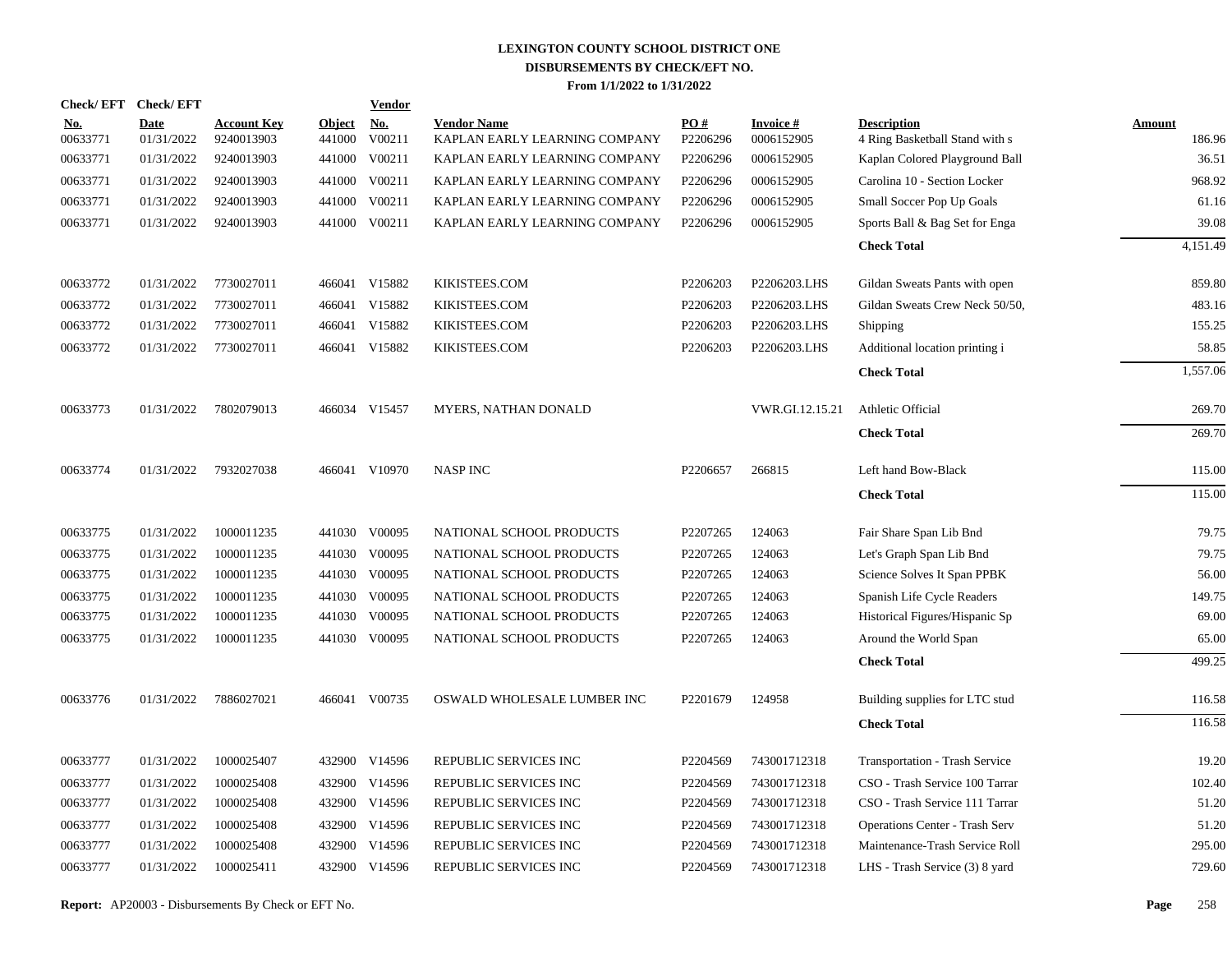|                        | Check/EFT Check/EFT       |                                  |                      | <b>Vendor</b> |                                                     |                 |                               |                                                      |                         |
|------------------------|---------------------------|----------------------------------|----------------------|---------------|-----------------------------------------------------|-----------------|-------------------------------|------------------------------------------------------|-------------------------|
| <u>No.</u><br>00633771 | <b>Date</b><br>01/31/2022 | <b>Account Key</b><br>9240013903 | Object No.<br>441000 | V00211        | <b>Vendor Name</b><br>KAPLAN EARLY LEARNING COMPANY | PO#<br>P2206296 | <b>Invoice#</b><br>0006152905 | <b>Description</b><br>4 Ring Basketball Stand with s | <b>Amount</b><br>186.96 |
| 00633771               | 01/31/2022                | 9240013903                       | 441000               | V00211        | KAPLAN EARLY LEARNING COMPANY                       | P2206296        | 0006152905                    | Kaplan Colored Playground Ball                       | 36.51                   |
| 00633771               | 01/31/2022                | 9240013903                       |                      | 441000 V00211 | KAPLAN EARLY LEARNING COMPANY                       | P2206296        | 0006152905                    | Carolina 10 - Section Locker                         | 968.92                  |
| 00633771               | 01/31/2022                | 9240013903                       |                      | 441000 V00211 | KAPLAN EARLY LEARNING COMPANY                       | P2206296        | 0006152905                    | Small Soccer Pop Up Goals                            | 61.16                   |
| 00633771               | 01/31/2022                | 9240013903                       |                      | 441000 V00211 | KAPLAN EARLY LEARNING COMPANY                       | P2206296        | 0006152905                    | Sports Ball & Bag Set for Enga                       | 39.08                   |
|                        |                           |                                  |                      |               |                                                     |                 |                               | <b>Check Total</b>                                   | 4,151.49                |
| 00633772               | 01/31/2022                | 7730027011                       |                      | 466041 V15882 | KIKISTEES.COM                                       | P2206203        | P2206203.LHS                  | Gildan Sweats Pants with open                        | 859.80                  |
| 00633772               | 01/31/2022                | 7730027011                       |                      | 466041 V15882 | KIKISTEES.COM                                       | P2206203        | P2206203.LHS                  | Gildan Sweats Crew Neck 50/50,                       | 483.16                  |
| 00633772               | 01/31/2022                | 7730027011                       |                      | 466041 V15882 | KIKISTEES.COM                                       | P2206203        | P2206203.LHS                  | Shipping                                             | 155.25                  |
| 00633772               | 01/31/2022                | 7730027011                       |                      | 466041 V15882 | KIKISTEES.COM                                       | P2206203        | P2206203.LHS                  | Additional location printing i                       | 58.85                   |
|                        |                           |                                  |                      |               |                                                     |                 |                               | <b>Check Total</b>                                   | 1,557.06                |
| 00633773               | 01/31/2022                | 7802079013                       |                      | 466034 V15457 | MYERS, NATHAN DONALD                                |                 | VWR.GI.12.15.21               | Athletic Official                                    | 269.70                  |
|                        |                           |                                  |                      |               |                                                     |                 |                               | <b>Check Total</b>                                   | 269.70                  |
| 00633774               | 01/31/2022                | 7932027038                       |                      | 466041 V10970 | <b>NASP INC</b>                                     | P2206657        | 266815                        | Left hand Bow-Black                                  | 115.00                  |
|                        |                           |                                  |                      |               |                                                     |                 |                               | <b>Check Total</b>                                   | 115.00                  |
| 00633775               | 01/31/2022                | 1000011235                       |                      | 441030 V00095 | NATIONAL SCHOOL PRODUCTS                            | P2207265        | 124063                        | Fair Share Span Lib Bnd                              | 79.75                   |
| 00633775               | 01/31/2022                | 1000011235                       |                      | 441030 V00095 | NATIONAL SCHOOL PRODUCTS                            | P2207265        | 124063                        | Let's Graph Span Lib Bnd                             | 79.75                   |
| 00633775               | 01/31/2022                | 1000011235                       |                      | 441030 V00095 | NATIONAL SCHOOL PRODUCTS                            | P2207265        | 124063                        | Science Solves It Span PPBK                          | 56.00                   |
| 00633775               | 01/31/2022                | 1000011235                       |                      | 441030 V00095 | NATIONAL SCHOOL PRODUCTS                            | P2207265        | 124063                        | Spanish Life Cycle Readers                           | 149.75                  |
| 00633775               | 01/31/2022                | 1000011235                       |                      | 441030 V00095 | NATIONAL SCHOOL PRODUCTS                            | P2207265        | 124063                        | Historical Figures/Hispanic Sp                       | 69.00                   |
| 00633775               | 01/31/2022                | 1000011235                       |                      | 441030 V00095 | NATIONAL SCHOOL PRODUCTS                            | P2207265        | 124063                        | Around the World Span                                | 65.00                   |
|                        |                           |                                  |                      |               |                                                     |                 |                               | <b>Check Total</b>                                   | 499.25                  |
| 00633776               | 01/31/2022                | 7886027021                       |                      | 466041 V00735 | OSWALD WHOLESALE LUMBER INC                         | P2201679        | 124958                        | Building supplies for LTC stud                       | 116.58                  |
|                        |                           |                                  |                      |               |                                                     |                 |                               | <b>Check Total</b>                                   | 116.58                  |
| 00633777               | 01/31/2022                | 1000025407                       |                      | 432900 V14596 | REPUBLIC SERVICES INC                               | P2204569        | 743001712318                  | Transportation - Trash Service                       | 19.20                   |
| 00633777               | 01/31/2022                | 1000025408                       |                      | 432900 V14596 | REPUBLIC SERVICES INC                               | P2204569        | 743001712318                  | CSO - Trash Service 100 Tarrar                       | 102.40                  |
| 00633777               | 01/31/2022                | 1000025408                       |                      | 432900 V14596 | REPUBLIC SERVICES INC                               | P2204569        | 743001712318                  | CSO - Trash Service 111 Tarrar                       | 51.20                   |
| 00633777               | 01/31/2022                | 1000025408                       |                      | 432900 V14596 | REPUBLIC SERVICES INC                               | P2204569        | 743001712318                  | <b>Operations Center - Trash Serv</b>                | 51.20                   |
| 00633777               | 01/31/2022                | 1000025408                       |                      | 432900 V14596 | REPUBLIC SERVICES INC                               | P2204569        | 743001712318                  | Maintenance-Trash Service Roll                       | 295.00                  |
| 00633777               | 01/31/2022                | 1000025411                       |                      | 432900 V14596 | REPUBLIC SERVICES INC                               | P2204569        | 743001712318                  | LHS - Trash Service (3) 8 yard                       | 729.60                  |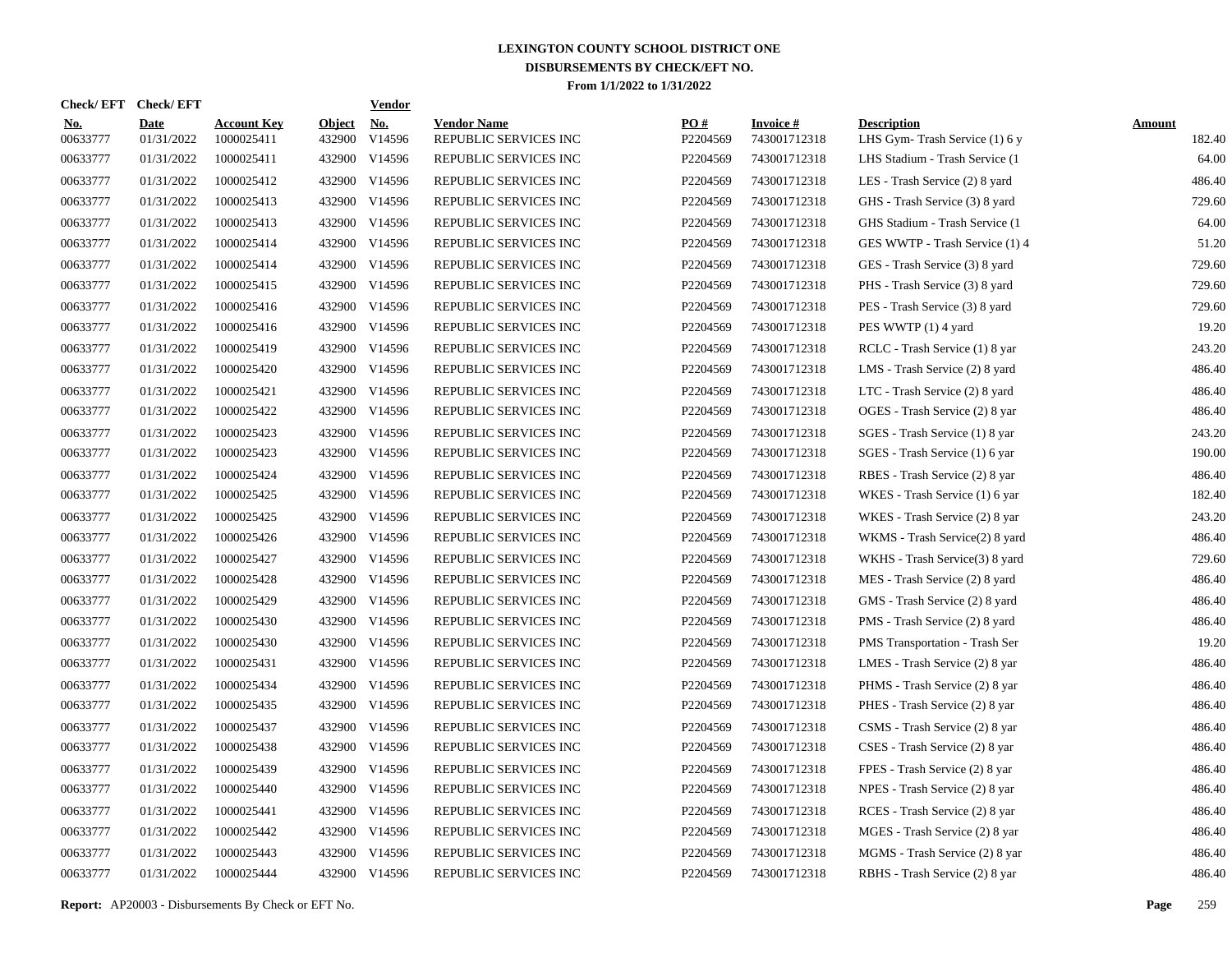| Check/ EFT             | <b>Check/EFT</b>          |                                  |                         | <b>Vendor</b> |                                             |                 |                                 |                                                     |                         |
|------------------------|---------------------------|----------------------------------|-------------------------|---------------|---------------------------------------------|-----------------|---------------------------------|-----------------------------------------------------|-------------------------|
| <u>No.</u><br>00633777 | <b>Date</b><br>01/31/2022 | <b>Account Key</b><br>1000025411 | <b>Object</b><br>432900 | No.<br>V14596 | <b>Vendor Name</b><br>REPUBLIC SERVICES INC | PO#<br>P2204569 | <b>Invoice#</b><br>743001712318 | <b>Description</b><br>LHS Gym-Trash Service (1) 6 y | <b>Amount</b><br>182.40 |
| 00633777               | 01/31/2022                | 1000025411                       |                         | 432900 V14596 | REPUBLIC SERVICES INC                       | P2204569        | 743001712318                    | LHS Stadium - Trash Service (1)                     | 64.00                   |
| 00633777               | 01/31/2022                | 1000025412                       |                         | 432900 V14596 | REPUBLIC SERVICES INC                       | P2204569        | 743001712318                    | LES - Trash Service (2) 8 yard                      | 486.40                  |
| 00633777               | 01/31/2022                | 1000025413                       |                         | 432900 V14596 | REPUBLIC SERVICES INC                       | P2204569        | 743001712318                    | GHS - Trash Service (3) 8 yard                      | 729.60                  |
| 00633777               | 01/31/2022                | 1000025413                       |                         | 432900 V14596 | REPUBLIC SERVICES INC                       | P2204569        | 743001712318                    | GHS Stadium - Trash Service (1)                     | 64.00                   |
| 00633777               | 01/31/2022                | 1000025414                       |                         | 432900 V14596 | REPUBLIC SERVICES INC                       | P2204569        | 743001712318                    | GES WWTP - Trash Service (1) 4                      | 51.20                   |
| 00633777               | 01/31/2022                | 1000025414                       |                         | 432900 V14596 | REPUBLIC SERVICES INC                       | P2204569        | 743001712318                    | GES - Trash Service (3) 8 yard                      | 729.60                  |
| 00633777               | 01/31/2022                | 1000025415                       |                         | 432900 V14596 | REPUBLIC SERVICES INC                       | P2204569        | 743001712318                    | PHS - Trash Service (3) 8 yard                      | 729.60                  |
| 00633777               | 01/31/2022                | 1000025416                       |                         | 432900 V14596 | REPUBLIC SERVICES INC                       | P2204569        | 743001712318                    | PES - Trash Service (3) 8 yard                      | 729.60                  |
| 00633777               | 01/31/2022                | 1000025416                       |                         | 432900 V14596 | REPUBLIC SERVICES INC                       | P2204569        | 743001712318                    | PES WWTP (1) 4 yard                                 | 19.20                   |
| 00633777               | 01/31/2022                | 1000025419                       |                         | 432900 V14596 | REPUBLIC SERVICES INC                       | P2204569        | 743001712318                    | RCLC - Trash Service (1) 8 yar                      | 243.20                  |
| 00633777               | 01/31/2022                | 1000025420                       |                         | 432900 V14596 | REPUBLIC SERVICES INC                       | P2204569        | 743001712318                    | LMS - Trash Service (2) 8 yard                      | 486.40                  |
| 00633777               | 01/31/2022                | 1000025421                       |                         | 432900 V14596 | REPUBLIC SERVICES INC                       | P2204569        | 743001712318                    | LTC - Trash Service (2) 8 yard                      | 486.40                  |
| 00633777               | 01/31/2022                | 1000025422                       |                         | 432900 V14596 | REPUBLIC SERVICES INC                       | P2204569        | 743001712318                    | OGES - Trash Service (2) 8 yar                      | 486.40                  |
| 00633777               | 01/31/2022                | 1000025423                       |                         | 432900 V14596 | REPUBLIC SERVICES INC                       | P2204569        | 743001712318                    | SGES - Trash Service (1) 8 yar                      | 243.20                  |
| 00633777               | 01/31/2022                | 1000025423                       |                         | 432900 V14596 | REPUBLIC SERVICES INC                       | P2204569        | 743001712318                    | SGES - Trash Service (1) 6 yar                      | 190.00                  |
| 00633777               | 01/31/2022                | 1000025424                       |                         | 432900 V14596 | REPUBLIC SERVICES INC                       | P2204569        | 743001712318                    | RBES - Trash Service (2) 8 yar                      | 486.40                  |
| 00633777               | 01/31/2022                | 1000025425                       |                         | 432900 V14596 | REPUBLIC SERVICES INC                       | P2204569        | 743001712318                    | WKES - Trash Service (1) 6 yar                      | 182.40                  |
| 00633777               | 01/31/2022                | 1000025425                       |                         | 432900 V14596 | REPUBLIC SERVICES INC                       | P2204569        | 743001712318                    | WKES - Trash Service (2) 8 yar                      | 243.20                  |
| 00633777               | 01/31/2022                | 1000025426                       |                         | 432900 V14596 | REPUBLIC SERVICES INC                       | P2204569        | 743001712318                    | WKMS - Trash Service(2) 8 yard                      | 486.40                  |
| 00633777               | 01/31/2022                | 1000025427                       |                         | 432900 V14596 | REPUBLIC SERVICES INC                       | P2204569        | 743001712318                    | WKHS - Trash Service(3) 8 yard                      | 729.60                  |
| 00633777               | 01/31/2022                | 1000025428                       |                         | 432900 V14596 | REPUBLIC SERVICES INC                       | P2204569        | 743001712318                    | MES - Trash Service (2) 8 yard                      | 486.40                  |
| 00633777               | 01/31/2022                | 1000025429                       |                         | 432900 V14596 | REPUBLIC SERVICES INC                       | P2204569        | 743001712318                    | GMS - Trash Service (2) 8 yard                      | 486.40                  |
| 00633777               | 01/31/2022                | 1000025430                       |                         | 432900 V14596 | REPUBLIC SERVICES INC                       | P2204569        | 743001712318                    | PMS - Trash Service (2) 8 yard                      | 486.40                  |
| 00633777               | 01/31/2022                | 1000025430                       |                         | 432900 V14596 | REPUBLIC SERVICES INC                       | P2204569        | 743001712318                    | PMS Transportation - Trash Ser                      | 19.20                   |
| 00633777               | 01/31/2022                | 1000025431                       |                         | 432900 V14596 | REPUBLIC SERVICES INC                       | P2204569        | 743001712318                    | LMES - Trash Service (2) 8 yar                      | 486.40                  |
| 00633777               | 01/31/2022                | 1000025434                       |                         | 432900 V14596 | REPUBLIC SERVICES INC                       | P2204569        | 743001712318                    | PHMS - Trash Service (2) 8 yar                      | 486.40                  |
| 00633777               | 01/31/2022                | 1000025435                       |                         | 432900 V14596 | REPUBLIC SERVICES INC                       | P2204569        | 743001712318                    | PHES - Trash Service (2) 8 yar                      | 486.40                  |
| 00633777               | 01/31/2022                | 1000025437                       |                         | 432900 V14596 | REPUBLIC SERVICES INC                       | P2204569        | 743001712318                    | CSMS - Trash Service (2) 8 yar                      | 486.40                  |
| 00633777               | 01/31/2022                | 1000025438                       |                         | 432900 V14596 | REPUBLIC SERVICES INC                       | P2204569        | 743001712318                    | CSES - Trash Service (2) 8 yar                      | 486.40                  |
| 00633777               | 01/31/2022                | 1000025439                       |                         | 432900 V14596 | REPUBLIC SERVICES INC                       | P2204569        | 743001712318                    | FPES - Trash Service (2) 8 yar                      | 486.40                  |
| 00633777               | 01/31/2022                | 1000025440                       |                         | 432900 V14596 | REPUBLIC SERVICES INC                       | P2204569        | 743001712318                    | NPES - Trash Service (2) 8 yar                      | 486.40                  |
| 00633777               | 01/31/2022                | 1000025441                       |                         | 432900 V14596 | REPUBLIC SERVICES INC                       | P2204569        | 743001712318                    | RCES - Trash Service (2) 8 yar                      | 486.40                  |
| 00633777               | 01/31/2022                | 1000025442                       |                         | 432900 V14596 | REPUBLIC SERVICES INC                       | P2204569        | 743001712318                    | MGES - Trash Service (2) 8 yar                      | 486.40                  |
| 00633777               | 01/31/2022                | 1000025443                       |                         | 432900 V14596 | REPUBLIC SERVICES INC                       | P2204569        | 743001712318                    | MGMS - Trash Service (2) 8 yar                      | 486.40                  |
| 00633777               | 01/31/2022                | 1000025444                       |                         | 432900 V14596 | REPUBLIC SERVICES INC                       | P2204569        | 743001712318                    | RBHS - Trash Service (2) 8 yar                      | 486.40                  |

**Report:** AP20003 - Disbursements By Check or EFT No. **Page** 259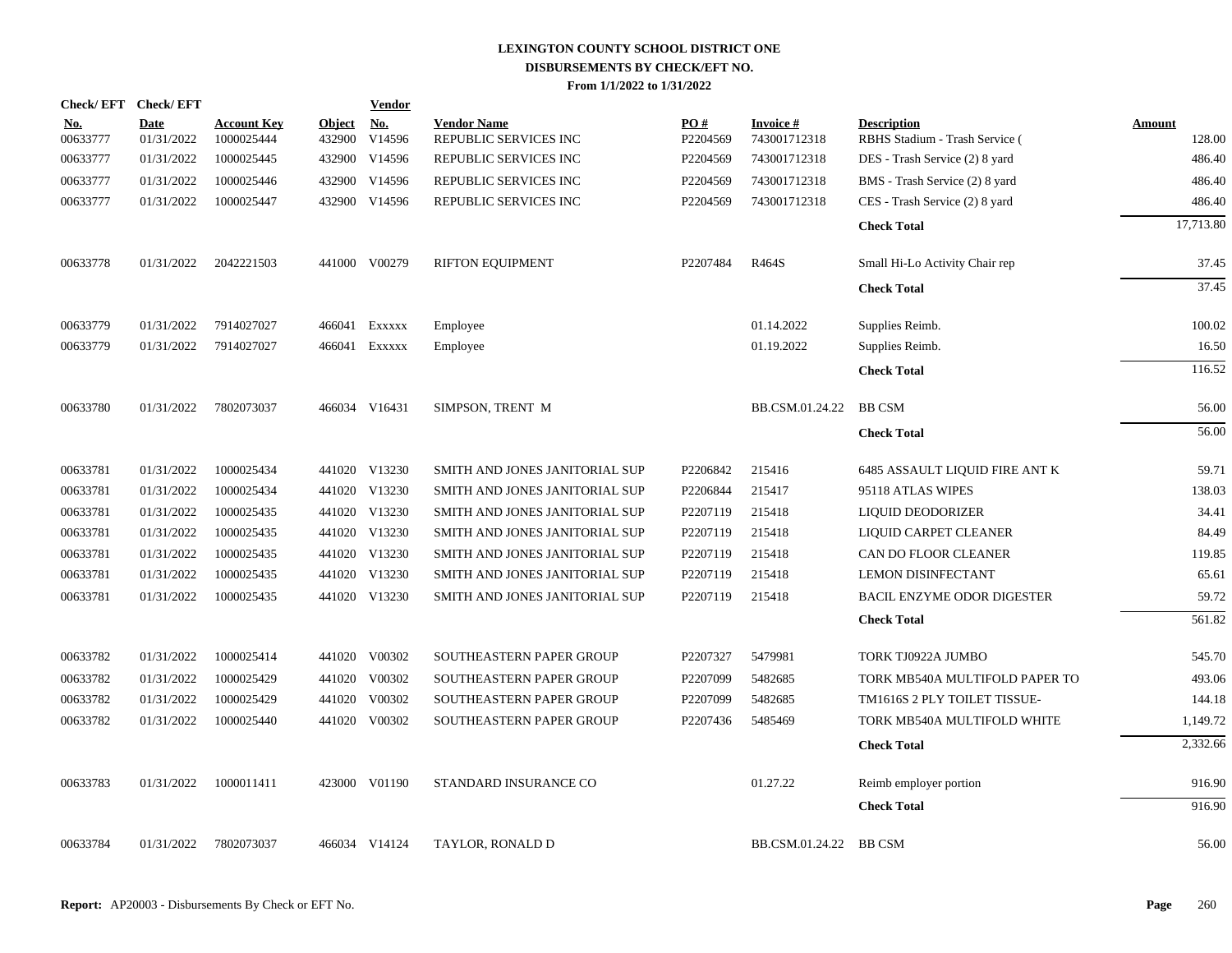|                        | Check/EFT Check/EFT       |                                  |                         | <b>Vendor</b>        |                                             |                 |                                 |                                                      |                         |
|------------------------|---------------------------|----------------------------------|-------------------------|----------------------|---------------------------------------------|-----------------|---------------------------------|------------------------------------------------------|-------------------------|
| <u>No.</u><br>00633777 | <b>Date</b><br>01/31/2022 | <b>Account Key</b><br>1000025444 | <b>Object</b><br>432900 | <u>No.</u><br>V14596 | <b>Vendor Name</b><br>REPUBLIC SERVICES INC | PO#<br>P2204569 | <b>Invoice#</b><br>743001712318 | <b>Description</b><br>RBHS Stadium - Trash Service ( | <b>Amount</b><br>128.00 |
| 00633777               | 01/31/2022                | 1000025445                       | 432900                  | V14596               | REPUBLIC SERVICES INC                       | P2204569        | 743001712318                    | DES - Trash Service (2) 8 yard                       | 486.40                  |
| 00633777               | 01/31/2022                | 1000025446                       | 432900                  | V14596               | REPUBLIC SERVICES INC                       | P2204569        | 743001712318                    | BMS - Trash Service (2) 8 yard                       | 486.40                  |
| 00633777               | 01/31/2022                | 1000025447                       | 432900                  | V14596               | REPUBLIC SERVICES INC                       | P2204569        | 743001712318                    | CES - Trash Service (2) 8 yard                       | 486.40                  |
|                        |                           |                                  |                         |                      |                                             |                 |                                 | <b>Check Total</b>                                   | 17,713.80               |
| 00633778               | 01/31/2022                | 2042221503                       |                         | 441000 V00279        | <b>RIFTON EQUIPMENT</b>                     | P2207484        | R464S                           | Small Hi-Lo Activity Chair rep                       | 37.45                   |
|                        |                           |                                  |                         |                      |                                             |                 |                                 | <b>Check Total</b>                                   | 37.45                   |
| 00633779               | 01/31/2022                | 7914027027                       | 466041                  | EXXXXX               | Employee                                    |                 | 01.14.2022                      | Supplies Reimb.                                      | 100.02                  |
| 00633779               | 01/31/2022                | 7914027027                       | 466041                  | EXXXXX               | Employee                                    |                 | 01.19.2022                      | Supplies Reimb.                                      | 16.50                   |
|                        |                           |                                  |                         |                      |                                             |                 |                                 | <b>Check Total</b>                                   | 116.52                  |
| 00633780               | 01/31/2022                | 7802073037                       |                         | 466034 V16431        | SIMPSON, TRENT M                            |                 | BB.CSM.01.24.22                 | <b>BB CSM</b>                                        | 56.00                   |
|                        |                           |                                  |                         |                      |                                             |                 |                                 | <b>Check Total</b>                                   | 56.00                   |
| 00633781               | 01/31/2022                | 1000025434                       |                         | 441020 V13230        | SMITH AND JONES JANITORIAL SUP              | P2206842        | 215416                          | 6485 ASSAULT LIQUID FIRE ANT K                       | 59.71                   |
| 00633781               | 01/31/2022                | 1000025434                       |                         | 441020 V13230        | SMITH AND JONES JANITORIAL SUP              | P2206844        | 215417                          | 95118 ATLAS WIPES                                    | 138.03                  |
| 00633781               | 01/31/2022                | 1000025435                       |                         | 441020 V13230        | SMITH AND JONES JANITORIAL SUP              | P2207119        | 215418                          | LIQUID DEODORIZER                                    | 34.41                   |
| 00633781               | 01/31/2022                | 1000025435                       |                         | 441020 V13230        | SMITH AND JONES JANITORIAL SUP              | P2207119        | 215418                          | LIQUID CARPET CLEANER                                | 84.49                   |
| 00633781               | 01/31/2022                | 1000025435                       |                         | 441020 V13230        | SMITH AND JONES JANITORIAL SUP              | P2207119        | 215418                          | CAN DO FLOOR CLEANER                                 | 119.85                  |
| 00633781               | 01/31/2022                | 1000025435                       |                         | 441020 V13230        | SMITH AND JONES JANITORIAL SUP              | P2207119        | 215418                          | <b>LEMON DISINFECTANT</b>                            | 65.61                   |
| 00633781               | 01/31/2022                | 1000025435                       |                         | 441020 V13230        | SMITH AND JONES JANITORIAL SUP              | P2207119        | 215418                          | BACIL ENZYME ODOR DIGESTER                           | 59.72                   |
|                        |                           |                                  |                         |                      |                                             |                 |                                 | <b>Check Total</b>                                   | 561.82                  |
| 00633782               | 01/31/2022                | 1000025414                       |                         | 441020 V00302        | SOUTHEASTERN PAPER GROUP                    | P2207327        | 5479981                         | TORK TJ0922A JUMBO                                   | 545.70                  |
| 00633782               | 01/31/2022                | 1000025429                       |                         | 441020 V00302        | SOUTHEASTERN PAPER GROUP                    | P2207099        | 5482685                         | TORK MB540A MULTIFOLD PAPER TO                       | 493.06                  |
| 00633782               | 01/31/2022                | 1000025429                       |                         | 441020 V00302        | SOUTHEASTERN PAPER GROUP                    | P2207099        | 5482685                         | TM1616S 2 PLY TOILET TISSUE-                         | 144.18                  |
| 00633782               | 01/31/2022                | 1000025440                       |                         | 441020 V00302        | SOUTHEASTERN PAPER GROUP                    | P2207436        | 5485469                         | TORK MB540A MULTIFOLD WHITE                          | 1,149.72                |
|                        |                           |                                  |                         |                      |                                             |                 |                                 | <b>Check Total</b>                                   | 2,332.66                |
| 00633783               | 01/31/2022                | 1000011411                       |                         | 423000 V01190        | STANDARD INSURANCE CO                       |                 | 01.27.22                        | Reimb employer portion                               | 916.90                  |
|                        |                           |                                  |                         |                      |                                             |                 |                                 | <b>Check Total</b>                                   | 916.90                  |
| 00633784               | 01/31/2022                | 7802073037                       |                         | 466034 V14124        | TAYLOR, RONALD D                            |                 | BB.CSM.01.24.22 BB CSM          |                                                      | 56.00                   |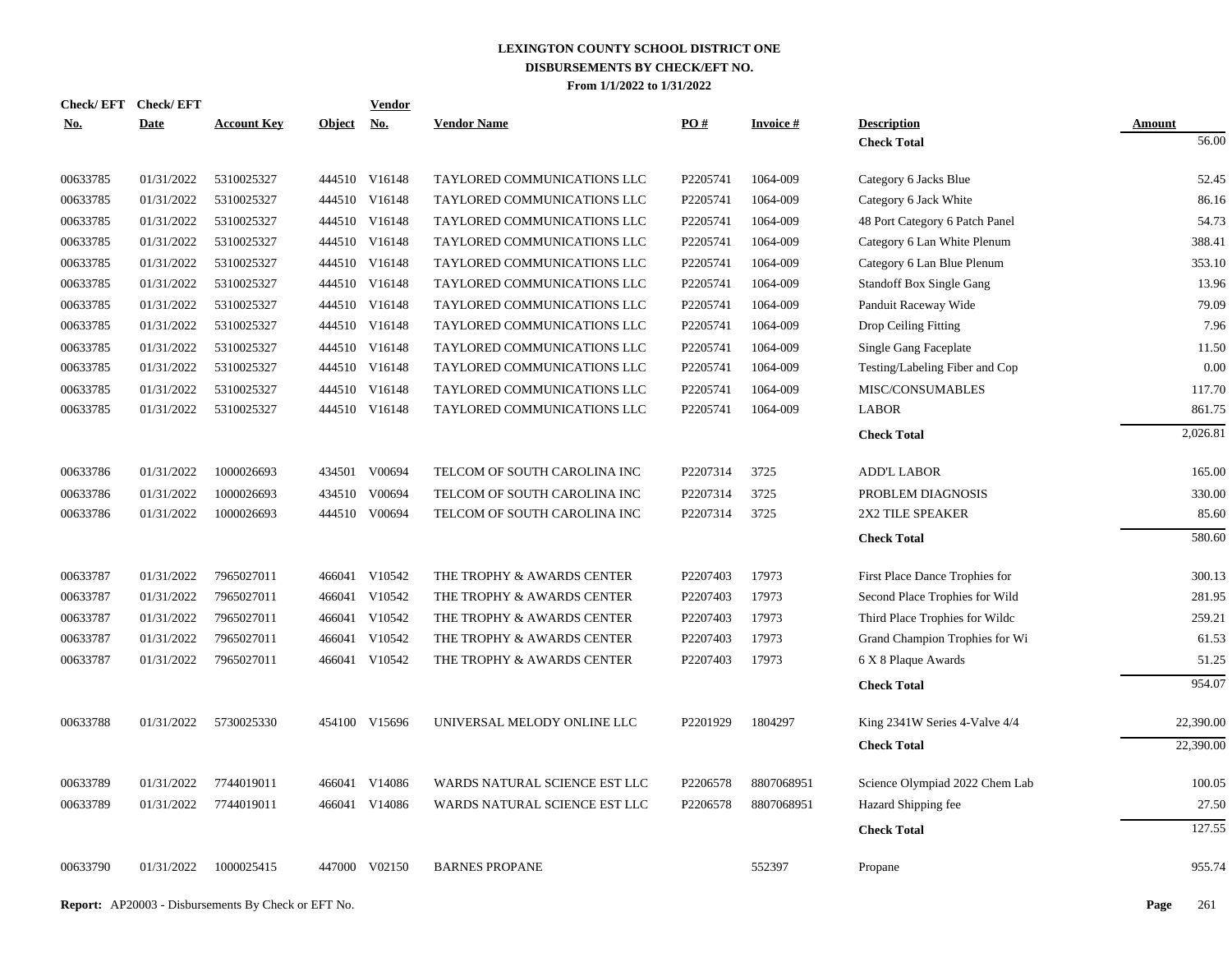| Check/EFT Check/EFT |             |                    |               | <b>Vendor</b> |                               |          |                 |                                 |           |
|---------------------|-------------|--------------------|---------------|---------------|-------------------------------|----------|-----------------|---------------------------------|-----------|
| No.                 | <b>Date</b> | <b>Account Key</b> | <b>Object</b> | <b>No.</b>    | <b>Vendor Name</b>            | PO#      | <b>Invoice#</b> | <b>Description</b>              | Amount    |
|                     |             |                    |               |               |                               |          |                 | <b>Check Total</b>              | 56.00     |
| 00633785            | 01/31/2022  | 5310025327         |               | 444510 V16148 | TAYLORED COMMUNICATIONS LLC   | P2205741 | 1064-009        | Category 6 Jacks Blue           | 52.45     |
| 00633785            | 01/31/2022  | 5310025327         |               | 444510 V16148 | TAYLORED COMMUNICATIONS LLC   | P2205741 | 1064-009        | Category 6 Jack White           | 86.16     |
| 00633785            | 01/31/2022  | 5310025327         |               | 444510 V16148 | TAYLORED COMMUNICATIONS LLC   | P2205741 | 1064-009        | 48 Port Category 6 Patch Panel  | 54.73     |
| 00633785            | 01/31/2022  | 5310025327         |               | 444510 V16148 | TAYLORED COMMUNICATIONS LLC   | P2205741 | 1064-009        | Category 6 Lan White Plenum     | 388.41    |
| 00633785            | 01/31/2022  | 5310025327         |               | 444510 V16148 | TAYLORED COMMUNICATIONS LLC   | P2205741 | 1064-009        | Category 6 Lan Blue Plenum      | 353.10    |
| 00633785            | 01/31/2022  | 5310025327         |               | 444510 V16148 | TAYLORED COMMUNICATIONS LLC   | P2205741 | 1064-009        | <b>Standoff Box Single Gang</b> | 13.96     |
| 00633785            | 01/31/2022  | 5310025327         |               | 444510 V16148 | TAYLORED COMMUNICATIONS LLC   | P2205741 | 1064-009        | Panduit Raceway Wide            | 79.09     |
| 00633785            | 01/31/2022  | 5310025327         |               | 444510 V16148 | TAYLORED COMMUNICATIONS LLC   | P2205741 | 1064-009        | Drop Ceiling Fitting            | 7.96      |
| 00633785            | 01/31/2022  | 5310025327         |               | 444510 V16148 | TAYLORED COMMUNICATIONS LLC   | P2205741 | 1064-009        | Single Gang Faceplate           | 11.50     |
| 00633785            | 01/31/2022  | 5310025327         |               | 444510 V16148 | TAYLORED COMMUNICATIONS LLC   | P2205741 | 1064-009        | Testing/Labeling Fiber and Cop  | 0.00      |
| 00633785            | 01/31/2022  | 5310025327         |               | 444510 V16148 | TAYLORED COMMUNICATIONS LLC   | P2205741 | 1064-009        | MISC/CONSUMABLES                | 117.70    |
| 00633785            | 01/31/2022  | 5310025327         |               | 444510 V16148 | TAYLORED COMMUNICATIONS LLC   | P2205741 | 1064-009        | <b>LABOR</b>                    | 861.75    |
|                     |             |                    |               |               |                               |          |                 | <b>Check Total</b>              | 2,026.81  |
| 00633786            | 01/31/2022  | 1000026693         |               | 434501 V00694 | TELCOM OF SOUTH CAROLINA INC  | P2207314 | 3725            | <b>ADD'L LABOR</b>              | 165.00    |
| 00633786            | 01/31/2022  | 1000026693         |               | 434510 V00694 | TELCOM OF SOUTH CAROLINA INC  | P2207314 | 3725            | PROBLEM DIAGNOSIS               | 330.00    |
| 00633786            | 01/31/2022  | 1000026693         |               | 444510 V00694 | TELCOM OF SOUTH CAROLINA INC  | P2207314 | 3725            | 2X2 TILE SPEAKER                | 85.60     |
|                     |             |                    |               |               |                               |          |                 | <b>Check Total</b>              | 580.60    |
| 00633787            | 01/31/2022  | 7965027011         |               | 466041 V10542 | THE TROPHY & AWARDS CENTER    | P2207403 | 17973           | First Place Dance Trophies for  | 300.13    |
| 00633787            | 01/31/2022  | 7965027011         |               | 466041 V10542 | THE TROPHY & AWARDS CENTER    | P2207403 | 17973           | Second Place Trophies for Wild  | 281.95    |
| 00633787            | 01/31/2022  | 7965027011         |               | 466041 V10542 | THE TROPHY & AWARDS CENTER    | P2207403 | 17973           | Third Place Trophies for Wilde  | 259.21    |
| 00633787            | 01/31/2022  | 7965027011         |               | 466041 V10542 | THE TROPHY & AWARDS CENTER    | P2207403 | 17973           | Grand Champion Trophies for Wi  | 61.53     |
| 00633787            | 01/31/2022  | 7965027011         |               | 466041 V10542 | THE TROPHY & AWARDS CENTER    | P2207403 | 17973           | 6 X 8 Plaque Awards             | 51.25     |
|                     |             |                    |               |               |                               |          |                 | <b>Check Total</b>              | 954.07    |
| 00633788            | 01/31/2022  | 5730025330         |               | 454100 V15696 | UNIVERSAL MELODY ONLINE LLC   | P2201929 | 1804297         | King 2341W Series 4-Valve 4/4   | 22,390.00 |
|                     |             |                    |               |               |                               |          |                 | <b>Check Total</b>              | 22,390.00 |
|                     |             |                    |               |               |                               |          |                 |                                 |           |
| 00633789            | 01/31/2022  | 7744019011         |               | 466041 V14086 | WARDS NATURAL SCIENCE EST LLC | P2206578 | 8807068951      | Science Olympiad 2022 Chem Lab  | 100.05    |
| 00633789            | 01/31/2022  | 7744019011         |               | 466041 V14086 | WARDS NATURAL SCIENCE EST LLC | P2206578 | 8807068951      | Hazard Shipping fee             | 27.50     |
|                     |             |                    |               |               |                               |          |                 | <b>Check Total</b>              | 127.55    |
| 00633790            | 01/31/2022  | 1000025415         |               | 447000 V02150 | <b>BARNES PROPANE</b>         |          | 552397          | Propane                         | 955.74    |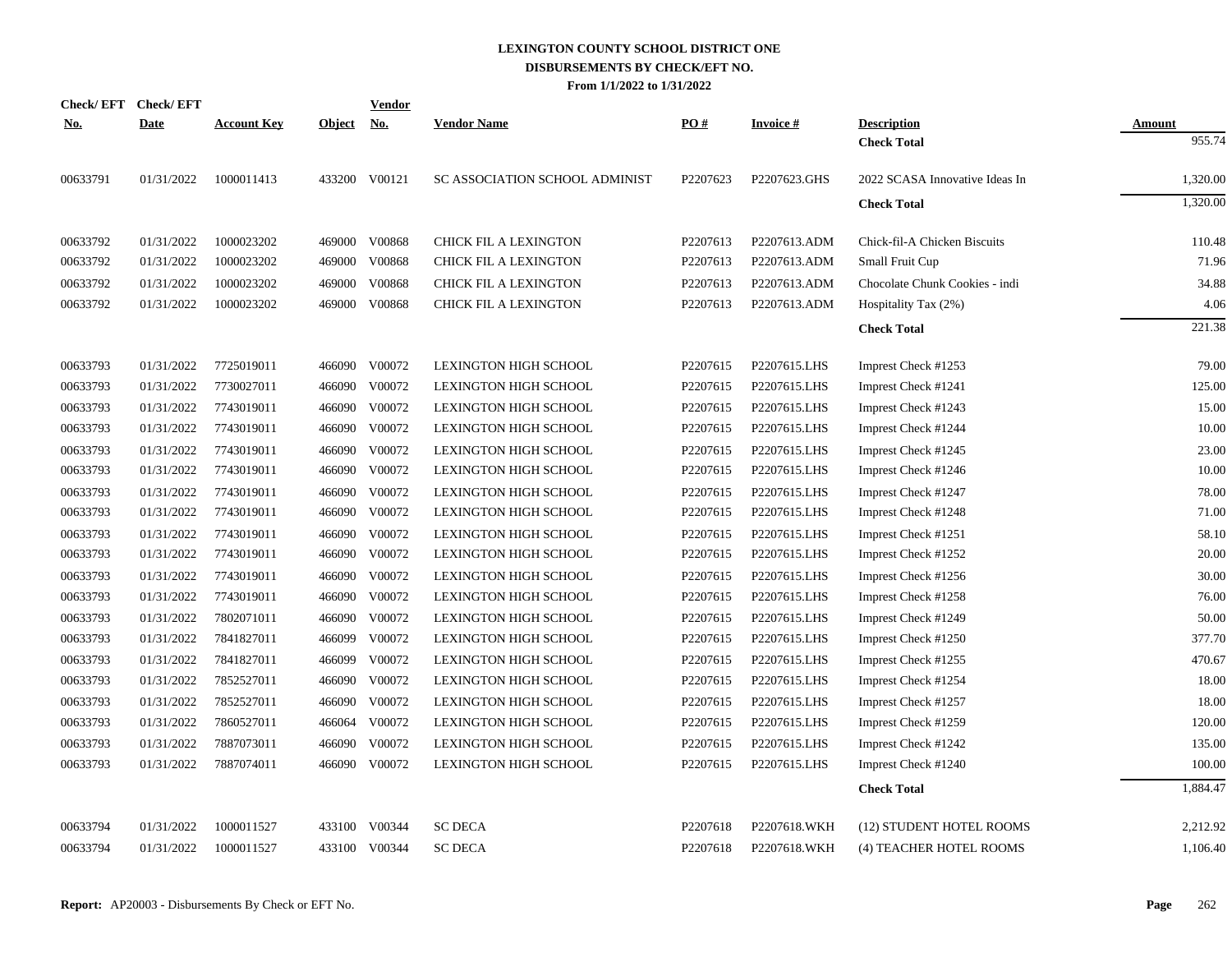|            | Check/EFT Check/EFT |                    |            | Vendor        |                                |          |                 |                                |               |
|------------|---------------------|--------------------|------------|---------------|--------------------------------|----------|-----------------|--------------------------------|---------------|
| <b>No.</b> | <b>Date</b>         | <b>Account Key</b> | Object No. |               | <b>Vendor Name</b>             | PO#      | <b>Invoice#</b> | <b>Description</b>             | <b>Amount</b> |
|            |                     |                    |            |               |                                |          |                 | <b>Check Total</b>             | 955.74        |
| 00633791   | 01/31/2022          | 1000011413         |            | 433200 V00121 | SC ASSOCIATION SCHOOL ADMINIST | P2207623 | P2207623.GHS    | 2022 SCASA Innovative Ideas In | 1,320.00      |
|            |                     |                    |            |               |                                |          |                 | <b>Check Total</b>             | 1,320.00      |
| 00633792   | 01/31/2022          | 1000023202         |            | 469000 V00868 | <b>CHICK FIL A LEXINGTON</b>   | P2207613 | P2207613.ADM    | Chick-fil-A Chicken Biscuits   | 110.48        |
| 00633792   | 01/31/2022          | 1000023202         | 469000     | V00868        | <b>CHICK FIL A LEXINGTON</b>   | P2207613 | P2207613.ADM    | Small Fruit Cup                | 71.96         |
| 00633792   | 01/31/2022          | 1000023202         | 469000     | V00868        | CHICK FIL A LEXINGTON          | P2207613 | P2207613.ADM    | Chocolate Chunk Cookies - indi | 34.88         |
| 00633792   | 01/31/2022          | 1000023202         | 469000     | V00868        | CHICK FIL A LEXINGTON          | P2207613 | P2207613.ADM    | Hospitality Tax (2%)           | 4.06          |
|            |                     |                    |            |               |                                |          |                 | <b>Check Total</b>             | 221.38        |
| 00633793   | 01/31/2022          | 7725019011         | 466090     | V00072        | LEXINGTON HIGH SCHOOL          | P2207615 | P2207615.LHS    | Imprest Check #1253            | 79.00         |
| 00633793   | 01/31/2022          | 7730027011         |            | 466090 V00072 | LEXINGTON HIGH SCHOOL          | P2207615 | P2207615.LHS    | Imprest Check #1241            | 125.00        |
| 00633793   | 01/31/2022          | 7743019011         | 466090     | V00072        | LEXINGTON HIGH SCHOOL          | P2207615 | P2207615.LHS    | Imprest Check #1243            | 15.00         |
| 00633793   | 01/31/2022          | 7743019011         | 466090     | V00072        | LEXINGTON HIGH SCHOOL          | P2207615 | P2207615.LHS    | Imprest Check #1244            | 10.00         |
| 00633793   | 01/31/2022          | 7743019011         | 466090     | V00072        | <b>LEXINGTON HIGH SCHOOL</b>   | P2207615 | P2207615.LHS    | Imprest Check #1245            | 23.00         |
| 00633793   | 01/31/2022          | 7743019011         | 466090     | V00072        | <b>LEXINGTON HIGH SCHOOL</b>   | P2207615 | P2207615.LHS    | Imprest Check #1246            | 10.00         |
| 00633793   | 01/31/2022          | 7743019011         | 466090     | V00072        | <b>LEXINGTON HIGH SCHOOL</b>   | P2207615 | P2207615.LHS    | Imprest Check #1247            | 78.00         |
| 00633793   | 01/31/2022          | 7743019011         | 466090     | V00072        | LEXINGTON HIGH SCHOOL          | P2207615 | P2207615.LHS    | Imprest Check #1248            | 71.00         |
| 00633793   | 01/31/2022          | 7743019011         | 466090     | V00072        | <b>LEXINGTON HIGH SCHOOL</b>   | P2207615 | P2207615.LHS    | Imprest Check #1251            | 58.10         |
| 00633793   | 01/31/2022          | 7743019011         | 466090     | V00072        | <b>LEXINGTON HIGH SCHOOL</b>   | P2207615 | P2207615.LHS    | Imprest Check #1252            | 20.00         |
| 00633793   | 01/31/2022          | 7743019011         | 466090     | V00072        | <b>LEXINGTON HIGH SCHOOL</b>   | P2207615 | P2207615.LHS    | Imprest Check #1256            | 30.00         |
| 00633793   | 01/31/2022          | 7743019011         | 466090     | V00072        | <b>LEXINGTON HIGH SCHOOL</b>   | P2207615 | P2207615.LHS    | Imprest Check #1258            | 76.00         |
| 00633793   | 01/31/2022          | 7802071011         | 466090     | V00072        | <b>LEXINGTON HIGH SCHOOL</b>   | P2207615 | P2207615.LHS    | Imprest Check #1249            | 50.00         |
| 00633793   | 01/31/2022          | 7841827011         | 466099     | V00072        | <b>LEXINGTON HIGH SCHOOL</b>   | P2207615 | P2207615.LHS    | Imprest Check #1250            | 377.70        |
| 00633793   | 01/31/2022          | 7841827011         | 466099     | V00072        | LEXINGTON HIGH SCHOOL          | P2207615 | P2207615.LHS    | Imprest Check #1255            | 470.67        |
| 00633793   | 01/31/2022          | 7852527011         | 466090     | V00072        | LEXINGTON HIGH SCHOOL          | P2207615 | P2207615.LHS    | Imprest Check #1254            | 18.00         |
| 00633793   | 01/31/2022          | 7852527011         |            | 466090 V00072 | LEXINGTON HIGH SCHOOL          | P2207615 | P2207615.LHS    | Imprest Check #1257            | 18.00         |
| 00633793   | 01/31/2022          | 7860527011         |            | 466064 V00072 | LEXINGTON HIGH SCHOOL          | P2207615 | P2207615.LHS    | Imprest Check #1259            | 120.00        |
| 00633793   | 01/31/2022          | 7887073011         |            | 466090 V00072 | <b>LEXINGTON HIGH SCHOOL</b>   | P2207615 | P2207615.LHS    | Imprest Check #1242            | 135.00        |
| 00633793   | 01/31/2022          | 7887074011         |            | 466090 V00072 | LEXINGTON HIGH SCHOOL          | P2207615 | P2207615.LHS    | Imprest Check #1240            | 100.00        |
|            |                     |                    |            |               |                                |          |                 | <b>Check Total</b>             | 1,884.47      |
| 00633794   | 01/31/2022          | 1000011527         |            | 433100 V00344 | <b>SC DECA</b>                 | P2207618 | P2207618.WKH    | (12) STUDENT HOTEL ROOMS       | 2,212.92      |
| 00633794   | 01/31/2022          | 1000011527         |            | 433100 V00344 | <b>SC DECA</b>                 | P2207618 | P2207618.WKH    | (4) TEACHER HOTEL ROOMS        | 1,106.40      |